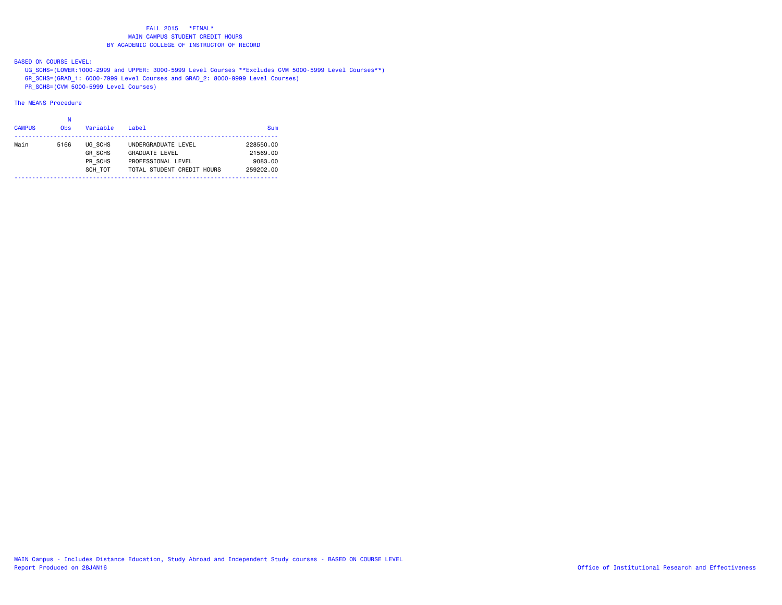BASED ON COURSE LEVEL:

UG\_SCHS=(LOWER:1000-2999 and UPPER: 3000-5999 Level Courses \*\*Excludes CVM 5000-5999 Level Courses\*\*)

GR\_SCHS=(GRAD\_1: 6000-7999 Level Courses and GRAD\_2: 8000-9999 Level Courses)

PR\_SCHS=(CVM 5000-5999 Level Courses)

# The MEANS Procedure

#### na na kaominina amin'ny fivondronan-kaominin'i N

| <b>CAMPUS</b> | <b>Obs</b> | Variable       | $I$ ahel                   | Sum       |
|---------------|------------|----------------|----------------------------|-----------|
| Main          | 5166       | UG SCHS        | UNDERGRADUATE LEVEL        | 228550.00 |
|               |            | <b>GR SCHS</b> | <b>GRADUATE LEVEL</b>      | 21569.00  |
|               |            | PR SCHS        | PROFESSIONAL LEVEL         | 9083.00   |
|               |            | SCH TOT        | TOTAL STUDENT CREDIT HOURS | 259202.00 |
|               |            |                |                            |           |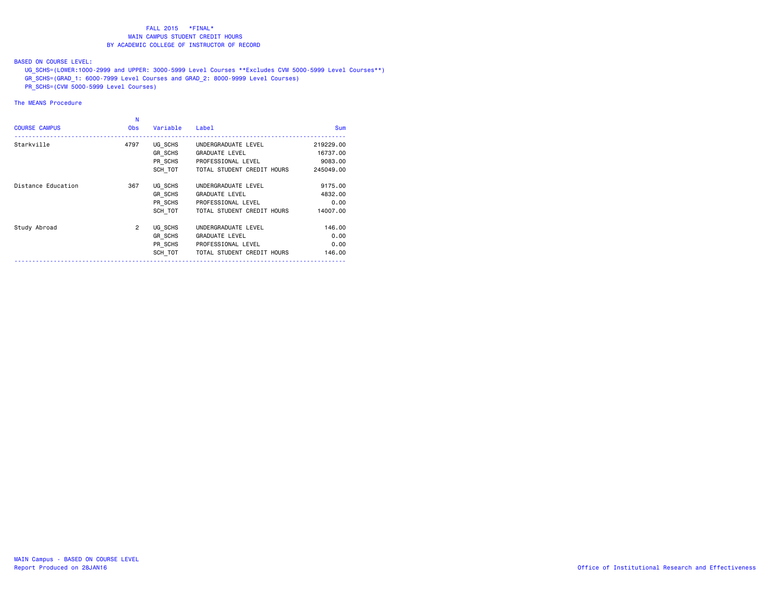#### BASED ON COURSE LEVEL:

 UG\_SCHS=(LOWER:1000-2999 and UPPER: 3000-5999 Level Courses \*\*Excludes CVM 5000-5999 Level Courses\*\*) GR\_SCHS=(GRAD\_1: 6000-7999 Level Courses and GRAD\_2: 8000-9999 Level Courses)

PR\_SCHS=(CVM 5000-5999 Level Courses)

|                      | Ν              |          |                            |            |
|----------------------|----------------|----------|----------------------------|------------|
| <b>COURSE CAMPUS</b> | <b>Obs</b>     | Variable | Label                      | <b>Sum</b> |
| Starkville           | 4797           | UG SCHS  | UNDERGRADUATE LEVEL        | 219229.00  |
|                      |                | GR SCHS  | <b>GRADUATE LEVEL</b>      | 16737.00   |
|                      |                | PR SCHS  | PROFESSIONAL LEVEL         | 9083,00    |
|                      |                | SCH TOT  | TOTAL STUDENT CREDIT HOURS | 245049.00  |
| Distance Education   | 367            | UG SCHS  | UNDERGRADUATE LEVEL        | 9175.00    |
|                      |                | GR SCHS  | <b>GRADUATE LEVEL</b>      | 4832.00    |
|                      |                | PR SCHS  | PROFESSIONAL LEVEL         | 0.00       |
|                      |                | SCH TOT  | TOTAL STUDENT CREDIT HOURS | 14007.00   |
| Study Abroad         | $\overline{2}$ | UG SCHS  | UNDERGRADUATE LEVEL        | 146.00     |
|                      |                | GR SCHS  | <b>GRADUATE LEVEL</b>      | 0.00       |
|                      |                | PR SCHS  | PROFESSIONAL LEVEL         | 0.00       |
|                      |                | SCH TOT  | TOTAL STUDENT CREDIT HOURS | 146.00     |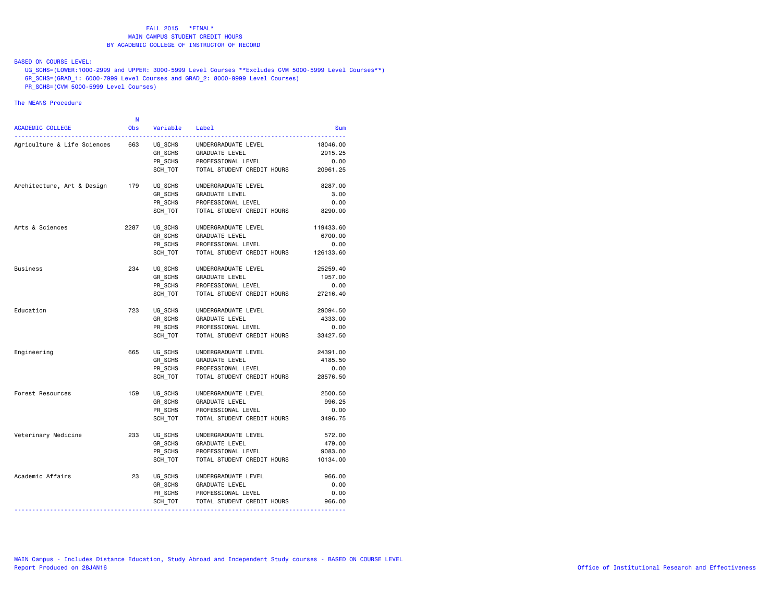#### BASED ON COURSE LEVEL:

 UG\_SCHS=(LOWER:1000-2999 and UPPER: 3000-5999 Level Courses \*\*Excludes CVM 5000-5999 Level Courses\*\*) GR\_SCHS=(GRAD\_1: 6000-7999 Level Courses and GRAD\_2: 8000-9999 Level Courses)

PR\_SCHS=(CVM 5000-5999 Level Courses)

|                             | Ν          |          |                            |            |
|-----------------------------|------------|----------|----------------------------|------------|
| ACADEMIC COLLEGE            | <b>Obs</b> | Variable | Label<br><u>.</u>          | <b>Sum</b> |
| Agriculture & Life Sciences | 663        | UG SCHS  | UNDERGRADUATE LEVEL        | 18046,00   |
|                             |            | GR SCHS  | <b>GRADUATE LEVEL</b>      | 2915.25    |
|                             |            | PR SCHS  | PROFESSIONAL LEVEL         | 0.00       |
|                             |            | SCH TOT  | TOTAL STUDENT CREDIT HOURS | 20961.25   |
| Architecture, Art & Design  | 179        | UG_SCHS  | UNDERGRADUATE LEVEL        | 8287.00    |
|                             |            | GR SCHS  | <b>GRADUATE LEVEL</b>      | 3.00       |
|                             |            | PR SCHS  | PROFESSIONAL LEVEL         | 0.00       |
|                             |            | SCH TOT  | TOTAL STUDENT CREDIT HOURS | 8290.00    |
| Arts & Sciences             | 2287       | UG_SCHS  | UNDERGRADUATE LEVEL        | 119433.60  |
|                             |            | GR SCHS  | <b>GRADUATE LEVEL</b>      | 6700.00    |
|                             |            | PR SCHS  | PROFESSIONAL LEVEL         | 0.00       |
|                             |            | SCH TOT  | TOTAL STUDENT CREDIT HOURS | 126133.60  |
| <b>Business</b>             | 234        | UG SCHS  | UNDERGRADUATE LEVEL        | 25259.40   |
|                             |            | GR SCHS  | <b>GRADUATE LEVEL</b>      | 1957.00    |
|                             |            | PR SCHS  | PROFESSIONAL LEVEL         | 0.00       |
|                             |            | SCH TOT  | TOTAL STUDENT CREDIT HOURS | 27216.40   |
| Education                   | 723        | UG SCHS  | UNDERGRADUATE LEVEL        | 29094.50   |
|                             |            | GR SCHS  | GRADUATE LEVEL             | 4333.00    |
|                             |            | PR SCHS  | PROFESSIONAL LEVEL         | 0.00       |
|                             |            | SCH TOT  | TOTAL STUDENT CREDIT HOURS | 33427.50   |
| Engineering                 | 665        | UG SCHS  | UNDERGRADUATE LEVEL        | 24391.00   |
|                             |            | GR SCHS  | <b>GRADUATE LEVEL</b>      | 4185.50    |
|                             |            | PR_SCHS  | PROFESSIONAL LEVEL         | 0.00       |
|                             |            | SCH TOT  | TOTAL STUDENT CREDIT HOURS | 28576.50   |
| Forest Resources            | 159        | UG_SCHS  | UNDERGRADUATE LEVEL        | 2500.50    |
|                             |            | GR SCHS  | <b>GRADUATE LEVEL</b>      | 996.25     |
|                             |            | PR SCHS  | PROFESSIONAL LEVEL         | 0.00       |
|                             |            | SCH TOT  | TOTAL STUDENT CREDIT HOURS | 3496.75    |
| Veterinary Medicine         | 233        | UG SCHS  | UNDERGRADUATE LEVEL        | 572.00     |
|                             |            | GR SCHS  | <b>GRADUATE LEVEL</b>      | 479.00     |
|                             |            | PR SCHS  | PROFESSIONAL LEVEL         | 9083.00    |
|                             |            | SCH TOT  | TOTAL STUDENT CREDIT HOURS | 10134.00   |
| Academic Affairs            | 23         | UG_SCHS  | UNDERGRADUATE LEVEL        | 966.00     |
|                             |            | GR SCHS  | GRADUATE LEVEL             | 0.00       |
|                             |            | PR SCHS  | PROFESSIONAL LEVEL         | 0.00       |
|                             |            | SCH_TOT  | TOTAL STUDENT CREDIT HOURS | 966.00     |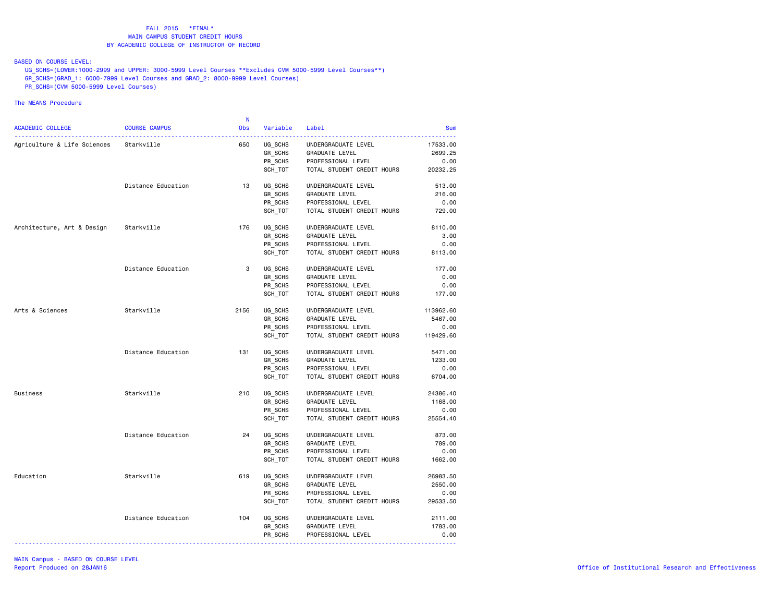BASED ON COURSE LEVEL:

UG\_SCHS=(LOWER:1000-2999 and UPPER: 3000-5999 Level Courses \*\*Excludes CVM 5000-5999 Level Courses\*\*)

GR\_SCHS=(GRAD\_1: 6000-7999 Level Courses and GRAD\_2: 8000-9999 Level Courses)

PR\_SCHS=(CVM 5000-5999 Level Courses)

| <b>ACADEMIC COLLEGE</b>                | <b>COURSE CAMPUS</b> | $\mathbf N$<br><b>Obs</b> | Variable | Label                      | <b>Sum</b> |
|----------------------------------------|----------------------|---------------------------|----------|----------------------------|------------|
|                                        |                      |                           |          |                            |            |
| Agriculture & Life Sciences Starkville |                      | 650                       | UG SCHS  | UNDERGRADUATE LEVEL        | 17533.00   |
|                                        |                      |                           | GR_SCHS  | GRADUATE LEVEL             | 2699.25    |
|                                        |                      |                           | PR_SCHS  | PROFESSIONAL LEVEL         | 0.00       |
|                                        |                      |                           | SCH_TOT  | TOTAL STUDENT CREDIT HOURS | 20232.25   |
|                                        | Distance Education   | 13                        | UG SCHS  | UNDERGRADUATE LEVEL        | 513.00     |
|                                        |                      |                           | GR SCHS  | GRADUATE LEVEL             | 216.00     |
|                                        |                      |                           | PR_SCHS  | PROFESSIONAL LEVEL         | 0.00       |
|                                        |                      |                           | SCH_TOT  | TOTAL STUDENT CREDIT HOURS | 729.00     |
| Architecture, Art & Design             | Starkville           | 176                       | UG SCHS  | UNDERGRADUATE LEVEL        | 8110.00    |
|                                        |                      |                           | GR SCHS  | <b>GRADUATE LEVEL</b>      | 3.00       |
|                                        |                      |                           | PR_SCHS  | PROFESSIONAL LEVEL         | 0.00       |
|                                        |                      |                           | SCH_TOT  | TOTAL STUDENT CREDIT HOURS | 8113.00    |
|                                        | Distance Education   | 3                         | UG SCHS  | UNDERGRADUATE LEVEL        | 177.00     |
|                                        |                      |                           | GR SCHS  | <b>GRADUATE LEVEL</b>      | 0.00       |
|                                        |                      |                           | PR_SCHS  | PROFESSIONAL LEVEL         | 0.00       |
|                                        |                      |                           | SCH_TOT  | TOTAL STUDENT CREDIT HOURS | 177.00     |
| Arts & Sciences                        | Starkville           | 2156                      | UG SCHS  | UNDERGRADUATE LEVEL        | 113962.60  |
|                                        |                      |                           | GR SCHS  | <b>GRADUATE LEVEL</b>      | 5467.00    |
|                                        |                      |                           | PR SCHS  | PROFESSIONAL LEVEL         | 0.00       |
|                                        |                      |                           | SCH_TOT  | TOTAL STUDENT CREDIT HOURS | 119429.60  |
|                                        | Distance Education   | 131                       | UG SCHS  | UNDERGRADUATE LEVEL        | 5471.00    |
|                                        |                      |                           | GR SCHS  | GRADUATE LEVEL             | 1233.00    |
|                                        |                      |                           | PR SCHS  | PROFESSIONAL LEVEL         | 0.00       |
|                                        |                      |                           | SCH_TOT  | TOTAL STUDENT CREDIT HOURS | 6704.00    |
| Business                               | Starkville           | 210                       | UG SCHS  | UNDERGRADUATE LEVEL        | 24386.40   |
|                                        |                      |                           | GR SCHS  | GRADUATE LEVEL             | 1168.00    |
|                                        |                      |                           | PR SCHS  | PROFESSIONAL LEVEL         | 0.00       |
|                                        |                      |                           | SCH_TOT  | TOTAL STUDENT CREDIT HOURS | 25554.40   |
|                                        | Distance Education   | 24                        | UG SCHS  | UNDERGRADUATE LEVEL        | 873.00     |
|                                        |                      |                           | GR SCHS  | <b>GRADUATE LEVEL</b>      | 789.00     |
|                                        |                      |                           | PR SCHS  | PROFESSIONAL LEVEL         | 0.00       |
|                                        |                      |                           | SCH TOT  | TOTAL STUDENT CREDIT HOURS | 1662.00    |
| Education                              | Starkville           | 619                       | UG_SCHS  | UNDERGRADUATE LEVEL        | 26983.50   |
|                                        |                      |                           | GR SCHS  | GRADUATE LEVEL             | 2550.00    |
|                                        |                      |                           | PR SCHS  | PROFESSIONAL LEVEL         | 0.00       |
|                                        |                      |                           | SCH_TOT  | TOTAL STUDENT CREDIT HOURS | 29533.50   |
|                                        | Distance Education   | 104                       | UG_SCHS  | UNDERGRADUATE LEVEL        | 2111.00    |
|                                        |                      |                           | GR SCHS  | <b>GRADUATE LEVEL</b>      | 1783.00    |
|                                        |                      |                           | PR_SCHS  | PROFESSIONAL LEVEL         | 0.00       |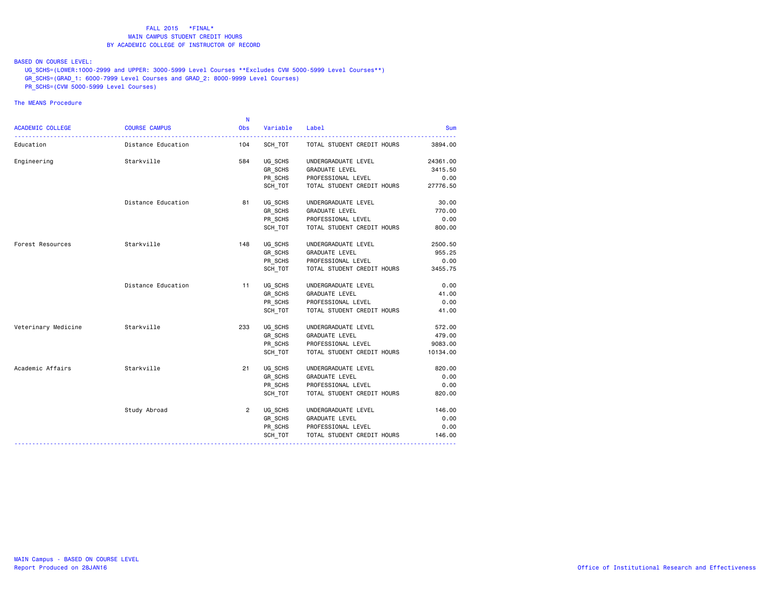BASED ON COURSE LEVEL:

 UG\_SCHS=(LOWER:1000-2999 and UPPER: 3000-5999 Level Courses \*\*Excludes CVM 5000-5999 Level Courses\*\*) GR\_SCHS=(GRAD\_1: 6000-7999 Level Courses and GRAD\_2: 8000-9999 Level Courses)

PR\_SCHS=(CVM 5000-5999 Level Courses)

|                         |                      | $\mathbf N$    |          |                            |          |
|-------------------------|----------------------|----------------|----------|----------------------------|----------|
| <b>ACADEMIC COLLEGE</b> | <b>COURSE CAMPUS</b> | <b>Obs</b>     | Variable | Label                      | Sum      |
| Education               | Distance Education   | 104            | SCH TOT  | TOTAL STUDENT CREDIT HOURS | 3894.00  |
| Engineering             | Starkville           | 584            | UG SCHS  | UNDERGRADUATE LEVEL        | 24361.00 |
|                         |                      |                | GR_SCHS  | GRADUATE LEVEL             | 3415.50  |
|                         |                      |                | PR SCHS  | PROFESSIONAL LEVEL         | 0.00     |
|                         |                      |                | SCH TOT  | TOTAL STUDENT CREDIT HOURS | 27776.50 |
|                         | Distance Education   | 81             | UG_SCHS  | UNDERGRADUATE LEVEL        | 30.00    |
|                         |                      |                | GR_SCHS  | <b>GRADUATE LEVEL</b>      | 770.00   |
|                         |                      |                | PR_SCHS  | PROFESSIONAL LEVEL         | 0.00     |
|                         |                      |                | SCH_TOT  | TOTAL STUDENT CREDIT HOURS | 800.00   |
| Forest Resources        | Starkville           | 148            | UG SCHS  | UNDERGRADUATE LEVEL        | 2500.50  |
|                         |                      |                | GR_SCHS  | <b>GRADUATE LEVEL</b>      | 955.25   |
|                         |                      |                | PR SCHS  | PROFESSIONAL LEVEL         | 0.00     |
|                         |                      |                | SCH TOT  | TOTAL STUDENT CREDIT HOURS | 3455.75  |
|                         | Distance Education   | 11             | UG_SCHS  | UNDERGRADUATE LEVEL        | 0.00     |
|                         |                      |                | GR_SCHS  | GRADUATE LEVEL             | 41.00    |
|                         |                      |                | PR_SCHS  | PROFESSIONAL LEVEL         | 0.00     |
|                         |                      |                | SCH TOT  | TOTAL STUDENT CREDIT HOURS | 41.00    |
| Veterinary Medicine     | Starkville           | 233            | UG SCHS  | UNDERGRADUATE LEVEL        | 572.00   |
|                         |                      |                | GR SCHS  | <b>GRADUATE LEVEL</b>      | 479.00   |
|                         |                      |                | PR SCHS  | PROFESSIONAL LEVEL         | 9083.00  |
|                         |                      |                | SCH TOT  | TOTAL STUDENT CREDIT HOURS | 10134.00 |
| Academic Affairs        | Starkville           | 21             | UG SCHS  | UNDERGRADUATE LEVEL        | 820.00   |
|                         |                      |                | GR_SCHS  | GRADUATE LEVEL             | 0.00     |
|                         |                      |                | PR SCHS  | PROFESSIONAL LEVEL         | 0.00     |
|                         |                      |                | SCH_TOT  | TOTAL STUDENT CREDIT HOURS | 820.00   |
|                         | Study Abroad         | $\overline{2}$ | UG SCHS  | UNDERGRADUATE LEVEL        | 146.00   |
|                         |                      |                | GR SCHS  | GRADUATE LEVEL             | 0.00     |
|                         |                      |                | PR SCHS  | PROFESSIONAL LEVEL         | 0.00     |
|                         |                      |                | SCH TOT  | TOTAL STUDENT CREDIT HOURS | 146.00   |
|                         |                      |                |          |                            |          |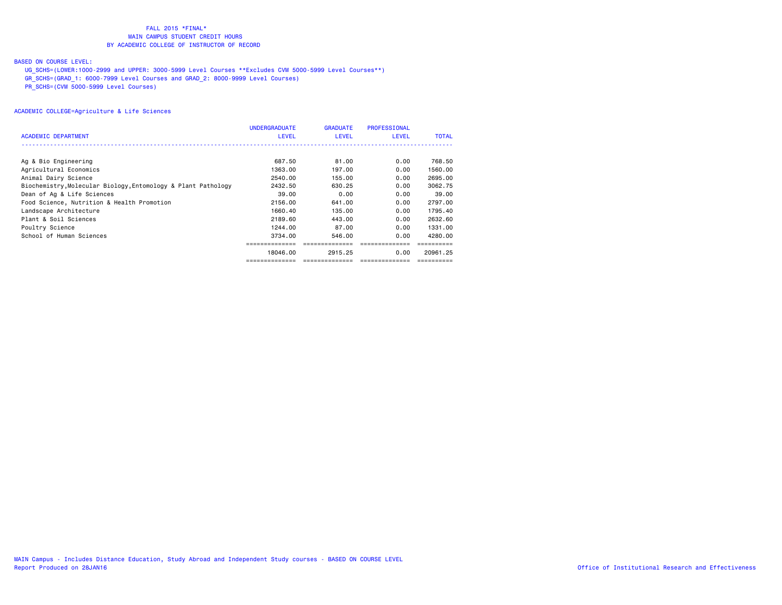#### BASED ON COURSE LEVEL:

UG\_SCHS=(LOWER:1000-2999 and UPPER: 3000-5999 Level Courses \*\*Excludes CVM 5000-5999 Level Courses\*\*)

GR\_SCHS=(GRAD\_1: 6000-7999 Level Courses and GRAD\_2: 8000-9999 Level Courses)

PR\_SCHS=(CVM 5000-5999 Level Courses)

|                                                               | <b>UNDERGRADUATE</b> | <b>GRADUATE</b> | <b>PROFESSIONAL</b> |              |
|---------------------------------------------------------------|----------------------|-----------------|---------------------|--------------|
| <b>ACADEMIC DEPARTMENT</b>                                    | <b>LEVEL</b>         | <b>LEVEL</b>    | LEVEL               | <b>TOTAL</b> |
|                                                               |                      |                 |                     |              |
| Ag & Bio Engineering                                          | 687.50               | 81,00           | 0.00                | 768.50       |
| Agricultural Economics                                        | 1363.00              | 197.00          | 0.00                | 1560.00      |
| Animal Dairy Science                                          | 2540.00              | 155.00          | 0.00                | 2695.00      |
| Biochemistry, Molecular Biology, Entomology & Plant Pathology | 2432.50              | 630.25          | 0.00                | 3062.75      |
| Dean of Ag & Life Sciences                                    | 39.00                | 0.00            | 0.00                | 39,00        |
| Food Science, Nutrition & Health Promotion                    | 2156.00              | 641,00          | 0.00                | 2797.00      |
| Landscape Architecture                                        | 1660.40              | 135.00          | 0.00                | 1795.40      |
| Plant & Soil Sciences                                         | 2189.60              | 443,00          | 0.00                | 2632.60      |
| Poultry Science                                               | 1244.00              | 87.00           | 0.00                | 1331.00      |
| School of Human Sciences                                      | 3734.00              | 546.00          | 0.00                | 4280.00      |
|                                                               |                      |                 |                     |              |
|                                                               | 18046.00             | 2915.25         | 0.00                | 20961.25     |
|                                                               | --------------       | ==============  | eccessessesses      |              |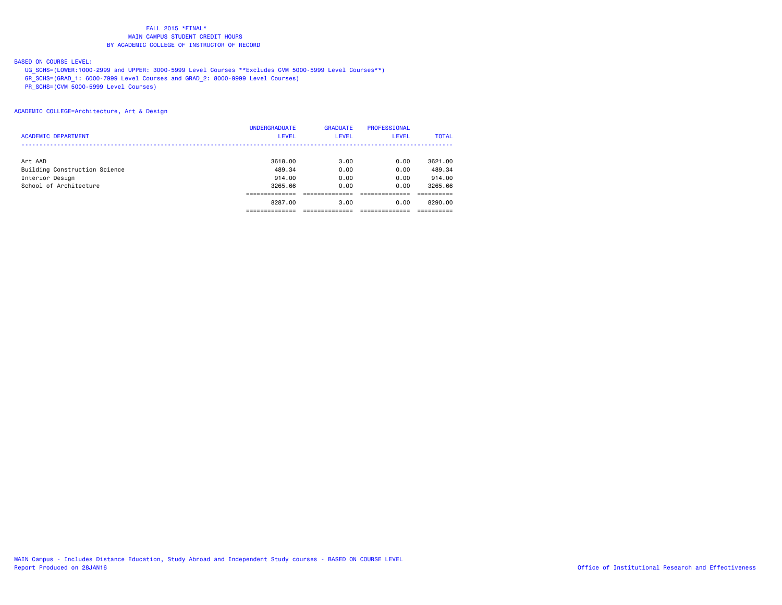#### BASED ON COURSE LEVEL:

UG\_SCHS=(LOWER:1000-2999 and UPPER: 3000-5999 Level Courses \*\*Excludes CVM 5000-5999 Level Courses\*\*)

GR\_SCHS=(GRAD\_1: 6000-7999 Level Courses and GRAD\_2: 8000-9999 Level Courses)

PR\_SCHS=(CVM 5000-5999 Level Courses)

#### ACADEMIC COLLEGE=Architecture, Art & Design

|                               | <b>UNDERGRADUATE</b> | <b>GRADUATE</b> | PROFESSIONAL |              |
|-------------------------------|----------------------|-----------------|--------------|--------------|
| <b>ACADEMIC DEPARTMENT</b>    | <b>LEVEL</b>         | <b>LEVEL</b>    | LEVEL        | <b>TOTAL</b> |
|                               |                      |                 |              |              |
| Art AAD                       | 3618.00              | 3.00            | 0.00         | 3621,00      |
| Building Construction Science | 489.34               | 0.00            | 0.00         | 489.34       |
| Interior Design               | 914,00               | 0.00            | 0.00         | 914.00       |
| School of Architecture        | 3265.66              | 0.00            | 0.00         | 3265.66      |
|                               |                      |                 |              |              |
|                               | 8287.00              | 3.00            | 0.00         | 8290.00      |
|                               |                      |                 |              |              |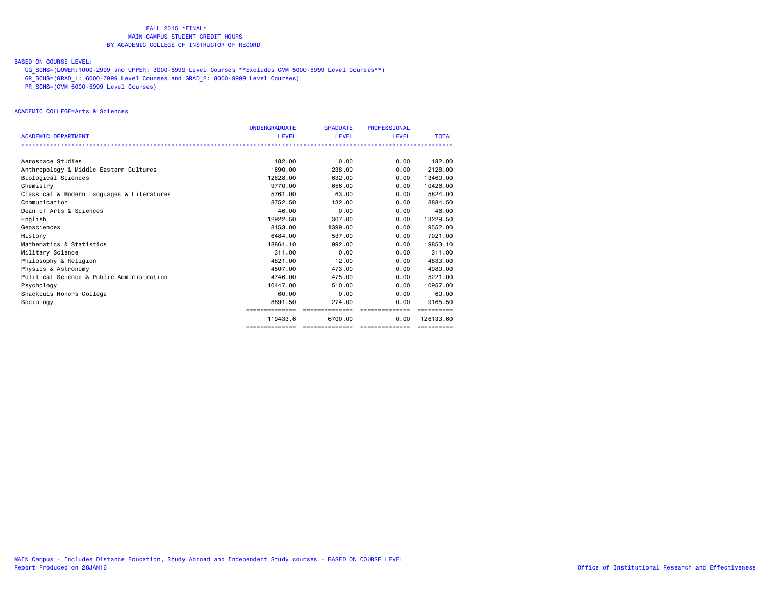#### BASED ON COURSE LEVEL:

UG\_SCHS=(LOWER:1000-2999 and UPPER: 3000-5999 Level Courses \*\*Excludes CVM 5000-5999 Level Courses\*\*)

GR\_SCHS=(GRAD\_1: 6000-7999 Level Courses and GRAD\_2: 8000-9999 Level Courses)

PR\_SCHS=(CVM 5000-5999 Level Courses)

#### ACADEMIC COLLEGE=Arts & Sciences

|                                            | <b>UNDERGRADUATE</b> | <b>GRADUATE</b> | <b>PROFESSIONAL</b> |              |
|--------------------------------------------|----------------------|-----------------|---------------------|--------------|
| <b>ACADEMIC DEPARTMENT</b>                 | LEVEL                | LEVEL           | <b>LEVEL</b>        | <b>TOTAL</b> |
|                                            |                      |                 |                     |              |
| Aerospace Studies                          | 182.00               | 0.00            | 0.00                | 182.00       |
| Anthropology & Middle Eastern Cultures     | 1890.00              | 238,00          | 0.00                | 2128,00      |
| Biological Sciences                        | 12828.00             | 632,00          | 0.00                | 13460.00     |
| Chemistry                                  | 9770.00              | 656,00          | 0.00                | 10426,00     |
| Classical & Modern Languages & Literatures | 5761.00              | 63.00           | 0.00                | 5824.00      |
| Communication                              | 8752.50              | 132,00          | 0.00                | 8884.50      |
| Dean of Arts & Sciences                    | 46.00                | 0.00            | 0.00                | 46.00        |
| English                                    | 12922.50             | 307.00          | 0.00                | 13229.50     |
| Geosciences                                | 8153.00              | 1399.00         | 0.00                | 9552.00      |
| History                                    | 6484.00              | 537.00          | 0.00                | 7021.00      |
| Mathematics & Statistics                   | 18861,10             | 992.00          | 0.00                | 19853.10     |
| Military Science                           | 311,00               | 0.00            | 0.00                | 311,00       |
| Philosophy & Religion                      | 4821.00              | 12.00           | 0.00                | 4833.00      |
| Physics & Astronomy                        | 4507.00              | 473.00          | 0.00                | 4980.00      |
| Political Science & Public Administration  | 4746.00              | 475.00          | 0.00                | 5221.00      |
| Psychology                                 | 10447.00             | 510.00          | 0.00                | 10957.00     |
| Shackouls Honors College                   | 60.00                | 0.00            | 0.00                | 60.00        |
| Sociology                                  | 8891.50              | 274.00          | 0.00                | 9165.50      |
|                                            | ==============       | ==============  | --------------      |              |
|                                            | 119433.6             | 6700.00         | 0.00                | 126133.60    |
|                                            |                      |                 |                     | ==========   |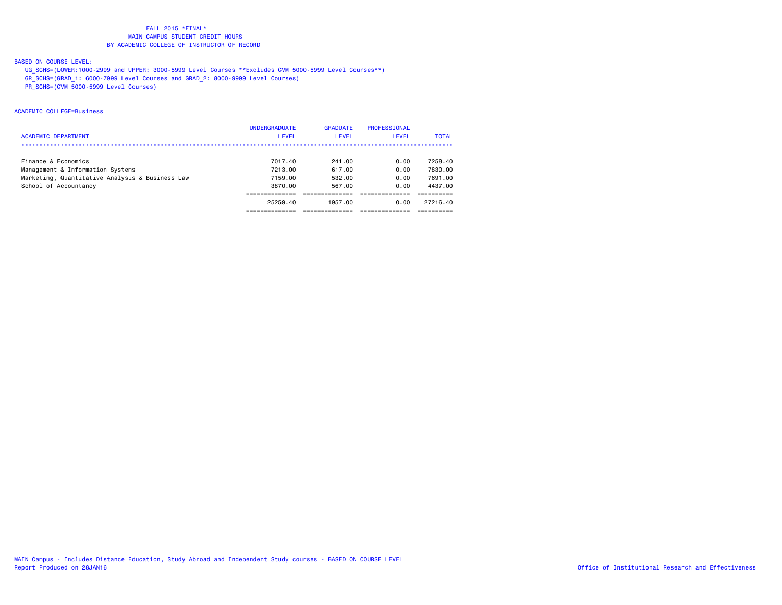#### BASED ON COURSE LEVEL:

- UG\_SCHS=(LOWER:1000-2999 and UPPER: 3000-5999 Level Courses \*\*Excludes CVM 5000-5999 Level Courses\*\*)
- GR\_SCHS=(GRAD\_1: 6000-7999 Level Courses and GRAD\_2: 8000-9999 Level Courses)
- PR\_SCHS=(CVM 5000-5999 Level Courses)

#### ACADEMIC COLLEGE=Business

|                                                 | <b>UNDERGRADUATE</b> | <b>GRADUATE</b> | PROFESSIONAL |              |
|-------------------------------------------------|----------------------|-----------------|--------------|--------------|
| <b>ACADEMIC DEPARTMENT</b>                      | <b>LEVEL</b>         | LEVEL           | LEVEL        | <b>TOTAL</b> |
|                                                 |                      |                 |              |              |
| Finance & Economics                             | 7017.40              | 241.00          | 0.00         | 7258.40      |
| Management & Information Systems                | 7213.00              | 617.00          | 0.00         | 7830.00      |
| Marketing, Quantitative Analysis & Business Law | 7159.00              | 532.00          | 0.00         | 7691.00      |
| School of Accountancy                           | 3870.00              | 567.00          | 0.00         | 4437.00      |
|                                                 |                      |                 |              |              |
|                                                 | 25259.40             | 1957.00         | 0.00         | 27216.40     |
|                                                 |                      |                 |              |              |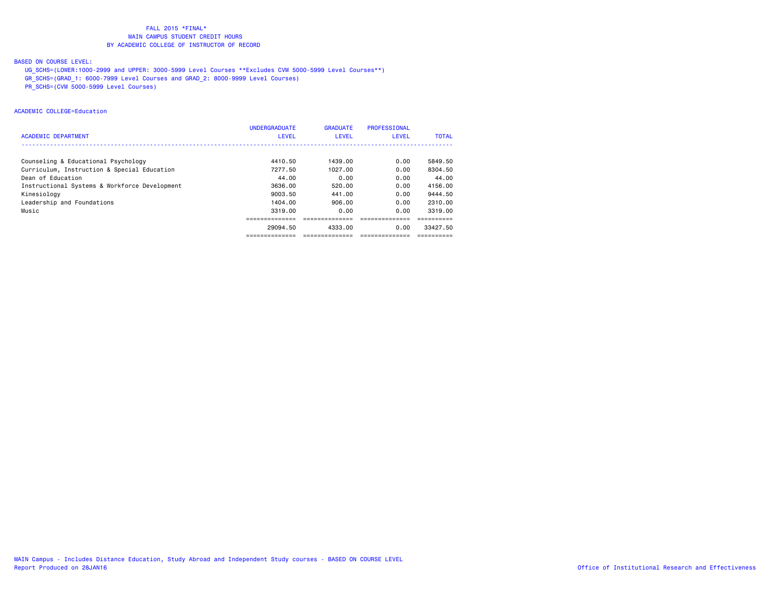#### BASED ON COURSE LEVEL:

- UG\_SCHS=(LOWER:1000-2999 and UPPER: 3000-5999 Level Courses \*\*Excludes CVM 5000-5999 Level Courses\*\*)
- GR\_SCHS=(GRAD\_1: 6000-7999 Level Courses and GRAD\_2: 8000-9999 Level Courses)
- PR\_SCHS=(CVM 5000-5999 Level Courses)

#### ACADEMIC COLLEGE=Education

|                                               | <b>UNDERGRADUATE</b> | <b>GRADUATE</b> | <b>PROFESSIONAL</b> |              |
|-----------------------------------------------|----------------------|-----------------|---------------------|--------------|
| <b>ACADEMIC DEPARTMENT</b>                    | <b>LEVEL</b>         | LEVEL           | LEVEL               | <b>TOTAL</b> |
|                                               |                      |                 |                     |              |
| Counseling & Educational Psychology           | 4410.50              | 1439.00         | 0.00                | 5849.50      |
| Curriculum, Instruction & Special Education   | 7277.50              | 1027.00         | 0.00                | 8304.50      |
| Dean of Education                             | 44.00                | 0.00            | 0.00                | 44.00        |
| Instructional Systems & Workforce Development | 3636.00              | 520.00          | 0.00                | 4156.00      |
| Kinesiology                                   | 9003.50              | 441.00          | 0.00                | 9444.50      |
| Leadership and Foundations                    | 1404.00              | 906.00          | 0.00                | 2310.00      |
| Music                                         | 3319,00              | 0.00            | 0.00                | 3319.00      |
|                                               |                      |                 |                     |              |
|                                               | 29094.50             | 4333.00         | 0.00                | 33427.50     |
|                                               | --------------       | -------------   | -------------       |              |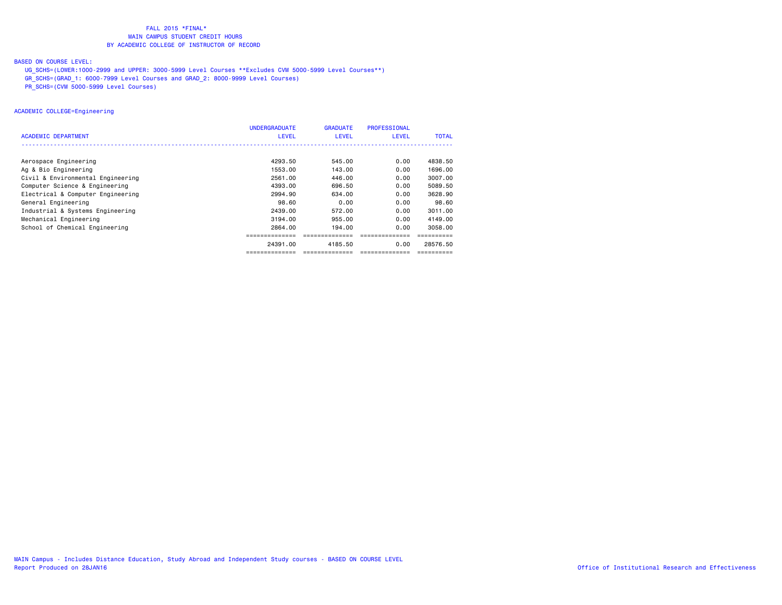#### BASED ON COURSE LEVEL:

- UG\_SCHS=(LOWER:1000-2999 and UPPER: 3000-5999 Level Courses \*\*Excludes CVM 5000-5999 Level Courses\*\*)
- GR\_SCHS=(GRAD\_1: 6000-7999 Level Courses and GRAD\_2: 8000-9999 Level Courses)
- PR\_SCHS=(CVM 5000-5999 Level Courses)

#### ACADEMIC COLLEGE=Engineering

|                                   | <b>UNDERGRADUATE</b> | <b>GRADUATE</b> | PROFESSIONAL |              |
|-----------------------------------|----------------------|-----------------|--------------|--------------|
| <b>ACADEMIC DEPARTMENT</b>        | <b>LEVEL</b>         | <b>LEVEL</b>    | <b>LEVEL</b> | <b>TOTAL</b> |
|                                   |                      |                 |              |              |
| Aerospace Engineering             | 4293.50              | 545.00          | 0.00         | 4838.50      |
| Ag & Bio Engineering              | 1553.00              | 143.00          | 0.00         | 1696.00      |
| Civil & Environmental Engineering | 2561.00              | 446.00          | 0.00         | 3007.00      |
| Computer Science & Engineering    | 4393.00              | 696.50          | 0.00         | 5089.50      |
| Electrical & Computer Engineering | 2994.90              | 634.00          | 0.00         | 3628.90      |
| General Engineering               | 98.60                | 0.00            | 0.00         | 98.60        |
| Industrial & Systems Engineering  | 2439.00              | 572.00          | 0.00         | 3011.00      |
| Mechanical Engineering            | 3194.00              | 955.00          | 0.00         | 4149.00      |
| School of Chemical Engineering    | 2864.00              | 194.00          | 0.00         | 3058,00      |
|                                   |                      |                 |              |              |
|                                   | 24391.00             | 4185.50         | 0.00         | 28576.50     |
|                                   | -------------        |                 |              |              |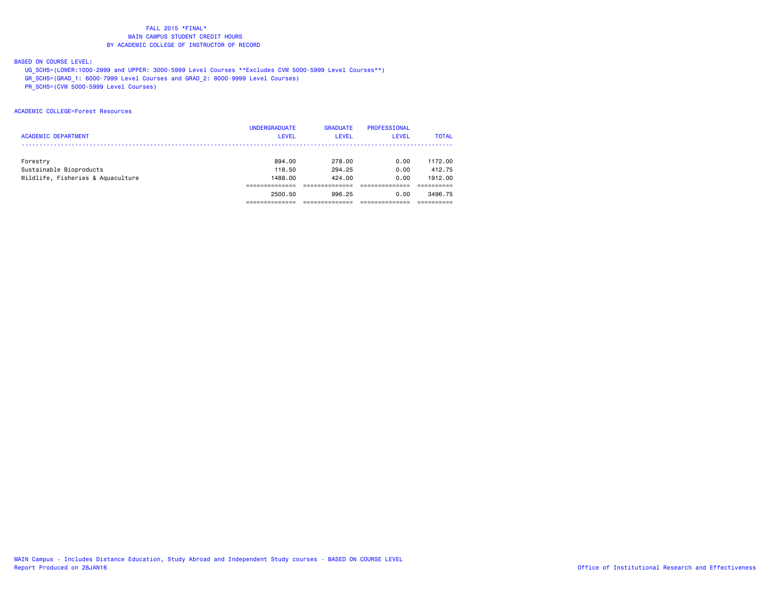#### BASED ON COURSE LEVEL:

- UG\_SCHS=(LOWER:1000-2999 and UPPER: 3000-5999 Level Courses \*\*Excludes CVM 5000-5999 Level Courses\*\*)
- GR\_SCHS=(GRAD\_1: 6000-7999 Level Courses and GRAD\_2: 8000-9999 Level Courses)
- PR\_SCHS=(CVM 5000-5999 Level Courses)

#### ACADEMIC COLLEGE=Forest Resources

| <b>ACADEMIC DEPARTMENT</b>                                               | <b>UNDERGRADUATE</b><br><b>LEVEL</b> | <b>GRADUATE</b><br>LEVEL   | PROFESSIONAL<br>LEVEL | <b>TOTAL</b>                 |
|--------------------------------------------------------------------------|--------------------------------------|----------------------------|-----------------------|------------------------------|
| Forestry<br>Sustainable Bioproducts<br>Wildlife, Fisheries & Aquaculture | 894.00<br>118.50<br>1488.00          | 278.00<br>294.25<br>424.00 | 0.00<br>0.00<br>0.00  | 1172.00<br>412.75<br>1912.00 |
|                                                                          | 2500.50                              | 996.25                     | 0.00                  | 3496.75                      |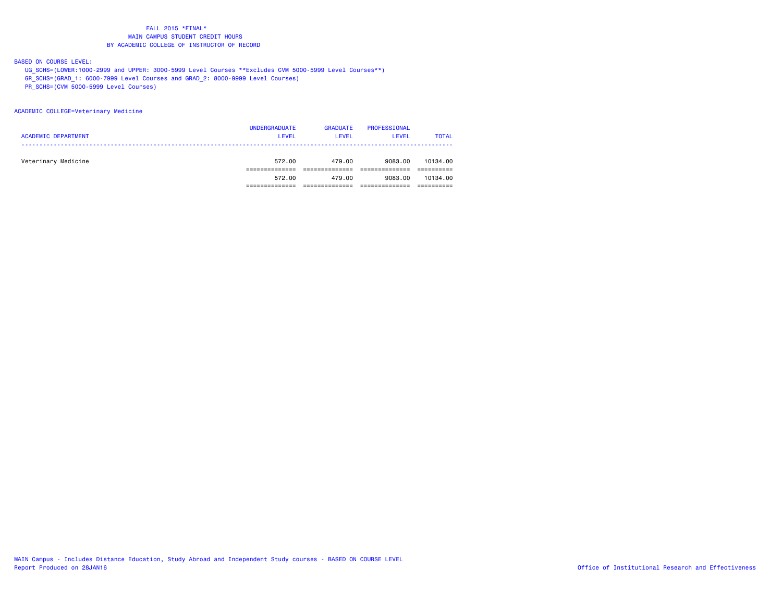#### BASED ON COURSE LEVEL:

- UG\_SCHS=(LOWER:1000-2999 and UPPER: 3000-5999 Level Courses \*\*Excludes CVM 5000-5999 Level Courses\*\*)
- GR\_SCHS=(GRAD\_1: 6000-7999 Level Courses and GRAD\_2: 8000-9999 Level Courses)
- PR\_SCHS=(CVM 5000-5999 Level Courses)

#### ACADEMIC COLLEGE=Veterinary Medicine

| <b>ACADEMIC DEPARTMENT</b> | <b>UNDERGRADUATE</b><br><b>LEVEL</b> | <b>GRADUATE</b><br><b>LEVEL</b> | PROFESSIONAL<br><b>LEVEL</b> | <b>TOTAL</b> |
|----------------------------|--------------------------------------|---------------------------------|------------------------------|--------------|
| Veterinary Medicine        | 572.00                               | 479.00                          | 9083.00                      | 10134.00     |
|                            | 572.00                               | 479.00                          | 9083.00                      | 10134.00     |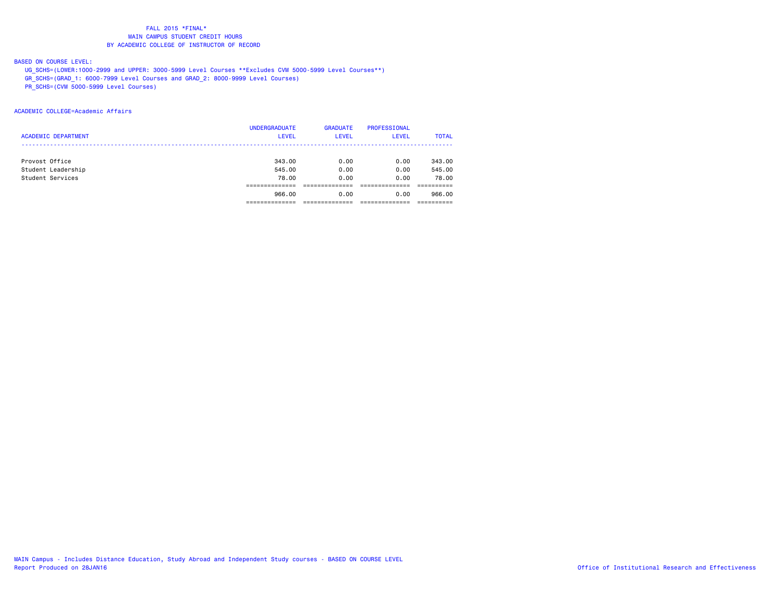#### BASED ON COURSE LEVEL:

- UG\_SCHS=(LOWER:1000-2999 and UPPER: 3000-5999 Level Courses \*\*Excludes CVM 5000-5999 Level Courses\*\*)
- GR\_SCHS=(GRAD\_1: 6000-7999 Level Courses and GRAD\_2: 8000-9999 Level Courses)
- PR\_SCHS=(CVM 5000-5999 Level Courses)

#### ACADEMIC COLLEGE=Academic Affairs

|                            | <b>UNDERGRADUATE</b> | <b>GRADUATE</b> | <b>PROFESSIONAL</b> |              |
|----------------------------|----------------------|-----------------|---------------------|--------------|
| <b>ACADEMIC DEPARTMENT</b> | <b>LEVEL</b>         | <b>LEVEL</b>    | <b>LEVEL</b>        | <b>TOTAL</b> |
|                            |                      |                 |                     |              |
| Provost Office             | 343,00               | 0.00            | 0.00                | 343.00       |
| Student Leadership         | 545.00               | 0.00            | 0.00                | 545.00       |
| Student Services           | 78.00                | 0.00            | 0.00                | 78.00        |
|                            |                      |                 |                     |              |
|                            | 966,00               | 0.00            | 0.00                | 966.00       |
|                            |                      |                 |                     |              |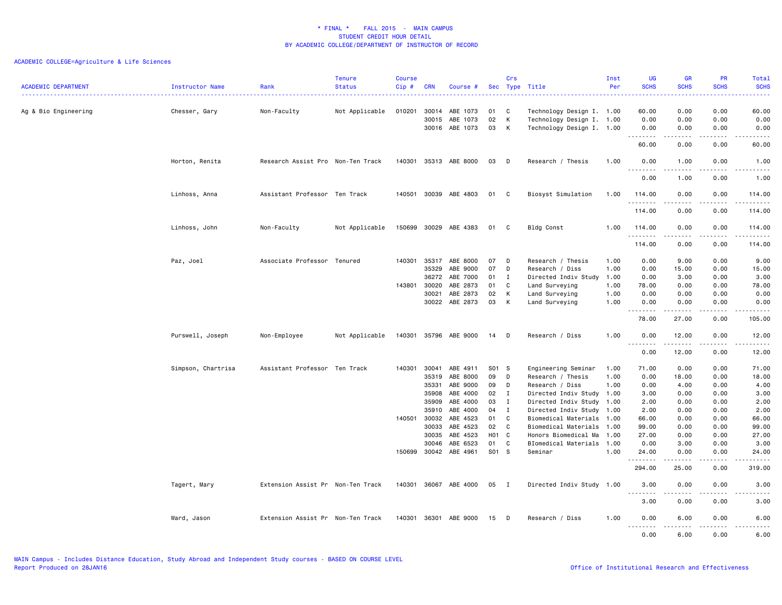|                            |                    |                                   | <b>Tenure</b>  | <b>Course</b> |              |                       |       | Crs          |                           | Inst | UG                                 | <b>GR</b>                                                                                                                                                    | <b>PR</b>                           | Total                                                                                                                                    |
|----------------------------|--------------------|-----------------------------------|----------------|---------------|--------------|-----------------------|-------|--------------|---------------------------|------|------------------------------------|--------------------------------------------------------------------------------------------------------------------------------------------------------------|-------------------------------------|------------------------------------------------------------------------------------------------------------------------------------------|
| <b>ACADEMIC DEPARTMENT</b> | Instructor Name    | Rank                              | <b>Status</b>  | Cip#          | <b>CRN</b>   | Course #              |       |              | Sec Type Title            | Per  | <b>SCHS</b>                        | <b>SCHS</b>                                                                                                                                                  | <b>SCHS</b>                         | <b>SCHS</b><br>$\frac{1}{2} \left( \frac{1}{2} \right) \left( \frac{1}{2} \right) \left( \frac{1}{2} \right) \left( \frac{1}{2} \right)$ |
| Ag & Bio Engineering       | Chesser, Gary      | Non-Faculty                       | Not Applicable | 010201        | 30014        | ABE 1073              | 01    | C            | Technology Design I. 1.00 |      | 60.00                              | 0.00                                                                                                                                                         | 0.00                                | 60.00                                                                                                                                    |
|                            |                    |                                   |                |               | 30015        | ABE 1073              | 02    | К            | Technology Design I. 1.00 |      | 0.00                               | 0.00                                                                                                                                                         | 0.00                                | 0.00                                                                                                                                     |
|                            |                    |                                   |                |               |              | 30016 ABE 1073        | 03    | К            | Technology Design I. 1.00 |      | 0.00                               | 0.00                                                                                                                                                         | 0.00                                | 0.00                                                                                                                                     |
|                            |                    |                                   |                |               |              |                       |       |              |                           |      | 60.00                              | $\frac{1}{2} \left( \frac{1}{2} \right) \left( \frac{1}{2} \right) \left( \frac{1}{2} \right) \left( \frac{1}{2} \right) \left( \frac{1}{2} \right)$<br>0.00 | .<br>0.00                           | د د د د د<br>60.00                                                                                                                       |
|                            | Horton, Renita     | Research Assist Pro Non-Ten Track |                |               |              | 140301 35313 ABE 8000 | 03    | D            | Research / Thesis         | 1.00 | 0.00<br>.                          | 1.00<br><u>.</u>                                                                                                                                             | 0.00                                | 1.00<br>.                                                                                                                                |
|                            |                    |                                   |                |               |              |                       |       |              |                           |      | 0.00                               | 1.00                                                                                                                                                         | 0.00                                | 1.00                                                                                                                                     |
|                            | Linhoss, Anna      | Assistant Professor Ten Track     |                | 140501        |              | 30039 ABE 4803        | 01    | C            | Biosyst Simulation        | 1.00 | 114.00                             | 0.00                                                                                                                                                         | 0.00                                | 114.00<br>. د د د د                                                                                                                      |
|                            |                    |                                   |                |               |              |                       |       |              |                           |      | 114.00                             | 0.00                                                                                                                                                         | 0.00                                | 114.00                                                                                                                                   |
|                            | Linhoss, John      | Non-Faculty                       | Not Applicable | 150699        | 30029        | ABE 4383              | 01    | C            | Bldg Const                | 1.00 | 114.00<br>. <b>.</b>               | 0.00<br>.                                                                                                                                                    | 0.00<br>.                           | 114.00<br><u>.</u>                                                                                                                       |
|                            |                    |                                   |                |               |              |                       |       |              |                           |      | 114.00                             | 0.00                                                                                                                                                         | 0.00                                | 114.00                                                                                                                                   |
|                            | Paz, Joel          | Associate Professor Tenured       |                | 140301        | 35317        | ABE 8000              | 07    | D            | Research / Thesis         | 1.00 | 0.00                               | 9.00                                                                                                                                                         | 0.00                                | 9.00                                                                                                                                     |
|                            |                    |                                   |                |               | 35329        | ABE 9000              | 07    | D            | Research / Diss           | 1.00 | 0.00                               | 15.00                                                                                                                                                        | 0.00                                | 15.00                                                                                                                                    |
|                            |                    |                                   |                |               | 36272        | ABE 7000              | 01    | $\mathbf{I}$ | Directed Indiv Study      | 1.00 | 0.00                               | 3.00                                                                                                                                                         | 0.00                                | 3.00                                                                                                                                     |
|                            |                    |                                   |                | 143801        | 30020        | ABE 2873              | 01    | C            | Land Surveying            | 1.00 | 78.00                              | 0.00                                                                                                                                                         | 0.00                                | 78.00                                                                                                                                    |
|                            |                    |                                   |                |               | 30021        | ABE 2873              | 02    | К            | Land Surveying            | 1.00 | 0.00                               | 0.00                                                                                                                                                         | 0.00                                | 0.00                                                                                                                                     |
|                            |                    |                                   |                |               |              | 30022 ABE 2873        | 03    | К            | Land Surveying            | 1.00 | 0.00<br>.                          | 0.00<br>$- - - -$                                                                                                                                            | 0.00<br>$\frac{1}{2}$               | 0.00<br>.                                                                                                                                |
|                            |                    |                                   |                |               |              |                       |       |              |                           |      | 78.00                              | 27.00                                                                                                                                                        | 0.00                                | 105.00                                                                                                                                   |
|                            | Purswell, Joseph   | Non-Employee                      | Not Applicable | 140301        |              | 35796 ABE 9000        | 14    | D            | Research / Diss           | 1.00 | 0.00                               | 12.00<br>.                                                                                                                                                   | 0.00<br>$\sim$ $\sim$ $\sim$ $\sim$ | 12.00<br>.                                                                                                                               |
|                            |                    |                                   |                |               |              |                       |       |              |                           |      | 0.00                               | 12.00                                                                                                                                                        | 0.00                                | 12.00                                                                                                                                    |
|                            | Simpson, Chartrisa | Assistant Professor Ten Track     |                | 140301        | 30041        | ABE 4911              | S01 S |              | Engineering Seminar       | 1.00 | 71.00                              | 0.00                                                                                                                                                         | 0.00                                | 71.00                                                                                                                                    |
|                            |                    |                                   |                |               | 35319        | ABE 8000              | 09    | D            | Research / Thesis         | 1.00 | 0.00                               | 18.00                                                                                                                                                        | 0.00                                | 18.00                                                                                                                                    |
|                            |                    |                                   |                |               | 35331        | ABE 9000              | 09    | D            | Research / Diss           | 1.00 | 0.00                               | 4.00                                                                                                                                                         | 0.00                                | 4.00                                                                                                                                     |
|                            |                    |                                   |                |               | 35908        | ABE 4000              | 02 I  |              | Directed Indiv Study 1.00 |      | 3.00                               | 0.00                                                                                                                                                         | 0.00                                | 3.00                                                                                                                                     |
|                            |                    |                                   |                |               | 35909        | ABE 4000              | 03    | $\mathbf{I}$ | Directed Indiv Study 1.00 |      | 2.00                               | 0.00                                                                                                                                                         | 0.00                                | 2.00                                                                                                                                     |
|                            |                    |                                   |                |               | 35910        | ABE 4000              | 04    | $\mathbf{I}$ | Directed Indiv Study 1.00 |      | 2.00                               | 0.00                                                                                                                                                         | 0.00                                | 2.00                                                                                                                                     |
|                            |                    |                                   |                |               | 140501 30032 | ABE 4523              | 01    | C            | Biomedical Materials      | 1.00 | 66.00                              | 0.00                                                                                                                                                         | 0.00                                | 66.00                                                                                                                                    |
|                            |                    |                                   |                |               | 30033        | ABE 4523              | 02    | C            | Biomedical Materials      | 1.00 | 99.00                              | 0.00                                                                                                                                                         | 0.00                                | 99.00                                                                                                                                    |
|                            |                    |                                   |                |               | 30035        | ABE 4523              | H01 C |              | Honors Biomedical Ma      | 1.00 | 27.00                              | 0.00                                                                                                                                                         | 0.00                                | 27.00                                                                                                                                    |
|                            |                    |                                   |                |               | 30046        | ABE 6523              | 01    | C            | BIomedical Materials 1.00 |      | 0.00                               | 3.00                                                                                                                                                         | 0.00                                | 3.00                                                                                                                                     |
|                            |                    |                                   |                | 150699        | 30042        | ABE 4961              | S01 S |              | Seminar                   | 1.00 | 24.00<br>.                         | 0.00                                                                                                                                                         | 0.00<br>$- - - -$                   | 24.00<br>.                                                                                                                               |
|                            |                    |                                   |                |               |              |                       |       |              |                           |      | 294.00                             | 25.00                                                                                                                                                        | 0.00                                | 319.00                                                                                                                                   |
|                            | Tagert, Mary       | Extension Assist Pr Non-Ten Track |                | 140301        |              | 36067 ABE 4000        | 05    | I            | Directed Indiv Study 1.00 |      | 3.00<br>$\sim$ $\sim$<br>$- - - -$ | 0.00                                                                                                                                                         | 0.00<br>----                        | 3.00<br>.                                                                                                                                |
|                            |                    |                                   |                |               |              |                       |       |              |                           |      | 3.00                               | 0.00                                                                                                                                                         | 0.00                                | 3.00                                                                                                                                     |
|                            | Ward, Jason        | Extension Assist Pr Non-Ten Track |                |               |              | 140301 36301 ABE 9000 | 15    | D            | Research / Diss           | 1.00 | 0.00                               | 6.00<br>.                                                                                                                                                    | 0.00<br>.                           | 6.00<br>-----                                                                                                                            |
|                            |                    |                                   |                |               |              |                       |       |              |                           |      | 0.00                               | 6.00                                                                                                                                                         | 0.00                                | 6.00                                                                                                                                     |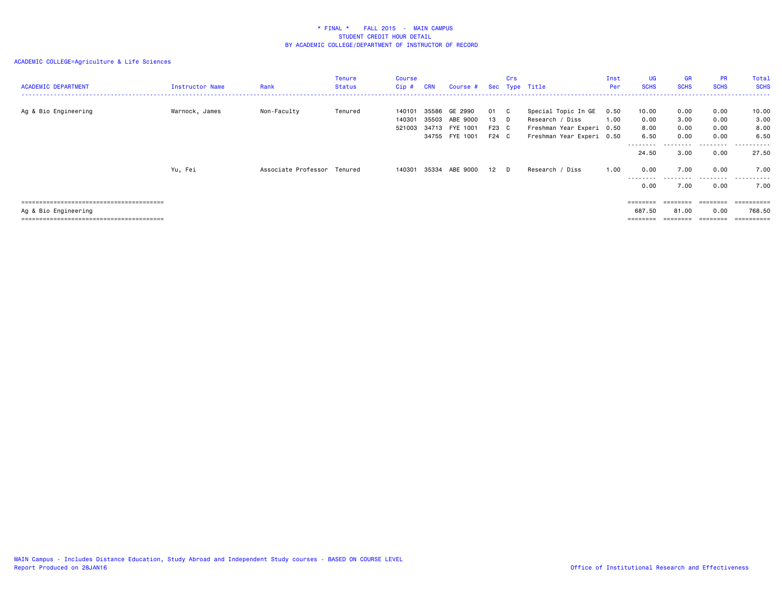| <b>ACADEMIC DEPARTMENT</b> | Instructor Name | Rank                        | Tenure<br><b>Status</b> | <b>Course</b><br>$Cip$ #   | <b>CRN</b> | Course #                                                      |                            | Crs        | Sec Type Title                                                                                   | Inst<br>Per  | UG<br><b>SCHS</b>             | GR<br><b>SCHS</b>            | <b>PR</b><br><b>SCHS</b>     | Total<br><b>SCHS</b>          |
|----------------------------|-----------------|-----------------------------|-------------------------|----------------------------|------------|---------------------------------------------------------------|----------------------------|------------|--------------------------------------------------------------------------------------------------|--------------|-------------------------------|------------------------------|------------------------------|-------------------------------|
| Ag & Bio Engineering       | Warnock, James  | Non-Faculty                 | Tenured                 | 140101<br>140301<br>521003 | 35586      | GE 2990<br>35503 ABE 9000<br>34713 FYE 1001<br>34755 FYE 1001 | 01<br>13<br>F23 C<br>F24 C | - C<br>- D | Special Topic In GE<br>Research / Diss<br>Freshman Year Experi 0.50<br>Freshman Year Experi 0.50 | 0.50<br>1.00 | 10.00<br>0.00<br>8.00<br>6.50 | 0.00<br>3.00<br>0.00<br>0.00 | 0.00<br>0.00<br>0.00<br>0.00 | 10.00<br>3.00<br>8.00<br>6.50 |
|                            | Yu, Fei         | Associate Professor Tenured |                         | 140301                     |            | 35334 ABE 9000                                                | 12                         | D          | Research /<br>/ Diss                                                                             | 1.00         | ---------<br>24.50<br>0.00    | 3.00<br>7.00                 | - - - - -<br>0.00<br>0.00    | .<br>27.50<br>7.00            |
|                            |                 |                             |                         |                            |            |                                                               |                            |            |                                                                                                  |              | ---------<br>0.00             | 7.00                         | .<br>0.00                    | .<br>7.00                     |
|                            |                 |                             |                         |                            |            |                                                               |                            |            |                                                                                                  |              | ========                      |                              | ========                     | ==========                    |
| Ag & Bio Engineering       |                 |                             |                         |                            |            |                                                               |                            |            |                                                                                                  |              | 687.50                        | 81.00                        | 0.00                         | 768.50                        |
|                            |                 |                             |                         |                            |            |                                                               |                            |            |                                                                                                  |              | ========                      |                              |                              | ==========                    |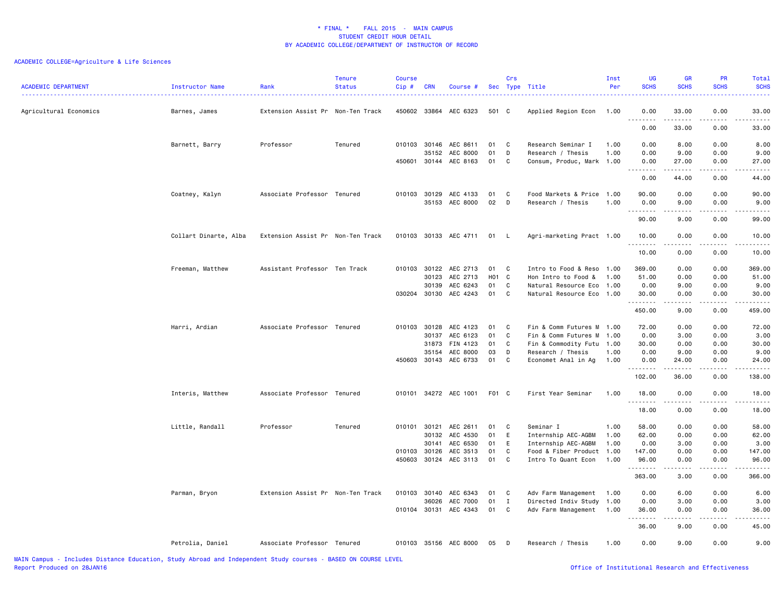| <b>ACADEMIC DEPARTMENT</b> | Instructor Name<br>. <u>.</u> . | Rank                              | <b>Tenure</b><br><b>Status</b> | <b>Course</b><br>Cip# | <b>CRN</b> | Course #                          |          | Crs               | Sec Type Title            | Inst<br>Per | UG<br><b>SCHS</b>            | <b>GR</b><br><b>SCHS</b>                                                                                                                                                                                                                                                                                                                                                                                                                                                                        | PR<br><b>SCHS</b> | Total<br><b>SCHS</b> |
|----------------------------|---------------------------------|-----------------------------------|--------------------------------|-----------------------|------------|-----------------------------------|----------|-------------------|---------------------------|-------------|------------------------------|-------------------------------------------------------------------------------------------------------------------------------------------------------------------------------------------------------------------------------------------------------------------------------------------------------------------------------------------------------------------------------------------------------------------------------------------------------------------------------------------------|-------------------|----------------------|
| Agricultural Economics     | Barnes, James                   | Extension Assist Pr Non-Ten Track |                                | 450602 33864          |            | AEC 6323                          | 501 C    |                   | Applied Region Econ       | 1.00        | 0.00                         | 33.00                                                                                                                                                                                                                                                                                                                                                                                                                                                                                           | 0.00              | 33.00                |
|                            |                                 |                                   |                                |                       |            |                                   |          |                   |                           |             | $\sim$ $\sim$ .<br>.<br>0.00 | 33.00                                                                                                                                                                                                                                                                                                                                                                                                                                                                                           | 0.00              | .<br>33.00           |
|                            | Barnett, Barry                  | Professor                         | Tenured                        | 010103 30146          |            | AEC 8611                          | 01       | C.                | Research Seminar I        | 1.00        | 0.00                         | 8.00                                                                                                                                                                                                                                                                                                                                                                                                                                                                                            | 0.00              | 8.00                 |
|                            |                                 |                                   |                                |                       | 35152      | AEC 8000                          | 01       | D                 | Research / Thesis         | 1.00        | 0.00                         | 9.00                                                                                                                                                                                                                                                                                                                                                                                                                                                                                            | 0.00              | 9.00                 |
|                            |                                 |                                   |                                | 450601                | 30144      | AEC 8163                          | 01       | C                 | Consum, Produc, Mark 1.00 |             | 0.00                         | 27.00<br>$\begin{array}{cccccccccccccc} \multicolumn{2}{c}{} & \multicolumn{2}{c}{} & \multicolumn{2}{c}{} & \multicolumn{2}{c}{} & \multicolumn{2}{c}{} & \multicolumn{2}{c}{} & \multicolumn{2}{c}{} & \multicolumn{2}{c}{} & \multicolumn{2}{c}{} & \multicolumn{2}{c}{} & \multicolumn{2}{c}{} & \multicolumn{2}{c}{} & \multicolumn{2}{c}{} & \multicolumn{2}{c}{} & \multicolumn{2}{c}{} & \multicolumn{2}{c}{} & \multicolumn{2}{c}{} & \multicolumn{2}{c}{} & \multicolumn{2}{c}{} & \$ | 0.00<br>.         | 27.00<br>.           |
|                            |                                 |                                   |                                |                       |            |                                   |          |                   |                           |             | 0.00                         | 44.00                                                                                                                                                                                                                                                                                                                                                                                                                                                                                           | 0.00              | 44.00                |
|                            | Coatney, Kalyn                  | Associate Professor Tenured       |                                | 010103                | 30129      | AEC 4133                          | 01       | C                 | Food Markets & Price      | 1.00        | 90.00                        | 0.00                                                                                                                                                                                                                                                                                                                                                                                                                                                                                            | 0.00              | 90.00                |
|                            |                                 |                                   |                                |                       | 35153      | AEC 8000                          | 02       | D                 | Research / Thesis         | 1.00        | 0.00                         | 9.00                                                                                                                                                                                                                                                                                                                                                                                                                                                                                            | 0.00              | 9.00                 |
|                            |                                 |                                   |                                |                       |            |                                   |          |                   |                           |             | 90.00                        | 9.00                                                                                                                                                                                                                                                                                                                                                                                                                                                                                            | 0.00              | 99.00                |
|                            | Collart Dinarte, Alba           | Extension Assist Pr Non-Ten Track |                                |                       |            | 010103 30133 AEC 4711             | 01       | - L               | Agri-marketing Pract 1.00 |             | 10.00<br>.                   | 0.00<br>$- - - -$                                                                                                                                                                                                                                                                                                                                                                                                                                                                               | 0.00<br>.         | 10.00<br>.           |
|                            |                                 |                                   |                                |                       |            |                                   |          |                   |                           |             | 10.00                        | 0.00                                                                                                                                                                                                                                                                                                                                                                                                                                                                                            | 0.00              | 10.00                |
|                            | Freeman, Matthew                | Assistant Professor Ten Track     |                                | 010103 30122          |            | AEC 2713                          | 01       | C                 | Intro to Food & Reso      | 1.00        | 369.00                       | 0.00                                                                                                                                                                                                                                                                                                                                                                                                                                                                                            | 0.00              | 369.00               |
|                            |                                 |                                   |                                |                       | 30123      | AEC 2713                          | H01 C    |                   | Hon Intro to Food &       | 1.00        | 51.00                        | 0.00                                                                                                                                                                                                                                                                                                                                                                                                                                                                                            | 0.00              | 51.00                |
|                            |                                 |                                   |                                |                       | 30139      | AEC 6243                          | 01       | C                 | Natural Resource Eco      | 1.00        | 0.00                         | 9.00                                                                                                                                                                                                                                                                                                                                                                                                                                                                                            | 0.00              | 9.00                 |
|                            |                                 |                                   |                                |                       |            | 030204 30130 AEC 4243             | 01       | C                 | Natural Resource Eco 1.00 |             | 30.00                        | 0.00<br>.                                                                                                                                                                                                                                                                                                                                                                                                                                                                                       | 0.00<br>.         | 30.00<br>.           |
|                            |                                 |                                   |                                |                       |            |                                   |          |                   |                           |             | 450.00                       | 9.00                                                                                                                                                                                                                                                                                                                                                                                                                                                                                            | 0.00              | 459.00               |
|                            | Harri, Ardian                   | Associate Professor Tenured       |                                | 010103 30128          |            | AEC 4123                          | 01       | C                 | Fin & Comm Futures M 1.00 |             | 72.00                        | 0.00                                                                                                                                                                                                                                                                                                                                                                                                                                                                                            | 0.00              | 72.00                |
|                            |                                 |                                   |                                |                       | 30137      | AEC 6123                          | 01       | C                 | Fin & Comm Futures M      | 1.00        | 0.00                         | 3.00                                                                                                                                                                                                                                                                                                                                                                                                                                                                                            | 0.00              | 3.00                 |
|                            |                                 |                                   |                                |                       | 31873      | FIN 4123                          | 01       | C                 | Fin & Commodity Futu      | 1.00        | 30.00                        | 0.00                                                                                                                                                                                                                                                                                                                                                                                                                                                                                            | 0.00              | 30.00                |
|                            |                                 |                                   |                                |                       | 35154      | AEC 8000                          | 03       | D                 | Research / Thesis         | 1.00        | 0.00                         | 9.00                                                                                                                                                                                                                                                                                                                                                                                                                                                                                            | 0.00              | 9.00                 |
|                            |                                 |                                   |                                | 450603 30143          |            | AEC 6733                          | 01       | C                 | Economet Anal in Ag       | 1.00        | 0.00<br>.                    | 24.00<br>$\frac{1}{2} \left( \frac{1}{2} \right) \left( \frac{1}{2} \right) \left( \frac{1}{2} \right) \left( \frac{1}{2} \right) \left( \frac{1}{2} \right)$                                                                                                                                                                                                                                                                                                                                   | 0.00<br>.         | 24.00<br>د د د د د   |
|                            |                                 |                                   |                                |                       |            |                                   |          |                   |                           |             | 102.00                       | 36.00                                                                                                                                                                                                                                                                                                                                                                                                                                                                                           | 0.00              | 138.00               |
|                            | Interis, Matthew                | Associate Professor Tenured       |                                |                       |            | 010101 34272 AEC 1001             | F01 C    |                   | First Year Seminar        | 1.00        | 18.00<br>.                   | 0.00<br>.                                                                                                                                                                                                                                                                                                                                                                                                                                                                                       | 0.00<br>.         | 18.00<br>.           |
|                            |                                 |                                   |                                |                       |            |                                   |          |                   |                           |             | 18.00                        | 0.00                                                                                                                                                                                                                                                                                                                                                                                                                                                                                            | 0.00              | 18.00                |
|                            | Little, Randall                 | Professor                         | Tenured                        | 010101 30121          |            | AEC 2611                          | 01       | C                 | Seminar I                 | 1.00        | 58.00                        | 0.00                                                                                                                                                                                                                                                                                                                                                                                                                                                                                            | 0.00              | 58.00                |
|                            |                                 |                                   |                                |                       | 30132      | AEC 4530                          | 01       | E                 | Internship AEC-AGBM       | 1.00        | 62.00                        | 0.00                                                                                                                                                                                                                                                                                                                                                                                                                                                                                            | 0.00              | 62.00                |
|                            |                                 |                                   |                                |                       | 30141      | AEC 6530                          | 01       | E                 | Internship AEC-AGBM       | 1.00        | 0.00                         | 3.00                                                                                                                                                                                                                                                                                                                                                                                                                                                                                            | 0.00              | 3.00                 |
|                            |                                 |                                   |                                | 010103 30126          |            | AEC 3513                          | 01       | C                 | Food & Fiber Product 1.00 |             | 147.00                       | 0.00                                                                                                                                                                                                                                                                                                                                                                                                                                                                                            | 0.00              | 147.00               |
|                            |                                 |                                   |                                | 450603 30124          |            | AEC 3113                          | 01       | C                 | Intro To Quant Econ       | 1.00        | 96.00<br><u>.</u>            | 0.00                                                                                                                                                                                                                                                                                                                                                                                                                                                                                            | 0.00<br>$- - -$   | 96.00<br>.           |
|                            |                                 |                                   |                                |                       |            |                                   |          |                   |                           |             | 363.00                       | 3.00                                                                                                                                                                                                                                                                                                                                                                                                                                                                                            | 0.00              | 366.00               |
|                            | Parman, Bryon                   | Extension Assist Pr Non-Ten Track |                                | 010103                | 30140      | AEC 6343                          | 01       | C                 | Adv Farm Management 1.00  |             | 0.00                         | 6.00                                                                                                                                                                                                                                                                                                                                                                                                                                                                                            | 0.00              | 6.00                 |
|                            |                                 |                                   |                                |                       | 36026      | AEC 7000<br>010104 30131 AEC 4343 | 01<br>01 | $\mathbf{I}$<br>C | Directed Indiv Study 1.00 |             | 0.00                         | 3.00<br>0.00                                                                                                                                                                                                                                                                                                                                                                                                                                                                                    | 0.00<br>0.00      | 3.00                 |
|                            |                                 |                                   |                                |                       |            |                                   |          |                   | Adv Farm Management 1.00  |             | 36.00                        | -----                                                                                                                                                                                                                                                                                                                                                                                                                                                                                           | .                 | 36.00<br>.           |
|                            |                                 |                                   |                                |                       |            |                                   |          |                   |                           |             | 36.00                        | 9.00                                                                                                                                                                                                                                                                                                                                                                                                                                                                                            | 0.00              | 45.00                |
|                            | Petrolia, Daniel                | Associate Professor Tenured       |                                |                       |            | 010103 35156 AEC 8000             | 05       | D                 | Research / Thesis         | 1.00        | 0.00                         | 9.00                                                                                                                                                                                                                                                                                                                                                                                                                                                                                            | 0.00              | 9.00                 |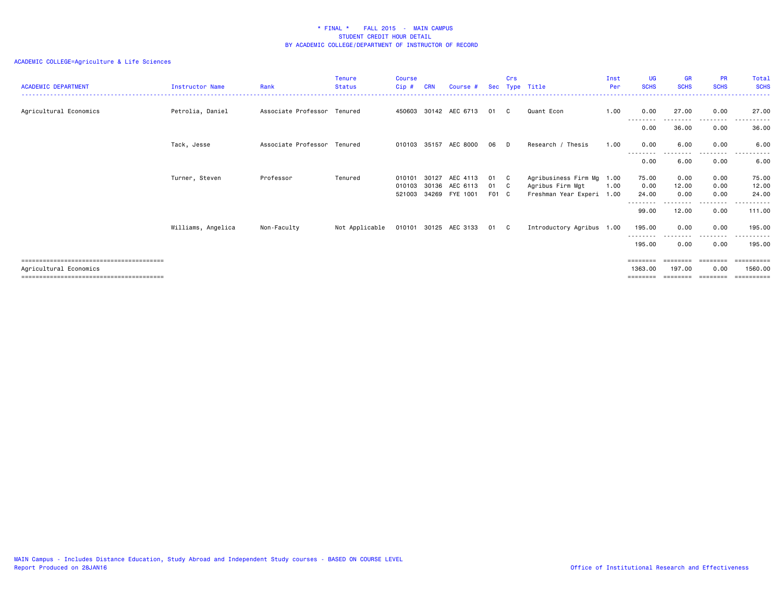| <b>ACADEMIC DEPARTMENT</b> | <b>Instructor Name</b> | Rank                        | <b>Tenure</b><br><b>Status</b> | <b>Course</b><br>$Cip$ # | <b>CRN</b> | Course #                         | Sec         | Crs          | Type Title                                    | Inst<br>Per | UG<br><b>SCHS</b>    | GR<br><b>SCHS</b>     | <b>PR</b><br><b>SCHS</b> | Total<br><b>SCHS</b>   |
|----------------------------|------------------------|-----------------------------|--------------------------------|--------------------------|------------|----------------------------------|-------------|--------------|-----------------------------------------------|-------------|----------------------|-----------------------|--------------------------|------------------------|
| Agricultural Economics     | Petrolia, Daniel       | Associate Professor Tenured |                                |                          |            | 450603 30142 AEC 6713            | 01          | C.           | Quant Econ                                    | 1.00        | 0.00<br>--------     | 27.00<br>---------    | 0.00<br>--------         | 27.00                  |
|                            |                        |                             |                                |                          |            |                                  |             |              |                                               |             | 0.00                 | 36.00                 | 0.00                     | 36.00                  |
|                            | Tack, Jesse            | Associate Professor Tenured |                                | 010103                   | 35157      | AEC 8000                         | 06          | D            | Research / Thesis                             | 1.00        | 0.00<br>. <b>.</b>   | 6.00                  | 0.00                     | 6.00                   |
|                            |                        |                             |                                |                          |            |                                  |             |              |                                               |             | 0.00                 | .<br>6.00             | ---------<br>0.00        | .<br>------<br>6.00    |
|                            | Turner, Steven         | Professor                   | Tenured                        | 010101                   | 30127      | AEC 4113                         | 01          | - C          | Agribusiness Firm Mg 1.00                     |             | 75.00                | 0.00                  | 0.00                     | 75.00                  |
|                            |                        |                             |                                | 010103<br>521003         |            | 30136 AEC 6113<br>34269 FYE 1001 | 01<br>F01 C | $\mathbf{C}$ | Agribus Firm Mgt<br>Freshman Year Experi 1.00 | 1.00        | 0.00<br>24.00        | 12.00<br>0.00         | 0.00<br>0.00             | 12.00<br>24.00         |
|                            |                        |                             |                                |                          |            |                                  |             |              |                                               |             |                      |                       | .                        |                        |
|                            |                        |                             |                                |                          |            |                                  |             |              |                                               |             | 99.00                | 12.00                 | 0.00                     | 111.00                 |
|                            | Williams, Angelica     | Non-Faculty                 | Not Applicable                 |                          |            | 010101 30125 AEC 3133            | 01 C        |              | Introductory Agribus 1.00                     |             | 195.00<br>. <b>.</b> | 0.00<br>$\frac{1}{2}$ | 0.00<br>---------        | 195.00<br>. <u>.</u> . |
|                            |                        |                             |                                |                          |            |                                  |             |              |                                               |             | 195.00               | 0.00                  | 0.00                     | 195.00                 |
|                            |                        |                             |                                |                          |            |                                  |             |              |                                               |             | ========             | ========              | ---------                | ==========             |
| Agricultural Economics     |                        |                             |                                |                          |            |                                  |             |              |                                               |             | 1363.00              | 197.00                | 0.00                     | 1560.00                |
|                            |                        |                             |                                |                          |            |                                  |             |              |                                               |             | ========             | ========              | --------                 |                        |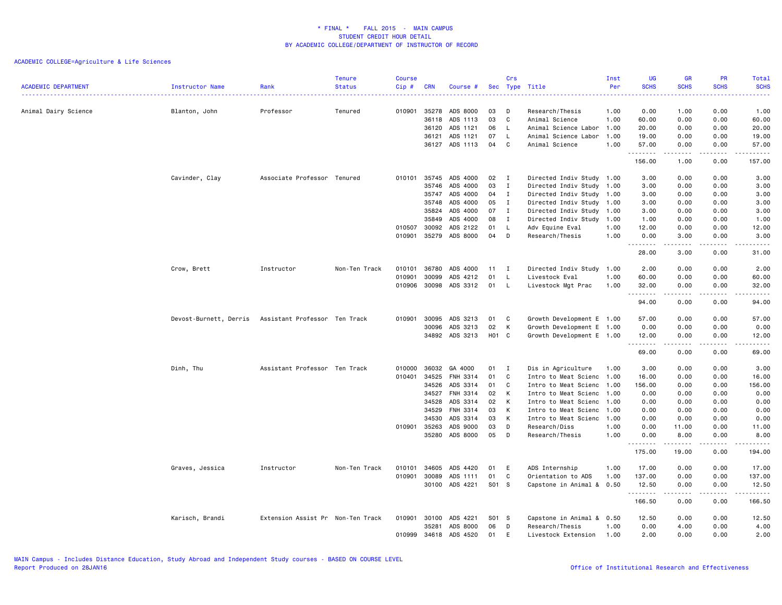| <b>ACADEMIC DEPARTMENT</b> | Instructor Name                                      | Rank<br>.                         | <b>Tenure</b><br><b>Status</b> | <b>Course</b><br>Cip# | <b>CRN</b>     | Course #             |              | Crs          | Sec Type Title                                  | Inst<br>Per<br><u>.</u> | UG<br><b>SCHS</b><br>. | <b>GR</b><br><b>SCHS</b> | PR<br><b>SCHS</b><br>. | Total<br><b>SCHS</b><br>$\frac{1}{2} \left( \frac{1}{2} \right) \left( \frac{1}{2} \right) \left( \frac{1}{2} \right) \left( \frac{1}{2} \right)$ |
|----------------------------|------------------------------------------------------|-----------------------------------|--------------------------------|-----------------------|----------------|----------------------|--------------|--------------|-------------------------------------------------|-------------------------|------------------------|--------------------------|------------------------|---------------------------------------------------------------------------------------------------------------------------------------------------|
| Animal Dairy Science       | Blanton, John                                        | Professor                         | Tenured                        | 010901                | 35278          | ADS 8000             | 03           | D            | Research/Thesis                                 | 1.00                    | 0.00                   | 1.00                     | 0.00                   | 1.00                                                                                                                                              |
|                            |                                                      |                                   |                                |                       | 36118          | ADS 1113             | 03           | C            | Animal Science                                  | 1.00                    | 60.00                  | 0.00                     | 0.00                   | 60.00                                                                                                                                             |
|                            |                                                      |                                   |                                |                       | 36120          | ADS 1121             | 06           | L.           | Animal Science Labor                            | 1.00                    | 20.00                  | 0.00                     | 0.00                   | 20.00                                                                                                                                             |
|                            |                                                      |                                   |                                |                       | 36121          | ADS 1121             | 07           | $\mathsf{L}$ | Animal Science Labor                            | 1.00                    | 19.00                  | 0.00                     | 0.00                   | 19.00                                                                                                                                             |
|                            |                                                      |                                   |                                |                       |                | 36127 ADS 1113       | 04           | C            | Animal Science                                  | 1.00                    | 57.00<br>.             | 0.00<br>.                | 0.00<br>د د د د        | 57.00<br>.                                                                                                                                        |
|                            |                                                      |                                   |                                |                       |                |                      |              |              |                                                 |                         | 156.00                 | 1.00                     | 0.00                   | 157.00                                                                                                                                            |
|                            | Cavinder, Clay                                       | Associate Professor Tenured       |                                | 010101                | 35745          | ADS 4000             | 02           | $\mathbf{I}$ | Directed Indiv Study 1.00                       |                         | 3.00                   | 0.00                     | 0.00                   | 3.00                                                                                                                                              |
|                            |                                                      |                                   |                                |                       | 35746          | ADS 4000             | 03           | $\mathbf{I}$ | Directed Indiv Study 1.00                       |                         | 3.00                   | 0.00                     | 0.00                   | 3.00                                                                                                                                              |
|                            |                                                      |                                   |                                |                       | 35747          | ADS 4000             | 04           | $\mathbf{I}$ | Directed Indiv Study 1.00                       |                         | 3.00                   | 0.00                     | 0.00                   | 3.00                                                                                                                                              |
|                            |                                                      |                                   |                                |                       | 35748          | ADS 4000             | 05           | $\mathbf{I}$ | Directed Indiv Study 1.00                       |                         | 3.00                   | 0.00                     | 0.00                   | 3.00                                                                                                                                              |
|                            |                                                      |                                   |                                |                       | 35824          | ADS 4000             | 07           | $\mathbf{I}$ | Directed Indiv Study 1.00                       |                         | 3.00                   | 0.00                     | 0.00                   | 3.00                                                                                                                                              |
|                            |                                                      |                                   |                                |                       | 35849          | ADS 4000             | 08           | $\mathbf{I}$ | Directed Indiv Study 1.00                       |                         | 1.00                   | 0.00                     | 0.00                   | 1.00                                                                                                                                              |
|                            |                                                      |                                   |                                | 010507                | 30092          | ADS 2122             | 01           | L.           | Adv Equine Eval                                 | 1.00                    | 12.00                  | 0.00                     | 0.00                   | 12.00                                                                                                                                             |
|                            |                                                      |                                   |                                | 010901                | 35279          | ADS 8000             | 04           | D            | Research/Thesis                                 | 1.00                    | 0.00<br>. <b>.</b>     | 3.00<br>.                | 0.00<br>$\frac{1}{2}$  | 3.00<br>.                                                                                                                                         |
|                            |                                                      |                                   |                                |                       |                |                      |              |              |                                                 |                         | 28.00                  | 3.00                     | 0.00                   | 31.00                                                                                                                                             |
|                            | Crow, Brett                                          | Instructor                        | Non-Ten Track                  | 010101                | 36780          | ADS 4000             | $11 \quad I$ |              | Directed Indiv Study 1.00                       |                         | 2.00                   | 0.00                     | 0.00                   | 2.00                                                                                                                                              |
|                            |                                                      |                                   |                                | 010901                | 30099          | ADS 4212             | 01           | L            | Livestock Eval                                  | 1.00                    | 60.00                  | 0.00                     | 0.00                   | 60.00                                                                                                                                             |
|                            |                                                      |                                   |                                | 010906                | 30098          | ADS 3312             | 01           | L.           | Livestock Mgt Prac                              | 1.00                    | 32.00                  | 0.00                     | 0.00                   | 32.00                                                                                                                                             |
|                            |                                                      |                                   |                                |                       |                |                      |              |              |                                                 |                         | .<br>94.00             | .<br>0.00                | $\frac{1}{2}$<br>0.00  | د د د د د<br>94.00                                                                                                                                |
|                            | Devost-Burnett, Derris Assistant Professor Ten Track |                                   |                                | 010901                | 30095          | ADS 3213             | 01           | C            | Growth Development E 1.00                       |                         | 57.00                  | 0.00                     | 0.00                   | 57.00                                                                                                                                             |
|                            |                                                      |                                   |                                |                       | 30096          | ADS 3213             | 02           | К            | Growth Development E 1.00                       |                         | 0.00                   | 0.00                     | 0.00                   | 0.00                                                                                                                                              |
|                            |                                                      |                                   |                                |                       |                | 34892 ADS 3213       | H01 C        |              | Growth Development E 1.00                       |                         | 12.00<br><b></b>       | 0.00<br>$- - - -$        | 0.00<br>$\frac{1}{2}$  | 12.00<br>$\frac{1}{2}$                                                                                                                            |
|                            |                                                      |                                   |                                |                       |                |                      |              |              |                                                 |                         | 69.00                  | 0.00                     | 0.00                   | 69.00                                                                                                                                             |
|                            | Dinh, Thu                                            | Assistant Professor Ten Track     |                                | 010000                | 36032          | GA 4000              | 01           | $\mathbf I$  | Dis in Agriculture                              | 1.00                    | 3.00                   | 0.00                     | 0.00                   | 3.00                                                                                                                                              |
|                            |                                                      |                                   |                                | 010401                | 34525          | FNH 3314             | 01           | C            | Intro to Meat Scienc                            | 1.00                    | 16.00                  | 0.00                     | 0.00                   | 16.00                                                                                                                                             |
|                            |                                                      |                                   |                                |                       | 34526          | ADS 3314             | 01           | C            | Intro to Meat Scienc 1.00                       |                         | 156.00                 | 0.00                     | 0.00                   | 156.00                                                                                                                                            |
|                            |                                                      |                                   |                                |                       | 34527          | FNH 3314             | 02           | К            | Intro to Meat Scienc 1.00                       |                         | 0.00                   | 0.00                     | 0.00                   | 0.00                                                                                                                                              |
|                            |                                                      |                                   |                                |                       | 34528          | ADS 3314             | 02           | К            | Intro to Meat Scienc                            | 1.00                    | 0.00                   | 0.00                     | 0.00                   | 0.00                                                                                                                                              |
|                            |                                                      |                                   |                                |                       | 34529          | FNH 3314             | 03           | К            | Intro to Meat Scienc                            | 1.00                    | 0.00                   | 0.00                     | 0.00                   | 0.00                                                                                                                                              |
|                            |                                                      |                                   |                                |                       | 34530          | ADS 3314             | 03           | К            | Intro to Meat Scienc 1.00                       |                         | 0.00                   | 0.00                     | 0.00                   | 0.00                                                                                                                                              |
|                            |                                                      |                                   |                                | 010901                | 35263<br>35280 | ADS 9000<br>ADS 8000 | 03<br>05     | D<br>D       | Research/Diss<br>Research/Thesis                | 1.00<br>1.00            | 0.00<br>0.00           | 11.00<br>8.00            | 0.00<br>0.00           | 11.00<br>8.00                                                                                                                                     |
|                            |                                                      |                                   |                                |                       |                |                      |              |              |                                                 |                         | <b></b><br>175.00      | 19.00                    | 0.00                   | .<br>194.00                                                                                                                                       |
|                            |                                                      |                                   |                                |                       |                |                      |              |              |                                                 |                         |                        |                          |                        |                                                                                                                                                   |
|                            | Graves, Jessica                                      | Instructor                        | Non-Ten Track                  | 010101                | 34605          | ADS 4420             | 01           | E            | ADS Internship                                  | 1.00                    | 17.00                  | 0.00                     | 0.00                   | 17.00                                                                                                                                             |
|                            |                                                      |                                   |                                | 010901                | 30089<br>30100 | ADS 1111<br>ADS 4221 | 01<br>S01 S  | C            | Orientation to ADS<br>Capstone in Animal & 0.50 | 1.00                    | 137.00<br>12.50        | 0.00<br>0.00             | 0.00<br>0.00           | 137.00<br>12.50                                                                                                                                   |
|                            |                                                      |                                   |                                |                       |                |                      |              |              |                                                 |                         | .                      |                          | $\frac{1}{2}$          | .                                                                                                                                                 |
|                            |                                                      |                                   |                                |                       |                |                      |              |              |                                                 |                         | 166.50                 | 0.00                     | 0.00                   | 166.50                                                                                                                                            |
|                            | Karisch, Brandi                                      | Extension Assist Pr Non-Ten Track |                                | 010901                | 30100          | ADS 4221             | S01 S        |              | Capstone in Animal & 0.50                       |                         | 12.50                  | 0.00                     | 0.00                   | 12.50                                                                                                                                             |
|                            |                                                      |                                   |                                |                       | 35281          | ADS 8000             | 06           | D            | Research/Thesis                                 | 1.00                    | 0.00                   | 4.00                     | 0.00                   | 4.00                                                                                                                                              |
|                            |                                                      |                                   |                                | 010999                | 34618          | ADS 4520             | 01           | E            | Livestock Extension                             | 1.00                    | 2.00                   | 0.00                     | 0.00                   | 2.00                                                                                                                                              |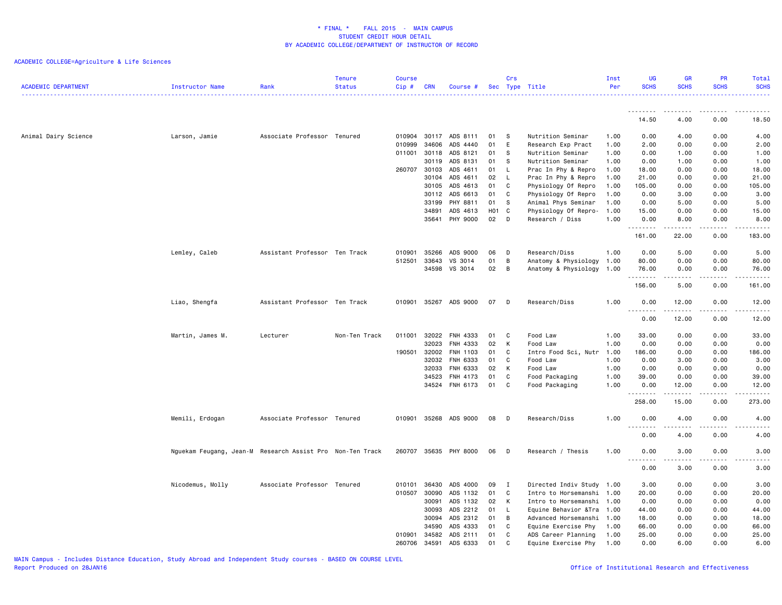| <b>ACADEMIC DEPARTMENT</b> | Instructor Name                                           | Rank                          | <b>Tenure</b><br><b>Status</b> | <b>Course</b><br>Cip# | <b>CRN</b> | Course #       |       | Crs            | Sec Type Title                                    | Inst<br>Per | <b>UG</b><br><b>SCHS</b> | <b>GR</b><br><b>SCHS</b>                                                                                                                                                                                                                                                                                                                      | PR<br><b>SCHS</b> | Total<br><b>SCHS</b>   |
|----------------------------|-----------------------------------------------------------|-------------------------------|--------------------------------|-----------------------|------------|----------------|-------|----------------|---------------------------------------------------|-------------|--------------------------|-----------------------------------------------------------------------------------------------------------------------------------------------------------------------------------------------------------------------------------------------------------------------------------------------------------------------------------------------|-------------------|------------------------|
|                            |                                                           |                               |                                |                       |            |                |       |                |                                                   |             | .                        | ----                                                                                                                                                                                                                                                                                                                                          |                   |                        |
|                            |                                                           |                               |                                |                       |            |                |       |                |                                                   |             | 14.50                    | 4.00                                                                                                                                                                                                                                                                                                                                          | 0.00              | 18.50                  |
| Animal Dairy Science       | Larson, Jamie                                             | Associate Professor Tenured   |                                | 010904                | 30117      | ADS 8111       | 01    | S              | Nutrition Seminar                                 | 1.00        | 0.00                     | 4.00                                                                                                                                                                                                                                                                                                                                          | 0.00              | 4.00                   |
|                            |                                                           |                               |                                | 010999                | 34606      | ADS 4440       | 01    | E              | Research Exp Pract                                | 1.00        | 2.00                     | 0.00                                                                                                                                                                                                                                                                                                                                          | 0.00              | 2.00                   |
|                            |                                                           |                               |                                | 011001                | 30118      | ADS 8121       | 01    | -S             | Nutrition Seminar                                 | 1.00        | 0.00                     | 1.00                                                                                                                                                                                                                                                                                                                                          | 0.00              | 1.00                   |
|                            |                                                           |                               |                                |                       | 30119      | ADS 8131       | 01    | - S            | Nutrition Seminar                                 | 1.00        | 0.00                     | 1.00                                                                                                                                                                                                                                                                                                                                          | 0.00              | 1.00                   |
|                            |                                                           |                               |                                | 260707 30103          |            | ADS 4611       | 01    | <b>L</b>       | Prac In Phy & Repro                               | 1.00        | 18.00                    | 0.00                                                                                                                                                                                                                                                                                                                                          | 0.00              | 18.00                  |
|                            |                                                           |                               |                                |                       | 30104      | ADS 4611       | 02    | $\mathsf{L}$   | Prac In Phy & Repro                               | 1.00        | 21.00                    | 0.00                                                                                                                                                                                                                                                                                                                                          | 0.00              | 21.00                  |
|                            |                                                           |                               |                                |                       | 30105      | ADS 4613       | 01    | C              | Physiology Of Repro                               | 1.00        | 105.00                   | 0.00                                                                                                                                                                                                                                                                                                                                          | 0.00              | 105.00                 |
|                            |                                                           |                               |                                |                       | 30112      | ADS 6613       | 01    | C              | Physiology Of Repro                               | 1.00        | 0.00                     | 3.00                                                                                                                                                                                                                                                                                                                                          | 0.00              | 3.00                   |
|                            |                                                           |                               |                                |                       | 33199      | PHY 8811       | 01    | S              | Animal Phys Seminar                               | 1.00        | 0.00                     | 5.00                                                                                                                                                                                                                                                                                                                                          | 0.00              | 5.00                   |
|                            |                                                           |                               |                                |                       | 34891      | ADS 4613       | H01 C |                | Physiology Of Repro-                              | 1.00        | 15.00                    | 0.00                                                                                                                                                                                                                                                                                                                                          | 0.00              | 15.00                  |
|                            |                                                           |                               |                                |                       |            | 35641 PHY 9000 | 02    | $\Box$         | Research / Diss                                   | 1.00        | 0.00<br>.                | 8.00<br>$- - - - -$                                                                                                                                                                                                                                                                                                                           | 0.00<br>.         | 8.00<br>.              |
|                            |                                                           |                               |                                |                       |            |                |       |                |                                                   |             | 161.00                   | 22.00                                                                                                                                                                                                                                                                                                                                         | 0.00              | 183.00                 |
|                            | Lemley, Caleb                                             | Assistant Professor Ten Track |                                | 010901                | 35266      | ADS 9000       | 06    | D              | Research/Diss                                     | 1.00        | 0.00                     | 5.00                                                                                                                                                                                                                                                                                                                                          | 0.00              | 5.00                   |
|                            |                                                           |                               |                                | 512501                | 33643      | VS 3014        | 01    | B              | Anatomy & Physiology                              | 1.00        | 80.00                    | 0.00                                                                                                                                                                                                                                                                                                                                          | 0.00              | 80.00                  |
|                            |                                                           |                               |                                |                       | 34598      | VS 3014        | 02    | B              | Anatomy & Physiology 1.00                         |             | 76.00                    | 0.00                                                                                                                                                                                                                                                                                                                                          | 0.00              | 76.00                  |
|                            |                                                           |                               |                                |                       |            |                |       |                |                                                   |             | .                        | $\frac{1}{2} \left( \frac{1}{2} \right) \left( \frac{1}{2} \right) \left( \frac{1}{2} \right) \left( \frac{1}{2} \right) \left( \frac{1}{2} \right)$                                                                                                                                                                                          | .                 | .                      |
|                            |                                                           |                               |                                |                       |            |                |       |                |                                                   |             | 156.00                   | 5.00                                                                                                                                                                                                                                                                                                                                          | 0.00              | 161.00                 |
|                            | Liao, Shengfa                                             | Assistant Professor Ten Track |                                | 010901                |            | 35267 ADS 9000 | 07    | - D            | Research/Diss                                     | 1.00        | 0.00<br><u>.</u>         | 12.00                                                                                                                                                                                                                                                                                                                                         | 0.00<br>.         | 12.00<br>$\frac{1}{2}$ |
|                            |                                                           |                               |                                |                       |            |                |       |                |                                                   |             | 0.00                     | د د د د د<br>12.00                                                                                                                                                                                                                                                                                                                            | 0.00              | 12.00                  |
|                            | Martin, James M.                                          | Lecturer                      | Non-Ten Track                  | 011001                | 32022      | FNH 4333       | 01    | $\mathbf{C}$   | Food Law                                          | 1.00        | 33.00                    | 0.00                                                                                                                                                                                                                                                                                                                                          | 0.00              | 33.00                  |
|                            |                                                           |                               |                                |                       | 32023      | FNH 4333       | 02    | K              | Food Law                                          | 1.00        | 0.00                     | 0.00                                                                                                                                                                                                                                                                                                                                          | 0.00              | 0.00                   |
|                            |                                                           |                               |                                | 190501                | 32002      | FNH 1103       | 01    | C              | Intro Food Sci, Nutr                              | 1.00        | 186.00                   | 0.00                                                                                                                                                                                                                                                                                                                                          | 0.00              | 186.00                 |
|                            |                                                           |                               |                                |                       | 32032      | FNH 6333       | 01    | C              | Food Law                                          | 1.00        | 0.00                     | 3.00                                                                                                                                                                                                                                                                                                                                          | 0.00              | 3.00                   |
|                            |                                                           |                               |                                |                       | 32033      | FNH 6333       | 02    | K              | Food Law                                          | 1.00        | 0.00                     | 0.00                                                                                                                                                                                                                                                                                                                                          | 0.00              | 0.00                   |
|                            |                                                           |                               |                                |                       |            | FNH 4173       | 01    | C              |                                                   | 1.00        | 39.00                    | 0.00                                                                                                                                                                                                                                                                                                                                          | 0.00              | 39.00                  |
|                            |                                                           |                               |                                |                       | 34523      | 34524 FNH 6173 | 01    |                | Food Packaging                                    |             |                          |                                                                                                                                                                                                                                                                                                                                               |                   |                        |
|                            |                                                           |                               |                                |                       |            |                |       | C              | Food Packaging                                    | 1.00        | 0.00<br>.                | 12.00<br>$\frac{1}{2} \left( \begin{array}{ccc} 1 & 0 & 0 & 0 \\ 0 & 0 & 0 & 0 \\ 0 & 0 & 0 & 0 \\ 0 & 0 & 0 & 0 \\ 0 & 0 & 0 & 0 \\ 0 & 0 & 0 & 0 \\ 0 & 0 & 0 & 0 \\ 0 & 0 & 0 & 0 \\ 0 & 0 & 0 & 0 \\ 0 & 0 & 0 & 0 \\ 0 & 0 & 0 & 0 & 0 \\ 0 & 0 & 0 & 0 & 0 \\ 0 & 0 & 0 & 0 & 0 \\ 0 & 0 & 0 & 0 & 0 \\ 0 & 0 & 0 & 0 & 0 \\ 0 & 0 & 0$ | 0.00              | 12.00                  |
|                            |                                                           |                               |                                |                       |            |                |       |                |                                                   |             | 258.00                   | 15.00                                                                                                                                                                                                                                                                                                                                         | 0.00              | 273.00                 |
|                            | Memili, Erdogan                                           | Associate Professor Tenured   |                                | 010901                |            | 35268 ADS 9000 | 08    | $\overline{D}$ | Research/Diss                                     | 1.00        | 0.00<br><u>.</u>         | 4.00<br>$\sim$ $\sim$ $\sim$                                                                                                                                                                                                                                                                                                                  | 0.00<br>.         | 4.00                   |
|                            |                                                           |                               |                                |                       |            |                |       |                |                                                   |             | 0.00                     | 4.00                                                                                                                                                                                                                                                                                                                                          | 0.00              | 4.00                   |
|                            | Nguekam Feugang, Jean-M Research Assist Pro Non-Ten Track |                               |                                | 260707                |            | 35635 PHY 8000 | 06    | D              | Research / Thesis                                 | 1.00        | 0.00                     | 3.00                                                                                                                                                                                                                                                                                                                                          | 0.00              | 3.00                   |
|                            |                                                           |                               |                                |                       |            |                |       |                |                                                   |             | .<br>0.00                | ----<br>3.00                                                                                                                                                                                                                                                                                                                                  | 0.00              | ----<br>3.00           |
|                            | Nicodemus, Molly                                          | Associate Professor Tenured   |                                | 010101                | 36430      | ADS 4000       | 09    | I              | Directed Indiv Study 1.00                         |             | 3.00                     | 0.00                                                                                                                                                                                                                                                                                                                                          | 0.00              | 3.00                   |
|                            |                                                           |                               |                                | 010507                | 30090      | ADS 1132       | 01    | C              | Intro to Horsemanshi                              | 1.00        | 20.00                    | 0.00                                                                                                                                                                                                                                                                                                                                          | 0.00              | 20.00                  |
|                            |                                                           |                               |                                |                       | 30091      | ADS 1132       | 02    | K              |                                                   |             | 0.00                     | 0.00                                                                                                                                                                                                                                                                                                                                          | 0.00              | 0.00                   |
|                            |                                                           |                               |                                |                       | 30093      | ADS 2212       | 01    | - L            | Intro to Horsemanshi 1.00                         | 1.00        | 44.00                    | 0.00                                                                                                                                                                                                                                                                                                                                          | 0.00              | 44.00                  |
|                            |                                                           |                               |                                |                       | 30094      | ADS 2312       | 01    | B              | Equine Behavior &Tra<br>Advanced Horsemanshi 1.00 |             | 18.00                    | 0.00                                                                                                                                                                                                                                                                                                                                          | 0.00              | 18.00                  |
|                            |                                                           |                               |                                |                       | 34590      | ADS 4333       | 01    | C              |                                                   | 1.00        | 66.00                    | 0.00                                                                                                                                                                                                                                                                                                                                          | 0.00              | 66.00                  |
|                            |                                                           |                               |                                | 010901                | 34582      | ADS 2111       | 01    | C              | Equine Exercise Phy<br>ADS Career Planning        | 1.00        | 25.00                    | 0.00                                                                                                                                                                                                                                                                                                                                          | 0.00              | 25.00                  |
|                            |                                                           |                               |                                | 260706                | 34591      | ADS 6333       | 01    | C              | Equine Exercise Phy                               | 1.00        | 0.00                     | 6.00                                                                                                                                                                                                                                                                                                                                          | 0.00              | 6.00                   |
|                            |                                                           |                               |                                |                       |            |                |       |                |                                                   |             |                          |                                                                                                                                                                                                                                                                                                                                               |                   |                        |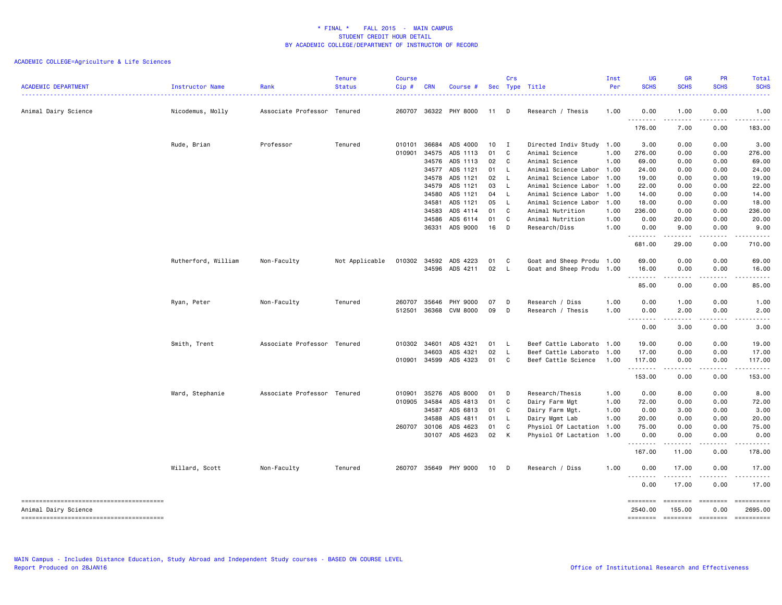| <b>ACADEMIC DEPARTMENT</b> | Instructor Name     | Rank                        | <b>Tenure</b><br><b>Status</b> | Course<br>Cip# | <b>CRN</b>   | Course #              |      | Crs            | Sec Type Title            | Inst<br>Per | UG<br><b>SCHS</b>   | <b>GR</b><br><b>SCHS</b>     | PR<br><b>SCHS</b> | Total<br><b>SCHS</b>  |
|----------------------------|---------------------|-----------------------------|--------------------------------|----------------|--------------|-----------------------|------|----------------|---------------------------|-------------|---------------------|------------------------------|-------------------|-----------------------|
| Animal Dairy Science       | Nicodemus, Molly    | Associate Professor Tenured |                                | 260707         |              | 36322 PHY 8000        | 11 D |                | Research / Thesis         | 1.00        | 0.00<br>.           | 1.00<br>.                    | 0.00<br>-----     | 1.00<br>$\cdots$      |
|                            |                     |                             |                                |                |              |                       |      |                |                           |             | 176.00              | 7.00                         | 0.00              | 183.00                |
|                            | Rude, Brian         | Professor                   | Tenured                        | 010101         | 36684        | ADS 4000              | 10   | $\blacksquare$ | Directed Indiv Study      | 1.00        | 3.00                | 0.00                         | 0.00              | 3.00                  |
|                            |                     |                             |                                | 010901         | 34575        | ADS 1113              | 01   | $\mathbf{C}$   | Animal Science            | 1.00        | 276.00              | 0.00                         | 0.00              | 276.00                |
|                            |                     |                             |                                |                | 34576        | ADS 1113              | 02   | $\mathbf{C}$   | Animal Science            | 1.00        | 69.00               | 0.00                         | 0.00              | 69.00                 |
|                            |                     |                             |                                |                | 34577        | ADS 1121              | 01   | - L            | Animal Science Labor 1.00 |             | 24.00               | 0.00                         | 0.00              | 24.00                 |
|                            |                     |                             |                                |                | 34578        | ADS 1121              | 02   | $\mathsf{L}$   | Animal Science Labor      | 1.00        | 19.00               | 0.00                         | 0.00              | 19.00                 |
|                            |                     |                             |                                |                | 34579        | ADS 1121              | 03   | L              | Animal Science Labor      | 1.00        | 22.00               | 0.00                         | 0.00              | 22.00                 |
|                            |                     |                             |                                |                | 34580        | ADS 1121              | 04   | - L            | Animal Science Labor      | 1.00        | 14.00               | 0.00                         | 0.00              | 14.00                 |
|                            |                     |                             |                                |                | 34581        | ADS 1121              | 05   | $\mathsf{L}$   | Animal Science Labor      | 1.00        | 18.00               | 0.00                         | 0.00              | 18.00                 |
|                            |                     |                             |                                |                | 34583        | ADS 4114              | 01   | $\overline{C}$ | Animal Nutrition          | 1.00        | 236.00              | 0.00                         | 0.00              | 236.00                |
|                            |                     |                             |                                |                | 34586        | ADS 6114              | 01   | C.             | Animal Nutrition          | 1.00        | 0.00                | 20.00                        | 0.00              | 20.00                 |
|                            |                     |                             |                                |                | 36331        | ADS 9000              | 16   | D              | Research/Diss             | 1.00        | 0.00                | 9.00                         | 0.00              | 9.00                  |
|                            |                     |                             |                                |                |              |                       |      |                |                           |             | .<br>681.00         | .<br>29.00                   | .<br>0.00         | 710.00                |
|                            |                     |                             |                                |                |              |                       |      |                | Goat and Sheep Produ 1.00 |             |                     | 0.00                         | 0.00              |                       |
|                            | Rutherford, William | Non-Faculty                 | Not Applicable                 | 010302         |              | 34592 ADS 4223        | 01   | C              |                           |             | 69.00               |                              |                   | 69.00                 |
|                            |                     |                             |                                |                |              | 34596 ADS 4211        | 02   | - L            | Goat and Sheep Produ      | 1.00        | 16.00<br>.          | 0.00<br>.                    | 0.00<br>.         | 16.00<br>.            |
|                            |                     |                             |                                |                |              |                       |      |                |                           |             | 85.00               | 0.00                         | 0.00              | 85.00                 |
|                            | Ryan, Peter         | Non-Faculty                 | Tenured                        | 260707         | 35646        | PHY 9000              | 07   | D              | Research / Diss           | 1.00        | 0.00                | 1.00                         | 0.00              | 1.00                  |
|                            |                     |                             |                                | 512501         | 36368        | CVM 8000              | 09   | D              | Research / Thesis         | 1.00        | 0.00<br><u>.</u>    | 2.00<br>$\frac{1}{2}$        | 0.00<br>.         | 2.00<br>.             |
|                            |                     |                             |                                |                |              |                       |      |                |                           |             | 0.00                | 3.00                         | 0.00              | 3,00                  |
|                            | Smith, Trent        | Associate Professor Tenured |                                | 010302         | 34601        | ADS 4321              | 01   | - L            | Beef Cattle Laborato      | 1.00        | 19.00               | 0.00                         | 0.00              | 19.00                 |
|                            |                     |                             |                                |                | 34603        | ADS 4321              | 02   | L              | Beef Cattle Laborato      | 1.00        | 17.00               | 0.00                         | 0.00              | 17.00                 |
|                            |                     |                             |                                | 010901         | 34599        | ADS 4323              | 01 C |                | Beef Cattle Science       | 1.00        | 117.00<br>.         | 0.00<br>$\sim$ $\sim$ $\sim$ | 0.00<br>.         | 117.00<br>.           |
|                            |                     |                             |                                |                |              |                       |      |                |                           |             | 153.00              | 0.00                         | 0.00              | 153.00                |
|                            | Ward, Stephanie     | Associate Professor Tenured |                                | 010901         | 35276        | ADS 8000              | 01 D |                | Research/Thesis           | 1.00        | 0.00                | 8.00                         | 0.00              | 8.00                  |
|                            |                     |                             |                                | 010905         | 34584        | ADS 4813              | 01   | C              | Dairy Farm Mgt            | 1.00        | 72.00               | 0.00                         | 0.00              | 72.00                 |
|                            |                     |                             |                                |                | 34587        | ADS 6813              | 01   | C              | Dairy Farm Mgt.           | 1.00        | 0.00                | 3.00                         | 0.00              | 3.00                  |
|                            |                     |                             |                                |                | 34588        | ADS 4811              | 01   | L.             | Dairy Mgmt Lab            | 1.00        | 20.00               | 0.00                         | 0.00              | 20.00                 |
|                            |                     |                             |                                |                | 260707 30106 | ADS 4623              | 01   | C              | Physiol Of Lactation      | 1.00        | 75.00               | 0.00                         | 0.00              | 75.00                 |
|                            |                     |                             |                                |                |              | 30107 ADS 4623        | 02   | K              | Physiol Of Lactation 1.00 |             | 0.00<br><u>.</u>    | 0.00<br>.                    | 0.00<br><u>.</u>  | 0.00<br><u>.</u>      |
|                            |                     |                             |                                |                |              |                       |      |                |                           |             | 167.00              | 11.00                        | 0.00              | 178.00                |
|                            | Willard, Scott      | Non-Faculty                 | Tenured                        |                |              | 260707 35649 PHY 9000 | 10   | D              | Research / Diss           | 1.00        | 0.00                | 17.00                        | 0.00              | 17.00                 |
|                            |                     |                             |                                |                |              |                       |      |                |                           |             | .<br>0.00           | 17.00                        | 0.00              | 17.00                 |
| Animal Dairy Science       |                     |                             |                                |                |              |                       |      |                |                           |             | ========<br>2540.00 | ========<br>155.00           | 0.00              | ==========<br>2695.00 |
|                            |                     |                             |                                |                |              |                       |      |                |                           |             | ========            | $= 10000000000$              | $=$ ========      | ==========            |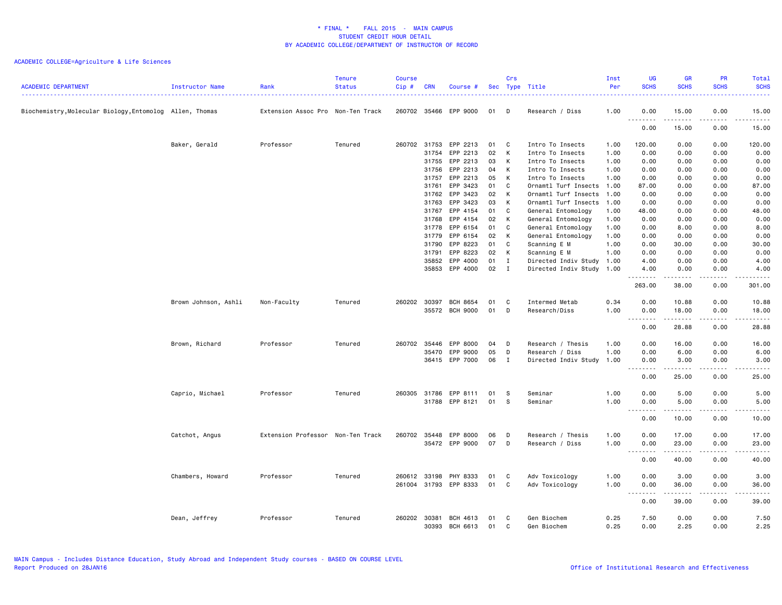| <b>ACADEMIC DEPARTMENT</b>                               | Instructor Name      | Rank                              | <b>Tenure</b><br><b>Status</b> | <b>Course</b><br>Cip# | <b>CRN</b> | Course #        |    | Crs          | Sec Type Title            | Inst<br>Per | UG<br><b>SCHS</b>          | <b>GR</b><br><b>SCHS</b>                                                                                                                                      | PR<br><b>SCHS</b>                   | Total<br><b>SCHS</b><br>$\frac{1}{2} \left( \frac{1}{2} \right) \left( \frac{1}{2} \right) \left( \frac{1}{2} \right) \left( \frac{1}{2} \right)$            |
|----------------------------------------------------------|----------------------|-----------------------------------|--------------------------------|-----------------------|------------|-----------------|----|--------------|---------------------------|-------------|----------------------------|---------------------------------------------------------------------------------------------------------------------------------------------------------------|-------------------------------------|--------------------------------------------------------------------------------------------------------------------------------------------------------------|
| Biochemistry, Molecular Biology, Entomolog Allen, Thomas |                      | Extension Assoc Pro Non-Ten Track |                                | 260702 35466          |            | EPP 9000        | 01 | D            | Research / Diss           | 1.00        | 0.00                       | 15.00                                                                                                                                                         | 0.00                                | 15.00                                                                                                                                                        |
|                                                          |                      |                                   |                                |                       |            |                 |    |              |                           |             | <b></b><br>0.00            | $\frac{1}{2} \left( \frac{1}{2} \right) \left( \frac{1}{2} \right) \left( \frac{1}{2} \right) \left( \frac{1}{2} \right) \left( \frac{1}{2} \right)$<br>15.00 | $\sim$ $\sim$ $\sim$ $\sim$<br>0.00 | د د د د د<br>15.00                                                                                                                                           |
|                                                          | Baker, Gerald        | Professor                         | Tenured                        | 260702 31753          |            | EPP 2213        | 01 | C            | Intro To Insects          | 1.00        | 120.00                     | 0.00                                                                                                                                                          | 0.00                                | 120.00                                                                                                                                                       |
|                                                          |                      |                                   |                                |                       | 31754      | EPP 2213        | 02 | K            | Intro To Insects          | 1.00        | 0.00                       | 0.00                                                                                                                                                          | 0.00                                | 0.00                                                                                                                                                         |
|                                                          |                      |                                   |                                |                       | 31755      | EPP 2213        | 03 | К            | Intro To Insects          | 1.00        | 0.00                       | 0.00                                                                                                                                                          | 0.00                                | 0.00                                                                                                                                                         |
|                                                          |                      |                                   |                                |                       | 31756      | EPP 2213        | 04 | К            | Intro To Insects          | 1.00        | 0.00                       | 0.00                                                                                                                                                          | 0.00                                | 0.00                                                                                                                                                         |
|                                                          |                      |                                   |                                |                       | 31757      | EPP 2213        | 05 | K            | Intro To Insects          | 1.00        | 0.00                       | 0.00                                                                                                                                                          | 0.00                                | 0.00                                                                                                                                                         |
|                                                          |                      |                                   |                                |                       | 31761      | EPP 3423        | 01 | C            | Ornamtl Turf Insects      | 1.00        | 87.00                      | 0.00                                                                                                                                                          | 0.00                                | 87.00                                                                                                                                                        |
|                                                          |                      |                                   |                                |                       | 31762      | EPP 3423        | 02 | К            | Ornamtl Turf Insects      | 1.00        | 0.00                       | 0.00                                                                                                                                                          | 0.00                                | 0.00                                                                                                                                                         |
|                                                          |                      |                                   |                                |                       | 31763      | EPP 3423        | 03 | K            | Ornamtl Turf Insects      | 1.00        | 0.00                       | 0.00                                                                                                                                                          | 0.00                                | 0.00                                                                                                                                                         |
|                                                          |                      |                                   |                                |                       | 31767      | EPP 4154        | 01 | C            | General Entomology        | 1.00        | 48.00                      | 0.00                                                                                                                                                          | 0.00                                | 48.00                                                                                                                                                        |
|                                                          |                      |                                   |                                |                       | 31768      | EPP 4154        | 02 | К            | General Entomology        | 1.00        | 0.00                       | 0.00                                                                                                                                                          | 0.00                                | 0.00                                                                                                                                                         |
|                                                          |                      |                                   |                                |                       | 31778      | EPP 6154        | 01 | C            | General Entomology        | 1.00        | 0.00                       | 8.00                                                                                                                                                          | 0.00                                | 8.00                                                                                                                                                         |
|                                                          |                      |                                   |                                |                       | 31779      | EPP 6154        | 02 | K            | General Entomology        | 1.00        | 0.00                       | 0.00                                                                                                                                                          | 0.00                                | 0.00                                                                                                                                                         |
|                                                          |                      |                                   |                                |                       | 31790      | EPP 8223        | 01 | C            | Scanning E M              | 1.00        | 0.00                       | 30.00                                                                                                                                                         | 0.00                                | 30.00                                                                                                                                                        |
|                                                          |                      |                                   |                                |                       | 31791      | EPP 8223        | 02 | К            | Scanning E M              | 1.00        | 0.00                       | 0.00                                                                                                                                                          | 0.00                                | 0.00                                                                                                                                                         |
|                                                          |                      |                                   |                                |                       | 35852      | EPP 4000        | 01 | $\mathbf{I}$ | Directed Indiv Study 1.00 |             | 4.00                       | 0.00                                                                                                                                                          | 0.00                                | 4.00                                                                                                                                                         |
|                                                          |                      |                                   |                                |                       | 35853      | EPP 4000        | 02 | $\mathbf{I}$ | Directed Indiv Study 1.00 |             | 4.00<br>.                  | 0.00<br>.                                                                                                                                                     | 0.00<br>$- - - -$                   | 4.00<br>.                                                                                                                                                    |
|                                                          |                      |                                   |                                |                       |            |                 |    |              |                           |             | 263.00                     | 38.00                                                                                                                                                         | 0.00                                | 301.00                                                                                                                                                       |
|                                                          | Brown Johnson, Ashli | Non-Faculty                       | Tenured                        | 260202 30397          |            | <b>BCH 8654</b> | 01 | C            | Intermed Metab            | 0.34        | 0.00                       | 10.88                                                                                                                                                         | 0.00                                | 10.88                                                                                                                                                        |
|                                                          |                      |                                   |                                |                       |            | 35572 BCH 9000  | 01 | D            | Research/Diss             | 1.00        | 0.00                       | 18.00                                                                                                                                                         | 0.00                                | 18.00                                                                                                                                                        |
|                                                          |                      |                                   |                                |                       |            |                 |    |              |                           |             | .<br>0.00                  | .<br>28.88                                                                                                                                                    | -----<br>0.00                       | .<br>28.88                                                                                                                                                   |
|                                                          | Brown, Richard       | Professor                         | Tenured                        | 260702                | 35446      | EPP 8000        | 04 | D            | Research / Thesis         | 1.00        | 0.00                       | 16.00                                                                                                                                                         | 0.00                                | 16.00                                                                                                                                                        |
|                                                          |                      |                                   |                                |                       | 35470      | EPP 9000        | 05 | D            | Research / Diss           | 1.00        | 0.00                       | 6.00                                                                                                                                                          | 0.00                                | 6.00                                                                                                                                                         |
|                                                          |                      |                                   |                                |                       |            | 36415 EPP 7000  | 06 | $\mathbf{I}$ | Directed Indiv Study 1.00 |             | 0.00                       | 3.00<br>$\frac{1}{2} \left( \frac{1}{2} \right) \left( \frac{1}{2} \right) \left( \frac{1}{2} \right) \left( \frac{1}{2} \right) \left( \frac{1}{2} \right)$  | 0.00<br>.                           | 3.00<br>$\frac{1}{2} \left( \frac{1}{2} \right) \left( \frac{1}{2} \right) \left( \frac{1}{2} \right) \left( \frac{1}{2} \right) \left( \frac{1}{2} \right)$ |
|                                                          |                      |                                   |                                |                       |            |                 |    |              |                           |             | 0.00                       | 25.00                                                                                                                                                         | 0.00                                | 25.00                                                                                                                                                        |
|                                                          | Caprio, Michael      | Professor                         | Tenured                        | 260305                | 31786      | EPP 8111        | 01 | s            | Seminar                   | 1.00        | 0.00                       | 5.00                                                                                                                                                          | 0.00                                | 5.00                                                                                                                                                         |
|                                                          |                      |                                   |                                |                       | 31788      | EPP 8121        | 01 | s            | Seminar                   | 1.00        | 0.00                       | 5.00                                                                                                                                                          | 0.00                                | 5.00                                                                                                                                                         |
|                                                          |                      |                                   |                                |                       |            |                 |    |              |                           |             | $\sim$ $\sim$<br>0.00      | 10.00                                                                                                                                                         | 0.00                                | 10.00                                                                                                                                                        |
|                                                          | Catchot, Angus       | Extension Professor Non-Ten Track |                                | 260702 35448          |            | EPP 8000        | 06 | D            | Research / Thesis         | 1.00        | 0.00                       | 17.00                                                                                                                                                         | 0.00                                | 17.00                                                                                                                                                        |
|                                                          |                      |                                   |                                |                       |            | 35472 EPP 9000  | 07 | D            | Research / Diss           | 1.00        | 0.00                       | 23.00                                                                                                                                                         | 0.00                                | 23.00                                                                                                                                                        |
|                                                          |                      |                                   |                                |                       |            |                 |    |              |                           |             | 0.00                       | ------<br>40.00                                                                                                                                               | .<br>0.00                           | .<br>40.00                                                                                                                                                   |
|                                                          | Chambers, Howard     | Professor                         | Tenured                        | 260612 33198          |            | PHY 8333        | 01 | C            | Adv Toxicology            | 1.00        | 0.00                       | 3.00                                                                                                                                                          | 0.00                                | 3.00                                                                                                                                                         |
|                                                          |                      |                                   |                                | 261004 31793          |            | EPP 8333        | 01 | C            | Adv Toxicology            | 1.00        | 0.00                       | 36.00                                                                                                                                                         | 0.00                                | 36.00                                                                                                                                                        |
|                                                          |                      |                                   |                                |                       |            |                 |    |              |                           |             | $\sim$ $\sim$<br>.<br>0.00 | .<br>39.00                                                                                                                                                    | .<br>0.00                           | .<br>39.00                                                                                                                                                   |
|                                                          | Dean, Jeffrey        | Professor                         | Tenured                        | 260202                | 30381      | BCH 4613        | 01 | C            | Gen Biochem               | 0.25        | 7.50                       | 0.00                                                                                                                                                          | 0.00                                | 7.50                                                                                                                                                         |
|                                                          |                      |                                   |                                |                       | 30393      | BCH 6613        | 01 | C            | Gen Biochem               | 0.25        | 0.00                       | 2.25                                                                                                                                                          | 0.00                                | 2.25                                                                                                                                                         |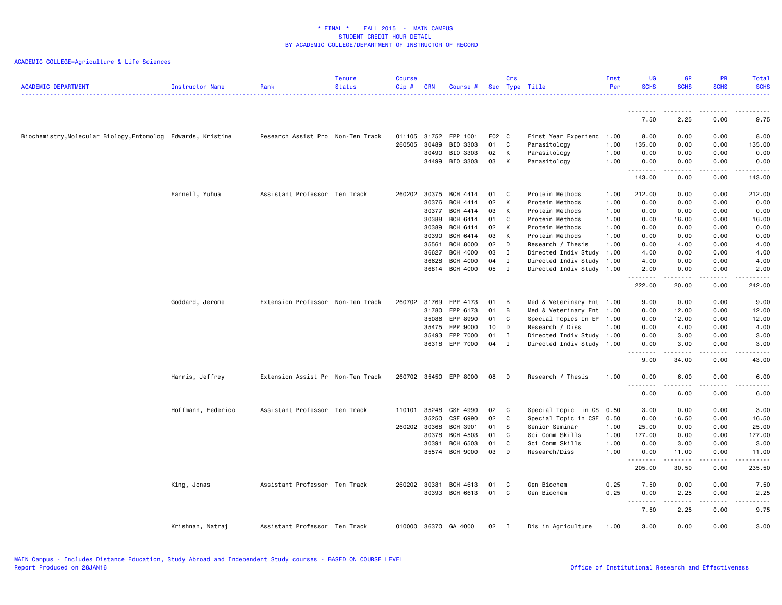| <b>ACADEMIC DEPARTMENT</b>                                   | <b>Instructor Name</b> | Rank                              | <b>Tenure</b><br><b>Status</b> | <b>Course</b><br>Cip# | <b>CRN</b> | Course #             |       | Crs            | Sec Type Title            | Inst<br>Per | <b>UG</b><br><b>SCHS</b> | <b>GR</b><br><b>SCHS</b>                                                                                                                             | <b>PR</b><br><b>SCHS</b>            | Total<br><b>SCHS</b> |
|--------------------------------------------------------------|------------------------|-----------------------------------|--------------------------------|-----------------------|------------|----------------------|-------|----------------|---------------------------|-------------|--------------------------|------------------------------------------------------------------------------------------------------------------------------------------------------|-------------------------------------|----------------------|
|                                                              |                        |                                   |                                |                       |            |                      |       |                |                           |             |                          |                                                                                                                                                      |                                     | د د د د د            |
|                                                              |                        |                                   |                                |                       |            |                      |       |                |                           |             | <u>.</u><br>7.50         | 2.25                                                                                                                                                 | 0.00                                | 9.75                 |
| Biochemistry, Molecular Biology, Entomolog Edwards, Kristine |                        | Research Assist Pro Non-Ten Track |                                | 011105 31752          |            | EPP 1001             | F02 C |                | First Year Experienc 1.00 |             | 8.00                     | 0.00                                                                                                                                                 | 0.00                                | 8.00                 |
|                                                              |                        |                                   |                                | 260505                | 30489      | BIO 3303             | 01    | C              | Parasitology              | 1.00        | 135.00                   | 0.00                                                                                                                                                 | 0.00                                | 135.00               |
|                                                              |                        |                                   |                                |                       | 30490      | BIO 3303             | 02    | К              | Parasitology              | 1.00        | 0.00                     | 0.00                                                                                                                                                 | 0.00                                | 0.00                 |
|                                                              |                        |                                   |                                |                       | 34499      | BIO 3303             | 03    | К              | Parasitology              | 1.00        | 0.00<br>.                | 0.00                                                                                                                                                 | 0.00<br>$\sim$ $\sim$ $\sim$ $\sim$ | 0.00<br>د د د د د    |
|                                                              |                        |                                   |                                |                       |            |                      |       |                |                           |             | 143.00                   | 0.00                                                                                                                                                 | 0.00                                | 143.00               |
|                                                              | Farnell, Yuhua         | Assistant Professor Ten Track     |                                | 260202                | 30375      | BCH 4414             | 01    | C              | Protein Methods           | 1.00        | 212.00                   | 0.00                                                                                                                                                 | 0.00                                | 212.00               |
|                                                              |                        |                                   |                                |                       | 30376      | <b>BCH 4414</b>      | 02    | К              | Protein Methods           | 1.00        | 0.00                     | 0.00                                                                                                                                                 | 0.00                                | 0.00                 |
|                                                              |                        |                                   |                                |                       | 30377      | BCH 4414             | 03    | K              | Protein Methods           | 1.00        | 0.00                     | 0.00                                                                                                                                                 | 0.00                                | 0.00                 |
|                                                              |                        |                                   |                                |                       | 30388      | BCH 6414             | 01    | C              | Protein Methods           | 1.00        | 0.00                     | 16.00                                                                                                                                                | 0.00                                | 16.00                |
|                                                              |                        |                                   |                                |                       | 30389      | BCH 6414             | 02    | K              | Protein Methods           | 1.00        | 0.00                     | 0.00                                                                                                                                                 | 0.00                                | 0.00                 |
|                                                              |                        |                                   |                                |                       | 30390      | BCH 6414             | 03    | К              | Protein Methods           | 1.00        | 0.00                     | 0.00                                                                                                                                                 | 0.00                                | 0.00                 |
|                                                              |                        |                                   |                                |                       | 35561      | <b>BCH 8000</b>      | 02    | D              | Research / Thesis         | 1.00        | 0.00                     | 4.00                                                                                                                                                 | 0.00                                | 4.00                 |
|                                                              |                        |                                   |                                |                       | 36627      | <b>BCH 4000</b>      | 03    | I              | Directed Indiv Study 1.00 |             | 4.00                     | 0.00                                                                                                                                                 | 0.00                                | 4.00                 |
|                                                              |                        |                                   |                                |                       | 36628      | <b>BCH 4000</b>      | 04    | I              | Directed Indiv Study 1.00 |             | 4.00                     | 0.00                                                                                                                                                 | 0.00                                | 4.00                 |
|                                                              |                        |                                   |                                |                       | 36814      | <b>BCH 4000</b>      | 05    | $\mathbf I$    | Directed Indiv Study 1.00 |             | 2.00<br>.                | 0.00                                                                                                                                                 | 0.00<br>$\frac{1}{2}$               | 2.00<br>د د د د د    |
|                                                              |                        |                                   |                                |                       |            |                      |       |                |                           |             | 222.00                   | 20.00                                                                                                                                                | 0.00                                | 242.00               |
|                                                              | Goddard, Jerome        | Extension Professor Non-Ten Track |                                | 260702                | 31769      | EPP 4173             | 01    | B              | Med & Veterinary Ent 1.00 |             | 9.00                     | 0.00                                                                                                                                                 | 0.00                                | 9.00                 |
|                                                              |                        |                                   |                                |                       | 31780      | EPP 6173             | 01    | B              | Med & Veterinary Ent 1.00 |             | 0.00                     | 12.00                                                                                                                                                | 0.00                                | 12.00                |
|                                                              |                        |                                   |                                |                       | 35086      | EPP 8990             | 01    | C              | Special Topics In EP 1.00 |             | 0.00                     | 12.00                                                                                                                                                | 0.00                                | 12.00                |
|                                                              |                        |                                   |                                |                       | 35475      | EPP 9000             | 10    | D              | Research / Diss           | 1.00        | 0.00                     | 4.00                                                                                                                                                 | 0.00                                | 4.00                 |
|                                                              |                        |                                   |                                |                       | 35493      | EPP 7000             | 01    | $\mathbf{I}$   | Directed Indiv Study 1.00 |             | 0.00                     | 3.00                                                                                                                                                 | 0.00                                | 3.00                 |
|                                                              |                        |                                   |                                |                       | 36318      | EPP 7000             | 04    | $\mathbf I$    | Directed Indiv Study 1.00 |             | 0.00<br>.                | 3.00                                                                                                                                                 | 0.00<br>.                           | 3.00                 |
|                                                              |                        |                                   |                                |                       |            |                      |       |                |                           |             | 9.00                     | 34.00                                                                                                                                                | 0.00                                | 43.00                |
|                                                              | Harris, Jeffrey        | Extension Assist Pr Non-Ten Track |                                | 260702 35450          |            | EPP 8000             | 08    | D              | Research / Thesis         | 1.00        | 0.00<br>.                | 6.00                                                                                                                                                 | 0.00<br>$\sim$ $\sim$ $\sim$ $\sim$ | 6.00<br>.            |
|                                                              |                        |                                   |                                |                       |            |                      |       |                |                           |             | $\overline{a}$<br>0.00   | .<br>6.00                                                                                                                                            | 0.00                                | 6.00                 |
|                                                              | Hoffmann, Federico     | Assistant Professor Ten Track     |                                | 110101                | 35248      | CSE 4990             | 02    | C              | Special Topic in CS 0.50  |             | 3.00                     | 0.00                                                                                                                                                 | 0.00                                | 3.00                 |
|                                                              |                        |                                   |                                |                       | 35250      | CSE 6990             | 02    | C              | Special Topic in CSE 0.50 |             | 0.00                     | 16.50                                                                                                                                                | 0.00                                | 16.50                |
|                                                              |                        |                                   |                                | 260202                | 30368      | <b>BCH 3901</b>      | 01    | s              | Senior Seminar            | 1.00        | 25.00                    | 0.00                                                                                                                                                 | 0.00                                | 25.00                |
|                                                              |                        |                                   |                                |                       | 30378      | <b>BCH 4503</b>      | 01    | C              | Sci Comm Skills           | 1.00        | 177.00                   | 0.00                                                                                                                                                 | 0.00                                | 177.00               |
|                                                              |                        |                                   |                                |                       | 30391      | <b>BCH 6503</b>      | 01    | C              | Sci Comm Skills           | 1.00        | 0.00                     | 3.00                                                                                                                                                 | 0.00                                | 3.00                 |
|                                                              |                        |                                   |                                |                       | 35574      | <b>BCH 9000</b>      | 03    | D              | Research/Diss             | 1.00        | 0.00<br>.                | 11.00<br>-----                                                                                                                                       | 0.00<br>$\frac{1}{2}$               | 11.00<br>.           |
|                                                              |                        |                                   |                                |                       |            |                      |       |                |                           |             | 205.00                   | 30.50                                                                                                                                                | 0.00                                | 235.50               |
|                                                              | King, Jonas            | Assistant Professor Ten Track     |                                | 260202 30381          |            | BCH 4613             | 01    | C              | Gen Biochem               | 0.25        | 7.50                     | 0.00                                                                                                                                                 | 0.00                                | 7.50                 |
|                                                              |                        |                                   |                                |                       | 30393      | BCH 6613             | 01    | C              | Gen Biochem               | 0.25        | 0.00                     | 2.25                                                                                                                                                 | 0.00                                | 2.25                 |
|                                                              |                        |                                   |                                |                       |            |                      |       |                |                           |             | -----<br>$\sim$ $\sim$ . | $\frac{1}{2} \left( \frac{1}{2} \right) \left( \frac{1}{2} \right) \left( \frac{1}{2} \right) \left( \frac{1}{2} \right) \left( \frac{1}{2} \right)$ | .                                   | -----                |
|                                                              |                        |                                   |                                |                       |            |                      |       |                |                           |             | 7.50                     | 2.25                                                                                                                                                 | 0.00                                | 9.75                 |
|                                                              | Krishnan, Natraj       | Assistant Professor Ten Track     |                                |                       |            | 010000 36370 GA 4000 | 02    | $\blacksquare$ | Dis in Agriculture        | 1.00        | 3.00                     | 0.00                                                                                                                                                 | 0.00                                | 3.00                 |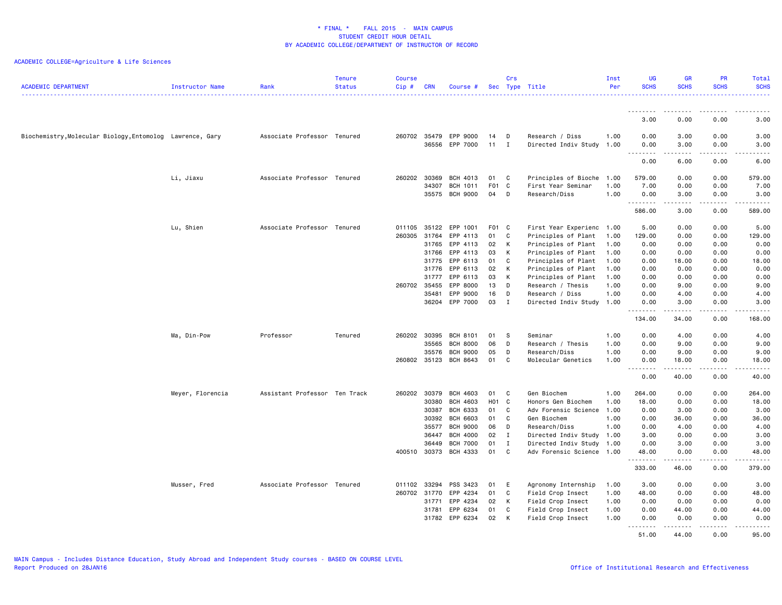| <b>ACADEMIC DEPARTMENT</b>                                | Instructor Name  | Rank                          | <b>Tenure</b><br><b>Status</b> | <b>Course</b><br>Cip# | <b>CRN</b>     | Course #                           |                  | Crs          | Sec Type Title                       | Inst<br>Per  | UG<br><b>SCHS</b>                     | <b>GR</b><br><b>SCHS</b> | <b>PR</b><br><b>SCHS</b> | Total<br><b>SCHS</b>                                                                                                                                         |
|-----------------------------------------------------------|------------------|-------------------------------|--------------------------------|-----------------------|----------------|------------------------------------|------------------|--------------|--------------------------------------|--------------|---------------------------------------|--------------------------|--------------------------|--------------------------------------------------------------------------------------------------------------------------------------------------------------|
|                                                           |                  |                               |                                |                       |                |                                    |                  |              |                                      |              |                                       |                          |                          | .                                                                                                                                                            |
|                                                           |                  |                               |                                |                       |                |                                    |                  |              |                                      |              | --------<br>3.00                      | .<br>0.00                | .<br>0.00                | $\frac{1}{2} \left( \frac{1}{2} \right) \left( \frac{1}{2} \right) \left( \frac{1}{2} \right) \left( \frac{1}{2} \right) \left( \frac{1}{2} \right)$<br>3.00 |
| Biochemistry, Molecular Biology, Entomolog Lawrence, Gary |                  | Associate Professor Tenured   |                                | 260702 35479          |                | EPP 9000                           | 14               | D            | Research / Diss                      | 1.00         | 0.00                                  | 3.00                     | 0.00                     | 3.00                                                                                                                                                         |
|                                                           |                  |                               |                                |                       | 36556          | EPP 7000                           | 11               | I            | Directed Indiv Study 1.00            |              | 0.00                                  | 3.00                     | 0.00                     | 3.00                                                                                                                                                         |
|                                                           |                  |                               |                                |                       |                |                                    |                  |              |                                      |              | $- - - - -$<br>$  -$<br>0.00          | -----<br>6.00            | د د د د<br>0.00          | .<br>6.00                                                                                                                                                    |
|                                                           | Li, Jiaxu        | Associate Professor Tenured   |                                | 260202                | 30369          | BCH 4013                           | 01               | C            | Principles of Bioche                 | 1.00         | 579.00                                | 0.00                     | 0.00                     | 579.00                                                                                                                                                       |
|                                                           |                  |                               |                                |                       | 34307          | BCH 1011                           | F <sub>0</sub> 1 | <b>C</b>     | First Year Seminar                   | 1.00         | 7.00                                  | 0.00                     | 0.00                     | 7.00                                                                                                                                                         |
|                                                           |                  |                               |                                |                       | 35575          | <b>BCH 9000</b>                    | 04               | D            | Research/Diss                        | 1.00         | 0.00<br>.                             | 3.00<br>.                | 0.00<br>د د د د          | 3.00<br><u>.</u>                                                                                                                                             |
|                                                           |                  |                               |                                |                       |                |                                    |                  |              |                                      |              | 586.00                                | 3.00                     | 0.00                     | 589.00                                                                                                                                                       |
|                                                           | Lu, Shien        | Associate Professor Tenured   |                                | 011105                | 35122          | EPP 1001                           | F01 C            |              | First Year Experienc 1.00            |              | 5.00                                  | 0.00                     | 0.00                     | 5.00                                                                                                                                                         |
|                                                           |                  |                               |                                | 260305                | 31764          | EPP 4113                           | 01               | C.           | Principles of Plant                  | 1.00         | 129.00                                | 0.00                     | 0.00                     | 129.00                                                                                                                                                       |
|                                                           |                  |                               |                                |                       | 31765          | EPP 4113                           | 02               | K            | Principles of Plant                  | 1.00         | 0.00                                  | 0.00                     | 0.00                     | 0.00                                                                                                                                                         |
|                                                           |                  |                               |                                |                       | 31766          | EPP 4113                           | 03               | K            | Principles of Plant                  | 1.00         | 0.00                                  | 0.00                     | 0.00                     | 0.00                                                                                                                                                         |
|                                                           |                  |                               |                                |                       | 31775          | EPP 6113                           | 01               | C            | Principles of Plant                  | 1.00         | 0.00                                  | 18.00                    | 0.00                     | 18.00                                                                                                                                                        |
|                                                           |                  |                               |                                |                       | 31776          | EPP 6113                           | 02               | K            | Principles of Plant                  | 1.00         | 0.00                                  | 0.00                     | 0.00                     | 0.00                                                                                                                                                         |
|                                                           |                  |                               |                                | 260702                | 31777<br>35455 | EPP 6113                           | 03<br>13         | K<br>D       | Principles of Plant                  | 1.00<br>1.00 | 0.00<br>0.00                          | 0.00<br>9.00             | 0.00<br>0.00             | 0.00<br>9.00                                                                                                                                                 |
|                                                           |                  |                               |                                |                       | 35481          | EPP 8000<br>EPP 9000               | 16               | D            | Research / Thesis<br>Research / Diss | 1.00         | 0.00                                  | 4.00                     | 0.00                     | 4.00                                                                                                                                                         |
|                                                           |                  |                               |                                |                       |                | 36204 EPP 7000                     | 03               | $\mathbf{I}$ | Directed Indiv Study 1.00            |              | 0.00                                  | 3.00                     | 0.00                     | 3.00                                                                                                                                                         |
|                                                           |                  |                               |                                |                       |                |                                    |                  |              |                                      |              | .<br>134.00                           | د د د د د<br>34.00       | .<br>0.00                | .<br>168.00                                                                                                                                                  |
|                                                           |                  |                               |                                |                       |                |                                    |                  |              |                                      |              |                                       |                          |                          |                                                                                                                                                              |
|                                                           | Ma, Din-Pow      | Professor                     | Tenured                        | 260202                | 30395<br>35565 | <b>BCH 8101</b>                    | 01               | - S          | Seminar                              | 1.00<br>1.00 | 0.00                                  | 4.00                     | 0.00<br>0.00             | 4.00                                                                                                                                                         |
|                                                           |                  |                               |                                |                       | 35576          | <b>BCH 8000</b><br><b>BCH 9000</b> | 06<br>05         | D<br>D       | Research / Thesis<br>Research/Diss   | 1.00         | 0.00<br>0.00                          | 9.00<br>9.00             | 0.00                     | 9.00<br>9.00                                                                                                                                                 |
|                                                           |                  |                               |                                | 260802 35123          |                | BCH 8643                           | 01               | C            | Molecular Genetics                   | 1.00         | 0.00                                  | 18.00                    | 0.00                     | 18.00                                                                                                                                                        |
|                                                           |                  |                               |                                |                       |                |                                    |                  |              |                                      |              | $\sim$ $\sim$ $\sim$<br>$\frac{1}{2}$ | .                        | .                        | $\frac{1}{2}$                                                                                                                                                |
|                                                           |                  |                               |                                |                       |                |                                    |                  |              |                                      |              | 0.00                                  | 40.00                    | 0.00                     | 40.00                                                                                                                                                        |
|                                                           | Meyer, Florencia | Assistant Professor Ten Track |                                | 260202                | 30379          | <b>BCH 4603</b>                    | 01               | C            | Gen Biochem                          | 1.00         | 264.00                                | 0.00                     | 0.00                     | 264.00                                                                                                                                                       |
|                                                           |                  |                               |                                |                       | 30380          | <b>BCH 4603</b>                    | H01              | $\mathbf{C}$ | Honors Gen Biochem                   | 1.00         | 18.00                                 | 0.00                     | 0.00                     | 18.00                                                                                                                                                        |
|                                                           |                  |                               |                                |                       | 30387          | <b>BCH 6333</b>                    | 01               | C.           | Adv Forensic Science 1.00            |              | 0.00                                  | 3.00                     | 0.00                     | 3.00                                                                                                                                                         |
|                                                           |                  |                               |                                |                       | 30392          | <b>BCH 6603</b>                    | 01               | C            | Gen Biochem                          | 1.00         | 0.00                                  | 36.00                    | 0.00                     | 36.00                                                                                                                                                        |
|                                                           |                  |                               |                                |                       | 35577          | <b>BCH 9000</b>                    | 06               | D            | Research/Diss                        | 1.00         | 0.00                                  | 4.00                     | 0.00                     | 4.00                                                                                                                                                         |
|                                                           |                  |                               |                                |                       | 36447          | <b>BCH 4000</b>                    | 02               | $\mathbf I$  | Directed Indiv Study 1.00            |              | 3.00                                  | 0.00                     | 0.00                     | 3.00                                                                                                                                                         |
|                                                           |                  |                               |                                |                       | 36449          | <b>BCH 7000</b>                    | 01               | I            | Directed Indiv Study 1.00            |              | 0.00                                  | 3.00                     | 0.00                     | 3.00                                                                                                                                                         |
|                                                           |                  |                               |                                | 400510                |                | 30373 BCH 4333                     | 01               | C.           | Adv Forensic Science 1.00            |              | 48.00<br>.                            | 0.00<br>.                | 0.00<br>.                | 48.00<br>.                                                                                                                                                   |
|                                                           |                  |                               |                                |                       |                |                                    |                  |              |                                      |              | 333.00                                | 46.00                    | 0.00                     | 379.00                                                                                                                                                       |
|                                                           | Musser, Fred     | Associate Professor Tenured   |                                | 011102                | 33294          | PSS 3423                           | 01               | E            | Agronomy Internship                  | 1.00         | 3.00                                  | 0.00                     | 0.00                     | 3.00                                                                                                                                                         |
|                                                           |                  |                               |                                | 260702                | 31770          | EPP 4234                           | 01               | C            | Field Crop Insect                    | 1.00         | 48.00                                 | 0.00                     | 0.00                     | 48.00                                                                                                                                                        |
|                                                           |                  |                               |                                |                       | 31771          | EPP 4234                           | 02               | K            | Field Crop Insect                    | 1.00         | 0.00                                  | 0.00                     | 0.00                     | 0.00                                                                                                                                                         |
|                                                           |                  |                               |                                |                       | 31781          | EPP 6234                           | 01               | C            | Field Crop Insect                    | 1.00         | 0.00                                  | 44.00                    | 0.00                     | 44.00                                                                                                                                                        |
|                                                           |                  |                               |                                |                       | 31782          | EPP 6234                           | 02               | К            | Field Crop Insect                    | 1.00         | 0.00<br>. <b>.</b>                    | 0.00<br>.                | 0.00<br>$\frac{1}{2}$    | 0.00<br><u>.</u>                                                                                                                                             |
|                                                           |                  |                               |                                |                       |                |                                    |                  |              |                                      |              | 51.00                                 | 44.00                    | 0.00                     | 95.00                                                                                                                                                        |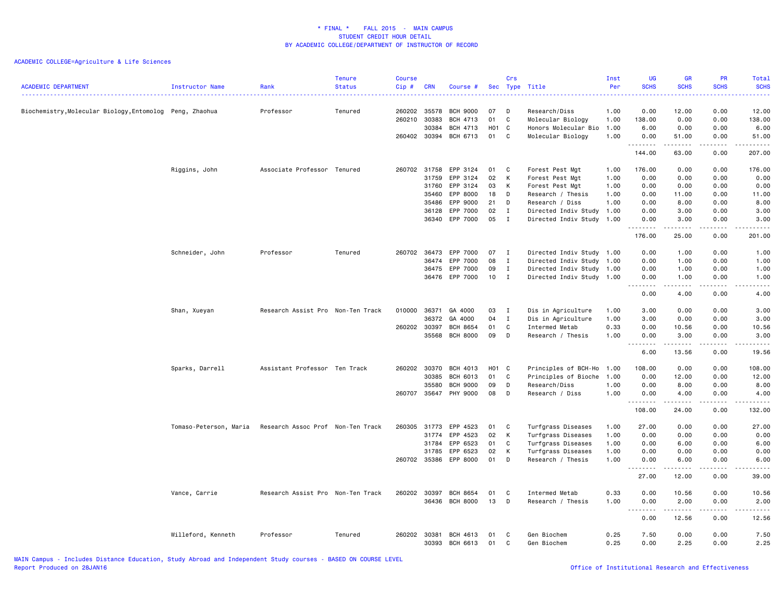| Biochemistry, Molecular Biology, Entomolog Peng, Zhaohua<br>Professor<br>Tenured<br>260202<br>35578<br><b>BCH 9000</b><br>07<br>D<br>Research/Diss<br>1.00<br>0.00<br>12.00<br>0.00<br>12.00<br>01<br>C<br>260210<br>30383<br>BCH 4713<br>Molecular Biology<br>1.00<br>138.00<br>0.00<br>0.00<br>138.00<br>30384<br><b>BCH 4713</b><br>H01 C<br>Honors Molecular Bio<br>1.00<br>6.00<br>0.00<br>0.00<br>6.00<br>260402 30394<br>BCH 6713<br>01<br>C<br>Molecular Biology<br>51.00<br>0.00<br>51.00<br>1.00<br>0.00<br>.<br>.<br>144.00<br>63.00<br>0.00<br>207.00<br>Riggins, John<br>Associate Professor Tenured<br>260702<br>31758<br>EPP 3124<br>01<br>C<br>Forest Pest Mgt<br>1.00<br>176.00<br>0.00<br>0.00<br>176.00<br>EPP 3124<br>02<br>31759<br>К<br>Forest Pest Mgt<br>1.00<br>0.00<br>0.00<br>0.00<br>0.00<br>31760<br>EPP 3124<br>03<br>К<br>0.00<br>0.00<br>0.00<br>Forest Pest Mgt<br>1.00<br>0.00<br>EPP 8000<br>35460<br>18<br>D<br>Research / Thesis<br>1.00<br>0.00<br>11.00<br>0.00<br>11.00<br>35486<br>EPP 9000<br>21<br>D<br>Research / Diss<br>1.00<br>0.00<br>8.00<br>0.00<br>8.00<br>02<br>0.00<br>36128<br>EPP 7000<br>$\mathbf{I}$<br>Directed Indiv Study<br>1.00<br>0.00<br>3.00<br>3.00<br>36340 EPP 7000<br>05<br>$\mathbf{I}$<br>Directed Indiv Study 1.00<br>0.00<br>3.00<br>0.00<br>3.00<br>.<br>$- - - - -$<br>.<br>.<br>176.00<br>25.00<br>0.00<br>201.00<br>Directed Indiv Study 1.00<br>1.00<br>Schneider, John<br>Professor<br>Tenured<br>260702<br>36473<br>EPP 7000<br>07<br>$\mathbf I$<br>0.00<br>1.00<br>0.00<br>EPP 7000<br>08<br>I<br>Directed Indiv Study 1.00<br>0.00<br>1.00<br>0.00<br>1.00<br>36474<br>09<br>36475<br>EPP 7000<br>$\mathbf{I}$<br>Directed Indiv Study 1.00<br>0.00<br>1.00<br>0.00<br>1.00<br>10<br>EPP 7000<br>$\mathbf{I}$<br>Directed Indiv Study 1.00<br>0.00<br>1.00<br>0.00<br>1.00<br>36476<br>4.00<br>4.00<br>0.00<br>0.00<br>Research Assist Pro Non-Ten Track<br>010000<br>36371<br>3.00<br>0.00<br>0.00<br>3.00<br>Shan, Xueyan<br>GA 4000<br>03<br>I<br>Dis in Agriculture<br>1.00<br>04<br>3.00<br>0.00<br>0.00<br>3.00<br>36372<br>GA 4000<br>$\mathbf{I}$<br>Dis in Agriculture<br>1.00<br>260202<br>30397<br><b>BCH 8654</b><br>01<br>0.33<br>0.00<br>10.56<br>0.00<br>C<br>Intermed Metab<br>10.56<br>35568<br><b>BCH 8000</b><br>09<br>D<br>Research / Thesis<br>1.00<br>0.00<br>3.00<br>0.00<br>3.00<br>.<br>.<br>.<br>.<br>13.56<br>0.00<br>6.00<br>19.56<br>260202<br>30370<br>108.00<br>0.00<br>0.00<br>108.00<br>Sparks, Darrell<br>Assistant Professor Ten Track<br>BCH 4013<br>H01 C<br>Principles of BCH-Ho<br>1.00<br>30385<br>BCH 6013<br>01<br>C<br>Principles of Bioche<br>1.00<br>0.00<br>12.00<br>0.00<br>12.00<br>35580<br><b>BCH 9000</b><br>09<br>D<br>Research/Diss<br>1.00<br>0.00<br>8.00<br>0.00<br>8.00<br>260707<br>35647<br>PHY 9000<br>08<br>D<br>Research / Diss<br>1.00<br>0.00<br>4.00<br>0.00<br>4.00<br>.<br>.<br>.<br>$\frac{1}{2} \left( \frac{1}{2} \right) \left( \frac{1}{2} \right) \left( \frac{1}{2} \right) \left( \frac{1}{2} \right) \left( \frac{1}{2} \right) \left( \frac{1}{2} \right)$<br>24.00<br>108.00<br>0.00<br>132.00<br>EPP 4523<br>Turfgrass Diseases<br>27.00<br>0.00<br>0.00<br>27.00<br>Tomaso-Peterson, Maria<br>Research Assoc Prof Non-Ten Track<br>260305<br>31773<br>01<br>C<br>1.00<br>02<br>К<br>31774<br>EPP 4523<br>Turfgrass Diseases<br>1.00<br>0.00<br>0.00<br>0.00<br>0.00<br>EPP 6523<br>01<br>31784<br>C<br>Turfgrass Diseases<br>1.00<br>0.00<br>6.00<br>0.00<br>6.00<br>31785<br>EPP 6523<br>02<br>К<br>Turfgrass Diseases<br>1.00<br>0.00<br>0.00<br>0.00<br>0.00<br>260702 35386<br>EPP 8000<br>01<br>D<br>6.00<br>0.00<br>6.00<br>Research / Thesis<br>1.00<br>0.00<br>د د د د د<br>$\omega$ is $\omega$ in $\omega$<br>.<br>.<br>27.00<br>12.00<br>0.00<br>39.00<br>Vance, Carrie<br>Research Assist Pro Non-Ten Track<br>260202<br>30397<br><b>BCH 8654</b><br>01<br>Intermed Metab<br>0.33<br>0.00<br>10.56<br>0.00<br>10.56<br>C<br>36436<br><b>BCH 8000</b><br>13<br>D<br>1.00<br>0.00<br>2.00<br>0.00<br>2.00<br>Research / Thesis<br><u>.</u><br>-----<br>.<br>.<br>12.56<br>0.00<br>0.00<br>12.56<br>7.50<br>0.00<br>Willeford, Kenneth<br>Professor<br>Tenured<br>260202 30381<br>BCH 4613<br>01<br>C<br>Gen Biochem<br>0.25<br>0.00<br>7.50<br>30393 BCH 6613<br>01<br>C<br>Gen Biochem<br>0.25<br>0.00<br>2.25<br>0.00<br>2.25 | <b>ACADEMIC DEPARTMENT</b> | <b>Instructor Name</b> | Rank<br>. | Tenure<br><b>Status</b> | <b>Course</b><br>Cip# | <b>CRN</b> | Course # | Crs | Sec Type Title | Inst<br>Per | <b>UG</b><br><b>SCHS</b><br>. | <b>GR</b><br><b>SCHS</b> | <b>PR</b><br><b>SCHS</b> | Total<br><b>SCHS</b><br>. |
|--------------------------------------------------------------------------------------------------------------------------------------------------------------------------------------------------------------------------------------------------------------------------------------------------------------------------------------------------------------------------------------------------------------------------------------------------------------------------------------------------------------------------------------------------------------------------------------------------------------------------------------------------------------------------------------------------------------------------------------------------------------------------------------------------------------------------------------------------------------------------------------------------------------------------------------------------------------------------------------------------------------------------------------------------------------------------------------------------------------------------------------------------------------------------------------------------------------------------------------------------------------------------------------------------------------------------------------------------------------------------------------------------------------------------------------------------------------------------------------------------------------------------------------------------------------------------------------------------------------------------------------------------------------------------------------------------------------------------------------------------------------------------------------------------------------------------------------------------------------------------------------------------------------------------------------------------------------------------------------------------------------------------------------------------------------------------------------------------------------------------------------------------------------------------------------------------------------------------------------------------------------------------------------------------------------------------------------------------------------------------------------------------------------------------------------------------------------------------------------------------------------------------------------------------------------------------------------------------------------------------------------------------------------------------------------------------------------------------------------------------------------------------------------------------------------------------------------------------------------------------------------------------------------------------------------------------------------------------------------------------------------------------------------------------------------------------------------------------------------------------------------------------------------------------------------------------------------------------------------------------------------------------------------------------------------------------------------------------------------------------------------------------------------------------------------------------------------------------------------------------------------------------------------------------------------------------------------------------------------------------------------------------------------------------------------------------------------------------------------------------------------------------------------------------------------------------------------------------------------------------------------------------------------------------------------------------------------------------------------------------------------------------------------------------------------------------------------------------------------------------------------------------------------------------------------------------------------------------------------------------------------------------------------------------------------------------------------------------------------------------------------------------------------|----------------------------|------------------------|-----------|-------------------------|-----------------------|------------|----------|-----|----------------|-------------|-------------------------------|--------------------------|--------------------------|---------------------------|
|                                                                                                                                                                                                                                                                                                                                                                                                                                                                                                                                                                                                                                                                                                                                                                                                                                                                                                                                                                                                                                                                                                                                                                                                                                                                                                                                                                                                                                                                                                                                                                                                                                                                                                                                                                                                                                                                                                                                                                                                                                                                                                                                                                                                                                                                                                                                                                                                                                                                                                                                                                                                                                                                                                                                                                                                                                                                                                                                                                                                                                                                                                                                                                                                                                                                                                                                                                                                                                                                                                                                                                                                                                                                                                                                                                                                                                                                                                                                                                                                                                                                                                                                                                                                                                                                                                                                                                                                              |                            |                        |           |                         |                       |            |          |     |                |             |                               |                          |                          |                           |
|                                                                                                                                                                                                                                                                                                                                                                                                                                                                                                                                                                                                                                                                                                                                                                                                                                                                                                                                                                                                                                                                                                                                                                                                                                                                                                                                                                                                                                                                                                                                                                                                                                                                                                                                                                                                                                                                                                                                                                                                                                                                                                                                                                                                                                                                                                                                                                                                                                                                                                                                                                                                                                                                                                                                                                                                                                                                                                                                                                                                                                                                                                                                                                                                                                                                                                                                                                                                                                                                                                                                                                                                                                                                                                                                                                                                                                                                                                                                                                                                                                                                                                                                                                                                                                                                                                                                                                                                              |                            |                        |           |                         |                       |            |          |     |                |             |                               |                          |                          |                           |
|                                                                                                                                                                                                                                                                                                                                                                                                                                                                                                                                                                                                                                                                                                                                                                                                                                                                                                                                                                                                                                                                                                                                                                                                                                                                                                                                                                                                                                                                                                                                                                                                                                                                                                                                                                                                                                                                                                                                                                                                                                                                                                                                                                                                                                                                                                                                                                                                                                                                                                                                                                                                                                                                                                                                                                                                                                                                                                                                                                                                                                                                                                                                                                                                                                                                                                                                                                                                                                                                                                                                                                                                                                                                                                                                                                                                                                                                                                                                                                                                                                                                                                                                                                                                                                                                                                                                                                                                              |                            |                        |           |                         |                       |            |          |     |                |             |                               |                          |                          |                           |
|                                                                                                                                                                                                                                                                                                                                                                                                                                                                                                                                                                                                                                                                                                                                                                                                                                                                                                                                                                                                                                                                                                                                                                                                                                                                                                                                                                                                                                                                                                                                                                                                                                                                                                                                                                                                                                                                                                                                                                                                                                                                                                                                                                                                                                                                                                                                                                                                                                                                                                                                                                                                                                                                                                                                                                                                                                                                                                                                                                                                                                                                                                                                                                                                                                                                                                                                                                                                                                                                                                                                                                                                                                                                                                                                                                                                                                                                                                                                                                                                                                                                                                                                                                                                                                                                                                                                                                                                              |                            |                        |           |                         |                       |            |          |     |                |             |                               |                          |                          |                           |
|                                                                                                                                                                                                                                                                                                                                                                                                                                                                                                                                                                                                                                                                                                                                                                                                                                                                                                                                                                                                                                                                                                                                                                                                                                                                                                                                                                                                                                                                                                                                                                                                                                                                                                                                                                                                                                                                                                                                                                                                                                                                                                                                                                                                                                                                                                                                                                                                                                                                                                                                                                                                                                                                                                                                                                                                                                                                                                                                                                                                                                                                                                                                                                                                                                                                                                                                                                                                                                                                                                                                                                                                                                                                                                                                                                                                                                                                                                                                                                                                                                                                                                                                                                                                                                                                                                                                                                                                              |                            |                        |           |                         |                       |            |          |     |                |             |                               |                          |                          |                           |
|                                                                                                                                                                                                                                                                                                                                                                                                                                                                                                                                                                                                                                                                                                                                                                                                                                                                                                                                                                                                                                                                                                                                                                                                                                                                                                                                                                                                                                                                                                                                                                                                                                                                                                                                                                                                                                                                                                                                                                                                                                                                                                                                                                                                                                                                                                                                                                                                                                                                                                                                                                                                                                                                                                                                                                                                                                                                                                                                                                                                                                                                                                                                                                                                                                                                                                                                                                                                                                                                                                                                                                                                                                                                                                                                                                                                                                                                                                                                                                                                                                                                                                                                                                                                                                                                                                                                                                                                              |                            |                        |           |                         |                       |            |          |     |                |             |                               |                          |                          |                           |
|                                                                                                                                                                                                                                                                                                                                                                                                                                                                                                                                                                                                                                                                                                                                                                                                                                                                                                                                                                                                                                                                                                                                                                                                                                                                                                                                                                                                                                                                                                                                                                                                                                                                                                                                                                                                                                                                                                                                                                                                                                                                                                                                                                                                                                                                                                                                                                                                                                                                                                                                                                                                                                                                                                                                                                                                                                                                                                                                                                                                                                                                                                                                                                                                                                                                                                                                                                                                                                                                                                                                                                                                                                                                                                                                                                                                                                                                                                                                                                                                                                                                                                                                                                                                                                                                                                                                                                                                              |                            |                        |           |                         |                       |            |          |     |                |             |                               |                          |                          |                           |
|                                                                                                                                                                                                                                                                                                                                                                                                                                                                                                                                                                                                                                                                                                                                                                                                                                                                                                                                                                                                                                                                                                                                                                                                                                                                                                                                                                                                                                                                                                                                                                                                                                                                                                                                                                                                                                                                                                                                                                                                                                                                                                                                                                                                                                                                                                                                                                                                                                                                                                                                                                                                                                                                                                                                                                                                                                                                                                                                                                                                                                                                                                                                                                                                                                                                                                                                                                                                                                                                                                                                                                                                                                                                                                                                                                                                                                                                                                                                                                                                                                                                                                                                                                                                                                                                                                                                                                                                              |                            |                        |           |                         |                       |            |          |     |                |             |                               |                          |                          |                           |
|                                                                                                                                                                                                                                                                                                                                                                                                                                                                                                                                                                                                                                                                                                                                                                                                                                                                                                                                                                                                                                                                                                                                                                                                                                                                                                                                                                                                                                                                                                                                                                                                                                                                                                                                                                                                                                                                                                                                                                                                                                                                                                                                                                                                                                                                                                                                                                                                                                                                                                                                                                                                                                                                                                                                                                                                                                                                                                                                                                                                                                                                                                                                                                                                                                                                                                                                                                                                                                                                                                                                                                                                                                                                                                                                                                                                                                                                                                                                                                                                                                                                                                                                                                                                                                                                                                                                                                                                              |                            |                        |           |                         |                       |            |          |     |                |             |                               |                          |                          |                           |
|                                                                                                                                                                                                                                                                                                                                                                                                                                                                                                                                                                                                                                                                                                                                                                                                                                                                                                                                                                                                                                                                                                                                                                                                                                                                                                                                                                                                                                                                                                                                                                                                                                                                                                                                                                                                                                                                                                                                                                                                                                                                                                                                                                                                                                                                                                                                                                                                                                                                                                                                                                                                                                                                                                                                                                                                                                                                                                                                                                                                                                                                                                                                                                                                                                                                                                                                                                                                                                                                                                                                                                                                                                                                                                                                                                                                                                                                                                                                                                                                                                                                                                                                                                                                                                                                                                                                                                                                              |                            |                        |           |                         |                       |            |          |     |                |             |                               |                          |                          |                           |
|                                                                                                                                                                                                                                                                                                                                                                                                                                                                                                                                                                                                                                                                                                                                                                                                                                                                                                                                                                                                                                                                                                                                                                                                                                                                                                                                                                                                                                                                                                                                                                                                                                                                                                                                                                                                                                                                                                                                                                                                                                                                                                                                                                                                                                                                                                                                                                                                                                                                                                                                                                                                                                                                                                                                                                                                                                                                                                                                                                                                                                                                                                                                                                                                                                                                                                                                                                                                                                                                                                                                                                                                                                                                                                                                                                                                                                                                                                                                                                                                                                                                                                                                                                                                                                                                                                                                                                                                              |                            |                        |           |                         |                       |            |          |     |                |             |                               |                          |                          |                           |
|                                                                                                                                                                                                                                                                                                                                                                                                                                                                                                                                                                                                                                                                                                                                                                                                                                                                                                                                                                                                                                                                                                                                                                                                                                                                                                                                                                                                                                                                                                                                                                                                                                                                                                                                                                                                                                                                                                                                                                                                                                                                                                                                                                                                                                                                                                                                                                                                                                                                                                                                                                                                                                                                                                                                                                                                                                                                                                                                                                                                                                                                                                                                                                                                                                                                                                                                                                                                                                                                                                                                                                                                                                                                                                                                                                                                                                                                                                                                                                                                                                                                                                                                                                                                                                                                                                                                                                                                              |                            |                        |           |                         |                       |            |          |     |                |             |                               |                          |                          |                           |
|                                                                                                                                                                                                                                                                                                                                                                                                                                                                                                                                                                                                                                                                                                                                                                                                                                                                                                                                                                                                                                                                                                                                                                                                                                                                                                                                                                                                                                                                                                                                                                                                                                                                                                                                                                                                                                                                                                                                                                                                                                                                                                                                                                                                                                                                                                                                                                                                                                                                                                                                                                                                                                                                                                                                                                                                                                                                                                                                                                                                                                                                                                                                                                                                                                                                                                                                                                                                                                                                                                                                                                                                                                                                                                                                                                                                                                                                                                                                                                                                                                                                                                                                                                                                                                                                                                                                                                                                              |                            |                        |           |                         |                       |            |          |     |                |             |                               |                          |                          |                           |
|                                                                                                                                                                                                                                                                                                                                                                                                                                                                                                                                                                                                                                                                                                                                                                                                                                                                                                                                                                                                                                                                                                                                                                                                                                                                                                                                                                                                                                                                                                                                                                                                                                                                                                                                                                                                                                                                                                                                                                                                                                                                                                                                                                                                                                                                                                                                                                                                                                                                                                                                                                                                                                                                                                                                                                                                                                                                                                                                                                                                                                                                                                                                                                                                                                                                                                                                                                                                                                                                                                                                                                                                                                                                                                                                                                                                                                                                                                                                                                                                                                                                                                                                                                                                                                                                                                                                                                                                              |                            |                        |           |                         |                       |            |          |     |                |             |                               |                          |                          |                           |
|                                                                                                                                                                                                                                                                                                                                                                                                                                                                                                                                                                                                                                                                                                                                                                                                                                                                                                                                                                                                                                                                                                                                                                                                                                                                                                                                                                                                                                                                                                                                                                                                                                                                                                                                                                                                                                                                                                                                                                                                                                                                                                                                                                                                                                                                                                                                                                                                                                                                                                                                                                                                                                                                                                                                                                                                                                                                                                                                                                                                                                                                                                                                                                                                                                                                                                                                                                                                                                                                                                                                                                                                                                                                                                                                                                                                                                                                                                                                                                                                                                                                                                                                                                                                                                                                                                                                                                                                              |                            |                        |           |                         |                       |            |          |     |                |             |                               |                          |                          |                           |
|                                                                                                                                                                                                                                                                                                                                                                                                                                                                                                                                                                                                                                                                                                                                                                                                                                                                                                                                                                                                                                                                                                                                                                                                                                                                                                                                                                                                                                                                                                                                                                                                                                                                                                                                                                                                                                                                                                                                                                                                                                                                                                                                                                                                                                                                                                                                                                                                                                                                                                                                                                                                                                                                                                                                                                                                                                                                                                                                                                                                                                                                                                                                                                                                                                                                                                                                                                                                                                                                                                                                                                                                                                                                                                                                                                                                                                                                                                                                                                                                                                                                                                                                                                                                                                                                                                                                                                                                              |                            |                        |           |                         |                       |            |          |     |                |             |                               |                          |                          |                           |
|                                                                                                                                                                                                                                                                                                                                                                                                                                                                                                                                                                                                                                                                                                                                                                                                                                                                                                                                                                                                                                                                                                                                                                                                                                                                                                                                                                                                                                                                                                                                                                                                                                                                                                                                                                                                                                                                                                                                                                                                                                                                                                                                                                                                                                                                                                                                                                                                                                                                                                                                                                                                                                                                                                                                                                                                                                                                                                                                                                                                                                                                                                                                                                                                                                                                                                                                                                                                                                                                                                                                                                                                                                                                                                                                                                                                                                                                                                                                                                                                                                                                                                                                                                                                                                                                                                                                                                                                              |                            |                        |           |                         |                       |            |          |     |                |             |                               |                          |                          |                           |
|                                                                                                                                                                                                                                                                                                                                                                                                                                                                                                                                                                                                                                                                                                                                                                                                                                                                                                                                                                                                                                                                                                                                                                                                                                                                                                                                                                                                                                                                                                                                                                                                                                                                                                                                                                                                                                                                                                                                                                                                                                                                                                                                                                                                                                                                                                                                                                                                                                                                                                                                                                                                                                                                                                                                                                                                                                                                                                                                                                                                                                                                                                                                                                                                                                                                                                                                                                                                                                                                                                                                                                                                                                                                                                                                                                                                                                                                                                                                                                                                                                                                                                                                                                                                                                                                                                                                                                                                              |                            |                        |           |                         |                       |            |          |     |                |             |                               |                          |                          |                           |
|                                                                                                                                                                                                                                                                                                                                                                                                                                                                                                                                                                                                                                                                                                                                                                                                                                                                                                                                                                                                                                                                                                                                                                                                                                                                                                                                                                                                                                                                                                                                                                                                                                                                                                                                                                                                                                                                                                                                                                                                                                                                                                                                                                                                                                                                                                                                                                                                                                                                                                                                                                                                                                                                                                                                                                                                                                                                                                                                                                                                                                                                                                                                                                                                                                                                                                                                                                                                                                                                                                                                                                                                                                                                                                                                                                                                                                                                                                                                                                                                                                                                                                                                                                                                                                                                                                                                                                                                              |                            |                        |           |                         |                       |            |          |     |                |             |                               |                          |                          |                           |
|                                                                                                                                                                                                                                                                                                                                                                                                                                                                                                                                                                                                                                                                                                                                                                                                                                                                                                                                                                                                                                                                                                                                                                                                                                                                                                                                                                                                                                                                                                                                                                                                                                                                                                                                                                                                                                                                                                                                                                                                                                                                                                                                                                                                                                                                                                                                                                                                                                                                                                                                                                                                                                                                                                                                                                                                                                                                                                                                                                                                                                                                                                                                                                                                                                                                                                                                                                                                                                                                                                                                                                                                                                                                                                                                                                                                                                                                                                                                                                                                                                                                                                                                                                                                                                                                                                                                                                                                              |                            |                        |           |                         |                       |            |          |     |                |             |                               |                          |                          |                           |
|                                                                                                                                                                                                                                                                                                                                                                                                                                                                                                                                                                                                                                                                                                                                                                                                                                                                                                                                                                                                                                                                                                                                                                                                                                                                                                                                                                                                                                                                                                                                                                                                                                                                                                                                                                                                                                                                                                                                                                                                                                                                                                                                                                                                                                                                                                                                                                                                                                                                                                                                                                                                                                                                                                                                                                                                                                                                                                                                                                                                                                                                                                                                                                                                                                                                                                                                                                                                                                                                                                                                                                                                                                                                                                                                                                                                                                                                                                                                                                                                                                                                                                                                                                                                                                                                                                                                                                                                              |                            |                        |           |                         |                       |            |          |     |                |             |                               |                          |                          |                           |
|                                                                                                                                                                                                                                                                                                                                                                                                                                                                                                                                                                                                                                                                                                                                                                                                                                                                                                                                                                                                                                                                                                                                                                                                                                                                                                                                                                                                                                                                                                                                                                                                                                                                                                                                                                                                                                                                                                                                                                                                                                                                                                                                                                                                                                                                                                                                                                                                                                                                                                                                                                                                                                                                                                                                                                                                                                                                                                                                                                                                                                                                                                                                                                                                                                                                                                                                                                                                                                                                                                                                                                                                                                                                                                                                                                                                                                                                                                                                                                                                                                                                                                                                                                                                                                                                                                                                                                                                              |                            |                        |           |                         |                       |            |          |     |                |             |                               |                          |                          |                           |
|                                                                                                                                                                                                                                                                                                                                                                                                                                                                                                                                                                                                                                                                                                                                                                                                                                                                                                                                                                                                                                                                                                                                                                                                                                                                                                                                                                                                                                                                                                                                                                                                                                                                                                                                                                                                                                                                                                                                                                                                                                                                                                                                                                                                                                                                                                                                                                                                                                                                                                                                                                                                                                                                                                                                                                                                                                                                                                                                                                                                                                                                                                                                                                                                                                                                                                                                                                                                                                                                                                                                                                                                                                                                                                                                                                                                                                                                                                                                                                                                                                                                                                                                                                                                                                                                                                                                                                                                              |                            |                        |           |                         |                       |            |          |     |                |             |                               |                          |                          |                           |
|                                                                                                                                                                                                                                                                                                                                                                                                                                                                                                                                                                                                                                                                                                                                                                                                                                                                                                                                                                                                                                                                                                                                                                                                                                                                                                                                                                                                                                                                                                                                                                                                                                                                                                                                                                                                                                                                                                                                                                                                                                                                                                                                                                                                                                                                                                                                                                                                                                                                                                                                                                                                                                                                                                                                                                                                                                                                                                                                                                                                                                                                                                                                                                                                                                                                                                                                                                                                                                                                                                                                                                                                                                                                                                                                                                                                                                                                                                                                                                                                                                                                                                                                                                                                                                                                                                                                                                                                              |                            |                        |           |                         |                       |            |          |     |                |             |                               |                          |                          |                           |
|                                                                                                                                                                                                                                                                                                                                                                                                                                                                                                                                                                                                                                                                                                                                                                                                                                                                                                                                                                                                                                                                                                                                                                                                                                                                                                                                                                                                                                                                                                                                                                                                                                                                                                                                                                                                                                                                                                                                                                                                                                                                                                                                                                                                                                                                                                                                                                                                                                                                                                                                                                                                                                                                                                                                                                                                                                                                                                                                                                                                                                                                                                                                                                                                                                                                                                                                                                                                                                                                                                                                                                                                                                                                                                                                                                                                                                                                                                                                                                                                                                                                                                                                                                                                                                                                                                                                                                                                              |                            |                        |           |                         |                       |            |          |     |                |             |                               |                          |                          |                           |
|                                                                                                                                                                                                                                                                                                                                                                                                                                                                                                                                                                                                                                                                                                                                                                                                                                                                                                                                                                                                                                                                                                                                                                                                                                                                                                                                                                                                                                                                                                                                                                                                                                                                                                                                                                                                                                                                                                                                                                                                                                                                                                                                                                                                                                                                                                                                                                                                                                                                                                                                                                                                                                                                                                                                                                                                                                                                                                                                                                                                                                                                                                                                                                                                                                                                                                                                                                                                                                                                                                                                                                                                                                                                                                                                                                                                                                                                                                                                                                                                                                                                                                                                                                                                                                                                                                                                                                                                              |                            |                        |           |                         |                       |            |          |     |                |             |                               |                          |                          |                           |
|                                                                                                                                                                                                                                                                                                                                                                                                                                                                                                                                                                                                                                                                                                                                                                                                                                                                                                                                                                                                                                                                                                                                                                                                                                                                                                                                                                                                                                                                                                                                                                                                                                                                                                                                                                                                                                                                                                                                                                                                                                                                                                                                                                                                                                                                                                                                                                                                                                                                                                                                                                                                                                                                                                                                                                                                                                                                                                                                                                                                                                                                                                                                                                                                                                                                                                                                                                                                                                                                                                                                                                                                                                                                                                                                                                                                                                                                                                                                                                                                                                                                                                                                                                                                                                                                                                                                                                                                              |                            |                        |           |                         |                       |            |          |     |                |             |                               |                          |                          |                           |
|                                                                                                                                                                                                                                                                                                                                                                                                                                                                                                                                                                                                                                                                                                                                                                                                                                                                                                                                                                                                                                                                                                                                                                                                                                                                                                                                                                                                                                                                                                                                                                                                                                                                                                                                                                                                                                                                                                                                                                                                                                                                                                                                                                                                                                                                                                                                                                                                                                                                                                                                                                                                                                                                                                                                                                                                                                                                                                                                                                                                                                                                                                                                                                                                                                                                                                                                                                                                                                                                                                                                                                                                                                                                                                                                                                                                                                                                                                                                                                                                                                                                                                                                                                                                                                                                                                                                                                                                              |                            |                        |           |                         |                       |            |          |     |                |             |                               |                          |                          |                           |
|                                                                                                                                                                                                                                                                                                                                                                                                                                                                                                                                                                                                                                                                                                                                                                                                                                                                                                                                                                                                                                                                                                                                                                                                                                                                                                                                                                                                                                                                                                                                                                                                                                                                                                                                                                                                                                                                                                                                                                                                                                                                                                                                                                                                                                                                                                                                                                                                                                                                                                                                                                                                                                                                                                                                                                                                                                                                                                                                                                                                                                                                                                                                                                                                                                                                                                                                                                                                                                                                                                                                                                                                                                                                                                                                                                                                                                                                                                                                                                                                                                                                                                                                                                                                                                                                                                                                                                                                              |                            |                        |           |                         |                       |            |          |     |                |             |                               |                          |                          |                           |
|                                                                                                                                                                                                                                                                                                                                                                                                                                                                                                                                                                                                                                                                                                                                                                                                                                                                                                                                                                                                                                                                                                                                                                                                                                                                                                                                                                                                                                                                                                                                                                                                                                                                                                                                                                                                                                                                                                                                                                                                                                                                                                                                                                                                                                                                                                                                                                                                                                                                                                                                                                                                                                                                                                                                                                                                                                                                                                                                                                                                                                                                                                                                                                                                                                                                                                                                                                                                                                                                                                                                                                                                                                                                                                                                                                                                                                                                                                                                                                                                                                                                                                                                                                                                                                                                                                                                                                                                              |                            |                        |           |                         |                       |            |          |     |                |             |                               |                          |                          |                           |
|                                                                                                                                                                                                                                                                                                                                                                                                                                                                                                                                                                                                                                                                                                                                                                                                                                                                                                                                                                                                                                                                                                                                                                                                                                                                                                                                                                                                                                                                                                                                                                                                                                                                                                                                                                                                                                                                                                                                                                                                                                                                                                                                                                                                                                                                                                                                                                                                                                                                                                                                                                                                                                                                                                                                                                                                                                                                                                                                                                                                                                                                                                                                                                                                                                                                                                                                                                                                                                                                                                                                                                                                                                                                                                                                                                                                                                                                                                                                                                                                                                                                                                                                                                                                                                                                                                                                                                                                              |                            |                        |           |                         |                       |            |          |     |                |             |                               |                          |                          |                           |
|                                                                                                                                                                                                                                                                                                                                                                                                                                                                                                                                                                                                                                                                                                                                                                                                                                                                                                                                                                                                                                                                                                                                                                                                                                                                                                                                                                                                                                                                                                                                                                                                                                                                                                                                                                                                                                                                                                                                                                                                                                                                                                                                                                                                                                                                                                                                                                                                                                                                                                                                                                                                                                                                                                                                                                                                                                                                                                                                                                                                                                                                                                                                                                                                                                                                                                                                                                                                                                                                                                                                                                                                                                                                                                                                                                                                                                                                                                                                                                                                                                                                                                                                                                                                                                                                                                                                                                                                              |                            |                        |           |                         |                       |            |          |     |                |             |                               |                          |                          |                           |
|                                                                                                                                                                                                                                                                                                                                                                                                                                                                                                                                                                                                                                                                                                                                                                                                                                                                                                                                                                                                                                                                                                                                                                                                                                                                                                                                                                                                                                                                                                                                                                                                                                                                                                                                                                                                                                                                                                                                                                                                                                                                                                                                                                                                                                                                                                                                                                                                                                                                                                                                                                                                                                                                                                                                                                                                                                                                                                                                                                                                                                                                                                                                                                                                                                                                                                                                                                                                                                                                                                                                                                                                                                                                                                                                                                                                                                                                                                                                                                                                                                                                                                                                                                                                                                                                                                                                                                                                              |                            |                        |           |                         |                       |            |          |     |                |             |                               |                          |                          |                           |
|                                                                                                                                                                                                                                                                                                                                                                                                                                                                                                                                                                                                                                                                                                                                                                                                                                                                                                                                                                                                                                                                                                                                                                                                                                                                                                                                                                                                                                                                                                                                                                                                                                                                                                                                                                                                                                                                                                                                                                                                                                                                                                                                                                                                                                                                                                                                                                                                                                                                                                                                                                                                                                                                                                                                                                                                                                                                                                                                                                                                                                                                                                                                                                                                                                                                                                                                                                                                                                                                                                                                                                                                                                                                                                                                                                                                                                                                                                                                                                                                                                                                                                                                                                                                                                                                                                                                                                                                              |                            |                        |           |                         |                       |            |          |     |                |             |                               |                          |                          |                           |
|                                                                                                                                                                                                                                                                                                                                                                                                                                                                                                                                                                                                                                                                                                                                                                                                                                                                                                                                                                                                                                                                                                                                                                                                                                                                                                                                                                                                                                                                                                                                                                                                                                                                                                                                                                                                                                                                                                                                                                                                                                                                                                                                                                                                                                                                                                                                                                                                                                                                                                                                                                                                                                                                                                                                                                                                                                                                                                                                                                                                                                                                                                                                                                                                                                                                                                                                                                                                                                                                                                                                                                                                                                                                                                                                                                                                                                                                                                                                                                                                                                                                                                                                                                                                                                                                                                                                                                                                              |                            |                        |           |                         |                       |            |          |     |                |             |                               |                          |                          |                           |
|                                                                                                                                                                                                                                                                                                                                                                                                                                                                                                                                                                                                                                                                                                                                                                                                                                                                                                                                                                                                                                                                                                                                                                                                                                                                                                                                                                                                                                                                                                                                                                                                                                                                                                                                                                                                                                                                                                                                                                                                                                                                                                                                                                                                                                                                                                                                                                                                                                                                                                                                                                                                                                                                                                                                                                                                                                                                                                                                                                                                                                                                                                                                                                                                                                                                                                                                                                                                                                                                                                                                                                                                                                                                                                                                                                                                                                                                                                                                                                                                                                                                                                                                                                                                                                                                                                                                                                                                              |                            |                        |           |                         |                       |            |          |     |                |             |                               |                          |                          |                           |
|                                                                                                                                                                                                                                                                                                                                                                                                                                                                                                                                                                                                                                                                                                                                                                                                                                                                                                                                                                                                                                                                                                                                                                                                                                                                                                                                                                                                                                                                                                                                                                                                                                                                                                                                                                                                                                                                                                                                                                                                                                                                                                                                                                                                                                                                                                                                                                                                                                                                                                                                                                                                                                                                                                                                                                                                                                                                                                                                                                                                                                                                                                                                                                                                                                                                                                                                                                                                                                                                                                                                                                                                                                                                                                                                                                                                                                                                                                                                                                                                                                                                                                                                                                                                                                                                                                                                                                                                              |                            |                        |           |                         |                       |            |          |     |                |             |                               |                          |                          |                           |
|                                                                                                                                                                                                                                                                                                                                                                                                                                                                                                                                                                                                                                                                                                                                                                                                                                                                                                                                                                                                                                                                                                                                                                                                                                                                                                                                                                                                                                                                                                                                                                                                                                                                                                                                                                                                                                                                                                                                                                                                                                                                                                                                                                                                                                                                                                                                                                                                                                                                                                                                                                                                                                                                                                                                                                                                                                                                                                                                                                                                                                                                                                                                                                                                                                                                                                                                                                                                                                                                                                                                                                                                                                                                                                                                                                                                                                                                                                                                                                                                                                                                                                                                                                                                                                                                                                                                                                                                              |                            |                        |           |                         |                       |            |          |     |                |             |                               |                          |                          |                           |
|                                                                                                                                                                                                                                                                                                                                                                                                                                                                                                                                                                                                                                                                                                                                                                                                                                                                                                                                                                                                                                                                                                                                                                                                                                                                                                                                                                                                                                                                                                                                                                                                                                                                                                                                                                                                                                                                                                                                                                                                                                                                                                                                                                                                                                                                                                                                                                                                                                                                                                                                                                                                                                                                                                                                                                                                                                                                                                                                                                                                                                                                                                                                                                                                                                                                                                                                                                                                                                                                                                                                                                                                                                                                                                                                                                                                                                                                                                                                                                                                                                                                                                                                                                                                                                                                                                                                                                                                              |                            |                        |           |                         |                       |            |          |     |                |             |                               |                          |                          |                           |
|                                                                                                                                                                                                                                                                                                                                                                                                                                                                                                                                                                                                                                                                                                                                                                                                                                                                                                                                                                                                                                                                                                                                                                                                                                                                                                                                                                                                                                                                                                                                                                                                                                                                                                                                                                                                                                                                                                                                                                                                                                                                                                                                                                                                                                                                                                                                                                                                                                                                                                                                                                                                                                                                                                                                                                                                                                                                                                                                                                                                                                                                                                                                                                                                                                                                                                                                                                                                                                                                                                                                                                                                                                                                                                                                                                                                                                                                                                                                                                                                                                                                                                                                                                                                                                                                                                                                                                                                              |                            |                        |           |                         |                       |            |          |     |                |             |                               |                          |                          |                           |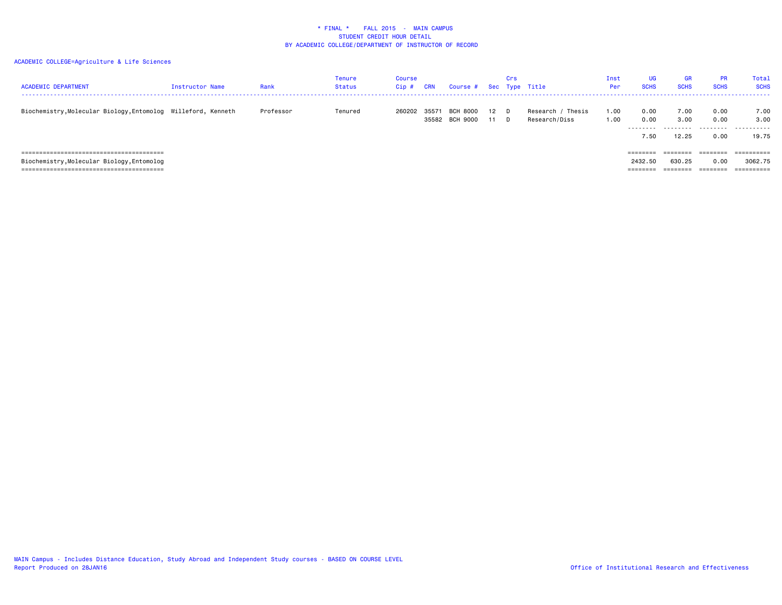### ACADEMIC COLLEGE=Agriculture & Life Sciences

| <b>ACADEMIC DEPARTMENT</b>                                    | Instructor Name | Rank      | Tenure<br>Status | Course<br>$Cip$ # | CRN   | Course # Sec Type Title           |            | Crs |                                    | Inst<br>Per  | UG<br><b>SCHS</b>         | <b>GR</b><br><b>SCHS</b>   | <b>PR</b><br><b>SCHS</b>  | <b>Total</b><br><b>SCHS</b> |
|---------------------------------------------------------------|-----------------|-----------|------------------|-------------------|-------|-----------------------------------|------------|-----|------------------------------------|--------------|---------------------------|----------------------------|---------------------------|-----------------------------|
| Biochemistry, Molecular Biology, Entomolog Willeford, Kenneth |                 | Professor | Tenured          | 260202            | 35571 | <b>BCH 8000</b><br>35582 BCH 9000 | 12 D<br>11 | - D | Research / Thesis<br>Research/Diss | 1.00<br>1.00 | 0.00<br>0.00<br>.<br>7.50 | 7.00<br>3.00<br>.<br>12.25 | 0.00<br>0.00<br>.<br>0.00 | 7.00<br>3.00<br>.<br>19.75  |
|                                                               |                 |           |                  |                   |       |                                   |            |     |                                    |              | ========                  | ========                   | ========                  | ----------                  |
| Biochemistry, Molecular Biology, Entomolog                    |                 |           |                  |                   |       |                                   |            |     |                                    |              | 2432.50                   | 630.25                     | 0.00                      | 3062.75                     |
|                                                               |                 |           |                  |                   |       |                                   |            |     |                                    |              | ========                  |                            |                           | $=$ = = = = = = = = =       |

MAIN Campus - Includes Distance Education, Study Abroad and Independent Study courses - BASED ON COURSE LEVEL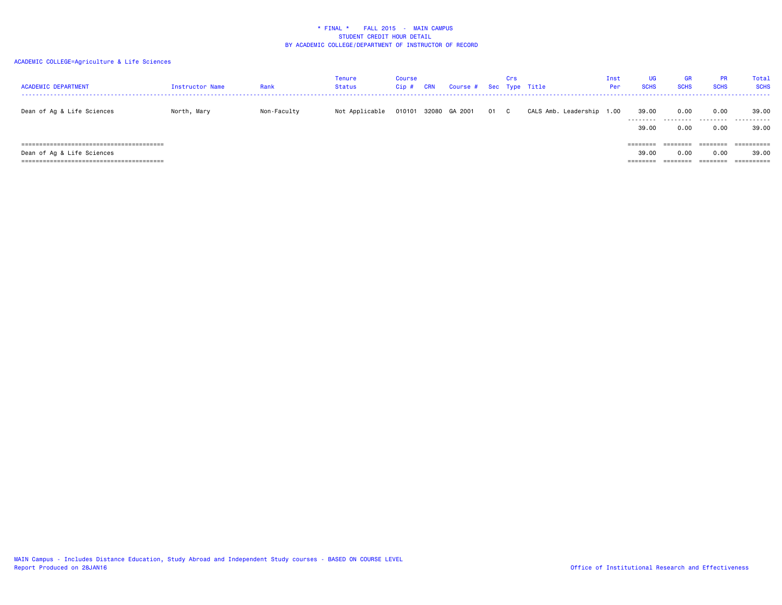| <b>ACADEMIC DEPARTMENT</b> | Instructor Name | Rank        | Tenure<br><b>Status</b> | <b>Course</b><br>Cip# | CRN   | Course # Sec Type Title |      | Crs |                           | Inst<br>Per | UG<br><b>SCHS</b>             | GR<br><b>SCHS</b> | <b>PR</b><br><b>SCHS</b>     | Total<br><b>SCHS</b>              |
|----------------------------|-----------------|-------------|-------------------------|-----------------------|-------|-------------------------|------|-----|---------------------------|-------------|-------------------------------|-------------------|------------------------------|-----------------------------------|
| Dean of Ag & Life Sciences | North, Mary     | Non-Faculty | Not Applicable          | 010101                | 32080 | GA 2001                 | 01 C |     | CALS Amb. Leadership 1.00 |             | 39.00<br>---------<br>39.00   | 0.00<br>.<br>0.00 | 0.00<br>.<br>0.00            | 39.00<br>.<br>39,00               |
| Dean of Ag & Life Sciences |                 |             |                         |                       |       |                         |      |     |                           |             | ========<br>39.00<br>======== | 0.00<br>--------  | ========<br>0.00<br>======== | ==========<br>39.00<br>========== |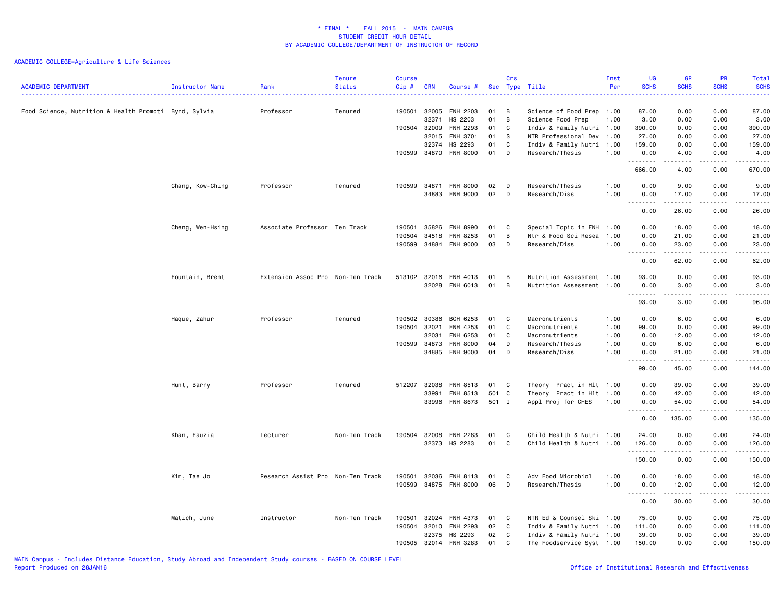| <b>ACADEMIC DEPARTMENT</b>                            | Instructor Name  | Rank<br>.                         | <b>Tenure</b><br><b>Status</b> | <b>Course</b><br>Cip# | <b>CRN</b>     | Course #                   |          | Crs     | Sec Type Title                                    | Inst<br>Per  | UG<br><b>SCHS</b><br>$\frac{1}{2} \left( \frac{1}{2} \right) \left( \frac{1}{2} \right) \left( \frac{1}{2} \right)$ | <b>GR</b><br><b>SCHS</b> | <b>PR</b><br><b>SCHS</b> | Total<br><b>SCHS</b><br>.                                                                                                                                                                 |
|-------------------------------------------------------|------------------|-----------------------------------|--------------------------------|-----------------------|----------------|----------------------------|----------|---------|---------------------------------------------------|--------------|---------------------------------------------------------------------------------------------------------------------|--------------------------|--------------------------|-------------------------------------------------------------------------------------------------------------------------------------------------------------------------------------------|
| Food Science, Nutrition & Health Promoti Byrd, Sylvia |                  | Professor                         | Tenured                        | 190501                | 32005          | FNH 2203                   | 01       | B       | Science of Food Prep 1.00                         |              | 87.00                                                                                                               | 0.00                     | 0.00                     | 87.00                                                                                                                                                                                     |
|                                                       |                  |                                   |                                |                       | 32371          | HS 2203                    | 01       | B       | Science Food Prep                                 | 1.00         | 3.00                                                                                                                | 0.00                     | 0.00                     | 3.00                                                                                                                                                                                      |
|                                                       |                  |                                   |                                | 190504 32009          | 32015          | FNH 2293<br>FNH 3701       | 01<br>01 | C<br>-S | Indiv & Family Nutri 1.00<br>NTR Professional Dev | 1.00         | 390.00<br>27.00                                                                                                     | 0.00<br>0.00             | 0.00<br>0.00             | 390.00<br>27.00                                                                                                                                                                           |
|                                                       |                  |                                   |                                |                       | 32374          | HS 2293                    | 01       | C       | Indiv & Family Nutri 1.00                         |              | 159.00                                                                                                              | 0.00                     | 0.00                     | 159.00                                                                                                                                                                                    |
|                                                       |                  |                                   |                                | 190599                | 34870          | <b>FNH 8000</b>            | 01       | D       | Research/Thesis                                   | 1.00         | 0.00                                                                                                                | 4.00                     | 0.00                     | 4.00                                                                                                                                                                                      |
|                                                       |                  |                                   |                                |                       |                |                            |          |         |                                                   |              | .<br>666.00                                                                                                         | -----<br>4.00            | .<br>0.00                | $\frac{1}{2} \left( \frac{1}{2} \right) \left( \frac{1}{2} \right) \left( \frac{1}{2} \right) \left( \frac{1}{2} \right) \left( \frac{1}{2} \right) \left( \frac{1}{2} \right)$<br>670.00 |
|                                                       | Chang, Kow-Ching | Professor                         | Tenured                        | 190599                | 34871          | <b>FNH 8000</b>            | 02       | D       | Research/Thesis                                   | 1.00         | 0.00                                                                                                                | 9.00                     | 0.00                     | 9.00                                                                                                                                                                                      |
|                                                       |                  |                                   |                                |                       |                | 34883 FNH 9000             | 02       | D       | Research/Diss                                     | 1.00         | 0.00                                                                                                                | 17.00                    | 0.00                     | 17.00                                                                                                                                                                                     |
|                                                       |                  |                                   |                                |                       |                |                            |          |         |                                                   |              | .<br>0.00                                                                                                           | .<br>26.00               | .<br>0.00                | .<br>26.00                                                                                                                                                                                |
|                                                       | Cheng, Wen-Hsing | Associate Professor Ten Track     |                                | 190501                | 35826          | FNH 8990                   | 01       | C.      | Special Topic in FNH                              | 1.00         | 0.00                                                                                                                | 18.00                    | 0.00                     | 18.00                                                                                                                                                                                     |
|                                                       |                  |                                   |                                | 190504                | 34518          | FNH 8253                   | 01       | В       | Ntr & Food Sci Resea                              | 1.00         | 0.00                                                                                                                | 21.00                    | 0.00                     | 21.00                                                                                                                                                                                     |
|                                                       |                  |                                   |                                | 190599                | 34884          | <b>FNH 9000</b>            | 03       | D       | Research/Diss                                     | 1.00         | 0.00                                                                                                                | 23.00                    | 0.00                     | 23.00                                                                                                                                                                                     |
|                                                       |                  |                                   |                                |                       |                |                            |          |         |                                                   |              | 0.00                                                                                                                | 62.00                    | 0.00                     | .<br>62.00                                                                                                                                                                                |
|                                                       | Fountain, Brent  | Extension Assoc Pro Non-Ten Track |                                | 513102                | 32016          | FNH 4013                   | 01       | В       | Nutrition Assessment 1.00                         |              | 93.00                                                                                                               | 0.00                     | 0.00                     | 93.00                                                                                                                                                                                     |
|                                                       |                  |                                   |                                |                       | 32028          | FNH 6013                   | 01       | В       | Nutrition Assessment 1.00                         |              | 0.00                                                                                                                | 3.00                     | 0.00                     | 3.00                                                                                                                                                                                      |
|                                                       |                  |                                   |                                |                       |                |                            |          |         |                                                   |              | .<br>93.00                                                                                                          | -----<br>3.00            | .<br>0.00                | .<br>96.00                                                                                                                                                                                |
|                                                       |                  |                                   |                                |                       |                |                            |          |         |                                                   |              |                                                                                                                     |                          |                          |                                                                                                                                                                                           |
|                                                       | Haque, Zahur     | Professor                         | Tenured                        | 190502                | 30386          | BCH 6253                   | 01       | C       | Macronutrients                                    | 1.00         | 0.00                                                                                                                | 6.00                     | 0.00                     | 6.00                                                                                                                                                                                      |
|                                                       |                  |                                   |                                | 190504                | 32021<br>32031 | FNH 4253<br>FNH 6253       | 01<br>01 | C<br>C  | Macronutrients                                    | 1.00         | 99.00                                                                                                               | 0.00                     | 0.00<br>0.00             | 99.00                                                                                                                                                                                     |
|                                                       |                  |                                   |                                | 190599                | 34873          | <b>FNH 8000</b>            | 04       | D       | Macronutrients<br>Research/Thesis                 | 1.00<br>1.00 | 0.00<br>0.00                                                                                                        | 12.00<br>6.00            | 0.00                     | 12.00<br>6.00                                                                                                                                                                             |
|                                                       |                  |                                   |                                |                       | 34885          | <b>FNH 9000</b>            | 04       | D       | Research/Diss                                     | 1.00         | 0.00                                                                                                                | 21.00                    | 0.00                     | 21.00                                                                                                                                                                                     |
|                                                       |                  |                                   |                                |                       |                |                            |          |         |                                                   |              | .<br>99.00                                                                                                          | .<br>45.00               | .<br>0.00                | .<br>144.00                                                                                                                                                                               |
|                                                       | Hunt, Barry      | Professor                         | Tenured                        | 512207                | 32038          | FNH 8513                   | 01       | C       | Theory Pract in Hlt 1.00                          |              | 0.00                                                                                                                | 39.00                    | 0.00                     | 39.00                                                                                                                                                                                     |
|                                                       |                  |                                   |                                |                       | 33991          | FNH 8513                   | 501 C    |         | Theory Pract in Hlt 1.00                          |              | 0.00                                                                                                                | 42.00                    | 0.00                     | 42.00                                                                                                                                                                                     |
|                                                       |                  |                                   |                                |                       | 33996          | FNH 8673                   | 501 I    |         | Appl Proj for CHES                                | 1.00         | 0.00                                                                                                                | 54.00                    | 0.00                     | 54.00                                                                                                                                                                                     |
|                                                       |                  |                                   |                                |                       |                |                            |          |         |                                                   |              | $\sim$ $\sim$ $\sim$<br>0.00                                                                                        | 135.00                   | 0.00                     | 135.00                                                                                                                                                                                    |
|                                                       | Khan, Fauzia     | Lecturer                          | Non-Ten Track                  | 190504                | 32008          | FNH 2283                   | 01       | C.      | Child Health & Nutri 1.00                         |              | 24.00                                                                                                               | 0.00                     | 0.00                     | 24.00                                                                                                                                                                                     |
|                                                       |                  |                                   |                                |                       |                | 32373 HS 2283              | 01       | C       | Child Health & Nutri 1.00                         |              | 126.00                                                                                                              | 0.00                     | 0.00                     | 126.00                                                                                                                                                                                    |
|                                                       |                  |                                   |                                |                       |                |                            |          |         |                                                   |              | .<br>150.00                                                                                                         | .<br>0.00                | .<br>0.00                | .<br>150.00                                                                                                                                                                               |
|                                                       |                  |                                   |                                |                       |                |                            |          |         |                                                   |              |                                                                                                                     |                          |                          |                                                                                                                                                                                           |
|                                                       | Kim, Tae Jo      | Research Assist Pro Non-Ten Track |                                | 190501<br>190599      | 32036          | FNH 8113<br>34875 FNH 8000 | 01<br>06 | C<br>D  | Adv Food Microbiol<br>Research/Thesis             | 1.00<br>1.00 | 0.00<br>0.00                                                                                                        | 18.00<br>12.00           | 0.00<br>0.00             | 18.00<br>12.00                                                                                                                                                                            |
|                                                       |                  |                                   |                                |                       |                |                            |          |         |                                                   |              | .                                                                                                                   |                          | .                        | .                                                                                                                                                                                         |
|                                                       |                  |                                   |                                |                       |                |                            |          |         |                                                   |              | 0.00                                                                                                                | 30.00                    | 0.00                     | 30.00                                                                                                                                                                                     |
|                                                       | Matich, June     | Instructor                        | Non-Ten Track                  | 190501                | 32024          | FNH 4373                   | 01       | C       | NTR Ed & Counsel Ski 1.00                         |              | 75.00                                                                                                               | 0.00                     | 0.00                     | 75.00                                                                                                                                                                                     |
|                                                       |                  |                                   |                                | 190504                | 32010          | <b>FNH 2293</b>            | 02       | C       | Indiv & Family Nutri 1.00                         |              | 111.00                                                                                                              | 0.00                     | 0.00                     | 111.00                                                                                                                                                                                    |
|                                                       |                  |                                   |                                |                       | 32375          | HS 2293                    | 02       | C       | Indiv & Family Nutri 1.00                         |              | 39.00                                                                                                               | 0.00                     | 0.00                     | 39.00                                                                                                                                                                                     |
|                                                       |                  |                                   |                                | 190505                |                | 32014 FNH 3283             | 01       | C       | The Foodservice Syst 1.00                         |              | 150.00                                                                                                              | 0.00                     | 0.00                     | 150.00                                                                                                                                                                                    |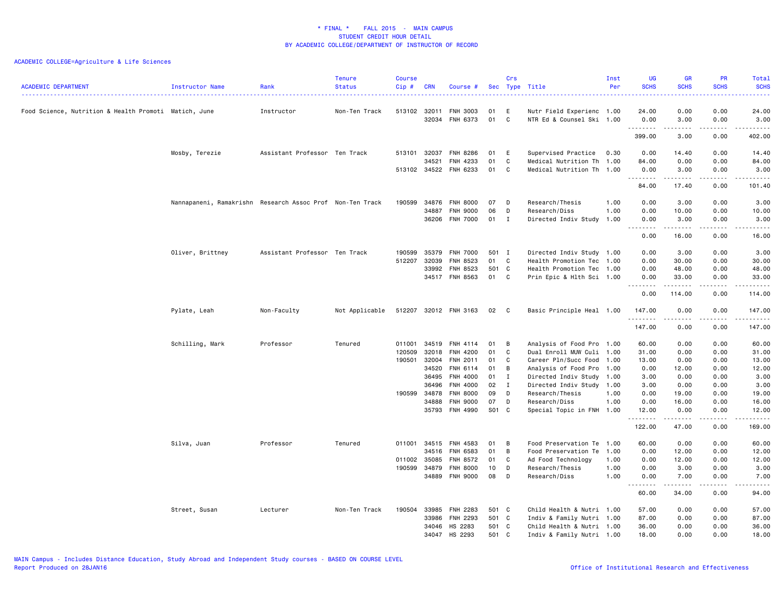|                                                       |                                                           |                               | <b>Tenure</b>  | <b>Course</b> |                |                             |          | Crs          |                                  | Inst         | UG<br><b>SCHS</b>                     | <b>GR</b><br><b>SCHS</b> | <b>PR</b><br><b>SCHS</b> | <b>Total</b><br><b>SCHS</b> |
|-------------------------------------------------------|-----------------------------------------------------------|-------------------------------|----------------|---------------|----------------|-----------------------------|----------|--------------|----------------------------------|--------------|---------------------------------------|--------------------------|--------------------------|-----------------------------|
| <b>ACADEMIC DEPARTMENT</b>                            | <b>Instructor Name</b>                                    | Rank                          | <b>Status</b>  | Cip#          | <b>CRN</b>     | Course #                    | Sec      |              | Type Title                       | Per          |                                       |                          |                          | 2222.                       |
| Food Science, Nutrition & Health Promoti Matich, June |                                                           | Instructor                    | Non-Ten Track  | 513102 32011  |                | FNH 3003                    | 01       | Ε            | Nutr Field Experienc 1.00        |              | 24.00                                 | 0.00                     | 0.00                     | 24.00                       |
|                                                       |                                                           |                               |                |               | 32034          | FNH 6373                    | 01       | C            | NTR Ed & Counsel Ski 1.00        |              | 0.00<br><u>.</u>                      | 3.00<br>.                | 0.00<br>.                | 3.00<br>.                   |
|                                                       |                                                           |                               |                |               |                |                             |          |              |                                  |              | 399.00                                | 3.00                     | 0.00                     | 402.00                      |
|                                                       | Mosby, Terezie                                            | Assistant Professor Ten Track |                | 513101        | 32037          | <b>FNH 8286</b>             | 01       | E            | Supervised Practice              | 0.30         | 0.00                                  | 14.40                    | 0.00                     | 14.40                       |
|                                                       |                                                           |                               |                |               | 34521          | FNH 4233                    | 01       | C            | Medical Nutrition Th             | 1.00         | 84.00                                 | 0.00                     | 0.00                     | 84.00                       |
|                                                       |                                                           |                               |                | 513102 34522  |                | FNH 6233                    | 01       | C            | Medical Nutrition Th 1.00        |              | 0.00                                  | 3.00                     | 0.00                     | 3.00                        |
|                                                       |                                                           |                               |                |               |                |                             |          |              |                                  |              | .<br>84.00                            | ------<br>17.40          | .<br>0.00                | .<br>101.40                 |
|                                                       | Nannapaneni, Ramakrishn Research Assoc Prof Non-Ten Track |                               |                | 190599        | 34876          | <b>FNH 8000</b>             | 07       | D            | Research/Thesis                  | 1.00         | 0.00                                  | 3.00                     | 0.00                     | 3.00                        |
|                                                       |                                                           |                               |                |               | 34887          | <b>FNH 9000</b>             | 06       | D            | Research/Diss                    | 1.00         | 0.00                                  | 10.00                    | 0.00                     | 10.00                       |
|                                                       |                                                           |                               |                |               | 36206          | <b>FNH 7000</b>             | 01       | $\mathbf{I}$ | Directed Indiv Study 1.00        |              | 0.00                                  | 3.00                     | 0.00                     | 3.00                        |
|                                                       |                                                           |                               |                |               |                |                             |          |              |                                  |              | $\frac{1}{2}$                         | .                        | .                        | $\frac{1}{2}$               |
|                                                       |                                                           |                               |                |               |                |                             |          |              |                                  |              | 0.00                                  | 16.00                    | 0.00                     | 16.00                       |
|                                                       | Oliver, Brittney                                          | Assistant Professor Ten Track |                | 190599        | 35379          | <b>FNH 7000</b>             | 501 I    |              | Directed Indiv Study 1.00        |              | 0.00                                  | 3.00                     | 0.00                     | 3.00                        |
|                                                       |                                                           |                               |                | 512207        | 32039          | FNH 8523                    | 01       | C            | Health Promotion Tec             | 1.00         | 0.00                                  | 30.00                    | 0.00                     | 30.00                       |
|                                                       |                                                           |                               |                |               | 33992          | FNH 8523                    | 501 C    |              | Health Promotion Tec 1.00        |              | 0.00                                  | 48.00                    | 0.00                     | 48.00                       |
|                                                       |                                                           |                               |                |               |                | 34517 FNH 8563              | 01 C     |              | Prin Epic & Hlth Sci 1.00        |              | 0.00                                  | 33.00                    | 0.00                     | 33.00                       |
|                                                       |                                                           |                               |                |               |                |                             |          |              |                                  |              | $\sim$ $\sim$ $\sim$<br>-----<br>0.00 | 114.00                   | .<br>0.00                | .<br>114.00                 |
|                                                       | Pylate, Leah                                              | Non-Faculty                   | Not Applicable |               |                | 512207 32012 FNH 3163       | 02       | $\mathbf{C}$ | Basic Principle Heal 1.00        |              | 147.00                                | 0.00                     | 0.00                     | 147.00                      |
|                                                       |                                                           |                               |                |               |                |                             |          |              |                                  |              | .<br>147.00                           | .<br>0.00                | $\frac{1}{2}$<br>0.00    | <u>.</u><br>147.00          |
|                                                       | Schilling, Mark                                           | Professor                     | Tenured        | 011001        | 34519          | FNH 4114                    | 01       | B            | Analysis of Food Pro 1.00        |              | 60.00                                 | 0.00                     | 0.00                     | 60.00                       |
|                                                       |                                                           |                               |                | 120509        | 32018          | FNH 4200                    | 01       | C            | Dual Enroll MUW Culi             | 1.00         | 31.00                                 | 0.00                     | 0.00                     | 31.00                       |
|                                                       |                                                           |                               |                | 190501        | 32004          | FNH 2011                    | 01       | C            | Career Pln/Succ Food 1.00        |              | 13.00                                 | 0.00                     | 0.00                     | 13.00                       |
|                                                       |                                                           |                               |                |               | 34520          | FNH 6114                    | 01       | В            | Analysis of Food Pro             | 1.00         | 0.00                                  | 12.00                    | 0.00                     | 12.00                       |
|                                                       |                                                           |                               |                |               | 36495          | FNH 4000                    | 01       | $\mathbf{I}$ | Directed Indiv Study             | 1.00         | 3.00                                  | 0.00                     | 0.00                     | 3.00                        |
|                                                       |                                                           |                               |                |               | 36496          | FNH 4000                    | 02       | $\mathbf{I}$ | Directed Indiv Study 1.00        |              | 3.00                                  | 0.00                     | 0.00                     | 3.00                        |
|                                                       |                                                           |                               |                | 190599 34878  |                | FNH 8000                    | 09       | D            | Research/Thesis                  | 1.00         | 0.00                                  | 19.00                    | 0.00                     | 19.00                       |
|                                                       |                                                           |                               |                |               | 34888          | FNH 9000                    | 07       | D            | Research/Diss                    | 1.00         | 0.00                                  | 16.00                    | 0.00                     | 16.00                       |
|                                                       |                                                           |                               |                |               | 35793          | FNH 4990                    | S01 C    |              | Special Topic in FNH 1.00        |              | 12.00                                 | 0.00                     | 0.00                     | 12.00                       |
|                                                       |                                                           |                               |                |               |                |                             |          |              |                                  |              | .<br>122.00                           | .<br>47.00               | .<br>0.00                | .<br>169.00                 |
|                                                       | Silva, Juan                                               | Professor                     | Tenured        | 011001        | 34515          | FNH 4583                    | 01       | B            | Food Preservation Te 1.00        |              | 60.00                                 | 0.00                     | 0.00                     | 60.00                       |
|                                                       |                                                           |                               |                |               | 34516          | FNH 6583                    | 01       | В            | Food Preservation Te             | 1.00         | 0.00                                  | 12.00                    | 0.00                     | 12.00                       |
|                                                       |                                                           |                               |                | 011002 35085  |                | FNH 8572                    | 01       | C            | Ad Food Technology               | 1.00         | 0.00                                  | 12.00                    | 0.00                     | 12.00                       |
|                                                       |                                                           |                               |                |               |                |                             |          |              |                                  |              |                                       |                          |                          |                             |
|                                                       |                                                           |                               |                | 190599        | 34879<br>34889 | <b>FNH 8000</b><br>FNH 9000 | 10<br>08 | D<br>D       | Research/Thesis<br>Research/Diss | 1.00<br>1.00 | 0.00<br>0.00                          | 3.00<br>7.00             | 0.00<br>0.00             | 3.00<br>7.00                |
|                                                       |                                                           |                               |                |               |                |                             |          |              |                                  |              | $- - -$                               | $\cdots$                 | .                        | .                           |
|                                                       |                                                           |                               |                |               |                |                             |          |              |                                  |              | 60.00                                 | 34.00                    | 0.00                     | 94.00                       |
|                                                       | Street, Susan                                             | Lecturer                      | Non-Ten Track  | 190504        | 33985          | FNH 2283                    | 501 C    |              | Child Health & Nutri 1.00        |              | 57.00                                 | 0.00                     | 0.00                     | 57.00                       |
|                                                       |                                                           |                               |                |               | 33986          | FNH 2293                    | 501 C    |              | Indiv & Family Nutri 1.00        |              | 87.00                                 | 0.00                     | 0.00                     | 87.00                       |
|                                                       |                                                           |                               |                |               | 34046          | HS 2283                     | 501 C    |              | Child Health & Nutri 1.00        |              | 36.00                                 | 0.00                     | 0.00                     | 36.00                       |
|                                                       |                                                           |                               |                |               | 34047          | HS 2293                     | 501 C    |              | Indiv & Family Nutri 1.00        |              | 18.00                                 | 0.00                     | 0.00                     | 18.00                       |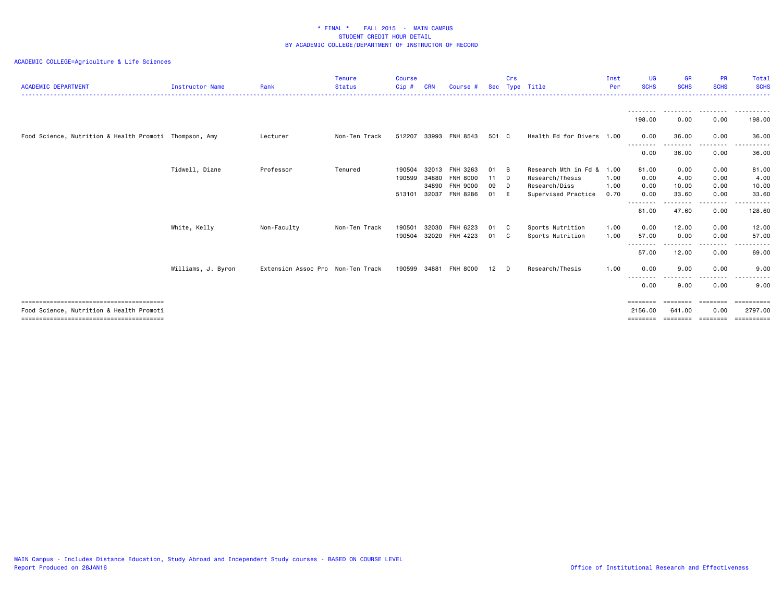| <b>ACADEMIC DEPARTMENT</b>                             | <b>Instructor Name</b> | Rank                              | <b>Tenure</b><br><b>Status</b> | <b>Course</b><br>Cip# | <b>CRN</b> | Course #        |       | Crs | Sec Type Title            | Inst<br>Per | UG<br><b>SCHS</b> | <b>GR</b><br><b>SCHS</b> | <b>PR</b><br><b>SCHS</b> | <b>Total</b><br><b>SCHS</b> |
|--------------------------------------------------------|------------------------|-----------------------------------|--------------------------------|-----------------------|------------|-----------------|-------|-----|---------------------------|-------------|-------------------|--------------------------|--------------------------|-----------------------------|
|                                                        |                        |                                   |                                |                       |            |                 |       |     |                           |             | ---------         | .                        | .                        | .                           |
|                                                        |                        |                                   |                                |                       |            |                 |       |     |                           |             | 198,00            | 0.00                     | 0.00                     | 198,00                      |
| Food Science, Nutrition & Health Promoti Thompson, Amy |                        | Lecturer                          | Non-Ten Track                  | 512207                | 33993      | FNH 8543        | 501 C |     | Health Ed for Divers 1.00 |             | 0.00<br>--------  | 36.00                    | 0.00<br>. <b>.</b> .     | 36.00                       |
|                                                        |                        |                                   |                                |                       |            |                 |       |     |                           |             | 0.00              | 36.00                    | 0.00                     | 36.00                       |
|                                                        | Tidwell, Diane         | Professor                         | Tenured                        | 190504                | 32013      | FNH 3263        | 01    | B   | Research Mth in Fd &      | 1.00        | 81.00             | 0.00                     | 0.00                     | 81.00                       |
|                                                        |                        |                                   |                                | 190599                | 34880      | <b>FNH 8000</b> | 11    | - D | Research/Thesis           | 1.00        | 0.00              | 4.00                     | 0.00                     | 4.00                        |
|                                                        |                        |                                   |                                |                       | 34890      | <b>FNH 9000</b> | 09    | - D | Research/Diss             | 1.00        | 0.00              | 10.00                    | 0.00                     | 10.00                       |
|                                                        |                        |                                   |                                | 513101                | 32037      | <b>FNH 8286</b> | 01    | - E | Supervised Practice       | 0.70        | 0.00              | 33.60                    | 0.00                     | 33.60                       |
|                                                        |                        |                                   |                                |                       |            |                 |       |     |                           |             | --------<br>81.00 | .<br>47.60               | .<br>0.00                | ------<br>128.60            |
|                                                        | White, Kelly           | Non-Faculty                       | Non-Ten Track                  | 190501                | 32030      | FNH 6223        | 01    | - C | Sports Nutrition          | 1.00        | 0.00              | 12.00                    | 0.00                     | 12.00                       |
|                                                        |                        |                                   |                                | 190504                | 32020      | FNH 4223        | 01    | C   | Sports Nutrition          | 1.00        | 57.00             | 0.00                     | 0.00                     | 57.00                       |
|                                                        |                        |                                   |                                |                       |            |                 |       |     |                           |             | --------          | .                        | <u>.</u>                 | .<br>$\cdots$               |
|                                                        |                        |                                   |                                |                       |            |                 |       |     |                           |             | 57.00             | 12.00                    | 0.00                     | 69.00                       |
|                                                        | Williams, J. Byron     | Extension Assoc Pro Non-Ten Track |                                | 190599                | 34881      | <b>FNH 8000</b> | 12    | - D | Research/Thesis           | 1.00        | 0.00              | 9.00                     | 0.00                     | 9.00                        |
|                                                        |                        |                                   |                                |                       |            |                 |       |     |                           |             | ---------<br>0.00 | $\cdots$<br>9.00         | -----<br>0.00            | $- - -$<br>9.00             |
|                                                        |                        |                                   |                                |                       |            |                 |       |     |                           |             | ========          | ========                 | ========                 | ==========                  |
| Food Science, Nutrition & Health Promoti               |                        |                                   |                                |                       |            |                 |       |     |                           |             | 2156.00           | 641.00                   | 0.00                     | 2797.00                     |
|                                                        |                        |                                   |                                |                       |            |                 |       |     |                           |             | =======           |                          |                          | ==========                  |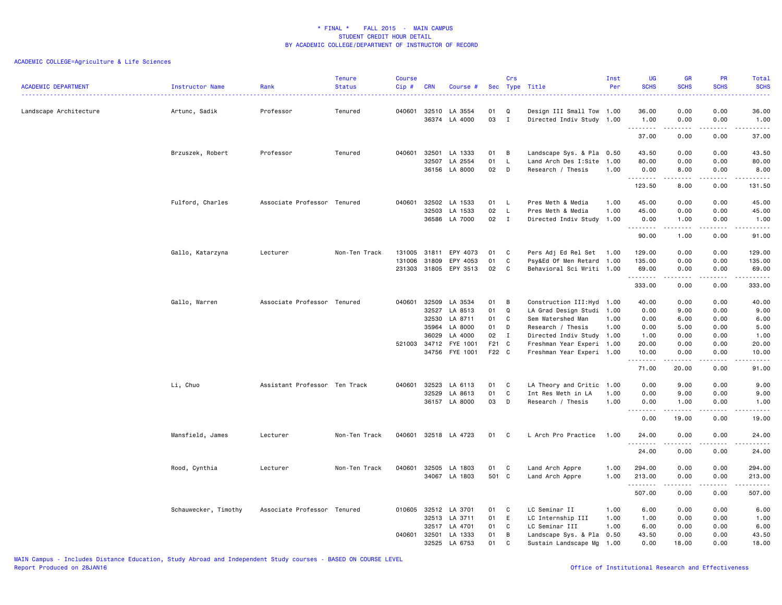| Type Title<br><b>ACADEMIC DEPARTMENT</b><br><b>Status</b><br>Cip#<br>Instructor Name<br>Rank<br><b>CRN</b><br>Course #<br>Sec<br>36.00<br>0.00<br>0.00<br>36.00<br>Landscape Architecture<br>Artunc, Sadik<br>Professor<br>040601 32510 LA 3554<br>01<br>Q<br>Design III Small Tow 1.00<br>Tenured<br>36374 LA 4000<br>03<br>I<br>Directed Indiv Study 1.00<br>0.00<br>0.00<br>1.00<br>1.00<br>.<br>$\sim$ $\sim$ $\sim$<br>$\frac{1}{2} \left( \frac{1}{2} \right) \left( \frac{1}{2} \right) \left( \frac{1}{2} \right) \left( \frac{1}{2} \right) \left( \frac{1}{2} \right)$<br>.<br>37.00<br>0.00<br>0.00<br>37.00<br>Professor<br>32501<br>43.50<br>0.00<br>Brzuszek, Robert<br>Tenured<br>040601<br>LA 1333<br>01<br>B<br>Landscape Sys. & Pla 0.50<br>0.00<br>43.50<br>01<br>32507<br>LA 2554<br>L<br>Land Arch Des I:Site 1.00<br>80.00<br>0.00<br>0.00<br>80.00<br>02<br>D<br>8.00<br>36156 LA 8000<br>Research / Thesis<br>1.00<br>0.00<br>8.00<br>0.00<br>.<br>.<br>1.1.1.1.1<br>-----<br>123.50<br>8.00<br>0.00<br>131.50<br>Fulford, Charles<br>Associate Professor Tenured<br>040601<br>32502<br>LA 1533<br>01<br>L<br>Pres Meth & Media<br>1.00<br>45.00<br>0.00<br>0.00<br>45.00<br>32503<br>LA 1533<br>02<br>$\mathsf{L}$<br>Pres Meth & Media<br>1.00<br>45.00<br>0.00<br>0.00<br>45.00<br>36586 LA 7000<br>02<br>$\mathbf{I}$<br>Directed Indiv Study 1.00<br>0.00<br>1.00<br>0.00<br>1.00<br>$\frac{1}{2} \left( \frac{1}{2} \right) \left( \frac{1}{2} \right) \left( \frac{1}{2} \right) \left( \frac{1}{2} \right) \left( \frac{1}{2} \right)$<br>.<br>.<br>د د د د<br>90.00<br>1.00<br>0.00<br>91.00<br>Gallo, Katarzyna<br>Lecturer<br>Non-Ten Track<br>131005<br>31811<br>EPY 4073<br>01<br>Pers Adj Ed Rel Set<br>129.00<br>0.00<br>0.00<br>129.00<br>C<br>1.00<br>01<br>C<br>135.00<br>0.00<br>0.00<br>135.00<br>131006<br>31809<br>EPY 4053<br>Psy&Ed Of Men Retard 1.00<br>231303 31805 EPY 3513<br>02<br>Behavioral Sci Writi 1.00<br>C<br>69.00<br>0.00<br>0.00<br>69.00<br>.<br>.<br>.<br>333.00<br>0.00<br>0.00<br>333.00<br>Associate Professor Tenured<br>32509<br>LA 3534<br>0.00<br>0.00<br>40.00<br>Gallo, Warren<br>040601<br>01<br>B<br>Construction III: Hyd 1.00<br>40.00<br>32527<br>LA 8513<br>01<br>Q<br>LA Grad Design Studi 1.00<br>0.00<br>9.00<br>0.00<br>9.00<br>32530<br>LA 8711<br>01<br>C<br>Sem Watershed Man<br>0.00<br>0.00<br>1.00<br>6.00<br>6.00<br>LA 8000<br>5.00<br>35964<br>01<br>D<br>Research / Thesis<br>1.00<br>0.00<br>5.00<br>0.00<br>36029<br>LA 4000<br>02<br>$\mathbf{I}$<br>Directed Indiv Study 1.00<br>1.00<br>0.00<br>0.00<br>1.00<br>F21 C<br>521003 34712<br>FYE 1001<br>Freshman Year Experi 1.00<br>20.00<br>0.00<br>0.00<br>20.00<br>34756 FYE 1001<br>F22 C<br>10.00<br>Freshman Year Experi 1.00<br>10.00<br>0.00<br>0.00<br>.<br>.<br>$\frac{1}{2}$<br>.<br>71.00<br>20.00<br>0.00<br>91.00<br>Li, Chuo<br>0.00<br>9.00<br>Assistant Professor Ten Track<br>040601<br>32523<br>LA 6113<br>01<br>C<br>LA Theory and Critic 1.00<br>0.00<br>9.00<br>32529<br>LA 8613<br>01<br>C<br>Int Res Meth in LA<br>1.00<br>0.00<br>9.00<br>0.00<br>9.00<br>03<br>36157 LA 8000<br>D<br>Research / Thesis<br>1.00<br>1.00<br>1.00<br>0.00<br>0.00<br>$\sim$ $\sim$ $\sim$<br>.<br>$\sim$ $\sim$ $\sim$ $\sim$<br>ولايت<br>0.00<br>19.00<br>0.00<br>19.00<br>Mansfield, James<br>040601<br>32518 LA 4723<br>1.00<br>24.00<br>0.00<br>Lecturer<br>Non-Ten Track<br>01<br>C<br>L Arch Pro Practice<br>0.00<br>24.00<br>.<br>. <b>.</b><br>.<br>.<br>24.00<br>0.00<br>0.00<br>24.00<br>040601<br>32505<br>LA 1803<br>01<br>1.00<br>0.00<br>0.00<br>Rood, Cynthia<br>Lecturer<br>Non-Ten Track<br>C<br>Land Arch Appre<br>294.00<br>294.00<br>501 C<br>34067 LA 1803<br>Land Arch Appre<br>1.00<br>213.00<br>0.00<br>0.00<br>213.00<br>.<br>.<br>.<br>.<br>507.00<br>0.00<br>0.00<br>507.00<br>32512<br>LC Seminar II<br>6.00<br>Schauwecker, Timothy<br>Associate Professor Tenured<br>010605<br>LA 3701<br>01<br>C<br>1.00<br>0.00<br>0.00<br>6.00<br>32513 LA 3711<br>01<br>E<br>LC Internship III<br>1.00<br>1.00<br>0.00<br>0.00<br>1.00<br>32517 LA 4701<br>01<br>C<br>LC Seminar III<br>1.00<br>6.00<br>0.00<br>0.00<br>6.00<br>040601 32501<br>LA 1333<br>01<br>43.50<br>0.00<br>0.00<br>43.50<br>В<br>Landscape Sys. & Pla 0.50<br>32525 LA 6753<br>01<br>C<br>Sustain Landscape Mg 1.00<br>0.00<br>18.00<br>0.00<br>18.00 |  | <b>Tenure</b> | <b>Course</b> |  | Crs | Inst | <b>UG</b>   | <b>GR</b>   | PR          | Total       |
|---------------------------------------------------------------------------------------------------------------------------------------------------------------------------------------------------------------------------------------------------------------------------------------------------------------------------------------------------------------------------------------------------------------------------------------------------------------------------------------------------------------------------------------------------------------------------------------------------------------------------------------------------------------------------------------------------------------------------------------------------------------------------------------------------------------------------------------------------------------------------------------------------------------------------------------------------------------------------------------------------------------------------------------------------------------------------------------------------------------------------------------------------------------------------------------------------------------------------------------------------------------------------------------------------------------------------------------------------------------------------------------------------------------------------------------------------------------------------------------------------------------------------------------------------------------------------------------------------------------------------------------------------------------------------------------------------------------------------------------------------------------------------------------------------------------------------------------------------------------------------------------------------------------------------------------------------------------------------------------------------------------------------------------------------------------------------------------------------------------------------------------------------------------------------------------------------------------------------------------------------------------------------------------------------------------------------------------------------------------------------------------------------------------------------------------------------------------------------------------------------------------------------------------------------------------------------------------------------------------------------------------------------------------------------------------------------------------------------------------------------------------------------------------------------------------------------------------------------------------------------------------------------------------------------------------------------------------------------------------------------------------------------------------------------------------------------------------------------------------------------------------------------------------------------------------------------------------------------------------------------------------------------------------------------------------------------------------------------------------------------------------------------------------------------------------------------------------------------------------------------------------------------------------------------------------------------------------------------------------------------------------------------------------------------------------------------------------------------------------------------------------------------------------------------------------------------------------------------------------------------------------------------------------------------------------------------------------------------------------------------------------------------------------------------------------------------------------------------------------------------------------------------------------------------------------------------------------------------------------------------------------------------------------------------------------------------------------------------------------------------------------------------------|--|---------------|---------------|--|-----|------|-------------|-------------|-------------|-------------|
|                                                                                                                                                                                                                                                                                                                                                                                                                                                                                                                                                                                                                                                                                                                                                                                                                                                                                                                                                                                                                                                                                                                                                                                                                                                                                                                                                                                                                                                                                                                                                                                                                                                                                                                                                                                                                                                                                                                                                                                                                                                                                                                                                                                                                                                                                                                                                                                                                                                                                                                                                                                                                                                                                                                                                                                                                                                                                                                                                                                                                                                                                                                                                                                                                                                                                                                                                                                                                                                                                                                                                                                                                                                                                                                                                                                                                                                                                                                                                                                                                                                                                                                                                                                                                                                                                                                                                                                                         |  |               |               |  |     | Per  | <b>SCHS</b> | <b>SCHS</b> | <b>SCHS</b> | <b>SCHS</b> |
|                                                                                                                                                                                                                                                                                                                                                                                                                                                                                                                                                                                                                                                                                                                                                                                                                                                                                                                                                                                                                                                                                                                                                                                                                                                                                                                                                                                                                                                                                                                                                                                                                                                                                                                                                                                                                                                                                                                                                                                                                                                                                                                                                                                                                                                                                                                                                                                                                                                                                                                                                                                                                                                                                                                                                                                                                                                                                                                                                                                                                                                                                                                                                                                                                                                                                                                                                                                                                                                                                                                                                                                                                                                                                                                                                                                                                                                                                                                                                                                                                                                                                                                                                                                                                                                                                                                                                                                                         |  |               |               |  |     |      |             |             |             |             |
|                                                                                                                                                                                                                                                                                                                                                                                                                                                                                                                                                                                                                                                                                                                                                                                                                                                                                                                                                                                                                                                                                                                                                                                                                                                                                                                                                                                                                                                                                                                                                                                                                                                                                                                                                                                                                                                                                                                                                                                                                                                                                                                                                                                                                                                                                                                                                                                                                                                                                                                                                                                                                                                                                                                                                                                                                                                                                                                                                                                                                                                                                                                                                                                                                                                                                                                                                                                                                                                                                                                                                                                                                                                                                                                                                                                                                                                                                                                                                                                                                                                                                                                                                                                                                                                                                                                                                                                                         |  |               |               |  |     |      |             |             |             |             |
|                                                                                                                                                                                                                                                                                                                                                                                                                                                                                                                                                                                                                                                                                                                                                                                                                                                                                                                                                                                                                                                                                                                                                                                                                                                                                                                                                                                                                                                                                                                                                                                                                                                                                                                                                                                                                                                                                                                                                                                                                                                                                                                                                                                                                                                                                                                                                                                                                                                                                                                                                                                                                                                                                                                                                                                                                                                                                                                                                                                                                                                                                                                                                                                                                                                                                                                                                                                                                                                                                                                                                                                                                                                                                                                                                                                                                                                                                                                                                                                                                                                                                                                                                                                                                                                                                                                                                                                                         |  |               |               |  |     |      |             |             |             |             |
|                                                                                                                                                                                                                                                                                                                                                                                                                                                                                                                                                                                                                                                                                                                                                                                                                                                                                                                                                                                                                                                                                                                                                                                                                                                                                                                                                                                                                                                                                                                                                                                                                                                                                                                                                                                                                                                                                                                                                                                                                                                                                                                                                                                                                                                                                                                                                                                                                                                                                                                                                                                                                                                                                                                                                                                                                                                                                                                                                                                                                                                                                                                                                                                                                                                                                                                                                                                                                                                                                                                                                                                                                                                                                                                                                                                                                                                                                                                                                                                                                                                                                                                                                                                                                                                                                                                                                                                                         |  |               |               |  |     |      |             |             |             |             |
|                                                                                                                                                                                                                                                                                                                                                                                                                                                                                                                                                                                                                                                                                                                                                                                                                                                                                                                                                                                                                                                                                                                                                                                                                                                                                                                                                                                                                                                                                                                                                                                                                                                                                                                                                                                                                                                                                                                                                                                                                                                                                                                                                                                                                                                                                                                                                                                                                                                                                                                                                                                                                                                                                                                                                                                                                                                                                                                                                                                                                                                                                                                                                                                                                                                                                                                                                                                                                                                                                                                                                                                                                                                                                                                                                                                                                                                                                                                                                                                                                                                                                                                                                                                                                                                                                                                                                                                                         |  |               |               |  |     |      |             |             |             |             |
|                                                                                                                                                                                                                                                                                                                                                                                                                                                                                                                                                                                                                                                                                                                                                                                                                                                                                                                                                                                                                                                                                                                                                                                                                                                                                                                                                                                                                                                                                                                                                                                                                                                                                                                                                                                                                                                                                                                                                                                                                                                                                                                                                                                                                                                                                                                                                                                                                                                                                                                                                                                                                                                                                                                                                                                                                                                                                                                                                                                                                                                                                                                                                                                                                                                                                                                                                                                                                                                                                                                                                                                                                                                                                                                                                                                                                                                                                                                                                                                                                                                                                                                                                                                                                                                                                                                                                                                                         |  |               |               |  |     |      |             |             |             |             |
|                                                                                                                                                                                                                                                                                                                                                                                                                                                                                                                                                                                                                                                                                                                                                                                                                                                                                                                                                                                                                                                                                                                                                                                                                                                                                                                                                                                                                                                                                                                                                                                                                                                                                                                                                                                                                                                                                                                                                                                                                                                                                                                                                                                                                                                                                                                                                                                                                                                                                                                                                                                                                                                                                                                                                                                                                                                                                                                                                                                                                                                                                                                                                                                                                                                                                                                                                                                                                                                                                                                                                                                                                                                                                                                                                                                                                                                                                                                                                                                                                                                                                                                                                                                                                                                                                                                                                                                                         |  |               |               |  |     |      |             |             |             |             |
|                                                                                                                                                                                                                                                                                                                                                                                                                                                                                                                                                                                                                                                                                                                                                                                                                                                                                                                                                                                                                                                                                                                                                                                                                                                                                                                                                                                                                                                                                                                                                                                                                                                                                                                                                                                                                                                                                                                                                                                                                                                                                                                                                                                                                                                                                                                                                                                                                                                                                                                                                                                                                                                                                                                                                                                                                                                                                                                                                                                                                                                                                                                                                                                                                                                                                                                                                                                                                                                                                                                                                                                                                                                                                                                                                                                                                                                                                                                                                                                                                                                                                                                                                                                                                                                                                                                                                                                                         |  |               |               |  |     |      |             |             |             |             |
|                                                                                                                                                                                                                                                                                                                                                                                                                                                                                                                                                                                                                                                                                                                                                                                                                                                                                                                                                                                                                                                                                                                                                                                                                                                                                                                                                                                                                                                                                                                                                                                                                                                                                                                                                                                                                                                                                                                                                                                                                                                                                                                                                                                                                                                                                                                                                                                                                                                                                                                                                                                                                                                                                                                                                                                                                                                                                                                                                                                                                                                                                                                                                                                                                                                                                                                                                                                                                                                                                                                                                                                                                                                                                                                                                                                                                                                                                                                                                                                                                                                                                                                                                                                                                                                                                                                                                                                                         |  |               |               |  |     |      |             |             |             |             |
|                                                                                                                                                                                                                                                                                                                                                                                                                                                                                                                                                                                                                                                                                                                                                                                                                                                                                                                                                                                                                                                                                                                                                                                                                                                                                                                                                                                                                                                                                                                                                                                                                                                                                                                                                                                                                                                                                                                                                                                                                                                                                                                                                                                                                                                                                                                                                                                                                                                                                                                                                                                                                                                                                                                                                                                                                                                                                                                                                                                                                                                                                                                                                                                                                                                                                                                                                                                                                                                                                                                                                                                                                                                                                                                                                                                                                                                                                                                                                                                                                                                                                                                                                                                                                                                                                                                                                                                                         |  |               |               |  |     |      |             |             |             |             |
|                                                                                                                                                                                                                                                                                                                                                                                                                                                                                                                                                                                                                                                                                                                                                                                                                                                                                                                                                                                                                                                                                                                                                                                                                                                                                                                                                                                                                                                                                                                                                                                                                                                                                                                                                                                                                                                                                                                                                                                                                                                                                                                                                                                                                                                                                                                                                                                                                                                                                                                                                                                                                                                                                                                                                                                                                                                                                                                                                                                                                                                                                                                                                                                                                                                                                                                                                                                                                                                                                                                                                                                                                                                                                                                                                                                                                                                                                                                                                                                                                                                                                                                                                                                                                                                                                                                                                                                                         |  |               |               |  |     |      |             |             |             |             |
|                                                                                                                                                                                                                                                                                                                                                                                                                                                                                                                                                                                                                                                                                                                                                                                                                                                                                                                                                                                                                                                                                                                                                                                                                                                                                                                                                                                                                                                                                                                                                                                                                                                                                                                                                                                                                                                                                                                                                                                                                                                                                                                                                                                                                                                                                                                                                                                                                                                                                                                                                                                                                                                                                                                                                                                                                                                                                                                                                                                                                                                                                                                                                                                                                                                                                                                                                                                                                                                                                                                                                                                                                                                                                                                                                                                                                                                                                                                                                                                                                                                                                                                                                                                                                                                                                                                                                                                                         |  |               |               |  |     |      |             |             |             |             |
|                                                                                                                                                                                                                                                                                                                                                                                                                                                                                                                                                                                                                                                                                                                                                                                                                                                                                                                                                                                                                                                                                                                                                                                                                                                                                                                                                                                                                                                                                                                                                                                                                                                                                                                                                                                                                                                                                                                                                                                                                                                                                                                                                                                                                                                                                                                                                                                                                                                                                                                                                                                                                                                                                                                                                                                                                                                                                                                                                                                                                                                                                                                                                                                                                                                                                                                                                                                                                                                                                                                                                                                                                                                                                                                                                                                                                                                                                                                                                                                                                                                                                                                                                                                                                                                                                                                                                                                                         |  |               |               |  |     |      |             |             |             |             |
|                                                                                                                                                                                                                                                                                                                                                                                                                                                                                                                                                                                                                                                                                                                                                                                                                                                                                                                                                                                                                                                                                                                                                                                                                                                                                                                                                                                                                                                                                                                                                                                                                                                                                                                                                                                                                                                                                                                                                                                                                                                                                                                                                                                                                                                                                                                                                                                                                                                                                                                                                                                                                                                                                                                                                                                                                                                                                                                                                                                                                                                                                                                                                                                                                                                                                                                                                                                                                                                                                                                                                                                                                                                                                                                                                                                                                                                                                                                                                                                                                                                                                                                                                                                                                                                                                                                                                                                                         |  |               |               |  |     |      |             |             |             |             |
|                                                                                                                                                                                                                                                                                                                                                                                                                                                                                                                                                                                                                                                                                                                                                                                                                                                                                                                                                                                                                                                                                                                                                                                                                                                                                                                                                                                                                                                                                                                                                                                                                                                                                                                                                                                                                                                                                                                                                                                                                                                                                                                                                                                                                                                                                                                                                                                                                                                                                                                                                                                                                                                                                                                                                                                                                                                                                                                                                                                                                                                                                                                                                                                                                                                                                                                                                                                                                                                                                                                                                                                                                                                                                                                                                                                                                                                                                                                                                                                                                                                                                                                                                                                                                                                                                                                                                                                                         |  |               |               |  |     |      |             |             |             |             |
|                                                                                                                                                                                                                                                                                                                                                                                                                                                                                                                                                                                                                                                                                                                                                                                                                                                                                                                                                                                                                                                                                                                                                                                                                                                                                                                                                                                                                                                                                                                                                                                                                                                                                                                                                                                                                                                                                                                                                                                                                                                                                                                                                                                                                                                                                                                                                                                                                                                                                                                                                                                                                                                                                                                                                                                                                                                                                                                                                                                                                                                                                                                                                                                                                                                                                                                                                                                                                                                                                                                                                                                                                                                                                                                                                                                                                                                                                                                                                                                                                                                                                                                                                                                                                                                                                                                                                                                                         |  |               |               |  |     |      |             |             |             |             |
|                                                                                                                                                                                                                                                                                                                                                                                                                                                                                                                                                                                                                                                                                                                                                                                                                                                                                                                                                                                                                                                                                                                                                                                                                                                                                                                                                                                                                                                                                                                                                                                                                                                                                                                                                                                                                                                                                                                                                                                                                                                                                                                                                                                                                                                                                                                                                                                                                                                                                                                                                                                                                                                                                                                                                                                                                                                                                                                                                                                                                                                                                                                                                                                                                                                                                                                                                                                                                                                                                                                                                                                                                                                                                                                                                                                                                                                                                                                                                                                                                                                                                                                                                                                                                                                                                                                                                                                                         |  |               |               |  |     |      |             |             |             |             |
|                                                                                                                                                                                                                                                                                                                                                                                                                                                                                                                                                                                                                                                                                                                                                                                                                                                                                                                                                                                                                                                                                                                                                                                                                                                                                                                                                                                                                                                                                                                                                                                                                                                                                                                                                                                                                                                                                                                                                                                                                                                                                                                                                                                                                                                                                                                                                                                                                                                                                                                                                                                                                                                                                                                                                                                                                                                                                                                                                                                                                                                                                                                                                                                                                                                                                                                                                                                                                                                                                                                                                                                                                                                                                                                                                                                                                                                                                                                                                                                                                                                                                                                                                                                                                                                                                                                                                                                                         |  |               |               |  |     |      |             |             |             |             |
|                                                                                                                                                                                                                                                                                                                                                                                                                                                                                                                                                                                                                                                                                                                                                                                                                                                                                                                                                                                                                                                                                                                                                                                                                                                                                                                                                                                                                                                                                                                                                                                                                                                                                                                                                                                                                                                                                                                                                                                                                                                                                                                                                                                                                                                                                                                                                                                                                                                                                                                                                                                                                                                                                                                                                                                                                                                                                                                                                                                                                                                                                                                                                                                                                                                                                                                                                                                                                                                                                                                                                                                                                                                                                                                                                                                                                                                                                                                                                                                                                                                                                                                                                                                                                                                                                                                                                                                                         |  |               |               |  |     |      |             |             |             |             |
|                                                                                                                                                                                                                                                                                                                                                                                                                                                                                                                                                                                                                                                                                                                                                                                                                                                                                                                                                                                                                                                                                                                                                                                                                                                                                                                                                                                                                                                                                                                                                                                                                                                                                                                                                                                                                                                                                                                                                                                                                                                                                                                                                                                                                                                                                                                                                                                                                                                                                                                                                                                                                                                                                                                                                                                                                                                                                                                                                                                                                                                                                                                                                                                                                                                                                                                                                                                                                                                                                                                                                                                                                                                                                                                                                                                                                                                                                                                                                                                                                                                                                                                                                                                                                                                                                                                                                                                                         |  |               |               |  |     |      |             |             |             |             |
|                                                                                                                                                                                                                                                                                                                                                                                                                                                                                                                                                                                                                                                                                                                                                                                                                                                                                                                                                                                                                                                                                                                                                                                                                                                                                                                                                                                                                                                                                                                                                                                                                                                                                                                                                                                                                                                                                                                                                                                                                                                                                                                                                                                                                                                                                                                                                                                                                                                                                                                                                                                                                                                                                                                                                                                                                                                                                                                                                                                                                                                                                                                                                                                                                                                                                                                                                                                                                                                                                                                                                                                                                                                                                                                                                                                                                                                                                                                                                                                                                                                                                                                                                                                                                                                                                                                                                                                                         |  |               |               |  |     |      |             |             |             |             |
|                                                                                                                                                                                                                                                                                                                                                                                                                                                                                                                                                                                                                                                                                                                                                                                                                                                                                                                                                                                                                                                                                                                                                                                                                                                                                                                                                                                                                                                                                                                                                                                                                                                                                                                                                                                                                                                                                                                                                                                                                                                                                                                                                                                                                                                                                                                                                                                                                                                                                                                                                                                                                                                                                                                                                                                                                                                                                                                                                                                                                                                                                                                                                                                                                                                                                                                                                                                                                                                                                                                                                                                                                                                                                                                                                                                                                                                                                                                                                                                                                                                                                                                                                                                                                                                                                                                                                                                                         |  |               |               |  |     |      |             |             |             |             |
|                                                                                                                                                                                                                                                                                                                                                                                                                                                                                                                                                                                                                                                                                                                                                                                                                                                                                                                                                                                                                                                                                                                                                                                                                                                                                                                                                                                                                                                                                                                                                                                                                                                                                                                                                                                                                                                                                                                                                                                                                                                                                                                                                                                                                                                                                                                                                                                                                                                                                                                                                                                                                                                                                                                                                                                                                                                                                                                                                                                                                                                                                                                                                                                                                                                                                                                                                                                                                                                                                                                                                                                                                                                                                                                                                                                                                                                                                                                                                                                                                                                                                                                                                                                                                                                                                                                                                                                                         |  |               |               |  |     |      |             |             |             |             |
|                                                                                                                                                                                                                                                                                                                                                                                                                                                                                                                                                                                                                                                                                                                                                                                                                                                                                                                                                                                                                                                                                                                                                                                                                                                                                                                                                                                                                                                                                                                                                                                                                                                                                                                                                                                                                                                                                                                                                                                                                                                                                                                                                                                                                                                                                                                                                                                                                                                                                                                                                                                                                                                                                                                                                                                                                                                                                                                                                                                                                                                                                                                                                                                                                                                                                                                                                                                                                                                                                                                                                                                                                                                                                                                                                                                                                                                                                                                                                                                                                                                                                                                                                                                                                                                                                                                                                                                                         |  |               |               |  |     |      |             |             |             |             |
|                                                                                                                                                                                                                                                                                                                                                                                                                                                                                                                                                                                                                                                                                                                                                                                                                                                                                                                                                                                                                                                                                                                                                                                                                                                                                                                                                                                                                                                                                                                                                                                                                                                                                                                                                                                                                                                                                                                                                                                                                                                                                                                                                                                                                                                                                                                                                                                                                                                                                                                                                                                                                                                                                                                                                                                                                                                                                                                                                                                                                                                                                                                                                                                                                                                                                                                                                                                                                                                                                                                                                                                                                                                                                                                                                                                                                                                                                                                                                                                                                                                                                                                                                                                                                                                                                                                                                                                                         |  |               |               |  |     |      |             |             |             |             |
|                                                                                                                                                                                                                                                                                                                                                                                                                                                                                                                                                                                                                                                                                                                                                                                                                                                                                                                                                                                                                                                                                                                                                                                                                                                                                                                                                                                                                                                                                                                                                                                                                                                                                                                                                                                                                                                                                                                                                                                                                                                                                                                                                                                                                                                                                                                                                                                                                                                                                                                                                                                                                                                                                                                                                                                                                                                                                                                                                                                                                                                                                                                                                                                                                                                                                                                                                                                                                                                                                                                                                                                                                                                                                                                                                                                                                                                                                                                                                                                                                                                                                                                                                                                                                                                                                                                                                                                                         |  |               |               |  |     |      |             |             |             |             |
|                                                                                                                                                                                                                                                                                                                                                                                                                                                                                                                                                                                                                                                                                                                                                                                                                                                                                                                                                                                                                                                                                                                                                                                                                                                                                                                                                                                                                                                                                                                                                                                                                                                                                                                                                                                                                                                                                                                                                                                                                                                                                                                                                                                                                                                                                                                                                                                                                                                                                                                                                                                                                                                                                                                                                                                                                                                                                                                                                                                                                                                                                                                                                                                                                                                                                                                                                                                                                                                                                                                                                                                                                                                                                                                                                                                                                                                                                                                                                                                                                                                                                                                                                                                                                                                                                                                                                                                                         |  |               |               |  |     |      |             |             |             |             |
|                                                                                                                                                                                                                                                                                                                                                                                                                                                                                                                                                                                                                                                                                                                                                                                                                                                                                                                                                                                                                                                                                                                                                                                                                                                                                                                                                                                                                                                                                                                                                                                                                                                                                                                                                                                                                                                                                                                                                                                                                                                                                                                                                                                                                                                                                                                                                                                                                                                                                                                                                                                                                                                                                                                                                                                                                                                                                                                                                                                                                                                                                                                                                                                                                                                                                                                                                                                                                                                                                                                                                                                                                                                                                                                                                                                                                                                                                                                                                                                                                                                                                                                                                                                                                                                                                                                                                                                                         |  |               |               |  |     |      |             |             |             |             |
|                                                                                                                                                                                                                                                                                                                                                                                                                                                                                                                                                                                                                                                                                                                                                                                                                                                                                                                                                                                                                                                                                                                                                                                                                                                                                                                                                                                                                                                                                                                                                                                                                                                                                                                                                                                                                                                                                                                                                                                                                                                                                                                                                                                                                                                                                                                                                                                                                                                                                                                                                                                                                                                                                                                                                                                                                                                                                                                                                                                                                                                                                                                                                                                                                                                                                                                                                                                                                                                                                                                                                                                                                                                                                                                                                                                                                                                                                                                                                                                                                                                                                                                                                                                                                                                                                                                                                                                                         |  |               |               |  |     |      |             |             |             |             |
|                                                                                                                                                                                                                                                                                                                                                                                                                                                                                                                                                                                                                                                                                                                                                                                                                                                                                                                                                                                                                                                                                                                                                                                                                                                                                                                                                                                                                                                                                                                                                                                                                                                                                                                                                                                                                                                                                                                                                                                                                                                                                                                                                                                                                                                                                                                                                                                                                                                                                                                                                                                                                                                                                                                                                                                                                                                                                                                                                                                                                                                                                                                                                                                                                                                                                                                                                                                                                                                                                                                                                                                                                                                                                                                                                                                                                                                                                                                                                                                                                                                                                                                                                                                                                                                                                                                                                                                                         |  |               |               |  |     |      |             |             |             |             |
|                                                                                                                                                                                                                                                                                                                                                                                                                                                                                                                                                                                                                                                                                                                                                                                                                                                                                                                                                                                                                                                                                                                                                                                                                                                                                                                                                                                                                                                                                                                                                                                                                                                                                                                                                                                                                                                                                                                                                                                                                                                                                                                                                                                                                                                                                                                                                                                                                                                                                                                                                                                                                                                                                                                                                                                                                                                                                                                                                                                                                                                                                                                                                                                                                                                                                                                                                                                                                                                                                                                                                                                                                                                                                                                                                                                                                                                                                                                                                                                                                                                                                                                                                                                                                                                                                                                                                                                                         |  |               |               |  |     |      |             |             |             |             |
|                                                                                                                                                                                                                                                                                                                                                                                                                                                                                                                                                                                                                                                                                                                                                                                                                                                                                                                                                                                                                                                                                                                                                                                                                                                                                                                                                                                                                                                                                                                                                                                                                                                                                                                                                                                                                                                                                                                                                                                                                                                                                                                                                                                                                                                                                                                                                                                                                                                                                                                                                                                                                                                                                                                                                                                                                                                                                                                                                                                                                                                                                                                                                                                                                                                                                                                                                                                                                                                                                                                                                                                                                                                                                                                                                                                                                                                                                                                                                                                                                                                                                                                                                                                                                                                                                                                                                                                                         |  |               |               |  |     |      |             |             |             |             |
|                                                                                                                                                                                                                                                                                                                                                                                                                                                                                                                                                                                                                                                                                                                                                                                                                                                                                                                                                                                                                                                                                                                                                                                                                                                                                                                                                                                                                                                                                                                                                                                                                                                                                                                                                                                                                                                                                                                                                                                                                                                                                                                                                                                                                                                                                                                                                                                                                                                                                                                                                                                                                                                                                                                                                                                                                                                                                                                                                                                                                                                                                                                                                                                                                                                                                                                                                                                                                                                                                                                                                                                                                                                                                                                                                                                                                                                                                                                                                                                                                                                                                                                                                                                                                                                                                                                                                                                                         |  |               |               |  |     |      |             |             |             |             |
|                                                                                                                                                                                                                                                                                                                                                                                                                                                                                                                                                                                                                                                                                                                                                                                                                                                                                                                                                                                                                                                                                                                                                                                                                                                                                                                                                                                                                                                                                                                                                                                                                                                                                                                                                                                                                                                                                                                                                                                                                                                                                                                                                                                                                                                                                                                                                                                                                                                                                                                                                                                                                                                                                                                                                                                                                                                                                                                                                                                                                                                                                                                                                                                                                                                                                                                                                                                                                                                                                                                                                                                                                                                                                                                                                                                                                                                                                                                                                                                                                                                                                                                                                                                                                                                                                                                                                                                                         |  |               |               |  |     |      |             |             |             |             |
|                                                                                                                                                                                                                                                                                                                                                                                                                                                                                                                                                                                                                                                                                                                                                                                                                                                                                                                                                                                                                                                                                                                                                                                                                                                                                                                                                                                                                                                                                                                                                                                                                                                                                                                                                                                                                                                                                                                                                                                                                                                                                                                                                                                                                                                                                                                                                                                                                                                                                                                                                                                                                                                                                                                                                                                                                                                                                                                                                                                                                                                                                                                                                                                                                                                                                                                                                                                                                                                                                                                                                                                                                                                                                                                                                                                                                                                                                                                                                                                                                                                                                                                                                                                                                                                                                                                                                                                                         |  |               |               |  |     |      |             |             |             |             |
|                                                                                                                                                                                                                                                                                                                                                                                                                                                                                                                                                                                                                                                                                                                                                                                                                                                                                                                                                                                                                                                                                                                                                                                                                                                                                                                                                                                                                                                                                                                                                                                                                                                                                                                                                                                                                                                                                                                                                                                                                                                                                                                                                                                                                                                                                                                                                                                                                                                                                                                                                                                                                                                                                                                                                                                                                                                                                                                                                                                                                                                                                                                                                                                                                                                                                                                                                                                                                                                                                                                                                                                                                                                                                                                                                                                                                                                                                                                                                                                                                                                                                                                                                                                                                                                                                                                                                                                                         |  |               |               |  |     |      |             |             |             |             |
|                                                                                                                                                                                                                                                                                                                                                                                                                                                                                                                                                                                                                                                                                                                                                                                                                                                                                                                                                                                                                                                                                                                                                                                                                                                                                                                                                                                                                                                                                                                                                                                                                                                                                                                                                                                                                                                                                                                                                                                                                                                                                                                                                                                                                                                                                                                                                                                                                                                                                                                                                                                                                                                                                                                                                                                                                                                                                                                                                                                                                                                                                                                                                                                                                                                                                                                                                                                                                                                                                                                                                                                                                                                                                                                                                                                                                                                                                                                                                                                                                                                                                                                                                                                                                                                                                                                                                                                                         |  |               |               |  |     |      |             |             |             |             |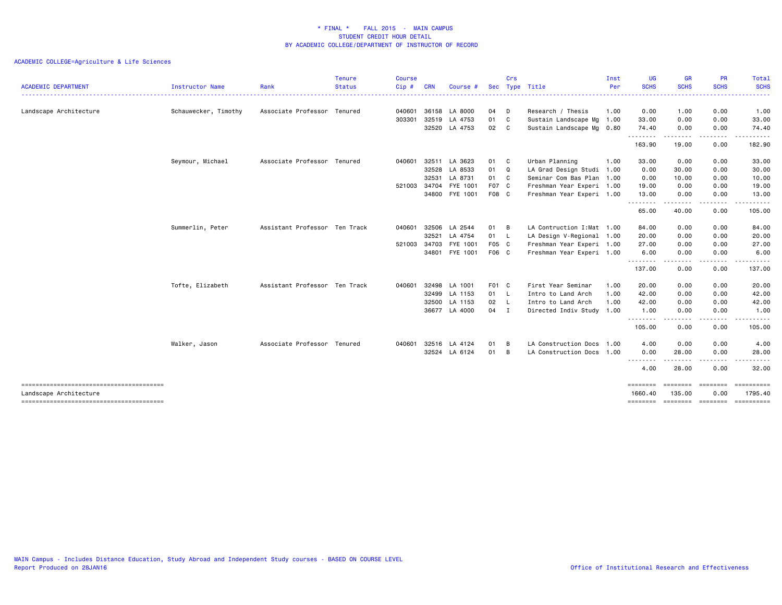|                            |                      |                               | <b>Tenure</b> | <b>Course</b> |              |               |            | Crs |                            | Inst | <b>UG</b>           | <b>GR</b>                                   | PR                                                                                                                                                           | Total            |
|----------------------------|----------------------|-------------------------------|---------------|---------------|--------------|---------------|------------|-----|----------------------------|------|---------------------|---------------------------------------------|--------------------------------------------------------------------------------------------------------------------------------------------------------------|------------------|
| <b>ACADEMIC DEPARTMENT</b> | Instructor Name      | Rank                          | <b>Status</b> | Cip#          | <b>CRN</b>   | Course #      | <b>Sec</b> |     | Type Title                 | Per  | <b>SCHS</b><br>.    | <b>SCHS</b><br><b><i><u>AAAAAAA</u></i></b> | <b>SCHS</b><br><u> - - - - - - - - -</u>                                                                                                                     | <b>SCHS</b><br>. |
| Landscape Architecture     | Schauwecker, Timothy | Associate Professor           | Tenured       | 040601        | 36158        | LA 8000       | 04         | D   | Research / Thesis          | 1.00 | 0.00                | 1.00                                        | 0.00                                                                                                                                                         | 1.00             |
|                            |                      |                               |               | 303301        | 32519        | LA 4753       | 01         | C   | Sustain Landscape Mg 1.00  |      | 33.00               | 0.00                                        | 0.00                                                                                                                                                         | 33.00            |
|                            |                      |                               |               |               |              | 32520 LA 4753 | 02 C       |     | Sustain Landscape Mg 0.80  |      | 74.40<br>.          | 0.00<br>.                                   | 0.00<br>$\frac{1}{2} \left( \frac{1}{2} \right) \left( \frac{1}{2} \right) \left( \frac{1}{2} \right) \left( \frac{1}{2} \right) \left( \frac{1}{2} \right)$ | 74.40<br>.       |
|                            |                      |                               |               |               |              |               |            |     |                            |      | 163.90              | 19.00                                       | 0.00                                                                                                                                                         | 182.90           |
|                            | Seymour, Michael     | Associate Professor           | Tenured       | 040601        | 32511        | LA 3623       | 01 C       |     | Urban Planning             | 1.00 | 33.00               | 0.00                                        | 0.00                                                                                                                                                         | 33.00            |
|                            |                      |                               |               |               | 32528        | LA 8533       | 01         | Q   | LA Grad Design Studi 1.00  |      | 0.00                | 30.00                                       | 0.00                                                                                                                                                         | 30.00            |
|                            |                      |                               |               |               | 32531        | LA 8731       | 01 C       |     | Seminar Com Bas Plan 1.00  |      | 0.00                | 10.00                                       | 0.00                                                                                                                                                         | 10.00            |
|                            |                      |                               |               | 521003 34704  |              | FYE 1001      | F07 C      |     | Freshman Year Experi 1.00  |      | 19.00               | 0.00                                        | 0.00                                                                                                                                                         | 19.00            |
|                            |                      |                               |               |               | 34800        | FYE 1001      | F08 C      |     | Freshman Year Experi 1.00  |      | 13.00<br><u>.</u>   | 0.00                                        | 0.00                                                                                                                                                         | 13.00            |
|                            |                      |                               |               |               |              |               |            |     |                            |      | 65.00               | 40.00                                       | 0.00                                                                                                                                                         | 105.00           |
|                            | Summerlin, Peter     | Assistant Professor Ten Track |               | 040601        | 32506        | LA 2544       | 01         | B   | LA Contruction I: Mat 1.00 |      | 84.00               | 0.00                                        | 0.00                                                                                                                                                         | 84.00            |
|                            |                      |                               |               |               | 32521        | LA 4754       | 01 L       |     | LA Design V-Regional 1.00  |      | 20.00               | 0.00                                        | 0.00                                                                                                                                                         | 20.00            |
|                            |                      |                               |               | 521003        | 34703        | FYE 1001      | F05 C      |     | Freshman Year Experi 1.00  |      | 27.00               | 0.00                                        | 0.00                                                                                                                                                         | 27.00            |
|                            |                      |                               |               |               | 34801        | FYE 1001      | F06 C      |     | Freshman Year Experi 1.00  |      | 6.00<br>.           | 0.00<br>.                                   | 0.00<br>-----                                                                                                                                                | 6.00<br><u>.</u> |
|                            |                      |                               |               |               |              |               |            |     |                            |      | 137.00              | 0.00                                        | 0.00                                                                                                                                                         | 137.00           |
|                            | Tofte, Elizabeth     | Assistant Professor Ten Track |               | 040601        | 32498        | LA 1001       | F01 C      |     | First Year Seminar         | 1.00 | 20.00               | 0.00                                        | 0.00                                                                                                                                                         | 20.00            |
|                            |                      |                               |               |               | 32499        | LA 1153       | 01 L       |     | Intro to Land Arch         | 1.00 | 42.00               | 0.00                                        | 0.00                                                                                                                                                         | 42.00            |
|                            |                      |                               |               |               | 32500        | LA 1153       | 02 L       |     | Intro to Land Arch         | 1.00 | 42.00               | 0.00                                        | 0.00                                                                                                                                                         | 42.00            |
|                            |                      |                               |               |               | 36677        | LA 4000       | 04 I       |     | Directed Indiv Study 1.00  |      | 1.00<br>.           | 0.00                                        | 0.00                                                                                                                                                         | 1.00             |
|                            |                      |                               |               |               |              |               |            |     |                            |      | 105.00              | 0.00                                        | 0.00                                                                                                                                                         | 105.00           |
|                            | Walker, Jason        | Associate Professor Tenured   |               |               | 040601 32516 | LA 4124       | 01         | B   | LA Construction Docs       | 1.00 | 4.00                | 0.00                                        | 0.00                                                                                                                                                         | 4.00             |
|                            |                      |                               |               |               | 32524        | LA 6124       | 01         | B   | LA Construction Docs 1.00  |      | 0.00                | 28.00                                       | 0.00                                                                                                                                                         | 28.00            |
|                            |                      |                               |               |               |              |               |            |     |                            |      | --------<br>4.00    | .<br>28.00                                  | -----<br>0.00                                                                                                                                                | .<br>32.00       |
| Landscape Architecture     |                      |                               |               |               |              |               |            |     |                            |      | ========<br>1660.40 | ========<br>135.00                          | ========<br>0.00                                                                                                                                             | 1795.40          |
|                            |                      |                               |               |               |              |               |            |     |                            |      | ========            |                                             | ======== ========                                                                                                                                            | ==========       |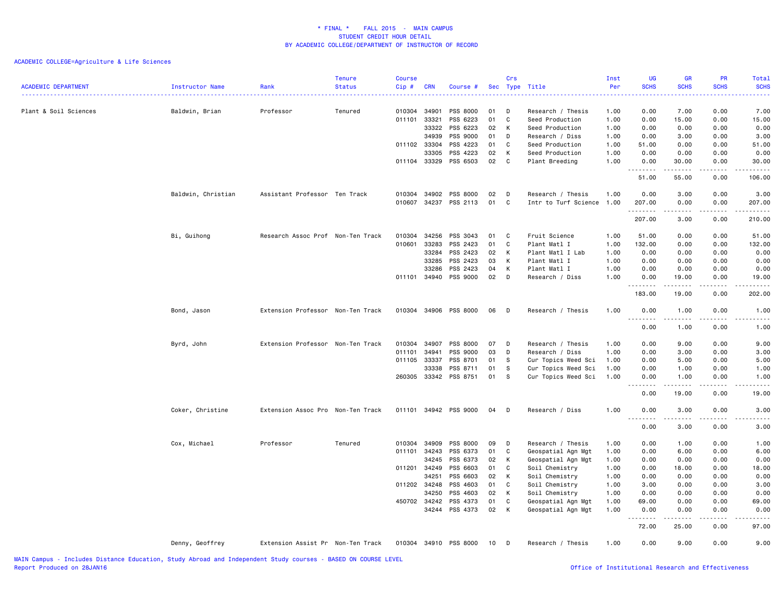| <b>ACADEMIC DEPARTMENT</b> | <b>Instructor Name</b> | Rank                              | <b>Tenure</b><br><b>Status</b> | <b>Course</b><br>Cip# | <b>CRN</b> | Course #              |    | Crs | Sec Type Title            | Inst<br>Per | UG<br><b>SCHS</b>                | <b>GR</b><br><b>SCHS</b> | PR<br><b>SCHS</b>    | Total<br><b>SCHS</b> |
|----------------------------|------------------------|-----------------------------------|--------------------------------|-----------------------|------------|-----------------------|----|-----|---------------------------|-------------|----------------------------------|--------------------------|----------------------|----------------------|
|                            |                        |                                   |                                |                       |            |                       |    |     |                           |             | .                                |                          |                      | .                    |
| Plant & Soil Sciences      | Baldwin, Brian         | Professor                         | Tenured                        | 010304                | 34901      | PSS 8000              | 01 | D   | Research / Thesis         | 1.00        | 0.00                             | 7.00                     | 0.00                 | 7.00                 |
|                            |                        |                                   |                                | 011101                | 33321      | PSS 6223              | 01 | C   | Seed Production           | 1.00        | 0.00                             | 15.00                    | 0.00                 | 15.00                |
|                            |                        |                                   |                                |                       | 33322      | PSS 6223              | 02 | К   | Seed Production           | 1.00        | 0.00                             | 0.00                     | 0.00                 | 0.00                 |
|                            |                        |                                   |                                |                       | 34939      | PSS 9000              | 01 | D   | Research / Diss           | 1.00        | 0.00                             | 3.00                     | 0.00                 | 3.00                 |
|                            |                        |                                   |                                | 011102 33304          |            | PSS 4223              | 01 | C   | Seed Production           | 1.00        | 51.00                            | 0.00                     | 0.00                 | 51.00                |
|                            |                        |                                   |                                |                       | 33305      | PSS 4223              | 02 | K   | Seed Production           | 1.00        | 0.00                             | 0.00                     | 0.00                 | 0.00                 |
|                            |                        |                                   |                                | 011104 33329          |            | PSS 6503              | 02 | C   | Plant Breeding            | 1.00        | 0.00<br>.                        | 30.00<br>.               | 0.00<br>.            | 30.00<br>.           |
|                            |                        |                                   |                                |                       |            |                       |    |     |                           |             | 51.00                            | 55.00                    | 0.00                 | 106.00               |
|                            | Baldwin, Christian     | Assistant Professor Ten Track     |                                | 010304                | 34902      | PSS 8000              | 02 | D   | Research / Thesis         | 1.00        | 0.00                             | 3.00                     | 0.00                 | 3.00                 |
|                            |                        |                                   |                                | 010607                | 34237      | PSS 2113              | 01 | C   | Intr to Turf Science 1.00 |             | 207.00<br>.                      | 0.00                     | 0.00                 | 207.00<br>.          |
|                            |                        |                                   |                                |                       |            |                       |    |     |                           |             | 207.00                           | 3.00                     | 0.00                 | 210.00               |
|                            | Bi, Guihong            | Research Assoc Prof Non-Ten Track |                                | 010304                | 34256      | PSS 3043              | 01 | C   | Fruit Science             | 1.00        | 51.00                            | 0.00                     | 0.00                 | 51.00                |
|                            |                        |                                   |                                | 010601                | 33283      | PSS 2423              | 01 | C   | Plant Matl I              | 1.00        | 132.00                           | 0.00                     | 0.00                 | 132.00               |
|                            |                        |                                   |                                |                       | 33284      | PSS 2423              | 02 | к   | Plant Matl I Lab          | 1.00        | 0.00                             | 0.00                     | 0.00                 | 0.00                 |
|                            |                        |                                   |                                |                       | 33285      | PSS 2423              | 03 | К   | Plant Matl I              | 1.00        | 0.00                             | 0.00                     | 0.00                 | 0.00                 |
|                            |                        |                                   |                                |                       | 33286      | PSS 2423              | 04 | К   | Plant Matl I              | 1.00        | 0.00                             | 0.00                     | 0.00                 | 0.00                 |
|                            |                        |                                   |                                | 011101 34940          |            | PSS 9000              | 02 | D   | Research / Diss           | 1.00        | 0.00<br>. <b>.</b>               | 19.00<br>$\frac{1}{2}$   | 0.00<br>.            | 19.00<br>.           |
|                            |                        |                                   |                                |                       |            |                       |    |     |                           |             | 183.00                           | 19.00                    | 0.00                 | 202.00               |
|                            | Bond, Jason            | Extension Professor Non-Ten Track |                                | 010304                | 34906      | PSS 8000              | 06 | D   | Research / Thesis         | 1.00        | 0.00<br>.<br>.                   | 1.00<br>-----            | 0.00<br>. <u>.</u> . | 1.00<br>$- - - -$    |
|                            |                        |                                   |                                |                       |            |                       |    |     |                           |             | 0.00                             | 1.00                     | 0.00                 | 1.00                 |
|                            | Byrd, John             | Extension Professor Non-Ten Track |                                | 010304                | 34907      | PSS 8000              | 07 | D   | Research / Thesis         | 1.00        | 0.00                             | 9.00                     | 0.00                 | 9.00                 |
|                            |                        |                                   |                                | 011101                | 34941      | PSS 9000              | 03 | D   | Research / Diss           | 1.00        | 0.00                             | 3.00                     | 0.00                 | 3.00                 |
|                            |                        |                                   |                                | 011105                | 33337      | PSS 8701              | 01 | -S  | Cur Topics Weed Sci       | 1.00        | 0.00                             | 5.00                     | 0.00                 | 5.00                 |
|                            |                        |                                   |                                |                       | 33338      | PSS 8711              | 01 | s   | Cur Topics Weed Sci       | 1.00        | 0.00                             | 1.00                     | 0.00                 | 1.00                 |
|                            |                        |                                   |                                |                       |            | 260305 33342 PSS 8751 | 01 | - S | Cur Topics Weed Sci       | 1.00        | 0.00<br>.                        | 1.00<br>.                | 0.00<br>.            | 1.00<br>$- - - -$    |
|                            |                        |                                   |                                |                       |            |                       |    |     |                           |             | 0.00                             | 19.00                    | 0.00                 | 19.00                |
|                            | Coker, Christine       | Extension Assoc Pro Non-Ten Track |                                |                       |            | 011101 34942 PSS 9000 | 04 | D   | Research / Diss           | 1.00        | 0.00<br>$\omega_{\rm{eff}}$<br>. | 3.00<br>-----            | 0.00<br>.            | 3.00<br>.            |
|                            |                        |                                   |                                |                       |            |                       |    |     |                           |             | 0.00                             | 3.00                     | 0.00                 | 3.00                 |
|                            | Cox, Michael           | Professor                         | Tenured                        | 010304                | 34909      | PSS 8000              | 09 | D   | Research / Thesis         | 1.00        | 0.00                             | 1.00                     | 0.00                 | 1.00                 |
|                            |                        |                                   |                                | 011101                | 34243      | PSS 6373              | 01 | C   | Geospatial Agn Mgt        | 1.00        | 0.00                             | 6.00                     | 0.00                 | 6.00                 |
|                            |                        |                                   |                                |                       | 34245      | PSS 6373              | 02 | К   | Geospatial Agn Mgt        | 1.00        | 0.00                             | 0.00                     | 0.00                 | 0.00                 |
|                            |                        |                                   |                                | 011201 34249          |            | PSS 6603              | 01 | C   | Soil Chemistry            | 1.00        | 0.00                             | 18.00                    | 0.00                 | 18.00                |
|                            |                        |                                   |                                |                       | 34251      | PSS 6603              | 02 | К   | Soil Chemistry            | 1.00        | 0.00                             | 0.00                     | 0.00                 | 0.00                 |
|                            |                        |                                   |                                | 011202 34248          |            | PSS 4603              | 01 | C   | Soil Chemistry            | 1.00        | 3.00                             | 0.00                     | 0.00                 | 3.00                 |
|                            |                        |                                   |                                |                       | 34250      | PSS 4603              | 02 | K   | Soil Chemistry            | 1.00        | 0.00                             | 0.00                     | 0.00                 | 0.00                 |
|                            |                        |                                   |                                | 450702 34242          |            | PSS 4373              | 01 | C   | Geospatial Agn Mgt        | 1.00        | 69.00                            | 0.00                     | 0.00                 | 69.00                |
|                            |                        |                                   |                                |                       | 34244      | PSS 4373              | 02 | K   | Geospatial Agn Mgt        | 1.00        | 0.00<br>.                        | 0.00                     | 0.00                 | 0.00                 |
|                            |                        |                                   |                                |                       |            |                       |    |     |                           |             | 72.00                            | 25.00                    | 0.00                 | 97.00                |
|                            | Denny, Geoffrey        | Extension Assist Pr Non-Ten Track |                                |                       |            | 010304 34910 PSS 8000 | 10 | D   | Research / Thesis         | 1.00        | 0.00                             | 9.00                     | 0.00                 | 9.00                 |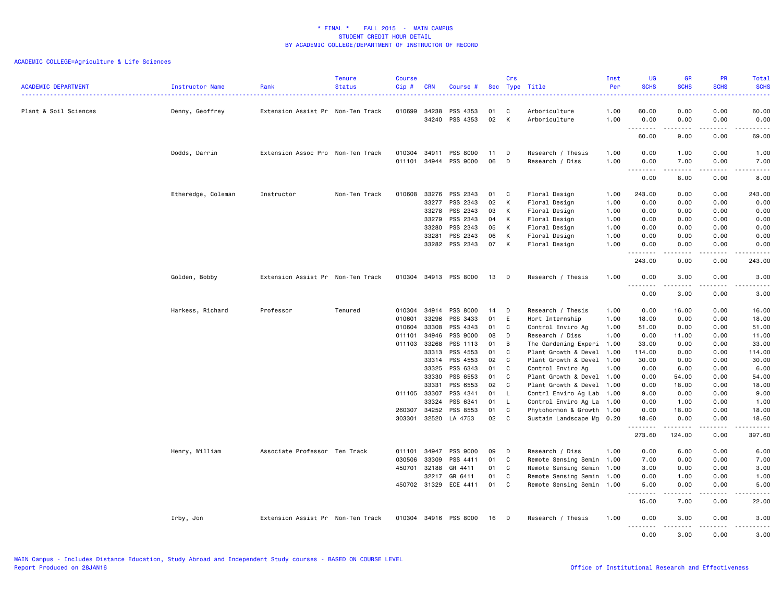|                            |                        |                                   | <b>Tenure</b> | <b>Course</b> |            |                       |    | Crs          |                           | Inst | UG                        | <b>GR</b>                                                                                                       | PR                                                                                                                        | Total                                                                                                                                                |
|----------------------------|------------------------|-----------------------------------|---------------|---------------|------------|-----------------------|----|--------------|---------------------------|------|---------------------------|-----------------------------------------------------------------------------------------------------------------|---------------------------------------------------------------------------------------------------------------------------|------------------------------------------------------------------------------------------------------------------------------------------------------|
| <b>ACADEMIC DEPARTMENT</b> | <b>Instructor Name</b> | Rank                              | <b>Status</b> | Cip#          | <b>CRN</b> | Course #              |    |              | Sec Type Title            | Per  | <b>SCHS</b>               | <b>SCHS</b>                                                                                                     | <b>SCHS</b>                                                                                                               | <b>SCHS</b>                                                                                                                                          |
|                            | . <u>.</u> .           |                                   |               |               |            |                       |    |              |                           |      |                           |                                                                                                                 |                                                                                                                           | .                                                                                                                                                    |
| Plant & Soil Sciences      | Denny, Geoffrey        | Extension Assist Pr Non-Ten Track |               | 010699        | 34238      | PSS 4353              | 01 | C            | Arboriculture             | 1.00 | 60.00                     | 0.00                                                                                                            | 0.00                                                                                                                      | 60.00                                                                                                                                                |
|                            |                        |                                   |               |               | 34240      | PSS 4353              | 02 | K            | Arboriculture             | 1.00 | 0.00                      | 0.00                                                                                                            | 0.00                                                                                                                      | 0.00                                                                                                                                                 |
|                            |                        |                                   |               |               |            |                       |    |              |                           |      | <u>.</u>                  | .                                                                                                               | .                                                                                                                         | $\frac{1}{2}$                                                                                                                                        |
|                            |                        |                                   |               |               |            |                       |    |              |                           |      | 60.00                     | 9.00                                                                                                            | 0.00                                                                                                                      | 69.00                                                                                                                                                |
|                            | Dodds, Darrin          | Extension Assoc Pro Non-Ten Track |               | 010304        | 34911      | PSS 8000              | 11 | D            | Research / Thesis         | 1.00 | 0.00                      | 1.00                                                                                                            | 0.00                                                                                                                      | 1.00                                                                                                                                                 |
|                            |                        |                                   |               | 011101        | 34944      | PSS 9000              | 06 | D            | Research / Diss           | 1.00 | 0.00                      | 7.00                                                                                                            | 0.00                                                                                                                      | 7.00                                                                                                                                                 |
|                            |                        |                                   |               |               |            |                       |    |              |                           |      | .                         | <u>.</u>                                                                                                        | $\frac{1}{2}$                                                                                                             | .                                                                                                                                                    |
|                            |                        |                                   |               |               |            |                       |    |              |                           |      | 0.00                      | 8.00                                                                                                            | 0.00                                                                                                                      | 8.00                                                                                                                                                 |
|                            | Etheredge, Coleman     | Instructor                        | Non-Ten Track | 010608        | 33276      | PSS 2343              | 01 | C            | Floral Design             | 1.00 | 243.00                    | 0.00                                                                                                            | 0.00                                                                                                                      | 243.00                                                                                                                                               |
|                            |                        |                                   |               |               | 33277      | PSS 2343              | 02 | K            | Floral Design             | 1.00 | 0.00                      | 0.00                                                                                                            | 0.00                                                                                                                      | 0.00                                                                                                                                                 |
|                            |                        |                                   |               |               | 33278      | PSS 2343              | 03 | K            | Floral Design             | 1.00 | 0.00                      | 0.00                                                                                                            | 0.00                                                                                                                      | 0.00                                                                                                                                                 |
|                            |                        |                                   |               |               | 33279      | PSS 2343              | 04 | K            | Floral Design             | 1.00 | 0.00                      | 0.00                                                                                                            | 0.00                                                                                                                      | 0.00                                                                                                                                                 |
|                            |                        |                                   |               |               | 33280      | PSS 2343              | 05 | K            | Floral Design             | 1.00 | 0.00                      | 0.00                                                                                                            | 0.00                                                                                                                      | 0.00                                                                                                                                                 |
|                            |                        |                                   |               |               | 33281      | PSS 2343              | 06 | K            | Floral Design             | 1.00 | 0.00                      | 0.00                                                                                                            | 0.00                                                                                                                      | 0.00                                                                                                                                                 |
|                            |                        |                                   |               |               | 33282      | PSS 2343              | 07 | K            | Floral Design             | 1.00 | 0.00                      | 0.00                                                                                                            | 0.00                                                                                                                      | 0.00                                                                                                                                                 |
|                            |                        |                                   |               |               |            |                       |    |              |                           |      | .<br>243.00               | .<br>0.00                                                                                                       | .<br>0.00                                                                                                                 | .<br>243.00                                                                                                                                          |
|                            | Golden, Bobby          | Extension Assist Pr Non-Ten Track |               | 010304        |            | 34913 PSS 8000        | 13 | D            | Research / Thesis         | 1.00 | 0.00                      | 3.00                                                                                                            | 0.00                                                                                                                      | 3.00                                                                                                                                                 |
|                            |                        |                                   |               |               |            |                       |    |              |                           |      | $\sim$ $\sim$ $\sim$<br>. | $\begin{array}{cccccccccccccc} \bullet & \bullet & \bullet & \bullet & \bullet & \bullet & \bullet \end{array}$ | $\frac{1}{2} \left( \frac{1}{2} \right) \left( \frac{1}{2} \right) \left( \frac{1}{2} \right) \left( \frac{1}{2} \right)$ | $\frac{1}{2} \left( \frac{1}{2} \right) \left( \frac{1}{2} \right) \left( \frac{1}{2} \right) \left( \frac{1}{2} \right) \left( \frac{1}{2} \right)$ |
|                            |                        |                                   |               |               |            |                       |    |              |                           |      | 0.00                      | 3.00                                                                                                            | 0.00                                                                                                                      | 3.00                                                                                                                                                 |
|                            | Harkess, Richard       | Professor                         | Tenured       | 010304        | 34914      | PSS 8000              | 14 | D            | Research / Thesis         | 1.00 | 0.00                      | 16.00                                                                                                           | 0.00                                                                                                                      | 16.00                                                                                                                                                |
|                            |                        |                                   |               | 010601        | 33296      | PSS 3433              | 01 | E            | Hort Internship           | 1.00 | 18.00                     | 0.00                                                                                                            | 0.00                                                                                                                      | 18.00                                                                                                                                                |
|                            |                        |                                   |               | 010604        | 33308      | PSS 4343              | 01 | C            | Control Enviro Ag         | 1.00 | 51.00                     | 0.00                                                                                                            | 0.00                                                                                                                      | 51.00                                                                                                                                                |
|                            |                        |                                   |               | 011101        | 34946      | PSS 9000              | 08 | D            | Research / Diss           | 1.00 | 0.00                      | 11.00                                                                                                           | 0.00                                                                                                                      | 11.00                                                                                                                                                |
|                            |                        |                                   |               | 011103 33268  |            | PSS 1113              | 01 | B            | The Gardening Experi 1.00 |      | 33.00                     | 0.00                                                                                                            | 0.00                                                                                                                      | 33.00                                                                                                                                                |
|                            |                        |                                   |               |               | 33313      | PSS 4553              | 01 | C            | Plant Growth & Devel      | 1.00 | 114.00                    | 0.00                                                                                                            | 0.00                                                                                                                      | 114.00                                                                                                                                               |
|                            |                        |                                   |               |               | 33314      | PSS 4553              | 02 | C            | Plant Growth & Devel 1.00 |      | 30.00                     | 0.00                                                                                                            | 0.00                                                                                                                      | 30.00                                                                                                                                                |
|                            |                        |                                   |               |               | 33325      | PSS 6343              | 01 | C            | Control Enviro Ag         | 1.00 | 0.00                      | 6.00                                                                                                            | 0.00                                                                                                                      | 6.00                                                                                                                                                 |
|                            |                        |                                   |               |               | 33330      | PSS 6553              | 01 | C            | Plant Growth & Devel 1.00 |      | 0.00                      | 54.00                                                                                                           | 0.00                                                                                                                      | 54.00                                                                                                                                                |
|                            |                        |                                   |               |               | 33331      | PSS 6553              | 02 | C            | Plant Growth & Devel 1.00 |      | 0.00                      | 18.00                                                                                                           | 0.00                                                                                                                      | 18.00                                                                                                                                                |
|                            |                        |                                   |               | 011105 33307  |            | PSS 4341              | 01 | $\mathsf{L}$ | Contrl Enviro Ag Lab 1.00 |      | 9.00                      | 0.00                                                                                                            | 0.00                                                                                                                      | 9.00                                                                                                                                                 |
|                            |                        |                                   |               |               | 33324      | PSS 6341              | 01 | $\mathsf{L}$ | Control Enviro Ag La      | 1.00 | 0.00                      | 1.00                                                                                                            | 0.00                                                                                                                      | 1.00                                                                                                                                                 |
|                            |                        |                                   |               | 260307        | 34252      | PSS 8553              | 01 | C            | Phytohormon & Growth 1.00 |      | 0.00                      | 18.00                                                                                                           | 0.00                                                                                                                      | 18.00                                                                                                                                                |
|                            |                        |                                   |               | 303301        | 32520      | LA 4753               | 02 | C            | Sustain Landscape Mg 0.20 |      | 18.60                     | 0.00                                                                                                            | 0.00                                                                                                                      | 18.60                                                                                                                                                |
|                            |                        |                                   |               |               |            |                       |    |              |                           |      | .<br>273.60               | .<br>124.00                                                                                                     | .<br>0.00                                                                                                                 | .<br>397.60                                                                                                                                          |
|                            |                        |                                   |               |               |            |                       |    |              |                           |      |                           |                                                                                                                 |                                                                                                                           |                                                                                                                                                      |
|                            | Henry, William         | Associate Professor Ten Track     |               | 011101        | 34947      | PSS 9000              | 09 | D            | Research / Diss           | 1.00 | 0.00                      | 6.00                                                                                                            | 0.00                                                                                                                      | 6.00                                                                                                                                                 |
|                            |                        |                                   |               | 030506        | 33309      | PSS 4411              | 01 | C            | Remote Sensing Semin 1.00 |      | 7.00                      | 0.00                                                                                                            | 0.00                                                                                                                      | 7.00                                                                                                                                                 |
|                            |                        |                                   |               | 450701        | 32188      | GR 4411               | 01 | C            | Remote Sensing Semin 1.00 |      | 3.00                      | 0.00                                                                                                            | 0.00                                                                                                                      | 3.00                                                                                                                                                 |
|                            |                        |                                   |               |               | 32217      | GR 6411               | 01 | C            | Remote Sensing Semin 1.00 |      | 0.00                      | 1.00                                                                                                            | 0.00                                                                                                                      | 1.00                                                                                                                                                 |
|                            |                        |                                   |               | 450702 31329  |            | ECE 4411              | 01 | C            | Remote Sensing Semin 1.00 |      | 5.00<br>.                 | 0.00<br>.                                                                                                       | 0.00<br>$\frac{1}{2}$                                                                                                     | 5.00<br>.                                                                                                                                            |
|                            |                        |                                   |               |               |            |                       |    |              |                           |      | 15.00                     | 7.00                                                                                                            | 0.00                                                                                                                      | 22.00                                                                                                                                                |
|                            | Irby, Jon              | Extension Assist Pr Non-Ten Track |               |               |            | 010304 34916 PSS 8000 | 16 | D            | Research / Thesis         | 1.00 | 0.00<br><u>.</u>          | 3.00<br>$- - - - -$                                                                                             | 0.00<br>.                                                                                                                 | 3.00<br>$- - - -$                                                                                                                                    |
|                            |                        |                                   |               |               |            |                       |    |              |                           |      | 0.00                      | 3.00                                                                                                            | 0.00                                                                                                                      | 3.00                                                                                                                                                 |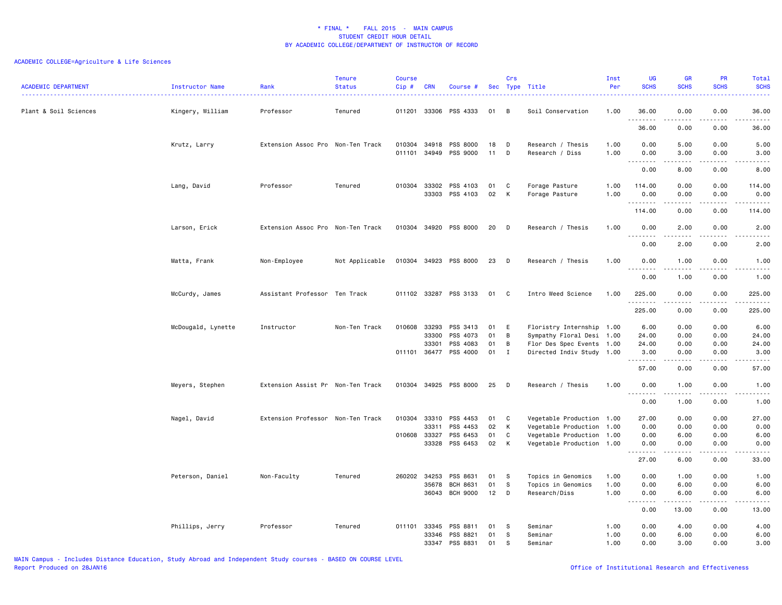| <b>ACADEMIC DEPARTMENT</b> | <b>Instructor Name</b> | Rank<br>. <u>.</u> .              | <b>Tenure</b><br><b>Status</b> | <b>Course</b><br>Cip# | <b>CRN</b>     | Course #              |          | Crs          | Sec Type Title                       | Inst<br>Per  | <b>UG</b><br><b>SCHS</b>                                                                                                                                                                                                                                                                                                                                                                                                                                                                       | <b>GR</b><br><b>SCHS</b>                                                                                                          | <b>PR</b><br><b>SCHS</b> | Total<br><b>SCHS</b><br>.                                                                                                                                    |
|----------------------------|------------------------|-----------------------------------|--------------------------------|-----------------------|----------------|-----------------------|----------|--------------|--------------------------------------|--------------|------------------------------------------------------------------------------------------------------------------------------------------------------------------------------------------------------------------------------------------------------------------------------------------------------------------------------------------------------------------------------------------------------------------------------------------------------------------------------------------------|-----------------------------------------------------------------------------------------------------------------------------------|--------------------------|--------------------------------------------------------------------------------------------------------------------------------------------------------------|
| Plant & Soil Sciences      | Kingery, William       | Professor                         | Tenured                        |                       |                | 011201 33306 PSS 4333 | 01       | B            | Soil Conservation                    | 1.00         | 36.00<br>.                                                                                                                                                                                                                                                                                                                                                                                                                                                                                     | 0.00                                                                                                                              | 0.00                     | 36,00<br>د د د د د                                                                                                                                           |
|                            |                        |                                   |                                |                       |                |                       |          |              |                                      |              | 36.00                                                                                                                                                                                                                                                                                                                                                                                                                                                                                          | 0.00                                                                                                                              | 0.00                     | 36.00                                                                                                                                                        |
|                            | Krutz, Larry           | Extension Assoc Pro Non-Ten Track |                                | 010304<br>011101      | 34918<br>34949 | PSS 8000<br>PSS 9000  | 18<br>11 | D<br>D       | Research / Thesis<br>Research / Diss | 1.00<br>1.00 | 0.00<br>0.00                                                                                                                                                                                                                                                                                                                                                                                                                                                                                   | 5.00<br>3.00                                                                                                                      | 0.00<br>0.00             | 5.00<br>3.00                                                                                                                                                 |
|                            |                        |                                   |                                |                       |                |                       |          |              |                                      |              | $\begin{array}{cccccccccccccc} \multicolumn{2}{c}{} & \multicolumn{2}{c}{} & \multicolumn{2}{c}{} & \multicolumn{2}{c}{} & \multicolumn{2}{c}{} & \multicolumn{2}{c}{} & \multicolumn{2}{c}{} & \multicolumn{2}{c}{} & \multicolumn{2}{c}{} & \multicolumn{2}{c}{} & \multicolumn{2}{c}{} & \multicolumn{2}{c}{} & \multicolumn{2}{c}{} & \multicolumn{2}{c}{} & \multicolumn{2}{c}{} & \multicolumn{2}{c}{} & \multicolumn{2}{c}{} & \multicolumn{2}{c}{} & \multicolumn{2}{c}{} & \$<br>0.00 | .<br>8.00                                                                                                                         | .<br>0.00                | $\frac{1}{2} \left( \frac{1}{2} \right) \left( \frac{1}{2} \right) \left( \frac{1}{2} \right) \left( \frac{1}{2} \right) \left( \frac{1}{2} \right)$<br>8.00 |
|                            | Lang, David            | Professor                         | Tenured                        | 010304                | 33302<br>33303 | PSS 4103<br>PSS 4103  | 01<br>02 | C<br>K       | Forage Pasture<br>Forage Pasture     | 1.00<br>1.00 | 114.00<br>0.00                                                                                                                                                                                                                                                                                                                                                                                                                                                                                 | 0.00<br>0.00                                                                                                                      | 0.00<br>0.00             | 114.00<br>0.00                                                                                                                                               |
|                            |                        |                                   |                                |                       |                |                       |          |              |                                      |              | .<br>114.00                                                                                                                                                                                                                                                                                                                                                                                                                                                                                    | .<br>0.00                                                                                                                         | .<br>0.00                | .<br>114.00                                                                                                                                                  |
|                            | Larson, Erick          | Extension Assoc Pro Non-Ten Track |                                |                       |                | 010304 34920 PSS 8000 | 20       | D            | Research / Thesis                    | 1.00         | 0.00<br>1.1.1.1.1.1.1                                                                                                                                                                                                                                                                                                                                                                                                                                                                          | 2.00<br>$\frac{1}{2} \left( \frac{1}{2} \right) \left( \frac{1}{2} \right) \left( \frac{1}{2} \right) \left( \frac{1}{2} \right)$ | 0.00<br>.                | 2.00<br>$\frac{1}{2} \left( \frac{1}{2} \right) \left( \frac{1}{2} \right) \left( \frac{1}{2} \right) \left( \frac{1}{2} \right)$                            |
|                            |                        |                                   |                                |                       |                |                       |          |              |                                      |              | 0.00                                                                                                                                                                                                                                                                                                                                                                                                                                                                                           | 2.00                                                                                                                              | 0.00                     | 2.00                                                                                                                                                         |
|                            | Matta, Frank           | Non-Employee                      | Not Applicable                 |                       |                | 010304 34923 PSS 8000 | 23       | D            | Research / Thesis                    | 1.00         | 0.00                                                                                                                                                                                                                                                                                                                                                                                                                                                                                           | 1.00                                                                                                                              | 0.00<br>.                | 1.00                                                                                                                                                         |
|                            |                        |                                   |                                |                       |                |                       |          |              |                                      |              | .<br>0.00                                                                                                                                                                                                                                                                                                                                                                                                                                                                                      | $\sim$ $\sim$ $\sim$ $\sim$ $\sim$<br>1.00                                                                                        | 0.00                     | .<br>1.00                                                                                                                                                    |
|                            | McCurdy, James         | Assistant Professor Ten Track     |                                |                       |                | 011102 33287 PSS 3133 | 01       | $\mathbf{C}$ | Intro Weed Science                   | 1.00         | 225.00<br>.                                                                                                                                                                                                                                                                                                                                                                                                                                                                                    | 0.00                                                                                                                              | 0.00<br>$\frac{1}{2}$    | 225.00<br>.                                                                                                                                                  |
|                            |                        |                                   |                                |                       |                |                       |          |              |                                      |              | 225.00                                                                                                                                                                                                                                                                                                                                                                                                                                                                                         | 0.00                                                                                                                              | 0.00                     | 225.00                                                                                                                                                       |
|                            | McDougald, Lynette     | Instructor                        | Non-Ten Track                  | 010608                | 33293          | PSS 3413              | 01       | E            | Floristry Internship 1.00            |              | 6.00                                                                                                                                                                                                                                                                                                                                                                                                                                                                                           | 0.00                                                                                                                              | 0.00                     | 6.00                                                                                                                                                         |
|                            |                        |                                   |                                |                       | 33300          | PSS 4073              | 01       | В            | Sympathy Floral Desi 1.00            |              | 24.00                                                                                                                                                                                                                                                                                                                                                                                                                                                                                          | 0.00                                                                                                                              | 0.00                     | 24.00                                                                                                                                                        |
|                            |                        |                                   |                                | 011101                | 33301<br>36477 | PSS 4083<br>PSS 4000  | 01<br>01 | В<br>Ι.      | Flor Des Spec Events 1.00            |              | 24.00<br>3.00                                                                                                                                                                                                                                                                                                                                                                                                                                                                                  | 0.00<br>0.00                                                                                                                      | 0.00<br>0.00             | 24.00                                                                                                                                                        |
|                            |                        |                                   |                                |                       |                |                       |          |              | Directed Indiv Study 1.00            |              | .                                                                                                                                                                                                                                                                                                                                                                                                                                                                                              |                                                                                                                                   |                          | 3.00<br>.                                                                                                                                                    |
|                            |                        |                                   |                                |                       |                |                       |          |              |                                      |              | 57.00                                                                                                                                                                                                                                                                                                                                                                                                                                                                                          | 0.00                                                                                                                              | 0.00                     | 57.00                                                                                                                                                        |
|                            | Meyers, Stephen        | Extension Assist Pr Non-Ten Track |                                | 010304 34925          |                | PSS 8000              | 25       | D            | Research / Thesis                    | 1.00         | 0.00<br>.                                                                                                                                                                                                                                                                                                                                                                                                                                                                                      | 1.00<br>.                                                                                                                         | 0.00                     | 1.00<br>$\frac{1}{2} \left( \frac{1}{2} \right) \left( \frac{1}{2} \right) \left( \frac{1}{2} \right) \left( \frac{1}{2} \right) \left( \frac{1}{2} \right)$ |
|                            |                        |                                   |                                |                       |                |                       |          |              |                                      |              | 0.00                                                                                                                                                                                                                                                                                                                                                                                                                                                                                           | 1.00                                                                                                                              | 0.00                     | 1.00                                                                                                                                                         |
|                            | Nagel, David           | Extension Professor Non-Ten Track |                                | 010304                | 33310          | PSS 4453              | 01       | C            | Vegetable Production 1.00            |              | 27.00                                                                                                                                                                                                                                                                                                                                                                                                                                                                                          | 0.00                                                                                                                              | 0.00                     | 27.00                                                                                                                                                        |
|                            |                        |                                   |                                |                       | 33311          | PSS 4453              | 02       | K            | Vegetable Production 1.00            |              | 0.00                                                                                                                                                                                                                                                                                                                                                                                                                                                                                           | 0.00                                                                                                                              | 0.00                     | 0.00                                                                                                                                                         |
|                            |                        |                                   |                                | 010608                | 33327          | PSS 6453              | 01       | C            | Vegetable Production                 | 1.00         | 0.00                                                                                                                                                                                                                                                                                                                                                                                                                                                                                           | 6.00                                                                                                                              | 0.00                     | 6.00                                                                                                                                                         |
|                            |                        |                                   |                                |                       | 33328          | PSS 6453              | 02       | K            | Vegetable Production 1.00            |              | 0.00<br>.                                                                                                                                                                                                                                                                                                                                                                                                                                                                                      | 0.00<br>.                                                                                                                         | 0.00<br>.                | 0.00<br>.                                                                                                                                                    |
|                            |                        |                                   |                                |                       |                |                       |          |              |                                      |              | 27.00                                                                                                                                                                                                                                                                                                                                                                                                                                                                                          | 6.00                                                                                                                              | 0.00                     | 33.00                                                                                                                                                        |
|                            | Peterson, Daniel       | Non-Faculty                       | Tenured                        | 260202 34253          |                | PSS 8631              | 01       | s            | Topics in Genomics                   | 1.00         | 0.00                                                                                                                                                                                                                                                                                                                                                                                                                                                                                           | 1.00                                                                                                                              | 0.00                     | 1.00                                                                                                                                                         |
|                            |                        |                                   |                                |                       | 35678          | BCH 8631              | 01       | S            | Topics in Genomics                   | 1.00         | 0.00                                                                                                                                                                                                                                                                                                                                                                                                                                                                                           | 6.00                                                                                                                              | 0.00                     | 6.00                                                                                                                                                         |
|                            |                        |                                   |                                |                       | 36043          | <b>BCH 9000</b>       | 12       | D            | Research/Diss                        | 1.00         | 0.00<br>$\sim$ $\sim$                                                                                                                                                                                                                                                                                                                                                                                                                                                                          | 6.00                                                                                                                              | 0.00                     | 6.00                                                                                                                                                         |
|                            |                        |                                   |                                |                       |                |                       |          |              |                                      |              | 0.00                                                                                                                                                                                                                                                                                                                                                                                                                                                                                           | 13.00                                                                                                                             | 0.00                     | 13.00                                                                                                                                                        |
|                            | Phillips, Jerry        | Professor                         | Tenured                        | 011101 33345          |                | PSS 8811              | 01       | s            | Seminar                              | 1.00         | 0.00                                                                                                                                                                                                                                                                                                                                                                                                                                                                                           | 4.00                                                                                                                              | 0.00                     | 4.00                                                                                                                                                         |
|                            |                        |                                   |                                |                       | 33346          | PSS 8821              | 01       | S            | Seminar                              | 1.00         | 0.00                                                                                                                                                                                                                                                                                                                                                                                                                                                                                           | 6.00                                                                                                                              | 0.00                     | 6.00                                                                                                                                                         |
|                            |                        |                                   |                                |                       | 33347          | PSS 8831              | 01       | S            | Seminar                              | 1.00         | 0.00                                                                                                                                                                                                                                                                                                                                                                                                                                                                                           | 3.00                                                                                                                              | 0.00                     | 3.00                                                                                                                                                         |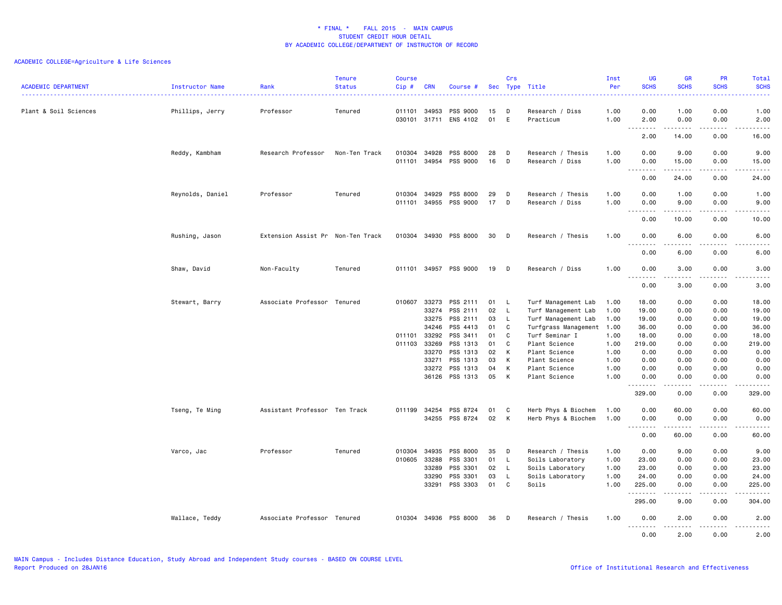| <b>ACADEMIC DEPARTMENT</b> | Instructor Name  | Rank                              | <b>Tenure</b><br><b>Status</b> | <b>Course</b><br>Cip# | <b>CRN</b>     | Course #                          |          | Crs     | Sec Type Title                             | Inst<br>Per  | <b>UG</b><br><b>SCHS</b>                              | <b>GR</b><br><b>SCHS</b> | PR<br><b>SCHS</b>                           | Total<br><b>SCHS</b>   |
|----------------------------|------------------|-----------------------------------|--------------------------------|-----------------------|----------------|-----------------------------------|----------|---------|--------------------------------------------|--------------|-------------------------------------------------------|--------------------------|---------------------------------------------|------------------------|
|                            | . <u>.</u> .     |                                   |                                |                       |                |                                   |          |         |                                            |              |                                                       |                          |                                             | .                      |
| Plant & Soil Sciences      | Phillips, Jerry  | Professor                         | Tenured                        | 011101<br>030101      | 34953          | <b>PSS 9000</b><br>31711 ENS 4102 | 15<br>01 | D<br>E  | Research / Diss<br>Practicum               | 1.00<br>1.00 | 0.00<br>2.00                                          | 1.00<br>0.00             | 0.00<br>0.00                                | 1.00<br>2.00           |
|                            |                  |                                   |                                |                       |                |                                   |          |         |                                            |              | .<br>$\sim$ $\sim$ .<br>2.00                          | .<br>14.00               | .<br>0.00                                   | $\frac{1}{2}$<br>16.00 |
|                            | Reddy, Kambham   | Research Professor                | Non-Ten Track                  | 010304<br>011101      | 34928<br>34954 | PSS 8000<br>PSS 9000              | 28<br>16 | D<br>D  | Research / Thesis<br>Research / Diss       | 1.00<br>1.00 | 0.00<br>0.00<br>.                                     | 9.00<br>15.00<br>.       | 0.00<br>0.00<br>.                           | 9.00<br>15.00          |
|                            |                  |                                   |                                |                       |                |                                   |          |         |                                            |              | 0.00                                                  | 24.00                    | 0.00                                        | 24.00                  |
|                            | Reynolds, Daniel | Professor                         | Tenured                        | 010304<br>011101      | 34929<br>34955 | PSS 8000<br>PSS 9000              | 29<br>17 | D<br>D  | Research / Thesis<br>Research / Diss       | 1.00<br>1.00 | 0.00<br>0.00<br>$\sim$ $\sim$ $\sim$<br>.             | 1.00<br>9.00<br>-----    | 0.00<br>0.00<br>$\sim$ $\sim$ $\sim$ $\sim$ | 1.00<br>9.00<br>.      |
|                            |                  |                                   |                                |                       |                |                                   |          |         |                                            |              | 0.00                                                  | 10.00                    | 0.00                                        | 10.00                  |
|                            | Rushing, Jason   | Extension Assist Pr Non-Ten Track |                                |                       |                | 010304 34930 PSS 8000             | 30       | D       | Research / Thesis                          | 1.00         | 0.00<br><u>.</u>                                      | 6.00                     | 0.00                                        | 6.00                   |
|                            |                  |                                   |                                |                       |                |                                   |          |         |                                            |              | 0.00                                                  | $- - - - -$<br>6.00      | .<br>0.00                                   | .<br>6.00              |
|                            | Shaw, David      | Non-Faculty                       | Tenured                        |                       |                | 011101 34957 PSS 9000             | 19       | D       | Research / Diss                            | 1.00         | 0.00<br>$\overline{a}$<br>$\sim$ $\sim$ $\sim$ $\sim$ | 3.00<br>.                | 0.00<br>$\sim$ $\sim$ $\sim$ $\sim$         | 3.00<br>.              |
|                            |                  |                                   |                                |                       |                |                                   |          |         |                                            |              | 0.00                                                  | 3.00                     | 0.00                                        | 3.00                   |
|                            | Stewart, Barry   | Associate Professor Tenured       |                                | 010607                | 33273<br>33274 | PSS 2111<br>PSS 2111              | 01<br>02 | L<br>L. | Turf Management Lab<br>Turf Management Lab | 1.00<br>1.00 | 18.00<br>19.00                                        | 0.00<br>0.00             | 0.00<br>0.00                                | 18.00<br>19.00         |
|                            |                  |                                   |                                |                       | 33275          | PSS 2111                          | 03       | L       | Turf Management Lab                        | 1.00         | 19.00                                                 | 0.00                     | 0.00                                        | 19.00                  |
|                            |                  |                                   |                                |                       | 34246          | PSS 4413                          | 01       | C       | Turfgrass Management 1.00                  |              | 36.00                                                 | 0.00                     | 0.00                                        | 36.00                  |
|                            |                  |                                   |                                | 011101                | 33292          | PSS 3411                          | 01       | C       | Turf Seminar I                             | 1.00         | 18.00                                                 | 0.00                     | 0.00                                        | 18.00                  |
|                            |                  |                                   |                                | 011103 33269          |                | PSS 1313                          | 01       | C       | Plant Science                              | 1.00         | 219.00                                                | 0.00                     | 0.00                                        | 219.00                 |
|                            |                  |                                   |                                |                       | 33270          | PSS 1313                          | 02       | K       | Plant Science                              | 1.00         | 0.00                                                  | 0.00                     | 0.00                                        | 0.00                   |
|                            |                  |                                   |                                |                       | 33271          | PSS 1313                          | 03       | K       | Plant Science                              | 1.00         | 0.00                                                  | 0.00                     | 0.00                                        | 0.00                   |
|                            |                  |                                   |                                |                       | 33272<br>36126 | PSS 1313<br>PSS 1313              | 04<br>05 | К<br>K  | Plant Science<br>Plant Science             | 1.00<br>1.00 | 0.00<br>0.00                                          | 0.00<br>0.00             | 0.00<br>0.00                                | 0.00<br>0.00           |
|                            |                  |                                   |                                |                       |                |                                   |          |         |                                            |              | <u>.</u><br>329.00                                    | $- - - - -$<br>0.00      | .<br>0.00                                   | .<br>329.00            |
|                            | Tseng, Te Ming   | Assistant Professor Ten Track     |                                | 011199 34254          |                | PSS 8724                          | 01       | C       | Herb Phys & Biochem                        | 1.00         | 0.00                                                  | 60.00                    | 0.00                                        | 60.00                  |
|                            |                  |                                   |                                |                       | 34255          | PSS 8724                          | 02       | К       | Herb Phys & Biochem                        | 1.00         | 0.00<br>.<br>$\sim$ $\sim$ $\sim$ $\sim$              | 0.00<br>.                | 0.00<br>.                                   | 0.00                   |
|                            |                  |                                   |                                |                       |                |                                   |          |         |                                            |              | 0.00                                                  | 60.00                    | 0.00                                        | 60.00                  |
|                            | Varco, Jac       | Professor                         | Tenured                        | 010304                | 34935          | PSS 8000                          | 35       | D       | Research / Thesis                          | 1.00         | 0.00                                                  | 9.00                     | 0.00                                        | 9.00                   |
|                            |                  |                                   |                                | 010605 33288          |                | PSS 3301                          | 01       | L.      | Soils Laboratory                           | 1.00         | 23.00                                                 | 0.00                     | 0.00                                        | 23.00                  |
|                            |                  |                                   |                                |                       | 33289          | PSS 3301                          | 02       | L       | Soils Laboratory                           | 1.00         | 23.00                                                 | 0.00                     | 0.00                                        | 23.00                  |
|                            |                  |                                   |                                |                       | 33290          | PSS 3301                          | 03       | L.      | Soils Laboratory                           | 1.00         | 24.00                                                 | 0.00                     | 0.00                                        | 24.00                  |
|                            |                  |                                   |                                |                       | 33291          | PSS 3303                          | 01       | C       | Soils                                      | 1.00         | 225.00<br>.                                           | 0.00<br>.                | 0.00<br>.                                   | 225.00<br>د د د د د    |
|                            |                  |                                   |                                |                       |                |                                   |          |         |                                            |              | 295.00                                                | 9.00                     | 0.00                                        | 304.00                 |
|                            | Wallace, Teddy   | Associate Professor Tenured       |                                | 010304 34936          |                | PSS 8000                          | 36       | D       | Research / Thesis                          | 1.00         | 0.00<br>.                                             | 2.00<br>.                | 0.00<br>.                                   | 2.00<br>$- - - - -$    |
|                            |                  |                                   |                                |                       |                |                                   |          |         |                                            |              | 0.00                                                  | 2.00                     | 0.00                                        | 2.00                   |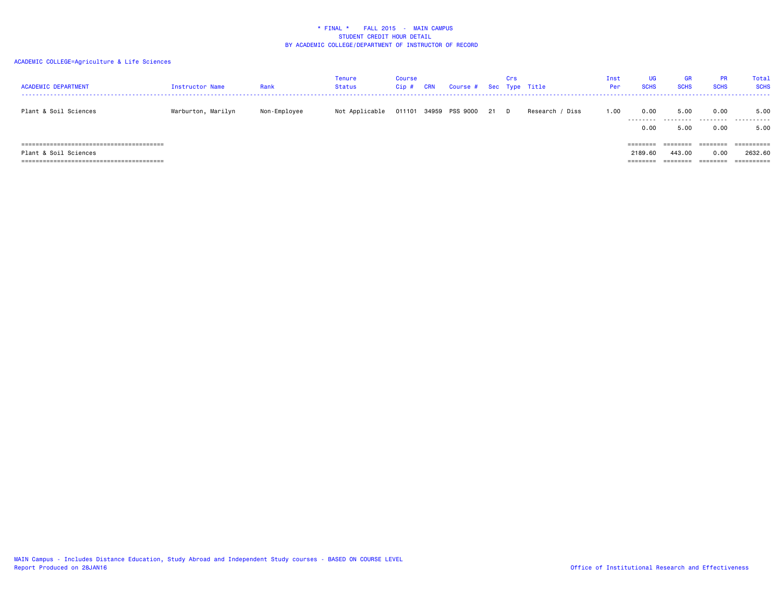| <b>ACADEMIC DEPARTMENT</b> | Instructor Name    | Rank         | Tenure<br><b>Status</b> | <b>Course</b><br>Cip# | <b>CRN</b> | Course # Sec Type Title    | Crs |                 | Inst<br>Per | UG<br><b>SCHS</b>   | <b>GR</b><br><b>SCHS</b> | <b>PR</b><br><b>SCHS</b> | Total<br><b>SCHS</b>             |
|----------------------------|--------------------|--------------|-------------------------|-----------------------|------------|----------------------------|-----|-----------------|-------------|---------------------|--------------------------|--------------------------|----------------------------------|
| Plant & Soil Sciences      | Warburton, Marilyn | Non-Employee | Not Applicable          |                       |            | 011101 34959 PSS 9000 21 D |     | Research / Diss | 1.00        | 0.00<br>.           | 5.00<br>.                | 0.00<br>.                | 5.00<br>.                        |
|                            |                    |              |                         |                       |            |                            |     |                 |             | 0.00<br>========    | 5.00<br>========         | 0.00<br>--------         | 5.00<br>==========               |
| Plant & Soil Sciences      |                    |              |                         |                       |            |                            |     |                 |             | 2189.60<br>======== | 443,00<br>-------        | 0.00<br>--------         | 2632.60<br>$=$ = = = = = = = = = |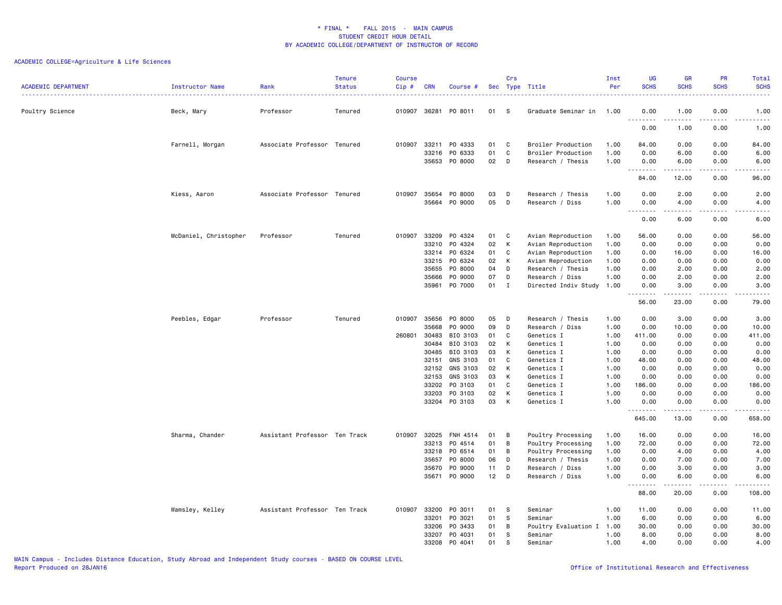| Poultry Science<br>Beck, Mary<br>Professor<br>Tenured<br>010907 36281<br>PO 8011<br>01<br>-S<br>Graduate Seminar in<br>1.00<br>0.00<br>1.00<br>0.00<br>1.00<br>$\sim$ $\sim$ $\sim$<br>-----<br>.<br>0.00<br>1.00<br>0.00<br>1.00<br>Associate Professor Tenured<br>010907<br>33211<br>PO 4333<br>0.00<br>Farnell, Morgan<br>01<br>C<br>Broiler Production<br>1.00<br>84.00<br>0.00<br>84.00<br>01<br>C<br>33216<br>PO 6333<br>Broiler Production<br>1.00<br>0.00<br>6.00<br>0.00<br>6.00<br>35653<br>PO 8000<br>02<br>D<br>Research / Thesis<br>1.00<br>6.00<br>0.00<br>6.00<br>0.00<br>.<br>--------<br>.<br>84.00<br>12.00<br>0.00<br>96.00<br>Associate Professor Tenured<br>PO 8000<br>1.00<br>0.00<br>2.00<br>Kiess, Aaron<br>010907<br>35654<br>03<br>D<br>Research / Thesis<br>0.00<br>2.00<br>35664<br>PO 9000<br>05<br>D<br>Research / Diss<br>1.00<br>0.00<br>4.00<br>0.00<br>4.00<br>$\sim$ $\sim$ $\sim$<br>.<br>-----<br>.<br>.<br>0.00<br>6.00<br>0.00<br>6.00<br>McDaniel, Christopher<br>Professor<br>Tenured<br>010907<br>33209<br>PO 4324<br>01<br>C<br>Avian Reproduction<br>56.00<br>0.00<br>0.00<br>56.00<br>1.00<br>33210<br>PO 4324<br>02<br>К<br>1.00<br>0.00<br>0.00<br>0.00<br>Avian Reproduction<br>0.00<br>PO 6324<br>01<br>C<br>Avian Reproduction<br>0.00<br>0.00<br>16.00<br>33214<br>1.00<br>16.00<br>02<br>К<br>33215<br>PO 6324<br>Avian Reproduction<br>1.00<br>0.00<br>0.00<br>0.00<br>0.00<br>35655<br>P0 8000<br>04<br>Research / Thesis<br>1.00<br>0.00<br>2.00<br>0.00<br>2.00<br>D<br>PO 9000<br>07<br>D<br>Research / Diss<br>0.00<br>2.00<br>2.00<br>35666<br>1.00<br>0.00<br>P0 7000<br>01<br>35961<br>Ι.<br>Directed Indiv Study 1.00<br>3.00<br>3.00<br>0.00<br>0.00<br>.<br>.<br>$\frac{1}{2} \left( \frac{1}{2} \right) \left( \frac{1}{2} \right) \left( \frac{1}{2} \right) \left( \frac{1}{2} \right) \left( \frac{1}{2} \right)$<br>56.00<br>23.00<br>0.00<br>79.00<br>P0 8000<br>010907<br>35656<br>05<br>Research / Thesis<br>0.00<br>3.00<br>Peebles, Edgar<br>Professor<br>Tenured<br>D<br>1.00<br>0.00<br>3.00<br>35668<br>PO 9000<br>09<br>D<br>Research / Diss<br>1.00<br>0.00<br>10.00<br>0.00<br>10.00<br>260801 30483<br>BIO 3103<br>01<br>C<br>Genetics I<br>1.00<br>411.00<br>0.00<br>0.00<br>411.00<br>BIO 3103<br>02<br>30484<br>К<br>Genetics I<br>1.00<br>0.00<br>0.00<br>0.00<br>0.00<br>BIO 3103<br>30485<br>03<br>К<br>Genetics I<br>1.00<br>0.00<br>0.00<br>0.00<br>0.00<br>GNS 3103<br>32151<br>01<br>C<br>Genetics I<br>1.00<br>48.00<br>0.00<br>0.00<br>48.00<br>GNS 3103<br>02<br>32152<br>К<br>Genetics I<br>1.00<br>0.00<br>0.00<br>0.00<br>0.00<br>32153<br>GNS 3103<br>03<br>К<br>Genetics I<br>1.00<br>0.00<br>0.00<br>0.00<br>0.00<br>33202<br>PO 3103<br>01<br>C<br>186.00<br>0.00<br>0.00<br>186.00<br>Genetics I<br>1.00<br>PO 3103<br>02<br>К<br>0.00<br>0.00<br>33203<br>Genetics I<br>1.00<br>0.00<br>0.00<br>PO 3103<br>03<br>33204<br>К<br>Genetics I<br>1.00<br>0.00<br>0.00<br>0.00<br>0.00<br>.<br>$\frac{1}{2} \left( \frac{1}{2} \right) \left( \frac{1}{2} \right) \left( \frac{1}{2} \right) \left( \frac{1}{2} \right) \left( \frac{1}{2} \right)$<br>.<br>.<br>645.00<br>13.00<br>0.00<br>658.00<br>Sharma, Chander<br>Assistant Professor Ten Track<br>010907<br>32025<br><b>FNH 4514</b><br>Poultry Processing<br>16.00<br>0.00<br>0.00<br>16.00<br>01<br>в<br>1.00<br>33213<br>P0 4514<br>01<br>B<br>Poultry Processing<br>1.00<br>72.00<br>0.00<br>0.00<br>72.00<br>PO 6514<br>33218<br>01<br>В<br>Poultry Processing<br>1.00<br>0.00<br>4.00<br>0.00<br>4.00<br>35657<br>PO 8000<br>06<br>Research / Thesis<br>1.00<br>0.00<br>7.00<br>0.00<br>7.00<br>D<br>PO 9000<br>35670<br>11<br>D<br>Research / Diss<br>1.00<br>0.00<br>3.00<br>0.00<br>3.00<br>P0 9000<br>12<br>D<br>1.00<br>35671<br>Research / Diss<br>0.00<br>6.00<br>0.00<br>6.00<br>.<br>. <b>.</b><br>.<br>.<br>88.00<br>20.00<br>0.00<br>108.00<br>33200<br>Wamsley, Kelley<br>Assistant Professor Ten Track<br>010907<br>PO 3011<br>01<br>s<br>Seminar<br>1.00<br>11.00<br>0.00<br>0.00<br>11.00<br>33201<br>PO 3021<br>01<br>s<br>Seminar<br>1.00<br>6.00<br>0.00<br>0.00<br>6.00<br>33206<br>PO 3433<br>01<br>B<br>1.00<br>30.00<br>0.00<br>0.00<br>30.00<br>Poultry Evaluation I<br>33207<br>P0 4031<br>01<br>8.00<br>S<br>Seminar<br>1.00<br>0.00<br>0.00<br>8.00<br>PO 4041<br>01<br>33208<br>s<br>1.00<br>4.00<br>0.00<br>0.00<br>4.00<br>Seminar | <b>ACADEMIC DEPARTMENT</b> | Instructor Name | Rank<br>. | <b>Tenure</b><br><b>Status</b> | <b>Course</b><br>Cip# | <b>CRN</b> | Course # | Crs | Sec Type Title | Inst<br>Per | UG<br><b>SCHS</b> | <b>GR</b><br><b>SCHS</b> | PR<br><b>SCHS</b> | Total<br><b>SCHS</b><br>. |
|---------------------------------------------------------------------------------------------------------------------------------------------------------------------------------------------------------------------------------------------------------------------------------------------------------------------------------------------------------------------------------------------------------------------------------------------------------------------------------------------------------------------------------------------------------------------------------------------------------------------------------------------------------------------------------------------------------------------------------------------------------------------------------------------------------------------------------------------------------------------------------------------------------------------------------------------------------------------------------------------------------------------------------------------------------------------------------------------------------------------------------------------------------------------------------------------------------------------------------------------------------------------------------------------------------------------------------------------------------------------------------------------------------------------------------------------------------------------------------------------------------------------------------------------------------------------------------------------------------------------------------------------------------------------------------------------------------------------------------------------------------------------------------------------------------------------------------------------------------------------------------------------------------------------------------------------------------------------------------------------------------------------------------------------------------------------------------------------------------------------------------------------------------------------------------------------------------------------------------------------------------------------------------------------------------------------------------------------------------------------------------------------------------------------------------------------------------------------------------------------------------------------------------------------------------------------------------------------------------------------------------------------------------------------------------------------------------------------------------------------------------------------------------------------------------------------------------------------------------------------------------------------------------------------------------------------------------------------------------------------------------------------------------------------------------------------------------------------------------------------------------------------------------------------------------------------------------------------------------------------------------------------------------------------------------------------------------------------------------------------------------------------------------------------------------------------------------------------------------------------------------------------------------------------------------------------------------------------------------------------------------------------------------------------------------------------------------------------------------------------------------------------------------------------------------------------------------------------------------------------------------------------------------------------------------------------------------------------------------------------------------------------------------------------------------------------------------------------------------------------------------------------------------------------------------------------------------------------------------------------------------------------------------------------------------------------------------------------------------------------------------------------------------------------------------|----------------------------|-----------------|-----------|--------------------------------|-----------------------|------------|----------|-----|----------------|-------------|-------------------|--------------------------|-------------------|---------------------------|
|                                                                                                                                                                                                                                                                                                                                                                                                                                                                                                                                                                                                                                                                                                                                                                                                                                                                                                                                                                                                                                                                                                                                                                                                                                                                                                                                                                                                                                                                                                                                                                                                                                                                                                                                                                                                                                                                                                                                                                                                                                                                                                                                                                                                                                                                                                                                                                                                                                                                                                                                                                                                                                                                                                                                                                                                                                                                                                                                                                                                                                                                                                                                                                                                                                                                                                                                                                                                                                                                                                                                                                                                                                                                                                                                                                                                                                                                                                                                                                                                                                                                                                                                                                                                                                                                                                                                                                                                                                 |                            |                 |           |                                |                       |            |          |     |                |             |                   |                          |                   |                           |
|                                                                                                                                                                                                                                                                                                                                                                                                                                                                                                                                                                                                                                                                                                                                                                                                                                                                                                                                                                                                                                                                                                                                                                                                                                                                                                                                                                                                                                                                                                                                                                                                                                                                                                                                                                                                                                                                                                                                                                                                                                                                                                                                                                                                                                                                                                                                                                                                                                                                                                                                                                                                                                                                                                                                                                                                                                                                                                                                                                                                                                                                                                                                                                                                                                                                                                                                                                                                                                                                                                                                                                                                                                                                                                                                                                                                                                                                                                                                                                                                                                                                                                                                                                                                                                                                                                                                                                                                                                 |                            |                 |           |                                |                       |            |          |     |                |             |                   |                          |                   |                           |
|                                                                                                                                                                                                                                                                                                                                                                                                                                                                                                                                                                                                                                                                                                                                                                                                                                                                                                                                                                                                                                                                                                                                                                                                                                                                                                                                                                                                                                                                                                                                                                                                                                                                                                                                                                                                                                                                                                                                                                                                                                                                                                                                                                                                                                                                                                                                                                                                                                                                                                                                                                                                                                                                                                                                                                                                                                                                                                                                                                                                                                                                                                                                                                                                                                                                                                                                                                                                                                                                                                                                                                                                                                                                                                                                                                                                                                                                                                                                                                                                                                                                                                                                                                                                                                                                                                                                                                                                                                 |                            |                 |           |                                |                       |            |          |     |                |             |                   |                          |                   |                           |
|                                                                                                                                                                                                                                                                                                                                                                                                                                                                                                                                                                                                                                                                                                                                                                                                                                                                                                                                                                                                                                                                                                                                                                                                                                                                                                                                                                                                                                                                                                                                                                                                                                                                                                                                                                                                                                                                                                                                                                                                                                                                                                                                                                                                                                                                                                                                                                                                                                                                                                                                                                                                                                                                                                                                                                                                                                                                                                                                                                                                                                                                                                                                                                                                                                                                                                                                                                                                                                                                                                                                                                                                                                                                                                                                                                                                                                                                                                                                                                                                                                                                                                                                                                                                                                                                                                                                                                                                                                 |                            |                 |           |                                |                       |            |          |     |                |             |                   |                          |                   |                           |
|                                                                                                                                                                                                                                                                                                                                                                                                                                                                                                                                                                                                                                                                                                                                                                                                                                                                                                                                                                                                                                                                                                                                                                                                                                                                                                                                                                                                                                                                                                                                                                                                                                                                                                                                                                                                                                                                                                                                                                                                                                                                                                                                                                                                                                                                                                                                                                                                                                                                                                                                                                                                                                                                                                                                                                                                                                                                                                                                                                                                                                                                                                                                                                                                                                                                                                                                                                                                                                                                                                                                                                                                                                                                                                                                                                                                                                                                                                                                                                                                                                                                                                                                                                                                                                                                                                                                                                                                                                 |                            |                 |           |                                |                       |            |          |     |                |             |                   |                          |                   |                           |
|                                                                                                                                                                                                                                                                                                                                                                                                                                                                                                                                                                                                                                                                                                                                                                                                                                                                                                                                                                                                                                                                                                                                                                                                                                                                                                                                                                                                                                                                                                                                                                                                                                                                                                                                                                                                                                                                                                                                                                                                                                                                                                                                                                                                                                                                                                                                                                                                                                                                                                                                                                                                                                                                                                                                                                                                                                                                                                                                                                                                                                                                                                                                                                                                                                                                                                                                                                                                                                                                                                                                                                                                                                                                                                                                                                                                                                                                                                                                                                                                                                                                                                                                                                                                                                                                                                                                                                                                                                 |                            |                 |           |                                |                       |            |          |     |                |             |                   |                          |                   |                           |
|                                                                                                                                                                                                                                                                                                                                                                                                                                                                                                                                                                                                                                                                                                                                                                                                                                                                                                                                                                                                                                                                                                                                                                                                                                                                                                                                                                                                                                                                                                                                                                                                                                                                                                                                                                                                                                                                                                                                                                                                                                                                                                                                                                                                                                                                                                                                                                                                                                                                                                                                                                                                                                                                                                                                                                                                                                                                                                                                                                                                                                                                                                                                                                                                                                                                                                                                                                                                                                                                                                                                                                                                                                                                                                                                                                                                                                                                                                                                                                                                                                                                                                                                                                                                                                                                                                                                                                                                                                 |                            |                 |           |                                |                       |            |          |     |                |             |                   |                          |                   |                           |
|                                                                                                                                                                                                                                                                                                                                                                                                                                                                                                                                                                                                                                                                                                                                                                                                                                                                                                                                                                                                                                                                                                                                                                                                                                                                                                                                                                                                                                                                                                                                                                                                                                                                                                                                                                                                                                                                                                                                                                                                                                                                                                                                                                                                                                                                                                                                                                                                                                                                                                                                                                                                                                                                                                                                                                                                                                                                                                                                                                                                                                                                                                                                                                                                                                                                                                                                                                                                                                                                                                                                                                                                                                                                                                                                                                                                                                                                                                                                                                                                                                                                                                                                                                                                                                                                                                                                                                                                                                 |                            |                 |           |                                |                       |            |          |     |                |             |                   |                          |                   |                           |
|                                                                                                                                                                                                                                                                                                                                                                                                                                                                                                                                                                                                                                                                                                                                                                                                                                                                                                                                                                                                                                                                                                                                                                                                                                                                                                                                                                                                                                                                                                                                                                                                                                                                                                                                                                                                                                                                                                                                                                                                                                                                                                                                                                                                                                                                                                                                                                                                                                                                                                                                                                                                                                                                                                                                                                                                                                                                                                                                                                                                                                                                                                                                                                                                                                                                                                                                                                                                                                                                                                                                                                                                                                                                                                                                                                                                                                                                                                                                                                                                                                                                                                                                                                                                                                                                                                                                                                                                                                 |                            |                 |           |                                |                       |            |          |     |                |             |                   |                          |                   |                           |
|                                                                                                                                                                                                                                                                                                                                                                                                                                                                                                                                                                                                                                                                                                                                                                                                                                                                                                                                                                                                                                                                                                                                                                                                                                                                                                                                                                                                                                                                                                                                                                                                                                                                                                                                                                                                                                                                                                                                                                                                                                                                                                                                                                                                                                                                                                                                                                                                                                                                                                                                                                                                                                                                                                                                                                                                                                                                                                                                                                                                                                                                                                                                                                                                                                                                                                                                                                                                                                                                                                                                                                                                                                                                                                                                                                                                                                                                                                                                                                                                                                                                                                                                                                                                                                                                                                                                                                                                                                 |                            |                 |           |                                |                       |            |          |     |                |             |                   |                          |                   |                           |
|                                                                                                                                                                                                                                                                                                                                                                                                                                                                                                                                                                                                                                                                                                                                                                                                                                                                                                                                                                                                                                                                                                                                                                                                                                                                                                                                                                                                                                                                                                                                                                                                                                                                                                                                                                                                                                                                                                                                                                                                                                                                                                                                                                                                                                                                                                                                                                                                                                                                                                                                                                                                                                                                                                                                                                                                                                                                                                                                                                                                                                                                                                                                                                                                                                                                                                                                                                                                                                                                                                                                                                                                                                                                                                                                                                                                                                                                                                                                                                                                                                                                                                                                                                                                                                                                                                                                                                                                                                 |                            |                 |           |                                |                       |            |          |     |                |             |                   |                          |                   |                           |
|                                                                                                                                                                                                                                                                                                                                                                                                                                                                                                                                                                                                                                                                                                                                                                                                                                                                                                                                                                                                                                                                                                                                                                                                                                                                                                                                                                                                                                                                                                                                                                                                                                                                                                                                                                                                                                                                                                                                                                                                                                                                                                                                                                                                                                                                                                                                                                                                                                                                                                                                                                                                                                                                                                                                                                                                                                                                                                                                                                                                                                                                                                                                                                                                                                                                                                                                                                                                                                                                                                                                                                                                                                                                                                                                                                                                                                                                                                                                                                                                                                                                                                                                                                                                                                                                                                                                                                                                                                 |                            |                 |           |                                |                       |            |          |     |                |             |                   |                          |                   |                           |
|                                                                                                                                                                                                                                                                                                                                                                                                                                                                                                                                                                                                                                                                                                                                                                                                                                                                                                                                                                                                                                                                                                                                                                                                                                                                                                                                                                                                                                                                                                                                                                                                                                                                                                                                                                                                                                                                                                                                                                                                                                                                                                                                                                                                                                                                                                                                                                                                                                                                                                                                                                                                                                                                                                                                                                                                                                                                                                                                                                                                                                                                                                                                                                                                                                                                                                                                                                                                                                                                                                                                                                                                                                                                                                                                                                                                                                                                                                                                                                                                                                                                                                                                                                                                                                                                                                                                                                                                                                 |                            |                 |           |                                |                       |            |          |     |                |             |                   |                          |                   |                           |
|                                                                                                                                                                                                                                                                                                                                                                                                                                                                                                                                                                                                                                                                                                                                                                                                                                                                                                                                                                                                                                                                                                                                                                                                                                                                                                                                                                                                                                                                                                                                                                                                                                                                                                                                                                                                                                                                                                                                                                                                                                                                                                                                                                                                                                                                                                                                                                                                                                                                                                                                                                                                                                                                                                                                                                                                                                                                                                                                                                                                                                                                                                                                                                                                                                                                                                                                                                                                                                                                                                                                                                                                                                                                                                                                                                                                                                                                                                                                                                                                                                                                                                                                                                                                                                                                                                                                                                                                                                 |                            |                 |           |                                |                       |            |          |     |                |             |                   |                          |                   |                           |
|                                                                                                                                                                                                                                                                                                                                                                                                                                                                                                                                                                                                                                                                                                                                                                                                                                                                                                                                                                                                                                                                                                                                                                                                                                                                                                                                                                                                                                                                                                                                                                                                                                                                                                                                                                                                                                                                                                                                                                                                                                                                                                                                                                                                                                                                                                                                                                                                                                                                                                                                                                                                                                                                                                                                                                                                                                                                                                                                                                                                                                                                                                                                                                                                                                                                                                                                                                                                                                                                                                                                                                                                                                                                                                                                                                                                                                                                                                                                                                                                                                                                                                                                                                                                                                                                                                                                                                                                                                 |                            |                 |           |                                |                       |            |          |     |                |             |                   |                          |                   |                           |
|                                                                                                                                                                                                                                                                                                                                                                                                                                                                                                                                                                                                                                                                                                                                                                                                                                                                                                                                                                                                                                                                                                                                                                                                                                                                                                                                                                                                                                                                                                                                                                                                                                                                                                                                                                                                                                                                                                                                                                                                                                                                                                                                                                                                                                                                                                                                                                                                                                                                                                                                                                                                                                                                                                                                                                                                                                                                                                                                                                                                                                                                                                                                                                                                                                                                                                                                                                                                                                                                                                                                                                                                                                                                                                                                                                                                                                                                                                                                                                                                                                                                                                                                                                                                                                                                                                                                                                                                                                 |                            |                 |           |                                |                       |            |          |     |                |             |                   |                          |                   |                           |
|                                                                                                                                                                                                                                                                                                                                                                                                                                                                                                                                                                                                                                                                                                                                                                                                                                                                                                                                                                                                                                                                                                                                                                                                                                                                                                                                                                                                                                                                                                                                                                                                                                                                                                                                                                                                                                                                                                                                                                                                                                                                                                                                                                                                                                                                                                                                                                                                                                                                                                                                                                                                                                                                                                                                                                                                                                                                                                                                                                                                                                                                                                                                                                                                                                                                                                                                                                                                                                                                                                                                                                                                                                                                                                                                                                                                                                                                                                                                                                                                                                                                                                                                                                                                                                                                                                                                                                                                                                 |                            |                 |           |                                |                       |            |          |     |                |             |                   |                          |                   |                           |
|                                                                                                                                                                                                                                                                                                                                                                                                                                                                                                                                                                                                                                                                                                                                                                                                                                                                                                                                                                                                                                                                                                                                                                                                                                                                                                                                                                                                                                                                                                                                                                                                                                                                                                                                                                                                                                                                                                                                                                                                                                                                                                                                                                                                                                                                                                                                                                                                                                                                                                                                                                                                                                                                                                                                                                                                                                                                                                                                                                                                                                                                                                                                                                                                                                                                                                                                                                                                                                                                                                                                                                                                                                                                                                                                                                                                                                                                                                                                                                                                                                                                                                                                                                                                                                                                                                                                                                                                                                 |                            |                 |           |                                |                       |            |          |     |                |             |                   |                          |                   |                           |
|                                                                                                                                                                                                                                                                                                                                                                                                                                                                                                                                                                                                                                                                                                                                                                                                                                                                                                                                                                                                                                                                                                                                                                                                                                                                                                                                                                                                                                                                                                                                                                                                                                                                                                                                                                                                                                                                                                                                                                                                                                                                                                                                                                                                                                                                                                                                                                                                                                                                                                                                                                                                                                                                                                                                                                                                                                                                                                                                                                                                                                                                                                                                                                                                                                                                                                                                                                                                                                                                                                                                                                                                                                                                                                                                                                                                                                                                                                                                                                                                                                                                                                                                                                                                                                                                                                                                                                                                                                 |                            |                 |           |                                |                       |            |          |     |                |             |                   |                          |                   |                           |
|                                                                                                                                                                                                                                                                                                                                                                                                                                                                                                                                                                                                                                                                                                                                                                                                                                                                                                                                                                                                                                                                                                                                                                                                                                                                                                                                                                                                                                                                                                                                                                                                                                                                                                                                                                                                                                                                                                                                                                                                                                                                                                                                                                                                                                                                                                                                                                                                                                                                                                                                                                                                                                                                                                                                                                                                                                                                                                                                                                                                                                                                                                                                                                                                                                                                                                                                                                                                                                                                                                                                                                                                                                                                                                                                                                                                                                                                                                                                                                                                                                                                                                                                                                                                                                                                                                                                                                                                                                 |                            |                 |           |                                |                       |            |          |     |                |             |                   |                          |                   |                           |
|                                                                                                                                                                                                                                                                                                                                                                                                                                                                                                                                                                                                                                                                                                                                                                                                                                                                                                                                                                                                                                                                                                                                                                                                                                                                                                                                                                                                                                                                                                                                                                                                                                                                                                                                                                                                                                                                                                                                                                                                                                                                                                                                                                                                                                                                                                                                                                                                                                                                                                                                                                                                                                                                                                                                                                                                                                                                                                                                                                                                                                                                                                                                                                                                                                                                                                                                                                                                                                                                                                                                                                                                                                                                                                                                                                                                                                                                                                                                                                                                                                                                                                                                                                                                                                                                                                                                                                                                                                 |                            |                 |           |                                |                       |            |          |     |                |             |                   |                          |                   |                           |
|                                                                                                                                                                                                                                                                                                                                                                                                                                                                                                                                                                                                                                                                                                                                                                                                                                                                                                                                                                                                                                                                                                                                                                                                                                                                                                                                                                                                                                                                                                                                                                                                                                                                                                                                                                                                                                                                                                                                                                                                                                                                                                                                                                                                                                                                                                                                                                                                                                                                                                                                                                                                                                                                                                                                                                                                                                                                                                                                                                                                                                                                                                                                                                                                                                                                                                                                                                                                                                                                                                                                                                                                                                                                                                                                                                                                                                                                                                                                                                                                                                                                                                                                                                                                                                                                                                                                                                                                                                 |                            |                 |           |                                |                       |            |          |     |                |             |                   |                          |                   |                           |
|                                                                                                                                                                                                                                                                                                                                                                                                                                                                                                                                                                                                                                                                                                                                                                                                                                                                                                                                                                                                                                                                                                                                                                                                                                                                                                                                                                                                                                                                                                                                                                                                                                                                                                                                                                                                                                                                                                                                                                                                                                                                                                                                                                                                                                                                                                                                                                                                                                                                                                                                                                                                                                                                                                                                                                                                                                                                                                                                                                                                                                                                                                                                                                                                                                                                                                                                                                                                                                                                                                                                                                                                                                                                                                                                                                                                                                                                                                                                                                                                                                                                                                                                                                                                                                                                                                                                                                                                                                 |                            |                 |           |                                |                       |            |          |     |                |             |                   |                          |                   |                           |
|                                                                                                                                                                                                                                                                                                                                                                                                                                                                                                                                                                                                                                                                                                                                                                                                                                                                                                                                                                                                                                                                                                                                                                                                                                                                                                                                                                                                                                                                                                                                                                                                                                                                                                                                                                                                                                                                                                                                                                                                                                                                                                                                                                                                                                                                                                                                                                                                                                                                                                                                                                                                                                                                                                                                                                                                                                                                                                                                                                                                                                                                                                                                                                                                                                                                                                                                                                                                                                                                                                                                                                                                                                                                                                                                                                                                                                                                                                                                                                                                                                                                                                                                                                                                                                                                                                                                                                                                                                 |                            |                 |           |                                |                       |            |          |     |                |             |                   |                          |                   |                           |
|                                                                                                                                                                                                                                                                                                                                                                                                                                                                                                                                                                                                                                                                                                                                                                                                                                                                                                                                                                                                                                                                                                                                                                                                                                                                                                                                                                                                                                                                                                                                                                                                                                                                                                                                                                                                                                                                                                                                                                                                                                                                                                                                                                                                                                                                                                                                                                                                                                                                                                                                                                                                                                                                                                                                                                                                                                                                                                                                                                                                                                                                                                                                                                                                                                                                                                                                                                                                                                                                                                                                                                                                                                                                                                                                                                                                                                                                                                                                                                                                                                                                                                                                                                                                                                                                                                                                                                                                                                 |                            |                 |           |                                |                       |            |          |     |                |             |                   |                          |                   |                           |
|                                                                                                                                                                                                                                                                                                                                                                                                                                                                                                                                                                                                                                                                                                                                                                                                                                                                                                                                                                                                                                                                                                                                                                                                                                                                                                                                                                                                                                                                                                                                                                                                                                                                                                                                                                                                                                                                                                                                                                                                                                                                                                                                                                                                                                                                                                                                                                                                                                                                                                                                                                                                                                                                                                                                                                                                                                                                                                                                                                                                                                                                                                                                                                                                                                                                                                                                                                                                                                                                                                                                                                                                                                                                                                                                                                                                                                                                                                                                                                                                                                                                                                                                                                                                                                                                                                                                                                                                                                 |                            |                 |           |                                |                       |            |          |     |                |             |                   |                          |                   |                           |
|                                                                                                                                                                                                                                                                                                                                                                                                                                                                                                                                                                                                                                                                                                                                                                                                                                                                                                                                                                                                                                                                                                                                                                                                                                                                                                                                                                                                                                                                                                                                                                                                                                                                                                                                                                                                                                                                                                                                                                                                                                                                                                                                                                                                                                                                                                                                                                                                                                                                                                                                                                                                                                                                                                                                                                                                                                                                                                                                                                                                                                                                                                                                                                                                                                                                                                                                                                                                                                                                                                                                                                                                                                                                                                                                                                                                                                                                                                                                                                                                                                                                                                                                                                                                                                                                                                                                                                                                                                 |                            |                 |           |                                |                       |            |          |     |                |             |                   |                          |                   |                           |
|                                                                                                                                                                                                                                                                                                                                                                                                                                                                                                                                                                                                                                                                                                                                                                                                                                                                                                                                                                                                                                                                                                                                                                                                                                                                                                                                                                                                                                                                                                                                                                                                                                                                                                                                                                                                                                                                                                                                                                                                                                                                                                                                                                                                                                                                                                                                                                                                                                                                                                                                                                                                                                                                                                                                                                                                                                                                                                                                                                                                                                                                                                                                                                                                                                                                                                                                                                                                                                                                                                                                                                                                                                                                                                                                                                                                                                                                                                                                                                                                                                                                                                                                                                                                                                                                                                                                                                                                                                 |                            |                 |           |                                |                       |            |          |     |                |             |                   |                          |                   |                           |
|                                                                                                                                                                                                                                                                                                                                                                                                                                                                                                                                                                                                                                                                                                                                                                                                                                                                                                                                                                                                                                                                                                                                                                                                                                                                                                                                                                                                                                                                                                                                                                                                                                                                                                                                                                                                                                                                                                                                                                                                                                                                                                                                                                                                                                                                                                                                                                                                                                                                                                                                                                                                                                                                                                                                                                                                                                                                                                                                                                                                                                                                                                                                                                                                                                                                                                                                                                                                                                                                                                                                                                                                                                                                                                                                                                                                                                                                                                                                                                                                                                                                                                                                                                                                                                                                                                                                                                                                                                 |                            |                 |           |                                |                       |            |          |     |                |             |                   |                          |                   |                           |
|                                                                                                                                                                                                                                                                                                                                                                                                                                                                                                                                                                                                                                                                                                                                                                                                                                                                                                                                                                                                                                                                                                                                                                                                                                                                                                                                                                                                                                                                                                                                                                                                                                                                                                                                                                                                                                                                                                                                                                                                                                                                                                                                                                                                                                                                                                                                                                                                                                                                                                                                                                                                                                                                                                                                                                                                                                                                                                                                                                                                                                                                                                                                                                                                                                                                                                                                                                                                                                                                                                                                                                                                                                                                                                                                                                                                                                                                                                                                                                                                                                                                                                                                                                                                                                                                                                                                                                                                                                 |                            |                 |           |                                |                       |            |          |     |                |             |                   |                          |                   |                           |
|                                                                                                                                                                                                                                                                                                                                                                                                                                                                                                                                                                                                                                                                                                                                                                                                                                                                                                                                                                                                                                                                                                                                                                                                                                                                                                                                                                                                                                                                                                                                                                                                                                                                                                                                                                                                                                                                                                                                                                                                                                                                                                                                                                                                                                                                                                                                                                                                                                                                                                                                                                                                                                                                                                                                                                                                                                                                                                                                                                                                                                                                                                                                                                                                                                                                                                                                                                                                                                                                                                                                                                                                                                                                                                                                                                                                                                                                                                                                                                                                                                                                                                                                                                                                                                                                                                                                                                                                                                 |                            |                 |           |                                |                       |            |          |     |                |             |                   |                          |                   |                           |
|                                                                                                                                                                                                                                                                                                                                                                                                                                                                                                                                                                                                                                                                                                                                                                                                                                                                                                                                                                                                                                                                                                                                                                                                                                                                                                                                                                                                                                                                                                                                                                                                                                                                                                                                                                                                                                                                                                                                                                                                                                                                                                                                                                                                                                                                                                                                                                                                                                                                                                                                                                                                                                                                                                                                                                                                                                                                                                                                                                                                                                                                                                                                                                                                                                                                                                                                                                                                                                                                                                                                                                                                                                                                                                                                                                                                                                                                                                                                                                                                                                                                                                                                                                                                                                                                                                                                                                                                                                 |                            |                 |           |                                |                       |            |          |     |                |             |                   |                          |                   |                           |
|                                                                                                                                                                                                                                                                                                                                                                                                                                                                                                                                                                                                                                                                                                                                                                                                                                                                                                                                                                                                                                                                                                                                                                                                                                                                                                                                                                                                                                                                                                                                                                                                                                                                                                                                                                                                                                                                                                                                                                                                                                                                                                                                                                                                                                                                                                                                                                                                                                                                                                                                                                                                                                                                                                                                                                                                                                                                                                                                                                                                                                                                                                                                                                                                                                                                                                                                                                                                                                                                                                                                                                                                                                                                                                                                                                                                                                                                                                                                                                                                                                                                                                                                                                                                                                                                                                                                                                                                                                 |                            |                 |           |                                |                       |            |          |     |                |             |                   |                          |                   |                           |
|                                                                                                                                                                                                                                                                                                                                                                                                                                                                                                                                                                                                                                                                                                                                                                                                                                                                                                                                                                                                                                                                                                                                                                                                                                                                                                                                                                                                                                                                                                                                                                                                                                                                                                                                                                                                                                                                                                                                                                                                                                                                                                                                                                                                                                                                                                                                                                                                                                                                                                                                                                                                                                                                                                                                                                                                                                                                                                                                                                                                                                                                                                                                                                                                                                                                                                                                                                                                                                                                                                                                                                                                                                                                                                                                                                                                                                                                                                                                                                                                                                                                                                                                                                                                                                                                                                                                                                                                                                 |                            |                 |           |                                |                       |            |          |     |                |             |                   |                          |                   |                           |
|                                                                                                                                                                                                                                                                                                                                                                                                                                                                                                                                                                                                                                                                                                                                                                                                                                                                                                                                                                                                                                                                                                                                                                                                                                                                                                                                                                                                                                                                                                                                                                                                                                                                                                                                                                                                                                                                                                                                                                                                                                                                                                                                                                                                                                                                                                                                                                                                                                                                                                                                                                                                                                                                                                                                                                                                                                                                                                                                                                                                                                                                                                                                                                                                                                                                                                                                                                                                                                                                                                                                                                                                                                                                                                                                                                                                                                                                                                                                                                                                                                                                                                                                                                                                                                                                                                                                                                                                                                 |                            |                 |           |                                |                       |            |          |     |                |             |                   |                          |                   |                           |
|                                                                                                                                                                                                                                                                                                                                                                                                                                                                                                                                                                                                                                                                                                                                                                                                                                                                                                                                                                                                                                                                                                                                                                                                                                                                                                                                                                                                                                                                                                                                                                                                                                                                                                                                                                                                                                                                                                                                                                                                                                                                                                                                                                                                                                                                                                                                                                                                                                                                                                                                                                                                                                                                                                                                                                                                                                                                                                                                                                                                                                                                                                                                                                                                                                                                                                                                                                                                                                                                                                                                                                                                                                                                                                                                                                                                                                                                                                                                                                                                                                                                                                                                                                                                                                                                                                                                                                                                                                 |                            |                 |           |                                |                       |            |          |     |                |             |                   |                          |                   |                           |
|                                                                                                                                                                                                                                                                                                                                                                                                                                                                                                                                                                                                                                                                                                                                                                                                                                                                                                                                                                                                                                                                                                                                                                                                                                                                                                                                                                                                                                                                                                                                                                                                                                                                                                                                                                                                                                                                                                                                                                                                                                                                                                                                                                                                                                                                                                                                                                                                                                                                                                                                                                                                                                                                                                                                                                                                                                                                                                                                                                                                                                                                                                                                                                                                                                                                                                                                                                                                                                                                                                                                                                                                                                                                                                                                                                                                                                                                                                                                                                                                                                                                                                                                                                                                                                                                                                                                                                                                                                 |                            |                 |           |                                |                       |            |          |     |                |             |                   |                          |                   |                           |
|                                                                                                                                                                                                                                                                                                                                                                                                                                                                                                                                                                                                                                                                                                                                                                                                                                                                                                                                                                                                                                                                                                                                                                                                                                                                                                                                                                                                                                                                                                                                                                                                                                                                                                                                                                                                                                                                                                                                                                                                                                                                                                                                                                                                                                                                                                                                                                                                                                                                                                                                                                                                                                                                                                                                                                                                                                                                                                                                                                                                                                                                                                                                                                                                                                                                                                                                                                                                                                                                                                                                                                                                                                                                                                                                                                                                                                                                                                                                                                                                                                                                                                                                                                                                                                                                                                                                                                                                                                 |                            |                 |           |                                |                       |            |          |     |                |             |                   |                          |                   |                           |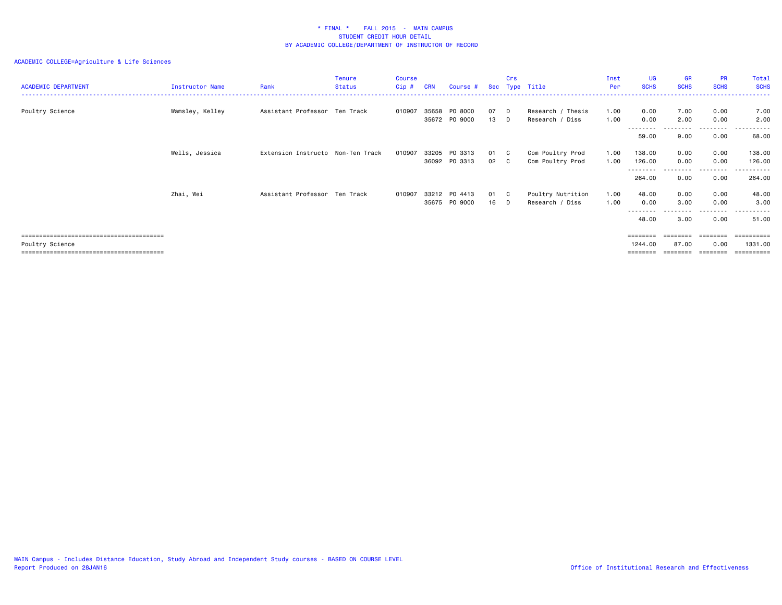| <b>ACADEMIC DEPARTMENT</b> | Instructor Name | Rank                              | <b>Tenure</b><br>Status | Course<br>$Cip$ # | <b>CRN</b> | Course #                       | Sec          | Crs | Type Title                           | Inst<br>Per  | UG<br><b>SCHS</b>          | <b>GR</b><br><b>SCHS</b> | <b>PR</b><br><b>SCHS</b> | Total<br><b>SCHS</b>                |
|----------------------------|-----------------|-----------------------------------|-------------------------|-------------------|------------|--------------------------------|--------------|-----|--------------------------------------|--------------|----------------------------|--------------------------|--------------------------|-------------------------------------|
| Poultry Science            | Wamsley, Kelley | Assistant Professor Ten Track     |                         | 010907            | 35658      | PO 8000<br>35672 PO 9000       | 07 D<br>13 D |     | Research / Thesis<br>Research / Diss | 1.00<br>1.00 | 0.00<br>0.00               | 7.00<br>2.00             | 0.00<br>0.00             | 7.00<br>2.00                        |
|                            |                 |                                   |                         |                   |            |                                |              |     |                                      |              | --------<br>59.00          | 9.00                     | ---------<br>0.00        | .<br>$- - - -$<br>68.00             |
|                            | Wells, Jessica  | Extension Instructo Non-Ten Track |                         | 010907            |            | 33205 PO 3313<br>36092 PO 3313 | 01 C<br>02 C |     | Com Poultry Prod<br>Com Poultry Prod | 1.00<br>1.00 | 138.00<br>126.00           | 0.00<br>0.00             | 0.00<br>0.00             | 138.00<br>126.00                    |
|                            |                 |                                   |                         |                   |            |                                |              |     |                                      |              | 264.00                     | 0.00                     | . <b>.</b><br>0.00       | 264.00                              |
|                            | Zhai, Wei       | Assistant Professor Ten Track     |                         | 010907            |            | 33212 PO 4413<br>35675 PO 9000 | 01 C<br>16 D |     | Poultry Nutrition<br>Research / Diss | 1.00<br>1.00 | 48.00<br>0.00<br>--------- | 0.00<br>3.00<br>-------- | 0.00<br>0.00<br>.        | 48.00<br>3.00<br>.                  |
|                            |                 |                                   |                         |                   |            |                                |              |     |                                      |              | 48.00                      | 3.00                     | 0.00                     | 51.00                               |
| Poultry Science            |                 |                                   |                         |                   |            |                                |              |     |                                      |              | ========<br>1244.00        | --------<br>87.00        | ========<br>0.00         | ==========<br>1331.00<br>========== |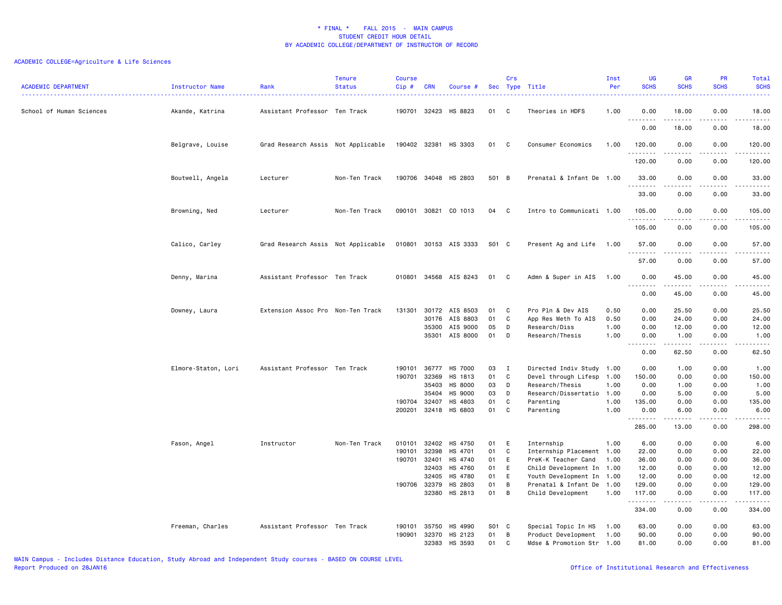| <b>ACADEMIC DEPARTMENT</b> | Instructor Name     | Rank                               | <b>Tenure</b><br><b>Status</b> | <b>Course</b><br>Cip# | <b>CRN</b>   | Course #              |       | Crs          | Sec Type Title            | Inst<br>Per | UG<br><b>SCHS</b>              | <b>GR</b><br><b>SCHS</b>                                                                                                                                      | PR<br><b>SCHS</b>                                                                                                                 | Total<br><b>SCHS</b><br>.                                                                                                                                                                 |
|----------------------------|---------------------|------------------------------------|--------------------------------|-----------------------|--------------|-----------------------|-------|--------------|---------------------------|-------------|--------------------------------|---------------------------------------------------------------------------------------------------------------------------------------------------------------|-----------------------------------------------------------------------------------------------------------------------------------|-------------------------------------------------------------------------------------------------------------------------------------------------------------------------------------------|
| School of Human Sciences   | Akande, Katrina     | Assistant Professor Ten Track      |                                | 190701                | 32423        | HS 8823               | 01    | C            | Theories in HDFS          | 1.00        | 0.00                           | 18.00<br>د د د د د                                                                                                                                            | 0.00<br>.                                                                                                                         | 18.00<br>.                                                                                                                                                                                |
|                            |                     |                                    |                                |                       |              |                       |       |              |                           |             | 0.00                           | 18.00                                                                                                                                                         | 0.00                                                                                                                              | 18.00                                                                                                                                                                                     |
|                            | Belgrave, Louise    | Grad Research Assis Not Applicable |                                |                       | 190402 32381 | HS 3303               | 01    | C            | Consumer Economics        | 1.00        | 120.00<br>$\sim$ $\sim$ $\sim$ | 0.00                                                                                                                                                          | 0.00                                                                                                                              | 120.00<br>.                                                                                                                                                                               |
|                            |                     |                                    |                                |                       |              |                       |       |              |                           |             | 120.00                         | 0.00                                                                                                                                                          | 0.00                                                                                                                              | 120.00                                                                                                                                                                                    |
|                            | Boutwell, Angela    | Lecturer                           | Non-Ten Track                  |                       |              | 190706 34048 HS 2803  | 501 B |              | Prenatal & Infant De 1.00 |             | 33.00<br>.                     | 0.00<br>$\frac{1}{2} \left( \frac{1}{2} \right) \left( \frac{1}{2} \right) \left( \frac{1}{2} \right) \left( \frac{1}{2} \right) \left( \frac{1}{2} \right)$  | 0.00<br>.                                                                                                                         | 33.00                                                                                                                                                                                     |
|                            |                     |                                    |                                |                       |              |                       |       |              |                           |             | 33.00                          | 0.00                                                                                                                                                          | 0.00                                                                                                                              | 33.00                                                                                                                                                                                     |
|                            | Browning, Ned       | Lecturer                           | Non-Ten Track                  | 090101 30821          |              | CO 1013               | 04    | C            | Intro to Communicati 1.00 |             | 105.00<br>.                    | 0.00                                                                                                                                                          | 0.00                                                                                                                              | 105.00<br>.                                                                                                                                                                               |
|                            |                     |                                    |                                |                       |              |                       |       |              |                           |             | 105.00                         | 0.00                                                                                                                                                          | 0.00                                                                                                                              | 105,00                                                                                                                                                                                    |
|                            | Calico, Carley      | Grad Research Assis Not Applicable |                                |                       |              | 010801 30153 AIS 3333 | S01 C |              | Present Ag and Life       | 1.00        | 57.00                          | 0.00                                                                                                                                                          | 0.00                                                                                                                              | 57.00<br>.                                                                                                                                                                                |
|                            |                     |                                    |                                |                       |              |                       |       |              |                           |             | 57.00                          | 0.00                                                                                                                                                          | 0.00                                                                                                                              | 57.00                                                                                                                                                                                     |
|                            | Denny, Marina       | Assistant Professor Ten Track      |                                | 010801                |              | 34568 AIS 8243        | 01 C  |              | Admn & Super in AIS       | 1.00        | 0.00<br>.                      | 45.00<br>$\frac{1}{2} \left( \frac{1}{2} \right) \left( \frac{1}{2} \right) \left( \frac{1}{2} \right) \left( \frac{1}{2} \right) \left( \frac{1}{2} \right)$ | 0.00<br>$\frac{1}{2} \left( \frac{1}{2} \right) \left( \frac{1}{2} \right) \left( \frac{1}{2} \right) \left( \frac{1}{2} \right)$ | 45.00<br>-----                                                                                                                                                                            |
|                            |                     |                                    |                                |                       |              |                       |       |              |                           |             | 0.00                           | 45.00                                                                                                                                                         | 0.00                                                                                                                              | 45.00                                                                                                                                                                                     |
|                            | Downey, Laura       | Extension Assoc Pro Non-Ten Track  |                                | 131301                |              | 30172 AIS 8503        | 01    | C            | Pro Pln & Dev AIS         | 0.50        | 0.00                           | 25.50                                                                                                                                                         | 0.00                                                                                                                              | 25.50                                                                                                                                                                                     |
|                            |                     |                                    |                                |                       | 30176        | AIS 8803              | 01    | C            | App Res Meth To AIS       | 0.50        | 0.00                           | 24.00                                                                                                                                                         | 0.00                                                                                                                              | 24.00                                                                                                                                                                                     |
|                            |                     |                                    |                                |                       | 35300        | AIS 9000              | 05    | D            | Research/Diss             | 1.00        | 0.00                           | 12.00                                                                                                                                                         | 0.00                                                                                                                              | 12.00                                                                                                                                                                                     |
|                            |                     |                                    |                                |                       |              | 35301 AIS 8000        | 01    | D            | Research/Thesis           | 1.00        | 0.00<br>.                      | 1.00<br>.                                                                                                                                                     | 0.00<br>.                                                                                                                         | 1.00<br>.                                                                                                                                                                                 |
|                            |                     |                                    |                                |                       |              |                       |       |              |                           |             | 0.00                           | 62.50                                                                                                                                                         | 0.00                                                                                                                              | 62.50                                                                                                                                                                                     |
|                            | Elmore-Staton, Lori | Assistant Professor Ten Track      |                                | 190101                | 36777        | HS 7000               | 03    | $\mathbf{I}$ | Directed Indiv Study 1.00 |             | 0.00                           | 1.00                                                                                                                                                          | 0.00                                                                                                                              | 1.00                                                                                                                                                                                      |
|                            |                     |                                    |                                | 190701                | 32369        | HS 1813               | 01    | C            | Devel through Lifesp 1.00 |             | 150.00                         | 0.00                                                                                                                                                          | 0.00                                                                                                                              | 150.00                                                                                                                                                                                    |
|                            |                     |                                    |                                |                       | 35403        | HS 8000               | 03    | D            | Research/Thesis           | 1.00        | 0.00                           | 1.00                                                                                                                                                          | 0.00                                                                                                                              | 1.00                                                                                                                                                                                      |
|                            |                     |                                    |                                |                       | 35404        | HS 9000               | 03    | D            | Research/Dissertatio 1.00 |             | 0.00                           | 5.00                                                                                                                                                          | 0.00                                                                                                                              | 5.00                                                                                                                                                                                      |
|                            |                     |                                    |                                | 190704 32407          |              | HS 4803               | 01    | C            | Parenting                 | 1.00        | 135.00                         | 0.00                                                                                                                                                          | 0.00                                                                                                                              | 135.00                                                                                                                                                                                    |
|                            |                     |                                    |                                | 200201                |              | 32418 HS 6803         | 01    | C            | Parenting                 | 1.00        | 0.00                           | 6.00<br>$- - - - -$                                                                                                                                           | 0.00<br>.                                                                                                                         | 6.00                                                                                                                                                                                      |
|                            |                     |                                    |                                |                       |              |                       |       |              |                           |             | .<br>285.00                    | 13.00                                                                                                                                                         | 0.00                                                                                                                              | 298.00                                                                                                                                                                                    |
|                            | Fason, Angel        | Instructor                         | Non-Ten Track                  | 010101                | 32402        | HS 4750               | 01    | E            | Internship                | 1.00        | 6.00                           | 0.00                                                                                                                                                          | 0.00                                                                                                                              | 6.00                                                                                                                                                                                      |
|                            |                     |                                    |                                | 190101                | 32398        | HS 4701               | 01    | C            | Internship Placement 1.00 |             | 22.00                          | 0.00                                                                                                                                                          | 0.00                                                                                                                              | 22.00                                                                                                                                                                                     |
|                            |                     |                                    |                                | 190701                | 32401        | HS 4740               | 01    | E            | PreK-K Teacher Cand       | 1.00        | 36.00                          | 0.00                                                                                                                                                          | 0.00                                                                                                                              | 36.00                                                                                                                                                                                     |
|                            |                     |                                    |                                |                       | 32403        | HS 4760               | 01    | E            | Child Development In 1.00 |             | 12.00                          | 0.00                                                                                                                                                          | 0.00                                                                                                                              | 12.00                                                                                                                                                                                     |
|                            |                     |                                    |                                |                       | 32405        | HS 4780               | 01    | E            | Youth Development In 1.00 |             | 12.00                          | 0.00                                                                                                                                                          | 0.00                                                                                                                              | 12.00                                                                                                                                                                                     |
|                            |                     |                                    |                                | 190706 32379          |              | HS 2803               | 01    | B            | Prenatal & Infant De 1.00 |             | 129.00                         | 0.00                                                                                                                                                          | 0.00                                                                                                                              | 129.00                                                                                                                                                                                    |
|                            |                     |                                    |                                |                       |              | 32380 HS 2813         | 01    | B            | Child Development         | 1.00        | 117.00<br>.                    | 0.00                                                                                                                                                          | 0.00<br>د د د د                                                                                                                   | 117.00<br>$\frac{1}{2} \left( \frac{1}{2} \right) \left( \frac{1}{2} \right) \left( \frac{1}{2} \right) \left( \frac{1}{2} \right) \left( \frac{1}{2} \right) \left( \frac{1}{2} \right)$ |
|                            |                     |                                    |                                |                       |              |                       |       |              |                           |             | 334.00                         | -----<br>0.00                                                                                                                                                 | 0.00                                                                                                                              | 334.00                                                                                                                                                                                    |
|                            | Freeman, Charles    | Assistant Professor Ten Track      |                                | 190101                | 35750        | HS 4990               | S01 C |              | Special Topic In HS       | 1.00        | 63.00                          | 0.00                                                                                                                                                          | 0.00                                                                                                                              | 63.00                                                                                                                                                                                     |
|                            |                     |                                    |                                | 190901                | 32370        | HS 2123               | 01    | B            | Product Development       | 1.00        | 90.00                          | 0.00                                                                                                                                                          | 0.00                                                                                                                              | 90.00                                                                                                                                                                                     |
|                            |                     |                                    |                                |                       | 32383        | HS 3593               | 01    | C            | Mdse & Promotion Str 1.00 |             | 81,00                          | 0.00                                                                                                                                                          | 0.00                                                                                                                              | 81.00                                                                                                                                                                                     |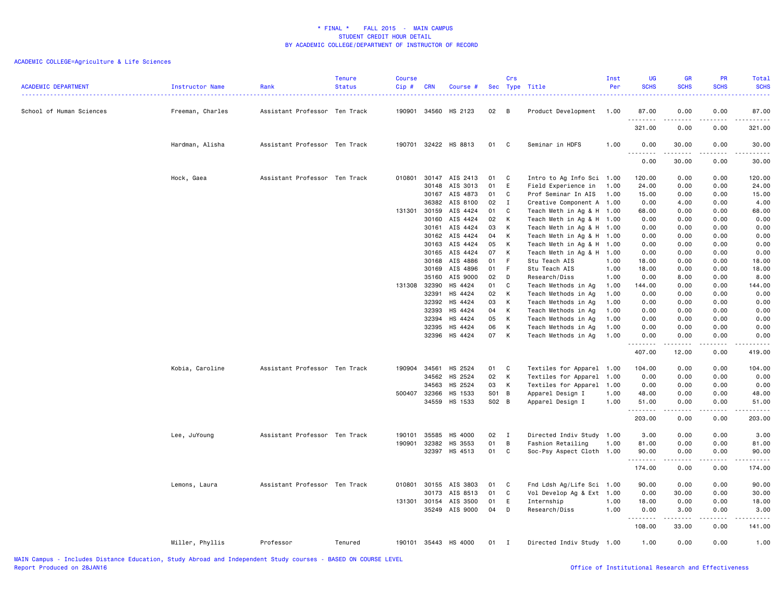| <b>ACADEMIC DEPARTMENT</b> | Instructor Name  | Rank                          | <b>Tenure</b><br><b>Status</b> | <b>Course</b><br>$Cip$ # | <b>CRN</b> | Course #             |       | Crs            | Sec Type Title            | Inst<br>Per | UG<br><b>SCHS</b> | <b>GR</b><br><b>SCHS</b>                                                                                                                                     | PR<br><b>SCHS</b> | Total<br><b>SCHS</b><br>.                                                                                                                                                                                  |
|----------------------------|------------------|-------------------------------|--------------------------------|--------------------------|------------|----------------------|-------|----------------|---------------------------|-------------|-------------------|--------------------------------------------------------------------------------------------------------------------------------------------------------------|-------------------|------------------------------------------------------------------------------------------------------------------------------------------------------------------------------------------------------------|
| School of Human Sciences   | Freeman, Charles | Assistant Professor Ten Track |                                | 190901                   |            | 34560 HS 2123        | 02    | $\overline{B}$ | Product Development       | 1.00        | 87.00<br>.        | 0.00<br>$\frac{1}{2} \left( \frac{1}{2} \right) \left( \frac{1}{2} \right) \left( \frac{1}{2} \right) \left( \frac{1}{2} \right) \left( \frac{1}{2} \right)$ | 0.00              | 87.00                                                                                                                                                                                                      |
|                            |                  |                               |                                |                          |            |                      |       |                |                           |             | 321.00            | 0.00                                                                                                                                                         | 0.00              | 321.00                                                                                                                                                                                                     |
|                            | Hardman, Alisha  | Assistant Professor Ten Track |                                |                          |            | 190701 32422 HS 8813 | 01    | $\mathbf{C}$   | Seminar in HDFS           | 1.00        | 0.00<br><u>.</u>  | 30.00<br>.                                                                                                                                                   | 0.00<br>.         | 30.00<br>.                                                                                                                                                                                                 |
|                            |                  |                               |                                |                          |            |                      |       |                |                           |             | 0.00              | 30.00                                                                                                                                                        | 0.00              | 30.00                                                                                                                                                                                                      |
|                            | Hock, Gaea       | Assistant Professor Ten Track |                                | 010801                   |            | 30147 AIS 2413       | 01    | $\mathbf{C}$   | Intro to Ag Info Sci 1.00 |             | 120.00            | 0.00                                                                                                                                                         | 0.00              | 120.00                                                                                                                                                                                                     |
|                            |                  |                               |                                |                          | 30148      | AIS 3013             | 01    | E              | Field Experience in       | 1.00        | 24.00             | 0.00                                                                                                                                                         | 0.00              | 24.00                                                                                                                                                                                                      |
|                            |                  |                               |                                |                          |            | 30167 AIS 4873       | 01 C  |                | Prof Seminar In AIS       | 1.00        | 15.00             | 0.00                                                                                                                                                         | 0.00              | 15.00                                                                                                                                                                                                      |
|                            |                  |                               |                                |                          | 36382      | AIS 8100             | 02    | $\mathbf I$    | Creative Component A 1.00 |             | 0.00              | 4.00                                                                                                                                                         | 0.00              | 4.00                                                                                                                                                                                                       |
|                            |                  |                               |                                | 131301 30159             |            | AIS 4424             | 01    | C              | Teach Meth in Ag & H 1.00 |             | 68.00             | 0.00                                                                                                                                                         | 0.00              | 68.00                                                                                                                                                                                                      |
|                            |                  |                               |                                |                          | 30160      | AIS 4424             | 02    | $\mathsf{K}$   | Teach Meth in Ag & H 1.00 |             | 0.00              | 0.00                                                                                                                                                         | 0.00              | 0.00                                                                                                                                                                                                       |
|                            |                  |                               |                                |                          |            | 30161 AIS 4424       | 03    | $\mathsf{K}$   | Teach Meth in Ag & H 1.00 |             | 0.00              | 0.00                                                                                                                                                         | 0.00              | 0.00                                                                                                                                                                                                       |
|                            |                  |                               |                                |                          | 30162      | AIS 4424             | 04    | K              | Teach Meth in Ag & H 1.00 |             | 0.00              | 0.00                                                                                                                                                         | 0.00              | 0.00                                                                                                                                                                                                       |
|                            |                  |                               |                                |                          | 30163      | AIS 4424             | 05    | $\mathsf{K}$   | Teach Meth in Ag & H 1.00 |             | 0.00              | 0.00                                                                                                                                                         | 0.00              | 0.00                                                                                                                                                                                                       |
|                            |                  |                               |                                |                          | 30165      | AIS 4424             | 07    | K              | Teach Meth in Ag & H 1.00 |             | 0.00              | 0.00                                                                                                                                                         | 0.00              | 0.00                                                                                                                                                                                                       |
|                            |                  |                               |                                |                          | 30168      | AIS 4886             | 01    | $-F$           | Stu Teach AIS             | 1.00        | 18.00             | 0.00                                                                                                                                                         | 0.00              | 18.00                                                                                                                                                                                                      |
|                            |                  |                               |                                |                          |            | 30169 AIS 4896       | 01 F  |                | Stu Teach AIS             | 1.00        | 18.00             | 0.00                                                                                                                                                         | 0.00              | 18.00                                                                                                                                                                                                      |
|                            |                  |                               |                                |                          | 35160      | AIS 9000             | 02    | $\Box$         | Research/Diss             | 1.00        | 0.00              | 8.00                                                                                                                                                         | 0.00              | 8.00                                                                                                                                                                                                       |
|                            |                  |                               |                                | 131308                   | 32390      | HS 4424              | 01    | C              | Teach Methods in Ag       | 1.00        | 144.00            | 0.00                                                                                                                                                         | 0.00              | 144.00                                                                                                                                                                                                     |
|                            |                  |                               |                                |                          | 32391      | HS 4424              | 02    | $\mathsf{K}$   | Teach Methods in Ag       | 1.00        | 0.00              | 0.00                                                                                                                                                         | 0.00              | 0.00                                                                                                                                                                                                       |
|                            |                  |                               |                                |                          | 32392      | HS 4424              | 03    | K              | Teach Methods in Ag       | 1.00        | 0.00              | 0.00                                                                                                                                                         | 0.00              | 0.00                                                                                                                                                                                                       |
|                            |                  |                               |                                |                          | 32393      | HS 4424              | 04    | K              | Teach Methods in Ag       | 1.00        | 0.00              | 0.00                                                                                                                                                         | 0.00              | 0.00                                                                                                                                                                                                       |
|                            |                  |                               |                                |                          | 32394      | HS 4424              | 05    | K              | Teach Methods in Ag       | 1.00        | 0.00              | 0.00                                                                                                                                                         | 0.00              | 0.00                                                                                                                                                                                                       |
|                            |                  |                               |                                |                          | 32395      | HS 4424              | 06    | К              | Teach Methods in Ag       | 1.00        | 0.00              | 0.00                                                                                                                                                         | 0.00              | 0.00                                                                                                                                                                                                       |
|                            |                  |                               |                                |                          | 32396      | HS 4424              | 07    | K              | Teach Methods in Ag       | 1.00        | 0.00<br>.         | 0.00<br>.                                                                                                                                                    | 0.00<br>.         | 0.00<br>$- - - - - -$                                                                                                                                                                                      |
|                            |                  |                               |                                |                          |            |                      |       |                |                           |             | 407.00            | 12.00                                                                                                                                                        | 0.00              | 419.00                                                                                                                                                                                                     |
|                            | Kobia, Caroline  | Assistant Professor Ten Track |                                | 190904                   | 34561      | HS 2524              | 01    | <b>C</b>       | Textiles for Apparel 1.00 |             | 104.00            | 0.00                                                                                                                                                         | 0.00              | 104.00                                                                                                                                                                                                     |
|                            |                  |                               |                                |                          | 34562      | HS 2524              | 02    | K              | Textiles for Apparel 1.00 |             | 0.00              | 0.00                                                                                                                                                         | 0.00              | 0.00                                                                                                                                                                                                       |
|                            |                  |                               |                                |                          | 34563      | HS 2524              | 03    | K              | Textiles for Apparel 1.00 |             | 0.00              | 0.00                                                                                                                                                         | 0.00              | 0.00                                                                                                                                                                                                       |
|                            |                  |                               |                                | 500407                   | 32366      | HS 1533              | S01 B |                | Apparel Design I          | 1.00        | 48.00             | 0.00                                                                                                                                                         | 0.00              | 48.00                                                                                                                                                                                                      |
|                            |                  |                               |                                |                          |            | 34559 HS 1533        | S02 B |                | Apparel Design I          | 1.00        | 51.00<br><u>.</u> | 0.00<br>.                                                                                                                                                    | 0.00<br>.         | 51.00                                                                                                                                                                                                      |
|                            |                  |                               |                                |                          |            |                      |       |                |                           |             | 203.00            | 0.00                                                                                                                                                         | 0.00              | 203.00                                                                                                                                                                                                     |
|                            | Lee, JuYoung     | Assistant Professor Ten Track |                                | 190101                   | 35585      | HS 4000              | 02    | $\blacksquare$ | Directed Indiv Study 1.00 |             | 3.00              | 0.00                                                                                                                                                         | 0.00              | 3.00                                                                                                                                                                                                       |
|                            |                  |                               |                                | 190901                   | 32382      | HS 3553              | 01    | B              | Fashion Retailing         | 1.00        | 81.00             | 0.00                                                                                                                                                         | 0.00              | 81.00                                                                                                                                                                                                      |
|                            |                  |                               |                                |                          |            | 32397 HS 4513        | 01    | C              | Soc-Psy Aspect Cloth 1.00 |             | 90.00             | 0.00                                                                                                                                                         | 0.00              | 90.00                                                                                                                                                                                                      |
|                            |                  |                               |                                |                          |            |                      |       |                |                           |             | .                 | .                                                                                                                                                            | -----             | $\frac{1}{2} \left( \frac{1}{2} \right) \left( \frac{1}{2} \right) \left( \frac{1}{2} \right) \left( \frac{1}{2} \right) \left( \frac{1}{2} \right) \left( \frac{1}{2} \right) \left( \frac{1}{2} \right)$ |
|                            |                  |                               |                                |                          |            |                      |       |                |                           |             | 174.00            | 0.00                                                                                                                                                         | 0.00              | 174.00                                                                                                                                                                                                     |
|                            | Lemons, Laura    | Assistant Professor Ten Track |                                | 010801                   |            | 30155 AIS 3803       | 01    | $\mathbf{C}$   | Fnd Ldsh Ag/Life Sci 1.00 |             | 90.00             | 0.00                                                                                                                                                         | 0.00              | 90.00                                                                                                                                                                                                      |
|                            |                  |                               |                                |                          | 30173      | AIS 8513             | 01    | C              | Vol Develop Ag & Ext 1.00 |             | 0.00              | 30.00                                                                                                                                                        | 0.00              | 30.00                                                                                                                                                                                                      |
|                            |                  |                               |                                | 131301                   | 30154      | AIS 3500             | 01    | E              | Internship                | 1.00        | 18.00             | 0.00                                                                                                                                                         | 0.00              | 18.00                                                                                                                                                                                                      |
|                            |                  |                               |                                |                          |            | 35249 AIS 9000       | 04    | D              | Research/Diss             | 1.00        | 0.00<br>.         | 3.00<br>.                                                                                                                                                    | 0.00<br>-----     | 3.00<br>$\omega = \omega = \omega$                                                                                                                                                                         |
|                            |                  |                               |                                |                          |            |                      |       |                |                           |             | 108.00            | 33.00                                                                                                                                                        | 0.00              | 141.00                                                                                                                                                                                                     |
|                            | Miller, Phyllis  | Professor                     | Tenured                        |                          |            | 190101 35443 HS 4000 | 01    | $\mathbf{I}$   | Directed Indiv Study 1.00 |             | 1.00              | 0.00                                                                                                                                                         | 0.00              | 1.00                                                                                                                                                                                                       |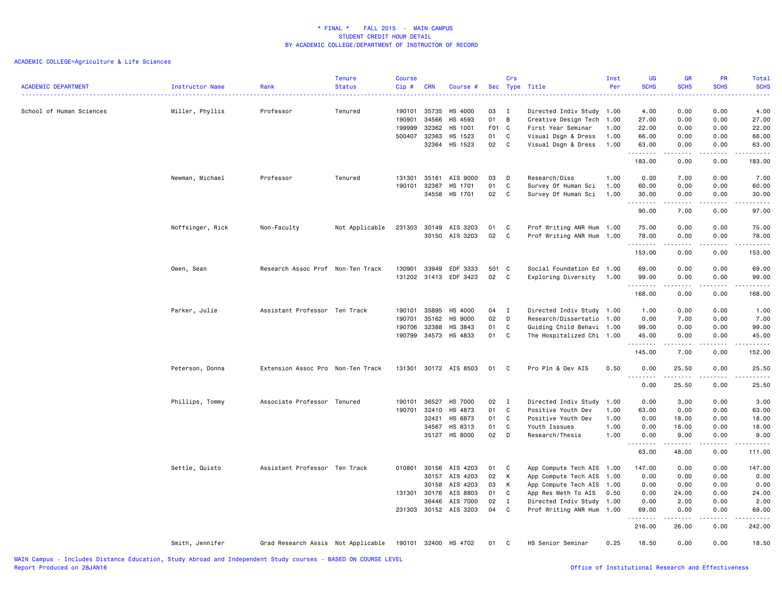| <b>ACADEMIC DEPARTMENT</b> | Instructor Name  | Rank                               | <b>Tenure</b><br><b>Status</b> | <b>Course</b><br>Cip#                | <b>CRN</b>                                         | Course #                                                             | <b>Sec</b>                       | Crs                                  | Type Title                                                                                                                                                 | Inst<br>Per                  | UG<br><b>SCHS</b>                                                                                                                                                              | <b>GR</b><br><b>SCHS</b>                              | PR<br><b>SCHS</b>                                              | Total<br><b>SCHS</b><br>.                                                                                                                                                      |
|----------------------------|------------------|------------------------------------|--------------------------------|--------------------------------------|----------------------------------------------------|----------------------------------------------------------------------|----------------------------------|--------------------------------------|------------------------------------------------------------------------------------------------------------------------------------------------------------|------------------------------|--------------------------------------------------------------------------------------------------------------------------------------------------------------------------------|-------------------------------------------------------|----------------------------------------------------------------|--------------------------------------------------------------------------------------------------------------------------------------------------------------------------------|
| School of Human Sciences   | Miller, Phyllis  | Professor                          | Tenured                        | 190101<br>190901<br>199999<br>500407 | 35735<br>34566<br>32362<br>32363<br>32364          | HS 4000<br>HS 4593<br>HS 1001<br>HS 1523<br>HS 1523                  | 03<br>01<br>F01 C<br>01<br>02    | I<br>B<br>C<br>C                     | Directed Indiv Study 1.00<br>Creative Design Tech<br>First Year Seminar<br>Visual Dsgn & Dress<br>Visual Dsgn & Dress                                      | 1.00<br>1.00<br>1.00<br>1.00 | 4.00<br>27.00<br>22.00<br>66.00<br>63.00<br>.                                                                                                                                  | 0.00<br>0.00<br>0.00<br>0.00<br>0.00<br>-----         | 0.00<br>0.00<br>0.00<br>0.00<br>0.00<br>.                      | 4.00<br>27.00<br>22.00<br>66.00<br>63.00<br>.                                                                                                                                  |
|                            |                  |                                    |                                |                                      |                                                    |                                                                      |                                  |                                      |                                                                                                                                                            |                              | 183.00                                                                                                                                                                         | 0.00                                                  | 0.00                                                           | 183.00                                                                                                                                                                         |
|                            | Newman, Michael  | Professor                          | Tenured                        | 131301<br>190101                     | 35161<br>32367<br>34558                            | AIS 9000<br>HS 1701<br>HS 1701                                       | 03<br>01<br>02                   | D<br>$\mathbf C$<br>C                | Research/Diss<br>Survey Of Human Sci<br>Survey Of Human Sci                                                                                                | 1.00<br>1.00<br>1.00         | 0.00<br>60.00<br>30.00<br>$\frac{1}{2} \left( \frac{1}{2} \right) \left( \frac{1}{2} \right) \left( \frac{1}{2} \right) \left( \frac{1}{2} \right) \left( \frac{1}{2} \right)$ | 7.00<br>0.00<br>0.00                                  | 0.00<br>0.00<br>0.00                                           | 7.00<br>60.00<br>30.00<br>$\frac{1}{2} \left( \frac{1}{2} \right) \left( \frac{1}{2} \right) \left( \frac{1}{2} \right) \left( \frac{1}{2} \right) \left( \frac{1}{2} \right)$ |
|                            | Noffsinger, Rick | Non-Faculty                        | Not Applicable                 | 231303                               | 30149                                              | AIS 3203                                                             | 01                               | C                                    | Prof Writing ANR Hum 1.00                                                                                                                                  |                              | 90.00<br>75.00                                                                                                                                                                 | 7.00<br>0.00                                          | 0.00<br>0.00                                                   | 97.00<br>75.00                                                                                                                                                                 |
|                            |                  |                                    |                                |                                      | 30150                                              | AIS 3203                                                             | 02                               | C                                    | Prof Writing ANR Hum 1.00                                                                                                                                  |                              | 78.00                                                                                                                                                                          | 0.00                                                  | 0.00<br>.                                                      | 78.00<br>$\frac{1}{2} \left( \frac{1}{2} \right) \left( \frac{1}{2} \right) \left( \frac{1}{2} \right) \left( \frac{1}{2} \right) \left( \frac{1}{2} \right)$                  |
|                            |                  |                                    |                                |                                      |                                                    |                                                                      |                                  |                                      |                                                                                                                                                            |                              | 153.00                                                                                                                                                                         | 0.00                                                  | 0.00                                                           | 153.00                                                                                                                                                                         |
|                            | Owen, Sean       | Research Assoc Prof Non-Ten Track  |                                | 130901<br>131202                     | 33949<br>31413                                     | EDF 3333<br>EDF 3423                                                 | 501<br>02                        | C<br>C                               | Social Foundation Ed 1.00<br>Exploring Diversity                                                                                                           | 1.00                         | 69.00<br>99.00<br>.                                                                                                                                                            | 0.00<br>0.00<br>.                                     | 0.00<br>0.00<br>$\frac{1}{2}$                                  | 69.00<br>99.00<br>.                                                                                                                                                            |
|                            |                  |                                    |                                |                                      |                                                    |                                                                      |                                  |                                      |                                                                                                                                                            |                              | 168.00                                                                                                                                                                         | 0.00                                                  | 0.00                                                           | 168.00                                                                                                                                                                         |
|                            | Parker, Julie    | Assistant Professor Ten Track      |                                | 190101<br>190701<br>190706<br>190799 | 35895<br>35162<br>32388<br>34573                   | HS 4000<br>HS 9000<br>HS 3843<br>HS 4833                             | 04<br>02<br>01<br>01             | $\mathbf I$<br>D<br>C<br>C           | Directed Indiv Study 1.00<br>Research/Dissertatio 1.00<br>Guiding Child Behavi 1.00<br>The Hospitalized Chi 1.00                                           |                              | 1.00<br>0.00<br>99.00<br>45.00<br>.<br>145.00                                                                                                                                  | 0.00<br>7.00<br>0.00<br>0.00<br>$\frac{1}{2}$<br>7.00 | 0.00<br>0.00<br>0.00<br>0.00<br>$\omega$ is a $\omega$<br>0.00 | 1.00<br>7.00<br>99.00<br>45.00<br>د د د د د<br>152.00                                                                                                                          |
|                            | Peterson, Donna  | Extension Assoc Pro Non-Ten Track  |                                | 131301                               |                                                    | 30172 AIS 8503                                                       | 01                               | C                                    | Pro Pln & Dev AIS                                                                                                                                          | 0.50                         | 0.00                                                                                                                                                                           | 25.50                                                 | 0.00                                                           | 25.50                                                                                                                                                                          |
|                            |                  |                                    |                                |                                      |                                                    |                                                                      |                                  |                                      |                                                                                                                                                            |                              | <u>.</u><br>0.00                                                                                                                                                               | 25.50                                                 | 0.00                                                           | .<br>25.50                                                                                                                                                                     |
|                            | Phillips, Tommy  | Associate Professor Tenured        |                                | 190101<br>190701                     | 36527<br>32410<br>32421<br>34567<br>35127          | <b>HS 7000</b><br>HS 4873<br>HS 6873<br>HS 8313<br>HS 8000           | 02<br>01<br>01<br>01<br>02       | I<br>C<br>C<br>C<br>D                | Directed Indiv Study 1.00<br>Positive Youth Dev<br>Positive Youth Dev<br>Youth Isssues<br>Research/Thesis                                                  | 1.00<br>1.00<br>1.00<br>1.00 | 0.00<br>63.00<br>0.00<br>0.00<br>0.00<br>.                                                                                                                                     | 3.00<br>0.00<br>18.00<br>18.00<br>9.00<br>$- - - - -$ | 0.00<br>0.00<br>0.00<br>0.00<br>0.00<br>$- - - -$              | 3.00<br>63.00<br>18.00<br>18.00<br>9.00<br>.                                                                                                                                   |
|                            |                  |                                    |                                |                                      |                                                    |                                                                      |                                  |                                      |                                                                                                                                                            |                              | 63.00                                                                                                                                                                          | 48.00                                                 | 0.00                                                           | 111.00                                                                                                                                                                         |
|                            | Settle, Quisto   | Assistant Professor Ten Track      |                                | 010801<br>131301<br>231303           | 30156<br>30157<br>30158<br>30176<br>36446<br>30152 | AIS 4203<br>AIS 4203<br>AIS 4203<br>AIS 8803<br>AIS 7000<br>AIS 3203 | 01<br>02<br>03<br>01<br>02<br>04 | C<br>К<br>К<br>C<br>$\mathbf I$<br>C | App Compute Tech AIS 1.00<br>App Compute Tech AIS<br>App Compute Tech AIS 1.00<br>App Res Meth To AIS<br>Directed Indiv Study 1.00<br>Prof Writing ANR Hum | 1.00<br>0.50<br>1.00         | 147.00<br>0.00<br>0.00<br>0.00<br>0.00<br>69.00<br>.                                                                                                                           | 0.00<br>0.00<br>0.00<br>24.00<br>2.00<br>0.00         | 0.00<br>0.00<br>0.00<br>0.00<br>0.00<br>0.00                   | 147.00<br>0.00<br>0.00<br>24.00<br>2.00<br>69.00<br>$\frac{1}{2} \left( \frac{1}{2} \right) \left( \frac{1}{2} \right) \left( \frac{1}{2} \right) \left( \frac{1}{2} \right)$  |
|                            |                  |                                    |                                |                                      |                                                    |                                                                      |                                  |                                      |                                                                                                                                                            |                              | 216.00                                                                                                                                                                         | 26.00                                                 | 0.00                                                           | 242.00                                                                                                                                                                         |
|                            | Smith, Jennifer  | Grad Research Assis Not Applicable |                                |                                      |                                                    | 190101 32400 HS 4702                                                 | 01                               | C                                    | HS Senior Seminar                                                                                                                                          | 0.25                         | 18.50                                                                                                                                                                          | 0.00                                                  | 0.00                                                           | 18.50                                                                                                                                                                          |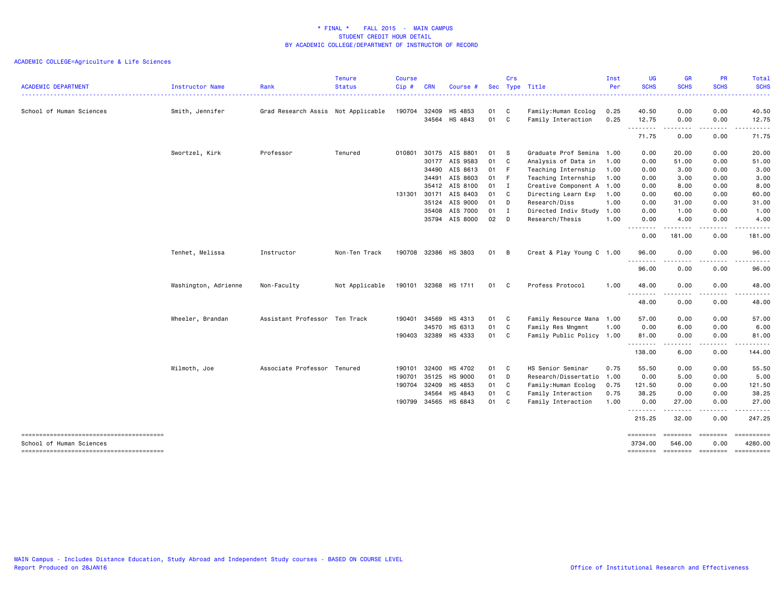| <b>ACADEMIC DEPARTMENT</b> | <b>Instructor Name</b> | Rank                               | <b>Tenure</b><br>Status<br>. <b>.</b> . | <b>Course</b><br>Cip # | <b>CRN</b> | Course #             |        | Crs            | Sec Type Title            | Inst<br>Per | <b>UG</b><br><b>SCHS</b><br><b><i><u><u> - - - - - -</u></u></i></b> | <b>GR</b><br><b>SCHS</b><br>$\begin{array}{cccccccccccccc} \bullet & \bullet & \bullet & \bullet & \bullet & \bullet & \bullet \end{array}$ | <b>PR</b><br><b>SCHS</b> | Total<br><b>SCHS</b><br>------ |
|----------------------------|------------------------|------------------------------------|-----------------------------------------|------------------------|------------|----------------------|--------|----------------|---------------------------|-------------|----------------------------------------------------------------------|---------------------------------------------------------------------------------------------------------------------------------------------|--------------------------|--------------------------------|
| School of Human Sciences   | Smith, Jennifer        | Grad Research Assis Not Applicable |                                         | 190704                 | 32409      | HS 4853              | 01     | C              | Family: Human Ecolog      | 0.25        | 40.50                                                                | 0.00                                                                                                                                        | 0.00                     | 40.50                          |
|                            |                        |                                    |                                         |                        |            | 34564 HS 4843        | 01     | C              | Family Interaction        | 0.25        | 12.75                                                                | 0.00                                                                                                                                        | 0.00                     | 12.75                          |
|                            |                        |                                    |                                         |                        |            |                      |        |                |                           |             | .<br>71.75                                                           | .<br>0.00                                                                                                                                   | . <b>.</b><br>0.00       | .<br>71.75                     |
|                            | Swortzel, Kirk         | Professor                          | Tenured                                 | 010801                 |            | 30175 AIS 8801       | 01     | - S            | Graduate Prof Semina      | 1.00        | 0.00                                                                 | 20.00                                                                                                                                       | 0.00                     | 20.00                          |
|                            |                        |                                    |                                         |                        | 30177      | AIS 9583             | 01     | C              | Analysis of Data in       | 1.00        | 0.00                                                                 | 51.00                                                                                                                                       | 0.00                     | 51.00                          |
|                            |                        |                                    |                                         |                        | 34490      | AIS 8613             | 01     | F              | Teaching Internship       | 1.00        | 0.00                                                                 | 3.00                                                                                                                                        | 0.00                     | 3.00                           |
|                            |                        |                                    |                                         |                        | 34491      | AIS 8603             | 01     | - F            | Teaching Internship       | 1.00        | 0.00                                                                 | 3.00                                                                                                                                        | 0.00                     | 3.00                           |
|                            |                        |                                    |                                         |                        | 35412      | AIS 8100             | 01     | $\blacksquare$ | Creative Component A      | 1.00        | 0.00                                                                 | 8.00                                                                                                                                        | 0.00                     | 8.00                           |
|                            |                        |                                    |                                         | 131301                 | 30171      | AIS 8403             | 01 C   |                | Directing Learn Exp       | 1.00        | 0.00                                                                 | 60.00                                                                                                                                       | 0.00                     | 60.00                          |
|                            |                        |                                    |                                         |                        | 35124      | AIS 9000             | 01 D   |                | Research/Diss             | 1.00        | 0.00                                                                 | 31.00                                                                                                                                       | 0.00                     | 31.00                          |
|                            |                        |                                    |                                         |                        | 35408      | AIS 7000             | $01$ I |                | Directed Indiv Study      | 1.00        | 0.00                                                                 | 1.00                                                                                                                                        | 0.00                     | 1.00                           |
|                            |                        |                                    |                                         |                        | 35794      | AIS 8000             | 02     | D              | Research/Thesis           | 1.00        | 0.00                                                                 | 4.00                                                                                                                                        | 0.00                     | 4.00                           |
|                            |                        |                                    |                                         |                        |            |                      |        |                |                           |             | 0.00                                                                 | 181.00                                                                                                                                      | 0.00                     | 181.00                         |
|                            | Tenhet, Melissa        | Instructor                         | Non-Ten Track                           | 190708                 |            | 32386 HS 3803        | 01     | B              | Creat & Play Young C 1.00 |             | 96.00                                                                | 0.00                                                                                                                                        | 0.00                     | 96.00                          |
|                            |                        |                                    |                                         |                        |            |                      |        |                |                           |             | 96.00                                                                | $- - -$<br>0.00                                                                                                                             | 0.00                     | 96.00                          |
|                            | Washington, Adrienne   | Non-Faculty                        | Not Applicable                          |                        |            | 190101 32368 HS 1711 | 01 C   |                | Profess Protocol          | 1.00        | 48.00                                                                | 0.00                                                                                                                                        | 0.00                     | 48.00                          |
|                            |                        |                                    |                                         |                        |            |                      |        |                |                           |             | $- - - -$<br>48.00                                                   | .<br>0.00                                                                                                                                   | 0.00                     | -----<br>48.00                 |
|                            | Wheeler, Brandan       | Assistant Professor Ten Track      |                                         | 190401                 | 34569      | HS 4313              | 01     | C              | Family Resource Mana 1.00 |             | 57.00                                                                | 0.00                                                                                                                                        | 0.00                     | 57.00                          |
|                            |                        |                                    |                                         |                        | 34570      | HS 6313              | 01     | C              | Family Res Mngmnt         | 1.00        | 0.00                                                                 | 6.00                                                                                                                                        | 0.00                     | 6.00                           |
|                            |                        |                                    |                                         | 190403                 | 32389      | HS 4333              | 01     | C              | Family Public Policy 1.00 |             | 81.00                                                                | 0.00<br>.                                                                                                                                   | 0.00<br><u>.</u>         | 81.00<br><u>.</u>              |
|                            |                        |                                    |                                         |                        |            |                      |        |                |                           |             | 138.00                                                               | 6.00                                                                                                                                        | 0.00                     | 144.00                         |
|                            | Wilmoth, Joe           | Associate Professor Tenured        |                                         | 190101                 | 32400      | HS 4702              | 01 C   |                | HS Senior Seminar         | 0.75        | 55.50                                                                | 0.00                                                                                                                                        | 0.00                     | 55.50                          |
|                            |                        |                                    |                                         | 190701                 | 35125      | HS 9000              | 01     | D              | Research/Dissertatio 1.00 |             | 0.00                                                                 | 5.00                                                                                                                                        | 0.00                     | 5.00                           |
|                            |                        |                                    |                                         | 190704                 | 32409      | HS 4853              | 01     | C              | Family:Human Ecolog       | 0.75        | 121.50                                                               | 0.00                                                                                                                                        | 0.00                     | 121.50                         |
|                            |                        |                                    |                                         |                        | 34564      | HS 4843              | 01     | C              | Family Interaction        | 0.75        | 38.25                                                                | 0.00                                                                                                                                        | 0.00                     | 38.25                          |
|                            |                        |                                    |                                         | 190799                 | 34565      | HS 6843              | 01     | C              | Family Interaction        | 1.00        | 0.00                                                                 | 27.00                                                                                                                                       | 0.00                     | 27.00                          |
|                            |                        |                                    |                                         |                        |            |                      |        |                |                           |             | .<br>215.25                                                          | .<br>32.00                                                                                                                                  | -----<br>0.00            | ------<br>247.25               |
|                            |                        |                                    |                                         |                        |            |                      |        |                |                           |             | ========                                                             | ---------                                                                                                                                   | ---------                | ==========                     |
| School of Human Sciences   |                        |                                    |                                         |                        |            |                      |        |                |                           |             | 3734.00<br><b>EDEDEDER</b>                                           | 546.00<br>$= 1000000000$                                                                                                                    | 0.00<br>$=$ ========     | 4280.00<br>==========          |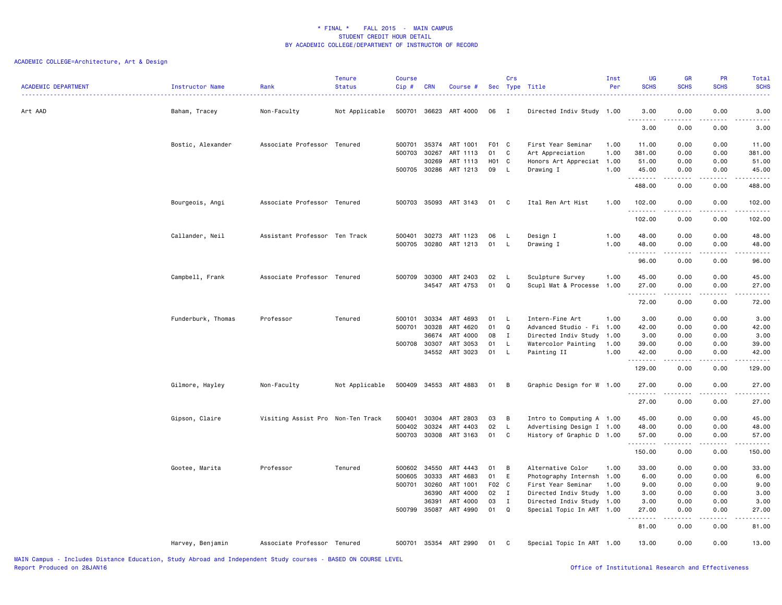| <b>ACADEMIC DEPARTMENT</b> | Instructor Name    | Rank                              | <b>Tenure</b><br><b>Status</b> | <b>Course</b><br>Cip# | <b>CRN</b> | Course #              |       | Crs            | Sec Type Title            | Inst<br>Per | <b>UG</b><br><b>SCHS</b>                                                                                                                                                                                                                                                                                                                                                                                                                                                                       | <b>GR</b><br><b>SCHS</b>                                                                                                                                     | <b>PR</b><br><b>SCHS</b>            | Total<br><b>SCHS</b>                |
|----------------------------|--------------------|-----------------------------------|--------------------------------|-----------------------|------------|-----------------------|-------|----------------|---------------------------|-------------|------------------------------------------------------------------------------------------------------------------------------------------------------------------------------------------------------------------------------------------------------------------------------------------------------------------------------------------------------------------------------------------------------------------------------------------------------------------------------------------------|--------------------------------------------------------------------------------------------------------------------------------------------------------------|-------------------------------------|-------------------------------------|
| Art AAD                    | Baham, Tracey      | Non-Faculty                       | Not Applicable                 | 500701                | 36623      | ART 4000              | 06    | $\mathbf{I}$   | Directed Indiv Study 1.00 |             | 3.00<br>$\begin{array}{cccccccccccccc} \multicolumn{2}{c}{} & \multicolumn{2}{c}{} & \multicolumn{2}{c}{} & \multicolumn{2}{c}{} & \multicolumn{2}{c}{} & \multicolumn{2}{c}{} & \multicolumn{2}{c}{} & \multicolumn{2}{c}{} & \multicolumn{2}{c}{} & \multicolumn{2}{c}{} & \multicolumn{2}{c}{} & \multicolumn{2}{c}{} & \multicolumn{2}{c}{} & \multicolumn{2}{c}{} & \multicolumn{2}{c}{} & \multicolumn{2}{c}{} & \multicolumn{2}{c}{} & \multicolumn{2}{c}{} & \multicolumn{2}{c}{} & \$ | 0.00<br>-----                                                                                                                                                | 0.00                                | 3.00<br>$\sim$ $\sim$ $\sim$ $\sim$ |
|                            |                    |                                   |                                |                       |            |                       |       |                |                           |             | 3.00                                                                                                                                                                                                                                                                                                                                                                                                                                                                                           | 0.00                                                                                                                                                         | 0.00                                | 3.00                                |
|                            | Bostic, Alexander  | Associate Professor Tenured       |                                | 500701                | 35374      | ART 1001              | F01 C |                | First Year Seminar        | 1.00        | 11.00                                                                                                                                                                                                                                                                                                                                                                                                                                                                                          | 0.00                                                                                                                                                         | 0.00                                | 11.00                               |
|                            |                    |                                   |                                | 500703                | 30267      | ART 1113              | 01    | C              | Art Appreciation          | 1.00        | 381.00                                                                                                                                                                                                                                                                                                                                                                                                                                                                                         | 0.00                                                                                                                                                         | 0.00                                | 381.00                              |
|                            |                    |                                   |                                |                       | 30269      | ART 1113              | H01   | C              | Honors Art Appreciat 1.00 |             | 51.00                                                                                                                                                                                                                                                                                                                                                                                                                                                                                          | 0.00                                                                                                                                                         | 0.00                                | 51.00                               |
|                            |                    |                                   |                                | 500705 30286          |            | ART 1213              | 09    | L.             | Drawing I                 | 1.00        | 45.00                                                                                                                                                                                                                                                                                                                                                                                                                                                                                          | 0.00                                                                                                                                                         | 0.00                                | 45.00                               |
|                            |                    |                                   |                                |                       |            |                       |       |                |                           |             | .<br>488.00                                                                                                                                                                                                                                                                                                                                                                                                                                                                                    | .<br>0.00                                                                                                                                                    | .<br>0.00                           | .<br>488.00                         |
|                            | Bourgeois, Angi    | Associate Professor Tenured       |                                |                       |            | 500703 35093 ART 3143 | 01    | $\mathbf{C}$   | Ital Ren Art Hist         | 1.00        | 102.00<br>.                                                                                                                                                                                                                                                                                                                                                                                                                                                                                    | 0.00<br>.                                                                                                                                                    | 0.00<br>المتمام المنا               | 102.00<br>.                         |
|                            |                    |                                   |                                |                       |            |                       |       |                |                           |             | 102.00                                                                                                                                                                                                                                                                                                                                                                                                                                                                                         | 0.00                                                                                                                                                         | 0.00                                | 102.00                              |
|                            | Callander, Neil    | Assistant Professor Ten Track     |                                | 500401                | 30273      | ART 1123              | 06    | L.             | Design I                  | 1.00        | 48.00                                                                                                                                                                                                                                                                                                                                                                                                                                                                                          | 0.00                                                                                                                                                         | 0.00                                | 48.00                               |
|                            |                    |                                   |                                | 500705                | 30280      | ART 1213              | 01    | L.             | Drawing I                 | 1.00        | 48.00                                                                                                                                                                                                                                                                                                                                                                                                                                                                                          | 0.00                                                                                                                                                         | 0.00                                | 48.00                               |
|                            |                    |                                   |                                |                       |            |                       |       |                |                           |             | .                                                                                                                                                                                                                                                                                                                                                                                                                                                                                              | . <b>.</b>                                                                                                                                                   | .                                   | .                                   |
|                            |                    |                                   |                                |                       |            |                       |       |                |                           |             | 96.00                                                                                                                                                                                                                                                                                                                                                                                                                                                                                          | 0.00                                                                                                                                                         | 0.00                                | 96.00                               |
|                            | Campbell, Frank    | Associate Professor Tenured       |                                | 500709                | 30300      | ART 2403              | 02    | L              | Sculpture Survey          | 1.00        | 45.00                                                                                                                                                                                                                                                                                                                                                                                                                                                                                          | 0.00                                                                                                                                                         | 0.00                                | 45.00                               |
|                            |                    |                                   |                                |                       |            | 34547 ART 4753        | 01    | Q              | Scupl Mat & Processe 1.00 |             | 27.00                                                                                                                                                                                                                                                                                                                                                                                                                                                                                          | 0.00                                                                                                                                                         | 0.00                                | 27.00                               |
|                            |                    |                                   |                                |                       |            |                       |       |                |                           |             | .<br>72.00                                                                                                                                                                                                                                                                                                                                                                                                                                                                                     | 0.00                                                                                                                                                         | 0.00                                | .<br>72.00                          |
|                            | Funderburk, Thomas | Professor                         | Tenured                        | 500101                | 30334      | ART 4693              | 01    | L.             | Intern-Fine Art           | 1.00        | 3.00                                                                                                                                                                                                                                                                                                                                                                                                                                                                                           | 0.00                                                                                                                                                         | 0.00                                | 3.00                                |
|                            |                    |                                   |                                | 500701                | 30328      | ART 4620              | 01    | $\mathsf Q$    | Advanced Studio - Fi 1.00 |             | 42.00                                                                                                                                                                                                                                                                                                                                                                                                                                                                                          | 0.00                                                                                                                                                         | 0.00                                | 42.00                               |
|                            |                    |                                   |                                |                       | 36674      | ART 4000              | 08    | $\mathbf{I}$   | Directed Indiv Study      | 1.00        | 3.00                                                                                                                                                                                                                                                                                                                                                                                                                                                                                           | 0.00                                                                                                                                                         | 0.00                                | 3.00                                |
|                            |                    |                                   |                                | 500708                | 30307      | ART 3053              | 01    | $\mathsf{L}$   | Watercolor Painting       | 1.00        | 39.00                                                                                                                                                                                                                                                                                                                                                                                                                                                                                          | 0.00                                                                                                                                                         | 0.00                                | 39.00                               |
|                            |                    |                                   |                                |                       |            | 34552 ART 3023        | 01    | $\mathsf{L}$   | Painting II               | 1.00        | 42.00                                                                                                                                                                                                                                                                                                                                                                                                                                                                                          | 0.00                                                                                                                                                         | 0.00                                | 42.00                               |
|                            |                    |                                   |                                |                       |            |                       |       |                |                           |             | --------<br>129.00                                                                                                                                                                                                                                                                                                                                                                                                                                                                             | .<br>0.00                                                                                                                                                    | .<br>0.00                           | .<br>129.00                         |
|                            |                    |                                   |                                |                       |            |                       |       |                |                           |             |                                                                                                                                                                                                                                                                                                                                                                                                                                                                                                |                                                                                                                                                              |                                     |                                     |
|                            | Gilmore, Hayley    | Non-Faculty                       | Not Applicable                 | 500409                |            | 34553 ART 4883        | 01    | $\overline{B}$ | Graphic Design for W 1.00 |             | 27.00                                                                                                                                                                                                                                                                                                                                                                                                                                                                                          | 0.00                                                                                                                                                         | 0.00                                | 27.00                               |
|                            |                    |                                   |                                |                       |            |                       |       |                |                           |             | <u>.</u><br>27.00                                                                                                                                                                                                                                                                                                                                                                                                                                                                              | $\frac{1}{2} \left( \frac{1}{2} \right) \left( \frac{1}{2} \right) \left( \frac{1}{2} \right) \left( \frac{1}{2} \right) \left( \frac{1}{2} \right)$<br>0.00 | .<br>0.00                           | .<br>27.00                          |
|                            | Gipson, Claire     | Visiting Assist Pro Non-Ten Track |                                | 500401                | 30304      | ART 2803              | 03    | B              | Intro to Computing A 1.00 |             | 45.00                                                                                                                                                                                                                                                                                                                                                                                                                                                                                          | 0.00                                                                                                                                                         | 0.00                                | 45.00                               |
|                            |                    |                                   |                                | 500402                | 30324      | ART 4403              | 02    | L.             | Advertising Design I 1.00 |             | 48.00                                                                                                                                                                                                                                                                                                                                                                                                                                                                                          | 0.00                                                                                                                                                         | 0.00                                | 48.00                               |
|                            |                    |                                   |                                | 500703                |            | 30308 ART 3163        | 01    | C              | History of Graphic D 1.00 |             | 57.00                                                                                                                                                                                                                                                                                                                                                                                                                                                                                          | 0.00                                                                                                                                                         | 0.00                                | 57.00                               |
|                            |                    |                                   |                                |                       |            |                       |       |                |                           |             | <u>.</u>                                                                                                                                                                                                                                                                                                                                                                                                                                                                                       | .                                                                                                                                                            | .                                   | .                                   |
|                            |                    |                                   |                                |                       |            |                       |       |                |                           |             | 150.00                                                                                                                                                                                                                                                                                                                                                                                                                                                                                         | 0.00                                                                                                                                                         | 0.00                                | 150.00                              |
|                            | Gootee, Marita     | Professor                         | Tenured                        | 500602                | 34550      | ART 4443              | 01    | B              | Alternative Color         | 1.00        | 33.00                                                                                                                                                                                                                                                                                                                                                                                                                                                                                          | 0.00                                                                                                                                                         | 0.00                                | 33.00                               |
|                            |                    |                                   |                                | 500605                | 30333      | ART 4683              | 01    | E              | Photography Internsh 1.00 |             | 6.00                                                                                                                                                                                                                                                                                                                                                                                                                                                                                           | 0.00                                                                                                                                                         | 0.00                                | 6.00                                |
|                            |                    |                                   |                                | 500701                | 30260      | ART 1001              | F02 C |                | First Year Seminar        | 1.00        | 9.00                                                                                                                                                                                                                                                                                                                                                                                                                                                                                           | 0.00                                                                                                                                                         | 0.00                                | 9.00                                |
|                            |                    |                                   |                                |                       | 36390      | ART 4000              | 02    | I              | Directed Indiv Study 1.00 |             | 3.00                                                                                                                                                                                                                                                                                                                                                                                                                                                                                           | 0.00                                                                                                                                                         | 0.00                                | 3.00                                |
|                            |                    |                                   |                                |                       | 36391      | ART 4000              | 03    | I              | Directed Indiv Study 1.00 |             | 3.00                                                                                                                                                                                                                                                                                                                                                                                                                                                                                           | 0.00                                                                                                                                                         | 0.00                                | 3.00                                |
|                            |                    |                                   |                                | 500799                | 35087      | ART 4990              | 01    | Q              | Special Topic In ART 1.00 |             | 27.00<br><u>.</u>                                                                                                                                                                                                                                                                                                                                                                                                                                                                              | 0.00<br>$- - - -$                                                                                                                                            | 0.00<br>$\sim$ $\sim$ $\sim$ $\sim$ | 27.00<br>$   -$                     |
|                            |                    |                                   |                                |                       |            |                       |       |                |                           |             | 81.00                                                                                                                                                                                                                                                                                                                                                                                                                                                                                          | 0.00                                                                                                                                                         | 0.00                                | 81.00                               |
|                            | Harvey, Benjamin   | Associate Professor Tenured       |                                | 500701                |            | 35354 ART 2990        | 01    | $\mathbf{C}$   | Special Topic In ART 1.00 |             | 13.00                                                                                                                                                                                                                                                                                                                                                                                                                                                                                          | 0.00                                                                                                                                                         | 0.00                                | 13,00                               |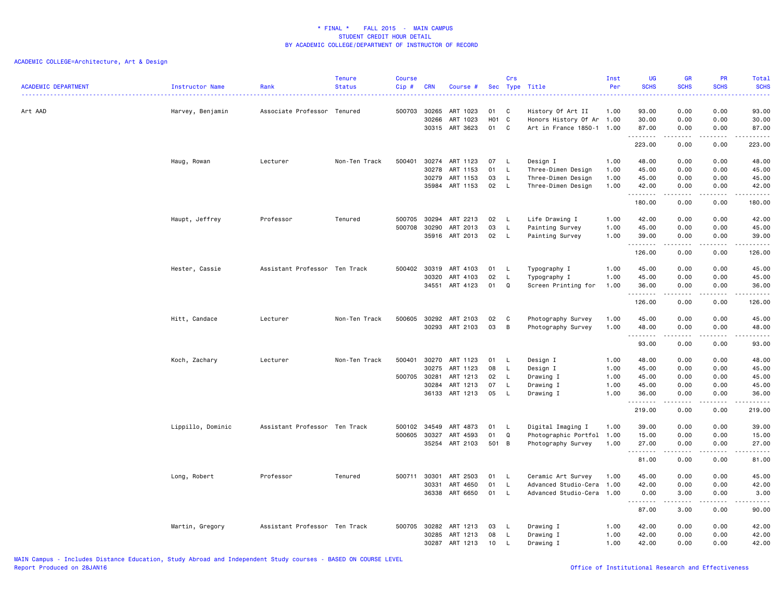| <b>ACADEMIC DEPARTMENT</b> | <b>Instructor Name</b><br><u>.</u> | Rank                          | <b>Tenure</b><br><b>Status</b> | <b>Course</b><br>Cip# | <b>CRN</b>     | Course #             |           | Crs                | Sec Type Title                                 | Inst<br>Per  | UG<br><b>SCHS</b> | <b>GR</b><br><b>SCHS</b>                                                                                                                                     | <b>PR</b><br><b>SCHS</b> | Total<br><b>SCHS</b><br>22222                                                                                                                                |
|----------------------------|------------------------------------|-------------------------------|--------------------------------|-----------------------|----------------|----------------------|-----------|--------------------|------------------------------------------------|--------------|-------------------|--------------------------------------------------------------------------------------------------------------------------------------------------------------|--------------------------|--------------------------------------------------------------------------------------------------------------------------------------------------------------|
| Art AAD                    | Harvey, Benjamin                   | Associate Professor Tenured   |                                | 500703                | 30265<br>30266 | ART 1023<br>ART 1023 | 01<br>H01 | C<br>C             | History Of Art II<br>Honors History Of Ar 1.00 | 1.00         | 93.00<br>30.00    | 0.00<br>0.00                                                                                                                                                 | 0.00<br>0.00             | 93.00<br>30.00                                                                                                                                               |
|                            |                                    |                               |                                |                       |                | 30315 ART 3623       | 01        | C                  | Art in France 1850-1 1.00                      |              | 87.00<br>.        | 0.00<br>. <b>.</b>                                                                                                                                           | 0.00<br>.                | 87.00<br>.                                                                                                                                                   |
|                            |                                    |                               |                                |                       |                |                      |           |                    |                                                |              | 223.00            | 0.00                                                                                                                                                         | 0.00                     | 223.00                                                                                                                                                       |
|                            | Haug, Rowan                        | Lecturer                      | Non-Ten Track                  | 500401                | 30274          | ART 1123             | 07        | - L                | Design I                                       | 1.00         | 48.00             | 0.00                                                                                                                                                         | 0.00                     | 48.00                                                                                                                                                        |
|                            |                                    |                               |                                |                       | 30278          | ART 1153             | 01        | L.                 | Three-Dimen Design                             | 1.00         | 45.00             | 0.00                                                                                                                                                         | 0.00                     | 45.00                                                                                                                                                        |
|                            |                                    |                               |                                |                       | 30279<br>35984 | ART 1153<br>ART 1153 | 03<br>02  | $\mathsf{L}$<br>L. | Three-Dimen Design<br>Three-Dimen Design       | 1.00<br>1.00 | 45.00<br>42.00    | 0.00<br>0.00                                                                                                                                                 | 0.00<br>0.00             | 45.00<br>42.00                                                                                                                                               |
|                            |                                    |                               |                                |                       |                |                      |           |                    |                                                |              | .<br>180.00       | 0.00                                                                                                                                                         | 0.00                     | د د د د د<br>180.00                                                                                                                                          |
|                            |                                    |                               |                                |                       |                |                      |           |                    |                                                |              |                   |                                                                                                                                                              |                          |                                                                                                                                                              |
|                            | Haupt, Jeffrey                     | Professor                     | Tenured                        | 500705                | 30294          | ART 2213             | 02        | - L                | Life Drawing I                                 | 1.00         | 42.00             | 0.00                                                                                                                                                         | 0.00                     | 42.00                                                                                                                                                        |
|                            |                                    |                               |                                | 500708                | 30290<br>35916 | ART 2013<br>ART 2013 | 03<br>02  | L.<br>L.           | Painting Survey<br>Painting Survey             | 1.00<br>1.00 | 45.00<br>39.00    | 0.00<br>0.00                                                                                                                                                 | 0.00<br>0.00             | 45.00<br>39.00                                                                                                                                               |
|                            |                                    |                               |                                |                       |                |                      |           |                    |                                                |              | .                 | .                                                                                                                                                            | .                        | .                                                                                                                                                            |
|                            |                                    |                               |                                |                       |                |                      |           |                    |                                                |              | 126.00            | 0.00                                                                                                                                                         | 0.00                     | 126.00                                                                                                                                                       |
|                            | Hester, Cassie                     | Assistant Professor Ten Track |                                | 500402                | 30319          | ART 4103             | 01        | L.                 | Typography I                                   | 1.00         | 45.00             | 0.00                                                                                                                                                         | 0.00                     | 45.00                                                                                                                                                        |
|                            |                                    |                               |                                |                       | 30320          | ART 4103             | 02        | L.                 | Typography I                                   | 1.00         | 45.00             | 0.00                                                                                                                                                         | 0.00                     | 45.00                                                                                                                                                        |
|                            |                                    |                               |                                |                       | 34551          | ART 4123             | 01        | Q                  | Screen Printing for                            | 1.00         | 36.00<br><u>.</u> | 0.00<br>.                                                                                                                                                    | 0.00<br>.                | 36.00<br>.                                                                                                                                                   |
|                            |                                    |                               |                                |                       |                |                      |           |                    |                                                |              | 126.00            | 0.00                                                                                                                                                         | 0.00                     | 126.00                                                                                                                                                       |
|                            | Hitt, Candace                      | Lecturer                      | Non-Ten Track                  | 500605                | 30292          | ART 2103             | 02        | C                  | Photography Survey                             | 1.00         | 45.00             | 0.00                                                                                                                                                         | 0.00                     | 45.00                                                                                                                                                        |
|                            |                                    |                               |                                |                       | 30293          | ART 2103             | 03        | B                  | Photography Survey                             | 1.00         | 48.00             | 0.00                                                                                                                                                         | 0.00                     | 48.00                                                                                                                                                        |
|                            |                                    |                               |                                |                       |                |                      |           |                    |                                                |              | .<br>93.00        | 0.00                                                                                                                                                         | 0.00                     | .<br>93.00                                                                                                                                                   |
|                            | Koch, Zachary                      | Lecturer                      | Non-Ten Track                  | 500401                | 30270          | ART 1123             | 01        | L.                 | Design I                                       | 1.00         | 48.00             | 0.00                                                                                                                                                         | 0.00                     | 48.00                                                                                                                                                        |
|                            |                                    |                               |                                |                       | 30275          | ART 1123             | 08        | $\mathsf{L}$       | Design I                                       | 1.00         | 45.00             | 0.00                                                                                                                                                         | 0.00                     | 45.00                                                                                                                                                        |
|                            |                                    |                               |                                | 500705                | 30281          | ART 1213             | 02        | L.                 | Drawing I                                      | 1.00         | 45.00             | 0.00                                                                                                                                                         | 0.00                     | 45.00                                                                                                                                                        |
|                            |                                    |                               |                                |                       | 30284          | ART 1213             | 07        | $\mathsf{L}$       | Drawing I                                      | 1.00         | 45.00             | 0.00                                                                                                                                                         | 0.00                     | 45.00                                                                                                                                                        |
|                            |                                    |                               |                                |                       |                | 36133 ART 1213       | 05        | L.                 | Drawing I                                      | 1.00         | 36.00<br>.        | 0.00<br>$\frac{1}{2} \left( \frac{1}{2} \right) \left( \frac{1}{2} \right) \left( \frac{1}{2} \right) \left( \frac{1}{2} \right) \left( \frac{1}{2} \right)$ | 0.00<br>.                | 36.00<br>.                                                                                                                                                   |
|                            |                                    |                               |                                |                       |                |                      |           |                    |                                                |              | 219.00            | 0.00                                                                                                                                                         | 0.00                     | 219.00                                                                                                                                                       |
|                            | Lippillo, Dominic                  | Assistant Professor Ten Track |                                | 500102                | 34549          | ART 4873             | 01        | L.                 | Digital Imaging I                              | 1.00         | 39.00             | 0.00                                                                                                                                                         | 0.00                     | 39.00                                                                                                                                                        |
|                            |                                    |                               |                                | 500605                | 30327          | ART 4593             | 01        | Q                  | Photographic Portfol                           | 1.00         | 15.00             | 0.00                                                                                                                                                         | 0.00                     | 15.00                                                                                                                                                        |
|                            |                                    |                               |                                |                       | 35254          | ART 2103             | 501 B     |                    | Photography Survey                             | 1.00         | 27.00<br>.        | 0.00                                                                                                                                                         | 0.00                     | 27.00<br>$- - - -$                                                                                                                                           |
|                            |                                    |                               |                                |                       |                |                      |           |                    |                                                |              | 81.00             | 0.00                                                                                                                                                         | 0.00                     | 81.00                                                                                                                                                        |
|                            | Long, Robert                       | Professor                     | Tenured                        | 500711 30301          |                | ART 2503             | 01        | - L                | Ceramic Art Survey                             | 1.00         | 45.00             | 0.00                                                                                                                                                         | 0.00                     | 45.00                                                                                                                                                        |
|                            |                                    |                               |                                |                       | 30331          | ART 4650             | 01        | $\mathsf{L}$       | Advanced Studio-Cera                           | 1.00         | 42.00             | 0.00                                                                                                                                                         | 0.00                     | 42.00                                                                                                                                                        |
|                            |                                    |                               |                                |                       | 36338          | ART 6650             | 01        | L.                 | Advanced Studio-Cera 1.00                      |              | 0.00<br>.         | 3.00                                                                                                                                                         | 0.00                     | 3.00<br>$\frac{1}{2} \left( \frac{1}{2} \right) \left( \frac{1}{2} \right) \left( \frac{1}{2} \right) \left( \frac{1}{2} \right) \left( \frac{1}{2} \right)$ |
|                            |                                    |                               |                                |                       |                |                      |           |                    |                                                |              | 87.00             | 3.00                                                                                                                                                         | 0.00                     | 90.00                                                                                                                                                        |
|                            | Martin, Gregory                    | Assistant Professor Ten Track |                                | 500705                | 30282          | ART 1213             | 03        | L.                 | Drawing I                                      | 1.00         | 42.00             | 0.00                                                                                                                                                         | 0.00                     | 42.00                                                                                                                                                        |
|                            |                                    |                               |                                |                       | 30285          | ART 1213             | 08        | $\mathsf{L}$       | Drawing I                                      | 1.00         | 42.00             | 0.00                                                                                                                                                         | 0.00                     | 42.00                                                                                                                                                        |
|                            |                                    |                               |                                |                       | 30287          | ART 1213             | 10        | L.                 | Drawing I                                      | 1.00         | 42.00             | 0.00                                                                                                                                                         | 0.00                     | 42.00                                                                                                                                                        |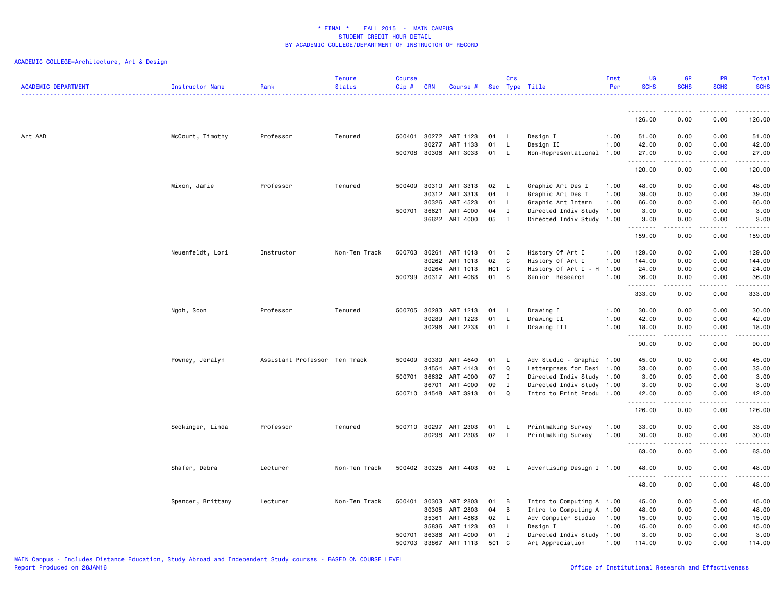| <b>ACADEMIC DEPARTMENT</b> | Instructor Name   | Rank                          | <b>Tenure</b><br><b>Status</b> | <b>Course</b><br>Cip# | <b>CRN</b>            | Course #              |          | Crs          | Sec Type Title                         | Inst<br>Per | UG<br><b>SCHS</b> | <b>GR</b><br><b>SCHS</b> | <b>PR</b><br><b>SCHS</b>            | Total<br><b>SCHS</b><br>. |
|----------------------------|-------------------|-------------------------------|--------------------------------|-----------------------|-----------------------|-----------------------|----------|--------------|----------------------------------------|-------------|-------------------|--------------------------|-------------------------------------|---------------------------|
|                            |                   |                               |                                |                       |                       |                       |          |              |                                        |             | .                 |                          |                                     |                           |
|                            |                   |                               |                                |                       |                       |                       |          |              |                                        |             | 126.00            | 0.00                     | 0.00                                | 126.00                    |
| Art AAD                    | McCourt, Timothy  | Professor                     | Tenured                        | 500401                | 30272                 | ART 1123              | 04       | L.           | Design I                               | 1.00        | 51.00             | 0.00                     | 0.00                                | 51.00                     |
|                            |                   |                               |                                |                       | 30277<br>500708 30306 | ART 1133<br>ART 3033  | 01<br>01 | L.<br>L.     | Design II<br>Non-Representational 1.00 | 1.00        | 42.00<br>27.00    | 0.00<br>0.00             | 0.00<br>0.00                        | 42.00<br>27.00            |
|                            |                   |                               |                                |                       |                       |                       |          |              |                                        |             | .                 | .                        | المتماما                            | .                         |
|                            |                   |                               |                                |                       |                       |                       |          |              |                                        |             | 120.00            | 0.00                     | 0.00                                | 120.00                    |
|                            | Mixon, Jamie      | Professor                     | Tenured                        | 500409                | 30310                 | ART 3313              | 02       | L.           | Graphic Art Des I                      | 1.00        | 48.00             | 0.00                     | 0.00                                | 48.00                     |
|                            |                   |                               |                                |                       | 30312                 | ART 3313              | 04       | $\mathsf{L}$ | Graphic Art Des I                      | 1.00        | 39.00             | 0.00                     | 0.00                                | 39.00                     |
|                            |                   |                               |                                |                       | 30326                 | ART 4523              | 01       | $\mathsf{L}$ | Graphic Art Intern                     | 1.00        | 66.00             | 0.00                     | 0.00                                | 66.00                     |
|                            |                   |                               |                                | 500701                | 36621                 | ART 4000              | 04       | $\mathbf{I}$ | Directed Indiv Study 1.00              |             | 3.00              | 0.00                     | 0.00                                | 3.00                      |
|                            |                   |                               |                                |                       | 36622                 | ART 4000              | 05       | $\mathbf{I}$ | Directed Indiv Study 1.00              |             | 3.00<br>.         | 0.00<br>.                | 0.00<br>$\sim$ $\sim$ $\sim$        | 3.00<br>.                 |
|                            |                   |                               |                                |                       |                       |                       |          |              |                                        |             | 159.00            | 0.00                     | 0.00                                | 159.00                    |
|                            | Neuenfeldt, Lori  | Instructor                    | Non-Ten Track                  | 500703                | 30261                 | ART 1013              | 01       | C            | History Of Art I                       | 1.00        | 129.00            | 0.00                     | 0.00                                | 129.00                    |
|                            |                   |                               |                                |                       | 30262                 | ART 1013              | 02       | C            | History Of Art I                       | 1.00        | 144.00            | 0.00                     | 0.00                                | 144.00                    |
|                            |                   |                               |                                |                       | 30264                 | ART 1013              | H01 C    |              | History Of Art I - H                   | 1.00        | 24.00             | 0.00                     | 0.00                                | 24.00                     |
|                            |                   |                               |                                | 500799                | 30317                 | ART 4083              | 01       | s.           | Senior Research                        | 1.00        | 36.00<br>.        | 0.00<br>$\frac{1}{2}$    | 0.00<br>$- - - -$                   | 36.00<br>.                |
|                            |                   |                               |                                |                       |                       |                       |          |              |                                        |             | 333.00            | 0.00                     | 0.00                                | 333.00                    |
|                            | Ngoh, Soon        | Professor                     | Tenured                        | 500705                | 30283                 | ART 1213              | 04       | L.           | Drawing I                              | 1.00        | 30.00             | 0.00                     | 0.00                                | 30.00                     |
|                            |                   |                               |                                |                       | 30289                 | ART 1223              | 01       | L            | Drawing II                             | 1.00        | 42.00             | 0.00                     | 0.00                                | 42.00                     |
|                            |                   |                               |                                |                       | 30296                 | ART 2233              | 01       | L            | Drawing III                            | 1.00        | 18.00<br><b></b>  | 0.00<br>.                | 0.00<br>$\sim$ $\sim$ $\sim$        | 18.00<br>.                |
|                            |                   |                               |                                |                       |                       |                       |          |              |                                        |             | 90.00             | 0.00                     | 0.00                                | 90.00                     |
|                            | Powney, Jeralyn   | Assistant Professor Ten Track |                                | 500409                | 30330                 | ART 4640              | 01       | L.           | Adv Studio - Graphic 1.00              |             | 45.00             | 0.00                     | 0.00                                | 45.00                     |
|                            |                   |                               |                                |                       | 34554                 | ART 4143              | 01       | Q            | Letterpress for Desi 1.00              |             | 33.00             | 0.00                     | 0.00                                | 33.00                     |
|                            |                   |                               |                                | 500701                | 36632                 | ART 4000              | 07       | $\mathbf{I}$ | Directed Indiv Study 1.00              |             | 3.00              | 0.00                     | 0.00                                | 3.00                      |
|                            |                   |                               |                                |                       | 36701                 | ART 4000              | 09       | $\mathbf{I}$ | Directed Indiv Study 1.00              |             | 3.00              | 0.00                     | 0.00                                | 3.00                      |
|                            |                   |                               |                                |                       | 500710 34548          | ART 3913              | 01       | $\mathbf Q$  | Intro to Print Produ 1.00              |             | 42.00<br>.        | 0.00<br>.                | 0.00<br>.                           | 42.00<br>د د د د د        |
|                            |                   |                               |                                |                       |                       |                       |          |              |                                        |             | 126.00            | 0.00                     | 0.00                                | 126.00                    |
|                            | Seckinger, Linda  | Professor                     | Tenured                        |                       | 500710 30297          | ART 2303              | 01       | L.           | Printmaking Survey                     | 1.00        | 33.00             | 0.00                     | 0.00                                | 33.00                     |
|                            |                   |                               |                                |                       | 30298                 | ART 2303              | 02       | L.           | Printmaking Survey                     | 1.00        | 30.00<br>.        | 0.00<br>.                | 0.00<br>$\sim$ $\sim$ $\sim$ $\sim$ | 30.00<br>د د د د د        |
|                            |                   |                               |                                |                       |                       |                       |          |              |                                        |             | 63.00             | 0.00                     | 0.00                                | 63.00                     |
|                            | Shafer, Debra     | Lecturer                      | Non-Ten Track                  |                       |                       | 500402 30325 ART 4403 | 03       | - L          | Advertising Design I 1.00              |             | 48.00             | 0.00                     | 0.00                                | 48.00                     |
|                            |                   |                               |                                |                       |                       |                       |          |              |                                        |             | .<br>48.00        | 0.00                     | 0.00                                | 48.00                     |
|                            | Spencer, Brittany | Lecturer                      | Non-Ten Track                  | 500401                | 30303                 | ART 2803              | 01       | B            | Intro to Computing A 1.00              |             | 45.00             | 0.00                     | 0.00                                | 45.00                     |
|                            |                   |                               |                                |                       | 30305                 | ART 2803              | 04       | в            | Intro to Computing A 1.00              |             | 48.00             | 0.00                     | 0.00                                | 48.00                     |
|                            |                   |                               |                                |                       | 35361                 | ART 4863              | 02       | L.           | Adv Computer Studio                    | 1.00        | 15.00             | 0.00                     | 0.00                                | 15.00                     |
|                            |                   |                               |                                |                       | 35836                 | ART 1123              | 03       | L.           | Design I                               | 1.00        | 45.00             | 0.00                     | 0.00                                | 45.00                     |
|                            |                   |                               |                                | 500701                | 36386                 | ART 4000              | 01       | $\mathbf{I}$ | Directed Indiv Study 1.00              |             | 3.00              | 0.00                     | 0.00                                | 3.00                      |
|                            |                   |                               |                                | 500703                | 33867                 | ART 1113              | 501      | C            | Art Appreciation                       | 1.00        | 114.00            | 0.00                     | 0.00                                | 114.00                    |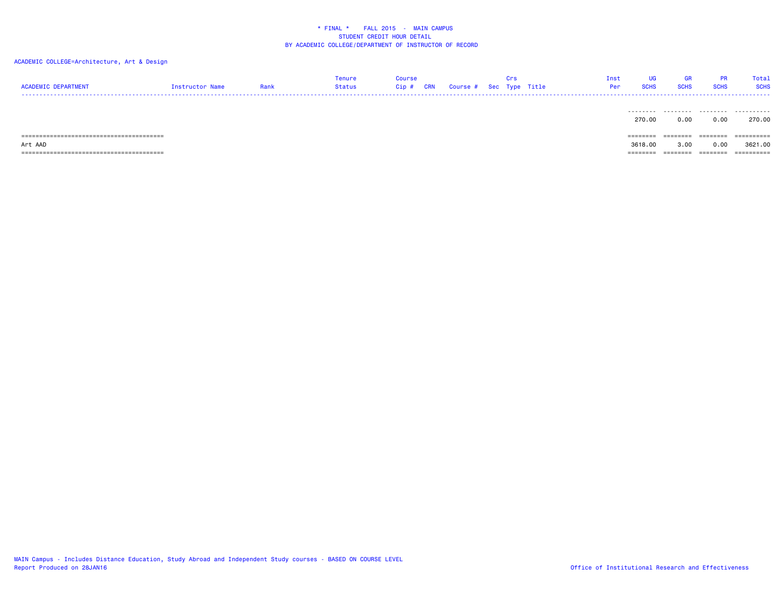| <b>ACADEMIC DEPARTMENT</b>                | Instructor Name | Rank | Tenure<br>Status | Course<br>Cip # | CRN | Course # Sec Type Title | Crs |  | <b>UG</b><br>Inst<br><b>SCHS</b><br>Per | <b>GR</b><br><b>SCHS</b> | <b>PR</b><br><b>SCHS</b> | Total<br><b>SCHS</b> |
|-------------------------------------------|-----------------|------|------------------|-----------------|-----|-------------------------|-----|--|-----------------------------------------|--------------------------|--------------------------|----------------------|
|                                           |                 |      |                  |                 |     |                         |     |  | .<br>270.00                             | .<br>0.00                | .<br>0.00                | .<br>270.00          |
|                                           |                 |      |                  |                 |     |                         |     |  | ========                                | ========                 | ========                 | ==========           |
| Art AAD                                   |                 |      |                  |                 |     |                         |     |  | 3618,00                                 | 3,00                     | 0.00                     | 3621,00              |
| ,==============================<br>------ |                 |      |                  |                 |     |                         |     |  | ---------                               | ------                   | ========                 | ==========           |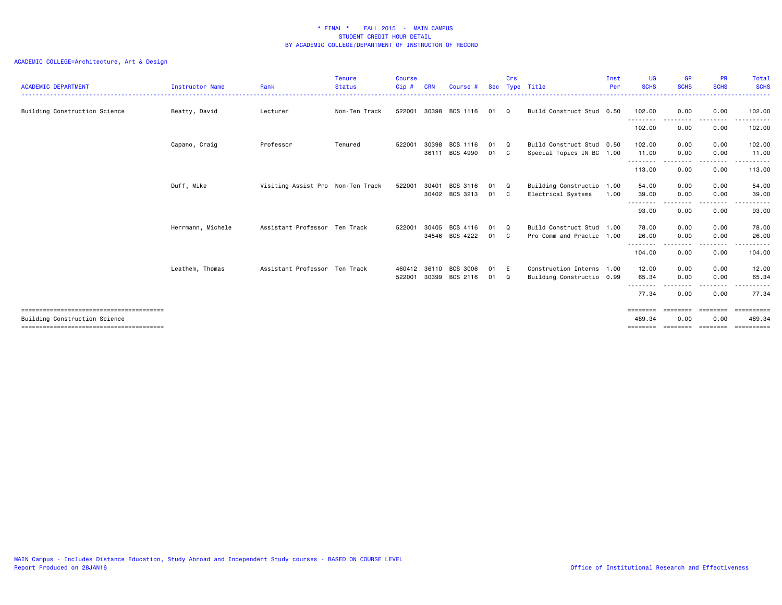| <b>ACADEMIC DEPARTMENT</b>    | <b>Instructor Name</b> | Rank                              | <b>Tenure</b><br><b>Status</b> | <b>Course</b><br>Cip# | <b>CRN</b> | Course #       | Sec  | Crs      | Type Title                | Inst<br>Per | UG<br><b>SCHS</b>  | <b>GR</b><br><b>SCHS</b>    | <b>PR</b><br><b>SCHS</b> | <b>Total</b><br><b>SCHS</b> |
|-------------------------------|------------------------|-----------------------------------|--------------------------------|-----------------------|------------|----------------|------|----------|---------------------------|-------------|--------------------|-----------------------------|--------------------------|-----------------------------|
| Building Construction Science | Beatty, David          | Lecturer                          | Non-Ten Track                  | 522001                | 30398      | BCS 1116       | 01   | $\Omega$ | Build Construct Stud 0.50 |             | 102.00             | 0.00                        | 0.00                     | 102.00                      |
|                               |                        |                                   |                                |                       |            |                |      |          |                           |             | .<br>102.00        | 0.00                        | $\frac{1}{2}$<br>0.00    | 102.00                      |
|                               | Capano, Craig          | Professor                         | Tenured                        | 522001                | 30398      | BCS 1116       | 01   | $\Omega$ | Build Construct Stud 0.50 |             | 102.00             | 0.00                        | 0.00                     | 102.00                      |
|                               |                        |                                   |                                |                       | 36111      | BCS 4990       | 01   | - C      | Special Topics IN BC 1.00 |             | 11.00<br>--------- | 0.00<br>.<br>. <b>. .</b> . | 0.00<br>.                | 11.00<br>.                  |
|                               |                        |                                   |                                |                       |            |                |      |          |                           |             | 113.00             | 0.00                        | 0.00                     | 113.00                      |
|                               | Duff, Mike             | Visiting Assist Pro Non-Ten Track |                                | 522001                | 30401      | BCS 3116       | 01   | Q        | Building Constructio      | 1.00        | 54.00              | 0.00                        | 0.00                     | 54.00                       |
|                               |                        |                                   |                                |                       |            | 30402 BCS 3213 | 01 C |          | Electrical Systems        | 1.00        | 39.00              | 0.00                        | 0.00                     | 39.00                       |
|                               |                        |                                   |                                |                       |            |                |      |          |                           |             | .<br>93.00         | - - - -<br>0.00             | 0.00                     | 93.00                       |
|                               | Herrmann, Michele      | Assistant Professor Ten Track     |                                | 522001                | 30405      | BCS 4116       | 01   | $\Omega$ | Build Construct Stud      | 1.00        | 78.00              | 0.00                        | 0.00                     | 78.00                       |
|                               |                        |                                   |                                |                       |            | 34546 BCS 4222 | 01 C |          | Pro Comm and Practic 1.00 |             | 26.00              | 0.00                        | 0.00                     | 26.00                       |
|                               |                        |                                   |                                |                       |            |                |      |          |                           |             | .<br>104.00        | .<br>0.00                   | . <b>.</b><br>0.00       | .<br>104.00                 |
|                               | Leathem, Thomas        | Assistant Professor Ten Track     |                                | 460412                | 36110      | BCS 3006       | 01   | E        | Construction Interns 1.00 |             | 12.00              | 0.00                        | 0.00                     | 12.00                       |
|                               |                        |                                   |                                | 522001                | 30399      | BCS 2116       | 01   | Q        | Building Constructio 0.99 |             | 65.34              | 0.00                        | 0.00                     | 65.34                       |
|                               |                        |                                   |                                |                       |            |                |      |          |                           |             | 77.34              | 0.00                        | 0.00                     | 77.34                       |
|                               |                        |                                   |                                |                       |            |                |      |          |                           |             | ========           | ========                    | ========                 | ==========                  |
| Building Construction Science |                        |                                   |                                |                       |            |                |      |          |                           |             | 489.34             | 0.00                        | 0.00                     | 489.34                      |
|                               |                        |                                   |                                |                       |            |                |      |          |                           |             | ========           |                             |                          | ==========                  |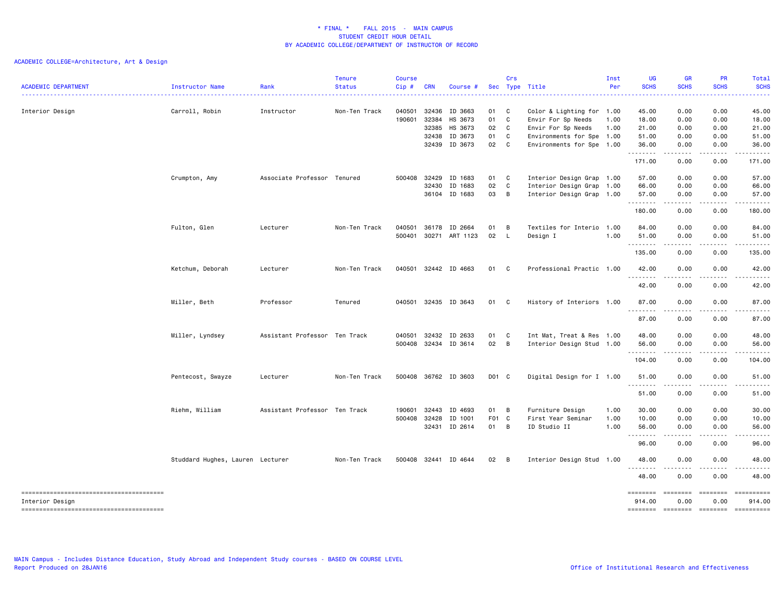| <b>ACADEMIC DEPARTMENT</b> | Instructor Name                  | Rank                          | <b>Tenure</b><br><b>Status</b> | <b>Course</b><br>Cip# | <b>CRN</b> | Course #             |       | Crs            | Sec Type Title            | Inst<br>Per | <b>UG</b><br><b>SCHS</b> | <b>GR</b><br><b>SCHS</b><br>.       | PR<br><b>SCHS</b>       | Total<br><b>SCHS</b><br>.                                                                                                                                                                                                                                                                                                                                                                                                           |
|----------------------------|----------------------------------|-------------------------------|--------------------------------|-----------------------|------------|----------------------|-------|----------------|---------------------------|-------------|--------------------------|-------------------------------------|-------------------------|-------------------------------------------------------------------------------------------------------------------------------------------------------------------------------------------------------------------------------------------------------------------------------------------------------------------------------------------------------------------------------------------------------------------------------------|
| Interior Design            | Carroll, Robin                   | Instructor                    | Non-Ten Track                  | 040501                | 32436      | ID 3663              | 01 C  |                | Color & Lighting for 1.00 |             | 45.00                    | 0.00                                | 0.00                    | 45.00                                                                                                                                                                                                                                                                                                                                                                                                                               |
|                            |                                  |                               |                                | 190601                | 32384      | HS 3673              | 01 C  |                | Envir For Sp Needs        | 1.00        | 18.00                    | 0.00                                | 0.00                    | 18.00                                                                                                                                                                                                                                                                                                                                                                                                                               |
|                            |                                  |                               |                                |                       | 32385      | HS 3673              | 02 C  |                | Envir For Sp Needs        | 1.00        | 21.00                    | 0.00                                | 0.00                    | 21.00                                                                                                                                                                                                                                                                                                                                                                                                                               |
|                            |                                  |                               |                                |                       | 32438      | ID 3673              | 01    | $\mathbf{C}$   | Environments for Spe 1.00 |             | 51.00                    | 0.00                                | 0.00                    | 51.00                                                                                                                                                                                                                                                                                                                                                                                                                               |
|                            |                                  |                               |                                |                       |            | 32439 ID 3673        | 02 C  |                | Environments for Spe 1.00 |             | 36.00<br>.               | 0.00<br>$\sim$ $\sim$ $\sim$ $\sim$ | 0.00<br>د د د د         | 36.00<br>.                                                                                                                                                                                                                                                                                                                                                                                                                          |
|                            |                                  |                               |                                |                       |            |                      |       |                |                           |             | 171.00                   | 0.00                                | 0.00                    | 171.00                                                                                                                                                                                                                                                                                                                                                                                                                              |
|                            | Crumpton, Amy                    | Associate Professor Tenured   |                                | 500408                | 32429      | ID 1683              | 01 C  |                | Interior Design Grap 1.00 |             | 57.00                    | 0.00                                | 0.00                    | 57.00                                                                                                                                                                                                                                                                                                                                                                                                                               |
|                            |                                  |                               |                                |                       | 32430      | ID 1683              | 02    | C              | Interior Design Grap 1.00 |             | 66.00                    | 0.00                                | 0.00                    | 66.00                                                                                                                                                                                                                                                                                                                                                                                                                               |
|                            |                                  |                               |                                |                       |            | 36104 ID 1683        | 03    | B              | Interior Design Grap 1.00 |             | 57.00<br>.               | 0.00<br>.                           | 0.00<br>.               | 57.00<br>.                                                                                                                                                                                                                                                                                                                                                                                                                          |
|                            |                                  |                               |                                |                       |            |                      |       |                |                           |             | 180.00                   | 0.00                                | 0.00                    | 180.00                                                                                                                                                                                                                                                                                                                                                                                                                              |
|                            | Fulton, Glen                     | Lecturer                      | Non-Ten Track                  | 040501                |            | 36178 ID 2664        | 01    | B              | Textiles for Interio 1.00 |             | 84.00                    | 0.00                                | 0.00                    | 84.00                                                                                                                                                                                                                                                                                                                                                                                                                               |
|                            |                                  |                               |                                | 500401                |            | 30271 ART 1123       | 02    | $\mathsf{L}$   | Design I                  | 1.00        | 51.00                    | 0.00                                | 0.00                    | 51.00                                                                                                                                                                                                                                                                                                                                                                                                                               |
|                            |                                  |                               |                                |                       |            |                      |       |                |                           |             | .<br>135.00              | 0.00                                | 0.00                    | 135.00                                                                                                                                                                                                                                                                                                                                                                                                                              |
|                            |                                  |                               |                                |                       |            |                      |       |                |                           |             |                          |                                     |                         |                                                                                                                                                                                                                                                                                                                                                                                                                                     |
|                            | Ketchum, Deborah                 | Lecturer                      | Non-Ten Track                  |                       |            | 040501 32442 ID 4663 | 01 C  |                | Professional Practic 1.00 |             | 42.00<br>.               | 0.00<br>.                           | 0.00<br>.               | 42.00<br>.                                                                                                                                                                                                                                                                                                                                                                                                                          |
|                            |                                  |                               |                                |                       |            |                      |       |                |                           |             | 42.00                    | 0.00                                | 0.00                    | 42.00                                                                                                                                                                                                                                                                                                                                                                                                                               |
|                            | Miller, Beth                     | Professor                     | Tenured                        | 040501                |            | 32435 ID 3643        | 01 C  |                | History of Interiors 1.00 |             | 87.00<br>.               | 0.00                                | 0.00                    | 87.00                                                                                                                                                                                                                                                                                                                                                                                                                               |
|                            |                                  |                               |                                |                       |            |                      |       |                |                           |             | 87.00                    | .<br>0.00                           | 0.00                    | 87.00                                                                                                                                                                                                                                                                                                                                                                                                                               |
|                            | Miller, Lyndsey                  | Assistant Professor Ten Track |                                | 040501                |            | 32432 ID 2633        | 01    | C              | Int Mat, Treat & Res 1.00 |             | 48.00                    | 0.00                                | 0.00                    | 48.00                                                                                                                                                                                                                                                                                                                                                                                                                               |
|                            |                                  |                               |                                | 500408                |            | 32434 ID 3614        | 02 B  |                | Interior Design Stud 1.00 |             | 56.00<br>.               | 0.00<br>.                           | 0.00<br>. <b>.</b>      | 56.00<br>.                                                                                                                                                                                                                                                                                                                                                                                                                          |
|                            |                                  |                               |                                |                       |            |                      |       |                |                           |             | 104.00                   | 0.00                                | 0.00                    | 104.00                                                                                                                                                                                                                                                                                                                                                                                                                              |
|                            | Pentecost, Swayze                | Lecturer                      | Non-Ten Track                  |                       |            | 500408 36762 ID 3603 | D01 C |                | Digital Design for I 1.00 |             | 51.00                    | 0.00                                | 0.00                    | 51.00                                                                                                                                                                                                                                                                                                                                                                                                                               |
|                            |                                  |                               |                                |                       |            |                      |       |                |                           |             | .<br>51.00               | 0.00                                | 0.00                    | 51.00                                                                                                                                                                                                                                                                                                                                                                                                                               |
|                            | Riehm, William                   | Assistant Professor Ten Track |                                | 190601                | 32443      | ID 4693              | 01 B  |                | Furniture Design          | 1.00        | 30.00                    | 0.00                                | 0.00                    | 30.00                                                                                                                                                                                                                                                                                                                                                                                                                               |
|                            |                                  |                               |                                | 500408                | 32428      | ID 1001              | F01 C |                | First Year Seminar        | 1.00        | 10.00                    | 0.00                                | 0.00                    | 10.00                                                                                                                                                                                                                                                                                                                                                                                                                               |
|                            |                                  |                               |                                |                       |            | 32431 ID 2614        | 01 B  |                | ID Studio II              | 1.00        | 56.00                    | 0.00                                | 0.00                    | 56.00                                                                                                                                                                                                                                                                                                                                                                                                                               |
|                            |                                  |                               |                                |                       |            |                      |       |                |                           |             | 96.00                    | .<br>0.00                           | 0.00                    | 96.00                                                                                                                                                                                                                                                                                                                                                                                                                               |
|                            |                                  |                               |                                |                       |            |                      |       |                |                           |             |                          |                                     |                         |                                                                                                                                                                                                                                                                                                                                                                                                                                     |
|                            | Studdard Hughes, Lauren Lecturer |                               | Non-Ten Track                  | 500408                |            | 32441 ID 4644        | 02    | $\overline{B}$ | Interior Design Stud 1.00 |             | 48.00<br>.               | 0.00                                | 0.00                    | 48.00                                                                                                                                                                                                                                                                                                                                                                                                                               |
|                            |                                  |                               |                                |                       |            |                      |       |                |                           |             | 48.00                    | 0.00                                | 0.00                    | 48.00                                                                                                                                                                                                                                                                                                                                                                                                                               |
| Interior Design            |                                  |                               |                                |                       |            |                      |       |                |                           |             | --------<br>914.00       | $= 1000000000$<br>0.00              | <b>SEESSEES</b><br>0.00 | ==========<br>914.00                                                                                                                                                                                                                                                                                                                                                                                                                |
|                            |                                  |                               |                                |                       |            |                      |       |                |                           |             |                          |                                     | ========                | $\begin{minipage}{0.9\linewidth} \hspace*{-0.2cm} \textbf{1} & \textbf{2} & \textbf{3} & \textbf{5} & \textbf{6} & \textbf{7} \\ \textbf{1} & \textbf{2} & \textbf{3} & \textbf{5} & \textbf{7} & \textbf{8} & \textbf{8} \\ \textbf{2} & \textbf{3} & \textbf{5} & \textbf{6} & \textbf{7} & \textbf{8} & \textbf{9} \\ \textbf{3} & \textbf{6} & \textbf{7} & \textbf{8} & \textbf{8} & \textbf{9} & \textbf{10} \\ \textbf{4} &$ |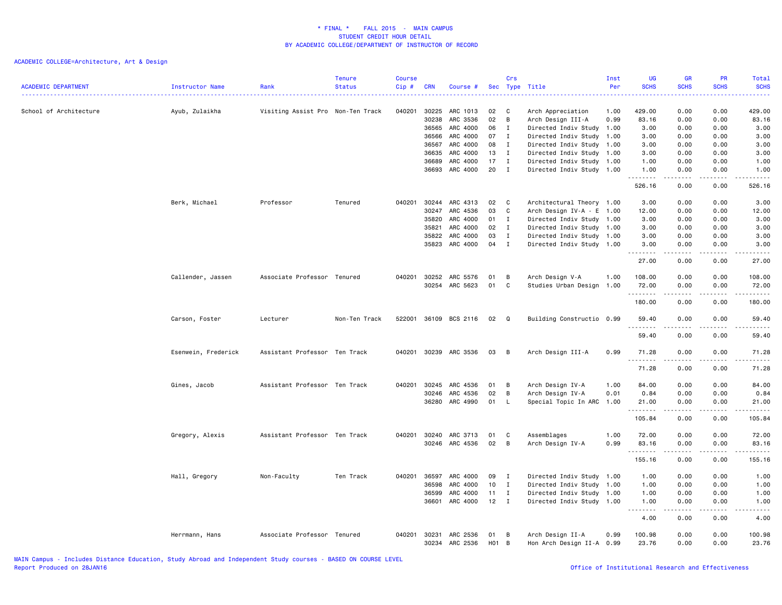| <b>ACADEMIC DEPARTMENT</b> | <b>Instructor Name</b> | Rank                              | Tenure<br><b>Status</b> | <b>Course</b><br>Cip# | <b>CRN</b>     | Course #                   |           | Crs          | Sec Type Title                                | Inst<br>Per  | UG<br><b>SCHS</b>        | GR<br><b>SCHS</b> | PR<br><b>SCHS</b>     | <b>Total</b><br><b>SCHS</b><br>$\frac{1}{2} \left( \frac{1}{2} \right) \left( \frac{1}{2} \right) \left( \frac{1}{2} \right) \left( \frac{1}{2} \right)$     |
|----------------------------|------------------------|-----------------------------------|-------------------------|-----------------------|----------------|----------------------------|-----------|--------------|-----------------------------------------------|--------------|--------------------------|-------------------|-----------------------|--------------------------------------------------------------------------------------------------------------------------------------------------------------|
| School of Architecture     | Ayub, Zulaikha         | Visiting Assist Pro Non-Ten Track |                         | 040201                | 30225<br>30238 | ARC 1013<br>ARC 3536       | 02<br>02  | C<br>B       | Arch Appreciation<br>Arch Design III-A        | 1.00<br>0.99 | 429.00<br>83.16          | 0.00<br>0.00      | 0.00<br>0.00          | 429.00<br>83.16                                                                                                                                              |
|                            |                        |                                   |                         |                       | 36565          | ARC 4000                   | 06        | $\mathbf I$  | Directed Indiv Study 1.00                     |              | 3.00                     | 0.00              | 0.00                  | 3.00                                                                                                                                                         |
|                            |                        |                                   |                         |                       | 36566          | ARC 4000                   | 07        | I            | Directed Indiv Study 1.00                     |              | 3.00                     | 0.00              | 0.00                  | 3.00                                                                                                                                                         |
|                            |                        |                                   |                         |                       | 36567          | ARC 4000                   | 08        | $\mathbf I$  | Directed Indiv Study 1.00                     |              | 3.00                     | 0.00              | 0.00                  | 3.00                                                                                                                                                         |
|                            |                        |                                   |                         |                       | 36635          | ARC 4000                   | 13        | $\mathbf{I}$ | Directed Indiv Study 1.00                     |              | 3.00                     | 0.00              | 0.00                  | 3.00                                                                                                                                                         |
|                            |                        |                                   |                         |                       | 36689          | ARC 4000                   | 17        | I            | Directed Indiv Study 1.00                     |              | 1.00                     | 0.00              | 0.00                  | 1.00                                                                                                                                                         |
|                            |                        |                                   |                         |                       | 36693          | ARC 4000                   | 20        | $\mathbf I$  | Directed Indiv Study 1.00                     |              | 1.00<br>.                | 0.00<br>.         | 0.00<br>.             | 1.00<br>.                                                                                                                                                    |
|                            |                        |                                   |                         |                       |                |                            |           |              |                                               |              | 526.16                   | 0.00              | 0.00                  | 526.16                                                                                                                                                       |
|                            | Berk, Michael          | Professor                         | Tenured                 | 040201                | 30244          | ARC 4313                   | 02        | C            | Architectural Theory 1.00                     |              | 3.00                     | 0.00              | 0.00                  | 3.00                                                                                                                                                         |
|                            |                        |                                   |                         |                       | 30247          | ARC 4536                   | 03        | C            | Arch Design IV-A - E 1.00                     |              | 12.00                    | 0.00              | 0.00                  | 12.00                                                                                                                                                        |
|                            |                        |                                   |                         |                       | 35820          | ARC 4000                   | 01        | $\mathbf I$  | Directed Indiv Study 1.00                     |              | 3.00                     | 0.00              | 0.00                  | 3.00                                                                                                                                                         |
|                            |                        |                                   |                         |                       | 35821          | ARC 4000                   | 02        | I            | Directed Indiv Study 1.00                     |              | 3.00                     | 0.00              | 0.00                  | 3.00                                                                                                                                                         |
|                            |                        |                                   |                         |                       | 35822          | ARC 4000                   | 03        | $\mathbf I$  | Directed Indiv Study 1.00                     |              | 3.00                     | 0.00              | 0.00                  | 3.00                                                                                                                                                         |
|                            |                        |                                   |                         |                       | 35823          | ARC 4000                   | 04        | $\mathbf I$  | Directed Indiv Study 1.00                     |              | 3.00<br>.<br>$- - - - -$ | 0.00              | 0.00                  | 3.00<br>$\frac{1}{2} \left( \frac{1}{2} \right) \left( \frac{1}{2} \right) \left( \frac{1}{2} \right) \left( \frac{1}{2} \right) \left( \frac{1}{2} \right)$ |
|                            |                        |                                   |                         |                       |                |                            |           |              |                                               |              | 27.00                    | 0.00              | 0.00                  | 27.00                                                                                                                                                        |
|                            | Callender, Jassen      | Associate Professor Tenured       |                         | 040201                | 30252          | ARC 5576                   | 01        | B            | Arch Design V-A                               | 1.00         | 108.00                   | 0.00              | 0.00                  | 108.00                                                                                                                                                       |
|                            |                        |                                   |                         |                       |                | 30254 ARC 5623             | 01        | C            | Studies Urban Design 1.00                     |              | 72.00                    | 0.00              | 0.00                  | 72.00                                                                                                                                                        |
|                            |                        |                                   |                         |                       |                |                            |           |              |                                               |              | .<br>180.00              | .<br>0.00         | .<br>0.00             | .<br>180.00                                                                                                                                                  |
|                            | Carson, Foster         | Lecturer                          | Non-Ten Track           | 522001                |                | 36109 BCS 2116             | 02        | Q            | Building Constructio 0.99                     |              | 59.40                    | 0.00              | 0.00                  | 59.40                                                                                                                                                        |
|                            |                        |                                   |                         |                       |                |                            |           |              |                                               |              | .<br>59.40               | <u>.</u><br>0.00  | د د د د<br>0.00       | .<br>59.40                                                                                                                                                   |
|                            | Esenwein, Frederick    | Assistant Professor Ten Track     |                         | 040201                |                | 30239 ARC 3536             | 03        | B            | Arch Design III-A                             | 0.99         | 71.28<br>.               | 0.00              | 0.00                  | 71.28<br>.                                                                                                                                                   |
|                            |                        |                                   |                         |                       |                |                            |           |              |                                               |              | 71.28                    | 0.00              | 0.00                  | 71.28                                                                                                                                                        |
|                            | Gines, Jacob           | Assistant Professor Ten Track     |                         | 040201                | 30245          | ARC 4536                   | 01        | B            | Arch Design IV-A                              | 1.00         | 84.00                    | 0.00              | 0.00                  | 84.00                                                                                                                                                        |
|                            |                        |                                   |                         |                       | 30246          | ARC 4536                   | 02        | B            | Arch Design IV-A                              | 0.01         | 0.84                     | 0.00              | 0.00                  | 0.84                                                                                                                                                         |
|                            |                        |                                   |                         |                       | 36280          | ARC 4990                   | 01        | L            | Special Topic In ARC                          | 1.00         | 21.00<br>.               | 0.00<br>.         | 0.00<br>.             | 21.00<br>.                                                                                                                                                   |
|                            |                        |                                   |                         |                       |                |                            |           |              |                                               |              | 105.84                   | 0.00              | 0.00                  | 105.84                                                                                                                                                       |
|                            | Gregory, Alexis        | Assistant Professor Ten Track     |                         | 040201                | 30240          | ARC 3713                   | 01        | C            | Assemblages                                   | 1.00         | 72.00                    | 0.00              | 0.00                  | 72.00                                                                                                                                                        |
|                            |                        |                                   |                         |                       | 30246          | ARC 4536                   | 02        | B            | Arch Design IV-A                              | 0.99         | 83.16                    | 0.00              | 0.00                  | 83.16                                                                                                                                                        |
|                            |                        |                                   |                         |                       |                |                            |           |              |                                               |              | <u>.</u><br>155.16       | .<br>0.00         | د د د د<br>0.00       | .<br>155.16                                                                                                                                                  |
|                            | Hall, Gregory          | Non-Faculty                       | Ten Track               | 040201 36597          |                | ARC 4000                   | 09        | I            | Directed Indiv Study 1.00                     |              | 1.00                     | 0.00              | 0.00                  | 1.00                                                                                                                                                         |
|                            |                        |                                   |                         |                       | 36598          | ARC 4000                   | 10        | I            | Directed Indiv Study 1.00                     |              | 1.00                     | 0.00              | 0.00                  | 1.00                                                                                                                                                         |
|                            |                        |                                   |                         |                       | 36599          | ARC 4000                   | 11        | I            | Directed Indiv Study 1.00                     |              | 1.00                     | 0.00              | 0.00                  | 1.00                                                                                                                                                         |
|                            |                        |                                   |                         |                       | 36601          | ARC 4000                   | 12        | $\mathbf{I}$ | Directed Indiv Study 1.00                     |              | 1.00                     | 0.00              | 0.00                  | 1.00                                                                                                                                                         |
|                            |                        |                                   |                         |                       |                |                            |           |              |                                               |              | .<br>4.00                | .<br>0.00         | $\frac{1}{2}$<br>0.00 | .<br>4.00                                                                                                                                                    |
|                            | Herrmann, Hans         | Associate Professor Tenured       |                         | 040201                | 30231          | ARC 2536<br>30234 ARC 2536 | 01<br>H01 | B<br>B       | Arch Design II-A<br>Hon Arch Design II-A 0.99 | 0.99         | 100.98<br>23.76          | 0.00<br>0.00      | 0.00<br>0.00          | 100.98<br>23.76                                                                                                                                              |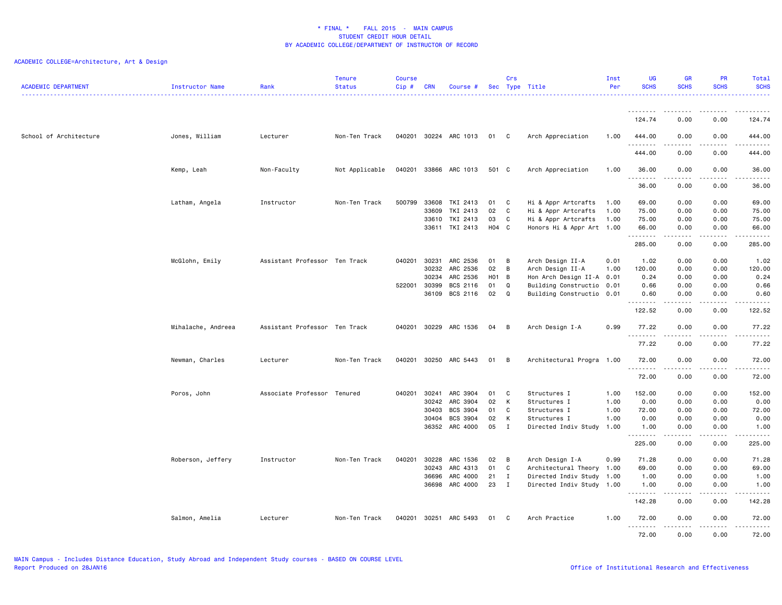|                            |                        |                               | <b>Tenure</b>  | <b>Course</b> |              |                       |                  | Crs            |                           | Inst | <b>UG</b>        | <b>GR</b>                                                                                                                                                    | <b>PR</b>                           | Total            |
|----------------------------|------------------------|-------------------------------|----------------|---------------|--------------|-----------------------|------------------|----------------|---------------------------|------|------------------|--------------------------------------------------------------------------------------------------------------------------------------------------------------|-------------------------------------|------------------|
| <b>ACADEMIC DEPARTMENT</b> | <b>Instructor Name</b> | Rank                          | <b>Status</b>  | $Cip$ #       | <b>CRN</b>   | Course #              |                  |                | Sec Type Title            | Per  | <b>SCHS</b>      | <b>SCHS</b>                                                                                                                                                  | <b>SCHS</b>                         | <b>SCHS</b><br>. |
|                            |                        |                               |                |               |              |                       |                  |                |                           |      | <u>.</u>         | $\frac{1}{2}$                                                                                                                                                | .                                   | .                |
|                            |                        |                               |                |               |              |                       |                  |                |                           |      | 124.74           | 0.00                                                                                                                                                         | 0.00                                | 124.74           |
| School of Architecture     | Jones, William         | Lecturer                      | Non-Ten Track  |               |              | 040201 30224 ARC 1013 | 01 C             |                | Arch Appreciation         | 1.00 | 444.00           | 0.00                                                                                                                                                         | 0.00                                | 444.00           |
|                            |                        |                               |                |               |              |                       |                  |                |                           |      | 444.00           | 0.00                                                                                                                                                         | 0.00                                | .<br>444.00      |
|                            | Kemp, Leah             | Non-Faculty                   | Not Applicable | 040201        |              | 33866 ARC 1013        | 501 C            |                | Arch Appreciation         | 1.00 | 36.00            | 0.00                                                                                                                                                         | 0.00                                | 36.00            |
|                            |                        |                               |                |               |              |                       |                  |                |                           |      | .<br>36.00       | -----<br>0.00                                                                                                                                                | .<br>0.00                           | .<br>36.00       |
|                            |                        |                               |                |               |              |                       |                  |                |                           |      |                  |                                                                                                                                                              |                                     |                  |
|                            | Latham, Angela         | Instructor                    | Non-Ten Track  | 500799        | 33608        | TKI 2413              | 01               | C              | Hi & Appr Artcrafts       | 1.00 | 69.00            | 0.00                                                                                                                                                         | 0.00                                | 69.00            |
|                            |                        |                               |                |               | 33609        | TKI 2413              | 02               | C              | Hi & Appr Artcrafts       | 1.00 | 75.00            | 0.00                                                                                                                                                         | 0.00                                | 75.00            |
|                            |                        |                               |                |               | 33610        | TKI 2413              | 03               | C              | Hi & Appr Artcrafts       | 1.00 | 75.00            | 0.00                                                                                                                                                         | 0.00                                | 75.00            |
|                            |                        |                               |                |               |              | 33611 TKI 2413        | H04 C            |                | Honors Hi & Appr Art 1.00 |      | 66.00<br>.       | 0.00<br>.                                                                                                                                                    | 0.00<br>$\frac{1}{2}$               | 66.00<br>.       |
|                            |                        |                               |                |               |              |                       |                  |                |                           |      | 285.00           | 0.00                                                                                                                                                         | 0.00                                | 285.00           |
|                            | McGlohn, Emily         | Assistant Professor Ten Track |                | 040201        | 30231        | ARC 2536              | 01               | B              | Arch Design II-A          | 0.01 | 1.02             | 0.00                                                                                                                                                         | 0.00                                | 1.02             |
|                            |                        |                               |                |               | 30232        | ARC 2536              | 02               | B              | Arch Design II-A          | 1.00 | 120.00           | 0.00                                                                                                                                                         | 0.00                                | 120.00           |
|                            |                        |                               |                |               | 30234        | ARC 2536              | H <sub>0</sub> 1 | $\overline{B}$ | Hon Arch Design II-A 0.01 |      | 0.24             | 0.00                                                                                                                                                         | 0.00                                | 0.24             |
|                            |                        |                               |                | 522001        | 30399        | BCS 2116              | 01               | Q              | Building Constructio 0.01 |      | 0.66             | 0.00                                                                                                                                                         | 0.00                                | 0.66             |
|                            |                        |                               |                |               | 36109        | BCS 2116              | 02               | Q              | Building Constructio 0.01 |      | 0.60<br>.        | 0.00<br>$\frac{1}{2} \left( \frac{1}{2} \right) \left( \frac{1}{2} \right) \left( \frac{1}{2} \right) \left( \frac{1}{2} \right) \left( \frac{1}{2} \right)$ | 0.00<br>.                           | 0.60<br>.        |
|                            |                        |                               |                |               |              |                       |                  |                |                           |      | 122.52           | 0.00                                                                                                                                                         | 0.00                                | 122.52           |
|                            | Mihalache, Andreea     | Assistant Professor Ten Track |                | 040201        | 30229        | ARC 1536              | 04               | B              | Arch Design I-A           | 0.99 | 77.22<br>.       | 0.00                                                                                                                                                         | 0.00<br>$- - - -$                   | 77.22<br>.       |
|                            |                        |                               |                |               |              |                       |                  |                |                           |      | 77.22            | 0.00                                                                                                                                                         | 0.00                                | 77.22            |
|                            | Newman, Charles        | Lecturer                      | Non-Ten Track  | 040201        | 30250        | ARC 5443              | 01               | B              | Architectural Progra 1.00 |      | 72.00            | 0.00                                                                                                                                                         | 0.00                                | 72.00            |
|                            |                        |                               |                |               |              |                       |                  |                |                           |      | .<br>72.00       | .<br>0.00                                                                                                                                                    | 0.00                                | .<br>72.00       |
|                            | Poros, John            | Associate Professor Tenured   |                |               | 040201 30241 | ARC 3904              | 01 C             |                | Structures I              | 1.00 | 152.00           | 0.00                                                                                                                                                         | 0.00                                | 152.00           |
|                            |                        |                               |                |               | 30242        | ARC 3904              | 02               | K              | Structures I              | 1.00 | 0.00             | 0.00                                                                                                                                                         | 0.00                                | 0.00             |
|                            |                        |                               |                |               | 30403        | <b>BCS 3904</b>       | 01               | C              | Structures I              | 1.00 | 72.00            | 0.00                                                                                                                                                         | 0.00                                | 72.00            |
|                            |                        |                               |                |               | 30404        | BCS 3904              | 02               | K              | Structures I              | 1.00 | 0.00             | 0.00                                                                                                                                                         | 0.00                                | 0.00             |
|                            |                        |                               |                |               | 36352        | ARC 4000              | 05               | $\mathbf{I}$   | Directed Indiv Study      | 1.00 | 1.00             | 0.00                                                                                                                                                         | 0.00                                | 1.00             |
|                            |                        |                               |                |               |              |                       |                  |                |                           |      | .<br>225.00      | -----<br>0.00                                                                                                                                                | $\sim$ $\sim$ $\sim$ $\sim$<br>0.00 | .<br>225.00      |
|                            | Roberson, Jeffery      | Instructor                    | Non-Ten Track  | 040201        | 30228        | ARC 1536              | 02               | B              | Arch Design I-A           | 0.99 | 71.28            | 0.00                                                                                                                                                         | 0.00                                | 71.28            |
|                            |                        |                               |                |               | 30243        | ARC 4313              | 01               | C              | Architectural Theory 1.00 |      | 69.00            | 0.00                                                                                                                                                         | 0.00                                | 69.00            |
|                            |                        |                               |                |               | 36696        | ARC 4000              | 21               | $\mathbf{I}$   | Directed Indiv Study 1.00 |      | 1.00             | 0.00                                                                                                                                                         | 0.00                                | 1.00             |
|                            |                        |                               |                |               | 36698        | ARC 4000              | 23               | $\mathbf{I}$   | Directed Indiv Study 1.00 |      | 1.00<br><u>.</u> | 0.00<br>.                                                                                                                                                    | 0.00<br>$- - - -$                   | 1.00<br>.        |
|                            |                        |                               |                |               |              |                       |                  |                |                           |      | 142.28           | 0.00                                                                                                                                                         | 0.00                                | 142.28           |
|                            | Salmon, Amelia         | Lecturer                      | Non-Ten Track  |               |              | 040201 30251 ARC 5493 | 01               | C.             | Arch Practice             | 1.00 | 72.00<br>.       | 0.00<br>.                                                                                                                                                    | 0.00<br>.                           | 72.00<br>.       |
|                            |                        |                               |                |               |              |                       |                  |                |                           |      | 72.00            | 0.00                                                                                                                                                         | 0.00                                | 72.00            |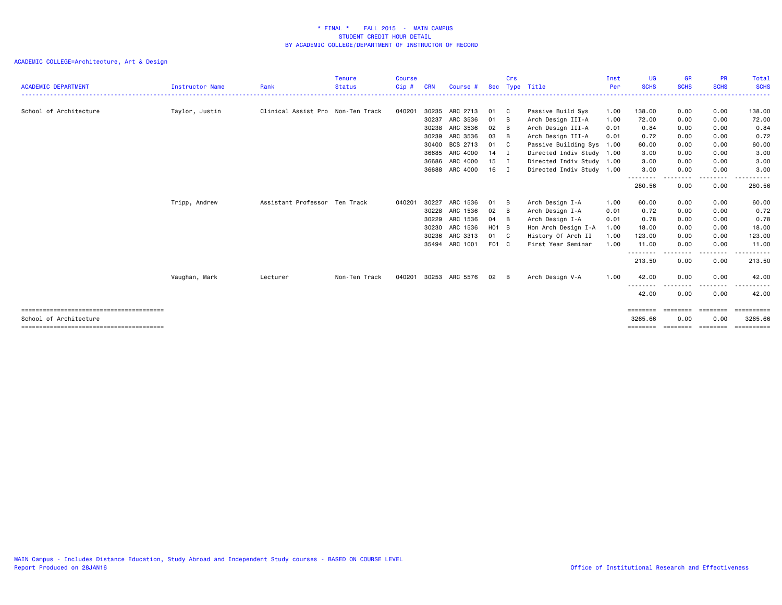| <b>ACADEMIC DEPARTMENT</b> | <b>Instructor Name</b> | Rank                              | <b>Tenure</b><br><b>Status</b> | <b>Course</b><br>$Cip$ # | <b>CRN</b> | Course #       | <b>Sec</b> | Crs<br>Type  | Title                     | Inst<br>Per | UG<br><b>SCHS</b>   | <b>GR</b><br><b>SCHS</b> | <b>PR</b><br><b>SCHS</b>                                                | <b>Total</b><br><b>SCHS</b> |
|----------------------------|------------------------|-----------------------------------|--------------------------------|--------------------------|------------|----------------|------------|--------------|---------------------------|-------------|---------------------|--------------------------|-------------------------------------------------------------------------|-----------------------------|
| School of Architecture     | Taylor, Justin         | Clinical Assist Pro Non-Ten Track |                                | 040201                   | 30235      | ARC 2713       | 01         | - C          | Passive Build Sys         | 1.00        | 138.00              | 0.00                     | 0.00                                                                    | 138.00                      |
|                            |                        |                                   |                                |                          | 30237      | ARC 3536       | 01         | B            | Arch Design III-A         | 1.00        | 72.00               | 0.00                     | 0.00                                                                    | 72.00                       |
|                            |                        |                                   |                                |                          | 30238      | ARC 3536       | 02         | B            | Arch Design III-A         | 0.01        | 0.84                | 0.00                     | 0.00                                                                    | 0.84                        |
|                            |                        |                                   |                                |                          | 30239      | ARC 3536       | 03         | B            | Arch Design III-A         | 0.01        | 0.72                | 0.00                     | 0.00                                                                    | 0.72                        |
|                            |                        |                                   |                                |                          | 30400      | BCS 2713       | 01         | $\mathbf{C}$ | Passive Building Sys      | 1.00        | 60.00               | 0.00                     | 0.00                                                                    | 60.00                       |
|                            |                        |                                   |                                |                          | 36685      | ARC 4000       | 14 I       |              | Directed Indiv Study 1.00 |             | 3.00                | 0.00                     | 0.00                                                                    | 3.00                        |
|                            |                        |                                   |                                |                          | 36686      | ARC 4000       | $15$ I     |              | Directed Indiv Study 1.00 |             | 3.00                | 0.00                     | 0.00                                                                    | 3.00                        |
|                            |                        |                                   |                                |                          | 36688      | ARC 4000       | $16$ I     |              | Directed Indiv Study 1.00 |             | 3.00                | 0.00                     | 0.00                                                                    | 3.00                        |
|                            |                        |                                   |                                |                          |            |                |            |              |                           |             | ---------<br>280.56 | -----<br>0.00            | .<br>0.00                                                               | .<br>280.56                 |
|                            | Tripp, Andrew          | Assistant Professor Ten Track     |                                | 040201                   | 30227      | ARC 1536       | 01         | B            | Arch Design I-A           | 1.00        | 60.00               | 0.00                     | 0.00                                                                    | 60.00                       |
|                            |                        |                                   |                                |                          | 30228      | ARC 1536       | 02         | B            | Arch Design I-A           | 0.01        | 0.72                | 0.00                     | 0.00                                                                    | 0.72                        |
|                            |                        |                                   |                                |                          | 30229      | ARC 1536       | 04         | B            | Arch Design I-A           | 0.01        | 0.78                | 0.00                     | 0.00                                                                    | 0.78                        |
|                            |                        |                                   |                                |                          | 30230      | ARC 1536       | H01 B      |              | Hon Arch Design I-A       | 1.00        | 18.00               | 0.00                     | 0.00                                                                    | 18.00                       |
|                            |                        |                                   |                                |                          | 30236      | ARC 3313       | 01 C       |              | History Of Arch II        | 1.00        | 123.00              | 0.00                     | 0.00                                                                    | 123.00                      |
|                            |                        |                                   |                                |                          |            | 35494 ARC 1001 | F01 C      |              | First Year Seminar        | 1.00        | 11.00               | 0.00                     | 0.00                                                                    | 11.00                       |
|                            |                        |                                   |                                |                          |            |                |            |              |                           |             | ---------<br>213.50 | -----<br>0.00            | .<br>0.00                                                               | .<br>213.50                 |
|                            | Vaughan, Mark          | Lecturer                          | Non-Ten Track                  | 040201                   |            | 30253 ARC 5576 | 02         | B            | Arch Design V-A           | 1.00        | 42.00               | 0.00                     | 0.00                                                                    | 42.00                       |
|                            |                        |                                   |                                |                          |            |                |            |              |                           |             | 42.00               | 0.00                     | . <u>.</u> .<br>0.00                                                    | 42.00                       |
|                            |                        |                                   |                                |                          |            |                |            |              |                           |             | ========            | ========                 | ========                                                                | ==========                  |
| School of Architecture     |                        |                                   |                                |                          |            |                |            |              |                           |             | 3265.66             | 0.00                     | 0.00                                                                    | 3265.66                     |
|                            |                        |                                   |                                |                          |            |                |            |              |                           |             | ========            | ========                 | $\qquad \qquad \equiv \equiv \equiv \equiv \equiv \equiv \equiv \equiv$ | ==========                  |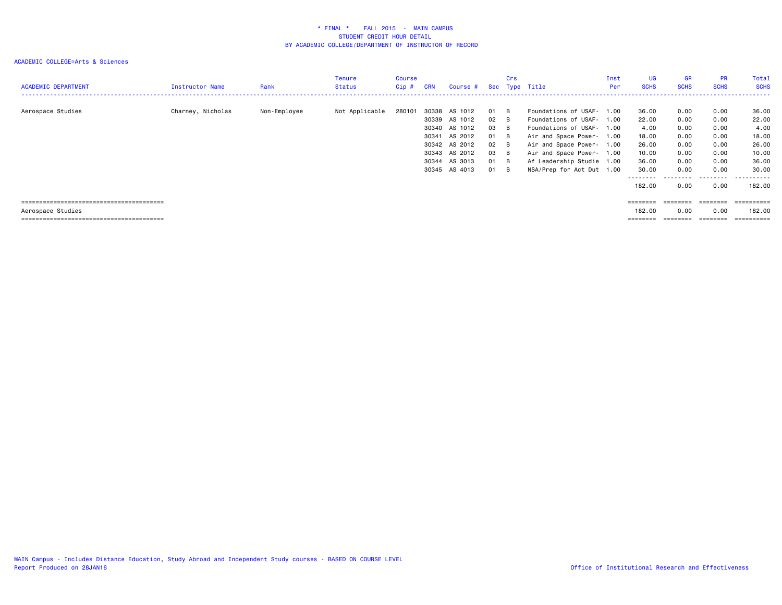| <b>ACADEMIC DEPARTMENT</b> | Instructor Name   | Rank         | Tenure<br><b>Status</b> | <b>Course</b><br>$Cip$ # | <b>CRN</b> | Course #      |              | <b>Crs</b> | Sec Type Title            | Inst<br>Per | UG<br><b>SCHS</b> | GR<br><b>SCHS</b> | <b>PR</b><br><b>SCHS</b> | Total<br><b>SCHS</b> |
|----------------------------|-------------------|--------------|-------------------------|--------------------------|------------|---------------|--------------|------------|---------------------------|-------------|-------------------|-------------------|--------------------------|----------------------|
|                            |                   |              |                         |                          |            |               |              |            |                           |             |                   |                   |                          |                      |
| Aerospace Studies          | Charney, Nicholas | Non-Employee | Not Applicable          | 280101                   |            | 30338 AS 1012 | 01           | - B        | Foundations of USAF- 1.00 |             | 36.00             | 0.00              | 0.00                     | 36.00                |
|                            |                   |              |                         |                          |            | 30339 AS 1012 | $02 \quad B$ |            | Foundations of USAF- 1.00 |             | 22.00             | 0.00              | 0.00                     | 22.00                |
|                            |                   |              |                         |                          |            | 30340 AS 1012 | 03           | - B        | Foundations of USAF- 1.00 |             | 4.00              | 0.00              | 0.00                     | 4.00                 |
|                            |                   |              |                         |                          | 30341      | AS 2012       | 01           | B          | Air and Space Power- 1.00 |             | 18.00             | 0.00              | 0.00                     | 18.00                |
|                            |                   |              |                         |                          |            | 30342 AS 2012 | 02           | - B        | Air and Space Power- 1.00 |             | 26.00             | 0.00              | 0.00                     | 26.00                |
|                            |                   |              |                         |                          |            | 30343 AS 2012 | 03           | - B        | Air and Space Power- 1.00 |             | 10.00             | 0.00              | 0.00                     | 10.00                |
|                            |                   |              |                         |                          |            | 30344 AS 3013 | 01           | - B        | Af Leadership Studie 1.00 |             | 36.00             | 0.00              | 0.00                     | 36.00                |
|                            |                   |              |                         |                          |            | 30345 AS 4013 | 01           | - B        | NSA/Prep for Act Dut 1.00 |             | 30.00             | 0.00              | 0.00                     | 30.00                |
|                            |                   |              |                         |                          |            |               |              |            |                           |             | ---------         |                   | ------                   | .                    |
|                            |                   |              |                         |                          |            |               |              |            |                           |             | 182.00            | 0.00              | 0.00                     | 182.00               |
|                            |                   |              |                         |                          |            |               |              |            |                           |             |                   |                   |                          |                      |
|                            |                   |              |                         |                          |            |               |              |            |                           |             | ========          | ========          | ========                 | ==========           |
| Aerospace Studies          |                   |              |                         |                          |            |               |              |            |                           |             | 182.00            | 0.00              | 0.00                     | 182.00               |
|                            |                   |              |                         |                          |            |               |              |            |                           |             |                   |                   |                          | ==========           |
|                            |                   |              |                         |                          |            |               |              |            |                           |             |                   |                   |                          |                      |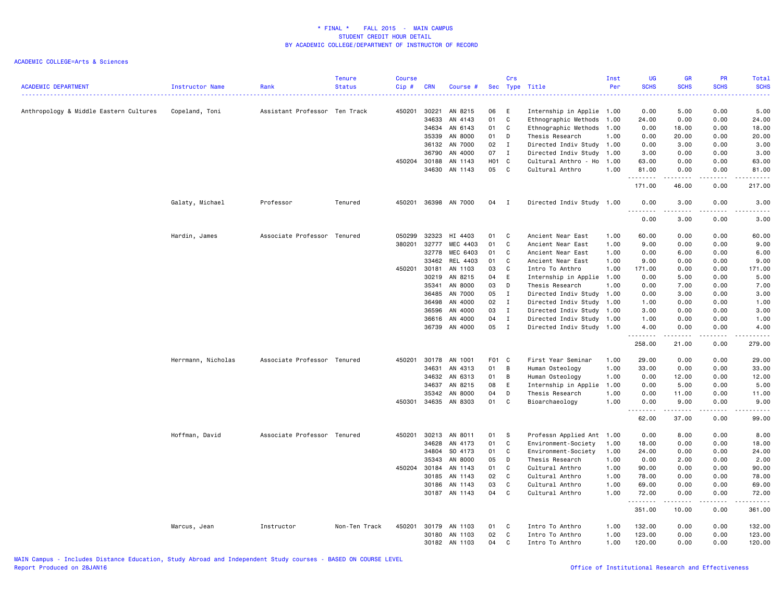| <b>ACADEMIC DEPARTMENT</b>             | Instructor Name    | Rank                          | <b>Tenure</b><br><b>Status</b> | <b>Course</b><br>$Cip$ # | <b>CRN</b> | Course #      |       | Crs          | Sec Type Title            | Inst<br>Per | UG<br><b>SCHS</b><br>. | <b>GR</b><br><b>SCHS</b><br>$\frac{1}{2} \left( \frac{1}{2} \right) \left( \frac{1}{2} \right) \left( \frac{1}{2} \right) \left( \frac{1}{2} \right)$ | <b>PR</b><br><b>SCHS</b><br>$\omega_{\rm{eff}}$ and $\omega_{\rm{eff}}$ | Total<br><b>SCHS</b><br>$\frac{1}{2} \left( \frac{1}{2} \right) \left( \frac{1}{2} \right) \left( \frac{1}{2} \right) \left( \frac{1}{2} \right)$ |
|----------------------------------------|--------------------|-------------------------------|--------------------------------|--------------------------|------------|---------------|-------|--------------|---------------------------|-------------|------------------------|-------------------------------------------------------------------------------------------------------------------------------------------------------|-------------------------------------------------------------------------|---------------------------------------------------------------------------------------------------------------------------------------------------|
| Anthropology & Middle Eastern Cultures | Copeland, Toni     | Assistant Professor Ten Track |                                | 450201                   | 30221      | AN 8215       | 06    | E            | Internship in Applie 1.00 |             | 0.00                   | 5.00                                                                                                                                                  | 0.00                                                                    | 5.00                                                                                                                                              |
|                                        |                    |                               |                                |                          | 34633      | AN 4143       | 01    | C            | Ethnographic Methods      | 1.00        | 24.00                  | 0.00                                                                                                                                                  | 0.00                                                                    | 24.00                                                                                                                                             |
|                                        |                    |                               |                                |                          | 34634      | AN 6143       | 01    | C            | Ethnographic Methods      | 1.00        | 0.00                   | 18.00                                                                                                                                                 | 0.00                                                                    | 18.00                                                                                                                                             |
|                                        |                    |                               |                                |                          | 35339      | AN 8000       | 01    | D            | Thesis Research           | 1.00        | 0.00                   | 20.00                                                                                                                                                 | 0.00                                                                    | 20.00                                                                                                                                             |
|                                        |                    |                               |                                |                          | 36132      | AN 7000       | 02    | $\mathbf{I}$ | Directed Indiv Study 1.00 |             | 0.00                   | 3.00                                                                                                                                                  | 0.00                                                                    | 3.00                                                                                                                                              |
|                                        |                    |                               |                                |                          | 36790      | AN 4000       | 07    | $\mathbf{I}$ | Directed Indiv Study      | 1.00        | 3.00                   | 0.00                                                                                                                                                  | 0.00                                                                    | 3.00                                                                                                                                              |
|                                        |                    |                               |                                | 450204                   | 30188      | AN 1143       | HO1 C |              | Cultural Anthro - Ho      | 1.00        | 63.00                  | 0.00                                                                                                                                                  | 0.00                                                                    | 63.00                                                                                                                                             |
|                                        |                    |                               |                                |                          | 34630      | AN 1143       | 05    | C            | Cultural Anthro           | 1.00        | 81.00<br>.             | 0.00<br>------                                                                                                                                        | 0.00<br>.                                                               | 81.00<br>$\begin{array}{cccccccccc} \bullet & \bullet & \bullet & \bullet & \bullet & \bullet & \bullet \end{array}$                              |
|                                        |                    |                               |                                |                          |            |               |       |              |                           |             | 171.00                 | 46.00                                                                                                                                                 | 0.00                                                                    | 217.00                                                                                                                                            |
|                                        | Galaty, Michael    | Professor                     | Tenured                        | 450201                   |            | 36398 AN 7000 | 04    | $\mathbf{I}$ | Directed Indiv Study 1.00 |             | 0.00                   | 3.00<br>د د د د                                                                                                                                       | 0.00<br>.                                                               | 3.00<br>$\frac{1}{2} \left( \frac{1}{2} \right) \left( \frac{1}{2} \right) \left( \frac{1}{2} \right) \left( \frac{1}{2} \right)$                 |
|                                        |                    |                               |                                |                          |            |               |       |              |                           |             | 0.00                   | 3.00                                                                                                                                                  | 0.00                                                                    | 3.00                                                                                                                                              |
|                                        | Hardin, James      | Associate Professor Tenured   |                                | 050299                   | 32323      | HI 4403       | 01    | C            | Ancient Near East         | 1.00        | 60.00                  | 0.00                                                                                                                                                  | 0.00                                                                    | 60.00                                                                                                                                             |
|                                        |                    |                               |                                | 380201                   | 32777      | MEC 4403      | 01    | C            | Ancient Near East         | 1.00        | 9.00                   | 0.00                                                                                                                                                  | 0.00                                                                    | 9.00                                                                                                                                              |
|                                        |                    |                               |                                |                          | 32778      | MEC 6403      | 01    | C            | Ancient Near East         | 1.00        | 0.00                   | 6.00                                                                                                                                                  | 0.00                                                                    | 6.00                                                                                                                                              |
|                                        |                    |                               |                                |                          | 33462      | REL 4403      | 01    | C            | Ancient Near East         | 1.00        | 9.00                   | 0.00                                                                                                                                                  | 0.00                                                                    | 9.00                                                                                                                                              |
|                                        |                    |                               |                                | 450201                   | 30181      | AN 1103       | 03    | C            | Intro To Anthro           | 1.00        | 171.00                 | 0.00                                                                                                                                                  | 0.00                                                                    | 171.00                                                                                                                                            |
|                                        |                    |                               |                                |                          | 30219      | AN 8215       | 04    | E            | Internship in Applie      | 1.00        | 0.00                   | 5.00                                                                                                                                                  | 0.00                                                                    | 5.00                                                                                                                                              |
|                                        |                    |                               |                                |                          | 35341      | AN 8000       | 03    | D            | Thesis Research           | 1.00        | 0.00                   | 7.00                                                                                                                                                  | 0.00                                                                    | 7.00                                                                                                                                              |
|                                        |                    |                               |                                |                          | 36485      | AN 7000       | 05    | $\mathbf{I}$ | Directed Indiv Study      | 1.00        | 0.00                   | 3.00                                                                                                                                                  | 0.00                                                                    | 3.00                                                                                                                                              |
|                                        |                    |                               |                                |                          | 36498      | AN 4000       | 02    | $\mathbf{I}$ | Directed Indiv Study      | 1.00        | 1.00                   | 0.00                                                                                                                                                  | 0.00                                                                    | 1.00                                                                                                                                              |
|                                        |                    |                               |                                |                          | 36596      | AN 4000       | 03    | $\mathbf I$  | Directed Indiv Study      | 1.00        | 3.00                   | 0.00                                                                                                                                                  | 0.00                                                                    | 3.00                                                                                                                                              |
|                                        |                    |                               |                                |                          | 36616      | AN 4000       | 04    | $\;$ I       | Directed Indiv Study 1.00 |             | 1.00                   | 0.00                                                                                                                                                  | 0.00                                                                    | 1.00                                                                                                                                              |
|                                        |                    |                               |                                |                          | 36739      | AN 4000       | 05    | $\mathbf{I}$ | Directed Indiv Study      | 1.00        | 4.00                   | 0.00                                                                                                                                                  | 0.00                                                                    | 4.00                                                                                                                                              |
|                                        |                    |                               |                                |                          |            |               |       |              |                           |             | 258.00                 | 21.00                                                                                                                                                 | 0.00                                                                    | 279.00                                                                                                                                            |
|                                        | Herrmann, Nicholas | Associate Professor Tenured   |                                | 450201                   | 30178      | AN 1001       | F01 C |              | First Year Seminar        | 1.00        | 29.00                  | 0.00                                                                                                                                                  | 0.00                                                                    | 29.00                                                                                                                                             |
|                                        |                    |                               |                                |                          | 34631      | AN 4313       | 01    | B            | Human Osteology           | 1.00        | 33.00                  | 0.00                                                                                                                                                  | 0.00                                                                    | 33.00                                                                                                                                             |
|                                        |                    |                               |                                |                          | 34632      | AN 6313       | 01    | B            | Human Osteology           | 1.00        | 0.00                   | 12.00                                                                                                                                                 | 0.00                                                                    | 12.00                                                                                                                                             |
|                                        |                    |                               |                                |                          | 34637      | AN 8215       | 08    | E            | Internship in Applie      | 1.00        | 0.00                   | 5.00                                                                                                                                                  | 0.00                                                                    | 5.00                                                                                                                                              |
|                                        |                    |                               |                                |                          | 35342      | AN 8000       | 04    | D            | Thesis Research           | 1.00        | 0.00                   | 11.00                                                                                                                                                 | 0.00                                                                    | 11.00                                                                                                                                             |
|                                        |                    |                               |                                | 450301                   | 34635      | AN 8303       | 01    | C            | Bioarchaeology            | 1.00        | 0.00<br>$- - - - -$    | 9.00<br>.                                                                                                                                             | 0.00<br>.                                                               | 9.00<br>د د د د د                                                                                                                                 |
|                                        |                    |                               |                                |                          |            |               |       |              |                           |             | 62.00                  | 37.00                                                                                                                                                 | 0.00                                                                    | 99.00                                                                                                                                             |
|                                        | Hoffman, David     | Associate Professor Tenured   |                                | 450201                   | 30213      | AN 8011       | 01    | -S           | Professn Applied Ant 1.00 |             | 0.00                   | 8.00                                                                                                                                                  | 0.00                                                                    | 8.00                                                                                                                                              |
|                                        |                    |                               |                                |                          | 34628      | AN 4173       | 01    | C            | Environment-Society       | 1.00        | 18.00                  | 0.00                                                                                                                                                  | 0.00                                                                    | 18.00                                                                                                                                             |
|                                        |                    |                               |                                |                          | 34804      | SO 4173       | 01    | C            | Environment-Society       | 1.00        | 24.00                  | 0.00                                                                                                                                                  | 0.00                                                                    | 24.00                                                                                                                                             |
|                                        |                    |                               |                                |                          | 35343      | AN 8000       | 05    | D            | Thesis Research           | 1.00        | 0.00                   | 2.00                                                                                                                                                  | 0.00                                                                    | 2.00                                                                                                                                              |
|                                        |                    |                               |                                | 450204                   | 30184      | AN 1143       | 01    | C            | Cultural Anthro           | 1.00        | 90.00                  | 0.00                                                                                                                                                  | 0.00                                                                    | 90.00                                                                                                                                             |
|                                        |                    |                               |                                |                          | 30185      | AN 1143       | 02    | C            | Cultural Anthro           | 1.00        | 78.00                  | 0.00                                                                                                                                                  | 0.00                                                                    | 78.00                                                                                                                                             |
|                                        |                    |                               |                                |                          | 30186      | AN 1143       | 03    | C            | Cultural Anthro           | 1.00        | 69.00                  | 0.00                                                                                                                                                  | 0.00                                                                    | 69.00                                                                                                                                             |
|                                        |                    |                               |                                |                          | 30187      | AN 1143       | 04    | C            | Cultural Anthro           | 1.00        | 72.00                  | 0.00                                                                                                                                                  | 0.00                                                                    | 72.00<br>.                                                                                                                                        |
|                                        |                    |                               |                                |                          |            |               |       |              |                           |             | 351.00                 | 10.00                                                                                                                                                 | 0.00                                                                    | 361.00                                                                                                                                            |
|                                        | Marcus, Jean       | Instructor                    | Non-Ten Track                  | 450201                   | 30179      | AN 1103       | 01    | C            | Intro To Anthro           | 1.00        | 132.00                 | 0.00                                                                                                                                                  | 0.00                                                                    | 132.00                                                                                                                                            |
|                                        |                    |                               |                                |                          | 30180      | AN 1103       | 02    | C            | Intro To Anthro           | 1.00        | 123.00                 | 0.00                                                                                                                                                  | 0.00                                                                    | 123.00                                                                                                                                            |
|                                        |                    |                               |                                |                          |            | 30182 AN 1103 | 04    | C            | Intro To Anthro           | 1.00        | 120.00                 | 0.00                                                                                                                                                  | 0.00                                                                    | 120.00                                                                                                                                            |
|                                        |                    |                               |                                |                          |            |               |       |              |                           |             |                        |                                                                                                                                                       |                                                                         |                                                                                                                                                   |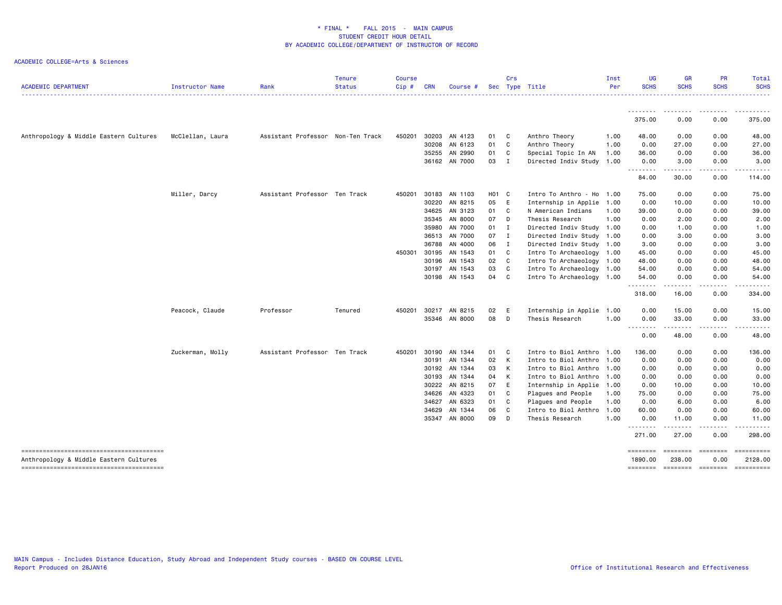| <b>ACADEMIC DEPARTMENT</b>             | Instructor Name  | Rank                              | <b>Tenure</b><br><b>Status</b> | <b>Course</b><br>Cip# | <b>CRN</b> | Course #      |       | Crs            | Sec Type Title            | Inst<br>Per | <b>UG</b><br><b>SCHS</b> | <b>GR</b><br><b>SCHS</b>     | <b>PR</b><br><b>SCHS</b>                                                                                                                                     | Total<br><b>SCHS</b>                                                                                                                                                                                                                                                                                                                                                                                                                                                                                  |
|----------------------------------------|------------------|-----------------------------------|--------------------------------|-----------------------|------------|---------------|-------|----------------|---------------------------|-------------|--------------------------|------------------------------|--------------------------------------------------------------------------------------------------------------------------------------------------------------|-------------------------------------------------------------------------------------------------------------------------------------------------------------------------------------------------------------------------------------------------------------------------------------------------------------------------------------------------------------------------------------------------------------------------------------------------------------------------------------------------------|
|                                        |                  |                                   |                                |                       |            |               |       |                |                           |             | --------                 | --------                     | --------                                                                                                                                                     | . <b>.</b> .                                                                                                                                                                                                                                                                                                                                                                                                                                                                                          |
|                                        |                  |                                   |                                |                       |            |               |       |                |                           |             | 375.00                   | 0.00                         | 0.00                                                                                                                                                         | 375.00                                                                                                                                                                                                                                                                                                                                                                                                                                                                                                |
| Anthropology & Middle Eastern Cultures | McClellan, Laura | Assistant Professor Non-Ten Track |                                | 450201                |            | 30203 AN 4123 | 01    | C              | Anthro Theory             | 1.00        | 48.00                    | 0.00                         | 0.00                                                                                                                                                         | 48.00                                                                                                                                                                                                                                                                                                                                                                                                                                                                                                 |
|                                        |                  |                                   |                                |                       |            | 30208 AN 6123 | 01 C  |                | Anthro Theory             | 1.00        | 0.00                     | 27.00                        | 0.00                                                                                                                                                         | 27.00                                                                                                                                                                                                                                                                                                                                                                                                                                                                                                 |
|                                        |                  |                                   |                                |                       |            | 35255 AN 2990 | 01    | C              | Special Topic In AN       | 1.00        | 36.00                    | 0.00                         | 0.00                                                                                                                                                         | 36.00                                                                                                                                                                                                                                                                                                                                                                                                                                                                                                 |
|                                        |                  |                                   |                                |                       |            | 36162 AN 7000 | 03    | $\blacksquare$ | Directed Indiv Study      | 1.00        | 0.00                     | 3.00                         | 0.00                                                                                                                                                         | 3.00                                                                                                                                                                                                                                                                                                                                                                                                                                                                                                  |
|                                        |                  |                                   |                                |                       |            |               |       |                |                           |             | --------<br>84.00        | .<br>30.00                   | -----<br>0.00                                                                                                                                                | .<br>114.00                                                                                                                                                                                                                                                                                                                                                                                                                                                                                           |
|                                        | Miller, Darcy    | Assistant Professor Ten Track     |                                | 450201                |            | 30183 AN 1103 | H01 C |                | Intro To Anthro - Ho      | 1.00        | 75.00                    | 0.00                         | 0.00                                                                                                                                                         | 75.00                                                                                                                                                                                                                                                                                                                                                                                                                                                                                                 |
|                                        |                  |                                   |                                |                       | 30220      | AN 8215       | 05 E  |                | Internship in Applie      | 1.00        | 0.00                     | 10.00                        | 0.00                                                                                                                                                         | 10.00                                                                                                                                                                                                                                                                                                                                                                                                                                                                                                 |
|                                        |                  |                                   |                                |                       |            | 34625 AN 3123 | 01    | C <sub>c</sub> | N American Indians        | 1.00        | 39.00                    | 0.00                         | 0.00                                                                                                                                                         | 39.00                                                                                                                                                                                                                                                                                                                                                                                                                                                                                                 |
|                                        |                  |                                   |                                |                       |            | 35345 AN 8000 | 07 D  |                | Thesis Research           | 1.00        | 0.00                     | 2.00                         | 0.00                                                                                                                                                         | 2.00                                                                                                                                                                                                                                                                                                                                                                                                                                                                                                  |
|                                        |                  |                                   |                                |                       |            | 35980 AN 7000 | 01 I  |                | Directed Indiv Study 1.00 |             | 0.00                     | 1.00                         | 0.00                                                                                                                                                         | 1.00                                                                                                                                                                                                                                                                                                                                                                                                                                                                                                  |
|                                        |                  |                                   |                                |                       |            | 36513 AN 7000 | 07 I  |                | Directed Indiv Study 1.00 |             | 0.00                     | 3.00                         | 0.00                                                                                                                                                         | 3.00                                                                                                                                                                                                                                                                                                                                                                                                                                                                                                  |
|                                        |                  |                                   |                                |                       |            | 36788 AN 4000 | 06 I  |                | Directed Indiv Study 1.00 |             | 3.00                     | 0.00                         | 0.00                                                                                                                                                         | 3.00                                                                                                                                                                                                                                                                                                                                                                                                                                                                                                  |
|                                        |                  |                                   |                                | 450301                | 30195      | AN 1543       | 01    | C              | Intro To Archaeology      | 1.00        | 45.00                    | 0.00                         | 0.00                                                                                                                                                         | 45.00                                                                                                                                                                                                                                                                                                                                                                                                                                                                                                 |
|                                        |                  |                                   |                                |                       | 30196      | AN 1543       | 02 C  |                | Intro To Archaeology 1.00 |             | 48.00                    | 0.00                         | 0.00                                                                                                                                                         | 48.00                                                                                                                                                                                                                                                                                                                                                                                                                                                                                                 |
|                                        |                  |                                   |                                |                       |            | 30197 AN 1543 | 03    | C              | Intro To Archaeology 1.00 |             | 54.00                    | 0.00                         | 0.00                                                                                                                                                         | 54.00                                                                                                                                                                                                                                                                                                                                                                                                                                                                                                 |
|                                        |                  |                                   |                                |                       |            | 30198 AN 1543 | 04 C  |                | Intro To Archaeology 1.00 |             | 54.00                    | 0.00<br>.                    | 0.00<br>.                                                                                                                                                    | 54.00                                                                                                                                                                                                                                                                                                                                                                                                                                                                                                 |
|                                        |                  |                                   |                                |                       |            |               |       |                |                           |             | 318.00                   | 16.00                        | 0.00                                                                                                                                                         | 334.00                                                                                                                                                                                                                                                                                                                                                                                                                                                                                                |
|                                        | Peacock, Claude  | Professor                         | Tenured                        | 450201                |            | 30217 AN 8215 | 02    | - E            | Internship in Applie      | 1.00        | 0.00                     | 15.00                        | 0.00                                                                                                                                                         | 15.00                                                                                                                                                                                                                                                                                                                                                                                                                                                                                                 |
|                                        |                  |                                   |                                |                       |            | 35346 AN 8000 | 08    | D              | Thesis Research           | 1.00        | 0.00                     | 33.00<br>.                   | 0.00<br>$\frac{1}{2} \left( \frac{1}{2} \right) \left( \frac{1}{2} \right) \left( \frac{1}{2} \right) \left( \frac{1}{2} \right) \left( \frac{1}{2} \right)$ | 33.00<br>.                                                                                                                                                                                                                                                                                                                                                                                                                                                                                            |
|                                        |                  |                                   |                                |                       |            |               |       |                |                           |             | --------<br>0.00         | 48.00                        | 0.00                                                                                                                                                         | 48.00                                                                                                                                                                                                                                                                                                                                                                                                                                                                                                 |
|                                        | Zuckerman, Molly | Assistant Professor Ten Track     |                                | 450201                | 30190      | AN 1344       | 01    | C <sub>c</sub> | Intro to Biol Anthro      | 1.00        | 136.00                   | 0.00                         | 0.00                                                                                                                                                         | 136.00                                                                                                                                                                                                                                                                                                                                                                                                                                                                                                |
|                                        |                  |                                   |                                |                       | 30191      | AN 1344       | 02    | K              | Intro to Biol Anthro      | 1.00        | 0.00                     | 0.00                         | 0.00                                                                                                                                                         | 0.00                                                                                                                                                                                                                                                                                                                                                                                                                                                                                                  |
|                                        |                  |                                   |                                |                       |            | 30192 AN 1344 | 03    | K              | Intro to Biol Anthro      | 1.00        | 0.00                     | 0.00                         | 0.00                                                                                                                                                         | 0.00                                                                                                                                                                                                                                                                                                                                                                                                                                                                                                  |
|                                        |                  |                                   |                                |                       |            | 30193 AN 1344 | 04 K  |                | Intro to Biol Anthro      | 1.00        | 0.00                     | 0.00                         | 0.00                                                                                                                                                         | 0.00                                                                                                                                                                                                                                                                                                                                                                                                                                                                                                  |
|                                        |                  |                                   |                                |                       |            | 30222 AN 8215 | 07 E  |                | Internship in Applie      | 1.00        | 0.00                     | 10.00                        | 0.00                                                                                                                                                         | 10.00                                                                                                                                                                                                                                                                                                                                                                                                                                                                                                 |
|                                        |                  |                                   |                                |                       |            | 34626 AN 4323 | 01    | C              | Plagues and People        | 1.00        | 75.00                    | 0.00                         | 0.00                                                                                                                                                         | 75.00                                                                                                                                                                                                                                                                                                                                                                                                                                                                                                 |
|                                        |                  |                                   |                                |                       | 34627      | AN 6323       | 01    | C              | Plagues and People        | 1.00        | 0.00                     | 6.00                         | 0.00                                                                                                                                                         | 6.00                                                                                                                                                                                                                                                                                                                                                                                                                                                                                                  |
|                                        |                  |                                   |                                |                       | 34629      | AN 1344       | 06    | <b>C</b>       | Intro to Biol Anthro      | 1.00        | 60.00                    | 0.00                         | 0.00                                                                                                                                                         | 60.00                                                                                                                                                                                                                                                                                                                                                                                                                                                                                                 |
|                                        |                  |                                   |                                |                       |            | 35347 AN 8000 | 09    | D              | Thesis Research           | 1.00        | 0.00<br>.                | 11.00<br>.                   | 0.00<br>- - - - -                                                                                                                                            | 11.00<br><u>.</u>                                                                                                                                                                                                                                                                                                                                                                                                                                                                                     |
|                                        |                  |                                   |                                |                       |            |               |       |                |                           |             | 271.00                   | 27.00                        | 0.00                                                                                                                                                         | 298.00                                                                                                                                                                                                                                                                                                                                                                                                                                                                                                |
| Anthropology & Middle Eastern Cultures |                  |                                   |                                |                       |            |               |       |                |                           |             | ========<br>1890.00      | 238.00                       | 0.00                                                                                                                                                         | $\begin{minipage}{0.9\linewidth} \begin{tabular}{l} \multicolumn{2}{l}{} & \multicolumn{2}{l}{} & \multicolumn{2}{l}{} \\ \multicolumn{2}{l}{} & \multicolumn{2}{l}{} & \multicolumn{2}{l}{} \\ \multicolumn{2}{l}{} & \multicolumn{2}{l}{} & \multicolumn{2}{l}{} \\ \multicolumn{2}{l}{} & \multicolumn{2}{l}{} & \multicolumn{2}{l}{} \\ \multicolumn{2}{l}{} & \multicolumn{2}{l}{} & \multicolumn{2}{l}{} \\ \multicolumn{2}{l}{} & \multicolumn{2}{l}{} & \multicolumn{2}{l}{} \\ \$<br>2128.00 |
| -------------------------------------- |                  |                                   |                                |                       |            |               |       |                |                           |             | ========                 | ======== ======== ========== |                                                                                                                                                              |                                                                                                                                                                                                                                                                                                                                                                                                                                                                                                       |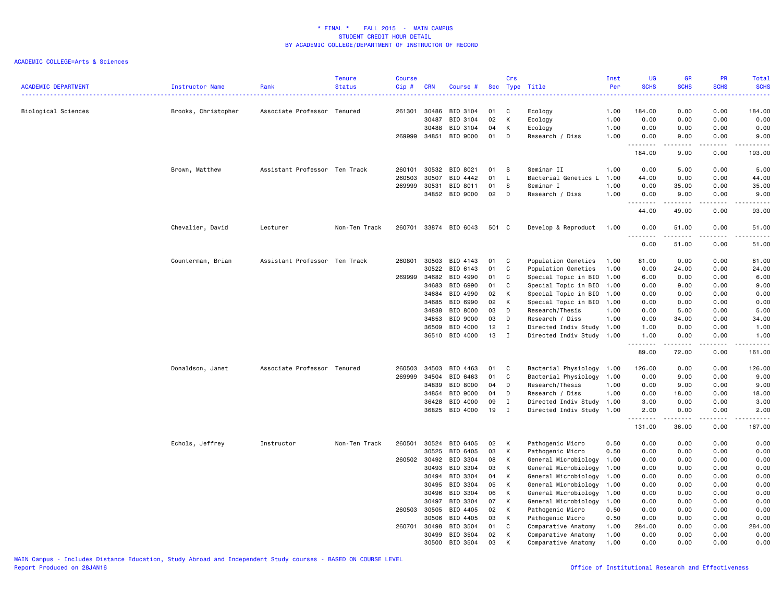| <b>ACADEMIC DEPARTMENT</b> | Instructor Name     | Rank                          | <b>Tenure</b><br><b>Status</b> | <b>Course</b><br>Cip# | <b>CRN</b> | Course #       | Sec   | Crs          | Type Title                | Inst<br>Per | UG<br><b>SCHS</b>                    | <b>GR</b><br><b>SCHS</b>                                                                                                                                      | <b>PR</b><br><b>SCHS</b>            | Total<br><b>SCHS</b><br>.                                                                                                                                     |
|----------------------------|---------------------|-------------------------------|--------------------------------|-----------------------|------------|----------------|-------|--------------|---------------------------|-------------|--------------------------------------|---------------------------------------------------------------------------------------------------------------------------------------------------------------|-------------------------------------|---------------------------------------------------------------------------------------------------------------------------------------------------------------|
| Biological Sciences        | Brooks, Christopher | Associate Professor Tenured   |                                | 261301                | 30486      | BIO 3104       | 01    | C            | Ecology                   | 1.00        | 184.00                               | 0.00                                                                                                                                                          | 0.00                                | 184.00                                                                                                                                                        |
|                            |                     |                               |                                |                       | 30487      | BIO 3104       | 02    | К            | Ecology                   | 1.00        | 0.00                                 | 0.00                                                                                                                                                          | 0.00                                | 0.00                                                                                                                                                          |
|                            |                     |                               |                                |                       | 30488      | BIO 3104       | 04    | К            | Ecology                   | 1.00        | 0.00                                 | 0.00                                                                                                                                                          | 0.00                                | 0.00                                                                                                                                                          |
|                            |                     |                               |                                | 269999                | 34851      | BIO 9000       | 01    | D            | Research / Diss           | 1.00        | 0.00                                 | 9.00                                                                                                                                                          | 0.00                                | 9.00                                                                                                                                                          |
|                            |                     |                               |                                |                       |            |                |       |              |                           |             | 184.00                               | .<br>9.00                                                                                                                                                     | 0.00                                | .<br>193.00                                                                                                                                                   |
|                            | Brown, Matthew      | Assistant Professor Ten Track |                                | 260101                | 30532      | BIO 8021       | 01    | -S           | Seminar II                | 1.00        | 0.00                                 | 5.00                                                                                                                                                          | 0.00                                | 5.00                                                                                                                                                          |
|                            |                     |                               |                                | 260503                | 30507      | BIO 4442       | 01    | $\mathsf{L}$ | Bacterial Genetics L      | 1.00        | 44.00                                | 0.00                                                                                                                                                          | 0.00                                | 44.00                                                                                                                                                         |
|                            |                     |                               |                                | 269999                | 30531      | BIO 8011       | 01    | -S           | Seminar I                 | 1.00        | 0.00                                 | 35.00                                                                                                                                                         | 0.00                                | 35.00                                                                                                                                                         |
|                            |                     |                               |                                |                       | 34852      | BIO 9000       | 02    | D            | Research / Diss           | 1.00        | 0.00                                 | 9.00                                                                                                                                                          | 0.00                                | 9.00                                                                                                                                                          |
|                            |                     |                               |                                |                       |            |                |       |              |                           |             | $\sim$ $\sim$ $\sim$ $\sim$<br>44.00 | $\frac{1}{2} \left( \frac{1}{2} \right) \left( \frac{1}{2} \right) \left( \frac{1}{2} \right) \left( \frac{1}{2} \right) \left( \frac{1}{2} \right)$<br>49.00 | $\sim$ $\sim$ $\sim$ $\sim$<br>0.00 | $\frac{1}{2} \left( \frac{1}{2} \right) \left( \frac{1}{2} \right) \left( \frac{1}{2} \right) \left( \frac{1}{2} \right) \left( \frac{1}{2} \right)$<br>93.00 |
|                            | Chevalier, David    | Lecturer                      | Non-Ten Track                  | 260701                |            | 33874 BIO 6043 | 501 C |              | Develop & Reproduct       | 1.00        | 0.00                                 | 51.00                                                                                                                                                         | 0.00                                | 51.00                                                                                                                                                         |
|                            |                     |                               |                                |                       |            |                |       |              |                           |             | .<br>0.00                            | .<br>51.00                                                                                                                                                    | .<br>0.00                           | .<br>51.00                                                                                                                                                    |
|                            | Counterman, Brian   | Assistant Professor Ten Track |                                | 260801                | 30503      | BIO 4143       | 01    | C            | Population Genetics       | 1.00        | 81.00                                | 0.00                                                                                                                                                          | 0.00                                | 81.00                                                                                                                                                         |
|                            |                     |                               |                                |                       | 30522      | BIO 6143       | 01    | C            | Population Genetics       | 1.00        | 0.00                                 | 24.00                                                                                                                                                         | 0.00                                | 24.00                                                                                                                                                         |
|                            |                     |                               |                                | 269999                | 34682      | BIO 4990       | 01    | C            | Special Topic in BIO 1.00 |             | 6.00                                 | 0.00                                                                                                                                                          | 0.00                                | 6.00                                                                                                                                                          |
|                            |                     |                               |                                |                       | 34683      | BIO 6990       | 01    | C            | Special Topic in BIO      | 1.00        | 0.00                                 | 9.00                                                                                                                                                          | 0.00                                | 9.00                                                                                                                                                          |
|                            |                     |                               |                                |                       | 34684      | BIO 4990       | 02    | K            | Special Topic in BIO      | 1.00        | 0.00                                 | 0.00                                                                                                                                                          | 0.00                                | 0.00                                                                                                                                                          |
|                            |                     |                               |                                |                       | 34685      | BIO 6990       | 02    | К            | Special Topic in BIO      | 1.00        | 0.00                                 | 0.00                                                                                                                                                          | 0.00                                | 0.00                                                                                                                                                          |
|                            |                     |                               |                                |                       | 34838      | BIO 8000       | 03    | D            | Research/Thesis           | 1.00        | 0.00                                 | 5.00                                                                                                                                                          | 0.00                                | 5.00                                                                                                                                                          |
|                            |                     |                               |                                |                       | 34853      | BIO 9000       | 03    | D            | Research / Diss           | 1.00        | 0.00                                 | 34.00                                                                                                                                                         | 0.00                                | 34.00                                                                                                                                                         |
|                            |                     |                               |                                |                       | 36509      | BIO 4000       | 12    | Ι.           | Directed Indiv Study 1.00 |             | 1.00                                 | 0.00                                                                                                                                                          | 0.00                                | 1.00                                                                                                                                                          |
|                            |                     |                               |                                |                       | 36510      | BIO 4000       | 13    | $\mathbf I$  | Directed Indiv Study 1.00 |             | 1.00                                 | 0.00                                                                                                                                                          | 0.00                                | 1.00                                                                                                                                                          |
|                            |                     |                               |                                |                       |            |                |       |              |                           |             | -----<br>89.00                       | .<br>72.00                                                                                                                                                    | .<br>0.00                           | .<br>161.00                                                                                                                                                   |
|                            | Donaldson, Janet    | Associate Professor Tenured   |                                | 260503                | 34503      | BIO 4463       | 01    | C            | Bacterial Physiology      | 1.00        | 126.00                               | 0.00                                                                                                                                                          | 0.00                                | 126.00                                                                                                                                                        |
|                            |                     |                               |                                | 269999                | 34504      | BIO 6463       | 01    | C            | Bacterial Physiology 1.00 |             | 0.00                                 | 9.00                                                                                                                                                          | 0.00                                | 9.00                                                                                                                                                          |
|                            |                     |                               |                                |                       | 34839      | BIO 8000       | 04    | D            | Research/Thesis           | 1.00        | 0.00                                 | 9.00                                                                                                                                                          | 0.00                                | 9.00                                                                                                                                                          |
|                            |                     |                               |                                |                       | 34854      | BIO 9000       | 04    | D            | Research / Diss           | 1.00        | 0.00                                 | 18.00                                                                                                                                                         | 0.00                                | 18.00                                                                                                                                                         |
|                            |                     |                               |                                |                       | 36428      | BIO 4000       | 09    | $\mathbf I$  | Directed Indiv Study 1.00 |             | 3.00                                 | 0.00                                                                                                                                                          | 0.00                                | 3.00                                                                                                                                                          |
|                            |                     |                               |                                |                       | 36825      | BIO 4000       | 19    | $\mathbf{I}$ | Directed Indiv Study 1.00 |             | 2.00                                 | 0.00                                                                                                                                                          | 0.00                                | 2.00                                                                                                                                                          |
|                            |                     |                               |                                |                       |            |                |       |              |                           |             | .<br>131.00                          | .<br>36.00                                                                                                                                                    | .<br>0.00                           | .<br>167.00                                                                                                                                                   |
|                            | Echols, Jeffrey     | Instructor                    | Non-Ten Track                  | 260501                | 30524      | BIO 6405       | 02    | K            | Pathogenic Micro          | 0.50        | 0.00                                 | 0.00                                                                                                                                                          | 0.00                                | 0.00                                                                                                                                                          |
|                            |                     |                               |                                |                       | 30525      | BIO 6405       | 03    | К            | Pathogenic Micro          | 0.50        | 0.00                                 | 0.00                                                                                                                                                          | 0.00                                | 0.00                                                                                                                                                          |
|                            |                     |                               |                                | 260502 30492          |            | BIO 3304       | 08    | К            | General Microbiology      | 1.00        | 0.00                                 | 0.00                                                                                                                                                          | 0.00                                | 0.00                                                                                                                                                          |
|                            |                     |                               |                                |                       | 30493      | BIO 3304       | 03    | K            | General Microbiology      | 1.00        | 0.00                                 | 0.00                                                                                                                                                          | 0.00                                | 0.00                                                                                                                                                          |
|                            |                     |                               |                                |                       | 30494      | BIO 3304       | 04    | K            | General Microbiology      | 1.00        | 0.00                                 | 0.00                                                                                                                                                          | 0.00                                | 0.00                                                                                                                                                          |
|                            |                     |                               |                                |                       | 30495      | BIO 3304       | 05    | К            | General Microbiology      | 1.00        | 0.00                                 | 0.00                                                                                                                                                          | 0.00                                | 0.00                                                                                                                                                          |
|                            |                     |                               |                                |                       | 30496      | BIO 3304       | 06    | К            | General Microbiology      | 1.00        | 0.00                                 | 0.00                                                                                                                                                          | 0.00                                | 0.00                                                                                                                                                          |
|                            |                     |                               |                                |                       | 30497      | BIO 3304       | 07    | K            | General Microbiology      | 1.00        | 0.00                                 | 0.00                                                                                                                                                          | 0.00                                | 0.00                                                                                                                                                          |
|                            |                     |                               |                                | 260503                | 30505      | BIO 4405       | 02    | К            | Pathogenic Micro          | 0.50        | 0.00                                 | 0.00                                                                                                                                                          | 0.00                                | 0.00                                                                                                                                                          |
|                            |                     |                               |                                |                       | 30506      | BIO 4405       | 03    | К            | Pathogenic Micro          | 0.50        | 0.00                                 | 0.00                                                                                                                                                          | 0.00                                | 0.00                                                                                                                                                          |
|                            |                     |                               |                                | 260701                | 30498      | BIO 3504       | 01    | C            | Comparative Anatomy       | 1.00        | 284.00                               | 0.00                                                                                                                                                          | 0.00                                | 284.00                                                                                                                                                        |
|                            |                     |                               |                                |                       | 30499      | BIO 3504       | 02    | К            | Comparative Anatomy       | 1.00        | 0.00                                 | 0.00                                                                                                                                                          | 0.00                                | 0.00                                                                                                                                                          |
|                            |                     |                               |                                |                       | 30500      | BIO 3504       | 03    | K            | Comparative Anatomy       | 1.00        | 0.00                                 | 0.00                                                                                                                                                          | 0.00                                | 0.00                                                                                                                                                          |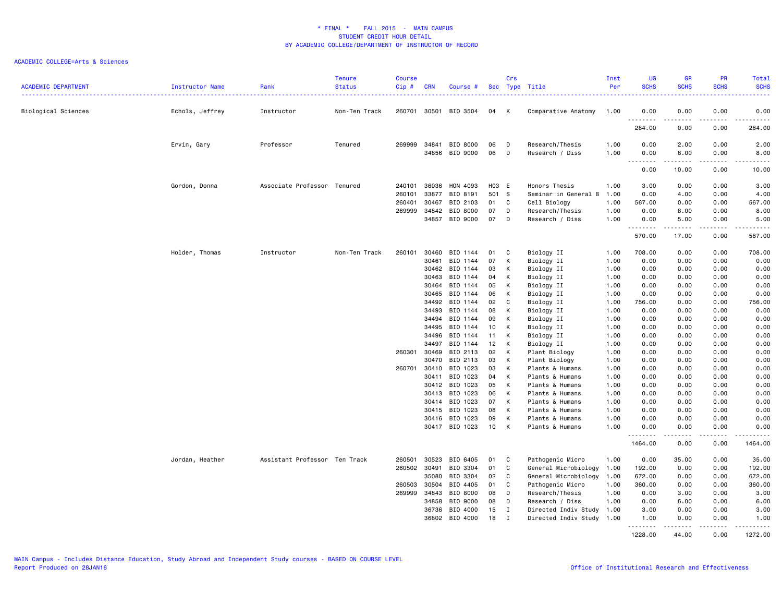| <b>ACADEMIC DEPARTMENT</b> | Instructor Name | Rank                          | <b>Tenure</b><br><b>Status</b> | <b>Course</b><br>Cip# | <b>CRN</b>     | Course #             |              | Crs          | Sec Type Title                        | Inst<br>Per  | <b>UG</b><br><b>SCHS</b>                                                                                                                                                             | <b>GR</b><br><b>SCHS</b> | PR<br><b>SCHS</b> | Total<br><b>SCHS</b>                                                                                                                                         |
|----------------------------|-----------------|-------------------------------|--------------------------------|-----------------------|----------------|----------------------|--------------|--------------|---------------------------------------|--------------|--------------------------------------------------------------------------------------------------------------------------------------------------------------------------------------|--------------------------|-------------------|--------------------------------------------------------------------------------------------------------------------------------------------------------------|
| Biological Sciences        | Echols, Jeffrey | Instructor                    | Non-Ten Track                  | 260701                | 30501          | BIO 3504             | 04           | К            | Comparative Anatomy                   | 1.00         | 0.00                                                                                                                                                                                 | 0.00                     | 0.00              | 0.00                                                                                                                                                         |
|                            |                 |                               |                                |                       |                |                      |              |              |                                       |              | ، جا جاء<br>284.00                                                                                                                                                                   | 0.00                     | .<br>0.00         | $- - - - -$<br>284.00                                                                                                                                        |
|                            | Ervin, Gary     | Professor                     | Tenured                        | 269999                | 34841          | BIO 8000             | 06           | D            | Research/Thesis                       | 1.00         | 0.00                                                                                                                                                                                 | 2.00                     | 0.00              | 2.00                                                                                                                                                         |
|                            |                 |                               |                                |                       | 34856          | BIO 9000             | 06           | D            | Research / Diss                       | 1.00         | 0.00<br>$\sim$ $\sim$ $\sim$<br>$\frac{1}{2} \left( \frac{1}{2} \right) \left( \frac{1}{2} \right) \left( \frac{1}{2} \right) \left( \frac{1}{2} \right) \left( \frac{1}{2} \right)$ | 8.00<br>.                | 0.00<br>.         | 8.00<br>$\frac{1}{2} \left( \frac{1}{2} \right) \left( \frac{1}{2} \right) \left( \frac{1}{2} \right) \left( \frac{1}{2} \right) \left( \frac{1}{2} \right)$ |
|                            |                 |                               |                                |                       |                |                      |              |              |                                       |              | 0.00                                                                                                                                                                                 | 10.00                    | 0.00              | 10.00                                                                                                                                                        |
|                            | Gordon, Donna   | Associate Professor Tenured   |                                | 240101<br>260101      | 36036<br>33877 | HON 4093<br>BIO 8191 | H03 E<br>501 | $\mathbf{s}$ | Honors Thesis<br>Seminar in General B | 1.00<br>1.00 | 3.00<br>0.00                                                                                                                                                                         | 0.00<br>4.00             | 0.00<br>0.00      | 3.00<br>4.00                                                                                                                                                 |
|                            |                 |                               |                                | 260401                | 30467          | BIO 2103             | 01           | C            | Cell Biology                          | 1.00         | 567.00                                                                                                                                                                               | 0.00                     | 0.00              | 567.00                                                                                                                                                       |
|                            |                 |                               |                                | 269999                | 34842          | BIO 8000             | 07           | D            | Research/Thesis                       | 1.00         | 0.00                                                                                                                                                                                 | 8.00                     | 0.00              | 8.00                                                                                                                                                         |
|                            |                 |                               |                                |                       | 34857          | BIO 9000             | 07           | D            | Research / Diss                       | 1.00         | 0.00                                                                                                                                                                                 | 5.00                     | 0.00              | 5.00                                                                                                                                                         |
|                            |                 |                               |                                |                       |                |                      |              |              |                                       |              | .<br>570.00                                                                                                                                                                          | .<br>17.00               | .<br>0.00         | .<br>587.00                                                                                                                                                  |
|                            | Holder, Thomas  | Instructor                    | Non-Ten Track                  | 260101                | 30460          | BIO 1144             | 01           | C            | Biology II                            | 1.00         | 708.00                                                                                                                                                                               | 0.00                     | 0.00              | 708.00                                                                                                                                                       |
|                            |                 |                               |                                |                       | 30461          | BIO 1144             | 07           | К            | Biology II                            | 1.00         | 0.00                                                                                                                                                                                 | 0.00                     | 0.00              | 0.00                                                                                                                                                         |
|                            |                 |                               |                                |                       | 30462          | BIO 1144             | 03           | K            | Biology II                            | 1.00         | 0.00                                                                                                                                                                                 | 0.00                     | 0.00              | 0.00                                                                                                                                                         |
|                            |                 |                               |                                |                       | 30463          | BIO 1144             | 04           | К            | Biology II                            | 1.00         | 0.00                                                                                                                                                                                 | 0.00                     | 0.00              | 0.00                                                                                                                                                         |
|                            |                 |                               |                                |                       | 30464          | BIO 1144             | 05           | К            | Biology II                            | 1.00         | 0.00                                                                                                                                                                                 | 0.00                     | 0.00              | 0.00                                                                                                                                                         |
|                            |                 |                               |                                |                       | 30465          | BIO 1144             | 06           | К            | Biology II                            | 1.00         | 0.00                                                                                                                                                                                 | 0.00                     | 0.00              | 0.00                                                                                                                                                         |
|                            |                 |                               |                                |                       | 34492          | BIO 1144             | 02           | C            | Biology II                            | 1.00         | 756.00                                                                                                                                                                               | 0.00                     | 0.00              | 756.00                                                                                                                                                       |
|                            |                 |                               |                                |                       | 34493          | BIO 1144             | 08           | К            | Biology II                            | 1.00         | 0.00                                                                                                                                                                                 | 0.00                     | 0.00              | 0.00                                                                                                                                                         |
|                            |                 |                               |                                |                       | 34494          | BIO 1144             | 09           | К            | Biology II                            | 1.00         | 0.00                                                                                                                                                                                 | 0.00                     | 0.00              | 0.00                                                                                                                                                         |
|                            |                 |                               |                                |                       | 34495          | BIO 1144             | 10           | К            | Biology II                            | 1.00         | 0.00                                                                                                                                                                                 | 0.00                     | 0.00              | 0.00                                                                                                                                                         |
|                            |                 |                               |                                |                       | 34496          | BIO 1144             | 11           | К            | Biology II                            | 1.00         | 0.00                                                                                                                                                                                 | 0.00                     | 0.00              | 0.00                                                                                                                                                         |
|                            |                 |                               |                                |                       | 34497          | BIO 1144             | 12           | К            | Biology II                            | 1.00         | 0.00                                                                                                                                                                                 | 0.00                     | 0.00              | 0.00                                                                                                                                                         |
|                            |                 |                               |                                | 260301                | 30469          | BIO 2113             | 02           | K            | Plant Biology                         | 1.00         | 0.00                                                                                                                                                                                 | 0.00                     | 0.00              | 0.00                                                                                                                                                         |
|                            |                 |                               |                                |                       | 30470          | BIO 2113             | 03           | К            | Plant Biology                         | 1.00         | 0.00                                                                                                                                                                                 | 0.00                     | 0.00              | 0.00                                                                                                                                                         |
|                            |                 |                               |                                | 260701                | 30410          | BIO 1023             | 03           | К            | Plants & Humans                       | 1.00         | 0.00                                                                                                                                                                                 | 0.00                     | 0.00              | 0.00                                                                                                                                                         |
|                            |                 |                               |                                |                       | 30411          | BIO 1023             | 04           | К            | Plants & Humans                       | 1.00         | 0.00                                                                                                                                                                                 | 0.00                     | 0.00              | 0.00                                                                                                                                                         |
|                            |                 |                               |                                |                       | 30412          | BIO 1023             | 05           | K            | Plants & Humans                       | 1.00         | 0.00                                                                                                                                                                                 | 0.00                     | 0.00              | 0.00                                                                                                                                                         |
|                            |                 |                               |                                |                       | 30413          | BIO 1023             | 06           | К            | Plants & Humans                       | 1.00         | 0.00                                                                                                                                                                                 | 0.00                     | 0.00              | 0.00                                                                                                                                                         |
|                            |                 |                               |                                |                       | 30414          | BIO 1023             | 07           | К            | Plants & Humans                       | 1.00         | 0.00                                                                                                                                                                                 | 0.00                     | 0.00              | 0.00                                                                                                                                                         |
|                            |                 |                               |                                |                       | 30415          | BIO 1023             | 08           | К            | Plants & Humans                       | 1.00         | 0.00                                                                                                                                                                                 | 0.00                     | 0.00              | 0.00                                                                                                                                                         |
|                            |                 |                               |                                |                       | 30416          | BIO 1023             | 09           | К            | Plants & Humans                       | 1.00         | 0.00                                                                                                                                                                                 | 0.00                     | 0.00              | 0.00                                                                                                                                                         |
|                            |                 |                               |                                |                       |                | 30417 BIO 1023       | 10           | К            | Plants & Humans                       | 1.00         | 0.00                                                                                                                                                                                 | 0.00                     | 0.00              | 0.00                                                                                                                                                         |
|                            |                 |                               |                                |                       |                |                      |              |              |                                       |              | .<br>1464.00                                                                                                                                                                         | .<br>0.00                | .<br>0.00         | .<br>1464.00                                                                                                                                                 |
|                            | Jordan, Heather | Assistant Professor Ten Track |                                | 260501                | 30523          | BIO 6405             | 01           | C            | Pathogenic Micro                      | 1.00         | 0.00                                                                                                                                                                                 | 35.00                    | 0.00              | 35.00                                                                                                                                                        |
|                            |                 |                               |                                | 260502                | 30491          | BIO 3304             | 01           | C            | General Microbiology 1.00             |              | 192.00                                                                                                                                                                               | 0.00                     | 0.00              | 192.00                                                                                                                                                       |
|                            |                 |                               |                                |                       | 35080          | BIO 3304             | 02           | C            | General Microbiology                  | 1.00         | 672.00                                                                                                                                                                               | 0.00                     | 0.00              | 672.00                                                                                                                                                       |
|                            |                 |                               |                                | 260503                | 30504          | BIO 4405             | 01           | C            | Pathogenic Micro                      | 1.00         | 360.00                                                                                                                                                                               | 0.00                     | 0.00              | 360.00                                                                                                                                                       |
|                            |                 |                               |                                | 269999                | 34843          | BIO 8000             | 08           | D            | Research/Thesis                       | 1.00         | 0.00                                                                                                                                                                                 | 3.00                     | 0.00              | 3.00                                                                                                                                                         |
|                            |                 |                               |                                |                       | 34858          | BIO 9000             | 08           | D            | Research / Diss                       | 1.00         | 0.00                                                                                                                                                                                 | 6.00                     | 0.00              | 6.00                                                                                                                                                         |
|                            |                 |                               |                                |                       | 36736          | BIO 4000             | 15           | $\mathbf I$  | Directed Indiv Study 1.00             |              | 3.00                                                                                                                                                                                 | 0.00                     | 0.00              | 3.00                                                                                                                                                         |
|                            |                 |                               |                                |                       | 36802          | BIO 4000             | 18           | I            | Directed Indiv Study 1.00             |              | 1.00                                                                                                                                                                                 | 0.00                     | 0.00<br>.         | 1.00<br><u>.</u>                                                                                                                                             |
|                            |                 |                               |                                |                       |                |                      |              |              |                                       |              | .<br>1228.00                                                                                                                                                                         | <u>.</u><br>44.00        | 0.00              | 1272.00                                                                                                                                                      |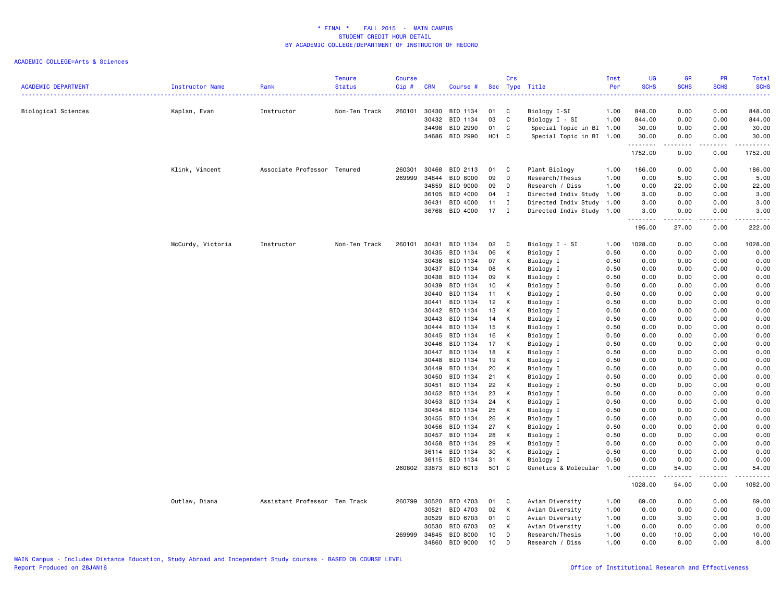| <b>ACADEMIC DEPARTMENT</b> | Instructor Name   | Rank                          | <b>Tenure</b><br><b>Status</b> | <b>Course</b><br>Cip# | <b>CRN</b> | Course #              |        | Crs          | Sec Type Title           | Inst<br>Per | UG<br><b>SCHS</b> | <b>GR</b><br><b>SCHS</b> | PR<br><b>SCHS</b>                                                                                                                                            | Total<br><b>SCHS</b>     |
|----------------------------|-------------------|-------------------------------|--------------------------------|-----------------------|------------|-----------------------|--------|--------------|--------------------------|-------------|-------------------|--------------------------|--------------------------------------------------------------------------------------------------------------------------------------------------------------|--------------------------|
|                            |                   |                               |                                |                       |            |                       |        |              |                          |             |                   | .                        |                                                                                                                                                              | .                        |
| Biological Sciences        | Kaplan, Evan      | Instructor                    | Non-Ten Track                  | 260101                | 30430      | BIO 1134              | 01     | <b>C</b>     | Biology I-SI             | 1.00        | 848.00            | 0.00                     | 0.00                                                                                                                                                         | 848.00                   |
|                            |                   |                               |                                |                       | 30432      | BIO 1134              | 03     | C            | Biology I - SI           | 1.00        | 844.00            | 0.00                     | 0.00                                                                                                                                                         | 844.00                   |
|                            |                   |                               |                                |                       |            | 34498 BIO 2990        | 01     | C            | Special Topic in BI 1.00 |             | 30.00             | 0.00                     | 0.00                                                                                                                                                         | 30.00                    |
|                            |                   |                               |                                |                       |            | 34686 BIO 2990        | H01 C  |              | Special Topic in BI 1.00 |             | 30.00<br>.        | 0.00<br>.                | 0.00<br>.                                                                                                                                                    | 30.00<br>.               |
|                            |                   |                               |                                |                       |            |                       |        |              |                          |             | 1752.00           | 0.00                     | 0.00                                                                                                                                                         | 1752.00                  |
|                            | Klink, Vincent    | Associate Professor Tenured   |                                | 260301                | 30468      | BIO 2113              | 01     | $\mathbf{C}$ | Plant Biology            | 1.00        | 186.00            | 0.00                     | 0.00                                                                                                                                                         | 186.00                   |
|                            |                   |                               |                                | 269999                | 34844      | BIO 8000              | 09     | D            | Research/Thesis          | 1.00        | 0.00              | 5.00                     | 0.00                                                                                                                                                         | 5.00                     |
|                            |                   |                               |                                |                       | 34859      | BIO 9000              | 09     | D            | Research / Diss          | 1.00        | 0.00              | 22.00                    | 0.00                                                                                                                                                         | 22.00                    |
|                            |                   |                               |                                |                       | 36105      | BIO 4000              | 04     | $\mathbf{I}$ | Directed Indiv Study     | 1.00        | 3.00              | 0.00                     | 0.00                                                                                                                                                         | 3.00                     |
|                            |                   |                               |                                |                       | 36431      | BIO 4000              | 11     | I            | Directed Indiv Study     | 1.00        | 3.00              | 0.00                     | 0.00                                                                                                                                                         | 3.00                     |
|                            |                   |                               |                                |                       |            | 36768 BIO 4000        | $17$ I |              | Directed Indiv Study     | 1.00        | 3.00<br>.         | 0.00                     | 0.00                                                                                                                                                         | 3.00                     |
|                            |                   |                               |                                |                       |            |                       |        |              |                          |             | 195.00            | 27.00                    | 0.00                                                                                                                                                         | 222.00                   |
|                            | McCurdy, Victoria | Instructor                    | Non-Ten Track                  | 260101                | 30431      | BIO 1134              | 02     | C            | Biology I - SI           | 1.00        | 1028.00           | 0.00                     | 0.00                                                                                                                                                         | 1028.00                  |
|                            |                   |                               |                                |                       | 30435      | BIO 1134              | 06     | К            | Biology I                | 0.50        | 0.00              | 0.00                     | 0.00                                                                                                                                                         | 0.00                     |
|                            |                   |                               |                                |                       | 30436      | BIO 1134              | 07     | К            | Biology I                | 0.50        | 0.00              | 0.00                     | 0.00                                                                                                                                                         | 0.00                     |
|                            |                   |                               |                                |                       |            | 30437 BIO 1134        | 08     | К            | Biology I                | 0.50        | 0.00              | 0.00                     | 0.00                                                                                                                                                         | 0.00                     |
|                            |                   |                               |                                |                       | 30438      | BIO 1134              | 09     | К            | Biology I                | 0.50        | 0.00              | 0.00                     | 0.00                                                                                                                                                         | 0.00                     |
|                            |                   |                               |                                |                       | 30439      | BIO 1134              | 10     | К            | Biology I                | 0.50        | 0.00              | 0.00                     | 0.00                                                                                                                                                         | 0.00                     |
|                            |                   |                               |                                |                       | 30440      | BIO 1134              | 11     | К            | Biology I                | 0.50        | 0.00              | 0.00                     | 0.00                                                                                                                                                         | 0.00                     |
|                            |                   |                               |                                |                       | 30441      | BIO 1134              | 12     | К            | Biology I                | 0.50        | 0.00              | 0.00                     | 0.00                                                                                                                                                         | 0.00                     |
|                            |                   |                               |                                |                       | 30442      | BIO 1134              | 13     | K            | Biology I                | 0.50        | 0.00              | 0.00                     | 0.00                                                                                                                                                         | 0.00                     |
|                            |                   |                               |                                |                       | 30443      | BIO 1134              | 14     | К            | Biology I                | 0.50        | 0.00              | 0.00                     | 0.00                                                                                                                                                         | 0.00                     |
|                            |                   |                               |                                |                       | 30444      | BIO 1134              | 15     | К            | Biology I                | 0.50        | 0.00              | 0.00                     | 0.00                                                                                                                                                         | 0.00                     |
|                            |                   |                               |                                |                       | 30445      | BIO 1134              | 16     | К            | Biology I                | 0.50        | 0.00              | 0.00                     | 0.00                                                                                                                                                         | 0.00                     |
|                            |                   |                               |                                |                       | 30446      | BIO 1134              | 17     | К            | Biology I                | 0.50        | 0.00              | 0.00                     | 0.00                                                                                                                                                         | 0.00                     |
|                            |                   |                               |                                |                       | 30447      | BIO 1134              | 18     | К            | Biology I                | 0.50        | 0.00              | 0.00                     | 0.00                                                                                                                                                         | 0.00                     |
|                            |                   |                               |                                |                       | 30448      | BIO 1134              | 19     | К            | Biology I                | 0.50        | 0.00              | 0.00                     | 0.00                                                                                                                                                         | 0.00                     |
|                            |                   |                               |                                |                       | 30449      | BIO 1134              | 20     | к            | Biology I                | 0.50        | 0.00              | 0.00                     | 0.00                                                                                                                                                         | 0.00                     |
|                            |                   |                               |                                |                       | 30450      | BIO 1134              | 21     | К            | Biology I                | 0.50        | 0.00              | 0.00                     | 0.00                                                                                                                                                         | 0.00                     |
|                            |                   |                               |                                |                       | 30451      | BIO 1134              | 22     | К            | Biology I                | 0.50        | 0.00              | 0.00                     | 0.00                                                                                                                                                         | 0.00                     |
|                            |                   |                               |                                |                       | 30452      | BIO 1134              | 23     | К            | Biology I                | 0.50        | 0.00              | 0.00                     | 0.00                                                                                                                                                         | 0.00                     |
|                            |                   |                               |                                |                       | 30453      | BIO 1134              | 24     | К            | Biology I                | 0.50        | 0.00              | 0.00                     | 0.00                                                                                                                                                         | 0.00                     |
|                            |                   |                               |                                |                       |            | 30454 BIO 1134        | 25     | К            | Biology I                | 0.50        | 0.00              | 0.00                     | 0.00                                                                                                                                                         | 0.00                     |
|                            |                   |                               |                                |                       |            | 30455 BIO 1134        | 26     | К            | Biology I                | 0.50        | 0.00              | 0.00                     | 0.00                                                                                                                                                         | 0.00                     |
|                            |                   |                               |                                |                       | 30456      | BIO 1134              | 27     | К            | Biology I                | 0.50        | 0.00              | 0.00                     | 0.00                                                                                                                                                         | 0.00                     |
|                            |                   |                               |                                |                       |            | 30457 BIO 1134        | 28     | К            | Biology I                | 0.50        | 0.00              | 0.00                     | 0.00                                                                                                                                                         | 0.00                     |
|                            |                   |                               |                                |                       | 30458      | BIO 1134              | 29     | К            | Biology I                | 0.50        | 0.00              | 0.00                     | 0.00                                                                                                                                                         | 0.00                     |
|                            |                   |                               |                                |                       |            | 36114 BIO 1134        | 30     | К            | Biology I                | 0.50        | 0.00              | 0.00                     | 0.00                                                                                                                                                         | 0.00                     |
|                            |                   |                               |                                |                       | 36115      | BIO 1134              | 31     | К            | Biology I                | 0.50        | 0.00              | 0.00                     | 0.00                                                                                                                                                         | 0.00                     |
|                            |                   |                               |                                |                       |            | 260802 33873 BIO 6013 | 501 C  |              | Genetics & Molecular     | 1.00        | 0.00<br><u>.</u>  | 54.00<br>.               | 0.00<br>$\frac{1}{2} \left( \frac{1}{2} \right) \left( \frac{1}{2} \right) \left( \frac{1}{2} \right) \left( \frac{1}{2} \right) \left( \frac{1}{2} \right)$ | 54.00<br>$- - - - - - -$ |
|                            |                   |                               |                                |                       |            |                       |        |              |                          |             | 1028.00           | 54.00                    | 0.00                                                                                                                                                         | 1082.00                  |
|                            | Outlaw, Diana     | Assistant Professor Ten Track |                                | 260799                | 30520      | BIO 4703              | 01     | $\mathbf{C}$ | Avian Diversity          | 1.00        | 69.00             | 0.00                     | 0.00                                                                                                                                                         | 69.00                    |
|                            |                   |                               |                                |                       | 30521      | BIO 4703              | 02     | K            | Avian Diversity          | 1.00        | 0.00              | 0.00                     | 0.00                                                                                                                                                         | 0.00                     |
|                            |                   |                               |                                |                       | 30529      | BIO 6703              | 01     | C            | Avian Diversity          | 1.00        | 0.00              | 3.00                     | 0.00                                                                                                                                                         | 3.00                     |
|                            |                   |                               |                                |                       | 30530      | BIO 6703              | 02     | K            | Avian Diversity          | 1.00        | 0.00              | 0.00                     | 0.00                                                                                                                                                         | 0.00                     |
|                            |                   |                               |                                | 269999                |            | 34845 BIO 8000        | 10     | D            | Research/Thesis          | 1.00        | 0.00              | 10.00                    | 0.00                                                                                                                                                         | 10.00                    |
|                            |                   |                               |                                |                       | 34860      | BIO 9000              | 10     | D            | Research / Diss          | 1.00        | 0.00              | 8.00                     | 0.00                                                                                                                                                         | 8,00                     |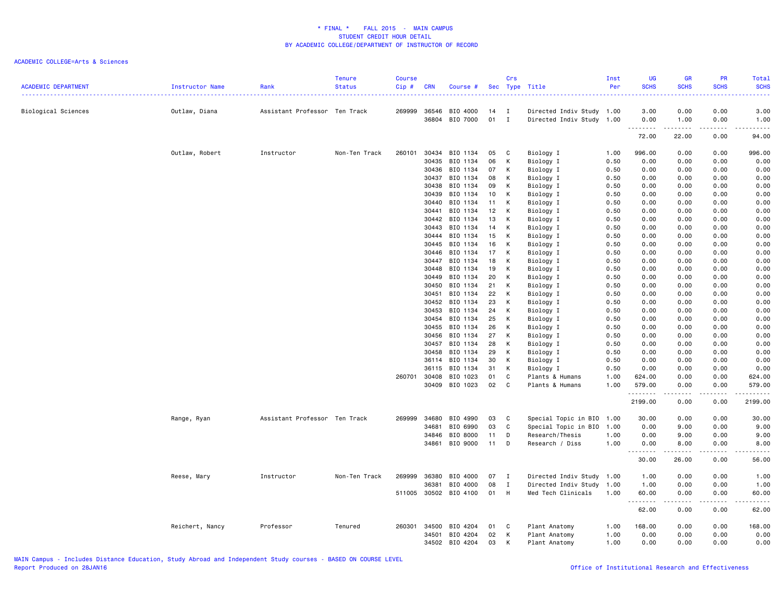| <b>ACADEMIC DEPARTMENT</b> | Instructor Name | Rank                          | <b>Tenure</b><br><b>Status</b> | <b>Course</b><br>Cip# | <b>CRN</b> | Course #                         |              | Crs            | Sec Type Title            | Inst<br>Per  | <b>UG</b><br><b>SCHS</b> | <b>GR</b><br><b>SCHS</b>            | PR<br><b>SCHS</b> | Total<br><b>SCHS</b> |
|----------------------------|-----------------|-------------------------------|--------------------------------|-----------------------|------------|----------------------------------|--------------|----------------|---------------------------|--------------|--------------------------|-------------------------------------|-------------------|----------------------|
| Biological Sciences        | Outlaw, Diana   | Assistant Professor Ten Track |                                | 269999                | 36546      | BIO 4000<br>36804 BIO 7000       | 14<br>$01$ I | $\blacksquare$ | Directed Indiv Study 1.00 |              | 3.00<br>0.00             | 0.00                                | 0.00<br>0.00      | 3.00                 |
|                            |                 |                               |                                |                       |            |                                  |              |                | Directed Indiv Study 1.00 |              | .                        | 1.00<br>-----                       |                   | 1.00                 |
|                            |                 |                               |                                |                       |            |                                  |              |                |                           |              | 72.00                    | 22.00                               | 0.00              | 94.00                |
|                            | Outlaw, Robert  | Instructor                    | Non-Ten Track                  | 260101                | 30434      | BIO 1134                         | 05           | $\mathbf{C}$   | Biology I                 | 1.00         | 996.00                   | 0.00                                | 0.00              | 996.00               |
|                            |                 |                               |                                |                       | 30435      | BIO 1134                         | 06           | К              | Biology I                 | 0.50         | 0.00                     | 0.00                                | 0.00              | 0.00                 |
|                            |                 |                               |                                |                       |            | 30436 BIO 1134                   | 07           | К              | Biology I                 | 0.50         | 0.00                     | 0.00                                | 0.00              | 0.00                 |
|                            |                 |                               |                                |                       |            | 30437 BIO 1134                   | 08           | К              | Biology I                 | 0.50         | 0.00                     | 0.00                                | 0.00              | 0.00                 |
|                            |                 |                               |                                |                       | 30438      | BIO 1134                         | 09           | К              | Biology I                 | 0.50         | 0.00                     | 0.00                                | 0.00              | 0.00                 |
|                            |                 |                               |                                |                       | 30439      | BIO 1134                         | 10           | К              | Biology I                 | 0.50         | 0.00                     | 0.00                                | 0.00              | 0.00                 |
|                            |                 |                               |                                |                       |            | 30440 BIO 1134                   | 11           | K              | Biology I                 | 0.50         | 0.00                     | 0.00                                | 0.00              | 0.00                 |
|                            |                 |                               |                                |                       | 30441      | BIO 1134                         | 12           | K              | Biology I                 | 0.50         | 0.00                     | 0.00                                | 0.00              | 0.00                 |
|                            |                 |                               |                                |                       |            | 30442 BIO 1134                   | 13           | К              | Biology I                 | 0.50         | 0.00                     | 0.00                                | 0.00              | 0.00                 |
|                            |                 |                               |                                |                       | 30443      | BIO 1134                         | 14           | К              | Biology I                 | 0.50         | 0.00                     | 0.00                                | 0.00              | 0.00                 |
|                            |                 |                               |                                |                       |            | 30444 BIO 1134                   | 15           | K              | Biology I                 | 0.50         | 0.00                     | 0.00                                | 0.00              | 0.00                 |
|                            |                 |                               |                                |                       |            | 30445 BIO 1134                   | 16           | К              | Biology I                 | 0.50         | 0.00                     | 0.00                                | 0.00              | 0.00                 |
|                            |                 |                               |                                |                       | 30446      | BIO 1134                         | 17           | K              | Biology I                 | 0.50         | 0.00                     | 0.00                                | 0.00              | 0.00                 |
|                            |                 |                               |                                |                       | 30447      | BIO 1134                         | 18           | К              | Biology I                 | 0.50         | 0.00                     | 0.00                                | 0.00              | 0.00                 |
|                            |                 |                               |                                |                       | 30448      | BIO 1134                         | 19           | К              | Biology I                 | 0.50         | 0.00                     | 0.00                                | 0.00              | 0.00                 |
|                            |                 |                               |                                |                       | 30449      | BIO 1134                         | 20           | К              | Biology I                 | 0.50         | 0.00                     | 0.00                                | 0.00              | 0.00                 |
|                            |                 |                               |                                |                       |            | 30450 BIO 1134                   | 21           | К              | Biology I                 | 0.50         | 0.00                     | 0.00                                | 0.00              | 0.00                 |
|                            |                 |                               |                                |                       | 30451      | BIO 1134                         | 22           | K              | Biology I                 | 0.50         | 0.00                     | 0.00                                | 0.00              | 0.00                 |
|                            |                 |                               |                                |                       | 30452      | BIO 1134                         | 23           | К              | Biology I                 | 0.50         | 0.00                     | 0.00                                | 0.00              | 0.00                 |
|                            |                 |                               |                                |                       | 30453      | BIO 1134                         | 24           | К              | Biology I                 | 0.50         | 0.00                     | 0.00                                | 0.00              | 0.00                 |
|                            |                 |                               |                                |                       |            | 30454 BIO 1134<br>30455 BIO 1134 | 25<br>26     | K<br>К         | Biology I<br>Biology I    | 0.50<br>0.50 | 0.00<br>0.00             | 0.00<br>0.00                        | 0.00<br>0.00      | 0.00<br>0.00         |
|                            |                 |                               |                                |                       | 30456      | BIO 1134                         | 27           | К              | Biology I                 | 0.50         | 0.00                     | 0.00                                | 0.00              | 0.00                 |
|                            |                 |                               |                                |                       |            | 30457 BIO 1134                   | 28           | К              | Biology I                 | 0.50         | 0.00                     | 0.00                                | 0.00              | 0.00                 |
|                            |                 |                               |                                |                       | 30458      | BIO 1134                         | 29           | К              | Biology I                 | 0.50         | 0.00                     | 0.00                                | 0.00              | 0.00                 |
|                            |                 |                               |                                |                       |            | 36114 BIO 1134                   | 30           | К              | Biology I                 | 0.50         | 0.00                     | 0.00                                | 0.00              | 0.00                 |
|                            |                 |                               |                                |                       | 36115      | BIO 1134                         | 31           | К              | Biology I                 | 0.50         | 0.00                     | 0.00                                | 0.00              | 0.00                 |
|                            |                 |                               |                                | 260701                | 30408      | BIO 1023                         | 01           | C              | Plants & Humans           | 1.00         | 624.00                   | 0.00                                | 0.00              | 624.00               |
|                            |                 |                               |                                |                       |            | 30409 BIO 1023                   | 02           | $\mathbf{C}$   | Plants & Humans           | 1.00         | 579.00                   | 0.00                                | 0.00              | 579.00               |
|                            |                 |                               |                                |                       |            |                                  |              |                |                           |              | .<br>2199.00             | .<br>0.00                           | .<br>0.00         | 2199.00              |
|                            | Range, Ryan     | Assistant Professor Ten Track |                                | 269999                | 34680      | BIO 4990                         | 03           | $\mathbf{C}$   | Special Topic in BIO      | 1.00         | 30.00                    | 0.00                                | 0.00              | 30.00                |
|                            |                 |                               |                                |                       | 34681      | BIO 6990                         | 03           | $\mathbf{C}$   | Special Topic in BIO      | 1.00         | 0.00                     | 9.00                                | 0.00              | 9.00                 |
|                            |                 |                               |                                |                       | 34846      | BIO 8000                         | 11           | D              | Research/Thesis           | 1.00         | 0.00                     | 9.00                                | 0.00              | 9.00                 |
|                            |                 |                               |                                |                       | 34861      | BIO 9000                         | 11 D         |                | Research / Diss           | 1.00         | 0.00                     | 8.00                                | 0.00              | 8.00                 |
|                            |                 |                               |                                |                       |            |                                  |              |                |                           |              | <u>.</u><br>30.00        | .<br>26.00                          | .<br>0.00         | 56.00                |
|                            | Reese, Mary     | Instructor                    | Non-Ten Track                  | 269999                | 36380      | BIO 4000                         | 07 I         |                | Directed Indiv Study      | 1.00         | 1.00                     | 0.00                                | 0.00              | 1.00                 |
|                            |                 |                               |                                |                       | 36381      | BIO 4000                         | 08           | $\mathbf{I}$   | Directed Indiv Study      | 1.00         | 1.00                     | 0.00                                | 0.00              | 1.00                 |
|                            |                 |                               |                                | 511005                |            | 30502 BIO 4100                   | 01           | H              | Med Tech Clinicals        | 1.00         | 60.00<br>.               | 0.00<br>$\sim$ $\sim$ $\sim$ $\sim$ | 0.00              | 60.00                |
|                            |                 |                               |                                |                       |            |                                  |              |                |                           |              | 62.00                    | 0.00                                | 0.00              | 62.00                |
|                            | Reichert, Nancy | Professor                     | Tenured                        | 260301                | 34500      | BIO 4204                         | 01           | C              | Plant Anatomy             | 1.00         | 168.00                   | 0.00                                | 0.00              | 168.00               |
|                            |                 |                               |                                |                       | 34501      | BIO 4204                         | 02           | К              | Plant Anatomy             | 1.00         | 0.00                     | 0.00                                | 0.00              | 0.00                 |
|                            |                 |                               |                                |                       |            | 34502 BIO 4204                   | 03           | К              | Plant Anatomy             | 1.00         | 0.00                     | 0.00                                | 0.00              | 0.00                 |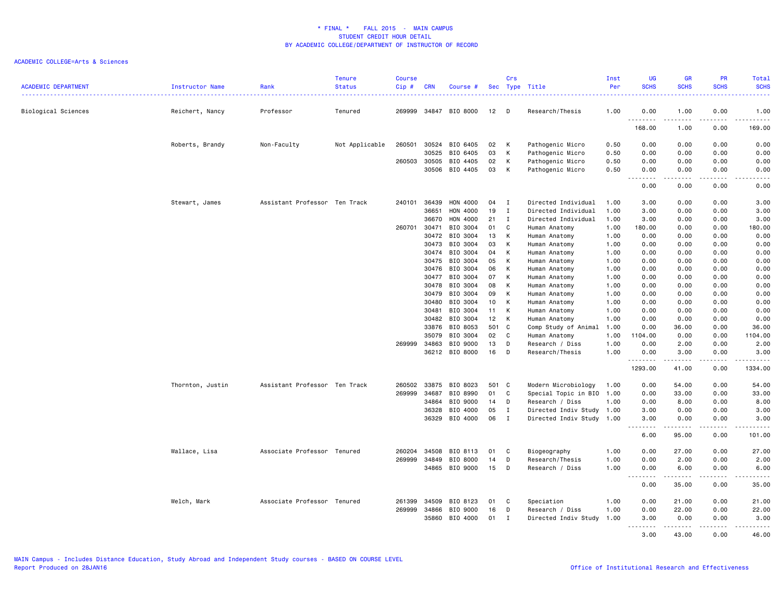| <b>ACADEMIC DEPARTMENT</b> | Instructor Name  | Rank                          | <b>Tenure</b><br><b>Status</b> | <b>Course</b><br>Cip# | <b>CRN</b> | Course #       |     | Crs          | Sec Type Title            | Inst<br>Per | <b>UG</b><br><b>SCHS</b>                                     | <b>GR</b><br><b>SCHS</b> | <b>PR</b><br><b>SCHS</b> | Total<br><b>SCHS</b>                                                                                                                                         |
|----------------------------|------------------|-------------------------------|--------------------------------|-----------------------|------------|----------------|-----|--------------|---------------------------|-------------|--------------------------------------------------------------|--------------------------|--------------------------|--------------------------------------------------------------------------------------------------------------------------------------------------------------|
| Biological Sciences        | Reichert, Nancy  | Professor                     | Tenured                        | 269999                |            | 34847 BIO 8000 | 12  | D            | Research/Thesis           | .<br>1.00   | .<br>0.00                                                    | 1.00                     | 0.00                     | $\frac{1}{2} \left( \frac{1}{2} \right) \left( \frac{1}{2} \right) \left( \frac{1}{2} \right) \left( \frac{1}{2} \right) \left( \frac{1}{2} \right)$<br>1.00 |
|                            |                  |                               |                                |                       |            |                |     |              |                           |             | .<br>168.00                                                  | . <u>.</u><br>1.00       | .<br>0.00                | .<br>169.00                                                                                                                                                  |
|                            | Roberts, Brandy  | Non-Faculty                   | Not Applicable                 | 260501                | 30524      | BIO 6405       | 02  | K            | Pathogenic Micro          | 0.50        | 0.00                                                         | 0.00                     | 0.00                     | 0.00                                                                                                                                                         |
|                            |                  |                               |                                |                       | 30525      | BIO 6405       | 03  | К            | Pathogenic Micro          | 0.50        | 0.00                                                         | 0.00                     | 0.00                     | 0.00                                                                                                                                                         |
|                            |                  |                               |                                | 260503                | 30505      | BIO 4405       | 02  | К            | Pathogenic Micro          | 0.50        | 0.00                                                         | 0.00                     | 0.00                     | 0.00                                                                                                                                                         |
|                            |                  |                               |                                |                       | 30506      | BIO 4405       | 03  | К            | Pathogenic Micro          | 0.50        | 0.00<br>$\omega$ $\omega$ $\omega$ $\omega$<br>$\sim$ $\sim$ | 0.00<br>22222            | 0.00<br>د د د د          | 0.00<br>.                                                                                                                                                    |
|                            |                  |                               |                                |                       |            |                |     |              |                           |             | 0.00                                                         | 0.00                     | 0.00                     | 0.00                                                                                                                                                         |
|                            | Stewart, James   | Assistant Professor Ten Track |                                | 240101                | 36439      | HON 4000       | 04  | I            | Directed Individual       | 1.00        | 3.00                                                         | 0.00                     | 0.00                     | 3.00                                                                                                                                                         |
|                            |                  |                               |                                |                       | 36651      | HON 4000       | 19  | I            | Directed Individual       | 1.00        | 3.00                                                         | 0.00                     | 0.00                     | 3.00                                                                                                                                                         |
|                            |                  |                               |                                |                       | 36670      | HON 4000       | 21  | $\mathbf I$  | Directed Individual       | 1.00        | 3.00                                                         | 0.00                     | 0.00                     | 3.00                                                                                                                                                         |
|                            |                  |                               |                                | 260701                | 30471      | BIO 3004       | 01  | C            | Human Anatomy             | 1.00        | 180.00                                                       | 0.00                     | 0.00                     | 180.00                                                                                                                                                       |
|                            |                  |                               |                                |                       | 30472      | BIO 3004       | 13  | К            | Human Anatomy             | 1.00        | 0.00                                                         | 0.00                     | 0.00                     | 0.00                                                                                                                                                         |
|                            |                  |                               |                                |                       | 30473      | BIO 3004       | 03  | K            | Human Anatomy             | 1.00        | 0.00                                                         | 0.00                     | 0.00                     | 0.00                                                                                                                                                         |
|                            |                  |                               |                                |                       | 30474      | BIO 3004       | 04  | К            | Human Anatomy             | 1.00        | 0.00                                                         | 0.00                     | 0.00                     | 0.00                                                                                                                                                         |
|                            |                  |                               |                                |                       | 30475      | BIO 3004       | 05  | К            | Human Anatomy             | 1.00        | 0.00                                                         | 0.00                     | 0.00                     | 0.00                                                                                                                                                         |
|                            |                  |                               |                                |                       | 30476      | BIO 3004       | 06  | K            | Human Anatomy             | 1.00        | 0.00                                                         | 0.00                     | 0.00                     | 0.00                                                                                                                                                         |
|                            |                  |                               |                                |                       | 30477      | BIO 3004       | 07  | К            | Human Anatomy             | 1.00        | 0.00                                                         | 0.00                     | 0.00                     | 0.00                                                                                                                                                         |
|                            |                  |                               |                                |                       | 30478      | BIO 3004       | 08  | К            | Human Anatomy             | 1.00        | 0.00                                                         | 0.00                     | 0.00                     | 0.00                                                                                                                                                         |
|                            |                  |                               |                                |                       | 30479      | BIO 3004       | 09  | К            | Human Anatomy             | 1.00        | 0.00                                                         | 0.00                     | 0.00                     | 0.00                                                                                                                                                         |
|                            |                  |                               |                                |                       | 30480      | BIO 3004       | 10  | К            | Human Anatomy             | 1.00        | 0.00                                                         | 0.00                     | 0.00                     | 0.00                                                                                                                                                         |
|                            |                  |                               |                                |                       | 30481      | BIO 3004       | 11  | К            | Human Anatomy             | 1.00        | 0.00                                                         | 0.00                     | 0.00                     | 0.00                                                                                                                                                         |
|                            |                  |                               |                                |                       | 30482      | BIO 3004       | 12  | К            | Human Anatomy             | 1.00        | 0.00                                                         | 0.00                     | 0.00                     | 0.00                                                                                                                                                         |
|                            |                  |                               |                                |                       | 33876      | BIO 8053       | 501 | C            | Comp Study of Animal      | 1.00        | 0.00                                                         | 36.00                    | 0.00                     | 36.00                                                                                                                                                        |
|                            |                  |                               |                                |                       | 35079      | BIO 3004       | 02  | C            | Human Anatomy             | 1.00        | 1104.00                                                      | 0.00                     | 0.00                     | 1104.00                                                                                                                                                      |
|                            |                  |                               |                                | 269999                | 34863      | BIO 9000       | 13  | D            | Research / Diss           | 1.00        | 0.00                                                         | 2.00                     | 0.00                     | 2.00                                                                                                                                                         |
|                            |                  |                               |                                |                       |            | 36212 BIO 8000 | 16  | D            | Research/Thesis           | 1.00        | 0.00<br>.                                                    | 3.00<br>.                | 0.00<br>.                | 3.00<br>.                                                                                                                                                    |
|                            |                  |                               |                                |                       |            |                |     |              |                           |             | 1293.00                                                      | 41.00                    | 0.00                     | 1334.00                                                                                                                                                      |
|                            | Thornton, Justin | Assistant Professor Ten Track |                                | 260502                | 33875      | BIO 8023       | 501 | $\mathbf{C}$ | Modern Microbiology       | 1.00        | 0.00                                                         | 54.00                    | 0.00                     | 54.00                                                                                                                                                        |
|                            |                  |                               |                                | 269999                | 34687      | BIO 8990       | 01  | C            | Special Topic in BIO 1.00 |             | 0.00                                                         | 33.00                    | 0.00                     | 33.00                                                                                                                                                        |
|                            |                  |                               |                                |                       | 34864      | BIO 9000       | 14  | D            | Research / Diss           | 1.00        | 0.00                                                         | 8.00                     | 0.00                     | 8.00                                                                                                                                                         |
|                            |                  |                               |                                |                       | 36328      | BIO 4000       | 05  | $\mathbf I$  | Directed Indiv Study 1.00 |             | 3.00                                                         | 0.00                     | 0.00                     | 3.00                                                                                                                                                         |
|                            |                  |                               |                                |                       | 36329      | BIO 4000       | 06  | I            | Directed Indiv Study 1.00 |             | 3.00<br>$\sim$ $\sim$ .<br>$\sim$ $\sim$ $\sim$ $\sim$       | 0.00                     | 0.00<br>$- - -$          | 3.00<br>$\sim$ $\sim$ $\sim$ $\sim$ $\sim$                                                                                                                   |
|                            |                  |                               |                                |                       |            |                |     |              |                           |             | 6.00                                                         | 95.00                    | 0.00                     | 101.00                                                                                                                                                       |
|                            | Wallace, Lisa    | Associate Professor Tenured   |                                | 260204                | 34508      | BIO 8113       | 01  | C            | Biogeography              | 1.00        | 0.00                                                         | 27.00                    | 0.00                     | 27.00                                                                                                                                                        |
|                            |                  |                               |                                | 269999                | 34849      | BIO 8000       | 14  | D            | Research/Thesis           | 1.00        | 0.00                                                         | 2.00                     | 0.00                     | 2.00                                                                                                                                                         |
|                            |                  |                               |                                |                       | 34865      | BIO 9000       | 15  | D            | Research / Diss           | 1.00        | 0.00<br>.                                                    | 6.00                     | 0.00                     | 6.00<br>$\frac{1}{2} \left( \frac{1}{2} \right) \left( \frac{1}{2} \right) \left( \frac{1}{2} \right) \left( \frac{1}{2} \right) \left( \frac{1}{2} \right)$ |
|                            |                  |                               |                                |                       |            |                |     |              |                           |             | 0.00                                                         | 35.00                    | 0.00                     | 35.00                                                                                                                                                        |
|                            | Welch, Mark      | Associate Professor Tenured   |                                | 261399                | 34509      | BIO 8123       | 01  | C            | Speciation                | 1.00        | 0.00                                                         | 21.00                    | 0.00                     | 21.00                                                                                                                                                        |
|                            |                  |                               |                                | 269999                | 34866      | BIO 9000       | 16  | D            | Research / Diss           | 1.00        | 0.00                                                         | 22.00                    | 0.00                     | 22.00                                                                                                                                                        |
|                            |                  |                               |                                |                       | 35860      | BIO 4000       | 01  | I            | Directed Indiv Study      | 1.00        | 3.00                                                         | 0.00                     | 0.00                     | 3.00                                                                                                                                                         |
|                            |                  |                               |                                |                       |            |                |     |              |                           |             | <u>.</u><br>3.00                                             | .<br>43.00               | .<br>0.00                | <u>.</u><br>46.00                                                                                                                                            |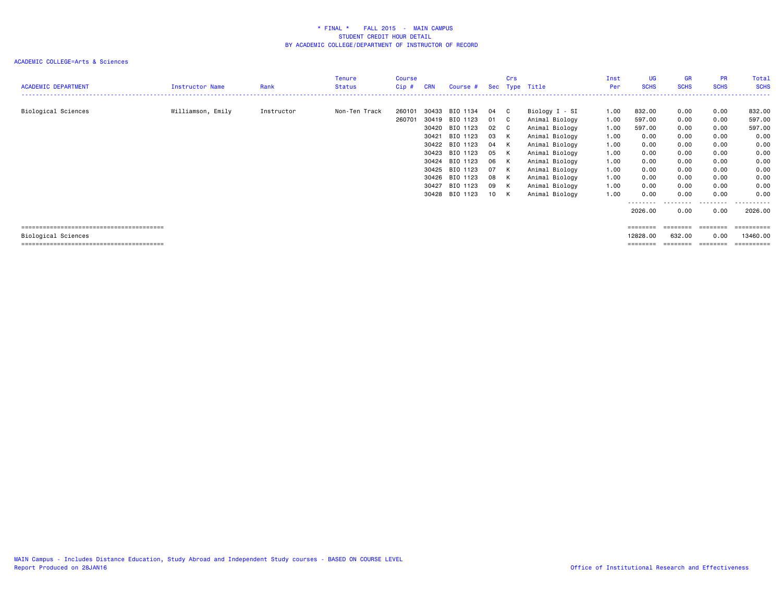| <b>ACADEMIC DEPARTMENT</b> | Instructor Name   | Rank       | <b>Tenure</b><br><b>Status</b> | Course<br>Cip#   | <b>CRN</b>                                                                                      | Course #                                                                                                                         |                                                                | Crs                                                                                  | Sec Type Title                                                                                                                                                                                     | Inst<br>Per                                                                          | UG<br><b>SCHS</b>                                                                                      | GR<br><b>SCHS</b>                                                                    | <b>PR</b><br><b>SCHS</b>                                                                  | Total<br><b>SCHS</b>                                                                                  |
|----------------------------|-------------------|------------|--------------------------------|------------------|-------------------------------------------------------------------------------------------------|----------------------------------------------------------------------------------------------------------------------------------|----------------------------------------------------------------|--------------------------------------------------------------------------------------|----------------------------------------------------------------------------------------------------------------------------------------------------------------------------------------------------|--------------------------------------------------------------------------------------|--------------------------------------------------------------------------------------------------------|--------------------------------------------------------------------------------------|-------------------------------------------------------------------------------------------|-------------------------------------------------------------------------------------------------------|
| Biological Sciences        | Williamson, Emily | Instructor | Non-Ten Track                  | 260101<br>260701 | 30433<br>30419<br>30420<br>30421<br>30422<br>30423<br>30424<br>30425<br>30426<br>30427<br>30428 | BIO 1134<br>BIO 1123<br>BIO 1123<br>BIO 1123<br>BIO 1123<br>BIO 1123<br>BIO 1123<br>BIO 1123<br>BIO 1123<br>BIO 1123<br>BIO 1123 | 04<br>01<br>02<br>03<br>04<br>05<br>06<br>07<br>08<br>09<br>10 | $\mathbf{C}$<br>$\mathbf{C}$<br>$\mathbf{C}$<br>K<br>K<br>K<br>K<br>K<br>K<br>K<br>K | Biology I - SI<br>Animal Biology<br>Animal Biology<br>Animal Biology<br>Animal Biology<br>Animal Biology<br>Animal Biology<br>Animal Biology<br>Animal Biology<br>Animal Biology<br>Animal Biology | 1.00<br>1.00<br>1.00<br>1.00<br>1.00<br>1.00<br>1.00<br>1.00<br>1.00<br>1.00<br>1.00 | 832.00<br>597.00<br>597.00<br>0.00<br>0.00<br>0.00<br>0.00<br>0.00<br>0.00<br>0.00<br>0.00<br>-------- | 0.00<br>0.00<br>0.00<br>0.00<br>0.00<br>0.00<br>0.00<br>0.00<br>0.00<br>0.00<br>0.00 | 0.00<br>0.00<br>0.00<br>0.00<br>0.00<br>0.00<br>0.00<br>0.00<br>0.00<br>0.00<br>0.00<br>. | 832.00<br>597.00<br>597.00<br>0.00<br>0.00<br>0.00<br>0.00<br>0.00<br>0.00<br>0.00<br>0.00<br>------- |
|                            |                   |            |                                |                  |                                                                                                 |                                                                                                                                  |                                                                |                                                                                      |                                                                                                                                                                                                    |                                                                                      | 2026.00                                                                                                | 0.00                                                                                 | 0.00                                                                                      | 2026.00                                                                                               |
|                            |                   |            |                                |                  |                                                                                                 |                                                                                                                                  |                                                                |                                                                                      |                                                                                                                                                                                                    |                                                                                      | ========                                                                                               | ========                                                                             | ========                                                                                  | essessess                                                                                             |
| Biological Sciences        |                   |            |                                |                  |                                                                                                 |                                                                                                                                  |                                                                |                                                                                      |                                                                                                                                                                                                    |                                                                                      | 12828.00                                                                                               | 632.00                                                                               | 0.00                                                                                      | 13460.00                                                                                              |
|                            |                   |            |                                |                  |                                                                                                 |                                                                                                                                  |                                                                |                                                                                      |                                                                                                                                                                                                    |                                                                                      | ========                                                                                               | ========                                                                             | ========                                                                                  | ==========                                                                                            |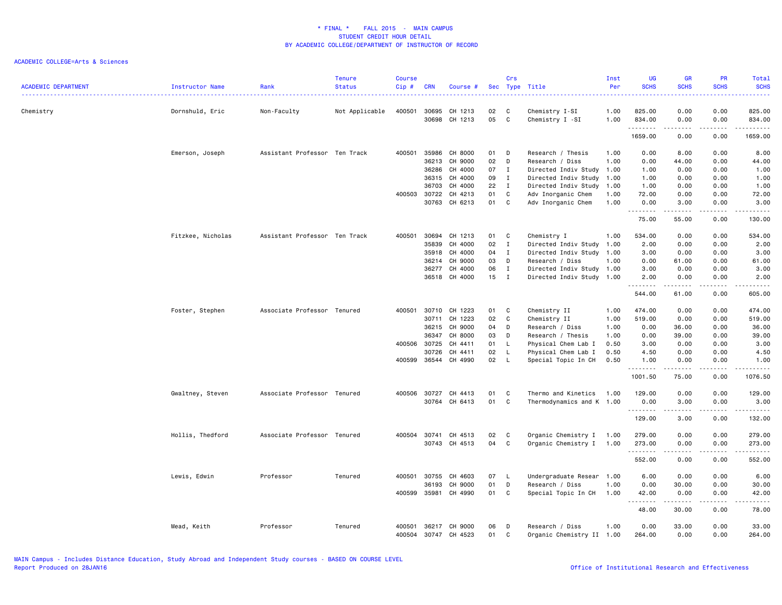| <b>ACADEMIC DEPARTMENT</b> | <b>Instructor Name</b> | Rank                          | <b>Tenure</b><br><b>Status</b> | <b>Course</b><br>Cip# | <b>CRN</b>     | Course #           |          | Crs          | Sec Type Title                    | Inst<br>Per  | UG<br><b>SCHS</b> | <b>GR</b><br><b>SCHS</b>                                                                                                                                     | <b>PR</b><br><b>SCHS</b>                                                                                                  | Total<br><b>SCHS</b> |
|----------------------------|------------------------|-------------------------------|--------------------------------|-----------------------|----------------|--------------------|----------|--------------|-----------------------------------|--------------|-------------------|--------------------------------------------------------------------------------------------------------------------------------------------------------------|---------------------------------------------------------------------------------------------------------------------------|----------------------|
| Chemistry                  | Dornshuld, Eric        | Non-Faculty                   | Not Applicable                 | 400501                | 30695<br>30698 | CH 1213<br>CH 1213 | 02<br>05 | C<br>C       | Chemistry I-SI<br>Chemistry I -SI | 1.00<br>1.00 | 825.00<br>834.00  | 0.00<br>0.00                                                                                                                                                 | 0.00<br>0.00                                                                                                              | 825.00<br>834.00     |
|                            |                        |                               |                                |                       |                |                    |          |              |                                   |              | .<br>1659.00      | .<br>0.00                                                                                                                                                    | .<br>0.00                                                                                                                 | .<br>1659.00         |
|                            | Emerson, Joseph        | Assistant Professor Ten Track |                                | 400501                | 35986          | CH 8000            | 01       | D            | Research / Thesis                 | 1.00         | 0.00              | 8.00                                                                                                                                                         | 0.00                                                                                                                      | 8.00                 |
|                            |                        |                               |                                |                       | 36213          | CH 9000            | 02       | D            | Research / Diss                   | 1.00         | 0.00              | 44.00                                                                                                                                                        | 0.00                                                                                                                      | 44.00                |
|                            |                        |                               |                                |                       | 36286          | CH 4000            | 07       | $\mathbf{I}$ | Directed Indiv Study 1.00         |              | 1.00              | 0.00                                                                                                                                                         | 0.00                                                                                                                      | 1.00                 |
|                            |                        |                               |                                |                       | 36315          | CH 4000            | 09       | I            | Directed Indiv Study              | 1.00         | 1.00              | 0.00                                                                                                                                                         | 0.00                                                                                                                      | 1.00                 |
|                            |                        |                               |                                |                       | 36703          | CH 4000            | 22       | I            | Directed Indiv Study              | 1.00         | 1.00              | 0.00                                                                                                                                                         | 0.00                                                                                                                      | 1.00                 |
|                            |                        |                               |                                |                       | 400503 30722   | CH 4213            | 01       | $\mathsf C$  | Adv Inorganic Chem                | 1.00         | 72.00             | 0.00                                                                                                                                                         | 0.00                                                                                                                      | 72.00                |
|                            |                        |                               |                                |                       | 30763          | CH 6213            | 01       | C            | Adv Inorganic Chem                | 1.00         | 0.00<br>.         | 3.00<br>$\frac{1}{2} \left( \frac{1}{2} \right) \left( \frac{1}{2} \right) \left( \frac{1}{2} \right) \left( \frac{1}{2} \right) \left( \frac{1}{2} \right)$ | 0.00<br>.                                                                                                                 | 3.00<br>.            |
|                            |                        |                               |                                |                       |                |                    |          |              |                                   |              | 75.00             | 55.00                                                                                                                                                        | 0.00                                                                                                                      | 130.00               |
|                            | Fitzkee, Nicholas      | Assistant Professor Ten Track |                                | 400501                | 30694          | CH 1213            | 01       | C            | Chemistry I                       | 1.00         | 534.00            | 0.00                                                                                                                                                         | 0.00                                                                                                                      | 534.00               |
|                            |                        |                               |                                |                       | 35839          | CH 4000            | 02       | $\mathbf{I}$ | Directed Indiv Study              | 1.00         | 2.00              | 0.00                                                                                                                                                         | 0.00                                                                                                                      | 2.00                 |
|                            |                        |                               |                                |                       | 35918          | CH 4000            | 04       | $\mathbf{I}$ | Directed Indiv Study              | 1.00         | 3.00              | 0.00                                                                                                                                                         | 0.00                                                                                                                      | 3.00                 |
|                            |                        |                               |                                |                       | 36214          | CH 9000            | 03       | D            | Research / Diss                   | 1.00         | 0.00              | 61.00                                                                                                                                                        | 0.00                                                                                                                      | 61.00                |
|                            |                        |                               |                                |                       | 36277          | CH 4000            | 06       | $\mathbf I$  | Directed Indiv Study 1.00         |              | 3.00              | 0.00                                                                                                                                                         | 0.00                                                                                                                      | 3.00                 |
|                            |                        |                               |                                |                       |                | 36518 CH 4000      | 15       | $\mathbf{I}$ | Directed Indiv Study 1.00         |              | 2.00              | 0.00                                                                                                                                                         | 0.00                                                                                                                      | 2.00                 |
|                            |                        |                               |                                |                       |                |                    |          |              |                                   |              | .<br>544.00       | 61.00                                                                                                                                                        | .<br>0.00                                                                                                                 | .<br>605.00          |
|                            | Foster, Stephen        | Associate Professor Tenured   |                                | 400501                | 30710          | CH 1223            | 01       | C            | Chemistry II                      | 1.00         | 474.00            | 0.00                                                                                                                                                         | 0.00                                                                                                                      | 474.00               |
|                            |                        |                               |                                |                       | 30711          | CH 1223            | 02       | C            | Chemistry II                      | 1.00         | 519.00            | 0.00                                                                                                                                                         | 0.00                                                                                                                      | 519.00               |
|                            |                        |                               |                                |                       | 36215          | CH 9000            | 04       | D            | Research / Diss                   | 1.00         | 0.00              | 36.00                                                                                                                                                        | 0.00                                                                                                                      | 36.00                |
|                            |                        |                               |                                |                       | 36347          | CH 8000            | 03       | D            | Research / Thesis                 | 1.00         | 0.00              | 39.00                                                                                                                                                        | 0.00                                                                                                                      | 39.00                |
|                            |                        |                               |                                | 400506                | 30725          | CH 4411            | 01       | L.           | Physical Chem Lab I               | 0.50         | 3.00              | 0.00                                                                                                                                                         | 0.00                                                                                                                      | 3.00                 |
|                            |                        |                               |                                |                       | 30726          | CH 4411            | 02       | L            | Physical Chem Lab I               | 0.50         | 4.50              | 0.00                                                                                                                                                         | 0.00                                                                                                                      | 4.50                 |
|                            |                        |                               |                                | 400599                |                | 36544 CH 4990      | 02       | - L          | Special Topic In CH               | 0.50         | 1.00<br><u>.</u>  | 0.00<br>.                                                                                                                                                    | 0.00<br>$\frac{1}{2}$                                                                                                     | 1.00<br>.            |
|                            |                        |                               |                                |                       |                |                    |          |              |                                   |              | 1001.50           | 75.00                                                                                                                                                        | 0.00                                                                                                                      | 1076.50              |
|                            | Gwaltney, Steven       | Associate Professor Tenured   |                                | 400506                | 30727          | CH 4413            | 01       | C            | Thermo and Kinetics               | 1.00         | 129.00            | 0.00                                                                                                                                                         | 0.00                                                                                                                      | 129.00               |
|                            |                        |                               |                                |                       |                | 30764 CH 6413      | 01       | C            | Thermodynamics and K 1.00         |              | 0.00              | 3.00                                                                                                                                                         | 0.00                                                                                                                      | 3.00                 |
|                            |                        |                               |                                |                       |                |                    |          |              |                                   |              | .                 | $\frac{1}{2} \left( \frac{1}{2} \right) \left( \frac{1}{2} \right) \left( \frac{1}{2} \right) \left( \frac{1}{2} \right)$                                    | $\frac{1}{2} \left( \frac{1}{2} \right) \left( \frac{1}{2} \right) \left( \frac{1}{2} \right) \left( \frac{1}{2} \right)$ | .                    |
|                            |                        |                               |                                |                       |                |                    |          |              |                                   |              | 129.00            | 3.00                                                                                                                                                         | 0.00                                                                                                                      | 132.00               |
|                            | Hollis, Thedford       | Associate Professor Tenured   |                                | 400504                | 30741          | CH 4513            | 02       | C            | Organic Chemistry I               | 1.00         | 279.00            | 0.00                                                                                                                                                         | 0.00                                                                                                                      | 279.00               |
|                            |                        |                               |                                |                       |                | 30743 CH 4513      | 04       | C            | Organic Chemistry I               | 1.00         | 273.00            | 0.00                                                                                                                                                         | 0.00                                                                                                                      | 273.00               |
|                            |                        |                               |                                |                       |                |                    |          |              |                                   |              | .<br>552.00       | -----<br>0.00                                                                                                                                                | .<br>0.00                                                                                                                 | .<br>552.00          |
|                            |                        |                               |                                |                       |                |                    |          |              |                                   |              |                   |                                                                                                                                                              |                                                                                                                           |                      |
|                            | Lewis, Edwin           | Professor                     | Tenured                        | 400501                | 30755          | CH 4603            | 07       | $\mathsf{L}$ | Undergraduate Resear 1.00         |              | 6.00              | 0.00                                                                                                                                                         | 0.00                                                                                                                      | 6.00                 |
|                            |                        |                               |                                |                       | 36193          | CH 9000            | 01       | D            | Research / Diss                   | 1.00         | 0.00              | 30.00                                                                                                                                                        | 0.00                                                                                                                      | 30.00                |
|                            |                        |                               |                                | 400599                | 35981          | CH 4990            | 01       | C            | Special Topic In CH               | 1.00         | 42.00<br>.        | 0.00<br><u>.</u>                                                                                                                                             | 0.00<br>.                                                                                                                 | 42.00<br>.           |
|                            |                        |                               |                                |                       |                |                    |          |              |                                   |              | 48.00             | 30.00                                                                                                                                                        | 0.00                                                                                                                      | 78.00                |
|                            | Mead, Keith            | Professor                     | Tenured                        | 400501                | 36217          | CH 9000            | 06       | D            | Research / Diss                   | 1.00         | 0.00              | 33.00                                                                                                                                                        | 0.00                                                                                                                      | 33.00                |
|                            |                        |                               |                                | 400504                | 30747          | CH 4523            | 01       | C            | Organic Chemistry II 1.00         |              | 264.00            | 0.00                                                                                                                                                         | 0.00                                                                                                                      | 264.00               |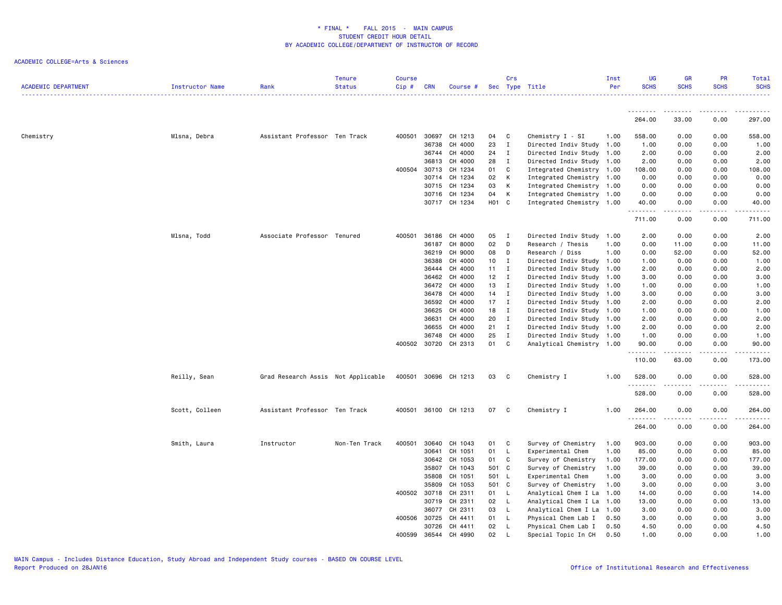| <b>ACADEMIC DEPARTMENT</b> | <b>Instructor Name</b> | Rank                               | <b>Tenure</b><br><b>Status</b> | <b>Course</b><br>Cip# | <b>CRN</b> | Course #      |                   | Crs                      | Sec Type Title            | Inst<br>Per | <b>UG</b><br><b>SCHS</b> | <b>GR</b><br><b>SCHS</b> | <b>PR</b><br><b>SCHS</b>     | Total<br><b>SCHS</b>                                                                                                                                                                      |
|----------------------------|------------------------|------------------------------------|--------------------------------|-----------------------|------------|---------------|-------------------|--------------------------|---------------------------|-------------|--------------------------|--------------------------|------------------------------|-------------------------------------------------------------------------------------------------------------------------------------------------------------------------------------------|
|                            |                        |                                    |                                |                       |            |               |                   |                          |                           |             | <u>.</u>                 | ------                   | .                            |                                                                                                                                                                                           |
|                            |                        |                                    |                                |                       |            |               |                   |                          |                           |             | 264.00                   | 33.00                    | 0.00                         | 297.00                                                                                                                                                                                    |
| Chemistry                  | Mlsna, Debra           | Assistant Professor Ten Track      |                                | 400501                | 30697      | CH 1213       | 04                | C                        | Chemistry I - SI          | 1.00        | 558.00                   | 0.00                     | 0.00                         | 558.00                                                                                                                                                                                    |
|                            |                        |                                    |                                |                       | 36738      | CH 4000       | 23                | $\mathbf{I}$             | Directed Indiv Study      | 1.00        | 1.00                     | 0.00                     | 0.00                         | 1.00                                                                                                                                                                                      |
|                            |                        |                                    |                                |                       |            | 36744 CH 4000 | 24                | $\mathbf I$              | Directed Indiv Study 1.00 |             | 2.00                     | 0.00                     | 0.00                         | 2.00                                                                                                                                                                                      |
|                            |                        |                                    |                                |                       | 36813      | CH 4000       | 28                | $\mathbf I$              | Directed Indiv Study 1.00 |             | 2.00                     | 0.00                     | 0.00                         | 2.00                                                                                                                                                                                      |
|                            |                        |                                    |                                | 400504                | 30713      | CH 1234       | 01                | C                        | Integrated Chemistry      | 1.00        | 108.00                   | 0.00                     | 0.00                         | 108.00                                                                                                                                                                                    |
|                            |                        |                                    |                                |                       | 30714      | CH 1234       | 02                | К                        | Integrated Chemistry 1.00 |             | 0.00                     | 0.00                     | 0.00                         | 0.00                                                                                                                                                                                      |
|                            |                        |                                    |                                |                       | 30715      | CH 1234       | 03                | К                        | Integrated Chemistry 1.00 |             | 0.00                     | 0.00                     | 0.00                         | 0.00                                                                                                                                                                                      |
|                            |                        |                                    |                                |                       | 30716      | CH 1234       | 04                | К                        | Integrated Chemistry      | 1.00        | 0.00                     | 0.00                     | 0.00                         | 0.00                                                                                                                                                                                      |
|                            |                        |                                    |                                |                       |            | 30717 CH 1234 | H <sub>01</sub> C |                          | Integrated Chemistry 1.00 |             | 40.00<br>. <u>.</u>      | 0.00<br>.                | 0.00<br>.                    | 40.00<br>.                                                                                                                                                                                |
|                            |                        |                                    |                                |                       |            |               |                   |                          |                           |             | 711.00                   | 0.00                     | 0.00                         | 711.00                                                                                                                                                                                    |
|                            | Mlsna, Todd            | Associate Professor Tenured        |                                | 400501                | 36186      | CH 4000       | 05                | $\mathbf{I}$             | Directed Indiv Study      | 1.00        | 2.00                     | 0.00                     | 0.00                         | 2.00                                                                                                                                                                                      |
|                            |                        |                                    |                                |                       | 36187      | CH 8000       | 02                | D                        | Research / Thesis         | 1.00        | 0.00                     | 11.00                    | 0.00                         | 11.00                                                                                                                                                                                     |
|                            |                        |                                    |                                |                       | 36219      | CH 9000       | 08                | D                        | Research / Diss           | 1.00        | 0.00                     | 52.00                    | 0.00                         | 52.00                                                                                                                                                                                     |
|                            |                        |                                    |                                |                       | 36388      | CH 4000       | 10                | $\mathbf{I}$             | Directed Indiv Study 1.00 |             | 1.00                     | 0.00                     | 0.00                         | 1.00                                                                                                                                                                                      |
|                            |                        |                                    |                                |                       | 36444      | CH 4000       | 11                | $\mathbf{I}$             | Directed Indiv Study      | 1.00        | 2.00                     | 0.00                     | 0.00                         | 2.00                                                                                                                                                                                      |
|                            |                        |                                    |                                |                       | 36462      | CH 4000       | 12                | $\mathbf I$              | Directed Indiv Study      | 1.00        | 3.00                     | 0.00                     | 0.00                         | 3.00                                                                                                                                                                                      |
|                            |                        |                                    |                                |                       | 36472      | CH 4000       | 13                | $\mathbf I$              | Directed Indiv Study      | 1.00        | 1.00                     | 0.00                     | 0.00                         | 1.00                                                                                                                                                                                      |
|                            |                        |                                    |                                |                       | 36478      | CH 4000       | 14                | $\mathbf{I}$             | Directed Indiv Study      | 1.00        | 3.00                     | 0.00                     | 0.00                         | 3.00                                                                                                                                                                                      |
|                            |                        |                                    |                                |                       | 36592      | CH 4000       | 17                | $\mathbf I$              | Directed Indiv Study 1.00 |             | 2.00                     | 0.00                     | 0.00                         | 2.00                                                                                                                                                                                      |
|                            |                        |                                    |                                |                       | 36625      | CH 4000       | 18                | Ι.                       | Directed Indiv Study      | 1.00        | 1.00                     | 0.00                     | 0.00                         | 1.00                                                                                                                                                                                      |
|                            |                        |                                    |                                |                       | 36631      | CH 4000       | 20                | $\mathbf{I}$             | Directed Indiv Study      | 1.00        | 2.00                     | 0.00                     | 0.00                         | 2.00                                                                                                                                                                                      |
|                            |                        |                                    |                                |                       | 36655      | CH 4000       | 21                | I                        | Directed Indiv Study 1.00 |             | 2.00                     | 0.00                     | 0.00                         | 2.00                                                                                                                                                                                      |
|                            |                        |                                    |                                |                       | 36748      | CH 4000       | 25                | Ι.                       | Directed Indiv Study 1.00 |             | 1.00                     | 0.00                     | 0.00                         | 1.00                                                                                                                                                                                      |
|                            |                        |                                    |                                | 400502                | 30720      | CH 2313       | 01                | C                        | Analytical Chemistry 1.00 |             | 90.00                    | 0.00                     | 0.00                         | 90.00                                                                                                                                                                                     |
|                            |                        |                                    |                                |                       |            |               |                   |                          |                           |             | .<br>110.00              | -----<br>63.00           | $\sim$ $\sim$ $\sim$<br>0.00 | .<br>173.00                                                                                                                                                                               |
|                            | Reilly, Sean           | Grad Research Assis Not Applicable |                                | 400501                |            | 30696 CH 1213 | 03                | C                        | Chemistry I               | 1.00        | 528.00<br>.              | 0.00                     | 0.00                         | 528.00<br>$\frac{1}{2} \left( \frac{1}{2} \right) \left( \frac{1}{2} \right) \left( \frac{1}{2} \right) \left( \frac{1}{2} \right) \left( \frac{1}{2} \right) \left( \frac{1}{2} \right)$ |
|                            |                        |                                    |                                |                       |            |               |                   |                          |                           |             | 528.00                   | 0.00                     | 0.00                         | 528.00                                                                                                                                                                                    |
|                            | Scott, Colleen         | Assistant Professor Ten Track      |                                | 400501                |            | 36100 CH 1213 | 07                | $\mathbf{C}$             | Chemistry I               | 1.00        | 264.00<br>.              | 0.00<br>.                | 0.00<br>.                    | 264.00<br>.                                                                                                                                                                               |
|                            |                        |                                    |                                |                       |            |               |                   |                          |                           |             | 264.00                   | 0.00                     | 0.00                         | 264.00                                                                                                                                                                                    |
|                            | Smith, Laura           | Instructor                         | Non-Ten Track                  | 400501                | 30640      | CH 1043       | 01                | C                        | Survey of Chemistry       | 1.00        | 903.00                   | 0.00                     | 0.00                         | 903.00                                                                                                                                                                                    |
|                            |                        |                                    |                                |                       | 30641      | CH 1051       | 01                | L.                       | Experimental Chem         | 1.00        | 85.00                    | 0.00                     | 0.00                         | 85.00                                                                                                                                                                                     |
|                            |                        |                                    |                                |                       | 30642      | CH 1053       | 01                | C                        | Survey of Chemistry       | 1.00        | 177.00                   | 0.00                     | 0.00                         | 177.00                                                                                                                                                                                    |
|                            |                        |                                    |                                |                       | 35807      | CH 1043       | 501 C             |                          | Survey of Chemistry       | 1.00        | 39.00                    | 0.00                     | 0.00                         | 39.00                                                                                                                                                                                     |
|                            |                        |                                    |                                |                       | 35808      | CH 1051       | 501 L             |                          | Experimental Chem         | 1.00        | 3.00                     | 0.00                     | 0.00                         | 3.00                                                                                                                                                                                      |
|                            |                        |                                    |                                |                       | 35809      | CH 1053       | 501 C             |                          | Survey of Chemistry       | 1.00        | 3.00                     | 0.00                     | 0.00                         | 3.00                                                                                                                                                                                      |
|                            |                        |                                    |                                | 400502 30718          |            | CH 2311       | 01                | $\mathsf{L}$             | Analytical Chem I La      | 1.00        | 14.00                    | 0.00                     | 0.00                         | 14.00                                                                                                                                                                                     |
|                            |                        |                                    |                                |                       | 30719      | CH 2311       | 02                | - L                      | Analytical Chem I La      | 1.00        | 13.00                    | 0.00                     | 0.00                         | 13.00                                                                                                                                                                                     |
|                            |                        |                                    |                                |                       | 36077      | CH 2311       | 03                | L                        | Analytical Chem I La      | 1.00        | 3.00                     | 0.00                     | 0.00                         | 3.00                                                                                                                                                                                      |
|                            |                        |                                    |                                | 400506                | 30725      | CH 4411       | 01                | $\mathsf{L}$             | Physical Chem Lab I       | 0.50        | 3.00                     | 0.00                     | 0.00                         | 3.00                                                                                                                                                                                      |
|                            |                        |                                    |                                |                       | 30726      | CH 4411       | 02                | <b>L</b><br>$\mathbf{I}$ | Physical Chem Lab I       | 0.50        | 4.50                     | 0.00                     | 0.00                         | 4.50                                                                                                                                                                                      |
|                            |                        |                                    |                                | 400599                | 36544      | CH 4990       | 02                |                          | Special Topic In CH       | 0.50        | 1.00                     | 0.00                     | 0.00                         | 1.00                                                                                                                                                                                      |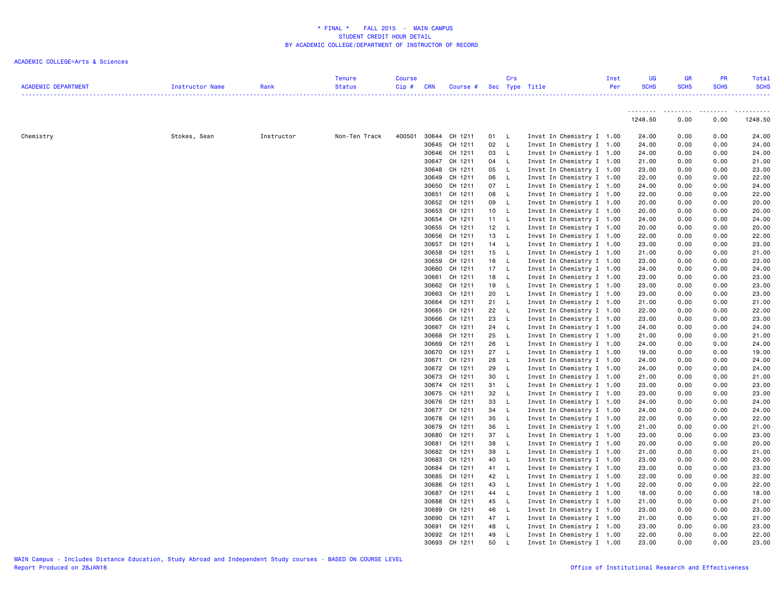| <b>ACADEMIC DEPARTMENT</b> | Instructor Name | Rank       | <b>Tenure</b><br><b>Status</b> | <b>Course</b><br>Cip# | <b>CRN</b> | Course # Sec Type Title |                 | Crs          |                           | Inst<br>Per | <b>UG</b><br><b>SCHS</b> | <b>GR</b><br><b>SCHS</b> | PR<br><b>SCHS</b> | Total<br><b>SCHS</b> |
|----------------------------|-----------------|------------|--------------------------------|-----------------------|------------|-------------------------|-----------------|--------------|---------------------------|-------------|--------------------------|--------------------------|-------------------|----------------------|
|                            |                 |            |                                |                       |            |                         |                 |              |                           |             | .                        |                          |                   | <u>.</u>             |
|                            |                 |            |                                |                       |            |                         |                 |              |                           |             | 1248.50                  | 0.00                     | 0.00              | 1248.50              |
| Chemistry                  | Stokes, Sean    | Instructor | Non-Ten Track                  | 400501                |            | 30644 CH 1211           | 01 L            |              | Invst In Chemistry I 1.00 |             | 24.00                    | 0.00                     | 0.00              | 24.00                |
|                            |                 |            |                                |                       |            | 30645 CH 1211           | 02              | $\mathbf{L}$ | Invst In Chemistry I 1.00 |             | 24.00                    | 0.00                     | 0.00              | 24.00                |
|                            |                 |            |                                |                       |            | 30646 CH 1211           | 03              | $\mathsf{L}$ | Invst In Chemistry I 1.00 |             | 24.00                    | 0.00                     | 0.00              | 24.00                |
|                            |                 |            |                                |                       |            | 30647 CH 1211           | 04              | $\mathsf{L}$ | Invst In Chemistry I 1.00 |             | 21.00                    | 0.00                     | 0.00              | 21.00                |
|                            |                 |            |                                |                       |            | 30648 CH 1211           | 05              | $\mathsf{L}$ | Invst In Chemistry I 1.00 |             | 23.00                    | 0.00                     | 0.00              | 23.00                |
|                            |                 |            |                                |                       |            | 30649 CH 1211           | 06              | - L          | Invst In Chemistry I 1.00 |             | 22.00                    | 0.00                     | 0.00              | 22.00                |
|                            |                 |            |                                |                       |            | 30650 CH 1211           | 07 L            |              | Invst In Chemistry I 1.00 |             | 24.00                    | 0.00                     | 0.00              | 24.00                |
|                            |                 |            |                                |                       |            | 30651 CH 1211           | 08              | $\mathbf{L}$ | Invst In Chemistry I 1.00 |             | 22.00                    | 0.00                     | 0.00              | 22.00                |
|                            |                 |            |                                |                       |            | 30652 CH 1211           | 09              | $\mathsf{L}$ | Invst In Chemistry I 1.00 |             | 20.00                    | 0.00                     | 0.00              | 20.00                |
|                            |                 |            |                                |                       |            | 30653 CH 1211           | 10 <sub>1</sub> | $\mathsf{L}$ | Invst In Chemistry I 1.00 |             | 20.00                    | 0.00                     | 0.00              | 20.00                |
|                            |                 |            |                                |                       |            | 30654 CH 1211           | 11 L            |              | Invst In Chemistry I 1.00 |             | 24.00                    | 0.00                     | 0.00              | 24.00                |
|                            |                 |            |                                |                       |            | 30655 CH 1211           | 12 L            |              | Invst In Chemistry I 1.00 |             | 20.00                    | 0.00                     | 0.00              | 20.00                |
|                            |                 |            |                                |                       |            | 30656 CH 1211           | 13              | L.           | Invst In Chemistry I 1.00 |             | 22.00                    | 0.00                     | 0.00              | 22.00                |
|                            |                 |            |                                |                       |            | 30657 CH 1211           | 14 L            |              | Invst In Chemistry I 1.00 |             | 23.00                    | 0.00                     | 0.00              | 23.00                |
|                            |                 |            |                                |                       |            | 30658 CH 1211           | 15 L            |              | Invst In Chemistry I 1.00 |             | 21.00                    | 0.00                     | 0.00              | 21.00                |
|                            |                 |            |                                |                       |            | 30659 CH 1211           | 16              | $\mathbf{L}$ | Invst In Chemistry I 1.00 |             | 23.00                    | 0.00                     | 0.00              | 23.00                |
|                            |                 |            |                                |                       |            | 30660 CH 1211           | 17 L            |              | Invst In Chemistry I 1.00 |             | 24.00                    | 0.00                     | 0.00              | 24.00                |
|                            |                 |            |                                |                       |            | 30661 CH 1211           | 18 L            |              | Invst In Chemistry I 1.00 |             | 23.00                    | 0.00                     | 0.00              | 23.00                |
|                            |                 |            |                                |                       |            | 30662 CH 1211           | 19              | - L          | Invst In Chemistry I 1.00 |             | 23.00                    | 0.00                     | 0.00              | 23.00                |
|                            |                 |            |                                |                       |            | 30663 CH 1211           | 20              | L.           | Invst In Chemistry I 1.00 |             | 23.00                    | 0.00                     | 0.00              | 23.00                |
|                            |                 |            |                                |                       |            | 30664 CH 1211           | 21 L            |              | Invst In Chemistry I 1.00 |             | 21.00                    | 0.00                     | 0.00              | 21.00                |
|                            |                 |            |                                |                       |            | 30665 CH 1211           | 22              | $\mathsf{L}$ | Invst In Chemistry I 1.00 |             | 22.00                    | 0.00                     | 0.00              | 22.00                |
|                            |                 |            |                                |                       |            | 30666 CH 1211           | 23              | $\mathsf{L}$ | Invst In Chemistry I 1.00 |             | 23.00                    | 0.00                     | 0.00              | 23.00                |
|                            |                 |            |                                |                       |            | 30667 CH 1211           | 24              | L.           | Invst In Chemistry I 1.00 |             | 24.00                    | 0.00                     | 0.00              | 24.00                |
|                            |                 |            |                                |                       |            | 30668 CH 1211           | 25              | $\mathsf{L}$ | Invst In Chemistry I 1.00 |             | 21.00                    | 0.00                     | 0.00              | 21.00                |
|                            |                 |            |                                |                       |            | 30669 CH 1211           | 26              | $\mathsf{L}$ | Invst In Chemistry I 1.00 |             | 24.00                    | 0.00                     | 0.00              | 24.00                |
|                            |                 |            |                                |                       |            | 30670 CH 1211           | 27              | $\mathsf{L}$ | Invst In Chemistry I 1.00 |             | 19.00                    | 0.00                     | 0.00              | 19.00                |
|                            |                 |            |                                |                       |            | 30671 CH 1211           | 28              | L.           | Invst In Chemistry I 1.00 |             | 24.00                    | 0.00                     | 0.00              | 24.00                |
|                            |                 |            |                                |                       |            | 30672 CH 1211           | 29              | $\mathsf{L}$ | Invst In Chemistry I 1.00 |             | 24.00                    | 0.00                     | 0.00              | 24.00                |
|                            |                 |            |                                |                       |            | 30673 CH 1211           | 30              | $\mathsf{L}$ | Invst In Chemistry I 1.00 |             | 21.00                    | 0.00                     | 0.00              | 21.00                |
|                            |                 |            |                                |                       |            | 30674 CH 1211           | 31 L            |              | Invst In Chemistry I 1.00 |             | 23.00                    | 0.00                     | 0.00              | 23.00                |
|                            |                 |            |                                |                       |            | 30675 CH 1211           | 32              | - L          | Invst In Chemistry I 1.00 |             | 23.00                    | 0.00                     | 0.00              | 23.00                |
|                            |                 |            |                                |                       |            | 30676 CH 1211           | 33              | $\mathsf{L}$ | Invst In Chemistry I 1.00 |             | 24.00                    | 0.00                     | 0.00              | 24.00                |
|                            |                 |            |                                |                       |            | 30677 CH 1211           | 34 L            |              | Invst In Chemistry I 1.00 |             | 24.00                    | 0.00                     | 0.00              | 24.00                |
|                            |                 |            |                                |                       |            | 30678 CH 1211           | 35              | $\mathsf{L}$ | Invst In Chemistry I 1.00 |             | 22.00                    | 0.00                     | 0.00              | 22.00                |
|                            |                 |            |                                |                       |            | 30679 CH 1211           | 36              | $\mathsf{L}$ | Invst In Chemistry I 1.00 |             | 21.00                    | 0.00                     | 0.00              | 21.00                |
|                            |                 |            |                                |                       |            | 30680 CH 1211           | 37              | $\mathsf{L}$ | Invst In Chemistry I 1.00 |             | 23.00                    | 0.00                     | 0.00              | 23.00                |
|                            |                 |            |                                |                       |            | 30681 CH 1211           | 38              | $\mathsf{L}$ | Invst In Chemistry I 1.00 |             | 20.00                    | 0.00                     | 0.00              | 20.00                |
|                            |                 |            |                                |                       |            | 30682 CH 1211           | 39              | $\mathsf{L}$ | Invst In Chemistry I 1.00 |             | 21.00                    | 0.00                     | 0.00              | 21.00                |
|                            |                 |            |                                |                       |            | 30683 CH 1211           | 40              | L.           | Invst In Chemistry I 1.00 |             | 23.00                    | 0.00                     | 0.00              | 23.00                |
|                            |                 |            |                                |                       |            | 30684 CH 1211           | 41 L            |              | Invst In Chemistry I 1.00 |             | 23.00                    | 0.00                     | 0.00              | 23.00                |
|                            |                 |            |                                |                       |            | 30685 CH 1211           | 42              | $\mathsf{L}$ | Invst In Chemistry I 1.00 |             | 22.00                    | 0.00                     | 0.00              | 22.00                |
|                            |                 |            |                                |                       |            | 30686 CH 1211           | 43              | $\mathsf{L}$ | Invst In Chemistry I 1.00 |             | 22.00                    | 0.00                     | 0.00              | 22.00                |
|                            |                 |            |                                |                       |            | 30687 CH 1211           | 44 L            |              | Invst In Chemistry I 1.00 |             | 18.00                    | 0.00                     | 0.00              | 18.00                |
|                            |                 |            |                                |                       |            | 30688 CH 1211           | 45              | $\mathsf{L}$ | Invst In Chemistry I 1.00 |             | 21.00                    | 0.00                     | 0.00              | 21.00                |
|                            |                 |            |                                |                       |            | 30689 CH 1211           | 46              | - L          | Invst In Chemistry I 1.00 |             | 23.00                    | 0.00                     | 0.00              | 23.00                |
|                            |                 |            |                                |                       |            | 30690 CH 1211           | 47 L            |              | Invst In Chemistry I 1.00 |             | 21.00                    | 0.00                     | 0.00              | 21.00                |
|                            |                 |            |                                |                       |            | 30691 CH 1211           | 48              | - L          | Invst In Chemistry I 1.00 |             | 23.00                    | 0.00                     | 0.00              | 23.00                |
|                            |                 |            |                                |                       |            | 30692 CH 1211           | 49              | L.           | Invst In Chemistry I 1.00 |             | 22.00                    | 0.00                     | 0.00              | 22.00                |
|                            |                 |            |                                |                       |            | 30693 CH 1211           | 50              | L            | Invst In Chemistry I 1.00 |             | 23.00                    | 0.00                     | 0.00              | 23.00                |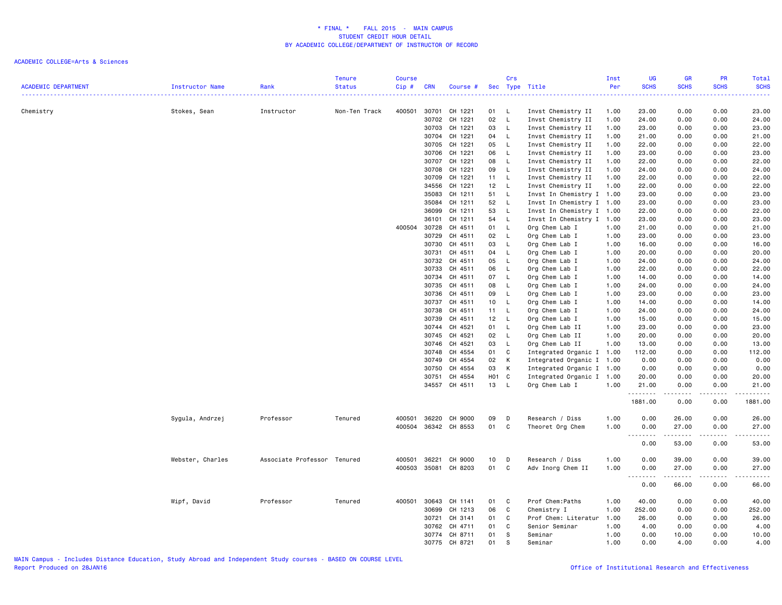| <b>ACADEMIC DEPARTMENT</b> | Instructor Name  | Rank                        | <b>Tenure</b><br><b>Status</b> | <b>Course</b><br>Cip # | <b>CRN</b> | Course #                 |           | Crs                          | Sec Type Title                         | Inst<br>Per  | UG<br><b>SCHS</b><br>.             | <b>GR</b><br><b>SCHS</b> | <b>PR</b><br><b>SCHS</b><br>2222 | Total<br><b>SCHS</b><br>د د د د د |
|----------------------------|------------------|-----------------------------|--------------------------------|------------------------|------------|--------------------------|-----------|------------------------------|----------------------------------------|--------------|------------------------------------|--------------------------|----------------------------------|-----------------------------------|
| Chemistry                  | Stokes, Sean     | Instructor                  | Non-Ten Track                  | 400501                 | 30701      | CH 1221                  | 01        | L.                           | Invst Chemistry II                     | 1.00         | 23.00                              | 0.00                     | 0.00                             | 23.00                             |
|                            |                  |                             |                                |                        | 30702      | CH 1221                  | 02        | $\mathsf{L}$                 | Invst Chemistry II                     | 1.00         | 24.00                              | 0.00                     | 0.00                             | 24.00                             |
|                            |                  |                             |                                |                        | 30703      | CH 1221                  | 03        | $\mathsf{L}$                 | Invst Chemistry II                     | 1.00         | 23.00                              | 0.00                     | 0.00                             | 23.00                             |
|                            |                  |                             |                                |                        | 30704      | CH 1221                  | 04        | L.                           | Invst Chemistry II                     | 1.00         | 21.00                              | 0.00                     | 0.00                             | 21.00                             |
|                            |                  |                             |                                |                        | 30705      | CH 1221                  | 05        | L                            | Invst Chemistry II                     | 1.00         | 22.00                              | 0.00                     | 0.00                             | 22.00                             |
|                            |                  |                             |                                |                        | 30706      | CH 1221                  | 06        | $\mathsf{L}$                 | Invst Chemistry II                     | 1.00         | 23.00                              | 0.00                     | 0.00                             | 23.00                             |
|                            |                  |                             |                                |                        | 30707      | CH 1221                  | 08        | $\mathsf{L}$                 | Invst Chemistry II                     | 1.00         | 22.00                              | 0.00                     | 0.00                             | 22.00                             |
|                            |                  |                             |                                |                        | 30708      | CH 1221                  | 09        | L                            | Invst Chemistry II                     | 1.00         | 24.00                              | 0.00                     | 0.00                             | 24.00                             |
|                            |                  |                             |                                |                        | 30709      | CH 1221                  | 11        | $\mathsf{L}$                 | Invst Chemistry II                     | 1.00         | 22.00                              | 0.00                     | 0.00                             | 22.00                             |
|                            |                  |                             |                                |                        | 34556      | CH 1221                  | 12        | L.                           | Invst Chemistry II                     | 1.00         | 22.00                              | 0.00                     | 0.00                             | 22.00                             |
|                            |                  |                             |                                |                        | 35083      | CH 1211                  | 51        | L.                           | Invst In Chemistry I 1.00              |              | 23.00                              | 0.00                     | 0.00                             | 23.00                             |
|                            |                  |                             |                                |                        | 35084      | CH 1211                  | 52        | $\mathsf{L}$                 | Invst In Chemistry I 1.00              |              | 23.00                              | 0.00                     | 0.00                             | 23.00                             |
|                            |                  |                             |                                |                        | 36099      | CH 1211                  | 53        | $\mathsf{L}$                 | Invst In Chemistry I 1.00              |              | 22.00                              | 0.00                     | 0.00                             | 22.00                             |
|                            |                  |                             |                                |                        | 36101      | CH 1211                  | 54        | L                            | Invst In Chemistry I 1.00              |              | 23.00                              | 0.00                     | 0.00                             | 23.00                             |
|                            |                  |                             |                                | 400504 30728           |            | CH 4511                  | 01        | $\mathsf{L}$                 | Org Chem Lab I                         | 1.00         | 21.00                              | 0.00                     | 0.00                             | 21.00                             |
|                            |                  |                             |                                |                        | 30729      | CH 4511                  | 02        | $\mathsf{L}$                 | Org Chem Lab I                         | 1.00         | 23.00                              | 0.00                     | 0.00                             | 23.00                             |
|                            |                  |                             |                                |                        | 30730      | CH 4511                  | 03        | L.                           | Org Chem Lab I                         | 1.00         | 16.00                              | 0.00                     | 0.00                             | 16.00                             |
|                            |                  |                             |                                |                        | 30731      | CH 4511                  | 04        | L.                           | Org Chem Lab I                         | 1.00         | 20.00                              | 0.00                     | 0.00                             | 20.00                             |
|                            |                  |                             |                                |                        | 30732      | CH 4511                  | 05        | L.                           | Org Chem Lab I                         | 1.00         | 24.00                              | 0.00                     | 0.00                             | 24.00                             |
|                            |                  |                             |                                |                        | 30733      | CH 4511                  | 06        | L.                           | Org Chem Lab I                         | 1.00         | 22.00                              | 0.00                     | 0.00                             | 22.00                             |
|                            |                  |                             |                                |                        | 30734      | CH 4511                  | 07        | L.                           | Org Chem Lab I                         | 1.00         | 14.00                              | 0.00                     | 0.00                             | 14.00                             |
|                            |                  |                             |                                |                        | 30735      | CH 4511                  | 08        | $\mathsf{L}$                 | Org Chem Lab I                         | 1.00         | 24.00                              | 0.00                     | 0.00                             | 24.00                             |
|                            |                  |                             |                                |                        | 30736      | CH 4511                  | 09        | L.                           | Org Chem Lab I                         | 1.00         | 23.00                              | 0.00                     | 0.00                             | 23.00                             |
|                            |                  |                             |                                |                        | 30737      | CH 4511                  | 10        | L.                           | Org Chem Lab I                         | 1.00         | 14.00                              | 0.00                     | 0.00                             | 14.00                             |
|                            |                  |                             |                                |                        | 30738      | CH 4511                  | 11        | $\mathsf{L}$                 | Org Chem Lab I                         | 1.00         | 24.00                              | 0.00                     | 0.00                             | 24.00                             |
|                            |                  |                             |                                |                        | 30739      | CH 4511                  | 12        | $\mathsf{L}$                 | Org Chem Lab I                         | 1.00         | 15.00                              | 0.00                     | 0.00                             | 15.00                             |
|                            |                  |                             |                                |                        | 30744      | CH 4521                  | 01        | L.                           | Org Chem Lab II                        | 1.00         | 23.00                              | 0.00                     | 0.00                             | 23.00                             |
|                            |                  |                             |                                |                        | 30745      | CH 4521                  | 02        | L.                           | Org Chem Lab II                        | 1.00         | 20.00                              | 0.00                     | 0.00                             | 20.00                             |
|                            |                  |                             |                                |                        | 30746      | CH 4521                  | 03        | L.                           | Org Chem Lab II                        | 1.00         | 13.00                              | 0.00                     | 0.00                             | 13.00                             |
|                            |                  |                             |                                |                        | 30748      | CH 4554                  | 01        | C                            | Integrated Organic I 1.00              |              | 112.00                             | 0.00                     | 0.00                             | 112.00                            |
|                            |                  |                             |                                |                        | 30749      | CH 4554<br>CH 4554       | 02<br>03  | Κ<br>К                       | Integrated Organic I 1.00              |              | 0.00<br>0.00                       | 0.00<br>0.00             | 0.00<br>0.00                     | 0.00                              |
|                            |                  |                             |                                |                        | 30750      |                          |           |                              | Integrated Organic I                   | 1.00         |                                    |                          | 0.00                             | 0.00                              |
|                            |                  |                             |                                |                        | 30751      | CH 4554<br>34557 CH 4511 | H01<br>13 | $\mathbf{C}$<br>$\mathsf{L}$ | Integrated Organic I<br>Org Chem Lab I | 1.00<br>1.00 | 20.00<br>21.00                     | 0.00<br>0.00             | 0.00                             | 20.00<br>21.00                    |
|                            |                  |                             |                                |                        |            |                          |           |                              |                                        |              | <u>.</u>                           | $- - - - -$              | .                                | $- - - - - -$                     |
|                            |                  |                             |                                |                        |            |                          |           |                              |                                        |              | 1881.00                            | 0.00                     | 0.00                             | 1881.00                           |
|                            | Sygula, Andrzej  | Professor                   | Tenured                        | 400501                 | 36220      | CH 9000                  | 09        | D                            | Research / Diss                        | 1.00         | 0.00                               | 26.00                    | 0.00                             | 26.00                             |
|                            |                  |                             |                                | 400504                 | 36342      | CH 8553                  | 01        | C                            | Theoret Org Chem                       | 1.00         | 0.00<br>$- - - -$<br>$\sim$ $\sim$ | 27.00<br>$\frac{1}{2}$   | 0.00<br>$- - - -$                | 27.00<br>.                        |
|                            |                  |                             |                                |                        |            |                          |           |                              |                                        |              | 0.00                               | 53.00                    | 0.00                             | 53.00                             |
|                            | Webster, Charles | Associate Professor Tenured |                                | 400501                 | 36221      | CH 9000                  | 10        | D                            | Research / Diss                        | 1.00         | 0.00                               | 39.00                    | 0.00                             | 39.00                             |
|                            |                  |                             |                                | 400503                 | 35081      | CH 8203                  | 01        | C                            | Adv Inorg Chem II                      | 1.00         | 0.00                               | 27.00                    | 0.00                             | 27.00                             |
|                            |                  |                             |                                |                        |            |                          |           |                              |                                        |              | .                                  | .                        | $\sim$ $\sim$ $\sim$             | د د د د د                         |
|                            |                  |                             |                                |                        |            |                          |           |                              |                                        |              | 0.00                               | 66.00                    | 0.00                             | 66.00                             |
|                            | Wipf, David      | Professor                   | Tenured                        | 400501                 | 30643      | CH 1141                  | 01        | C                            | Prof Chem: Paths                       | 1.00         | 40.00                              | 0.00                     | 0.00                             | 40.00                             |
|                            |                  |                             |                                |                        | 30699      | CH 1213                  | 06        | C                            | Chemistry I                            | 1.00         | 252.00                             | 0.00                     | 0.00                             | 252.00                            |
|                            |                  |                             |                                |                        | 30721      | CH 3141                  | 01        | C                            | Prof Chem: Literatur                   | 1.00         | 26.00                              | 0.00                     | 0.00                             | 26.00                             |
|                            |                  |                             |                                |                        | 30762      | CH 4711                  | 01        | C                            | Senior Seminar                         | 1.00         | 4.00                               | 0.00                     | 0.00                             | 4.00                              |
|                            |                  |                             |                                |                        | 30774      | CH 8711                  | 01        | s                            | Seminar                                | 1.00         | 0.00                               | 10.00                    | 0.00                             | 10.00                             |
|                            |                  |                             |                                |                        | 30775      | CH 8721                  | 01        | S                            | Seminar                                | 1.00         | 0.00                               | 4.00                     | 0.00                             | 4.00                              |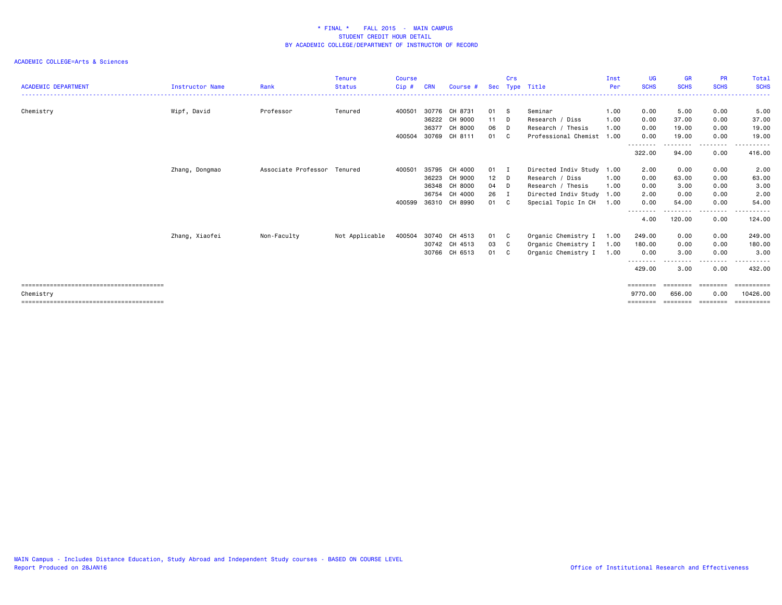| <b>ACADEMIC DEPARTMENT</b> | <b>Instructor Name</b> | Rank                        | <b>Tenure</b><br><b>Status</b> | <b>Course</b><br>$Cip$ # | <b>CRN</b> | Course #      |      | Crs          | Sec Type Title            | Inst<br>Per  | UG<br><b>SCHS</b>                                                       | <b>GR</b><br><b>SCHS</b> | <b>PR</b><br><b>SCHS</b> | Total<br><b>SCHS</b> |
|----------------------------|------------------------|-----------------------------|--------------------------------|--------------------------|------------|---------------|------|--------------|---------------------------|--------------|-------------------------------------------------------------------------|--------------------------|--------------------------|----------------------|
|                            |                        | Professor                   | Tenured                        |                          |            | 30776 CH 8731 | 01   |              | Seminar                   |              |                                                                         | 5.00                     | 0.00                     | .<br>5.00            |
| Chemistry                  | Wipf, David            |                             |                                | 400501                   | 36222      | CH 9000       | 11 D | - S          | Research / Diss           | 1.00<br>1.00 | 0.00<br>0.00                                                            | 37.00                    | 0.00                     | 37.00                |
|                            |                        |                             |                                |                          | 36377      | CH 8000       | 06   | D            | Research / Thesis         | 1.00         | 0.00                                                                    | 19.00                    | 0.00                     | 19.00                |
|                            |                        |                             |                                | 400504                   | 30769      | CH 8111       | 01   | $\mathbf{C}$ | Professional Chemist 1.00 |              | 0.00                                                                    | 19.00                    | 0.00                     | 19.00                |
|                            |                        |                             |                                |                          |            |               |      |              |                           |              | --------<br>322.00                                                      | --------<br>94.00        | -----<br>0.00            | ------<br>416.00     |
|                            | Zhang, Dongmao         | Associate Professor Tenured |                                | 400501                   | 35795      | CH 4000       | 01   | $\mathbf I$  | Directed Indiv Study      | 1.00         | 2.00                                                                    | 0.00                     | 0.00                     | 2.00                 |
|                            |                        |                             |                                |                          | 36223      | CH 9000       | 12   | D.           | Research / Diss           | 1.00         | 0.00                                                                    | 63.00                    | 0.00                     | 63.00                |
|                            |                        |                             |                                |                          | 36348      | CH 8000       | 04   | D            | Research / Thesis         | 1.00         | 0.00                                                                    | 3.00                     | 0.00                     | 3.00                 |
|                            |                        |                             |                                |                          |            | 36754 CH 4000 | 26   | I            | Directed Indiv Study      | 1.00         | 2.00                                                                    | 0.00                     | 0.00                     | 2.00                 |
|                            |                        |                             |                                | 400599                   | 36310      | CH 8990       | 01   | C            | Special Topic In CH       | 1.00         | 0.00<br>-------                                                         | 54.00                    | 0.00                     | 54.00                |
|                            |                        |                             |                                |                          |            |               |      |              |                           |              | 4.00                                                                    | 120.00                   | 0.00                     | 124.00               |
|                            | Zhang, Xiaofei         | Non-Faculty                 | Not Applicable                 | 400504                   |            | 30740 CH 4513 | 01   | C            | Organic Chemistry I       | 1.00         | 249.00                                                                  | 0.00                     | 0.00                     | 249.00               |
|                            |                        |                             |                                |                          | 30742      | CH 4513       | 03   | C            | Organic Chemistry I       | 1.00         | 180.00                                                                  | 0.00                     | 0.00                     | 180.00               |
|                            |                        |                             |                                |                          |            | 30766 CH 6513 | 01   | $\mathbf{C}$ | Organic Chemistry I       | 1.00         | 0.00                                                                    | 3.00                     | 0.00                     | 3.00                 |
|                            |                        |                             |                                |                          |            |               |      |              |                           |              | --------<br>429.00                                                      | 3.00                     | 0.00                     | 432.00               |
|                            |                        |                             |                                |                          |            |               |      |              |                           |              | $\qquad \qquad \equiv \equiv \equiv \equiv \equiv \equiv \equiv \equiv$ | ========                 | ========                 | ==========           |
| Chemistry                  |                        |                             |                                |                          |            |               |      |              |                           |              | 9770.00                                                                 | 656.00                   | 0.00                     | 10426.00             |
|                            |                        |                             |                                |                          |            |               |      |              |                           |              | ========                                                                | ========                 | ========                 | ==========           |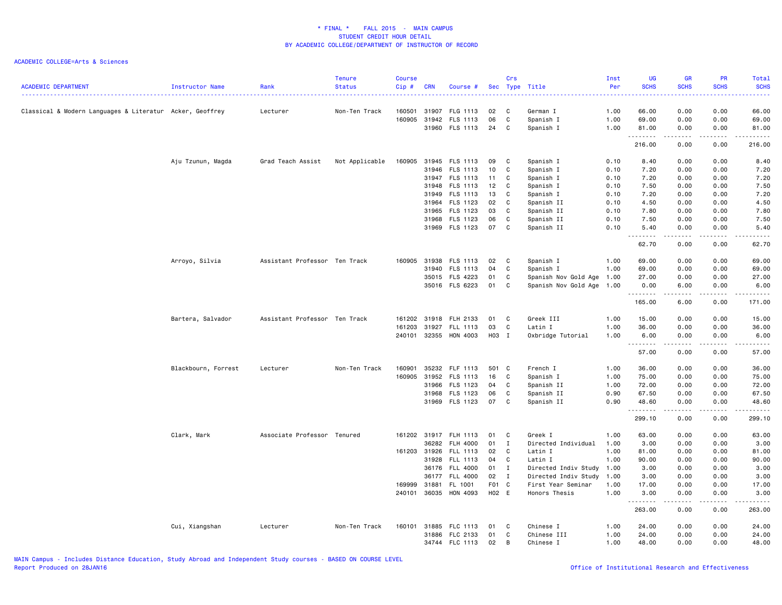| <b>ACADEMIC DEPARTMENT</b>                               | Instructor Name     | Rank                          | <b>Tenure</b><br><b>Status</b> | <b>Course</b><br>Cip# | <b>CRN</b>     | Course #             |          | Crs          | Sec Type Title            | Inst<br>Per<br>. | <b>UG</b><br><b>SCHS</b><br>. | <b>GR</b><br><b>SCHS</b><br>المتمالي                                                                                                                         | PR<br><b>SCHS</b><br>$\omega$ is $\omega$ in                                                           | Total<br><b>SCHS</b><br>.                                                                                                         |
|----------------------------------------------------------|---------------------|-------------------------------|--------------------------------|-----------------------|----------------|----------------------|----------|--------------|---------------------------|------------------|-------------------------------|--------------------------------------------------------------------------------------------------------------------------------------------------------------|--------------------------------------------------------------------------------------------------------|-----------------------------------------------------------------------------------------------------------------------------------|
| Classical & Modern Languages & Literatur Acker, Geoffrey |                     | Lecturer                      | Non-Ten Track                  | 160501                | 31907          | FLG 1113             | 02       | C            | German I                  | 1.00             | 66.00                         | 0.00                                                                                                                                                         | 0.00                                                                                                   | 66.00                                                                                                                             |
|                                                          |                     |                               |                                | 160905                | 31942          | FLS 1113             | 06       | C            | Spanish I                 | 1.00             | 69.00                         | 0.00                                                                                                                                                         | 0.00                                                                                                   | 69.00                                                                                                                             |
|                                                          |                     |                               |                                |                       |                | 31960 FLS 1113       | 24       | C            | Spanish I                 | 1.00             | 81.00<br>.                    | 0.00<br><b>.</b>                                                                                                                                             | 0.00<br>.                                                                                              | 81.00<br>.                                                                                                                        |
|                                                          |                     |                               |                                |                       |                |                      |          |              |                           |                  | 216.00                        | 0.00                                                                                                                                                         | 0.00                                                                                                   | 216.00                                                                                                                            |
|                                                          | Aju Tzunun, Magda   | Grad Teach Assist             | Not Applicable                 | 160905                | 31945          | FLS 1113             | 09       | C            | Spanish I                 | 0.10             | 8.40                          | 0.00                                                                                                                                                         | 0.00                                                                                                   | 8.40                                                                                                                              |
|                                                          |                     |                               |                                |                       | 31946          | FLS 1113             | 10       | C            | Spanish I                 | 0.10             | 7.20                          | 0.00                                                                                                                                                         | 0.00                                                                                                   | 7.20                                                                                                                              |
|                                                          |                     |                               |                                |                       | 31947          | FLS 1113             | 11       | C            | Spanish I                 | 0.10             | 7.20                          | 0.00                                                                                                                                                         | 0.00                                                                                                   | 7.20                                                                                                                              |
|                                                          |                     |                               |                                |                       | 31948          | FLS 1113             | 12       | C            | Spanish I                 | 0.10             | 7.50                          | 0.00                                                                                                                                                         | 0.00                                                                                                   | 7.50                                                                                                                              |
|                                                          |                     |                               |                                |                       | 31949          | FLS 1113             | 13       | C            | Spanish I                 | 0.10             | 7.20                          | 0.00                                                                                                                                                         | 0.00                                                                                                   | 7.20                                                                                                                              |
|                                                          |                     |                               |                                |                       | 31964          | FLS 1123             | 02       | C            | Spanish II                | 0.10             | 4.50                          | 0.00                                                                                                                                                         | 0.00                                                                                                   | 4.50                                                                                                                              |
|                                                          |                     |                               |                                |                       | 31965          | FLS 1123             | 03       | C            | Spanish II                | 0.10             | 7.80                          | 0.00                                                                                                                                                         | 0.00                                                                                                   | 7.80                                                                                                                              |
|                                                          |                     |                               |                                |                       | 31968          | FLS 1123             | 06       | C            | Spanish II                | 0.10             | 7.50                          | 0.00                                                                                                                                                         | 0.00                                                                                                   | 7.50                                                                                                                              |
|                                                          |                     |                               |                                |                       |                | 31969 FLS 1123       | 07       | C            | Spanish II                | 0.10             | 5.40                          | 0.00<br>$\sim$ $\sim$ $\sim$                                                                                                                                 | 0.00<br>.                                                                                              | 5.40<br>$\frac{1}{2} \left( \frac{1}{2} \right) \left( \frac{1}{2} \right) \left( \frac{1}{2} \right) \left( \frac{1}{2} \right)$ |
|                                                          |                     |                               |                                |                       |                |                      |          |              |                           |                  | 62.70                         | 0.00                                                                                                                                                         | 0.00                                                                                                   | 62.70                                                                                                                             |
|                                                          | Arroyo, Silvia      | Assistant Professor Ten Track |                                | 160905                | 31938          | FLS 1113             | 02       | C            | Spanish I                 | 1.00             | 69.00                         | 0.00                                                                                                                                                         | 0.00                                                                                                   | 69.00                                                                                                                             |
|                                                          |                     |                               |                                |                       | 31940          | <b>FLS 1113</b>      | 04       | C            | Spanish I                 | 1.00             | 69.00                         | 0.00                                                                                                                                                         | 0.00                                                                                                   | 69.00                                                                                                                             |
|                                                          |                     |                               |                                |                       |                | 35015 FLS 4223       | 01       | C            | Spanish Nov Gold Age 1.00 |                  | 27.00                         | 0.00                                                                                                                                                         | 0.00                                                                                                   | 27.00                                                                                                                             |
|                                                          |                     |                               |                                |                       |                | 35016 FLS 6223       | 01       | C            | Spanish Nov Gold Age 1.00 |                  | 0.00                          | 6.00                                                                                                                                                         | 0.00                                                                                                   | 6.00                                                                                                                              |
|                                                          |                     |                               |                                |                       |                |                      |          |              |                           |                  | .<br>165.00                   | $\frac{1}{2} \left( \frac{1}{2} \right) \left( \frac{1}{2} \right) \left( \frac{1}{2} \right) \left( \frac{1}{2} \right) \left( \frac{1}{2} \right)$<br>6.00 | <b>.</b><br>0.00                                                                                       | <u>.</u><br>171.00                                                                                                                |
|                                                          | Bartera, Salvador   | Assistant Professor Ten Track |                                | 161202                | 31918          | FLH 2133             | 01       | C            | Greek III                 | 1.00             | 15.00                         | 0.00                                                                                                                                                         | 0.00                                                                                                   | 15.00                                                                                                                             |
|                                                          |                     |                               |                                | 161203                | 31927          | FLL 1113             | 03       | C            | Latin I                   | 1.00             | 36.00                         | 0.00                                                                                                                                                         | 0.00                                                                                                   | 36.00                                                                                                                             |
|                                                          |                     |                               |                                | 240101                |                | 32355 HON 4003       | H03 I    |              | Oxbridge Tutorial         | 1.00             | 6.00                          | 0.00                                                                                                                                                         | 0.00                                                                                                   | 6.00                                                                                                                              |
|                                                          |                     |                               |                                |                       |                |                      |          |              |                           |                  | .<br>57.00                    | بالمحامر<br>0.00                                                                                                                                             | .<br>0.00                                                                                              | ، د د د د .<br>57.00                                                                                                              |
|                                                          |                     |                               |                                |                       |                |                      |          |              |                           |                  |                               |                                                                                                                                                              |                                                                                                        |                                                                                                                                   |
|                                                          | Blackbourn, Forrest | Lecturer                      | Non-Ten Track                  | 160901<br>160905      | 35232<br>31952 | FLF 1113<br>FLS 1113 | 501 C    | C            | French I<br>Spanish I     | 1.00             | 36.00<br>75.00                | 0.00<br>0.00                                                                                                                                                 | 0.00<br>0.00                                                                                           | 36.00<br>75.00                                                                                                                    |
|                                                          |                     |                               |                                |                       | 31966          | FLS 1123             | 16<br>04 | C            |                           | 1.00<br>1.00     | 72.00                         | 0.00                                                                                                                                                         | 0.00                                                                                                   | 72.00                                                                                                                             |
|                                                          |                     |                               |                                |                       |                | 31968 FLS 1123       | 06       | C            | Spanish II<br>Spanish II  | 0.90             | 67.50                         | 0.00                                                                                                                                                         | 0.00                                                                                                   | 67.50                                                                                                                             |
|                                                          |                     |                               |                                |                       | 31969          | FLS 1123             | 07       | C            | Spanish II                | 0.90             | 48.60                         | 0.00                                                                                                                                                         | 0.00                                                                                                   | 48.60                                                                                                                             |
|                                                          |                     |                               |                                |                       |                |                      |          |              |                           |                  | .<br>299.10                   | $\frac{1}{2}$<br>0.00                                                                                                                                        | $\frac{1}{2} \left( \frac{1}{2} \right) \left( \frac{1}{2} \right) \left( \frac{1}{2} \right)$<br>0.00 | .<br>299.10                                                                                                                       |
|                                                          |                     |                               |                                |                       |                |                      |          |              |                           |                  |                               |                                                                                                                                                              |                                                                                                        |                                                                                                                                   |
|                                                          | Clark, Mark         | Associate Professor Tenured   |                                |                       | 161202 31917   | <b>FLH 1113</b>      | 01       | C            | Greek I                   | 1.00             | 63.00                         | 0.00                                                                                                                                                         | 0.00                                                                                                   | 63.00                                                                                                                             |
|                                                          |                     |                               |                                |                       | 36282          | FLH 4000             | 01       | $\mathbf{I}$ | Directed Individual       | 1.00             | 3.00                          | 0.00                                                                                                                                                         | 0.00                                                                                                   | 3.00                                                                                                                              |
|                                                          |                     |                               |                                | 161203 31926          |                | <b>FLL 1113</b>      | 02       | C            | Latin I                   | 1.00             | 81.00                         | 0.00                                                                                                                                                         | 0.00                                                                                                   | 81.00                                                                                                                             |
|                                                          |                     |                               |                                |                       | 31928          | FLL 1113             | 04       | C            | Latin I                   | 1.00             | 90.00                         | 0.00                                                                                                                                                         | 0.00                                                                                                   | 90.00                                                                                                                             |
|                                                          |                     |                               |                                |                       |                | 36176 FLL 4000       | 01       | I            | Directed Indiv Study 1.00 |                  | 3.00                          | 0.00                                                                                                                                                         | 0.00                                                                                                   | 3.00                                                                                                                              |
|                                                          |                     |                               |                                |                       | 36177          | <b>FLL 4000</b>      | 02       | $\mathbf{I}$ | Directed Indiv Study      | 1.00             | 3.00                          | 0.00                                                                                                                                                         | 0.00                                                                                                   | 3.00                                                                                                                              |
|                                                          |                     |                               |                                | 169999                | 31881          | FL 1001              | F01 C    |              | First Year Seminar        | 1.00             | 17.00                         | 0.00                                                                                                                                                         | 0.00                                                                                                   | 17.00                                                                                                                             |
|                                                          |                     |                               |                                | 240101                |                | 36035 HON 4093       | H02 E    |              | Honors Thesis             | 1.00             | 3.00                          | 0.00                                                                                                                                                         | 0.00                                                                                                   | 3.00                                                                                                                              |
|                                                          |                     |                               |                                |                       |                |                      |          |              |                           |                  | .<br>263.00                   | 0.00                                                                                                                                                         | 0.00                                                                                                   | .<br>263.00                                                                                                                       |
|                                                          | Cui, Xiangshan      | Lecturer                      | Non-Ten Track                  | 160101                | 31885          | FLC 1113             | 01       | C            | Chinese I                 | 1.00             | 24.00                         | 0.00                                                                                                                                                         | 0.00                                                                                                   | 24.00                                                                                                                             |
|                                                          |                     |                               |                                |                       | 31886          | FLC 2133             | 01       | C            | Chinese III               | 1.00             | 24.00                         | 0.00                                                                                                                                                         | 0.00                                                                                                   | 24.00                                                                                                                             |
|                                                          |                     |                               |                                |                       |                | 34744 FLC 1113       | 02       | B            | Chinese I                 | 1.00             | 48.00                         | 0.00                                                                                                                                                         | 0.00                                                                                                   | 48.00                                                                                                                             |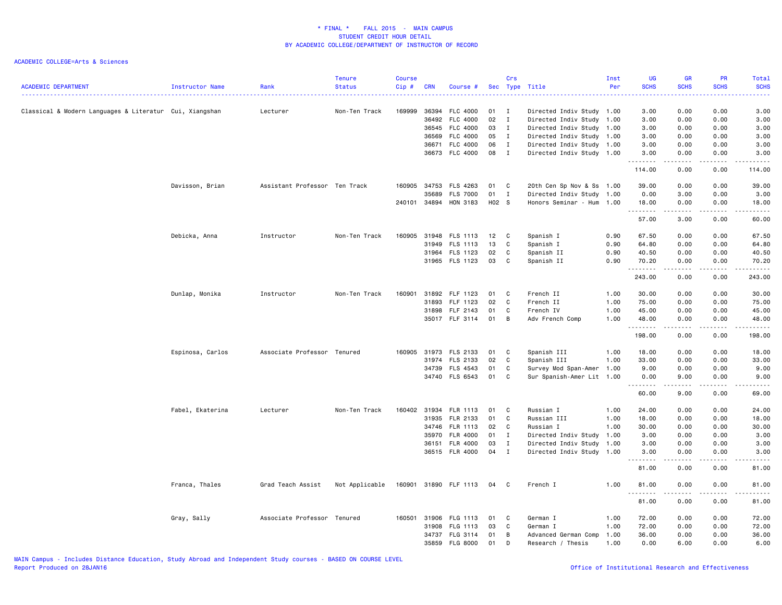| <b>ACADEMIC DEPARTMENT</b>                              | Instructor Name  | Rank                          | <b>Tenure</b><br><b>Status</b> | <b>Course</b><br>Cip# | <b>CRN</b> | Course #              |       | Crs          | Sec Type Title            | Inst<br>Per | <b>UG</b><br><b>SCHS</b><br>الأعامات | <b>GR</b><br><b>SCHS</b>                                                                                                          | PR<br><b>SCHS</b>               | <b>Total</b><br><b>SCHS</b><br>$\omega$ is a $\omega$ .                                                                                                      |
|---------------------------------------------------------|------------------|-------------------------------|--------------------------------|-----------------------|------------|-----------------------|-------|--------------|---------------------------|-------------|--------------------------------------|-----------------------------------------------------------------------------------------------------------------------------------|---------------------------------|--------------------------------------------------------------------------------------------------------------------------------------------------------------|
| Classical & Modern Languages & Literatur Cui, Xiangshan |                  | Lecturer                      | Non-Ten Track                  | 169999                | 36394      | FLC 4000              | 01    | $\mathbf{I}$ | Directed Indiv Study 1.00 |             | 3.00                                 | 0.00                                                                                                                              | 0.00                            | 3.00                                                                                                                                                         |
|                                                         |                  |                               |                                |                       | 36492      | <b>FLC 4000</b>       | 02    | $\mathbf{I}$ | Directed Indiv Study      | 1.00        | 3.00                                 | 0.00                                                                                                                              | 0.00                            | 3.00                                                                                                                                                         |
|                                                         |                  |                               |                                |                       | 36545      | <b>FLC 4000</b>       | 03    | $\mathbf{I}$ | Directed Indiv Study 1.00 |             | 3.00                                 | 0.00                                                                                                                              | 0.00                            | 3.00                                                                                                                                                         |
|                                                         |                  |                               |                                |                       | 36569      | FLC 4000              | 05    | $\mathbf{I}$ | Directed Indiv Study 1.00 |             | 3.00                                 | 0.00                                                                                                                              | 0.00                            | 3.00                                                                                                                                                         |
|                                                         |                  |                               |                                |                       | 36671      | FLC 4000              | 06    | $\mathbf{I}$ | Directed Indiv Study 1.00 |             | 3.00                                 | 0.00                                                                                                                              | 0.00                            | 3.00                                                                                                                                                         |
|                                                         |                  |                               |                                |                       |            | 36673 FLC 4000        | 08    | $\mathbf{I}$ | Directed Indiv Study 1.00 |             | 3.00<br>.                            | 0.00<br>.                                                                                                                         | 0.00<br>.                       | 3.00<br>، د د د د .                                                                                                                                          |
|                                                         |                  |                               |                                |                       |            |                       |       |              |                           |             | 114.00                               | 0.00                                                                                                                              | 0.00                            | 114.00                                                                                                                                                       |
|                                                         | Davisson, Brian  | Assistant Professor Ten Track |                                | 160905                | 34753      | FLS 4263              | 01    | C            | 20th Cen Sp Nov & Ss 1.00 |             | 39.00                                | 0.00                                                                                                                              | 0.00                            | 39.00                                                                                                                                                        |
|                                                         |                  |                               |                                |                       | 35689      | <b>FLS 7000</b>       | 01    | $\mathbf{I}$ | Directed Indiv Study 1.00 |             | 0.00                                 | 3.00                                                                                                                              | 0.00                            | 3.00                                                                                                                                                         |
|                                                         |                  |                               |                                |                       |            | 240101 34894 HON 3183 | H02 S |              | Honors Seminar - Hum      | 1.00        | 18.00                                | 0.00<br>.                                                                                                                         | 0.00<br>.                       | 18.00<br>، د د د د .                                                                                                                                         |
|                                                         |                  |                               |                                |                       |            |                       |       |              |                           |             | 57.00                                | 3.00                                                                                                                              | 0.00                            | 60.00                                                                                                                                                        |
|                                                         | Debicka, Anna    | Instructor                    | Non-Ten Track                  | 160905                | 31948      | FLS 1113              | 12    | C            | Spanish I                 | 0.90        | 67.50                                | 0.00                                                                                                                              | 0.00                            | 67.50                                                                                                                                                        |
|                                                         |                  |                               |                                |                       | 31949      | FLS 1113              | 13    | C            | Spanish I                 | 0.90        | 64.80                                | 0.00                                                                                                                              | 0.00                            | 64.80                                                                                                                                                        |
|                                                         |                  |                               |                                |                       |            | 31964 FLS 1123        | 02    | C            | Spanish II                | 0.90        | 40.50                                | 0.00                                                                                                                              | 0.00                            | 40.50                                                                                                                                                        |
|                                                         |                  |                               |                                |                       |            | 31965 FLS 1123        | 03    | C            | Spanish II                | 0.90        | 70.20<br>.                           | 0.00<br>.                                                                                                                         | 0.00<br>.                       | 70.20<br>.                                                                                                                                                   |
|                                                         |                  |                               |                                |                       |            |                       |       |              |                           |             | 243.00                               | 0.00                                                                                                                              | 0.00                            | 243.00                                                                                                                                                       |
|                                                         | Dunlap, Monika   | Instructor                    | Non-Ten Track                  | 160901                | 31892      | FLF 1123              | 01    | C            | French II                 | 1.00        | 30.00                                | 0.00                                                                                                                              | 0.00                            | 30.00                                                                                                                                                        |
|                                                         |                  |                               |                                |                       | 31893      | FLF 1123              | 02    | C            | French II                 | 1.00        | 75.00                                | 0.00                                                                                                                              | 0.00                            | 75.00                                                                                                                                                        |
|                                                         |                  |                               |                                |                       | 31898      | FLF 2143              | 01    | C            | French IV                 | 1.00        | 45.00                                | 0.00                                                                                                                              | 0.00                            | 45.00                                                                                                                                                        |
|                                                         |                  |                               |                                |                       |            | 35017 FLF 3114        | 01    | B            | Adv French Comp           | 1.00        | 48.00<br><u>.</u>                    | 0.00<br>.                                                                                                                         | 0.00<br>.                       | 48.00<br>.                                                                                                                                                   |
|                                                         |                  |                               |                                |                       |            |                       |       |              |                           |             | 198.00                               | 0.00                                                                                                                              | 0.00                            | 198.00                                                                                                                                                       |
|                                                         | Espinosa, Carlos | Associate Professor Tenured   |                                | 160905                | 31973      | FLS 2133              | 01    | C            | Spanish III               | 1.00        | 18.00                                | 0.00                                                                                                                              | 0.00                            | 18.00                                                                                                                                                        |
|                                                         |                  |                               |                                |                       | 31974      | FLS 2133              | 02    | C            | Spanish III               | 1.00        | 33.00                                | 0.00                                                                                                                              | 0.00                            | 33.00                                                                                                                                                        |
|                                                         |                  |                               |                                |                       | 34739      | FLS 4543              | 01    | C            | Survey Mod Span-Amer 1.00 |             | 9.00                                 | 0.00                                                                                                                              | 0.00                            | 9.00                                                                                                                                                         |
|                                                         |                  |                               |                                |                       |            | 34740 FLS 6543        | 01    | C            | Sur Spanish-Amer Lit 1.00 |             | 0.00<br>.                            | 9.00<br>$\frac{1}{2} \left( \frac{1}{2} \right) \left( \frac{1}{2} \right) \left( \frac{1}{2} \right) \left( \frac{1}{2} \right)$ | 0.00                            | 9.00<br>$\frac{1}{2} \left( \frac{1}{2} \right) \left( \frac{1}{2} \right) \left( \frac{1}{2} \right) \left( \frac{1}{2} \right) \left( \frac{1}{2} \right)$ |
|                                                         |                  |                               |                                |                       |            |                       |       |              |                           |             | 60.00                                | 9.00                                                                                                                              | 0.00                            | 69.00                                                                                                                                                        |
|                                                         | Fabel, Ekaterina | Lecturer                      | Non-Ten Track                  | 160402 31934          |            | FLR 1113              | 01    | C            | Russian I                 | 1.00        | 24.00                                | 0.00                                                                                                                              | 0.00                            | 24.00                                                                                                                                                        |
|                                                         |                  |                               |                                |                       | 31935      | FLR 2133              | 01    | C            | Russian III               | 1.00        | 18.00                                | 0.00                                                                                                                              | 0.00                            | 18.00                                                                                                                                                        |
|                                                         |                  |                               |                                |                       | 34746      | FLR 1113              | 02    | $\mathbf{C}$ | Russian I                 | 1.00        | 30.00                                | 0.00                                                                                                                              | 0.00                            | 30.00                                                                                                                                                        |
|                                                         |                  |                               |                                |                       | 35970      | <b>FLR 4000</b>       | 01    | $\mathbf{I}$ | Directed Indiv Study 1.00 |             | 3.00                                 | 0.00                                                                                                                              | 0.00                            | 3.00                                                                                                                                                         |
|                                                         |                  |                               |                                |                       | 36151      | FLR 4000              | 03    | I            | Directed Indiv Study      | 1.00        | 3.00                                 | 0.00                                                                                                                              | 0.00                            | 3.00                                                                                                                                                         |
|                                                         |                  |                               |                                |                       |            | 36515 FLR 4000        | 04    | I            | Directed Indiv Study 1.00 |             | 3.00<br>22222                        | 0.00<br>.                                                                                                                         | 0.00<br>$\omega$ is $\omega$ in | 3.00<br>$\omega$ is $\omega$ in .                                                                                                                            |
|                                                         |                  |                               |                                |                       |            |                       |       |              |                           |             | 81.00                                | 0.00                                                                                                                              | 0.00                            | 81.00                                                                                                                                                        |
|                                                         | Franca, Thales   | Grad Teach Assist             | Not Applicable                 |                       |            | 160901 31890 FLF 1113 | 04    | C            | French I                  | 1.00        | 81.00<br>.                           | 0.00                                                                                                                              | 0.00                            | 81.00                                                                                                                                                        |
|                                                         |                  |                               |                                |                       |            |                       |       |              |                           |             | 81.00                                | 0.00                                                                                                                              | 0.00                            | 81.00                                                                                                                                                        |
|                                                         | Gray, Sally      | Associate Professor Tenured   |                                | 160501                | 31906      | FLG 1113              | 01    | C            | German I                  | 1.00        | 72.00                                | 0.00                                                                                                                              | 0.00                            | 72.00                                                                                                                                                        |
|                                                         |                  |                               |                                |                       | 31908      | FLG 1113              | 03    | C            | German I                  | 1.00        | 72.00                                | 0.00                                                                                                                              | 0.00                            | 72.00                                                                                                                                                        |
|                                                         |                  |                               |                                |                       | 34737      | FLG 3114              | 01    | B            | Advanced German Comp      | 1.00        | 36.00                                | 0.00                                                                                                                              | 0.00                            | 36.00                                                                                                                                                        |
|                                                         |                  |                               |                                |                       | 35859      | <b>FLG 8000</b>       | 01    | D            | Research / Thesis         | 1.00        | 0.00                                 | 6.00                                                                                                                              | 0.00                            | 6.00                                                                                                                                                         |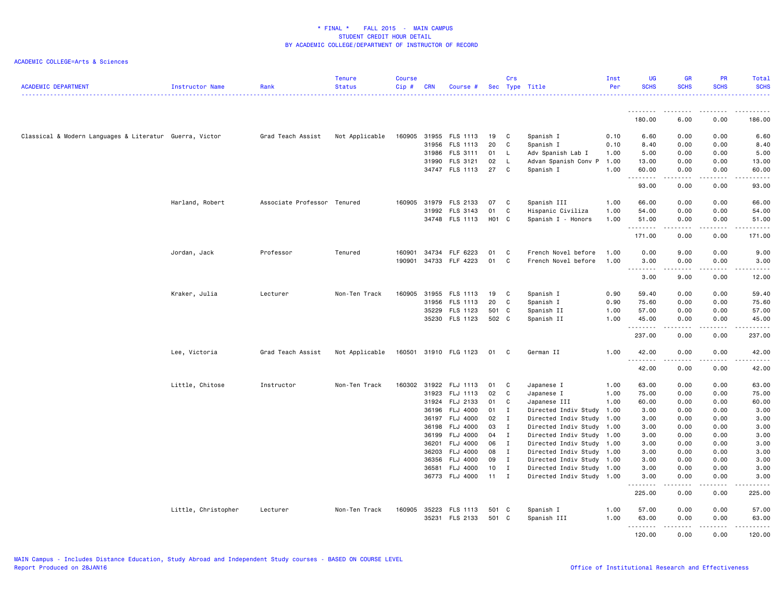| <b>ACADEMIC DEPARTMENT</b>                              | <b>Instructor Name</b> | Rank                | <b>Tenure</b><br><b>Status</b> | <b>Course</b><br>Cip# | <b>CRN</b> | Course #              |              | Crs            | Sec Type Title            | Inst<br>Per | <b>UG</b><br><b>SCHS</b> | <b>GR</b><br><b>SCHS</b>                                                                                                          | <b>PR</b><br><b>SCHS</b> | Total<br><b>SCHS</b><br>. |
|---------------------------------------------------------|------------------------|---------------------|--------------------------------|-----------------------|------------|-----------------------|--------------|----------------|---------------------------|-------------|--------------------------|-----------------------------------------------------------------------------------------------------------------------------------|--------------------------|---------------------------|
|                                                         |                        |                     |                                |                       |            |                       |              |                |                           |             | <u>.</u>                 | $\frac{1}{2} \left( \frac{1}{2} \right) \left( \frac{1}{2} \right) \left( \frac{1}{2} \right) \left( \frac{1}{2} \right)$         |                          |                           |
|                                                         |                        |                     |                                |                       |            |                       |              |                |                           |             | 180.00                   | 6.00                                                                                                                              | 0.00                     | 186.00                    |
| Classical & Modern Languages & Literatur Guerra, Victor |                        | Grad Teach Assist   | Not Applicable                 | 160905                |            | 31955 FLS 1113        | 19           | C              | Spanish I                 | 0.10        | 6.60                     | 0.00                                                                                                                              | 0.00                     | 6.60                      |
|                                                         |                        |                     |                                |                       |            | 31956 FLS 1113        | 20           | C              | Spanish I                 | 0.10        | 8.40                     | 0.00                                                                                                                              | 0.00                     | 8.40                      |
|                                                         |                        |                     |                                |                       |            | 31986 FLS 3111        | 01           | L.             | Adv Spanish Lab I         | 1.00        | 5.00                     | 0.00                                                                                                                              | 0.00                     | 5.00                      |
|                                                         |                        |                     |                                |                       |            | 31990 FLS 3121        | 02           | L.             | Advan Spanish Conv P 1.00 |             | 13.00                    | 0.00                                                                                                                              | 0.00                     | 13.00                     |
|                                                         |                        |                     |                                |                       |            | 34747 FLS 1113        | 27           | C              | Spanish I                 | 1.00        | 60.00<br>.               | 0.00<br>$\omega$ is $\omega$ in $\omega$ .                                                                                        | 0.00<br>22222            | 60.00<br>.                |
|                                                         |                        |                     |                                |                       |            |                       |              |                |                           |             | 93.00                    | 0.00                                                                                                                              | 0.00                     | 93.00                     |
|                                                         | Harland, Robert        | Associate Professor | Tenured                        | 160905                | 31979      | FLS 2133              | 07           | C              | Spanish III               | 1.00        | 66.00                    | 0.00                                                                                                                              | 0.00                     | 66.00                     |
|                                                         |                        |                     |                                |                       |            | 31992 FLS 3143        | 01           | C              | Hispanic Civiliza         | 1.00        | 54.00                    | 0.00                                                                                                                              | 0.00                     | 54.00                     |
|                                                         |                        |                     |                                |                       |            | 34748 FLS 1113        | H01 C        |                | Spanish I - Honors        | 1.00        | 51.00<br>.               | 0.00<br>.                                                                                                                         | 0.00<br>.                | 51.00<br>.                |
|                                                         |                        |                     |                                |                       |            |                       |              |                |                           |             | 171.00                   | 0.00                                                                                                                              | 0.00                     | 171.00                    |
|                                                         | Jordan, Jack           | Professor           | Tenured                        | 160901                | 34734      | FLF 6223              | 01           | C              | French Novel before       | 1.00        | 0.00                     | 9.00                                                                                                                              | 0.00                     | 9.00                      |
|                                                         |                        |                     |                                | 190901                |            | 34733 FLF 4223        | 01           | C              | French Novel before       | 1.00        | 3.00<br>.                | 0.00<br>$\frac{1}{2} \left( \frac{1}{2} \right) \left( \frac{1}{2} \right) \left( \frac{1}{2} \right) \left( \frac{1}{2} \right)$ | 0.00<br>.                | 3.00<br>$- - - - -$       |
|                                                         |                        |                     |                                |                       |            |                       |              |                |                           |             | 3.00                     | 9.00                                                                                                                              | 0.00                     | 12.00                     |
|                                                         | Kraker, Julia          | Lecturer            | Non-Ten Track                  | 160905                | 31955      | FLS 1113              | 19           | $\mathbf{C}$   | Spanish I                 | 0.90        | 59.40                    | 0.00                                                                                                                              | 0.00                     | 59.40                     |
|                                                         |                        |                     |                                |                       | 31956      | FLS 1113              | 20           | C              | Spanish I                 | 0.90        | 75.60                    | 0.00                                                                                                                              | 0.00                     | 75.60                     |
|                                                         |                        |                     |                                |                       | 35229      | FLS 1123              | 501 C        |                | Spanish II                | 1.00        | 57.00                    | 0.00                                                                                                                              | 0.00                     | 57.00                     |
|                                                         |                        |                     |                                |                       |            | 35230 FLS 1123        | 502 C        |                | Spanish II                | 1.00        | 45.00<br>.               | 0.00<br><b>.</b>                                                                                                                  | 0.00<br>-----            | 45.00<br>.                |
|                                                         |                        |                     |                                |                       |            |                       |              |                |                           |             | 237.00                   | 0.00                                                                                                                              | 0.00                     | 237.00                    |
|                                                         | Lee, Victoria          | Grad Teach Assist   | Not Applicable                 |                       |            | 160501 31910 FLG 1123 | 01           | $\mathbf{C}$   | German II                 | 1.00        | 42.00                    | 0.00                                                                                                                              | 0.00                     | 42.00                     |
|                                                         |                        |                     |                                |                       |            |                       |              |                |                           |             | .<br>42.00               | 0.00                                                                                                                              | 0.00                     | 42.00                     |
|                                                         | Little, Chitose        | Instructor          | Non-Ten Track                  | 160302                | 31922      | FLJ 1113              | 01           | C              | Japanese I                | 1.00        | 63.00                    | 0.00                                                                                                                              | 0.00                     | 63.00                     |
|                                                         |                        |                     |                                |                       | 31923      | FLJ 1113              | 02           | $\mathbf{C}$   | Japanese I                | 1.00        | 75.00                    | 0.00                                                                                                                              | 0.00                     | 75.00                     |
|                                                         |                        |                     |                                |                       |            | 31924 FLJ 2133        | 01           | $\mathbf{C}$   | Japanese III              | 1.00        | 60.00                    | 0.00                                                                                                                              | 0.00                     | 60.00                     |
|                                                         |                        |                     |                                |                       | 36196      | FLJ 4000              | $01$ I       |                | Directed Indiv Study 1.00 |             | 3.00                     | 0.00                                                                                                                              | 0.00                     | 3.00                      |
|                                                         |                        |                     |                                |                       | 36197      | <b>FLJ 4000</b>       | $02 \quad I$ |                | Directed Indiv Study 1.00 |             | 3.00                     | 0.00                                                                                                                              | 0.00                     | 3.00                      |
|                                                         |                        |                     |                                |                       | 36198      | FLJ 4000              | 03           | $\mathbf I$    | Directed Indiv Study 1.00 |             | 3.00                     | 0.00                                                                                                                              | 0.00                     | 3.00                      |
|                                                         |                        |                     |                                |                       | 36199      | FLJ 4000              | 04 I         |                | Directed Indiv Study 1.00 |             | 3.00                     | 0.00                                                                                                                              | 0.00                     | 3.00                      |
|                                                         |                        |                     |                                |                       | 36201      | <b>FLJ 4000</b>       | 06 I         |                | Directed Indiv Study 1.00 |             | 3.00                     | 0.00                                                                                                                              | 0.00                     | 3.00                      |
|                                                         |                        |                     |                                |                       | 36203      | FLJ 4000              | 08           | $\blacksquare$ | Directed Indiv Study 1.00 |             | 3.00                     | 0.00                                                                                                                              | 0.00                     | 3.00                      |
|                                                         |                        |                     |                                |                       | 36356      | FLJ 4000              | 09           | $\mathbf I$    | Directed Indiv Study 1.00 |             | 3.00                     | 0.00                                                                                                                              | 0.00                     | 3.00                      |
|                                                         |                        |                     |                                |                       | 36581      | <b>FLJ 4000</b>       | 10           | $\mathbf{I}$   | Directed Indiv Study 1.00 |             | 3.00                     | 0.00                                                                                                                              | 0.00                     | 3.00                      |
|                                                         |                        |                     |                                |                       |            | 36773 FLJ 4000        | $11 \quad I$ |                | Directed Indiv Study 1.00 |             | 3.00<br>.                | 0.00<br>$\omega$ is a set of                                                                                                      | 0.00<br>.                | 3.00<br><u>.</u>          |
|                                                         |                        |                     |                                |                       |            |                       |              |                |                           |             | 225.00                   | 0.00                                                                                                                              | 0.00                     | 225.00                    |
|                                                         | Little, Christopher    | Lecturer            | Non-Ten Track                  | 160905                | 35223      | FLS 1113              | 501 C        |                | Spanish I                 | 1.00        | 57.00                    | 0.00                                                                                                                              | 0.00                     | 57.00                     |
|                                                         |                        |                     |                                |                       |            | 35231 FLS 2133        | 501 C        |                | Spanish III               | 1.00        | 63.00<br>.               | 0.00<br>$\frac{1}{2}$                                                                                                             | 0.00<br>.                | 63.00<br>.                |
|                                                         |                        |                     |                                |                       |            |                       |              |                |                           |             | 120.00                   | 0.00                                                                                                                              | 0.00                     | 120.00                    |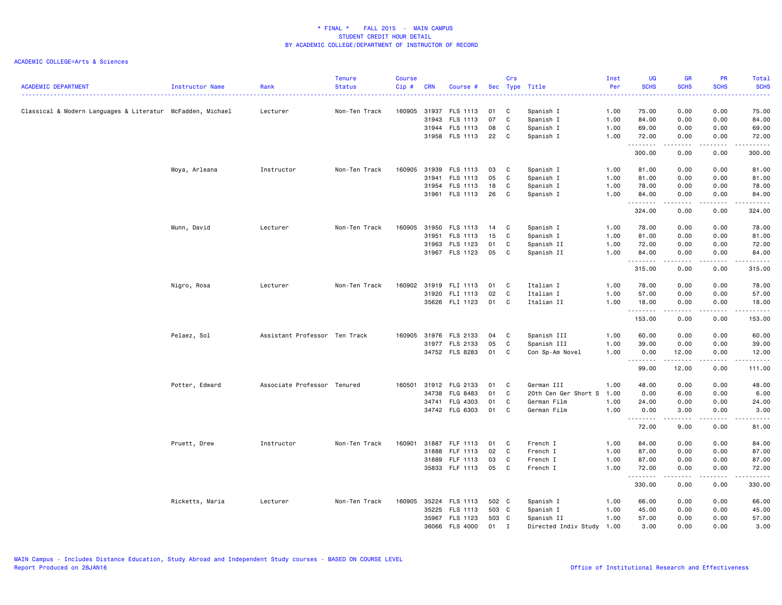| <b>ACADEMIC DEPARTMENT</b>                                 | Instructor Name | Rank                          | <b>Tenure</b><br><b>Status</b> | <b>Course</b><br>Cip# | <b>CRN</b> | Course #        |       | Crs          | Sec Type Title       | Inst<br>Per | UG<br><b>SCHS</b> | <b>GR</b><br><b>SCHS</b> | <b>PR</b><br><b>SCHS</b> | Total<br><b>SCHS</b> |
|------------------------------------------------------------|-----------------|-------------------------------|--------------------------------|-----------------------|------------|-----------------|-------|--------------|----------------------|-------------|-------------------|--------------------------|--------------------------|----------------------|
| Classical & Modern Languages & Literatur McFadden, Michael |                 | Lecturer                      | Non-Ten Track                  | 160905                | 31937      | FLS 1113        | 01    | C            | Spanish I            | 1.00        | 75.00             | 0.00                     | 0.00                     | 75.00                |
|                                                            |                 |                               |                                |                       | 31943      | FLS 1113        | 07    | C            | Spanish I            | 1.00        | 84.00             | 0.00                     | 0.00                     | 84.00                |
|                                                            |                 |                               |                                |                       |            | 31944 FLS 1113  | 08    | C            | Spanish I            | 1.00        | 69.00             | 0.00                     | 0.00                     | 69.00                |
|                                                            |                 |                               |                                |                       |            | 31958 FLS 1113  | 22    | $\mathbf{C}$ | Spanish I            | 1.00        | 72.00<br>.        | 0.00<br>-----            | 0.00<br>.                | 72.00<br>.           |
|                                                            |                 |                               |                                |                       |            |                 |       |              |                      |             | 300.00            | 0.00                     | 0.00                     | 300.00               |
|                                                            | Moya, Arleana   | Instructor                    | Non-Ten Track                  | 160905                | 31939      | FLS 1113        | 03    | C            | Spanish I            | 1.00        | 81.00             | 0.00                     | 0.00                     | 81.00                |
|                                                            |                 |                               |                                |                       | 31941      | FLS 1113        | 05    | C            | Spanish I            | 1.00        | 81.00             | 0.00                     | 0.00                     | 81.00                |
|                                                            |                 |                               |                                |                       | 31954      | FLS 1113        | 18    | C            | Spanish I            | 1.00        | 78.00             | 0.00                     | 0.00                     | 78.00                |
|                                                            |                 |                               |                                |                       |            | 31961 FLS 1113  | 26    | C            | Spanish I            | 1.00        | 84.00<br>.        | 0.00                     | 0.00                     | 84.00                |
|                                                            |                 |                               |                                |                       |            |                 |       |              |                      |             | 324.00            | 0.00                     | 0.00                     | 324.00               |
|                                                            | Munn, David     | Lecturer                      | Non-Ten Track                  | 160905                | 31950      | FLS 1113        | 14    | $\mathbf{C}$ | Spanish I            | 1.00        | 78.00             | 0.00                     | 0.00                     | 78.00                |
|                                                            |                 |                               |                                |                       | 31951      | FLS 1113        | 15    | C            | Spanish I            | 1.00        | 81.00             | 0.00                     | 0.00                     | 81.00                |
|                                                            |                 |                               |                                |                       | 31963      | FLS 1123        | 01    | C            | Spanish II           | 1.00        | 72.00             | 0.00                     | 0.00                     | 72.00                |
|                                                            |                 |                               |                                |                       |            | 31967 FLS 1123  | 05    | C            | Spanish II           | 1.00        | 84.00<br>.        | 0.00<br>.                | 0.00<br>.                | 84.00<br>.           |
|                                                            |                 |                               |                                |                       |            |                 |       |              |                      |             | 315.00            | 0.00                     | 0.00                     | 315.00               |
|                                                            | Nigro, Rosa     | Lecturer                      | Non-Ten Track                  | 160902                | 31919      | FLI 1113        | 01    | C            | Italian I            | 1.00        | 78.00             | 0.00                     | 0.00                     | 78.00                |
|                                                            |                 |                               |                                |                       | 31920      | FLI 1113        | 02    | C            | Italian I            | 1.00        | 57.00             | 0.00                     | 0.00                     | 57.00                |
|                                                            |                 |                               |                                |                       |            | 35626 FLI 1123  | 01    | C            | Italian II           | 1.00        | 18.00<br>.        | 0.00<br>.                | 0.00<br>.                | 18.00<br>.           |
|                                                            |                 |                               |                                |                       |            |                 |       |              |                      |             | 153.00            | 0.00                     | 0.00                     | 153.00               |
|                                                            | Pelaez, Sol     | Assistant Professor Ten Track |                                | 160905                |            | 31976 FLS 2133  | 04    | C            | Spanish III          | 1.00        | 60.00             | 0.00                     | 0.00                     | 60.00                |
|                                                            |                 |                               |                                |                       | 31977      | FLS 2133        | 05    | C            | Spanish III          | 1.00        | 39.00             | 0.00                     | 0.00                     | 39.00                |
|                                                            |                 |                               |                                |                       |            | 34752 FLS 8283  | 01    | C            | Con Sp-Am Novel      | 1.00        | 0.00              | 12.00<br>.               | 0.00<br>.                | 12.00<br>.           |
|                                                            |                 |                               |                                |                       |            |                 |       |              |                      |             | 99.00             | 12.00                    | 0.00                     | 111.00               |
|                                                            | Potter, Edward  | Associate Professor Tenured   |                                | 160501                |            | 31912 FLG 2133  | 01    | C            | German III           | 1.00        | 48.00             | 0.00                     | 0.00                     | 48.00                |
|                                                            |                 |                               |                                |                       | 34738      | FLG 8483        | 01    | C            | 20th Cen Ger Short S | 1.00        | 0.00              | 6.00                     | 0.00                     | 6.00                 |
|                                                            |                 |                               |                                |                       | 34741      | FLG 4303        | 01    | C            | German Film          | 1.00        | 24.00             | 0.00                     | 0.00                     | 24.00                |
|                                                            |                 |                               |                                |                       |            | 34742 FLG 6303  | 01    | C            | German Film          | 1.00        | 0.00<br>.         | 3.00<br>.                | 0.00<br>.                | 3.00<br>.            |
|                                                            |                 |                               |                                |                       |            |                 |       |              |                      |             | 72.00             | 9.00                     | 0.00                     | 81.00                |
|                                                            | Pruett, Drew    | Instructor                    | Non-Ten Track                  | 160901                | 31887      | FLF 1113        | 01    | C            | French I             | 1.00        | 84.00             | 0.00                     | 0.00                     | 84.00                |
|                                                            |                 |                               |                                |                       | 31888      | FLF 1113        | 02    | $\mathbf{C}$ | French I             | 1.00        | 87.00             | 0.00                     | 0.00                     | 87.00                |
|                                                            |                 |                               |                                |                       | 31889      | FLF 1113        | 03    | C            | French I             | 1.00        | 87.00             | 0.00                     | 0.00                     | 87.00                |
|                                                            |                 |                               |                                |                       |            | 35833 FLF 1113  | 05    | C            | French I             | 1.00        | 72.00<br>.        | 0.00<br>-----            | 0.00<br>.                | 72.00<br>.           |
|                                                            |                 |                               |                                |                       |            |                 |       |              |                      |             | 330.00            | 0.00                     | 0.00                     | 330.00               |
|                                                            | Ricketts, Maria | Lecturer                      | Non-Ten Track                  | 160905                | 35224      | FLS 1113        | 502 C |              | Spanish I            | 1.00        | 66.00             | 0.00                     | 0.00                     | 66.00                |
|                                                            |                 |                               |                                |                       | 35225      | FLS 1113        | 503 C |              | Spanish I            | 1.00        | 45.00             | 0.00                     | 0.00                     | 45.00                |
|                                                            |                 |                               |                                |                       | 35967      | FLS 1123        | 503 C |              | Spanish II           | 1.00        | 57.00             | 0.00                     | 0.00                     | 57.00                |
|                                                            |                 |                               |                                |                       | 36066      | <b>FLS 4000</b> | 01    | $\mathbf{I}$ | Directed Indiv Study | 1.00        | 3.00              | 0.00                     | 0.00                     | 3,00                 |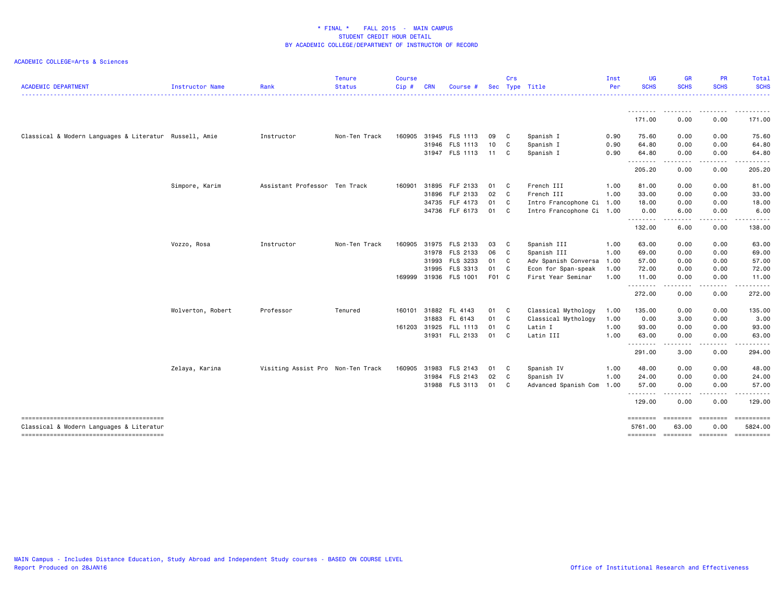| <b>ACADEMIC DEPARTMENT</b>                             | Instructor Name   | Rank                              | <b>Tenure</b><br><b>Status</b> | <b>Course</b><br>Cip# | <b>CRN</b> | <b>Course</b>         |       | <b>Crs</b>   | Sec Type Title            | Inst<br>Per | UG<br><b>SCHS</b>   | GR<br><b>SCHS</b>                                                                                                                 | <b>PR</b><br><b>SCHS</b> | Total<br><b>SCHS</b>                                                                                                      |
|--------------------------------------------------------|-------------------|-----------------------------------|--------------------------------|-----------------------|------------|-----------------------|-------|--------------|---------------------------|-------------|---------------------|-----------------------------------------------------------------------------------------------------------------------------------|--------------------------|---------------------------------------------------------------------------------------------------------------------------|
|                                                        |                   |                                   |                                |                       |            |                       |       |              |                           |             |                     |                                                                                                                                   |                          | $\frac{1}{2} \left( \frac{1}{2} \right) \left( \frac{1}{2} \right) \left( \frac{1}{2} \right) \left( \frac{1}{2} \right)$ |
|                                                        |                   |                                   |                                |                       |            |                       |       |              |                           |             | .<br>171.00         | . <b>.</b><br>0.00                                                                                                                | .<br>0.00                | . <u>.</u> .<br>171.00                                                                                                    |
|                                                        |                   |                                   |                                |                       |            |                       |       |              |                           |             |                     |                                                                                                                                   |                          |                                                                                                                           |
| Classical & Modern Languages & Literatur Russell, Amie |                   | Instructor                        | Non-Ten Track                  | 160905                |            | 31945 FLS 1113        | 09    | C            | Spanish I                 | 0.90        | 75.60               | 0.00                                                                                                                              | 0.00                     | 75.60                                                                                                                     |
|                                                        |                   |                                   |                                |                       |            | 31946 FLS 1113        | 10    | C            | Spanish I                 | 0.90        | 64.80               | 0.00                                                                                                                              | 0.00                     | 64.80                                                                                                                     |
|                                                        |                   |                                   |                                |                       |            | 31947 FLS 1113        | 11 C  |              | Spanish I                 | 0.90        | 64.80<br><u>.</u>   | 0.00<br>.                                                                                                                         | 0.00<br>.                | 64.80                                                                                                                     |
|                                                        |                   |                                   |                                |                       |            |                       |       |              |                           |             | 205.20              | 0.00                                                                                                                              | 0.00                     | 205.20                                                                                                                    |
|                                                        | Simpore, Karim    | Assistant Professor Ten Track     |                                | 160901                |            | 31895 FLF 2133        | 01    | $\mathbf{C}$ | French III                | 1.00        | 81.00               | 0.00                                                                                                                              | 0.00                     | 81.00                                                                                                                     |
|                                                        |                   |                                   |                                |                       | 31896      | FLF 2133              | 02    | $\mathbf{C}$ | French III                | 1.00        | 33.00               | 0.00                                                                                                                              | 0.00                     | 33.00                                                                                                                     |
|                                                        |                   |                                   |                                |                       |            | 34735 FLF 4173        | 01 C  |              | Intro Francophone Ci      | 1.00        | 18.00               | 0.00                                                                                                                              | 0.00                     | 18.00                                                                                                                     |
|                                                        |                   |                                   |                                |                       |            | 34736 FLF 6173        | 01 C  |              | Intro Francophone Ci 1.00 |             | 0.00                | 6.00                                                                                                                              | 0.00                     | 6.00                                                                                                                      |
|                                                        |                   |                                   |                                |                       |            |                       |       |              |                           |             | .<br>132.00         | $\frac{1}{2} \left( \frac{1}{2} \right) \left( \frac{1}{2} \right) \left( \frac{1}{2} \right) \left( \frac{1}{2} \right)$<br>6.00 | -----<br>0.00            | .<br>138.00                                                                                                               |
|                                                        | Vozzo, Rosa       | Instructor                        | Non-Ten Track                  | 160905                |            | 31975 FLS 2133        | 03    | C            | Spanish III               | 1.00        | 63.00               | 0.00                                                                                                                              | 0.00                     | 63.00                                                                                                                     |
|                                                        |                   |                                   |                                |                       |            | 31978 FLS 2133        | 06    | $\mathbf{C}$ | Spanish III               | 1.00        | 69.00               | 0.00                                                                                                                              | 0.00                     | 69.00                                                                                                                     |
|                                                        |                   |                                   |                                |                       |            | 31993 FLS 3233        | 01 C  |              | Adv Spanish Conversa      | 1.00        | 57.00               | 0.00                                                                                                                              | 0.00                     | 57.00                                                                                                                     |
|                                                        |                   |                                   |                                |                       | 31995      | FLS 3313              | 01 C  |              | Econ for Span-speak       | 1.00        | 72.00               | 0.00                                                                                                                              | 0.00                     | 72.00                                                                                                                     |
|                                                        |                   |                                   |                                |                       |            | 169999 31936 FLS 1001 | F01 C |              | First Year Seminar        | 1.00        | 11.00               | 0.00                                                                                                                              | 0.00                     | 11.00                                                                                                                     |
|                                                        |                   |                                   |                                |                       |            |                       |       |              |                           |             | .                   | .                                                                                                                                 |                          |                                                                                                                           |
|                                                        |                   |                                   |                                |                       |            |                       |       |              |                           |             | 272.00              | 0.00                                                                                                                              | 0.00                     | 272.00                                                                                                                    |
|                                                        | Wolverton, Robert | Professor                         | Tenured                        | 160101                |            | 31882 FL 4143         | 01 C  |              | Classical Mythology       | 1.00        | 135.00              | 0.00                                                                                                                              | 0.00                     | 135.00                                                                                                                    |
|                                                        |                   |                                   |                                |                       |            | 31883 FL 6143         | 01 C  |              | Classical Mythology       | 1.00        | 0.00                | 3.00                                                                                                                              | 0.00                     | 3.00                                                                                                                      |
|                                                        |                   |                                   |                                | 161203                | 31925      | FLL 1113              | 01    | $\mathbf{C}$ | Latin I                   | 1.00        | 93.00               | 0.00                                                                                                                              | 0.00                     | 93.00                                                                                                                     |
|                                                        |                   |                                   |                                |                       |            | 31931 FLL 2133        | 01 C  |              | Latin III                 | 1.00        | 63.00               | 0.00                                                                                                                              | 0.00                     | 63.00                                                                                                                     |
|                                                        |                   |                                   |                                |                       |            |                       |       |              |                           |             | .<br>291.00         | - - -<br>3.00                                                                                                                     | 0.00                     | 294.00                                                                                                                    |
|                                                        | Zelaya, Karina    | Visiting Assist Pro Non-Ten Track |                                | 160905                | 31983      | FLS 2143              | 01    | C            | Spanish IV                | 1.00        | 48.00               | 0.00                                                                                                                              | 0.00                     | 48.00                                                                                                                     |
|                                                        |                   |                                   |                                |                       |            | 31984 FLS 2143        | 02    | $\mathbf{C}$ | Spanish IV                | 1.00        | 24.00               | 0.00                                                                                                                              | 0.00                     | 24.00                                                                                                                     |
|                                                        |                   |                                   |                                |                       |            | 31988 FLS 3113        | 01    | C            | Advanced Spanish Com      | 1.00        | 57.00               | 0.00                                                                                                                              | 0.00                     | 57.00                                                                                                                     |
|                                                        |                   |                                   |                                |                       |            |                       |       |              |                           |             | .                   |                                                                                                                                   |                          |                                                                                                                           |
|                                                        |                   |                                   |                                |                       |            |                       |       |              |                           |             | 129.00              | 0.00                                                                                                                              | 0.00                     | 129.00                                                                                                                    |
| Classical & Modern Languages & Literatur               |                   |                                   |                                |                       |            |                       |       |              |                           |             | ========<br>5761.00 | $= 10000000000$<br>63.00                                                                                                          | <b>SEESSEES</b><br>0.00  | 5824.00                                                                                                                   |
|                                                        |                   |                                   |                                |                       |            |                       |       |              |                           |             |                     |                                                                                                                                   |                          | ======== ======== ======== ==========                                                                                     |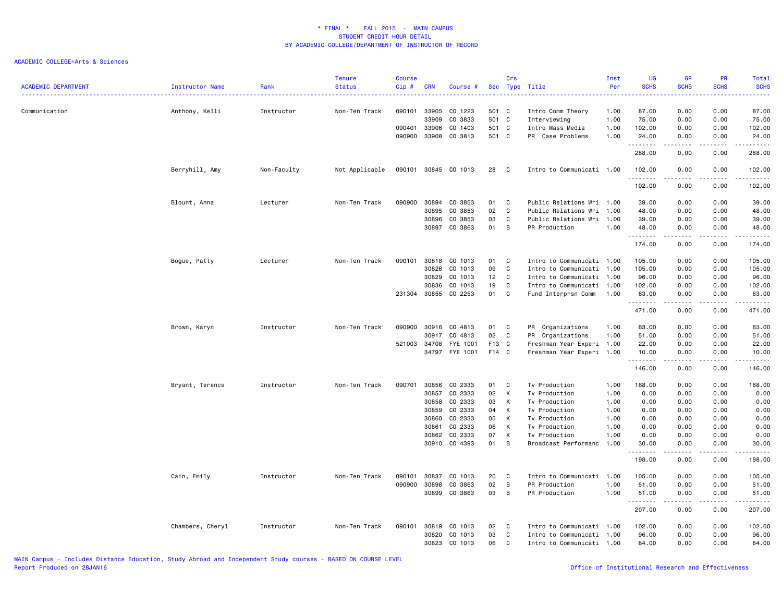| <b>ACADEMIC DEPARTMENT</b> | Instructor Name  | Rank        | <b>Tenure</b><br><b>Status</b> | <b>Course</b><br>Cip# | <b>CRN</b>     | Course #             |                 | Crs            | Sec Type Title                    | Inst<br>Per  | <b>UG</b><br><b>SCHS</b> | <b>GR</b><br><b>SCHS</b>                                                                                                          | PR<br><b>SCHS</b> | Total<br><b>SCHS</b><br>$- - - -$                                                                                                                                                        |
|----------------------------|------------------|-------------|--------------------------------|-----------------------|----------------|----------------------|-----------------|----------------|-----------------------------------|--------------|--------------------------|-----------------------------------------------------------------------------------------------------------------------------------|-------------------|------------------------------------------------------------------------------------------------------------------------------------------------------------------------------------------|
| Communication              | Anthony, Kelli   | Instructor  | Non-Ten Track                  | 090101                | 33905<br>33909 | CO 1223<br>CO 3833   | 501 C<br>501 C  |                | Intro Comm Theory<br>Interviewing | 1.00<br>1.00 | 87.00<br>75.00           | 0.00<br>0.00                                                                                                                      | 0.00<br>0.00      | 87.00<br>75.00                                                                                                                                                                           |
|                            |                  |             |                                | 090401                | 33906          | CO 1403              | 501 C           |                | Intro Mass Media                  | 1.00         | 102.00                   | 0.00                                                                                                                              | 0.00              | 102.00                                                                                                                                                                                   |
|                            |                  |             |                                | 090900                |                | 33908 CO 3813        | 501 C           |                | PR Case Problems                  | 1.00         | 24.00<br>.               | 0.00<br>. <u>.</u> .                                                                                                              | 0.00              | 24.00                                                                                                                                                                                    |
|                            |                  |             |                                |                       |                |                      |                 |                |                                   |              | 288.00                   | 0.00                                                                                                                              | 0.00              | 288.00                                                                                                                                                                                   |
|                            | Berryhill, Amy   | Non-Faculty | Not Applicable                 |                       |                | 090101 30845 CO 1013 | 28              | $\mathbf{C}$   | Intro to Communicati 1.00         |              | 102.00<br>.              | 0.00<br>.                                                                                                                         | 0.00<br>.         | 102.00<br>$- - - - - -$                                                                                                                                                                  |
|                            |                  |             |                                |                       |                |                      |                 |                |                                   |              | 102.00                   | 0.00                                                                                                                              | 0.00              | 102.00                                                                                                                                                                                   |
|                            | Blount, Anna     | Lecturer    | Non-Ten Track                  | 090900                | 30894          | CO 3853              | 01              | <b>C</b>       | Public Relations Wri 1.00         |              | 39.00                    | 0.00                                                                                                                              | 0.00              | 39.00                                                                                                                                                                                    |
|                            |                  |             |                                |                       | 30895          | CO 3853              | 02              | C              | Public Relations Wri 1.00         |              | 48.00                    | 0.00                                                                                                                              | 0.00              | 48.00                                                                                                                                                                                    |
|                            |                  |             |                                |                       |                | 30896 CO 3853        | 03              | C              | Public Relations Wri 1.00         |              | 39.00                    | 0.00                                                                                                                              | 0.00              | 39.00                                                                                                                                                                                    |
|                            |                  |             |                                |                       |                | 30897 CO 3863        | 01              | $\overline{B}$ | PR Production                     | 1.00         | 48.00<br>.               | 0.00<br>$\frac{1}{2} \left( \frac{1}{2} \right) \left( \frac{1}{2} \right) \left( \frac{1}{2} \right) \left( \frac{1}{2} \right)$ | 0.00<br>بالمحام   | 48.00<br>.                                                                                                                                                                               |
|                            |                  |             |                                |                       |                |                      |                 |                |                                   |              | 174.00                   | 0.00                                                                                                                              | 0.00              | 174.00                                                                                                                                                                                   |
|                            | Bogue, Patty     | Lecturer    | Non-Ten Track                  | 090101                |                | 30818 CO 1013        | 01              | $\mathbf{C}$   | Intro to Communicati 1.00         |              | 105.00                   | 0.00                                                                                                                              | 0.00              | 105.00                                                                                                                                                                                   |
|                            |                  |             |                                |                       | 30826          | CO 1013              | 09              | $\mathbf{C}$   | Intro to Communicati 1.00         |              | 105.00                   | 0.00                                                                                                                              | 0.00              | 105.00                                                                                                                                                                                   |
|                            |                  |             |                                |                       | 30829          | CO 1013              | 12 <sub>2</sub> | C              | Intro to Communicati 1.00         |              | 96.00                    | 0.00                                                                                                                              | 0.00              | 96.00                                                                                                                                                                                    |
|                            |                  |             |                                |                       | 30836          | CO 1013              | 19              | C              | Intro to Communicati 1.00         |              | 102.00                   | 0.00                                                                                                                              | 0.00              | 102.00                                                                                                                                                                                   |
|                            |                  |             |                                |                       |                | 231304 30855 CO 2253 | 01              | C              | Fund Interprsn Comm               | 1.00         | 63.00<br>.               | 0.00<br>.                                                                                                                         | 0.00<br>.         | 63.00<br>$\frac{1}{2} \left( \frac{1}{2} \right) \left( \frac{1}{2} \right) \left( \frac{1}{2} \right) \left( \frac{1}{2} \right) \left( \frac{1}{2} \right) \left( \frac{1}{2} \right)$ |
|                            |                  |             |                                |                       |                |                      |                 |                |                                   |              | 471.00                   | 0.00                                                                                                                              | 0.00              | 471.00                                                                                                                                                                                   |
|                            | Brown, Karyn     | Instructor  | Non-Ten Track                  | 090900                | 30916          | CO 4813              | 01              | $\mathbf{C}$   | PR Organizations                  | 1.00         | 63.00                    | 0.00                                                                                                                              | 0.00              | 63.00                                                                                                                                                                                    |
|                            |                  |             |                                |                       | 30917          | CO 4813              | 02              | <b>C</b>       | PR Organizations                  | 1.00         | 51.00                    | 0.00                                                                                                                              | 0.00              | 51.00                                                                                                                                                                                    |
|                            |                  |             |                                |                       | 521003 34708   | FYE 1001             | F13 C           |                | Freshman Year Experi 1.00         |              | 22.00                    | 0.00                                                                                                                              | 0.00              | 22.00                                                                                                                                                                                    |
|                            |                  |             |                                |                       |                | 34797 FYE 1001       | F14 C           |                | Freshman Year Experi 1.00         |              | 10.00<br>.               | 0.00<br>المتمالين                                                                                                                 | 0.00<br>.         | 10.00<br>.                                                                                                                                                                               |
|                            |                  |             |                                |                       |                |                      |                 |                |                                   |              | 146.00                   | 0.00                                                                                                                              | 0.00              | 146.00                                                                                                                                                                                   |
|                            | Bryant, Terence  | Instructor  | Non-Ten Track                  | 090701                | 30856          | CO 2333              | 01              | <b>C</b>       | Tv Production                     | 1.00         | 168.00                   | 0.00                                                                                                                              | 0.00              | 168.00                                                                                                                                                                                   |
|                            |                  |             |                                |                       | 30857          | CO 2333              | 02              | K              | Tv Production                     | 1.00         | 0.00                     | 0.00                                                                                                                              | 0.00              | 0.00                                                                                                                                                                                     |
|                            |                  |             |                                |                       | 30858          | CO 2333              | 03              | K              | Tv Production                     | 1.00         | 0.00                     | 0.00                                                                                                                              | 0.00              | 0.00                                                                                                                                                                                     |
|                            |                  |             |                                |                       | 30859          | CO 2333              | 04              | K              | Tv Production                     | 1.00         | 0.00                     | 0.00                                                                                                                              | 0.00              | 0.00                                                                                                                                                                                     |
|                            |                  |             |                                |                       | 30860<br>30861 | CO 2333<br>CO 2333   | 05<br>06        | K<br>K         | Tv Production<br>Tv Production    | 1.00<br>1.00 | 0.00<br>0.00             | 0.00<br>0.00                                                                                                                      | 0.00<br>0.00      | 0.00<br>0.00                                                                                                                                                                             |
|                            |                  |             |                                |                       |                | 30862 CO 2333        | 07              | K              | Tv Production                     | 1.00         | 0.00                     | 0.00                                                                                                                              | 0.00              | 0.00                                                                                                                                                                                     |
|                            |                  |             |                                |                       |                | 30910 CO 4393        | 01              | B              | Broadcast Performanc              | 1.00         | 30.00                    | 0.00                                                                                                                              | 0.00              | 30.00                                                                                                                                                                                    |
|                            |                  |             |                                |                       |                |                      |                 |                |                                   |              | .<br>198.00              | 0.00                                                                                                                              | 0.00              | 198.00                                                                                                                                                                                   |
|                            | Cain, Emily      | Instructor  | Non-Ten Track                  | 090101                | 30837          | CO 1013              | 20              | C              | Intro to Communicati 1.00         |              | 105.00                   | 0.00                                                                                                                              | 0.00              | 105.00                                                                                                                                                                                   |
|                            |                  |             |                                | 090900                | 30898          | CO 3863              | 02              | B              | PR Production                     | 1.00         | 51.00                    | 0.00                                                                                                                              | 0.00              | 51.00                                                                                                                                                                                    |
|                            |                  |             |                                |                       | 30899          | CO 3863              | 03              | B              | PR Production                     | 1.00         | 51.00                    | 0.00                                                                                                                              | 0.00              | 51.00                                                                                                                                                                                    |
|                            |                  |             |                                |                       |                |                      |                 |                |                                   |              | .                        | $\frac{1}{2}$                                                                                                                     | .                 | .                                                                                                                                                                                        |
|                            |                  |             |                                |                       |                |                      |                 |                |                                   |              | 207.00                   | 0.00                                                                                                                              | 0.00              | 207.00                                                                                                                                                                                   |
|                            | Chambers, Cheryl | Instructor  | Non-Ten Track                  | 090101                | 30819          | CO 1013              | 02              | $\mathbf{C}$   | Intro to Communicati 1.00         |              | 102.00                   | 0.00                                                                                                                              | 0.00              | 102.00                                                                                                                                                                                   |
|                            |                  |             |                                |                       | 30820          | CO 1013              | 03              | C              | Intro to Communicati 1.00         |              | 96.00                    | 0.00                                                                                                                              | 0.00              | 96.00                                                                                                                                                                                    |
|                            |                  |             |                                |                       |                | 30823 CO 1013        | 06              | C              | Intro to Communicati 1.00         |              | 84.00                    | 0.00                                                                                                                              | 0.00              | 84.00                                                                                                                                                                                    |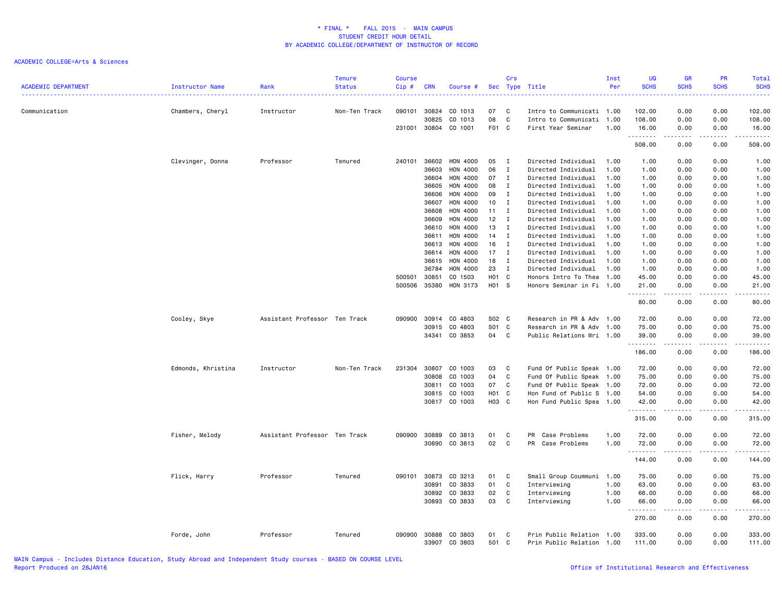| <b>ACADEMIC DEPARTMENT</b> | <b>Instructor Name</b> | Rank                          | Tenure<br><b>Status</b> | <b>Course</b><br>Cip# | <b>CRN</b>     | Course #           |                   | Crs          | Sec Type Title                                    | Inst<br>Per  | <b>UG</b><br><b>SCHS</b>                                                                                                           | <b>GR</b><br><b>SCHS</b>                                                                                                          | PR<br><b>SCHS</b> | <b>Total</b><br><b>SCHS</b><br>. |
|----------------------------|------------------------|-------------------------------|-------------------------|-----------------------|----------------|--------------------|-------------------|--------------|---------------------------------------------------|--------------|------------------------------------------------------------------------------------------------------------------------------------|-----------------------------------------------------------------------------------------------------------------------------------|-------------------|----------------------------------|
| Communication              | Chambers, Cheryl       | Instructor                    | Non-Ten Track           | 090101                | 30824<br>30825 | CO 1013<br>CO 1013 | 07<br>08          | C<br>C       | Intro to Communicati 1.00<br>Intro to Communicati | 1.00         | 102.00<br>108.00                                                                                                                   | 0.00<br>0.00                                                                                                                      | 0.00<br>0.00      | 102.00<br>108.00                 |
|                            |                        |                               |                         | 231001                | 30804          | CO 1001            | F01 C             |              | First Year Seminar                                | 1.00         | 16.00                                                                                                                              | 0.00                                                                                                                              | 0.00              | 16.00                            |
|                            |                        |                               |                         |                       |                |                    |                   |              |                                                   |              | .<br>508.00                                                                                                                        | .<br>0.00                                                                                                                         | .<br>0.00         | $- - - - - -$<br>508.00          |
|                            | Clevinger, Donna       | Professor                     | Tenured                 | 240101                | 36602          | HON 4000           | 05                | $\mathbf{I}$ | Directed Individual                               | 1.00         | 1.00                                                                                                                               | 0.00                                                                                                                              | 0.00              | 1.00                             |
|                            |                        |                               |                         |                       | 36603          | HON 4000           | 06                | $\mathbf I$  | Directed Individual                               | 1.00         | 1.00                                                                                                                               | 0.00                                                                                                                              | 0.00              | 1.00                             |
|                            |                        |                               |                         |                       | 36604          | HON 4000           | 07                | $\mathbf{I}$ | Directed Individual                               | 1.00         | 1.00                                                                                                                               | 0.00                                                                                                                              | 0.00              | 1.00                             |
|                            |                        |                               |                         |                       | 36605          | HON 4000           | 08                | $\mathbf{I}$ | Directed Individual                               | 1.00         | 1.00                                                                                                                               | 0.00                                                                                                                              | 0.00              | 1.00                             |
|                            |                        |                               |                         |                       | 36606          | <b>HON 4000</b>    | 09                | I            | Directed Individual                               | 1.00         | 1.00                                                                                                                               | 0.00                                                                                                                              | 0.00              | 1.00                             |
|                            |                        |                               |                         |                       | 36607          | HON 4000           | 10 <sup>1</sup>   | I            | Directed Individual                               | 1.00         | 1.00                                                                                                                               | 0.00                                                                                                                              | 0.00              | 1.00                             |
|                            |                        |                               |                         |                       | 36608          | HON 4000           | 11                | $\mathbf{I}$ | Directed Individual                               | 1.00         | 1.00                                                                                                                               | 0.00                                                                                                                              | 0.00              | 1.00                             |
|                            |                        |                               |                         |                       | 36609          | HON 4000           | 12                | $\mathbf{I}$ | Directed Individual                               | 1.00         | 1.00                                                                                                                               | 0.00                                                                                                                              | 0.00              | 1.00                             |
|                            |                        |                               |                         |                       | 36610          | HON 4000           | 13                | Ι            | Directed Individual                               | 1.00         | 1.00                                                                                                                               | 0.00                                                                                                                              | 0.00              | 1.00                             |
|                            |                        |                               |                         |                       | 36611          | HON 4000           | 14                | $\mathbf I$  | Directed Individual                               | 1.00         | 1.00                                                                                                                               | 0.00                                                                                                                              | 0.00              | 1.00                             |
|                            |                        |                               |                         |                       | 36613          | HON 4000           | 16                | $\mathbf{I}$ | Directed Individual                               | 1.00         | 1.00                                                                                                                               | 0.00                                                                                                                              | 0.00              | 1.00                             |
|                            |                        |                               |                         |                       | 36614          | HON 4000           | 17                | $\mathbf{I}$ | Directed Individual                               | 1.00         | 1.00                                                                                                                               | 0.00                                                                                                                              | 0.00              | 1.00                             |
|                            |                        |                               |                         |                       | 36615          | HON 4000           | 18                | $\mathbf{I}$ | Directed Individual                               | 1.00         | 1.00                                                                                                                               | 0.00                                                                                                                              | 0.00              | 1.00                             |
|                            |                        |                               |                         |                       | 36784          | HON 4000           | 23                | $\mathbf{I}$ | Directed Individual                               | 1.00         | 1.00                                                                                                                               | 0.00                                                                                                                              | 0.00              | 1.00                             |
|                            |                        |                               |                         | 500501                | 30851          | CO 1503            | H <sub>01</sub> C |              | Honors Intro To Thea                              | 1.00         | 45.00                                                                                                                              | 0.00                                                                                                                              | 0.00              | 45.00                            |
|                            |                        |                               |                         | 500506                | 35380          | HON 3173           | H01 S             |              | Honors Seminar in Fi 1.00                         |              | 21.00<br>$\frac{1}{2} \left( \frac{1}{2} \right) \left( \frac{1}{2} \right) \left( \frac{1}{2} \right) \left( \frac{1}{2} \right)$ | 0.00<br>$\frac{1}{2} \left( \frac{1}{2} \right) \left( \frac{1}{2} \right) \left( \frac{1}{2} \right) \left( \frac{1}{2} \right)$ | 0.00              | 21.00                            |
|                            |                        |                               |                         |                       |                |                    |                   |              |                                                   |              | 80.00                                                                                                                              | 0.00                                                                                                                              | 0.00              | 80.00                            |
|                            | Cooley, Skye           | Assistant Professor Ten Track |                         | 090900                | 30914          | CO 4803            | S02 C             |              | Research in PR & Adv 1.00                         |              | 72.00                                                                                                                              | 0.00                                                                                                                              | 0.00              | 72.00                            |
|                            |                        |                               |                         |                       | 30915          | CO 4803            | S01 C             |              | Research in PR & Adv                              | 1.00         | 75.00                                                                                                                              | 0.00                                                                                                                              | 0.00              | 75.00                            |
|                            |                        |                               |                         |                       |                | 34341 CO 3853      | 04                | C            | Public Relations Wri 1.00                         |              | 39.00<br>.                                                                                                                         | 0.00<br>.                                                                                                                         | 0.00<br>.         | 39.00<br>.                       |
|                            |                        |                               |                         |                       |                |                    |                   |              |                                                   |              | 186.00                                                                                                                             | 0.00                                                                                                                              | 0.00              | 186.00                           |
|                            | Edmonds, Khristina     | Instructor                    | Non-Ten Track           | 231304                | 30807          | CO 1003            | 03                | C            | Fund Of Public Speak 1.00                         |              | 72.00                                                                                                                              | 0.00                                                                                                                              | 0.00              | 72.00                            |
|                            |                        |                               |                         |                       | 30808          | CO 1003            | 04                | C            | Fund Of Public Speak 1.00                         |              | 75.00                                                                                                                              | 0.00                                                                                                                              | 0.00              | 75.00                            |
|                            |                        |                               |                         |                       | 30811          | CO 1003            | 07                | C            | Fund Of Public Speak 1.00                         |              | 72.00                                                                                                                              | 0.00                                                                                                                              | 0.00              | 72.00                            |
|                            |                        |                               |                         |                       | 30815          | CO 1003            | H01 C             |              | Hon Fund of Public S 1.00                         |              | 54.00                                                                                                                              | 0.00                                                                                                                              | 0.00              | 54.00                            |
|                            |                        |                               |                         |                       |                | 30817 CO 1003      | H03 C             |              | Hon Fund Public Spea 1.00                         |              | 42.00                                                                                                                              | 0.00                                                                                                                              | 0.00<br>22222     | 42.00                            |
|                            |                        |                               |                         |                       |                |                    |                   |              |                                                   |              | .<br>315.00                                                                                                                        | .<br>0.00                                                                                                                         | 0.00              | ------<br>315.00                 |
|                            | Fisher, Melody         | Assistant Professor Ten Track |                         | 090900                | 30889          | CO 3813            | 01                | C            | PR Case Problems                                  | 1.00         | 72.00                                                                                                                              | 0.00                                                                                                                              | 0.00              | 72.00                            |
|                            |                        |                               |                         |                       | 30890          | CO 3813            | 02                | C            | PR Case Problems                                  | 1.00         | 72.00                                                                                                                              | 0.00                                                                                                                              | 0.00              | 72.00                            |
|                            |                        |                               |                         |                       |                |                    |                   |              |                                                   |              |                                                                                                                                    |                                                                                                                                   |                   |                                  |
|                            |                        |                               |                         |                       |                |                    |                   |              |                                                   |              | 144.00                                                                                                                             | 0.00                                                                                                                              | 0.00              | 144.00                           |
|                            | Flick, Harry           | Professor                     | Tenured                 | 090101                | 30873          | CO 3213            | 01                | C            | Small Group Coummuni                              | 1.00         | 75.00                                                                                                                              | 0.00                                                                                                                              | 0.00              | 75.00                            |
|                            |                        |                               |                         |                       | 30891          | CO 3833            | 01                | C            | Interviewing                                      | 1.00         | 63.00                                                                                                                              | 0.00                                                                                                                              | 0.00              | 63.00                            |
|                            |                        |                               |                         |                       | 30892          | CO 3833            | 02                | C            | Interviewing                                      | 1.00         | 66.00                                                                                                                              | 0.00                                                                                                                              | 0.00              | 66.00                            |
|                            |                        |                               |                         |                       |                | 30893 CO 3833      | 03                | C            | Interviewing                                      | 1.00         | 66.00<br>.                                                                                                                         | 0.00<br>.                                                                                                                         | 0.00<br>المتمامين | 66.00<br>.                       |
|                            |                        |                               |                         |                       |                |                    |                   |              |                                                   |              | 270.00                                                                                                                             | 0.00                                                                                                                              | 0.00              | 270.00                           |
|                            |                        |                               |                         |                       |                |                    |                   |              |                                                   |              |                                                                                                                                    |                                                                                                                                   | 0.00              |                                  |
|                            | Forde, John            | Professor                     | Tenured                 | 090900                | 30888<br>33907 | CO 3803<br>CO 3803 | 01<br>501 C       | C            | Prin Public Relation<br>Prin Public Relation      | 1.00<br>1.00 | 333.00<br>111.00                                                                                                                   | 0.00<br>0.00                                                                                                                      | 0.00              | 333.00<br>111.00                 |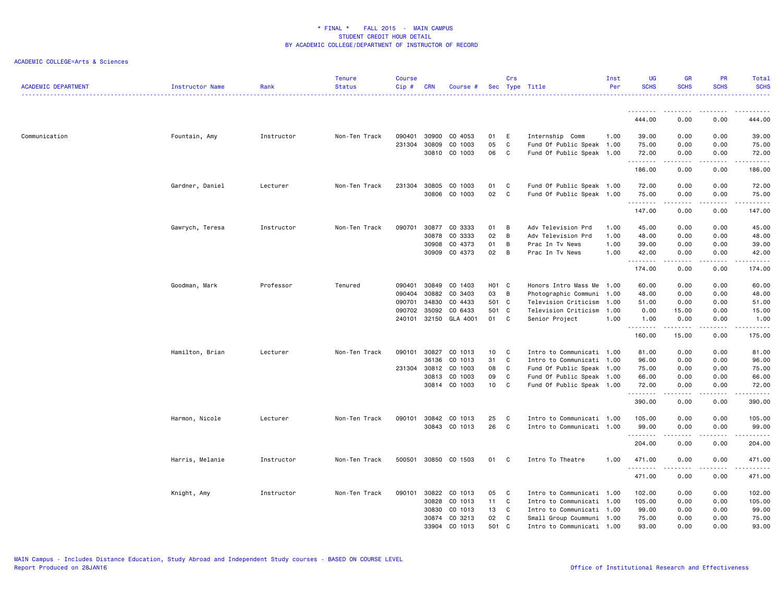| <b>ACADEMIC DEPARTMENT</b> | Instructor Name | Rank       | <b>Tenure</b><br><b>Status</b> | <b>Course</b><br>Cip# | <b>CRN</b> | Course #      |       | Crs | Sec Type Title            | Inst<br>Per | UG<br><b>SCHS</b> | <b>GR</b><br><b>SCHS</b>                                                                                                                                                                | <b>PR</b><br><b>SCHS</b>                                                                                                          | Total<br><b>SCHS</b> |
|----------------------------|-----------------|------------|--------------------------------|-----------------------|------------|---------------|-------|-----|---------------------------|-------------|-------------------|-----------------------------------------------------------------------------------------------------------------------------------------------------------------------------------------|-----------------------------------------------------------------------------------------------------------------------------------|----------------------|
|                            |                 |            |                                |                       |            |               |       |     |                           |             | .                 |                                                                                                                                                                                         |                                                                                                                                   |                      |
|                            |                 |            |                                |                       |            |               |       |     |                           |             | 444.00            | 0.00                                                                                                                                                                                    | 0.00                                                                                                                              | 444.00               |
| Communication              | Fountain, Amy   | Instructor | Non-Ten Track                  | 090401                | 30900      | CO 4053       | 01    | E   | Internship Comm           | 1.00        | 39.00             | 0.00                                                                                                                                                                                    | 0.00                                                                                                                              | 39.00                |
|                            |                 |            |                                | 231304                | 30809      | CO 1003       | 05    | C   | Fund Of Public Speak 1.00 |             | 75.00             | 0.00                                                                                                                                                                                    | 0.00                                                                                                                              | 75.00                |
|                            |                 |            |                                |                       | 30810      | CO 1003       | 06    | C   | Fund Of Public Speak 1.00 |             | 72.00<br><u>.</u> | 0.00<br>$- - - - -$                                                                                                                                                                     | 0.00<br>.                                                                                                                         | 72.00<br><u>.</u>    |
|                            |                 |            |                                |                       |            |               |       |     |                           |             | 186.00            | 0.00                                                                                                                                                                                    | 0.00                                                                                                                              | 186.00               |
|                            | Gardner, Daniel | Lecturer   | Non-Ten Track                  | 231304                | 30805      | CO 1003       | 01    | C   | Fund Of Public Speak 1.00 |             | 72.00             | 0.00                                                                                                                                                                                    | 0.00                                                                                                                              | 72.00                |
|                            |                 |            |                                |                       | 30806      | CO 1003       | 02    | C   | Fund Of Public Speak 1.00 |             | 75.00             | 0.00                                                                                                                                                                                    | 0.00                                                                                                                              | 75.00<br>.           |
|                            |                 |            |                                |                       |            |               |       |     |                           |             | .<br>147.00       | 0.00                                                                                                                                                                                    | 0.00                                                                                                                              | 147.00               |
|                            | Gawrych, Teresa | Instructor | Non-Ten Track                  | 090701                | 30877      | CO 3333       | 01    | B   | Adv Television Prd        | 1.00        | 45.00             | 0.00                                                                                                                                                                                    | 0.00                                                                                                                              | 45.00                |
|                            |                 |            |                                |                       | 30878      | CO 3333       | 02    | B   | Adv Television Prd        | 1.00        | 48.00             | 0.00                                                                                                                                                                                    | 0.00                                                                                                                              | 48.00                |
|                            |                 |            |                                |                       | 30908      | CO 4373       | 01    | B   | Prac In Tv News           | 1.00        | 39.00             | 0.00                                                                                                                                                                                    | 0.00                                                                                                                              | 39.00                |
|                            |                 |            |                                |                       | 30909      | CO 4373       | 02    | B   | Prac In Tv News           | 1.00        | 42.00<br>.        | 0.00<br>$\frac{1}{2} \left( \frac{1}{2} \right) \left( \frac{1}{2} \right) \left( \frac{1}{2} \right) \left( \frac{1}{2} \right) \left( \frac{1}{2} \right) \left( \frac{1}{2} \right)$ | 0.00<br>.                                                                                                                         | 42.00<br>.           |
|                            |                 |            |                                |                       |            |               |       |     |                           |             | 174.00            | 0.00                                                                                                                                                                                    | 0.00                                                                                                                              | 174.00               |
|                            | Goodman, Mark   | Professor  | Tenured                        | 090401                | 30849      | CO 1403       | H01 C |     | Honors Intro Mass Me      | 1.00        | 60.00             | 0.00                                                                                                                                                                                    | 0.00                                                                                                                              | 60.00                |
|                            |                 |            |                                | 090404                | 30882      | CO 3403       | 03    | B   | Photographic Communi 1.00 |             | 48.00             | 0.00                                                                                                                                                                                    | 0.00                                                                                                                              | 48.00                |
|                            |                 |            |                                | 090701                | 34830      | CO 4433       | 501 C |     | Television Criticism      | 1.00        | 51.00             | 0.00                                                                                                                                                                                    | 0.00                                                                                                                              | 51.00                |
|                            |                 |            |                                | 090702                | 35092      | CO 6433       | 501 C |     | Television Criticism      | 1.00        | 0.00              | 15.00                                                                                                                                                                                   | 0.00                                                                                                                              | 15.00                |
|                            |                 |            |                                | 240101                | 32150      | GLA 4001      | 01 C  |     | Senior Project            | 1.00        | 1.00<br>.         | 0.00<br>. <u>.</u>                                                                                                                                                                      | 0.00<br>.                                                                                                                         | 1.00<br>.            |
|                            |                 |            |                                |                       |            |               |       |     |                           |             | 160.00            | 15.00                                                                                                                                                                                   | 0.00                                                                                                                              | 175.00               |
|                            | Hamilton, Brian | Lecturer   | Non-Ten Track                  | 090101                | 30827      | CO 1013       | 10    | C   | Intro to Communicati 1.00 |             | 81.00             | 0.00                                                                                                                                                                                    | 0.00                                                                                                                              | 81.00                |
|                            |                 |            |                                |                       | 36136      | CO 1013       | 31    | C   | Intro to Communicati 1.00 |             | 96.00             | 0.00                                                                                                                                                                                    | 0.00                                                                                                                              | 96.00                |
|                            |                 |            |                                | 231304 30812          |            | CO 1003       | 08    | C   | Fund Of Public Speak 1.00 |             | 75.00             | 0.00                                                                                                                                                                                    | 0.00                                                                                                                              | 75.00                |
|                            |                 |            |                                |                       | 30813      | CO 1003       | 09    | C   | Fund Of Public Speak 1.00 |             | 66.00             | 0.00                                                                                                                                                                                    | 0.00                                                                                                                              | 66.00                |
|                            |                 |            |                                |                       |            | 30814 CO 1003 | 10    | C   | Fund Of Public Speak 1.00 |             | 72.00<br>.        | 0.00<br>.                                                                                                                                                                               | 0.00<br>$\frac{1}{2} \left( \frac{1}{2} \right) \left( \frac{1}{2} \right) \left( \frac{1}{2} \right) \left( \frac{1}{2} \right)$ | 72.00<br>.           |
|                            |                 |            |                                |                       |            |               |       |     |                           |             | 390.00            | 0.00                                                                                                                                                                                    | 0.00                                                                                                                              | 390.00               |
|                            | Harmon, Nicole  | Lecturer   | Non-Ten Track                  | 090101                | 30842      | CO 1013       | 25    | C   | Intro to Communicati 1.00 |             | 105.00            | 0.00                                                                                                                                                                                    | 0.00                                                                                                                              | 105.00               |
|                            |                 |            |                                |                       | 30843      | CO 1013       | 26    | C   | Intro to Communicati 1.00 |             | 99.00             | 0.00                                                                                                                                                                                    | 0.00                                                                                                                              | 99.00                |
|                            |                 |            |                                |                       |            |               |       |     |                           |             | .<br>204.00       | 0.00                                                                                                                                                                                    | 0.00                                                                                                                              | .<br>204.00          |
|                            | Harris, Melanie | Instructor | Non-Ten Track                  | 500501                |            | 30850 CO 1503 | 01 C  |     | Intro To Theatre          | 1.00        | 471.00            | 0.00                                                                                                                                                                                    | 0.00                                                                                                                              | 471.00               |
|                            |                 |            |                                |                       |            |               |       |     |                           |             | .<br>471.00       | $\frac{1}{2} \left( \frac{1}{2} \right) \left( \frac{1}{2} \right) \left( \frac{1}{2} \right) \left( \frac{1}{2} \right) \left( \frac{1}{2} \right) \left( \frac{1}{2} \right)$<br>0.00 | .<br>0.00                                                                                                                         | .<br>471.00          |
|                            | Knight, Amy     | Instructor | Non-Ten Track                  | 090101                | 30822      | CO 1013       | 05    | C   | Intro to Communicati 1.00 |             | 102.00            | 0.00                                                                                                                                                                                    | 0.00                                                                                                                              | 102.00               |
|                            |                 |            |                                |                       | 30828      | CO 1013       | 11    | C   | Intro to Communicati 1.00 |             | 105.00            | 0.00                                                                                                                                                                                    | 0.00                                                                                                                              | 105.00               |
|                            |                 |            |                                |                       | 30830      | CO 1013       | 13    | C   | Intro to Communicati 1.00 |             | 99.00             | 0.00                                                                                                                                                                                    | 0.00                                                                                                                              | 99.00                |
|                            |                 |            |                                |                       | 30874      | CO 3213       | 02    | C   | Small Group Coummuni 1.00 |             | 75.00             | 0.00                                                                                                                                                                                    | 0.00                                                                                                                              | 75.00                |
|                            |                 |            |                                |                       | 33904      | CO 1013       | 501   | C   | Intro to Communicati 1.00 |             | 93.00             | 0.00                                                                                                                                                                                    | 0.00                                                                                                                              | 93.00                |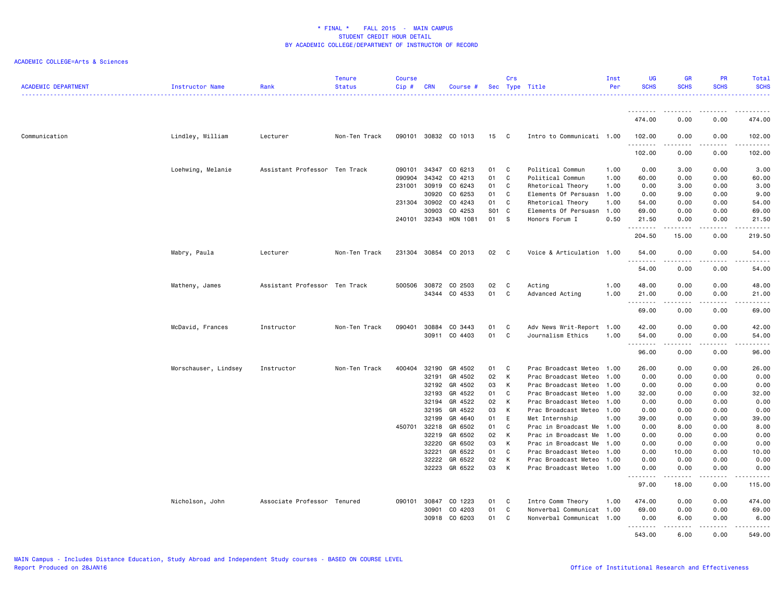| <b>ACADEMIC DEPARTMENT</b> | Instructor Name      | Rank                          | <b>Tenure</b><br><b>Status</b> | <b>Course</b><br>$Cip \#$ | <b>CRN</b>   | Course #             |            | Crs          | Sec Type Title            | Inst<br>Per | <b>UG</b><br><b>SCHS</b> | <b>GR</b><br><b>SCHS</b>                                                                                                                                     | <b>PR</b><br><b>SCHS</b> | Total<br><b>SCHS</b> |
|----------------------------|----------------------|-------------------------------|--------------------------------|---------------------------|--------------|----------------------|------------|--------------|---------------------------|-------------|--------------------------|--------------------------------------------------------------------------------------------------------------------------------------------------------------|--------------------------|----------------------|
|                            |                      |                               |                                |                           |              |                      |            |              |                           |             | ---------                | --------                                                                                                                                                     | .                        | .                    |
|                            |                      |                               |                                |                           |              |                      |            |              |                           |             | 474.00                   | 0.00                                                                                                                                                         | 0.00                     | 474.00               |
| Communication              | Lindley, William     | Lecturer                      | Non-Ten Track                  |                           |              | 090101 30832 CO 1013 | 15         | $\mathbf{C}$ | Intro to Communicati 1.00 |             | 102.00<br>.              | 0.00<br>.                                                                                                                                                    | 0.00<br>.                | 102.00<br>.          |
|                            |                      |                               |                                |                           |              |                      |            |              |                           |             | 102.00                   | 0.00                                                                                                                                                         | 0.00                     | 102.00               |
|                            | Loehwing, Melanie    | Assistant Professor Ten Track |                                | 090101                    |              | 34347 CO 6213        | 01         | C            | Political Commun          | 1.00        | 0.00                     | 3.00                                                                                                                                                         | 0.00                     | 3.00                 |
|                            |                      |                               |                                | 090904                    | 34342        | CO 4213              | 01         | C            | Political Commun          | 1.00        | 60.00                    | 0.00                                                                                                                                                         | 0.00                     | 60.00                |
|                            |                      |                               |                                | 231001                    | 30919        | CO 6243              | 01         | C            | Rhetorical Theory         | 1.00        | 0.00                     | 3.00                                                                                                                                                         | 0.00                     | 3.00                 |
|                            |                      |                               |                                |                           | 30920        | CO 6253              | 01         | C            | Elements Of Persuasn 1.00 |             | 0.00                     | 9.00                                                                                                                                                         | 0.00                     | 9.00                 |
|                            |                      |                               |                                |                           | 231304 30902 | CO 4243              | 01         | C            | Rhetorical Theory         | 1.00        | 54.00                    | 0.00                                                                                                                                                         | 0.00                     | 54.00                |
|                            |                      |                               |                                |                           | 30903        | CO 4253              | <b>S01</b> | C            | Elements Of Persuasn 1.00 |             | 69.00                    | 0.00                                                                                                                                                         | 0.00                     | 69.00                |
|                            |                      |                               |                                | 240101                    | 32343        | HON 1081             | 01         | S            | Honors Forum I            | 0.50        | 21.50<br>.               | 0.00<br>.                                                                                                                                                    | 0.00<br>.                | 21.50<br>.           |
|                            |                      |                               |                                |                           |              |                      |            |              |                           |             | 204.50                   | 15.00                                                                                                                                                        | 0.00                     | 219.50               |
|                            | Mabry, Paula         | Lecturer                      | Non-Ten Track                  |                           |              | 231304 30854 CO 2013 | 02         | $\mathbf{C}$ | Voice & Articulation 1.00 |             | 54.00<br>.               | 0.00<br>.                                                                                                                                                    | 0.00<br>$\frac{1}{2}$    | 54.00<br>.           |
|                            |                      |                               |                                |                           |              |                      |            |              |                           |             | 54.00                    | 0.00                                                                                                                                                         | 0.00                     | 54.00                |
|                            | Matheny, James       | Assistant Professor Ten Track |                                | 500506                    | 30872        | CO 2503              | 02         | C            | Acting                    | 1.00        | 48.00                    | 0.00                                                                                                                                                         | 0.00                     | 48.00                |
|                            |                      |                               |                                |                           | 34344        | CO 4533              | 01         | C            | Advanced Acting           | 1.00        | 21.00                    | 0.00                                                                                                                                                         | 0.00                     | 21.00                |
|                            |                      |                               |                                |                           |              |                      |            |              |                           |             | --------                 | .                                                                                                                                                            | .                        | .                    |
|                            |                      |                               |                                |                           |              |                      |            |              |                           |             | 69.00                    | 0.00                                                                                                                                                         | 0.00                     | 69.00                |
|                            | McDavid, Frances     | Instructor                    | Non-Ten Track                  | 090401                    | 30884        | CO 3443              | 01         | C            | Adv News Writ-Report 1.00 |             | 42.00                    | 0.00                                                                                                                                                         | 0.00                     | 42.00                |
|                            |                      |                               |                                |                           | 30911        | CO 4403              | 01         | C            | Journalism Ethics         | 1.00        | 54.00<br>. <b>.</b>      | 0.00<br>$\frac{1}{2} \left( \frac{1}{2} \right) \left( \frac{1}{2} \right) \left( \frac{1}{2} \right) \left( \frac{1}{2} \right) \left( \frac{1}{2} \right)$ | 0.00<br>-----            | 54.00<br>.           |
|                            |                      |                               |                                |                           |              |                      |            |              |                           |             | 96.00                    | 0.00                                                                                                                                                         | 0.00                     | 96.00                |
|                            | Morschauser, Lindsey | Instructor                    | Non-Ten Track                  | 400404                    | 32190        | GR 4502              | 01         | C            | Prac Broadcast Meteo 1.00 |             | 26.00                    | 0.00                                                                                                                                                         | 0.00                     | 26.00                |
|                            |                      |                               |                                |                           | 32191        | GR 4502              | 02         | К            | Prac Broadcast Meteo      | 1.00        | 0.00                     | 0.00                                                                                                                                                         | 0.00                     | 0.00                 |
|                            |                      |                               |                                |                           | 32192        | GR 4502              | 03         | к            | Prac Broadcast Meteo 1.00 |             | 0.00                     | 0.00                                                                                                                                                         | 0.00                     | 0.00                 |
|                            |                      |                               |                                |                           | 32193        | GR 4522              | 01         | C            | Prac Broadcast Meteo      | 1.00        | 32.00                    | 0.00                                                                                                                                                         | 0.00                     | 32.00                |
|                            |                      |                               |                                |                           | 32194        | GR 4522              | 02         | К            | Prac Broadcast Meteo 1.00 |             | 0.00                     | 0.00                                                                                                                                                         | 0.00                     | 0.00                 |
|                            |                      |                               |                                |                           | 32195        | GR 4522              | 03         | К            | Prac Broadcast Meteo 1.00 |             | 0.00                     | 0.00                                                                                                                                                         | 0.00                     | 0.00                 |
|                            |                      |                               |                                |                           | 32199        | GR 4640              | 01         | E            | Met Internship            | 1.00        | 39.00                    | 0.00                                                                                                                                                         | 0.00                     | 39.00                |
|                            |                      |                               |                                |                           | 450701 32218 | GR 6502              | 01         | C            | Prac in Broadcast Me 1.00 |             | 0.00                     | 8.00                                                                                                                                                         | 0.00                     | 8.00                 |
|                            |                      |                               |                                |                           | 32219        | GR 6502              | 02         | К            | Prac in Broadcast Me      | 1.00        | 0.00                     | 0.00                                                                                                                                                         | 0.00                     | 0.00                 |
|                            |                      |                               |                                |                           | 32220        | GR 6502              | 03         | К            | Prac in Broadcast Me      | 1.00        | 0.00                     | 0.00                                                                                                                                                         | 0.00                     | 0.00                 |
|                            |                      |                               |                                |                           | 32221        | GR 6522              | 01         | C            | Prac Broadcast Meteo      | 1.00        | 0.00                     | 10.00                                                                                                                                                        | 0.00                     | 10.00                |
|                            |                      |                               |                                |                           | 32222        | GR 6522              | 02         | К            | Prac Broadcast Meteo      | 1.00        | 0.00                     | 0.00                                                                                                                                                         | 0.00                     | 0.00                 |
|                            |                      |                               |                                |                           | 32223        | GR 6522              | 03         | К            | Prac Broadcast Meteo      | 1.00        | 0.00                     | 0.00                                                                                                                                                         | 0.00                     | 0.00                 |
|                            |                      |                               |                                |                           |              |                      |            |              |                           |             | 97.00                    | 18.00                                                                                                                                                        | 0.00                     | 115.00               |
|                            | Nicholson, John      | Associate Professor Tenured   |                                |                           | 090101 30847 | CO 1223              | 01         | C            | Intro Comm Theory         | 1.00        | 474.00                   | 0.00                                                                                                                                                         | 0.00                     | 474.00               |
|                            |                      |                               |                                |                           | 30901        | CO 4203              | 01         | C            | Nonverbal Communicat 1.00 |             | 69.00                    | 0.00                                                                                                                                                         | 0.00                     | 69.00                |
|                            |                      |                               |                                |                           | 30918        | CO 6203              | 01         | C            | Nonverbal Communicat 1.00 |             | 0.00<br>. <b>.</b>       | 6.00                                                                                                                                                         | 0.00<br>.                | 6.00<br>.            |
|                            |                      |                               |                                |                           |              |                      |            |              |                           |             | 543.00                   | 6.00                                                                                                                                                         | 0.00                     | 549.00               |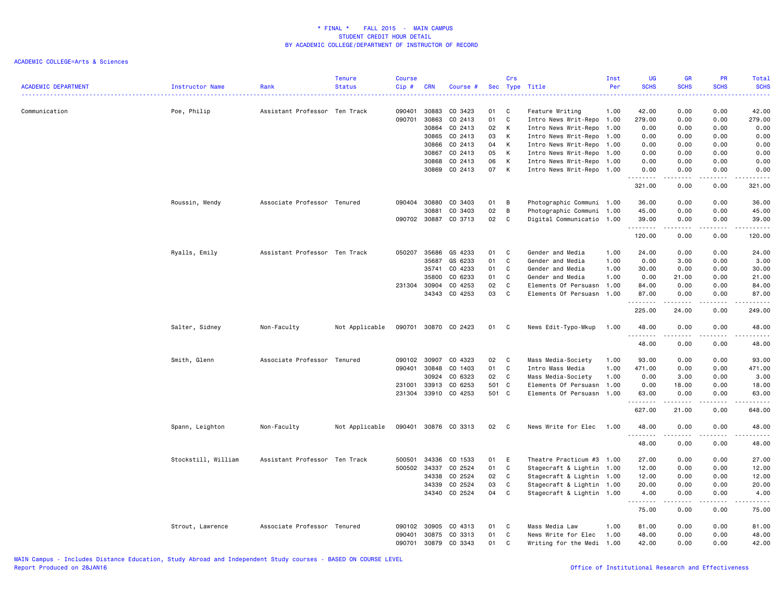| <b>ACADEMIC DEPARTMENT</b> | Instructor Name     | Rank                          | <b>Tenure</b><br><b>Status</b> | <b>Course</b><br>Cip# | <b>CRN</b> | Course #             |       | Crs          | Sec Type Title            | Inst<br>Per | <b>UG</b><br><b>SCHS</b> | <b>GR</b><br><b>SCHS</b>                                                                                                                                     | <b>PR</b><br><b>SCHS</b> | Total<br><b>SCHS</b> |
|----------------------------|---------------------|-------------------------------|--------------------------------|-----------------------|------------|----------------------|-------|--------------|---------------------------|-------------|--------------------------|--------------------------------------------------------------------------------------------------------------------------------------------------------------|--------------------------|----------------------|
| Communication              | Poe, Philip         | Assistant Professor Ten Track |                                | 090401                | 30883      | CO 3423              | 01    | C            | Feature Writing           | 1.00        | 42.00                    | 0.00                                                                                                                                                         | 0.00                     | 42.00                |
|                            |                     |                               |                                | 090701                | 30863      | CO 2413              | 01    | C            | Intro News Writ-Repo 1.00 |             | 279.00                   | 0.00                                                                                                                                                         | 0.00                     | 279.00               |
|                            |                     |                               |                                |                       | 30864      | CO 2413              | 02    | K            | Intro News Writ-Repo      | 1.00        | 0.00                     | 0.00                                                                                                                                                         | 0.00                     | 0.00                 |
|                            |                     |                               |                                |                       | 30865      | CO 2413              | 03    | К            | Intro News Writ-Repo 1.00 |             | 0.00                     | 0.00                                                                                                                                                         | 0.00                     | 0.00                 |
|                            |                     |                               |                                |                       | 30866      | CO 2413              | 04    | К            | Intro News Writ-Repo 1.00 |             | 0.00                     | 0.00                                                                                                                                                         | 0.00                     | 0.00                 |
|                            |                     |                               |                                |                       | 30867      | CO 2413              | 05    | K            | Intro News Writ-Repo      | 1.00        | 0.00                     | 0.00                                                                                                                                                         | 0.00                     | 0.00                 |
|                            |                     |                               |                                |                       | 30868      | CO 2413              | 06    | К            | Intro News Writ-Repo 1.00 |             | 0.00                     | 0.00                                                                                                                                                         | 0.00                     | 0.00                 |
|                            |                     |                               |                                |                       | 30869      | CO 2413              | 07    | K            | Intro News Writ-Repo 1.00 |             | 0.00                     | 0.00                                                                                                                                                         | 0.00                     | 0.00                 |
|                            |                     |                               |                                |                       |            |                      |       |              |                           |             | 321.00                   | 0.00                                                                                                                                                         | 0.00                     | 321.00               |
|                            | Roussin, Wendy      | Associate Professor Tenured   |                                | 090404                | 30880      | CO 3403              | 01    | В            | Photographic Communi 1.00 |             | 36.00                    | 0.00                                                                                                                                                         | 0.00                     | 36.00                |
|                            |                     |                               |                                |                       | 30881      | CO 3403              | 02    | В            | Photographic Communi 1.00 |             | 45.00                    | 0.00                                                                                                                                                         | 0.00                     | 45.00                |
|                            |                     |                               |                                | 090702                | 30887      | CO 3713              | 02    | C            | Digital Communicatio 1.00 |             | 39.00<br>.               | 0.00<br>$\frac{1}{2} \left( \frac{1}{2} \right) \left( \frac{1}{2} \right) \left( \frac{1}{2} \right) \left( \frac{1}{2} \right) \left( \frac{1}{2} \right)$ | 0.00<br>.                | 39.00<br>.           |
|                            |                     |                               |                                |                       |            |                      |       |              |                           |             | 120.00                   | 0.00                                                                                                                                                         | 0.00                     | 120.00               |
|                            | Ryalls, Emily       | Assistant Professor Ten Track |                                | 050207                | 35686      | GS 4233              | 01    | C            | Gender and Media          | 1.00        | 24.00                    | 0.00                                                                                                                                                         | 0.00                     | 24.00                |
|                            |                     |                               |                                |                       | 35687      | GS 6233              | 01    | C            | Gender and Media          | 1.00        | 0.00                     | 3.00                                                                                                                                                         | 0.00                     | 3.00                 |
|                            |                     |                               |                                |                       | 35741      | CO 4233              | 01    | C            | Gender and Media          | 1.00        | 30.00                    | 0.00                                                                                                                                                         | 0.00                     | 30.00                |
|                            |                     |                               |                                |                       | 35800      | CO 6233              | 01    | $\mathsf C$  | Gender and Media          | 1.00        | 0.00                     | 21.00                                                                                                                                                        | 0.00                     | 21.00                |
|                            |                     |                               |                                | 231304                | 30904      | CO 4253              | 02    | C            | Elements Of Persuasn 1.00 |             | 84.00                    | 0.00                                                                                                                                                         | 0.00                     | 84.00                |
|                            |                     |                               |                                |                       | 34343      | CO 4253              | 03    | C            | Elements Of Persuasn      | 1.00        | 87.00                    | 0.00                                                                                                                                                         | 0.00                     | 87.00                |
|                            |                     |                               |                                |                       |            |                      |       |              |                           |             | .<br>225.00              | 24.00                                                                                                                                                        | .<br>0.00                | .<br>249.00          |
|                            | Salter, Sidney      | Non-Faculty                   | Not Applicable                 |                       |            | 090701 30870 CO 2423 | 01    | C            | News Edit-Typo-Mkup       | 1.00        | 48.00<br>.               | 0.00                                                                                                                                                         | 0.00                     | 48.00<br>.           |
|                            |                     |                               |                                |                       |            |                      |       |              |                           |             | 48.00                    | 0.00                                                                                                                                                         | 0.00                     | 48.00                |
|                            | Smith, Glenn        | Associate Professor Tenured   |                                | 090102                | 30907      | CO 4323              | 02    | C            | Mass Media-Society        | 1.00        | 93.00                    | 0.00                                                                                                                                                         | 0.00                     | 93.00                |
|                            |                     |                               |                                | 090401                | 30848      | CO 1403              | 01    | $\mathtt{C}$ | Intro Mass Media          | 1.00        | 471.00                   | 0.00                                                                                                                                                         | 0.00                     | 471.00               |
|                            |                     |                               |                                |                       | 30924      | CO 6323              | 02    | C            | Mass Media-Society        | 1.00        | 0.00                     | 3.00                                                                                                                                                         | 0.00                     | 3.00                 |
|                            |                     |                               |                                | 231001                | 33913      | CO 6253              | 501 C |              | Elements Of Persuasn      | 1.00        | 0.00                     | 18.00                                                                                                                                                        | 0.00                     | 18.00                |
|                            |                     |                               |                                | 231304                |            | 33910 CO 4253        | 501 C |              | Elements Of Persuasn 1.00 |             | 63.00                    | 0.00                                                                                                                                                         | 0.00                     | 63.00                |
|                            |                     |                               |                                |                       |            |                      |       |              |                           |             | .<br>627.00              | .<br>21.00                                                                                                                                                   | .<br>0.00                | .<br>648.00          |
|                            | Spann, Leighton     | Non-Faculty                   | Not Applicable                 | 090401                |            | 30876 CO 3313        | 02    | $\mathbf{C}$ | News Write for Elec       | 1.00        | 48.00<br>.               | 0.00<br>.                                                                                                                                                    | 0.00<br>د د د د          | 48.00<br>.           |
|                            |                     |                               |                                |                       |            |                      |       |              |                           |             | 48.00                    | 0.00                                                                                                                                                         | 0.00                     | 48.00                |
|                            | Stockstill, William | Assistant Professor Ten Track |                                | 500501                | 34336      | CO 1533              | 01    | E            | Theatre Practicum #3      | 1.00        | 27.00                    | 0.00                                                                                                                                                         | 0.00                     | 27.00                |
|                            |                     |                               |                                | 500502                | 34337      | CO 2524              | 01    | C            | Stagecraft & Lightin 1.00 |             | 12.00                    | 0.00                                                                                                                                                         | 0.00                     | 12.00                |
|                            |                     |                               |                                |                       | 34338      | CO 2524              | 02    | $\mathtt{C}$ | Stagecraft & Lightin 1.00 |             | 12.00                    | 0.00                                                                                                                                                         | 0.00                     | 12.00                |
|                            |                     |                               |                                |                       | 34339      | CO 2524              | 03    | C            | Stagecraft & Lightin 1.00 |             | 20.00                    | 0.00                                                                                                                                                         | 0.00                     | 20.00                |
|                            |                     |                               |                                |                       | 34340      | CO 2524              | 04    | C            | Stagecraft & Lightin 1.00 |             | 4.00<br>.                | 0.00                                                                                                                                                         | 0.00                     | 4.00<br>د د د د د    |
|                            |                     |                               |                                |                       |            |                      |       |              |                           |             | 75.00                    | 0.00                                                                                                                                                         | 0.00                     | 75.00                |
|                            | Strout, Lawrence    | Associate Professor Tenured   |                                | 090102                | 30905      | CO 4313              | 01    | C            | Mass Media Law            | 1.00        | 81.00                    | 0.00                                                                                                                                                         | 0.00                     | 81.00                |
|                            |                     |                               |                                | 090401                | 30875      | CO 3313              | 01    | C            | News Write for Elec       | 1.00        | 48.00                    | 0.00                                                                                                                                                         | 0.00                     | 48.00                |
|                            |                     |                               |                                | 090701                | 30879      | CO 3343              | 01    | C            | Writing for the Medi 1.00 |             | 42.00                    | 0.00                                                                                                                                                         | 0.00                     | 42.00                |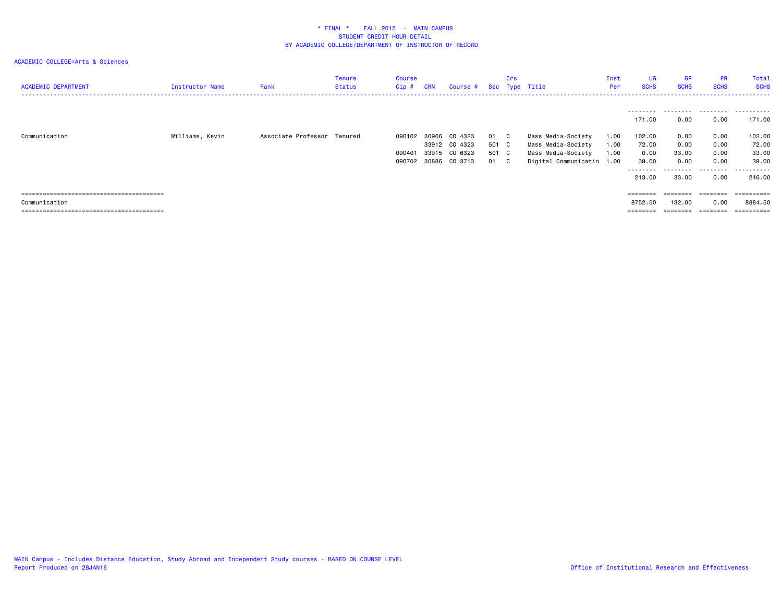| <b>ACADEMIC DEPARTMENT</b> | Instructor Name | Rank                        | <b>Tenure</b><br><b>Status</b> | Course<br>Cip # | <b>CRN</b> | Course # Sec Type Title |       | Crs          |                           | Inst<br>Per | UG<br><b>SCHS</b> | <b>GR</b><br><b>SCHS</b> | <b>PR</b><br><b>SCHS</b> | Total<br><b>SCHS</b> |
|----------------------------|-----------------|-----------------------------|--------------------------------|-----------------|------------|-------------------------|-------|--------------|---------------------------|-------------|-------------------|--------------------------|--------------------------|----------------------|
|                            |                 |                             |                                |                 |            |                         |       |              |                           |             | 171.00            | 0.00                     | 0.00                     | 171.00               |
| Communication              | Williams, Kevin | Associate Professor Tenured |                                | 090102          | 30906      | CO 4323                 | 01    | - C          | Mass Media-Society        | 1.00        | 102.00            | 0.00                     | 0.00                     | 102.00               |
|                            |                 |                             |                                |                 |            | 33912 CO 4323           | 501 C |              | Mass Media-Society        | 1.00        | 72.00             | 0.00                     | 0.00                     | 72.00                |
|                            |                 |                             |                                | 090401          | 33915      | CO 6323                 | 501 C |              | Mass Media-Society        | 1.00        | 0.00              | 33.00                    | 0.00                     | 33.00                |
|                            |                 |                             |                                | 090702          |            | 30886 CO 3713           | 01    | $\mathbf{C}$ | Digital Communicatio 1.00 |             | 39.00             | 0.00                     | 0.00                     | 39.00                |
|                            |                 |                             |                                |                 |            |                         |       |              |                           |             | .                 | .                        | .                        | .                    |
|                            |                 |                             |                                |                 |            |                         |       |              |                           |             | 213.00            | 33.00                    | 0.00                     | 246.00               |
|                            |                 |                             |                                |                 |            |                         |       |              |                           |             |                   |                          |                          |                      |
|                            |                 |                             |                                |                 |            |                         |       |              |                           |             | ========          | ========                 | ========                 | ==========           |
| Communication              |                 |                             |                                |                 |            |                         |       |              |                           |             | 8752.50           | 132.00                   | 0.00                     | 8884.50              |
|                            |                 |                             |                                |                 |            |                         |       |              |                           |             | ========          |                          |                          | ==========           |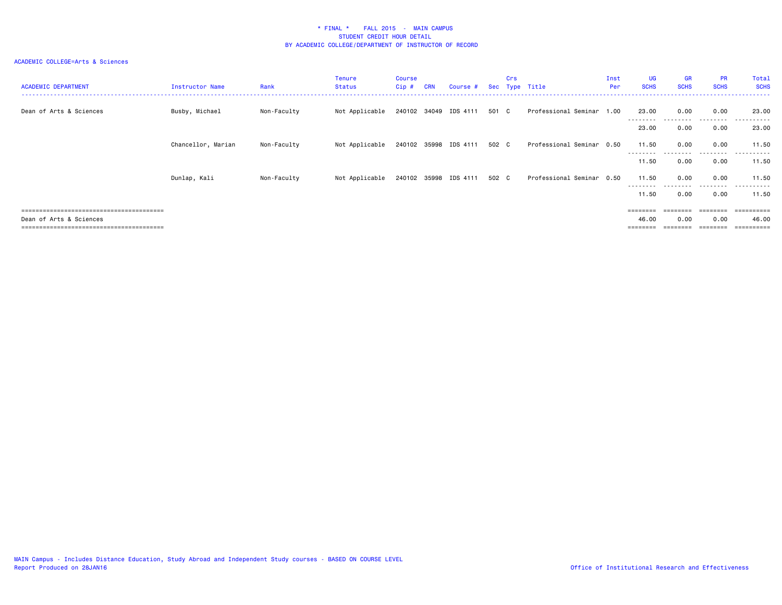| <b>ACADEMIC DEPARTMENT</b>           | Instructor Name    | Rank        | Tenure<br>Status | Course<br>Cip # | <b>CRN</b> | Course #                    |       | Crs | Sec Type Title            | Inst<br>Per | UG<br><b>SCHS</b>  | GR<br><b>SCHS</b> | <b>PR</b><br><b>SCHS</b> | Total<br><b>SCHS</b> |
|--------------------------------------|--------------------|-------------|------------------|-----------------|------------|-----------------------------|-------|-----|---------------------------|-------------|--------------------|-------------------|--------------------------|----------------------|
| Dean of Arts & Sciences              | Busby, Michael     | Non-Faculty | Not Applicable   |                 |            | 240102 34049 IDS 4111 501 C |       |     | Professional Seminar 1.00 |             | 23.00<br>--------- | 0.00<br>.         | 0.00<br>.                | 23,00<br>.           |
|                                      |                    |             |                  |                 |            |                             |       |     |                           |             | 23.00              | 0.00              | 0.00                     | 23.00                |
|                                      | Chancellor, Marian | Non-Faculty | Not Applicable   |                 |            | 240102 35998 IDS 4111       | 502 C |     | Professional Seminar 0.50 |             | 11.50              | 0.00              | 0.00                     | 11.50                |
|                                      |                    |             |                  |                 |            |                             |       |     |                           |             | --------<br>11.50  | 0.00              | 0.00                     | ------<br>11.50      |
|                                      | Dunlap, Kali       | Non-Faculty | Not Applicable   |                 |            | 240102 35998 IDS 4111       | 502 C |     | Professional Seminar 0.50 |             | 11.50              | 0.00              | 0.00                     | 11.50                |
|                                      |                    |             |                  |                 |            |                             |       |     |                           |             | ---------<br>11.50 | --------<br>0.00  | .<br>0.00                | .<br>11.50           |
|                                      |                    |             |                  |                 |            |                             |       |     |                           |             | $= 222222222$      |                   |                          | .                    |
| Dean of Arts & Sciences              |                    |             |                  |                 |            |                             |       |     |                           |             | 46.00              | 0.00              | 0.00                     | 46.00                |
| ==================================== |                    |             |                  |                 |            |                             |       |     |                           |             |                    |                   |                          | :=======             |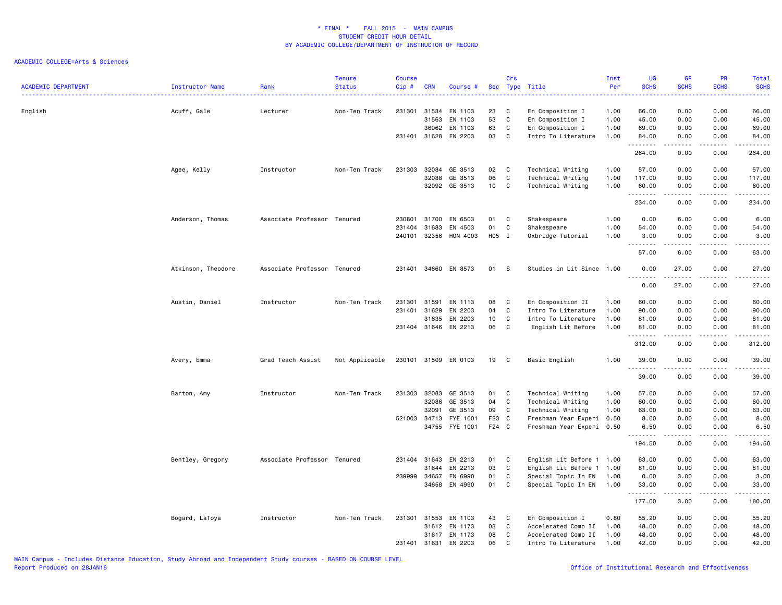| <b>ACADEMIC DEPARTMENT</b> | Instructor Name    | Rank                        | <b>Tenure</b><br><b>Status</b> | <b>Course</b><br>Cip# | <b>CRN</b>   | Course #             |       | Crs          | Sec Type Title            | Inst<br>Per<br>. | <b>UG</b><br><b>SCHS</b> | <b>GR</b><br><b>SCHS</b><br>. | PR<br><b>SCHS</b> | <b>Total</b><br><b>SCHS</b><br>. <b>.</b>                                                                                         |
|----------------------------|--------------------|-----------------------------|--------------------------------|-----------------------|--------------|----------------------|-------|--------------|---------------------------|------------------|--------------------------|-------------------------------|-------------------|-----------------------------------------------------------------------------------------------------------------------------------|
| English                    | Acuff, Gale        | Lecturer                    | Non-Ten Track                  | 231301                | 31534        | EN 1103              | 23    | C            | En Composition I          | 1.00             | 66.00                    | 0.00                          | 0.00              | 66.00                                                                                                                             |
|                            |                    |                             |                                |                       | 31563        | EN 1103              | 53    | C            | En Composition I          | 1.00             | 45.00                    | 0.00                          | 0.00              | 45.00                                                                                                                             |
|                            |                    |                             |                                |                       | 36062        | EN 1103              | 63    | C            | En Composition I          | 1.00             | 69.00                    | 0.00                          | 0.00              | 69.00                                                                                                                             |
|                            |                    |                             |                                |                       |              | 231401 31628 EN 2203 | 03    | C            | Intro To Literature       | 1.00             | 84.00<br>.               | 0.00<br>.                     | 0.00<br>.         | 84.00<br>.                                                                                                                        |
|                            |                    |                             |                                |                       |              |                      |       |              |                           |                  | 264.00                   | 0.00                          | 0.00              | 264.00                                                                                                                            |
|                            | Agee, Kelly        | Instructor                  | Non-Ten Track                  | 231303                |              | 32084 GE 3513        | 02    | C            | Technical Writing         | 1.00             | 57.00                    | 0.00                          | 0.00              | 57.00                                                                                                                             |
|                            |                    |                             |                                |                       | 32088        | GE 3513              | 06    | C            | Technical Writing         | 1.00             | 117.00                   | 0.00                          | 0.00              | 117.00                                                                                                                            |
|                            |                    |                             |                                |                       |              | 32092 GE 3513        | 10    | C            | Technical Writing         | 1.00             | 60.00<br>.               | 0.00                          | 0.00              | 60.00                                                                                                                             |
|                            |                    |                             |                                |                       |              |                      |       |              |                           |                  | 234.00                   | 0.00                          | 0.00              | 234.00                                                                                                                            |
|                            | Anderson, Thomas   | Associate Professor Tenured |                                |                       | 230801 31700 | EN 6503              | 01    | C            | Shakespeare               | 1.00             | 0.00                     | 6.00                          | 0.00              | 6.00                                                                                                                              |
|                            |                    |                             |                                |                       | 231404 31683 | EN 4503              | 01    | C            | Shakespeare               | 1.00             | 54.00                    | 0.00                          | 0.00              | 54.00                                                                                                                             |
|                            |                    |                             |                                | 240101                | 32356        | HON 4003             | H05 I |              | Oxbridge Tutorial         | 1.00             | 3.00<br>.                | 0.00<br>.                     | 0.00              | 3.00<br>$\frac{1}{2} \left( \frac{1}{2} \right) \left( \frac{1}{2} \right) \left( \frac{1}{2} \right) \left( \frac{1}{2} \right)$ |
|                            |                    |                             |                                |                       |              |                      |       |              |                           |                  | 57.00                    | 6.00                          | 0.00              | 63.00                                                                                                                             |
|                            | Atkinson, Theodore | Associate Professor Tenured |                                |                       |              | 231401 34660 EN 8573 | 01 S  |              | Studies in Lit Since 1.00 |                  | 0.00                     | 27.00                         | 0.00              | 27.00                                                                                                                             |
|                            |                    |                             |                                |                       |              |                      |       |              |                           |                  | 0.00                     | 27.00                         | 0.00              | 27.00                                                                                                                             |
|                            | Austin, Daniel     | Instructor                  | Non-Ten Track                  | 231301                | 31591        | EN 1113              | 08    | C            | En Composition II         | 1.00             | 60.00                    | 0.00                          | 0.00              | 60.00                                                                                                                             |
|                            |                    |                             |                                |                       | 231401 31629 | EN 2203              | 04    | C            | Intro To Literature       | 1.00             | 90.00                    | 0.00                          | 0.00              | 90.00                                                                                                                             |
|                            |                    |                             |                                |                       | 31635        | EN 2203              | 10    | C            | Intro To Literature       | 1.00             | 81.00                    | 0.00                          | 0.00              | 81.00                                                                                                                             |
|                            |                    |                             |                                |                       |              | 231404 31646 EN 2213 | 06    | C            | English Lit Before        | 1.00             | 81.00<br>.               | 0.00<br>$\omega$ is a set of  | 0.00<br>.         | 81.00<br><u>.</u>                                                                                                                 |
|                            |                    |                             |                                |                       |              |                      |       |              |                           |                  | 312.00                   | 0.00                          | 0.00              | 312.00                                                                                                                            |
|                            | Avery, Emma        | Grad Teach Assist           | Not Applicable                 |                       |              | 230101 31509 EN 0103 | 19    | $\mathbf{C}$ | Basic English             | 1.00             | 39.00<br>. <b>.</b>      | 0.00                          | 0.00              | 39.00                                                                                                                             |
|                            |                    |                             |                                |                       |              |                      |       |              |                           |                  | 39.00                    | 0.00                          | 0.00              | 39.00                                                                                                                             |
|                            | Barton, Amy        | Instructor                  | Non-Ten Track                  |                       | 231303 32083 | GE 3513              | 01 C  |              | Technical Writing         | 1.00             | 57.00                    | 0.00                          | 0.00              | 57.00                                                                                                                             |
|                            |                    |                             |                                |                       | 32086        | GE 3513              | 04    | $\mathbf{C}$ | Technical Writing         | 1.00             | 60.00                    | 0.00                          | 0.00              | 60.00                                                                                                                             |
|                            |                    |                             |                                |                       | 32091        | GE 3513              | 09    | C            | Technical Writing         | 1.00             | 63.00                    | 0.00                          | 0.00              | 63.00                                                                                                                             |
|                            |                    |                             |                                |                       | 521003 34713 | FYE 1001             | F23 C |              | Freshman Year Experi 0.50 |                  | 8.00                     | 0.00                          | 0.00              | 8.00                                                                                                                              |
|                            |                    |                             |                                |                       | 34755        | FYE 1001             | F24 C |              | Freshman Year Experi 0.50 |                  | 6.50<br>.                | 0.00<br>$- - - -$             | 0.00<br>.         | 6.50<br>.                                                                                                                         |
|                            |                    |                             |                                |                       |              |                      |       |              |                           |                  | 194.50                   | 0.00                          | 0.00              | 194.50                                                                                                                            |
|                            | Bentley, Gregory   | Associate Professor Tenured |                                |                       | 231404 31643 | EN 2213              | 01    | C            | English Lit Before 1 1.00 |                  | 63.00                    | 0.00                          | 0.00              | 63.00                                                                                                                             |
|                            |                    |                             |                                |                       | 31644        | EN 2213              | 03    | C            | English Lit Before 1 1.00 |                  | 81.00                    | 0.00                          | 0.00              | 81.00                                                                                                                             |
|                            |                    |                             |                                | 239999 34657          |              | EN 6990              | 01    | C            | Special Topic In EN       | 1.00             | 0.00                     | 3.00                          | 0.00              | 3.00                                                                                                                              |
|                            |                    |                             |                                |                       |              | 34658 EN 4990        | 01    | C            | Special Topic In EN       | 1.00             | 33.00                    | 0.00                          | 0.00              | 33.00                                                                                                                             |
|                            |                    |                             |                                |                       |              |                      |       |              |                           |                  | 177.00                   | 3.00                          | 0.00              | 180.00                                                                                                                            |
|                            | Bogard, LaToya     | Instructor                  | Non-Ten Track                  | 231301                | 31553        | EN 1103              | 43    | C            | En Composition I          | 0.80             | 55.20                    | 0.00                          | 0.00              | 55.20                                                                                                                             |
|                            |                    |                             |                                |                       |              | 31612 EN 1173        | 03    | C            | Accelerated Comp II       | 1.00             | 48.00                    | 0.00                          | 0.00              | 48.00                                                                                                                             |
|                            |                    |                             |                                |                       | 31617        | EN 1173              | 08    | C            | Accelerated Comp II       | 1.00             | 48.00                    | 0.00                          | 0.00              | 48.00                                                                                                                             |
|                            |                    |                             |                                |                       | 231401 31631 | EN 2203              | 06    | C            | Intro To Literature       | 1.00             | 42.00                    | 0.00                          | 0.00              | 42.00                                                                                                                             |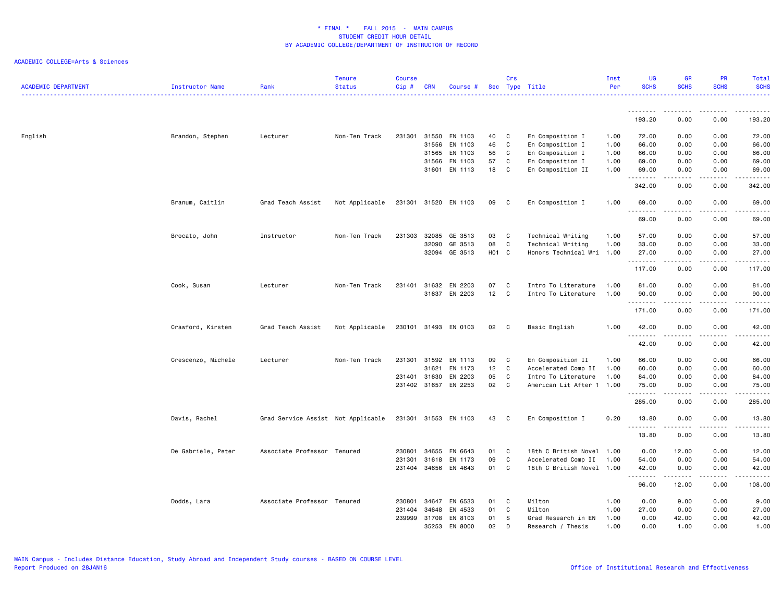| <b>ACADEMIC DEPARTMENT</b> | Instructor Name    | Rank                               | <b>Tenure</b><br><b>Status</b> | <b>Course</b><br>Cip# | <b>CRN</b>   | Course #             |                 | Crs | Sec Type Title            | Inst<br>Per | <b>UG</b><br><b>SCHS</b> | <b>GR</b><br><b>SCHS</b>                                                                                                | <b>PR</b><br><b>SCHS</b>                                                                                                          | Total<br><b>SCHS</b>                                                                                                                                          |
|----------------------------|--------------------|------------------------------------|--------------------------------|-----------------------|--------------|----------------------|-----------------|-----|---------------------------|-------------|--------------------------|-------------------------------------------------------------------------------------------------------------------------|-----------------------------------------------------------------------------------------------------------------------------------|---------------------------------------------------------------------------------------------------------------------------------------------------------------|
|                            |                    |                                    |                                |                       |              |                      |                 |     |                           |             | .                        | .                                                                                                                       | $\sim$ $\sim$ $\sim$ $\sim$                                                                                                       |                                                                                                                                                               |
|                            |                    |                                    |                                |                       |              |                      |                 |     |                           |             | 193.20                   | 0.00                                                                                                                    | 0.00                                                                                                                              | 193.20                                                                                                                                                        |
| English                    | Brandon, Stephen   | Lecturer                           | Non-Ten Track                  | 231301                | 31550        | EN 1103              | 40              | C   | En Composition I          | 1.00        | 72.00                    | 0.00                                                                                                                    | 0.00                                                                                                                              | 72.00                                                                                                                                                         |
|                            |                    |                                    |                                |                       | 31556        | EN 1103              | 46              | C   | En Composition I          | 1.00        | 66.00                    | 0.00                                                                                                                    | 0.00                                                                                                                              | 66.00                                                                                                                                                         |
|                            |                    |                                    |                                |                       | 31565        | EN 1103              | 56              | C   | En Composition I          | 1.00        | 66.00                    | 0.00                                                                                                                    | 0.00                                                                                                                              | 66.00                                                                                                                                                         |
|                            |                    |                                    |                                |                       | 31566        | EN 1103              | 57              | C   | En Composition I          | 1.00        | 69.00                    | 0.00                                                                                                                    | 0.00                                                                                                                              | 69.00                                                                                                                                                         |
|                            |                    |                                    |                                |                       | 31601        | EN 1113              | 18              | C   | En Composition II         | 1.00        | 69.00<br>.               | 0.00                                                                                                                    | 0.00<br>$- - -$                                                                                                                   | 69.00<br>.                                                                                                                                                    |
|                            |                    |                                    |                                |                       |              |                      |                 |     |                           |             | 342.00                   | 0.00                                                                                                                    | 0.00                                                                                                                              | 342.00                                                                                                                                                        |
|                            | Branum, Caitlin    | Grad Teach Assist                  | Not Applicable                 |                       |              | 231301 31520 EN 1103 | 09              | C   | En Composition I          | 1.00        | 69.00                    | 0.00<br>.                                                                                                               | 0.00<br>.                                                                                                                         | 69.00<br>.                                                                                                                                                    |
|                            |                    |                                    |                                |                       |              |                      |                 |     |                           |             | 69.00                    | 0.00                                                                                                                    | 0.00                                                                                                                              | 69.00                                                                                                                                                         |
|                            | Brocato, John      | Instructor                         | Non-Ten Track                  | 231303                | 32085        | GE 3513              | 03              | C   | Technical Writing         | 1.00        | 57.00                    | 0.00                                                                                                                    | 0.00                                                                                                                              | 57.00                                                                                                                                                         |
|                            |                    |                                    |                                |                       | 32090        | GE 3513              | 08              | C   | Technical Writing         | 1.00        | 33.00                    | 0.00                                                                                                                    | 0.00                                                                                                                              | 33.00                                                                                                                                                         |
|                            |                    |                                    |                                |                       | 32094        | GE 3513              | H01 C           |     | Honors Technical Wri 1.00 |             | 27.00<br>.               | 0.00<br>22222                                                                                                           | 0.00<br>د د د د                                                                                                                   | 27.00<br>.                                                                                                                                                    |
|                            |                    |                                    |                                |                       |              |                      |                 |     |                           |             | 117.00                   | 0.00                                                                                                                    | 0.00                                                                                                                              | 117.00                                                                                                                                                        |
|                            | Cook, Susan        | Lecturer                           | Non-Ten Track                  | 231401                | 31632        | EN 2203              | 07              | C   | Intro To Literature       | 1.00        | 81.00                    | 0.00                                                                                                                    | 0.00                                                                                                                              | 81.00                                                                                                                                                         |
|                            |                    |                                    |                                |                       | 31637        | EN 2203              | 12              | C   | Intro To Literature       | 1.00        | 90.00<br>.               | 0.00<br>$\begin{array}{cccccccccccccc} \bullet & \bullet & \bullet & \bullet & \bullet & \bullet & \bullet \end{array}$ | 0.00<br>.                                                                                                                         | 90.00<br>.                                                                                                                                                    |
|                            |                    |                                    |                                |                       |              |                      |                 |     |                           |             | 171.00                   | 0.00                                                                                                                    | 0.00                                                                                                                              | 171.00                                                                                                                                                        |
|                            | Crawford, Kirsten  | Grad Teach Assist                  | Not Applicable                 |                       | 230101 31493 | EN 0103              | 02              | C   | Basic English             | 1.00        | 42.00<br>.               | 0.00                                                                                                                    | 0.00                                                                                                                              | 42.00<br>$\sim$ $\sim$ $\sim$ $\sim$ $\sim$                                                                                                                   |
|                            |                    |                                    |                                |                       |              |                      |                 |     |                           |             | 42.00                    | 0.00                                                                                                                    | 0.00                                                                                                                              | 42.00                                                                                                                                                         |
|                            | Crescenzo, Michele | Lecturer                           | Non-Ten Track                  | 231301 31592          |              | EN 1113              | 09              | C   | En Composition II         | 1.00        | 66.00                    | 0.00                                                                                                                    | 0.00                                                                                                                              | 66.00                                                                                                                                                         |
|                            |                    |                                    |                                |                       | 31621        | EN 1173              | 12              | C   | Accelerated Comp II       | 1.00        | 60.00                    | 0.00                                                                                                                    | 0.00                                                                                                                              | 60.00                                                                                                                                                         |
|                            |                    |                                    |                                | 231401                | 31630        | EN 2203              | 05              | C   | Intro To Literature       | 1.00        | 84.00                    | 0.00                                                                                                                    | 0.00                                                                                                                              | 84.00                                                                                                                                                         |
|                            |                    |                                    |                                | 231402 31657          |              | EN 2253              | 02              | C   | American Lit After 1 1.00 |             | 75.00<br>.               | 0.00<br>.                                                                                                               | 0.00<br>$\sim$ $\sim$ $\sim$ $\sim$                                                                                               | 75.00<br>$\frac{1}{2} \left( \frac{1}{2} \right) \left( \frac{1}{2} \right) \left( \frac{1}{2} \right) \left( \frac{1}{2} \right) \left( \frac{1}{2} \right)$ |
|                            |                    |                                    |                                |                       |              |                      |                 |     |                           |             | 285.00                   | 0.00                                                                                                                    | 0.00                                                                                                                              | 285.00                                                                                                                                                        |
|                            | Davis, Rachel      | Grad Service Assist Not Applicable |                                |                       |              | 231301 31553 EN 1103 | 43              | C   | En Composition I          | 0.20        | 13.80                    | 0.00                                                                                                                    | 0.00                                                                                                                              | 13.80                                                                                                                                                         |
|                            |                    |                                    |                                |                       |              |                      |                 |     |                           |             | .<br>13.80               | 0.00                                                                                                                    | $\frac{1}{2} \left( \frac{1}{2} \right) \left( \frac{1}{2} \right) \left( \frac{1}{2} \right) \left( \frac{1}{2} \right)$<br>0.00 | د د د د د<br>13.80                                                                                                                                            |
|                            | De Gabriele, Peter | Associate Professor Tenured        |                                | 230801                | 34655        | EN 6643              | 01              | C   | 18th C British Novel 1.00 |             | 0.00                     | 12.00                                                                                                                   | 0.00                                                                                                                              | 12.00                                                                                                                                                         |
|                            |                    |                                    |                                | 231301                | 31618        | EN 1173              | 09              | C   | Accelerated Comp II       | 1.00        | 54.00                    | 0.00                                                                                                                    | 0.00                                                                                                                              | 54.00                                                                                                                                                         |
|                            |                    |                                    |                                | 231404 34656          |              | EN 4643              | 01              | C   | 18th C British Novel 1.00 |             | 42.00<br>.               | 0.00<br>.                                                                                                               | 0.00<br>.                                                                                                                         | 42.00<br>------                                                                                                                                               |
|                            |                    |                                    |                                |                       |              |                      |                 |     |                           |             | 96.00                    | 12.00                                                                                                                   | 0.00                                                                                                                              | 108.00                                                                                                                                                        |
|                            | Dodds, Lara        | Associate Professor Tenured        |                                | 230801                | 34647        | EN 6533              | 01              | C   | Milton                    | 1.00        | 0.00                     | 9.00                                                                                                                    | 0.00                                                                                                                              | 9.00                                                                                                                                                          |
|                            |                    |                                    |                                | 231404                | 34648        | EN 4533              | 01              | C   | Milton                    | 1.00        | 27.00                    | 0.00                                                                                                                    | 0.00                                                                                                                              | 27.00                                                                                                                                                         |
|                            |                    |                                    |                                | 239999                | 31708        | EN 8103              | 01              | -S  | Grad Research in EN       | 1.00        | 0.00                     | 42.00                                                                                                                   | 0.00                                                                                                                              | 42.00                                                                                                                                                         |
|                            |                    |                                    |                                |                       | 35253        | EN 8000              | 02 <sub>2</sub> | D   | Research / Thesis         | 1.00        | 0.00                     | 1.00                                                                                                                    | 0.00                                                                                                                              | 1.00                                                                                                                                                          |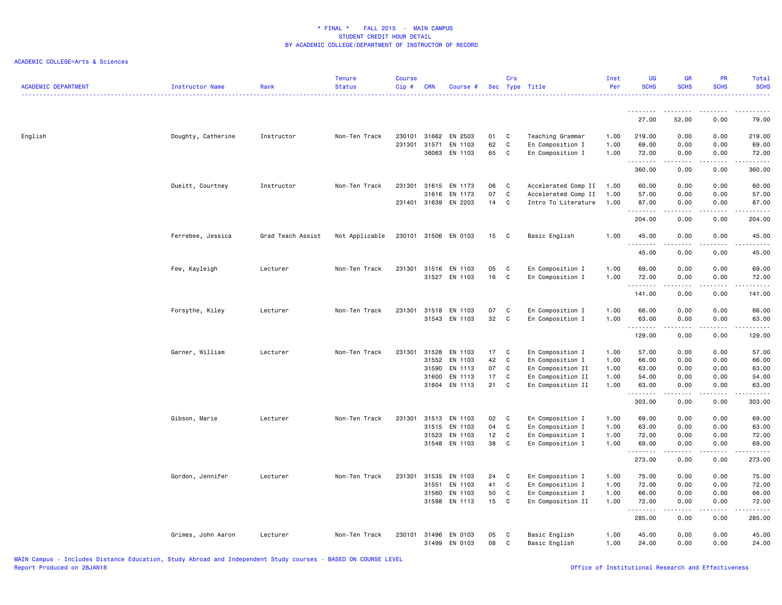| <b>ACADEMIC DEPARTMENT</b> | <b>Instructor Name</b> | Rank              | <b>Tenure</b><br><b>Status</b> | <b>Course</b><br>Cip# | <b>CRN</b>     | Course #                 |          | Crs              | Sec Type Title                       | Inst<br>Per  | UG<br><b>SCHS</b>    | GR<br><b>SCHS</b> | <b>PR</b><br><b>SCHS</b> | Total<br><b>SCHS</b> |
|----------------------------|------------------------|-------------------|--------------------------------|-----------------------|----------------|--------------------------|----------|------------------|--------------------------------------|--------------|----------------------|-------------------|--------------------------|----------------------|
|                            |                        |                   |                                |                       |                |                          |          |                  |                                      |              | .                    |                   |                          |                      |
|                            |                        |                   |                                |                       |                |                          |          |                  |                                      |              | 27.00                | 52.00             | 0.00                     | 79.00                |
| English                    | Doughty, Catherine     | Instructor        | Non-Ten Track                  | 230101                | 31662          | EN 2503                  | 01       | C                | Teaching Grammar                     | 1.00         | 219.00               | 0.00              | 0.00                     | 219.00               |
|                            |                        |                   |                                | 231301                | 31571<br>36063 | EN 1103<br>EN 1103       | 62<br>65 | C<br>$\mathsf C$ | En Composition I<br>En Composition I | 1.00<br>1.00 | 69.00<br>72.00       | 0.00<br>0.00      | 0.00<br>0.00             | 69.00<br>72.00       |
|                            |                        |                   |                                |                       |                |                          |          |                  |                                      |              | --------             | د د د د           | المتماما                 | .                    |
|                            |                        |                   |                                |                       |                |                          |          |                  |                                      |              | 360.00               | 0.00              | 0.00                     | 360.00               |
|                            | Dueitt, Courtney       | Instructor        | Non-Ten Track                  | 231301                | 31615          | EN 1173                  | 06       | C                | Accelerated Comp II                  | 1.00         | 60.00                | 0.00              | 0.00                     | 60.00                |
|                            |                        |                   |                                |                       | 31616          | EN 1173                  | 07       | $\mathsf C$      | Accelerated Comp II                  | 1.00         | 57.00                | 0.00              | 0.00                     | 57.00                |
|                            |                        |                   |                                |                       |                | 231401 31639 EN 2203     | 14       | C                | Intro To Literature                  | 1.00         | 87.00<br>.           | 0.00<br>.         | 0.00<br>.                | 87.00<br>.           |
|                            |                        |                   |                                |                       |                |                          |          |                  |                                      |              | 204.00               | 0.00              | 0.00                     | 204.00               |
|                            | Ferrebee, Jessica      | Grad Teach Assist | Not Applicable                 | 230101                |                | 31506 EN 0103            | 15       | C                | Basic English                        | 1.00         | 45.00<br>.           | 0.00              | 0.00                     | 45.00<br>$   -$      |
|                            |                        |                   |                                |                       |                |                          |          |                  |                                      |              | 45.00                | 0.00              | 0.00                     | 45.00                |
|                            | Few, Kayleigh          | Lecturer          | Non-Ten Track                  | 231301                |                | 31516 EN 1103            | 05       | C                | En Composition I                     | 1.00         | 69.00                | 0.00              | 0.00                     | 69.00                |
|                            |                        |                   |                                |                       |                | 31527 EN 1103            | 16       | $\mathsf{C}$     | En Composition I                     | 1.00         | 72.00                | 0.00              | 0.00                     | 72.00                |
|                            |                        |                   |                                |                       |                |                          |          |                  |                                      |              | .<br>141.00          | 0.00              | 0.00                     | د د د د د<br>141.00  |
|                            | Forsythe, Kiley        | Lecturer          | Non-Ten Track                  | 231301                |                | 31518 EN 1103            | 07       | C                | En Composition I                     | 1.00         | 66.00                | 0.00              | 0.00                     | 66.00                |
|                            |                        |                   |                                |                       | 31543          | EN 1103                  | 32       | C                | En Composition I                     | 1.00         | 63.00                | 0.00              | 0.00                     | 63.00                |
|                            |                        |                   |                                |                       |                |                          |          |                  |                                      |              | . <b>.</b><br>129.00 | 0.00              | 0.00                     | 129.00               |
|                            | Garner, William        | Lecturer          | Non-Ten Track                  | 231301                | 31528          | EN 1103                  | 17       | C                | En Composition I                     | 1.00         | 57.00                | 0.00              | 0.00                     | 57.00                |
|                            |                        |                   |                                |                       | 31552          | EN 1103                  | 42       | $\mathsf C$      | En Composition I                     | 1.00         | 66.00                | 0.00              | 0.00                     | 66.00                |
|                            |                        |                   |                                |                       | 31590          | EN 1113                  | 07       | C                | En Composition II                    | 1.00         | 63.00                | 0.00              | 0.00                     | 63.00                |
|                            |                        |                   |                                |                       | 31600          | EN 1113                  | 17       | C                | En Composition II                    | 1.00         | 54.00                | 0.00              | 0.00                     | 54.00                |
|                            |                        |                   |                                |                       |                | 31604 EN 1113            | 21       | C                | En Composition II                    | 1.00         | 63.00<br>.           | 0.00<br>د د د د   | 0.00<br>.                | 63.00<br>.           |
|                            |                        |                   |                                |                       |                |                          |          |                  |                                      |              | 303.00               | 0.00              | 0.00                     | 303.00               |
|                            | Gibson, Marie          | Lecturer          | Non-Ten Track                  | 231301                | 31513          | EN 1103                  | 02       | C                | En Composition I                     | 1.00         | 69.00                | 0.00              | 0.00                     | 69.00                |
|                            |                        |                   |                                |                       | 31515          | EN 1103                  | 04       | C                | En Composition I                     | 1.00         | 63.00                | 0.00              | 0.00                     | 63.00                |
|                            |                        |                   |                                |                       | 31523          | EN 1103                  | 12       | C                | En Composition I                     | 1.00         | 72.00                | 0.00              | 0.00                     | 72.00                |
|                            |                        |                   |                                |                       |                | 31548 EN 1103            | 38       | C                | En Composition I                     | 1.00         | 69.00                | 0.00<br>.         | 0.00<br>.                | 69.00<br>.           |
|                            |                        |                   |                                |                       |                |                          |          |                  |                                      |              | 273.00               | 0.00              | 0.00                     | 273.00               |
|                            | Gordon, Jennifer       | Lecturer          | Non-Ten Track                  | 231301                | 31535          | EN 1103                  | 24       | C                | En Composition I                     | 1.00         | 75.00                | 0.00              | 0.00                     | 75.00                |
|                            |                        |                   |                                |                       | 31551          | EN 1103                  | 41       | C                | En Composition I                     | 1.00         | 72.00                | 0.00              | 0.00                     | 72.00                |
|                            |                        |                   |                                |                       | 31560          | EN 1103                  | 50       | C                | En Composition I                     | 1.00         | 66.00                | 0.00              | 0.00                     | 66.00                |
|                            |                        |                   |                                |                       |                | 31598 EN 1113            | 15       | C                | En Composition II                    | 1.00         | 72.00<br>.           | 0.00<br>.         | 0.00<br>.                | 72.00<br>.           |
|                            |                        |                   |                                |                       |                |                          |          |                  |                                      |              | 285.00               | 0.00              | 0.00                     | 285.00               |
|                            | Grimes, John Aaron     | Lecturer          | Non-Ten Track                  | 230101                | 31499          | 31496 EN 0103<br>EN 0103 | 05<br>08 | C<br>C           | Basic English<br>Basic English       | 1.00<br>1.00 | 45.00<br>24.00       | 0.00<br>0.00      | 0.00<br>0.00             | 45.00<br>24.00       |
|                            |                        |                   |                                |                       |                |                          |          |                  |                                      |              |                      |                   |                          |                      |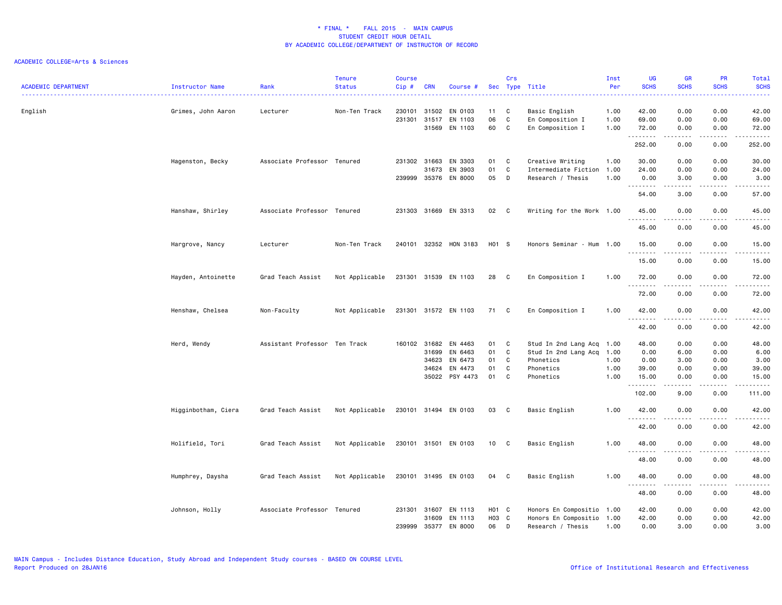| <b>ACADEMIC DEPARTMENT</b> | Instructor Name     | Rank                          | <b>Tenure</b><br><b>Status</b> | <b>Course</b><br>Cip# | <b>CRN</b>     | Course #             |             | Crs         | Sec Type Title                                 | Inst<br>Per  | UG<br><b>SCHS</b>                 | <b>GR</b><br><b>SCHS</b> | PR<br><b>SCHS</b>                                                                                                                 | Total<br><b>SCHS</b><br>د د د د د                                                                                                                             |
|----------------------------|---------------------|-------------------------------|--------------------------------|-----------------------|----------------|----------------------|-------------|-------------|------------------------------------------------|--------------|-----------------------------------|--------------------------|-----------------------------------------------------------------------------------------------------------------------------------|---------------------------------------------------------------------------------------------------------------------------------------------------------------|
| English                    | Grimes, John Aaron  | Lecturer                      | Non-Ten Track                  | 230101<br>231301      | 31502          | EN 0103<br>EN 1103   | 11<br>06    | C<br>C      | Basic English                                  | 1.00         | 42.00<br>69.00                    | 0.00<br>0.00             | 0.00<br>0.00                                                                                                                      | 42.00<br>69.00                                                                                                                                                |
|                            |                     |                               |                                |                       | 31517<br>31569 | EN 1103              | 60          | C           | En Composition I<br>En Composition I           | 1.00<br>1.00 | 72.00                             | 0.00                     | 0.00                                                                                                                              | 72.00                                                                                                                                                         |
|                            |                     |                               |                                |                       |                |                      |             |             |                                                |              | 252.00                            | -----<br>0.00            | د د د د<br>0.00                                                                                                                   | .<br>252.00                                                                                                                                                   |
|                            | Hagenston, Becky    | Associate Professor Tenured   |                                | 231302 31663          |                | EN 3303              | 01          | C           | Creative Writing                               | 1.00         | 30.00                             | 0.00                     | 0.00                                                                                                                              | 30.00                                                                                                                                                         |
|                            |                     |                               |                                |                       | 31673          | EN 3903              | 01          | C           | Intermediate Fiction                           | 1.00         | 24.00                             | 0.00                     | 0.00                                                                                                                              | 24.00                                                                                                                                                         |
|                            |                     |                               |                                | 239999 35376          |                | EN 8000              | 05          | D           | Research / Thesis                              | 1.00         | 0.00<br>$\sim$ $\sim$ $\sim$<br>. | 3.00                     | 0.00                                                                                                                              | 3.00<br>$\frac{1}{2} \left( \frac{1}{2} \right) \left( \frac{1}{2} \right) \left( \frac{1}{2} \right) \left( \frac{1}{2} \right) \left( \frac{1}{2} \right)$  |
|                            |                     |                               |                                |                       |                |                      |             |             |                                                |              | 54.00                             | 3.00                     | 0.00                                                                                                                              | 57.00                                                                                                                                                         |
|                            | Hanshaw, Shirley    | Associate Professor Tenured   |                                | 231303                |                | 31669 EN 3313        | 02          | C           | Writing for the Work 1.00                      |              | 45.00<br><u>.</u>                 | 0.00                     | 0.00<br>----                                                                                                                      | 45.00<br>-----                                                                                                                                                |
|                            |                     |                               |                                |                       |                |                      |             |             |                                                |              | 45.00                             | 0.00                     | 0.00                                                                                                                              | 45.00                                                                                                                                                         |
|                            | Hargrove, Nancy     | Lecturer                      | Non-Ten Track                  | 240101                |                | 32352 HON 3183       | H01 S       |             | Honors Seminar - Hum                           | 1.00         | 15.00                             | 0.00<br>.                | 0.00<br>$\frac{1}{2}$                                                                                                             | 15.00<br>د د د د د                                                                                                                                            |
|                            |                     |                               |                                |                       |                |                      |             |             |                                                |              | 15.00                             | 0.00                     | 0.00                                                                                                                              | 15.00                                                                                                                                                         |
|                            | Hayden, Antoinette  | Grad Teach Assist             | Not Applicable                 |                       |                | 231301 31539 EN 1103 | 28          | C           | En Composition I                               | 1.00         | 72.00<br><b></b>                  | 0.00<br>.                | 0.00<br>$\frac{1}{2}$                                                                                                             | 72.00<br>.                                                                                                                                                    |
|                            |                     |                               |                                |                       |                |                      |             |             |                                                |              | 72.00                             | 0.00                     | 0.00                                                                                                                              | 72.00                                                                                                                                                         |
|                            | Henshaw, Chelsea    | Non-Faculty                   | Not Applicable                 |                       |                | 231301 31572 EN 1103 | 71          | C           | En Composition I                               | 1.00         | 42.00<br>.                        | 0.00                     | 0.00                                                                                                                              | 42.00<br>$\frac{1}{2} \left( \frac{1}{2} \right) \left( \frac{1}{2} \right) \left( \frac{1}{2} \right) \left( \frac{1}{2} \right) \left( \frac{1}{2} \right)$ |
|                            |                     |                               |                                |                       |                |                      |             |             |                                                |              | 42.00                             | 0.00                     | 0.00                                                                                                                              | 42.00                                                                                                                                                         |
|                            | Herd, Wendy         | Assistant Professor Ten Track |                                | 160102 31682          |                | EN 4463              | 01          | C           | Stud In 2nd Lang Acq                           | 1.00         | 48.00                             | 0.00                     | 0.00                                                                                                                              | 48.00                                                                                                                                                         |
|                            |                     |                               |                                |                       | 31699          | EN 6463              | 01          | $\mathbf c$ | Stud In 2nd Lang Acq                           | 1.00         | 0.00                              | 6.00                     | 0.00                                                                                                                              | 6.00                                                                                                                                                          |
|                            |                     |                               |                                |                       | 34623          | EN 6473              | 01          | C           | Phonetics                                      | 1.00         | 0.00                              | 3.00                     | 0.00                                                                                                                              | 3.00                                                                                                                                                          |
|                            |                     |                               |                                |                       | 34624          | EN 4473              | 01          | C           | Phonetics                                      | 1.00         | 39.00                             | 0.00                     | 0.00                                                                                                                              | 39.00                                                                                                                                                         |
|                            |                     |                               |                                |                       | 35022          | PSY 4473             | 01          | C           | Phonetics                                      | 1.00         | 15.00<br>.                        | 0.00                     | 0.00<br>$   -$                                                                                                                    | 15.00<br>.                                                                                                                                                    |
|                            |                     |                               |                                |                       |                |                      |             |             |                                                |              | 102.00                            | 9.00                     | 0.00                                                                                                                              | 111.00                                                                                                                                                        |
|                            | Higginbotham, Ciera | Grad Teach Assist             | Not Applicable                 |                       |                | 230101 31494 EN 0103 | 03          | C           | Basic English                                  | 1.00         | 42.00<br>.                        | 0.00                     | 0.00<br>$\frac{1}{2} \left( \frac{1}{2} \right) \left( \frac{1}{2} \right) \left( \frac{1}{2} \right) \left( \frac{1}{2} \right)$ | 42.00<br>.                                                                                                                                                    |
|                            |                     |                               |                                |                       |                |                      |             |             |                                                |              | 42.00                             | 0.00                     | 0.00                                                                                                                              | 42.00                                                                                                                                                         |
|                            | Holifield, Tori     | Grad Teach Assist             | Not Applicable                 |                       |                | 230101 31501 EN 0103 | 10          | C           | Basic English                                  | 1.00         | 48.00                             | 0.00                     | 0.00                                                                                                                              | 48.00                                                                                                                                                         |
|                            |                     |                               |                                |                       |                |                      |             |             |                                                |              | 48.00                             | 0.00                     | 0.00                                                                                                                              | 48.00                                                                                                                                                         |
|                            | Humphrey, Daysha    | Grad Teach Assist             | Not Applicable                 |                       |                | 230101 31495 EN 0103 | 04          | C           | Basic English                                  | 1.00         | 48.00<br>.                        | 0.00                     | 0.00                                                                                                                              | 48.00                                                                                                                                                         |
|                            |                     |                               |                                |                       |                |                      |             |             |                                                |              | 48.00                             | 0.00                     | 0.00                                                                                                                              | 48.00                                                                                                                                                         |
|                            | Johnson, Holly      | Associate Professor Tenured   |                                | 231301                | 31607          | EN 1113              | H01 C       |             | Honors En Compositio                           | 1.00         | 42.00                             | 0.00                     | 0.00                                                                                                                              | 42.00                                                                                                                                                         |
|                            |                     |                               |                                | 239999                | 31609<br>35377 | EN 1113<br>EN 8000   | H03 C<br>06 | D           | Honors En Compositio 1.00<br>Research / Thesis | 1.00         | 42.00<br>0.00                     | 0.00<br>3.00             | 0.00<br>0.00                                                                                                                      | 42.00<br>3.00                                                                                                                                                 |
|                            |                     |                               |                                |                       |                |                      |             |             |                                                |              |                                   |                          |                                                                                                                                   |                                                                                                                                                               |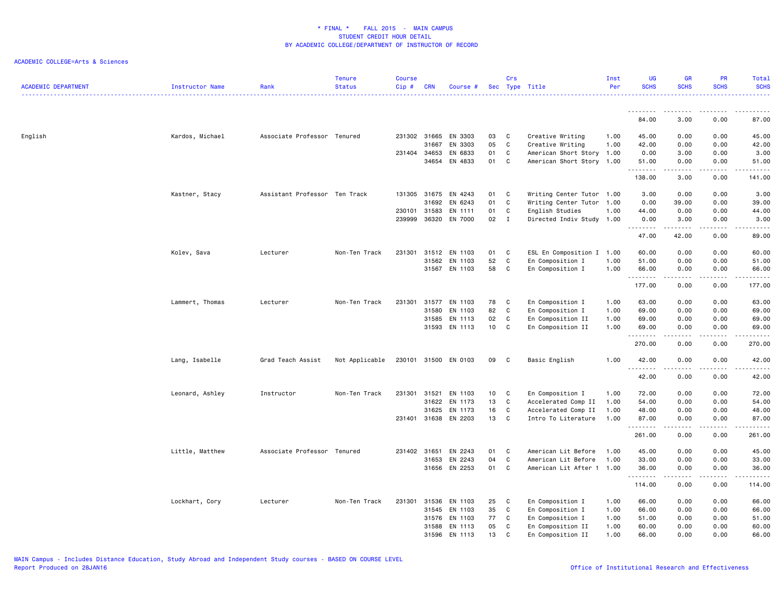| <b>ACADEMIC DEPARTMENT</b> | <b>Instructor Name</b> | Rank                          | <b>Tenure</b><br><b>Status</b> | <b>Course</b><br>Cip# | <b>CRN</b>   | Course #             |    | Crs            | Sec Type Title            | Inst<br>Per | UG<br><b>SCHS</b>   | <b>GR</b><br><b>SCHS</b>                                                                                                                                     | PR<br><b>SCHS</b> | Total<br><b>SCHS</b><br>22222.                                                                                                     |
|----------------------------|------------------------|-------------------------------|--------------------------------|-----------------------|--------------|----------------------|----|----------------|---------------------------|-------------|---------------------|--------------------------------------------------------------------------------------------------------------------------------------------------------------|-------------------|------------------------------------------------------------------------------------------------------------------------------------|
|                            |                        |                               |                                |                       |              |                      |    |                |                           |             | <u>.</u>            | .                                                                                                                                                            | . <b>.</b>        |                                                                                                                                    |
|                            |                        |                               |                                |                       |              |                      |    |                |                           |             | 84.00               | 3.00                                                                                                                                                         | 0.00              | 87.00                                                                                                                              |
| English                    | Kardos, Michael        | Associate Professor Tenured   |                                |                       | 231302 31665 | EN 3303              | 03 | C              | Creative Writing          | 1.00        | 45.00               | 0.00                                                                                                                                                         | 0.00              | 45.00                                                                                                                              |
|                            |                        |                               |                                |                       | 31667        | EN 3303              | 05 | C              | Creative Writing          | 1.00        | 42.00               | 0.00                                                                                                                                                         | 0.00              | 42.00                                                                                                                              |
|                            |                        |                               |                                | 231404 34653          |              | EN 6833              | 01 | C              | American Short Story 1.00 |             | 0.00                | 3.00                                                                                                                                                         | 0.00              | 3.00                                                                                                                               |
|                            |                        |                               |                                |                       | 34654        | EN 4833              | 01 | C              | American Short Story 1.00 |             | 51.00<br>.          | 0.00<br>.                                                                                                                                                    | 0.00<br>.         | 51.00<br>.                                                                                                                         |
|                            |                        |                               |                                |                       |              |                      |    |                |                           |             | 138.00              | 3.00                                                                                                                                                         | 0.00              | 141.00                                                                                                                             |
|                            | Kastner, Stacy         | Assistant Professor Ten Track |                                |                       | 131305 31675 | EN 4243              | 01 | C              | Writing Center Tutor 1.00 |             | 3.00                | 0.00                                                                                                                                                         | 0.00              | 3.00                                                                                                                               |
|                            |                        |                               |                                |                       | 31692        | EN 6243              | 01 | C              | Writing Center Tutor      | 1.00        | 0.00                | 39.00                                                                                                                                                        | 0.00              | 39.00                                                                                                                              |
|                            |                        |                               |                                | 230101                | 31583        | EN 1111              | 01 | C              | English Studies           | 1.00        | 44.00               | 0.00                                                                                                                                                         | 0.00              | 44.00                                                                                                                              |
|                            |                        |                               |                                | 239999                | 36320        | EN 7000              | 02 | $\mathbf{I}$   | Directed Indiv Study 1.00 |             | 0.00<br>$- - - -$   | 3.00                                                                                                                                                         | 0.00              | 3.00<br>----                                                                                                                       |
|                            |                        |                               |                                |                       |              |                      |    |                |                           |             | 47.00               | 42.00                                                                                                                                                        | 0.00              | 89.00                                                                                                                              |
|                            | Kolev, Sava            | Lecturer                      | Non-Ten Track                  | 231301                | 31512        | EN 1103              | 01 | C              | ESL En Composition I 1.00 |             | 60.00               | 0.00                                                                                                                                                         | 0.00              | 60.00                                                                                                                              |
|                            |                        |                               |                                |                       | 31562        | EN 1103              | 52 | C              | En Composition I          | 1.00        | 51.00               | 0.00                                                                                                                                                         | 0.00              | 51.00                                                                                                                              |
|                            |                        |                               |                                |                       | 31567        | EN 1103              | 58 | C              | En Composition I          | 1.00        | 66.00               | 0.00                                                                                                                                                         | 0.00              | 66.00                                                                                                                              |
|                            |                        |                               |                                |                       |              |                      |    |                |                           |             | .<br>177.00         | 0.00                                                                                                                                                         | 0.00              | 177.00                                                                                                                             |
|                            | Lammert, Thomas        | Lecturer                      | Non-Ten Track                  | 231301                | 31577        | EN 1103              | 78 | C              | En Composition I          | 1.00        | 63.00               | 0.00                                                                                                                                                         | 0.00              | 63.00                                                                                                                              |
|                            |                        |                               |                                |                       | 31580        | EN 1103              | 82 | C              | En Composition I          | 1.00        | 69.00               | 0.00                                                                                                                                                         | 0.00              | 69.00                                                                                                                              |
|                            |                        |                               |                                |                       | 31585        | EN 1113              | 02 | C              | En Composition II         | 1.00        | 69.00               | 0.00                                                                                                                                                         | 0.00              | 69.00                                                                                                                              |
|                            |                        |                               |                                |                       |              | 31593 EN 1113        | 10 | $\mathbf{C}$   | En Composition II         | 1.00        | 69.00<br>.          | 0.00<br>$\frac{1}{2} \left( \frac{1}{2} \right) \left( \frac{1}{2} \right) \left( \frac{1}{2} \right) \left( \frac{1}{2} \right) \left( \frac{1}{2} \right)$ | 0.00<br>.         | 69.00<br>.                                                                                                                         |
|                            |                        |                               |                                |                       |              |                      |    |                |                           |             | 270.00              | 0.00                                                                                                                                                         | 0.00              | 270.00                                                                                                                             |
|                            | Lang, Isabelle         | Grad Teach Assist             | Not Applicable                 |                       |              | 230101 31500 EN 0103 | 09 | $\overline{c}$ | Basic English             | 1.00        | 42.00<br>.          | 0.00<br>$\frac{1}{2} \left( \frac{1}{2} \right) \left( \frac{1}{2} \right) \left( \frac{1}{2} \right) \left( \frac{1}{2} \right)$                            | 0.00<br>.         | 42.00<br>.                                                                                                                         |
|                            |                        |                               |                                |                       |              |                      |    |                |                           |             | 42.00               | 0.00                                                                                                                                                         | 0.00              | 42.00                                                                                                                              |
|                            | Leonard, Ashley        | Instructor                    | Non-Ten Track                  | 231301                | 31521        | EN 1103              | 10 | $\mathbf{C}$   | En Composition I          | 1.00        | 72.00               | 0.00                                                                                                                                                         | 0.00              | 72.00                                                                                                                              |
|                            |                        |                               |                                |                       | 31622        | EN 1173              | 13 | C              | Accelerated Comp II       | 1.00        | 54.00               | 0.00                                                                                                                                                         | 0.00              | 54.00                                                                                                                              |
|                            |                        |                               |                                |                       | 31625        | EN 1173              | 16 | C              | Accelerated Comp II       | 1.00        | 48.00               | 0.00                                                                                                                                                         | 0.00              | 48.00                                                                                                                              |
|                            |                        |                               |                                |                       | 231401 31638 | EN 2203              | 13 | C              | Intro To Literature       | 1.00        | 87.00<br>. <b>.</b> | 0.00                                                                                                                                                         | 0.00              | 87.00<br>$\frac{1}{2} \left( \frac{1}{2} \right) \left( \frac{1}{2} \right) \left( \frac{1}{2} \right) \left( \frac{1}{2} \right)$ |
|                            |                        |                               |                                |                       |              |                      |    |                |                           |             | 261.00              | 0.00                                                                                                                                                         | 0.00              | 261.00                                                                                                                             |
|                            | Little, Matthew        | Associate Professor Tenured   |                                | 231402 31651          |              | EN 2243              | 01 | C              | American Lit Before       | 1.00        | 45.00               | 0.00                                                                                                                                                         | 0.00              | 45.00                                                                                                                              |
|                            |                        |                               |                                |                       | 31653        | EN 2243              | 04 | $\mathtt{C}$   | American Lit Before       | 1.00        | 33.00               | 0.00                                                                                                                                                         | 0.00              | 33.00                                                                                                                              |
|                            |                        |                               |                                |                       | 31656        | EN 2253              | 01 | C              | American Lit After 1 1.00 |             | 36.00               | 0.00                                                                                                                                                         | 0.00              | 36.00                                                                                                                              |
|                            |                        |                               |                                |                       |              |                      |    |                |                           |             | .<br>114.00         | $\sim$ $\sim$ $\sim$ $\sim$<br>0.00                                                                                                                          | .<br>0.00         | .<br>114.00                                                                                                                        |
|                            | Lockhart, Cory         | Lecturer                      | Non-Ten Track                  | 231301                | 31536        | EN 1103              | 25 | C              | En Composition I          | 1.00        | 66.00               | 0.00                                                                                                                                                         | 0.00              | 66.00                                                                                                                              |
|                            |                        |                               |                                |                       | 31545        | EN 1103              | 35 | $\mathtt{C}$   | En Composition I          | 1.00        | 66.00               | 0.00                                                                                                                                                         | 0.00              | 66.00                                                                                                                              |
|                            |                        |                               |                                |                       | 31576        | EN 1103              | 77 | C              | En Composition I          | 1.00        | 51.00               | 0.00                                                                                                                                                         | 0.00              | 51.00                                                                                                                              |
|                            |                        |                               |                                |                       | 31588        | EN 1113              | 05 | C              | En Composition II         | 1.00        | 60.00               | 0.00                                                                                                                                                         | 0.00              | 60.00                                                                                                                              |
|                            |                        |                               |                                |                       | 31596        | EN 1113              | 13 | C              | En Composition II         | 1.00        | 66.00               | 0.00                                                                                                                                                         | 0.00              | 66.00                                                                                                                              |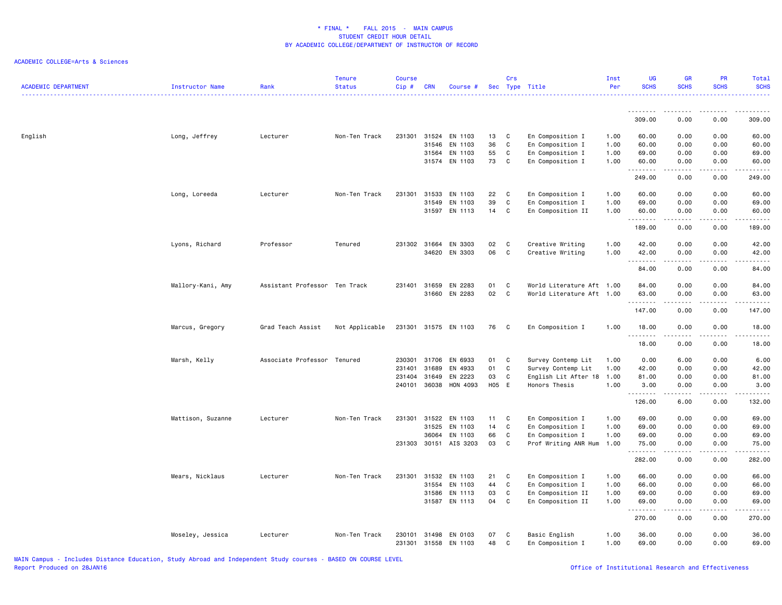| <b>ACADEMIC DEPARTMENT</b> | <b>Instructor Name</b> | Rank                          | <b>Tenure</b><br><b>Status</b> | <b>Course</b><br>Cip# | <b>CRN</b> | Course #       |       | Crs          | Sec Type Title            | Inst<br>Per | UG<br><b>SCHS</b>                                                                                                                                                                                                                                                                                                                                                                                                                                                                               | GR<br><b>SCHS</b>                                                                                                                 | <b>PR</b><br><b>SCHS</b>            | Total<br><b>SCHS</b> |
|----------------------------|------------------------|-------------------------------|--------------------------------|-----------------------|------------|----------------|-------|--------------|---------------------------|-------------|-------------------------------------------------------------------------------------------------------------------------------------------------------------------------------------------------------------------------------------------------------------------------------------------------------------------------------------------------------------------------------------------------------------------------------------------------------------------------------------------------|-----------------------------------------------------------------------------------------------------------------------------------|-------------------------------------|----------------------|
|                            |                        |                               |                                |                       |            |                |       |              |                           |             | .                                                                                                                                                                                                                                                                                                                                                                                                                                                                                               |                                                                                                                                   |                                     | .                    |
|                            |                        |                               |                                |                       |            |                |       |              |                           |             | 309.00                                                                                                                                                                                                                                                                                                                                                                                                                                                                                          | 0.00                                                                                                                              | 0.00                                | 309.00               |
| English                    | Long, Jeffrey          | Lecturer                      | Non-Ten Track                  | 231301                |            | 31524 EN 1103  | 13    | C            | En Composition I          | 1.00        | 60.00                                                                                                                                                                                                                                                                                                                                                                                                                                                                                           | 0.00                                                                                                                              | 0.00                                | 60.00                |
|                            |                        |                               |                                |                       | 31546      | EN 1103        | 36    | $\mathtt{C}$ | En Composition I          | 1.00        | 60.00                                                                                                                                                                                                                                                                                                                                                                                                                                                                                           | 0.00                                                                                                                              | 0.00                                | 60.00                |
|                            |                        |                               |                                |                       | 31564      | EN 1103        | 55    | C            | En Composition I          | 1.00        | 69.00                                                                                                                                                                                                                                                                                                                                                                                                                                                                                           | 0.00                                                                                                                              | 0.00                                | 69.00                |
|                            |                        |                               |                                |                       |            | 31574 EN 1103  | 73    | C            | En Composition I          | 1.00        | 60.00<br>$\begin{array}{cccccccccccccc} \multicolumn{2}{c}{} & \multicolumn{2}{c}{} & \multicolumn{2}{c}{} & \multicolumn{2}{c}{} & \multicolumn{2}{c}{} & \multicolumn{2}{c}{} & \multicolumn{2}{c}{} & \multicolumn{2}{c}{} & \multicolumn{2}{c}{} & \multicolumn{2}{c}{} & \multicolumn{2}{c}{} & \multicolumn{2}{c}{} & \multicolumn{2}{c}{} & \multicolumn{2}{c}{} & \multicolumn{2}{c}{} & \multicolumn{2}{c}{} & \multicolumn{2}{c}{} & \multicolumn{2}{c}{} & \multicolumn{2}{c}{} & \$ | 0.00                                                                                                                              | 0.00                                | 60.00<br>.           |
|                            |                        |                               |                                |                       |            |                |       |              |                           |             | 249.00                                                                                                                                                                                                                                                                                                                                                                                                                                                                                          | 0.00                                                                                                                              | 0.00                                | 249.00               |
|                            | Long, Loreeda          | Lecturer                      | Non-Ten Track                  | 231301                | 31533      | EN 1103        | 22    | C            | En Composition I          | 1.00        | 60.00                                                                                                                                                                                                                                                                                                                                                                                                                                                                                           | 0.00                                                                                                                              | 0.00                                | 60.00                |
|                            |                        |                               |                                |                       | 31549      | EN 1103        | 39    | $\mathsf{C}$ | En Composition I          | 1.00        | 69.00                                                                                                                                                                                                                                                                                                                                                                                                                                                                                           | 0.00                                                                                                                              | 0.00                                | 69.00                |
|                            |                        |                               |                                |                       | 31597      | EN 1113        | 14    | C            | En Composition II         | 1.00        | 60.00                                                                                                                                                                                                                                                                                                                                                                                                                                                                                           | 0.00<br>.                                                                                                                         | 0.00<br>.                           | 60.00<br>.           |
|                            |                        |                               |                                |                       |            |                |       |              |                           |             | 189.00                                                                                                                                                                                                                                                                                                                                                                                                                                                                                          | 0.00                                                                                                                              | 0.00                                | 189.00               |
|                            | Lyons, Richard         | Professor                     | Tenured                        | 231302                | 31664      | EN 3303        | 02    | C            | Creative Writing          | 1.00        | 42.00                                                                                                                                                                                                                                                                                                                                                                                                                                                                                           | 0.00                                                                                                                              | 0.00                                | 42.00                |
|                            |                        |                               |                                |                       |            | 34620 EN 3303  | 06    | C            | Creative Writing          | 1.00        | 42.00                                                                                                                                                                                                                                                                                                                                                                                                                                                                                           | 0.00                                                                                                                              | 0.00                                | 42.00                |
|                            |                        |                               |                                |                       |            |                |       |              |                           |             | .                                                                                                                                                                                                                                                                                                                                                                                                                                                                                               | - - - -                                                                                                                           |                                     | .                    |
|                            |                        |                               |                                |                       |            |                |       |              |                           |             | 84.00                                                                                                                                                                                                                                                                                                                                                                                                                                                                                           | 0.00                                                                                                                              | 0.00                                | 84.00                |
|                            | Mallory-Kani, Amy      | Assistant Professor Ten Track |                                | 231401                | 31659      | EN 2283        | 01    | C            | World Literature Aft 1.00 |             | 84.00                                                                                                                                                                                                                                                                                                                                                                                                                                                                                           | 0.00                                                                                                                              | 0.00                                | 84.00                |
|                            |                        |                               |                                |                       |            | 31660 EN 2283  | 02    | $\mathtt{C}$ | World Literature Aft 1.00 |             | 63.00<br><u>.</u>                                                                                                                                                                                                                                                                                                                                                                                                                                                                               | 0.00<br>$- - - -$                                                                                                                 | 0.00<br>.                           | 63.00<br>.           |
|                            |                        |                               |                                |                       |            |                |       |              |                           |             | 147.00                                                                                                                                                                                                                                                                                                                                                                                                                                                                                          | 0.00                                                                                                                              | 0.00                                | 147.00               |
|                            | Marcus, Gregory        | Grad Teach Assist             | Not Applicable                 | 231301                |            | 31575 EN 1103  | 76    | C            | En Composition I          | 1.00        | 18.00<br><u>.</u>                                                                                                                                                                                                                                                                                                                                                                                                                                                                               | 0.00                                                                                                                              | 0.00                                | 18.00                |
|                            |                        |                               |                                |                       |            |                |       |              |                           |             | 18.00                                                                                                                                                                                                                                                                                                                                                                                                                                                                                           | 0.00                                                                                                                              | 0.00                                | 18.00                |
|                            | Marsh, Kelly           | Associate Professor Tenured   |                                | 230301                | 31706      | EN 6933        | 01    | C            | Survey Contemp Lit        | 1.00        | 0.00                                                                                                                                                                                                                                                                                                                                                                                                                                                                                            | 6.00                                                                                                                              | 0.00                                | 6.00                 |
|                            |                        |                               |                                | 231401                | 31689      | EN 4933        | 01    | $\mathtt{C}$ | Survey Contemp Lit        | 1.00        | 42.00                                                                                                                                                                                                                                                                                                                                                                                                                                                                                           | 0.00                                                                                                                              | 0.00                                | 42.00                |
|                            |                        |                               |                                | 231404                | 31649      | EN 2223        | 03    | C            | English Lit After 18      | 1.00        | 81.00                                                                                                                                                                                                                                                                                                                                                                                                                                                                                           | 0.00                                                                                                                              | 0.00                                | 81.00                |
|                            |                        |                               |                                | 240101                |            | 36038 HON 4093 | H05 E |              | Honors Thesis             | 1.00        | 3.00<br>.                                                                                                                                                                                                                                                                                                                                                                                                                                                                                       | 0.00<br>.                                                                                                                         | 0.00                                | 3.00<br>.            |
|                            |                        |                               |                                |                       |            |                |       |              |                           |             | 126.00                                                                                                                                                                                                                                                                                                                                                                                                                                                                                          | 6.00                                                                                                                              | 0.00                                | 132.00               |
|                            | Mattison, Suzanne      | Lecturer                      | Non-Ten Track                  | 231301                | 31522      | EN 1103        | 11    | C            | En Composition I          | 1.00        | 69.00                                                                                                                                                                                                                                                                                                                                                                                                                                                                                           | 0.00                                                                                                                              | 0.00                                | 69.00                |
|                            |                        |                               |                                |                       | 31525      | EN 1103        | 14    | $\mathsf C$  | En Composition I          | 1.00        | 69.00                                                                                                                                                                                                                                                                                                                                                                                                                                                                                           | 0.00                                                                                                                              | 0.00                                | 69.00                |
|                            |                        |                               |                                |                       | 36064      | EN 1103        | 66    | C            | En Composition I          | 1.00        | 69.00                                                                                                                                                                                                                                                                                                                                                                                                                                                                                           | 0.00                                                                                                                              | 0.00                                | 69.00                |
|                            |                        |                               |                                | 231303                |            | 30151 AIS 3203 | 03    | C            | Prof Writing ANR Hum 1.00 |             | 75.00<br><u>.</u>                                                                                                                                                                                                                                                                                                                                                                                                                                                                               | 0.00<br>.                                                                                                                         | 0.00<br>.                           | 75.00<br>.           |
|                            |                        |                               |                                |                       |            |                |       |              |                           |             | 282.00                                                                                                                                                                                                                                                                                                                                                                                                                                                                                          | 0.00                                                                                                                              | 0.00                                | 282.00               |
|                            | Mears, Nicklaus        | Lecturer                      | Non-Ten Track                  | 231301                | 31532      | EN 1103        | 21    | C            | En Composition I          | 1.00        | 66.00                                                                                                                                                                                                                                                                                                                                                                                                                                                                                           | 0.00                                                                                                                              | 0.00                                | 66.00                |
|                            |                        |                               |                                |                       | 31554      | EN 1103        | 44    | C            | En Composition I          | 1.00        | 66.00                                                                                                                                                                                                                                                                                                                                                                                                                                                                                           | 0.00                                                                                                                              | 0.00                                | 66.00                |
|                            |                        |                               |                                |                       | 31586      | EN 1113        | 03    | $\mathtt{C}$ | En Composition II         | 1.00        | 69.00                                                                                                                                                                                                                                                                                                                                                                                                                                                                                           | 0.00                                                                                                                              | 0.00                                | 69.00                |
|                            |                        |                               |                                |                       |            | 31587 EN 1113  | 04    | C            | En Composition II         | 1.00        | 69.00<br>.                                                                                                                                                                                                                                                                                                                                                                                                                                                                                      | 0.00<br>$\frac{1}{2} \left( \frac{1}{2} \right) \left( \frac{1}{2} \right) \left( \frac{1}{2} \right) \left( \frac{1}{2} \right)$ | 0.00<br>$\sim$ $\sim$ $\sim$ $\sim$ | 69.00<br>.           |
|                            |                        |                               |                                |                       |            |                |       |              |                           |             | 270.00                                                                                                                                                                                                                                                                                                                                                                                                                                                                                          | 0.00                                                                                                                              | 0.00                                | 270.00               |
|                            | Moseley, Jessica       | Lecturer                      | Non-Ten Track                  | 230101                | 31498      | EN 0103        | 07    | C            | Basic English             | 1.00        | 36.00                                                                                                                                                                                                                                                                                                                                                                                                                                                                                           | 0.00                                                                                                                              | 0.00                                | 36.00                |
|                            |                        |                               |                                | 231301                | 31558      | EN 1103        | 48    | C            | En Composition I          | 1.00        | 69.00                                                                                                                                                                                                                                                                                                                                                                                                                                                                                           | 0.00                                                                                                                              | 0.00                                | 69.00                |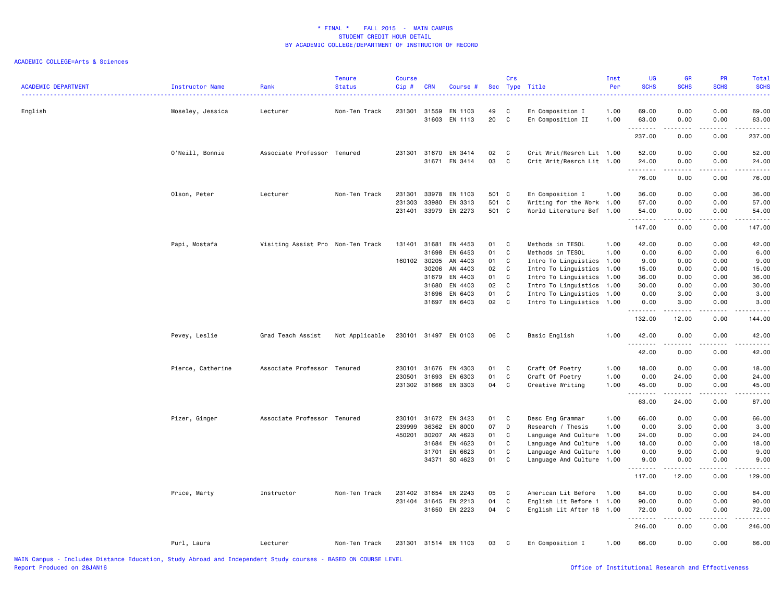| <b>ACADEMIC DEPARTMENT</b> | Instructor Name   | Rank                              | <b>Tenure</b><br><b>Status</b> | <b>Course</b><br>Cip# | <b>CRN</b> | Course #                 |          | Crs    | Sec Type Title                        | Inst<br>Per  | UG<br><b>SCHS</b>   | GR<br><b>SCHS</b><br>.                                                                                                                                       | PR<br><b>SCHS</b> | Total<br><b>SCHS</b><br>. د د د د |
|----------------------------|-------------------|-----------------------------------|--------------------------------|-----------------------|------------|--------------------------|----------|--------|---------------------------------------|--------------|---------------------|--------------------------------------------------------------------------------------------------------------------------------------------------------------|-------------------|-----------------------------------|
| English                    | Moseley, Jessica  | Lecturer                          | Non-Ten Track                  | 231301                | 31559      | EN 1103<br>31603 EN 1113 | 49<br>20 | C<br>C | En Composition I<br>En Composition II | 1.00<br>1.00 | 69.00<br>63.00      | 0.00<br>0.00                                                                                                                                                 | 0.00<br>0.00      | 69.00<br>63.00                    |
|                            |                   |                                   |                                |                       |            |                          |          |        |                                       |              | .<br>237.00         | $\sim$ $\sim$ $\sim$ $\sim$<br>0.00                                                                                                                          | 0.00              | 237.00                            |
|                            | O'Neill, Bonnie   | Associate Professor Tenured       |                                | 231301                | 31670      | EN 3414                  | 02       | C      | Crit Writ/Resrch Lit 1.00             |              | 52.00               | 0.00                                                                                                                                                         | 0.00              | 52.00                             |
|                            |                   |                                   |                                |                       |            | 31671 EN 3414            | 03       | C      | Crit Writ/Resrch Lit 1.00             |              | 24.00<br><u>.</u> . | 0.00<br>.                                                                                                                                                    | 0.00<br>.         | 24.00<br>.                        |
|                            |                   |                                   |                                |                       |            |                          |          |        |                                       |              | 76.00               | 0.00                                                                                                                                                         | 0.00              | 76.00                             |
|                            | Olson, Peter      | Lecturer                          | Non-Ten Track                  | 231301                | 33978      | EN 1103                  | 501 C    |        | En Composition I                      | 1.00         | 36.00               | 0.00                                                                                                                                                         | 0.00              | 36.00                             |
|                            |                   |                                   |                                | 231303                | 33980      | EN 3313                  | 501 C    |        | Writing for the Work 1.00             |              | 57.00               | 0.00                                                                                                                                                         | 0.00              | 57.00                             |
|                            |                   |                                   |                                | 231401                |            | 33979 EN 2273            | 501 C    |        | World Literature Bef 1.00             |              | 54.00<br>.          | 0.00<br>$\mathcal{L}^{\mathcal{L}}\mathcal{L}^{\mathcal{L}}\mathcal{L}^{\mathcal{L}}\mathcal{L}^{\mathcal{L}}\mathcal{L}^{\mathcal{L}}$                      | 0.00<br><b>.</b>  | 54.00<br>.                        |
|                            |                   |                                   |                                |                       |            |                          |          |        |                                       |              | 147.00              | 0.00                                                                                                                                                         | 0.00              | 147.00                            |
|                            | Papi, Mostafa     | Visiting Assist Pro Non-Ten Track |                                | 131401                | 31681      | EN 4453                  | 01       | C      | Methods in TESOL                      | 1.00         | 42.00               | 0.00                                                                                                                                                         | 0.00              | 42.00                             |
|                            |                   |                                   |                                |                       | 31698      | EN 6453                  | 01       | C      | Methods in TESOL                      | 1.00         | 0.00                | 6.00                                                                                                                                                         | 0.00              | 6.00                              |
|                            |                   |                                   |                                | 160102 30205          |            | AN 4403                  | 01       | C      | Intro To Linguistics 1.00             |              | 9.00                | 0.00                                                                                                                                                         | 0.00              | 9.00                              |
|                            |                   |                                   |                                |                       | 30206      | AN 4403                  | 02       | C      | Intro To Linguistics                  | 1.00         | 15.00               | 0.00                                                                                                                                                         | 0.00              | 15.00                             |
|                            |                   |                                   |                                |                       | 31679      | EN 4403                  | 01       | C      | Intro To Linguistics                  | 1.00         | 36.00               | 0.00                                                                                                                                                         | 0.00              | 36.00                             |
|                            |                   |                                   |                                |                       | 31680      | EN 4403                  | 02       | C      | Intro To Linguistics                  | 1.00         | 30.00               | 0.00                                                                                                                                                         | 0.00              | 30.00                             |
|                            |                   |                                   |                                |                       | 31696      | EN 6403                  | 01       | C      | Intro To Linguistics                  | 1.00         | 0.00                | 3.00                                                                                                                                                         | 0.00              | 3.00                              |
|                            |                   |                                   |                                |                       | 31697      | EN 6403                  | 02       | C      | Intro To Linguistics 1.00             |              | 0.00<br>.           | 3.00<br>$\omega = \omega = \omega$                                                                                                                           | 0.00<br>.         | 3.00<br>22222                     |
|                            |                   |                                   |                                |                       |            |                          |          |        |                                       |              | 132.00              | 12.00                                                                                                                                                        | 0.00              | 144.00                            |
|                            | Pevey, Leslie     | Grad Teach Assist                 | Not Applicable                 |                       |            | 230101 31497 EN 0103     | 06       | C.     | Basic English                         | 1.00         | 42.00<br>.          | 0.00<br>$\frac{1}{2} \left( \frac{1}{2} \right) \left( \frac{1}{2} \right) \left( \frac{1}{2} \right) \left( \frac{1}{2} \right) \left( \frac{1}{2} \right)$ | 0.00<br><u>.</u>  | 42.00<br>.                        |
|                            |                   |                                   |                                |                       |            |                          |          |        |                                       |              | 42.00               | 0.00                                                                                                                                                         | 0.00              | 42.00                             |
|                            | Pierce, Catherine | Associate Professor Tenured       |                                | 230101                | 31676      | EN 4303                  | 01       | C      | Craft Of Poetry                       | 1.00         | 18.00               | 0.00                                                                                                                                                         | 0.00              | 18.00                             |
|                            |                   |                                   |                                | 230501                | 31693      | EN 6303                  | 01       | C      | Craft Of Poetry                       | 1.00         | 0.00                | 24.00                                                                                                                                                        | 0.00              | 24.00                             |
|                            |                   |                                   |                                |                       |            | 231302 31666 EN 3303     | 04 C     |        | Creative Writing                      | 1.00         | 45.00<br>.          | 0.00                                                                                                                                                         | 0.00              | 45.00                             |
|                            |                   |                                   |                                |                       |            |                          |          |        |                                       |              | 63.00               | 24.00                                                                                                                                                        | 0.00              | 87.00                             |
|                            | Pizer, Ginger     | Associate Professor Tenured       |                                |                       |            | 230101 31672 EN 3423     | 01       | C      | Desc Eng Grammar                      | 1.00         | 66.00               | 0.00                                                                                                                                                         | 0.00              | 66.00                             |
|                            |                   |                                   |                                | 239999                | 36362      | EN 8000                  | 07       | D      | Research / Thesis                     | 1.00         | 0.00                | 3.00                                                                                                                                                         | 0.00              | 3.00                              |
|                            |                   |                                   |                                | 450201                | 30207      | AN 4623                  | 01       | C      | Language And Culture 1.00             |              | 24.00               | 0.00                                                                                                                                                         | 0.00              | 24.00                             |
|                            |                   |                                   |                                |                       | 31684      | EN 4623                  | 01       | C      | Language And Culture                  | 1.00         | 18.00               | 0.00                                                                                                                                                         | 0.00              | 18.00                             |
|                            |                   |                                   |                                |                       | 31701      | EN 6623                  | 01       | C      | Language And Culture                  | 1.00         | 0.00                | 9.00                                                                                                                                                         | 0.00              | 9.00                              |
|                            |                   |                                   |                                |                       | 34371      | SO 4623                  | 01       | C      | Language And Culture 1.00             |              | 9.00<br>.           | 0.00                                                                                                                                                         | 0.00              | 9.00                              |
|                            |                   |                                   |                                |                       |            |                          |          |        |                                       |              | 117.00              | 12.00                                                                                                                                                        | 0.00              | 129.00                            |
|                            | Price, Marty      | Instructor                        | Non-Ten Track                  | 231402 31654          |            | EN 2243                  | 05       | C      | American Lit Before                   | 1.00         | 84.00               | 0.00                                                                                                                                                         | 0.00              | 84.00                             |
|                            |                   |                                   |                                | 231404                | 31645      | EN 2213                  | 04       | C      | English Lit Before 1 1.00             |              | 90.00               | 0.00                                                                                                                                                         | 0.00              | 90.00                             |
|                            |                   |                                   |                                |                       |            | 31650 EN 2223            | 04       | C      | English Lit After 18 1.00             |              | 72.00<br>.          | 0.00<br>.                                                                                                                                                    | 0.00<br>.         | 72.00<br>------                   |
|                            |                   |                                   |                                |                       |            |                          |          |        |                                       |              | 246.00              | 0.00                                                                                                                                                         | 0.00              | 246.00                            |
|                            | Purl, Laura       | Lecturer                          | Non-Ten Track                  |                       |            | 231301 31514 EN 1103     | 03       | C      | En Composition I                      | 1.00         | 66.00               | 0.00                                                                                                                                                         | 0.00              | 66.00                             |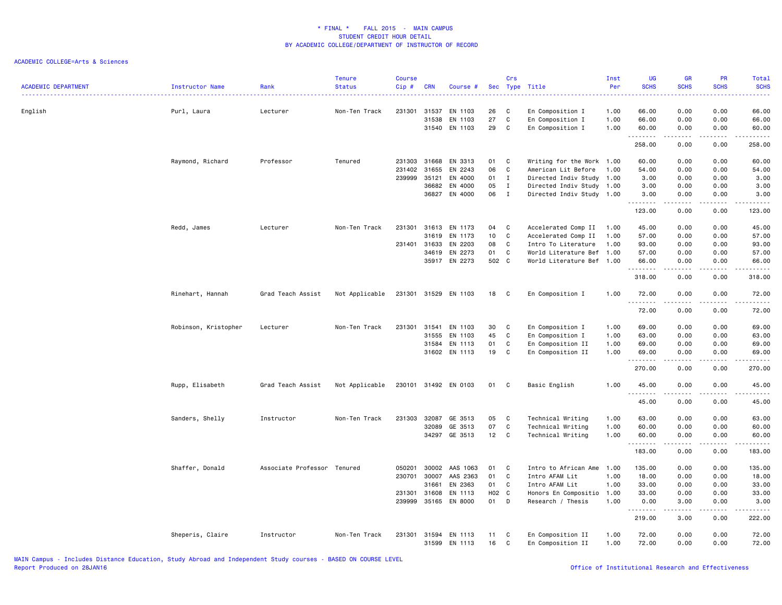| <b>ACADEMIC DEPARTMENT</b> | Instructor Name      | Rank                        | <b>Tenure</b><br><b>Status</b> | <b>Course</b><br>Cip # | <b>CRN</b>     | Course #             |          | Crs          | Sec Type Title                            | Inst<br>Per  | UG<br><b>SCHS</b> | GR<br><b>SCHS</b> | PR<br><b>SCHS</b> | Total<br><b>SCHS</b><br>$\frac{1}{2} \left( \frac{1}{2} \right) \left( \frac{1}{2} \right) \left( \frac{1}{2} \right) \left( \frac{1}{2} \right)$             |
|----------------------------|----------------------|-----------------------------|--------------------------------|------------------------|----------------|----------------------|----------|--------------|-------------------------------------------|--------------|-------------------|-------------------|-------------------|---------------------------------------------------------------------------------------------------------------------------------------------------------------|
| English                    | Purl, Laura          | Lecturer                    | Non-Ten Track                  | 231301                 | 31537<br>31538 | EN 1103<br>EN 1103   | 26<br>27 | C<br>C       | En Composition I<br>En Composition I      | 1.00<br>1.00 | 66.00<br>66.00    | 0.00<br>0.00      | 0.00<br>0.00      | 66.00<br>66.00                                                                                                                                                |
|                            |                      |                             |                                |                        | 31540          | EN 1103              | 29       | C            | En Composition I                          | 1.00         | 60.00             | 0.00              | 0.00              | 60.00                                                                                                                                                         |
|                            |                      |                             |                                |                        |                |                      |          |              |                                           |              | .<br>258.00       | .<br>0.00         | .<br>0.00         | .<br>258.00                                                                                                                                                   |
|                            | Raymond, Richard     | Professor                   | Tenured                        | 231303                 | 31668          | EN 3313              | 01       | C            | Writing for the Work 1.00                 |              | 60.00             | 0.00              | 0.00              | 60.00                                                                                                                                                         |
|                            |                      |                             |                                | 231402                 | 31655          | EN 2243              | 06       | C            | American Lit Before                       | 1.00         | 54.00             | 0.00              | 0.00              | 54.00                                                                                                                                                         |
|                            |                      |                             |                                | 239999                 | 35121          | EN 4000              | 01       | $\mathbf{I}$ | Directed Indiv Study 1.00                 |              | 3.00              | 0.00              | 0.00              | 3.00                                                                                                                                                          |
|                            |                      |                             |                                |                        | 36682          | EN 4000              | 05       | $\mathbf{I}$ | Directed Indiv Study 1.00                 |              | 3.00              | 0.00              | 0.00              | 3.00                                                                                                                                                          |
|                            |                      |                             |                                |                        | 36827          | EN 4000              | 06       | $\mathbf{I}$ | Directed Indiv Study 1.00                 |              | 3.00<br>.         | 0.00<br>.         | 0.00              | 3.00<br>.                                                                                                                                                     |
|                            |                      |                             |                                |                        |                |                      |          |              |                                           |              | 123.00            | 0.00              | 0.00              | 123.00                                                                                                                                                        |
|                            | Redd, James          | Lecturer                    | Non-Ten Track                  | 231301                 | 31613          | EN 1173              | 04       | C            | Accelerated Comp II                       | 1.00         | 45.00             | 0.00              | 0.00              | 45.00                                                                                                                                                         |
|                            |                      |                             |                                |                        | 31619          | EN 1173              | 10       | C            | Accelerated Comp II                       | 1.00         | 57.00             | 0.00              | 0.00              | 57.00                                                                                                                                                         |
|                            |                      |                             |                                | 231401                 | 31633          | EN 2203              | 08       | C            | Intro To Literature                       | 1.00         | 93.00             | 0.00              | 0.00              | 93.00                                                                                                                                                         |
|                            |                      |                             |                                |                        | 34619          | EN 2273              | 01       | C            | World Literature Bef 1.00                 |              | 57.00             | 0.00              | 0.00              | 57.00                                                                                                                                                         |
|                            |                      |                             |                                |                        | 35917          | EN 2273              | 502 C    |              | World Literature Bef 1.00                 |              | 66.00             | 0.00              | 0.00              | 66.00                                                                                                                                                         |
|                            |                      |                             |                                |                        |                |                      |          |              |                                           |              | .<br>318.00       | .<br>0.00         | والأمام<br>0.00   | .<br>318.00                                                                                                                                                   |
|                            | Rinehart, Hannah     | Grad Teach Assist           | Not Applicable                 | 231301                 | 31529          | EN 1103              | 18       | C            | En Composition I                          | 1.00         | 72.00<br>.        | 0.00              | 0.00              | 72.00<br>$\frac{1}{2} \left( \frac{1}{2} \right) \left( \frac{1}{2} \right) \left( \frac{1}{2} \right) \left( \frac{1}{2} \right) \left( \frac{1}{2} \right)$ |
|                            |                      |                             |                                |                        |                |                      |          |              |                                           |              | 72.00             | 0.00              | 0.00              | 72.00                                                                                                                                                         |
|                            | Robinson, Kristopher | Lecturer                    | Non-Ten Track                  | 231301                 | 31541          | EN 1103              | 30       | C            | En Composition I                          | 1.00         | 69.00             | 0.00              | 0.00              | 69.00                                                                                                                                                         |
|                            |                      |                             |                                |                        | 31555          | EN 1103              | 45       | C            | En Composition I                          | 1.00         | 63.00             | 0.00              | 0.00              | 63.00                                                                                                                                                         |
|                            |                      |                             |                                |                        | 31584          | EN 1113              | 01       | C            | En Composition II                         | 1.00         | 69.00             | 0.00              | 0.00              | 69.00                                                                                                                                                         |
|                            |                      |                             |                                |                        | 31602          | EN 1113              | 19       | C            | En Composition II                         | 1.00         | 69.00             | 0.00              | 0.00              | 69.00                                                                                                                                                         |
|                            |                      |                             |                                |                        |                |                      |          |              |                                           |              | 270.00            | 0.00              | 0.00              | 270.00                                                                                                                                                        |
|                            | Rupp, Elisabeth      | Grad Teach Assist           | Not Applicable                 |                        |                | 230101 31492 EN 0103 | 01       | C            | Basic English                             | 1.00         | 45.00             | 0.00              | 0.00              | 45.00                                                                                                                                                         |
|                            |                      |                             |                                |                        |                |                      |          |              |                                           |              | .<br>45.00        | 0.00              | 0.00              | .<br>45.00                                                                                                                                                    |
|                            | Sanders, Shelly      | Instructor                  | Non-Ten Track                  | 231303                 | 32087          | GE 3513              | 05       | C            | Technical Writing                         | 1.00         | 63.00             | 0.00              | 0.00              | 63.00                                                                                                                                                         |
|                            |                      |                             |                                |                        | 32089          | GE 3513              | 07       | C            | Technical Writing                         | 1.00         | 60.00             | 0.00              | 0.00              | 60.00                                                                                                                                                         |
|                            |                      |                             |                                |                        |                | 34297 GE 3513        | 12       | C            | Technical Writing                         | 1.00         | 60.00             | 0.00              | 0.00              | 60.00                                                                                                                                                         |
|                            |                      |                             |                                |                        |                |                      |          |              |                                           |              | .<br>183.00       | 0.00              | 0.00              | .<br>183.00                                                                                                                                                   |
|                            |                      |                             |                                |                        |                |                      |          |              |                                           |              |                   |                   |                   |                                                                                                                                                               |
|                            | Shaffer, Donald      | Associate Professor Tenured |                                | 050201                 | 30002          | AAS 1063             | 01       | C            | Intro to African Ame                      | 1.00         | 135.00            | 0.00              | 0.00              | 135.00                                                                                                                                                        |
|                            |                      |                             |                                | 230701                 | 30007<br>31661 | AAS 2363<br>EN 2363  | 01<br>01 | C<br>C       | Intro AFAM Lit<br>Intro AFAM Lit          | 1.00<br>1.00 | 18.00<br>33.00    | 0.00<br>0.00      | 0.00<br>0.00      | 18.00<br>33.00                                                                                                                                                |
|                            |                      |                             |                                |                        | 31608          | EN 1113              | H02 C    |              |                                           | 1.00         |                   |                   |                   |                                                                                                                                                               |
|                            |                      |                             |                                | 231301<br>239999       | 35165          | EN 8000              | 01       | D            | Honors En Compositio<br>Research / Thesis | 1.00         | 33.00<br>0.00     | 0.00<br>3.00      | 0.00<br>0.00      | 33.00<br>3.00                                                                                                                                                 |
|                            |                      |                             |                                |                        |                |                      |          |              |                                           |              | .                 | -----             | .                 | .                                                                                                                                                             |
|                            |                      |                             |                                |                        |                |                      |          |              |                                           |              | 219.00            | 3.00              | 0.00              | 222.00                                                                                                                                                        |
|                            | Sheperis, Claire     | Instructor                  | Non-Ten Track                  | 231301                 | 31594<br>31599 | EN 1113<br>EN 1113   | 11<br>16 | C<br>C       | En Composition II<br>En Composition II    | 1.00<br>1.00 | 72.00<br>72.00    | 0.00<br>0.00      | 0.00<br>0.00      | 72.00<br>72.00                                                                                                                                                |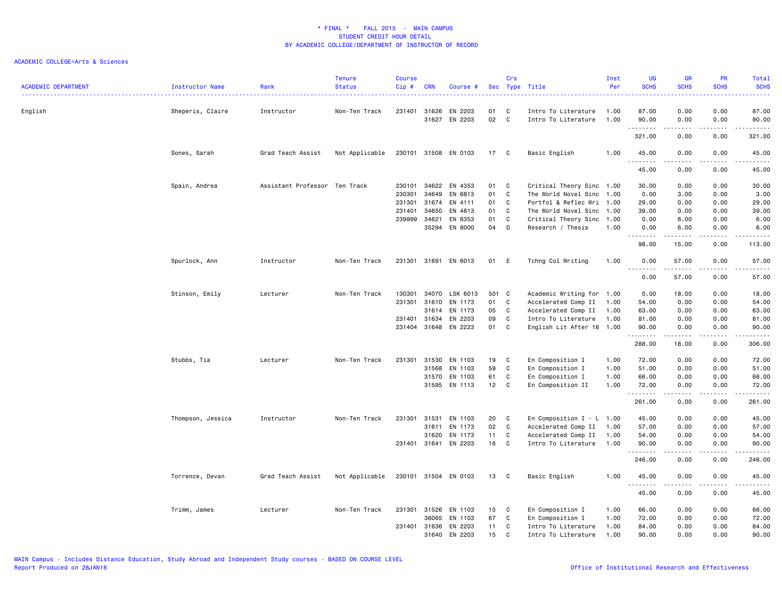| <b>ACADEMIC DEPARTMENT</b> | Instructor Name   | Rank                          | <b>Tenure</b><br><b>Status</b> | <b>Course</b><br>Cip# | <b>CRN</b> | Course #             |                 | Crs          | Sec Type Title              | Inst<br>Per | UG<br><b>SCHS</b>                 | <b>GR</b><br><b>SCHS</b>                                                                                                                                     | PR<br><b>SCHS</b>                   | Total<br><b>SCHS</b>                                                                                                                                          |
|----------------------------|-------------------|-------------------------------|--------------------------------|-----------------------|------------|----------------------|-----------------|--------------|-----------------------------|-------------|-----------------------------------|--------------------------------------------------------------------------------------------------------------------------------------------------------------|-------------------------------------|---------------------------------------------------------------------------------------------------------------------------------------------------------------|
|                            |                   |                               |                                |                       |            |                      |                 |              |                             |             | .                                 |                                                                                                                                                              | <u>.</u>                            | د د د د د                                                                                                                                                     |
| English                    | Sheperis, Claire  | Instructor                    | Non-Ten Track                  | 231401 31626          |            | EN 2203              | 01              | C            | Intro To Literature         | 1.00        | 87.00                             | 0.00                                                                                                                                                         | 0.00                                | 87.00                                                                                                                                                         |
|                            |                   |                               |                                |                       | 31627      | EN 2203              | 02              | C            | Intro To Literature         | 1.00        | 90.00<br>.                        | 0.00<br>-----                                                                                                                                                | 0.00<br>.                           | 90.00<br>.                                                                                                                                                    |
|                            |                   |                               |                                |                       |            |                      |                 |              |                             |             | 321.00                            | 0.00                                                                                                                                                         | 0.00                                | 321.00                                                                                                                                                        |
|                            | Sones, Sarah      | Grad Teach Assist             | Not Applicable                 |                       |            | 230101 31508 EN 0103 | 17 C            |              | Basic English               | 1.00        | 45.00<br><u>.</u>                 | 0.00                                                                                                                                                         | 0.00<br>.                           | 45.00<br>.                                                                                                                                                    |
|                            |                   |                               |                                |                       |            |                      |                 |              |                             |             | 45.00                             | 0.00                                                                                                                                                         | 0.00                                | 45.00                                                                                                                                                         |
|                            | Spain, Andrea     | Assistant Professor Ten Track |                                | 230101                | 34622      | EN 4353              | 01              | C            | Critical Theory Sinc 1.00   |             | 30.00                             | 0.00                                                                                                                                                         | 0.00                                | 30.00                                                                                                                                                         |
|                            |                   |                               |                                | 230301                | 34649      | EN 6813              | 01              | C            | The World Novel Sinc 1.00   |             | 0.00                              | 3.00                                                                                                                                                         | 0.00                                | 3.00                                                                                                                                                          |
|                            |                   |                               |                                | 231301                | 31674      | EN 4111              | 01              | C            | Portfol & Reflec Wri 1.00   |             | 29.00                             | 0.00                                                                                                                                                         | 0.00                                | 29.00                                                                                                                                                         |
|                            |                   |                               |                                | 231401                | 34650      | EN 4813              | 01              | C            | The World Novel Sinc 1.00   |             | 39.00                             | 0.00                                                                                                                                                         | 0.00                                | 39.00                                                                                                                                                         |
|                            |                   |                               |                                | 239999                | 34621      | EN 6353              | 01              | C            | Critical Theory Sinc 1.00   |             | 0.00                              | 6.00                                                                                                                                                         | 0.00                                | 6.00                                                                                                                                                          |
|                            |                   |                               |                                |                       | 35294      | EN 8000              | 04              | D            | Research / Thesis           | 1.00        | 0.00<br>.                         | 6.00<br>.                                                                                                                                                    | 0.00<br>.                           | 6.00<br>------                                                                                                                                                |
|                            |                   |                               |                                |                       |            |                      |                 |              |                             |             | 98.00                             | 15.00                                                                                                                                                        | 0.00                                | 113.00                                                                                                                                                        |
|                            | Spurlock, Ann     | Instructor                    | Non-Ten Track                  | 231301 31691          |            | EN 6013              | 01              | -E           | Tchng Col Writing           | 1.00        | 0.00                              | 57.00                                                                                                                                                        | 0.00                                | 57.00                                                                                                                                                         |
|                            |                   |                               |                                |                       |            |                      |                 |              |                             |             | $\sim$ $\sim$ $\sim$<br>.<br>0.00 | 57.00                                                                                                                                                        | .<br>0.00                           | $\frac{1}{2} \left( \frac{1}{2} \right) \left( \frac{1}{2} \right) \left( \frac{1}{2} \right) \left( \frac{1}{2} \right) \left( \frac{1}{2} \right)$<br>57.00 |
|                            | Stinson, Emily    | Lecturer                      | Non-Ten Track                  | 130301                | 34070      | LSK 6013             | 501             | $\mathbf{C}$ | Academic Writing for 1.00   |             | 0.00                              | 18.00                                                                                                                                                        | 0.00                                | 18.00                                                                                                                                                         |
|                            |                   |                               |                                | 231301                | 31610      | EN 1173              | 01              | C            | Accelerated Comp II         | 1.00        | 54.00                             | 0.00                                                                                                                                                         | 0.00                                | 54.00                                                                                                                                                         |
|                            |                   |                               |                                |                       | 31614      | EN 1173              | 05              | C            | Accelerated Comp II         | 1.00        | 63.00                             | 0.00                                                                                                                                                         | 0.00                                | 63.00                                                                                                                                                         |
|                            |                   |                               |                                | 231401 31634          |            | EN 2203              | 09              | C            | Intro To Literature         | 1.00        | 81.00                             | 0.00                                                                                                                                                         | 0.00                                | 81.00                                                                                                                                                         |
|                            |                   |                               |                                | 231404 31648          |            | EN 2223              | 01              | C            | English Lit After 18 1.00   |             | 90.00<br>.                        | 0.00<br>$\frac{1}{2} \left( \frac{1}{2} \right) \left( \frac{1}{2} \right) \left( \frac{1}{2} \right) \left( \frac{1}{2} \right) \left( \frac{1}{2} \right)$ | 0.00<br>.                           | 90.00<br>.                                                                                                                                                    |
|                            |                   |                               |                                |                       |            |                      |                 |              |                             |             | 288.00                            | 18.00                                                                                                                                                        | 0.00                                | 306.00                                                                                                                                                        |
|                            | Stubbs, Tia       | Lecturer                      | Non-Ten Track                  | 231301                | 31530      | EN 1103              | 19              | C            | En Composition I            | 1.00        | 72.00                             | 0.00                                                                                                                                                         | 0.00                                | 72.00                                                                                                                                                         |
|                            |                   |                               |                                |                       | 31568      | EN 1103              | 59              | C            | En Composition I            | 1.00        | 51.00                             | 0.00                                                                                                                                                         | 0.00                                | 51.00                                                                                                                                                         |
|                            |                   |                               |                                |                       | 31570      | EN 1103              | 61              | C            | En Composition I            | 1.00        | 66.00                             | 0.00                                                                                                                                                         | 0.00                                | 66.00                                                                                                                                                         |
|                            |                   |                               |                                |                       |            | 31595 EN 1113        | 12 <sub>2</sub> | C            | En Composition II           | 1.00        | 72.00<br>.                        | 0.00<br>$\begin{array}{cccccccccccccc} \bullet & \bullet & \bullet & \bullet & \bullet & \bullet & \bullet \end{array}$                                      | 0.00<br>.                           | 72.00<br>.                                                                                                                                                    |
|                            |                   |                               |                                |                       |            |                      |                 |              |                             |             | 261.00                            | 0.00                                                                                                                                                         | 0.00                                | 261.00                                                                                                                                                        |
|                            | Thompson, Jessica | Instructor                    | Non-Ten Track                  | 231301                | 31531      | EN 1103              | 20              | $\mathbf{C}$ | En Composition $I - L$ 1.00 |             | 45.00                             | 0.00                                                                                                                                                         | 0.00                                | 45.00                                                                                                                                                         |
|                            |                   |                               |                                |                       | 31611      | EN 1173              | 02              | C            | Accelerated Comp II         | 1.00        | 57.00                             | 0.00                                                                                                                                                         | 0.00                                | 57.00                                                                                                                                                         |
|                            |                   |                               |                                |                       | 31620      | EN 1173              | 11              | C            | Accelerated Comp II         | 1.00        | 54.00                             | 0.00                                                                                                                                                         | 0.00                                | 54.00                                                                                                                                                         |
|                            |                   |                               |                                | 231401 31641          |            | EN 2203              | 16              | C            | Intro To Literature         | 1.00        | 90.00<br>.                        | 0.00                                                                                                                                                         | 0.00                                | 90.00<br>د د د د د                                                                                                                                            |
|                            |                   |                               |                                |                       |            |                      |                 |              |                             |             | 246.00                            | 0.00                                                                                                                                                         | 0.00                                | 246.00                                                                                                                                                        |
|                            | Torrence, Devan   | Grad Teach Assist             | Not Applicable                 |                       |            | 230101 31504 EN 0103 | 13              | C            | Basic English               | 1.00        | 45.00<br>.                        | 0.00<br>.                                                                                                                                                    | 0.00<br>$\sim$ $\sim$ $\sim$ $\sim$ | 45.00<br>.                                                                                                                                                    |
|                            |                   |                               |                                |                       |            |                      |                 |              |                             |             | 45.00                             | 0.00                                                                                                                                                         | 0.00                                | 45.00                                                                                                                                                         |
|                            | Trimm, James      | Lecturer                      | Non-Ten Track                  | 231301 31526          |            | EN 1103              | 15              | C            | En Composition I            | 1.00        | 66.00                             | 0.00                                                                                                                                                         | 0.00                                | 66.00                                                                                                                                                         |
|                            |                   |                               |                                |                       | 36065      | EN 1103              | 67              | C            | En Composition I            | 1.00        | 72.00                             | 0.00                                                                                                                                                         | 0.00                                | 72.00                                                                                                                                                         |
|                            |                   |                               |                                | 231401 31636          |            | EN 2203              | 11              | C            | Intro To Literature         | 1.00        | 84.00                             | 0.00                                                                                                                                                         | 0.00                                | 84.00                                                                                                                                                         |
|                            |                   |                               |                                |                       | 31640      | EN 2203              | 15              | C            | Intro To Literature         | 1.00        | 90.00                             | 0.00                                                                                                                                                         | 0.00                                | 90.00                                                                                                                                                         |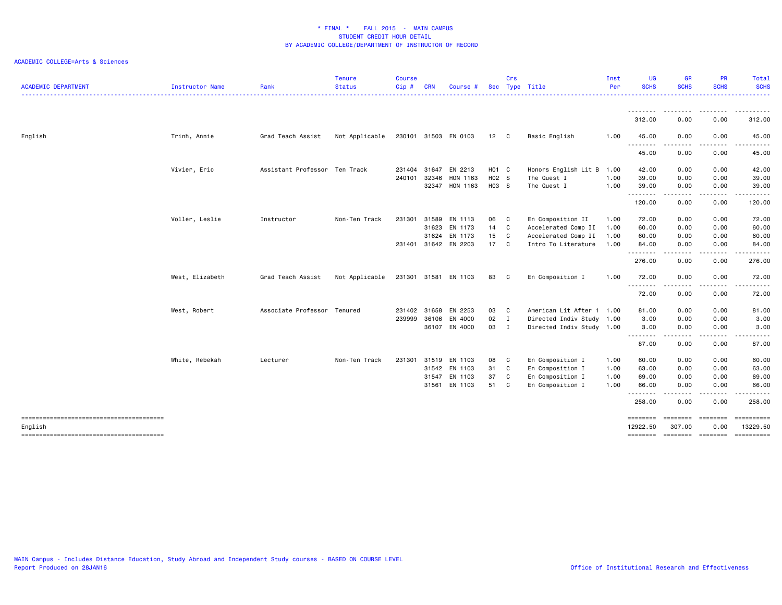| <b>ACADEMIC DEPARTMENT</b> | Instructor Name | Rank                          | <b>Tenure</b><br><b>Status</b> | <b>Course</b><br>Cip# | <b>CRN</b> | Course               |                   | Crs            | Sec Type Title            | Inst<br>Per | <b>UG</b><br><b>SCHS</b> | GR<br><b>SCHS</b>                                                                                                                 | <b>PR</b><br><b>SCHS</b> | Total<br><b>SCHS</b>                                                                                                                                                                                                                                                                                                                                                                                                                                                                            |
|----------------------------|-----------------|-------------------------------|--------------------------------|-----------------------|------------|----------------------|-------------------|----------------|---------------------------|-------------|--------------------------|-----------------------------------------------------------------------------------------------------------------------------------|--------------------------|-------------------------------------------------------------------------------------------------------------------------------------------------------------------------------------------------------------------------------------------------------------------------------------------------------------------------------------------------------------------------------------------------------------------------------------------------------------------------------------------------|
|                            |                 |                               |                                |                       |            |                      |                   |                |                           |             |                          |                                                                                                                                   |                          | $\frac{1}{2} \left( \frac{1}{2} \right) \left( \frac{1}{2} \right) \left( \frac{1}{2} \right) \left( \frac{1}{2} \right)$                                                                                                                                                                                                                                                                                                                                                                       |
|                            |                 |                               |                                |                       |            |                      |                   |                |                           |             | .<br>312.00              | $\frac{1}{2}$<br>.<br>0.00                                                                                                        | .<br>0.00                | $\frac{1}{2} \left( \frac{1}{2} \right) \left( \frac{1}{2} \right) \left( \frac{1}{2} \right) \left( \frac{1}{2} \right) \left( \frac{1}{2} \right) \left( \frac{1}{2} \right)$<br>312.00                                                                                                                                                                                                                                                                                                       |
| English                    | Trinh, Annie    | Grad Teach Assist             | Not Applicable                 |                       |            | 230101 31503 EN 0103 | 12                | $\mathbf{C}$   | Basic English             | 1.00        | 45.00                    | 0.00                                                                                                                              | 0.00                     | 45.00                                                                                                                                                                                                                                                                                                                                                                                                                                                                                           |
|                            |                 |                               |                                |                       |            |                      |                   |                |                           |             | .<br>45.00               | $\frac{1}{2} \left( \frac{1}{2} \right) \left( \frac{1}{2} \right) \left( \frac{1}{2} \right) \left( \frac{1}{2} \right)$<br>0.00 | -----<br>0.00            | ------<br>45.00                                                                                                                                                                                                                                                                                                                                                                                                                                                                                 |
|                            | Vivier, Eric    | Assistant Professor Ten Track |                                | 231404                | 31647      | EN 2213              | H <sub>01</sub> C |                | Honors English Lit B      | 1.00        | 42.00                    | 0.00                                                                                                                              | 0.00                     | 42.00                                                                                                                                                                                                                                                                                                                                                                                                                                                                                           |
|                            |                 |                               |                                | 240101                | 32346      | HON 1163             | H02 S             |                | The Quest I               | 1.00        | 39.00                    | 0.00                                                                                                                              | 0.00                     | 39.00                                                                                                                                                                                                                                                                                                                                                                                                                                                                                           |
|                            |                 |                               |                                |                       |            | 32347 HON 1163       | H03 S             |                | The Quest I               | 1.00        | 39.00<br>.               | 0.00<br>الداعات الداري                                                                                                            | 0.00<br>-----            | 39.00<br>$\begin{array}{cccccccccccccc} \multicolumn{2}{c}{} & \multicolumn{2}{c}{} & \multicolumn{2}{c}{} & \multicolumn{2}{c}{} & \multicolumn{2}{c}{} & \multicolumn{2}{c}{} & \multicolumn{2}{c}{} & \multicolumn{2}{c}{} & \multicolumn{2}{c}{} & \multicolumn{2}{c}{} & \multicolumn{2}{c}{} & \multicolumn{2}{c}{} & \multicolumn{2}{c}{} & \multicolumn{2}{c}{} & \multicolumn{2}{c}{} & \multicolumn{2}{c}{} & \multicolumn{2}{c}{} & \multicolumn{2}{c}{} & \multicolumn{2}{c}{} & \$ |
|                            |                 |                               |                                |                       |            |                      |                   |                |                           |             | 120.00                   | 0.00                                                                                                                              | 0.00                     | 120.00                                                                                                                                                                                                                                                                                                                                                                                                                                                                                          |
|                            | Voller, Leslie  | Instructor                    | Non-Ten Track                  | 231301                | 31589      | EN 1113              | 06                | C              | En Composition II         | 1.00        | 72.00                    | 0.00                                                                                                                              | 0.00                     | 72.00                                                                                                                                                                                                                                                                                                                                                                                                                                                                                           |
|                            |                 |                               |                                |                       | 31623      | EN 1173              | 14 C              |                | Accelerated Comp II       | 1.00        | 60.00                    | 0.00                                                                                                                              | 0.00                     | 60.00                                                                                                                                                                                                                                                                                                                                                                                                                                                                                           |
|                            |                 |                               |                                |                       |            | 31624 EN 1173        | 15                | C              | Accelerated Comp II       | 1.00        | 60.00                    | 0.00                                                                                                                              | 0.00                     | 60.00                                                                                                                                                                                                                                                                                                                                                                                                                                                                                           |
|                            |                 |                               |                                | 231401                |            | 31642 EN 2203        | 17 C              |                | Intro To Literature       | 1.00        | 84.00                    | 0.00<br>----                                                                                                                      | 0.00<br>.                | 84.00<br>.                                                                                                                                                                                                                                                                                                                                                                                                                                                                                      |
|                            |                 |                               |                                |                       |            |                      |                   |                |                           |             | 276.00                   | 0.00                                                                                                                              | 0.00                     | 276.00                                                                                                                                                                                                                                                                                                                                                                                                                                                                                          |
|                            | West, Elizabeth | Grad Teach Assist             | Not Applicable                 |                       |            | 231301 31581 EN 1103 | 83                | C              | En Composition I          | 1.00        | 72.00                    | 0.00                                                                                                                              | 0.00                     | 72.00                                                                                                                                                                                                                                                                                                                                                                                                                                                                                           |
|                            |                 |                               |                                |                       |            |                      |                   |                |                           |             | 72.00                    | 0.00                                                                                                                              | 0.00                     | 72.00                                                                                                                                                                                                                                                                                                                                                                                                                                                                                           |
|                            | West, Robert    | Associate Professor Tenured   |                                | 231402 31658          |            | EN 2253              | 03                | C              | American Lit After 1 1.00 |             | 81.00                    | 0.00                                                                                                                              | 0.00                     | 81.00                                                                                                                                                                                                                                                                                                                                                                                                                                                                                           |
|                            |                 |                               |                                | 239999                | 36106      | EN 4000              | 02                | $\blacksquare$ | Directed Indiv Study 1.00 |             | 3.00                     | 0.00                                                                                                                              | 0.00                     | 3.00                                                                                                                                                                                                                                                                                                                                                                                                                                                                                            |
|                            |                 |                               |                                |                       |            | 36107 EN 4000        | 03                | I              | Directed Indiv Study 1.00 |             | 3.00<br>.                | 0.00<br>.                                                                                                                         | 0.00                     | 3.00                                                                                                                                                                                                                                                                                                                                                                                                                                                                                            |
|                            |                 |                               |                                |                       |            |                      |                   |                |                           |             | 87.00                    | 0.00                                                                                                                              | 0.00                     | 87.00                                                                                                                                                                                                                                                                                                                                                                                                                                                                                           |
|                            | White, Rebekah  | Lecturer                      | Non-Ten Track                  | 231301                | 31519      | EN 1103              | 08                | C              | En Composition I          | 1.00        | 60.00                    | 0.00                                                                                                                              | 0.00                     | 60.00                                                                                                                                                                                                                                                                                                                                                                                                                                                                                           |
|                            |                 |                               |                                |                       | 31542      | EN 1103              | 31 C              |                | En Composition I          | 1.00        | 63.00                    | 0.00                                                                                                                              | 0.00                     | 63.00                                                                                                                                                                                                                                                                                                                                                                                                                                                                                           |
|                            |                 |                               |                                |                       | 31547      | EN 1103              | 37                | C              | En Composition I          | 1.00        | 69.00                    | 0.00                                                                                                                              | 0.00                     | 69.00                                                                                                                                                                                                                                                                                                                                                                                                                                                                                           |
|                            |                 |                               |                                |                       |            | 31561 EN 1103        | 51                | C              | En Composition I          | 1.00        | 66.00<br>.               | 0.00<br>$\frac{1}{2} \left( \frac{1}{2} \right) \left( \frac{1}{2} \right) \left( \frac{1}{2} \right) \left( \frac{1}{2} \right)$ | 0.00<br>.                | 66.00<br>.                                                                                                                                                                                                                                                                                                                                                                                                                                                                                      |
|                            |                 |                               |                                |                       |            |                      |                   |                |                           |             | 258.00                   | 0.00                                                                                                                              | 0.00                     | 258.00                                                                                                                                                                                                                                                                                                                                                                                                                                                                                          |
| English                    |                 |                               |                                |                       |            |                      |                   |                |                           |             | ========<br>12922.50     | ========<br>307.00                                                                                                                | <b>EEEEEEEE</b><br>0.00  | ==========<br>13229.50                                                                                                                                                                                                                                                                                                                                                                                                                                                                          |
|                            |                 |                               |                                |                       |            |                      |                   |                |                           |             | ========                 | ======== =======                                                                                                                  |                          |                                                                                                                                                                                                                                                                                                                                                                                                                                                                                                 |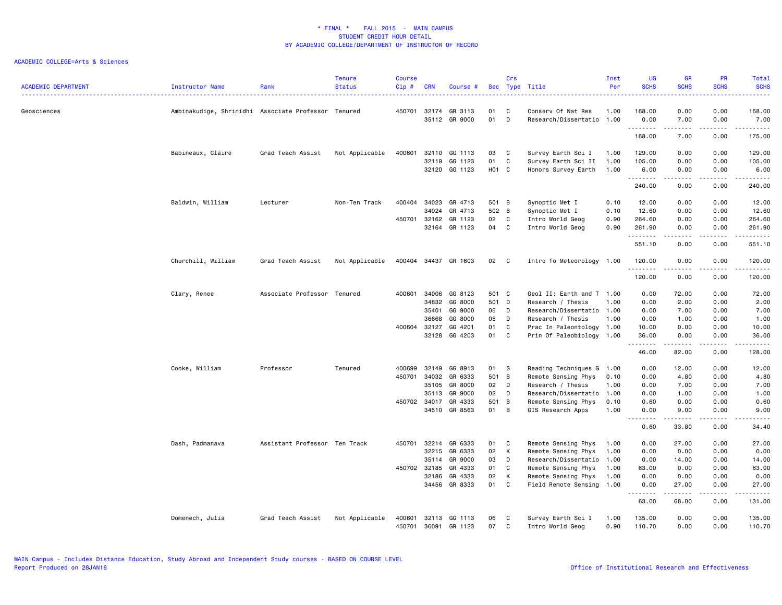| <b>ACADEMIC DEPARTMENT</b> | Instructor Name                                     | Rank                          | <b>Tenure</b><br><b>Status</b> | <b>Course</b><br>Cip# | <b>CRN</b> | Course #                 |          | Crs          | Sec Type Title                             | Inst<br>Per  | UG<br><b>SCHS</b>                                                                                                                                                                       | <b>GR</b><br><b>SCHS</b>                                                                                                                                     | PR<br><b>SCHS</b>                                                                                                                 | Total<br><b>SCHS</b><br>.                                                                                                                                                               |
|----------------------------|-----------------------------------------------------|-------------------------------|--------------------------------|-----------------------|------------|--------------------------|----------|--------------|--------------------------------------------|--------------|-----------------------------------------------------------------------------------------------------------------------------------------------------------------------------------------|--------------------------------------------------------------------------------------------------------------------------------------------------------------|-----------------------------------------------------------------------------------------------------------------------------------|-----------------------------------------------------------------------------------------------------------------------------------------------------------------------------------------|
| Geosciences                | Ambinakudige, Shrinidhi Associate Professor Tenured |                               |                                | 450701                | 32174      | GR 3113<br>35112 GR 9000 | 01<br>01 | C<br>D       | Conserv Of Nat Res<br>Research/Dissertatio | 1.00<br>1.00 | 168.00<br>0.00                                                                                                                                                                          | 0.00<br>7.00                                                                                                                                                 | 0.00<br>0.00                                                                                                                      | 168.00<br>7.00                                                                                                                                                                          |
|                            |                                                     |                               |                                |                       |            |                          |          |              |                                            |              | 168.00                                                                                                                                                                                  | $\frac{1}{2} \left( \frac{1}{2} \right) \left( \frac{1}{2} \right) \left( \frac{1}{2} \right) \left( \frac{1}{2} \right) \left( \frac{1}{2} \right)$<br>7.00 | .<br>0.00                                                                                                                         | .<br>175.00                                                                                                                                                                             |
|                            |                                                     |                               |                                |                       |            |                          |          |              |                                            |              |                                                                                                                                                                                         |                                                                                                                                                              |                                                                                                                                   |                                                                                                                                                                                         |
|                            | Babineaux, Claire                                   | Grad Teach Assist             | Not Applicable                 | 400601                | 32110      | GG 1113                  | 03       | C            | Survey Earth Sci I                         | 1.00         | 129.00                                                                                                                                                                                  | 0.00                                                                                                                                                         | 0.00                                                                                                                              | 129.00                                                                                                                                                                                  |
|                            |                                                     |                               |                                |                       | 32119      | GG 1123                  | 01       | C            | Survey Earth Sci II                        | 1.00         | 105.00                                                                                                                                                                                  | 0.00                                                                                                                                                         | 0.00                                                                                                                              | 105.00                                                                                                                                                                                  |
|                            |                                                     |                               |                                |                       | 32120      | GG 1123                  | H01 C    |              | Honors Survey Earth                        | 1.00         | 6.00                                                                                                                                                                                    | 0.00                                                                                                                                                         | 0.00                                                                                                                              | 6.00<br>$\frac{1}{2} \left( \frac{1}{2} \right) \left( \frac{1}{2} \right) \left( \frac{1}{2} \right) \left( \frac{1}{2} \right) \left( \frac{1}{2} \right) \left( \frac{1}{2} \right)$ |
|                            |                                                     |                               |                                |                       |            |                          |          |              |                                            |              | 240.00                                                                                                                                                                                  | 0.00                                                                                                                                                         | 0.00                                                                                                                              | 240.00                                                                                                                                                                                  |
|                            | Baldwin, William                                    | Lecturer                      | Non-Ten Track                  | 400404                | 34023      | GR 4713                  | 501 B    |              | Synoptic Met I                             | 0.10         | 12.00                                                                                                                                                                                   | 0.00                                                                                                                                                         | 0.00                                                                                                                              | 12.00                                                                                                                                                                                   |
|                            |                                                     |                               |                                |                       | 34024      | GR 4713                  | 502 B    |              | Synoptic Met I                             | 0.10         | 12.60                                                                                                                                                                                   | 0.00                                                                                                                                                         | 0.00                                                                                                                              | 12.60                                                                                                                                                                                   |
|                            |                                                     |                               |                                | 450701                | 32162      | GR 1123                  | 02       | C            | Intro World Geog                           | 0.90         | 264.60                                                                                                                                                                                  | 0.00                                                                                                                                                         | 0.00                                                                                                                              | 264.60                                                                                                                                                                                  |
|                            |                                                     |                               |                                |                       | 32164      | GR 1123                  | 04       | C            | Intro World Geog                           | 0.90         | 261.90<br>. <b>.</b> .                                                                                                                                                                  | 0.00                                                                                                                                                         | 0.00<br>$\frac{1}{2} \left( \frac{1}{2} \right) \left( \frac{1}{2} \right) \left( \frac{1}{2} \right) \left( \frac{1}{2} \right)$ | 261.90<br>.                                                                                                                                                                             |
|                            |                                                     |                               |                                |                       |            |                          |          |              |                                            |              | 551.10                                                                                                                                                                                  | $\cdots$<br>0.00                                                                                                                                             | 0.00                                                                                                                              | 551.10                                                                                                                                                                                  |
|                            | Churchill, William                                  | Grad Teach Assist             | Not Applicable                 |                       |            | 400404 34437 GR 1603     | 02       | $\mathbf{C}$ | Intro To Meteorology 1.00                  |              | 120.00<br>.                                                                                                                                                                             | 0.00                                                                                                                                                         | 0.00<br>$  -$                                                                                                                     | 120.00<br><u>.</u>                                                                                                                                                                      |
|                            |                                                     |                               |                                |                       |            |                          |          |              |                                            |              | 120.00                                                                                                                                                                                  | 0.00                                                                                                                                                         | 0.00                                                                                                                              | 120.00                                                                                                                                                                                  |
|                            | Clary, Renee                                        | Associate Professor Tenured   |                                | 400601                | 34006      | GG 8123                  | 501 C    |              | Geol II: Earth and T 1.00                  |              | 0.00                                                                                                                                                                                    | 72.00                                                                                                                                                        | 0.00                                                                                                                              | 72.00                                                                                                                                                                                   |
|                            |                                                     |                               |                                |                       | 34832      | GG 8000                  | 501 D    |              | Research / Thesis                          | 1.00         | 0.00                                                                                                                                                                                    | 2.00                                                                                                                                                         | 0.00                                                                                                                              | 2.00                                                                                                                                                                                    |
|                            |                                                     |                               |                                |                       | 35401      | GG 9000                  | 05       | D            | Research/Dissertatio                       | 1.00         | 0.00                                                                                                                                                                                    | 7.00                                                                                                                                                         | 0.00                                                                                                                              | 7.00                                                                                                                                                                                    |
|                            |                                                     |                               |                                |                       | 36668      | GG 8000                  | 05       | D            | Research / Thesis                          | 1.00         | 0.00                                                                                                                                                                                    | 1.00                                                                                                                                                         | 0.00                                                                                                                              | 1.00                                                                                                                                                                                    |
|                            |                                                     |                               |                                | 400604 32127          |            | GG 4201                  | 01       | C            | Prac In Paleontology 1.00                  |              | 10.00                                                                                                                                                                                   | 0.00                                                                                                                                                         | 0.00                                                                                                                              | 10.00                                                                                                                                                                                   |
|                            |                                                     |                               |                                |                       | 32128      | GG 4203                  | 01       | C            | Prin Of Paleobiology                       | 1.00         | 36.00<br>.                                                                                                                                                                              | 0.00<br>.                                                                                                                                                    | 0.00<br>.                                                                                                                         | 36.00<br>------                                                                                                                                                                         |
|                            |                                                     |                               |                                |                       |            |                          |          |              |                                            |              | 46.00                                                                                                                                                                                   | 82.00                                                                                                                                                        | 0.00                                                                                                                              | 128.00                                                                                                                                                                                  |
|                            | Cooke, William                                      | Professor                     | Tenured                        | 400699                | 32149      | GG 8913                  | 01       | s.           | Reading Techniques G 1.00                  |              | 0.00                                                                                                                                                                                    | 12.00                                                                                                                                                        | 0.00                                                                                                                              | 12.00                                                                                                                                                                                   |
|                            |                                                     |                               |                                | 450701                | 34032      | GR 6333                  | 501 B    |              | Remote Sensing Phys                        | 0.10         | 0.00                                                                                                                                                                                    | 4.80                                                                                                                                                         | 0.00                                                                                                                              | 4.80                                                                                                                                                                                    |
|                            |                                                     |                               |                                |                       | 35105      | GR 8000                  | 02       | D            | Research / Thesis                          | 1.00         | 0.00                                                                                                                                                                                    | 7.00                                                                                                                                                         | 0.00                                                                                                                              | 7.00                                                                                                                                                                                    |
|                            |                                                     |                               |                                |                       | 35113      | GR 9000                  | 02       | D            | Research/Dissertatio                       | 1.00         | 0.00                                                                                                                                                                                    | 1.00                                                                                                                                                         | 0.00                                                                                                                              | 1.00                                                                                                                                                                                    |
|                            |                                                     |                               |                                | 450702                | 34017      | GR 4333                  | 501      | B            | Remote Sensing Phys                        | 0.10         | 0.60                                                                                                                                                                                    | 0.00                                                                                                                                                         | 0.00                                                                                                                              | 0.60                                                                                                                                                                                    |
|                            |                                                     |                               |                                |                       |            | 34510 GR 8563            | 01       | B            | GIS Research Apps                          | 1.00         | 0.00<br>.                                                                                                                                                                               | 9.00<br>.                                                                                                                                                    | 0.00<br>د د د د                                                                                                                   | 9.00<br>.                                                                                                                                                                               |
|                            |                                                     |                               |                                |                       |            |                          |          |              |                                            |              | 0.60                                                                                                                                                                                    | 33.80                                                                                                                                                        | 0.00                                                                                                                              | 34.40                                                                                                                                                                                   |
|                            | Dash, Padmanava                                     | Assistant Professor Ten Track |                                | 450701                | 32214      | GR 6333                  | 01       | C            | Remote Sensing Phys                        | 1.00         | 0.00                                                                                                                                                                                    | 27.00                                                                                                                                                        | 0.00                                                                                                                              | 27.00                                                                                                                                                                                   |
|                            |                                                     |                               |                                |                       | 32215      | GR 6333                  | 02       | К            | Remote Sensing Phys                        | 1.00         | 0.00                                                                                                                                                                                    | 0.00                                                                                                                                                         | 0.00                                                                                                                              | 0.00                                                                                                                                                                                    |
|                            |                                                     |                               |                                |                       | 35114      | GR 9000                  | 03       | D            | Research/Dissertatio                       | 1.00         | 0.00                                                                                                                                                                                    | 14.00                                                                                                                                                        | 0.00                                                                                                                              | 14.00                                                                                                                                                                                   |
|                            |                                                     |                               |                                | 450702 32185          |            | GR 4333                  | 01       | C            | Remote Sensing Phys                        | 1.00         | 63.00                                                                                                                                                                                   | 0.00                                                                                                                                                         | 0.00                                                                                                                              | 63.00                                                                                                                                                                                   |
|                            |                                                     |                               |                                |                       | 32186      | GR 4333                  | 02       | К            | Remote Sensing Phys                        | 1.00         | 0.00                                                                                                                                                                                    | 0.00                                                                                                                                                         | 0.00                                                                                                                              | 0.00                                                                                                                                                                                    |
|                            |                                                     |                               |                                |                       |            | 34456 GR 8333            | 01       | C            | Field Remote Sensing                       | 1.00         | 0.00<br>$\frac{1}{2} \left( \frac{1}{2} \right) \left( \frac{1}{2} \right) \left( \frac{1}{2} \right) \left( \frac{1}{2} \right) \left( \frac{1}{2} \right) \left( \frac{1}{2} \right)$ | 27.00<br>.                                                                                                                                                   | 0.00<br>.                                                                                                                         | 27.00<br>$\begin{array}{cccccccccccccc} \bullet & \bullet & \bullet & \bullet & \bullet & \bullet & \bullet & \bullet \end{array}$                                                      |
|                            |                                                     |                               |                                |                       |            |                          |          |              |                                            |              | 63.00                                                                                                                                                                                   | 68.00                                                                                                                                                        | 0.00                                                                                                                              | 131.00                                                                                                                                                                                  |
|                            | Domenech, Julia                                     | Grad Teach Assist             | Not Applicable                 | 400601                | 32113      | GG 1113                  | 06       | C            | Survey Earth Sci I                         | 1.00         | 135.00                                                                                                                                                                                  | 0.00                                                                                                                                                         | 0.00                                                                                                                              | 135.00                                                                                                                                                                                  |
|                            |                                                     |                               |                                | 450701                | 36091      | GR 1123                  | 07       | C            | Intro World Geog                           | 0.90         | 110.70                                                                                                                                                                                  | 0.00                                                                                                                                                         | 0.00                                                                                                                              | 110.70                                                                                                                                                                                  |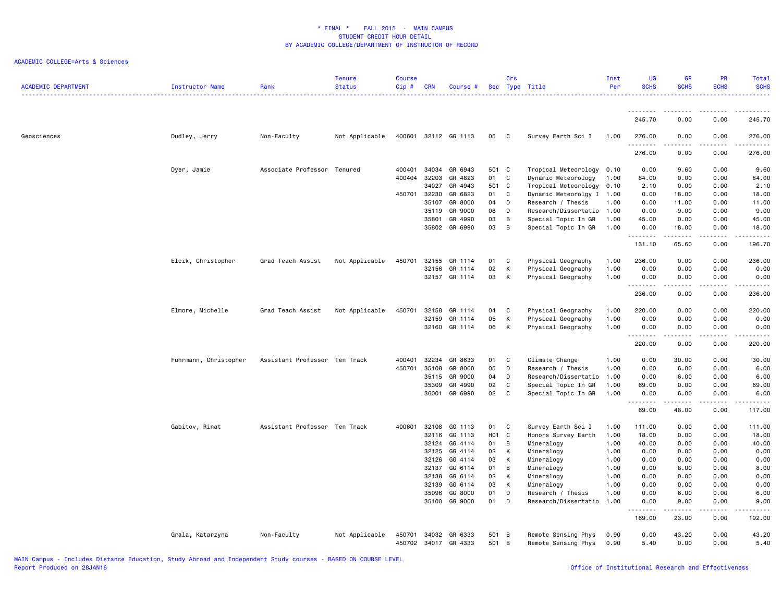| <b>ACADEMIC DEPARTMENT</b><br><b>Instructor Name</b> | Rank                          | <b>Tenure</b><br><b>Status</b> | <b>Course</b><br>Cip# | <b>CRN</b>     | Course #             |                  | Crs          | Sec Type Title                             | Inst<br>Per  | UG<br><b>SCHS</b>  | <b>GR</b><br><b>SCHS</b> | <b>PR</b><br><b>SCHS</b> | Total<br><b>SCHS</b>                                                                                                               |
|------------------------------------------------------|-------------------------------|--------------------------------|-----------------------|----------------|----------------------|------------------|--------------|--------------------------------------------|--------------|--------------------|--------------------------|--------------------------|------------------------------------------------------------------------------------------------------------------------------------|
|                                                      |                               |                                |                       |                |                      |                  |              |                                            |              | <u>.</u>           |                          |                          | .                                                                                                                                  |
|                                                      |                               |                                |                       |                |                      |                  |              |                                            |              | 245.70             | 0.00                     | 0.00                     | 245.70                                                                                                                             |
| Dudley, Jerry<br>Geosciences                         | Non-Faculty                   | Not Applicable                 |                       |                | 400601 32112 GG 1113 | 05               | $\mathbf{C}$ | Survey Earth Sci I                         | 1.00         | 276.00<br><u>.</u> | 0.00                     | 0.00                     | 276.00<br>.                                                                                                                        |
|                                                      |                               |                                |                       |                |                      |                  |              |                                            |              | 276.00             | 0.00                     | 0.00                     | 276.00                                                                                                                             |
| Dyer, Jamie                                          | Associate Professor           | Tenured                        | 400401                | 34034          | GR 6943              | 501 C            |              | Tropical Meteorology 0.10                  |              | 0.00               | 9.60                     | 0.00                     | 9.60                                                                                                                               |
|                                                      |                               |                                | 400404                | 32203          | GR 4823              | 01               | C            | Dynamic Meteorology                        | 1.00         | 84.00              | 0.00                     | 0.00                     | 84.00                                                                                                                              |
|                                                      |                               |                                |                       | 34027          | GR 4943              | 501 C            |              | Tropical Meteorology                       | 0.10         | 2.10               | 0.00                     | 0.00                     | 2.10                                                                                                                               |
|                                                      |                               |                                | 450701                | 32230          | GR 6823              | 01               | C            | Dynamic Meteorolgy I 1.00                  |              | 0.00               | 18.00                    | 0.00                     | 18.00                                                                                                                              |
|                                                      |                               |                                |                       | 35107          | GR 8000              | 04               | D            | Research / Thesis                          | 1.00         | 0.00               | 11.00                    | 0.00                     | 11.00                                                                                                                              |
|                                                      |                               |                                |                       | 35119          | GR 9000              | 08               | D            | Research/Dissertatio 1.00                  |              | 0.00               | 9.00                     | 0.00                     | 9.00                                                                                                                               |
|                                                      |                               |                                |                       | 35801          | GR 4990              | 03               | В            | Special Topic In GR                        | 1.00         | 45.00              | 0.00                     | 0.00                     | 45.00                                                                                                                              |
|                                                      |                               |                                |                       | 35802          | GR 6990              | 03               | В            | Special Topic In GR                        | 1.00         | 0.00<br>.          | 18.00                    | 0.00                     | 18.00<br>$\frac{1}{2} \left( \frac{1}{2} \right) \left( \frac{1}{2} \right) \left( \frac{1}{2} \right) \left( \frac{1}{2} \right)$ |
|                                                      |                               |                                |                       |                |                      |                  |              |                                            |              | 131.10             | 65.60                    | 0.00                     | 196.70                                                                                                                             |
| Elcik, Christopher                                   | Grad Teach Assist             | Not Applicable                 | 450701                | 32155          | GR 1114              | 01               | C            | Physical Geography                         | 1.00         | 236.00             | 0.00                     | 0.00                     | 236.00                                                                                                                             |
|                                                      |                               |                                |                       | 32156          | GR 1114              | 02               | К            | Physical Geography                         | 1.00         | 0.00               | 0.00                     | 0.00                     | 0.00                                                                                                                               |
|                                                      |                               |                                |                       |                | 32157 GR 1114        | 03               | K            | Physical Geography                         | 1.00         | 0.00               | 0.00                     | 0.00                     | 0.00<br>.                                                                                                                          |
|                                                      |                               |                                |                       |                |                      |                  |              |                                            |              | 236.00             | 0.00                     | 0.00                     | 236.00                                                                                                                             |
| Elmore, Michelle                                     | Grad Teach Assist             | Not Applicable                 | 450701                | 32158          | GR 1114              | 04               | C            | Physical Geography                         | 1.00         | 220.00             | 0.00                     | 0.00                     | 220.00                                                                                                                             |
|                                                      |                               |                                |                       | 32159          | GR 1114              | 05               | К            | Physical Geography                         | 1.00         | 0.00               | 0.00                     | 0.00                     | 0.00                                                                                                                               |
|                                                      |                               |                                |                       | 32160          | GR 1114              | 06               | К            | Physical Geography                         | 1.00         | 0.00<br>.          | 0.00                     | 0.00                     | 0.00<br>.                                                                                                                          |
|                                                      |                               |                                |                       |                |                      |                  |              |                                            |              | 220.00             | 0.00                     | 0.00                     | 220.00                                                                                                                             |
| Fuhrmann, Christopher                                | Assistant Professor Ten Track |                                | 400401                | 32234          | GR 8633              | 01               | C            | Climate Change                             | 1.00         | 0.00               | 30.00                    | 0.00                     | 30.00                                                                                                                              |
|                                                      |                               |                                | 450701                | 35108          | GR 8000              | 05               | D            | Research / Thesis                          | 1.00         | 0.00               | 6.00                     | 0.00                     | 6.00                                                                                                                               |
|                                                      |                               |                                |                       | 35115          | GR 9000              | 04               | D            | Research/Dissertatio                       | 1.00         | 0.00               | 6.00                     | 0.00                     | 6.00                                                                                                                               |
|                                                      |                               |                                |                       | 35309          | GR 4990              | 02               | C            | Special Topic In GR                        | 1.00         | 69.00              | 0.00                     | 0.00                     | 69.00                                                                                                                              |
|                                                      |                               |                                |                       | 36001          | GR 6990              | 02               | C            | Special Topic In GR                        | 1.00         | 0.00<br>.          | 6.00<br>-----            | 0.00<br>.                | 6.00<br>.                                                                                                                          |
|                                                      |                               |                                |                       |                |                      |                  |              |                                            |              | 69.00              | 48.00                    | 0.00                     | 117.00                                                                                                                             |
| Gabitov, Rinat                                       | Assistant Professor Ten Track |                                | 400601                | 32108          | GG 1113              | 01               | C            | Survey Earth Sci I                         | 1.00         | 111.00             | 0.00                     | 0.00                     | 111.00                                                                                                                             |
|                                                      |                               |                                |                       | 32116          | GG 1113              | H <sub>0</sub> 1 | C            | Honors Survey Earth                        | 1.00         | 18.00              | 0.00                     | 0.00                     | 18.00                                                                                                                              |
|                                                      |                               |                                |                       | 32124          | GG 4114              | 01               | В            | Mineralogy                                 | 1.00         | 40.00              | 0.00                     | 0.00                     | 40.00                                                                                                                              |
|                                                      |                               |                                |                       | 32125          | GG 4114              | 02               | К            | Mineralogy                                 | 1.00         | 0.00               | 0.00                     | 0.00                     | 0.00                                                                                                                               |
|                                                      |                               |                                |                       | 32126          | GG 4114              | 03               | К            | Mineralogy                                 | 1.00         | 0.00               | 0.00                     | 0.00                     | 0.00                                                                                                                               |
|                                                      |                               |                                |                       | 32137          | GG 6114              | 01               | B            | Mineralogy                                 | 1.00         | 0.00               | 8.00                     | 0.00                     | 8.00                                                                                                                               |
|                                                      |                               |                                |                       | 32138          | GG 6114              | 02               | К            | Mineralogy                                 | 1.00         | 0.00               | 0.00                     | 0.00                     | 0.00                                                                                                                               |
|                                                      |                               |                                |                       | 32139          | GG 6114              | 03               | К            | Mineralogy                                 | 1.00         | 0.00               | 0.00                     | 0.00                     | 0.00                                                                                                                               |
|                                                      |                               |                                |                       | 35096          | GG 8000              | 01               | D            | Research / Thesis                          | 1.00         | 0.00               | 6.00                     | 0.00                     | 6.00                                                                                                                               |
|                                                      |                               |                                |                       |                | 35100 GG 9000        | 01               | D            | Research/Dissertatio                       | 1.00         | 0.00<br><u>.</u>   | 9.00<br>.                | 0.00<br>$\frac{1}{2}$    | 9.00                                                                                                                               |
|                                                      |                               |                                |                       |                |                      |                  |              |                                            |              | 169.00             | 23.00                    | 0.00                     | 192.00                                                                                                                             |
| Grala, Katarzyna                                     | Non-Faculty                   | Not Applicable                 | 450701<br>450702      | 34032<br>34017 | GR 6333<br>GR 4333   | 501 B<br>501     | B            | Remote Sensing Phys<br>Remote Sensing Phys | 0.90<br>0.90 | 0.00<br>5.40       | 43.20<br>0.00            | 0.00<br>0.00             | 43.20<br>5.40                                                                                                                      |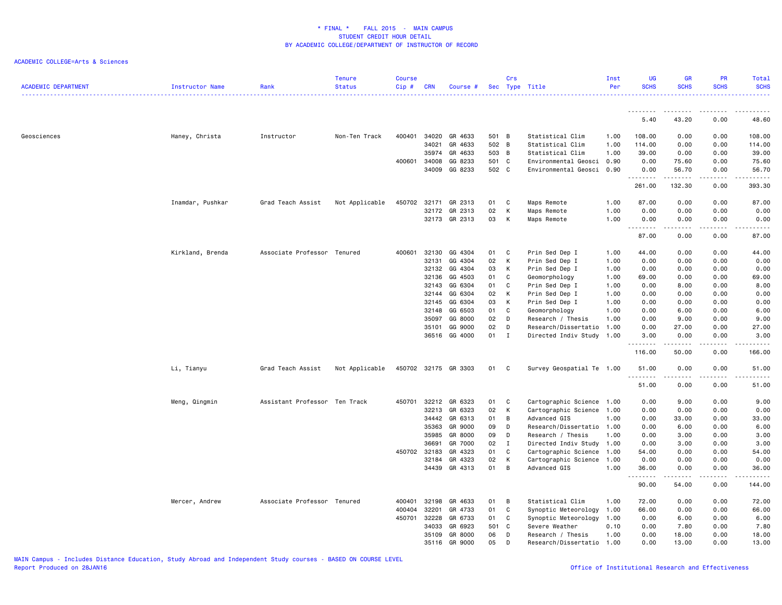| <b>ACADEMIC DEPARTMENT</b> | <b>Instructor Name</b> | Rank                          | Tenure<br><b>Status</b> | <b>Course</b><br>Cip# | <b>CRN</b> | Course #      |       | Crs         | Sec Type Title            | Inst<br>Per | <b>UG</b><br><b>SCHS</b> | <b>GR</b><br><b>SCHS</b> | <b>PR</b><br><b>SCHS</b> | Total<br><b>SCHS</b> |
|----------------------------|------------------------|-------------------------------|-------------------------|-----------------------|------------|---------------|-------|-------------|---------------------------|-------------|--------------------------|--------------------------|--------------------------|----------------------|
|                            |                        |                               |                         |                       |            |               |       |             |                           |             | 5.40                     | .<br>43.20               | 0.00                     | 48.60                |
|                            |                        |                               |                         |                       |            |               |       |             |                           |             |                          |                          |                          |                      |
| Geosciences                | Haney, Christa         | Instructor                    | Non-Ten Track           | 400401                | 34020      | GR 4633       | 501 B |             | Statistical Clim          | 1.00        | 108.00                   | 0.00                     | 0.00                     | 108.00               |
|                            |                        |                               |                         |                       | 34021      | GR 4633       | 502 B |             | Statistical Clim          | 1.00        | 114.00                   | 0.00                     | 0.00                     | 114.00               |
|                            |                        |                               |                         |                       | 35974      | GR 4633       | 503 B |             | Statistical Clim          | 1.00        | 39.00                    | 0.00                     | 0.00                     | 39.00                |
|                            |                        |                               |                         | 400601                | 34008      | GG 8233       | 501 C |             | Environmental Geosci      | 0.90        | 0.00                     | 75.60                    | 0.00                     | 75.60                |
|                            |                        |                               |                         |                       | 34009      | GG 8233       | 502 C |             | Environmental Geosci      | 0.90        | 0.00<br>.                | 56.70<br>.               | 0.00                     | 56.70                |
|                            |                        |                               |                         |                       |            |               |       |             |                           |             | 261.00                   | 132.30                   | 0.00                     | 393.30               |
|                            | Inamdar, Pushkar       | Grad Teach Assist             | Not Applicable          | 450702                | 32171      | GR 2313       | 01    | C           | Maps Remote               | 1.00        | 87.00                    | 0.00                     | 0.00                     | 87.00                |
|                            |                        |                               |                         |                       | 32172      | GR 2313       | 02    | К           | Maps Remote               | 1.00        | 0.00                     | 0.00                     | 0.00                     | 0.00                 |
|                            |                        |                               |                         |                       |            | 32173 GR 2313 | 03    | К           | Maps Remote               | 1.00        | 0.00                     | 0.00                     | 0.00                     | 0.00                 |
|                            |                        |                               |                         |                       |            |               |       |             |                           |             | .<br>87.00               | .<br>0.00                | .<br>0.00                | .<br>87.00           |
|                            |                        | Associate Professor Tenured   |                         | 400601                | 32130      | GG 4304       | 01    | C           | Prin Sed Dep I            | 1.00        | 44.00                    | 0.00                     | 0.00                     | 44.00                |
|                            | Kirkland, Brenda       |                               |                         |                       | 32131      | GG 4304       | 02    | K           | Prin Sed Dep I            | 1.00        | 0.00                     | 0.00                     | 0.00                     | 0.00                 |
|                            |                        |                               |                         |                       | 32132      | GG 4304       | 03    | K           | Prin Sed Dep I            | 1.00        | 0.00                     | 0.00                     | 0.00                     | 0.00                 |
|                            |                        |                               |                         |                       | 32136      | GG 4503       | 01    | C           | Geomorphology             | 1.00        | 69.00                    | 0.00                     | 0.00                     | 69.00                |
|                            |                        |                               |                         |                       | 32143      | GG 6304       | 01    | C           | Prin Sed Dep I            | 1.00        | 0.00                     | 8.00                     | 0.00                     | 8.00                 |
|                            |                        |                               |                         |                       | 32144      | GG 6304       | 02    | K           | Prin Sed Dep I            | 1.00        | 0.00                     | 0.00                     | 0.00                     | 0.00                 |
|                            |                        |                               |                         |                       | 32145      | GG 6304       | 03    | K           | Prin Sed Dep I            | 1.00        | 0.00                     | 0.00                     | 0.00                     | 0.00                 |
|                            |                        |                               |                         |                       | 32148      | GG 6503       | 01    | C           | Geomorphology             | 1.00        | 0.00                     | 6.00                     | 0.00                     | 6.00                 |
|                            |                        |                               |                         |                       | 35097      | GG 8000       | 02    | D           | Research / Thesis         | 1.00        | 0.00                     | 9.00                     | 0.00                     | 9.00                 |
|                            |                        |                               |                         |                       | 35101      | GG 9000       | 02    | D           | Research/Dissertatio      | 1.00        | 0.00                     | 27.00                    | 0.00                     | 27.00                |
|                            |                        |                               |                         |                       |            | 36516 GG 4000 | 01    | $\mathbf I$ | Directed Indiv Study 1.00 |             | 3.00<br>.                | 0.00<br>.                | 0.00<br>.                | 3.00<br>.            |
|                            |                        |                               |                         |                       |            |               |       |             |                           |             | 116.00                   | 50.00                    | 0.00                     | 166.00               |
|                            | Li, Tianyu             | Grad Teach Assist             | Not Applicable          | 450702                |            | 32175 GR 3303 | 01    | C           | Survey Geospatial Te 1.00 |             | 51.00<br>.               | 0.00<br>الداعات ب        | 0.00<br>.                | 51.00<br>.           |
|                            |                        |                               |                         |                       |            |               |       |             |                           |             | 51.00                    | 0.00                     | 0.00                     | 51.00                |
|                            | Meng, Qingmin          | Assistant Professor Ten Track |                         | 450701                | 32212      | GR 6323       | 01    | C           | Cartographic Science      | 1.00        | 0.00                     | 9.00                     | 0.00                     | 9.00                 |
|                            |                        |                               |                         |                       | 32213      | GR 6323       | 02    | K           | Cartographic Science      | 1.00        | 0.00                     | 0.00                     | 0.00                     | 0.00                 |
|                            |                        |                               |                         |                       | 34442      | GR 6313       | 01    | B           | Advanced GIS              | 1.00        | 0.00                     | 33.00                    | 0.00                     | 33.00                |
|                            |                        |                               |                         |                       | 35363      | GR 9000       | 09    | D           | Research/Dissertatio      | 1.00        | 0.00                     | 6.00                     | 0.00                     | 6.00                 |
|                            |                        |                               |                         |                       | 35985      | GR 8000       | 09    | D           | Research / Thesis         | 1.00        | 0.00                     | 3.00                     | 0.00                     | 3.00                 |
|                            |                        |                               |                         |                       | 36691      | GR 7000       | 02    | I           | Directed Indiv Study 1.00 |             | 0.00                     | 3.00                     | 0.00                     | 3.00                 |
|                            |                        |                               |                         | 450702                | 32183      | GR 4323       | 01    | C           | Cartographic Science      | 1.00        | 54.00                    | 0.00                     | 0.00                     | 54.00                |
|                            |                        |                               |                         |                       | 32184      | GR 4323       | 02    | К           | Cartographic Science      | 1.00        | 0.00                     | 0.00                     | 0.00                     | 0.00                 |
|                            |                        |                               |                         |                       |            | 34439 GR 4313 | 01    | B           | Advanced GIS              | 1.00        | 36.00<br><u>.</u>        | 0.00<br>.                | 0.00<br>.                | 36.00<br>.           |
|                            |                        |                               |                         |                       |            |               |       |             |                           |             | 90.00                    | 54.00                    | 0.00                     | 144.00               |
|                            | Mercer, Andrew         | Associate Professor           | Tenured                 | 400401                | 32198      | GR 4633       | 01    | B           | Statistical Clim          | 1.00        | 72.00                    | 0.00                     | 0.00                     | 72.00                |
|                            |                        |                               |                         | 400404                | 32201      | GR 4733       | 01    | C           | Synoptic Meteorology      | 1.00        | 66.00                    | 0.00                     | 0.00                     | 66.00                |
|                            |                        |                               |                         | 450701                | 32228      | GR 6733       | 01    | C           | Synoptic Meteorology      | 1.00        | 0.00                     | 6.00                     | 0.00                     | 6.00                 |
|                            |                        |                               |                         |                       | 34033      | GR 6923       | 501 C |             | Severe Weather            | 0.10        | 0.00                     | 7.80                     | 0.00                     | 7.80                 |
|                            |                        |                               |                         |                       | 35109      | GR 8000       | 06    | D           | Research / Thesis         | 1.00        | 0.00                     | 18.00                    | 0.00                     | 18.00                |
|                            |                        |                               |                         |                       | 35116      | GR 9000       | 05    | D           | Research/Dissertatio      | 1.00        | 0.00                     | 13.00                    | 0.00                     | 13.00                |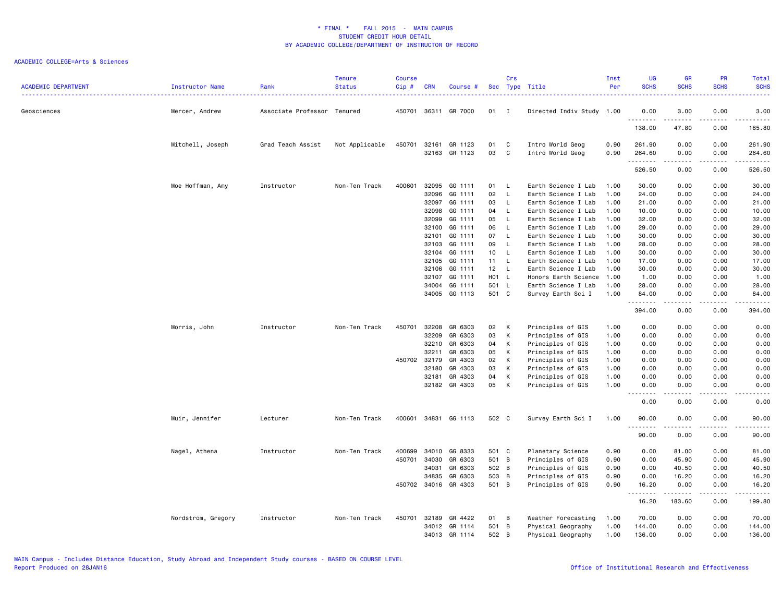| <b>ACADEMIC DEPARTMENT</b> | Instructor Name    | Rank                        | <b>Tenure</b><br><b>Status</b> | <b>Course</b><br>Cip# | <b>CRN</b>     | Course #             |                  | Crs            | Sec Type Title                             | Inst<br>Per  | <b>UG</b><br><b>SCHS</b> | <b>GR</b><br><b>SCHS</b>                                                                                                                                     | PR<br><b>SCHS</b>                                                                                                                 | Total<br><b>SCHS</b> |
|----------------------------|--------------------|-----------------------------|--------------------------------|-----------------------|----------------|----------------------|------------------|----------------|--------------------------------------------|--------------|--------------------------|--------------------------------------------------------------------------------------------------------------------------------------------------------------|-----------------------------------------------------------------------------------------------------------------------------------|----------------------|
| Geosciences                | Mercer, Andrew     | Associate Professor Tenured |                                |                       |                | 450701 36311 GR 7000 | 01               | $\mathbf{I}$   | Directed Indiv Study 1.00                  |              | 0.00                     | 3.00                                                                                                                                                         | 0.00                                                                                                                              | 3.00                 |
|                            |                    |                             |                                |                       |                |                      |                  |                |                                            |              | .<br>138.00              | .<br>47.80                                                                                                                                                   | $- - -$<br>0.00                                                                                                                   | .<br>185.80          |
|                            | Mitchell, Joseph   | Grad Teach Assist           | Not Applicable                 | 450701 32161          |                | GR 1123              | 01               | C              | Intro World Geog                           | 0.90         | 261.90                   | 0.00                                                                                                                                                         | 0.00                                                                                                                              | 261.90               |
|                            |                    |                             |                                |                       | 32163          | GR 1123              | 03               | C              | Intro World Geog                           | 0.90         | 264.60<br>.              | 0.00<br>-----                                                                                                                                                | 0.00<br>.                                                                                                                         | 264.60<br>------     |
|                            |                    |                             |                                |                       |                |                      |                  |                |                                            |              | 526.50                   | 0.00                                                                                                                                                         | 0.00                                                                                                                              | 526.50               |
|                            | Moe Hoffman, Amy   | Instructor                  | Non-Ten Track                  | 400601                | 32095<br>32096 | GG 1111<br>GG 1111   | 01<br>02         | L<br>L.        | Earth Science I Lab<br>Earth Science I Lab | 1.00<br>1.00 | 30.00<br>24.00           | 0.00<br>0.00                                                                                                                                                 | 0.00<br>0.00                                                                                                                      | 30.00<br>24.00       |
|                            |                    |                             |                                |                       | 32097          | GG 1111              | 03               | L.             | Earth Science I Lab                        | 1.00         | 21.00                    | 0.00                                                                                                                                                         | 0.00                                                                                                                              | 21.00                |
|                            |                    |                             |                                |                       | 32098          | GG 1111              | 04               | L              | Earth Science I Lab                        | 1.00         | 10.00                    | 0.00                                                                                                                                                         | 0.00                                                                                                                              | 10.00                |
|                            |                    |                             |                                |                       | 32099          | GG 1111              | 05               | L.             | Earth Science I Lab                        | 1.00         | 32.00                    | 0.00                                                                                                                                                         | 0.00                                                                                                                              | 32.00                |
|                            |                    |                             |                                |                       |                | GG 1111              | 06               | L.             |                                            | 1.00         |                          |                                                                                                                                                              |                                                                                                                                   |                      |
|                            |                    |                             |                                |                       | 32100          |                      |                  |                | Earth Science I Lab                        |              | 29.00                    | 0.00                                                                                                                                                         | 0.00                                                                                                                              | 29.00                |
|                            |                    |                             |                                |                       | 32101          | GG 1111              | 07               | L              | Earth Science I Lab                        | 1.00         | 30.00                    | 0.00                                                                                                                                                         | 0.00                                                                                                                              | 30.00                |
|                            |                    |                             |                                |                       | 32103          | GG 1111              | 09               | L              | Earth Science I Lab                        | 1.00         | 28.00                    | 0.00                                                                                                                                                         | 0.00                                                                                                                              | 28.00                |
|                            |                    |                             |                                |                       | 32104          | GG 1111              | 10               | L              | Earth Science I Lab                        | 1.00         | 30.00                    | 0.00                                                                                                                                                         | 0.00                                                                                                                              | 30.00                |
|                            |                    |                             |                                |                       | 32105          | GG 1111              | 11               | L              | Earth Science I Lab                        | 1.00         | 17.00                    | 0.00                                                                                                                                                         | 0.00                                                                                                                              | 17.00                |
|                            |                    |                             |                                |                       | 32106          | GG 1111              | 12               | L.             | Earth Science I Lab                        | 1.00         | 30.00                    | 0.00                                                                                                                                                         | 0.00                                                                                                                              | 30.00                |
|                            |                    |                             |                                |                       | 32107          | GG 1111              | H <sub>0</sub> 1 | - L            | Honors Earth Science                       | 1.00         | 1.00                     | 0.00                                                                                                                                                         | 0.00                                                                                                                              | 1.00                 |
|                            |                    |                             |                                |                       | 34004          | GG 1111              | 501              | L.             | Earth Science I Lab                        | 1.00         | 28.00                    | 0.00                                                                                                                                                         | 0.00                                                                                                                              | 28.00                |
|                            |                    |                             |                                |                       | 34005          | GG 1113              | 501 C            |                | Survey Earth Sci I                         | 1.00         | 84.00<br>.               | 0.00<br>$\omega = \omega = \omega$                                                                                                                           | 0.00<br>.                                                                                                                         | 84.00<br>------      |
|                            |                    |                             |                                |                       |                |                      |                  |                |                                            |              | 394.00                   | 0.00                                                                                                                                                         | 0.00                                                                                                                              | 394.00               |
|                            | Morris, John       | Instructor                  | Non-Ten Track                  | 450701                | 32208          | GR 6303              | 02               | К              | Principles of GIS                          | 1.00         | 0.00                     | 0.00                                                                                                                                                         | 0.00                                                                                                                              | 0.00                 |
|                            |                    |                             |                                |                       | 32209          | GR 6303              | 03               | К              | Principles of GIS                          | 1.00         | 0.00                     | 0.00                                                                                                                                                         | 0.00                                                                                                                              | 0.00                 |
|                            |                    |                             |                                |                       | 32210          | GR 6303              | 04               | К              | Principles of GIS                          | 1.00         | 0.00                     | 0.00                                                                                                                                                         | 0.00                                                                                                                              | 0.00                 |
|                            |                    |                             |                                |                       | 32211          | GR 6303              | 05               | К              | Principles of GIS                          | 1.00         | 0.00                     | 0.00                                                                                                                                                         | 0.00                                                                                                                              | 0.00                 |
|                            |                    |                             |                                |                       | 450702 32179   | GR 4303              | 02               | К              | Principles of GIS                          | 1.00         | 0.00                     | 0.00                                                                                                                                                         | 0.00                                                                                                                              | 0.00                 |
|                            |                    |                             |                                |                       | 32180          | GR 4303              | 03               | К              | Principles of GIS                          | 1.00         | 0.00                     | 0.00                                                                                                                                                         | 0.00                                                                                                                              | 0.00                 |
|                            |                    |                             |                                |                       | 32181          | GR 4303              | 04               | К              | Principles of GIS                          | 1.00         | 0.00                     | 0.00                                                                                                                                                         | 0.00                                                                                                                              | 0.00                 |
|                            |                    |                             |                                |                       |                | 32182 GR 4303        | 05               | K              | Principles of GIS                          | 1.00         | 0.00<br>$\sim$ $\sim$    | 0.00                                                                                                                                                         | 0.00<br>- - - -                                                                                                                   | 0.00<br>$- - -$      |
|                            |                    |                             |                                |                       |                |                      |                  |                |                                            |              | 0.00                     | 0.00                                                                                                                                                         | 0.00                                                                                                                              | 0.00                 |
|                            | Muir, Jennifer     | Lecturer                    | Non-Ten Track                  | 400601                |                | 34831 GG 1113        | 502 C            |                | Survey Earth Sci I                         | 1.00         | 90.00                    | 0.00                                                                                                                                                         | 0.00                                                                                                                              | 90.00                |
|                            |                    |                             |                                |                       |                |                      |                  |                |                                            |              | .<br>90.00               | $\frac{1}{2} \left( \frac{1}{2} \right) \left( \frac{1}{2} \right) \left( \frac{1}{2} \right) \left( \frac{1}{2} \right) \left( \frac{1}{2} \right)$<br>0.00 | .<br>0.00                                                                                                                         | المستسما<br>90.00    |
|                            | Nagel, Athena      | Instructor                  | Non-Ten Track                  | 400699                | 34010          | GG 8333              | 501              | $\mathbf{C}$   | Planetary Science                          | 0.90         | 0.00                     | 81.00                                                                                                                                                        | 0.00                                                                                                                              | 81.00                |
|                            |                    |                             |                                | 450701                | 34030          | GR 6303              | 501 B            |                | Principles of GIS                          | 0.90         | 0.00                     | 45.90                                                                                                                                                        | 0.00                                                                                                                              | 45.90                |
|                            |                    |                             |                                |                       | 34031          | GR 6303              | 502 B            |                | Principles of GIS                          | 0.90         | 0.00                     | 40.50                                                                                                                                                        | 0.00                                                                                                                              | 40.50                |
|                            |                    |                             |                                |                       | 34835          | GR 6303              | 503 B            |                | Principles of GIS                          | 0.90         | 0.00                     | 16.20                                                                                                                                                        | 0.00                                                                                                                              | 16.20                |
|                            |                    |                             |                                |                       | 450702 34016   | GR 4303              | 501 B            |                | Principles of GIS                          | 0.90         | 16.20                    | 0.00                                                                                                                                                         | 0.00                                                                                                                              | 16.20                |
|                            |                    |                             |                                |                       |                |                      |                  |                |                                            |              | .<br>16.20               | 183.60                                                                                                                                                       | $\frac{1}{2} \left( \frac{1}{2} \right) \left( \frac{1}{2} \right) \left( \frac{1}{2} \right) \left( \frac{1}{2} \right)$<br>0.00 | .<br>199.80          |
|                            | Nordstrom, Gregory | Instructor                  | Non-Ten Track                  | 450701                | 32189          | GR 4422              | 01               | $\overline{B}$ | Weather Forecasting                        | 1.00         | 70.00                    | 0.00                                                                                                                                                         | 0.00                                                                                                                              | 70.00                |
|                            |                    |                             |                                |                       | 34012          | GR 1114              | 501              | $\overline{B}$ | Physical Geography                         | 1.00         | 144.00                   | 0.00                                                                                                                                                         | 0.00                                                                                                                              | 144.00               |
|                            |                    |                             |                                |                       |                | 34013 GR 1114        | 502              | B              | Physical Geography                         | 1.00         | 136.00                   | 0.00                                                                                                                                                         | 0.00                                                                                                                              | 136.00               |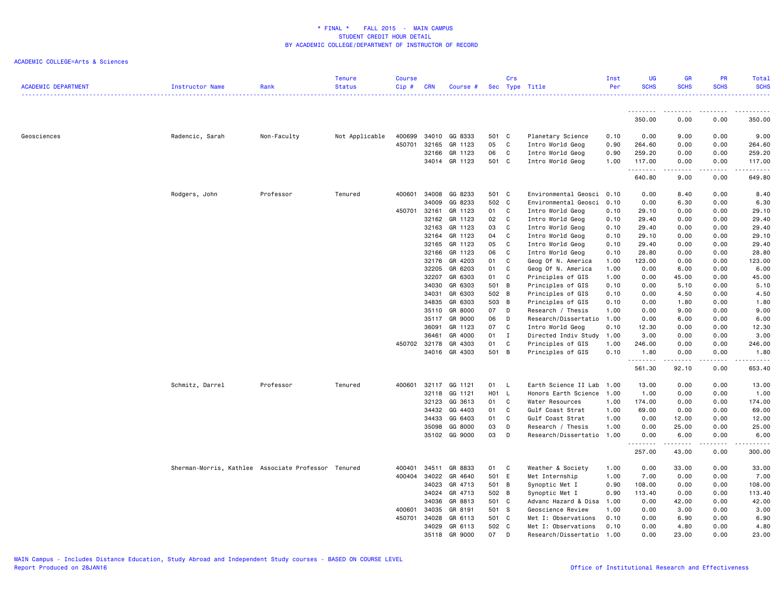| <b>ACADEMIC DEPARTMENT</b> | <b>Instructor Name</b>                              | Rank        | <b>Tenure</b><br><b>Status</b> | <b>Course</b><br>Cip# | <b>CRN</b> | Course #      |       | Crs            | Sec Type Title            | Inst<br>Per | UG<br><b>SCHS</b> | <b>GR</b><br><b>SCHS</b> | PR<br><b>SCHS</b> | Total<br><b>SCHS</b> |
|----------------------------|-----------------------------------------------------|-------------|--------------------------------|-----------------------|------------|---------------|-------|----------------|---------------------------|-------------|-------------------|--------------------------|-------------------|----------------------|
|                            |                                                     |             |                                |                       |            |               |       |                |                           |             | <u>.</u>          | ---------                | .                 |                      |
|                            |                                                     |             |                                |                       |            |               |       |                |                           |             | 350.00            | 0.00                     | 0.00              | 350.00               |
| Geosciences                | Radencic, Sarah                                     | Non-Faculty | Not Applicable                 | 400699                | 34010      | GG 8333       | 501 C |                | Planetary Science         | 0.10        | 0.00              | 9.00                     | 0.00              | 9.00                 |
|                            |                                                     |             |                                | 450701                | 32165      | GR 1123       | 05    | <b>C</b>       | Intro World Geog          | 0.90        | 264.60            | 0.00                     | 0.00              | 264.60               |
|                            |                                                     |             |                                |                       | 32166      | GR 1123       | 06    | C              | Intro World Geog          | 0.90        | 259.20            | 0.00                     | 0.00              | 259.20               |
|                            |                                                     |             |                                |                       |            | 34014 GR 1123 | 501 C |                | Intro World Geog          | 1.00        | 117.00<br>.       | 0.00                     | 0.00<br>.         | 117.00<br>.          |
|                            |                                                     |             |                                |                       |            |               |       |                |                           |             | 640.80            | 9.00                     | 0.00              | 649.80               |
|                            | Rodgers, John                                       | Professor   | Tenured                        | 400601                | 34008      | GG 8233       | 501 C |                | Environmental Geosci 0.10 |             | 0.00              | 8.40                     | 0.00              | 8.40                 |
|                            |                                                     |             |                                |                       | 34009      | GG 8233       | 502 C |                | Environmental Geosci      | 0.10        | 0.00              | 6.30                     | 0.00              | 6.30                 |
|                            |                                                     |             |                                | 450701                | 32161      | GR 1123       | 01    | C              | Intro World Geog          | 0.10        | 29.10             | 0.00                     | 0.00              | 29.10                |
|                            |                                                     |             |                                |                       | 32162      | GR 1123       | 02    | C              | Intro World Geog          | 0.10        | 29.40             | 0.00                     | 0.00              | 29.40                |
|                            |                                                     |             |                                |                       | 32163      | GR 1123       | 03    | C              | Intro World Geog          | 0.10        | 29.40             | 0.00                     | 0.00              | 29.40                |
|                            |                                                     |             |                                |                       | 32164      | GR 1123       | 04    | C              | Intro World Geog          | 0.10        | 29.10             | 0.00                     | 0.00              | 29.10                |
|                            |                                                     |             |                                |                       | 32165      | GR 1123       | 05    | C              | Intro World Geog          | 0.10        | 29.40             | 0.00                     | 0.00              | 29.40                |
|                            |                                                     |             |                                |                       | 32166      | GR 1123       | 06    | C              | Intro World Geog          | 0.10        | 28.80             | 0.00                     | 0.00              | 28.80                |
|                            |                                                     |             |                                |                       | 32176      | GR 4203       | 01    | C              | Geog Of N. America        | 1.00        | 123.00            | 0.00                     | 0.00              | 123.00               |
|                            |                                                     |             |                                |                       | 32205      | GR 6203       | 01    | C              | Geog Of N. America        | 1.00        | 0.00              | 6.00                     | 0.00              | 6.00                 |
|                            |                                                     |             |                                |                       | 32207      | GR 6303       | 01    | C              | Principles of GIS         | 1.00        | 0.00              | 45.00                    | 0.00              | 45.00                |
|                            |                                                     |             |                                |                       | 34030      | GR 6303       | 501   | $\overline{B}$ | Principles of GIS         | 0.10        | 0.00              | 5.10                     | 0.00              | 5.10                 |
|                            |                                                     |             |                                |                       | 34031      | GR 6303       | 502 B |                | Principles of GIS         | 0.10        | 0.00              | 4.50                     | 0.00              | 4.50                 |
|                            |                                                     |             |                                |                       | 34835      | GR 6303       | 503 B |                | Principles of GIS         | 0.10        | 0.00              | 1.80                     | 0.00              | 1.80                 |
|                            |                                                     |             |                                |                       | 35110      | GR 8000       | 07    | D              | Research / Thesis         | 1.00        | 0.00              | 9.00                     | 0.00              | 9.00                 |
|                            |                                                     |             |                                |                       | 35117      | GR 9000       | 06    | D              | Research/Dissertatio      | 1.00        | 0.00              | 6.00                     | 0.00              | 6.00                 |
|                            |                                                     |             |                                |                       | 36091      | GR 1123       | 07    | C              | Intro World Geog          | 0.10        | 12.30             | 0.00                     | 0.00              | 12.30                |
|                            |                                                     |             |                                |                       | 36461      | GR 4000       | 01    | $\mathbf I$    | Directed Indiv Study      | 1.00        | 3.00              | 0.00                     | 0.00              | 3.00                 |
|                            |                                                     |             |                                | 450702                | 32178      | GR 4303       | 01    | C              | Principles of GIS         | 1.00        | 246.00            | 0.00                     | 0.00              | 246.00               |
|                            |                                                     |             |                                |                       |            | 34016 GR 4303 | 501 B |                | Principles of GIS         | 0.10        | 1.80<br>.         | 0.00<br>المستسما         | 0.00<br>.         | 1.80<br>.            |
|                            |                                                     |             |                                |                       |            |               |       |                |                           |             | 561.30            | 92.10                    | 0.00              | 653.40               |
|                            | Schmitz, Darrel                                     | Professor   | Tenured                        | 400601                | 32117      | GG 1121       | 01 L  |                | Earth Science II Lab 1.00 |             | 13.00             | 0.00                     | 0.00              | 13.00                |
|                            |                                                     |             |                                |                       | 32118      | GG 1121       | H01 L |                | Honors Earth Science      | 1.00        | 1.00              | 0.00                     | 0.00              | 1.00                 |
|                            |                                                     |             |                                |                       | 32123      | GG 3613       | 01    | C              | Water Resources           | 1.00        | 174.00            | 0.00                     | 0.00              | 174.00               |
|                            |                                                     |             |                                |                       | 34432      | GG 4403       | 01    | C              | Gulf Coast Strat          | 1.00        | 69.00             | 0.00                     | 0.00              | 69.00                |
|                            |                                                     |             |                                |                       | 34433      | GG 6403       | 01    | C              | Gulf Coast Strat          | 1.00        | 0.00              | 12.00                    | 0.00              | 12.00                |
|                            |                                                     |             |                                |                       | 35098      | GG 8000       | 03    | D              | Research / Thesis         | 1.00        | 0.00              | 25.00                    | 0.00              | 25.00                |
|                            |                                                     |             |                                |                       |            | 35102 GG 9000 | 03    | D              | Research/Dissertatio 1.00 |             | 0.00<br>.         | 6.00<br>.                | 0.00<br>.         | 6.00<br>.            |
|                            |                                                     |             |                                |                       |            |               |       |                |                           |             | 257.00            | 43.00                    | 0.00              | 300.00               |
|                            | Sherman-Morris, Kathlee Associate Professor Tenured |             |                                | 400401                | 34511      | GR 8833       | 01    | C              | Weather & Society         | 1.00        | 0.00              | 33.00                    | 0.00              | 33.00                |
|                            |                                                     |             |                                | 400404                | 34022      | GR 4640       | 501 E |                | Met Internship            | 1.00        | 7.00              | 0.00                     | 0.00              | 7.00                 |
|                            |                                                     |             |                                |                       | 34023      | GR 4713       | 501 B |                | Synoptic Met I            | 0.90        | 108.00            | 0.00                     | 0.00              | 108.00               |
|                            |                                                     |             |                                |                       | 34024      | GR 4713       | 502 B |                | Synoptic Met I            | 0.90        | 113.40            | 0.00                     | 0.00              | 113.40               |
|                            |                                                     |             |                                |                       | 34036      | GR 8813       | 501 C |                | Advanc Hazard & Disa      | 1.00        | 0.00              | 42.00                    | 0.00              | 42.00                |
|                            |                                                     |             |                                | 400601                | 34035      | GR 8191       | 501 S |                | Geoscience Review         | 1.00        | 0.00              | 3.00                     | 0.00              | 3.00                 |
|                            |                                                     |             |                                | 450701                | 34028      | GR 6113       | 501   | $\mathbf{C}$   | Met I: Observations       | 0.10        | 0.00              | 6.90                     | 0.00              | 6.90                 |
|                            |                                                     |             |                                |                       | 34029      | GR 6113       | 502 C |                | Met I: Observations       | 0.10        | 0.00              | 4.80                     | 0.00              | 4.80                 |
|                            |                                                     |             |                                |                       |            | 35118 GR 9000 | 07    | D              | Research/Dissertatio 1.00 |             | 0.00              | 23.00                    | 0.00              | 23.00                |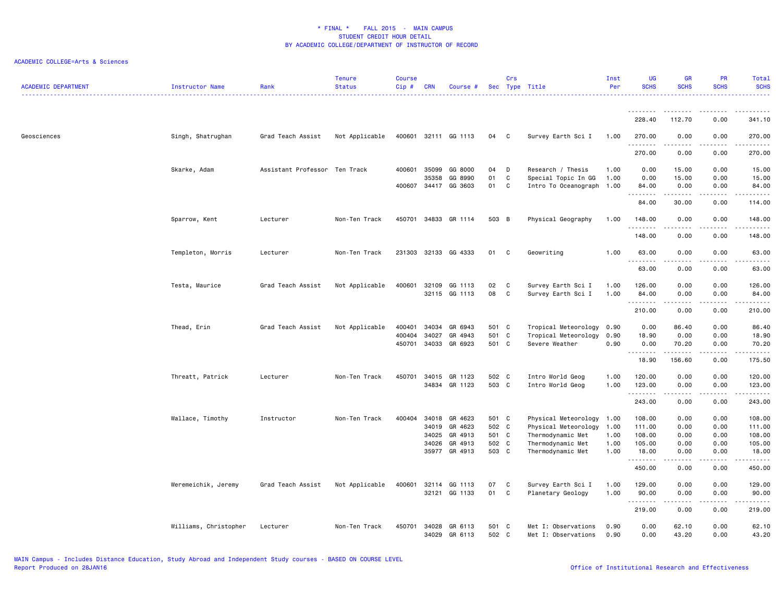| <b>ACADEMIC DEPARTMENT</b> | Instructor Name       | Rank                          | <b>Tenure</b><br><b>Status</b> | <b>Course</b><br>Cip# | <b>CRN</b>     | Course #             |                | Crs    | Sec Type Title                                   | Inst<br>Per  | UG<br><b>SCHS</b>                                                                                                                                             | <b>GR</b><br><b>SCHS</b> | PR<br><b>SCHS</b>                   | Total<br><b>SCHS</b> |
|----------------------------|-----------------------|-------------------------------|--------------------------------|-----------------------|----------------|----------------------|----------------|--------|--------------------------------------------------|--------------|---------------------------------------------------------------------------------------------------------------------------------------------------------------|--------------------------|-------------------------------------|----------------------|
|                            |                       |                               |                                |                       |                |                      |                |        |                                                  |              | --------                                                                                                                                                      |                          |                                     | .                    |
|                            |                       |                               |                                |                       |                |                      |                |        |                                                  |              | 228.40                                                                                                                                                        | 112.70                   | 0.00                                | 341.10               |
| Geosciences                | Singh, Shatrughan     | Grad Teach Assist             | Not Applicable                 |                       |                | 400601 32111 GG 1113 | 04             | C      | Survey Earth Sci I                               | 1.00         | 270.00<br>.                                                                                                                                                   | 0.00<br>.                | 0.00<br>$\sim$ $\sim$ $\sim$ $\sim$ | 270.00               |
|                            |                       |                               |                                |                       |                |                      |                |        |                                                  |              | 270.00                                                                                                                                                        | 0.00                     | 0.00                                | 270.00               |
|                            | Skarke, Adam          | Assistant Professor Ten Track |                                | 400601                | 35099          | GG 8000              | 04             | D      | Research / Thesis                                | 1.00         | 0.00                                                                                                                                                          | 15.00                    | 0.00                                | 15.00                |
|                            |                       |                               |                                | 400607                | 35358<br>34417 | GG 8990<br>GG 3603   | 01<br>01       | C<br>C | Special Topic In GG<br>Intro To Oceanograph 1.00 | 1.00         | 0.00<br>84.00                                                                                                                                                 | 15.00<br>0.00            | 0.00<br>0.00                        | 15.00<br>84.00       |
|                            |                       |                               |                                |                       |                |                      |                |        |                                                  |              | <u>.</u><br>84.00                                                                                                                                             | .<br>30.00               | $\sim$ $\sim$ $\sim$<br>0.00        | .<br>114.00          |
|                            | Sparrow, Kent         | Lecturer                      | Non-Ten Track                  |                       |                | 450701 34833 GR 1114 | 503 B          |        | Physical Geography                               | 1.00         | 148.00                                                                                                                                                        | 0.00                     | 0.00                                | 148.00               |
|                            |                       |                               |                                |                       |                |                      |                |        |                                                  |              | <u>.</u>                                                                                                                                                      | .                        | $\frac{1}{2}$                       | .                    |
|                            |                       |                               |                                |                       |                |                      |                |        |                                                  |              | 148.00                                                                                                                                                        | 0.00                     | 0.00                                | 148.00               |
|                            | Templeton, Morris     | Lecturer                      | Non-Ten Track                  | 231303                |                | 32133 GG 4333        | 01             | C      | Geowriting                                       | 1.00         | 63.00<br>$\frac{1}{2} \left( \frac{1}{2} \right) \left( \frac{1}{2} \right) \left( \frac{1}{2} \right) \left( \frac{1}{2} \right) \left( \frac{1}{2} \right)$ | 0.00                     | 0.00                                | 63.00<br>.           |
|                            |                       |                               |                                |                       |                |                      |                |        |                                                  |              | 63.00                                                                                                                                                         | 0.00                     | 0.00                                | 63.00                |
|                            | Testa, Maurice        | Grad Teach Assist             | Not Applicable                 | 400601                | 32109          | GG 1113              | 02             | C      | Survey Earth Sci I                               | 1.00         | 126.00                                                                                                                                                        | 0.00                     | 0.00                                | 126.00               |
|                            |                       |                               |                                |                       |                | 32115 GG 1113        | 08             | C      | Survey Earth Sci I                               | 1.00         | 84.00<br>.                                                                                                                                                    | 0.00<br>-----            | 0.00<br>.                           | 84.00<br>.           |
|                            |                       |                               |                                |                       |                |                      |                |        |                                                  |              | 210.00                                                                                                                                                        | 0.00                     | 0.00                                | 210.00               |
|                            | Thead, Erin           | Grad Teach Assist             | Not Applicable                 | 400401                | 34034          | GR 6943              | 501 C          |        | Tropical Meteorology                             | 0.90         | 0.00                                                                                                                                                          | 86.40                    | 0.00                                | 86.40                |
|                            |                       |                               |                                | 400404                | 34027          | GR 4943              | 501 C<br>501 C |        | Tropical Meteorology                             | 0.90<br>0.90 | 18.90                                                                                                                                                         | 0.00                     | 0.00                                | 18.90                |
|                            |                       |                               |                                | 450701                | 34033          | GR 6923              |                |        | Severe Weather                                   |              | 0.00<br>.                                                                                                                                                     | 70.20<br>. <u>.</u>      | 0.00<br>.                           | 70.20<br>.           |
|                            |                       |                               |                                |                       |                |                      |                |        |                                                  |              | 18.90                                                                                                                                                         | 156.60                   | 0.00                                | 175.50               |
|                            | Threatt, Patrick      | Lecturer                      | Non-Ten Track                  | 450701                | 34015          | GR 1123              | 502 C          |        | Intro World Geog                                 | 1.00         | 120.00                                                                                                                                                        | 0.00                     | 0.00                                | 120.00               |
|                            |                       |                               |                                |                       | 34834          | GR 1123              | 503 C          |        | Intro World Geog                                 | 1.00         | 123.00<br>.                                                                                                                                                   | 0.00                     | 0.00                                | 123.00<br>.          |
|                            |                       |                               |                                |                       |                |                      |                |        |                                                  |              | 243.00                                                                                                                                                        | 0.00                     | 0.00                                | 243.00               |
|                            | Wallace, Timothy      | Instructor                    | Non-Ten Track                  | 400404                | 34018          | GR 4623              | 501 C          |        | Physical Meteorology 1.00                        |              | 108.00                                                                                                                                                        | 0.00                     | 0.00                                | 108.00               |
|                            |                       |                               |                                |                       | 34019          | GR 4623              | 502 C          |        | Physical Meteorology                             | 1.00         | 111.00                                                                                                                                                        | 0.00                     | 0.00                                | 111.00               |
|                            |                       |                               |                                |                       | 34025          | GR 4913              | 501 C          |        | Thermodynamic Met                                | 1.00         | 108.00                                                                                                                                                        | 0.00                     | 0.00                                | 108.00               |
|                            |                       |                               |                                |                       | 34026<br>35977 | GR 4913<br>GR 4913   | 502 C<br>503 C |        | Thermodynamic Met<br>Thermodynamic Met           | 1.00<br>1.00 | 105.00<br>18.00                                                                                                                                               | 0.00<br>0.00             | 0.00<br>0.00                        | 105.00<br>18.00      |
|                            |                       |                               |                                |                       |                |                      |                |        |                                                  |              |                                                                                                                                                               | .                        | .                                   |                      |
|                            |                       |                               |                                |                       |                |                      |                |        |                                                  |              | 450.00                                                                                                                                                        | 0.00                     | 0.00                                | 450.00               |
|                            | Weremeichik, Jeremy   | Grad Teach Assist             | Not Applicable                 | 400601                | 32114          | GG 1113              | 07             | C      | Survey Earth Sci I                               | 1.00         | 129.00                                                                                                                                                        | 0.00                     | 0.00                                | 129.00               |
|                            |                       |                               |                                |                       |                | 32121 GG 1133        | 01             | C      | Planetary Geology                                | 1.00         | 90.00<br>.                                                                                                                                                    | 0.00                     | 0.00                                | 90.00<br>.           |
|                            |                       |                               |                                |                       |                |                      |                |        |                                                  |              | 219.00                                                                                                                                                        | 0.00                     | 0.00                                | 219.00               |
|                            | Williams, Christopher | Lecturer                      | Non-Ten Track                  | 450701                | 34028<br>34029 | GR 6113<br>GR 6113   | 501 C<br>502 C |        | Met I: Observations<br>Met I: Observations       | 0.90<br>0.90 | 0.00<br>0.00                                                                                                                                                  | 62.10<br>43.20           | 0.00<br>0.00                        | 62.10<br>43.20       |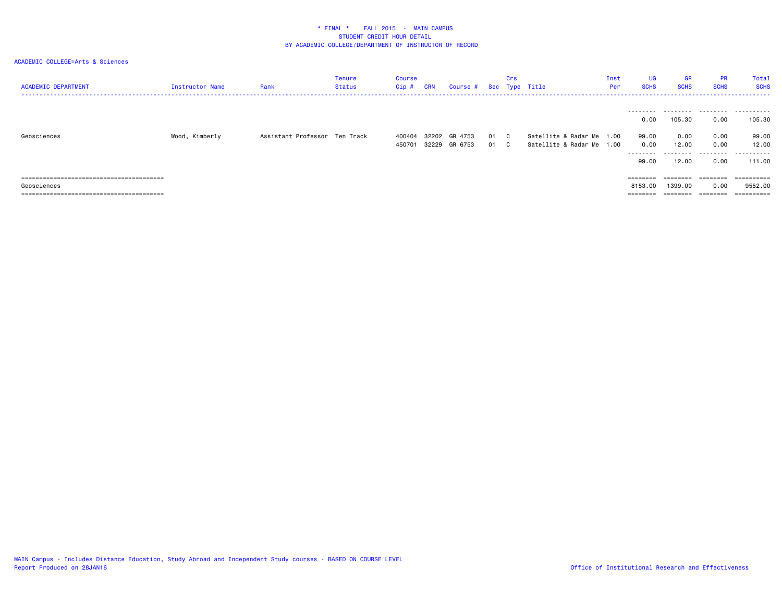| <b>ACADEMIC DEPARTMENT</b> | <b>Instructor Name</b> | Rank                          | Tenure<br>Status | Course<br>Cip # | <b>CRN</b> | Course # Sec Type Title |    | Crs          |                           | Inst<br>Per | UG<br><b>SCHS</b> | <b>GR</b><br><b>SCHS</b> | <b>PR</b><br><b>SCHS</b> | Total<br><b>SCHS</b> |
|----------------------------|------------------------|-------------------------------|------------------|-----------------|------------|-------------------------|----|--------------|---------------------------|-------------|-------------------|--------------------------|--------------------------|----------------------|
|                            |                        |                               |                  |                 |            |                         |    |              |                           |             | ---------<br>0.00 | 105.30                   | 0.00                     | 105,30               |
| Geosciences                | Wood, Kimberly         | Assistant Professor Ten Track |                  | 400404          |            | 32202 GR 4753           | 01 | $\mathbf{C}$ | Satellite & Radar Me 1.00 |             | 99.00             | 0.00                     | 0.00                     | 99.00                |
|                            |                        |                               |                  | 450701          |            | 32229 GR 6753           | 01 | C.           | Satellite & Radar Me 1.00 |             | 0.00              | 12.00                    | 0.00                     | 12.00                |
|                            |                        |                               |                  |                 |            |                         |    |              |                           |             | ---------         | .                        |                          |                      |
|                            |                        |                               |                  |                 |            |                         |    |              |                           |             | 99.00             | 12.00                    | 0.00                     | 111.00               |
|                            |                        |                               |                  |                 |            |                         |    |              |                           |             |                   | $=$ = = = = = = =        | $=$ = = = = = = =        | ==========           |
| Geosciences                |                        |                               |                  |                 |            |                         |    |              |                           |             | 8153,00           | 1399.00                  | 0.00                     | 9552.00              |
|                            |                        |                               |                  |                 |            |                         |    |              |                           |             | ========          | $=$ = = = = = = =        | $=$ = = = = = = =        | ==========           |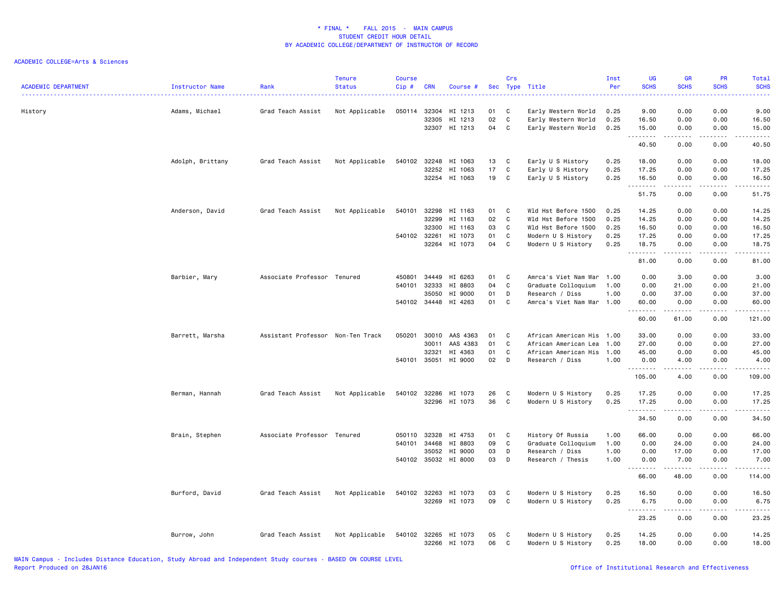| <b>ACADEMIC DEPARTMENT</b> | Instructor Name  | Rank                              | <b>Tenure</b><br><b>Status</b> | <b>Course</b><br>Cip # | <b>CRN</b> | Course #             |    | Crs | Sec Type Title            | Inst<br>Per | <b>UG</b><br><b>SCHS</b><br>. | <b>GR</b><br><b>SCHS</b>                                                                                                                                     | PR<br><b>SCHS</b><br>$\sim$ $\sim$ $\sim$ $\sim$ | Total<br><b>SCHS</b><br>$\frac{1}{2} \left( \frac{1}{2} \right) \left( \frac{1}{2} \right) \left( \frac{1}{2} \right) \left( \frac{1}{2} \right) \left( \frac{1}{2} \right)$ |
|----------------------------|------------------|-----------------------------------|--------------------------------|------------------------|------------|----------------------|----|-----|---------------------------|-------------|-------------------------------|--------------------------------------------------------------------------------------------------------------------------------------------------------------|--------------------------------------------------|------------------------------------------------------------------------------------------------------------------------------------------------------------------------------|
| History                    | Adams, Michael   | Grad Teach Assist                 | Not Applicable                 | 050114                 | 32304      | HI 1213              | 01 | C   | Early Western World       | 0.25        | 9.00                          | 0.00                                                                                                                                                         | 0.00                                             | 9.00                                                                                                                                                                         |
|                            |                  |                                   |                                |                        | 32305      | HI 1213              | 02 | C   | Early Western World       | 0.25        | 16.50                         | 0.00                                                                                                                                                         | 0.00                                             | 16.50                                                                                                                                                                        |
|                            |                  |                                   |                                |                        | 32307      | HI 1213              | 04 | C   | Early Western World       | 0.25        | 15.00                         | 0.00                                                                                                                                                         | 0.00                                             | 15.00<br>.                                                                                                                                                                   |
|                            |                  |                                   |                                |                        |            |                      |    |     |                           |             | 1.1.1.1.1.1.1<br>40.50        | .<br>0.00                                                                                                                                                    | .<br>0.00                                        | 40.50                                                                                                                                                                        |
|                            | Adolph, Brittany | Grad Teach Assist                 | Not Applicable                 | 540102                 | 32248      | HI 1063              | 13 | C   | Early U S History         | 0.25        | 18.00                         | 0.00                                                                                                                                                         | 0.00                                             | 18.00                                                                                                                                                                        |
|                            |                  |                                   |                                |                        | 32252      | HI 1063              | 17 | C   | Early U S History         | 0.25        | 17.25                         | 0.00                                                                                                                                                         | 0.00                                             | 17.25                                                                                                                                                                        |
|                            |                  |                                   |                                |                        | 32254      | HI 1063              | 19 | C   | Early U S History         | 0.25        | 16.50                         | 0.00<br>$\frac{1}{2} \left( \frac{1}{2} \right) \left( \frac{1}{2} \right) \left( \frac{1}{2} \right) \left( \frac{1}{2} \right) \left( \frac{1}{2} \right)$ | 0.00<br>.                                        | 16.50<br>.                                                                                                                                                                   |
|                            |                  |                                   |                                |                        |            |                      |    |     |                           |             | 51.75                         | 0.00                                                                                                                                                         | 0.00                                             | 51.75                                                                                                                                                                        |
|                            | Anderson, David  | Grad Teach Assist                 | Not Applicable                 | 540101                 | 32298      | HI 1163              | 01 | C   | Wld Hst Before 1500       | 0.25        | 14.25                         | 0.00                                                                                                                                                         | 0.00                                             | 14.25                                                                                                                                                                        |
|                            |                  |                                   |                                |                        | 32299      | HI 1163              | 02 | C   | Wld Hst Before 1500       | 0.25        | 14.25                         | 0.00                                                                                                                                                         | 0.00                                             | 14.25                                                                                                                                                                        |
|                            |                  |                                   |                                |                        | 32300      | HI 1163              | 03 | C   | Wld Hst Before 1500       | 0.25        | 16.50                         | 0.00                                                                                                                                                         | 0.00                                             | 16.50                                                                                                                                                                        |
|                            |                  |                                   |                                | 540102 32261           |            | HI 1073              | 01 | C   | Modern U S History        | 0.25        | 17.25                         | 0.00                                                                                                                                                         | 0.00                                             | 17.25                                                                                                                                                                        |
|                            |                  |                                   |                                |                        | 32264      | HI 1073              | 04 | C   | Modern U S History        | 0.25        | 18.75                         | 0.00<br>-----                                                                                                                                                | 0.00<br>.                                        | 18.75<br>.                                                                                                                                                                   |
|                            |                  |                                   |                                |                        |            |                      |    |     |                           |             | . <b>.</b><br>81.00           | 0.00                                                                                                                                                         | 0.00                                             | 81.00                                                                                                                                                                        |
|                            | Barbier, Mary    | Associate Professor Tenured       |                                | 450801                 | 34449      | HI 6263              | 01 | C   | Amrca's Viet Nam War      | 1.00        | 0.00                          | 3.00                                                                                                                                                         | 0.00                                             | 3.00                                                                                                                                                                         |
|                            |                  |                                   |                                | 540101                 | 32333      | HI 8803              | 04 | C   | Graduate Colloquium       | 1.00        | 0.00                          | 21.00                                                                                                                                                        | 0.00                                             | 21.00                                                                                                                                                                        |
|                            |                  |                                   |                                |                        | 35050      | HI 9000              | 01 | D   | Research / Diss           | 1.00        | 0.00                          | 37.00                                                                                                                                                        | 0.00                                             | 37.00                                                                                                                                                                        |
|                            |                  |                                   |                                |                        |            | 540102 34448 HI 4263 | 01 | C   | Amrca's Viet Nam War 1.00 |             | 60.00                         | 0.00                                                                                                                                                         | 0.00                                             | 60.00                                                                                                                                                                        |
|                            |                  |                                   |                                |                        |            |                      |    |     |                           |             | <b></b><br>60.00              | .<br>61.00                                                                                                                                                   | .<br>0.00                                        | .<br>121.00                                                                                                                                                                  |
|                            |                  |                                   |                                |                        |            |                      |    |     |                           |             |                               |                                                                                                                                                              |                                                  |                                                                                                                                                                              |
|                            | Barrett, Marsha  | Assistant Professor Non-Ten Track |                                | 050201                 | 30010      | AAS 4363             | 01 | C   | African American His      | 1.00        | 33.00                         | 0.00                                                                                                                                                         | 0.00                                             | 33.00                                                                                                                                                                        |
|                            |                  |                                   |                                |                        | 30011      | AAS 4383             | 01 | C   | African American Lea      | 1.00        | 27.00                         | 0.00                                                                                                                                                         | 0.00                                             | 27.00                                                                                                                                                                        |
|                            |                  |                                   |                                |                        | 32321      | HI 4363              | 01 | C   | African American His      | 1.00        | 45.00                         | 0.00                                                                                                                                                         | 0.00                                             | 45.00                                                                                                                                                                        |
|                            |                  |                                   |                                | 540101 35051           |            | HI 9000              | 02 | D   | Research / Diss           | 1.00        | 0.00                          | 4.00                                                                                                                                                         | 0.00                                             | 4.00                                                                                                                                                                         |
|                            |                  |                                   |                                |                        |            |                      |    |     |                           |             | .<br>105.00                   | .<br>4.00                                                                                                                                                    | .<br>0.00                                        | ------<br>109.00                                                                                                                                                             |
|                            | Berman, Hannah   | Grad Teach Assist                 | Not Applicable                 | 540102                 | 32286      | HI 1073              | 26 | C   | Modern U S History        | 0.25        | 17.25                         | 0.00                                                                                                                                                         | 0.00                                             | 17.25                                                                                                                                                                        |
|                            |                  |                                   |                                |                        | 32296      | HI 1073              | 36 | C   | Modern U S History        | 0.25        | 17.25                         | 0.00                                                                                                                                                         | 0.00                                             | 17.25                                                                                                                                                                        |
|                            |                  |                                   |                                |                        |            |                      |    |     |                           |             | <u>.</u><br>34.50             | .<br>0.00                                                                                                                                                    | $\frac{1}{2}$<br>0.00                            | .<br>34.50                                                                                                                                                                   |
|                            |                  |                                   |                                |                        |            |                      |    |     |                           |             |                               |                                                                                                                                                              |                                                  |                                                                                                                                                                              |
|                            | Brain, Stephen   | Associate Professor Tenured       |                                | 050110                 | 32328      | HI 4753              | 01 | C   | History Of Russia         | 1.00        | 66.00                         | 0.00                                                                                                                                                         | 0.00                                             | 66.00                                                                                                                                                                        |
|                            |                  |                                   |                                | 540101                 | 34468      | HI 8803              | 09 | C   | Graduate Colloquium       | 1.00        | 0.00                          | 24.00                                                                                                                                                        | 0.00                                             | 24.00                                                                                                                                                                        |
|                            |                  |                                   |                                |                        | 35052      | HI 9000              | 03 | D   | Research / Diss           | 1.00        | 0.00                          | 17.00                                                                                                                                                        | 0.00                                             | 17.00                                                                                                                                                                        |
|                            |                  |                                   |                                |                        |            | 540102 35032 HI 8000 | 03 | D   | Research / Thesis         | 1.00        | 0.00<br>.                     | 7.00<br>.                                                                                                                                                    | 0.00<br>.                                        | 7.00<br>------                                                                                                                                                               |
|                            |                  |                                   |                                |                        |            |                      |    |     |                           |             | 66.00                         | 48.00                                                                                                                                                        | 0.00                                             | 114.00                                                                                                                                                                       |
|                            | Burford, David   | Grad Teach Assist                 | Not Applicable                 | 540102                 | 32263      | HI 1073              | 03 | C   | Modern U S History        | 0.25        | 16.50                         | 0.00                                                                                                                                                         | 0.00                                             | 16.50                                                                                                                                                                        |
|                            |                  |                                   |                                |                        |            | 32269 HI 1073        | 09 | C   | Modern U S History        | 0.25        | 6.75                          | 0.00                                                                                                                                                         | 0.00                                             | 6.75                                                                                                                                                                         |
|                            |                  |                                   |                                |                        |            |                      |    |     |                           |             | -----                         | .                                                                                                                                                            | .                                                | .                                                                                                                                                                            |
|                            |                  |                                   |                                |                        |            |                      |    |     |                           |             | 23.25                         | 0.00                                                                                                                                                         | 0.00                                             | 23.25                                                                                                                                                                        |
|                            | Burrow, John     | Grad Teach Assist                 | Not Applicable                 | 540102 32265           |            | HI 1073              | 05 | C   | Modern U S History        | 0.25        | 14.25                         | 0.00                                                                                                                                                         | 0.00                                             | 14.25                                                                                                                                                                        |
|                            |                  |                                   |                                |                        |            | 32266 HI 1073        | 06 | C   | Modern U S History        | 0.25        | 18.00                         | 0.00                                                                                                                                                         | 0.00                                             | 18.00                                                                                                                                                                        |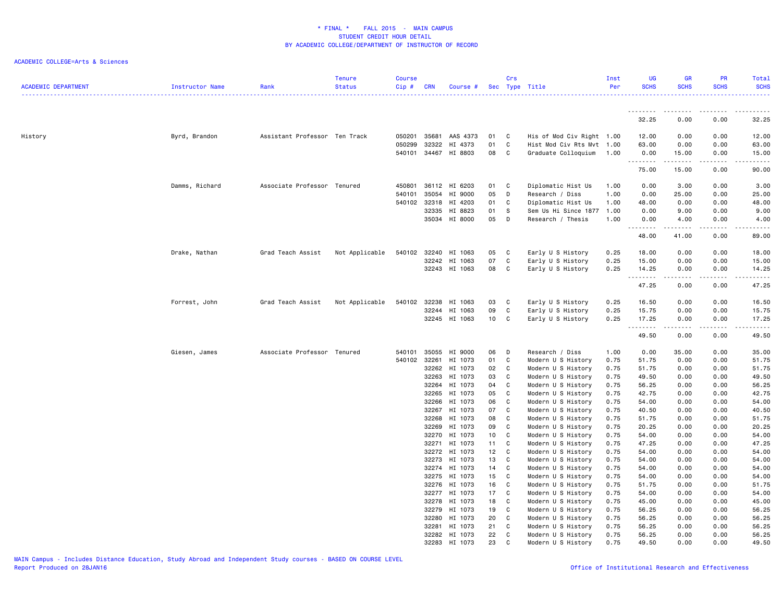| <b>ACADEMIC DEPARTMENT</b> | Instructor Name | Rank                          | <b>Tenure</b><br><b>Status</b> | <b>Course</b><br>Cip# | <b>CRN</b>     | Course #           |          | Crs         | Sec Type Title                           | Inst<br>Per  | UG<br><b>SCHS</b>                                                                                                                 | <b>GR</b><br><b>SCHS</b>                                                                                                                                                                | PR<br><b>SCHS</b>     | Total<br><b>SCHS</b> |
|----------------------------|-----------------|-------------------------------|--------------------------------|-----------------------|----------------|--------------------|----------|-------------|------------------------------------------|--------------|-----------------------------------------------------------------------------------------------------------------------------------|-----------------------------------------------------------------------------------------------------------------------------------------------------------------------------------------|-----------------------|----------------------|
|                            |                 |                               |                                |                       |                |                    |          |             |                                          |              | <u>.</u>                                                                                                                          |                                                                                                                                                                                         |                       |                      |
|                            |                 |                               |                                |                       |                |                    |          |             |                                          |              | 32.25                                                                                                                             | 0.00                                                                                                                                                                                    | 0.00                  | 32.25                |
| History                    | Byrd, Brandon   | Assistant Professor Ten Track |                                | 050201                | 35681          | AAS 4373           | 01       | C           | His of Mod Civ Right 1.00                |              | 12.00                                                                                                                             | 0.00                                                                                                                                                                                    | 0.00                  | 12.00                |
|                            |                 |                               |                                | 050299                | 32322          | HI 4373            | 01       | C           | Hist Mod Civ Rts Mvt 1.00                |              | 63.00                                                                                                                             | 0.00                                                                                                                                                                                    | 0.00                  | 63.00                |
|                            |                 |                               |                                | 540101                | 34467          | HI 8803            | 08       | C           | Graduate Colloquium                      | 1.00         | 0.00<br>. <b>.</b>                                                                                                                | 15.00<br>.                                                                                                                                                                              | 0.00<br>والأمام       | 15.00<br>ه د د د د   |
|                            |                 |                               |                                |                       |                |                    |          |             |                                          |              | 75.00                                                                                                                             | 15.00                                                                                                                                                                                   | 0.00                  | 90.00                |
|                            | Damms, Richard  | Associate Professor Tenured   |                                | 450801                |                | 36112 HI 6203      | 01       | C           | Diplomatic Hist Us                       | 1.00         | 0.00                                                                                                                              | 3.00                                                                                                                                                                                    | 0.00                  | 3.00                 |
|                            |                 |                               |                                | 540101                | 35054          | HI 9000            | 05       | D           | Research / Diss                          | 1.00         | 0.00                                                                                                                              | 25.00                                                                                                                                                                                   | 0.00                  | 25.00                |
|                            |                 |                               |                                | 540102                | 32318          | HI 4203            | 01       | C           | Diplomatic Hist Us                       | 1.00         | 48.00                                                                                                                             | 0.00                                                                                                                                                                                    | 0.00                  | 48.00                |
|                            |                 |                               |                                |                       | 32335          | HI 8823            | 01       | - S         | Sem Us Hi Since 1877                     | 1.00         | 0.00                                                                                                                              | 9.00                                                                                                                                                                                    | 0.00                  | 9.00                 |
|                            |                 |                               |                                |                       |                | 35034 HI 8000      | 05       | D           | Research / Thesis                        | 1.00         | 0.00<br>$\frac{1}{2} \left( \frac{1}{2} \right) \left( \frac{1}{2} \right) \left( \frac{1}{2} \right) \left( \frac{1}{2} \right)$ | 4.00                                                                                                                                                                                    | 0.00<br>$\frac{1}{2}$ | 4.00<br>$- - - - -$  |
|                            |                 |                               |                                |                       |                |                    |          |             |                                          |              | 48.00                                                                                                                             | 41.00                                                                                                                                                                                   | 0.00                  | 89.00                |
|                            | Drake, Nathan   | Grad Teach Assist             | Not Applicable                 | 540102                | 32240          | HI 1063            | 05       | C           | Early U S History                        | 0.25         | 18.00                                                                                                                             | 0.00                                                                                                                                                                                    | 0.00                  | 18.00                |
|                            |                 |                               |                                |                       | 32242          | HI 1063            | 07       | C           | Early U S History                        | 0.25         | 15.00                                                                                                                             | 0.00                                                                                                                                                                                    | 0.00                  | 15.00                |
|                            |                 |                               |                                |                       |                | 32243 HI 1063      | 08       | C           | Early U S History                        | 0.25         | 14.25                                                                                                                             | 0.00                                                                                                                                                                                    | 0.00                  | 14.25                |
|                            |                 |                               |                                |                       |                |                    |          |             |                                          |              | .<br>47.25                                                                                                                        | $\frac{1}{2} \left( \frac{1}{2} \right) \left( \frac{1}{2} \right) \left( \frac{1}{2} \right) \left( \frac{1}{2} \right) \left( \frac{1}{2} \right)$<br>0.00                            | .<br>0.00             | .<br>47.25           |
|                            | Forrest, John   | Grad Teach Assist             | Not Applicable                 | 540102                | 32238          | HI 1063            | 03       | C           | Early U S History                        | 0.25         | 16.50                                                                                                                             | 0.00                                                                                                                                                                                    | 0.00                  | 16.50                |
|                            |                 |                               |                                |                       | 32244          | HI 1063            | 09       | C           | Early U S History                        | 0.25         | 15.75                                                                                                                             | 0.00                                                                                                                                                                                    | 0.00                  | 15.75                |
|                            |                 |                               |                                |                       |                | 32245 HI 1063      | 10       | C           | Early U S History                        | 0.25         | 17.25                                                                                                                             | 0.00                                                                                                                                                                                    | 0.00                  | 17.25                |
|                            |                 |                               |                                |                       |                |                    |          |             |                                          |              | .<br>49.50                                                                                                                        | $\frac{1}{2} \left( \frac{1}{2} \right) \left( \frac{1}{2} \right) \left( \frac{1}{2} \right) \left( \frac{1}{2} \right) \left( \frac{1}{2} \right) \left( \frac{1}{2} \right)$<br>0.00 | .<br>0.00             | .<br>49.50           |
|                            | Giesen, James   | Associate Professor Tenured   |                                | 540101                | 35055          | HI 9000            | 06       | D           | Research / Diss                          | 1.00         | 0.00                                                                                                                              | 35.00                                                                                                                                                                                   | 0.00                  | 35.00                |
|                            |                 |                               |                                | 540102 32261          |                | HI 1073            | 01       | C           | Modern U S History                       | 0.75         | 51.75                                                                                                                             | 0.00                                                                                                                                                                                    | 0.00                  | 51.75                |
|                            |                 |                               |                                |                       | 32262          | HI 1073            | 02       | C           | Modern U S History                       | 0.75         | 51.75                                                                                                                             | 0.00                                                                                                                                                                                    | 0.00                  | 51.75                |
|                            |                 |                               |                                |                       | 32263          | HI 1073            | 03       | C           | Modern U S History                       | 0.75         | 49.50                                                                                                                             | 0.00                                                                                                                                                                                    | 0.00                  | 49.50                |
|                            |                 |                               |                                |                       | 32264          | HI 1073            | 04       | C           | Modern U S History                       | 0.75         | 56.25                                                                                                                             | 0.00                                                                                                                                                                                    | 0.00                  | 56.25                |
|                            |                 |                               |                                |                       | 32265          | HI 1073            | 05       | C           | Modern U S History                       | 0.75         | 42.75                                                                                                                             | 0.00                                                                                                                                                                                    | 0.00                  | 42.75                |
|                            |                 |                               |                                |                       | 32266          | HI 1073            | 06       | C           | Modern U S History                       | 0.75         | 54.00                                                                                                                             | 0.00                                                                                                                                                                                    | 0.00                  | 54.00                |
|                            |                 |                               |                                |                       | 32267          | HI 1073            | 07       | C           | Modern U S History                       | 0.75         | 40.50                                                                                                                             | 0.00                                                                                                                                                                                    | 0.00                  | 40.50                |
|                            |                 |                               |                                |                       | 32268          | HI 1073            | 08       | C           | Modern U S History                       | 0.75         | 51.75                                                                                                                             | 0.00                                                                                                                                                                                    | 0.00                  | 51.75                |
|                            |                 |                               |                                |                       | 32269          | HI 1073            | 09       | C           | Modern U S History                       | 0.75         | 20.25                                                                                                                             | 0.00                                                                                                                                                                                    | 0.00                  | 20.25                |
|                            |                 |                               |                                |                       | 32270          | HI 1073            | 10       | C           | Modern U S History                       | 0.75         | 54.00                                                                                                                             | 0.00                                                                                                                                                                                    | 0.00                  | 54.00                |
|                            |                 |                               |                                |                       | 32271          | HI 1073            | 11       | C           | Modern U S History                       | 0.75         | 47.25                                                                                                                             | 0.00                                                                                                                                                                                    | 0.00                  | 47.25                |
|                            |                 |                               |                                |                       | 32272          | HI 1073            | 12       | C           | Modern U S History                       | 0.75         | 54.00                                                                                                                             | 0.00                                                                                                                                                                                    | 0.00                  | 54.00                |
|                            |                 |                               |                                |                       | 32273          | HI 1073            | 13       | C           | Modern U S History                       | 0.75         | 54.00                                                                                                                             | 0.00                                                                                                                                                                                    | 0.00                  | 54.00                |
|                            |                 |                               |                                |                       | 32274          | HI 1073            | 14       | $\mathsf C$ | Modern U S History                       | 0.75         | 54.00                                                                                                                             | 0.00                                                                                                                                                                                    | 0.00                  | 54.00                |
|                            |                 |                               |                                |                       | 32275          | HI 1073            | 15       | C           | Modern U S History                       | 0.75         | 54.00                                                                                                                             | 0.00                                                                                                                                                                                    | 0.00                  | 54.00                |
|                            |                 |                               |                                |                       | 32276          | HI 1073            | 16       | C           | Modern U S History                       | 0.75         | 51.75                                                                                                                             | 0.00                                                                                                                                                                                    | 0.00                  | 51.75                |
|                            |                 |                               |                                |                       | 32277<br>32278 | HI 1073<br>HI 1073 | 17<br>18 | C<br>C      | Modern U S History<br>Modern U S History | 0.75<br>0.75 | 54.00<br>45.00                                                                                                                    | 0.00<br>0.00                                                                                                                                                                            | 0.00<br>0.00          | 54.00<br>45.00       |
|                            |                 |                               |                                |                       | 32279          | HI 1073            | 19       | C           | Modern U S History                       | 0.75         | 56.25                                                                                                                             | 0.00                                                                                                                                                                                    | 0.00                  | 56.25                |
|                            |                 |                               |                                |                       | 32280          | HI 1073            | 20       | C           | Modern U S History                       | 0.75         | 56.25                                                                                                                             | 0.00                                                                                                                                                                                    | 0.00                  | 56.25                |
|                            |                 |                               |                                |                       | 32281          | HI 1073            | 21       | C           | Modern U S History                       | 0.75         | 56.25                                                                                                                             | 0.00                                                                                                                                                                                    | 0.00                  | 56.25                |
|                            |                 |                               |                                |                       |                | 32282 HI 1073      | 22       | C           | Modern U S History                       | 0.75         | 56.25                                                                                                                             | 0.00                                                                                                                                                                                    | 0.00                  | 56.25                |
|                            |                 |                               |                                |                       |                | 32283 HI 1073      | 23       | C           | Modern U S History                       | 0.75         | 49.50                                                                                                                             | 0.00                                                                                                                                                                                    | 0.00                  | 49.50                |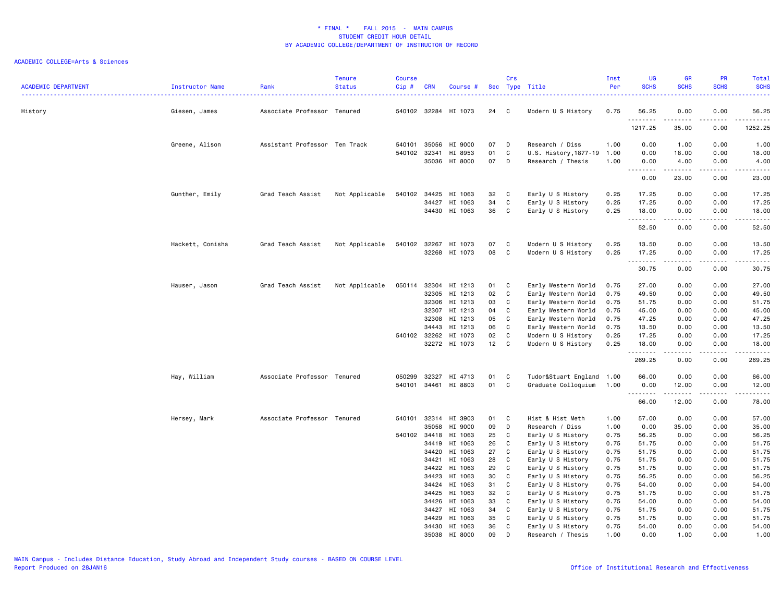| <b>ACADEMIC DEPARTMENT</b> | <b>Instructor Name</b> | Rank                          | <b>Tenure</b><br><b>Status</b> | <b>Course</b><br>Cip# | <b>CRN</b>     | Course #             |          | Crs          | Sec Type Title                         | Inst<br>Per  | UG<br><b>SCHS</b> | <b>GR</b><br><b>SCHS</b> | <b>PR</b><br><b>SCHS</b> | Total<br><b>SCHS</b>                                                                                                                                                                       |
|----------------------------|------------------------|-------------------------------|--------------------------------|-----------------------|----------------|----------------------|----------|--------------|----------------------------------------|--------------|-------------------|--------------------------|--------------------------|--------------------------------------------------------------------------------------------------------------------------------------------------------------------------------------------|
| History                    | Giesen, James          | Associate Professor Tenured   |                                |                       |                | 540102 32284 HI 1073 | 24       | $\mathbf{C}$ | Modern U S History                     | 0.75         | 56.25             | 0.00                     | 0.00                     | .<br>56.25                                                                                                                                                                                 |
|                            |                        |                               |                                |                       |                |                      |          |              |                                        |              | .<br>1217.25      | .<br>35.00               | .<br>0.00                | $\frac{1}{2} \left( \frac{1}{2} \right) \left( \frac{1}{2} \right) \left( \frac{1}{2} \right) \left( \frac{1}{2} \right) \left( \frac{1}{2} \right) \left( \frac{1}{2} \right)$<br>1252.25 |
|                            | Greene, Alison         | Assistant Professor Ten Track |                                | 540101                | 35056          | HI 9000              | 07       | D            | Research / Diss                        | 1.00         | 0.00              | 1.00                     | 0.00                     | 1.00                                                                                                                                                                                       |
|                            |                        |                               |                                | 540102                | 32341          | HI 8953              | 01       | C            | U.S. History, 1877-19                  | 1.00         | 0.00              | 18.00                    | 0.00                     | 18.00                                                                                                                                                                                      |
|                            |                        |                               |                                |                       |                | 35036 HI 8000        | 07       | D            | Research / Thesis                      | 1.00         | 0.00              | 4.00                     | 0.00                     | 4.00                                                                                                                                                                                       |
|                            |                        |                               |                                |                       |                |                      |          |              |                                        |              | .<br>0.00         | .<br>23.00               | .<br>0.00                | .<br>23.00                                                                                                                                                                                 |
|                            | Gunther, Emily         | Grad Teach Assist             | Not Applicable                 | 540102                | 34425          | HI 1063              | 32       | C            | Early U S History                      | 0.25         | 17.25             | 0.00                     | 0.00                     | 17.25                                                                                                                                                                                      |
|                            |                        |                               |                                |                       | 34427          | HI 1063              | 34       | C            | Early U S History                      | 0.25         | 17.25             | 0.00                     | 0.00                     | 17.25                                                                                                                                                                                      |
|                            |                        |                               |                                |                       |                | 34430 HI 1063        | 36       | $\mathbf{C}$ | Early U S History                      | 0.25         | 18.00<br>.        | 0.00<br>.                | 0.00<br>.                | 18.00<br>.                                                                                                                                                                                 |
|                            |                        |                               |                                |                       |                |                      |          |              |                                        |              | 52.50             | 0.00                     | 0.00                     | 52.50                                                                                                                                                                                      |
|                            | Hackett, Conisha       | Grad Teach Assist             | Not Applicable                 | 540102                |                | 32267 HI 1073        | 07       | C            | Modern U S History                     | 0.25         | 13.50             | 0.00                     | 0.00                     | 13.50                                                                                                                                                                                      |
|                            |                        |                               |                                |                       |                | 32268 HI 1073        | 08       | C            | Modern U S History                     | 0.25         | 17.25<br>.        | 0.00<br>.                | 0.00<br>.                | 17.25<br>.                                                                                                                                                                                 |
|                            |                        |                               |                                |                       |                |                      |          |              |                                        |              | 30.75             | 0.00                     | 0.00                     | 30.75                                                                                                                                                                                      |
|                            | Hauser, Jason          | Grad Teach Assist             | Not Applicable                 | 050114                |                | 32304 HI 1213        | 01       | $\mathbf{C}$ | Early Western World                    | 0.75         | 27.00             | 0.00                     | 0.00                     | 27.00                                                                                                                                                                                      |
|                            |                        |                               |                                |                       | 32305          | HI 1213              | 02       | C            | Early Western World                    | 0.75         | 49.50             | 0.00                     | 0.00                     | 49.50                                                                                                                                                                                      |
|                            |                        |                               |                                |                       |                | 32306 HI 1213        | 03       | C            | Early Western World                    | 0.75         | 51.75             | 0.00                     | 0.00                     | 51.75                                                                                                                                                                                      |
|                            |                        |                               |                                |                       |                | 32307 HI 1213        | 04       | C            | Early Western World                    | 0.75         | 45.00             | 0.00                     | 0.00                     | 45.00                                                                                                                                                                                      |
|                            |                        |                               |                                |                       | 32308          | HI 1213              | 05       | C            | Early Western World                    | 0.75         | 47.25             | 0.00                     | 0.00                     | 47.25                                                                                                                                                                                      |
|                            |                        |                               |                                |                       | 34443          | HI 1213              | 06       | C            | Early Western World                    | 0.75         | 13.50             | 0.00                     | 0.00                     | 13.50                                                                                                                                                                                      |
|                            |                        |                               |                                |                       | 540102 32262   | HI 1073              | 02       | C            | Modern U S History                     | 0.25         | 17.25             | 0.00                     | 0.00                     | 17.25                                                                                                                                                                                      |
|                            |                        |                               |                                |                       |                | 32272 HI 1073        | 12       | C            | Modern U S History                     | 0.25         | 18.00<br>.        | 0.00                     | 0.00                     | 18.00<br>د د د د د                                                                                                                                                                         |
|                            |                        |                               |                                |                       |                |                      |          |              |                                        |              | 269.25            | 0.00                     | 0.00                     | 269.25                                                                                                                                                                                     |
|                            | Hay, William           | Associate Professor Tenured   |                                | 050299                | 32327          | HI 4713              | 01       | C            | Tudor&Stuart England 1.00              |              | 66.00             | 0.00                     | 0.00                     | 66.00                                                                                                                                                                                      |
|                            |                        |                               |                                |                       |                | 540101 34461 HI 8803 | 01 C     |              | Graduate Colloquium                    | 1.00         | 0.00<br>.         | 12.00<br>.               | 0.00<br>.                | 12.00<br>.                                                                                                                                                                                 |
|                            |                        |                               |                                |                       |                |                      |          |              |                                        |              | 66.00             | 12.00                    | 0.00                     | 78.00                                                                                                                                                                                      |
|                            | Hersey, Mark           | Associate Professor Tenured   |                                | 540101                |                | 32314 HI 3903        | 01       | C            | Hist & Hist Meth                       | 1.00         | 57.00             | 0.00                     | 0.00                     | 57.00                                                                                                                                                                                      |
|                            |                        |                               |                                |                       | 35058          | HI 9000              | 09       | D            | Research / Diss                        | 1.00         | 0.00              | 35.00                    | 0.00                     | 35.00                                                                                                                                                                                      |
|                            |                        |                               |                                | 540102 34418          |                | HI 1063              | 25       | C            | Early U S History                      | 0.75         | 56.25             | 0.00                     | 0.00                     | 56.25                                                                                                                                                                                      |
|                            |                        |                               |                                |                       | 34419          | HI 1063              | 26       | C            | Early U S History                      | 0.75         | 51.75             | 0.00                     | 0.00                     | 51.75                                                                                                                                                                                      |
|                            |                        |                               |                                |                       | 34420          | HI 1063              | 27       | C            | Early U S History                      | 0.75         | 51.75             | 0.00                     | 0.00                     | 51.75                                                                                                                                                                                      |
|                            |                        |                               |                                |                       | 34421          | HI 1063              | 28       | C            | Early U S History                      | 0.75         | 51.75             | 0.00                     | 0.00                     | 51.75                                                                                                                                                                                      |
|                            |                        |                               |                                |                       | 34422          | HI 1063              | 29       | C            | Early U S History                      | 0.75         | 51.75             | 0.00                     | 0.00                     | 51.75                                                                                                                                                                                      |
|                            |                        |                               |                                |                       | 34423          | HI 1063              | 30       | C            | Early U S History                      | 0.75         | 56.25             | 0.00                     | 0.00                     | 56.25                                                                                                                                                                                      |
|                            |                        |                               |                                |                       | 34424<br>34425 | HI 1063<br>HI 1063   | 31<br>32 | C<br>C       | Early U S History<br>Early U S History | 0.75<br>0.75 | 54.00<br>51.75    | 0.00<br>0.00             | 0.00<br>0.00             | 54.00<br>51.75                                                                                                                                                                             |
|                            |                        |                               |                                |                       | 34426          | HI 1063              | 33       | C            | Early U S History                      | 0.75         | 54.00             | 0.00                     | 0.00                     | 54.00                                                                                                                                                                                      |
|                            |                        |                               |                                |                       | 34427          | HI 1063              | 34       | C            | Early U S History                      | 0.75         | 51.75             | 0.00                     | 0.00                     | 51.75                                                                                                                                                                                      |
|                            |                        |                               |                                |                       | 34429          | HI 1063              | 35       | C            | Early U S History                      | 0.75         | 51.75             | 0.00                     | 0.00                     | 51.75                                                                                                                                                                                      |
|                            |                        |                               |                                |                       |                | 34430 HI 1063        | 36       | C            | Early U S History                      | 0.75         | 54.00             | 0.00                     | 0.00                     | 54.00                                                                                                                                                                                      |
|                            |                        |                               |                                |                       |                | 35038 HI 8000        | 09       | D            | Research / Thesis                      | 1.00         | 0.00              | 1.00                     | 0.00                     | 1.00                                                                                                                                                                                       |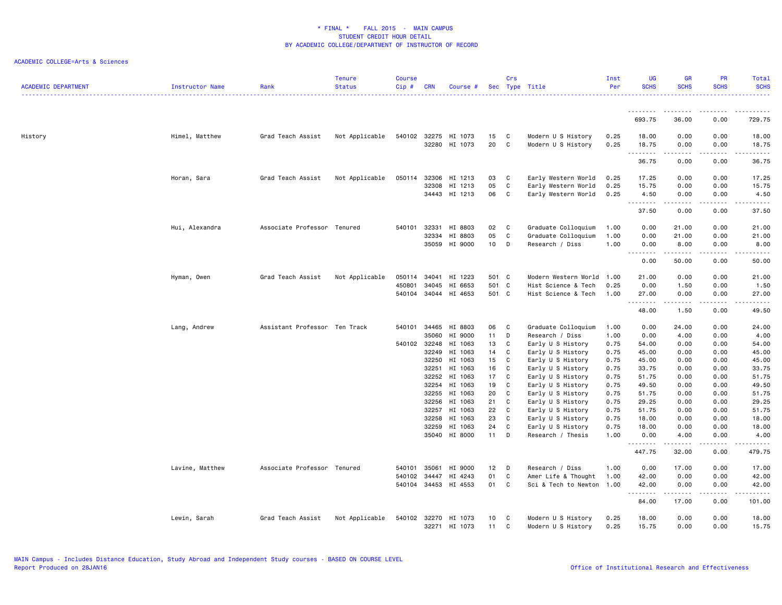| <b>ACADEMIC DEPARTMENT</b> | Instructor Name | Rank                          | <b>Tenure</b><br><b>Status</b> | <b>Course</b><br>Cip# | <b>CRN</b>     | Course #             |          | Crs          | Sec Type Title                         | Inst<br>Per  | UG<br><b>SCHS</b>                                                                                                                                                                                                                                                                                                                                                                                                                                                                               | <b>GR</b><br><b>SCHS</b> | <b>PR</b><br><b>SCHS</b>                                                                                                          | Total<br><b>SCHS</b>   |
|----------------------------|-----------------|-------------------------------|--------------------------------|-----------------------|----------------|----------------------|----------|--------------|----------------------------------------|--------------|-------------------------------------------------------------------------------------------------------------------------------------------------------------------------------------------------------------------------------------------------------------------------------------------------------------------------------------------------------------------------------------------------------------------------------------------------------------------------------------------------|--------------------------|-----------------------------------------------------------------------------------------------------------------------------------|------------------------|
|                            |                 |                               |                                |                       |                |                      |          |              |                                        |              |                                                                                                                                                                                                                                                                                                                                                                                                                                                                                                 |                          |                                                                                                                                   |                        |
|                            |                 |                               |                                |                       |                |                      |          |              |                                        |              | 693.75                                                                                                                                                                                                                                                                                                                                                                                                                                                                                          | 36.00                    | 0.00                                                                                                                              | 729.75                 |
| History                    | Himel, Matthew  | Grad Teach Assist             | Not Applicable                 | 540102 32275          |                | HI 1073              | 15       | C            | Modern U S History                     | 0.25         | 18.00                                                                                                                                                                                                                                                                                                                                                                                                                                                                                           | 0.00                     | 0.00                                                                                                                              | 18.00                  |
|                            |                 |                               |                                |                       |                | 32280 HI 1073        | 20       | C            | Modern U S History                     | 0.25         | 18.75<br>$\begin{array}{cccccccccccccc} \multicolumn{2}{c}{} & \multicolumn{2}{c}{} & \multicolumn{2}{c}{} & \multicolumn{2}{c}{} & \multicolumn{2}{c}{} & \multicolumn{2}{c}{} & \multicolumn{2}{c}{} & \multicolumn{2}{c}{} & \multicolumn{2}{c}{} & \multicolumn{2}{c}{} & \multicolumn{2}{c}{} & \multicolumn{2}{c}{} & \multicolumn{2}{c}{} & \multicolumn{2}{c}{} & \multicolumn{2}{c}{} & \multicolumn{2}{c}{} & \multicolumn{2}{c}{} & \multicolumn{2}{c}{} & \multicolumn{2}{c}{} & \$ | 0.00<br>.                | 0.00<br>$\frac{1}{2} \left( \frac{1}{2} \right) \left( \frac{1}{2} \right) \left( \frac{1}{2} \right) \left( \frac{1}{2} \right)$ | 18.75<br>.             |
|                            |                 |                               |                                |                       |                |                      |          |              |                                        |              | 36.75                                                                                                                                                                                                                                                                                                                                                                                                                                                                                           | 0.00                     | 0.00                                                                                                                              | 36.75                  |
|                            | Horan, Sara     | Grad Teach Assist             | Not Applicable                 | 050114                | 32306          | HI 1213              | 03       | C            | Early Western World                    | 0.25         | 17.25                                                                                                                                                                                                                                                                                                                                                                                                                                                                                           | 0.00                     | 0.00                                                                                                                              | 17.25                  |
|                            |                 |                               |                                |                       | 32308          | HI 1213              | 05       | $\mathtt{C}$ | Early Western World                    | 0.25         | 15.75                                                                                                                                                                                                                                                                                                                                                                                                                                                                                           | 0.00                     | 0.00                                                                                                                              | 15.75                  |
|                            |                 |                               |                                |                       |                | 34443 HI 1213        | 06       | $\mathbf{C}$ | Early Western World                    | 0.25         | 4.50<br>.                                                                                                                                                                                                                                                                                                                                                                                                                                                                                       | 0.00                     | 0.00                                                                                                                              | 4.50<br>$\frac{1}{2}$  |
|                            |                 |                               |                                |                       |                |                      |          |              |                                        |              | 37.50                                                                                                                                                                                                                                                                                                                                                                                                                                                                                           | 0.00                     | 0.00                                                                                                                              | 37.50                  |
|                            | Hui, Alexandra  | Associate Professor Tenured   |                                | 540101                | 32331          | HI 8803              | 02       | C            | Graduate Colloquium                    | 1.00         | 0.00                                                                                                                                                                                                                                                                                                                                                                                                                                                                                            | 21.00                    | 0.00                                                                                                                              | 21.00                  |
|                            |                 |                               |                                |                       | 32334          | HI 8803              | 05       | C            | Graduate Colloquium                    | 1.00         | 0.00                                                                                                                                                                                                                                                                                                                                                                                                                                                                                            | 21.00                    | 0.00                                                                                                                              | 21.00                  |
|                            |                 |                               |                                |                       | 35059          | HI 9000              | 10       | D            | Research / Diss                        | 1.00         | 0.00<br>.                                                                                                                                                                                                                                                                                                                                                                                                                                                                                       | 8.00<br>.                | 0.00                                                                                                                              | 8.00<br>د د د د د      |
|                            |                 |                               |                                |                       |                |                      |          |              |                                        |              | 0.00                                                                                                                                                                                                                                                                                                                                                                                                                                                                                            | 50.00                    | 0.00                                                                                                                              | 50.00                  |
|                            | Hyman, Owen     | Grad Teach Assist             | Not Applicable                 | 050114                | 34041          | HI 1223              | 501 C    |              | Modern Western World 1.00              |              | 21.00                                                                                                                                                                                                                                                                                                                                                                                                                                                                                           | 0.00                     | 0.00                                                                                                                              | 21.00                  |
|                            |                 |                               |                                | 450801                | 34045          | HI 6653              | 501 C    |              | Hist Science & Tech                    | 0.25         | 0.00                                                                                                                                                                                                                                                                                                                                                                                                                                                                                            | 1.50                     | 0.00                                                                                                                              | 1.50                   |
|                            |                 |                               |                                |                       |                | 540104 34044 HI 4653 | 501 C    |              | Hist Science & Tech                    | 1.00         | 27.00<br>.                                                                                                                                                                                                                                                                                                                                                                                                                                                                                      | 0.00<br>.                | 0.00<br>$\frac{1}{2}$                                                                                                             | 27.00<br>$\frac{1}{2}$ |
|                            |                 |                               |                                |                       |                |                      |          |              |                                        |              | 48.00                                                                                                                                                                                                                                                                                                                                                                                                                                                                                           | 1.50                     | 0.00                                                                                                                              | 49.50                  |
|                            | Lang, Andrew    | Assistant Professor Ten Track |                                | 540101                | 34465          | HI 8803              | 06       | C            | Graduate Colloquium                    | 1.00         | 0.00                                                                                                                                                                                                                                                                                                                                                                                                                                                                                            | 24.00                    | 0.00                                                                                                                              | 24.00                  |
|                            |                 |                               |                                |                       | 35060          | HI 9000              | 11       | D            | Research / Diss                        | 1.00         | 0.00                                                                                                                                                                                                                                                                                                                                                                                                                                                                                            | 4.00                     | 0.00                                                                                                                              | 4.00                   |
|                            |                 |                               |                                | 540102 32248          |                | HI 1063              | 13       | C            | Early U S History                      | 0.75         | 54.00                                                                                                                                                                                                                                                                                                                                                                                                                                                                                           | 0.00                     | 0.00                                                                                                                              | 54.00                  |
|                            |                 |                               |                                |                       | 32249          | HI 1063              | 14       | C            | Early U S History                      | 0.75         | 45.00                                                                                                                                                                                                                                                                                                                                                                                                                                                                                           | 0.00                     | 0.00                                                                                                                              | 45.00                  |
|                            |                 |                               |                                |                       | 32250          | HI 1063              | 15       | C            | Early U S History                      | 0.75         | 45.00                                                                                                                                                                                                                                                                                                                                                                                                                                                                                           | 0.00                     | 0.00                                                                                                                              | 45.00                  |
|                            |                 |                               |                                |                       | 32251          | HI 1063              | 16       | C            | Early U S History                      | 0.75         | 33.75                                                                                                                                                                                                                                                                                                                                                                                                                                                                                           | 0.00                     | 0.00                                                                                                                              | 33.75                  |
|                            |                 |                               |                                |                       | 32252          | HI 1063              | 17       | C            | Early U S History                      | 0.75         | 51.75                                                                                                                                                                                                                                                                                                                                                                                                                                                                                           | 0.00                     | 0.00                                                                                                                              | 51.75                  |
|                            |                 |                               |                                |                       | 32254<br>32255 | HI 1063<br>HI 1063   | 19<br>20 | C<br>C       | Early U S History                      | 0.75<br>0.75 | 49.50<br>51.75                                                                                                                                                                                                                                                                                                                                                                                                                                                                                  | 0.00<br>0.00             | 0.00<br>0.00                                                                                                                      | 49.50<br>51.75         |
|                            |                 |                               |                                |                       | 32256          | HI 1063              | 21       | C            | Early U S History<br>Early U S History | 0.75         | 29.25                                                                                                                                                                                                                                                                                                                                                                                                                                                                                           | 0.00                     | 0.00                                                                                                                              | 29.25                  |
|                            |                 |                               |                                |                       | 32257          | HI 1063              | 22       | C            | Early U S History                      | 0.75         | 51.75                                                                                                                                                                                                                                                                                                                                                                                                                                                                                           | 0.00                     | 0.00                                                                                                                              | 51.75                  |
|                            |                 |                               |                                |                       | 32258          | HI 1063              | 23       | C            | Early U S History                      | 0.75         | 18.00                                                                                                                                                                                                                                                                                                                                                                                                                                                                                           | 0.00                     | 0.00                                                                                                                              | 18.00                  |
|                            |                 |                               |                                |                       | 32259          | HI 1063              | 24       | C            | Early U S History                      | 0.75         | 18.00                                                                                                                                                                                                                                                                                                                                                                                                                                                                                           | 0.00                     | 0.00                                                                                                                              | 18.00                  |
|                            |                 |                               |                                |                       |                | 35040 HI 8000        | $11$ D   |              | Research / Thesis                      | 1.00         | 0.00                                                                                                                                                                                                                                                                                                                                                                                                                                                                                            | 4.00                     | 0.00                                                                                                                              | 4.00                   |
|                            |                 |                               |                                |                       |                |                      |          |              |                                        |              | 447.75                                                                                                                                                                                                                                                                                                                                                                                                                                                                                          | 32.00                    | 0.00                                                                                                                              | .<br>479.75            |
|                            | Lavine, Matthew | Associate Professor Tenured   |                                | 540101                | 35061          | HI 9000              | 12       | D            | Research / Diss                        | 1.00         | 0.00                                                                                                                                                                                                                                                                                                                                                                                                                                                                                            | 17.00                    | 0.00                                                                                                                              | 17.00                  |
|                            |                 |                               |                                | 540102                | 34447          | HI 4243              | 01       | C            | Amer Life & Thought                    | 1.00         | 42.00                                                                                                                                                                                                                                                                                                                                                                                                                                                                                           | 0.00                     | 0.00                                                                                                                              | 42.00                  |
|                            |                 |                               |                                |                       |                | 540104 34453 HI 4553 | 01       | C            | Sci & Tech to Newton 1.00              |              | 42.00<br>.                                                                                                                                                                                                                                                                                                                                                                                                                                                                                      | 0.00<br>.                | 0.00<br>.                                                                                                                         | 42.00<br>.             |
|                            |                 |                               |                                |                       |                |                      |          |              |                                        |              | 84.00                                                                                                                                                                                                                                                                                                                                                                                                                                                                                           | 17.00                    | 0.00                                                                                                                              | 101.00                 |
|                            | Lewin, Sarah    | Grad Teach Assist             | Not Applicable                 | 540102                | 32270          | HI 1073              | 10       | C            | Modern U S History                     | 0.25         | 18.00                                                                                                                                                                                                                                                                                                                                                                                                                                                                                           | 0.00                     | 0.00                                                                                                                              | 18.00                  |
|                            |                 |                               |                                |                       |                | 32271 HI 1073        | 11       | C            | Modern U S History                     | 0.25         | 15.75                                                                                                                                                                                                                                                                                                                                                                                                                                                                                           | 0.00                     | 0.00                                                                                                                              | 15.75                  |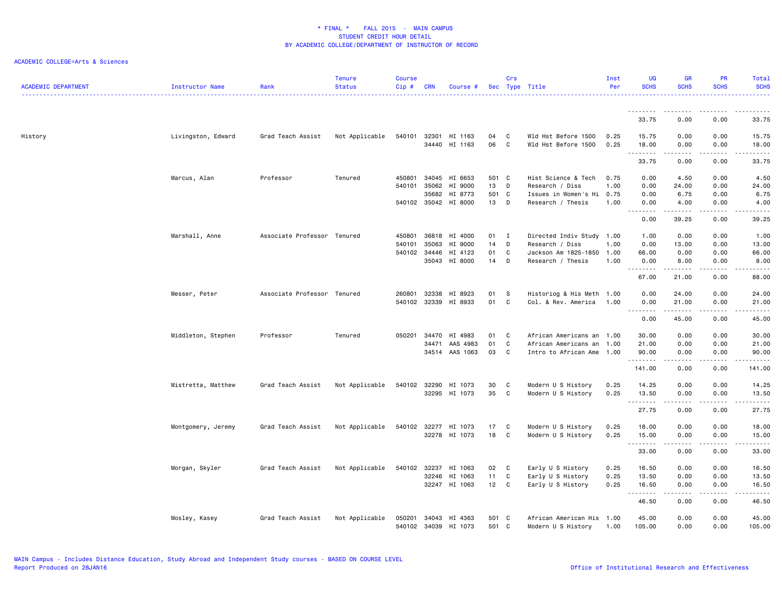| <b>ACADEMIC DEPARTMENT</b> | Instructor Name    | Rank                        | <b>Tenure</b><br><b>Status</b> | <b>Course</b><br>Cip# | <b>CRN</b>   | Course #             |       | Crs | Sec Type Title            | Inst<br>Per | UG<br><b>SCHS</b>                   | <b>GR</b><br><b>SCHS</b>                                                                                                                                     | <b>PR</b><br><b>SCHS</b>                                                                                                          | Total<br><b>SCHS</b>                                                                                                                                          |
|----------------------------|--------------------|-----------------------------|--------------------------------|-----------------------|--------------|----------------------|-------|-----|---------------------------|-------------|-------------------------------------|--------------------------------------------------------------------------------------------------------------------------------------------------------------|-----------------------------------------------------------------------------------------------------------------------------------|---------------------------------------------------------------------------------------------------------------------------------------------------------------|
|                            |                    |                             |                                |                       |              |                      |       |     |                           |             |                                     |                                                                                                                                                              |                                                                                                                                   |                                                                                                                                                               |
|                            |                    |                             |                                |                       |              |                      |       |     |                           |             | <u>.</u><br>33.75                   | 0.00                                                                                                                                                         | 0.00                                                                                                                              | 33.75                                                                                                                                                         |
| History                    | Livingston, Edward | Grad Teach Assist           | Not Applicable                 | 540101                | 32301        | HI 1163              | 04    | C   | Wld Hst Before 1500       | 0.25        | 15.75                               | 0.00                                                                                                                                                         | 0.00                                                                                                                              | 15.75                                                                                                                                                         |
|                            |                    |                             |                                |                       | 34440        | HI 1163              | 06    | C   | Wld Hst Before 1500       | 0.25        | 18.00<br>.                          | 0.00                                                                                                                                                         | 0.00<br>$\frac{1}{2} \left( \frac{1}{2} \right) \left( \frac{1}{2} \right) \left( \frac{1}{2} \right) \left( \frac{1}{2} \right)$ | 18.00<br>$\frac{1}{2} \left( \frac{1}{2} \right) \left( \frac{1}{2} \right) \left( \frac{1}{2} \right) \left( \frac{1}{2} \right) \left( \frac{1}{2} \right)$ |
|                            |                    |                             |                                |                       |              |                      |       |     |                           |             | 33.75                               | 0.00                                                                                                                                                         | 0.00                                                                                                                              | 33.75                                                                                                                                                         |
|                            | Marcus, Alan       | Professor                   | Tenured                        | 450801                | 34045        | HI 6653              | 501 C |     | Hist Science & Tech       | 0.75        | 0.00                                | 4.50                                                                                                                                                         | 0.00                                                                                                                              | 4.50                                                                                                                                                          |
|                            |                    |                             |                                | 540101                | 35062        | HI 9000              | 13    | D   | Research / Diss           | 1.00        | 0.00                                | 24.00                                                                                                                                                        | 0.00                                                                                                                              | 24.00                                                                                                                                                         |
|                            |                    |                             |                                |                       | 35682        | HI 8773              | 501 C |     | Issues in Women's Hi      | 0.75        | 0.00                                | 6.75                                                                                                                                                         | 0.00                                                                                                                              | 6.75                                                                                                                                                          |
|                            |                    |                             |                                |                       |              | 540102 35042 HI 8000 | 13    | D   | Research / Thesis         | 1.00        | 0.00<br>$\sim$ $\sim$ $\sim$        | 4.00<br><u>.</u>                                                                                                                                             | 0.00<br>$\sim$ $\sim$ $\sim$                                                                                                      | 4.00<br>-----                                                                                                                                                 |
|                            |                    |                             |                                |                       |              |                      |       |     |                           |             | 0.00                                | 39.25                                                                                                                                                        | 0.00                                                                                                                              | 39.25                                                                                                                                                         |
|                            | Marshall, Anne     | Associate Professor Tenured |                                | 450801                | 36818        | HI 4000              | 01 I  |     | Directed Indiv Study 1.00 |             | 1.00                                | 0.00                                                                                                                                                         | 0.00                                                                                                                              | 1.00                                                                                                                                                          |
|                            |                    |                             |                                | 540101                | 35063        | HI 9000              | 14    | D   | Research / Diss           | 1.00        | 0.00                                | 13.00                                                                                                                                                        | 0.00                                                                                                                              | 13.00                                                                                                                                                         |
|                            |                    |                             |                                |                       | 540102 34446 | HI 4123              | 01    | C   | Jackson Am 1825-1850      | 1.00        | 66.00                               | 0.00                                                                                                                                                         | 0.00                                                                                                                              | 66.00                                                                                                                                                         |
|                            |                    |                             |                                |                       | 35043        | HI 8000              | 14    | D   | Research / Thesis         | 1.00        | 0.00<br>$\sim$ $\sim$ $\sim$ $\sim$ | 8.00                                                                                                                                                         | 0.00                                                                                                                              | 8.00<br>-----                                                                                                                                                 |
|                            |                    |                             |                                |                       |              |                      |       |     |                           |             | 67.00                               | 21.00                                                                                                                                                        | 0.00                                                                                                                              | 88.00                                                                                                                                                         |
|                            | Messer, Peter      | Associate Professor Tenured |                                | 260801                | 32338        | HI 8923              | 01    | S   | Historiog & His Meth 1.00 |             | 0.00                                | 24.00                                                                                                                                                        | 0.00                                                                                                                              | 24.00                                                                                                                                                         |
|                            |                    |                             |                                | 540102                | 32339        | HI 8933              | 01    | C   | Col. & Rev. America       | 1.00        | 0.00<br>.                           | 21.00<br>.                                                                                                                                                   | 0.00<br>.                                                                                                                         | 21.00<br>.                                                                                                                                                    |
|                            |                    |                             |                                |                       |              |                      |       |     |                           |             | 0.00                                | 45.00                                                                                                                                                        | 0.00                                                                                                                              | 45.00                                                                                                                                                         |
|                            | Middleton, Stephen | Professor                   | Tenured                        | 050201                | 34470        | HI 4983              | 01    | C   | African Americans an 1.00 |             | 30.00                               | 0.00                                                                                                                                                         | 0.00                                                                                                                              | 30.00                                                                                                                                                         |
|                            |                    |                             |                                |                       | 34471        | AAS 4983             | 01    | C   | African Americans an      | 1.00        | 21.00                               | 0.00                                                                                                                                                         | 0.00                                                                                                                              | 21.00                                                                                                                                                         |
|                            |                    |                             |                                |                       | 34514        | AAS 1063             | 03    | C   | Intro to African Ame      | 1.00        | 90.00                               | 0.00                                                                                                                                                         | 0.00<br>$\sim$ $\sim$ $\sim$ $\sim$                                                                                               | 90.00<br>د د د د د                                                                                                                                            |
|                            |                    |                             |                                |                       |              |                      |       |     |                           |             | 141.00                              | 0.00                                                                                                                                                         | 0.00                                                                                                                              | 141.00                                                                                                                                                        |
|                            | Mistretta, Matthew | Grad Teach Assist           | Not Applicable                 |                       | 540102 32290 | HI 1073              | 30    | C   | Modern U S History        | 0.25        | 14.25                               | 0.00                                                                                                                                                         | 0.00                                                                                                                              | 14.25                                                                                                                                                         |
|                            |                    |                             |                                |                       |              | 32295 HI 1073        | 35    | C   | Modern U S History        | 0.25        | 13.50                               | 0.00                                                                                                                                                         | 0.00                                                                                                                              | 13.50                                                                                                                                                         |
|                            |                    |                             |                                |                       |              |                      |       |     |                           |             | 27.75                               | $\frac{1}{2} \left( \frac{1}{2} \right) \left( \frac{1}{2} \right) \left( \frac{1}{2} \right) \left( \frac{1}{2} \right) \left( \frac{1}{2} \right)$<br>0.00 | .<br>0.00                                                                                                                         | .<br>27.75                                                                                                                                                    |
|                            | Montgomery, Jeremy | Grad Teach Assist           | Not Applicable                 | 540102                | 32277        | HI 1073              | 17    | C   | Modern U S History        | 0.25        | 18.00                               | 0.00                                                                                                                                                         | 0.00                                                                                                                              | 18.00                                                                                                                                                         |
|                            |                    |                             |                                |                       |              | 32278 HI 1073        | 18    | C   | Modern U S History        | 0.25        | 15.00                               | 0.00                                                                                                                                                         | 0.00                                                                                                                              | 15.00                                                                                                                                                         |
|                            |                    |                             |                                |                       |              |                      |       |     |                           |             | .                                   | .                                                                                                                                                            | .                                                                                                                                 | .                                                                                                                                                             |
|                            |                    |                             |                                |                       |              |                      |       |     |                           |             | 33.00                               | 0.00                                                                                                                                                         | 0.00                                                                                                                              | 33.00                                                                                                                                                         |
|                            | Morgan, Skyler     | Grad Teach Assist           | Not Applicable                 | 540102                | 32237        | HI 1063              | 02    | C   | Early U S History         | 0.25        | 16.50                               | 0.00                                                                                                                                                         | 0.00                                                                                                                              | 16.50                                                                                                                                                         |
|                            |                    |                             |                                |                       | 32246        | HI 1063              | 11    | C   | Early U S History         | 0.25        | 13.50                               | 0.00                                                                                                                                                         | 0.00                                                                                                                              | 13.50                                                                                                                                                         |
|                            |                    |                             |                                |                       |              | 32247 HI 1063        | 12    | C   | Early U S History         | 0.25        | 16.50<br>.                          | 0.00<br>-----                                                                                                                                                | 0.00<br>.                                                                                                                         | 16.50<br>.                                                                                                                                                    |
|                            |                    |                             |                                |                       |              |                      |       |     |                           |             | 46.50                               | 0.00                                                                                                                                                         | 0.00                                                                                                                              | 46.50                                                                                                                                                         |
|                            | Mosley, Kasey      | Grad Teach Assist           | Not Applicable                 | 050201                | 34043        | HI 4363              | 501 C |     | African American His 1.00 |             | 45.00                               | 0.00                                                                                                                                                         | 0.00                                                                                                                              | 45.00                                                                                                                                                         |
|                            |                    |                             |                                | 540102                | 34039        | HI 1073              | 501   | C   | Modern U S History        | 1.00        | 105.00                              | 0.00                                                                                                                                                         | 0.00                                                                                                                              | 105.00                                                                                                                                                        |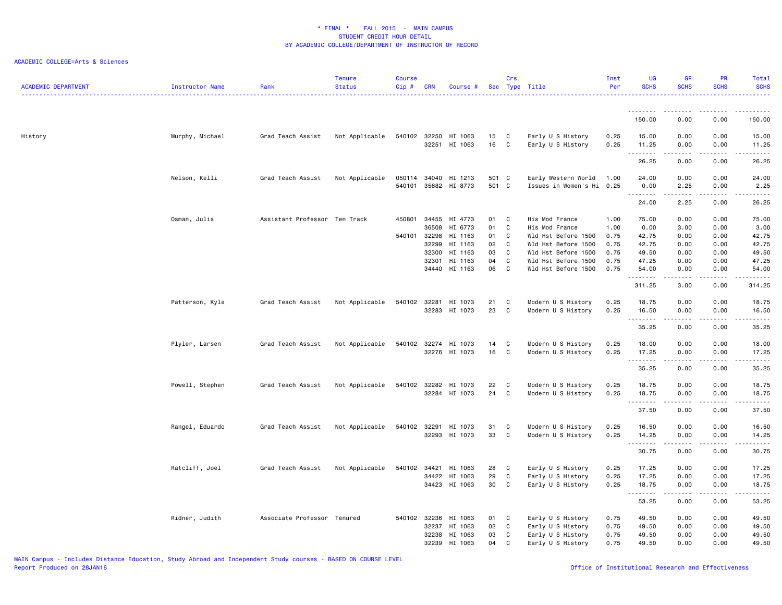| <b>ACADEMIC DEPARTMENT</b> | Instructor Name | Rank                          | <b>Tenure</b><br><b>Status</b> | <b>Course</b><br>Cip# | CRN            | Course #                 |              | Crs               | Sec Type Title                                   | Inst<br>Per  | <b>UG</b><br><b>SCHS</b> | <b>GR</b><br><b>SCHS</b>                                                                                                                                     | PR<br><b>SCHS</b>     | Total<br><b>SCHS</b>                                                                                                                                          |
|----------------------------|-----------------|-------------------------------|--------------------------------|-----------------------|----------------|--------------------------|--------------|-------------------|--------------------------------------------------|--------------|--------------------------|--------------------------------------------------------------------------------------------------------------------------------------------------------------|-----------------------|---------------------------------------------------------------------------------------------------------------------------------------------------------------|
|                            |                 |                               |                                |                       |                |                          |              |                   |                                                  |              | <u>.</u>                 |                                                                                                                                                              |                       |                                                                                                                                                               |
|                            |                 |                               |                                |                       |                |                          |              |                   |                                                  |              | 150.00                   | 0.00                                                                                                                                                         | 0.00                  | 150.00                                                                                                                                                        |
| History                    | Murphy, Michael | Grad Teach Assist             | Not Applicable                 | 540102 32250          | 32251          | HI 1063<br>HI 1063       | 15<br>16     | C<br>$\mathbf{C}$ | Early U S History<br>Early U S History           | 0.25<br>0.25 | 15.00<br>11.25           | 0.00<br>0.00<br>.                                                                                                                                            | 0.00<br>0.00<br>.     | 15.00<br>11.25<br>.                                                                                                                                           |
|                            |                 |                               |                                |                       |                |                          |              |                   |                                                  |              | .<br>26.25               | 0.00                                                                                                                                                         | 0.00                  | 26.25                                                                                                                                                         |
|                            | Nelson, Kelli   | Grad Teach Assist             | Not Applicable                 | 050114<br>540101      | 34040          | HI 1213<br>35682 HI 8773 | 501<br>501 C | $\mathbf{C}$      | Early Western World<br>Issues in Women's Hi 0.25 | 1.00         | 24.00<br>0.00            | 0.00<br>2.25                                                                                                                                                 | 0.00<br>0.00          | 24.00<br>2.25                                                                                                                                                 |
|                            |                 |                               |                                |                       |                |                          |              |                   |                                                  |              | .<br>24.00               | .<br>2.25                                                                                                                                                    | $\frac{1}{2}$<br>0.00 | د د د د د<br>26.25                                                                                                                                            |
|                            | Osman, Julia    | Assistant Professor Ten Track |                                | 450801                | 34455<br>36508 | HI 4773<br>HI 6773       | 01<br>01     | C<br>C            | His Mod France<br>His Mod France                 | 1.00<br>1.00 | 75.00<br>0.00            | 0.00<br>3.00                                                                                                                                                 | 0.00<br>0.00          | 75.00<br>3.00                                                                                                                                                 |
|                            |                 |                               |                                | 540101                | 32298          | HI 1163                  | 01           | C                 | Wld Hst Before 1500                              | 0.75         | 42.75                    | 0.00                                                                                                                                                         | 0.00                  | 42.75                                                                                                                                                         |
|                            |                 |                               |                                |                       | 32299          | HI 1163                  | 02<br>03     | C<br>C            | Wld Hst Before 1500                              | 0.75         | 42.75                    | 0.00                                                                                                                                                         | 0.00                  | 42.75                                                                                                                                                         |
|                            |                 |                               |                                |                       | 32300<br>32301 | HI 1163<br>HI 1163       | 04           | C                 | Wld Hst Before 1500<br>Wld Hst Before 1500       | 0.75<br>0.75 | 49.50<br>47.25           | 0.00<br>0.00                                                                                                                                                 | 0.00<br>0.00          | 49.50<br>47.25                                                                                                                                                |
|                            |                 |                               |                                |                       |                | 34440 HI 1163            | 06           | C                 | Wld Hst Before 1500                              | 0.75         | 54.00                    | 0.00                                                                                                                                                         | 0.00                  | 54.00                                                                                                                                                         |
|                            |                 |                               |                                |                       |                |                          |              |                   |                                                  |              | .<br>311.25              | $\frac{1}{2} \left( \frac{1}{2} \right) \left( \frac{1}{2} \right) \left( \frac{1}{2} \right) \left( \frac{1}{2} \right) \left( \frac{1}{2} \right)$<br>3.00 | .<br>0.00             | .<br>314.25                                                                                                                                                   |
|                            | Patterson, Kyle | Grad Teach Assist             | Not Applicable                 | 540102                | 32281          | HI 1073                  | 21           | C                 | Modern U S History                               | 0.25         | 18.75                    | 0.00                                                                                                                                                         | 0.00                  | 18.75                                                                                                                                                         |
|                            |                 |                               |                                |                       | 32283          | HI 1073                  | 23           | C                 | Modern U S History                               | 0.25         | 16.50                    | 0.00                                                                                                                                                         | 0.00                  | 16.50                                                                                                                                                         |
|                            |                 |                               |                                |                       |                |                          |              |                   |                                                  |              | .<br>35.25               | $\frac{1}{2} \left( \frac{1}{2} \right) \left( \frac{1}{2} \right) \left( \frac{1}{2} \right) \left( \frac{1}{2} \right) \left( \frac{1}{2} \right)$<br>0.00 | .<br>0.00             | .<br>35.25                                                                                                                                                    |
|                            | Plyler, Larsen  | Grad Teach Assist             | Not Applicable                 | 540102                | 32274          | HI 1073                  | 14           | C                 | Modern U S History                               | 0.25         | 18.00                    | 0.00                                                                                                                                                         | 0.00                  | 18.00                                                                                                                                                         |
|                            |                 |                               |                                |                       | 32276          | HI 1073                  | 16           | C                 | Modern U S History                               | 0.25         | 17.25                    | 0.00                                                                                                                                                         | 0.00                  | 17.25                                                                                                                                                         |
|                            |                 |                               |                                |                       |                |                          |              |                   |                                                  |              | .<br>35.25               | -----<br>0.00                                                                                                                                                | $\frac{1}{2}$<br>0.00 | .<br>35.25                                                                                                                                                    |
|                            |                 |                               |                                |                       |                |                          |              |                   |                                                  |              |                          |                                                                                                                                                              |                       |                                                                                                                                                               |
|                            | Powell, Stephen | Grad Teach Assist             | Not Applicable                 | 540102 32282          |                | HI 1073<br>32284 HI 1073 | 22<br>24     | C<br>C            | Modern U S History<br>Modern U S History         | 0.25<br>0.25 | 18.75<br>18.75           | 0.00<br>0.00                                                                                                                                                 | 0.00<br>0.00          | 18.75<br>18.75                                                                                                                                                |
|                            |                 |                               |                                |                       |                |                          |              |                   |                                                  |              | .<br>37.50               | $\frac{1}{2} \left( \frac{1}{2} \right) \left( \frac{1}{2} \right) \left( \frac{1}{2} \right) \left( \frac{1}{2} \right) \left( \frac{1}{2} \right)$<br>0.00 | .<br>0.00             | .<br>37.50                                                                                                                                                    |
|                            |                 |                               |                                |                       |                |                          |              |                   |                                                  |              |                          |                                                                                                                                                              |                       |                                                                                                                                                               |
|                            | Rangel, Eduardo | Grad Teach Assist             | Not Applicable                 | 540102                | 32291          | HI 1073                  | 31           | C                 | Modern U S History                               | 0.25         | 16.50                    | 0.00                                                                                                                                                         | 0.00                  | 16.50                                                                                                                                                         |
|                            |                 |                               |                                |                       | 32293          | HI 1073                  | 33           | C                 | Modern U S History                               | 0.25         | 14.25<br>.               | 0.00<br>$\frac{1}{2} \left( \frac{1}{2} \right) \left( \frac{1}{2} \right) \left( \frac{1}{2} \right) \left( \frac{1}{2} \right) \left( \frac{1}{2} \right)$ | 0.00<br>.             | 14.25<br>.                                                                                                                                                    |
|                            |                 |                               |                                |                       |                |                          |              |                   |                                                  |              | 30.75                    | 0.00                                                                                                                                                         | 0.00                  | 30.75                                                                                                                                                         |
|                            | Ratcliff, Joel  | Grad Teach Assist             | Not Applicable                 | 540102                | 34421          | HI 1063                  | 28           | C                 | Early U S History                                | 0.25         | 17.25                    | 0.00                                                                                                                                                         | 0.00                  | 17.25                                                                                                                                                         |
|                            |                 |                               |                                |                       | 34422          | HI 1063                  | 29           | C                 | Early U S History                                | 0.25         | 17.25                    | 0.00                                                                                                                                                         | 0.00                  | 17.25                                                                                                                                                         |
|                            |                 |                               |                                |                       |                | 34423 HI 1063            | 30           | C                 | Early U S History                                | 0.25         | 18.75                    | 0.00                                                                                                                                                         | 0.00                  | 18.75                                                                                                                                                         |
|                            |                 |                               |                                |                       |                |                          |              |                   |                                                  |              | <u>.</u><br>53.25        | 0.00                                                                                                                                                         | $\frac{1}{2}$<br>0.00 | $\frac{1}{2} \left( \frac{1}{2} \right) \left( \frac{1}{2} \right) \left( \frac{1}{2} \right) \left( \frac{1}{2} \right) \left( \frac{1}{2} \right)$<br>53.25 |
|                            | Ridner, Judith  | Associate Professor Tenured   |                                | 540102 32236          |                | HI 1063                  | 01           | C                 | Early U S History                                | 0.75         | 49.50                    | 0.00                                                                                                                                                         | 0.00                  | 49.50                                                                                                                                                         |
|                            |                 |                               |                                |                       | 32237          | HI 1063                  | 02           | C                 | Early U S History                                | 0.75         | 49.50                    | 0.00                                                                                                                                                         | 0.00                  | 49.50                                                                                                                                                         |
|                            |                 |                               |                                |                       | 32238          | HI 1063                  | 03           | C                 | Early U S History                                | 0.75         | 49.50                    | 0.00                                                                                                                                                         | 0.00                  | 49.50                                                                                                                                                         |
|                            |                 |                               |                                |                       | 32239          | HI 1063                  | 04           | C                 | Early U S History                                | 0.75         | 49.50                    | 0.00                                                                                                                                                         | 0.00                  | 49.50                                                                                                                                                         |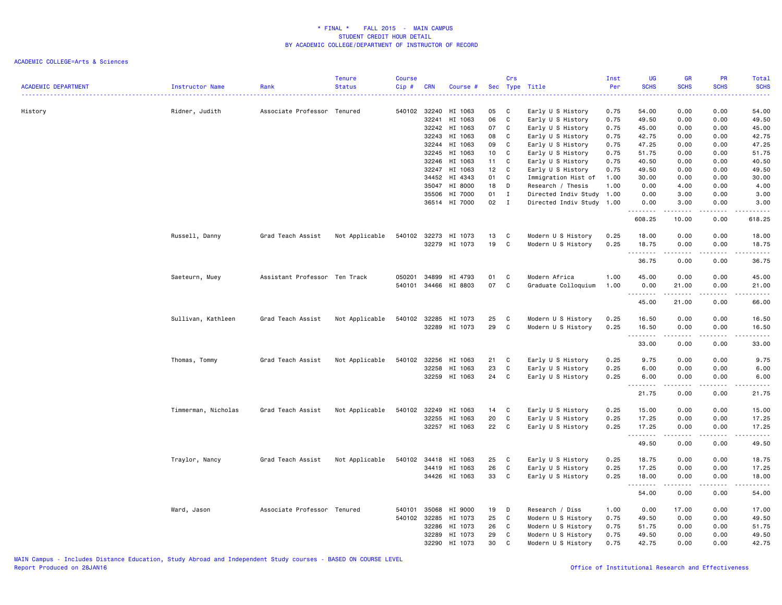| <b>ACADEMIC DEPARTMENT</b> | <b>Instructor Name</b> | Rank                          | <b>Tenure</b><br><b>Status</b> | <b>Course</b><br>Cip# | <b>CRN</b>            | Course #             |          | Crs          | Sec Type Title                           | Inst<br>Per  | <b>UG</b><br><b>SCHS</b> | <b>GR</b><br><b>SCHS</b> | PR<br><b>SCHS</b> | Total<br><b>SCHS</b> |
|----------------------------|------------------------|-------------------------------|--------------------------------|-----------------------|-----------------------|----------------------|----------|--------------|------------------------------------------|--------------|--------------------------|--------------------------|-------------------|----------------------|
| History                    | Ridner, Judith         | Associate Professor Tenured   |                                |                       | 540102 32240<br>32241 | HI 1063<br>HI 1063   | 05<br>06 | C<br>C       | Early U S History<br>Early U S History   | 0.75<br>0.75 | 54.00<br>49.50           | 0.00<br>0.00             | 0.00<br>0.00      | 54.00<br>49.50       |
|                            |                        |                               |                                |                       | 32242                 | HI 1063              | 07       | C            | Early U S History                        | 0.75         | 45.00                    | 0.00                     | 0.00              | 45.00                |
|                            |                        |                               |                                |                       | 32243                 | HI 1063              | 08       | C            | Early U S History                        | 0.75         | 42.75                    | 0.00                     | 0.00              | 42.75                |
|                            |                        |                               |                                |                       | 32244                 | HI 1063              | 09       | C            | Early U S History                        | 0.75         | 47.25                    | 0.00                     | 0.00              | 47.25                |
|                            |                        |                               |                                |                       | 32245                 | HI 1063              | 10       | C            | Early U S History                        | 0.75         | 51.75                    | 0.00                     | 0.00              | 51.75                |
|                            |                        |                               |                                |                       | 32246                 | HI 1063              | 11       | C            | Early U S History                        | 0.75         | 40.50                    | 0.00                     | 0.00              | 40.50                |
|                            |                        |                               |                                |                       | 32247                 | HI 1063              | 12       | C            | Early U S History                        | 0.75         | 49.50                    | 0.00                     | 0.00              | 49.50                |
|                            |                        |                               |                                |                       | 34452                 | HI 4343              | 01       | C            | Immigration Hist of                      | 1.00         | 30.00                    | 0.00                     | 0.00              | 30.00                |
|                            |                        |                               |                                |                       | 35047                 | HI 8000              | 18       | D            | Research / Thesis                        | 1.00         | 0.00                     | 4.00                     | 0.00              | 4.00                 |
|                            |                        |                               |                                |                       | 35506                 | HI 7000              | 01       | $\mathbf I$  | Directed Indiv Study 1.00                |              | 0.00                     | 3.00                     | 0.00              | 3.00                 |
|                            |                        |                               |                                |                       |                       | 36514 HI 7000        | 02       | $\mathbf{I}$ | Directed Indiv Study 1.00                |              | 0.00<br><u>.</u>         | 3.00<br>.                | 0.00<br>.         | 3.00<br>.            |
|                            |                        |                               |                                |                       |                       |                      |          |              |                                          |              | 608.25                   | 10.00                    | 0.00              | 618.25               |
|                            | Russell, Danny         | Grad Teach Assist             | Not Applicable                 |                       |                       | 540102 32273 HI 1073 | 13       | C            | Modern U S History                       | 0.25         | 18.00                    | 0.00                     | 0.00              | 18.00                |
|                            |                        |                               |                                |                       |                       | 32279 HI 1073        | 19       | C            | Modern U S History                       | 0.25         | 18.75                    | 0.00                     | 0.00              | 18.75                |
|                            |                        |                               |                                |                       |                       |                      |          |              |                                          |              | <u>.</u><br>36.75        | .<br>0.00                | .<br>0.00         | .<br>36.75           |
|                            |                        |                               |                                |                       |                       |                      |          |              |                                          |              |                          |                          |                   |                      |
|                            | Saeteurn, Muey         | Assistant Professor Ten Track |                                | 050201                | 34899                 | HI 4793              | 01       | C            | Modern Africa                            | 1.00         | 45.00                    | 0.00                     | 0.00              | 45.00                |
|                            |                        |                               |                                | 540101                |                       | 34466 HI 8803        | 07       | C            | Graduate Colloquium                      | 1.00         | 0.00                     | 21.00                    | 0.00              | 21.00                |
|                            |                        |                               |                                |                       |                       |                      |          |              |                                          |              | .<br>45.00               | .<br>21.00               | .<br>0.00         | .<br>66.00           |
|                            |                        |                               |                                | 540102                | 32285                 | HI 1073              |          |              |                                          |              |                          |                          | 0.00              |                      |
|                            | Sullivan, Kathleen     | Grad Teach Assist             | Not Applicable                 |                       |                       | 32289 HI 1073        | 25<br>29 | C<br>C       | Modern U S History<br>Modern U S History | 0.25<br>0.25 | 16.50<br>16.50           | 0.00<br>0.00             | 0.00              | 16.50<br>16.50       |
|                            |                        |                               |                                |                       |                       |                      |          |              |                                          |              |                          |                          |                   |                      |
|                            |                        |                               |                                |                       |                       |                      |          |              |                                          |              | 33.00                    | 0.00                     | 0.00              | 33.00                |
|                            | Thomas, Tommy          | Grad Teach Assist             | Not Applicable                 | 540102                | 32256                 | HI 1063              | 21       | C            | Early U S History                        | 0.25         | 9.75                     | 0.00                     | 0.00              | 9.75                 |
|                            |                        |                               |                                |                       | 32258                 | HI 1063              | 23       | C            | Early U S History                        | 0.25         | 6.00                     | 0.00                     | 0.00              | 6.00                 |
|                            |                        |                               |                                |                       | 32259                 | HI 1063              | 24       | C            | Early U S History                        | 0.25         | 6.00                     | 0.00                     | 0.00              | 6.00                 |
|                            |                        |                               |                                |                       |                       |                      |          |              |                                          |              |                          |                          |                   |                      |
|                            |                        |                               |                                |                       |                       |                      |          |              |                                          |              | 21.75                    | 0.00                     | 0.00              | 21.75                |
|                            | Timmerman, Nicholas    | Grad Teach Assist             | Not Applicable                 | 540102                | 32249                 | HI 1063              | 14       | C            | Early U S History                        | 0.25         | 15.00                    | 0.00                     | 0.00              | 15.00                |
|                            |                        |                               |                                |                       | 32255                 | HI 1063              | 20       | C            | Early U S History                        | 0.25         | 17.25                    | 0.00                     | 0.00              | 17.25                |
|                            |                        |                               |                                |                       |                       | 32257 HI 1063        | 22       | C            | Early U S History                        | 0.25         | 17.25                    | 0.00                     | 0.00              | 17.25                |
|                            |                        |                               |                                |                       |                       |                      |          |              |                                          |              | 49.50                    | .<br>0.00                | .<br>0.00         | .<br>49.50           |
|                            | Traylor, Nancy         | Grad Teach Assist             | Not Applicable                 | 540102                | 34418                 | HI 1063              | 25       | C            | Early U S History                        | 0.25         | 18.75                    | 0.00                     | 0.00              | 18.75                |
|                            |                        |                               |                                |                       | 34419                 | HI 1063              | 26       | C            | Early U S History                        | 0.25         | 17.25                    | 0.00                     | 0.00              | 17.25                |
|                            |                        |                               |                                |                       |                       | 34426 HI 1063        | 33       | C            | Early U S History                        | 0.25         | 18.00                    | 0.00                     | 0.00              | 18.00                |
|                            |                        |                               |                                |                       |                       |                      |          |              |                                          |              | <u>.</u>                 | .                        | .                 | .                    |
|                            |                        |                               |                                |                       |                       |                      |          |              |                                          |              | 54.00                    | 0.00                     | 0.00              | 54.00                |
|                            | Ward, Jason            | Associate Professor Tenured   |                                | 540101                | 35068                 | HI 9000              | 19       | D            | Research / Diss                          | 1.00         | 0.00                     | 17.00                    | 0.00              | 17.00                |
|                            |                        |                               |                                | 540102 32285          |                       | HI 1073              | 25       | C            | Modern U S History                       | 0.75         | 49.50                    | 0.00                     | 0.00              | 49.50                |
|                            |                        |                               |                                |                       | 32286                 | HI 1073              | 26       | C            | Modern U S History                       | 0.75         | 51.75                    | 0.00                     | 0.00              | 51.75                |
|                            |                        |                               |                                |                       | 32289                 | HI 1073              | 29       | C            | Modern U S History                       | 0.75         | 49.50                    | 0.00                     | 0.00              | 49.50                |
|                            |                        |                               |                                |                       | 32290                 | HI 1073              | 30       | C            | Modern U S History                       | 0.75         | 42.75                    | 0.00                     | 0.00              | 42.75                |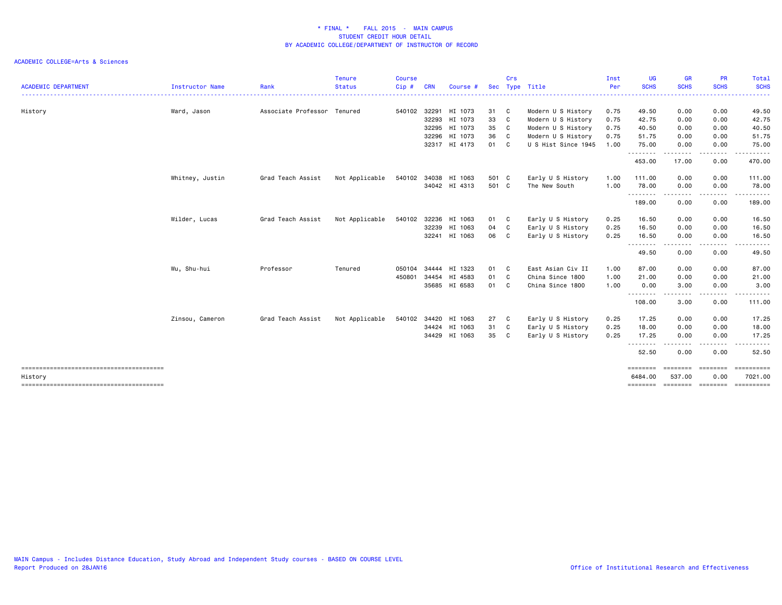|                            |                        |                     | <b>Tenure</b>  | <b>Course</b> |              |                      |       | Crs            |                     | Inst | <b>UG</b>           | <b>GR</b>              | <b>PR</b>               | <b>Total</b>     |
|----------------------------|------------------------|---------------------|----------------|---------------|--------------|----------------------|-------|----------------|---------------------|------|---------------------|------------------------|-------------------------|------------------|
| <b>ACADEMIC DEPARTMENT</b> | <b>Instructor Name</b> | Rank                | <b>Status</b>  | Cip#          | <b>CRN</b>   | Course #             |       | Sec Type       | Title               | Per  | <b>SCHS</b>         | <b>SCHS</b>            | <b>SCHS</b>             | <b>SCHS</b>      |
| History                    | Ward, Jason            | Associate Professor | Tenured        |               |              | 540102 32291 HI 1073 | 31    | $\mathbf{C}$   | Modern U S History  | 0.75 | 49.50               | 0.00                   | 0.00                    | 49.50            |
|                            |                        |                     |                |               | 32293        | HI 1073              | 33    | $\mathbf{C}$   | Modern U S History  | 0.75 | 42.75               | 0.00                   | 0.00                    | 42.75            |
|                            |                        |                     |                |               | 32295        | HI 1073              | 35    | $\mathbf{C}$   | Modern U S History  | 0.75 | 40.50               | 0.00                   | 0.00                    | 40.50            |
|                            |                        |                     |                |               | 32296        | HI 1073              | 36    | $\overline{c}$ | Modern U S History  | 0.75 | 51.75               | 0.00                   | 0.00                    | 51.75            |
|                            |                        |                     |                |               |              | 32317 HI 4173        | 01 C  |                | U S Hist Since 1945 | 1.00 | 75.00<br>.          | 0.00<br>.              | 0.00<br>-----           | 75.00<br>------  |
|                            |                        |                     |                |               |              |                      |       |                |                     |      | 453.00              | 17.00                  | 0.00                    | 470.00           |
|                            | Whitney, Justin        | Grad Teach Assist   | Not Applicable | 540102        |              | 34038 HI 1063        | 501 C |                | Early U S History   | 1.00 | 111.00              | 0.00                   | 0.00                    | 111.00           |
|                            |                        |                     |                |               |              | 34042 HI 4313        | 501 C |                | The New South       | 1.00 | 78.00               | 0.00                   | 0.00                    | 78.00            |
|                            |                        |                     |                |               |              |                      |       |                |                     |      | .<br>189.00         | .<br>0.00              | . <b>.</b><br>0.00      | ------<br>189.00 |
|                            | Wilder, Lucas          | Grad Teach Assist   | Not Applicable | 540102        | 32236        | HI 1063              | 01    | C              | Early U S History   | 0.25 | 16.50               | 0.00                   | 0.00                    | 16.50            |
|                            |                        |                     |                |               | 32239        | HI 1063              | 04    | C              | Early U S History   | 0.25 | 16.50               | 0.00                   | 0.00                    | 16.50            |
|                            |                        |                     |                |               |              | 32241 HI 1063        | 06 C  |                | Early U S History   | 0.25 | 16.50               | 0.00                   | 0.00                    | 16.50            |
|                            |                        |                     |                |               |              |                      |       |                |                     |      | <u>.</u><br>49.50   | . <b>. .</b> .<br>0.00 | .<br>0.00               | .<br>49.50       |
|                            | Wu, Shu-hui            | Professor           | Tenured        | 050104        | 34444        | HI 1323              | 01 C  |                | East Asian Civ II   | 1.00 | 87.00               | 0.00                   | 0.00                    | 87.00            |
|                            |                        |                     |                | 450801        | 34454        | HI 4583              | 01 C  |                | China Since 1800    | 1.00 | 21.00               | 0.00                   | 0.00                    | 21.00            |
|                            |                        |                     |                |               |              | 35685 HI 6583        | 01 C  |                | China Since 1800    | 1.00 | 0.00                | 3.00                   | 0.00                    | 3.00             |
|                            |                        |                     |                |               |              |                      |       |                |                     |      | 108.00              | $- - -$<br>3.00        | . <u>.</u> .<br>0.00    | 111.00           |
|                            | Zinsou, Cameron        | Grad Teach Assist   | Not Applicable |               | 540102 34420 | HI 1063              | 27    | C              | Early U S History   | 0.25 | 17.25               | 0.00                   | 0.00                    | 17.25            |
|                            |                        |                     |                |               |              | 34424 HI 1063        | 31    | C              | Early U S History   | 0.25 | 18.00               | 0.00                   | 0.00                    | 18.00            |
|                            |                        |                     |                |               | 34429        | HI 1063              | 35 C  |                | Early U S History   | 0.25 | 17.25               | 0.00                   | 0.00                    | 17.25            |
|                            |                        |                     |                |               |              |                      |       |                |                     |      | 52.50               | 0.00                   | 0.00                    | 52.50            |
|                            |                        |                     |                |               |              |                      |       |                |                     |      | ========            | ========               | ========                | ==========       |
| History                    |                        |                     |                |               |              |                      |       |                |                     |      | 6484.00<br>======== | 537.00<br>========     | 0.00<br><b>EEEEEEEE</b> | 7021.00          |
|                            |                        |                     |                |               |              |                      |       |                |                     |      |                     |                        |                         |                  |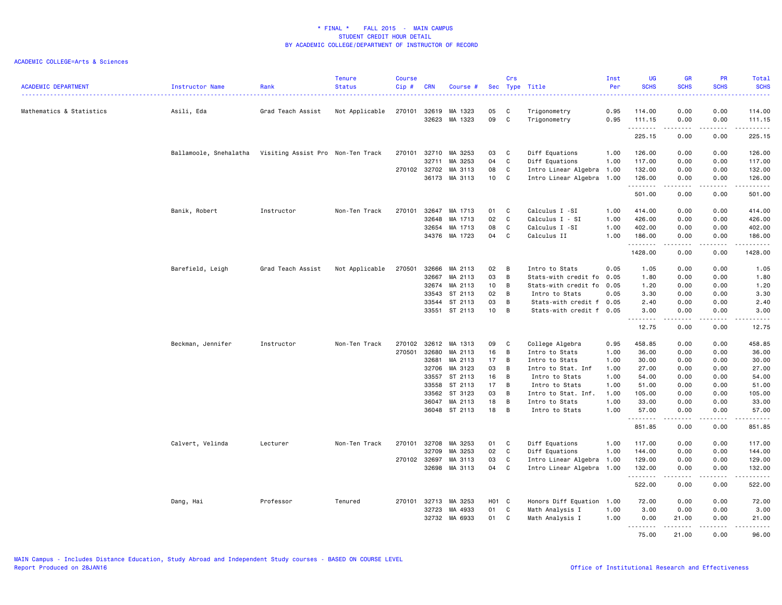| <b>ACADEMIC DEPARTMENT</b> | Instructor Name                                          | Rank              | <b>Tenure</b><br><b>Status</b><br>. | <b>Course</b><br>Cip# | <b>CRN</b> | Course #      |                 | Crs         | Sec Type Title<br>.       | Inst<br>Per<br><u>.</u> | UG<br><b>SCHS</b><br>$\frac{1}{2} \left( \frac{1}{2} \right) \left( \frac{1}{2} \right) \left( \frac{1}{2} \right) \left( \frac{1}{2} \right)$ | GR<br><b>SCHS</b>   | PR<br><b>SCHS</b><br>$\frac{1}{2} \left( \frac{1}{2} \right) \left( \frac{1}{2} \right) \left( \frac{1}{2} \right) \left( \frac{1}{2} \right)$ | Total<br><b>SCHS</b><br>22222                                                                                                      |
|----------------------------|----------------------------------------------------------|-------------------|-------------------------------------|-----------------------|------------|---------------|-----------------|-------------|---------------------------|-------------------------|------------------------------------------------------------------------------------------------------------------------------------------------|---------------------|------------------------------------------------------------------------------------------------------------------------------------------------|------------------------------------------------------------------------------------------------------------------------------------|
| Mathematics & Statistics   | Asili, Eda                                               | Grad Teach Assist | Not Applicable                      | 270101                | 32619      | MA 1323       | 05              | C           | Trigonometry              | 0.95                    | 114.00                                                                                                                                         | 0.00                | 0.00                                                                                                                                           | 114.00                                                                                                                             |
|                            |                                                          |                   |                                     |                       | 32623      | MA 1323       | 09              | C           | Trigonometry              | 0.95                    | 111.15                                                                                                                                         | 0.00                | 0.00                                                                                                                                           | 111.15                                                                                                                             |
|                            |                                                          |                   |                                     |                       |            |               |                 |             |                           |                         | --------<br>225.15                                                                                                                             | -----<br>0.00       | .<br>0.00                                                                                                                                      | .<br>225.15                                                                                                                        |
|                            | Ballamoole, Snehalatha Visiting Assist Pro Non-Ten Track |                   |                                     | 270101                | 32710      | MA 3253       | 03              | C           | Diff Equations            | 1.00                    | 126.00                                                                                                                                         | 0.00                | 0.00                                                                                                                                           | 126.00                                                                                                                             |
|                            |                                                          |                   |                                     |                       | 32711      | MA 3253       | 04              | C           | Diff Equations            | 1.00                    | 117.00                                                                                                                                         | 0.00                | 0.00                                                                                                                                           | 117.00                                                                                                                             |
|                            |                                                          |                   |                                     | 270102 32702          |            | MA 3113       | 08              | C           | Intro Linear Algebra 1.00 |                         | 132.00                                                                                                                                         | 0.00                | 0.00                                                                                                                                           | 132.00                                                                                                                             |
|                            |                                                          |                   |                                     |                       | 36173      | MA 3113       | 10              | C           | Intro Linear Algebra 1.00 |                         | 126.00<br>.                                                                                                                                    | 0.00<br>$- - - - -$ | 0.00<br>.                                                                                                                                      | 126.00<br>------                                                                                                                   |
|                            |                                                          |                   |                                     |                       |            |               |                 |             |                           |                         | 501.00                                                                                                                                         | 0.00                | 0.00                                                                                                                                           | 501.00                                                                                                                             |
|                            | Banik, Robert                                            | Instructor        | Non-Ten Track                       | 270101                | 32647      | MA 1713       | 01              | C           | Calculus I -SI            | 1.00                    | 414.00                                                                                                                                         | 0.00                | 0.00                                                                                                                                           | 414.00                                                                                                                             |
|                            |                                                          |                   |                                     |                       | 32648      | MA 1713       | 02              | $\mathbf c$ | Calculus I - SI           | 1.00                    | 426.00                                                                                                                                         | 0.00                | 0.00                                                                                                                                           | 426.00                                                                                                                             |
|                            |                                                          |                   |                                     |                       | 32654      | MA 1713       | 08              | C           | Calculus I -SI            | 1.00                    | 402.00                                                                                                                                         | 0.00                | 0.00                                                                                                                                           | 402.00                                                                                                                             |
|                            |                                                          |                   |                                     |                       |            | 34376 MA 1723 | 04              | C           | Calculus II               | 1.00                    | 186.00<br>.                                                                                                                                    | 0.00                | 0.00                                                                                                                                           | 186.00<br>.                                                                                                                        |
|                            |                                                          |                   |                                     |                       |            |               |                 |             |                           |                         | 1428.00                                                                                                                                        | 0.00                | 0.00                                                                                                                                           | 1428.00                                                                                                                            |
|                            | Barefield, Leigh                                         | Grad Teach Assist | Not Applicable                      | 270501                | 32666      | MA 2113       | 02              | B           | Intro to Stats            | 0.05                    | 1.05                                                                                                                                           | 0.00                | 0.00                                                                                                                                           | 1.05                                                                                                                               |
|                            |                                                          |                   |                                     |                       | 32667      | MA 2113       | 03              | в           | Stats-with credit fo      | 0.05                    | 1.80                                                                                                                                           | 0.00                | 0.00                                                                                                                                           | 1.80                                                                                                                               |
|                            |                                                          |                   |                                     |                       | 32674      | MA 2113       | 10              | B           | Stats-with credit fo      | 0.05                    | 1.20                                                                                                                                           | 0.00                | 0.00                                                                                                                                           | 1.20                                                                                                                               |
|                            |                                                          |                   |                                     |                       | 33543      | ST 2113       | 02              | B           | Intro to Stats            | 0.05                    | 3.30                                                                                                                                           | 0.00                | 0.00                                                                                                                                           | 3.30                                                                                                                               |
|                            |                                                          |                   |                                     |                       | 33544      | ST 2113       | 03              | в           | Stats-with credit f       | 0.05                    | 2.40                                                                                                                                           | 0.00                | 0.00                                                                                                                                           | 2.40                                                                                                                               |
|                            |                                                          |                   |                                     |                       |            | 33551 ST 2113 | 10 <sub>1</sub> | в           | Stats-with credit f       | 0.05                    | 3.00                                                                                                                                           | 0.00                | 0.00                                                                                                                                           | 3.00                                                                                                                               |
|                            |                                                          |                   |                                     |                       |            |               |                 |             |                           |                         | 12.75                                                                                                                                          | -----<br>0.00       | .<br>0.00                                                                                                                                      | د د د د د<br>12.75                                                                                                                 |
|                            | Beckman, Jennifer                                        | Instructor        | Non-Ten Track                       | 270102                | 32612      | MA 1313       | 09              | C           | College Algebra           | 0.95                    | 458.85                                                                                                                                         | 0.00                | 0.00                                                                                                                                           | 458.85                                                                                                                             |
|                            |                                                          |                   |                                     | 270501                | 32680      | MA 2113       | 16              | в           | Intro to Stats            | 1.00                    | 36.00                                                                                                                                          | 0.00                | 0.00                                                                                                                                           | 36.00                                                                                                                              |
|                            |                                                          |                   |                                     |                       | 32681      | MA 2113       | 17              | в           | Intro to Stats            | 1.00                    | 30.00                                                                                                                                          | 0.00                | 0.00                                                                                                                                           | 30.00                                                                                                                              |
|                            |                                                          |                   |                                     |                       | 32706      | MA 3123       | 03              | B           | Intro to Stat. Inf        | 1.00                    | 27.00                                                                                                                                          | 0.00                | 0.00                                                                                                                                           | 27.00                                                                                                                              |
|                            |                                                          |                   |                                     |                       | 33557      | ST 2113       | 16              | B           | Intro to Stats            | 1.00                    | 54.00                                                                                                                                          | 0.00                | 0.00                                                                                                                                           | 54.00                                                                                                                              |
|                            |                                                          |                   |                                     |                       | 33558      | ST 2113       | 17              | B           | Intro to Stats            | 1.00                    | 51.00                                                                                                                                          | 0.00                | 0.00                                                                                                                                           | 51.00                                                                                                                              |
|                            |                                                          |                   |                                     |                       | 33562      | ST 3123       | 03              | в           | Intro to Stat. Inf.       | 1.00                    | 105.00                                                                                                                                         | 0.00                | 0.00                                                                                                                                           | 105.00                                                                                                                             |
|                            |                                                          |                   |                                     |                       | 36047      | MA 2113       | 18              | B           | Intro to Stats            | 1.00                    | 33.00                                                                                                                                          | 0.00                | 0.00                                                                                                                                           | 33.00                                                                                                                              |
|                            |                                                          |                   |                                     |                       |            | 36048 ST 2113 | 18              | B           | Intro to Stats            | 1.00                    | 57.00                                                                                                                                          | 0.00<br>$- - - - -$ | 0.00<br>.                                                                                                                                      | 57.00<br>$\begin{array}{cccccccccccccc} \bullet & \bullet & \bullet & \bullet & \bullet & \bullet & \bullet & \bullet \end{array}$ |
|                            |                                                          |                   |                                     |                       |            |               |                 |             |                           |                         | 851.85                                                                                                                                         | 0.00                | 0.00                                                                                                                                           | 851.85                                                                                                                             |
|                            | Calvert, Velinda                                         | Lecturer          | Non-Ten Track                       | 270101                | 32708      | MA 3253       | 01              | C           | Diff Equations            | 1.00                    | 117.00                                                                                                                                         | 0.00                | 0.00                                                                                                                                           | 117.00                                                                                                                             |
|                            |                                                          |                   |                                     |                       | 32709      | MA 3253       | 02              | C           | Diff Equations            | 1.00                    | 144.00                                                                                                                                         | 0.00                | 0.00                                                                                                                                           | 144.00                                                                                                                             |
|                            |                                                          |                   |                                     | 270102 32697          |            | MA 3113       | 03              | C           | Intro Linear Algebra 1.00 |                         | 129.00                                                                                                                                         | 0.00                | 0.00                                                                                                                                           | 129.00                                                                                                                             |
|                            |                                                          |                   |                                     |                       | 32698      | MA 3113       | 04              | C           | Intro Linear Algebra      | 1.00                    | 132.00<br>.                                                                                                                                    | 0.00                | 0.00                                                                                                                                           | 132.00<br>.                                                                                                                        |
|                            |                                                          |                   |                                     |                       |            |               |                 |             |                           |                         | 522.00                                                                                                                                         | 0.00                | 0.00                                                                                                                                           | 522.00                                                                                                                             |
|                            | Dang, Hai                                                | Professor         | Tenured                             | 270101 32713          |            | MA 3253       | H01 C           |             | Honors Diff Equation 1.00 |                         | 72.00                                                                                                                                          | 0.00                | 0.00                                                                                                                                           | 72.00                                                                                                                              |
|                            |                                                          |                   |                                     |                       | 32723      | MA 4933       | 01              | $\mathbf c$ | Math Analysis I           | 1.00                    | 3.00                                                                                                                                           | 0.00                | 0.00                                                                                                                                           | 3.00                                                                                                                               |
|                            |                                                          |                   |                                     |                       | 32732      | MA 6933       | 01              | C           | Math Analysis I           | 1.00                    | 0.00<br>.                                                                                                                                      | 21.00               | 0.00<br>-----                                                                                                                                  | 21.00<br><u>.</u>                                                                                                                  |
|                            |                                                          |                   |                                     |                       |            |               |                 |             |                           |                         | 75.00                                                                                                                                          | 21.00               | 0.00                                                                                                                                           | 96.00                                                                                                                              |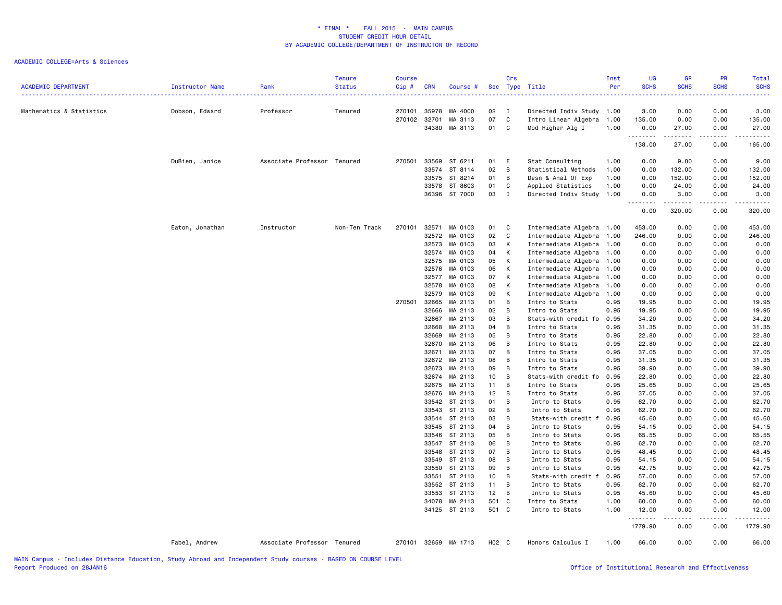| <b>ACADEMIC DEPARTMENT</b> | Instructor Name | Rank                        | <b>Tenure</b><br><b>Status</b> | <b>Course</b><br>Cip# | <b>CRN</b>     | Course #                       |                  | Crs          | Sec Type Title                         | Inst<br>Per  | UG<br><b>SCHS</b> | GR<br><b>SCHS</b>                   | PR<br><b>SCHS</b> | Total<br><b>SCHS</b> |
|----------------------------|-----------------|-----------------------------|--------------------------------|-----------------------|----------------|--------------------------------|------------------|--------------|----------------------------------------|--------------|-------------------|-------------------------------------|-------------------|----------------------|
| Mathematics & Statistics   | Dobson, Edward  | Professor                   | Tenured                        | 270101                | 35978          | MA 4000                        | 02 I             |              | Directed Indiv Study 1.00              |              | 3.00              | 0.00                                | 0.00              | 3.00                 |
|                            |                 |                             |                                | 270102                | 32701          | MA 3113                        | 07               | C            | Intro Linear Algebra                   | 1.00         | 135.00            | 0.00                                | 0.00              | 135.00               |
|                            |                 |                             |                                |                       | 34380          | MA 8113                        | 01               | C            | Mod Higher Alg I                       | 1.00         | 0.00<br>.         | 27.00<br>.                          | 0.00<br>-----     | 27.00<br>.           |
|                            |                 |                             |                                |                       |                |                                |                  |              |                                        |              | 138.00            | 27.00                               | 0.00              | 165.00               |
|                            | DuBien, Janice  | Associate Professor Tenured |                                | 270501                | 33569          | ST 6211                        | 01               | E            | Stat Consulting                        | 1.00         | 0.00              | 9.00                                | 0.00              | 9.00                 |
|                            |                 |                             |                                |                       |                | 33574 ST 8114                  | 02               | В            | Statistical Methods                    | 1.00         | 0.00              | 132.00                              | 0.00              | 132.00               |
|                            |                 |                             |                                |                       |                | 33575 ST 8214                  | 01               | В            | Desn & Anal Of Exp                     | 1.00         | 0.00              | 152.00                              | 0.00              | 152.00               |
|                            |                 |                             |                                |                       |                | 33578 ST 8603                  | 01               | С            | Applied Statistics                     | 1.00         | 0.00              | 24.00                               | 0.00              | 24.00                |
|                            |                 |                             |                                |                       |                | 36396 ST 7000                  | 03               | $\mathbf{I}$ | Directed Indiv Study                   | 1.00         | 0.00              | 3.00                                | 0.00              | 3.00                 |
|                            |                 |                             |                                |                       |                |                                |                  |              |                                        |              | 0.00              | 320.00                              | 0.00              | 320.00               |
|                            | Eaton, Jonathan | Instructor                  | Non-Ten Track                  | 270101                | 32571          | MA 0103                        | 01               | C            | Intermediate Algebra 1.00              |              | 453.00            | 0.00                                | 0.00              | 453.00               |
|                            |                 |                             |                                |                       | 32572          | MA 0103                        | 02               | C            | Intermediate Algebra                   | 1.00         | 246.00            | 0.00                                | 0.00              | 246.00               |
|                            |                 |                             |                                |                       | 32573          | MA 0103                        | 03               | К            | Intermediate Algebra                   | 1.00         | 0.00              | 0.00                                | 0.00              | 0.00                 |
|                            |                 |                             |                                |                       | 32574          | MA 0103                        | 04               | К            | Intermediate Algebra                   | 1.00         | 0.00              | 0.00                                | 0.00              | 0.00                 |
|                            |                 |                             |                                |                       | 32575          | MA 0103                        | 05               | К            | Intermediate Algebra                   | 1.00         | 0.00              | 0.00                                | 0.00              | 0.00                 |
|                            |                 |                             |                                |                       | 32576          | MA 0103                        | 06               | К            | Intermediate Algebra                   | 1.00         | 0.00              | 0.00                                | 0.00              | 0.00                 |
|                            |                 |                             |                                |                       | 32577          | MA 0103                        | 07               | К            | Intermediate Algebra                   | 1.00         | 0.00              | 0.00                                | 0.00              | 0.00                 |
|                            |                 |                             |                                |                       | 32578<br>32579 | MA 0103                        | 08<br>09         | К<br>К       | Intermediate Algebra                   | 1.00         | 0.00              | 0.00                                | 0.00              | 0.00                 |
|                            |                 |                             |                                | 270501                | 32665          | MA 0103<br>MA 2113             | 01               | B            | Intermediate Algebra<br>Intro to Stats | 1.00<br>0.95 | 0.00<br>19.95     | 0.00<br>0.00                        | 0.00<br>0.00      | 0.00<br>19.95        |
|                            |                 |                             |                                |                       | 32666          | MA 2113                        | 02               | В            | Intro to Stats                         | 0.95         | 19.95             | 0.00                                | 0.00              | 19.95                |
|                            |                 |                             |                                |                       | 32667          | MA 2113                        | 03               | B            | Stats-with credit fo                   | 0.95         | 34.20             | 0.00                                | 0.00              | 34.20                |
|                            |                 |                             |                                |                       | 32668          | MA 2113                        | 04               | B            | Intro to Stats                         | 0.95         | 31.35             | 0.00                                | 0.00              | 31.35                |
|                            |                 |                             |                                |                       | 32669          | MA 2113                        | 05               | B            | Intro to Stats                         | 0.95         | 22.80             | 0.00                                | 0.00              | 22.80                |
|                            |                 |                             |                                |                       | 32670          | MA 2113                        | 06               | В            | Intro to Stats                         | 0.95         | 22.80             | 0.00                                | 0.00              | 22.80                |
|                            |                 |                             |                                |                       | 32671          | MA 2113                        | 07               | В            | Intro to Stats                         | 0.95         | 37.05             | 0.00                                | 0.00              | 37.05                |
|                            |                 |                             |                                |                       | 32672          | MA 2113                        | 08               | B            | Intro to Stats                         | 0.95         | 31.35             | 0.00                                | 0.00              | 31.35                |
|                            |                 |                             |                                |                       | 32673          | MA 2113                        | 09               | B            | Intro to Stats                         | 0.95         | 39.90             | 0.00                                | 0.00              | 39.90                |
|                            |                 |                             |                                |                       |                | 32674 MA 2113                  | 10 <sup>10</sup> | B            | Stats-with credit fo                   | 0.95         | 22.80             | 0.00                                | 0.00              | 22.80                |
|                            |                 |                             |                                |                       |                | 32675 MA 2113                  | 11               | B            | Intro to Stats                         | 0.95         | 25.65             | 0.00                                | 0.00              | 25.65                |
|                            |                 |                             |                                |                       | 32676          | MA 2113                        | 12               | В            | Intro to Stats                         | 0.95         | 37.05             | 0.00                                | 0.00              | 37.05                |
|                            |                 |                             |                                |                       |                | 33542 ST 2113                  | 01               | В            | Intro to Stats                         | 0.95         | 62.70             | 0.00                                | 0.00              | 62.70                |
|                            |                 |                             |                                |                       |                | 33543 ST 2113                  | 02               | B            | Intro to Stats                         | 0.95         | 62.70             | 0.00                                | 0.00              | 62.70                |
|                            |                 |                             |                                |                       |                | 33544 ST 2113                  | 03               | В            | Stats-with credit f                    | 0.95         | 45.60             | 0.00                                | 0.00              | 45.60                |
|                            |                 |                             |                                |                       |                | 33545 ST 2113                  | 04               | B            | Intro to Stats                         | 0.95         | 54.15             | 0.00                                | 0.00              | 54.15                |
|                            |                 |                             |                                |                       |                | 33546 ST 2113                  | 05               | В            | Intro to Stats                         | 0.95         | 65.55             | 0.00                                | 0.00              | 65.55                |
|                            |                 |                             |                                |                       |                | 33547 ST 2113                  | 06               | В            | Intro to Stats                         | 0.95         | 62.70             | 0.00                                | 0.00              | 62.70                |
|                            |                 |                             |                                |                       |                | 33548 ST 2113                  | 07               | В            | Intro to Stats                         | 0.95         | 48.45             | 0.00                                | 0.00              | 48.45                |
|                            |                 |                             |                                |                       |                | 33549 ST 2113<br>33550 ST 2113 | 08<br>09         | В<br>В       | Intro to Stats                         | 0.95         | 54.15<br>42.75    | 0.00                                | 0.00<br>0.00      | 54.15<br>42.75       |
|                            |                 |                             |                                |                       |                | 33551 ST 2113                  | 10 <sub>1</sub>  | В            | Intro to Stats<br>Stats-with credit f  | 0.95<br>0.95 | 57.00             | 0.00<br>0.00                        | 0.00              | 57.00                |
|                            |                 |                             |                                |                       |                | 33552 ST 2113                  | 11               | B            | Intro to Stats                         | 0.95         | 62.70             | 0.00                                | 0.00              | 62.70                |
|                            |                 |                             |                                |                       |                | 33553 ST 2113                  | 12               | В            | Intro to Stats                         | 0.95         | 45.60             | 0.00                                | 0.00              | 45.60                |
|                            |                 |                             |                                |                       |                | 34078 MA 2113                  | 501 C            |              | Intro to Stats                         | 1.00         | 60.00             | 0.00                                | 0.00              | 60.00                |
|                            |                 |                             |                                |                       |                | 34125 ST 2113                  | 501 C            |              | Intro to Stats                         | 1.00         | 12.00             | 0.00                                | 0.00              | 12.00                |
|                            |                 |                             |                                |                       |                |                                |                  |              |                                        |              | .<br>1779.90      | $\sim$ $\sim$ $\sim$ $\sim$<br>0.00 | .<br>0.00         | .<br>1779.90         |
|                            | Fabel, Andrew   | Associate Professor Tenured |                                |                       |                | 270101 32659 MA 1713           | H02 C            |              | Honors Calculus I                      | 1.00         | 66.00             | 0.00                                | 0.00              | 66.00                |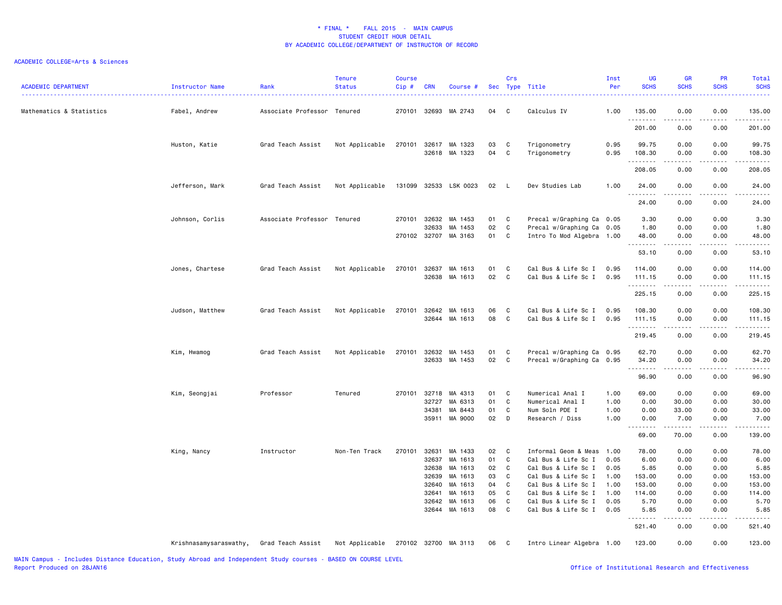| <b>ACADEMIC DEPARTMENT</b> | Instructor Name        | Rank                        | <b>Tenure</b><br><b>Status</b> | <b>Course</b><br>$Cip$ # | <b>CRN</b>     | Course #             |          | Crs         | Sec Type Title                             | Inst<br>Per  | UG<br><b>SCHS</b>  | GR<br><b>SCHS</b> | PR<br><b>SCHS</b>                   | Total<br><b>SCHS</b>                                                                                                                                                                      |
|----------------------------|------------------------|-----------------------------|--------------------------------|--------------------------|----------------|----------------------|----------|-------------|--------------------------------------------|--------------|--------------------|-------------------|-------------------------------------|-------------------------------------------------------------------------------------------------------------------------------------------------------------------------------------------|
| Mathematics & Statistics   | Fabel, Andrew          | Associate Professor Tenured |                                | 270101                   | 32693          | MA 2743              | 04       | C           | Calculus IV                                | 1.00         | 135.00             | 0.00              | 0.00                                | 135.00                                                                                                                                                                                    |
|                            |                        |                             |                                |                          |                |                      |          |             |                                            |              | <u>.</u><br>201.00 | 0.00              | $- - - -$<br>0.00                   | $\frac{1}{2}$<br>201.00                                                                                                                                                                   |
|                            | Huston, Katie          | Grad Teach Assist           | Not Applicable                 | 270101                   | 32617          | MA 1323              | 03       | C           | Trigonometry                               | 0.95         | 99.75              | 0.00              | 0.00                                | 99.75                                                                                                                                                                                     |
|                            |                        |                             |                                |                          |                | 32618 MA 1323        | 04       | C           | Trigonometry                               | 0.95         | 108.30             | 0.00<br>.         | 0.00<br>.                           | 108.30<br>$\frac{1}{2} \left( \frac{1}{2} \right) \left( \frac{1}{2} \right) \left( \frac{1}{2} \right) \left( \frac{1}{2} \right) \left( \frac{1}{2} \right) \left( \frac{1}{2} \right)$ |
|                            |                        |                             |                                |                          |                |                      |          |             |                                            |              | 208.05             | 0.00              | 0.00                                | 208.05                                                                                                                                                                                    |
|                            | Jefferson, Mark        | Grad Teach Assist           | Not Applicable                 | 131099                   |                | 32533 LSK 0023       | 02       | L.          | Dev Studies Lab                            | 1.00         | 24.00<br>.         | 0.00<br>$- - - -$ | 0.00<br>$- - - -$                   | 24.00<br>.                                                                                                                                                                                |
|                            |                        |                             |                                |                          |                |                      |          |             |                                            |              | 24.00              | 0.00              | 0.00                                | 24.00                                                                                                                                                                                     |
|                            | Johnson, Corlis        | Associate Professor Tenured |                                | 270101                   | 32632          | MA 1453              | 01       | C           | Precal w/Graphing Ca                       | 0.05         | 3.30               | 0.00              | 0.00                                | 3.30                                                                                                                                                                                      |
|                            |                        |                             |                                |                          | 32633          | MA 1453              | 02       | C           | Precal w/Graphing Ca                       | 0.05         | 1.80               | 0.00              | 0.00                                | 1.80                                                                                                                                                                                      |
|                            |                        |                             |                                |                          |                | 270102 32707 MA 3163 | 01       | C           | Intro To Mod Algebra 1.00                  |              | 48.00              | 0.00<br>-----     | 0.00<br>.                           | 48.00<br>.                                                                                                                                                                                |
|                            |                        |                             |                                |                          |                |                      |          |             |                                            |              | 53.10              | 0.00              | 0.00                                | 53.10                                                                                                                                                                                     |
|                            | Jones, Chartese        | Grad Teach Assist           | Not Applicable                 | 270101                   | 32637          | MA 1613              | 01       | C           | Cal Bus & Life Sc I                        | 0.95         | 114.00             | 0.00              | 0.00                                | 114.00                                                                                                                                                                                    |
|                            |                        |                             |                                |                          | 32638          | MA 1613              | 02       | C           | Cal Bus & Life Sc I                        | 0.95         | 111.15<br>.        | 0.00              | 0.00                                | 111.15<br>$\frac{1}{2} \left( \frac{1}{2} \right) \left( \frac{1}{2} \right) \left( \frac{1}{2} \right) \left( \frac{1}{2} \right) \left( \frac{1}{2} \right) \left( \frac{1}{2} \right)$ |
|                            |                        |                             |                                |                          |                |                      |          |             |                                            |              | 225.15             | 0.00              | 0.00                                | 225.15                                                                                                                                                                                    |
|                            | Judson, Matthew        | Grad Teach Assist           | Not Applicable                 | 270101                   | 32642          | MA 1613              | 06       | C           | Cal Bus & Life Sc I                        | 0.95         | 108.30             | 0.00              | 0.00                                | 108.30                                                                                                                                                                                    |
|                            |                        |                             |                                |                          |                | 32644 MA 1613        | 08       | C           | Cal Bus & Life Sc I                        | 0.95         | 111.15<br>.        | 0.00              | 0.00                                | 111.15<br>.                                                                                                                                                                               |
|                            |                        |                             |                                |                          |                |                      |          |             |                                            |              | 219.45             | 0.00              | 0.00                                | 219.45                                                                                                                                                                                    |
|                            | Kim, Hwamog            | Grad Teach Assist           | Not Applicable                 | 270101                   | 32632          | MA 1453              | 01       | C           | Precal w/Graphing Ca 0.95                  |              | 62.70              | 0.00              | 0.00                                | 62.70                                                                                                                                                                                     |
|                            |                        |                             |                                |                          | 32633          | MA 1453              | 02       | $\mathbf c$ | Precal w/Graphing Ca                       | 0.95         | 34.20              | 0.00<br>.         | 0.00<br>.                           | 34.20<br>.                                                                                                                                                                                |
|                            |                        |                             |                                |                          |                |                      |          |             |                                            |              | 96.90              | 0.00              | 0.00                                | 96.90                                                                                                                                                                                     |
|                            | Kim, Seongjai          | Professor                   | Tenured                        | 270101                   | 32718          | MA 4313              | 01       | C           | Numerical Anal I                           | 1.00         | 69.00              | 0.00              | 0.00                                | 69.00                                                                                                                                                                                     |
|                            |                        |                             |                                |                          | 32727          | MA 6313              | 01       | C           | Numerical Anal I                           | 1.00         | 0.00               | 30.00             | 0.00                                | 30.00                                                                                                                                                                                     |
|                            |                        |                             |                                |                          | 34381          | MA 8443              | 01       | C           | Num Soln PDE I                             | 1.00         | 0.00               | 33.00             | 0.00                                | 33.00                                                                                                                                                                                     |
|                            |                        |                             |                                |                          | 35911          | MA 9000              | 02       | D           | Research / Diss                            | 1.00         | 0.00<br><b></b>    | 7.00<br>.         | 0.00<br>$\sim$ $\sim$ $\sim$ $\sim$ | 7.00<br>.                                                                                                                                                                                 |
|                            |                        |                             |                                |                          |                |                      |          |             |                                            |              | 69.00              | 70.00             | 0.00                                | 139.00                                                                                                                                                                                    |
|                            | King, Nancy            | Instructor                  | Non-Ten Track                  | 270101                   | 32631          | MA 1433              | 02       | C           | Informal Geom & Meas                       | 1.00         | 78.00              | 0.00              | 0.00                                | 78.00                                                                                                                                                                                     |
|                            |                        |                             |                                |                          | 32637          | MA 1613              | 01       | C           | Cal Bus & Life Sc I                        | 0.05         | 6.00               | 0.00              | 0.00                                | 6.00                                                                                                                                                                                      |
|                            |                        |                             |                                |                          | 32638          | MA 1613              | 02       | C           | Cal Bus & Life Sc I                        | 0.05         | 5.85               | 0.00              | 0.00                                | 5.85                                                                                                                                                                                      |
|                            |                        |                             |                                |                          | 32639          | MA 1613              | 03       | C           | Cal Bus & Life Sc I                        | 1.00         | 153.00             | 0.00              | 0.00                                | 153.00                                                                                                                                                                                    |
|                            |                        |                             |                                |                          | 32640          | MA 1613              | 04       | C           | Cal Bus & Life Sc I                        | 1.00         | 153.00             | 0.00              | 0.00                                | 153.00                                                                                                                                                                                    |
|                            |                        |                             |                                |                          | 32641<br>32642 | MA 1613<br>MA 1613   | 05<br>06 | C<br>C      | Cal Bus & Life Sc I<br>Cal Bus & Life Sc I | 1.00<br>0.05 | 114.00<br>5.70     | 0.00<br>0.00      | 0.00<br>0.00                        | 114.00<br>5.70                                                                                                                                                                            |
|                            |                        |                             |                                |                          | 32644          | MA 1613              | 08       | C           | Cal Bus & Life Sc I                        | 0.05         | 5.85               | 0.00              | 0.00                                | 5.85                                                                                                                                                                                      |
|                            |                        |                             |                                |                          |                |                      |          |             |                                            |              | 521.40             | 0.00              | 0.00                                | $\omega$ is $\omega$ in .<br>521.40                                                                                                                                                       |
|                            | Krishnasamysaraswathy, | Grad Teach Assist           | Not Applicable                 |                          |                | 270102 32700 MA 3113 | 06       | C           | Intro Linear Algebra 1.00                  |              | 123.00             | 0.00              | 0.00                                | 123.00                                                                                                                                                                                    |
|                            |                        |                             |                                |                          |                |                      |          |             |                                            |              |                    |                   |                                     |                                                                                                                                                                                           |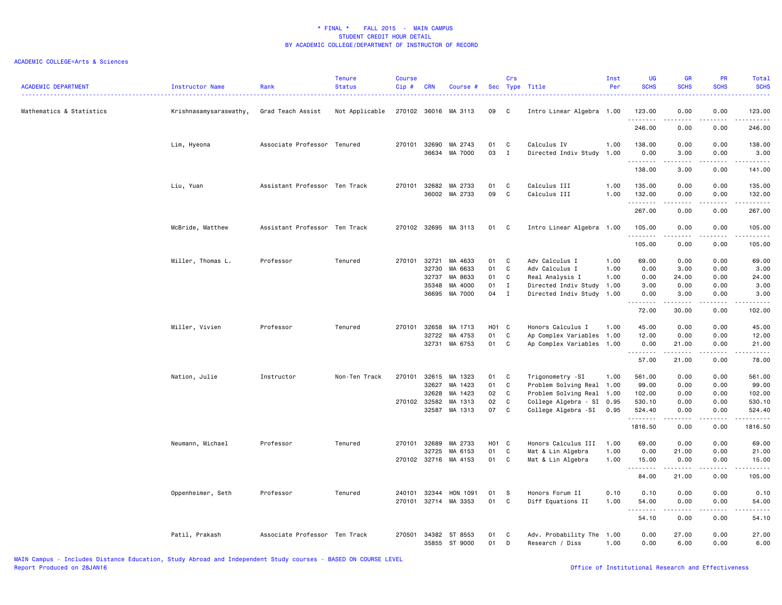| <b>ACADEMIC DEPARTMENT</b> | <b>Instructor Name</b> | Rank                          | <b>Tenure</b><br><b>Status</b> | <b>Course</b><br>Cip# | <b>CRN</b> | Course #                       |                   | Crs          | Sec Type Title                               | Inst<br>Per  | UG<br><b>SCHS</b> | <b>GR</b><br><b>SCHS</b>                                                                                                          | <b>PR</b><br><b>SCHS</b>                                                                                                          | Total<br><b>SCHS</b><br>.                                                                                                                                     |
|----------------------------|------------------------|-------------------------------|--------------------------------|-----------------------|------------|--------------------------------|-------------------|--------------|----------------------------------------------|--------------|-------------------|-----------------------------------------------------------------------------------------------------------------------------------|-----------------------------------------------------------------------------------------------------------------------------------|---------------------------------------------------------------------------------------------------------------------------------------------------------------|
| Mathematics & Statistics   | Krishnasamysaraswathy, | Grad Teach Assist             | Not Applicable                 |                       |            | 270102 36016 MA 3113           | 09                | C            | Intro Linear Algebra 1.00                    |              | 123.00<br>.       | 0.00                                                                                                                              | 0.00                                                                                                                              | 123.00<br>.                                                                                                                                                   |
|                            |                        |                               |                                |                       |            |                                |                   |              |                                              |              | 246.00            | 0.00                                                                                                                              | 0.00                                                                                                                              | 246.00                                                                                                                                                        |
|                            | Lim, Hyeona            | Associate Professor Tenured   |                                | 270101                | 32690      | MA 2743                        | 01                | C            | Calculus IV                                  | 1.00         | 138.00            | 0.00                                                                                                                              | 0.00                                                                                                                              | 138.00                                                                                                                                                        |
|                            |                        |                               |                                |                       | 36634      | MA 7000                        | 03                | $\;$ I       | Directed Indiv Study                         | 1.00         | 0.00<br>.         | 3.00<br>.                                                                                                                         | 0.00<br>.                                                                                                                         | 3.00<br>------                                                                                                                                                |
|                            |                        |                               |                                |                       |            |                                |                   |              |                                              |              | 138.00            | 3.00                                                                                                                              | 0.00                                                                                                                              | 141.00                                                                                                                                                        |
|                            | Liu, Yuan              | Assistant Professor Ten Track |                                | 270101                | 32682      | MA 2733<br>36002 MA 2733       | 01<br>09          | C<br>C       | Calculus III<br>Calculus III                 | 1.00<br>1.00 | 135.00<br>132.00  | 0.00<br>0.00                                                                                                                      | 0.00<br>0.00                                                                                                                      | 135.00<br>132.00                                                                                                                                              |
|                            |                        |                               |                                |                       |            |                                |                   |              |                                              |              | .                 | .                                                                                                                                 | د د د د                                                                                                                           | .                                                                                                                                                             |
|                            |                        |                               |                                |                       |            |                                |                   |              |                                              |              | 267.00            | 0.00                                                                                                                              | 0.00                                                                                                                              | 267.00                                                                                                                                                        |
|                            | McBride, Matthew       | Assistant Professor Ten Track |                                |                       |            | 270102 32695 MA 3113           | 01                | $\mathbf{C}$ | Intro Linear Algebra 1.00                    |              | 105.00<br>.       | 0.00<br>$\sim$ $\sim$ $\sim$                                                                                                      | 0.00<br>.                                                                                                                         | 105.00<br>.                                                                                                                                                   |
|                            |                        |                               |                                |                       |            |                                |                   |              |                                              |              | 105.00            | 0.00                                                                                                                              | 0.00                                                                                                                              | 105.00                                                                                                                                                        |
|                            | Miller, Thomas L.      | Professor                     | Tenured                        | 270101 32721          |            | MA 4633                        | 01                | C            | Adv Calculus I                               | 1.00         | 69.00             | 0.00                                                                                                                              | 0.00                                                                                                                              | 69.00                                                                                                                                                         |
|                            |                        |                               |                                |                       | 32730      | MA 6633                        | 01                | C            | Adv Calculus I                               | 1.00         | 0.00              | 3.00                                                                                                                              | 0.00                                                                                                                              | 3.00                                                                                                                                                          |
|                            |                        |                               |                                |                       | 32737      | MA 8633                        | 01                | C            | Real Analysis I                              | 1.00         | 0.00              | 24.00                                                                                                                             | 0.00                                                                                                                              | 24.00                                                                                                                                                         |
|                            |                        |                               |                                |                       | 35348      | MA 4000                        | 01                | $\mathbf I$  | Directed Indiv Study 1.00                    |              | 3.00              | 0.00                                                                                                                              | 0.00                                                                                                                              | 3.00                                                                                                                                                          |
|                            |                        |                               |                                |                       | 36695      | MA 7000                        | 04                | $\mathbf I$  | Directed Indiv Study 1.00                    |              | 0.00<br>.         | 3.00<br>.                                                                                                                         | 0.00<br>.                                                                                                                         | 3.00<br>.                                                                                                                                                     |
|                            |                        |                               |                                |                       |            |                                |                   |              |                                              |              | 72.00             | 30.00                                                                                                                             | 0.00                                                                                                                              | 102.00                                                                                                                                                        |
|                            | Miller, Vivien         | Professor                     | Tenured                        | 270101                | 32658      | MA 1713                        | H <sub>01</sub> C |              | Honors Calculus I                            | 1.00         | 45.00             | 0.00                                                                                                                              | 0.00                                                                                                                              | 45.00                                                                                                                                                         |
|                            |                        |                               |                                |                       | 32722      | MA 4753                        | 01                | C            | Ap Complex Variables 1.00                    |              | 12.00             | 0.00                                                                                                                              | 0.00                                                                                                                              | 12.00                                                                                                                                                         |
|                            |                        |                               |                                |                       | 32731      | MA 6753                        | 01                | C            | Ap Complex Variables 1.00                    |              | 0.00<br>.         | 21.00<br>.                                                                                                                        | 0.00<br>22222                                                                                                                     | 21.00<br>.                                                                                                                                                    |
|                            |                        |                               |                                |                       |            |                                |                   |              |                                              |              | 57.00             | 21.00                                                                                                                             | 0.00                                                                                                                              | 78.00                                                                                                                                                         |
|                            | Nation, Julie          | Instructor                    | Non-Ten Track                  | 270101                | 32615      | MA 1323                        | 01                | $\mathbf{C}$ | Trigonometry -SI                             | 1.00         | 561.00            | 0.00                                                                                                                              | 0.00                                                                                                                              | 561.00                                                                                                                                                        |
|                            |                        |                               |                                |                       | 32627      | MA 1423                        | 01                | C            | Problem Solving Real 1.00                    |              | 99.00             | 0.00                                                                                                                              | 0.00                                                                                                                              | 99.00                                                                                                                                                         |
|                            |                        |                               |                                |                       | 32628      | MA 1423                        | 02                | C            | Problem Solving Real 1.00                    |              | 102.00            | 0.00                                                                                                                              | 0.00                                                                                                                              | 102.00                                                                                                                                                        |
|                            |                        |                               |                                | 270102 32582          |            | MA 1313                        | 02                | C            | College Algebra - SI 0.95                    |              | 530.10            | 0.00                                                                                                                              | 0.00                                                                                                                              | 530.10                                                                                                                                                        |
|                            |                        |                               |                                |                       | 32587      | MA 1313                        | 07                | $\mathbf{C}$ | College Algebra -SI                          | 0.95         | 524.40            | 0.00                                                                                                                              | 0.00                                                                                                                              | 524.40                                                                                                                                                        |
|                            |                        |                               |                                |                       |            |                                |                   |              |                                              |              | .<br>1816.50      | 0.00                                                                                                                              | 0.00                                                                                                                              | .<br>1816.50                                                                                                                                                  |
|                            | Neumann, Michael       | Professor                     | Tenured                        | 270101                | 32689      | MA 2733                        | H <sub>01</sub> C |              | Honors Calculus III                          | 1.00         | 69.00             | 0.00                                                                                                                              | 0.00                                                                                                                              | 69.00                                                                                                                                                         |
|                            |                        |                               |                                |                       | 32725      | MA 6153                        | 01                | $\mathtt{C}$ | Mat & Lin Algebra                            | 1.00         | 0.00              | 21.00                                                                                                                             | 0.00                                                                                                                              | 21.00                                                                                                                                                         |
|                            |                        |                               |                                |                       |            | 270102 32716 MA 4153           | 01                | C            | Mat & Lin Algebra                            | 1.00         | 15.00             | 0.00                                                                                                                              | 0.00                                                                                                                              | 15.00                                                                                                                                                         |
|                            |                        |                               |                                |                       |            |                                |                   |              |                                              |              | .<br>84.00        | .<br>21.00                                                                                                                        | .<br>0.00                                                                                                                         | .<br>105.00                                                                                                                                                   |
|                            |                        | Professor                     | Tenured                        | 240101                | 32344      | HON 1091                       | 01                | S            | Honors Forum II                              | 0.10         | 0.10              | 0.00                                                                                                                              |                                                                                                                                   |                                                                                                                                                               |
|                            | Oppenheimer, Seth      |                               |                                | 270101                |            | 32714 MA 3353                  | 01                | C            | Diff Equations II                            | 1.00         | 54.00             | 0.00                                                                                                                              | 0.00<br>0.00                                                                                                                      | 0.10<br>54.00                                                                                                                                                 |
|                            |                        |                               |                                |                       |            |                                |                   |              |                                              |              | .<br>54.10        | $\frac{1}{2} \left( \frac{1}{2} \right) \left( \frac{1}{2} \right) \left( \frac{1}{2} \right) \left( \frac{1}{2} \right)$<br>0.00 | $\frac{1}{2} \left( \frac{1}{2} \right) \left( \frac{1}{2} \right) \left( \frac{1}{2} \right) \left( \frac{1}{2} \right)$<br>0.00 | $\frac{1}{2} \left( \frac{1}{2} \right) \left( \frac{1}{2} \right) \left( \frac{1}{2} \right) \left( \frac{1}{2} \right) \left( \frac{1}{2} \right)$<br>54.10 |
|                            |                        |                               |                                |                       |            |                                |                   |              |                                              |              |                   |                                                                                                                                   |                                                                                                                                   |                                                                                                                                                               |
|                            | Patil, Prakash         | Associate Professor Ten Track |                                | 270501                |            | 34382 ST 8553<br>35855 ST 9000 | 01<br>01          | C<br>D       | Adv. Probability The 1.00<br>Research / Diss | 1.00         | 0.00<br>0.00      | 27.00<br>6.00                                                                                                                     | 0.00<br>0.00                                                                                                                      | 27.00<br>6.00                                                                                                                                                 |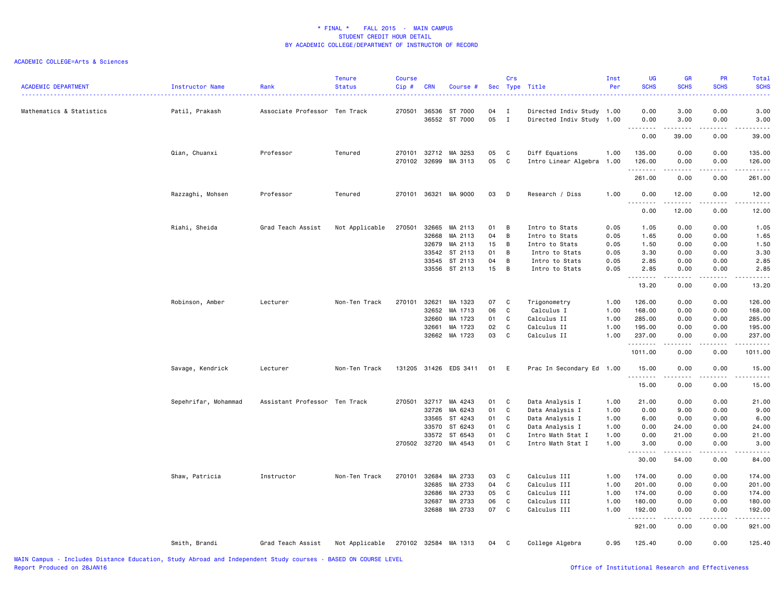| <b>ACADEMIC DEPARTMENT</b> | Instructor Name<br>. | Rank                          | <b>Tenure</b><br><b>Status</b> | <b>Course</b><br>Cip# | <b>CRN</b>     | Course #             |          | Crs                          | Sec Type Title                                         | Inst<br>Per | UG<br><b>SCHS</b> | GR<br><b>SCHS</b> | PR<br><b>SCHS</b>                                                                                                                 | Total<br><b>SCHS</b>   |
|----------------------------|----------------------|-------------------------------|--------------------------------|-----------------------|----------------|----------------------|----------|------------------------------|--------------------------------------------------------|-------------|-------------------|-------------------|-----------------------------------------------------------------------------------------------------------------------------------|------------------------|
| Mathematics & Statistics   | Patil, Prakash       | Associate Professor Ten Track |                                | 270501                | 36536<br>36552 | ST 7000<br>ST 7000   | 04<br>05 | $\mathbf{I}$<br>$\mathbf{I}$ | Directed Indiv Study 1.00<br>Directed Indiv Study 1.00 |             | 0.00<br>0.00      | 3.00<br>3.00      | 0.00<br>0.00                                                                                                                      | 3.00<br>3.00           |
|                            |                      |                               |                                |                       |                |                      |          |                              |                                                        |             | .<br>0.00         | 39.00             | $- - -$<br>0.00                                                                                                                   | $\frac{1}{2}$<br>39.00 |
|                            | Qian, Chuanxi        | Professor                     | Tenured                        | 270101                | 32712          | MA 3253              | 05       | C                            | Diff Equations                                         | 1.00        | 135.00            | 0.00              | 0.00                                                                                                                              | 135.00                 |
|                            |                      |                               |                                | 270102                | 32699          | MA 3113              | 05       | C                            | Intro Linear Algebra                                   | 1.00        | 126.00<br>.       | 0.00<br>.         | 0.00<br>$\frac{1}{2} \left( \frac{1}{2} \right) \left( \frac{1}{2} \right) \left( \frac{1}{2} \right) \left( \frac{1}{2} \right)$ | 126.00                 |
|                            |                      |                               |                                |                       |                |                      |          |                              |                                                        |             | 261.00            | 0.00              | 0.00                                                                                                                              | 261.00                 |
|                            | Razzaghi, Mohsen     | Professor                     | Tenured                        | 270101                | 36321          | MA 9000              | 03       | D                            | Research / Diss                                        | 1.00        | 0.00              | 12.00             | 0.00                                                                                                                              | 12.00                  |
|                            |                      |                               |                                |                       |                |                      |          |                              |                                                        |             | 0.00              | 12.00             | 0.00                                                                                                                              | 12.00                  |
|                            | Riahi, Sheida        | Grad Teach Assist             | Not Applicable                 | 270501                | 32665          | MA 2113              | 01       | B                            | Intro to Stats                                         | 0.05        | 1.05              | 0.00              | 0.00                                                                                                                              | 1.05                   |
|                            |                      |                               |                                |                       | 32668          | MA 2113              | 04       | B                            | Intro to Stats                                         | 0.05        | 1.65              | 0.00              | 0.00                                                                                                                              | 1.65                   |
|                            |                      |                               |                                |                       | 32679          | MA 2113              | 15       | B                            | Intro to Stats                                         | 0.05        | 1.50              | 0.00              | 0.00                                                                                                                              | 1.50                   |
|                            |                      |                               |                                |                       | 33542          | ST 2113              | 01       | В                            | Intro to Stats                                         | 0.05        | 3.30              | 0.00              | 0.00                                                                                                                              | 3.30                   |
|                            |                      |                               |                                |                       | 33545          | ST 2113              | 04       | B                            | Intro to Stats                                         | 0.05        | 2.85              | 0.00              | 0.00                                                                                                                              | 2.85                   |
|                            |                      |                               |                                |                       |                | 33556 ST 2113        | 15       | B                            | Intro to Stats                                         | 0.05        | 2.85              | 0.00<br>.         | 0.00<br>.                                                                                                                         | 2.85<br>.              |
|                            |                      |                               |                                |                       |                |                      |          |                              |                                                        |             | 13.20             | 0.00              | 0.00                                                                                                                              | 13.20                  |
|                            | Robinson, Amber      | Lecturer                      | Non-Ten Track                  | 270101                | 32621          | MA 1323              | 07       | C                            | Trigonometry                                           | 1.00        | 126.00            | 0.00              | 0.00                                                                                                                              | 126.00                 |
|                            |                      |                               |                                |                       | 32652          | MA 1713              | 06       | C                            | Calculus I                                             | 1.00        | 168.00            | 0.00              | 0.00                                                                                                                              | 168.00                 |
|                            |                      |                               |                                |                       | 32660          | MA 1723              | 01       | C                            | Calculus II                                            | 1.00        | 285.00            | 0.00              | 0.00                                                                                                                              | 285.00                 |
|                            |                      |                               |                                |                       | 32661          | MA 1723              | 02       | C                            | Calculus II                                            | 1.00        | 195.00            | 0.00              | 0.00                                                                                                                              | 195.00                 |
|                            |                      |                               |                                |                       | 32662          | MA 1723              | 03       | C                            | Calculus II                                            | 1.00        | 237.00<br>.       | 0.00              | 0.00<br>$\frac{1}{2}$                                                                                                             | 237.00<br><u>.</u>     |
|                            |                      |                               |                                |                       |                |                      |          |                              |                                                        |             | 1011.00           | 0.00              | 0.00                                                                                                                              | 1011.00                |
|                            | Savage, Kendrick     | Lecturer                      | Non-Ten Track                  | 131205                | 31426          | EDS 3411             | 01       | E                            | Prac In Secondary Ed                                   | 1.00        | 15.00<br>.        | 0.00              | 0.00                                                                                                                              | 15.00<br>.             |
|                            |                      |                               |                                |                       |                |                      |          |                              |                                                        |             | 15.00             | 0.00              | 0.00                                                                                                                              | 15.00                  |
|                            | Sepehrifar, Mohammad | Assistant Professor Ten Track |                                | 270501                | 32717          | MA 4243              | 01       | C                            | Data Analysis I                                        | 1.00        | 21.00             | 0.00              | 0.00                                                                                                                              | 21.00                  |
|                            |                      |                               |                                |                       | 32726          | MA 6243              | 01       | C                            | Data Analysis I                                        | 1.00        | 0.00              | 9.00              | 0.00                                                                                                                              | 9.00                   |
|                            |                      |                               |                                |                       | 33565          | ST 4243              | 01       | C                            | Data Analysis I                                        | 1.00        | 6.00              | 0.00              | 0.00                                                                                                                              | 6.00                   |
|                            |                      |                               |                                |                       | 33570          | ST 6243              | 01       | C                            | Data Analysis I                                        | 1.00        | 0.00              | 24.00             | 0.00                                                                                                                              | 24.00                  |
|                            |                      |                               |                                |                       | 33572          | ST 6543              | 01       | C                            | Intro Math Stat I                                      | 1.00        | 0.00              | 21.00             | 0.00                                                                                                                              | 21.00                  |
|                            |                      |                               |                                | 270502 32720          |                | MA 4543              | 01       | C                            | Intro Math Stat I                                      | 1.00        | 3.00<br>.         | 0.00<br>.         | 0.00<br>.                                                                                                                         | 3.00<br>.              |
|                            |                      |                               |                                |                       |                |                      |          |                              |                                                        |             | 30.00             | 54.00             | 0.00                                                                                                                              | 84.00                  |
|                            | Shaw, Patricia       | Instructor                    | Non-Ten Track                  | 270101                | 32684          | MA 2733              | 03       | C                            | Calculus III                                           | 1.00        | 174.00            | 0.00              | 0.00                                                                                                                              | 174.00                 |
|                            |                      |                               |                                |                       | 32685          | MA 2733              | 04       | C                            | Calculus III                                           | 1.00        | 201.00            | 0.00              | 0.00                                                                                                                              | 201.00                 |
|                            |                      |                               |                                |                       | 32686          | MA 2733              | 05       | C                            | Calculus III                                           | 1.00        | 174.00            | 0.00              | 0.00                                                                                                                              | 174.00                 |
|                            |                      |                               |                                |                       | 32687          | MA 2733              | 06       | C                            | Calculus III                                           | 1.00        | 180.00            | 0.00              | 0.00                                                                                                                              | 180.00                 |
|                            |                      |                               |                                |                       | 32688          | MA 2733              | 07       | C                            | Calculus III                                           | 1.00        | 192.00            | 0.00              | 0.00<br>$- - -$                                                                                                                   | 192.00<br>------       |
|                            |                      |                               |                                |                       |                |                      |          |                              |                                                        |             | 921.00            | 0.00              | 0.00                                                                                                                              | 921.00                 |
|                            | Smith, Brandi        | Grad Teach Assist             | Not Applicable                 |                       |                | 270102 32584 MA 1313 | 04       | $\mathbf{C}$                 | College Algebra                                        | 0.95        | 125.40            | 0.00              | 0.00                                                                                                                              | 125.40                 |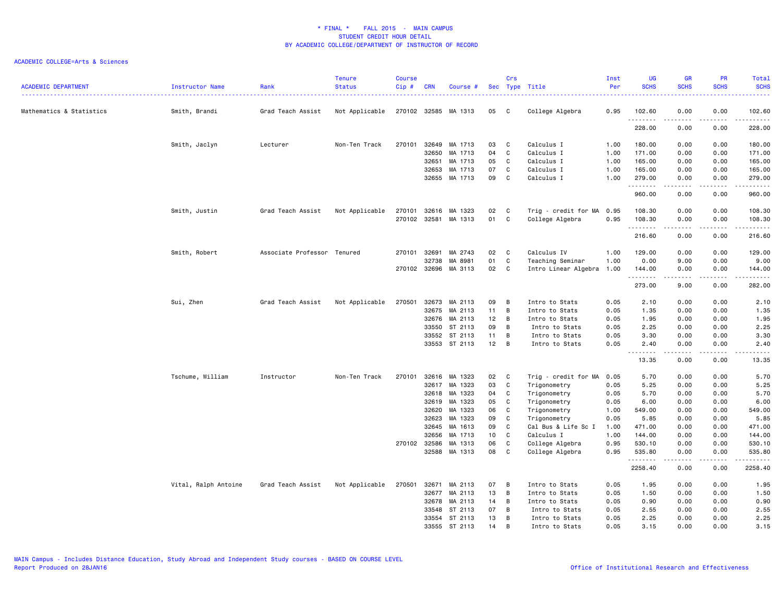| <b>ACADEMIC DEPARTMENT</b> | Instructor Name      | Rank                        | <b>Tenure</b><br><b>Status</b> | <b>Course</b><br>$Cip$ # | <b>CRN</b>   | Course #             |    | Crs          | Sec Type Title            | Inst<br>Per | <b>UG</b><br><b>SCHS</b>   | <b>GR</b><br><b>SCHS</b> | <b>PR</b><br><b>SCHS</b>                                                                                                          | Total<br><b>SCHS</b> |
|----------------------------|----------------------|-----------------------------|--------------------------------|--------------------------|--------------|----------------------|----|--------------|---------------------------|-------------|----------------------------|--------------------------|-----------------------------------------------------------------------------------------------------------------------------------|----------------------|
| Mathematics & Statistics   | Smith, Brandi        | Grad Teach Assist           | Not Applicable                 |                          |              | 270102 32585 MA 1313 | 05 | $\mathbf{C}$ | College Algebra           | 0.95        | 102.60                     | 0.00                     | 0.00<br>$\frac{1}{2}$                                                                                                             | 102.60<br>.          |
|                            |                      |                             |                                |                          |              |                      |    |              |                           |             | .<br>228.00                | 0.00                     | 0.00                                                                                                                              | 228.00               |
|                            | Smith, Jaclyn        | Lecturer                    | Non-Ten Track                  | 270101                   | 32649        | MA 1713              | 03 | C            | Calculus I                | 1.00        | 180.00                     | 0.00                     | 0.00                                                                                                                              | 180.00               |
|                            |                      |                             |                                |                          | 32650        | MA 1713              | 04 | C            | Calculus I                | 1.00        | 171.00                     | 0.00                     | 0.00                                                                                                                              | 171.00               |
|                            |                      |                             |                                |                          | 32651        | MA 1713              | 05 | C            | Calculus I                | 1.00        | 165.00                     | 0.00                     | 0.00                                                                                                                              | 165.00               |
|                            |                      |                             |                                |                          | 32653        | MA 1713              | 07 | C            | Calculus I                | 1.00        | 165.00                     | 0.00                     | 0.00                                                                                                                              | 165.00               |
|                            |                      |                             |                                |                          |              | 32655 MA 1713        | 09 | C            | Calculus I                | 1.00        | 279.00<br>.                | 0.00<br>$- - - -$        | 0.00<br>$- - - -$                                                                                                                 | 279.00<br>.          |
|                            |                      |                             |                                |                          |              |                      |    |              |                           |             | 960.00                     | 0.00                     | 0.00                                                                                                                              | 960.00               |
|                            | Smith, Justin        | Grad Teach Assist           | Not Applicable                 | 270101                   | 32616        | MA 1323              | 02 | C            | Trig - credit for MA 0.95 |             | 108.30                     | 0.00                     | 0.00                                                                                                                              | 108.30               |
|                            |                      |                             |                                |                          | 270102 32581 | MA 1313              | 01 | C            | College Algebra           | 0.95        | 108.30<br>.                | 0.00                     | 0.00                                                                                                                              | 108.30<br>.          |
|                            |                      |                             |                                |                          |              |                      |    |              |                           |             | 216.60                     | 0.00                     | 0.00                                                                                                                              | 216.60               |
|                            | Smith, Robert        | Associate Professor Tenured |                                | 270101                   | 32691        | MA 2743              | 02 | C            | Calculus IV               | 1.00        | 129.00                     | 0.00                     | 0.00                                                                                                                              | 129.00               |
|                            |                      |                             |                                |                          | 32738        | MA 8981              | 01 | C            | Teaching Seminar          | 1.00        | 0.00                       | 9.00                     | 0.00                                                                                                                              | 9.00                 |
|                            |                      |                             |                                |                          | 270102 32696 | MA 3113              | 02 | C            | Intro Linear Algebra      | 1.00        | 144.00<br>.                | 0.00<br>- - - -          | 0.00<br>$- - - -$                                                                                                                 | 144.00<br>.          |
|                            |                      |                             |                                |                          |              |                      |    |              |                           |             | 273.00                     | 9.00                     | 0.00                                                                                                                              | 282.00               |
|                            | Sui, Zhen            | Grad Teach Assist           | Not Applicable                 | 270501                   | 32673        | MA 2113              | 09 | B            | Intro to Stats            | 0.05        | 2.10                       | 0.00                     | 0.00                                                                                                                              | 2.10                 |
|                            |                      |                             |                                |                          | 32675        | MA 2113              | 11 | B            | Intro to Stats            | 0.05        | 1.35                       | 0.00                     | 0.00                                                                                                                              | 1.35                 |
|                            |                      |                             |                                |                          | 32676        | MA 2113              | 12 | B            | Intro to Stats            | 0.05        | 1.95                       | 0.00                     | 0.00                                                                                                                              | 1.95                 |
|                            |                      |                             |                                |                          | 33550        | ST 2113              | 09 | B            | Intro to Stats            | 0.05        | 2.25                       | 0.00                     | 0.00                                                                                                                              | 2.25                 |
|                            |                      |                             |                                |                          |              | 33552 ST 2113        | 11 | B            | Intro to Stats            | 0.05        | 3.30                       | 0.00                     | 0.00                                                                                                                              | 3.30                 |
|                            |                      |                             |                                |                          |              | 33553 ST 2113        | 12 | B            | Intro to Stats            | 0.05        | 2.40<br>$\sim$ $\sim$<br>. | 0.00<br>.                | 0.00<br>.                                                                                                                         | 2.40<br>د د د د د    |
|                            |                      |                             |                                |                          |              |                      |    |              |                           |             | 13.35                      | 0.00                     | 0.00                                                                                                                              | 13.35                |
|                            | Tschume, William     | Instructor                  | Non-Ten Track                  | 270101                   | 32616        | MA 1323              | 02 | C            | Trig - credit for MA      | 0.05        | 5.70                       | 0.00                     | 0.00                                                                                                                              | 5.70                 |
|                            |                      |                             |                                |                          | 32617        | MA 1323              | 03 | C            | Trigonometry              | 0.05        | 5.25                       | 0.00                     | 0.00                                                                                                                              | 5.25                 |
|                            |                      |                             |                                |                          | 32618        | MA 1323              | 04 | C            | Trigonometry              | 0.05        | 5.70                       | 0.00                     | 0.00                                                                                                                              | 5.70                 |
|                            |                      |                             |                                |                          | 32619        | MA 1323              | 05 | C            | Trigonometry              | 0.05        | 6.00                       | 0.00                     | 0.00                                                                                                                              | 6.00                 |
|                            |                      |                             |                                |                          | 32620        | MA 1323              | 06 | C            | Trigonometry              | 1.00        | 549.00                     | 0.00                     | 0.00                                                                                                                              | 549.00               |
|                            |                      |                             |                                |                          | 32623        | MA 1323              | 09 | C            | Trigonometry              | 0.05        | 5.85                       | 0.00                     | 0.00                                                                                                                              | 5.85                 |
|                            |                      |                             |                                |                          | 32645        | MA 1613              | 09 | C            | Cal Bus & Life Sc I       | 1.00        | 471.00                     | 0.00                     | 0.00                                                                                                                              | 471.00               |
|                            |                      |                             |                                |                          | 32656        | MA 1713              | 10 | C            | Calculus I                | 1.00        | 144.00                     | 0.00                     | 0.00                                                                                                                              | 144.00               |
|                            |                      |                             |                                |                          | 270102 32586 | MA 1313              | 06 | C            | College Algebra           | 0.95        | 530.10                     | 0.00                     | 0.00                                                                                                                              | 530.10               |
|                            |                      |                             |                                |                          | 32588        | MA 1313              | 08 | C            | College Algebra           | 0.95        | 535.80                     | 0.00<br>-----            | 0.00<br>$\frac{1}{2} \left( \frac{1}{2} \right) \left( \frac{1}{2} \right) \left( \frac{1}{2} \right) \left( \frac{1}{2} \right)$ | 535.80<br>.          |
|                            |                      |                             |                                |                          |              |                      |    |              |                           |             | 2258.40                    | 0.00                     | 0.00                                                                                                                              | 2258.40              |
|                            | Vital, Ralph Antoine | Grad Teach Assist           | Not Applicable                 | 270501                   | 32671        | MA 2113              | 07 | $\mathbf{B}$ | Intro to Stats            | 0.05        | 1.95                       | 0.00                     | 0.00                                                                                                                              | 1.95                 |
|                            |                      |                             |                                |                          | 32677        | MA 2113              | 13 | в            | Intro to Stats            | 0.05        | 1.50                       | 0.00                     | 0.00                                                                                                                              | 1.50                 |
|                            |                      |                             |                                |                          | 32678        | MA 2113              | 14 | B            | Intro to Stats            | 0.05        | 0.90                       | 0.00                     | 0.00                                                                                                                              | 0.90                 |
|                            |                      |                             |                                |                          | 33548        | ST 2113              | 07 | B            | Intro to Stats            | 0.05        | 2.55                       | 0.00                     | 0.00                                                                                                                              | 2.55                 |
|                            |                      |                             |                                |                          | 33554        | ST 2113              | 13 | в            | Intro to Stats            | 0.05        | 2.25                       | 0.00                     | 0.00                                                                                                                              | 2.25                 |
|                            |                      |                             |                                |                          | 33555        | ST 2113              | 14 | B            | Intro to Stats            | 0.05        | 3.15                       | 0.00                     | 0.00                                                                                                                              | 3.15                 |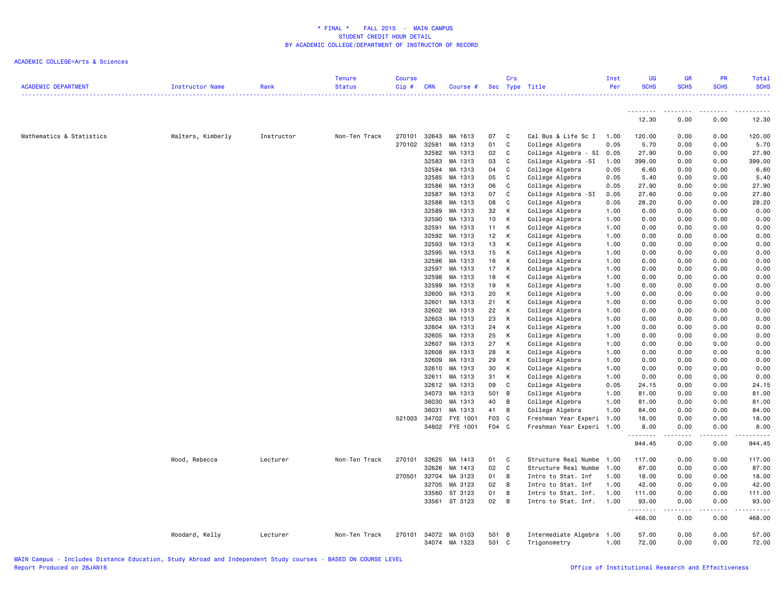| <b>ACADEMIC DEPARTMENT</b> | Instructor Name   | Rank       | <b>Tenure</b><br><b>Status</b> | <b>Course</b><br>Cip# | <b>CRN</b> | Course #       |                 | Crs          | Sec Type Title            | Inst<br>Per | <b>UG</b><br><b>SCHS</b> | <b>GR</b><br><b>SCHS</b><br>.                                                                                                     | PR<br><b>SCHS</b>                                                                                                                                            | <b>Total</b><br><b>SCHS</b> |
|----------------------------|-------------------|------------|--------------------------------|-----------------------|------------|----------------|-----------------|--------------|---------------------------|-------------|--------------------------|-----------------------------------------------------------------------------------------------------------------------------------|--------------------------------------------------------------------------------------------------------------------------------------------------------------|-----------------------------|
|                            |                   |            |                                |                       |            |                |                 |              |                           |             | .<br>12.30               | $\frac{1}{2} \left( \frac{1}{2} \right) \left( \frac{1}{2} \right) \left( \frac{1}{2} \right) \left( \frac{1}{2} \right)$<br>0.00 | 0.00                                                                                                                                                         | 12.30                       |
|                            |                   |            |                                |                       |            |                |                 |              |                           |             |                          |                                                                                                                                   |                                                                                                                                                              |                             |
| Mathematics & Statistics   | Walters, Kimberly | Instructor | Non-Ten Track                  | 270101                |            | 32643 MA 1613  | 07              | $\mathbf{C}$ | Cal Bus & Life Sc I       | 1.00        | 120.00                   | 0.00                                                                                                                              | 0.00                                                                                                                                                         | 120.00                      |
|                            |                   |            |                                | 270102                | 32581      | MA 1313        | 01              | C            | College Algebra           | 0.05        | 5.70                     | 0.00                                                                                                                              | 0.00                                                                                                                                                         | 5.70                        |
|                            |                   |            |                                |                       | 32582      | MA 1313        | 02              | C            | College Algebra - SI      | 0.05        | 27.90                    | 0.00                                                                                                                              | 0.00                                                                                                                                                         | 27.90                       |
|                            |                   |            |                                |                       | 32583      | MA 1313        | 03              | C            | College Algebra<br>-SI    | 1.00        | 399.00                   | 0.00                                                                                                                              | 0.00                                                                                                                                                         | 399.00                      |
|                            |                   |            |                                |                       | 32584      | MA 1313        | 04              | C            | College Algebra           | 0.05        | 6.60                     | 0.00                                                                                                                              | 0.00                                                                                                                                                         | 6.60                        |
|                            |                   |            |                                |                       |            | 32585 MA 1313  | 05              | C            | College Algebra           | 0.05        | 5.40                     | 0.00                                                                                                                              | 0.00                                                                                                                                                         | 5.40                        |
|                            |                   |            |                                |                       | 32586      | MA 1313        | 06              | C            | College Algebra           | 0.05        | 27.90                    | 0.00                                                                                                                              | 0.00                                                                                                                                                         | 27.90                       |
|                            |                   |            |                                |                       | 32587      | MA 1313        | 07              | C            | College Algebra -SI       | 0.05        | 27.60                    | 0.00                                                                                                                              | 0.00                                                                                                                                                         | 27.60                       |
|                            |                   |            |                                |                       | 32588      | MA 1313        | 08              | C            | College Algebra           | 0.05        | 28.20                    | 0.00                                                                                                                              | 0.00                                                                                                                                                         | 28.20                       |
|                            |                   |            |                                |                       | 32589      | MA 1313        | 32              | К            | College Algebra           | 1.00        | 0.00                     | 0.00                                                                                                                              | 0.00                                                                                                                                                         | 0.00                        |
|                            |                   |            |                                |                       |            | 32590 MA 1313  | 10 <sup>1</sup> | К            | College Algebra           | 1.00        | 0.00                     | 0.00                                                                                                                              | 0.00                                                                                                                                                         | 0.00                        |
|                            |                   |            |                                |                       | 32591      | MA 1313        | 11              | К            | College Algebra           | 1.00        | 0.00                     | 0.00                                                                                                                              | 0.00                                                                                                                                                         | 0.00                        |
|                            |                   |            |                                |                       |            | 32592 MA 1313  | 12              | К            | College Algebra           | 1.00        | 0.00                     | 0.00                                                                                                                              | 0.00                                                                                                                                                         | 0.00                        |
|                            |                   |            |                                |                       | 32593      | MA 1313        | 13              | К            | College Algebra           | 1.00        | 0.00                     | 0.00                                                                                                                              | 0.00                                                                                                                                                         | 0.00                        |
|                            |                   |            |                                |                       |            | 32595 MA 1313  | 15              | К            | College Algebra           | 1.00        | 0.00                     | 0.00                                                                                                                              | 0.00                                                                                                                                                         | 0.00                        |
|                            |                   |            |                                |                       |            | 32596 MA 1313  | 16              | К            | College Algebra           | 1.00        | 0.00                     | 0.00                                                                                                                              | 0.00                                                                                                                                                         | 0.00                        |
|                            |                   |            |                                |                       | 32597      | MA 1313        | 17              | K            | College Algebra           | 1.00        | 0.00                     | 0.00                                                                                                                              | 0.00                                                                                                                                                         | 0.00                        |
|                            |                   |            |                                |                       | 32598      | MA 1313        | 18              | К            | College Algebra           | 1.00        | 0.00                     | 0.00                                                                                                                              | 0.00                                                                                                                                                         | 0.00                        |
|                            |                   |            |                                |                       | 32599      | MA 1313        | 19              | К            | College Algebra           | 1.00        | 0.00                     | 0.00                                                                                                                              | 0.00                                                                                                                                                         | 0.00                        |
|                            |                   |            |                                |                       |            | 32600 MA 1313  | 20              | К            | College Algebra           | 1.00        | 0.00                     | 0.00                                                                                                                              | 0.00                                                                                                                                                         | 0.00                        |
|                            |                   |            |                                |                       | 32601      | MA 1313        | 21              | К            | College Algebra           | 1.00        | 0.00                     | 0.00                                                                                                                              | 0.00                                                                                                                                                         | 0.00                        |
|                            |                   |            |                                |                       |            | 32602 MA 1313  | 22              | К            | College Algebra           | 1.00        | 0.00                     | 0.00                                                                                                                              | 0.00                                                                                                                                                         | 0.00                        |
|                            |                   |            |                                |                       |            | 32603 MA 1313  | 23              | К            | College Algebra           | 1.00        | 0.00                     | 0.00                                                                                                                              | 0.00                                                                                                                                                         | 0.00                        |
|                            |                   |            |                                |                       | 32604      | MA 1313        | 24              | К            | College Algebra           | 1.00        | 0.00                     | 0.00                                                                                                                              | 0.00                                                                                                                                                         | 0.00                        |
|                            |                   |            |                                |                       |            | 32605 MA 1313  | 25              | К            | College Algebra           | 1.00        | 0.00                     | 0.00                                                                                                                              | 0.00                                                                                                                                                         | 0.00                        |
|                            |                   |            |                                |                       | 32607      | MA 1313        | 27              | К            | College Algebra           | 1.00        | 0.00                     | 0.00                                                                                                                              | 0.00                                                                                                                                                         | 0.00                        |
|                            |                   |            |                                |                       |            | 32608 MA 1313  | 28              | К            | College Algebra           | 1.00        | 0.00                     | 0.00                                                                                                                              | 0.00                                                                                                                                                         | 0.00                        |
|                            |                   |            |                                |                       |            | 32609 MA 1313  | 29              | К            | College Algebra           | 1.00        | 0.00                     | 0.00                                                                                                                              | 0.00                                                                                                                                                         | 0.00                        |
|                            |                   |            |                                |                       | 32610      | MA 1313        | 30              | К            | College Algebra           | 1.00        | 0.00                     | 0.00                                                                                                                              | 0.00                                                                                                                                                         | 0.00                        |
|                            |                   |            |                                |                       | 32611      | MA 1313        | 31              | К            | College Algebra           | 1.00        | 0.00                     | 0.00                                                                                                                              | 0.00                                                                                                                                                         | 0.00                        |
|                            |                   |            |                                |                       |            | 32612 MA 1313  | 09              | C            | College Algebra           | 0.05        | 24.15                    | 0.00                                                                                                                              | 0.00                                                                                                                                                         | 24.15                       |
|                            |                   |            |                                |                       |            | 34073 MA 1313  | 501 B           |              | College Algebra           | 1.00        | 81.00                    | 0.00                                                                                                                              | 0.00                                                                                                                                                         | 81.00                       |
|                            |                   |            |                                |                       |            | 36030 MA 1313  | 40              | B            | College Algebra           | 1.00        | 81.00                    | 0.00                                                                                                                              | 0.00                                                                                                                                                         | 81.00                       |
|                            |                   |            |                                |                       | 36031      | MA 1313        | 41              | B            | College Algebra           | 1.00        | 84.00                    | 0.00                                                                                                                              | 0.00                                                                                                                                                         | 84.00                       |
|                            |                   |            |                                | 521003                |            | 34702 FYE 1001 | F03 C           |              | Freshman Year Experi      | 1.00        | 18.00                    | 0.00                                                                                                                              | 0.00                                                                                                                                                         | 18.00                       |
|                            |                   |            |                                |                       |            | 34802 FYE 1001 | F04 C           |              | Freshman Year Experi 1.00 |             | 8.00                     | 0.00                                                                                                                              | 0.00                                                                                                                                                         | 8.00                        |
|                            |                   |            |                                |                       |            |                |                 |              |                           |             | .<br>944.45              | $\sim$ $\sim$ $\sim$ $\sim$<br>0.00                                                                                               | <b>.</b><br>0.00                                                                                                                                             | 944.45                      |
|                            | Wood, Rebecca     | Lecturer   | Non-Ten Track                  | 270101                |            | 32625 MA 1413  | 01              | C            | Structure Real Numbe      | 1.00        | 117.00                   | 0.00                                                                                                                              | 0.00                                                                                                                                                         | 117.00                      |
|                            |                   |            |                                |                       | 32626      | MA 1413        | 02              | C            | Structure Real Numbe      | 1.00        | 87.00                    | 0.00                                                                                                                              | 0.00                                                                                                                                                         | 87.00                       |
|                            |                   |            |                                | 270501                | 32704      | MA 3123        | 01              | В            | Intro to Stat. Inf        | 1.00        | 18.00                    | 0.00                                                                                                                              | 0.00                                                                                                                                                         | 18.00                       |
|                            |                   |            |                                |                       | 32705      | MA 3123        | 02              | В            | Intro to Stat. Inf        | 1.00        | 42.00                    | 0.00                                                                                                                              | 0.00                                                                                                                                                         | 42.00                       |
|                            |                   |            |                                |                       |            | 33560 ST 3123  | 01              | B            | Intro to Stat. Inf.       | 1.00        | 111.00                   | 0.00                                                                                                                              | 0.00                                                                                                                                                         | 111.00                      |
|                            |                   |            |                                |                       |            | 33561 ST 3123  | $02 \quad B$    |              | Intro to Stat. Inf.       | 1.00        | 93.00                    | 0.00                                                                                                                              | 0.00                                                                                                                                                         | 93.00                       |
|                            |                   |            |                                |                       |            |                |                 |              |                           |             | .<br>468.00              | $\sim$ $\sim$ $\sim$ $\sim$<br>0.00                                                                                               | $\frac{1}{2} \left( \frac{1}{2} \right) \left( \frac{1}{2} \right) \left( \frac{1}{2} \right) \left( \frac{1}{2} \right) \left( \frac{1}{2} \right)$<br>0.00 | 468.00                      |
|                            | Woodard, Kelly    | Lecturer   | Non-Ten Track                  | 270101                |            | 34072 MA 0103  | 501 B           |              | Intermediate Algebra      | 1.00        | 57.00                    | 0.00                                                                                                                              | 0.00                                                                                                                                                         | 57.00                       |
|                            |                   |            |                                |                       |            | 34074 MA 1323  | 501 C           |              | Trigonometry              | 1.00        | 72.00                    | 0.00                                                                                                                              | 0.00                                                                                                                                                         | 72.00                       |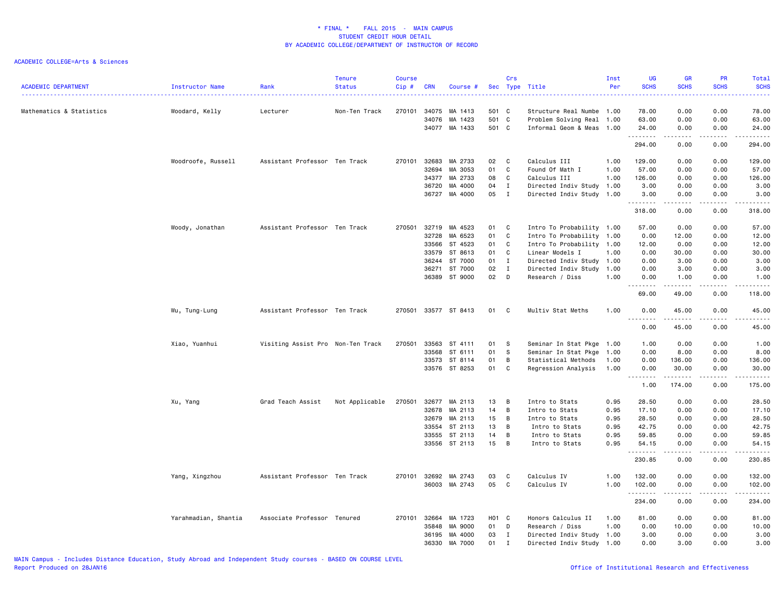| <b>ACADEMIC DEPARTMENT</b> | Instructor Name      | Rank                              | <b>Tenure</b><br><b>Status</b> | <b>Course</b><br>$Cip \#$ | <b>CRN</b>     | Course #             |                   | Crs            | Sec Type Title                                         | Inst<br>Per | UG<br><b>SCHS</b><br>.                                                                                                                                                                                                                                                                                                                                                                                                                                                                         | <b>GR</b><br><b>SCHS</b><br>---- | <b>PR</b><br><b>SCHS</b><br>$\omega_{\rm{eff}}$ and $\omega_{\rm{eff}}$ | Total<br><b>SCHS</b><br>بالأنابات |
|----------------------------|----------------------|-----------------------------------|--------------------------------|---------------------------|----------------|----------------------|-------------------|----------------|--------------------------------------------------------|-------------|------------------------------------------------------------------------------------------------------------------------------------------------------------------------------------------------------------------------------------------------------------------------------------------------------------------------------------------------------------------------------------------------------------------------------------------------------------------------------------------------|----------------------------------|-------------------------------------------------------------------------|-----------------------------------|
| Mathematics & Statistics   | Woodard, Kelly       | Lecturer                          | Non-Ten Track                  | 270101                    | 34075<br>34076 | MA 1413<br>MA 1423   | 501 C<br>501 C    |                | Structure Real Numbe 1.00<br>Problem Solving Real 1.00 |             | 78.00<br>63.00                                                                                                                                                                                                                                                                                                                                                                                                                                                                                 | 0.00<br>0.00                     | 0.00<br>0.00                                                            | 78.00<br>63.00                    |
|                            |                      |                                   |                                |                           | 34077          | MA 1433              | 501 C             |                | Informal Geom & Meas 1.00                              |             | 24.00<br>.                                                                                                                                                                                                                                                                                                                                                                                                                                                                                     | 0.00<br>.                        | 0.00<br>.                                                               | 24.00<br>.                        |
|                            |                      |                                   |                                |                           |                |                      |                   |                |                                                        |             | 294.00                                                                                                                                                                                                                                                                                                                                                                                                                                                                                         | 0.00                             | 0.00                                                                    | 294.00                            |
|                            | Woodroofe, Russell   | Assistant Professor Ten Track     |                                | 270101                    | 32683          | MA 2733              | 02                | C.             | Calculus III                                           | 1.00        | 129.00                                                                                                                                                                                                                                                                                                                                                                                                                                                                                         | 0.00                             | 0.00                                                                    | 129.00                            |
|                            |                      |                                   |                                |                           | 32694          | MA 3053              | 01                | C              | Found Of Math I                                        | 1.00        | 57.00                                                                                                                                                                                                                                                                                                                                                                                                                                                                                          | 0.00                             | 0.00                                                                    | 57.00                             |
|                            |                      |                                   |                                |                           | 34377          | MA 2733              | 08                | $\mathsf C$    | Calculus III                                           | 1.00        | 126.00                                                                                                                                                                                                                                                                                                                                                                                                                                                                                         | 0.00                             | 0.00                                                                    | 126.00                            |
|                            |                      |                                   |                                |                           | 36720          | MA 4000              | 04                | $\mathbf{I}$   | Directed Indiv Study                                   | 1.00        | 3.00                                                                                                                                                                                                                                                                                                                                                                                                                                                                                           | 0.00                             | 0.00                                                                    | 3.00                              |
|                            |                      |                                   |                                |                           | 36727          | MA 4000              | 05                | $\mathbf{I}$   | Directed Indiv Study 1.00                              |             | 3.00<br>.                                                                                                                                                                                                                                                                                                                                                                                                                                                                                      | 0.00<br>$- - - - -$              | 0.00<br>.                                                               | 3.00<br>.                         |
|                            |                      |                                   |                                |                           |                |                      |                   |                |                                                        |             | 318.00                                                                                                                                                                                                                                                                                                                                                                                                                                                                                         | 0.00                             | 0.00                                                                    | 318.00                            |
|                            | Woody, Jonathan      | Assistant Professor Ten Track     |                                | 270501                    | 32719          | MA 4523              | 01                | C              | Intro To Probability 1.00                              |             | 57.00                                                                                                                                                                                                                                                                                                                                                                                                                                                                                          | 0.00                             | 0.00                                                                    | 57.00                             |
|                            |                      |                                   |                                |                           | 32728          | MA 6523              | 01                | C              | Intro To Probability                                   | 1.00        | 0.00                                                                                                                                                                                                                                                                                                                                                                                                                                                                                           | 12.00                            | 0.00                                                                    | 12.00                             |
|                            |                      |                                   |                                |                           | 33566          | ST 4523              | 01                | C              | Intro To Probability 1.00                              |             | 12.00                                                                                                                                                                                                                                                                                                                                                                                                                                                                                          | 0.00                             | 0.00                                                                    | 12.00                             |
|                            |                      |                                   |                                |                           | 33579          | ST 8613              | 01                | C              | Linear Models I                                        | 1.00        | 0.00                                                                                                                                                                                                                                                                                                                                                                                                                                                                                           | 30.00                            | 0.00                                                                    | 30.00                             |
|                            |                      |                                   |                                |                           | 36244          | ST 7000              | 01                | $\mathbf{I}$   | Directed Indiv Study                                   | 1.00        | 0.00                                                                                                                                                                                                                                                                                                                                                                                                                                                                                           | 3.00                             | 0.00                                                                    | 3.00                              |
|                            |                      |                                   |                                |                           | 36271          | ST 7000              | 02                | $\mathbf{I}$   | Directed Indiv Study                                   | 1.00        | 0.00                                                                                                                                                                                                                                                                                                                                                                                                                                                                                           | 3.00                             | 0.00                                                                    | 3.00                              |
|                            |                      |                                   |                                |                           |                | 36389 ST 9000        | 02                | D              | Research / Diss                                        | 1.00        | 0.00<br>.                                                                                                                                                                                                                                                                                                                                                                                                                                                                                      | 1.00<br>$\frac{1}{2}$            | 0.00<br>.                                                               | 1.00<br>.                         |
|                            |                      |                                   |                                |                           |                |                      |                   |                |                                                        |             | 69.00                                                                                                                                                                                                                                                                                                                                                                                                                                                                                          | 49.00                            | 0.00                                                                    | 118.00                            |
|                            | Wu, Tung-Lung        | Assistant Professor Ten Track     |                                |                           |                | 270501 33577 ST 8413 | 01 C              |                | Multiv Stat Meths                                      | 1.00        | 0.00<br>.<br>$  -$                                                                                                                                                                                                                                                                                                                                                                                                                                                                             | 45.00<br>.                       | 0.00<br>.                                                               | 45.00<br>.                        |
|                            |                      |                                   |                                |                           |                |                      |                   |                |                                                        |             | 0.00                                                                                                                                                                                                                                                                                                                                                                                                                                                                                           | 45.00                            | 0.00                                                                    | 45.00                             |
|                            | Xiao, Yuanhui        | Visiting Assist Pro Non-Ten Track |                                | 270501                    | 33563          | ST 4111              | 01                | S              | Seminar In Stat Pkge 1.00                              |             | 1.00                                                                                                                                                                                                                                                                                                                                                                                                                                                                                           | 0.00                             | 0.00                                                                    | 1.00                              |
|                            |                      |                                   |                                |                           | 33568          | ST 6111              | 01                | S              | Seminar In Stat Pkge                                   | 1.00        | 0.00                                                                                                                                                                                                                                                                                                                                                                                                                                                                                           | 8.00                             | 0.00                                                                    | 8.00                              |
|                            |                      |                                   |                                |                           | 33573          | ST 8114              | 01                | В              | Statistical Methods                                    | 1.00        | 0.00                                                                                                                                                                                                                                                                                                                                                                                                                                                                                           | 136.00                           | 0.00                                                                    | 136.00                            |
|                            |                      |                                   |                                |                           |                | 33576 ST 8253        | 01                | C              | Regression Analysis                                    | 1.00        | 0.00<br>$\begin{array}{cccccccccccccc} \multicolumn{2}{c}{} & \multicolumn{2}{c}{} & \multicolumn{2}{c}{} & \multicolumn{2}{c}{} & \multicolumn{2}{c}{} & \multicolumn{2}{c}{} & \multicolumn{2}{c}{} & \multicolumn{2}{c}{} & \multicolumn{2}{c}{} & \multicolumn{2}{c}{} & \multicolumn{2}{c}{} & \multicolumn{2}{c}{} & \multicolumn{2}{c}{} & \multicolumn{2}{c}{} & \multicolumn{2}{c}{} & \multicolumn{2}{c}{} & \multicolumn{2}{c}{} & \multicolumn{2}{c}{} & \multicolumn{2}{c}{} & \$ | 30.00<br>.                       | 0.00<br>22222                                                           | 30.00<br>------                   |
|                            |                      |                                   |                                |                           |                |                      |                   |                |                                                        |             | 1.00                                                                                                                                                                                                                                                                                                                                                                                                                                                                                           | 174.00                           | 0.00                                                                    | 175.00                            |
|                            | Xu, Yang             | Grad Teach Assist                 | Not Applicable                 | 270501                    | 32677          | MA 2113              | 13                | B              | Intro to Stats                                         | 0.95        | 28.50                                                                                                                                                                                                                                                                                                                                                                                                                                                                                          | 0.00                             | 0.00                                                                    | 28.50                             |
|                            |                      |                                   |                                |                           | 32678          | MA 2113              | 14                | B              | Intro to Stats                                         | 0.95        | 17.10                                                                                                                                                                                                                                                                                                                                                                                                                                                                                          | 0.00                             | 0.00                                                                    | 17.10                             |
|                            |                      |                                   |                                |                           | 32679          | MA 2113              | 15                | B              | Intro to Stats                                         | 0.95        | 28.50                                                                                                                                                                                                                                                                                                                                                                                                                                                                                          | 0.00                             | 0.00                                                                    | 28.50                             |
|                            |                      |                                   |                                |                           | 33554          | ST 2113              | 13                | В              | Intro to Stats                                         | 0.95        | 42.75                                                                                                                                                                                                                                                                                                                                                                                                                                                                                          | 0.00                             | 0.00                                                                    | 42.75                             |
|                            |                      |                                   |                                |                           | 33555          | ST 2113              | 14                | В              | Intro to Stats                                         | 0.95        | 59.85                                                                                                                                                                                                                                                                                                                                                                                                                                                                                          | 0.00                             | 0.00                                                                    | 59.85                             |
|                            |                      |                                   |                                |                           |                | 33556 ST 2113        | 15                | $\overline{B}$ | Intro to Stats                                         | 0.95        | 54.15<br>.                                                                                                                                                                                                                                                                                                                                                                                                                                                                                     | 0.00<br>.                        | 0.00<br>.                                                               | 54.15<br>.                        |
|                            |                      |                                   |                                |                           |                |                      |                   |                |                                                        |             | 230.85                                                                                                                                                                                                                                                                                                                                                                                                                                                                                         | 0.00                             | 0.00                                                                    | 230.85                            |
|                            | Yang, Xingzhou       | Assistant Professor Ten Track     |                                | 270101                    | 32692          | MA 2743              | 03                | C              | Calculus IV                                            | 1.00        | 132.00                                                                                                                                                                                                                                                                                                                                                                                                                                                                                         | 0.00                             | 0.00                                                                    | 132.00                            |
|                            |                      |                                   |                                |                           |                | 36003 MA 2743        | 05                | C              | Calculus IV                                            | 1.00        | 102.00                                                                                                                                                                                                                                                                                                                                                                                                                                                                                         | 0.00                             | 0.00                                                                    | 102.00                            |
|                            |                      |                                   |                                |                           |                |                      |                   |                |                                                        |             | <u>.</u><br>234.00                                                                                                                                                                                                                                                                                                                                                                                                                                                                             | 0.00                             | 0.00                                                                    | .<br>234.00                       |
|                            | Yarahmadian, Shantia | Associate Professor Tenured       |                                | 270101                    | 32664          | MA 1723              | H <sub>01</sub> C |                | Honors Calculus II                                     | 1.00        | 81.00                                                                                                                                                                                                                                                                                                                                                                                                                                                                                          | 0.00                             | 0.00                                                                    | 81.00                             |
|                            |                      |                                   |                                |                           | 35848          | MA 9000              | 01                | D              | Research / Diss                                        | 1.00        | 0.00                                                                                                                                                                                                                                                                                                                                                                                                                                                                                           | 10.00                            | 0.00                                                                    | 10.00                             |
|                            |                      |                                   |                                |                           | 36195          | MA 4000              | 03                | $\bf{I}$       | Directed Indiv Study                                   | 1.00        | 3.00                                                                                                                                                                                                                                                                                                                                                                                                                                                                                           | 0.00                             | 0.00                                                                    | 3.00                              |
|                            |                      |                                   |                                |                           | 36330          | MA 7000              | 01                | $\mathbf I$    | Directed Indiv Study 1.00                              |             | 0.00                                                                                                                                                                                                                                                                                                                                                                                                                                                                                           | 3.00                             | 0.00                                                                    | 3.00                              |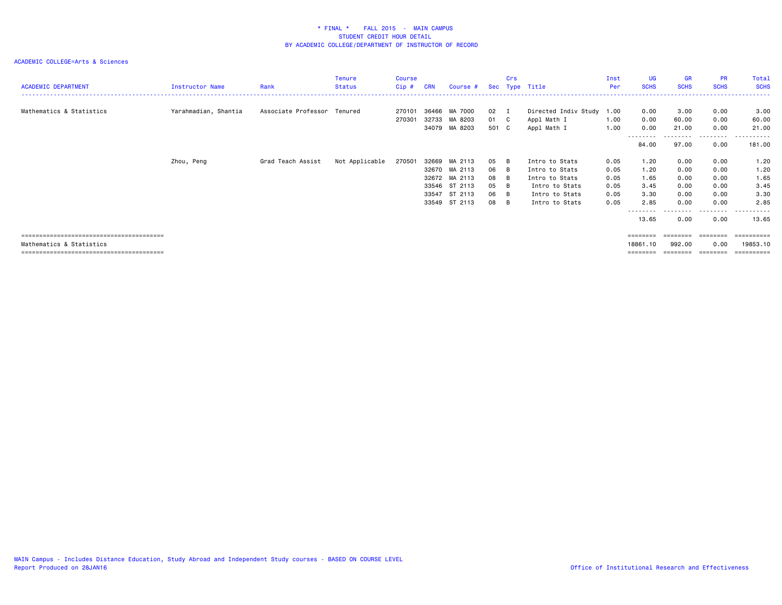| <b>ACADEMIC DEPARTMENT</b> | Instructor Name      | Rank                        | <b>Tenure</b><br>Status | <b>Course</b><br>Cip# | <b>CRN</b> | Course #                                        |                       | Crs | Sec Type Title                                          | Inst<br>Per  | UG<br><b>SCHS</b>                | <b>GR</b><br><b>SCHS</b> | <b>PR</b><br><b>SCHS</b>          | Total<br><b>SCHS</b>                 |
|----------------------------|----------------------|-----------------------------|-------------------------|-----------------------|------------|-------------------------------------------------|-----------------------|-----|---------------------------------------------------------|--------------|----------------------------------|--------------------------|-----------------------------------|--------------------------------------|
| Mathematics & Statistics   | Yarahmadian, Shantia | Associate Professor Tenured |                         | 270101<br>270301      |            | 36466 MA 7000<br>32733 MA 8203<br>34079 MA 8203 | 02 I<br>01 C<br>501 C |     | Directed Indiv Study 1.00<br>Appl Math I<br>Appl Math I | 1.00<br>1.00 | 0.00<br>0.00<br>0.00<br>-------- | 3.00<br>60.00<br>21.00   | 0.00<br>0.00<br>0.00<br>--------- | 3.00<br>60.00<br>21.00<br>. <b>.</b> |
|                            |                      |                             |                         |                       |            |                                                 |                       |     |                                                         |              | 84.00                            | 97.00                    | 0.00                              | 181.00                               |
|                            | Zhou, Peng           | Grad Teach Assist           | Not Applicable          | 270501                |            | 32669 MA 2113                                   | 05 B                  |     | Intro to Stats                                          | 0.05         | 1.20                             | 0.00                     | 0.00                              | 1.20                                 |
|                            |                      |                             |                         |                       |            | 32670 MA 2113                                   | 06 B                  |     | Intro to Stats                                          | 0.05         | 1.20                             | 0.00                     | 0.00                              | 1.20                                 |
|                            |                      |                             |                         |                       |            | 32672 MA 2113                                   | 08                    | – B | Intro to Stats                                          | 0.05         | 1.65                             | 0.00                     | 0.00                              | 1.65                                 |
|                            |                      |                             |                         |                       |            | 33546 ST 2113                                   | 05                    | B   | Intro to Stats                                          | 0.05         | 3.45                             | 0.00                     | 0.00                              | 3.45                                 |
|                            |                      |                             |                         |                       |            | 33547 ST 2113                                   | 06                    | B   | Intro to Stats                                          | 0.05         | 3.30                             | 0.00                     | 0.00                              | 3.30                                 |
|                            |                      |                             |                         |                       |            | 33549 ST 2113                                   | 08                    | B   | Intro to Stats                                          | 0.05         | 2.85                             | 0.00                     | 0.00                              | 2.85                                 |
|                            |                      |                             |                         |                       |            |                                                 |                       |     |                                                         |              |                                  |                          | --------                          | .                                    |
|                            |                      |                             |                         |                       |            |                                                 |                       |     |                                                         |              | 13.65                            | 0.00                     | 0.00                              | 13.65                                |
|                            |                      |                             |                         |                       |            |                                                 |                       |     |                                                         |              | ========                         |                          |                                   | ========                             |
| Mathematics & Statistics   |                      |                             |                         |                       |            |                                                 |                       |     |                                                         |              | 18861.10                         | 992.00                   | 0.00                              | 19853.10                             |
|                            |                      |                             |                         |                       |            |                                                 |                       |     |                                                         |              | ========                         | ========                 | ========                          | ==========                           |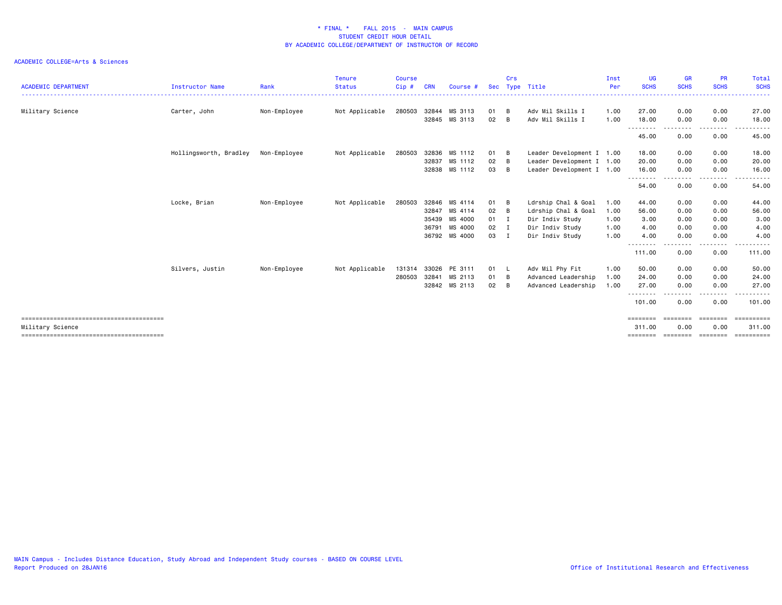| <b>ACADEMIC DEPARTMENT</b> | <b>Instructor Name</b> | Rank         | <b>Tenure</b><br><b>Status</b> | <b>Course</b><br>Cip# | <b>CRN</b> | Course #      | <b>Sec</b>   | Crs<br>Type | Title                     | Inst<br>Per | UG<br><b>SCHS</b>  | <b>GR</b><br><b>SCHS</b> | <b>PR</b><br><b>SCHS</b>                                                                                                          | <b>Total</b><br><b>SCHS</b>                                                                                                        |
|----------------------------|------------------------|--------------|--------------------------------|-----------------------|------------|---------------|--------------|-------------|---------------------------|-------------|--------------------|--------------------------|-----------------------------------------------------------------------------------------------------------------------------------|------------------------------------------------------------------------------------------------------------------------------------|
| Military Science           | Carter, John           | Non-Employee | Not Applicable                 | 280503                | 32844      | MS 3113       | 01           | B           | Adv Mil Skills I          | 1.00        | 27.00              | 0.00                     | 0.00                                                                                                                              | 27.00                                                                                                                              |
|                            |                        |              |                                |                       |            | 32845 MS 3113 | 02           | B           | Adv Mil Skills I          | 1.00        | 18.00              | 0.00                     | 0.00                                                                                                                              | 18.00                                                                                                                              |
|                            |                        |              |                                |                       |            |               |              |             |                           |             | --------<br>45.00  | 0.00                     | 0.00                                                                                                                              | $\frac{1}{2} \left( \frac{1}{2} \right) \left( \frac{1}{2} \right) \left( \frac{1}{2} \right) \left( \frac{1}{2} \right)$<br>45.00 |
|                            | Hollingsworth, Bradley | Non-Employee | Not Applicable                 | 280503                | 32836      | MS 1112       | 01           | B           | Leader Development I 1.00 |             | 18.00              | 0.00                     | 0.00                                                                                                                              | 18.00                                                                                                                              |
|                            |                        |              |                                |                       | 32837      | MS 1112       | 02           | <b>B</b>    | Leader Development I 1.00 |             | 20.00              | 0.00                     | 0.00                                                                                                                              | 20.00                                                                                                                              |
|                            |                        |              |                                |                       | 32838      | MS 1112       | 03           | B           | Leader Development I 1.00 |             | 16.00<br><u>.</u>  | 0.00                     | 0.00                                                                                                                              | 16.00                                                                                                                              |
|                            |                        |              |                                |                       |            |               |              |             |                           |             | 54.00              | 0.00                     | 0.00                                                                                                                              | 54.00                                                                                                                              |
|                            | Locke, Brian           | Non-Employee | Not Applicable                 | 280503                | 32846      | MS 4114       | 01           | B           | Ldrship Chal & Goal       | 1.00        | 44.00              | 0.00                     | 0.00                                                                                                                              | 44.00                                                                                                                              |
|                            |                        |              |                                |                       | 32847      | MS 4114       | 02           | B           | Ldrship Chal & Goal       | 1.00        | 56.00              | 0.00                     | 0.00                                                                                                                              | 56.00                                                                                                                              |
|                            |                        |              |                                |                       | 35439      | MS 4000       | $01$ I       |             | Dir Indiv Study           | 1.00        | 3.00               | 0.00                     | 0.00                                                                                                                              | 3.00                                                                                                                               |
|                            |                        |              |                                |                       | 36791      | MS 4000       | $02 \quad I$ |             | Dir Indiv Study           | 1.00        | 4.00               | 0.00                     | 0.00                                                                                                                              | 4.00                                                                                                                               |
|                            |                        |              |                                |                       |            | 36792 MS 4000 | 03 I         |             | Dir Indiv Study           | 1.00        | 4.00<br>.          | 0.00<br>$- - -$          | 0.00<br>$\frac{1}{2} \left( \frac{1}{2} \right) \left( \frac{1}{2} \right) \left( \frac{1}{2} \right) \left( \frac{1}{2} \right)$ | 4.00<br>.                                                                                                                          |
|                            |                        |              |                                |                       |            |               |              |             |                           |             | 111.00             | 0.00                     | 0.00                                                                                                                              | 111.00                                                                                                                             |
|                            | Silvers, Justin        | Non-Employee | Not Applicable                 | 131314                | 33026      | PE 3111       | 01 L         |             | Adv Mil Phy Fit           | 1.00        | 50.00              | 0.00                     | 0.00                                                                                                                              | 50.00                                                                                                                              |
|                            |                        |              |                                | 280503                | 32841      | MS 2113       | 01           | B           | Advanced Leadership       | 1.00        | 24.00              | 0.00                     | 0.00                                                                                                                              | 24.00                                                                                                                              |
|                            |                        |              |                                |                       |            | 32842 MS 2113 | 02           | B           | Advanced Leadership       | 1.00        | 27.00              | 0.00                     | 0.00                                                                                                                              | 27.00                                                                                                                              |
|                            |                        |              |                                |                       |            |               |              |             |                           |             | .<br>101.00        | 0.00                     | 0.00                                                                                                                              | 101.00                                                                                                                             |
|                            |                        |              |                                |                       |            |               |              |             |                           |             | ========           | ========                 | ========                                                                                                                          | ==========                                                                                                                         |
| Military Science           |                        |              |                                |                       |            |               |              |             |                           |             | 311.00<br>======== | 0.00<br>========         | 0.00<br>========                                                                                                                  | 311.00<br><b>ESSESSEES</b>                                                                                                         |
|                            |                        |              |                                |                       |            |               |              |             |                           |             |                    |                          |                                                                                                                                   |                                                                                                                                    |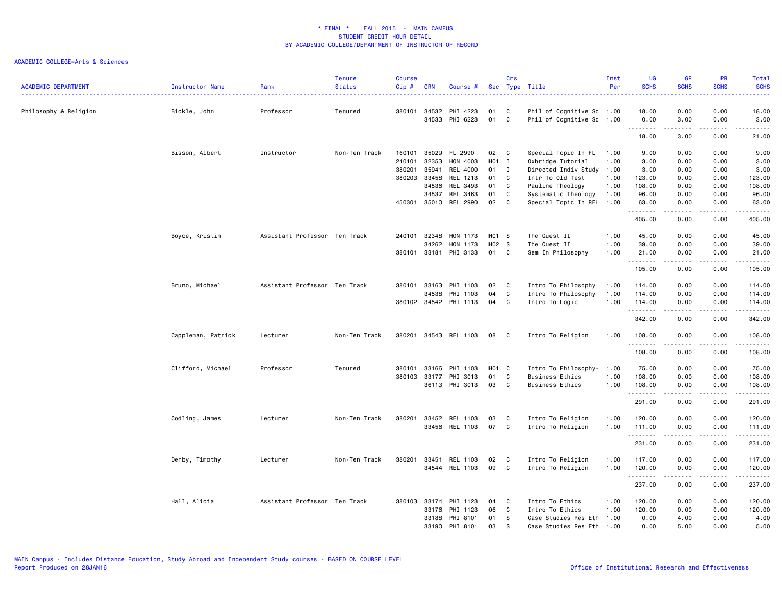| <b>ACADEMIC DEPARTMENT</b> | Instructor Name    | Rank                          | <b>Tenure</b><br><b>Status</b> | <b>Course</b><br>Cip# | <b>CRN</b> | Course #              |       | Crs          | Sec Type Title            | Inst<br>Per | UG<br><b>SCHS</b>  | <b>GR</b><br><b>SCHS</b>                                                                                                          | <b>PR</b><br><b>SCHS</b>                                                                                                          | Total<br><b>SCHS</b>                                                                                                                                         |
|----------------------------|--------------------|-------------------------------|--------------------------------|-----------------------|------------|-----------------------|-------|--------------|---------------------------|-------------|--------------------|-----------------------------------------------------------------------------------------------------------------------------------|-----------------------------------------------------------------------------------------------------------------------------------|--------------------------------------------------------------------------------------------------------------------------------------------------------------|
| Philosophy & Religion      | Bickle, John       | Professor                     | Tenured                        | 380101                | 34532      | PHI 4223              | 01    | C            | Phil of Cognitive Sc 1.00 |             | 18.00              | 0.00                                                                                                                              | 0.00                                                                                                                              | .<br>18.00                                                                                                                                                   |
|                            |                    |                               |                                |                       | 34533      | PHI 6223              | 01    | C            | Phil of Cognitive Sc 1.00 |             | 0.00<br><b></b>    | 3.00<br>.                                                                                                                         | 0.00<br>$\frac{1}{2}$                                                                                                             | 3.00<br>$\frac{1}{2} \left( \frac{1}{2} \right) \left( \frac{1}{2} \right) \left( \frac{1}{2} \right) \left( \frac{1}{2} \right) \left( \frac{1}{2} \right)$ |
|                            |                    |                               |                                |                       |            |                       |       |              |                           |             | 18.00              | 3.00                                                                                                                              | 0.00                                                                                                                              | 21.00                                                                                                                                                        |
|                            | Bisson, Albert     | Instructor                    | Non-Ten Track                  | 160101                | 35029      | FL 2990               | 02    | C            | Special Topic In FL       | 1.00        | 9.00               | 0.00                                                                                                                              | 0.00                                                                                                                              | 9.00                                                                                                                                                         |
|                            |                    |                               |                                | 240101                | 32353      | HON 4003              | H01 I |              | Oxbridge Tutorial         | 1.00        | 3.00               | 0.00                                                                                                                              | 0.00                                                                                                                              | 3.00                                                                                                                                                         |
|                            |                    |                               |                                | 380201                | 35941      | REL 4000              | 01    | $\mathbf{I}$ | Directed Indiv Study 1.00 |             | 3.00               | 0.00                                                                                                                              | 0.00                                                                                                                              | 3.00                                                                                                                                                         |
|                            |                    |                               |                                | 380203                | 33458      | REL 1213              | 01    | C            | Intr To Old Test          | 1.00        | 123.00             | 0.00                                                                                                                              | 0.00                                                                                                                              | 123.00                                                                                                                                                       |
|                            |                    |                               |                                |                       | 34536      | REL 3493              | 01    | C            | Pauline Theology          | 1.00        | 108.00             | 0.00                                                                                                                              | 0.00                                                                                                                              | 108.00                                                                                                                                                       |
|                            |                    |                               |                                |                       | 34537      | REL 3463              | 01    | C            | Systematic Theology       | 1.00        | 96.00              | 0.00                                                                                                                              | 0.00                                                                                                                              | 96.00                                                                                                                                                        |
|                            |                    |                               |                                | 450301                | 35010      | REL 2990              | 02    | C            | Special Topic In REL 1.00 |             | 63.00              | 0.00                                                                                                                              | 0.00                                                                                                                              | 63.00                                                                                                                                                        |
|                            |                    |                               |                                |                       |            |                       |       |              |                           |             | .                  | $\frac{1}{2} \left( \frac{1}{2} \right) \left( \frac{1}{2} \right) \left( \frac{1}{2} \right) \left( \frac{1}{2} \right)$         | $\frac{1}{2} \left( \frac{1}{2} \right) \left( \frac{1}{2} \right) \left( \frac{1}{2} \right) \left( \frac{1}{2} \right)$         | د د د د د                                                                                                                                                    |
|                            |                    |                               |                                |                       |            |                       |       |              |                           |             | 405.00             | 0.00                                                                                                                              | 0.00                                                                                                                              | 405.00                                                                                                                                                       |
|                            | Boyce, Kristin     | Assistant Professor Ten Track |                                | 240101                | 32348      | HON 1173              | H01 S |              | The Quest II              | 1.00        | 45.00              | 0.00                                                                                                                              | 0.00                                                                                                                              | 45.00                                                                                                                                                        |
|                            |                    |                               |                                |                       | 34262      | HON 1173              | H02 S |              | The Quest II              | 1.00        | 39.00              | 0.00                                                                                                                              | 0.00                                                                                                                              | 39.00                                                                                                                                                        |
|                            |                    |                               |                                | 380101 33181          |            | PHI 3133              | 01 C  |              | Sem In Philosophy         | 1.00        | 21.00              | 0.00                                                                                                                              | 0.00                                                                                                                              | 21.00                                                                                                                                                        |
|                            |                    |                               |                                |                       |            |                       |       |              |                           |             | --------<br>105.00 | -----<br>0.00                                                                                                                     | .<br>0.00                                                                                                                         | $\begin{array}{cccccccccccccc} \bullet & \bullet & \bullet & \bullet & \bullet & \bullet & \bullet & \bullet \end{array}$<br>105.00                          |
|                            | Bruno, Michael     | Assistant Professor Ten Track |                                | 380101                | 33163      | PHI 1103              | 02    | C            | Intro To Philosophy       | 1.00        | 114.00             | 0.00                                                                                                                              | 0.00                                                                                                                              | 114.00                                                                                                                                                       |
|                            |                    |                               |                                |                       | 34538      | PHI 1103              | 04    | C            | Intro To Philosophy       | 1.00        | 114.00             | 0.00                                                                                                                              | 0.00                                                                                                                              | 114.00                                                                                                                                                       |
|                            |                    |                               |                                |                       |            | 380102 34542 PHI 1113 | 04    | C            | Intro To Logic            | 1.00        | 114.00             | 0.00                                                                                                                              | 0.00                                                                                                                              | 114.00                                                                                                                                                       |
|                            |                    |                               |                                |                       |            |                       |       |              |                           |             | .                  | -----                                                                                                                             | المتمام المنا                                                                                                                     | .                                                                                                                                                            |
|                            |                    |                               |                                |                       |            |                       |       |              |                           |             | 342.00             | 0.00                                                                                                                              | 0.00                                                                                                                              | 342.00                                                                                                                                                       |
|                            | Cappleman, Patrick | Lecturer                      | Non-Ten Track                  | 380201                |            | 34543 REL 1103        | 08    | C            | Intro To Religion         | 1.00        | 108.00<br>.        | 0.00<br>.                                                                                                                         | 0.00<br>$\frac{1}{2} \left( \frac{1}{2} \right) \left( \frac{1}{2} \right) \left( \frac{1}{2} \right) \left( \frac{1}{2} \right)$ | 108.00<br>$\begin{array}{cccccccccc} \bullet & \bullet & \bullet & \bullet & \bullet & \bullet & \bullet & \bullet \end{array}$                              |
|                            |                    |                               |                                |                       |            |                       |       |              |                           |             | 108.00             | 0.00                                                                                                                              | 0.00                                                                                                                              | 108.00                                                                                                                                                       |
|                            | Clifford, Michael  | Professor                     | Tenured                        | 380101                | 33166      | PHI 1103              | H01 C |              | Intro To Philosophy-      | 1.00        | 75.00              | 0.00                                                                                                                              | 0.00                                                                                                                              | 75.00                                                                                                                                                        |
|                            |                    |                               |                                | 380103                | 33177      | PHI 3013              | 01    | C            | <b>Business Ethics</b>    | 1.00        | 108.00             | 0.00                                                                                                                              | 0.00                                                                                                                              | 108.00                                                                                                                                                       |
|                            |                    |                               |                                |                       |            | 36113 PHI 3013        | 03    | C            | <b>Business Ethics</b>    | 1.00        | 108.00             | 0.00                                                                                                                              | 0.00                                                                                                                              | 108.00                                                                                                                                                       |
|                            |                    |                               |                                |                       |            |                       |       |              |                           |             | .<br>291.00        | $\frac{1}{2} \left( \frac{1}{2} \right) \left( \frac{1}{2} \right) \left( \frac{1}{2} \right) \left( \frac{1}{2} \right)$<br>0.00 | $\frac{1}{2} \left( \frac{1}{2} \right) \left( \frac{1}{2} \right) \left( \frac{1}{2} \right) \left( \frac{1}{2} \right)$<br>0.00 | .<br>291.00                                                                                                                                                  |
|                            |                    |                               |                                |                       |            |                       |       |              |                           |             |                    |                                                                                                                                   |                                                                                                                                   |                                                                                                                                                              |
|                            | Codling, James     | Lecturer                      | Non-Ten Track                  | 380201                | 33452      | REL 1103              | 03    | C            | Intro To Religion         | 1.00        | 120.00             | 0.00                                                                                                                              | 0.00                                                                                                                              | 120.00                                                                                                                                                       |
|                            |                    |                               |                                |                       |            | 33456 REL 1103        | 07    | C            | Intro To Religion         | 1.00        | 111.00<br><b></b>  | 0.00<br>.                                                                                                                         | 0.00<br>$\frac{1}{2}$                                                                                                             | 111.00<br>$\begin{array}{cccccccccc} \bullet & \bullet & \bullet & \bullet & \bullet & \bullet & \bullet & \bullet \end{array}$                              |
|                            |                    |                               |                                |                       |            |                       |       |              |                           |             | 231.00             | 0.00                                                                                                                              | 0.00                                                                                                                              | 231.00                                                                                                                                                       |
|                            | Derby, Timothy     | Lecturer                      | Non-Ten Track                  | 380201                | 33451      | REL 1103              | 02    | C            | Intro To Religion         | 1.00        | 117.00             | 0.00                                                                                                                              | 0.00                                                                                                                              | 117.00                                                                                                                                                       |
|                            |                    |                               |                                |                       |            | 34544 REL 1103        | 09    | C            | Intro To Religion         | 1.00        | 120.00             | 0.00                                                                                                                              | 0.00                                                                                                                              | 120.00                                                                                                                                                       |
|                            |                    |                               |                                |                       |            |                       |       |              |                           |             | .<br>237.00        | $\cdots \cdots \cdots$<br>0.00                                                                                                    | .<br>0.00                                                                                                                         | .<br>237.00                                                                                                                                                  |
|                            | Hall, Alicia       | Assistant Professor Ten Track |                                | 380103                | 33174      | PHI 1123              | 04    | C            | Intro To Ethics           | 1.00        | 120.00             | 0.00                                                                                                                              | 0.00                                                                                                                              | 120.00                                                                                                                                                       |
|                            |                    |                               |                                |                       | 33176      | PHI 1123              | 06    | C            | Intro To Ethics           | 1.00        | 120.00             | 0.00                                                                                                                              | 0.00                                                                                                                              | 120.00                                                                                                                                                       |
|                            |                    |                               |                                |                       |            | 33188 PHI 8101        | 01    | s            | Case Studies Res Eth 1.00 |             | 0.00               | 4.00                                                                                                                              | 0.00                                                                                                                              | 4.00                                                                                                                                                         |
|                            |                    |                               |                                |                       |            | 33190 PHI 8101        | 03    | S.           | Case Studies Res Eth      | 1.00        | 0.00               | 5.00                                                                                                                              | 0.00                                                                                                                              | 5.00                                                                                                                                                         |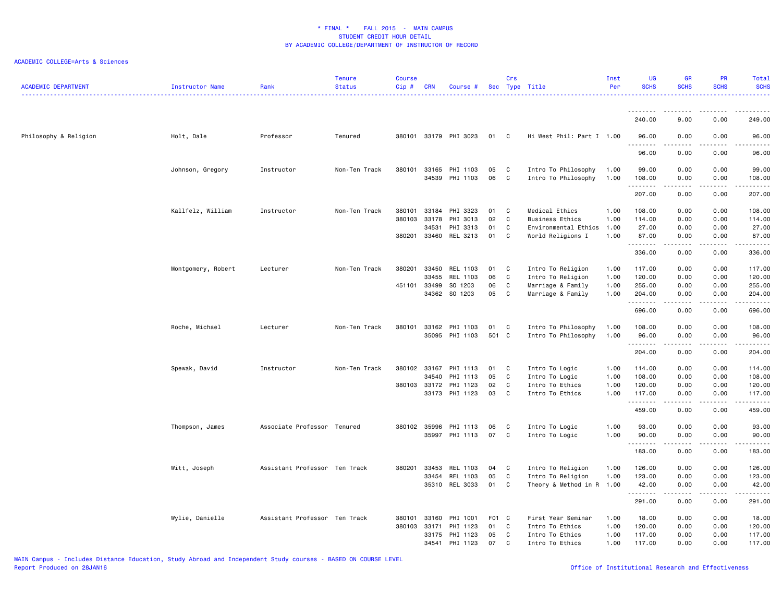| <b>ACADEMIC DEPARTMENT</b> | Instructor Name    | Rank                          | <b>Tenure</b><br><b>Status</b> | <b>Course</b><br>$Cip \#$ | <b>CRN</b>     | Course #              |          | Crs          | Sec Type Title                             | Inst<br>Per  | UG<br><b>SCHS</b> | <b>GR</b><br><b>SCHS</b>                                                                                                                             | PR<br><b>SCHS</b> | Total<br><b>SCHS</b>                                                                                                      |
|----------------------------|--------------------|-------------------------------|--------------------------------|---------------------------|----------------|-----------------------|----------|--------------|--------------------------------------------|--------------|-------------------|------------------------------------------------------------------------------------------------------------------------------------------------------|-------------------|---------------------------------------------------------------------------------------------------------------------------|
|                            |                    |                               |                                |                           |                |                       |          |              |                                            |              |                   |                                                                                                                                                      |                   |                                                                                                                           |
|                            |                    |                               |                                |                           |                |                       |          |              |                                            |              | 240.00            | 9.00                                                                                                                                                 | 0.00              | 249.00                                                                                                                    |
| Philosophy & Religion      | Holt, Dale         | Professor                     | Tenured                        |                           |                | 380101 33179 PHI 3023 | 01       | $\mathbf{C}$ | Hi West Phil: Part I 1.00                  |              | 96.00             | 0.00                                                                                                                                                 | 0.00              | 96.00<br>د د د د د                                                                                                        |
|                            |                    |                               |                                |                           |                |                       |          |              |                                            |              | 96.00             | 0.00                                                                                                                                                 | 0.00              | 96.00                                                                                                                     |
|                            | Johnson, Gregory   | Instructor                    | Non-Ten Track                  | 380101                    | 33165<br>34539 | PHI 1103<br>PHI 1103  | 05<br>06 | C<br>C       | Intro To Philosophy<br>Intro To Philosophy | 1.00<br>1.00 | 99.00<br>108.00   | 0.00<br>0.00                                                                                                                                         | 0.00<br>0.00      | 99.00<br>108.00                                                                                                           |
|                            |                    |                               |                                |                           |                |                       |          |              |                                            |              | .                 | $\frac{1}{2} \left( \frac{1}{2} \right) \left( \frac{1}{2} \right) \left( \frac{1}{2} \right) \left( \frac{1}{2} \right) \left( \frac{1}{2} \right)$ | .                 | $\begin{array}{cccccccccccccc} \bullet & \bullet & \bullet & \bullet & \bullet & \bullet & \bullet & \bullet \end{array}$ |
|                            |                    |                               |                                |                           |                |                       |          |              |                                            |              | 207.00            | 0.00                                                                                                                                                 | 0.00              | 207.00                                                                                                                    |
|                            | Kallfelz, William  | Instructor                    | Non-Ten Track                  | 380101                    | 33184          | PHI 3323              | 01       | C            | Medical Ethics                             | 1.00         | 108.00            | 0.00                                                                                                                                                 | 0.00              | 108.00                                                                                                                    |
|                            |                    |                               |                                | 380103                    | 33178<br>34531 | PHI 3013<br>PHI 3313  | 02<br>01 | C<br>C       | <b>Business Ethics</b>                     | 1.00<br>1.00 | 114.00<br>27.00   | 0.00<br>0.00                                                                                                                                         | 0.00<br>0.00      | 114.00<br>27.00                                                                                                           |
|                            |                    |                               |                                | 380201                    | 33460          | REL 3213              | 01       | C            | Environmental Ethics<br>World Religions I  | 1.00         | 87.00             | 0.00                                                                                                                                                 | 0.00              | 87.00                                                                                                                     |
|                            |                    |                               |                                |                           |                |                       |          |              |                                            |              | 1.1.1.1.1.1.1     | .                                                                                                                                                    | د د د د           |                                                                                                                           |
|                            |                    |                               |                                |                           |                |                       |          |              |                                            |              | 336.00            | 0.00                                                                                                                                                 | 0.00              | 336.00                                                                                                                    |
|                            | Montgomery, Robert | Lecturer                      | Non-Ten Track                  | 380201                    | 33450          | REL 1103              | 01       | C            | Intro To Religion                          | 1.00         | 117.00            | 0.00                                                                                                                                                 | 0.00              | 117.00                                                                                                                    |
|                            |                    |                               |                                |                           | 33455          | REL 1103              | 06       | C            | Intro To Religion                          | 1.00         | 120.00            | 0.00                                                                                                                                                 | 0.00              | 120.00                                                                                                                    |
|                            |                    |                               |                                |                           | 451101 33499   | SO 1203               | 06       | C            | Marriage & Family                          | 1.00         | 255.00            | 0.00                                                                                                                                                 | 0.00              | 255.00                                                                                                                    |
|                            |                    |                               |                                |                           | 34362          | SO 1203               | 05       | C            | Marriage & Family                          | 1.00         | 204.00<br>.       | 0.00                                                                                                                                                 | 0.00              | 204.00<br>.                                                                                                               |
|                            |                    |                               |                                |                           |                |                       |          |              |                                            |              | 696.00            | 0.00                                                                                                                                                 | 0.00              | 696.00                                                                                                                    |
|                            | Roche, Michael     | Lecturer                      | Non-Ten Track                  | 380101                    | 33162          | PHI 1103              | 01       | C            | Intro To Philosophy                        | 1.00         | 108.00            | 0.00                                                                                                                                                 | 0.00              | 108.00                                                                                                                    |
|                            |                    |                               |                                |                           | 35095          | PHI 1103              | 501 C    |              | Intro To Philosophy                        | 1.00         | 96.00<br><u>.</u> | 0.00<br>.                                                                                                                                            | 0.00<br>.         | 96.00<br>------                                                                                                           |
|                            |                    |                               |                                |                           |                |                       |          |              |                                            |              | 204.00            | 0.00                                                                                                                                                 | 0.00              | 204.00                                                                                                                    |
|                            | Spewak, David      | Instructor                    | Non-Ten Track                  | 380102                    | 33167          | PHI 1113              | 01       | C            | Intro To Logic                             | 1.00         | 114.00            | 0.00                                                                                                                                                 | 0.00              | 114.00                                                                                                                    |
|                            |                    |                               |                                |                           | 34540          | PHI 1113              | 05       | C            | Intro To Logic                             | 1.00         | 108.00            | 0.00                                                                                                                                                 | 0.00              | 108.00                                                                                                                    |
|                            |                    |                               |                                |                           | 380103 33172   | PHI 1123              | 02       | C            | Intro To Ethics                            | 1.00         | 120.00            | 0.00                                                                                                                                                 | 0.00              | 120.00                                                                                                                    |
|                            |                    |                               |                                |                           |                | 33173 PHI 1123        | 03       | C            | Intro To Ethics                            | 1.00         | 117.00<br>.       | 0.00<br>$- - - -$                                                                                                                                    | 0.00<br>.         | 117.00<br>.                                                                                                               |
|                            |                    |                               |                                |                           |                |                       |          |              |                                            |              | 459.00            | 0.00                                                                                                                                                 | 0.00              | 459.00                                                                                                                    |
|                            | Thompson, James    | Associate Professor Tenured   |                                |                           | 380102 35996   | PHI 1113              | 06       | C            | Intro To Logic                             | 1.00         | 93.00             | 0.00                                                                                                                                                 | 0.00              | 93.00                                                                                                                     |
|                            |                    |                               |                                |                           | 35997          | PHI 1113              | 07       | C            | Intro To Logic                             | 1.00         | 90.00             | 0.00<br>-----                                                                                                                                        | 0.00<br>.         | 90.00<br>------                                                                                                           |
|                            |                    |                               |                                |                           |                |                       |          |              |                                            |              | 183.00            | 0.00                                                                                                                                                 | 0.00              | 183.00                                                                                                                    |
|                            | Witt, Joseph       | Assistant Professor Ten Track |                                | 380201                    | 33453          | REL 1103              | 04       | C            | Intro To Religion                          | 1.00         | 126.00            | 0.00                                                                                                                                                 | 0.00              | 126.00                                                                                                                    |
|                            |                    |                               |                                |                           | 33454          | REL 1103              | 05       | C            | Intro To Religion                          | 1.00         | 123.00            | 0.00                                                                                                                                                 | 0.00              | 123.00                                                                                                                    |
|                            |                    |                               |                                |                           | 35310          | REL 3033              | 01       | C            | Theory & Method in R                       | 1.00         | 42.00<br>.        | 0.00                                                                                                                                                 | 0.00              | 42.00<br>.                                                                                                                |
|                            |                    |                               |                                |                           |                |                       |          |              |                                            |              | 291.00            | 0.00                                                                                                                                                 | 0.00              | 291.00                                                                                                                    |
|                            | Wylie, Danielle    | Assistant Professor Ten Track |                                | 380101                    | 33160          | PHI 1001              | F01 C    |              | First Year Seminar                         | 1.00         | 18.00             | 0.00                                                                                                                                                 | 0.00              | 18.00                                                                                                                     |
|                            |                    |                               |                                | 380103 33171              |                | PHI 1123              | 01       | C            | Intro To Ethics                            | 1.00         | 120.00            | 0.00                                                                                                                                                 | 0.00              | 120.00                                                                                                                    |
|                            |                    |                               |                                |                           | 33175          | PHI 1123              | 05       | C            | Intro To Ethics                            | 1.00         | 117.00            | 0.00                                                                                                                                                 | 0.00              | 117.00                                                                                                                    |
|                            |                    |                               |                                |                           | 34541          | PHI 1123              | 07       | C            | Intro To Ethics                            | 1.00         | 117.00            | 0.00                                                                                                                                                 | 0.00              | 117.00                                                                                                                    |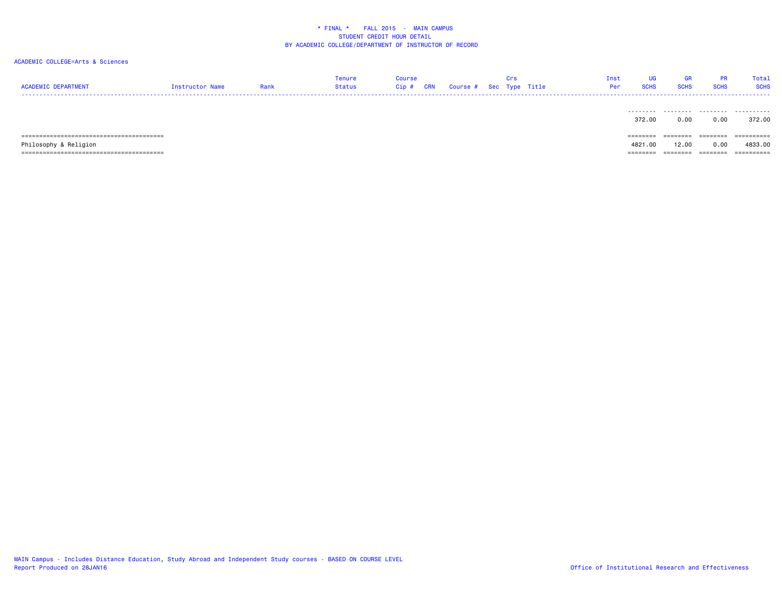## ACADEMIC COLLEGE=Arts & Sciences

| <b>ACADEMIC DEPARTMENT</b> | Instructor Name | Rank | Tenure<br><b>Status</b> | <b>Course</b><br>Cip# | <b>CRN</b> | Course # Sec Type Title | Crs | Inst<br>Per | UG<br><b>SCHS</b>           | GR<br><b>SCHS</b> | <b>PR</b><br><b>SCHS</b> | Total<br><b>SCHS</b> |
|----------------------------|-----------------|------|-------------------------|-----------------------|------------|-------------------------|-----|-------------|-----------------------------|-------------------|--------------------------|----------------------|
|                            |                 |      |                         |                       |            |                         |     |             | 372.00                      | 0.00              | 0.00                     | 372.00               |
|                            |                 |      |                         |                       |            |                         |     |             | $=$ $=$ $=$ $=$ $=$ $=$ $=$ |                   |                          | =========            |
| Philosophy & Religion      |                 |      |                         |                       |            |                         |     |             | 4821,00                     | 12.00             | 0.00                     | 4833.00              |
|                            |                 |      |                         |                       |            |                         |     |             | --------                    | ========          | ========                 | -----------          |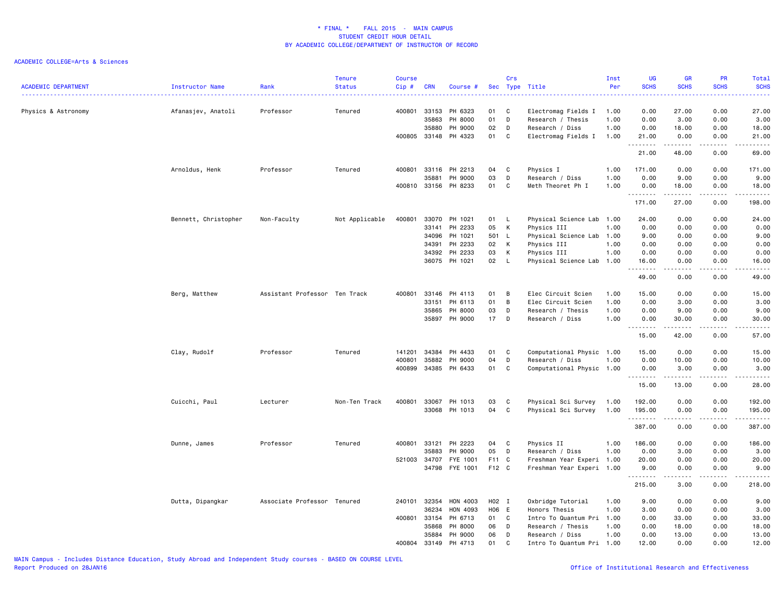| <b>ACADEMIC DEPARTMENT</b> | Instructor Name      | Rank<br>.                     | <b>Tenure</b><br><b>Status</b> | <b>Course</b><br>Cip# | <b>CRN</b>     | Course #           |          | Crs          | Sec Type Title                           | Inst<br>Per | UG<br><b>SCHS</b><br>$\frac{1}{2} \left( \frac{1}{2} \right) \left( \frac{1}{2} \right) \left( \frac{1}{2} \right)$                                          | <b>GR</b><br><b>SCHS</b> | <b>PR</b><br><b>SCHS</b><br>2.2.2.2 | Total<br><b>SCHS</b><br>د د د د د                                                                                                                             |
|----------------------------|----------------------|-------------------------------|--------------------------------|-----------------------|----------------|--------------------|----------|--------------|------------------------------------------|-------------|--------------------------------------------------------------------------------------------------------------------------------------------------------------|--------------------------|-------------------------------------|---------------------------------------------------------------------------------------------------------------------------------------------------------------|
| Physics & Astronomy        | Afanasjev, Anatoli   | Professor                     | Tenured                        | 400801                | 33153          | PH 6323            | 01       | C            | Electromag Fields I                      | 1.00        | 0.00                                                                                                                                                         | 27.00                    | 0.00                                | 27.00                                                                                                                                                         |
|                            |                      |                               |                                |                       | 35863          | PH 8000            | 01       | D            | Research / Thesis                        | 1.00        | 0.00                                                                                                                                                         | 3.00                     | 0.00                                | 3.00                                                                                                                                                          |
|                            |                      |                               |                                |                       | 35880          | PH 9000            | 02       | D            | Research / Diss                          | 1.00        | 0.00                                                                                                                                                         | 18.00                    | 0.00                                | 18.00                                                                                                                                                         |
|                            |                      |                               |                                | 400805                | 33148          | PH 4323            | 01       | C            | Electromag Fields I                      | 1.00        | 21.00<br>.                                                                                                                                                   | 0.00<br>.                | 0.00                                | 21.00<br>.                                                                                                                                                    |
|                            |                      |                               |                                |                       |                |                    |          |              |                                          |             | 21.00                                                                                                                                                        | 48.00                    | 0.00                                | 69.00                                                                                                                                                         |
|                            | Arnoldus, Henk       | Professor                     | Tenured                        | 400801                |                | 33116 PH 2213      | 04       | C            | Physics I                                | 1.00        | 171.00                                                                                                                                                       | 0.00                     | 0.00                                | 171.00                                                                                                                                                        |
|                            |                      |                               |                                |                       | 35881          | PH 9000            | 03       | D            | Research / Diss                          | 1.00        | 0.00                                                                                                                                                         | 9.00                     | 0.00                                | 9.00                                                                                                                                                          |
|                            |                      |                               |                                | 400810                |                | 33156 PH 8233      | 01       | C            | Meth Theoret Ph I                        | 1.00        | 0.00<br>.                                                                                                                                                    | 18.00                    | 0.00<br>.                           | 18.00<br>.                                                                                                                                                    |
|                            |                      |                               |                                |                       |                |                    |          |              |                                          |             | 171.00                                                                                                                                                       | 27.00                    | 0.00                                | 198.00                                                                                                                                                        |
|                            | Bennett, Christopher | Non-Faculty                   | Not Applicable                 | 400801                | 33070          | PH 1021            | 01       | $\mathsf{L}$ | Physical Science Lab                     | 1.00        | 24.00                                                                                                                                                        | 0.00                     | 0.00                                | 24.00                                                                                                                                                         |
|                            |                      |                               |                                |                       | 33141          | PH 2233            | 05       | K            | Physics III                              | 1.00        | 0.00                                                                                                                                                         | 0.00                     | 0.00                                | 0.00                                                                                                                                                          |
|                            |                      |                               |                                |                       | 34096          | PH 1021            | 501 L    |              | Physical Science Lab                     | 1.00        | 9.00                                                                                                                                                         | 0.00                     | 0.00                                | 9.00                                                                                                                                                          |
|                            |                      |                               |                                |                       | 34391<br>34392 | PH 2233<br>PH 2233 | 02<br>03 | K<br>К       | Physics III                              | 1.00        | 0.00<br>0.00                                                                                                                                                 | 0.00<br>0.00             | 0.00<br>0.00                        | 0.00<br>0.00                                                                                                                                                  |
|                            |                      |                               |                                |                       | 36075          | PH 1021            | 02       | L.           | Physics III<br>Physical Science Lab 1.00 | 1.00        | 16.00                                                                                                                                                        | 0.00                     | 0.00                                | 16.00                                                                                                                                                         |
|                            |                      |                               |                                |                       |                |                    |          |              |                                          |             | <u>.</u>                                                                                                                                                     | . <b>.</b>               | .                                   | .                                                                                                                                                             |
|                            |                      |                               |                                |                       |                |                    |          |              |                                          |             | 49.00                                                                                                                                                        | 0.00                     | 0.00                                | 49.00                                                                                                                                                         |
|                            | Berg, Matthew        | Assistant Professor Ten Track |                                | 400801                | 33146          | PH 4113            | 01       | B            | Elec Circuit Scien                       | 1.00        | 15.00                                                                                                                                                        | 0.00                     | 0.00                                | 15.00                                                                                                                                                         |
|                            |                      |                               |                                |                       | 33151          | PH 6113            | 01       | В            | Elec Circuit Scien                       | 1.00        | 0.00                                                                                                                                                         | 3.00                     | 0.00                                | 3.00                                                                                                                                                          |
|                            |                      |                               |                                |                       | 35865          | PH 8000            | 03       | D            | Research / Thesis                        | 1.00        | 0.00                                                                                                                                                         | 9.00                     | 0.00                                | 9.00                                                                                                                                                          |
|                            |                      |                               |                                |                       | 35897          | PH 9000            | 17       | D            | Research / Diss                          | 1.00        | 0.00<br>$\frac{1}{2} \left( \frac{1}{2} \right) \left( \frac{1}{2} \right) \left( \frac{1}{2} \right) \left( \frac{1}{2} \right) \left( \frac{1}{2} \right)$ | 30.00                    | 0.00                                | 30.00<br>$\frac{1}{2} \left( \frac{1}{2} \right) \left( \frac{1}{2} \right) \left( \frac{1}{2} \right) \left( \frac{1}{2} \right) \left( \frac{1}{2} \right)$ |
|                            |                      |                               |                                |                       |                |                    |          |              |                                          |             | 15.00                                                                                                                                                        | 42.00                    | 0.00                                | 57.00                                                                                                                                                         |
|                            | Clay, Rudolf         | Professor                     | Tenured                        | 141201                | 34384          | PH 4433            | 01       | C            | Computational Physic 1.00                |             | 15.00                                                                                                                                                        | 0.00                     | 0.00                                | 15.00                                                                                                                                                         |
|                            |                      |                               |                                | 400801                | 35882          | PH 9000            | 04       | D            | Research / Diss                          | 1.00        | 0.00                                                                                                                                                         | 10.00                    | 0.00                                | 10.00                                                                                                                                                         |
|                            |                      |                               |                                | 400899                | 34385          | PH 6433            | 01       | C            | Computational Physic 1.00                |             | 0.00                                                                                                                                                         | 3.00<br>.                | 0.00<br>. <b>.</b>                  | 3.00<br>.                                                                                                                                                     |
|                            |                      |                               |                                |                       |                |                    |          |              |                                          |             | 15.00                                                                                                                                                        | 13.00                    | 0.00                                | 28.00                                                                                                                                                         |
|                            | Cuicchi, Paul        | Lecturer                      | Non-Ten Track                  | 400801                | 33067          | PH 1013            | 03       | C            | Physical Sci Survey                      | 1.00        | 192.00                                                                                                                                                       | 0.00                     | 0.00                                | 192.00                                                                                                                                                        |
|                            |                      |                               |                                |                       |                | 33068 PH 1013      | 04       | C            | Physical Sci Survey                      | 1.00        | 195.00                                                                                                                                                       | 0.00                     | 0.00                                | 195.00                                                                                                                                                        |
|                            |                      |                               |                                |                       |                |                    |          |              |                                          |             | .<br>387.00                                                                                                                                                  | .<br>0.00                | .<br>0.00                           | .<br>387.00                                                                                                                                                   |
|                            | Dunne, James         | Professor                     | Tenured                        | 400801                | 33121          | PH 2223            | 04       | $\mathbf{C}$ | Physics II                               | 1.00        | 186.00                                                                                                                                                       | 0.00                     | 0.00                                | 186.00                                                                                                                                                        |
|                            |                      |                               |                                |                       | 35883          | PH 9000            | 05       | D            | Research / Diss                          | 1.00        | 0.00                                                                                                                                                         | 3.00                     | 0.00                                | 3.00                                                                                                                                                          |
|                            |                      |                               |                                | 521003                | 34707          | FYE 1001           | F11 C    |              | Freshman Year Experi 1.00                |             | 20.00                                                                                                                                                        | 0.00                     | 0.00                                | 20.00                                                                                                                                                         |
|                            |                      |                               |                                |                       | 34798          | FYE 1001           | F12 C    |              | Freshman Year Experi 1.00                |             | 9.00<br>.                                                                                                                                                    | 0.00<br>د د د د          | 0.00<br>.                           | 9.00<br>.                                                                                                                                                     |
|                            |                      |                               |                                |                       |                |                    |          |              |                                          |             | 215.00                                                                                                                                                       | 3.00                     | 0.00                                | 218.00                                                                                                                                                        |
|                            | Dutta, Dipangkar     | Associate Professor Tenured   |                                | 240101 32354          |                | HON 4003           | H02 I    |              | Oxbridge Tutorial                        | 1.00        | 9.00                                                                                                                                                         | 0.00                     | 0.00                                | 9.00                                                                                                                                                          |
|                            |                      |                               |                                |                       | 36234          | HON 4093           | H06 E    |              | Honors Thesis                            | 1.00        | 3.00                                                                                                                                                         | 0.00                     | 0.00                                | 3.00                                                                                                                                                          |
|                            |                      |                               |                                | 400801                | 33154          | PH 6713            | 01       | $\mathbf{C}$ | Intro To Quantum Pri                     | 1.00        | 0.00                                                                                                                                                         | 33.00                    | 0.00                                | 33.00                                                                                                                                                         |
|                            |                      |                               |                                |                       | 35868          | PH 8000            | 06       | D            | Research / Thesis                        | 1.00        | 0.00                                                                                                                                                         | 18.00                    | 0.00                                | 18.00                                                                                                                                                         |
|                            |                      |                               |                                |                       | 35884          | PH 9000            | 06       | D            | Research / Diss                          | 1.00        | 0.00                                                                                                                                                         | 13.00                    | 0.00                                | 13.00                                                                                                                                                         |
|                            |                      |                               |                                | 400804                | 33149          | PH 4713            | 01       | C            | Intro To Quantum Pri 1.00                |             | 12.00                                                                                                                                                        | 0.00                     | 0.00                                | 12.00                                                                                                                                                         |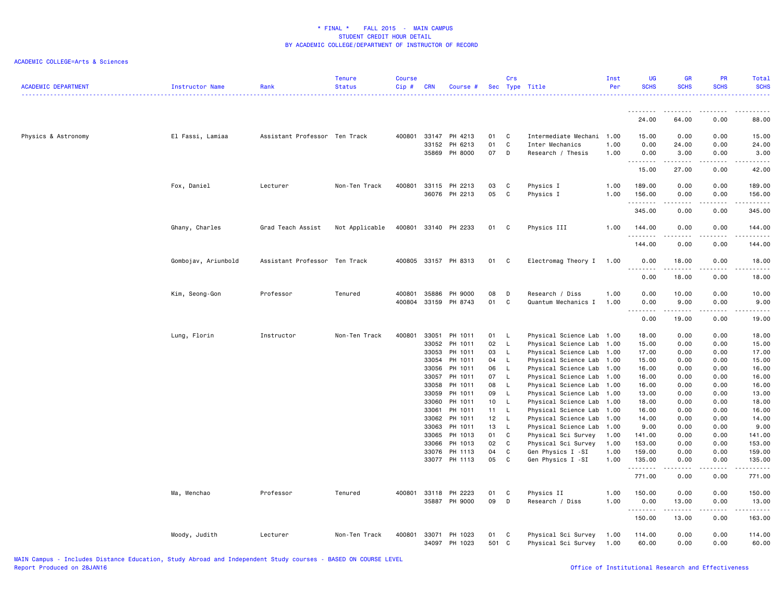| <b>ACADEMIC DEPARTMENT</b> | <b>Instructor Name</b> | Rank                          | Tenure<br><b>Status</b> | <b>Course</b><br>Cip# | <b>CRN</b>     | Course #                 |          | Crs                 | Sec Type Title                                    | Inst<br>Per  | <b>UG</b><br><b>SCHS</b> | <b>GR</b><br><b>SCHS</b>                                                                                                  | <b>PR</b><br><b>SCHS</b> | Total<br><b>SCHS</b><br>. |
|----------------------------|------------------------|-------------------------------|-------------------------|-----------------------|----------------|--------------------------|----------|---------------------|---------------------------------------------------|--------------|--------------------------|---------------------------------------------------------------------------------------------------------------------------|--------------------------|---------------------------|
|                            |                        |                               |                         |                       |                |                          |          |                     |                                                   |              | 24.00                    | 64.00                                                                                                                     | 0.00                     | 88.00                     |
|                            |                        |                               |                         |                       |                |                          |          |                     |                                                   |              |                          |                                                                                                                           |                          |                           |
| Physics & Astronomy        | El Fassi, Lamiaa       | Assistant Professor Ten Track |                         | 400801                | 33147          | PH 4213                  | 01       | C                   | Intermediate Mechani 1.00                         |              | 15.00                    | 0.00                                                                                                                      | 0.00                     | 15.00                     |
|                            |                        |                               |                         |                       | 33152          | PH 6213                  | 01       | $\mathtt{C}$        | Inter Mechanics                                   | 1.00         | 0.00                     | 24.00                                                                                                                     | 0.00                     | 24.00                     |
|                            |                        |                               |                         |                       |                | 35869 PH 8000            | 07       | D                   | Research / Thesis                                 | 1.00         | 0.00                     | 3.00<br>.                                                                                                                 | 0.00<br>.                | 3.00                      |
|                            |                        |                               |                         |                       |                |                          |          |                     |                                                   |              | .<br>15.00               | 27.00                                                                                                                     | 0.00                     | .<br>42.00                |
|                            | Fox, Daniel            | Lecturer                      | Non-Ten Track           | 400801                |                | 33115 PH 2213            | 03       | C                   | Physics I                                         | 1.00         | 189.00                   | 0.00                                                                                                                      | 0.00                     | 189.00                    |
|                            |                        |                               |                         |                       |                | 36076 PH 2213            | 05       | C                   | Physics I                                         | 1.00         | 156.00                   | 0.00                                                                                                                      | 0.00                     | 156.00                    |
|                            |                        |                               |                         |                       |                |                          |          |                     |                                                   |              | .                        | .                                                                                                                         | .                        | .                         |
|                            |                        |                               |                         |                       |                |                          |          |                     |                                                   |              | 345.00                   | 0.00                                                                                                                      | 0.00                     | 345.00                    |
|                            |                        |                               |                         |                       |                |                          |          |                     |                                                   |              |                          |                                                                                                                           |                          |                           |
|                            | Ghany, Charles         | Grad Teach Assist             | Not Applicable          | 400801                |                | 33140 PH 2233            | 01       | - C                 | Physics III                                       | 1.00         | 144.00<br>.              | 0.00<br>$\sim$ $\sim$ $\sim$ $\sim$                                                                                       | 0.00<br>.                | 144.00<br>22222           |
|                            |                        |                               |                         |                       |                |                          |          |                     |                                                   |              | 144.00                   | 0.00                                                                                                                      | 0.00                     | 144.00                    |
|                            |                        |                               |                         |                       |                |                          |          |                     |                                                   |              |                          |                                                                                                                           |                          |                           |
|                            | Gombojav, Ariunbold    | Assistant Professor Ten Track |                         |                       |                | 400805 33157 PH 8313     | 01       | C                   | Electromag Theory I 1.00                          |              | 0.00                     | 18.00                                                                                                                     | 0.00                     | 18.00                     |
|                            |                        |                               |                         |                       |                |                          |          |                     |                                                   |              | .                        | .                                                                                                                         | .                        | .                         |
|                            |                        |                               |                         |                       |                |                          |          |                     |                                                   |              | 0.00                     | 18.00                                                                                                                     | 0.00                     | 18.00                     |
|                            |                        |                               |                         |                       |                |                          |          |                     |                                                   |              |                          |                                                                                                                           |                          |                           |
|                            | Kim, Seong-Gon         | Professor                     | Tenured                 | 400801                | 35886          | PH 9000                  | 08       | D                   | Research / Diss                                   | 1.00         | 0.00                     | 10.00                                                                                                                     | 0.00                     | 10.00                     |
|                            |                        |                               |                         | 400804                | 33159          | PH 8743                  | 01       | C                   | Quantum Mechanics I                               | 1.00         | 0.00                     | 9.00                                                                                                                      | 0.00                     | 9.00                      |
|                            |                        |                               |                         |                       |                |                          |          |                     |                                                   |              | 0.00                     | 19.00                                                                                                                     | 0.00                     | 19.00                     |
|                            |                        |                               |                         |                       |                |                          |          |                     |                                                   |              |                          |                                                                                                                           |                          |                           |
|                            | Lung, Florin           | Instructor                    | Non-Ten Track           | 400801                | 33051          | PH 1011                  | 01       | $\mathsf{L}$        | Physical Science Lab 1.00                         |              | 18.00                    | 0.00                                                                                                                      | 0.00                     | 18.00                     |
|                            |                        |                               |                         |                       | 33052          | PH 1011                  | 02       | $\mathsf{L}$        | Physical Science Lab                              | 1.00         | 15.00                    | 0.00                                                                                                                      | 0.00                     | 15.00                     |
|                            |                        |                               |                         |                       | 33053          | PH 1011                  | 03       | <b>L</b>            | Physical Science Lab                              | 1.00         | 17.00                    | 0.00                                                                                                                      | 0.00                     | 17.00                     |
|                            |                        |                               |                         |                       | 33054          | PH 1011                  | 04       | $\mathsf{L}$        | Physical Science Lab 1.00                         |              | 15.00                    | 0.00                                                                                                                      | 0.00                     | 15.00                     |
|                            |                        |                               |                         |                       | 33056          | PH 1011                  | 06       | $\mathsf{L}$        | Physical Science Lab                              | 1.00         | 16.00                    | 0.00                                                                                                                      | 0.00                     | 16.00                     |
|                            |                        |                               |                         |                       | 33057<br>33058 | PH 1011<br>PH 1011       | 07<br>08 | $\mathsf{L}$<br>- L | Physical Science Lab<br>Physical Science Lab 1.00 | 1.00         | 16.00<br>16.00           | 0.00<br>0.00                                                                                                              | 0.00<br>0.00             | 16.00<br>16.00            |
|                            |                        |                               |                         |                       | 33059          | PH 1011                  | 09       | $\mathsf{L}$        | Physical Science Lab 1.00                         |              | 13.00                    | 0.00                                                                                                                      | 0.00                     | 13.00                     |
|                            |                        |                               |                         |                       | 33060          | PH 1011                  | 10       | $-L$                | Physical Science Lab                              | 1.00         | 18.00                    | 0.00                                                                                                                      | 0.00                     | 18.00                     |
|                            |                        |                               |                         |                       | 33061          | PH 1011                  | 11 L     |                     | Physical Science Lab                              | 1.00         | 16.00                    | 0.00                                                                                                                      | 0.00                     | 16.00                     |
|                            |                        |                               |                         |                       | 33062          | PH 1011                  | 12 L     |                     | Physical Science Lab 1.00                         |              | 14.00                    | 0.00                                                                                                                      | 0.00                     | 14.00                     |
|                            |                        |                               |                         |                       | 33063          | PH 1011                  | 13       | $\mathsf{L}$        | Physical Science Lab 1.00                         |              | 9.00                     | 0.00                                                                                                                      | 0.00                     | 9.00                      |
|                            |                        |                               |                         |                       | 33065          | PH 1013                  | 01       | C                   | Physical Sci Survey                               | 1.00         | 141.00                   | 0.00                                                                                                                      | 0.00                     | 141.00                    |
|                            |                        |                               |                         |                       | 33066          | PH 1013                  | 02       | C                   | Physical Sci Survey                               | 1.00         | 153.00                   | 0.00                                                                                                                      | 0.00                     | 153.00                    |
|                            |                        |                               |                         |                       | 33076          | PH 1113<br>33077 PH 1113 | 04<br>05 | C<br>C              | Gen Physics I -SI<br>Gen Physics I -SI            | 1.00<br>1.00 | 159.00<br>135.00         | 0.00<br>0.00                                                                                                              | 0.00<br>0.00             | 159.00<br>135.00          |
|                            |                        |                               |                         |                       |                |                          |          |                     |                                                   |              | .                        | $\frac{1}{2} \left( \frac{1}{2} \right) \left( \frac{1}{2} \right) \left( \frac{1}{2} \right) \left( \frac{1}{2} \right)$ | .                        | $- - - - - -$             |
|                            |                        |                               |                         |                       |                |                          |          |                     |                                                   |              | 771.00                   | 0.00                                                                                                                      | 0.00                     | 771.00                    |
|                            |                        |                               |                         |                       |                |                          |          |                     |                                                   |              |                          |                                                                                                                           |                          |                           |
|                            | Ma, Wenchao            | Professor                     | Tenured                 | 400801                | 33118          | PH 2223                  | 01       | C                   | Physics II                                        | 1.00         | 150.00                   | 0.00                                                                                                                      | 0.00                     | 150.00                    |
|                            |                        |                               |                         |                       |                | 35887 PH 9000            | 09       | D                   | Research / Diss                                   | 1.00         | 0.00                     | 13.00                                                                                                                     | 0.00                     | 13.00                     |
|                            |                        |                               |                         |                       |                |                          |          |                     |                                                   |              | .                        | $\sim$ $\sim$ $\sim$ $\sim$                                                                                               | الأمالات الما            | 22222                     |
|                            |                        |                               |                         |                       |                |                          |          |                     |                                                   |              | 150.00                   | 13.00                                                                                                                     | 0.00                     | 163.00                    |
|                            | Moody, Judith          | Lecturer                      | Non-Ten Track           | 400801                |                | 33071 PH 1023            | 01       | C                   | Physical Sci Survey                               | 1.00         | 114.00                   | 0.00                                                                                                                      | 0.00                     | 114.00                    |
|                            |                        |                               |                         |                       |                | 34097 PH 1023            | 501 C    |                     | Physical Sci Survey                               | 1.00         | 60.00                    | 0.00                                                                                                                      | 0.00                     | 60.00                     |
|                            |                        |                               |                         |                       |                |                          |          |                     |                                                   |              |                          |                                                                                                                           |                          |                           |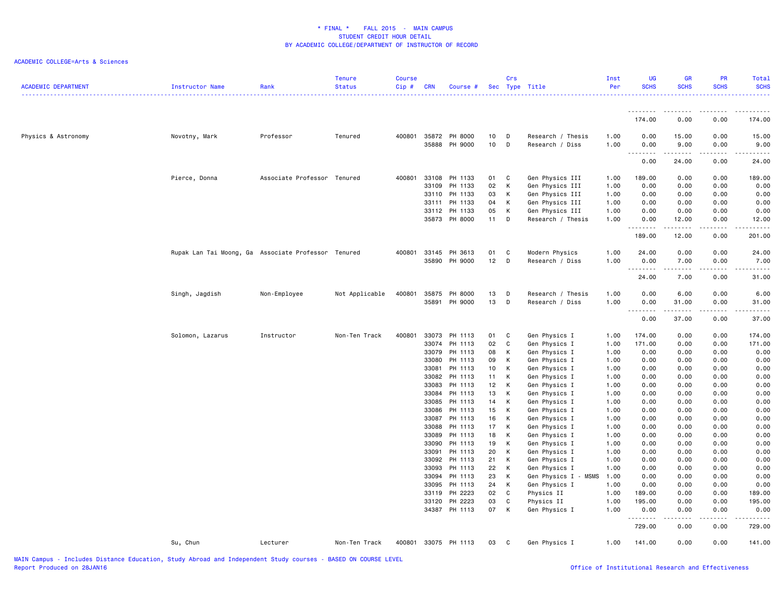| <u>.</u><br>---------<br>$\frac{1}{2}$<br>174.00<br>0.00<br>0.00<br>400801<br>35872 PH 8000<br>0.00<br>Physics & Astronomy<br>Novotny, Mark<br>Professor<br>Tenured<br>10<br>D<br>Research / Thesis<br>1.00<br>0.00<br>15.00<br>10<br>35888<br>PH 9000<br>D<br>Research / Diss<br>1.00<br>0.00<br>9.00<br>0.00<br>$\frac{1}{2} \left( \frac{1}{2} \right) \left( \frac{1}{2} \right) \left( \frac{1}{2} \right) \left( \frac{1}{2} \right) \left( \frac{1}{2} \right)$<br>-----<br>0.00<br>24.00<br>0.00<br>Associate Professor Tenured<br>400801<br>33108<br>PH 1133<br>01<br>189.00<br>0.00<br>0.00<br>Pierce, Donna<br>C<br>Gen Physics III<br>1.00<br>33109<br>PH 1133<br>02<br>K<br>0.00<br>Gen Physics III<br>1.00<br>0.00<br>0.00<br>33110<br>PH 1133<br>03<br>К<br>Gen Physics III<br>0.00<br>0.00<br>0.00<br>1.00<br>PH 1133<br>04<br>K<br>Gen Physics III<br>0.00<br>33111<br>1.00<br>0.00<br>0.00<br>05<br>K<br>0.00<br>33112<br>PH 1133<br>Gen Physics III<br>1.00<br>0.00<br>0.00<br>35873 PH 8000<br>11<br>12.00<br>0.00<br>D<br>Research / Thesis<br>1.00<br>0.00<br><u>.</u><br>$\cdots$<br>.<br>0.00<br>189.00<br>12.00<br>0.00<br>Rupak Lan Tai Moong, Ga Associate Professor Tenured<br>400801<br>33145 PH 3613<br>01<br>C<br>Modern Physics<br>1.00<br>24.00<br>0.00<br>35890 PH 9000<br>$12$ D<br>Research / Diss<br>1.00<br>0.00<br>7.00<br>0.00<br>.<br>.<br>.<br>.<br>24.00<br>7.00<br>0.00<br>400801<br>35875<br>PH 8000<br>13<br>0.00<br>6.00<br>0.00<br>6.00<br>Singh, Jagdish<br>Not Applicable<br>D<br>Research / Thesis<br>1.00<br>Non-Employee<br>13<br>35891<br>PH 9000<br>D<br>Research / Diss<br>1.00<br>0.00<br>0.00<br>31.00<br>.<br>$\frac{1}{2}$<br>0.00<br>37.00<br>0.00<br>400801<br>33073<br>Solomon, Lazarus<br>Instructor<br>Non-Ten Track<br>PH 1113<br>01<br>C<br>Gen Physics I<br>1.00<br>174.00<br>0.00<br>0.00<br>PH 1113<br>02<br>C<br>171.00<br>33074<br>Gen Physics I<br>1.00<br>0.00<br>0.00<br>33079<br>PH 1113<br>08<br>K<br>0.00<br>0.00<br>Gen Physics I<br>1.00<br>0.00<br>PH 1113<br>09<br>33080<br>K<br>Gen Physics I<br>1.00<br>0.00<br>0.00<br>0.00<br>33081<br>PH 1113<br>10<br>K<br>Gen Physics I<br>1.00<br>0.00<br>0.00<br>0.00<br>33082 PH 1113<br>11<br>K<br>Gen Physics I<br>1.00<br>0.00<br>0.00<br>0.00<br>33083<br>PH 1113<br>12<br>$\mathsf{K}$<br>Gen Physics I<br>1.00<br>0.00<br>0.00<br>0.00<br>33084<br>PH 1113<br>13<br>K<br>1.00<br>0.00<br>0.00<br>0.00<br>Gen Physics I<br>PH 1113<br>14<br>K<br>0.00<br>0.00<br>33085<br>Gen Physics I<br>1.00<br>0.00<br>15<br>33086<br>PH 1113<br>K<br>Gen Physics I<br>1.00<br>0.00<br>0.00<br>0.00<br>0.00<br>33087<br>PH 1113<br>16<br>K<br>0.00<br>Gen Physics I<br>1.00<br>0.00<br>0.00<br>0.00<br>33088<br>PH 1113<br>17<br>K<br>Gen Physics I<br>0.00<br>0.00<br>0.00<br>0.00<br>1.00<br>33089 PH 1113<br>18<br>0.00<br>0.00<br>0.00<br>0.00<br>K<br>Gen Physics I<br>1.00<br>33090<br>PH 1113<br>19<br>K<br>0.00<br>0.00<br>Gen Physics I<br>1.00<br>0.00<br>0.00<br>20<br>33091<br>PH 1113<br>K<br>Gen Physics I<br>1.00<br>0.00<br>0.00<br>0.00<br>0.00<br>PH 1113<br>21<br>K<br>0.00<br>0.00<br>0.00<br>33092<br>Gen Physics I<br>1.00<br>0.00<br>22<br>K<br>0.00<br>33093<br>PH 1113<br>Gen Physics I<br>1.00<br>0.00<br>0.00<br>0.00<br>33094<br>PH 1113<br>23<br>K<br>Gen Physics I - MSMS<br>1.00<br>0.00<br>0.00<br>0.00<br>0.00<br>24<br>K<br>33095<br>PH 1113<br>Gen Physics I<br>1.00<br>0.00<br>0.00<br>0.00<br>0.00<br>33119 PH 2223<br>02<br>C<br>Physics II<br>1.00<br>189.00<br>0.00<br>0.00<br>PH 2223<br>03<br>C<br>195.00<br>0.00<br>0.00<br>33120<br>Physics II<br>1.00<br>34387 PH 1113<br>07<br>K<br>0.00<br>Gen Physics I<br>1.00<br>0.00<br>0.00<br>$\begin{array}{cccccccccccccc} \multicolumn{2}{c}{} & \multicolumn{2}{c}{} & \multicolumn{2}{c}{} & \multicolumn{2}{c}{} & \multicolumn{2}{c}{} & \multicolumn{2}{c}{} & \multicolumn{2}{c}{} & \multicolumn{2}{c}{} & \multicolumn{2}{c}{} & \multicolumn{2}{c}{} & \multicolumn{2}{c}{} & \multicolumn{2}{c}{} & \multicolumn{2}{c}{} & \multicolumn{2}{c}{} & \multicolumn{2}{c}{} & \multicolumn{2}{c}{} & \multicolumn{2}{c}{} & \multicolumn{2}{c}{} & \multicolumn{2}{c}{} & \$<br>.<br><u>.</u><br>729.00<br>0.00<br>0.00<br>141.00<br>0.00<br>0.00<br>Su, Chun<br>Lecturer<br>Non-Ten Track<br>400801 33075 PH 1113<br>03<br>$\mathbf{C}$<br>Gen Physics I<br>1.00 | <b>ACADEMIC DEPARTMENT</b> | Instructor Name | Rank | <b>Tenure</b><br><b>Status</b> | <b>Course</b><br>Cip# | <b>CRN</b> | Course # | Crs | Sec Type Title | Inst<br>Per | <b>UG</b><br><b>SCHS</b> | GR<br><b>SCHS</b> | PR<br><b>SCHS</b> | Total<br><b>SCHS</b> |
|-------------------------------------------------------------------------------------------------------------------------------------------------------------------------------------------------------------------------------------------------------------------------------------------------------------------------------------------------------------------------------------------------------------------------------------------------------------------------------------------------------------------------------------------------------------------------------------------------------------------------------------------------------------------------------------------------------------------------------------------------------------------------------------------------------------------------------------------------------------------------------------------------------------------------------------------------------------------------------------------------------------------------------------------------------------------------------------------------------------------------------------------------------------------------------------------------------------------------------------------------------------------------------------------------------------------------------------------------------------------------------------------------------------------------------------------------------------------------------------------------------------------------------------------------------------------------------------------------------------------------------------------------------------------------------------------------------------------------------------------------------------------------------------------------------------------------------------------------------------------------------------------------------------------------------------------------------------------------------------------------------------------------------------------------------------------------------------------------------------------------------------------------------------------------------------------------------------------------------------------------------------------------------------------------------------------------------------------------------------------------------------------------------------------------------------------------------------------------------------------------------------------------------------------------------------------------------------------------------------------------------------------------------------------------------------------------------------------------------------------------------------------------------------------------------------------------------------------------------------------------------------------------------------------------------------------------------------------------------------------------------------------------------------------------------------------------------------------------------------------------------------------------------------------------------------------------------------------------------------------------------------------------------------------------------------------------------------------------------------------------------------------------------------------------------------------------------------------------------------------------------------------------------------------------------------------------------------------------------------------------------------------------------------------------------------------------------------------------------------------------------------------------------------------------------------------------------------------------------------------------------------------------------------------------------------------------------------------------------------------------------------------------------------------------------------------------------------------------------------------------------------------------------------------------------------------------------------------------------------------------------------------------------------------------------------------------------------------------------------------------------------|----------------------------|-----------------|------|--------------------------------|-----------------------|------------|----------|-----|----------------|-------------|--------------------------|-------------------|-------------------|----------------------|
|                                                                                                                                                                                                                                                                                                                                                                                                                                                                                                                                                                                                                                                                                                                                                                                                                                                                                                                                                                                                                                                                                                                                                                                                                                                                                                                                                                                                                                                                                                                                                                                                                                                                                                                                                                                                                                                                                                                                                                                                                                                                                                                                                                                                                                                                                                                                                                                                                                                                                                                                                                                                                                                                                                                                                                                                                                                                                                                                                                                                                                                                                                                                                                                                                                                                                                                                                                                                                                                                                                                                                                                                                                                                                                                                                                                                                                                                                                                                                                                                                                                                                                                                                                                                                                                                                                                                                                                     |                            |                 |      |                                |                       |            |          |     |                |             |                          |                   |                   |                      |
|                                                                                                                                                                                                                                                                                                                                                                                                                                                                                                                                                                                                                                                                                                                                                                                                                                                                                                                                                                                                                                                                                                                                                                                                                                                                                                                                                                                                                                                                                                                                                                                                                                                                                                                                                                                                                                                                                                                                                                                                                                                                                                                                                                                                                                                                                                                                                                                                                                                                                                                                                                                                                                                                                                                                                                                                                                                                                                                                                                                                                                                                                                                                                                                                                                                                                                                                                                                                                                                                                                                                                                                                                                                                                                                                                                                                                                                                                                                                                                                                                                                                                                                                                                                                                                                                                                                                                                                     |                            |                 |      |                                |                       |            |          |     |                |             |                          |                   |                   | 174.00               |
|                                                                                                                                                                                                                                                                                                                                                                                                                                                                                                                                                                                                                                                                                                                                                                                                                                                                                                                                                                                                                                                                                                                                                                                                                                                                                                                                                                                                                                                                                                                                                                                                                                                                                                                                                                                                                                                                                                                                                                                                                                                                                                                                                                                                                                                                                                                                                                                                                                                                                                                                                                                                                                                                                                                                                                                                                                                                                                                                                                                                                                                                                                                                                                                                                                                                                                                                                                                                                                                                                                                                                                                                                                                                                                                                                                                                                                                                                                                                                                                                                                                                                                                                                                                                                                                                                                                                                                                     |                            |                 |      |                                |                       |            |          |     |                |             |                          |                   |                   | 15.00<br>9.00        |
|                                                                                                                                                                                                                                                                                                                                                                                                                                                                                                                                                                                                                                                                                                                                                                                                                                                                                                                                                                                                                                                                                                                                                                                                                                                                                                                                                                                                                                                                                                                                                                                                                                                                                                                                                                                                                                                                                                                                                                                                                                                                                                                                                                                                                                                                                                                                                                                                                                                                                                                                                                                                                                                                                                                                                                                                                                                                                                                                                                                                                                                                                                                                                                                                                                                                                                                                                                                                                                                                                                                                                                                                                                                                                                                                                                                                                                                                                                                                                                                                                                                                                                                                                                                                                                                                                                                                                                                     |                            |                 |      |                                |                       |            |          |     |                |             |                          |                   |                   | 24.00                |
|                                                                                                                                                                                                                                                                                                                                                                                                                                                                                                                                                                                                                                                                                                                                                                                                                                                                                                                                                                                                                                                                                                                                                                                                                                                                                                                                                                                                                                                                                                                                                                                                                                                                                                                                                                                                                                                                                                                                                                                                                                                                                                                                                                                                                                                                                                                                                                                                                                                                                                                                                                                                                                                                                                                                                                                                                                                                                                                                                                                                                                                                                                                                                                                                                                                                                                                                                                                                                                                                                                                                                                                                                                                                                                                                                                                                                                                                                                                                                                                                                                                                                                                                                                                                                                                                                                                                                                                     |                            |                 |      |                                |                       |            |          |     |                |             |                          |                   |                   | 189.00               |
|                                                                                                                                                                                                                                                                                                                                                                                                                                                                                                                                                                                                                                                                                                                                                                                                                                                                                                                                                                                                                                                                                                                                                                                                                                                                                                                                                                                                                                                                                                                                                                                                                                                                                                                                                                                                                                                                                                                                                                                                                                                                                                                                                                                                                                                                                                                                                                                                                                                                                                                                                                                                                                                                                                                                                                                                                                                                                                                                                                                                                                                                                                                                                                                                                                                                                                                                                                                                                                                                                                                                                                                                                                                                                                                                                                                                                                                                                                                                                                                                                                                                                                                                                                                                                                                                                                                                                                                     |                            |                 |      |                                |                       |            |          |     |                |             |                          |                   |                   | 0.00                 |
|                                                                                                                                                                                                                                                                                                                                                                                                                                                                                                                                                                                                                                                                                                                                                                                                                                                                                                                                                                                                                                                                                                                                                                                                                                                                                                                                                                                                                                                                                                                                                                                                                                                                                                                                                                                                                                                                                                                                                                                                                                                                                                                                                                                                                                                                                                                                                                                                                                                                                                                                                                                                                                                                                                                                                                                                                                                                                                                                                                                                                                                                                                                                                                                                                                                                                                                                                                                                                                                                                                                                                                                                                                                                                                                                                                                                                                                                                                                                                                                                                                                                                                                                                                                                                                                                                                                                                                                     |                            |                 |      |                                |                       |            |          |     |                |             |                          |                   |                   | 0.00                 |
|                                                                                                                                                                                                                                                                                                                                                                                                                                                                                                                                                                                                                                                                                                                                                                                                                                                                                                                                                                                                                                                                                                                                                                                                                                                                                                                                                                                                                                                                                                                                                                                                                                                                                                                                                                                                                                                                                                                                                                                                                                                                                                                                                                                                                                                                                                                                                                                                                                                                                                                                                                                                                                                                                                                                                                                                                                                                                                                                                                                                                                                                                                                                                                                                                                                                                                                                                                                                                                                                                                                                                                                                                                                                                                                                                                                                                                                                                                                                                                                                                                                                                                                                                                                                                                                                                                                                                                                     |                            |                 |      |                                |                       |            |          |     |                |             |                          |                   |                   | 0.00                 |
|                                                                                                                                                                                                                                                                                                                                                                                                                                                                                                                                                                                                                                                                                                                                                                                                                                                                                                                                                                                                                                                                                                                                                                                                                                                                                                                                                                                                                                                                                                                                                                                                                                                                                                                                                                                                                                                                                                                                                                                                                                                                                                                                                                                                                                                                                                                                                                                                                                                                                                                                                                                                                                                                                                                                                                                                                                                                                                                                                                                                                                                                                                                                                                                                                                                                                                                                                                                                                                                                                                                                                                                                                                                                                                                                                                                                                                                                                                                                                                                                                                                                                                                                                                                                                                                                                                                                                                                     |                            |                 |      |                                |                       |            |          |     |                |             |                          |                   |                   | 0.00                 |
|                                                                                                                                                                                                                                                                                                                                                                                                                                                                                                                                                                                                                                                                                                                                                                                                                                                                                                                                                                                                                                                                                                                                                                                                                                                                                                                                                                                                                                                                                                                                                                                                                                                                                                                                                                                                                                                                                                                                                                                                                                                                                                                                                                                                                                                                                                                                                                                                                                                                                                                                                                                                                                                                                                                                                                                                                                                                                                                                                                                                                                                                                                                                                                                                                                                                                                                                                                                                                                                                                                                                                                                                                                                                                                                                                                                                                                                                                                                                                                                                                                                                                                                                                                                                                                                                                                                                                                                     |                            |                 |      |                                |                       |            |          |     |                |             |                          |                   |                   | 12.00                |
|                                                                                                                                                                                                                                                                                                                                                                                                                                                                                                                                                                                                                                                                                                                                                                                                                                                                                                                                                                                                                                                                                                                                                                                                                                                                                                                                                                                                                                                                                                                                                                                                                                                                                                                                                                                                                                                                                                                                                                                                                                                                                                                                                                                                                                                                                                                                                                                                                                                                                                                                                                                                                                                                                                                                                                                                                                                                                                                                                                                                                                                                                                                                                                                                                                                                                                                                                                                                                                                                                                                                                                                                                                                                                                                                                                                                                                                                                                                                                                                                                                                                                                                                                                                                                                                                                                                                                                                     |                            |                 |      |                                |                       |            |          |     |                |             |                          |                   |                   | 201.00               |
|                                                                                                                                                                                                                                                                                                                                                                                                                                                                                                                                                                                                                                                                                                                                                                                                                                                                                                                                                                                                                                                                                                                                                                                                                                                                                                                                                                                                                                                                                                                                                                                                                                                                                                                                                                                                                                                                                                                                                                                                                                                                                                                                                                                                                                                                                                                                                                                                                                                                                                                                                                                                                                                                                                                                                                                                                                                                                                                                                                                                                                                                                                                                                                                                                                                                                                                                                                                                                                                                                                                                                                                                                                                                                                                                                                                                                                                                                                                                                                                                                                                                                                                                                                                                                                                                                                                                                                                     |                            |                 |      |                                |                       |            |          |     |                |             |                          |                   |                   | 24.00                |
|                                                                                                                                                                                                                                                                                                                                                                                                                                                                                                                                                                                                                                                                                                                                                                                                                                                                                                                                                                                                                                                                                                                                                                                                                                                                                                                                                                                                                                                                                                                                                                                                                                                                                                                                                                                                                                                                                                                                                                                                                                                                                                                                                                                                                                                                                                                                                                                                                                                                                                                                                                                                                                                                                                                                                                                                                                                                                                                                                                                                                                                                                                                                                                                                                                                                                                                                                                                                                                                                                                                                                                                                                                                                                                                                                                                                                                                                                                                                                                                                                                                                                                                                                                                                                                                                                                                                                                                     |                            |                 |      |                                |                       |            |          |     |                |             |                          |                   |                   | 7.00                 |
|                                                                                                                                                                                                                                                                                                                                                                                                                                                                                                                                                                                                                                                                                                                                                                                                                                                                                                                                                                                                                                                                                                                                                                                                                                                                                                                                                                                                                                                                                                                                                                                                                                                                                                                                                                                                                                                                                                                                                                                                                                                                                                                                                                                                                                                                                                                                                                                                                                                                                                                                                                                                                                                                                                                                                                                                                                                                                                                                                                                                                                                                                                                                                                                                                                                                                                                                                                                                                                                                                                                                                                                                                                                                                                                                                                                                                                                                                                                                                                                                                                                                                                                                                                                                                                                                                                                                                                                     |                            |                 |      |                                |                       |            |          |     |                |             |                          |                   |                   | 31.00                |
|                                                                                                                                                                                                                                                                                                                                                                                                                                                                                                                                                                                                                                                                                                                                                                                                                                                                                                                                                                                                                                                                                                                                                                                                                                                                                                                                                                                                                                                                                                                                                                                                                                                                                                                                                                                                                                                                                                                                                                                                                                                                                                                                                                                                                                                                                                                                                                                                                                                                                                                                                                                                                                                                                                                                                                                                                                                                                                                                                                                                                                                                                                                                                                                                                                                                                                                                                                                                                                                                                                                                                                                                                                                                                                                                                                                                                                                                                                                                                                                                                                                                                                                                                                                                                                                                                                                                                                                     |                            |                 |      |                                |                       |            |          |     |                |             |                          |                   |                   |                      |
|                                                                                                                                                                                                                                                                                                                                                                                                                                                                                                                                                                                                                                                                                                                                                                                                                                                                                                                                                                                                                                                                                                                                                                                                                                                                                                                                                                                                                                                                                                                                                                                                                                                                                                                                                                                                                                                                                                                                                                                                                                                                                                                                                                                                                                                                                                                                                                                                                                                                                                                                                                                                                                                                                                                                                                                                                                                                                                                                                                                                                                                                                                                                                                                                                                                                                                                                                                                                                                                                                                                                                                                                                                                                                                                                                                                                                                                                                                                                                                                                                                                                                                                                                                                                                                                                                                                                                                                     |                            |                 |      |                                |                       |            |          |     |                |             |                          |                   |                   | 31.00                |
|                                                                                                                                                                                                                                                                                                                                                                                                                                                                                                                                                                                                                                                                                                                                                                                                                                                                                                                                                                                                                                                                                                                                                                                                                                                                                                                                                                                                                                                                                                                                                                                                                                                                                                                                                                                                                                                                                                                                                                                                                                                                                                                                                                                                                                                                                                                                                                                                                                                                                                                                                                                                                                                                                                                                                                                                                                                                                                                                                                                                                                                                                                                                                                                                                                                                                                                                                                                                                                                                                                                                                                                                                                                                                                                                                                                                                                                                                                                                                                                                                                                                                                                                                                                                                                                                                                                                                                                     |                            |                 |      |                                |                       |            |          |     |                |             |                          |                   |                   |                      |
|                                                                                                                                                                                                                                                                                                                                                                                                                                                                                                                                                                                                                                                                                                                                                                                                                                                                                                                                                                                                                                                                                                                                                                                                                                                                                                                                                                                                                                                                                                                                                                                                                                                                                                                                                                                                                                                                                                                                                                                                                                                                                                                                                                                                                                                                                                                                                                                                                                                                                                                                                                                                                                                                                                                                                                                                                                                                                                                                                                                                                                                                                                                                                                                                                                                                                                                                                                                                                                                                                                                                                                                                                                                                                                                                                                                                                                                                                                                                                                                                                                                                                                                                                                                                                                                                                                                                                                                     |                            |                 |      |                                |                       |            |          |     |                |             |                          |                   |                   | 37.00                |
|                                                                                                                                                                                                                                                                                                                                                                                                                                                                                                                                                                                                                                                                                                                                                                                                                                                                                                                                                                                                                                                                                                                                                                                                                                                                                                                                                                                                                                                                                                                                                                                                                                                                                                                                                                                                                                                                                                                                                                                                                                                                                                                                                                                                                                                                                                                                                                                                                                                                                                                                                                                                                                                                                                                                                                                                                                                                                                                                                                                                                                                                                                                                                                                                                                                                                                                                                                                                                                                                                                                                                                                                                                                                                                                                                                                                                                                                                                                                                                                                                                                                                                                                                                                                                                                                                                                                                                                     |                            |                 |      |                                |                       |            |          |     |                |             |                          |                   |                   | 174.00               |
|                                                                                                                                                                                                                                                                                                                                                                                                                                                                                                                                                                                                                                                                                                                                                                                                                                                                                                                                                                                                                                                                                                                                                                                                                                                                                                                                                                                                                                                                                                                                                                                                                                                                                                                                                                                                                                                                                                                                                                                                                                                                                                                                                                                                                                                                                                                                                                                                                                                                                                                                                                                                                                                                                                                                                                                                                                                                                                                                                                                                                                                                                                                                                                                                                                                                                                                                                                                                                                                                                                                                                                                                                                                                                                                                                                                                                                                                                                                                                                                                                                                                                                                                                                                                                                                                                                                                                                                     |                            |                 |      |                                |                       |            |          |     |                |             |                          |                   |                   | 171.00               |
|                                                                                                                                                                                                                                                                                                                                                                                                                                                                                                                                                                                                                                                                                                                                                                                                                                                                                                                                                                                                                                                                                                                                                                                                                                                                                                                                                                                                                                                                                                                                                                                                                                                                                                                                                                                                                                                                                                                                                                                                                                                                                                                                                                                                                                                                                                                                                                                                                                                                                                                                                                                                                                                                                                                                                                                                                                                                                                                                                                                                                                                                                                                                                                                                                                                                                                                                                                                                                                                                                                                                                                                                                                                                                                                                                                                                                                                                                                                                                                                                                                                                                                                                                                                                                                                                                                                                                                                     |                            |                 |      |                                |                       |            |          |     |                |             |                          |                   |                   | 0.00                 |
|                                                                                                                                                                                                                                                                                                                                                                                                                                                                                                                                                                                                                                                                                                                                                                                                                                                                                                                                                                                                                                                                                                                                                                                                                                                                                                                                                                                                                                                                                                                                                                                                                                                                                                                                                                                                                                                                                                                                                                                                                                                                                                                                                                                                                                                                                                                                                                                                                                                                                                                                                                                                                                                                                                                                                                                                                                                                                                                                                                                                                                                                                                                                                                                                                                                                                                                                                                                                                                                                                                                                                                                                                                                                                                                                                                                                                                                                                                                                                                                                                                                                                                                                                                                                                                                                                                                                                                                     |                            |                 |      |                                |                       |            |          |     |                |             |                          |                   |                   | 0.00                 |
|                                                                                                                                                                                                                                                                                                                                                                                                                                                                                                                                                                                                                                                                                                                                                                                                                                                                                                                                                                                                                                                                                                                                                                                                                                                                                                                                                                                                                                                                                                                                                                                                                                                                                                                                                                                                                                                                                                                                                                                                                                                                                                                                                                                                                                                                                                                                                                                                                                                                                                                                                                                                                                                                                                                                                                                                                                                                                                                                                                                                                                                                                                                                                                                                                                                                                                                                                                                                                                                                                                                                                                                                                                                                                                                                                                                                                                                                                                                                                                                                                                                                                                                                                                                                                                                                                                                                                                                     |                            |                 |      |                                |                       |            |          |     |                |             |                          |                   |                   | 0.00                 |
|                                                                                                                                                                                                                                                                                                                                                                                                                                                                                                                                                                                                                                                                                                                                                                                                                                                                                                                                                                                                                                                                                                                                                                                                                                                                                                                                                                                                                                                                                                                                                                                                                                                                                                                                                                                                                                                                                                                                                                                                                                                                                                                                                                                                                                                                                                                                                                                                                                                                                                                                                                                                                                                                                                                                                                                                                                                                                                                                                                                                                                                                                                                                                                                                                                                                                                                                                                                                                                                                                                                                                                                                                                                                                                                                                                                                                                                                                                                                                                                                                                                                                                                                                                                                                                                                                                                                                                                     |                            |                 |      |                                |                       |            |          |     |                |             |                          |                   |                   | 0.00                 |
|                                                                                                                                                                                                                                                                                                                                                                                                                                                                                                                                                                                                                                                                                                                                                                                                                                                                                                                                                                                                                                                                                                                                                                                                                                                                                                                                                                                                                                                                                                                                                                                                                                                                                                                                                                                                                                                                                                                                                                                                                                                                                                                                                                                                                                                                                                                                                                                                                                                                                                                                                                                                                                                                                                                                                                                                                                                                                                                                                                                                                                                                                                                                                                                                                                                                                                                                                                                                                                                                                                                                                                                                                                                                                                                                                                                                                                                                                                                                                                                                                                                                                                                                                                                                                                                                                                                                                                                     |                            |                 |      |                                |                       |            |          |     |                |             |                          |                   |                   | 0.00                 |
|                                                                                                                                                                                                                                                                                                                                                                                                                                                                                                                                                                                                                                                                                                                                                                                                                                                                                                                                                                                                                                                                                                                                                                                                                                                                                                                                                                                                                                                                                                                                                                                                                                                                                                                                                                                                                                                                                                                                                                                                                                                                                                                                                                                                                                                                                                                                                                                                                                                                                                                                                                                                                                                                                                                                                                                                                                                                                                                                                                                                                                                                                                                                                                                                                                                                                                                                                                                                                                                                                                                                                                                                                                                                                                                                                                                                                                                                                                                                                                                                                                                                                                                                                                                                                                                                                                                                                                                     |                            |                 |      |                                |                       |            |          |     |                |             |                          |                   |                   | 0.00                 |
|                                                                                                                                                                                                                                                                                                                                                                                                                                                                                                                                                                                                                                                                                                                                                                                                                                                                                                                                                                                                                                                                                                                                                                                                                                                                                                                                                                                                                                                                                                                                                                                                                                                                                                                                                                                                                                                                                                                                                                                                                                                                                                                                                                                                                                                                                                                                                                                                                                                                                                                                                                                                                                                                                                                                                                                                                                                                                                                                                                                                                                                                                                                                                                                                                                                                                                                                                                                                                                                                                                                                                                                                                                                                                                                                                                                                                                                                                                                                                                                                                                                                                                                                                                                                                                                                                                                                                                                     |                            |                 |      |                                |                       |            |          |     |                |             |                          |                   |                   | 0.00                 |
|                                                                                                                                                                                                                                                                                                                                                                                                                                                                                                                                                                                                                                                                                                                                                                                                                                                                                                                                                                                                                                                                                                                                                                                                                                                                                                                                                                                                                                                                                                                                                                                                                                                                                                                                                                                                                                                                                                                                                                                                                                                                                                                                                                                                                                                                                                                                                                                                                                                                                                                                                                                                                                                                                                                                                                                                                                                                                                                                                                                                                                                                                                                                                                                                                                                                                                                                                                                                                                                                                                                                                                                                                                                                                                                                                                                                                                                                                                                                                                                                                                                                                                                                                                                                                                                                                                                                                                                     |                            |                 |      |                                |                       |            |          |     |                |             |                          |                   |                   |                      |
|                                                                                                                                                                                                                                                                                                                                                                                                                                                                                                                                                                                                                                                                                                                                                                                                                                                                                                                                                                                                                                                                                                                                                                                                                                                                                                                                                                                                                                                                                                                                                                                                                                                                                                                                                                                                                                                                                                                                                                                                                                                                                                                                                                                                                                                                                                                                                                                                                                                                                                                                                                                                                                                                                                                                                                                                                                                                                                                                                                                                                                                                                                                                                                                                                                                                                                                                                                                                                                                                                                                                                                                                                                                                                                                                                                                                                                                                                                                                                                                                                                                                                                                                                                                                                                                                                                                                                                                     |                            |                 |      |                                |                       |            |          |     |                |             |                          |                   |                   |                      |
|                                                                                                                                                                                                                                                                                                                                                                                                                                                                                                                                                                                                                                                                                                                                                                                                                                                                                                                                                                                                                                                                                                                                                                                                                                                                                                                                                                                                                                                                                                                                                                                                                                                                                                                                                                                                                                                                                                                                                                                                                                                                                                                                                                                                                                                                                                                                                                                                                                                                                                                                                                                                                                                                                                                                                                                                                                                                                                                                                                                                                                                                                                                                                                                                                                                                                                                                                                                                                                                                                                                                                                                                                                                                                                                                                                                                                                                                                                                                                                                                                                                                                                                                                                                                                                                                                                                                                                                     |                            |                 |      |                                |                       |            |          |     |                |             |                          |                   |                   |                      |
|                                                                                                                                                                                                                                                                                                                                                                                                                                                                                                                                                                                                                                                                                                                                                                                                                                                                                                                                                                                                                                                                                                                                                                                                                                                                                                                                                                                                                                                                                                                                                                                                                                                                                                                                                                                                                                                                                                                                                                                                                                                                                                                                                                                                                                                                                                                                                                                                                                                                                                                                                                                                                                                                                                                                                                                                                                                                                                                                                                                                                                                                                                                                                                                                                                                                                                                                                                                                                                                                                                                                                                                                                                                                                                                                                                                                                                                                                                                                                                                                                                                                                                                                                                                                                                                                                                                                                                                     |                            |                 |      |                                |                       |            |          |     |                |             |                          |                   |                   |                      |
|                                                                                                                                                                                                                                                                                                                                                                                                                                                                                                                                                                                                                                                                                                                                                                                                                                                                                                                                                                                                                                                                                                                                                                                                                                                                                                                                                                                                                                                                                                                                                                                                                                                                                                                                                                                                                                                                                                                                                                                                                                                                                                                                                                                                                                                                                                                                                                                                                                                                                                                                                                                                                                                                                                                                                                                                                                                                                                                                                                                                                                                                                                                                                                                                                                                                                                                                                                                                                                                                                                                                                                                                                                                                                                                                                                                                                                                                                                                                                                                                                                                                                                                                                                                                                                                                                                                                                                                     |                            |                 |      |                                |                       |            |          |     |                |             |                          |                   |                   |                      |
|                                                                                                                                                                                                                                                                                                                                                                                                                                                                                                                                                                                                                                                                                                                                                                                                                                                                                                                                                                                                                                                                                                                                                                                                                                                                                                                                                                                                                                                                                                                                                                                                                                                                                                                                                                                                                                                                                                                                                                                                                                                                                                                                                                                                                                                                                                                                                                                                                                                                                                                                                                                                                                                                                                                                                                                                                                                                                                                                                                                                                                                                                                                                                                                                                                                                                                                                                                                                                                                                                                                                                                                                                                                                                                                                                                                                                                                                                                                                                                                                                                                                                                                                                                                                                                                                                                                                                                                     |                            |                 |      |                                |                       |            |          |     |                |             |                          |                   |                   |                      |
|                                                                                                                                                                                                                                                                                                                                                                                                                                                                                                                                                                                                                                                                                                                                                                                                                                                                                                                                                                                                                                                                                                                                                                                                                                                                                                                                                                                                                                                                                                                                                                                                                                                                                                                                                                                                                                                                                                                                                                                                                                                                                                                                                                                                                                                                                                                                                                                                                                                                                                                                                                                                                                                                                                                                                                                                                                                                                                                                                                                                                                                                                                                                                                                                                                                                                                                                                                                                                                                                                                                                                                                                                                                                                                                                                                                                                                                                                                                                                                                                                                                                                                                                                                                                                                                                                                                                                                                     |                            |                 |      |                                |                       |            |          |     |                |             |                          |                   |                   |                      |
|                                                                                                                                                                                                                                                                                                                                                                                                                                                                                                                                                                                                                                                                                                                                                                                                                                                                                                                                                                                                                                                                                                                                                                                                                                                                                                                                                                                                                                                                                                                                                                                                                                                                                                                                                                                                                                                                                                                                                                                                                                                                                                                                                                                                                                                                                                                                                                                                                                                                                                                                                                                                                                                                                                                                                                                                                                                                                                                                                                                                                                                                                                                                                                                                                                                                                                                                                                                                                                                                                                                                                                                                                                                                                                                                                                                                                                                                                                                                                                                                                                                                                                                                                                                                                                                                                                                                                                                     |                            |                 |      |                                |                       |            |          |     |                |             |                          |                   |                   |                      |
|                                                                                                                                                                                                                                                                                                                                                                                                                                                                                                                                                                                                                                                                                                                                                                                                                                                                                                                                                                                                                                                                                                                                                                                                                                                                                                                                                                                                                                                                                                                                                                                                                                                                                                                                                                                                                                                                                                                                                                                                                                                                                                                                                                                                                                                                                                                                                                                                                                                                                                                                                                                                                                                                                                                                                                                                                                                                                                                                                                                                                                                                                                                                                                                                                                                                                                                                                                                                                                                                                                                                                                                                                                                                                                                                                                                                                                                                                                                                                                                                                                                                                                                                                                                                                                                                                                                                                                                     |                            |                 |      |                                |                       |            |          |     |                |             |                          |                   |                   |                      |
|                                                                                                                                                                                                                                                                                                                                                                                                                                                                                                                                                                                                                                                                                                                                                                                                                                                                                                                                                                                                                                                                                                                                                                                                                                                                                                                                                                                                                                                                                                                                                                                                                                                                                                                                                                                                                                                                                                                                                                                                                                                                                                                                                                                                                                                                                                                                                                                                                                                                                                                                                                                                                                                                                                                                                                                                                                                                                                                                                                                                                                                                                                                                                                                                                                                                                                                                                                                                                                                                                                                                                                                                                                                                                                                                                                                                                                                                                                                                                                                                                                                                                                                                                                                                                                                                                                                                                                                     |                            |                 |      |                                |                       |            |          |     |                |             |                          |                   |                   | 189.00               |
|                                                                                                                                                                                                                                                                                                                                                                                                                                                                                                                                                                                                                                                                                                                                                                                                                                                                                                                                                                                                                                                                                                                                                                                                                                                                                                                                                                                                                                                                                                                                                                                                                                                                                                                                                                                                                                                                                                                                                                                                                                                                                                                                                                                                                                                                                                                                                                                                                                                                                                                                                                                                                                                                                                                                                                                                                                                                                                                                                                                                                                                                                                                                                                                                                                                                                                                                                                                                                                                                                                                                                                                                                                                                                                                                                                                                                                                                                                                                                                                                                                                                                                                                                                                                                                                                                                                                                                                     |                            |                 |      |                                |                       |            |          |     |                |             |                          |                   |                   | 195.00               |
|                                                                                                                                                                                                                                                                                                                                                                                                                                                                                                                                                                                                                                                                                                                                                                                                                                                                                                                                                                                                                                                                                                                                                                                                                                                                                                                                                                                                                                                                                                                                                                                                                                                                                                                                                                                                                                                                                                                                                                                                                                                                                                                                                                                                                                                                                                                                                                                                                                                                                                                                                                                                                                                                                                                                                                                                                                                                                                                                                                                                                                                                                                                                                                                                                                                                                                                                                                                                                                                                                                                                                                                                                                                                                                                                                                                                                                                                                                                                                                                                                                                                                                                                                                                                                                                                                                                                                                                     |                            |                 |      |                                |                       |            |          |     |                |             |                          |                   |                   | 0.00                 |
|                                                                                                                                                                                                                                                                                                                                                                                                                                                                                                                                                                                                                                                                                                                                                                                                                                                                                                                                                                                                                                                                                                                                                                                                                                                                                                                                                                                                                                                                                                                                                                                                                                                                                                                                                                                                                                                                                                                                                                                                                                                                                                                                                                                                                                                                                                                                                                                                                                                                                                                                                                                                                                                                                                                                                                                                                                                                                                                                                                                                                                                                                                                                                                                                                                                                                                                                                                                                                                                                                                                                                                                                                                                                                                                                                                                                                                                                                                                                                                                                                                                                                                                                                                                                                                                                                                                                                                                     |                            |                 |      |                                |                       |            |          |     |                |             |                          |                   |                   | .<br>729.00          |
|                                                                                                                                                                                                                                                                                                                                                                                                                                                                                                                                                                                                                                                                                                                                                                                                                                                                                                                                                                                                                                                                                                                                                                                                                                                                                                                                                                                                                                                                                                                                                                                                                                                                                                                                                                                                                                                                                                                                                                                                                                                                                                                                                                                                                                                                                                                                                                                                                                                                                                                                                                                                                                                                                                                                                                                                                                                                                                                                                                                                                                                                                                                                                                                                                                                                                                                                                                                                                                                                                                                                                                                                                                                                                                                                                                                                                                                                                                                                                                                                                                                                                                                                                                                                                                                                                                                                                                                     |                            |                 |      |                                |                       |            |          |     |                |             |                          |                   |                   | 141.00               |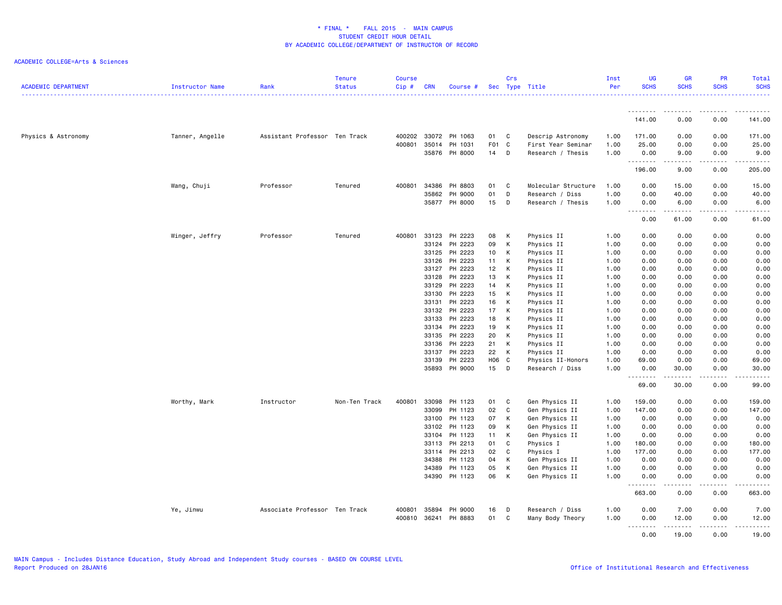| <b>ACADEMIC DEPARTMENT</b> | <b>Instructor Name</b> | Rank                          | <b>Tenure</b><br><b>Status</b> | <b>Course</b><br>Cip# | <b>CRN</b>   | Course #      |                 | Crs | Sec Type Title      | Inst<br>Per | <b>UG</b><br><b>SCHS</b>                                                                                                                                                                                                                                                                                                                                                                                                                                                                       | GR<br><b>SCHS</b>   | <b>PR</b><br><b>SCHS</b>                                                                                                                                     | Total<br><b>SCHS</b>    |
|----------------------------|------------------------|-------------------------------|--------------------------------|-----------------------|--------------|---------------|-----------------|-----|---------------------|-------------|------------------------------------------------------------------------------------------------------------------------------------------------------------------------------------------------------------------------------------------------------------------------------------------------------------------------------------------------------------------------------------------------------------------------------------------------------------------------------------------------|---------------------|--------------------------------------------------------------------------------------------------------------------------------------------------------------|-------------------------|
|                            |                        |                               |                                |                       |              |               |                 |     |                     |             | ---------                                                                                                                                                                                                                                                                                                                                                                                                                                                                                      | .                   | <b></b>                                                                                                                                                      | .<br>.<br>$\sim$ $\sim$ |
|                            |                        |                               |                                |                       |              |               |                 |     |                     |             | 141.00                                                                                                                                                                                                                                                                                                                                                                                                                                                                                         | 0.00                | 0.00                                                                                                                                                         | 141.00                  |
| Physics & Astronomy        | Tanner, Angelle        | Assistant Professor Ten Track |                                |                       | 400202 33072 | PH 1063       | 01              | C   | Descrip Astronomy   | 1.00        | 171.00                                                                                                                                                                                                                                                                                                                                                                                                                                                                                         | 0.00                | 0.00                                                                                                                                                         | 171.00                  |
|                            |                        |                               |                                | 400801                | 35014        | PH 1031       | F <sub>01</sub> | C   | First Year Seminar  | 1.00        | 25.00                                                                                                                                                                                                                                                                                                                                                                                                                                                                                          | 0.00                | 0.00                                                                                                                                                         | 25.00                   |
|                            |                        |                               |                                |                       |              | 35876 PH 8000 | 14              | D   | Research / Thesis   | 1.00        | 0.00<br>.                                                                                                                                                                                                                                                                                                                                                                                                                                                                                      | 9.00<br>.           | 0.00<br>$\cdots \cdots \cdots$                                                                                                                               | 9.00<br>.               |
|                            |                        |                               |                                |                       |              |               |                 |     |                     |             | 196.00                                                                                                                                                                                                                                                                                                                                                                                                                                                                                         | 9.00                | 0.00                                                                                                                                                         | 205.00                  |
|                            | Wang, Chuji            | Professor                     | Tenured                        | 400801                | 34386        | PH 8803       | 01              | C   | Molecular Structure | 1.00        | 0.00                                                                                                                                                                                                                                                                                                                                                                                                                                                                                           | 15.00               | 0.00                                                                                                                                                         | 15.00                   |
|                            |                        |                               |                                |                       | 35862        | PH 9000       | 01              | D   | Research / Diss     | 1.00        | 0.00                                                                                                                                                                                                                                                                                                                                                                                                                                                                                           | 40.00               | 0.00                                                                                                                                                         | 40.00                   |
|                            |                        |                               |                                |                       |              | 35877 PH 8000 | 15              | D   | Research / Thesis   | 1.00        | 0.00<br>.                                                                                                                                                                                                                                                                                                                                                                                                                                                                                      | 6.00<br>.           | 0.00<br>.                                                                                                                                                    | 6.00<br>.               |
|                            |                        |                               |                                |                       |              |               |                 |     |                     |             | 0.00                                                                                                                                                                                                                                                                                                                                                                                                                                                                                           | 61.00               | 0.00                                                                                                                                                         | 61.00                   |
|                            | Winger, Jeffry         | Professor                     | Tenured                        | 400801                | 33123        | PH 2223       | 08              | К   | Physics II          | 1.00        | 0.00                                                                                                                                                                                                                                                                                                                                                                                                                                                                                           | 0.00                | 0.00                                                                                                                                                         | 0.00                    |
|                            |                        |                               |                                |                       | 33124        | PH 2223       | 09              | К   | Physics II          | 1.00        | 0.00                                                                                                                                                                                                                                                                                                                                                                                                                                                                                           | 0.00                | 0.00                                                                                                                                                         | 0.00                    |
|                            |                        |                               |                                |                       | 33125        | PH 2223       | 10              | К   | Physics II          | 1.00        | 0.00                                                                                                                                                                                                                                                                                                                                                                                                                                                                                           | 0.00                | 0.00                                                                                                                                                         | 0.00                    |
|                            |                        |                               |                                |                       | 33126        | PH 2223       | 11              | К   | Physics II          | 1.00        | 0.00                                                                                                                                                                                                                                                                                                                                                                                                                                                                                           | 0.00                | 0.00                                                                                                                                                         | 0.00                    |
|                            |                        |                               |                                |                       | 33127        | PH 2223       | 12              | К   | Physics II          | 1.00        | 0.00                                                                                                                                                                                                                                                                                                                                                                                                                                                                                           | 0.00                | 0.00                                                                                                                                                         | 0.00                    |
|                            |                        |                               |                                |                       | 33128        | PH 2223       | 13              | К   | Physics II          | 1.00        | 0.00                                                                                                                                                                                                                                                                                                                                                                                                                                                                                           | 0.00                | 0.00                                                                                                                                                         | 0.00                    |
|                            |                        |                               |                                |                       | 33129        | PH 2223       | 14              | К   | Physics II          | 1.00        | 0.00                                                                                                                                                                                                                                                                                                                                                                                                                                                                                           | 0.00                | 0.00                                                                                                                                                         | 0.00                    |
|                            |                        |                               |                                |                       | 33130        | PH 2223       | 15              | К   | Physics II          | 1.00        | 0.00                                                                                                                                                                                                                                                                                                                                                                                                                                                                                           | 0.00                | 0.00                                                                                                                                                         | 0.00                    |
|                            |                        |                               |                                |                       | 33131        | PH 2223       | 16              | К   | Physics II          | 1.00        | 0.00                                                                                                                                                                                                                                                                                                                                                                                                                                                                                           | 0.00                | 0.00                                                                                                                                                         | 0.00                    |
|                            |                        |                               |                                |                       | 33132        | PH 2223       | 17              | К   | Physics II          | 1.00        | 0.00                                                                                                                                                                                                                                                                                                                                                                                                                                                                                           | 0.00                | 0.00                                                                                                                                                         | 0.00                    |
|                            |                        |                               |                                |                       | 33133        | PH 2223       | 18              | К   | Physics II          | 1.00        | 0.00                                                                                                                                                                                                                                                                                                                                                                                                                                                                                           | 0.00                | 0.00                                                                                                                                                         | 0.00                    |
|                            |                        |                               |                                |                       |              | 33134 PH 2223 | 19              | К   | Physics II          | 1.00        | 0.00                                                                                                                                                                                                                                                                                                                                                                                                                                                                                           | 0.00                | 0.00                                                                                                                                                         | 0.00                    |
|                            |                        |                               |                                |                       | 33135        | PH 2223       | 20              | К   | Physics II          | 1.00        | 0.00                                                                                                                                                                                                                                                                                                                                                                                                                                                                                           | 0.00                | 0.00                                                                                                                                                         | 0.00                    |
|                            |                        |                               |                                |                       | 33136        | PH 2223       | 21              | К   | Physics II          | 1.00        | 0.00                                                                                                                                                                                                                                                                                                                                                                                                                                                                                           | 0.00                | 0.00                                                                                                                                                         | 0.00                    |
|                            |                        |                               |                                |                       |              | 33137 PH 2223 | 22              | K   | Physics II          | 1.00        | 0.00                                                                                                                                                                                                                                                                                                                                                                                                                                                                                           | 0.00                | 0.00                                                                                                                                                         | 0.00                    |
|                            |                        |                               |                                |                       | 33139        | PH 2223       | H06             | C.  | Physics II-Honors   | 1.00        | 69.00                                                                                                                                                                                                                                                                                                                                                                                                                                                                                          | 0.00                | 0.00                                                                                                                                                         | 69.00                   |
|                            |                        |                               |                                |                       | 35893        | PH 9000       | 15              | D   | Research / Diss     | 1.00        | 0.00                                                                                                                                                                                                                                                                                                                                                                                                                                                                                           | 30.00               | 0.00                                                                                                                                                         | 30.00                   |
|                            |                        |                               |                                |                       |              |               |                 |     |                     |             | .<br>69.00                                                                                                                                                                                                                                                                                                                                                                                                                                                                                     | .<br>30.00          | .<br>0.00                                                                                                                                                    | .<br>99.00              |
|                            | Worthy, Mark           | Instructor                    | Non-Ten Track                  | 400801                | 33098        | PH 1123       | 01              | C   | Gen Physics II      | 1.00        | 159.00                                                                                                                                                                                                                                                                                                                                                                                                                                                                                         | 0.00                | 0.00                                                                                                                                                         | 159.00                  |
|                            |                        |                               |                                |                       | 33099        | PH 1123       | 02              | C   | Gen Physics II      | 1.00        | 147.00                                                                                                                                                                                                                                                                                                                                                                                                                                                                                         | 0.00                | 0.00                                                                                                                                                         | 147.00                  |
|                            |                        |                               |                                |                       | 33100        | PH 1123       | 07              | К   | Gen Physics II      | 1.00        | 0.00                                                                                                                                                                                                                                                                                                                                                                                                                                                                                           | 0.00                | 0.00                                                                                                                                                         | 0.00                    |
|                            |                        |                               |                                |                       | 33102        | PH 1123       | 09              | К   | Gen Physics II      | 1.00        | 0.00                                                                                                                                                                                                                                                                                                                                                                                                                                                                                           | 0.00                | 0.00                                                                                                                                                         | 0.00                    |
|                            |                        |                               |                                |                       |              | 33104 PH 1123 | 11              | К   | Gen Physics II      | 1.00        | 0.00                                                                                                                                                                                                                                                                                                                                                                                                                                                                                           | 0.00                | 0.00                                                                                                                                                         | 0.00                    |
|                            |                        |                               |                                |                       | 33113        | PH 2213       | 01              | C   | Physics I           | 1.00        | 180.00                                                                                                                                                                                                                                                                                                                                                                                                                                                                                         | 0.00                | 0.00                                                                                                                                                         | 180.00                  |
|                            |                        |                               |                                |                       |              | 33114 PH 2213 | 02              | C   | Physics I           | 1.00        | 177.00                                                                                                                                                                                                                                                                                                                                                                                                                                                                                         | 0.00                | 0.00                                                                                                                                                         | 177.00                  |
|                            |                        |                               |                                |                       | 34388        | PH 1123       | 04              | К   | Gen Physics II      | 1.00        | 0.00                                                                                                                                                                                                                                                                                                                                                                                                                                                                                           | 0.00                | 0.00                                                                                                                                                         | 0.00                    |
|                            |                        |                               |                                |                       | 34389        | PH 1123       | 05              | К   | Gen Physics II      | 1.00        | 0.00                                                                                                                                                                                                                                                                                                                                                                                                                                                                                           | 0.00                | 0.00                                                                                                                                                         | 0.00                    |
|                            |                        |                               |                                |                       |              | 34390 PH 1123 | 06              | К   | Gen Physics II      | 1.00        | 0.00<br>.                                                                                                                                                                                                                                                                                                                                                                                                                                                                                      | 0.00                | 0.00<br>$\frac{1}{2} \left( \frac{1}{2} \right) \left( \frac{1}{2} \right) \left( \frac{1}{2} \right) \left( \frac{1}{2} \right) \left( \frac{1}{2} \right)$ | 0.00<br>.               |
|                            |                        |                               |                                |                       |              |               |                 |     |                     |             | 663.00                                                                                                                                                                                                                                                                                                                                                                                                                                                                                         | 0.00                | 0.00                                                                                                                                                         | 663.00                  |
|                            | Ye, Jinwu              | Associate Professor Ten Track |                                | 400801                | 35894        | PH 9000       | 16              | D   | Research / Diss     | 1.00        | 0.00                                                                                                                                                                                                                                                                                                                                                                                                                                                                                           | 7.00                | 0.00                                                                                                                                                         | 7.00                    |
|                            |                        |                               |                                | 400810                | 36241        | PH 8883       | 01              | C   | Many Body Theory    | 1.00        | 0.00<br>$\begin{array}{cccccccccccccc} \multicolumn{2}{c}{} & \multicolumn{2}{c}{} & \multicolumn{2}{c}{} & \multicolumn{2}{c}{} & \multicolumn{2}{c}{} & \multicolumn{2}{c}{} & \multicolumn{2}{c}{} & \multicolumn{2}{c}{} & \multicolumn{2}{c}{} & \multicolumn{2}{c}{} & \multicolumn{2}{c}{} & \multicolumn{2}{c}{} & \multicolumn{2}{c}{} & \multicolumn{2}{c}{} & \multicolumn{2}{c}{} & \multicolumn{2}{c}{} & \multicolumn{2}{c}{} & \multicolumn{2}{c}{} & \multicolumn{2}{c}{} & \$ | 12.00<br>. <b>.</b> | 0.00<br>.                                                                                                                                                    | 12.00<br><u>.</u>       |
|                            |                        |                               |                                |                       |              |               |                 |     |                     |             | 0.00                                                                                                                                                                                                                                                                                                                                                                                                                                                                                           | 19.00               | 0.00                                                                                                                                                         | 19.00                   |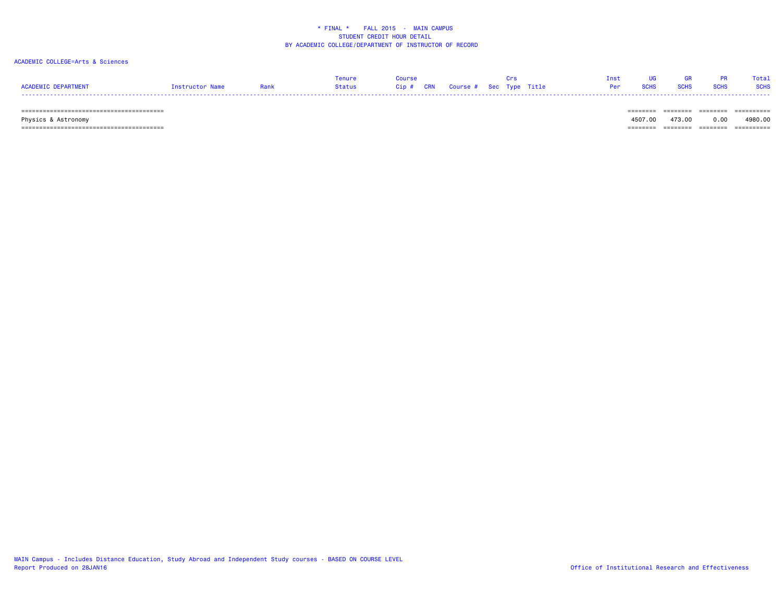### ACADEMIC COLLEGE=Arts & Sciences

|                     |                 |        |                                   | Tnst <sub>b</sub> | $\overline{\mathbf{1}}$ | PR | Total       |
|---------------------|-----------------|--------|-----------------------------------|-------------------|-------------------------|----|-------------|
| ACADEMIC DEPARTMENT | Instructor Name | Status | Cip # CRN Course # Sec Type Title |                   | Per SCHS SCHS SCHS      |    | <b>SCHS</b> |
| -----               |                 |        |                                   |                   |                         |    |             |

======================================== ======== ======== ======== ==========

 Physics & Astronomy 4507.00 473.00 0.00 4980.00 ======================================== ======== ======== ======== ==========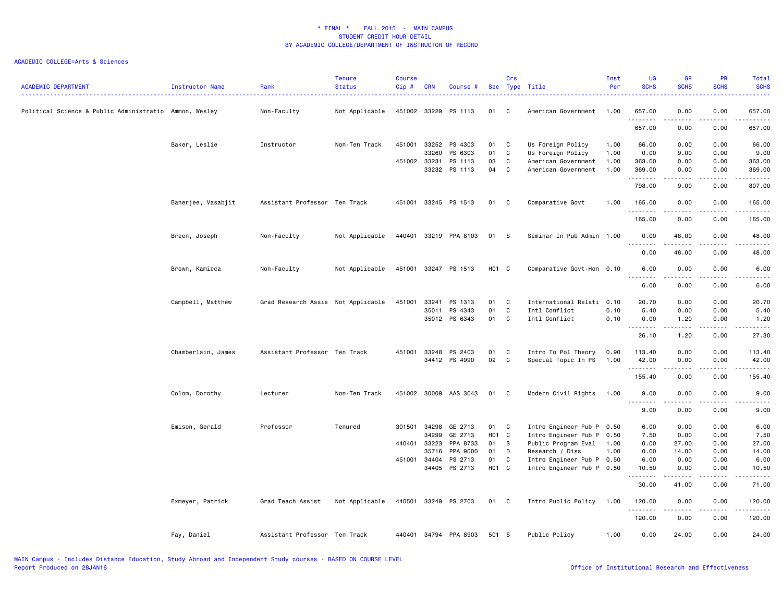| <b>ACADEMIC DEPARTMENT</b>                             | <b>Instructor Name</b> | Rank                               | <b>Tenure</b><br><b>Status</b> | <b>Course</b><br>Cip# | <b>CRN</b>   | Course #              |                   | Crs            | Sec Type Title            | Inst<br>Per | <b>UG</b><br><b>SCHS</b> | <b>GR</b><br><b>SCHS</b>                                                                                                                             | PR<br><b>SCHS</b>                   | Total<br><b>SCHS</b>                 |
|--------------------------------------------------------|------------------------|------------------------------------|--------------------------------|-----------------------|--------------|-----------------------|-------------------|----------------|---------------------------|-------------|--------------------------|------------------------------------------------------------------------------------------------------------------------------------------------------|-------------------------------------|--------------------------------------|
| Political Science & Public Administratio Ammon, Wesley |                        | Non-Faculty                        | Not Applicable                 |                       | 451002 33229 | PS 1113               | 01                | C <sub>c</sub> | American Government       | 1.00        | 657.00<br>.              | 0.00<br>$- - - -$                                                                                                                                    | 0.00                                | 657.00<br>.                          |
|                                                        |                        |                                    |                                |                       |              |                       |                   |                |                           |             | 657.00                   | 0.00                                                                                                                                                 | 0.00                                | 657.00                               |
|                                                        | Baker, Leslie          | Instructor                         | Non-Ten Track                  |                       | 451001 33252 | PS 4303               | 01 C              |                | Us Foreign Policy         | 1.00        | 66.00                    | 0.00                                                                                                                                                 | 0.00                                | 66.00                                |
|                                                        |                        |                                    |                                |                       | 33260        | PS 6303               | 01                | C              | Us Foreign Policy         | 1.00        | 0.00                     | 9.00                                                                                                                                                 | 0.00                                | 9.00                                 |
|                                                        |                        |                                    |                                | 451002 33231          |              | PS 1113               | 03                | C              | American Government       | 1.00        | 363.00                   | 0.00                                                                                                                                                 | 0.00                                | 363.00                               |
|                                                        |                        |                                    |                                |                       | 33232        | PS 1113               | 04                | C              | American Government       | 1.00        | 369.00<br>.              | 0.00<br>.                                                                                                                                            | 0.00<br>.                           | 369.00<br>.                          |
|                                                        |                        |                                    |                                |                       |              |                       |                   |                |                           |             | 798.00                   | 9.00                                                                                                                                                 | 0.00                                | 807.00                               |
|                                                        | Banerjee, Vasabjit     | Assistant Professor Ten Track      |                                | 451001                |              | 33245 PS 1513         | 01                | C.             | Comparative Govt          | 1.00        | 165.00                   | 0.00                                                                                                                                                 | 0.00                                | 165.00                               |
|                                                        |                        |                                    |                                |                       |              |                       |                   |                |                           |             | 165.00                   | 0.00                                                                                                                                                 | 0.00                                | 165.00                               |
|                                                        | Breen, Joseph          | Non-Faculty                        | Not Applicable                 |                       |              | 440401 33219 PPA 8103 | 01                | $^{\circ}$ s   | Seminar In Pub Admin 1.00 |             | 0.00                     | 48.00                                                                                                                                                | 0.00                                | 48.00                                |
|                                                        |                        |                                    |                                |                       |              |                       |                   |                |                           |             | .<br>0.00                | .<br>48.00                                                                                                                                           | .<br>0.00                           | .<br>48.00                           |
|                                                        | Brown, Kamicca         | Non-Faculty                        | Not Applicable                 |                       |              | 451001 33247 PS 1513  | H01 C             |                | Comparative Govt-Hon 0.10 |             | 6.00                     | 0.00                                                                                                                                                 | 0.00                                | 6.00                                 |
|                                                        |                        |                                    |                                |                       |              |                       |                   |                |                           |             | .                        | المتمالين                                                                                                                                            | .                                   | $\sim$ $\sim$ $\sim$ $\sim$          |
|                                                        |                        |                                    |                                |                       |              |                       |                   |                |                           |             | 6.00                     | 0.00                                                                                                                                                 | 0.00                                | 6.00                                 |
|                                                        | Campbell, Matthew      | Grad Research Assis Not Applicable |                                | 451001                | 33241        | PS 1313               | 01                | C              | International Relati      | 0.10        | 20.70                    | 0.00                                                                                                                                                 | 0.00                                | 20.70                                |
|                                                        |                        |                                    |                                |                       | 35011        | PS 4343               | 01                | C              | Intl Conflict             | 0.10        | 5.40                     | 0.00                                                                                                                                                 | 0.00                                | 5.40                                 |
|                                                        |                        |                                    |                                |                       |              | 35012 PS 6343         | 01 C              |                | Intl Conflict             | 0.10        | 0.00<br>.                | 1.20<br>.                                                                                                                                            | 0.00<br>.                           | 1.20<br>.                            |
|                                                        |                        |                                    |                                |                       |              |                       |                   |                |                           |             | 26.10                    | 1.20                                                                                                                                                 | 0.00                                | 27.30                                |
|                                                        | Chamberlain, James     | Assistant Professor Ten Track      |                                | 451001                | 33248        | PS 2403               | 01                | C              | Intro To Pol Theory       | 0.90        | 113.40                   | 0.00                                                                                                                                                 | 0.00                                | 113.40                               |
|                                                        |                        |                                    |                                |                       |              | 34412 PS 4990         | 02                | C              | Special Topic In PS       | 1.00        | 42.00                    | 0.00                                                                                                                                                 | 0.00                                | 42.00                                |
|                                                        |                        |                                    |                                |                       |              |                       |                   |                |                           |             | .<br>155.40              | .<br>0.00                                                                                                                                            | 0.00                                | 155.40                               |
|                                                        | Colom, Dorothy         | Lecturer                           | Non-Ten Track                  |                       |              | 451002 30009 AAS 3043 | 01                | $\mathbf{C}$   | Modern Civil Rights       | 1.00        | 9.00                     | 0.00                                                                                                                                                 | 0.00                                | 9.00                                 |
|                                                        |                        |                                    |                                |                       |              |                       |                   |                |                           |             | .                        | $\frac{1}{2} \left( \frac{1}{2} \right) \left( \frac{1}{2} \right) \left( \frac{1}{2} \right) \left( \frac{1}{2} \right) \left( \frac{1}{2} \right)$ | . <b>.</b>                          | ----                                 |
|                                                        |                        |                                    |                                |                       |              |                       |                   |                |                           |             | 9.00                     | 0.00                                                                                                                                                 | 0.00                                | 9.00                                 |
|                                                        | Emison, Gerald         | Professor                          | Tenured                        | 301501                | 34298        | GE 2713               | 01                | C              | Intro Engineer Pub P 0.50 |             | 6.00                     | 0.00                                                                                                                                                 | 0.00                                | 6.00                                 |
|                                                        |                        |                                    |                                |                       | 34299        | GE 2713               | H01 C             |                | Intro Engineer Pub P      | 0.50        | 7.50                     | 0.00                                                                                                                                                 | 0.00                                | 7.50                                 |
|                                                        |                        |                                    |                                | 440401                | 33223        | PPA 8733              | 01                | - S            | Public Program Eval       | 1.00        | 0.00                     | 27.00                                                                                                                                                | 0.00                                | 27.00                                |
|                                                        |                        |                                    |                                |                       | 35716        | PPA 9000              | 01                | D              | Research / Diss           | 1.00        | 0.00                     | 14.00                                                                                                                                                | 0.00                                | 14.00                                |
|                                                        |                        |                                    |                                | 451001                | 34404        | PS 2713               | 01                | C              | Intro Engineer Pub P      | 0.50        | 6.00                     | 0.00                                                                                                                                                 | 0.00                                | 6.00                                 |
|                                                        |                        |                                    |                                |                       |              | 34405 PS 2713         | H <sub>01</sub> C |                | Intro Engineer Pub P 0.50 |             | 10.50<br>.               | 0.00<br>-----                                                                                                                                        | 0.00<br>$\sim$ $\sim$ $\sim$ $\sim$ | 10.50<br>$\sim$ $\sim$ $\sim$ $\sim$ |
|                                                        |                        |                                    |                                |                       |              |                       |                   |                |                           |             | 30.00                    | 41.00                                                                                                                                                | 0.00                                | 71.00                                |
|                                                        | Exmeyer, Patrick       | Grad Teach Assist                  | Not Applicable                 |                       |              | 440501 33249 PS 2703  | 01 C              |                | Intro Public Policy       | 1.00        | 120.00<br>.              | 0.00<br>.                                                                                                                                            | 0.00<br>.                           | 120.00<br><u>.</u>                   |
|                                                        |                        |                                    |                                |                       |              |                       |                   |                |                           |             | 120.00                   | 0.00                                                                                                                                                 | 0.00                                | 120.00                               |
|                                                        | Fay, Daniel            | Assistant Professor Ten Track      |                                | 440401                |              | 34794 PPA 8903        | 501 S             |                | Public Policy             | 1.00        | 0.00                     | 24.00                                                                                                                                                | 0.00                                | 24.00                                |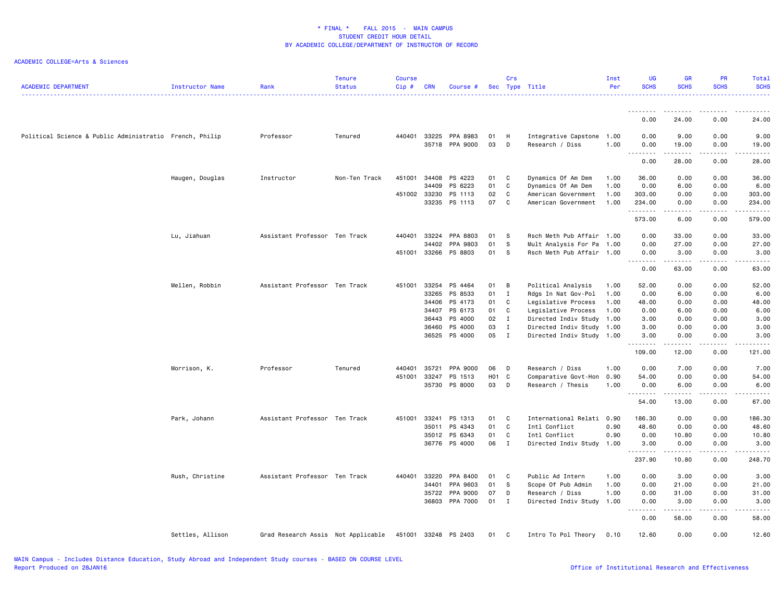| <b>ACADEMIC DEPARTMENT</b>                              | Instructor Name  | Rank                               | <b>Tenure</b><br><b>Status</b> | <b>Course</b><br>Cip# | <b>CRN</b>   | Course #                   |                   | Crs          | Sec Type Title                               | Inst<br>Per | <b>UG</b><br><b>SCHS</b>              | <b>GR</b><br><b>SCHS</b> | PR<br><b>SCHS</b>     | Total<br><b>SCHS</b><br><u>.</u> |
|---------------------------------------------------------|------------------|------------------------------------|--------------------------------|-----------------------|--------------|----------------------------|-------------------|--------------|----------------------------------------------|-------------|---------------------------------------|--------------------------|-----------------------|----------------------------------|
|                                                         |                  |                                    |                                |                       |              |                            |                   |              |                                              |             |                                       |                          |                       |                                  |
|                                                         |                  |                                    |                                |                       |              |                            |                   |              |                                              |             | 0.00                                  | 24.00                    | 0.00                  | 24.00                            |
| Political Science & Public Administratio French, Philip |                  | Professor                          | Tenured                        | 440401 33225          |              | PPA 8983<br>35718 PPA 9000 | 01<br>03          | H<br>D       | Integrative Capstone 1.00<br>Research / Diss | 1.00        | 0.00<br>0.00                          | 9.00<br>19.00            | 0.00<br>0.00<br>.     | 9.00<br>19.00<br>.               |
|                                                         |                  |                                    |                                |                       |              |                            |                   |              |                                              |             | .<br>0.00                             | .<br>28.00               | 0.00                  | 28.00                            |
|                                                         | Haugen, Douglas  | Instructor                         | Non-Ten Track                  | 451001                | 34408        | PS 4223                    | 01                | C            | Dynamics Of Am Dem                           | 1.00        | 36.00                                 | 0.00                     | 0.00                  | 36.00                            |
|                                                         |                  |                                    |                                |                       | 34409        | PS 6223                    | 01                | C            | Dynamics Of Am Dem                           | 1.00        | 0.00                                  | 6.00                     | 0.00                  | 6.00                             |
|                                                         |                  |                                    |                                | 451002 33230          |              | PS 1113                    | 02                | C            | American Government                          | 1.00        | 303.00                                | 0.00                     | 0.00                  | 303.00                           |
|                                                         |                  |                                    |                                |                       | 33235        | PS 1113                    | 07                | C            | American Government                          | 1.00        | 234.00<br>.                           | 0.00<br>.                | 0.00<br>.             | 234.00<br>.                      |
|                                                         |                  |                                    |                                |                       |              |                            |                   |              |                                              |             | 573.00                                | 6.00                     | 0.00                  | 579.00                           |
|                                                         | Lu, Jiahuan      | Assistant Professor Ten Track      |                                | 440401                | 33224        | PPA 8803                   | 01                | S            | Rsch Meth Pub Affair 1.00                    |             | 0.00                                  | 33.00                    | 0.00                  | 33.00                            |
|                                                         |                  |                                    |                                |                       | 34402        | PPA 9803                   | 01                | S            | Mult Analysis For Pa                         | 1.00        | 0.00                                  | 27.00                    | 0.00                  | 27.00                            |
|                                                         |                  |                                    |                                |                       | 451001 33266 | PS 8803                    | 01                | S            | Rsch Meth Pub Affair 1.00                    |             | 0.00                                  | 3.00                     | 0.00<br>2.2.2.2.2     | 3.00                             |
|                                                         |                  |                                    |                                |                       |              |                            |                   |              |                                              |             | <b><i><u>AAAAAAAA</u></i></b><br>0.00 | 63.00                    | 0.00                  | .<br>63.00                       |
|                                                         | Mellen, Robbin   | Assistant Professor Ten Track      |                                | 451001                | 33254        | PS 4464                    | 01                | B            | Political Analysis                           | 1.00        | 52.00                                 | 0.00                     | 0.00                  | 52.00                            |
|                                                         |                  |                                    |                                |                       | 33265        | PS 8533                    | 01                | I            | Rdgs In Nat Gov-Pol                          | 1.00        | 0.00                                  | 6.00                     | 0.00                  | 6.00                             |
|                                                         |                  |                                    |                                |                       | 34406        | PS 4173                    | 01                | C            | Legislative Process                          | 1.00        | 48.00                                 | 0.00                     | 0.00                  | 48.00                            |
|                                                         |                  |                                    |                                |                       | 34407        | PS 6173                    | 01                | C            | Legislative Process                          | 1.00        | 0.00                                  | 6.00                     | 0.00                  | 6.00                             |
|                                                         |                  |                                    |                                |                       | 36443        | PS 4000                    | 02                | I            | Directed Indiv Study 1.00                    |             | 3.00                                  | 0.00                     | 0.00                  | 3.00                             |
|                                                         |                  |                                    |                                |                       | 36460        | PS 4000                    | 03                | I            | Directed Indiv Study 1.00                    |             | 3.00                                  | 0.00                     | 0.00                  | 3.00                             |
|                                                         |                  |                                    |                                |                       |              | 36525 PS 4000              | 05                | $\mathbf{I}$ | Directed Indiv Study 1.00                    |             | 3.00                                  | 0.00                     | 0.00                  | 3.00                             |
|                                                         |                  |                                    |                                |                       |              |                            |                   |              |                                              |             | <u>.</u><br>109.00                    | $- - - - -$<br>12.00     | $\frac{1}{2}$<br>0.00 | .<br>121.00                      |
|                                                         | Morrison, K.     | Professor                          | Tenured                        | 440401                | 35721        | PPA 9000                   | 06                | D            | Research / Diss                              | 1.00        | 0.00                                  | 7.00                     | 0.00                  | 7.00                             |
|                                                         |                  |                                    |                                | 451001                | 33247        | PS 1513                    | H <sub>01</sub> C |              | Comparative Govt-Hon                         | 0.90        | 54.00                                 | 0.00                     | 0.00                  | 54.00                            |
|                                                         |                  |                                    |                                |                       | 35730        | PS 8000                    | 03                | D            | Research / Thesis                            | 1.00        | 0.00                                  | 6.00                     | 0.00                  | 6.00                             |
|                                                         |                  |                                    |                                |                       |              |                            |                   |              |                                              |             | 54.00                                 | 13.00                    | 0.00                  | 67.00                            |
|                                                         | Park, Johann     | Assistant Professor Ten Track      |                                | 451001                | 33241        | PS 1313                    | 01                | C            | International Relati 0.90                    |             | 186.30                                | 0.00                     | 0.00                  | 186.30                           |
|                                                         |                  |                                    |                                |                       | 35011        | PS 4343                    | 01                | C            | Intl Conflict                                | 0.90        | 48.60                                 | 0.00                     | 0.00                  | 48.60                            |
|                                                         |                  |                                    |                                |                       | 35012        | PS 6343                    | 01                | C            | Intl Conflict                                | 0.90        | 0.00                                  | 10.80                    | 0.00                  | 10.80                            |
|                                                         |                  |                                    |                                |                       |              | 36776 PS 4000              | 06                | $\mathbf{I}$ | Directed Indiv Study 1.00                    |             | 3.00                                  | 0.00                     | 0.00                  | 3.00                             |
|                                                         |                  |                                    |                                |                       |              |                            |                   |              |                                              |             | <u>.</u><br>237.90                    | .<br>10.80               | .<br>0.00             | .<br>248.70                      |
|                                                         | Rush, Christine  | Assistant Professor Ten Track      |                                | 440401 33220          |              | PPA 8400                   | 01                | C            | Public Ad Intern                             | 1.00        | 0.00                                  | 3.00                     | 0.00                  | 3.00                             |
|                                                         |                  |                                    |                                |                       | 34401        | PPA 9603                   | 01                | S            | Scope Of Pub Admin                           | 1.00        | 0.00                                  | 21.00                    | 0.00                  | 21.00                            |
|                                                         |                  |                                    |                                |                       | 35722        | PPA 9000                   | 07                | D            | Research / Diss                              | 1.00        | 0.00                                  | 31.00                    | 0.00                  | 31.00                            |
|                                                         |                  |                                    |                                |                       |              | 36803 PPA 7000             | 01                | $\mathbf{I}$ | Directed Indiv Study 1.00                    |             | 0.00                                  | 3.00                     | 0.00                  | 3.00                             |
|                                                         |                  |                                    |                                |                       |              |                            |                   |              |                                              |             | $- - - - -$<br>$\frac{1}{2}$          | . <u>.</u>               | .                     | .                                |
|                                                         |                  |                                    |                                |                       |              |                            |                   |              |                                              |             | 0.00                                  | 58.00                    | 0.00                  | 58.00                            |
|                                                         | Settles, Allison | Grad Research Assis Not Applicable |                                |                       |              | 451001 33248 PS 2403       | 01                | C            | Intro To Pol Theory                          | 0.10        | 12.60                                 | 0.00                     | 0.00                  | 12.60                            |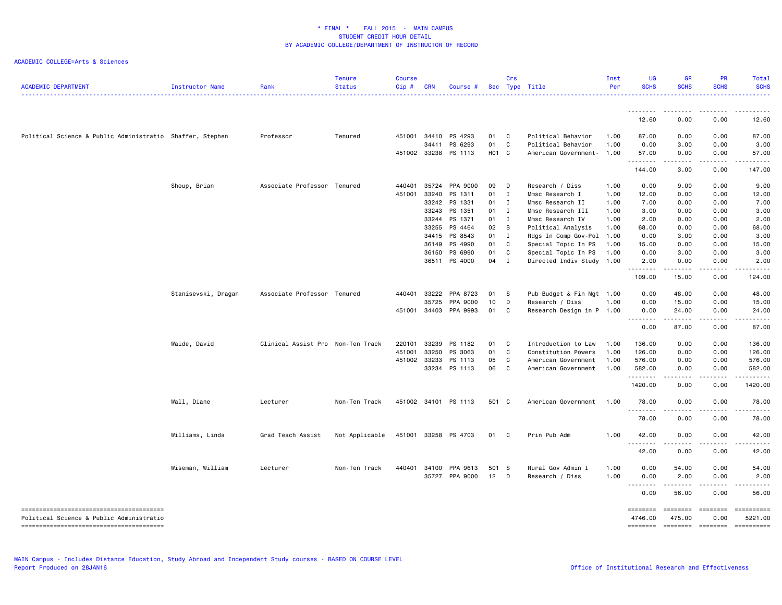| <b>ACADEMIC DEPARTMENT</b>                                | Instructor Name     | Rank                              | <b>Tenure</b><br><b>Status</b> | <b>Course</b><br>Cip# | <b>CRN</b> | Course #              |       | Crs          | Sec Type Title            | Inst<br>Per | <b>UG</b><br><b>SCHS</b> | <b>GR</b><br><b>SCHS</b>       | <b>PR</b><br><b>SCHS</b>                                                                                                                                     | Total<br><b>SCHS</b>                                                                                                |
|-----------------------------------------------------------|---------------------|-----------------------------------|--------------------------------|-----------------------|------------|-----------------------|-------|--------------|---------------------------|-------------|--------------------------|--------------------------------|--------------------------------------------------------------------------------------------------------------------------------------------------------------|---------------------------------------------------------------------------------------------------------------------|
|                                                           |                     |                                   |                                |                       |            |                       |       |              |                           |             |                          |                                |                                                                                                                                                              |                                                                                                                     |
|                                                           |                     |                                   |                                |                       |            |                       |       |              |                           |             | 12.60                    | 0.00                           | 0.00                                                                                                                                                         | 12.60                                                                                                               |
| Political Science & Public Administratio Shaffer, Stephen |                     | Professor                         | Tenured                        | 451001                | 34410      | PS 4293               | 01    | C            | Political Behavior        | 1.00        | 87.00                    | 0.00                           | 0.00                                                                                                                                                         | 87.00                                                                                                               |
|                                                           |                     |                                   |                                |                       | 34411      | PS 6293               | 01    | C            | Political Behavior        | 1.00        | 0.00                     | 3.00                           | 0.00                                                                                                                                                         | 3.00                                                                                                                |
|                                                           |                     |                                   |                                |                       |            | 451002 33238 PS 1113  | H01 C |              | American Government-      | 1.00        | 57.00<br>.               | 0.00<br>.                      | 0.00<br>.                                                                                                                                                    | 57.00<br><u>.</u>                                                                                                   |
|                                                           |                     |                                   |                                |                       |            |                       |       |              |                           |             | 144.00                   | 3.00                           | 0.00                                                                                                                                                         | 147.00                                                                                                              |
|                                                           | Shoup, Brian        | Associate Professor Tenured       |                                | 440401                |            | 35724 PPA 9000        | 09    | D            | Research / Diss           | 1.00        | 0.00                     | 9.00                           | 0.00                                                                                                                                                         | 9.00                                                                                                                |
|                                                           |                     |                                   |                                | 451001                | 33240      | PS 1311               | 01    | $\mathbf{I}$ | Mmsc Research I           | 1.00        | 12.00                    | 0.00                           | 0.00                                                                                                                                                         | 12.00                                                                                                               |
|                                                           |                     |                                   |                                |                       | 33242      | PS 1331               | 01    | I            | Mmsc Research II          | 1.00        | 7.00                     | 0.00                           | 0.00                                                                                                                                                         | 7.00                                                                                                                |
|                                                           |                     |                                   |                                |                       | 33243      | PS 1351               | 01 I  |              | Mmsc Research III         | 1.00        | 3.00                     | 0.00                           | 0.00                                                                                                                                                         | 3.00                                                                                                                |
|                                                           |                     |                                   |                                |                       | 33244      | PS 1371               | 01 I  |              | Mmsc Research IV          | 1.00        | 2.00                     | 0.00                           | 0.00                                                                                                                                                         | 2.00                                                                                                                |
|                                                           |                     |                                   |                                |                       | 33255      | PS 4464               | 02    | B            | Political Analysis        | 1.00        | 68.00                    | 0.00                           | 0.00                                                                                                                                                         | 68.00                                                                                                               |
|                                                           |                     |                                   |                                |                       | 34415      | PS 8543               | 01 I  |              | Rdgs In Comp Gov-Pol      | 1.00        | 0.00                     | 3.00                           | 0.00                                                                                                                                                         | 3.00                                                                                                                |
|                                                           |                     |                                   |                                |                       | 36149      | PS 4990               | 01    | C.           | Special Topic In PS       | 1.00        | 15.00                    | 0.00                           | 0.00                                                                                                                                                         | 15.00                                                                                                               |
|                                                           |                     |                                   |                                |                       | 36150      | PS 6990               | 01    | C            | Special Topic In PS       | 1.00        | 0.00                     | 3.00                           | 0.00                                                                                                                                                         | 3.00                                                                                                                |
|                                                           |                     |                                   |                                |                       | 36511      | PS 4000               | 04    | $\mathbf{I}$ | Directed Indiv Study      | 1.00        | 2.00<br>.                | 0.00<br>المتمالين              | 0.00<br>$- - - - -$                                                                                                                                          | 2.00<br>$\begin{array}{cccccccccc} \bullet & \bullet & \bullet & \bullet & \bullet & \bullet & \bullet \end{array}$ |
|                                                           |                     |                                   |                                |                       |            |                       |       |              |                           |             | 109.00                   | 15.00                          | 0.00                                                                                                                                                         | 124.00                                                                                                              |
|                                                           | Stanisevski, Dragan | Associate Professor Tenured       |                                | 440401                | 33222      | PPA 8723              | 01    | - S          | Pub Budget & Fin Mgt 1.00 |             | 0.00                     | 48.00                          | 0.00                                                                                                                                                         | 48.00                                                                                                               |
|                                                           |                     |                                   |                                |                       | 35725      | PPA 9000              | 10    | D            | Research / Diss           | 1.00        | 0.00                     | 15.00                          | 0.00                                                                                                                                                         | 15.00                                                                                                               |
|                                                           |                     |                                   |                                |                       |            | 451001 34403 PPA 9993 | 01    | C            | Research Design in P 1.00 |             | 0.00                     | 24.00                          | 0.00                                                                                                                                                         | 24.00                                                                                                               |
|                                                           |                     |                                   |                                |                       |            |                       |       |              |                           |             | .<br>0.00                | 87.00                          | $\frac{1}{2} \left( \frac{1}{2} \right) \left( \frac{1}{2} \right) \left( \frac{1}{2} \right) \left( \frac{1}{2} \right) \left( \frac{1}{2} \right)$<br>0.00 | <u>.</u><br>87.00                                                                                                   |
|                                                           | Waide, David        | Clinical Assist Pro Non-Ten Track |                                | 220101                | 33239      | PS 1182               | 01    | C            | Introduction to Law       | 1.00        | 136.00                   | 0.00                           | 0.00                                                                                                                                                         | 136.00                                                                                                              |
|                                                           |                     |                                   |                                | 451001                | 33250      | PS 3063               | 01    | C            | Constitution Powers       | 1.00        | 126.00                   | 0.00                           | 0.00                                                                                                                                                         | 126.00                                                                                                              |
|                                                           |                     |                                   |                                | 451002                | 33233      | PS 1113               | 05    | C            | American Government       | 1.00        | 576.00                   | 0.00                           | 0.00                                                                                                                                                         | 576.00                                                                                                              |
|                                                           |                     |                                   |                                |                       |            | 33234 PS 1113         | 06    | C            | American Government       | 1.00        | 582.00                   | 0.00                           | 0.00                                                                                                                                                         | 582.00                                                                                                              |
|                                                           |                     |                                   |                                |                       |            |                       |       |              |                           |             | .<br>1420.00             | 0.00                           | 0.00                                                                                                                                                         | .<br>1420.00                                                                                                        |
|                                                           | Wall, Diane         | Lecturer                          | Non-Ten Track                  |                       |            | 451002 34101 PS 1113  | 501 C |              | American Government       | 1.00        | 78.00                    | 0.00                           | 0.00                                                                                                                                                         | 78.00                                                                                                               |
|                                                           |                     |                                   |                                |                       |            |                       |       |              |                           |             | .<br>78.00               | $\omega$ is a $\omega$<br>0.00 | -----<br>0.00                                                                                                                                                | .<br>78.00                                                                                                          |
|                                                           | Williams, Linda     | Grad Teach Assist                 | Not Applicable                 |                       |            | 451001 33258 PS 4703  | 01 C  |              | Prin Pub Adm              | 1.00        | 42.00                    | 0.00                           | 0.00                                                                                                                                                         | 42.00                                                                                                               |
|                                                           |                     |                                   |                                |                       |            |                       |       |              |                           |             | <u>.</u><br>42.00        | 0.00                           | 0.00                                                                                                                                                         | 42.00                                                                                                               |
|                                                           | Wiseman, William    | Lecturer                          | Non-Ten Track                  | 440401                | 34100      | PPA 9613              | 501 S |              | Rural Gov Admin I         | 1.00        | 0.00                     | 54.00                          | 0.00                                                                                                                                                         | 54.00                                                                                                               |
|                                                           |                     |                                   |                                |                       |            | 35727 PPA 9000        | 12    | D            | Research / Diss           | 1.00        | 0.00                     | 2.00                           | 0.00                                                                                                                                                         | 2.00                                                                                                                |
|                                                           |                     |                                   |                                |                       |            |                       |       |              |                           |             | .                        | .                              | .                                                                                                                                                            | .                                                                                                                   |
|                                                           |                     |                                   |                                |                       |            |                       |       |              |                           |             | 0.00                     | 56.00                          | 0.00                                                                                                                                                         | 56.00                                                                                                               |
|                                                           |                     |                                   |                                |                       |            |                       |       |              |                           |             | ========                 | <b>EBBERED</b>                 | ========                                                                                                                                                     | ==========                                                                                                          |
| Political Science & Public Administratio                  |                     |                                   |                                |                       |            |                       |       |              |                           |             | 4746.00                  | 475.00                         | 0.00                                                                                                                                                         | 5221.00                                                                                                             |
|                                                           |                     |                                   |                                |                       |            |                       |       |              |                           |             | ========                 | ========                       | ========                                                                                                                                                     | ==========                                                                                                          |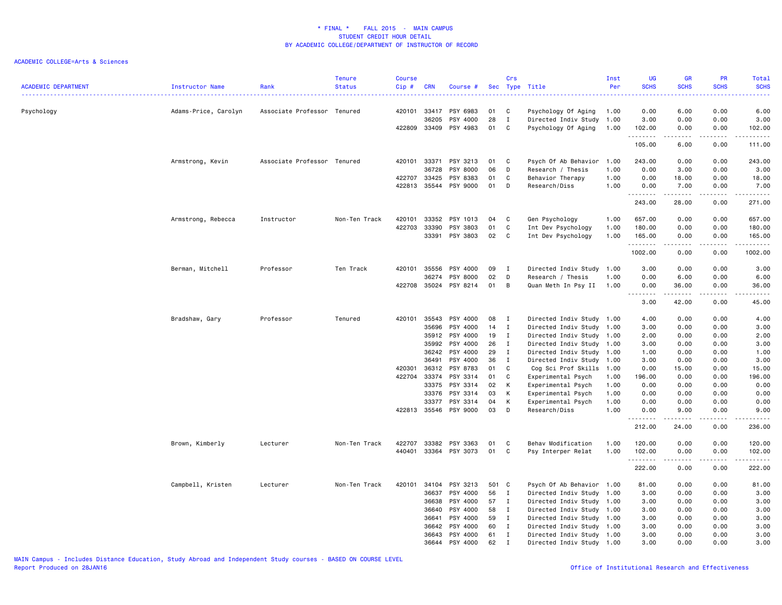| <b>ACADEMIC DEPARTMENT</b> | <b>Instructor Name</b> | Rank                        | Tenure<br><b>Status</b> | <b>Course</b><br>Cip# | <b>CRN</b>     | Course #             |          | Crs               | Sec Type Title                                   | Inst<br>Per  | UG<br><b>SCHS</b>     | <b>GR</b><br><b>SCHS</b> | PR<br><b>SCHS</b> | Total<br><b>SCHS</b>                                                                                                                                           |
|----------------------------|------------------------|-----------------------------|-------------------------|-----------------------|----------------|----------------------|----------|-------------------|--------------------------------------------------|--------------|-----------------------|--------------------------|-------------------|----------------------------------------------------------------------------------------------------------------------------------------------------------------|
| Psychology                 | Adams-Price, Carolyn   | Associate Professor Tenured |                         | 420101                | 33417<br>36205 | PSY 6983<br>PSY 4000 | 01<br>28 | C<br>$\mathbf I$  | Psychology Of Aging<br>Directed Indiv Study      | 1.00<br>1.00 | 0.00<br>3.00          | 6.00<br>0.00             | 0.00<br>0.00      | 6.00<br>3.00                                                                                                                                                   |
|                            |                        |                             |                         | 422809 33409          |                | PSY 4983             | 01       | C                 | Psychology Of Aging                              | 1.00         | 102.00<br>.<br>105.00 | 0.00<br>المتماما<br>6.00 | 0.00<br>.<br>0.00 | 102.00<br>.<br>111.00                                                                                                                                          |
|                            | Armstrong, Kevin       | Associate Professor Tenured |                         | 420101                | 33371          | PSY 3213             | 01       | C                 | Psych Of Ab Behavior                             | 1.00         | 243.00                | 0.00                     | 0.00              | 243.00                                                                                                                                                         |
|                            |                        |                             |                         |                       | 36728          | PSY 8000             | 06       | D                 | Research / Thesis                                | 1.00         | 0.00                  | 3.00                     | 0.00              | 3.00                                                                                                                                                           |
|                            |                        |                             |                         | 422707                | 33425          | PSY 8383             | 01       | C                 | Behavior Therapy                                 | 1.00         | 0.00                  | 18.00                    | 0.00              | 18.00                                                                                                                                                          |
|                            |                        |                             |                         | 422813                | 35544          | PSY 9000             | 01       | D                 | Research/Diss                                    | 1.00         | 0.00                  | 7.00                     | 0.00              | 7.00                                                                                                                                                           |
|                            |                        |                             |                         |                       |                |                      |          |                   |                                                  |              | .<br>243.00           | 28.00                    | 0.00              | .<br>271.00                                                                                                                                                    |
|                            | Armstrong, Rebecca     | Instructor                  | Non-Ten Track           | 420101                | 33352          | PSY 1013             | 04       | C                 | Gen Psychology                                   | 1.00         | 657.00                | 0.00                     | 0.00              | 657.00                                                                                                                                                         |
|                            |                        |                             |                         | 422703                | 33390          | PSY 3803             | 01       | C                 | Int Dev Psychology                               | 1.00         | 180.00                | 0.00                     | 0.00              | 180.00                                                                                                                                                         |
|                            |                        |                             |                         |                       | 33391          | PSY 3803             | 02       | C                 | Int Dev Psychology                               | 1.00         | 165.00<br>.           | 0.00<br>.                | 0.00<br>.         | 165.00<br><u>.</u>                                                                                                                                             |
|                            |                        |                             |                         |                       |                |                      |          |                   |                                                  |              | 1002.00               | 0.00                     | 0.00              | 1002.00                                                                                                                                                        |
|                            | Berman, Mitchell       | Professor                   | Ten Track               | 420101                | 35556          | PSY 4000             | 09       | $\mathbf{I}$      | Directed Indiv Study                             | 1.00         | 3.00                  | 0.00                     | 0.00              | 3.00                                                                                                                                                           |
|                            |                        |                             |                         |                       | 36274          | PSY 8000             | 02       | D                 | Research / Thesis                                | 1.00         | 0.00                  | 6.00                     | 0.00              | 6.00                                                                                                                                                           |
|                            |                        |                             |                         | 422708 35024          |                | PSY 8214             | 01       | B                 | Quan Meth In Psy II                              | 1.00         | 0.00<br>.             | 36.00<br>.               | 0.00<br>.         | 36.00<br>.                                                                                                                                                     |
|                            |                        |                             |                         |                       |                |                      |          |                   |                                                  |              | 3.00                  | 42.00                    | 0.00              | 45.00                                                                                                                                                          |
|                            | Bradshaw, Gary         | Professor                   | Tenured                 | 420101                | 35543          | PSY 4000             | 08       | $\mathbf{I}$      | Directed Indiv Study 1.00                        |              | 4.00                  | 0.00                     | 0.00              | 4.00                                                                                                                                                           |
|                            |                        |                             |                         |                       | 35696          | PSY 4000             | 14       | $\mathbf{I}$      | Directed Indiv Study 1.00                        |              | 3.00                  | 0.00                     | 0.00              | 3.00                                                                                                                                                           |
|                            |                        |                             |                         |                       | 35912          | PSY 4000             | 19       | I                 | Directed Indiv Study 1.00                        |              | 2.00                  | 0.00                     | 0.00              | 2.00                                                                                                                                                           |
|                            |                        |                             |                         |                       | 35992          | PSY 4000             | 26       | $\mathbf{I}$      | Directed Indiv Study 1.00                        |              | 3.00                  | 0.00                     | 0.00              | 3.00                                                                                                                                                           |
|                            |                        |                             |                         |                       | 36242          | PSY 4000             | 29       | $\mathbf{I}$      | Directed Indiv Study                             | 1.00         | 1.00                  | 0.00                     | 0.00              | 1.00                                                                                                                                                           |
|                            |                        |                             |                         | 420301                | 36491<br>36312 | PSY 4000<br>PSY 8783 | 36<br>01 | $\mathbf{I}$<br>C | Directed Indiv Study 1.00<br>Cog Sci Prof Skills | 1.00         | 3.00<br>0.00          | 0.00<br>15.00            | 0.00<br>0.00      | 3.00<br>15.00                                                                                                                                                  |
|                            |                        |                             |                         | 422704                | 33374          | PSY 3314             | 01       | C                 | Experimental Psych                               | 1.00         | 196.00                | 0.00                     | 0.00              | 196.00                                                                                                                                                         |
|                            |                        |                             |                         |                       | 33375          | PSY 3314             | 02       | К                 | Experimental Psych                               | 1.00         | 0.00                  | 0.00                     | 0.00              | 0.00                                                                                                                                                           |
|                            |                        |                             |                         |                       | 33376          | PSY 3314             | 03       | К                 | Experimental Psych                               | 1.00         | 0.00                  | 0.00                     | 0.00              | 0.00                                                                                                                                                           |
|                            |                        |                             |                         |                       | 33377          | PSY 3314             | 04       | К                 | Experimental Psych                               | 1.00         | 0.00                  | 0.00                     | 0.00              | 0.00                                                                                                                                                           |
|                            |                        |                             |                         | 422813 35546          |                | PSY 9000             | 03       | D                 | Research/Diss                                    | 1.00         | 0.00<br>.             | 9.00<br>$\cdots$         | 0.00<br>.         | 9.00<br>.                                                                                                                                                      |
|                            |                        |                             |                         |                       |                |                      |          |                   |                                                  |              | 212.00                | 24.00                    | 0.00              | 236.00                                                                                                                                                         |
|                            | Brown, Kimberly        | Lecturer                    | Non-Ten Track           | 422707                | 33382          | PSY 3363             | 01       | C                 | Behav Modification                               | 1.00         | 120.00                | 0.00                     | 0.00              | 120.00                                                                                                                                                         |
|                            |                        |                             |                         | 440401                |                | 33364 PSY 3073       | 01       | C                 | Psy Interper Relat                               | 1.00         | 102.00<br>.           | 0.00<br>د د د د          | 0.00<br>.         | 102.00<br>$\frac{1}{2} \left( \frac{1}{2} \right) \left( \frac{1}{2} \right) \left( \frac{1}{2} \right) \left( \frac{1}{2} \right) \left( \frac{1}{2} \right)$ |
|                            |                        |                             |                         |                       |                |                      |          |                   |                                                  |              | 222.00                | 0.00                     | 0.00              | 222.00                                                                                                                                                         |
|                            | Campbell, Kristen      | Lecturer                    | Non-Ten Track           | 420101                | 34104          | PSY 3213             | 501 C    |                   | Psych Of Ab Behavior 1.00                        |              | 81.00                 | 0.00                     | 0.00              | 81.00                                                                                                                                                          |
|                            |                        |                             |                         |                       | 36637          | PSY 4000             | 56       | $\mathbf{I}$      | Directed Indiv Study                             | 1.00         | 3.00                  | 0.00                     | 0.00              | 3.00                                                                                                                                                           |
|                            |                        |                             |                         |                       | 36638          | PSY 4000             | 57       | $\mathbf{I}$      | Directed Indiv Study                             | 1.00         | 3.00                  | 0.00                     | 0.00              | 3.00                                                                                                                                                           |
|                            |                        |                             |                         |                       | 36640          | PSY 4000             | 58       | $\mathbf{I}$      | Directed Indiv Study 1.00                        |              | 3.00                  | 0.00                     | 0.00              | 3.00                                                                                                                                                           |
|                            |                        |                             |                         |                       | 36641          | PSY 4000             | 59       | $\mathbf{I}$      | Directed Indiv Study                             | 1.00         | 3.00                  | 0.00                     | 0.00              | 3.00                                                                                                                                                           |
|                            |                        |                             |                         |                       | 36642          | PSY 4000             | 60       | $\mathbf{I}$      | Directed Indiv Study 1.00                        |              | 3.00                  | 0.00                     | 0.00              | 3.00                                                                                                                                                           |
|                            |                        |                             |                         |                       | 36643          | PSY 4000             | 61       | I                 | Directed Indiv Study 1.00                        |              | 3.00                  | 0.00                     | 0.00              | 3.00                                                                                                                                                           |
|                            |                        |                             |                         |                       | 36644          | PSY 4000             | 62       | I                 | Directed Indiv Study 1.00                        |              | 3.00                  | 0.00                     | 0.00              | 3.00                                                                                                                                                           |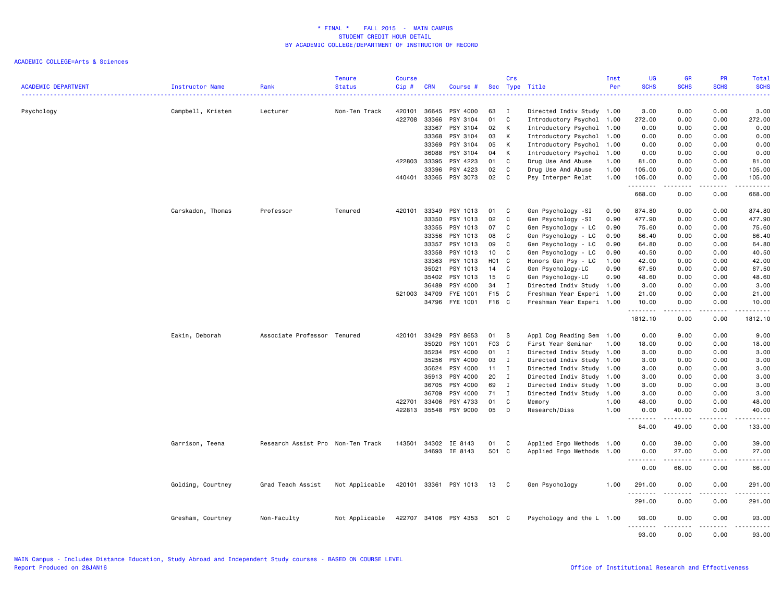|                            |                        |                                   | <b>Tenure</b>  | <b>Course</b> |              |                       |       | Crs          |                           | Inst | UG                  | <b>GR</b>         | PR          | Total                 |
|----------------------------|------------------------|-----------------------------------|----------------|---------------|--------------|-----------------------|-------|--------------|---------------------------|------|---------------------|-------------------|-------------|-----------------------|
| <b>ACADEMIC DEPARTMENT</b> | <b>Instructor Name</b> | Rank                              | <b>Status</b>  | Cip#          | <b>CRN</b>   | Course #              | Sec   |              | Type Title                | Per  | <b>SCHS</b>         | <b>SCHS</b>       | <b>SCHS</b> | <b>SCHS</b>           |
| Psychology                 | Campbell, Kristen      | Lecturer                          | Non-Ten Track  | 420101        | 36645        | PSY 4000              | 63    | I            | Directed Indiv Study 1.00 |      | 3.00                | 0.00              | 0.00        | 3.00                  |
|                            |                        |                                   |                | 422708        | 33366        | PSY 3104              | 01    | C            | Introductory Psychol      | 1.00 | 272.00              | 0.00              | 0.00        | 272.00                |
|                            |                        |                                   |                |               | 33367        | PSY 3104              | 02    | К            | Introductory Psychol 1.00 |      | 0.00                | 0.00              | 0.00        | 0.00                  |
|                            |                        |                                   |                |               | 33368        | PSY 3104              | 03    | К            | Introductory Psychol 1.00 |      | 0.00                | 0.00              | 0.00        | 0.00                  |
|                            |                        |                                   |                |               | 33369        | PSY 3104              | 05    | К            | Introductory Psychol 1.00 |      | 0.00                | 0.00              | 0.00        | 0.00                  |
|                            |                        |                                   |                |               | 36088        | PSY 3104              | 04    | К            | Introductory Psychol      | 1.00 | 0.00                | 0.00              | 0.00        | 0.00                  |
|                            |                        |                                   |                | 422803        | 33395        | PSY 4223              | 01    | C            | Drug Use And Abuse        | 1.00 | 81.00               | 0.00              | 0.00        | 81.00                 |
|                            |                        |                                   |                |               | 33396        | PSY 4223              | 02    | C            | Drug Use And Abuse        | 1.00 | 105.00              | 0.00              | 0.00        | 105.00                |
|                            |                        |                                   |                | 440401        | 33365        | PSY 3073              | 02    | C            | Psy Interper Relat        | 1.00 | 105.00<br>.         | 0.00              | 0.00        | 105.00<br>.           |
|                            |                        |                                   |                |               |              |                       |       |              |                           |      | 668.00              | 0.00              | 0.00        | 668.00                |
|                            | Carskadon, Thomas      | Professor                         | Tenured        | 420101        | 33349        | PSY 1013              | 01    | C            | Gen Psychology -SI        | 0.90 | 874.80              | 0.00              | 0.00        | 874.80                |
|                            |                        |                                   |                |               | 33350        | PSY 1013              | 02    | C            | Gen Psychology -SI        | 0.90 | 477.90              | 0.00              | 0.00        | 477.90                |
|                            |                        |                                   |                |               | 33355        | PSY 1013              | 07    | C            | Gen Psychology - LC       | 0.90 | 75.60               | 0.00              | 0.00        | 75.60                 |
|                            |                        |                                   |                |               | 33356        | PSY 1013              | 08    | C            | Gen Psychology - LC       | 0.90 | 86.40               | 0.00              | 0.00        | 86.40                 |
|                            |                        |                                   |                |               | 33357        | PSY 1013              | 09    | C            | Gen Psychology - LC       | 0.90 | 64.80               | 0.00              | 0.00        | 64.80                 |
|                            |                        |                                   |                |               | 33358        | PSY 1013              | 10    | C            | Gen Psychology - LC       | 0.90 | 40.50               | 0.00              | 0.00        | 40.50                 |
|                            |                        |                                   |                |               | 33363        | PSY 1013              | H01 C |              | Honors Gen Psy - LC       | 1.00 | 42.00               | 0.00              | 0.00        | 42.00                 |
|                            |                        |                                   |                |               | 35021        | PSY 1013              | 14    | $\mathbf{C}$ | Gen Psychology-LC         | 0.90 | 67.50               | 0.00              | 0.00        | 67.50                 |
|                            |                        |                                   |                |               | 35402        | PSY 1013              | 15    | C            | Gen Psychology-LC         | 0.90 | 48.60               | 0.00              | 0.00        | 48.60                 |
|                            |                        |                                   |                |               | 36489        | PSY 4000              | 34    | $\mathbf I$  | Directed Indiv Study 1.00 |      | 3.00                | 0.00              | 0.00        | 3.00                  |
|                            |                        |                                   |                |               | 521003 34709 | FYE 1001              | F15 C |              | Freshman Year Experi 1.00 |      | 21.00               | 0.00              | 0.00        | 21.00                 |
|                            |                        |                                   |                |               | 34796        | FYE 1001              | F16 C |              | Freshman Year Experi 1.00 |      | 10.00<br>.          | 0.00              | 0.00        | 10.00                 |
|                            |                        |                                   |                |               |              |                       |       |              |                           |      | 1812.10             | 0.00              | 0.00        | 1812.10               |
|                            | Eakin, Deborah         | Associate Professor Tenured       |                | 420101        | 33429        | PSY 8653              | 01    | s            | Appl Cog Reading Sem      | 1.00 | 0.00                | 9.00              | 0.00        | 9.00                  |
|                            |                        |                                   |                |               | 35020        | PSY 1001              | F03 C |              | First Year Seminar        | 1.00 | 18.00               | 0.00              | 0.00        | 18.00                 |
|                            |                        |                                   |                |               | 35234        | PSY 4000              | 01    | I            | Directed Indiv Study      | 1.00 | 3.00                | 0.00              | 0.00        | 3.00                  |
|                            |                        |                                   |                |               | 35256        | PSY 4000              | 03    | $\mathbf I$  | Directed Indiv Study 1.00 |      | 3.00                | 0.00              | 0.00        | 3.00                  |
|                            |                        |                                   |                |               | 35624        | PSY 4000              | 11    | $\mathbf I$  | Directed Indiv Study      | 1.00 | 3.00                | 0.00              | 0.00        | 3.00                  |
|                            |                        |                                   |                |               | 35913        | PSY 4000              | 20    | $\mathbf{I}$ | Directed Indiv Study      | 1.00 | 3.00                | 0.00              | 0.00        | 3.00                  |
|                            |                        |                                   |                |               | 36705        | PSY 4000              | 69    | $\mathbf{I}$ | Directed Indiv Study      | 1.00 | 3.00                | 0.00              | 0.00        | 3.00                  |
|                            |                        |                                   |                |               | 36709        | PSY 4000              | 71    | $\mathbf I$  | Directed Indiv Study      | 1.00 | 3.00                | 0.00              | 0.00        | 3.00                  |
|                            |                        |                                   |                | 422701        | 33406        | PSY 4733              | 01    | C            | Memory                    | 1.00 | 48.00               | 0.00              | 0.00        | 48.00                 |
|                            |                        |                                   |                | 422813        | 35548        | PSY 9000              | 05    | D            | Research/Diss             | 1.00 | 0.00<br>.           | 40.00<br>.        | 0.00<br>.   | 40.00<br>.            |
|                            |                        |                                   |                |               |              |                       |       |              |                           |      | 84.00               | 49.00             | 0.00        | 133.00                |
|                            | Garrison, Teena        | Research Assist Pro Non-Ten Track |                | 143501        |              | 34302 IE 8143         | 01    | C            | Applied Ergo Methods 1.00 |      | 0.00                | 39.00             | 0.00        | 39.00                 |
|                            |                        |                                   |                |               |              | 34693 IE 8143         | 501 C |              | Applied Ergo Methods 1.00 |      | 0.00<br>$\cdots$    | 27.00             | 0.00        | 27.00<br>. <b>.</b> . |
|                            |                        |                                   |                |               |              |                       |       |              |                           |      | 0.00                | 66.00             | 0.00        | 66.00                 |
|                            | Golding, Courtney      | Grad Teach Assist                 | Not Applicable |               |              | 420101 33361 PSY 1013 | 13    | $\mathbf{C}$ | Gen Psychology            | 1.00 | 291.00              | 0.00              | 0.00        | 291.00                |
|                            |                        |                                   |                |               |              |                       |       |              |                           |      | .<br>291.00         | 0.00              | 0.00        | .<br>291.00           |
|                            | Gresham, Courtney      | Non-Faculty                       | Not Applicable |               |              | 422707 34106 PSY 4353 | 501 C |              | Psychology and the L 1.00 |      | 93.00<br>. <b>.</b> | 0.00              | 0.00<br>.   | 93.00<br>.            |
|                            |                        |                                   |                |               |              |                       |       |              |                           |      | 93.00               | $- - - -$<br>0.00 | 0.00        | 93.00                 |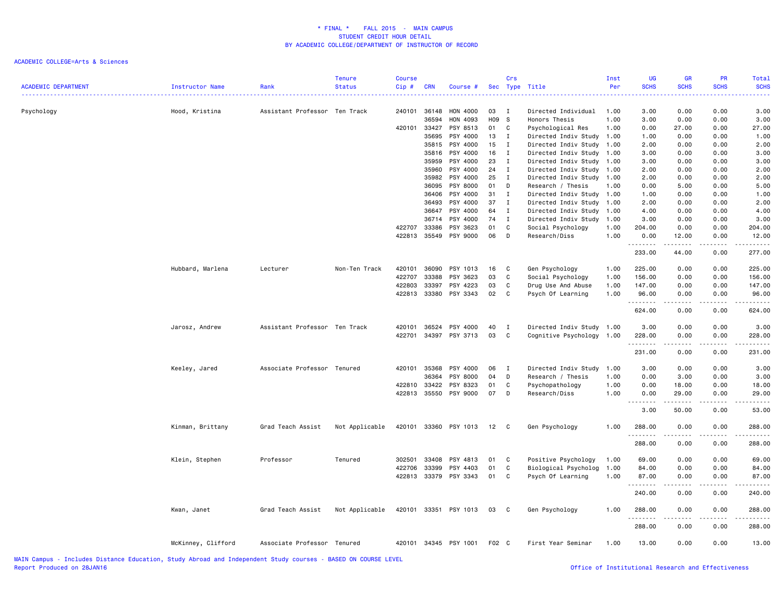| <b>ACADEMIC DEPARTMENT</b> | Instructor Name    | Rank                          | <b>Tenure</b><br><b>Status</b> | <b>Course</b><br>Cip# | <b>CRN</b>     | Course #              |          | Crs                          | Sec Type Title                               | Inst<br>Per  | UG<br><b>SCHS</b> | GR<br><b>SCHS</b>                           | PR<br><b>SCHS</b> | <b>Total</b><br><b>SCHS</b> |
|----------------------------|--------------------|-------------------------------|--------------------------------|-----------------------|----------------|-----------------------|----------|------------------------------|----------------------------------------------|--------------|-------------------|---------------------------------------------|-------------------|-----------------------------|
| Psychology                 | Hood, Kristina     | Assistant Professor Ten Track |                                | 240101                | 36148          | HON 4000              | 03       | $\mathbf{I}$                 | Directed Individual                          | 1.00         | 3.00              | 0.00                                        | 0.00              | 3.00                        |
|                            |                    |                               |                                |                       | 36594          | HON 4093              | H09      | <b>S</b>                     | Honors Thesis                                | 1.00         | 3.00              | 0.00                                        | 0.00              | 3.00                        |
|                            |                    |                               |                                | 420101                | 33427          | PSY 8513              | 01       | $\mathbf{C}$                 | Psychological Res                            | 1.00         | 0.00              | 27.00                                       | 0.00              | 27.00                       |
|                            |                    |                               |                                |                       | 35695<br>35815 | PSY 4000<br>PSY 4000  | 13<br>15 | $\mathbf{I}$<br>$\mathbf{I}$ | Directed Indiv Study<br>Directed Indiv Study | 1.00<br>1.00 | 1.00<br>2.00      | 0.00<br>0.00                                | 0.00<br>0.00      | 1.00<br>2.00                |
|                            |                    |                               |                                |                       | 35816          | PSY 4000              | 16       | $\mathbf I$                  |                                              | 1.00         | 3.00              | 0.00                                        | 0.00              | 3.00                        |
|                            |                    |                               |                                |                       | 35959          | PSY 4000              | 23       | $\mathbf{I}$                 | Directed Indiv Study<br>Directed Indiv Study | 1.00         | 3.00              | 0.00                                        | 0.00              | 3.00                        |
|                            |                    |                               |                                |                       | 35960          | PSY 4000              | 24       | $\mathbf{I}$                 | Directed Indiv Study                         | 1.00         | 2.00              | 0.00                                        | 0.00              | 2.00                        |
|                            |                    |                               |                                |                       | 35982          | PSY 4000              | 25       | $\mathbf{I}$                 | Directed Indiv Study                         | 1.00         | 2.00              | 0.00                                        | 0.00              | 2.00                        |
|                            |                    |                               |                                |                       | 36095          | PSY 8000              | 01       | D                            | Research / Thesis                            | 1.00         | 0.00              | 5.00                                        | 0.00              | 5.00                        |
|                            |                    |                               |                                |                       | 36406          | PSY 4000              | 31       | $\mathbf{I}$                 | Directed Indiv Study                         | 1.00         | 1.00              | 0.00                                        | 0.00              | 1.00                        |
|                            |                    |                               |                                |                       | 36493          | PSY 4000              | 37       | I                            | Directed Indiv Study 1.00                    |              | 2.00              | 0.00                                        | 0.00              | 2.00                        |
|                            |                    |                               |                                |                       | 36647          | PSY 4000              | 64       | $\mathbf I$                  | Directed Indiv Study                         | 1.00         | 4.00              | 0.00                                        | 0.00              | 4.00                        |
|                            |                    |                               |                                |                       | 36714          | PSY 4000              | 74       | $\mathbf{I}$                 | Directed Indiv Study                         | 1.00         | 3.00              | 0.00                                        | 0.00              | 3.00                        |
|                            |                    |                               |                                | 422707                | 33386          | PSY 3623              | 01       | C                            | Social Psychology                            | 1.00         | 204.00            | 0.00                                        | 0.00              | 204.00                      |
|                            |                    |                               |                                | 422813                | 35549          | PSY 9000              | 06       | D                            | Research/Diss                                | 1.00         | 0.00              | 12.00                                       | 0.00              | 12.00                       |
|                            |                    |                               |                                |                       |                |                       |          |                              |                                              |              | .                 |                                             | .                 | .                           |
|                            |                    |                               |                                |                       |                |                       |          |                              |                                              |              | 233.00            | 44.00                                       | 0.00              | 277.00                      |
|                            | Hubbard, Marlena   | Lecturer                      | Non-Ten Track                  | 420101                | 36090          | PSY 1013              | 16       | C                            | Gen Psychology                               | 1.00         | 225.00            | 0.00                                        | 0.00              | 225.00                      |
|                            |                    |                               |                                | 422707                | 33388          | PSY 3623              | 03       | $\mathtt{C}$                 | Social Psychology                            | 1.00         | 156.00            | 0.00                                        | 0.00              | 156.00                      |
|                            |                    |                               |                                | 422803                | 33397          | PSY 4223              | 03       | C                            | Drug Use And Abuse                           | 1.00         | 147.00            | 0.00                                        | 0.00              | 147.00                      |
|                            |                    |                               |                                | 422813                | 33380          | PSY 3343              | 02       | C                            | Psych Of Learning                            | 1.00         | 96.00             | 0.00                                        | 0.00              | 96.00                       |
|                            |                    |                               |                                |                       |                |                       |          |                              |                                              |              | .<br>624.00       | .<br>0.00                                   | .<br>0.00         | .<br>624.00                 |
|                            | Jarosz, Andrew     | Assistant Professor Ten Track |                                | 420101                | 36524          | PSY 4000              | 40       | I                            | Directed Indiv Study 1.00                    |              | 3.00              | 0.00                                        | 0.00              | 3.00                        |
|                            |                    |                               |                                | 422701                |                | 34397 PSY 3713        | 03       | C                            | Cognitive Psychology                         | 1.00         | 228.00            | 0.00                                        | 0.00              | 228.00                      |
|                            |                    |                               |                                |                       |                |                       |          |                              |                                              |              | .                 | $\sim$ $\sim$ $\sim$ $\sim$                 | .                 | .                           |
|                            |                    |                               |                                |                       |                |                       |          |                              |                                              |              | 231.00            | 0.00                                        | 0.00              | 231.00                      |
|                            | Keeley, Jared      | Associate Professor Tenured   |                                | 420101                | 35368          | PSY 4000              | 06       | I                            | Directed Indiv Study                         | 1.00         | 3.00              | 0.00                                        | 0.00              | 3.00                        |
|                            |                    |                               |                                |                       | 36364          | PSY 8000              | 04       | D                            | Research / Thesis                            | 1.00         | 0.00              | 3.00                                        | 0.00              | 3.00                        |
|                            |                    |                               |                                | 422810                | 33422          | PSY 8323              | 01       | C                            | Psychopathology                              | 1.00         | 0.00              | 18.00                                       | 0.00              | 18.00                       |
|                            |                    |                               |                                | 422813                | 35550          | PSY 9000              | 07       | D                            | Research/Diss                                | 1.00         | 0.00              | 29.00                                       | 0.00              | 29.00                       |
|                            |                    |                               |                                |                       |                |                       |          |                              |                                              |              | .<br>3.00         | $\sim$ $\sim$ $\sim$ $\sim$ $\sim$<br>50.00 | د د د د<br>0.00   | الدامات<br>53.00            |
|                            | Kinman, Brittany   | Grad Teach Assist             | Not Applicable                 | 420101                |                | 33360 PSY 1013        | 12       | $\mathbf{C}$                 | Gen Psychology                               | 1.00         | 288.00            | 0.00                                        | 0.00              | 288.00                      |
|                            |                    |                               |                                |                       |                |                       |          |                              |                                              |              | .                 | $- - - -$                                   | .                 | .                           |
|                            |                    |                               |                                |                       |                |                       |          |                              |                                              |              | 288.00            | 0.00                                        | 0.00              | 288.00                      |
|                            | Klein, Stephen     | Professor                     | Tenured                        | 302501                | 33408          | PSY 4813              | 01       | C                            | Positive Psychology                          | 1.00         | 69.00             | 0.00                                        | 0.00              | 69.00                       |
|                            |                    |                               |                                | 422706                | 33399          | PSY 4403              | 01       | C                            | Biological Psycholog                         | 1.00         | 84.00             | 0.00                                        | 0.00              | 84.00                       |
|                            |                    |                               |                                |                       |                | 422813 33379 PSY 3343 | 01       | C                            | Psych Of Learning                            | 1.00         | 87.00             | 0.00                                        | 0.00              | 87.00                       |
|                            |                    |                               |                                |                       |                |                       |          |                              |                                              |              | .<br>240.00       | .<br>0.00                                   | .<br>0.00         | .<br>240.00                 |
|                            | Kwan, Janet        | Grad Teach Assist             | Not Applicable                 |                       |                | 420101 33351 PSY 1013 | 03       | C <sub>c</sub>               | Gen Psychology                               | 1.00         | 288.00            | 0.00                                        | 0.00              | 288.00                      |
|                            |                    |                               |                                |                       |                |                       |          |                              |                                              |              | .<br>288.00       | .<br>0.00                                   | .<br>0.00         | .<br>288.00                 |
|                            | McKinney, Clifford | Associate Professor Tenured   |                                |                       |                | 420101 34345 PSY 1001 | F02 C    |                              | First Year Seminar                           | 1.00         | 13.00             | 0.00                                        | 0.00              | 13.00                       |
|                            |                    |                               |                                |                       |                |                       |          |                              |                                              |              |                   |                                             |                   |                             |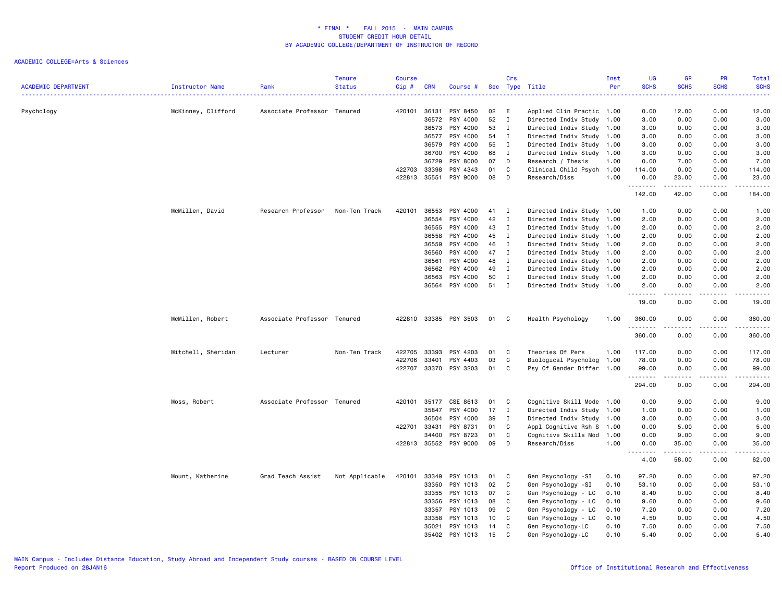| Psychology<br>McKinney, Clifford<br>Associate Professor Tenured<br>420101<br>36131<br>PSY 8450<br>02<br>E<br>Applied Clin Practic 1.00<br>0.00<br>12.00<br>0.00<br>12.00<br>PSY 4000<br>52<br>$\mathbf{I}$<br>Directed Indiv Study 1.00<br>0.00<br>0.00<br>3.00<br>36572<br>3.00<br>36573<br>PSY 4000<br>53<br>Directed Indiv Study 1.00<br>3.00<br>0.00<br>0.00<br>3.00<br>$\mathbf{I}$<br>36577<br>PSY 4000<br>54<br>$\mathbf{I}$<br>Directed Indiv Study 1.00<br>0.00<br>0.00<br>3.00<br>3.00<br>PSY 4000<br>55<br>$\mathbf{I}$<br>Directed Indiv Study 1.00<br>3.00<br>0.00<br>0.00<br>3.00<br>36579<br>36700<br>PSY 4000<br>68<br>$\mathbf I$<br>Directed Indiv Study 1.00<br>3.00<br>0.00<br>3.00<br>0.00<br>36729<br>PSY 8000<br>07<br>D<br>Research / Thesis<br>1.00<br>0.00<br>7.00<br>0.00<br>7.00<br>422703<br>33398<br>PSY 4343<br>01<br>C<br>Clinical Child Psych 1.00<br>114.00<br>0.00<br>0.00<br>114.00<br>35551<br>PSY 9000<br>422813<br>08<br>D<br>Research/Diss<br>1.00<br>0.00<br>23.00<br>0.00<br>23.00<br><b></b><br>.<br>.<br>.<br>42.00<br>142.00<br>0.00<br>184.00<br>McMillen, David<br>Research Professor<br>Non-Ten Track<br>420101<br>36553<br>PSY 4000<br>41<br>$\mathbf{I}$<br>Directed Indiv Study 1.00<br>1.00<br>0.00<br>0.00<br>1.00<br>36554<br>PSY 4000<br>42<br>$\mathbf{I}$<br>Directed Indiv Study 1.00<br>2.00<br>0.00<br>0.00<br>2.00<br>PSY 4000<br>36555<br>43<br>$\mathbf{I}$<br>Directed Indiv Study 1.00<br>2.00<br>0.00<br>2.00<br>0.00<br>PSY 4000<br>45<br>36558<br>$\mathbf{I}$<br>Directed Indiv Study 1.00<br>2.00<br>0.00<br>0.00<br>2.00<br>PSY 4000<br>46<br>36559<br>$\mathbf{I}$<br>Directed Indiv Study 1.00<br>2.00<br>0.00<br>0.00<br>2.00<br>36560<br>PSY 4000<br>47<br>2.00<br>$\mathbf{I}$<br>Directed Indiv Study 1.00<br>2.00<br>0.00<br>0.00<br>PSY 4000<br>48<br>$\mathbf{I}$<br>36561<br>Directed Indiv Study 1.00<br>2.00<br>0.00<br>0.00<br>2.00<br>PSY 4000<br>49<br>$\mathbf{I}$<br>Directed Indiv Study 1.00<br>0.00<br>36562<br>2.00<br>0.00<br>2.00<br>PSY 4000<br>50<br>Directed Indiv Study 1.00<br>2.00<br>2.00<br>36563<br>$\mathbf{I}$<br>0.00<br>0.00<br>PSY 4000<br>51 I<br>36564<br>Directed Indiv Study 1.00<br>2.00<br>0.00<br>0.00<br>2.00<br>$\sim$ $\sim$ $\sim$<br>-----<br>19.00<br>0.00<br>0.00<br>19.00<br>McMillen, Robert<br>422810 33385 PSY 3503<br>Associate Professor Tenured<br>01<br>C<br>Health Psychology<br>1.00<br>360.00<br>0.00<br>0.00<br>360.00<br>.<br><u>.</u><br>$- - - -$<br>360.00<br>0.00<br>0.00<br>360.00<br>Mitchell, Sheridan<br>Non-Ten Track<br>422705<br>33393<br>PSY 4203<br>C<br>Theories Of Pers<br>1.00<br>117.00<br>0.00<br>0.00<br>117.00<br>Lecturer<br>01<br>422706<br>03<br>C<br>Biological Psycholog<br>1.00<br>78.00<br>0.00<br>0.00<br>78.00<br>33401<br>PSY 4403<br>422707<br>33370<br>PSY 3203<br>01<br>C<br>Psy Of Gender Differ<br>99.00<br>0.00<br>0.00<br>99.00<br>1.00<br>.<br>$\frac{1}{2} \left( \frac{1}{2} \right) \left( \frac{1}{2} \right) \left( \frac{1}{2} \right) \left( \frac{1}{2} \right) \left( \frac{1}{2} \right) \left( \frac{1}{2} \right)$<br>$\frac{1}{2} \left( \frac{1}{2} \right) \left( \frac{1}{2} \right) \left( \frac{1}{2} \right) \left( \frac{1}{2} \right)$<br>.<br>0.00<br>294.00<br>0.00<br>294.00<br>Associate Professor Tenured<br>35177<br>CSE 8613<br>Cognitive Skill Mode 1.00<br>0.00<br>9.00<br>0.00<br>9.00<br>Moss, Robert<br>420101<br>01<br>C<br>PSY 4000<br>17<br>Directed Indiv Study<br>35847<br>I<br>1.00<br>1.00<br>0.00<br>0.00<br>1.00<br>39<br>36504<br>PSY 4000<br>$\mathbf{I}$<br>Directed Indiv Study 1.00<br>3.00<br>0.00<br>0.00<br>3.00<br>422701<br>33431<br>PSY 8731<br>01<br>C<br>Appl Cognitive Rsh S 1.00<br>0.00<br>5.00<br>0.00<br>5.00<br>PSY 8723<br>34400<br>01<br>C<br>Cognitive Skills Mod<br>1.00<br>0.00<br>9.00<br>0.00<br>9.00<br>D<br>422813<br>35552<br>PSY 9000<br>09<br>Research/Diss<br>1.00<br>0.00<br>35.00<br>0.00<br>35.00<br>المتمالين<br>.<br>$\sim$ $\sim$ $\sim$ $\sim$<br>$\frac{1}{2} \left( \frac{1}{2} \right) \left( \frac{1}{2} \right) \left( \frac{1}{2} \right) \left( \frac{1}{2} \right) \left( \frac{1}{2} \right)$<br>$\sim$ $\sim$ .<br>4.00<br>58.00<br>0.00<br>62.00<br>97.20<br>Mount, Katherine<br>Grad Teach Assist<br>Not Applicable<br>420101<br>33349<br>PSY 1013<br>01<br>C<br>Gen Psychology -SI<br>0.10<br>97.20<br>0.00<br>0.00<br>33350<br>PSY 1013<br>02<br>C<br>Gen Psychology -SI<br>53.10<br>0.00<br>0.00<br>53.10<br>0.10<br>PSY 1013<br>07<br>C<br>Gen Psychology - LC<br>33355<br>0.10<br>8.40<br>0.00<br>0.00<br>8.40<br>33356<br>PSY 1013<br>08<br>Gen Psychology - LC<br>C<br>0.10<br>9.60<br>0.00<br>0.00<br>9.60<br>PSY 1013<br>33357<br>09<br>C<br>Gen Psychology - LC<br>7.20<br>0.00<br>0.00<br>7.20<br>0.10<br>PSY 1013<br>10<br>C<br>Gen Psychology - LC<br>4.50<br>0.00<br>0.00<br>4.50<br>33358<br>0.10<br>PSY 1013<br>35021<br>14<br>C<br>Gen Psychology-LC<br>0.10<br>7.50<br>0.00<br>0.00<br>7.50<br>35402<br>PSY 1013<br>15<br>C<br>Gen Psychology-LC<br>0.10<br>5.40<br>0.00<br>0.00<br>5.40 | <b>ACADEMIC DEPARTMENT</b> | Instructor Name | Rank | Tenure<br><b>Status</b> | <b>Course</b><br>$Cip$ # | <b>CRN</b> | Course # | Crs | Sec Type Title | Inst<br>Per | UG<br><b>SCHS</b> | GR<br><b>SCHS</b> | PR<br><b>SCHS</b> | Total<br><b>SCHS</b> |
|--------------------------------------------------------------------------------------------------------------------------------------------------------------------------------------------------------------------------------------------------------------------------------------------------------------------------------------------------------------------------------------------------------------------------------------------------------------------------------------------------------------------------------------------------------------------------------------------------------------------------------------------------------------------------------------------------------------------------------------------------------------------------------------------------------------------------------------------------------------------------------------------------------------------------------------------------------------------------------------------------------------------------------------------------------------------------------------------------------------------------------------------------------------------------------------------------------------------------------------------------------------------------------------------------------------------------------------------------------------------------------------------------------------------------------------------------------------------------------------------------------------------------------------------------------------------------------------------------------------------------------------------------------------------------------------------------------------------------------------------------------------------------------------------------------------------------------------------------------------------------------------------------------------------------------------------------------------------------------------------------------------------------------------------------------------------------------------------------------------------------------------------------------------------------------------------------------------------------------------------------------------------------------------------------------------------------------------------------------------------------------------------------------------------------------------------------------------------------------------------------------------------------------------------------------------------------------------------------------------------------------------------------------------------------------------------------------------------------------------------------------------------------------------------------------------------------------------------------------------------------------------------------------------------------------------------------------------------------------------------------------------------------------------------------------------------------------------------------------------------------------------------------------------------------------------------------------------------------------------------------------------------------------------------------------------------------------------------------------------------------------------------------------------------------------------------------------------------------------------------------------------------------------------------------------------------------------------------------------------------------------------------------------------------------------------------------------------------------------------------------------------------------------------------------------------------------------------------------------------------------------------------------------------------------------------------------------------------------------------------------------------------------------------------------------------------------------------------------------------------------------------------------------------------------------------------------------------------------------------------------------------------------------------------------------------------------------------------------------------------------------------------------------------------------------------------------------------------------------------------------------------------------------------------------------------------------------------------------------------------------------------------------------------------------------------------------------------------------------------------------------------------------------------------------------------------------------------------------------------------------------------------------------------------------------------------------------------------------------------------------------------------------------------------------------------------------------------|----------------------------|-----------------|------|-------------------------|--------------------------|------------|----------|-----|----------------|-------------|-------------------|-------------------|-------------------|----------------------|
|                                                                                                                                                                                                                                                                                                                                                                                                                                                                                                                                                                                                                                                                                                                                                                                                                                                                                                                                                                                                                                                                                                                                                                                                                                                                                                                                                                                                                                                                                                                                                                                                                                                                                                                                                                                                                                                                                                                                                                                                                                                                                                                                                                                                                                                                                                                                                                                                                                                                                                                                                                                                                                                                                                                                                                                                                                                                                                                                                                                                                                                                                                                                                                                                                                                                                                                                                                                                                                                                                                                                                                                                                                                                                                                                                                                                                                                                                                                                                                                                                                                                                                                                                                                                                                                                                                                                                                                                                                                                                                                                                                                                                                                                                                                                                                                                                                                                                                                                                                                                                                                                                      |                            |                 |      |                         |                          |            |          |     |                |             | .                 |                   | $- - - - -$       | .                    |
|                                                                                                                                                                                                                                                                                                                                                                                                                                                                                                                                                                                                                                                                                                                                                                                                                                                                                                                                                                                                                                                                                                                                                                                                                                                                                                                                                                                                                                                                                                                                                                                                                                                                                                                                                                                                                                                                                                                                                                                                                                                                                                                                                                                                                                                                                                                                                                                                                                                                                                                                                                                                                                                                                                                                                                                                                                                                                                                                                                                                                                                                                                                                                                                                                                                                                                                                                                                                                                                                                                                                                                                                                                                                                                                                                                                                                                                                                                                                                                                                                                                                                                                                                                                                                                                                                                                                                                                                                                                                                                                                                                                                                                                                                                                                                                                                                                                                                                                                                                                                                                                                                      |                            |                 |      |                         |                          |            |          |     |                |             |                   |                   |                   |                      |
|                                                                                                                                                                                                                                                                                                                                                                                                                                                                                                                                                                                                                                                                                                                                                                                                                                                                                                                                                                                                                                                                                                                                                                                                                                                                                                                                                                                                                                                                                                                                                                                                                                                                                                                                                                                                                                                                                                                                                                                                                                                                                                                                                                                                                                                                                                                                                                                                                                                                                                                                                                                                                                                                                                                                                                                                                                                                                                                                                                                                                                                                                                                                                                                                                                                                                                                                                                                                                                                                                                                                                                                                                                                                                                                                                                                                                                                                                                                                                                                                                                                                                                                                                                                                                                                                                                                                                                                                                                                                                                                                                                                                                                                                                                                                                                                                                                                                                                                                                                                                                                                                                      |                            |                 |      |                         |                          |            |          |     |                |             |                   |                   |                   |                      |
|                                                                                                                                                                                                                                                                                                                                                                                                                                                                                                                                                                                                                                                                                                                                                                                                                                                                                                                                                                                                                                                                                                                                                                                                                                                                                                                                                                                                                                                                                                                                                                                                                                                                                                                                                                                                                                                                                                                                                                                                                                                                                                                                                                                                                                                                                                                                                                                                                                                                                                                                                                                                                                                                                                                                                                                                                                                                                                                                                                                                                                                                                                                                                                                                                                                                                                                                                                                                                                                                                                                                                                                                                                                                                                                                                                                                                                                                                                                                                                                                                                                                                                                                                                                                                                                                                                                                                                                                                                                                                                                                                                                                                                                                                                                                                                                                                                                                                                                                                                                                                                                                                      |                            |                 |      |                         |                          |            |          |     |                |             |                   |                   |                   |                      |
|                                                                                                                                                                                                                                                                                                                                                                                                                                                                                                                                                                                                                                                                                                                                                                                                                                                                                                                                                                                                                                                                                                                                                                                                                                                                                                                                                                                                                                                                                                                                                                                                                                                                                                                                                                                                                                                                                                                                                                                                                                                                                                                                                                                                                                                                                                                                                                                                                                                                                                                                                                                                                                                                                                                                                                                                                                                                                                                                                                                                                                                                                                                                                                                                                                                                                                                                                                                                                                                                                                                                                                                                                                                                                                                                                                                                                                                                                                                                                                                                                                                                                                                                                                                                                                                                                                                                                                                                                                                                                                                                                                                                                                                                                                                                                                                                                                                                                                                                                                                                                                                                                      |                            |                 |      |                         |                          |            |          |     |                |             |                   |                   |                   |                      |
|                                                                                                                                                                                                                                                                                                                                                                                                                                                                                                                                                                                                                                                                                                                                                                                                                                                                                                                                                                                                                                                                                                                                                                                                                                                                                                                                                                                                                                                                                                                                                                                                                                                                                                                                                                                                                                                                                                                                                                                                                                                                                                                                                                                                                                                                                                                                                                                                                                                                                                                                                                                                                                                                                                                                                                                                                                                                                                                                                                                                                                                                                                                                                                                                                                                                                                                                                                                                                                                                                                                                                                                                                                                                                                                                                                                                                                                                                                                                                                                                                                                                                                                                                                                                                                                                                                                                                                                                                                                                                                                                                                                                                                                                                                                                                                                                                                                                                                                                                                                                                                                                                      |                            |                 |      |                         |                          |            |          |     |                |             |                   |                   |                   |                      |
|                                                                                                                                                                                                                                                                                                                                                                                                                                                                                                                                                                                                                                                                                                                                                                                                                                                                                                                                                                                                                                                                                                                                                                                                                                                                                                                                                                                                                                                                                                                                                                                                                                                                                                                                                                                                                                                                                                                                                                                                                                                                                                                                                                                                                                                                                                                                                                                                                                                                                                                                                                                                                                                                                                                                                                                                                                                                                                                                                                                                                                                                                                                                                                                                                                                                                                                                                                                                                                                                                                                                                                                                                                                                                                                                                                                                                                                                                                                                                                                                                                                                                                                                                                                                                                                                                                                                                                                                                                                                                                                                                                                                                                                                                                                                                                                                                                                                                                                                                                                                                                                                                      |                            |                 |      |                         |                          |            |          |     |                |             |                   |                   |                   |                      |
|                                                                                                                                                                                                                                                                                                                                                                                                                                                                                                                                                                                                                                                                                                                                                                                                                                                                                                                                                                                                                                                                                                                                                                                                                                                                                                                                                                                                                                                                                                                                                                                                                                                                                                                                                                                                                                                                                                                                                                                                                                                                                                                                                                                                                                                                                                                                                                                                                                                                                                                                                                                                                                                                                                                                                                                                                                                                                                                                                                                                                                                                                                                                                                                                                                                                                                                                                                                                                                                                                                                                                                                                                                                                                                                                                                                                                                                                                                                                                                                                                                                                                                                                                                                                                                                                                                                                                                                                                                                                                                                                                                                                                                                                                                                                                                                                                                                                                                                                                                                                                                                                                      |                            |                 |      |                         |                          |            |          |     |                |             |                   |                   |                   |                      |
|                                                                                                                                                                                                                                                                                                                                                                                                                                                                                                                                                                                                                                                                                                                                                                                                                                                                                                                                                                                                                                                                                                                                                                                                                                                                                                                                                                                                                                                                                                                                                                                                                                                                                                                                                                                                                                                                                                                                                                                                                                                                                                                                                                                                                                                                                                                                                                                                                                                                                                                                                                                                                                                                                                                                                                                                                                                                                                                                                                                                                                                                                                                                                                                                                                                                                                                                                                                                                                                                                                                                                                                                                                                                                                                                                                                                                                                                                                                                                                                                                                                                                                                                                                                                                                                                                                                                                                                                                                                                                                                                                                                                                                                                                                                                                                                                                                                                                                                                                                                                                                                                                      |                            |                 |      |                         |                          |            |          |     |                |             |                   |                   |                   |                      |
|                                                                                                                                                                                                                                                                                                                                                                                                                                                                                                                                                                                                                                                                                                                                                                                                                                                                                                                                                                                                                                                                                                                                                                                                                                                                                                                                                                                                                                                                                                                                                                                                                                                                                                                                                                                                                                                                                                                                                                                                                                                                                                                                                                                                                                                                                                                                                                                                                                                                                                                                                                                                                                                                                                                                                                                                                                                                                                                                                                                                                                                                                                                                                                                                                                                                                                                                                                                                                                                                                                                                                                                                                                                                                                                                                                                                                                                                                                                                                                                                                                                                                                                                                                                                                                                                                                                                                                                                                                                                                                                                                                                                                                                                                                                                                                                                                                                                                                                                                                                                                                                                                      |                            |                 |      |                         |                          |            |          |     |                |             |                   |                   |                   |                      |
|                                                                                                                                                                                                                                                                                                                                                                                                                                                                                                                                                                                                                                                                                                                                                                                                                                                                                                                                                                                                                                                                                                                                                                                                                                                                                                                                                                                                                                                                                                                                                                                                                                                                                                                                                                                                                                                                                                                                                                                                                                                                                                                                                                                                                                                                                                                                                                                                                                                                                                                                                                                                                                                                                                                                                                                                                                                                                                                                                                                                                                                                                                                                                                                                                                                                                                                                                                                                                                                                                                                                                                                                                                                                                                                                                                                                                                                                                                                                                                                                                                                                                                                                                                                                                                                                                                                                                                                                                                                                                                                                                                                                                                                                                                                                                                                                                                                                                                                                                                                                                                                                                      |                            |                 |      |                         |                          |            |          |     |                |             |                   |                   |                   |                      |
|                                                                                                                                                                                                                                                                                                                                                                                                                                                                                                                                                                                                                                                                                                                                                                                                                                                                                                                                                                                                                                                                                                                                                                                                                                                                                                                                                                                                                                                                                                                                                                                                                                                                                                                                                                                                                                                                                                                                                                                                                                                                                                                                                                                                                                                                                                                                                                                                                                                                                                                                                                                                                                                                                                                                                                                                                                                                                                                                                                                                                                                                                                                                                                                                                                                                                                                                                                                                                                                                                                                                                                                                                                                                                                                                                                                                                                                                                                                                                                                                                                                                                                                                                                                                                                                                                                                                                                                                                                                                                                                                                                                                                                                                                                                                                                                                                                                                                                                                                                                                                                                                                      |                            |                 |      |                         |                          |            |          |     |                |             |                   |                   |                   |                      |
|                                                                                                                                                                                                                                                                                                                                                                                                                                                                                                                                                                                                                                                                                                                                                                                                                                                                                                                                                                                                                                                                                                                                                                                                                                                                                                                                                                                                                                                                                                                                                                                                                                                                                                                                                                                                                                                                                                                                                                                                                                                                                                                                                                                                                                                                                                                                                                                                                                                                                                                                                                                                                                                                                                                                                                                                                                                                                                                                                                                                                                                                                                                                                                                                                                                                                                                                                                                                                                                                                                                                                                                                                                                                                                                                                                                                                                                                                                                                                                                                                                                                                                                                                                                                                                                                                                                                                                                                                                                                                                                                                                                                                                                                                                                                                                                                                                                                                                                                                                                                                                                                                      |                            |                 |      |                         |                          |            |          |     |                |             |                   |                   |                   |                      |
|                                                                                                                                                                                                                                                                                                                                                                                                                                                                                                                                                                                                                                                                                                                                                                                                                                                                                                                                                                                                                                                                                                                                                                                                                                                                                                                                                                                                                                                                                                                                                                                                                                                                                                                                                                                                                                                                                                                                                                                                                                                                                                                                                                                                                                                                                                                                                                                                                                                                                                                                                                                                                                                                                                                                                                                                                                                                                                                                                                                                                                                                                                                                                                                                                                                                                                                                                                                                                                                                                                                                                                                                                                                                                                                                                                                                                                                                                                                                                                                                                                                                                                                                                                                                                                                                                                                                                                                                                                                                                                                                                                                                                                                                                                                                                                                                                                                                                                                                                                                                                                                                                      |                            |                 |      |                         |                          |            |          |     |                |             |                   |                   |                   |                      |
|                                                                                                                                                                                                                                                                                                                                                                                                                                                                                                                                                                                                                                                                                                                                                                                                                                                                                                                                                                                                                                                                                                                                                                                                                                                                                                                                                                                                                                                                                                                                                                                                                                                                                                                                                                                                                                                                                                                                                                                                                                                                                                                                                                                                                                                                                                                                                                                                                                                                                                                                                                                                                                                                                                                                                                                                                                                                                                                                                                                                                                                                                                                                                                                                                                                                                                                                                                                                                                                                                                                                                                                                                                                                                                                                                                                                                                                                                                                                                                                                                                                                                                                                                                                                                                                                                                                                                                                                                                                                                                                                                                                                                                                                                                                                                                                                                                                                                                                                                                                                                                                                                      |                            |                 |      |                         |                          |            |          |     |                |             |                   |                   |                   |                      |
|                                                                                                                                                                                                                                                                                                                                                                                                                                                                                                                                                                                                                                                                                                                                                                                                                                                                                                                                                                                                                                                                                                                                                                                                                                                                                                                                                                                                                                                                                                                                                                                                                                                                                                                                                                                                                                                                                                                                                                                                                                                                                                                                                                                                                                                                                                                                                                                                                                                                                                                                                                                                                                                                                                                                                                                                                                                                                                                                                                                                                                                                                                                                                                                                                                                                                                                                                                                                                                                                                                                                                                                                                                                                                                                                                                                                                                                                                                                                                                                                                                                                                                                                                                                                                                                                                                                                                                                                                                                                                                                                                                                                                                                                                                                                                                                                                                                                                                                                                                                                                                                                                      |                            |                 |      |                         |                          |            |          |     |                |             |                   |                   |                   |                      |
|                                                                                                                                                                                                                                                                                                                                                                                                                                                                                                                                                                                                                                                                                                                                                                                                                                                                                                                                                                                                                                                                                                                                                                                                                                                                                                                                                                                                                                                                                                                                                                                                                                                                                                                                                                                                                                                                                                                                                                                                                                                                                                                                                                                                                                                                                                                                                                                                                                                                                                                                                                                                                                                                                                                                                                                                                                                                                                                                                                                                                                                                                                                                                                                                                                                                                                                                                                                                                                                                                                                                                                                                                                                                                                                                                                                                                                                                                                                                                                                                                                                                                                                                                                                                                                                                                                                                                                                                                                                                                                                                                                                                                                                                                                                                                                                                                                                                                                                                                                                                                                                                                      |                            |                 |      |                         |                          |            |          |     |                |             |                   |                   |                   |                      |
|                                                                                                                                                                                                                                                                                                                                                                                                                                                                                                                                                                                                                                                                                                                                                                                                                                                                                                                                                                                                                                                                                                                                                                                                                                                                                                                                                                                                                                                                                                                                                                                                                                                                                                                                                                                                                                                                                                                                                                                                                                                                                                                                                                                                                                                                                                                                                                                                                                                                                                                                                                                                                                                                                                                                                                                                                                                                                                                                                                                                                                                                                                                                                                                                                                                                                                                                                                                                                                                                                                                                                                                                                                                                                                                                                                                                                                                                                                                                                                                                                                                                                                                                                                                                                                                                                                                                                                                                                                                                                                                                                                                                                                                                                                                                                                                                                                                                                                                                                                                                                                                                                      |                            |                 |      |                         |                          |            |          |     |                |             |                   |                   |                   |                      |
|                                                                                                                                                                                                                                                                                                                                                                                                                                                                                                                                                                                                                                                                                                                                                                                                                                                                                                                                                                                                                                                                                                                                                                                                                                                                                                                                                                                                                                                                                                                                                                                                                                                                                                                                                                                                                                                                                                                                                                                                                                                                                                                                                                                                                                                                                                                                                                                                                                                                                                                                                                                                                                                                                                                                                                                                                                                                                                                                                                                                                                                                                                                                                                                                                                                                                                                                                                                                                                                                                                                                                                                                                                                                                                                                                                                                                                                                                                                                                                                                                                                                                                                                                                                                                                                                                                                                                                                                                                                                                                                                                                                                                                                                                                                                                                                                                                                                                                                                                                                                                                                                                      |                            |                 |      |                         |                          |            |          |     |                |             |                   |                   |                   |                      |
|                                                                                                                                                                                                                                                                                                                                                                                                                                                                                                                                                                                                                                                                                                                                                                                                                                                                                                                                                                                                                                                                                                                                                                                                                                                                                                                                                                                                                                                                                                                                                                                                                                                                                                                                                                                                                                                                                                                                                                                                                                                                                                                                                                                                                                                                                                                                                                                                                                                                                                                                                                                                                                                                                                                                                                                                                                                                                                                                                                                                                                                                                                                                                                                                                                                                                                                                                                                                                                                                                                                                                                                                                                                                                                                                                                                                                                                                                                                                                                                                                                                                                                                                                                                                                                                                                                                                                                                                                                                                                                                                                                                                                                                                                                                                                                                                                                                                                                                                                                                                                                                                                      |                            |                 |      |                         |                          |            |          |     |                |             |                   |                   |                   |                      |
|                                                                                                                                                                                                                                                                                                                                                                                                                                                                                                                                                                                                                                                                                                                                                                                                                                                                                                                                                                                                                                                                                                                                                                                                                                                                                                                                                                                                                                                                                                                                                                                                                                                                                                                                                                                                                                                                                                                                                                                                                                                                                                                                                                                                                                                                                                                                                                                                                                                                                                                                                                                                                                                                                                                                                                                                                                                                                                                                                                                                                                                                                                                                                                                                                                                                                                                                                                                                                                                                                                                                                                                                                                                                                                                                                                                                                                                                                                                                                                                                                                                                                                                                                                                                                                                                                                                                                                                                                                                                                                                                                                                                                                                                                                                                                                                                                                                                                                                                                                                                                                                                                      |                            |                 |      |                         |                          |            |          |     |                |             |                   |                   |                   |                      |
|                                                                                                                                                                                                                                                                                                                                                                                                                                                                                                                                                                                                                                                                                                                                                                                                                                                                                                                                                                                                                                                                                                                                                                                                                                                                                                                                                                                                                                                                                                                                                                                                                                                                                                                                                                                                                                                                                                                                                                                                                                                                                                                                                                                                                                                                                                                                                                                                                                                                                                                                                                                                                                                                                                                                                                                                                                                                                                                                                                                                                                                                                                                                                                                                                                                                                                                                                                                                                                                                                                                                                                                                                                                                                                                                                                                                                                                                                                                                                                                                                                                                                                                                                                                                                                                                                                                                                                                                                                                                                                                                                                                                                                                                                                                                                                                                                                                                                                                                                                                                                                                                                      |                            |                 |      |                         |                          |            |          |     |                |             |                   |                   |                   |                      |
|                                                                                                                                                                                                                                                                                                                                                                                                                                                                                                                                                                                                                                                                                                                                                                                                                                                                                                                                                                                                                                                                                                                                                                                                                                                                                                                                                                                                                                                                                                                                                                                                                                                                                                                                                                                                                                                                                                                                                                                                                                                                                                                                                                                                                                                                                                                                                                                                                                                                                                                                                                                                                                                                                                                                                                                                                                                                                                                                                                                                                                                                                                                                                                                                                                                                                                                                                                                                                                                                                                                                                                                                                                                                                                                                                                                                                                                                                                                                                                                                                                                                                                                                                                                                                                                                                                                                                                                                                                                                                                                                                                                                                                                                                                                                                                                                                                                                                                                                                                                                                                                                                      |                            |                 |      |                         |                          |            |          |     |                |             |                   |                   |                   |                      |
|                                                                                                                                                                                                                                                                                                                                                                                                                                                                                                                                                                                                                                                                                                                                                                                                                                                                                                                                                                                                                                                                                                                                                                                                                                                                                                                                                                                                                                                                                                                                                                                                                                                                                                                                                                                                                                                                                                                                                                                                                                                                                                                                                                                                                                                                                                                                                                                                                                                                                                                                                                                                                                                                                                                                                                                                                                                                                                                                                                                                                                                                                                                                                                                                                                                                                                                                                                                                                                                                                                                                                                                                                                                                                                                                                                                                                                                                                                                                                                                                                                                                                                                                                                                                                                                                                                                                                                                                                                                                                                                                                                                                                                                                                                                                                                                                                                                                                                                                                                                                                                                                                      |                            |                 |      |                         |                          |            |          |     |                |             |                   |                   |                   |                      |
|                                                                                                                                                                                                                                                                                                                                                                                                                                                                                                                                                                                                                                                                                                                                                                                                                                                                                                                                                                                                                                                                                                                                                                                                                                                                                                                                                                                                                                                                                                                                                                                                                                                                                                                                                                                                                                                                                                                                                                                                                                                                                                                                                                                                                                                                                                                                                                                                                                                                                                                                                                                                                                                                                                                                                                                                                                                                                                                                                                                                                                                                                                                                                                                                                                                                                                                                                                                                                                                                                                                                                                                                                                                                                                                                                                                                                                                                                                                                                                                                                                                                                                                                                                                                                                                                                                                                                                                                                                                                                                                                                                                                                                                                                                                                                                                                                                                                                                                                                                                                                                                                                      |                            |                 |      |                         |                          |            |          |     |                |             |                   |                   |                   |                      |
|                                                                                                                                                                                                                                                                                                                                                                                                                                                                                                                                                                                                                                                                                                                                                                                                                                                                                                                                                                                                                                                                                                                                                                                                                                                                                                                                                                                                                                                                                                                                                                                                                                                                                                                                                                                                                                                                                                                                                                                                                                                                                                                                                                                                                                                                                                                                                                                                                                                                                                                                                                                                                                                                                                                                                                                                                                                                                                                                                                                                                                                                                                                                                                                                                                                                                                                                                                                                                                                                                                                                                                                                                                                                                                                                                                                                                                                                                                                                                                                                                                                                                                                                                                                                                                                                                                                                                                                                                                                                                                                                                                                                                                                                                                                                                                                                                                                                                                                                                                                                                                                                                      |                            |                 |      |                         |                          |            |          |     |                |             |                   |                   |                   |                      |
|                                                                                                                                                                                                                                                                                                                                                                                                                                                                                                                                                                                                                                                                                                                                                                                                                                                                                                                                                                                                                                                                                                                                                                                                                                                                                                                                                                                                                                                                                                                                                                                                                                                                                                                                                                                                                                                                                                                                                                                                                                                                                                                                                                                                                                                                                                                                                                                                                                                                                                                                                                                                                                                                                                                                                                                                                                                                                                                                                                                                                                                                                                                                                                                                                                                                                                                                                                                                                                                                                                                                                                                                                                                                                                                                                                                                                                                                                                                                                                                                                                                                                                                                                                                                                                                                                                                                                                                                                                                                                                                                                                                                                                                                                                                                                                                                                                                                                                                                                                                                                                                                                      |                            |                 |      |                         |                          |            |          |     |                |             |                   |                   |                   |                      |
|                                                                                                                                                                                                                                                                                                                                                                                                                                                                                                                                                                                                                                                                                                                                                                                                                                                                                                                                                                                                                                                                                                                                                                                                                                                                                                                                                                                                                                                                                                                                                                                                                                                                                                                                                                                                                                                                                                                                                                                                                                                                                                                                                                                                                                                                                                                                                                                                                                                                                                                                                                                                                                                                                                                                                                                                                                                                                                                                                                                                                                                                                                                                                                                                                                                                                                                                                                                                                                                                                                                                                                                                                                                                                                                                                                                                                                                                                                                                                                                                                                                                                                                                                                                                                                                                                                                                                                                                                                                                                                                                                                                                                                                                                                                                                                                                                                                                                                                                                                                                                                                                                      |                            |                 |      |                         |                          |            |          |     |                |             |                   |                   |                   |                      |
|                                                                                                                                                                                                                                                                                                                                                                                                                                                                                                                                                                                                                                                                                                                                                                                                                                                                                                                                                                                                                                                                                                                                                                                                                                                                                                                                                                                                                                                                                                                                                                                                                                                                                                                                                                                                                                                                                                                                                                                                                                                                                                                                                                                                                                                                                                                                                                                                                                                                                                                                                                                                                                                                                                                                                                                                                                                                                                                                                                                                                                                                                                                                                                                                                                                                                                                                                                                                                                                                                                                                                                                                                                                                                                                                                                                                                                                                                                                                                                                                                                                                                                                                                                                                                                                                                                                                                                                                                                                                                                                                                                                                                                                                                                                                                                                                                                                                                                                                                                                                                                                                                      |                            |                 |      |                         |                          |            |          |     |                |             |                   |                   |                   |                      |
|                                                                                                                                                                                                                                                                                                                                                                                                                                                                                                                                                                                                                                                                                                                                                                                                                                                                                                                                                                                                                                                                                                                                                                                                                                                                                                                                                                                                                                                                                                                                                                                                                                                                                                                                                                                                                                                                                                                                                                                                                                                                                                                                                                                                                                                                                                                                                                                                                                                                                                                                                                                                                                                                                                                                                                                                                                                                                                                                                                                                                                                                                                                                                                                                                                                                                                                                                                                                                                                                                                                                                                                                                                                                                                                                                                                                                                                                                                                                                                                                                                                                                                                                                                                                                                                                                                                                                                                                                                                                                                                                                                                                                                                                                                                                                                                                                                                                                                                                                                                                                                                                                      |                            |                 |      |                         |                          |            |          |     |                |             |                   |                   |                   |                      |
|                                                                                                                                                                                                                                                                                                                                                                                                                                                                                                                                                                                                                                                                                                                                                                                                                                                                                                                                                                                                                                                                                                                                                                                                                                                                                                                                                                                                                                                                                                                                                                                                                                                                                                                                                                                                                                                                                                                                                                                                                                                                                                                                                                                                                                                                                                                                                                                                                                                                                                                                                                                                                                                                                                                                                                                                                                                                                                                                                                                                                                                                                                                                                                                                                                                                                                                                                                                                                                                                                                                                                                                                                                                                                                                                                                                                                                                                                                                                                                                                                                                                                                                                                                                                                                                                                                                                                                                                                                                                                                                                                                                                                                                                                                                                                                                                                                                                                                                                                                                                                                                                                      |                            |                 |      |                         |                          |            |          |     |                |             |                   |                   |                   |                      |
|                                                                                                                                                                                                                                                                                                                                                                                                                                                                                                                                                                                                                                                                                                                                                                                                                                                                                                                                                                                                                                                                                                                                                                                                                                                                                                                                                                                                                                                                                                                                                                                                                                                                                                                                                                                                                                                                                                                                                                                                                                                                                                                                                                                                                                                                                                                                                                                                                                                                                                                                                                                                                                                                                                                                                                                                                                                                                                                                                                                                                                                                                                                                                                                                                                                                                                                                                                                                                                                                                                                                                                                                                                                                                                                                                                                                                                                                                                                                                                                                                                                                                                                                                                                                                                                                                                                                                                                                                                                                                                                                                                                                                                                                                                                                                                                                                                                                                                                                                                                                                                                                                      |                            |                 |      |                         |                          |            |          |     |                |             |                   |                   |                   |                      |
|                                                                                                                                                                                                                                                                                                                                                                                                                                                                                                                                                                                                                                                                                                                                                                                                                                                                                                                                                                                                                                                                                                                                                                                                                                                                                                                                                                                                                                                                                                                                                                                                                                                                                                                                                                                                                                                                                                                                                                                                                                                                                                                                                                                                                                                                                                                                                                                                                                                                                                                                                                                                                                                                                                                                                                                                                                                                                                                                                                                                                                                                                                                                                                                                                                                                                                                                                                                                                                                                                                                                                                                                                                                                                                                                                                                                                                                                                                                                                                                                                                                                                                                                                                                                                                                                                                                                                                                                                                                                                                                                                                                                                                                                                                                                                                                                                                                                                                                                                                                                                                                                                      |                            |                 |      |                         |                          |            |          |     |                |             |                   |                   |                   |                      |
|                                                                                                                                                                                                                                                                                                                                                                                                                                                                                                                                                                                                                                                                                                                                                                                                                                                                                                                                                                                                                                                                                                                                                                                                                                                                                                                                                                                                                                                                                                                                                                                                                                                                                                                                                                                                                                                                                                                                                                                                                                                                                                                                                                                                                                                                                                                                                                                                                                                                                                                                                                                                                                                                                                                                                                                                                                                                                                                                                                                                                                                                                                                                                                                                                                                                                                                                                                                                                                                                                                                                                                                                                                                                                                                                                                                                                                                                                                                                                                                                                                                                                                                                                                                                                                                                                                                                                                                                                                                                                                                                                                                                                                                                                                                                                                                                                                                                                                                                                                                                                                                                                      |                            |                 |      |                         |                          |            |          |     |                |             |                   |                   |                   |                      |
|                                                                                                                                                                                                                                                                                                                                                                                                                                                                                                                                                                                                                                                                                                                                                                                                                                                                                                                                                                                                                                                                                                                                                                                                                                                                                                                                                                                                                                                                                                                                                                                                                                                                                                                                                                                                                                                                                                                                                                                                                                                                                                                                                                                                                                                                                                                                                                                                                                                                                                                                                                                                                                                                                                                                                                                                                                                                                                                                                                                                                                                                                                                                                                                                                                                                                                                                                                                                                                                                                                                                                                                                                                                                                                                                                                                                                                                                                                                                                                                                                                                                                                                                                                                                                                                                                                                                                                                                                                                                                                                                                                                                                                                                                                                                                                                                                                                                                                                                                                                                                                                                                      |                            |                 |      |                         |                          |            |          |     |                |             |                   |                   |                   |                      |
|                                                                                                                                                                                                                                                                                                                                                                                                                                                                                                                                                                                                                                                                                                                                                                                                                                                                                                                                                                                                                                                                                                                                                                                                                                                                                                                                                                                                                                                                                                                                                                                                                                                                                                                                                                                                                                                                                                                                                                                                                                                                                                                                                                                                                                                                                                                                                                                                                                                                                                                                                                                                                                                                                                                                                                                                                                                                                                                                                                                                                                                                                                                                                                                                                                                                                                                                                                                                                                                                                                                                                                                                                                                                                                                                                                                                                                                                                                                                                                                                                                                                                                                                                                                                                                                                                                                                                                                                                                                                                                                                                                                                                                                                                                                                                                                                                                                                                                                                                                                                                                                                                      |                            |                 |      |                         |                          |            |          |     |                |             |                   |                   |                   |                      |
|                                                                                                                                                                                                                                                                                                                                                                                                                                                                                                                                                                                                                                                                                                                                                                                                                                                                                                                                                                                                                                                                                                                                                                                                                                                                                                                                                                                                                                                                                                                                                                                                                                                                                                                                                                                                                                                                                                                                                                                                                                                                                                                                                                                                                                                                                                                                                                                                                                                                                                                                                                                                                                                                                                                                                                                                                                                                                                                                                                                                                                                                                                                                                                                                                                                                                                                                                                                                                                                                                                                                                                                                                                                                                                                                                                                                                                                                                                                                                                                                                                                                                                                                                                                                                                                                                                                                                                                                                                                                                                                                                                                                                                                                                                                                                                                                                                                                                                                                                                                                                                                                                      |                            |                 |      |                         |                          |            |          |     |                |             |                   |                   |                   |                      |
|                                                                                                                                                                                                                                                                                                                                                                                                                                                                                                                                                                                                                                                                                                                                                                                                                                                                                                                                                                                                                                                                                                                                                                                                                                                                                                                                                                                                                                                                                                                                                                                                                                                                                                                                                                                                                                                                                                                                                                                                                                                                                                                                                                                                                                                                                                                                                                                                                                                                                                                                                                                                                                                                                                                                                                                                                                                                                                                                                                                                                                                                                                                                                                                                                                                                                                                                                                                                                                                                                                                                                                                                                                                                                                                                                                                                                                                                                                                                                                                                                                                                                                                                                                                                                                                                                                                                                                                                                                                                                                                                                                                                                                                                                                                                                                                                                                                                                                                                                                                                                                                                                      |                            |                 |      |                         |                          |            |          |     |                |             |                   |                   |                   |                      |
|                                                                                                                                                                                                                                                                                                                                                                                                                                                                                                                                                                                                                                                                                                                                                                                                                                                                                                                                                                                                                                                                                                                                                                                                                                                                                                                                                                                                                                                                                                                                                                                                                                                                                                                                                                                                                                                                                                                                                                                                                                                                                                                                                                                                                                                                                                                                                                                                                                                                                                                                                                                                                                                                                                                                                                                                                                                                                                                                                                                                                                                                                                                                                                                                                                                                                                                                                                                                                                                                                                                                                                                                                                                                                                                                                                                                                                                                                                                                                                                                                                                                                                                                                                                                                                                                                                                                                                                                                                                                                                                                                                                                                                                                                                                                                                                                                                                                                                                                                                                                                                                                                      |                            |                 |      |                         |                          |            |          |     |                |             |                   |                   |                   |                      |
|                                                                                                                                                                                                                                                                                                                                                                                                                                                                                                                                                                                                                                                                                                                                                                                                                                                                                                                                                                                                                                                                                                                                                                                                                                                                                                                                                                                                                                                                                                                                                                                                                                                                                                                                                                                                                                                                                                                                                                                                                                                                                                                                                                                                                                                                                                                                                                                                                                                                                                                                                                                                                                                                                                                                                                                                                                                                                                                                                                                                                                                                                                                                                                                                                                                                                                                                                                                                                                                                                                                                                                                                                                                                                                                                                                                                                                                                                                                                                                                                                                                                                                                                                                                                                                                                                                                                                                                                                                                                                                                                                                                                                                                                                                                                                                                                                                                                                                                                                                                                                                                                                      |                            |                 |      |                         |                          |            |          |     |                |             |                   |                   |                   |                      |
|                                                                                                                                                                                                                                                                                                                                                                                                                                                                                                                                                                                                                                                                                                                                                                                                                                                                                                                                                                                                                                                                                                                                                                                                                                                                                                                                                                                                                                                                                                                                                                                                                                                                                                                                                                                                                                                                                                                                                                                                                                                                                                                                                                                                                                                                                                                                                                                                                                                                                                                                                                                                                                                                                                                                                                                                                                                                                                                                                                                                                                                                                                                                                                                                                                                                                                                                                                                                                                                                                                                                                                                                                                                                                                                                                                                                                                                                                                                                                                                                                                                                                                                                                                                                                                                                                                                                                                                                                                                                                                                                                                                                                                                                                                                                                                                                                                                                                                                                                                                                                                                                                      |                            |                 |      |                         |                          |            |          |     |                |             |                   |                   |                   |                      |
|                                                                                                                                                                                                                                                                                                                                                                                                                                                                                                                                                                                                                                                                                                                                                                                                                                                                                                                                                                                                                                                                                                                                                                                                                                                                                                                                                                                                                                                                                                                                                                                                                                                                                                                                                                                                                                                                                                                                                                                                                                                                                                                                                                                                                                                                                                                                                                                                                                                                                                                                                                                                                                                                                                                                                                                                                                                                                                                                                                                                                                                                                                                                                                                                                                                                                                                                                                                                                                                                                                                                                                                                                                                                                                                                                                                                                                                                                                                                                                                                                                                                                                                                                                                                                                                                                                                                                                                                                                                                                                                                                                                                                                                                                                                                                                                                                                                                                                                                                                                                                                                                                      |                            |                 |      |                         |                          |            |          |     |                |             |                   |                   |                   |                      |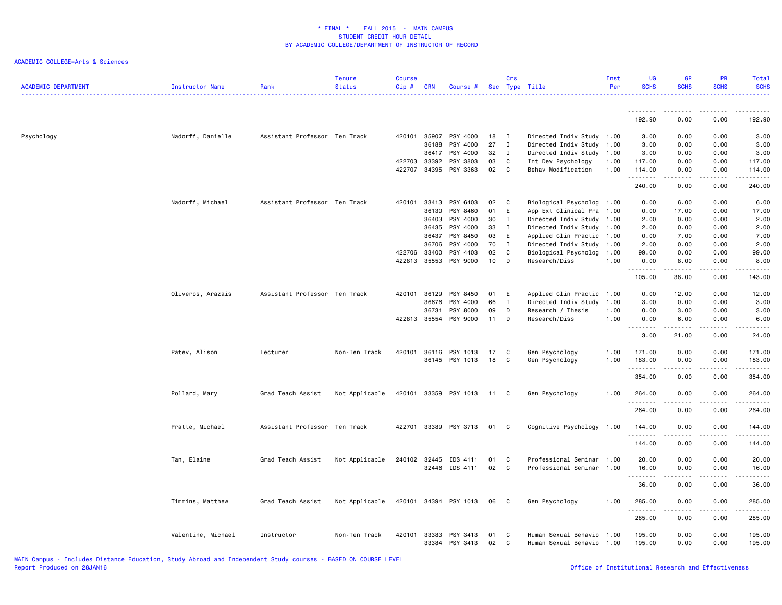| <b>ACADEMIC DEPARTMENT</b> | <b>Instructor Name</b> | Rank                          | Tenure<br><b>Status</b> | <b>Course</b><br>Cip# | <b>CRN</b>     | Course #              |          | Crs               | Sec Type Title                           | Inst<br>Per  | UG<br><b>SCHS</b> | <b>GR</b><br><b>SCHS</b>                                                                                                  | <b>PR</b><br><b>SCHS</b> | <b>Total</b><br><b>SCHS</b> |
|----------------------------|------------------------|-------------------------------|-------------------------|-----------------------|----------------|-----------------------|----------|-------------------|------------------------------------------|--------------|-------------------|---------------------------------------------------------------------------------------------------------------------------|--------------------------|-----------------------------|
|                            |                        |                               |                         |                       |                |                       |          |                   |                                          |              | 192.90            | 0.00                                                                                                                      | 0.00                     | 192.90                      |
|                            |                        |                               |                         |                       |                |                       |          |                   |                                          |              |                   |                                                                                                                           |                          |                             |
| Psychology                 | Nadorff, Danielle      | Assistant Professor Ten Track |                         | 420101                | 35907          | PSY 4000              | 18       | $\mathbf{I}$      | Directed Indiv Study 1.00                |              | 3.00              | 0.00                                                                                                                      | 0.00                     | 3.00                        |
|                            |                        |                               |                         |                       | 36188          | PSY 4000              | 27       | Ι                 | Directed Indiv Study                     | 1.00         | 3.00              | 0.00                                                                                                                      | 0.00                     | 3.00                        |
|                            |                        |                               |                         |                       | 36417          | PSY 4000              | 32       | $\mathbf{I}$      | Directed Indiv Study 1.00                |              | 3.00              | 0.00                                                                                                                      | 0.00                     | 3.00                        |
|                            |                        |                               |                         | 422703<br>422707      | 33392<br>34395 | PSY 3803<br>PSY 3363  | 03<br>02 | C<br>$\mathbf{C}$ | Int Dev Psychology<br>Behav Modification | 1.00<br>1.00 | 117.00<br>114.00  | 0.00<br>0.00                                                                                                              | 0.00<br>0.00             | 117.00<br>114.00            |
|                            |                        |                               |                         |                       |                |                       |          |                   |                                          |              | .                 | $\sim$ $\sim$ $\sim$                                                                                                      | .                        | .                           |
|                            |                        |                               |                         |                       |                |                       |          |                   |                                          |              | 240.00            | 0.00                                                                                                                      | 0.00                     | 240.00                      |
|                            | Nadorff, Michael       | Assistant Professor Ten Track |                         | 420101                | 33413          | PSY 6403              | 02       | $\mathbf{C}$      | Biological Psycholog                     | 1.00         | 0.00              | 6.00                                                                                                                      | 0.00                     | 6.00                        |
|                            |                        |                               |                         |                       | 36130          | PSY 8460              | 01       | E                 | App Ext Clinical Pra                     | 1.00         | 0.00              | 17.00                                                                                                                     | 0.00                     | 17.00                       |
|                            |                        |                               |                         |                       | 36403          | PSY 4000              | 30       | I                 | Directed Indiv Study 1.00                |              | 2.00              | 0.00                                                                                                                      | 0.00                     | 2.00                        |
|                            |                        |                               |                         |                       | 36435          | PSY 4000              | 33       | Ι                 | Directed Indiv Study                     | 1.00         | 2.00              | 0.00                                                                                                                      | 0.00                     | 2.00                        |
|                            |                        |                               |                         |                       | 36437          | PSY 8450              | 03       | E                 | Applied Clin Practic 1.00                |              | 0.00              | 7.00                                                                                                                      | 0.00                     | 7.00                        |
|                            |                        |                               |                         |                       | 36706          | PSY 4000              | 70       | $\mathbf{I}$      | Directed Indiv Study                     | 1.00         | 2.00              | 0.00                                                                                                                      | 0.00                     | 2.00                        |
|                            |                        |                               |                         | 422706<br>422813      | 33400<br>35553 | PSY 4403<br>PSY 9000  | 02<br>10 | C<br>D            | Biological Psycholog<br>Research/Diss    | 1.00<br>1.00 | 99.00<br>0.00     | 0.00<br>8.00                                                                                                              | 0.00<br>0.00             | 99.00<br>8.00               |
|                            |                        |                               |                         |                       |                |                       |          |                   |                                          |              | .                 | .                                                                                                                         | .                        | -----                       |
|                            |                        |                               |                         |                       |                |                       |          |                   |                                          |              | 105.00            | 38.00                                                                                                                     | 0.00                     | 143.00                      |
|                            | Oliveros, Arazais      | Assistant Professor Ten Track |                         | 420101                | 36129          | PSY 8450              | 01       | E                 | Applied Clin Practic 1.00                |              | 0.00              | 12.00                                                                                                                     | 0.00                     | 12.00                       |
|                            |                        |                               |                         |                       | 36676          | PSY 4000              | 66       | I                 | Directed Indiv Study                     | 1.00         | 3.00              | 0.00                                                                                                                      | 0.00                     | 3.00                        |
|                            |                        |                               |                         |                       | 36731          | PSY 8000              | 09       | D                 | Research / Thesis                        | 1.00         | 0.00              | 3.00                                                                                                                      | 0.00                     | 3.00                        |
|                            |                        |                               |                         |                       | 422813 35554   | PSY 9000              | 11       | D                 | Research/Diss                            | 1.00         | 0.00              | 6.00                                                                                                                      | 0.00                     | 6.00                        |
|                            |                        |                               |                         |                       |                |                       |          |                   |                                          |              | <u>.</u><br>3.00  | $- - - - - -$<br>21.00                                                                                                    | .<br>0.00                | .<br>24.00                  |
|                            | Patev, Alison          | Lecturer                      | Non-Ten Track           | 420101                | 36116          | PSY 1013              | 17       | C                 | Gen Psychology                           | 1.00         | 171.00            | 0.00                                                                                                                      | 0.00                     | 171.00                      |
|                            |                        |                               |                         |                       |                | 36145 PSY 1013        | 18       | $\mathbf{C}$      | Gen Psychology                           | 1.00         | 183.00            | 0.00                                                                                                                      | 0.00                     | 183.00                      |
|                            |                        |                               |                         |                       |                |                       |          |                   |                                          |              | .                 | $\frac{1}{2} \left( \frac{1}{2} \right) \left( \frac{1}{2} \right) \left( \frac{1}{2} \right) \left( \frac{1}{2} \right)$ | .                        | $- - - - - -$               |
|                            |                        |                               |                         |                       |                |                       |          |                   |                                          |              | 354.00            | 0.00                                                                                                                      | 0.00                     | 354.00                      |
|                            | Pollard, Mary          | Grad Teach Assist             | Not Applicable          |                       |                | 420101 33359 PSY 1013 | 11 C     |                   | Gen Psychology                           | 1.00         | 264.00<br>.       | 0.00<br>$\frac{1}{2}$                                                                                                     | 0.00<br>.                | 264.00<br>.                 |
|                            |                        |                               |                         |                       |                |                       |          |                   |                                          |              | 264.00            | 0.00                                                                                                                      | 0.00                     | 264.00                      |
|                            | Pratte, Michael        | Assistant Professor Ten Track |                         | 422701                | 33389          | PSY 3713              | 01       | C                 | Cognitive Psychology 1.00                |              | 144.00            | 0.00                                                                                                                      | 0.00                     | 144.00                      |
|                            |                        |                               |                         |                       |                |                       |          |                   |                                          |              | .<br>144.00       | الداعات ب<br>0.00                                                                                                         | .<br>0.00                | .<br>144.00                 |
|                            |                        |                               |                         |                       |                |                       |          |                   |                                          |              |                   |                                                                                                                           |                          |                             |
|                            | Tan, Elaine            | Grad Teach Assist             | Not Applicable          | 240102                | 32445          | IDS 4111              | 01       | C                 | Professional Seminar                     | 1.00         | 20.00             | 0.00                                                                                                                      | 0.00                     | 20.00                       |
|                            |                        |                               |                         |                       |                | 32446 IDS 4111        | 02       | C                 | Professional Seminar                     | 1.00         | 16.00<br>.        | 0.00<br>.                                                                                                                 | 0.00                     | 16.00<br>.                  |
|                            |                        |                               |                         |                       |                |                       |          |                   |                                          |              | 36.00             | 0.00                                                                                                                      | 0.00                     | 36.00                       |
|                            | Timmins, Matthew       | Grad Teach Assist             | Not Applicable          | 420101                |                | 34394 PSY 1013        | 06       | $\mathbf{C}$      | Gen Psychology                           | 1.00         | 285.00            | 0.00                                                                                                                      | 0.00                     | 285.00                      |
|                            |                        |                               |                         |                       |                |                       |          |                   |                                          |              | .<br>285.00       | - - - -<br>0.00                                                                                                           | .<br>0.00                | .<br>285.00                 |
|                            | Valentine, Michael     | Instructor                    | Non-Ten Track           | 420101                | 33383          | PSY 3413              | 01       | C                 | Human Sexual Behavio                     | 1.00         | 195.00            | 0.00                                                                                                                      | 0.00                     | 195.00                      |
|                            |                        |                               |                         |                       | 33384          | PSY 3413              | 02       | C                 | Human Sexual Behavio                     | 1.00         | 195.00            | 0.00                                                                                                                      | 0.00                     | 195.00                      |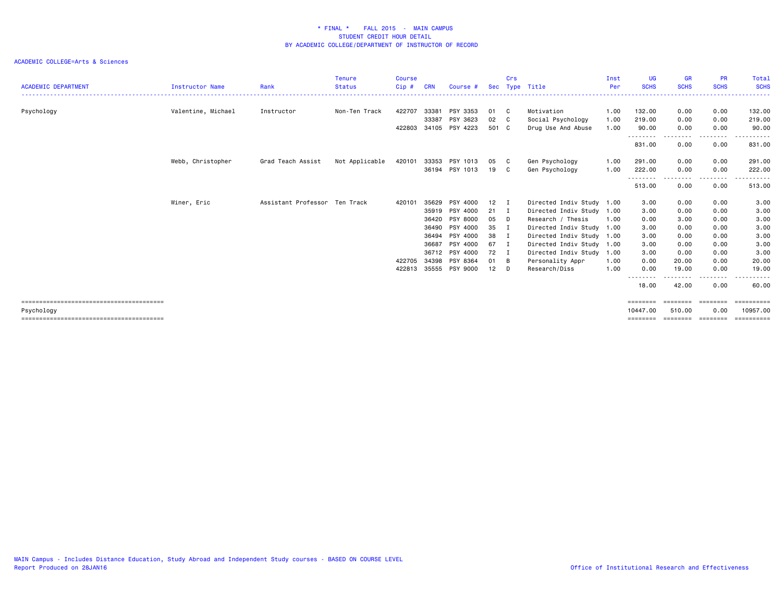| <b>ACADEMIC DEPARTMENT</b> | <b>Instructor Name</b> | Rank                          | <b>Tenure</b><br><b>Status</b> | <b>Course</b><br>Cip# | CRN   | Course #       | Sec          | Crs            | Type Title                | Inst<br>Per | UG<br><b>SCHS</b>                | <b>GR</b><br><b>SCHS</b> | <b>PR</b><br><b>SCHS</b> | <b>Total</b><br><b>SCHS</b> |
|----------------------------|------------------------|-------------------------------|--------------------------------|-----------------------|-------|----------------|--------------|----------------|---------------------------|-------------|----------------------------------|--------------------------|--------------------------|-----------------------------|
|                            |                        |                               |                                |                       |       |                |              |                |                           |             |                                  |                          |                          |                             |
| Psychology                 | Valentine, Michael     | Instructor                    | Non-Ten Track                  | 422707                | 33381 | PSY 3353       | 01           | C              | Motivation                | 1.00        | 132.00                           | 0.00                     | 0.00                     | 132.00                      |
|                            |                        |                               |                                |                       | 33387 | PSY 3623       | 02           | C.             | Social Psychology         | 1.00        | 219.00                           | 0.00                     | 0.00                     | 219.00                      |
|                            |                        |                               |                                | 422803                |       | 34105 PSY 4223 | 501 C        |                | Drug Use And Abuse        | 1.00        | 90.00                            | 0.00                     | 0.00                     | 90.00                       |
|                            |                        |                               |                                |                       |       |                |              |                |                           |             | <u>- - - - - - - -</u><br>831.00 | -----<br>0.00            | .<br>0.00                | 831.00                      |
|                            | Webb, Christopher      | Grad Teach Assist             | Not Applicable                 | 420101                | 33353 | PSY 1013       | 05           | - C            | Gen Psychology            | 1.00        | 291.00                           | 0.00                     | 0.00                     | 291.00                      |
|                            |                        |                               |                                |                       |       | 36194 PSY 1013 | 19 C         |                | Gen Psychology            | 1.00        | 222.00                           | 0.00                     | 0.00                     | 222.00                      |
|                            |                        |                               |                                |                       |       |                |              |                |                           |             | ---------<br>513.00              | .<br>0.00                | .<br>0.00                | .<br>513.00                 |
|                            | Winer, Eric            | Assistant Professor Ten Track |                                | 420101                | 35629 | PSY 4000       | 12           | I              | Directed Indiv Study 1.00 |             | 3.00                             | 0.00                     | 0.00                     | 3.00                        |
|                            |                        |                               |                                |                       | 35919 | PSY 4000       | $21 \quad I$ |                | Directed Indiv Study 1.00 |             | 3.00                             | 0.00                     | 0.00                     | 3.00                        |
|                            |                        |                               |                                |                       | 36420 | PSY 8000       | 05           | D              | Research / Thesis         | 1.00        | 0.00                             | 3.00                     | 0.00                     | 3.00                        |
|                            |                        |                               |                                |                       | 36490 | PSY 4000       | 35           | I              | Directed Indiv Study 1.00 |             | 3.00                             | 0.00                     | 0.00                     | 3.00                        |
|                            |                        |                               |                                |                       | 36494 | PSY 4000       | 38           | I              | Directed Indiv Study 1.00 |             | 3.00                             | 0.00                     | 0.00                     | 3.00                        |
|                            |                        |                               |                                |                       | 36687 | PSY 4000       | 67           | $\mathbf{I}$   | Directed Indiv Study 1.00 |             | 3.00                             | 0.00                     | 0.00                     | 3.00                        |
|                            |                        |                               |                                |                       | 36712 | PSY 4000       | 72           | $\blacksquare$ | Directed Indiv Study      | 1.00        | 3.00                             | 0.00                     | 0.00                     | 3.00                        |
|                            |                        |                               |                                | 422705                | 34398 | PSY 8364       | 01           | B              | Personality Appr          | 1.00        | 0.00                             | 20.00                    | 0.00                     | 20.00                       |
|                            |                        |                               |                                | 422813                | 35555 | PSY 9000       | 12           | D              | Research/Diss             | 1.00        | 0.00                             | 19.00                    | 0.00                     | 19.00                       |
|                            |                        |                               |                                |                       |       |                |              |                |                           |             | --------<br>18.00                | -----<br>42.00           | .<br>0.00                | .<br>60.00                  |
|                            |                        |                               |                                |                       |       |                |              |                |                           |             |                                  |                          | ========                 | ==========                  |
| Psychology                 |                        |                               |                                |                       |       |                |              |                |                           |             | 10447.00                         | 510.00                   | 0.00                     | 10957.00                    |
|                            |                        |                               |                                |                       |       |                |              |                |                           |             | ========                         | ========                 | ========                 | <b>ESSESSEES</b>            |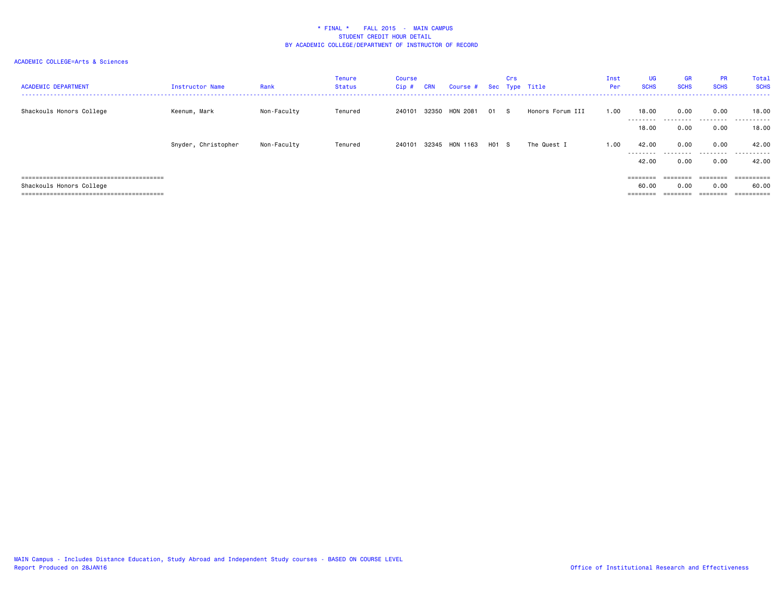| <b>ACADEMIC DEPARTMENT</b> | <b>Instructor Name</b> | Rank        | Tenure<br>Status | Course<br>Cip # | <b>CRN</b> | Course #        |         | Crs | Sec Type Title   | Inst<br>Per | UG<br><b>SCHS</b>  | GR<br><b>SCHS</b> | <b>PR</b><br><b>SCHS</b> | Total<br><b>SCHS</b> |
|----------------------------|------------------------|-------------|------------------|-----------------|------------|-----------------|---------|-----|------------------|-------------|--------------------|-------------------|--------------------------|----------------------|
| Shackouls Honors College   | Keenum, Mark           | Non-Faculty | Tenured          | 240101          | 32350      | <b>HON 2081</b> | 01      | - S | Honors Forum III | 1.00        | 18.00<br>--------- | 0.00<br>.         | 0.00<br>.                | 18,00<br>.           |
|                            |                        |             |                  |                 |            |                 |         |     |                  |             | 18.00              | 0.00              | 0.00                     | 18.00                |
|                            | Snyder, Christopher    | Non-Faculty | Tenured          | 240101          |            | 32345 HON 1163  | $H01$ S |     | The Quest I      | 1.00        | 42.00<br>--------- | 0.00              | 0.00                     | 42.00<br>            |
|                            |                        |             |                  |                 |            |                 |         |     |                  |             | 42.00              | 0.00              | 0.00                     | 42.00                |
|                            |                        |             |                  |                 |            |                 |         |     |                  |             | $=$ = = = = = = =  | $=$ = = = = = = = |                          | ==========           |
| Shackouls Honors College   |                        |             |                  |                 |            |                 |         |     |                  |             | 60.00              | 0.00              | 0.00                     | 60.00                |
|                            |                        |             |                  |                 |            |                 |         |     |                  |             | $=$ = = = = = = =  | $=$ = = = = = = = | $=$ = = = = = = =        | ==========           |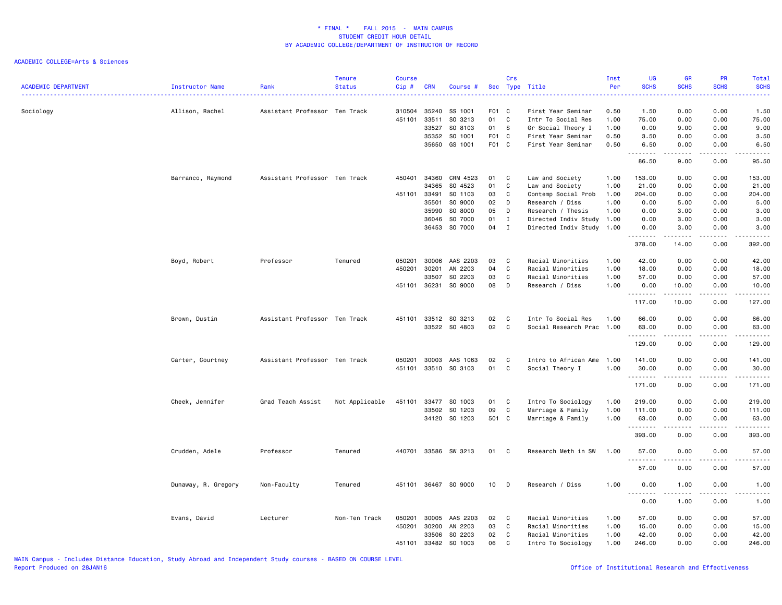| <b>ACADEMIC DEPARTMENT</b> | Instructor Name     | Rank                          | <b>Tenure</b><br><b>Status</b> | <b>Course</b><br>$Cip$ # | <b>CRN</b>     | Course #           |                | Crs          | Sec Type Title                           | Inst<br>Per  | UG<br><b>SCHS</b><br>.            | <b>GR</b><br><b>SCHS</b> | <b>PR</b><br><b>SCHS</b> | Total<br><b>SCHS</b><br>$\frac{1}{2} \left( \frac{1}{2} \right) \left( \frac{1}{2} \right) \left( \frac{1}{2} \right) \left( \frac{1}{2} \right)$ |
|----------------------------|---------------------|-------------------------------|--------------------------------|--------------------------|----------------|--------------------|----------------|--------------|------------------------------------------|--------------|-----------------------------------|--------------------------|--------------------------|---------------------------------------------------------------------------------------------------------------------------------------------------|
| Sociology                  | Allison, Rachel     | Assistant Professor Ten Track |                                | 310504                   | 35240          | SS 1001            | F01 C          |              | First Year Seminar                       | 0.50         | 1.50                              | 0.00                     | 0.00                     | 1.50                                                                                                                                              |
|                            |                     |                               |                                | 451101                   | 33511          | SO 3213            | 01             | C            | Intr To Social Res                       | 1.00         | 75.00                             | 0.00                     | 0.00                     | 75.00                                                                                                                                             |
|                            |                     |                               |                                |                          | 33527          | SO 8103            | 01             | S.           | Gr Social Theory I                       | 1.00         | 0.00                              | 9.00                     | 0.00                     | 9.00                                                                                                                                              |
|                            |                     |                               |                                |                          | 35352<br>35650 | SO 1001<br>GS 1001 | F01 C<br>F01 C |              | First Year Seminar<br>First Year Seminar | 0.50<br>0.50 | 3.50<br>6.50                      | 0.00<br>0.00             | 0.00<br>0.00             | 3.50<br>6.50                                                                                                                                      |
|                            |                     |                               |                                |                          |                |                    |                |              |                                          |              | .<br>86.50                        | .<br>9.00                | .<br>0.00                | .<br>95.50                                                                                                                                        |
|                            | Barranco, Raymond   | Assistant Professor Ten Track |                                | 450401                   | 34360          | CRM 4523           | 01             | C            | Law and Society                          | 1.00         | 153.00                            | 0.00                     | 0.00                     | 153.00                                                                                                                                            |
|                            |                     |                               |                                |                          | 34365          | SO 4523            | 01             | C            | Law and Society                          | 1.00         | 21.00                             | 0.00                     | 0.00                     | 21.00                                                                                                                                             |
|                            |                     |                               |                                | 451101                   | 33491          | SO 1103            | 03             | C            | Contemp Social Prob                      | 1.00         | 204.00                            | 0.00                     | 0.00                     | 204.00                                                                                                                                            |
|                            |                     |                               |                                |                          | 35501          | SO 9000            | 02             | D            | Research / Diss                          | 1.00         | 0.00                              | 5.00                     | 0.00                     | 5.00                                                                                                                                              |
|                            |                     |                               |                                |                          | 35990          | SO 8000            | 05             | D            | Research / Thesis                        | 1.00         | 0.00                              | 3.00                     | 0.00                     | 3.00                                                                                                                                              |
|                            |                     |                               |                                |                          | 36046          | SO 7000            | 01             | I            | Directed Indiv Study                     | 1.00         | 0.00                              | 3.00                     | 0.00                     | 3.00                                                                                                                                              |
|                            |                     |                               |                                |                          |                | 36453 SO 7000      | 04             | $\mathbf{I}$ | Directed Indiv Study 1.00                |              | 0.00<br>.                         | 3.00<br>.                | 0.00<br>.                | 3.00<br>.                                                                                                                                         |
|                            |                     |                               |                                |                          |                |                    |                |              |                                          |              | 378.00                            | 14.00                    | 0.00                     | 392.00                                                                                                                                            |
|                            | Boyd, Robert        | Professor                     | Tenured                        | 050201                   | 30006          | AAS 2203           | 03             | C            | Racial Minorities                        | 1.00         | 42.00                             | 0.00                     | 0.00                     | 42.00                                                                                                                                             |
|                            |                     |                               |                                | 450201                   | 30201          | AN 2203            | 04             | C            | Racial Minorities                        | 1.00         | 18.00                             | 0.00                     | 0.00                     | 18.00                                                                                                                                             |
|                            |                     |                               |                                |                          | 33507          | SO 2203            | 03             | C            | Racial Minorities                        | 1.00         | 57.00                             | 0.00                     | 0.00                     | 57.00                                                                                                                                             |
|                            |                     |                               |                                | 451101                   | 36231          | SO 9000            | 08             | D            | Research / Diss                          | 1.00         | 0.00<br>.                         | 10.00<br>المتمامين       | 0.00<br>.                | 10.00<br>.                                                                                                                                        |
|                            |                     |                               |                                |                          |                |                    |                |              |                                          |              | 117.00                            | 10.00                    | 0.00                     | 127.00                                                                                                                                            |
|                            | Brown, Dustin       | Assistant Professor Ten Track |                                | 451101                   | 33512          | SO 3213            | 02             | C            | Intr To Social Res                       | 1.00         | 66.00                             | 0.00                     | 0.00                     | 66.00                                                                                                                                             |
|                            |                     |                               |                                |                          |                | 33522 SO 4803      | 02             | C            | Social Research Prac                     | 1.00         | 63.00                             | 0.00                     | 0.00                     | 63.00                                                                                                                                             |
|                            |                     |                               |                                |                          |                |                    |                |              |                                          |              | . <b>.</b><br>129.00              | .<br>0.00                | 0.00                     | .<br>129.00                                                                                                                                       |
|                            | Carter, Courtney    | Assistant Professor Ten Track |                                | 050201                   | 30003          | AAS 1063           | 02             | C            | Intro to African Ame                     | 1.00         | 141.00                            | 0.00                     | 0.00                     | 141.00                                                                                                                                            |
|                            |                     |                               |                                | 451101                   |                | 33510 SO 3103      | 01             | C            | Social Theory I                          | 1.00         | 30.00                             | 0.00                     | 0.00                     | 30.00                                                                                                                                             |
|                            |                     |                               |                                |                          |                |                    |                |              |                                          |              | .                                 | .                        | .                        | ------                                                                                                                                            |
|                            |                     |                               |                                |                          |                |                    |                |              |                                          |              | 171.00                            | 0.00                     | 0.00                     | 171.00                                                                                                                                            |
|                            | Cheek, Jennifer     | Grad Teach Assist             | Not Applicable                 | 451101                   | 33477          | SO 1003            | 01             | C            | Intro To Sociology                       | 1.00         | 219.00                            | 0.00                     | 0.00                     | 219.00                                                                                                                                            |
|                            |                     |                               |                                |                          | 33502          | SO 1203            | 09             | C            | Marriage & Family                        | 1.00         | 111.00                            | 0.00                     | 0.00                     | 111.00                                                                                                                                            |
|                            |                     |                               |                                |                          |                | 34120 SO 1203      | 501 C          |              | Marriage & Family                        | 1.00         | 63.00<br>.                        | 0.00<br>.                | 0.00<br>.                | 63.00<br>$\begin{array}{cccccccccccccc} \bullet & \bullet & \bullet & \bullet & \bullet & \bullet & \bullet & \bullet \end{array}$                |
|                            |                     |                               |                                |                          |                |                    |                |              |                                          |              | 393.00                            | 0.00                     | 0.00                     | 393.00                                                                                                                                            |
|                            | Crudden, Adele      | Professor                     | Tenured                        | 440701                   |                | 33586 SW 3213      | 01             | C            | Research Meth in SW                      | 1.00         | 57.00<br><u>.</u>                 | 0.00<br>.                | 0.00<br>.                | 57.00<br>.                                                                                                                                        |
|                            |                     |                               |                                |                          |                |                    |                |              |                                          |              | 57.00                             | 0.00                     | 0.00                     | 57.00                                                                                                                                             |
|                            | Dunaway, R. Gregory | Non-Faculty                   | Tenured                        | 451101                   |                | 36467 SO 9000      | 10             | D            | Research / Diss                          | 1.00         | 0.00                              | 1.00                     | 0.00                     | 1.00                                                                                                                                              |
|                            |                     |                               |                                |                          |                |                    |                |              |                                          |              | $\sim$ $\sim$ $\sim$<br>.<br>0.00 | 1.00                     | 0.00                     | $\frac{1}{2}$<br>1.00                                                                                                                             |
|                            | Evans, David        | Lecturer                      | Non-Ten Track                  | 050201                   | 30005          | AAS 2203           | 02             | C            | Racial Minorities                        | 1.00         | 57.00                             | 0.00                     | 0.00                     | 57.00                                                                                                                                             |
|                            |                     |                               |                                | 450201                   | 30200          | AN 2203            | 03             | $\mathtt{C}$ | Racial Minorities                        | 1.00         | 15.00                             | 0.00                     | 0.00                     | 15.00                                                                                                                                             |
|                            |                     |                               |                                |                          | 33506          | SO 2203            | 02             | C            | Racial Minorities                        | 1.00         | 42.00                             | 0.00                     | 0.00                     | 42.00                                                                                                                                             |
|                            |                     |                               |                                | 451101                   | 33482          | SO 1003            | 06             | C            | Intro To Sociology                       | 1.00         | 246.00                            | 0.00                     | 0.00                     | 246.00                                                                                                                                            |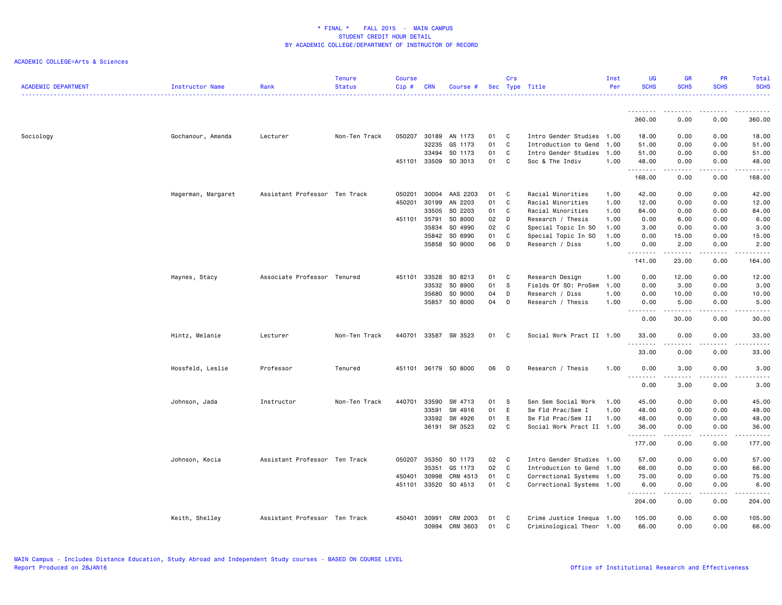| <b>ACADEMIC DEPARTMENT</b> | Instructor Name    | Rank                          | <b>Tenure</b><br><b>Status</b> | <b>Course</b><br>Cip # | <b>CRN</b>   | Course #      |    | <b>Crs</b>  | Sec Type Title            | Inst<br>Per | UG<br><b>SCHS</b>                       | <b>GR</b><br><b>SCHS</b>                                                                                                                                     | PR<br><b>SCHS</b>                                                                                                         | Total<br><b>SCHS</b>                                                                                                                                          |
|----------------------------|--------------------|-------------------------------|--------------------------------|------------------------|--------------|---------------|----|-------------|---------------------------|-------------|-----------------------------------------|--------------------------------------------------------------------------------------------------------------------------------------------------------------|---------------------------------------------------------------------------------------------------------------------------|---------------------------------------------------------------------------------------------------------------------------------------------------------------|
|                            |                    |                               |                                |                        |              |               |    |             |                           |             | .                                       |                                                                                                                                                              | $\frac{1}{2} \left( \frac{1}{2} \right) \left( \frac{1}{2} \right) \left( \frac{1}{2} \right) \left( \frac{1}{2} \right)$ |                                                                                                                                                               |
|                            |                    |                               |                                |                        |              |               |    |             |                           |             | 360.00                                  | 0.00                                                                                                                                                         | 0.00                                                                                                                      | 360.00                                                                                                                                                        |
| Sociology                  | Gochanour, Amanda  | Lecturer                      | Non-Ten Track                  | 050207                 | 30189        | AN 1173       | 01 | C           | Intro Gender Studies      | 1.00        | 18.00                                   | 0.00                                                                                                                                                         | 0.00                                                                                                                      | 18.00                                                                                                                                                         |
|                            |                    |                               |                                |                        | 32235        | GS 1173       | 01 | $\mathbf c$ | Introduction to Gend      | 1.00        | 51.00                                   | 0.00                                                                                                                                                         | 0.00                                                                                                                      | 51.00                                                                                                                                                         |
|                            |                    |                               |                                |                        | 33494        | SO 1173       | 01 | C           | Intro Gender Studies      | 1.00        | 51.00                                   | 0.00                                                                                                                                                         | 0.00                                                                                                                      | 51.00                                                                                                                                                         |
|                            |                    |                               |                                |                        | 451101 33509 | SO 3013       | 01 | C           | Soc & The Indiv           | 1.00        | 48.00                                   | 0.00<br>$\frac{1}{2} \left( \frac{1}{2} \right) \left( \frac{1}{2} \right) \left( \frac{1}{2} \right) \left( \frac{1}{2} \right) \left( \frac{1}{2} \right)$ | 0.00<br>.                                                                                                                 | 48.00<br>.                                                                                                                                                    |
|                            |                    |                               |                                |                        |              |               |    |             |                           |             | 168.00                                  | 0.00                                                                                                                                                         | 0.00                                                                                                                      | 168.00                                                                                                                                                        |
|                            | Hagerman, Margaret | Assistant Professor Ten Track |                                | 050201                 | 30004        | AAS 2203      | 01 | C           | Racial Minorities         | 1.00        | 42.00                                   | 0.00                                                                                                                                                         | 0.00                                                                                                                      | 42.00                                                                                                                                                         |
|                            |                    |                               |                                | 450201                 | 30199        | AN 2203       | 01 | C           | Racial Minorities         | 1.00        | 12.00                                   | 0.00                                                                                                                                                         | 0.00                                                                                                                      | 12.00                                                                                                                                                         |
|                            |                    |                               |                                |                        | 33505        | SO 2203       | 01 | C           | Racial Minorities         | 1.00        | 84.00                                   | 0.00                                                                                                                                                         | 0.00                                                                                                                      | 84.00                                                                                                                                                         |
|                            |                    |                               |                                | 451101                 | 35791        | SO 8000       | 02 | D           | Research / Thesis         | 1.00        | 0.00                                    | 6.00                                                                                                                                                         | 0.00                                                                                                                      | 6.00                                                                                                                                                          |
|                            |                    |                               |                                |                        | 35834        | SO 4990       | 02 | C           | Special Topic In SO       | 1.00        | 3.00                                    | 0.00                                                                                                                                                         | 0.00                                                                                                                      | 3.00                                                                                                                                                          |
|                            |                    |                               |                                |                        | 35842        | SO 6990       | 01 | C           | Special Topic In SO       | 1.00        | 0.00                                    | 15.00                                                                                                                                                        | 0.00                                                                                                                      | 15.00                                                                                                                                                         |
|                            |                    |                               |                                |                        | 35858        | SO 9000       | 06 | D           | Research / Diss           | 1.00        | 0.00<br>.                               | 2.00<br>.                                                                                                                                                    | 0.00<br>$- - -$                                                                                                           | 2.00<br>.                                                                                                                                                     |
|                            |                    |                               |                                |                        |              |               |    |             |                           |             | 141.00                                  | 23.00                                                                                                                                                        | 0.00                                                                                                                      | 164.00                                                                                                                                                        |
|                            | Haynes, Stacy      | Associate Professor Tenured   |                                | 451101 33528           |              | SO 8213       | 01 | C           | Research Design           | 1.00        | 0.00                                    | 12.00                                                                                                                                                        | 0.00                                                                                                                      | 12.00                                                                                                                                                         |
|                            |                    |                               |                                |                        | 33532        | SO 8900       | 01 | S           | Fields Of SO: ProSem      | 1.00        | 0.00                                    | 3.00                                                                                                                                                         | 0.00                                                                                                                      | 3.00                                                                                                                                                          |
|                            |                    |                               |                                |                        | 35680        | SO 9000       | 04 | D           | Research / Diss           | 1.00        | 0.00                                    | 10.00                                                                                                                                                        | 0.00                                                                                                                      | 10.00                                                                                                                                                         |
|                            |                    |                               |                                |                        | 35857        | SO 8000       | 04 | D           | Research / Thesis         | 1.00        | 0.00                                    | 5.00                                                                                                                                                         | 0.00                                                                                                                      | 5.00                                                                                                                                                          |
|                            |                    |                               |                                |                        |              |               |    |             |                           |             | .<br>$\sim$ $\sim$<br>0.00              | .<br>30.00                                                                                                                                                   | $- - -$<br>0.00                                                                                                           | $\frac{1}{2} \left( \frac{1}{2} \right) \left( \frac{1}{2} \right) \left( \frac{1}{2} \right) \left( \frac{1}{2} \right) \left( \frac{1}{2} \right)$<br>30.00 |
|                            | Hintz, Melanie     | Lecturer                      | Non-Ten Track                  | 440701                 | 33587        | SW 3523       | 01 | C           | Social Work Pract II 1.00 |             | 33.00                                   | 0.00                                                                                                                                                         | 0.00                                                                                                                      | 33.00                                                                                                                                                         |
|                            |                    |                               |                                |                        |              |               |    |             |                           |             | .<br>$\sim$ $\sim$ .<br>33.00           | 0.00                                                                                                                                                         | 0.00                                                                                                                      | .<br>33.00                                                                                                                                                    |
|                            | Hossfeld, Leslie   | Professor                     | Tenured                        | 451101                 |              | 36179 SO 8000 | 06 | D           | Research / Thesis         | 1.00        | 0.00                                    | 3.00                                                                                                                                                         | 0.00                                                                                                                      | 3.00                                                                                                                                                          |
|                            |                    |                               |                                |                        |              |               |    |             |                           |             | $\sim$ $\sim$ $\sim$<br>د د د د<br>0.00 | .<br>3.00                                                                                                                                                    | .<br>0.00                                                                                                                 | .<br>3.00                                                                                                                                                     |
|                            |                    |                               |                                |                        |              |               |    |             |                           |             |                                         |                                                                                                                                                              |                                                                                                                           |                                                                                                                                                               |
|                            | Johnson, Jada      | Instructor                    | Non-Ten Track                  | 440701                 | 33590        | SW 4713       | 01 | - S         | Sen Sem Social Work       | 1.00        | 45.00                                   | 0.00                                                                                                                                                         | 0.00                                                                                                                      | 45.00                                                                                                                                                         |
|                            |                    |                               |                                |                        | 33591        | SW 4916       | 01 | E           | Sw Fld Prac/Sem I         | 1.00        | 48.00                                   | 0.00                                                                                                                                                         | 0.00                                                                                                                      | 48.00                                                                                                                                                         |
|                            |                    |                               |                                |                        | 33592        | SW 4926       | 01 | E           | Sw Fld Prac/Sem II        | 1.00        | 48.00                                   | 0.00                                                                                                                                                         | 0.00                                                                                                                      | 48.00                                                                                                                                                         |
|                            |                    |                               |                                |                        | 36191        | SW 3523       | 02 | C           | Social Work Pract II 1.00 |             | 36.00<br>. <b>.</b>                     | 0.00                                                                                                                                                         | 0.00<br>$- - - -$                                                                                                         | 36.00<br>.                                                                                                                                                    |
|                            |                    |                               |                                |                        |              |               |    |             |                           |             | 177.00                                  | 0.00                                                                                                                                                         | 0.00                                                                                                                      | 177.00                                                                                                                                                        |
|                            | Johnson, Kecia     | Assistant Professor Ten Track |                                | 050207                 | 35350        | SO 1173       | 02 | C           | Intro Gender Studies 1.00 |             | 57.00                                   | 0.00                                                                                                                                                         | 0.00                                                                                                                      | 57.00                                                                                                                                                         |
|                            |                    |                               |                                |                        | 35351        | GS 1173       | 02 | C           | Introduction to Gend      | 1.00        | 66.00                                   | 0.00                                                                                                                                                         | 0.00                                                                                                                      | 66.00                                                                                                                                                         |
|                            |                    |                               |                                | 450401                 | 30998        | CRM 4513      | 01 | C           | Correctional Systems 1.00 |             | 75.00                                   | 0.00                                                                                                                                                         | 0.00                                                                                                                      | 75.00                                                                                                                                                         |
|                            |                    |                               |                                | 451101                 | 33520        | SO 4513       | 01 | C           | Correctional Systems 1.00 |             | 6.00                                    | 0.00<br>.                                                                                                                                                    | 0.00<br>.                                                                                                                 | 6.00<br>.                                                                                                                                                     |
|                            |                    |                               |                                |                        |              |               |    |             |                           |             | 204.00                                  | 0.00                                                                                                                                                         | 0.00                                                                                                                      | 204.00                                                                                                                                                        |
|                            | Keith, Shelley     | Assistant Professor Ten Track |                                | 450401                 | 30991        | CRM 2003      | 01 | C           | Crime Justice Inequa 1.00 |             | 105.00                                  | 0.00                                                                                                                                                         | 0.00                                                                                                                      | 105.00                                                                                                                                                        |
|                            |                    |                               |                                |                        | 30994        | CRM 3603      | 01 | C           | Criminological Theor 1.00 |             | 66.00                                   | 0.00                                                                                                                                                         | 0.00                                                                                                                      | 66.00                                                                                                                                                         |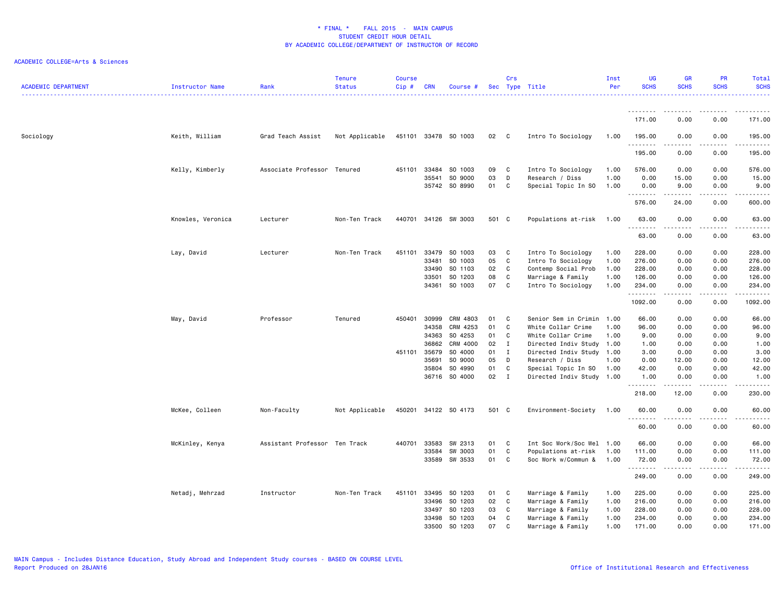| <b>ACADEMIC DEPARTMENT</b> | <b>Instructor Name</b> | Rank                          | <b>Tenure</b><br><b>Status</b> | <b>Course</b><br>$Cip$ # | <b>CRN</b> | Course #             |       | Crs          | Sec Type Title            | Inst<br>Per | <b>UG</b><br><b>SCHS</b> | <b>GR</b><br><b>SCHS</b>                                                                                                                                     | PR<br><b>SCHS</b> | Total<br><b>SCHS</b><br>. |
|----------------------------|------------------------|-------------------------------|--------------------------------|--------------------------|------------|----------------------|-------|--------------|---------------------------|-------------|--------------------------|--------------------------------------------------------------------------------------------------------------------------------------------------------------|-------------------|---------------------------|
|                            |                        |                               |                                |                          |            |                      |       |              |                           |             | <u>.</u><br>171.00       | 0.00                                                                                                                                                         | 0.00              | 171.00                    |
| Sociology                  | Keith, William         | Grad Teach Assist             | Not Applicable                 |                          |            | 451101 33478 SO 1003 | 02    | $\mathbf{C}$ | Intro To Sociology        | 1.00        | 195.00                   | 0.00                                                                                                                                                         | 0.00              | 195.00                    |
|                            |                        |                               |                                |                          |            |                      |       |              |                           |             | .                        | .                                                                                                                                                            | .                 | <u>.</u>                  |
|                            |                        |                               |                                |                          |            |                      |       |              |                           |             | 195.00                   | 0.00                                                                                                                                                         | 0.00              | 195.00                    |
|                            | Kelly, Kimberly        | Associate Professor Tenured   |                                | 451101                   | 33484      | SO 1003              | 09    | C            | Intro To Sociology        | 1.00        | 576.00                   | 0.00                                                                                                                                                         | 0.00              | 576.00                    |
|                            |                        |                               |                                |                          | 35541      | SO 9000              | 03    | D            | Research / Diss           | 1.00        | 0.00                     | 15.00                                                                                                                                                        | 0.00              | 15.00                     |
|                            |                        |                               |                                |                          |            | 35742 SO 8990        | 01    | C            | Special Topic In SO       | 1.00        | 0.00<br>.                | 9.00<br>$\frac{1}{2} \left( \frac{1}{2} \right) \left( \frac{1}{2} \right) \left( \frac{1}{2} \right) \left( \frac{1}{2} \right) \left( \frac{1}{2} \right)$ | 0.00<br>.         | 9.00<br>.                 |
|                            |                        |                               |                                |                          |            |                      |       |              |                           |             | 576.00                   | 24.00                                                                                                                                                        | 0.00              | 600.00                    |
|                            | Knowles, Veronica      | Lecturer                      | Non-Ten Track                  |                          |            | 440701 34126 SW 3003 | 501 C |              | Populations at-risk       | 1.00        | 63.00                    | 0.00                                                                                                                                                         | 0.00              | 63.00                     |
|                            |                        |                               |                                |                          |            |                      |       |              |                           |             | .<br>63.00               | 0.00                                                                                                                                                         | 0.00              | 63.00                     |
|                            | Lay, David             | Lecturer                      | Non-Ten Track                  | 451101                   | 33479      | SO 1003              | 03    | $\mathbf{C}$ | Intro To Sociology        | 1.00        | 228.00                   | 0.00                                                                                                                                                         | 0.00              | 228.00                    |
|                            |                        |                               |                                |                          | 33481      | SO 1003              | 05    | C            | Intro To Sociology        | 1.00        | 276.00                   | 0.00                                                                                                                                                         | 0.00              | 276.00                    |
|                            |                        |                               |                                |                          | 33490      | SO 1103              | 02    | C            | Contemp Social Prob       | 1.00        | 228.00                   | 0.00                                                                                                                                                         | 0.00              | 228.00                    |
|                            |                        |                               |                                |                          | 33501      | SO 1203              | 08    | C            | Marriage & Family         | 1.00        | 126.00                   | 0.00                                                                                                                                                         | 0.00              | 126.00                    |
|                            |                        |                               |                                |                          | 34361      | SO 1003              | 07    | C            | Intro To Sociology        | 1.00        | 234.00<br>.              | 0.00                                                                                                                                                         | 0.00              | 234.00<br>.               |
|                            |                        |                               |                                |                          |            |                      |       |              |                           |             | 1092.00                  | 0.00                                                                                                                                                         | 0.00              | 1092.00                   |
|                            | May, David             | Professor                     | Tenured                        | 450401                   | 30999      | CRM 4803             | 01    | C            | Senior Sem in Crimin      | 1.00        | 66.00                    | 0.00                                                                                                                                                         | 0.00              | 66.00                     |
|                            |                        |                               |                                |                          | 34358      | CRM 4253             | 01    | C            | White Collar Crime        | 1.00        | 96.00                    | 0.00                                                                                                                                                         | 0.00              | 96.00                     |
|                            |                        |                               |                                |                          | 34363      | SO 4253              | 01    | C            | White Collar Crime        | 1.00        | 9.00                     | 0.00                                                                                                                                                         | 0.00              | 9.00                      |
|                            |                        |                               |                                |                          | 36862      | CRM 4000             | 02    | $\mathbf{I}$ | Directed Indiv Study      | 1.00        | 1.00                     | 0.00                                                                                                                                                         | 0.00              | 1.00                      |
|                            |                        |                               |                                | 451101 35679             |            | SO 4000              | 01    | $\mathbf I$  | Directed Indiv Study 1.00 |             | 3.00                     | 0.00                                                                                                                                                         | 0.00              | 3.00                      |
|                            |                        |                               |                                |                          | 35691      | SO 9000              | 05    | D            | Research / Diss           | 1.00        | 0.00                     | 12.00                                                                                                                                                        | 0.00              | 12.00                     |
|                            |                        |                               |                                |                          | 35804      | SO 4990              | 01    | C            | Special Topic In SO       | 1.00        | 42.00                    | 0.00                                                                                                                                                         | 0.00              | 42.00                     |
|                            |                        |                               |                                |                          | 36716      | SO 4000              | 02    | $\mathbf{I}$ | Directed Indiv Study 1.00 |             | 1.00<br>.                | 0.00<br>.                                                                                                                                                    | 0.00<br>.         | 1.00<br>.                 |
|                            |                        |                               |                                |                          |            |                      |       |              |                           |             | 218.00                   | 12.00                                                                                                                                                        | 0.00              | 230.00                    |
|                            | McKee, Colleen         | Non-Faculty                   | Not Applicable                 | 450201                   |            | 34122 SO 4173        | 501 C |              | Environment-Society       | 1.00        | 60.00<br>.               | 0.00                                                                                                                                                         | 0.00<br>.         | 60.00<br>.                |
|                            |                        |                               |                                |                          |            |                      |       |              |                           |             | 60.00                    | 0.00                                                                                                                                                         | 0.00              | 60.00                     |
|                            | McKinley, Kenya        | Assistant Professor Ten Track |                                | 440701                   | 33583      | SW 2313              | 01    | C            | Int Soc Work/Soc Wel 1.00 |             | 66.00                    | 0.00                                                                                                                                                         | 0.00              | 66.00                     |
|                            |                        |                               |                                |                          | 33584      | SW 3003              | 01    | C            | Populations at-risk       | 1.00        | 111.00                   | 0.00                                                                                                                                                         | 0.00              | 111.00                    |
|                            |                        |                               |                                |                          | 33589      | SW 3533              | 01    | C            | Soc Work w/Commun &       | 1.00        | 72.00<br>.               | 0.00<br>$\mathcal{L}^{\mathcal{L}}\mathcal{L}^{\mathcal{L}}\mathcal{L}^{\mathcal{L}}\mathcal{L}^{\mathcal{L}}\mathcal{L}^{\mathcal{L}}$                      | 0.00<br>.         | 72.00                     |
|                            |                        |                               |                                |                          |            |                      |       |              |                           |             | 249.00                   | 0.00                                                                                                                                                         | 0.00              | 249.00                    |
|                            | Netadj, Mehrzad        | Instructor                    | Non-Ten Track                  | 451101                   | 33495      | SO 1203              | 01    | C            | Marriage & Family         | 1.00        | 225.00                   | 0.00                                                                                                                                                         | 0.00              | 225.00                    |
|                            |                        |                               |                                |                          | 33496      | SO 1203              | 02    | C            | Marriage & Family         | 1.00        | 216.00                   | 0.00                                                                                                                                                         | 0.00              | 216.00                    |
|                            |                        |                               |                                |                          | 33497      | SO 1203              | 03    | C            | Marriage & Family         | 1.00        | 228.00                   | 0.00                                                                                                                                                         | 0.00              | 228.00                    |
|                            |                        |                               |                                |                          | 33498      | SO 1203              | 04    | C            | Marriage & Family         | 1.00        | 234.00                   | 0.00                                                                                                                                                         | 0.00              | 234.00                    |
|                            |                        |                               |                                |                          | 33500      | SO 1203              | 07    | C            | Marriage & Family         | 1.00        | 171.00                   | 0.00                                                                                                                                                         | 0.00              | 171.00                    |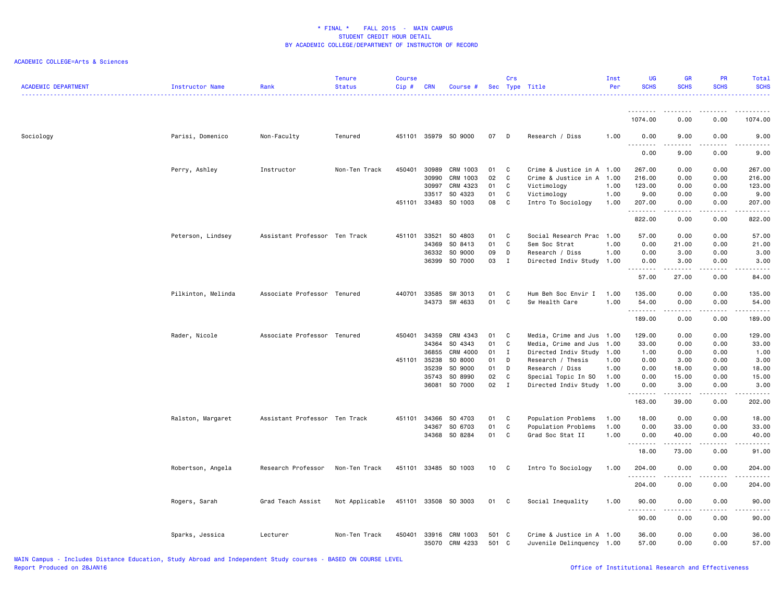| <b>ACADEMIC DEPARTMENT</b> | Instructor Name    | Rank                          | <b>Tenure</b><br><b>Status</b> | <b>Course</b><br>Cip# | <b>CRN</b>     | Course #             |              | Crs          | Sec Type Title                                         | Inst<br>Per | UG<br><b>SCHS</b>    | <b>GR</b><br><b>SCHS</b>                                                                                                          | <b>PR</b><br><b>SCHS</b> | Total<br><b>SCHS</b><br>22222. |
|----------------------------|--------------------|-------------------------------|--------------------------------|-----------------------|----------------|----------------------|--------------|--------------|--------------------------------------------------------|-------------|----------------------|-----------------------------------------------------------------------------------------------------------------------------------|--------------------------|--------------------------------|
|                            |                    |                               |                                |                       |                |                      |              |              |                                                        |             | <u>.</u>             |                                                                                                                                   |                          | .                              |
|                            |                    |                               |                                |                       |                |                      |              |              |                                                        |             | 1074.00              | 0.00                                                                                                                              | 0.00                     | 1074.00                        |
| Sociology                  | Parisi, Domenico   | Non-Faculty                   | Tenured                        |                       |                | 451101 35979 SO 9000 | 07           | $\mathsf{D}$ | Research / Diss                                        | 1.00        | 0.00                 | 9.00                                                                                                                              | 0.00                     | 9.00                           |
|                            |                    |                               |                                |                       |                |                      |              |              |                                                        |             | 0.00                 | 9.00                                                                                                                              | 0.00                     | 9.00                           |
|                            | Perry, Ashley      | Instructor                    | Non-Ten Track                  | 450401                | 30989          | CRM 1003             | 01           | C            | Crime & Justice in A 1.00                              |             | 267.00               | 0.00                                                                                                                              | 0.00                     | 267.00                         |
|                            |                    |                               |                                |                       | 30990          | CRM 1003             | 02           | C            | Crime & Justice in A                                   | 1.00        | 216.00               | 0.00                                                                                                                              | 0.00                     | 216.00                         |
|                            |                    |                               |                                |                       | 30997          | CRM 4323             | 01           | C            | Victimology                                            | 1.00        | 123.00               | 0.00                                                                                                                              | 0.00                     | 123.00                         |
|                            |                    |                               |                                |                       | 33517          | SO 4323              | 01           | C            | Victimology                                            | 1.00        | 9.00                 | 0.00                                                                                                                              | 0.00                     | 9.00                           |
|                            |                    |                               |                                |                       | 451101 33483   | SO 1003              | 08           | C            | Intro To Sociology                                     | 1.00        | 207.00<br>.          | 0.00<br>$\frac{1}{2} \left( \frac{1}{2} \right) \left( \frac{1}{2} \right) \left( \frac{1}{2} \right) \left( \frac{1}{2} \right)$ | 0.00<br>.                | 207.00<br>.                    |
|                            |                    |                               |                                |                       |                |                      |              |              |                                                        |             | 822.00               | 0.00                                                                                                                              | 0.00                     | 822.00                         |
|                            | Peterson, Lindsey  | Assistant Professor Ten Track |                                | 451101                | 33521          | SO 4803              | 01           | C            | Social Research Prac 1.00                              |             | 57.00                | 0.00                                                                                                                              | 0.00                     | 57.00                          |
|                            |                    |                               |                                |                       | 34369          | SO 8413              | 01           | C            | Sem Soc Strat                                          | 1.00        | 0.00                 | 21.00                                                                                                                             | 0.00                     | 21.00                          |
|                            |                    |                               |                                |                       | 36332          | SO 9000              | 09           | D            | Research / Diss                                        | 1.00        | 0.00                 | 3.00                                                                                                                              | 0.00                     | 3.00                           |
|                            |                    |                               |                                |                       | 36399          | SO 7000              | 03           | Ι.           | Directed Indiv Study 1.00                              |             | 0.00<br>.            | 3.00<br>.                                                                                                                         | 0.00<br>.                | 3.00<br>د د د د د              |
|                            |                    |                               |                                |                       |                |                      |              |              |                                                        |             | 57.00                | 27.00                                                                                                                             | 0.00                     | 84.00                          |
|                            | Pilkinton, Melinda | Associate Professor Tenured   |                                | 440701                | 33585          | SW 3013              | 01           | C            | Hum Beh Soc Envir I                                    | 1.00        | 135.00               | 0.00                                                                                                                              | 0.00                     | 135.00                         |
|                            |                    |                               |                                |                       | 34373          | SW 4633              | 01           | C            | Sw Health Care                                         | 1.00        | 54.00<br>.           | 0.00                                                                                                                              | 0.00                     | 54.00<br>.                     |
|                            |                    |                               |                                |                       |                |                      |              |              |                                                        |             | 189.00               | 0.00                                                                                                                              | 0.00                     | 189.00                         |
|                            | Rader, Nicole      | Associate Professor Tenured   |                                | 450401                | 34359          | CRM 4343             | 01           | C            | Media, Crime and Jus 1.00                              |             | 129.00               | 0.00                                                                                                                              | 0.00                     | 129.00                         |
|                            |                    |                               |                                |                       | 34364          | SO 4343              | 01           | $\mathtt{C}$ | Media, Crime and Jus                                   | 1.00        | 33.00                | 0.00                                                                                                                              | 0.00                     | 33.00                          |
|                            |                    |                               |                                |                       | 36855          | CRM 4000             | 01           | $\bf{I}$     | Directed Indiv Study                                   | 1.00        | 1.00                 | 0.00                                                                                                                              | 0.00                     | 1.00                           |
|                            |                    |                               |                                | 451101 35238          |                | SO 8000              | 01           | D            | Research / Thesis                                      | 1.00        | 0.00                 | 3.00                                                                                                                              | 0.00                     | 3.00                           |
|                            |                    |                               |                                |                       | 35239          | SO 9000              | 01           | D            | Research / Diss                                        | 1.00        | 0.00                 | 18.00                                                                                                                             | 0.00                     | 18.00                          |
|                            |                    |                               |                                |                       | 35743          | SO 8990              | 02           | C            | Special Topic In SO                                    | 1.00        | 0.00                 | 15.00                                                                                                                             | 0.00                     | 15.00                          |
|                            |                    |                               |                                |                       | 36081          | SO 7000              | 02           | $\mathbf{I}$ | Directed Indiv Study 1.00                              |             | 0.00<br>.            | 3.00<br>.                                                                                                                         | 0.00<br>.                | 3.00<br>.                      |
|                            |                    |                               |                                |                       |                |                      |              |              |                                                        |             | 163.00               | 39.00                                                                                                                             | 0.00                     | 202.00                         |
|                            | Ralston, Margaret  | Assistant Professor Ten Track |                                | 451101                | 34366          | SO 4703              | 01           | C            | Population Problems                                    | 1.00        | 18.00                | 0.00                                                                                                                              | 0.00                     | 18.00                          |
|                            |                    |                               |                                |                       | 34367          | SO 6703              | 01           | $\mathsf C$  | Population Problems                                    | 1.00        | 0.00                 | 33.00                                                                                                                             | 0.00                     | 33.00                          |
|                            |                    |                               |                                |                       |                | 34368 SO 8284        | 01           | C            | Grad Soc Stat II                                       | 1.00        | 0.00<br>--------     | 40.00                                                                                                                             | 0.00<br>.                | 40.00<br>.                     |
|                            |                    |                               |                                |                       |                |                      |              |              |                                                        |             | 18.00                | 73.00                                                                                                                             | 0.00                     | 91.00                          |
|                            | Robertson, Angela  | Research Professor            | Non-Ten Track                  |                       |                | 451101 33485 SO 1003 | 10           | C            | Intro To Sociology                                     | 1.00        | 204.00<br>. <b>.</b> | 0.00                                                                                                                              | 0.00                     | 204.00<br>.                    |
|                            |                    |                               |                                |                       |                |                      |              |              |                                                        |             | 204.00               | 0.00                                                                                                                              | 0.00                     | 204.00                         |
|                            | Rogers, Sarah      | Grad Teach Assist             | Not Applicable                 |                       |                | 451101 33508 SO 3003 | 01           | $\mathbf{C}$ | Social Inequality                                      | 1.00        | 90.00                | 0.00                                                                                                                              | 0.00                     | 90.00                          |
|                            |                    |                               |                                |                       |                |                      |              |              |                                                        |             | .<br>90.00           | 0.00                                                                                                                              | 0.00                     | 90.00                          |
|                            | Sparks, Jessica    | Lecturer                      | Non-Ten Track                  | 450401                | 33916<br>35070 | CRM 1003<br>CRM 4233 | 501 C<br>501 | C            | Crime & Justice in A 1.00<br>Juvenile Delinquency 1.00 |             | 36.00<br>57.00       | 0.00<br>0.00                                                                                                                      | 0.00<br>0.00             | 36.00<br>57.00                 |
|                            |                    |                               |                                |                       |                |                      |              |              |                                                        |             |                      |                                                                                                                                   |                          |                                |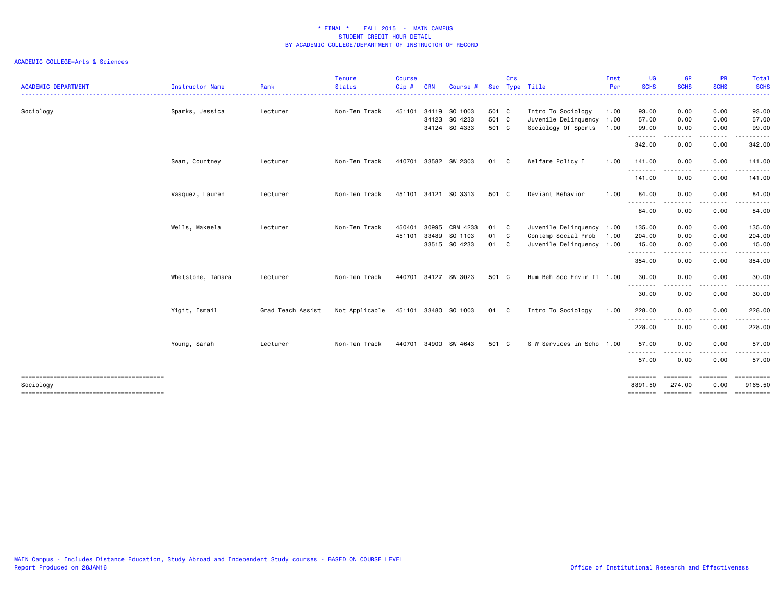| <b>ACADEMIC DEPARTMENT</b> | <b>Instructor Name</b> | Rank              | <b>Tenure</b><br><b>Status</b> | <b>Course</b><br>Cip# | <b>CRN</b>   | Course #             | <b>Sec</b> | Crs          | Type Title                | Inst<br>Per | UG<br><b>SCHS</b>  | <b>GR</b><br><b>SCHS</b> | <b>PR</b><br><b>SCHS</b> | Total<br><b>SCHS</b> |
|----------------------------|------------------------|-------------------|--------------------------------|-----------------------|--------------|----------------------|------------|--------------|---------------------------|-------------|--------------------|--------------------------|--------------------------|----------------------|
|                            |                        |                   |                                |                       |              |                      |            |              |                           |             | .                  | <u>.</u>                 | .                        | .                    |
| Sociology                  | Sparks, Jessica        | Lecturer          | Non-Ten Track                  | 451101                | 34119        | SO 1003              | 501 C      |              | Intro To Sociology        | 1.00        | 93.00              | 0.00                     | 0.00                     | 93.00                |
|                            |                        |                   |                                |                       | 34123        | SO 4233              | 501 C      |              | Juvenile Delinquency 1.00 |             | 57.00              | 0.00                     | 0.00                     | 57.00                |
|                            |                        |                   |                                |                       |              | 34124 SO 4333        | 501 C      |              | Sociology Of Sports       | 1.00        | 99.00<br>.         | 0.00<br>.                | 0.00<br>. <b>.</b> .     | 99.00<br>.           |
|                            |                        |                   |                                |                       |              |                      |            |              |                           |             | 342.00             | 0.00                     | 0.00                     | 342.00               |
|                            | Swan, Courtney         | Lecturer          | Non-Ten Track                  | 440701                |              | 33582 SW 2303        | 01 C       |              | Welfare Policy I          | 1.00        | 141.00             | 0.00                     | 0.00                     | 141.00               |
|                            |                        |                   |                                |                       |              |                      |            |              |                           |             | --------<br>141.00 | $- - -$<br>0.00          | .<br>0.00                | .<br>141.00          |
|                            | Vasquez, Lauren        | Lecturer          | Non-Ten Track                  |                       |              | 451101 34121 SO 3313 | 501 C      |              | Deviant Behavior          | 1.00        | 84.00              | 0.00                     | 0.00                     | 84.00                |
|                            |                        |                   |                                |                       |              |                      |            |              |                           |             | <u>.</u><br>84.00  | 0.00                     | 0.00                     | 84.00                |
|                            | Wells, Makeela         | Lecturer          | Non-Ten Track                  | 450401                | 30995        | CRM 4233             | 01 C       |              | Juvenile Delinquency 1.00 |             | 135.00             | 0.00                     | 0.00                     | 135.00               |
|                            |                        |                   |                                |                       | 451101 33489 | SO 1103              | 01         | $\mathbf{C}$ | Contemp Social Prob       | 1.00        | 204.00             | 0.00                     | 0.00                     | 204.00               |
|                            |                        |                   |                                |                       |              | 33515 SO 4233        | 01         | $\mathbf{C}$ | Juvenile Delinquency 1.00 |             | 15.00              | 0.00                     | 0.00                     | 15.00                |
|                            |                        |                   |                                |                       |              |                      |            |              |                           |             | .                  | .                        | .                        | .                    |
|                            |                        |                   |                                |                       |              |                      |            |              |                           |             | 354.00             | 0.00                     | 0.00                     | 354.00               |
|                            | Whetstone, Tamara      | Lecturer          | Non-Ten Track                  |                       |              | 440701 34127 SW 3023 | 501 C      |              | Hum Beh Soc Envir II 1.00 |             | 30.00              | 0.00                     | 0.00                     | 30.00                |
|                            |                        |                   |                                |                       |              |                      |            |              |                           |             | .<br>30.00         | .<br>0.00                | $\frac{1}{2}$<br>0.00    | .<br>30.00           |
|                            | Yigit, Ismail          | Grad Teach Assist | Not Applicable                 |                       |              | 451101 33480 SO 1003 | 04 C       |              | Intro To Sociology        | 1.00        | 228.00             | 0.00                     | 0.00                     | 228.00               |
|                            |                        |                   |                                |                       |              |                      |            |              |                           |             | .<br>228.00        | 0.00                     | .<br>0.00                | .<br>228.00          |
|                            | Young, Sarah           | Lecturer          | Non-Ten Track                  | 440701                | 34900        | SW 4643              | 501 C      |              | S W Services in Scho 1.00 |             | 57.00              | 0.00                     | 0.00                     | 57.00                |
|                            |                        |                   |                                |                       |              |                      |            |              |                           |             | ---------<br>57.00 | 0.00                     | 0.00                     | .<br>57.00           |
|                            |                        |                   |                                |                       |              |                      |            |              |                           |             | ========           | ========                 | ========                 | ==========           |
| Sociology                  |                        |                   |                                |                       |              |                      |            |              |                           |             | 8891.50            | 274.00                   | 0.00                     | 9165.50              |
|                            |                        |                   |                                |                       |              |                      |            |              |                           |             | <b>EDESSERS</b>    | ========                 | ========                 | ==========           |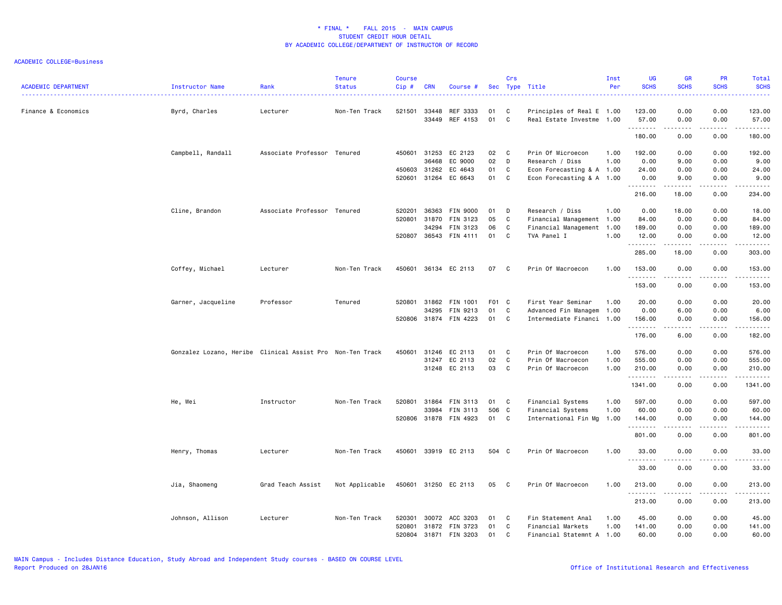| <b>ACADEMIC DEPARTMENT</b> | <b>Instructor Name</b>                                    | Rank                        | <b>Tenure</b><br><b>Status</b> | <b>Course</b><br>Cip# | <b>CRN</b>   | Course #              |       | Crs          | Sec Type Title            | Inst<br>Per | UG<br><b>SCHS</b> | <b>GR</b><br><b>SCHS</b>                                                                                                                                     | <b>PR</b><br><b>SCHS</b> | Total<br><b>SCHS</b>                                                                                                                                                                      |
|----------------------------|-----------------------------------------------------------|-----------------------------|--------------------------------|-----------------------|--------------|-----------------------|-------|--------------|---------------------------|-------------|-------------------|--------------------------------------------------------------------------------------------------------------------------------------------------------------|--------------------------|-------------------------------------------------------------------------------------------------------------------------------------------------------------------------------------------|
| Finance & Economics        | Byrd, Charles                                             | Lecturer                    | Non-Ten Track                  | 521501                | 33448        | REF 3333              | 01    | C            | Principles of Real E 1.00 |             | 123.00            | 0.00                                                                                                                                                         | 0.00                     | 123.00                                                                                                                                                                                    |
|                            |                                                           |                             |                                |                       | 33449        | REF 4153              | 01    | C            | Real Estate Investme 1.00 |             | 57.00<br>.        | 0.00<br>.                                                                                                                                                    | 0.00<br>.                | 57.00<br>.                                                                                                                                                                                |
|                            |                                                           |                             |                                |                       |              |                       |       |              |                           |             | 180.00            | 0.00                                                                                                                                                         | 0.00                     | 180.00                                                                                                                                                                                    |
|                            | Campbell, Randall                                         | Associate Professor Tenured |                                | 450601                | 31253        | EC 2123               | 02    | $\mathbf{C}$ | Prin Of Microecon         | 1.00        | 192.00            | 0.00                                                                                                                                                         | 0.00                     | 192.00                                                                                                                                                                                    |
|                            |                                                           |                             |                                |                       | 36468        | EC 9000               | 02    | D            | Research / Diss           | 1.00        | 0.00              | 9.00                                                                                                                                                         | 0.00                     | 9.00                                                                                                                                                                                      |
|                            |                                                           |                             |                                |                       | 450603 31262 | EC 4643               | 01    | C            | Econ Forecasting & A 1.00 |             | 24.00             | 0.00                                                                                                                                                         | 0.00                     | 24.00                                                                                                                                                                                     |
|                            |                                                           |                             |                                | 520601                | 31264        | EC 6643               | 01    | C            | Econ Forecasting & A 1.00 |             | 0.00<br>.         | 9.00<br>.                                                                                                                                                    | 0.00<br>.                | 9.00<br>الداعات بال                                                                                                                                                                       |
|                            |                                                           |                             |                                |                       |              |                       |       |              |                           |             | 216.00            | 18.00                                                                                                                                                        | 0.00                     | 234.00                                                                                                                                                                                    |
|                            | Cline, Brandon                                            | Associate Professor Tenured |                                | 520201                | 36363        | FIN 9000              | 01    | D            | Research / Diss           | 1.00        | 0.00              | 18.00                                                                                                                                                        | 0.00                     | 18.00                                                                                                                                                                                     |
|                            |                                                           |                             |                                |                       | 520801 31870 | FIN 3123              | 05    | C            | Financial Management 1.00 |             | 84.00             | 0.00                                                                                                                                                         | 0.00                     | 84.00                                                                                                                                                                                     |
|                            |                                                           |                             |                                |                       | 34294        | FIN 3123              | 06    | C            | Financial Management 1.00 |             | 189.00            | 0.00                                                                                                                                                         | 0.00                     | 189.00                                                                                                                                                                                    |
|                            |                                                           |                             |                                |                       |              | 520807 36543 FIN 4111 | 01    | C            | TVA Panel I               | 1.00        | 12.00<br>.        | 0.00<br>$\frac{1}{2} \left( \frac{1}{2} \right) \left( \frac{1}{2} \right) \left( \frac{1}{2} \right) \left( \frac{1}{2} \right) \left( \frac{1}{2} \right)$ | 0.00                     | 12.00<br>22222)                                                                                                                                                                           |
|                            |                                                           |                             |                                |                       |              |                       |       |              |                           |             | 285.00            | 18.00                                                                                                                                                        | 0.00                     | 303.00                                                                                                                                                                                    |
|                            | Coffey, Michael                                           | Lecturer                    | Non-Ten Track                  |                       |              | 450601 36134 EC 2113  | 07    | $\mathbf{C}$ | Prin Of Macroecon         | 1.00        | 153.00            | 0.00                                                                                                                                                         | 0.00                     | 153.00                                                                                                                                                                                    |
|                            |                                                           |                             |                                |                       |              |                       |       |              |                           |             | .<br>153.00       | .<br>0.00                                                                                                                                                    | -----<br>0.00            | $\frac{1}{2} \left( \frac{1}{2} \right) \left( \frac{1}{2} \right) \left( \frac{1}{2} \right) \left( \frac{1}{2} \right) \left( \frac{1}{2} \right) \left( \frac{1}{2} \right)$<br>153.00 |
|                            | Garner, Jacqueline                                        | Professor                   | Tenured                        | 520801                | 31862        | FIN 1001              | F01 C |              | First Year Seminar        | 1.00        | 20.00             | 0.00                                                                                                                                                         | 0.00                     | 20.00                                                                                                                                                                                     |
|                            |                                                           |                             |                                |                       | 34295        | FIN 9213              | 01    | C            | Advanced Fin Managem 1.00 |             | 0.00              | 6.00                                                                                                                                                         | 0.00                     | 6.00                                                                                                                                                                                      |
|                            |                                                           |                             |                                |                       |              | 520806 31874 FIN 4223 | 01 C  |              | Intermediate Financi 1.00 |             | 156.00            | 0.00                                                                                                                                                         | 0.00                     | 156.00                                                                                                                                                                                    |
|                            |                                                           |                             |                                |                       |              |                       |       |              |                           |             | .<br>176.00       | .<br>6.00                                                                                                                                                    | .<br>0.00                | .<br>182.00                                                                                                                                                                               |
|                            | Gonzalez Lozano, Heribe Clinical Assist Pro Non-Ten Track |                             |                                | 450601                | 31246        | EC 2113               | 01    | C            | Prin Of Macroecon         | 1.00        | 576.00            | 0.00                                                                                                                                                         | 0.00                     | 576.00                                                                                                                                                                                    |
|                            |                                                           |                             |                                |                       |              | 31247 EC 2113         | 02    | $\mathbf{C}$ | Prin Of Macroecon         | 1.00        | 555.00            | 0.00                                                                                                                                                         | 0.00                     | 555.00                                                                                                                                                                                    |
|                            |                                                           |                             |                                |                       |              | 31248 EC 2113         | 03    | $\mathbf{C}$ | Prin Of Macroecon         | 1.00        | 210.00            | 0.00                                                                                                                                                         | 0.00                     | 210.00                                                                                                                                                                                    |
|                            |                                                           |                             |                                |                       |              |                       |       |              |                           |             | .<br>1341.00      | المتمالين<br>0.00                                                                                                                                            | المتمالين<br>0.00        | .<br>1341.00                                                                                                                                                                              |
|                            | He, Wei                                                   | Instructor                  | Non-Ten Track                  | 520801                | 31864        | FIN 3113              | 01    | C            | Financial Systems         | 1.00        | 597.00            | 0.00                                                                                                                                                         | 0.00                     | 597.00                                                                                                                                                                                    |
|                            |                                                           |                             |                                |                       | 33984        | <b>FIN 3113</b>       | 506 C |              | Financial Systems         | 1.00        | 60.00             | 0.00                                                                                                                                                         | 0.00                     | 60.00                                                                                                                                                                                     |
|                            |                                                           |                             |                                |                       |              | 520806 31878 FIN 4923 | 01 C  |              | International Fin Mg 1.00 |             | 144.00            | 0.00                                                                                                                                                         | 0.00                     | 144.00                                                                                                                                                                                    |
|                            |                                                           |                             |                                |                       |              |                       |       |              |                           |             | .<br>801.00       | المتمالين<br>0.00                                                                                                                                            | 0.00                     | -----<br>801.00                                                                                                                                                                           |
|                            | Henry, Thomas                                             | Lecturer                    | Non-Ten Track                  |                       |              | 450601 33919 EC 2113  | 504 C |              | Prin Of Macroecon         | 1.00        | 33.00             | 0.00                                                                                                                                                         | 0.00                     | 33.00                                                                                                                                                                                     |
|                            |                                                           |                             |                                |                       |              |                       |       |              |                           |             | .<br>33.00        | .<br>0.00                                                                                                                                                    | .<br>0.00                | .<br>33.00                                                                                                                                                                                |
|                            | Jia, Shaomeng                                             | Grad Teach Assist           | Not Applicable                 |                       |              | 450601 31250 EC 2113  | 05    | $\mathbf{C}$ | Prin Of Macroecon         | 1.00        | 213.00            | 0.00                                                                                                                                                         | 0.00                     | 213.00                                                                                                                                                                                    |
|                            |                                                           |                             |                                |                       |              |                       |       |              |                           |             | .<br>213.00       | 0.00                                                                                                                                                         | 0.00                     | 213.00                                                                                                                                                                                    |
|                            | Johnson, Allison                                          | Lecturer                    | Non-Ten Track                  | 520301                | 30072        | ACC 3203              | 01    | C            | Fin Statement Anal        | 1.00        | 45.00             | 0.00                                                                                                                                                         | 0.00                     | 45.00                                                                                                                                                                                     |
|                            |                                                           |                             |                                | 520801                |              | 31872 FIN 3723        | 01    | C            | Financial Markets         | 1.00        | 141.00            | 0.00                                                                                                                                                         | 0.00                     | 141.00                                                                                                                                                                                    |
|                            |                                                           |                             |                                | 520804                |              | 31871 FIN 3203        | 01    | C            | Financial Statemnt A 1.00 |             | 60.00             | 0.00                                                                                                                                                         | 0.00                     | 60.00                                                                                                                                                                                     |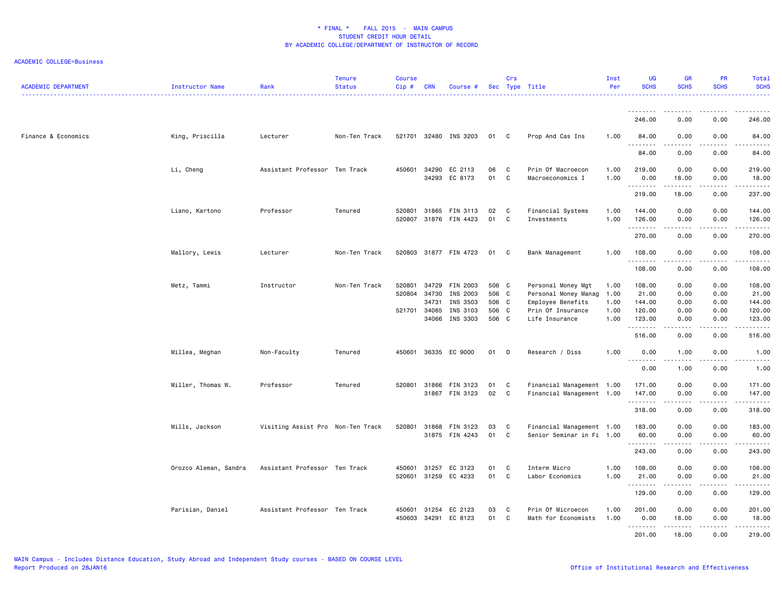| <b>ACADEMIC DEPARTMENT</b> | Instructor Name       | Rank                              | <b>Tenure</b><br><b>Status</b> | <b>Course</b><br>Cip# | <b>CRN</b> | Course #              |       | Crs          | Sec Type Title            | Inst<br>Per | UG<br><b>SCHS</b> | <b>GR</b><br><b>SCHS</b>                    | <b>PR</b><br><b>SCHS</b>       | Total<br><b>SCHS</b>                                                                                                                                           |
|----------------------------|-----------------------|-----------------------------------|--------------------------------|-----------------------|------------|-----------------------|-------|--------------|---------------------------|-------------|-------------------|---------------------------------------------|--------------------------------|----------------------------------------------------------------------------------------------------------------------------------------------------------------|
|                            |                       |                                   |                                |                       |            |                       |       |              |                           |             | .                 |                                             |                                |                                                                                                                                                                |
|                            |                       |                                   |                                |                       |            |                       |       |              |                           |             | 246.00            | 0.00                                        | 0.00                           | 246.00                                                                                                                                                         |
| Finance & Economics        | King, Priscilla       | Lecturer                          | Non-Ten Track                  |                       |            | 521701 32480 INS 3203 | 01 C  |              | Prop And Cas Ins          | 1.00        | 84.00<br>.        | 0.00<br>د د د د                             | 0.00<br>.                      | 84.00<br>.                                                                                                                                                     |
|                            |                       |                                   |                                |                       |            |                       |       |              |                           |             | 84.00             | 0.00                                        | 0.00                           | 84.00                                                                                                                                                          |
|                            | Li, Cheng             | Assistant Professor Ten Track     |                                | 450601 34290          |            | EC 2113               | 06    | C            | Prin Of Macroecon         | 1.00        | 219.00            | 0.00                                        | 0.00                           | 219.00                                                                                                                                                         |
|                            |                       |                                   |                                |                       |            | 34293 EC 8173         | 01    | C            | Macroeconomics I          | 1.00        | 0.00<br>.         | 18.00<br>.                                  | 0.00<br>.                      | 18.00                                                                                                                                                          |
|                            |                       |                                   |                                |                       |            |                       |       |              |                           |             | 219.00            | 18.00                                       | 0.00                           | 237.00                                                                                                                                                         |
|                            | Liano, Kartono        | Professor                         | Tenured                        | 520801                |            | 31865 FIN 3113        | 02    | C            | Financial Systems         | 1.00        | 144.00            | 0.00                                        | 0.00                           | 144.00                                                                                                                                                         |
|                            |                       |                                   |                                | 520807                |            | 31876 FIN 4423        | 01    | C            | Investments               | 1.00        | 126.00<br>.       | 0.00<br>.                                   | 0.00<br>.                      | 126.00<br><u>.</u>                                                                                                                                             |
|                            |                       |                                   |                                |                       |            |                       |       |              |                           |             | 270.00            | 0.00                                        | 0.00                           | 270.00                                                                                                                                                         |
|                            | Mallory, Lewis        | Lecturer                          | Non-Ten Track                  |                       |            | 520803 31877 FIN 4723 | 01 C  |              | Bank Management           | 1.00        | 108.00<br>.       | 0.00<br>.                                   | 0.00<br>.                      | 108.00<br>$- - - - - -$                                                                                                                                        |
|                            |                       |                                   |                                |                       |            |                       |       |              |                           |             | 108.00            | 0.00                                        | 0.00                           | 108.00                                                                                                                                                         |
|                            | Metz, Tammi           | Instructor                        | Non-Ten Track                  | 520801                | 34729      | FIN 2003              | 506 C |              | Personal Money Mgt        | 1.00        | 108.00            | 0.00                                        | 0.00                           | 108.00                                                                                                                                                         |
|                            |                       |                                   |                                | 520804 34730          |            | INS 2003              | 506 C |              | Personal Money Manag      | 1.00        | 21.00             | 0.00                                        | 0.00                           | 21.00                                                                                                                                                          |
|                            |                       |                                   |                                |                       | 34731      | INS 3503              | 506 C |              | Employee Benefits         | 1.00        | 144.00            | 0.00                                        | 0.00                           | 144.00                                                                                                                                                         |
|                            |                       |                                   |                                | 521701 34065          |            | INS 3103              | 506 C |              | Prin Of Insurance         | 1.00        | 120.00            | 0.00                                        | 0.00                           | 120.00                                                                                                                                                         |
|                            |                       |                                   |                                |                       |            | 34066 INS 3303        | 506 C |              | Life Insurance            | 1.00        | 123.00<br>.       | 0.00<br>.                                   | 0.00<br>.                      | 123.00<br>$\frac{1}{2} \left( \frac{1}{2} \right) \left( \frac{1}{2} \right) \left( \frac{1}{2} \right) \left( \frac{1}{2} \right) \left( \frac{1}{2} \right)$ |
|                            |                       |                                   |                                |                       |            |                       |       |              |                           |             | 516.00            | 0.00                                        | 0.00                           | 516.00                                                                                                                                                         |
|                            | Millea, Meghan        | Non-Faculty                       | Tenured                        | 450601                |            | 36335 EC 9000         | 01    | D            | Research / Diss           | 1.00        | 0.00              | 1.00<br>.                                   | 0.00                           | 1.00                                                                                                                                                           |
|                            |                       |                                   |                                |                       |            |                       |       |              |                           |             | 0.00              | 1.00                                        | 0.00                           | 1.00                                                                                                                                                           |
|                            | Miller, Thomas W.     | Professor                         | Tenured                        | 520801 31866          |            | FIN 3123              | 01    | C            | Financial Management 1.00 |             | 171.00            | 0.00                                        | 0.00                           | 171.00                                                                                                                                                         |
|                            |                       |                                   |                                |                       |            | 31867 FIN 3123        | 02    | $\mathbf{C}$ | Financial Management 1.00 |             | 147.00<br>.       | 0.00<br>-----                               | 0.00<br>.                      | 147.00<br>.                                                                                                                                                    |
|                            |                       |                                   |                                |                       |            |                       |       |              |                           |             | 318.00            | 0.00                                        | 0.00                           | 318.00                                                                                                                                                         |
|                            | Mills, Jackson        | Visiting Assist Pro Non-Ten Track |                                | 520801                |            | 31868 FIN 3123        | 03    | C            | Financial Management 1.00 |             | 183.00            | 0.00                                        | 0.00                           | 183.00                                                                                                                                                         |
|                            |                       |                                   |                                |                       |            | 31875 FIN 4243        | 01    | C            | Senior Seminar in Fi 1.00 |             | 60.00<br>.        | 0.00<br>.                                   | 0.00                           | 60.00<br>-----                                                                                                                                                 |
|                            |                       |                                   |                                |                       |            |                       |       |              |                           |             | 243.00            | 0.00                                        | 0.00                           | 243.00                                                                                                                                                         |
|                            | Orozco Aleman, Sandra | Assistant Professor Ten Track     |                                | 450601                | 31257      | EC 3123               | 01    | C            | Interm Micro              | 1.00        | 108.00            | 0.00                                        | 0.00                           | 108.00                                                                                                                                                         |
|                            |                       |                                   |                                |                       |            | 520601 31259 EC 4233  | 01    | C            | Labor Economics           | 1.00        | 21.00<br>.        | 0.00<br>.                                   | 0.00<br><b><i><u>.</u></i></b> | 21.00<br>.                                                                                                                                                     |
|                            |                       |                                   |                                |                       |            |                       |       |              |                           |             | 129.00            | 0.00                                        | 0.00                           | 129.00                                                                                                                                                         |
|                            | Parisian, Daniel      | Assistant Professor Ten Track     |                                | 450601                | 31254      | EC 2123               | 03    | C            | Prin Of Microecon         | 1.00        | 201.00            | 0.00                                        | 0.00                           | 201.00                                                                                                                                                         |
|                            |                       |                                   |                                | 450603                |            | 34291 EC 8123         | 01    | $\mathbf{C}$ | Math for Economists       | 1.00        | 0.00              | 18.00                                       | 0.00                           | 18.00                                                                                                                                                          |
|                            |                       |                                   |                                |                       |            |                       |       |              |                           |             | .<br>201.00       | $\sim$ $\sim$ $\sim$ $\sim$ $\sim$<br>18.00 | 0.00                           | 219.00                                                                                                                                                         |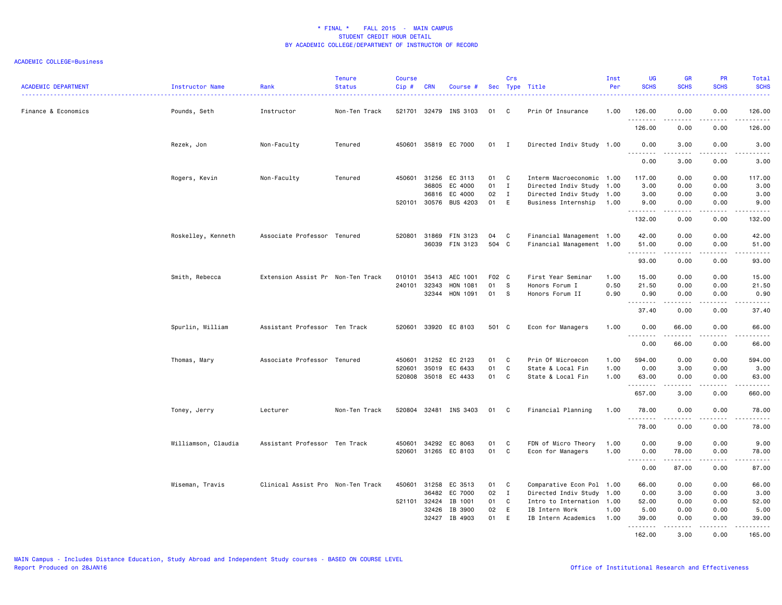| <b>ACADEMIC DEPARTMENT</b> | Instructor Name     | Rank                              | Tenure<br><b>Status</b> | <b>Course</b><br>$Cip \#$ | <b>CRN</b>     | Course #              |          | Crs          | Sec Type Title                         | Inst<br>Per  | UG<br><b>SCHS</b>  | <b>GR</b><br><b>SCHS</b> | PR<br><b>SCHS</b>                                                                                                                                    | Total<br><b>SCHS</b>                                                                                                                                                          |
|----------------------------|---------------------|-----------------------------------|-------------------------|---------------------------|----------------|-----------------------|----------|--------------|----------------------------------------|--------------|--------------------|--------------------------|------------------------------------------------------------------------------------------------------------------------------------------------------|-------------------------------------------------------------------------------------------------------------------------------------------------------------------------------|
| Finance & Economics        | Pounds, Seth        | Instructor                        | Non-Ten Track           |                           |                | 521701 32479 INS 3103 | 01       | C            | Prin Of Insurance                      | 1.00         | 126.00             | 0.00                     | 0.00                                                                                                                                                 | 126.00                                                                                                                                                                        |
|                            |                     |                                   |                         |                           |                |                       |          |              |                                        |              | .<br>126.00        | .<br>0.00                | .<br>0.00                                                                                                                                            | .<br>126.00                                                                                                                                                                   |
|                            | Rezek, Jon          | Non-Faculty                       | Tenured                 |                           |                | 450601 35819 EC 7000  | 01 I     |              | Directed Indiv Study 1.00              |              | 0.00               | 3.00                     | 0.00                                                                                                                                                 | 3.00                                                                                                                                                                          |
|                            |                     |                                   |                         |                           |                |                       |          |              |                                        |              | .<br>0.00          | -----<br>3.00            | المتمامين<br>0.00                                                                                                                                    | $\frac{1}{2} \left( \frac{1}{2} \right) \left( \frac{1}{2} \right) \left( \frac{1}{2} \right) \left( \frac{1}{2} \right) \left( \frac{1}{2} \right)$<br>$\frac{1}{2}$<br>3.00 |
|                            | Rogers, Kevin       | Non-Faculty                       | Tenured                 | 450601                    | 31256          | EC 3113               | 01       | C            | Interm Macroeconomic 1.00              |              | 117.00             | 0.00                     | 0.00                                                                                                                                                 | 117.00                                                                                                                                                                        |
|                            |                     |                                   |                         |                           | 36805          | EC 4000               | 01       | I            | Directed Indiv Study 1.00              |              | 3.00               | 0.00                     | 0.00                                                                                                                                                 | 3.00                                                                                                                                                                          |
|                            |                     |                                   |                         |                           | 36816          | EC 4000               | 02       | $\mathbf{I}$ | Directed Indiv Study 1.00              |              | 3.00               | 0.00                     | 0.00                                                                                                                                                 | 3.00                                                                                                                                                                          |
|                            |                     |                                   |                         |                           |                | 520101 30576 BUS 4203 | 01       | E            | Business Internship                    | 1.00         | 9.00<br>. <b>.</b> | 0.00<br>.                | 0.00<br>.                                                                                                                                            | 9.00<br>.                                                                                                                                                                     |
|                            |                     |                                   |                         |                           |                |                       |          |              |                                        |              | 132.00             | 0.00                     | 0.00                                                                                                                                                 | 132.00                                                                                                                                                                        |
|                            | Roskelley, Kenneth  | Associate Professor Tenured       |                         |                           | 520801 31869   | FIN 3123              | 04       | C            | Financial Management 1.00              |              | 42.00              | 0.00                     | 0.00                                                                                                                                                 | 42.00                                                                                                                                                                         |
|                            |                     |                                   |                         |                           | 36039          | FIN 3123              | 504 C    |              | Financial Management 1.00              |              | 51.00              | 0.00                     | 0.00                                                                                                                                                 | 51.00                                                                                                                                                                         |
|                            |                     |                                   |                         |                           |                |                       |          |              |                                        |              | .                  | -----                    | .                                                                                                                                                    | .                                                                                                                                                                             |
|                            |                     |                                   |                         |                           |                |                       |          |              |                                        |              | 93.00              | 0.00                     | 0.00                                                                                                                                                 | 93.00                                                                                                                                                                         |
|                            | Smith, Rebecca      | Extension Assist Pr Non-Ten Track |                         | 010101                    | 35413          | AEC 1001              | F02      | $\mathbf{C}$ | First Year Seminar                     | 1.00         | 15.00              | 0.00                     | 0.00                                                                                                                                                 | 15.00                                                                                                                                                                         |
|                            |                     |                                   |                         |                           | 240101 32343   | HON 1081              | 01       | s            | Honors Forum I                         | 0.50         | 21.50              | 0.00                     | 0.00                                                                                                                                                 | 21.50                                                                                                                                                                         |
|                            |                     |                                   |                         |                           | 32344          | HON 1091              | 01       | S            | Honors Forum II                        | 0.90         | 0.90               | 0.00                     | 0.00                                                                                                                                                 | 0.90                                                                                                                                                                          |
|                            |                     |                                   |                         |                           |                |                       |          |              |                                        |              | .                  | .                        | $\frac{1}{2} \left( \frac{1}{2} \right) \left( \frac{1}{2} \right) \left( \frac{1}{2} \right) \left( \frac{1}{2} \right)$                            | .                                                                                                                                                                             |
|                            |                     |                                   |                         |                           |                |                       |          |              |                                        |              | 37.40              | 0.00                     | 0.00                                                                                                                                                 | 37.40                                                                                                                                                                         |
|                            | Spurlin, William    | Assistant Professor Ten Track     |                         |                           |                | 520601 33920 EC 8103  | 501 C    |              | Econ for Managers                      | 1.00         | 0.00<br>.          | 66.00                    | 0.00                                                                                                                                                 | 66.00<br>.                                                                                                                                                                    |
|                            |                     |                                   |                         |                           |                |                       |          |              |                                        |              | 0.00               | 66.00                    | 0.00                                                                                                                                                 | 66.00                                                                                                                                                                         |
|                            |                     |                                   |                         |                           |                |                       |          |              |                                        |              |                    |                          |                                                                                                                                                      |                                                                                                                                                                               |
|                            | Thomas, Mary        | Associate Professor Tenured       |                         | 450601<br>520601          | 31252<br>35019 | EC 2123<br>EC 6433    | 01<br>01 | C<br>C       | Prin Of Microecon                      | 1.00<br>1.00 | 594.00<br>0.00     | 0.00                     | 0.00<br>0.00                                                                                                                                         | 594.00                                                                                                                                                                        |
|                            |                     |                                   |                         |                           |                | 520808 35018 EC 4433  | 01       | C            | State & Local Fin<br>State & Local Fin | 1.00         | 63.00              | 3.00<br>0.00             | 0.00                                                                                                                                                 | 3.00<br>63.00                                                                                                                                                                 |
|                            |                     |                                   |                         |                           |                |                       |          |              |                                        |              | .                  | -----                    | -----                                                                                                                                                | <b></b>                                                                                                                                                                       |
|                            |                     |                                   |                         |                           |                |                       |          |              |                                        |              | 657.00             | 3.00                     | 0.00                                                                                                                                                 | 660.00                                                                                                                                                                        |
|                            | Toney, Jerry        | Lecturer                          | Non-Ten Track           |                           |                | 520804 32481 INS 3403 | 01 C     |              | Financial Planning                     | 1.00         | 78.00<br><u>.</u>  | 0.00<br>$- - - - -$      | 0.00<br>.                                                                                                                                            | 78.00<br>.                                                                                                                                                                    |
|                            |                     |                                   |                         |                           |                |                       |          |              |                                        |              | 78.00              | 0.00                     | 0.00                                                                                                                                                 | 78.00                                                                                                                                                                         |
|                            | Williamson, Claudia | Assistant Professor Ten Track     |                         | 450601                    | 34292          | EC 8063               | 01       | <b>C</b>     | FDN of Micro Theory                    | 1.00         | 0.00               | 9.00                     | 0.00                                                                                                                                                 | 9.00                                                                                                                                                                          |
|                            |                     |                                   |                         |                           |                | 520601 31265 EC 8103  | 01       | C            | Econ for Managers                      | 1.00         | 0.00               | 78.00                    | 0.00                                                                                                                                                 | 78.00                                                                                                                                                                         |
|                            |                     |                                   |                         |                           |                |                       |          |              |                                        |              |                    | .                        | $\frac{1}{2} \left( \frac{1}{2} \right) \left( \frac{1}{2} \right) \left( \frac{1}{2} \right) \left( \frac{1}{2} \right) \left( \frac{1}{2} \right)$ | .                                                                                                                                                                             |
|                            |                     |                                   |                         |                           |                |                       |          |              |                                        |              | 0.00               | 87.00                    | 0.00                                                                                                                                                 | 87.00                                                                                                                                                                         |
|                            | Wiseman, Travis     | Clinical Assist Pro Non-Ten Track |                         | 450601                    | 31258          | EC 3513               | 01       | C            | Comparative Econ Pol 1.00              |              | 66.00              | 0.00                     | 0.00                                                                                                                                                 | 66.00                                                                                                                                                                         |
|                            |                     |                                   |                         |                           | 36482          | EC 7000               | 02       | I            | Directed Indiv Study 1.00              |              | 0.00               | 3.00                     | 0.00                                                                                                                                                 | 3.00                                                                                                                                                                          |
|                            |                     |                                   |                         |                           | 521101 32424   | IB 1001               | 01       | C            | Intro to Internation 1.00              |              | 52.00              | 0.00                     | 0.00                                                                                                                                                 | 52.00                                                                                                                                                                         |
|                            |                     |                                   |                         |                           | 32426          | IB 3900               | 02       | E            | IB Intern Work                         | 1.00         | 5.00               | 0.00                     | 0.00                                                                                                                                                 | 5.00                                                                                                                                                                          |
|                            |                     |                                   |                         |                           | 32427          | IB 4903               | 01       | E            | IB Intern Academics                    | 1.00         | 39.00              | 0.00                     | 0.00                                                                                                                                                 | 39.00                                                                                                                                                                         |
|                            |                     |                                   |                         |                           |                |                       |          |              |                                        |              | .<br>162.00        | $- - - - -$<br>3.00      | .<br>0.00                                                                                                                                            | .<br>165.00                                                                                                                                                                   |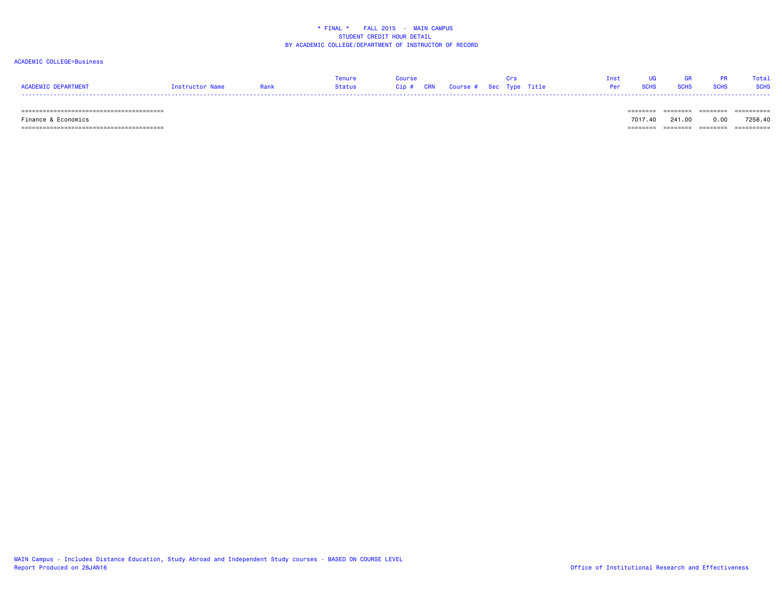### ACADEMIC COLLEGE=Business

|                     |                 |        |                                   | Tnst |               |             | Total       |
|---------------------|-----------------|--------|-----------------------------------|------|---------------|-------------|-------------|
| ACADEMIC DEPARTMENT | Instructor Name | Status | Cip # CRN Course # Sec Type Title |      | Per SCHS SCHS | <b>SCHS</b> | <b>SCHS</b> |
| -----               |                 |        |                                   |      |               |             |             |

======================================== ======== ======== ======== ==========

======================================== ======== ======== ======== ==========

 Finance & Economics 7017.40 241.00 0.00 7258.40-------- ------- -------- ---------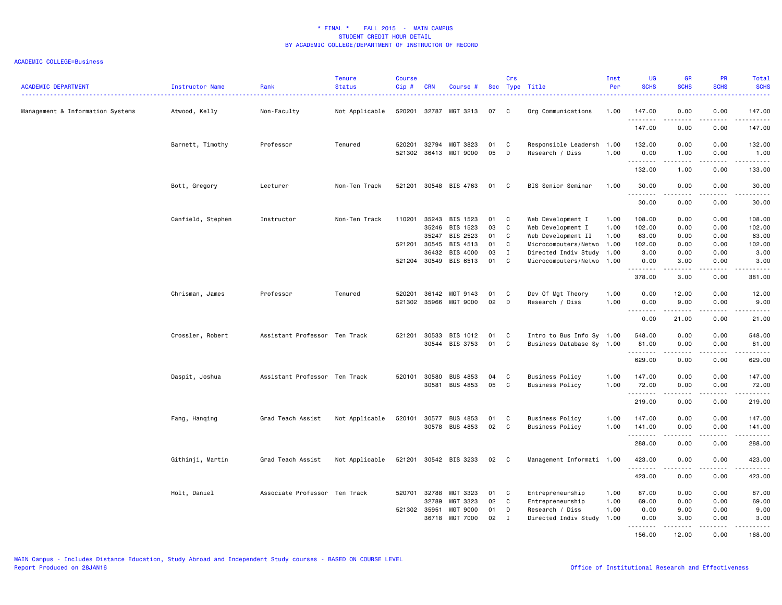| <b>ACADEMIC DEPARTMENT</b>       | Instructor Name   | Rank                          | Tenure<br><b>Status</b> | <b>Course</b><br>Cip# | <b>CRN</b>                   | Course #              | Sec      | Crs         | Type Title                                   | Inst<br>Per | UG<br><b>SCHS</b> | <b>GR</b><br><b>SCHS</b> | PR<br><b>SCHS</b>                                                                                                                 | Total<br><b>SCHS</b>                                                                                                                                                                      |
|----------------------------------|-------------------|-------------------------------|-------------------------|-----------------------|------------------------------|-----------------------|----------|-------------|----------------------------------------------|-------------|-------------------|--------------------------|-----------------------------------------------------------------------------------------------------------------------------------|-------------------------------------------------------------------------------------------------------------------------------------------------------------------------------------------|
| Management & Information Systems | Atwood, Kelly     | Non-Faculty                   | Not Applicable          |                       |                              | 520201 32787 MGT 3213 | 07       | C           | Org Communications                           | 1.00        | 147.00<br>.       | 0.00                     | 0.00<br>$\sim$ $\sim$ $\sim$                                                                                                      | 147.00<br>.                                                                                                                                                                               |
|                                  |                   |                               |                         |                       |                              |                       |          |             |                                              |             | 147.00            | 0.00                     | 0.00                                                                                                                              | 147.00                                                                                                                                                                                    |
|                                  | Barnett, Timothy  | Professor                     | Tenured                 |                       | 520201 32794<br>521302 36413 | MGT 3823<br>MGT 9000  | 01<br>05 | C<br>D      | Responsible Leadersh 1.00<br>Research / Diss | 1.00        | 132.00<br>0.00    | 0.00<br>1.00             | 0.00<br>0.00                                                                                                                      | 132.00<br>1.00                                                                                                                                                                            |
|                                  |                   |                               |                         |                       |                              |                       |          |             |                                              |             | .<br>132.00       | 1.00                     | $\frac{1}{2}$<br>0.00                                                                                                             | .<br>133.00                                                                                                                                                                               |
|                                  | Bott, Gregory     | Lecturer                      | Non-Ten Track           |                       |                              | 521201 30548 BIS 4763 | 01       | C           | BIS Senior Seminar                           | 1.00        | 30.00             | 0.00                     | 0.00                                                                                                                              | 30.00                                                                                                                                                                                     |
|                                  |                   |                               |                         |                       |                              |                       |          |             |                                              |             | .<br>30.00        | -----<br>0.00            | .<br>0.00                                                                                                                         | .<br>30.00                                                                                                                                                                                |
|                                  | Canfield, Stephen | Instructor                    | Non-Ten Track           | 110201                | 35243                        | BIS 1523              | 01       | C           | Web Development I                            | 1.00        | 108.00            | 0.00                     | 0.00                                                                                                                              | 108.00                                                                                                                                                                                    |
|                                  |                   |                               |                         |                       | 35246                        | BIS 1523              | 03       | C           | Web Development I                            | 1.00        | 102.00            | 0.00                     | 0.00                                                                                                                              | 102.00                                                                                                                                                                                    |
|                                  |                   |                               |                         |                       | 35247                        | BIS 2523              | 01       | C           | Web Development II                           | 1.00        | 63.00             | 0.00                     | 0.00                                                                                                                              | 63.00                                                                                                                                                                                     |
|                                  |                   |                               |                         |                       | 521201 30545                 | BIS 4513              | 01       | C           | Microcomputers/Netwo                         | 1.00        | 102.00            | 0.00                     | 0.00                                                                                                                              | 102.00                                                                                                                                                                                    |
|                                  |                   |                               |                         |                       | 36432                        | BIS 4000              | 03       | $\mathbf I$ | Directed Indiv Study 1.00                    |             | 3.00              | 0.00                     | 0.00                                                                                                                              | 3.00                                                                                                                                                                                      |
|                                  |                   |                               |                         |                       |                              |                       |          |             |                                              |             |                   |                          |                                                                                                                                   |                                                                                                                                                                                           |
|                                  |                   |                               |                         |                       | 521204 30549                 | BIS 6513              | 01       | C           | Microcomputers/Netwo 1.00                    |             | 0.00              | 3.00                     | 0.00                                                                                                                              | 3.00                                                                                                                                                                                      |
|                                  |                   |                               |                         |                       |                              |                       |          |             |                                              |             | .<br>378.00       | .<br>3.00                | .<br>0.00                                                                                                                         | .<br>381.00                                                                                                                                                                               |
|                                  | Chrisman, James   | Professor                     | Tenured                 | 520201                | 36142                        | MGT 9143              | 01       | C           | Dev Of Mgt Theory                            | 1.00        | 0.00              | 12.00                    | 0.00                                                                                                                              | 12.00                                                                                                                                                                                     |
|                                  |                   |                               |                         |                       | 521302 35966                 | MGT 9000              | 02       | D           | Research / Diss                              | 1.00        | 0.00              | 9.00                     | 0.00                                                                                                                              | 9.00                                                                                                                                                                                      |
|                                  |                   |                               |                         |                       |                              |                       |          |             |                                              |             | .                 | $\frac{1}{2}$            | .                                                                                                                                 | $-$ - - - - $-$                                                                                                                                                                           |
|                                  |                   |                               |                         |                       |                              |                       |          |             |                                              |             | 0.00              | 21.00                    | 0.00                                                                                                                              | 21.00                                                                                                                                                                                     |
|                                  | Crossler, Robert  | Assistant Professor Ten Track |                         | 521201                | 30533                        | BIS 1012              | 01       | C           | Intro to Bus Info Sy 1.00                    |             | 548.00            | 0.00                     | 0.00                                                                                                                              | 548.00                                                                                                                                                                                    |
|                                  |                   |                               |                         |                       |                              |                       |          |             |                                              |             |                   |                          |                                                                                                                                   |                                                                                                                                                                                           |
|                                  |                   |                               |                         |                       | 30544                        | BIS 3753              | 01       | C           | Business Database Sy 1.00                    |             | 81.00             | 0.00                     | 0.00                                                                                                                              | 81.00                                                                                                                                                                                     |
|                                  |                   |                               |                         |                       |                              |                       |          |             |                                              |             | .<br>629.00       | .<br>0.00                | .<br>0.00                                                                                                                         | .<br>629.00                                                                                                                                                                               |
|                                  | Daspit, Joshua    | Assistant Professor Ten Track |                         |                       | 520101 30580                 | <b>BUS 4853</b>       | 04       | C           | <b>Business Policy</b>                       | 1.00        | 147.00            | 0.00                     | 0.00                                                                                                                              | 147.00                                                                                                                                                                                    |
|                                  |                   |                               |                         |                       |                              |                       |          | C           |                                              |             |                   |                          |                                                                                                                                   |                                                                                                                                                                                           |
|                                  |                   |                               |                         |                       | 30581                        | <b>BUS 4853</b>       | 05       |             | <b>Business Policy</b>                       | 1.00        | 72.00             | 0.00                     | 0.00                                                                                                                              | 72.00                                                                                                                                                                                     |
|                                  |                   |                               |                         |                       |                              |                       |          |             |                                              |             | .<br>219.00       | 0.00                     | $\frac{1}{2} \left( \frac{1}{2} \right) \left( \frac{1}{2} \right) \left( \frac{1}{2} \right) \left( \frac{1}{2} \right)$<br>0.00 | .<br>219.00                                                                                                                                                                               |
|                                  | Fang, Hanqing     | Grad Teach Assist             | Not Applicable          | 520101                | 30577                        | <b>BUS 4853</b>       | 01       | C           | <b>Business Policy</b>                       | 1.00        | 147.00            | 0.00                     | 0.00                                                                                                                              | 147.00                                                                                                                                                                                    |
|                                  |                   |                               |                         |                       |                              | 30578 BUS 4853        | 02       | C           | <b>Business Policy</b>                       | 1.00        | 141.00            | 0.00                     | 0.00                                                                                                                              | 141.00                                                                                                                                                                                    |
|                                  |                   |                               |                         |                       |                              |                       |          |             |                                              |             | .                 |                          |                                                                                                                                   | .                                                                                                                                                                                         |
|                                  |                   |                               |                         |                       |                              |                       |          |             |                                              |             | 288.00            | 0.00                     | 0.00                                                                                                                              | 288.00                                                                                                                                                                                    |
|                                  | Githinji, Martin  | Grad Teach Assist             | Not Applicable          |                       |                              | 521201 30542 BIS 3233 | 02       | C           | Management Informati 1.00                    |             | 423.00<br>.       | 0.00<br>.                | 0.00<br>.                                                                                                                         | 423.00<br>$\frac{1}{2} \left( \frac{1}{2} \right) \left( \frac{1}{2} \right) \left( \frac{1}{2} \right) \left( \frac{1}{2} \right) \left( \frac{1}{2} \right) \left( \frac{1}{2} \right)$ |
|                                  |                   |                               |                         |                       |                              |                       |          |             |                                              |             | 423.00            | 0.00                     | 0.00                                                                                                                              | 423.00                                                                                                                                                                                    |
|                                  | Holt, Daniel      | Associate Professor Ten Track |                         | 520701                | 32788                        | MGT 3323              | 01       | C           | Entrepreneurship                             | 1.00        | 87.00             | 0.00                     | 0.00                                                                                                                              | 87.00                                                                                                                                                                                     |
|                                  |                   |                               |                         |                       | 32789                        | MGT 3323              | 02       | C           | Entrepreneurship                             | 1.00        | 69.00             | 0.00                     | 0.00                                                                                                                              | 69.00                                                                                                                                                                                     |
|                                  |                   |                               |                         | 521302 35951          |                              | <b>MGT 9000</b>       | 01       | D           | Research / Diss                              | 1.00        | 0.00              | 9.00                     | 0.00                                                                                                                              | 9.00                                                                                                                                                                                      |
|                                  |                   |                               |                         |                       | 36718                        | MGT 7000              | 02       | Ι.          | Directed Indiv Study                         | 1.00        | 0.00              | 3.00                     | 0.00                                                                                                                              | 3.00                                                                                                                                                                                      |
|                                  |                   |                               |                         |                       |                              |                       |          |             |                                              |             | <u>.</u>          | $- - - - -$              | .                                                                                                                                 | $- - - - -$                                                                                                                                                                               |
|                                  |                   |                               |                         |                       |                              |                       |          |             |                                              |             | 156.00            | 12.00                    | 0.00                                                                                                                              | 168.00                                                                                                                                                                                    |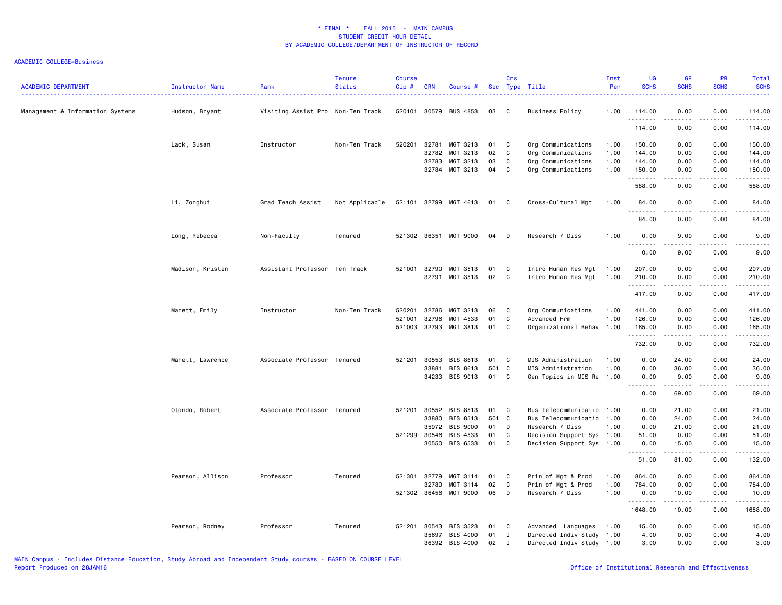| <b>ACADEMIC DEPARTMENT</b>       | Instructor Name  | Rank                              | <b>Tenure</b><br><b>Status</b> | <b>Course</b><br>$Cip$ # | <b>CRN</b>   | Course #              |       | Crs          | Sec Type Title            | Inst<br>Per | <b>UG</b><br><b>SCHS</b>          | GR<br><b>SCHS</b>                                                                                                   | PR<br><b>SCHS</b>                   | Total<br><b>SCHS</b>                                                                                                                                         |
|----------------------------------|------------------|-----------------------------------|--------------------------------|--------------------------|--------------|-----------------------|-------|--------------|---------------------------|-------------|-----------------------------------|---------------------------------------------------------------------------------------------------------------------|-------------------------------------|--------------------------------------------------------------------------------------------------------------------------------------------------------------|
| Management & Information Systems | Hudson, Bryant   | Visiting Assist Pro Non-Ten Track |                                |                          |              | 520101 30579 BUS 4853 | 03    | C            | <b>Business Policy</b>    | 1.00        | 114.00<br>.                       | 0.00<br>.                                                                                                           | 0.00<br>.                           | 114.00<br>$\begin{array}{cccccccccc} \bullet & \bullet & \bullet & \bullet & \bullet & \bullet & \bullet \end{array}$                                        |
|                                  |                  |                                   |                                |                          |              |                       |       |              |                           |             | 114.00                            | 0.00                                                                                                                | 0.00                                | 114.00                                                                                                                                                       |
|                                  | Lack, Susan      | Instructor                        | Non-Ten Track                  | 520201                   | 32781        | MGT 3213              | 01    | C            | Org Communications        | 1.00        | 150.00                            | 0.00                                                                                                                | 0.00                                | 150.00                                                                                                                                                       |
|                                  |                  |                                   |                                |                          | 32782        | MGT 3213              | 02    | C            | Org Communications        | 1.00        | 144.00                            | 0.00                                                                                                                | 0.00                                | 144.00                                                                                                                                                       |
|                                  |                  |                                   |                                |                          | 32783        | MGT 3213              | 03    | C            | Org Communications        | 1.00        | 144.00                            | 0.00                                                                                                                | 0.00                                | 144.00                                                                                                                                                       |
|                                  |                  |                                   |                                |                          | 32784        | MGT 3213              | 04    | C            | Org Communications        | 1.00        | 150.00<br>.                       | 0.00<br>.                                                                                                           | 0.00<br>$- - - -$                   | 150.00<br>.                                                                                                                                                  |
|                                  |                  |                                   |                                |                          |              |                       |       |              |                           |             | 588.00                            | 0.00                                                                                                                | 0.00                                | 588.00                                                                                                                                                       |
|                                  | Li, Zonghui      | Grad Teach Assist                 | Not Applicable                 |                          |              | 521101 32799 MGT 4613 | 01 C  |              | Cross-Cultural Mgt        | 1.00        | 84.00<br>.                        | 0.00<br>-----                                                                                                       | 0.00<br>.                           | 84.00<br>.                                                                                                                                                   |
|                                  |                  |                                   |                                |                          |              |                       |       |              |                           |             | 84.00                             | 0.00                                                                                                                | 0.00                                | 84.00                                                                                                                                                        |
|                                  | Long, Rebecca    | Non-Faculty                       | Tenured                        |                          |              | 521302 36351 MGT 9000 | 04    | D            | Research / Diss           | 1.00        | 0.00                              | 9.00                                                                                                                | 0.00                                | 9.00                                                                                                                                                         |
|                                  |                  |                                   |                                |                          |              |                       |       |              |                           |             | .<br>0.00                         | $\begin{array}{cccccccccc} \bullet & \bullet & \bullet & \bullet & \bullet & \bullet & \bullet \end{array}$<br>9.00 | .<br>0.00                           | 9.00                                                                                                                                                         |
|                                  | Madison, Kristen | Assistant Professor Ten Track     |                                | 521001                   | 32790        | MGT 3513              | 01    | C            | Intro Human Res Mgt       | 1.00        | 207.00                            | 0.00                                                                                                                | 0.00                                | 207.00                                                                                                                                                       |
|                                  |                  |                                   |                                |                          | 32791        | MGT 3513              | 02    | $\mathbf{C}$ | Intro Human Res Mgt       | 1.00        | 210.00                            | 0.00                                                                                                                | 0.00                                | 210.00                                                                                                                                                       |
|                                  |                  |                                   |                                |                          |              |                       |       |              |                           |             | .<br>417.00                       | بالأبادي<br>0.00                                                                                                    | .<br>0.00                           | .<br>417.00                                                                                                                                                  |
|                                  | Marett, Emily    | Instructor                        | Non-Ten Track                  | 520201                   | 32786        | MGT 3213              | 06    | C            | Org Communications        | 1.00        | 441.00                            | 0.00                                                                                                                | 0.00                                | 441.00                                                                                                                                                       |
|                                  |                  |                                   |                                | 521001                   | 32796        | MGT 4533              | 01    | C            | Advanced Hrm              | 1.00        | 126.00                            | 0.00                                                                                                                | 0.00                                | 126.00                                                                                                                                                       |
|                                  |                  |                                   |                                | 521003                   | 32793        | MGT 3813              | 01    | C            | Organizational Behav 1.00 |             | 165.00                            | 0.00                                                                                                                | 0.00                                | 165.00                                                                                                                                                       |
|                                  |                  |                                   |                                |                          |              |                       |       |              |                           |             | .<br>732.00                       | .<br>0.00                                                                                                           | 0.00                                | <u>.</u><br>732.00                                                                                                                                           |
|                                  | Marett, Lawrence | Associate Professor Tenured       |                                | 521201                   | 30553        | BIS 8613              | 01    | C            | MIS Administration        | 1.00        | 0.00                              | 24.00                                                                                                               | 0.00                                | 24.00                                                                                                                                                        |
|                                  |                  |                                   |                                |                          | 33881        | BIS 8613              | 501   | C            | MIS Administration        | 1.00        | 0.00                              | 36.00                                                                                                               | 0.00                                | 36.00                                                                                                                                                        |
|                                  |                  |                                   |                                |                          | 34233        | BIS 9013              | 01    | C            | Gen Topics in MIS Re 1.00 |             | 0.00<br>.<br>$\sim$ $\sim$ $\sim$ | 9.00<br>$\frac{1}{2}$                                                                                               | 0.00<br>$\sim$ $\sim$ $\sim$ $\sim$ | 9.00<br>$\frac{1}{2} \left( \frac{1}{2} \right) \left( \frac{1}{2} \right) \left( \frac{1}{2} \right) \left( \frac{1}{2} \right) \left( \frac{1}{2} \right)$ |
|                                  |                  |                                   |                                |                          |              |                       |       |              |                           |             | 0.00                              | 69.00                                                                                                               | 0.00                                | 69.00                                                                                                                                                        |
|                                  | Otondo, Robert   | Associate Professor Tenured       |                                | 521201                   | 30552        | BIS 8513              | 01    | C.           | Bus Telecommunicatio 1.00 |             | 0.00                              | 21.00                                                                                                               | 0.00                                | 21.00                                                                                                                                                        |
|                                  |                  |                                   |                                |                          | 33880        | BIS 8513              | 501 C |              | Bus Telecommunicatio 1.00 |             | 0.00                              | 24.00                                                                                                               | 0.00                                | 24.00                                                                                                                                                        |
|                                  |                  |                                   |                                |                          | 35972        | BIS 9000              | 01    | D            | Research / Diss           | 1.00        | 0.00                              | 21.00                                                                                                               | 0.00                                | 21.00                                                                                                                                                        |
|                                  |                  |                                   |                                |                          | 521299 30546 | BIS 4533              | 01    | C            | Decision Support Sys 1.00 |             | 51.00                             | 0.00                                                                                                                | 0.00                                | 51.00                                                                                                                                                        |
|                                  |                  |                                   |                                |                          | 30550        | BIS 6533              | 01    | C.           | Decision Support Sys 1.00 |             | 0.00<br>.                         | 15.00<br>.                                                                                                          | 0.00<br>$\sim$ $\sim$ $\sim$ $\sim$ | 15.00<br><u>.</u>                                                                                                                                            |
|                                  |                  |                                   |                                |                          |              |                       |       |              |                           |             | 51.00                             | 81.00                                                                                                               | 0.00                                | 132.00                                                                                                                                                       |
|                                  | Pearson, Allison | Professor                         | Tenured                        | 521301 32779             |              | MGT 3114              | 01    | C            | Prin of Mgt & Prod        | 1.00        | 864.00                            | 0.00                                                                                                                | 0.00                                | 864.00                                                                                                                                                       |
|                                  |                  |                                   |                                |                          | 32780        | MGT 3114              | 02    | C            | Prin of Mgt & Prod        | 1.00        | 784.00                            | 0.00                                                                                                                | 0.00                                | 784.00                                                                                                                                                       |
|                                  |                  |                                   |                                |                          | 521302 36456 | MGT 9000              | 06    | D            | Research / Diss           | 1.00        | 0.00<br>.                         | 10.00<br>$\frac{1}{2}$                                                                                              | 0.00                                | 10.00<br>.                                                                                                                                                   |
|                                  |                  |                                   |                                |                          |              |                       |       |              |                           |             | 1648.00                           | 10.00                                                                                                               | 0.00                                | 1658.00                                                                                                                                                      |
|                                  | Pearson, Rodney  | Professor                         | Tenured                        |                          | 521201 30543 | BIS 3523              | 01    | C            | Advanced Languages        | 1.00        | 15.00                             | 0.00                                                                                                                | 0.00                                | 15.00                                                                                                                                                        |
|                                  |                  |                                   |                                |                          | 35697        | BIS 4000              | 01    | $\mathbf I$  | Directed Indiv Study 1.00 |             | 4.00                              | 0.00                                                                                                                | 0.00                                | 4.00                                                                                                                                                         |
|                                  |                  |                                   |                                |                          | 36392        | BIS 4000              | 02    | $\mathbf{I}$ | Directed Indiv Study 1.00 |             | 3.00                              | 0.00                                                                                                                | 0.00                                | 3.00                                                                                                                                                         |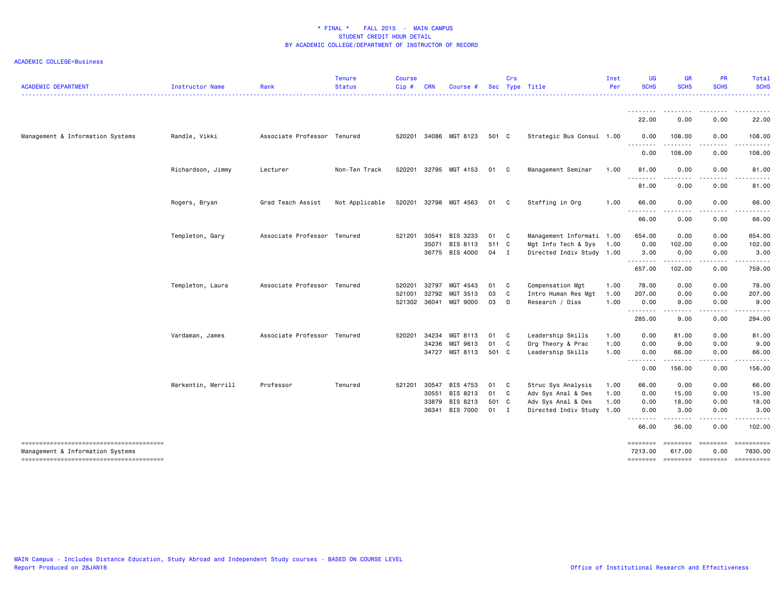| <b>ACADEMIC DEPARTMENT</b>                                                 | Instructor Name    | Rank                        | <b>Tenure</b><br><b>Status</b> | <b>Course</b><br>Cip# | <b>CRN</b> | Course #        |        | Crs            | Sec Type Title            | Inst<br>Per | <b>UG</b><br><b>SCHS</b>                                                                                                                                          | <b>GR</b><br><b>SCHS</b> | <b>PR</b><br><b>SCHS</b> | Total<br><b>SCHS</b> |
|----------------------------------------------------------------------------|--------------------|-----------------------------|--------------------------------|-----------------------|------------|-----------------|--------|----------------|---------------------------|-------------|-------------------------------------------------------------------------------------------------------------------------------------------------------------------|--------------------------|--------------------------|----------------------|
|                                                                            |                    |                             |                                |                       |            |                 |        |                |                           |             | <u> - - - - - - - -</u><br>22.00                                                                                                                                  | .<br>0.00                | 0.00                     | 22.00                |
| Management & Information Systems                                           | Randle, Vikki      | Associate Professor Tenured |                                | 520201                |            | 34086 MGT 8123  | 501 C  |                | Strategic Bus Consul 1.00 |             | 0.00                                                                                                                                                              | 108.00<br>.              | 0.00<br>.                | 108.00               |
|                                                                            |                    |                             |                                |                       |            |                 |        |                |                           |             | <u> - - - - - - - -</u><br>0.00                                                                                                                                   | 108.00                   | 0.00                     | 108.00               |
|                                                                            | Richardson, Jimmy  | Lecturer                    | Non-Ten Track                  | 520201                |            | 32795 MGT 4153  | 01     | $\mathbf{C}$   | Management Seminar        | 1.00        | 81.00<br>.                                                                                                                                                        | 0.00                     | 0.00                     | 81.00                |
|                                                                            |                    |                             |                                |                       |            |                 |        |                |                           |             | 81.00                                                                                                                                                             | 0.00                     | 0.00                     | 81.00                |
|                                                                            | Rogers, Bryan      | Grad Teach Assist           | Not Applicable                 | 520201                | 32798      | MGT 4563        | 01     | C.             | Staffing in Org           | 1.00        | 66.00<br>$\sim$ $\sim$ $\sim$ $\sim$<br>$\frac{1}{2} \left( \frac{1}{2} \right) \left( \frac{1}{2} \right) \left( \frac{1}{2} \right) \left( \frac{1}{2} \right)$ | 0.00<br>.                | 0.00                     | 66.00                |
|                                                                            |                    |                             |                                |                       |            |                 |        |                |                           |             | 66.00                                                                                                                                                             | 0.00                     | 0.00                     | 66.00                |
|                                                                            | Templeton, Gary    | Associate Professor Tenured |                                | 521201                | 30541      | BIS 3233        | 01 C   |                | Management Informati 1.00 |             | 654.00                                                                                                                                                            | 0.00                     | 0.00                     | 654.00               |
|                                                                            |                    |                             |                                |                       | 35071      | BIS 8113        | 511 C  |                | Mgt Info Tech & Sys       | 1.00        | 0.00                                                                                                                                                              | 102.00                   | 0.00                     | 102.00               |
|                                                                            |                    |                             |                                |                       |            | 36775 BIS 4000  | 04 I   |                | Directed Indiv Study 1.00 |             | 3.00<br>.                                                                                                                                                         | 0.00<br><u>.</u>         | 0.00<br>-----            | 3.00                 |
|                                                                            |                    |                             |                                |                       |            |                 |        |                |                           |             | 657.00                                                                                                                                                            | 102.00                   | 0.00                     | 759.00               |
|                                                                            | Templeton, Laura   | Associate Professor Tenured |                                | 520201                | 32797      | MGT 4543        | 01     | C <sub>c</sub> | Compensation Mgt          | 1.00        | 78.00                                                                                                                                                             | 0.00                     | 0.00                     | 78.00                |
|                                                                            |                    |                             |                                | 521001                | 32792      | MGT 3513        | 03     | C              | Intro Human Res Mgt       | 1.00        | 207.00                                                                                                                                                            | 0.00                     | 0.00                     | 207.00               |
|                                                                            |                    |                             |                                | 521302                | 36041      | MGT 9000        | 03     | $\Box$         | Research / Diss           | 1.00        | 0.00<br>$\frac{1}{2}$<br>- - -                                                                                                                                    | 9.00<br>.                | 0.00                     | 9.00                 |
|                                                                            |                    |                             |                                |                       |            |                 |        |                |                           |             | 285.00                                                                                                                                                            | 9.00                     | 0.00                     | 294.00               |
|                                                                            | Vardaman, James    | Associate Professor Tenured |                                | 520201                | 34234      | MGT 8113        | 01     | $\mathbf{C}$   | Leadership Skills         | 1.00        | 0.00                                                                                                                                                              | 81.00                    | 0.00                     | 81.00                |
|                                                                            |                    |                             |                                |                       | 34236      | MGT 9613        | 01 C   |                | Org Theory & Prac         | 1.00        | 0.00                                                                                                                                                              | 9.00                     | 0.00                     | 9.00                 |
|                                                                            |                    |                             |                                |                       | 34727      | MGT 8113        | 501 C  |                | Leadership Skills         | 1.00        | 0.00<br><u>.</u>                                                                                                                                                  | 66.00                    | 0.00                     | 66.00                |
|                                                                            |                    |                             |                                |                       |            |                 |        |                |                           |             | 0.00                                                                                                                                                              | 156.00                   | 0.00                     | 156.00               |
|                                                                            | Warkentin, Merrill | Professor                   | Tenured                        | 521201                | 30547      | BIS 4753        | 01     | $\mathbf{C}$   | Struc Sys Analysis        | 1.00        | 66.00                                                                                                                                                             | 0.00                     | 0.00                     | 66.00                |
|                                                                            |                    |                             |                                |                       | 30551      | BIS 8213        | 01 C   |                | Adv Sys Anal & Des        | 1.00        | 0.00                                                                                                                                                              | 15.00                    | 0.00                     | 15.00                |
|                                                                            |                    |                             |                                |                       | 33879      | BIS 8213        | 501 C  |                | Adv Sys Anal & Des        | 1.00        | 0.00                                                                                                                                                              | 18.00                    | 0.00                     | 18.00                |
|                                                                            |                    |                             |                                |                       | 36341      | <b>BIS 7000</b> | $01$ I |                | Directed Indiv Study 1.00 |             | 0.00<br><u>.</u>                                                                                                                                                  | 3.00<br>. <b>.</b> .     | 0.00<br>-----            | 3.00                 |
|                                                                            |                    |                             |                                |                       |            |                 |        |                |                           |             | 66.00                                                                                                                                                             | 36.00                    | 0.00                     | 102.00               |
| --------------------------------------<br>Management & Information Systems |                    |                             |                                |                       |            |                 |        |                |                           |             | ========<br>7213.00                                                                                                                                               | ========<br>617.00       | ========<br>0.00         | 7830.00              |
|                                                                            |                    |                             |                                |                       |            |                 |        |                |                           |             | ========                                                                                                                                                          | ========                 | ========                 |                      |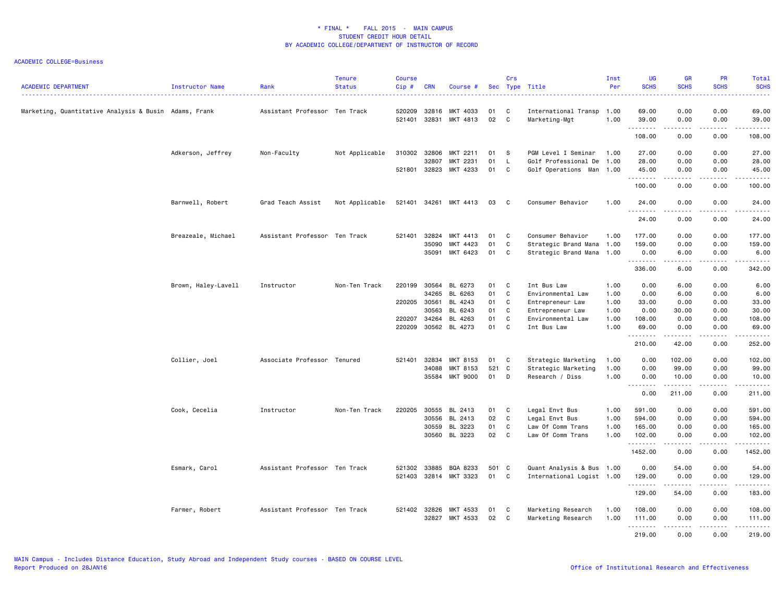| <b>ACADEMIC DEPARTMENT</b>                            | <b>Instructor Name</b> | Rank                          | <b>Tenure</b><br><b>Status</b> | <b>Course</b><br>Cip# | <b>CRN</b>     | Course #              |          | Crs                          | Sec Type Title                   | Inst<br>Per  | UG<br><b>SCHS</b> | <b>GR</b><br><b>SCHS</b>                                                                                                                                                                | <b>PR</b><br><b>SCHS</b> | Total<br><b>SCHS</b><br>$\frac{1}{2} \left( \frac{1}{2} \right) \left( \frac{1}{2} \right) \left( \frac{1}{2} \right) \left( \frac{1}{2} \right)$ |
|-------------------------------------------------------|------------------------|-------------------------------|--------------------------------|-----------------------|----------------|-----------------------|----------|------------------------------|----------------------------------|--------------|-------------------|-----------------------------------------------------------------------------------------------------------------------------------------------------------------------------------------|--------------------------|---------------------------------------------------------------------------------------------------------------------------------------------------|
| Marketing, Quantitative Analysis & Busin Adams, Frank |                        | Assistant Professor Ten Track |                                | 520209                | 32816          | MKT 4033              | 01       | C                            | International Transp 1.00        |              | 69.00             | 0.00                                                                                                                                                                                    | 0.00                     | 69.00                                                                                                                                             |
|                                                       |                        |                               |                                | 521401                | 32831          | MKT 4813              | 02       | $\mathtt{C}$                 | Marketing-Mgt                    | 1.00         | 39.00<br>.        | 0.00<br>$\frac{1}{2} \left( \frac{1}{2} \right) \left( \frac{1}{2} \right) \left( \frac{1}{2} \right) \left( \frac{1}{2} \right) \left( \frac{1}{2} \right) \left( \frac{1}{2} \right)$ | 0.00<br>-----            | 39.00<br>.                                                                                                                                        |
|                                                       |                        |                               |                                |                       |                |                       |          |                              |                                  |              | 108.00            | 0.00                                                                                                                                                                                    | 0.00                     | 108.00                                                                                                                                            |
|                                                       | Adkerson, Jeffrey      | Non-Faculty                   | Not Applicable                 | 310302                | 32806          | MKT 2211              | 01       | -S                           | PGM Level I Seminar              | 1.00         | 27.00             | 0.00                                                                                                                                                                                    | 0.00                     | 27.00                                                                                                                                             |
|                                                       |                        |                               |                                | 521801 32823          | 32807          | MKT 2231<br>MKT 4233  | 01<br>01 | $\mathsf{L}$<br>$\mathbf{C}$ | Golf Professional De             | 1.00         | 28.00<br>45.00    | 0.00<br>0.00                                                                                                                                                                            | 0.00<br>0.00             | 28.00<br>45.00                                                                                                                                    |
|                                                       |                        |                               |                                |                       |                |                       |          |                              | Golf Operations Man 1.00         |              | .                 | .                                                                                                                                                                                       | -----                    | ------                                                                                                                                            |
|                                                       |                        |                               |                                |                       |                |                       |          |                              |                                  |              | 100.00            | 0.00                                                                                                                                                                                    | 0.00                     | 100.00                                                                                                                                            |
|                                                       | Barnwell, Robert       | Grad Teach Assist             | Not Applicable                 | 521401                | 34261          | MKT 4413              | 03       | $\mathbf{C}$                 | Consumer Behavior                | 1.00         | 24.00<br>.        | 0.00<br>.                                                                                                                                                                               | 0.00<br>.                | 24.00<br>.                                                                                                                                        |
|                                                       |                        |                               |                                |                       |                |                       |          |                              |                                  |              | 24.00             | 0.00                                                                                                                                                                                    | 0.00                     | 24.00                                                                                                                                             |
|                                                       | Breazeale, Michael     | Assistant Professor Ten Track |                                | 521401                | 32824          | MKT 4413              | 01       | C                            | Consumer Behavior                | 1.00         | 177.00            | 0.00                                                                                                                                                                                    | 0.00                     | 177.00                                                                                                                                            |
|                                                       |                        |                               |                                |                       | 35090          | MKT 4423              | 01       | C                            | Strategic Brand Mana 1.00        |              | 159.00            | 0.00                                                                                                                                                                                    | 0.00                     | 159.00                                                                                                                                            |
|                                                       |                        |                               |                                |                       | 35091          | MKT 6423              | 01       | C                            | Strategic Brand Mana 1.00        |              | 0.00<br>.         | 6.00<br>.                                                                                                                                                                               | 0.00<br>.                | 6.00<br>.                                                                                                                                         |
|                                                       |                        |                               |                                |                       |                |                       |          |                              |                                  |              | 336.00            | 6.00                                                                                                                                                                                    | 0.00                     | 342.00                                                                                                                                            |
|                                                       | Brown, Haley-Lavell    | Instructor                    | Non-Ten Track                  | 220199                | 30564          | BL 6273               | 01       | C                            | Int Bus Law                      | 1.00         | 0.00              | 6.00                                                                                                                                                                                    | 0.00                     | 6.00                                                                                                                                              |
|                                                       |                        |                               |                                |                       | 34265          | BL 6263               | 01       | $\mathtt{C}$                 | Environmental Law                | 1.00         | 0.00              | 6.00                                                                                                                                                                                    | 0.00                     | 6.00                                                                                                                                              |
|                                                       |                        |                               |                                | 220205 30561          |                | BL 4243               | 01       | C                            | Entrepreneur Law                 | 1.00         | 33.00             | 0.00                                                                                                                                                                                    | 0.00                     | 33.00                                                                                                                                             |
|                                                       |                        |                               |                                |                       | 30563          | BL 6243               | 01       | C                            | Entrepreneur Law                 | 1.00         | 0.00              | 30.00                                                                                                                                                                                   | 0.00                     | 30.00                                                                                                                                             |
|                                                       |                        |                               |                                | 220207<br>220209      | 34264<br>30562 | BL 4263<br>BL 4273    | 01<br>01 | C<br>C                       | Environmental Law<br>Int Bus Law | 1.00<br>1.00 | 108.00<br>69.00   | 0.00<br>0.00                                                                                                                                                                            | 0.00<br>0.00             | 108.00<br>69.00                                                                                                                                   |
|                                                       |                        |                               |                                |                       |                |                       |          |                              |                                  |              | .                 | .                                                                                                                                                                                       | .                        | .                                                                                                                                                 |
|                                                       |                        |                               |                                |                       |                |                       |          |                              |                                  |              | 210.00            | 42.00                                                                                                                                                                                   | 0.00                     | 252.00                                                                                                                                            |
|                                                       | Collier, Joel          | Associate Professor Tenured   |                                | 521401                | 32834          | MKT 8153              | 01       | C                            | Strategic Marketing              | 1.00         | 0.00              | 102.00                                                                                                                                                                                  | 0.00                     | 102.00                                                                                                                                            |
|                                                       |                        |                               |                                |                       | 34088          | MKT 8153              | 521      | C                            | Strategic Marketing              | 1.00         | 0.00              | 99.00                                                                                                                                                                                   | 0.00                     | 99.00                                                                                                                                             |
|                                                       |                        |                               |                                |                       | 35584          | <b>MKT 9000</b>       | 01       | D                            | Research / Diss                  | 1.00         | 0.00              | 10.00<br>.                                                                                                                                                                              | 0.00<br>.                | 10.00<br><b></b>                                                                                                                                  |
|                                                       |                        |                               |                                |                       |                |                       |          |                              |                                  |              | 0.00              | 211.00                                                                                                                                                                                  | 0.00                     | 211.00                                                                                                                                            |
|                                                       | Cook, Cecelia          | Instructor                    | Non-Ten Track                  | 220205                | 30555          | BL 2413               | 01       | C                            | Legal Envt Bus                   | 1.00         | 591.00            | 0.00                                                                                                                                                                                    | 0.00                     | 591.00                                                                                                                                            |
|                                                       |                        |                               |                                |                       | 30556          | BL 2413               | 02       | C                            | Legal Envt Bus                   | 1.00         | 594.00            | 0.00                                                                                                                                                                                    | 0.00                     | 594.00                                                                                                                                            |
|                                                       |                        |                               |                                |                       | 30559          | BL 3223               | 01       | C                            | Law Of Comm Trans                | 1.00         | 165.00            | 0.00                                                                                                                                                                                    | 0.00                     | 165.00                                                                                                                                            |
|                                                       |                        |                               |                                |                       | 30560          | BL 3223               | 02       | C                            | Law Of Comm Trans                | 1.00         | 102.00<br>.       | 0.00<br>.                                                                                                                                                                               | 0.00<br>د د د د          | 102.00<br>.                                                                                                                                       |
|                                                       |                        |                               |                                |                       |                |                       |          |                              |                                  |              | 1452.00           | 0.00                                                                                                                                                                                    | 0.00                     | 1452.00                                                                                                                                           |
|                                                       | Esmark, Carol          | Assistant Professor Ten Track |                                | 521302                | 33885          | BQA 8233              | 501 C    |                              | Quant Analysis & Bus 1.00        |              | 0.00              | 54.00                                                                                                                                                                                   | 0.00                     | 54.00                                                                                                                                             |
|                                                       |                        |                               |                                |                       |                | 521403 32814 MKT 3323 | 01 C     |                              | International Logist 1.00        |              | 129.00<br>.       | 0.00<br>.                                                                                                                                                                               | 0.00<br>.                | 129.00<br>.                                                                                                                                       |
|                                                       |                        |                               |                                |                       |                |                       |          |                              |                                  |              | 129.00            | 54.00                                                                                                                                                                                   | 0.00                     | 183.00                                                                                                                                            |
|                                                       | Farmer, Robert         | Assistant Professor Ten Track |                                |                       | 521402 32826   | MKT 4533              | 01       | C                            | Marketing Research               | 1.00         | 108.00            | 0.00                                                                                                                                                                                    | 0.00                     | 108.00                                                                                                                                            |
|                                                       |                        |                               |                                |                       | 32827          | MKT 4533              | 02       | C <sub>1</sub>               | Marketing Research               | 1.00         | 111.00<br>.       | 0.00<br>.                                                                                                                                                                               | 0.00<br>.                | 111.00<br>.                                                                                                                                       |
|                                                       |                        |                               |                                |                       |                |                       |          |                              |                                  |              | 219.00            | 0.00                                                                                                                                                                                    | 0.00                     | 219.00                                                                                                                                            |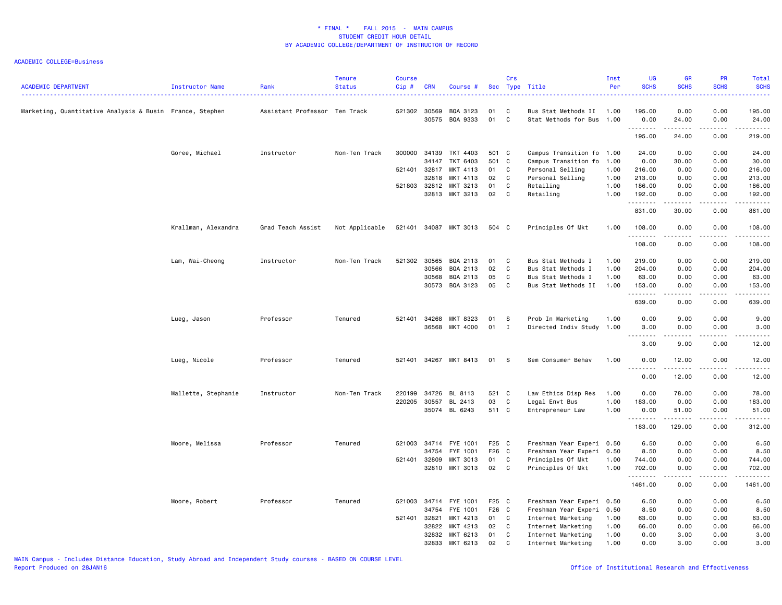| <b>ACADEMIC DEPARTMENT</b>                               | Instructor Name     | Rank                          | <b>Tenure</b><br><b>Status</b> | <b>Course</b><br>Cip# | <b>CRN</b>     | Course #              |          | Crs            | Sec Type Title                              | Inst<br>Per  | <b>UG</b><br><b>SCHS</b> | GR<br><b>SCHS</b> | PR<br><b>SCHS</b> | Total<br><b>SCHS</b>    |
|----------------------------------------------------------|---------------------|-------------------------------|--------------------------------|-----------------------|----------------|-----------------------|----------|----------------|---------------------------------------------|--------------|--------------------------|-------------------|-------------------|-------------------------|
| Marketing, Quantitative Analysis & Busin France, Stephen |                     | Assistant Professor Ten Track |                                | 521302                | 30569<br>30575 | BQA 3123<br>BQA 9333  | 01<br>01 | C<br>C         | Bus Stat Methods II<br>Stat Methods for Bus | 1.00<br>1.00 | 195.00<br>0.00           | 0.00<br>24.00     | 0.00<br>0.00      | 195.00<br>24.00         |
|                                                          |                     |                               |                                |                       |                |                       |          |                |                                             |              | .<br>195.00              | .<br>24.00        | .<br>0.00         | .<br>219.00             |
|                                                          | Goree, Michael      | Instructor                    | Non-Ten Track                  | 300000                | 34139          | TKT 4403              | 501 C    |                | Campus Transition fo 1.00                   |              | 24.00                    | 0.00              | 0.00              | 24.00                   |
|                                                          |                     |                               |                                |                       | 34147          | TKT 6403              | 501 C    |                | Campus Transition fo                        | 1.00         | 0.00                     | 30.00             | 0.00              | 30.00                   |
|                                                          |                     |                               |                                | 521401                | 32817          | MKT 4113              | 01       | C              | Personal Selling                            | 1.00         | 216.00                   | 0.00              | 0.00              | 216.00                  |
|                                                          |                     |                               |                                |                       | 32818          | MKT 4113              | 02       | $\mathbf{C}$   | Personal Selling                            | 1.00         | 213.00                   | 0.00              | 0.00              | 213.00                  |
|                                                          |                     |                               |                                | 521803                | 32812          | MKT 3213              | 01       | C              | Retailing                                   | 1.00         | 186.00                   | 0.00              | 0.00              | 186.00                  |
|                                                          |                     |                               |                                |                       |                | 32813 MKT 3213        | 02       | $\mathbf{C}$   | Retailing                                   | 1.00         | 192.00<br>. <b>.</b>     | 0.00<br>.         | 0.00<br>.         | 192.00<br>$- - - - - -$ |
|                                                          |                     |                               |                                |                       |                |                       |          |                |                                             |              | 831.00                   | 30.00             | 0.00              | 861.00                  |
|                                                          | Krallman, Alexandra | Grad Teach Assist             | Not Applicable                 |                       |                | 521401 34087 MKT 3013 | 504 C    |                | Principles Of Mkt                           | 1.00         | 108.00<br>.              | 0.00<br>-----     | 0.00<br>-----     | 108.00<br><u>.</u>      |
|                                                          |                     |                               |                                |                       |                |                       |          |                |                                             |              | 108.00                   | 0.00              | 0.00              | 108.00                  |
|                                                          | Lam, Wai-Cheong     | Instructor                    | Non-Ten Track                  | 521302                | 30565          | BQA 2113              | 01       | C <sub>1</sub> | Bus Stat Methods I                          | 1.00         | 219.00                   | 0.00              | 0.00              | 219.00                  |
|                                                          |                     |                               |                                |                       | 30566          | BQA 2113              | 02       | C.             | Bus Stat Methods I                          | 1.00         | 204.00                   | 0.00              | 0.00              | 204.00                  |
|                                                          |                     |                               |                                |                       | 30568          | BQA 2113              | 05       | C              | Bus Stat Methods I                          | 1.00         | 63.00                    | 0.00              | 0.00              | 63.00                   |
|                                                          |                     |                               |                                |                       | 30573          | BQA 3123              | 05       | C              | Bus Stat Methods II                         | 1.00         | 153.00<br>.              | 0.00<br>.         | 0.00<br>.         | 153.00<br><u>.</u>      |
|                                                          |                     |                               |                                |                       |                |                       |          |                |                                             |              | 639.00                   | 0.00              | 0.00              | 639.00                  |
|                                                          | Lueg, Jason         | Professor                     | Tenured                        | 521401                | 34268          | MKT 8323              | 01       | S              | Prob In Marketing                           | 1.00         | 0.00                     | 9.00              | 0.00              | 9.00                    |
|                                                          |                     |                               |                                |                       | 36568          | MKT 4000              | 01       | $\mathbf{I}$   | Directed Indiv Study                        | 1.00         | 3.00                     | 0.00              | 0.00              | 3.00                    |
|                                                          |                     |                               |                                |                       |                |                       |          |                |                                             |              | 3.00                     | 9.00              | 0.00              | 12.00                   |
|                                                          | Lueg, Nicole        | Professor                     | Tenured                        |                       |                | 521401 34267 MKT 8413 | 01       | $^{\circ}$ s   | Sem Consumer Behav                          | 1.00         | 0.00                     | 12.00             | 0.00              | 12.00                   |
|                                                          |                     |                               |                                |                       |                |                       |          |                |                                             |              | .<br>0.00                | .<br>12.00        | .<br>0.00         | .<br>12.00              |
|                                                          | Mallette, Stephanie | Instructor                    | Non-Ten Track                  | 220199                | 34726          | BL 8113               | 521 C    |                | Law Ethics Disp Res                         | 1.00         | 0.00                     | 78.00             | 0.00              | 78.00                   |
|                                                          |                     |                               |                                | 220205                | 30557          | BL 2413               | 03       | C              | Legal Envt Bus                              | 1.00         | 183.00                   | 0.00              | 0.00              | 183.00                  |
|                                                          |                     |                               |                                |                       |                | 35074 BL 6243         | 511 C    |                | Entrepreneur Law                            | 1.00         | 0.00<br>.                | 51.00             | 0.00              | 51.00                   |
|                                                          |                     |                               |                                |                       |                |                       |          |                |                                             |              | 183.00                   | 129.00            | 0.00              | 312.00                  |
|                                                          | Moore, Melissa      | Professor                     | Tenured                        |                       | 521003 34714   | FYE 1001              | F25 C    |                | Freshman Year Experi 0.50                   |              | 6.50                     | 0.00              | 0.00              | 6.50                    |
|                                                          |                     |                               |                                |                       | 34754          | FYE 1001              | F26 C    |                | Freshman Year Experi 0.50                   |              | 8.50                     | 0.00              | 0.00              | 8.50                    |
|                                                          |                     |                               |                                | 521401                | 32809          | MKT 3013              | 01       | C              | Principles Of Mkt                           | 1.00         | 744.00                   | 0.00              | 0.00              | 744.00                  |
|                                                          |                     |                               |                                |                       | 32810          | MKT 3013              | 02       | $\mathbf{C}$   | Principles Of Mkt                           | 1.00         | 702.00<br>.              | 0.00              | 0.00              | 702.00<br>.             |
|                                                          |                     |                               |                                |                       |                |                       |          |                |                                             |              | 1461.00                  | 0.00              | 0.00              | 1461.00                 |
|                                                          | Moore, Robert       | Professor                     | Tenured                        |                       | 521003 34714   | FYE 1001              | F25 C    |                | Freshman Year Experi 0.50                   |              | 6.50                     | 0.00              | 0.00              | 6.50                    |
|                                                          |                     |                               |                                |                       | 34754          | FYE 1001              | F26 C    |                | Freshman Year Experi                        | 0.50         | 8.50                     | 0.00              | 0.00              | 8.50                    |
|                                                          |                     |                               |                                | 521401                | 32821          | MKT 4213              | 01 C     |                | Internet Marketing                          | 1.00         | 63.00                    | 0.00              | 0.00              | 63.00                   |
|                                                          |                     |                               |                                |                       | 32822          | MKT 4213              | 02       | $\mathbf{C}$   | Internet Marketing                          | 1.00         | 66.00                    | 0.00              | 0.00              | 66.00                   |
|                                                          |                     |                               |                                |                       | 32832          | MKT 6213              | 01       | C              | Internet Marketing                          | 1.00         | 0.00                     | 3.00              | 0.00              | 3.00                    |
|                                                          |                     |                               |                                |                       | 32833          | MKT 6213              | 02       | C              | Internet Marketing                          | 1.00         | 0.00                     | 3.00              | 0.00              | 3.00                    |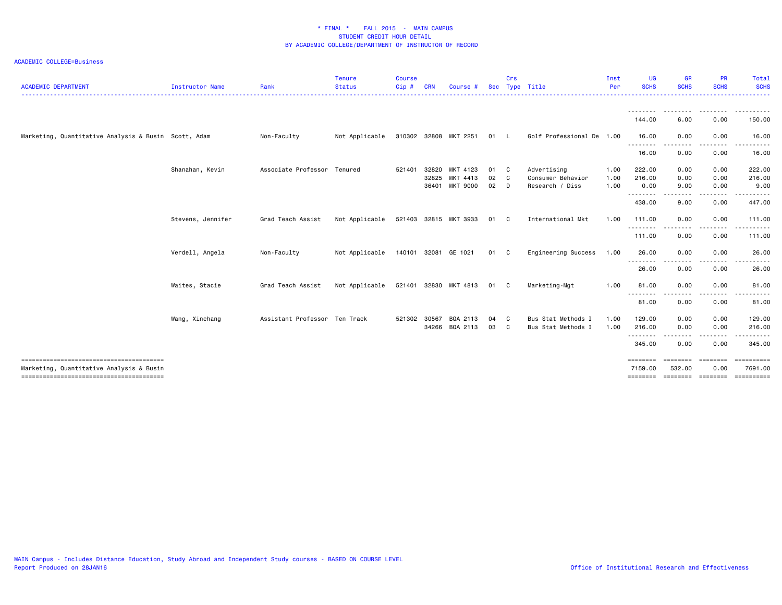| <b>ACADEMIC DEPARTMENT</b>                           | <b>Instructor Name</b> | Rank                          | <b>Tenure</b><br><b>Status</b> | <b>Course</b><br>Cip# | <b>CRN</b>     | Course #                               |                      | Crs                          | Sec Type Title                                      | Inst<br>Per          | UG<br><b>SCHS</b>               | <b>GR</b><br><b>SCHS</b>                      | <b>PR</b><br><b>SCHS</b> | Total<br><b>SCHS</b>                      |
|------------------------------------------------------|------------------------|-------------------------------|--------------------------------|-----------------------|----------------|----------------------------------------|----------------------|------------------------------|-----------------------------------------------------|----------------------|---------------------------------|-----------------------------------------------|--------------------------|-------------------------------------------|
|                                                      |                        |                               |                                |                       |                |                                        |                      |                              |                                                     |                      | --------<br>144.00              | ---------<br>6.00                             | .<br>0.00                | .<br>150.00                               |
| Marketing, Quantitative Analysis & Busin Scott, Adam |                        | Non-Faculty                   | Not Applicable                 |                       |                | 310302 32808 MKT 2251                  | 01 L                 |                              | Golf Professional De 1.00                           |                      | 16.00                           | 0.00                                          | 0.00                     | 16.00                                     |
|                                                      |                        |                               |                                |                       |                |                                        |                      |                              |                                                     |                      | .<br>16.00                      | $\frac{1}{2}$<br>0.00                         | 0.00                     | 16.00                                     |
|                                                      | Shanahan, Kevin        | Associate Professor Tenured   |                                | 521401                | 32820<br>32825 | MKT 4123<br>MKT 4413<br>36401 MKT 9000 | 01 C<br>02 C<br>02 D |                              | Advertising<br>Consumer Behavior<br>Research / Diss | 1.00<br>1.00<br>1.00 | 222.00<br>216.00<br>0.00        | 0.00<br>0.00<br>9.00                          | 0.00<br>0.00<br>0.00     | 222.00<br>216.00<br>9.00                  |
|                                                      |                        |                               |                                |                       |                |                                        |                      |                              |                                                     |                      | ---------<br>438.00             | 9.00                                          | 0.00                     | 447.00                                    |
|                                                      | Stevens, Jennifer      | Grad Teach Assist             | Not Applicable                 |                       |                | 521403 32815 MKT 3933                  | 01 C                 |                              | International Mkt                                   | 1.00                 | 111.00                          | 0.00                                          | 0.00                     | 111.00                                    |
|                                                      |                        |                               |                                |                       |                |                                        |                      |                              |                                                     |                      | .<br>111.00                     | 0.00                                          | 0.00                     | 111.00                                    |
|                                                      | Verdell, Angela        | Non-Faculty                   | Not Applicable                 |                       |                | 140101 32081 GE 1021                   | 01                   | - C                          | Engineering Success                                 | 1.00                 | 26.00                           | 0.00                                          | 0.00                     | 26.00                                     |
|                                                      |                        |                               |                                |                       |                |                                        |                      |                              |                                                     |                      | 26.00                           | 0.00                                          | 0.00                     | 26.00                                     |
|                                                      | Waites, Stacie         | Grad Teach Assist             | Not Applicable                 | 521401                |                | 32830 MKT 4813                         | 01 C                 |                              | Marketing-Mgt                                       | 1.00                 | 81.00                           | 0.00                                          | 0.00                     | 81.00                                     |
|                                                      |                        |                               |                                |                       |                |                                        |                      |                              |                                                     |                      | <u>.</u><br>81.00               | .<br>0.00                                     | 0.00                     | 81.00                                     |
|                                                      | Wang, Xinchang         | Assistant Professor Ten Track |                                | 521302                | 30567<br>34266 | BQA 2113<br>BQA 2113                   | 04<br>03             | $\mathbf{C}$<br>$\mathbf{C}$ | Bus Stat Methods I<br>Bus Stat Methods I            | 1.00<br>1.00         | 129.00<br>216.00                | 0.00<br>0.00                                  | 0.00<br>0.00             | 129.00<br>216.00                          |
|                                                      |                        |                               |                                |                       |                |                                        |                      |                              |                                                     |                      | .<br>345.00                     | ----<br>0.00                                  | .<br>0.00                | 345.00                                    |
| Marketing, Quantitative Analysis & Busin             |                        |                               |                                |                       |                |                                        |                      |                              |                                                     |                      | ========<br>7159.00<br>======== | <b>EEEEEEE</b><br>532.00<br>eccesses eccesses | ========<br>0.00         | ==========<br>7691.00<br><b>ESSESSESS</b> |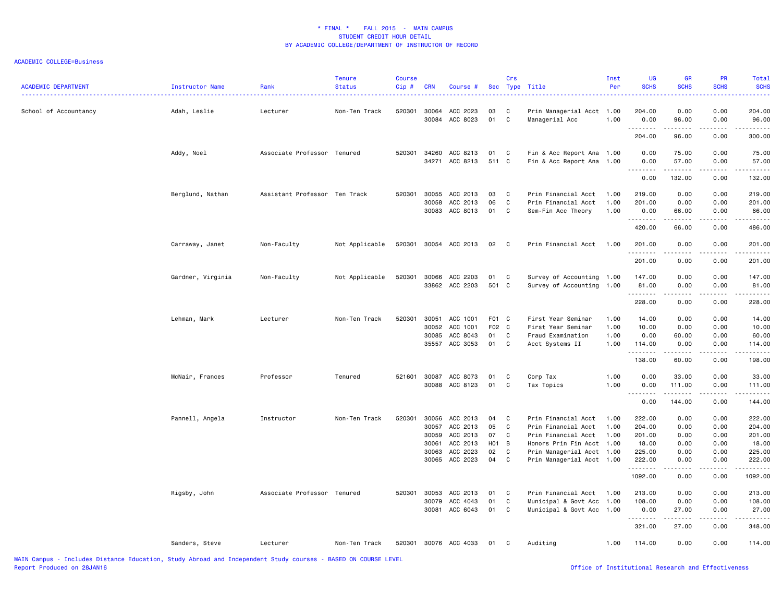| ACADEMIC DEPARTMENT   | <b>Instructor Name</b> | Rank                          | <b>Tenure</b><br><b>Status</b> | <b>Course</b><br>Cip# | <b>CRN</b>     | Course #              |                   | Crs          | Sec Type Title                              | Inst<br>Per | UG<br><b>SCHS</b>                                                                                                                                                                    | <b>GR</b><br><b>SCHS</b> | <b>PR</b><br><b>SCHS</b> | Total<br><b>SCHS</b>                                                                                                                                                                      |
|-----------------------|------------------------|-------------------------------|--------------------------------|-----------------------|----------------|-----------------------|-------------------|--------------|---------------------------------------------|-------------|--------------------------------------------------------------------------------------------------------------------------------------------------------------------------------------|--------------------------|--------------------------|-------------------------------------------------------------------------------------------------------------------------------------------------------------------------------------------|
| School of Accountancy | Adah, Leslie           | Lecturer                      | Non-Ten Track                  | 520301                | 30064<br>30084 | ACC 2023<br>ACC 8023  | 03<br>01          | C<br>C       | Prin Managerial Acct 1.00<br>Managerial Acc | 1.00        | 204.00<br>0.00                                                                                                                                                                       | 0.00<br>96.00            | 0.00<br>0.00             | 204.00<br>96.00                                                                                                                                                                           |
|                       |                        |                               |                                |                       |                |                       |                   |              |                                             |             | <u>.</u><br>204.00                                                                                                                                                                   | .<br>96.00               | .<br>0.00                | .<br>300.00                                                                                                                                                                               |
|                       | Addy, Noel             | Associate Professor           | Tenured                        | 520301                | 34260          | ACC 8213              | 01                | C            | Fin & Acc Report Ana 1.00                   |             | 0.00                                                                                                                                                                                 | 75.00                    | 0.00                     | 75.00                                                                                                                                                                                     |
|                       |                        |                               |                                |                       | 34271          | ACC 8213              | 511 C             |              | Fin & Acc Report Ana                        | 1.00        | 0.00<br>.                                                                                                                                                                            | 57.00                    | 0.00                     | 57.00                                                                                                                                                                                     |
|                       |                        |                               |                                |                       |                |                       |                   |              |                                             |             | 0.00                                                                                                                                                                                 | 132.00                   | 0.00                     | 132.00                                                                                                                                                                                    |
|                       | Berglund, Nathan       | Assistant Professor Ten Track |                                | 520301                | 30055          | ACC 2013              | 03                | $\mathbf{C}$ | Prin Financial Acct                         | 1.00        | 219.00                                                                                                                                                                               | 0.00                     | 0.00                     | 219.00                                                                                                                                                                                    |
|                       |                        |                               |                                |                       | 30058          | ACC 2013              | 06                | C            | Prin Financial Acct                         | 1.00        | 201.00                                                                                                                                                                               | 0.00                     | 0.00                     | 201.00                                                                                                                                                                                    |
|                       |                        |                               |                                |                       | 30083          | ACC 8013              | 01                | C            | Sem-Fin Acc Theory                          | 1.00        | 0.00<br>.                                                                                                                                                                            | 66.00<br>.               | 0.00<br>.                | 66.00<br>2.2.2.2.2.                                                                                                                                                                       |
|                       |                        |                               |                                |                       |                |                       |                   |              |                                             |             | 420.00                                                                                                                                                                               | 66.00                    | 0.00                     | 486.00                                                                                                                                                                                    |
|                       | Carraway, Janet        | Non-Faculty                   | Not Applicable                 | 520301                |                | 30054 ACC 2013        | 02                | $\mathbf{C}$ | Prin Financial Acct                         | 1.00        | 201.00<br>.                                                                                                                                                                          | 0.00<br>.                | 0.00<br>.                | 201.00<br>$\frac{1}{2} \left( \frac{1}{2} \right) \left( \frac{1}{2} \right) \left( \frac{1}{2} \right) \left( \frac{1}{2} \right) \left( \frac{1}{2} \right) \left( \frac{1}{2} \right)$ |
|                       |                        |                               |                                |                       |                |                       |                   |              |                                             |             | 201.00                                                                                                                                                                               | 0.00                     | 0.00                     | 201.00                                                                                                                                                                                    |
|                       | Gardner, Virginia      | Non-Faculty                   | Not Applicable                 | 520301                | 30066          | ACC 2203              | 01                | C            | Survey of Accounting 1.00                   |             | 147.00                                                                                                                                                                               | 0.00                     | 0.00                     | 147.00                                                                                                                                                                                    |
|                       |                        |                               |                                |                       |                | 33862 ACC 2203        | 501 C             |              | Survey of Accounting                        | 1.00        | 81.00<br>.                                                                                                                                                                           | 0.00<br>-----            | 0.00<br>.                | 81.00                                                                                                                                                                                     |
|                       |                        |                               |                                |                       |                |                       |                   |              |                                             |             | 228.00                                                                                                                                                                               | 0.00                     | 0.00                     | 228.00                                                                                                                                                                                    |
|                       | Lehman, Mark           | Lecturer                      | Non-Ten Track                  | 520301                | 30051          | ACC 1001              | F01 C             |              | First Year Seminar                          | 1.00        | 14.00                                                                                                                                                                                | 0.00                     | 0.00                     | 14.00                                                                                                                                                                                     |
|                       |                        |                               |                                |                       | 30052          | ACC 1001              | F02 C             |              | First Year Seminar                          | 1.00        | 10.00                                                                                                                                                                                | 0.00                     | 0.00                     | 10.00                                                                                                                                                                                     |
|                       |                        |                               |                                |                       | 30085          | ACC 8043              | 01                | C            | Fraud Examination                           | 1.00        | 0.00                                                                                                                                                                                 | 60.00                    | 0.00                     | 60.00                                                                                                                                                                                     |
|                       |                        |                               |                                |                       | 35557          | ACC 3053              | 01                | C            | Acct Systems II                             | 1.00        | 114.00<br>.                                                                                                                                                                          | 0.00<br>. <u>.</u>       | 0.00<br>.                | 114.00<br><u>.</u>                                                                                                                                                                        |
|                       |                        |                               |                                |                       |                |                       |                   |              |                                             |             | 138.00                                                                                                                                                                               | 60.00                    | 0.00                     | 198.00                                                                                                                                                                                    |
|                       | McNair, Frances        | Professor                     | Tenured                        | 521601                | 30087          | ACC 8073              | 01                | C            | Corp Tax                                    | 1.00        | 0.00                                                                                                                                                                                 | 33.00                    | 0.00                     | 33.00                                                                                                                                                                                     |
|                       |                        |                               |                                |                       |                | 30088 ACC 8123        | 01                | $\mathbf{C}$ | Tax Topics                                  | 1.00        | 0.00<br>$\sim$ $\sim$ $\sim$<br>$\frac{1}{2} \left( \frac{1}{2} \right) \left( \frac{1}{2} \right) \left( \frac{1}{2} \right) \left( \frac{1}{2} \right) \left( \frac{1}{2} \right)$ | 111.00<br>.              | 0.00<br>د د د د          | 111.00<br>22222                                                                                                                                                                           |
|                       |                        |                               |                                |                       |                |                       |                   |              |                                             |             | 0.00                                                                                                                                                                                 | 144.00                   | 0.00                     | 144.00                                                                                                                                                                                    |
|                       | Pannell, Angela        | Instructor                    | Non-Ten Track                  | 520301                | 30056          | ACC 2013              | 04                | $\mathbf{C}$ | Prin Financial Acct                         | 1.00        | 222.00                                                                                                                                                                               | 0.00                     | 0.00                     | 222.00                                                                                                                                                                                    |
|                       |                        |                               |                                |                       | 30057          | ACC 2013              | 05                | C            | Prin Financial Acct                         | 1.00        | 204.00                                                                                                                                                                               | 0.00                     | 0.00                     | 204.00                                                                                                                                                                                    |
|                       |                        |                               |                                |                       | 30059          | ACC 2013              | 07                | C            | Prin Financial Acct                         | 1.00        | 201.00                                                                                                                                                                               | 0.00                     | 0.00                     | 201.00                                                                                                                                                                                    |
|                       |                        |                               |                                |                       | 30061          | ACC 2013              | H <sub>01</sub> B |              | Honors Prin Fin Acct 1.00                   |             | 18.00                                                                                                                                                                                | 0.00                     | 0.00                     | 18.00                                                                                                                                                                                     |
|                       |                        |                               |                                |                       | 30063<br>30065 | ACC 2023<br>ACC 2023  | 02<br>04          | C<br>C       | Prin Managerial Acct 1.00                   |             | 225.00<br>222.00                                                                                                                                                                     | 0.00<br>0.00             | 0.00<br>0.00             | 225.00<br>222.00                                                                                                                                                                          |
|                       |                        |                               |                                |                       |                |                       |                   |              | Prin Managerial Acct 1.00                   |             | .                                                                                                                                                                                    |                          |                          | .                                                                                                                                                                                         |
|                       |                        |                               |                                |                       |                |                       |                   |              |                                             |             | 1092.00                                                                                                                                                                              | 0.00                     | 0.00                     | 1092.00                                                                                                                                                                                   |
|                       | Rigsby, John           | Associate Professor Tenured   |                                | 520301                | 30053          | ACC 2013              | 01                | C            | Prin Financial Acct                         | 1.00        | 213.00                                                                                                                                                                               | 0.00                     | 0.00                     | 213.00                                                                                                                                                                                    |
|                       |                        |                               |                                |                       | 30079          | ACC 4043              | 01                | C            | Municipal & Govt Acc                        | 1.00        | 108.00                                                                                                                                                                               | 0.00                     | 0.00                     | 108.00                                                                                                                                                                                    |
|                       |                        |                               |                                |                       | 30081          | ACC 6043              | 01                | C            | Municipal & Govt Acc 1.00                   |             | 0.00<br>.                                                                                                                                                                            | 27.00<br>.               | 0.00<br>.                | 27.00<br><u>.</u>                                                                                                                                                                         |
|                       |                        |                               |                                |                       |                |                       |                   |              |                                             |             | 321.00                                                                                                                                                                               | 27.00                    | 0.00                     | 348.00                                                                                                                                                                                    |
|                       | Sanders, Steve         | Lecturer                      | Non-Ten Track                  |                       |                | 520301 30076 ACC 4033 | 01                | C            | Auditing                                    | 1.00        | 114.00                                                                                                                                                                               | 0.00                     | 0.00                     | 114.00                                                                                                                                                                                    |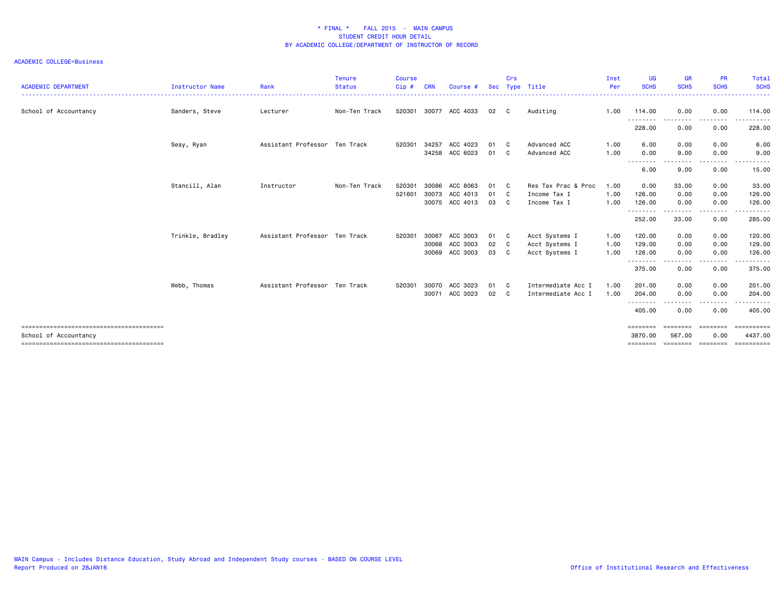| <b>ACADEMIC DEPARTMENT</b> | <b>Instructor Name</b> | Rank                          | <b>Tenure</b><br><b>Status</b> | <b>Course</b><br>$Cip$ # | <b>CRN</b> | Course #       | <b>Sec</b> | Crs | Type Title          | Inst<br>Per | <b>UG</b><br><b>SCHS</b>  | <b>GR</b><br><b>SCHS</b> | <b>PR</b><br><b>SCHS</b> | Total<br><b>SCHS</b>  |
|----------------------------|------------------------|-------------------------------|--------------------------------|--------------------------|------------|----------------|------------|-----|---------------------|-------------|---------------------------|--------------------------|--------------------------|-----------------------|
| School of Accountancy      | Sanders, Steve         | Lecturer                      | Non-Ten Track                  | 520301                   |            | 30077 ACC 4033 | 02         | C.  | Auditing            | 1.00        | 114.00                    | 0.00                     | 0.00                     | 114.00                |
|                            |                        |                               |                                |                          |            |                |            |     |                     |             | --------<br>228.00        | $- - - -$<br>0.00        | .<br>0.00                | .<br>228.00           |
|                            | Seay, Ryan             | Assistant Professor Ten Track |                                | 520301                   | 34257      | ACC 4023       | 01         | C   | Advanced ACC        | 1.00        | 6.00                      | 0.00                     | 0.00                     | 6.00                  |
|                            |                        |                               |                                |                          | 34258      | ACC 6023       | 01         | C   | Advanced ACC        | 1.00        | 0.00<br>--------          | 9.00<br>.                | 0.00<br>.                | 9.00<br>.             |
|                            |                        |                               |                                |                          |            |                |            |     |                     |             | 6.00                      | 9.00                     | 0.00                     | 15.00                 |
|                            | Stancill, Alan         | Instructor                    | Non-Ten Track                  | 520301                   | 30086      | ACC 8063       | 01         | - C | Res Tax Prac & Proc | 1.00        | 0.00                      | 33.00                    | 0.00                     | 33.00                 |
|                            |                        |                               |                                | 521601                   | 30073      | ACC 4013       | 01         | C . | Income Tax I        | 1.00        | 126.00                    | 0.00                     | 0.00                     | 126.00                |
|                            |                        |                               |                                |                          |            | 30075 ACC 4013 | 03         | C.  | Income Tax I        | 1.00        | 126.00                    | 0.00                     | 0.00                     | 126.00                |
|                            |                        |                               |                                |                          |            |                |            |     |                     |             | --------<br>252.00        | --------<br>33.00        | ---------<br>0.00        | .<br>285.00           |
|                            | Trinkle, Bradley       | Assistant Professor Ten Track |                                | 520301                   | 30067      | ACC 3003       | 01         | C.  | Acct Systems I      | 1.00        | 120.00                    | 0.00                     | 0.00                     | 120.00                |
|                            |                        |                               |                                |                          | 30068      | ACC 3003       | 02         | C   | Acct Systems I      | 1.00        | 129.00                    | 0.00                     | 0.00                     | 129.00                |
|                            |                        |                               |                                |                          | 30069      | ACC 3003       | 03         | C   | Acct Systems I      | 1.00        | 126.00                    | 0.00                     | 0.00                     | 126.00                |
|                            |                        |                               |                                |                          |            |                |            |     |                     |             | --------<br>375.00        | 0.00                     | $- - - -$<br>0.00        | .<br>375.00           |
|                            | Webb, Thomas           | Assistant Professor Ten Track |                                | 520301                   | 30070      | ACC 3023       | 01         | C.  | Intermediate Acc I  | 1.00        | 201.00                    | 0.00                     | 0.00                     | 201.00                |
|                            |                        |                               |                                |                          | 30071      | ACC 3023       | 02         | C   | Intermediate Acc I  | 1.00        | 204.00                    | 0.00                     | 0.00                     | 204.00                |
|                            |                        |                               |                                |                          |            |                |            |     |                     |             | --------<br>405.00        | 0.00                     | .<br>0.00                | ------<br>405.00      |
| School of Accountancy      |                        |                               |                                |                          |            |                |            |     |                     |             | <b>EEEEEEE</b><br>3870.00 | ---------<br>567.00      | eeeeeee<br>0.00          | essessesse<br>4437.00 |
|                            |                        |                               |                                |                          |            |                |            |     |                     |             | ========                  | ========                 | eeeeeee                  |                       |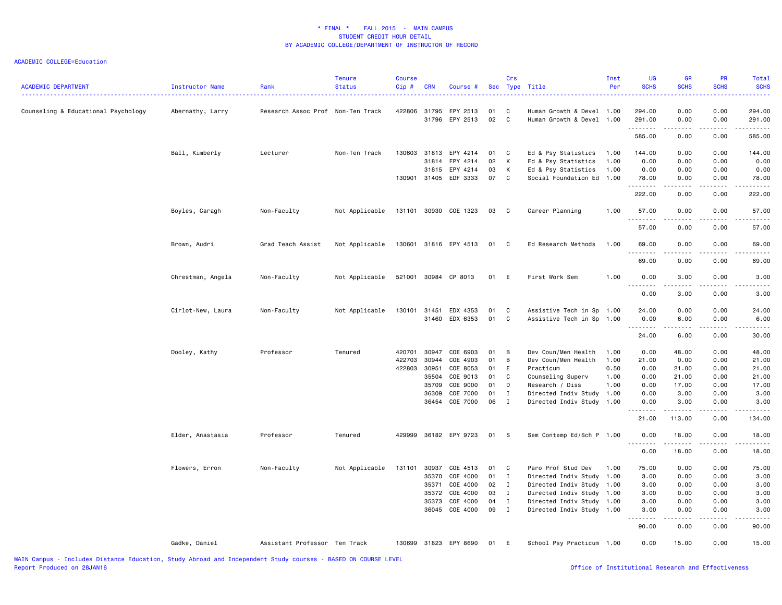| <b>ACADEMIC DEPARTMENT</b>          | Instructor Name   | Rank                              | <b>Tenure</b><br><b>Status</b> | <b>Course</b><br>Cip# | <b>CRN</b>     | Course #              |          | Crs               | Sec Type Title                                         | Inst<br>Per  | UG<br><b>SCHS</b> | <b>GR</b><br><b>SCHS</b> | PR<br><b>SCHS</b> | Total<br><b>SCHS</b>                                                                                                                                           |
|-------------------------------------|-------------------|-----------------------------------|--------------------------------|-----------------------|----------------|-----------------------|----------|-------------------|--------------------------------------------------------|--------------|-------------------|--------------------------|-------------------|----------------------------------------------------------------------------------------------------------------------------------------------------------------|
| Counseling & Educational Psychology | Abernathy, Larry  | Research Assoc Prof Non-Ten Track |                                | 422806                | 31795<br>31796 | EPY 2513<br>EPY 2513  | 01<br>02 | C<br>$\mathtt{C}$ | Human Growth & Devel 1.00<br>Human Growth & Devel 1.00 |              | 294.00<br>291.00  | 0.00<br>0.00             | 0.00<br>0.00      | 294.00<br>291.00                                                                                                                                               |
|                                     |                   |                                   |                                |                       |                |                       |          |                   |                                                        |              | .<br>585.00       | .<br>0.00                | .<br>0.00         | $\frac{1}{2} \left( \frac{1}{2} \right) \left( \frac{1}{2} \right) \left( \frac{1}{2} \right) \left( \frac{1}{2} \right) \left( \frac{1}{2} \right)$<br>585.00 |
|                                     | Ball, Kimberly    | Lecturer                          | Non-Ten Track                  | 130603                | 31813          | EPY 4214              | 01       | C                 | Ed & Psy Statistics                                    | 1.00         | 144.00            | 0.00                     | 0.00              | 144.00                                                                                                                                                         |
|                                     |                   |                                   |                                |                       | 31814          | EPY 4214              | 02       | К                 | Ed & Psy Statistics                                    | 1.00         | 0.00              | 0.00                     | 0.00              | 0.00                                                                                                                                                           |
|                                     |                   |                                   |                                |                       | 31815          | EPY 4214              | 03       | К                 | Ed & Psy Statistics                                    | 1.00         | 0.00              | 0.00                     | 0.00              | 0.00                                                                                                                                                           |
|                                     |                   |                                   |                                |                       |                | 130901 31405 EDF 3333 | 07       | $\mathtt{C}$      | Social Foundation Ed                                   | 1.00         | 78.00<br>.        | 0.00<br>.                | 0.00<br>.         | 78.00<br>.                                                                                                                                                     |
|                                     |                   |                                   |                                |                       |                |                       |          |                   |                                                        |              | 222.00            | 0.00                     | 0.00              | 222.00                                                                                                                                                         |
|                                     | Boyles, Caragh    | Non-Faculty                       | Not Applicable                 |                       |                | 131101 30930 COE 1323 | 03       | C                 | Career Planning                                        | 1.00         | 57.00<br>.        | 0.00<br>الداعات ب        | 0.00<br>.         | 57.00<br>.                                                                                                                                                     |
|                                     |                   |                                   |                                |                       |                |                       |          |                   |                                                        |              | 57.00             | 0.00                     | 0.00              | 57.00                                                                                                                                                          |
|                                     | Brown, Audri      | Grad Teach Assist                 | Not Applicable                 | 130601                |                | 31816 EPY 4513        | 01       | C                 | Ed Research Methods                                    | 1.00         | 69.00             | 0.00                     | 0.00              | 69.00                                                                                                                                                          |
|                                     |                   |                                   |                                |                       |                |                       |          |                   |                                                        |              | 69.00             | 0.00                     | 0.00              | 69.00                                                                                                                                                          |
|                                     | Chrestman, Angela | Non-Faculty                       | Not Applicable                 |                       |                | 521001 30984 CP 8013  | 01       | E                 | First Work Sem                                         | 1.00         | 0.00              | 3.00                     | 0.00              | 3.00                                                                                                                                                           |
|                                     |                   |                                   |                                |                       |                |                       |          |                   |                                                        |              | 0.00              | 3.00                     | 0.00              | 3.00                                                                                                                                                           |
|                                     | Cirlot-New, Laura | Non-Faculty                       | Not Applicable                 | 130101 31451          |                | EDX 4353              | 01       | C                 | Assistive Tech in Sp 1.00                              |              | 24.00             | 0.00                     | 0.00              | 24.00                                                                                                                                                          |
|                                     |                   |                                   |                                |                       |                | 31460 EDX 6353        | 01       | C                 | Assistive Tech in Sp                                   | 1.00         | 0.00              | 6.00                     | 0.00              | 6.00                                                                                                                                                           |
|                                     |                   |                                   |                                |                       |                |                       |          |                   |                                                        |              | .<br>24.00        | المتمام الما<br>6.00     | .<br>0.00         | .<br>30.00                                                                                                                                                     |
|                                     |                   |                                   |                                |                       | 30947          |                       | 01       |                   |                                                        |              |                   |                          |                   |                                                                                                                                                                |
|                                     | Dooley, Kathy     | Professor                         | Tenured                        | 420701<br>422703      | 30944          | COE 6903<br>COE 4903  | 01       | B<br>B            | Dev Coun/Men Health<br>Dev Coun/Men Health             | 1.00<br>1.00 | 0.00<br>21.00     | 48.00<br>0.00            | 0.00<br>0.00      | 48.00<br>21.00                                                                                                                                                 |
|                                     |                   |                                   |                                | 422803                | 30951          | COE 8053              | 01       | E                 | Practicum                                              | 0.50         | 0.00              | 21.00                    | 0.00              | 21.00                                                                                                                                                          |
|                                     |                   |                                   |                                |                       | 35504          | COE 9013              | 01       | C                 | Counseling Superv                                      | 1.00         | 0.00              | 21.00                    | 0.00              | 21.00                                                                                                                                                          |
|                                     |                   |                                   |                                |                       | 35709          | COE 9000              | 01       | D                 | Research / Diss                                        | 1.00         | 0.00              | 17.00                    | 0.00              | 17.00                                                                                                                                                          |
|                                     |                   |                                   |                                |                       | 36309          | COE 7000              | 01       | $\mathbf I$       | Directed Indiv Study                                   | 1.00         | 0.00              | 3.00                     | 0.00              | 3.00                                                                                                                                                           |
|                                     |                   |                                   |                                |                       | 36454          | COE 7000              | 06       | $\mathbf I$       | Directed Indiv Study 1.00                              |              | 0.00              | 3.00                     | 0.00              | 3.00                                                                                                                                                           |
|                                     |                   |                                   |                                |                       |                |                       |          |                   |                                                        |              | وعامات<br>21.00   | 113.00                   | 0.00              | 134.00                                                                                                                                                         |
|                                     | Elder, Anastasia  | Professor                         | Tenured                        | 429999                |                | 36182 EPY 9723        | 01 S     |                   | Sem Contemp Ed/Sch P 1.00                              |              | 0.00              | 18.00                    | 0.00              | 18.00                                                                                                                                                          |
|                                     |                   |                                   |                                |                       |                |                       |          |                   |                                                        |              | .<br>0.00         | <u>.</u><br>18.00        | .<br>0.00         | .<br>18.00                                                                                                                                                     |
|                                     | Flowers, Erron    | Non-Faculty                       | Not Applicable                 | 131101                | 30937          | COE 4513              | 01       | C                 | Paro Prof Stud Dev                                     | 1.00         | 75.00             | 0.00                     | 0.00              | 75.00                                                                                                                                                          |
|                                     |                   |                                   |                                |                       | 35370          | COE 4000              | 01       | $\mathbf{I}$      | Directed Indiv Study                                   | 1.00         | 3.00              | 0.00                     | 0.00              | 3.00                                                                                                                                                           |
|                                     |                   |                                   |                                |                       | 35371          | COE 4000              | 02       | $\mathbf{I}$      | Directed Indiv Study 1.00                              |              | 3.00              | 0.00                     | 0.00              | 3.00                                                                                                                                                           |
|                                     |                   |                                   |                                |                       | 35372          | COE 4000              | 03       | $\mathbf I$       | Directed Indiv Study 1.00                              |              | 3.00              | 0.00                     | 0.00              | 3.00                                                                                                                                                           |
|                                     |                   |                                   |                                |                       | 35373          | COE 4000              | 04       | $\mathbf{I}$      | Directed Indiv Study                                   | 1.00         | 3.00              | 0.00                     | 0.00              | 3.00                                                                                                                                                           |
|                                     |                   |                                   |                                |                       | 36045          | COE 4000              | 09       | $\mathbf{I}$      | Directed Indiv Study 1.00                              |              | 3.00              | 0.00                     | 0.00              | 3.00                                                                                                                                                           |
|                                     |                   |                                   |                                |                       |                |                       |          |                   |                                                        |              | 90.00             | 0.00                     | 0.00              | 90.00                                                                                                                                                          |
|                                     | Gadke, Daniel     | Assistant Professor Ten Track     |                                |                       |                | 130699 31823 EPY 8690 | 01       | E                 | School Psy Practicum 1.00                              |              | 0.00              | 15.00                    | 0.00              | 15.00                                                                                                                                                          |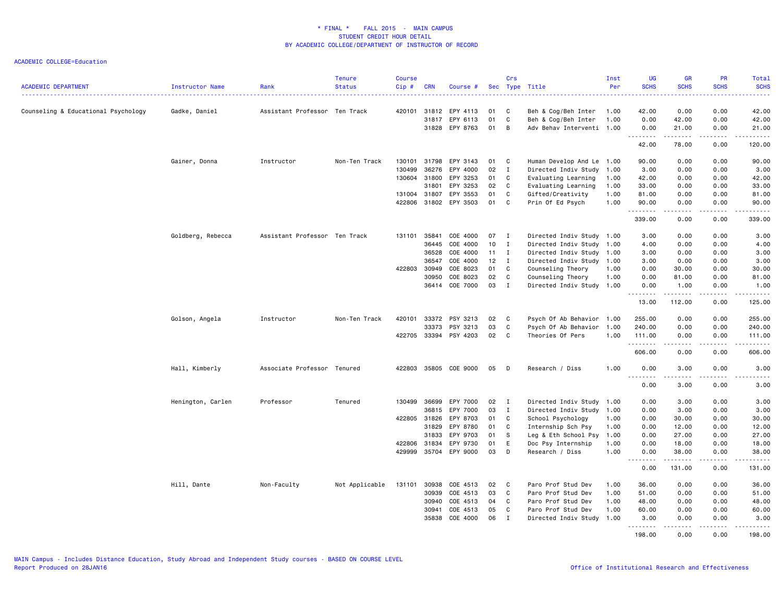| <b>ACADEMIC DEPARTMENT</b>          | Instructor Name   | Rank                          | <b>Tenure</b><br><b>Status</b> | <b>Course</b><br>Cip#  | <b>CRN</b> | Course #                   |          | Crs          | Sec Type Title                                   | Inst<br>Per  | UG<br><b>SCHS</b> | <b>GR</b><br><b>SCHS</b>                                                                                                                                     | <b>PR</b><br><b>SCHS</b> | <b>Total</b><br><b>SCHS</b> |
|-------------------------------------|-------------------|-------------------------------|--------------------------------|------------------------|------------|----------------------------|----------|--------------|--------------------------------------------------|--------------|-------------------|--------------------------------------------------------------------------------------------------------------------------------------------------------------|--------------------------|-----------------------------|
| Counseling & Educational Psychology | Gadke, Daniel     | Assistant Professor Ten Track |                                | 420101                 | 31812      | EPY 4113                   | 01       | C            | Beh & Cog/Beh Inter                              | 1.00         | 42.00             | 0.00                                                                                                                                                         | 0.00                     | 42.00                       |
|                                     |                   |                               |                                |                        | 31817      | EPY 6113<br>31828 EPY 8763 | 01<br>01 | C<br>B       | Beh & Cog/Beh Inter<br>Adv Behav Interventi 1.00 | 1.00         | 0.00<br>0.00      | 42.00<br>21.00                                                                                                                                               | 0.00<br>0.00             | 42.00<br>21.00              |
|                                     |                   |                               |                                |                        |            |                            |          |              |                                                  |              | .<br>42.00        | .<br>78.00                                                                                                                                                   | .<br>0.00                | .<br>120.00                 |
|                                     | Gainer, Donna     | Instructor                    | Non-Ten Track                  | 130101                 | 31798      | EPY 3143                   | 01       | C            | Human Develop And Le 1.00                        |              | 90.00             | 0.00                                                                                                                                                         | 0.00                     | 90.00                       |
|                                     |                   |                               |                                | 130499                 | 36276      | EPY 4000                   | 02       | $\mathbf{I}$ | Directed Indiv Study                             | 1.00         | 3.00              | 0.00                                                                                                                                                         | 0.00                     | 3.00                        |
|                                     |                   |                               |                                | 130604                 | 31800      | EPY 3253                   | 01       | C            | Evaluating Learning                              | 1.00         | 42.00             | 0.00                                                                                                                                                         | 0.00                     | 42.00                       |
|                                     |                   |                               |                                |                        | 31801      | EPY 3253                   | 02<br>01 | C            | Evaluating Learning                              | 1.00         | 33.00             | 0.00                                                                                                                                                         | 0.00                     | 33.00                       |
|                                     |                   |                               |                                | 131004 31807<br>422806 |            | EPY 3553<br>31802 EPY 3503 | 01       | C<br>C.      | Gifted/Creativity<br>Prin Of Ed Psych            | 1.00<br>1.00 | 81.00<br>90.00    | 0.00<br>0.00                                                                                                                                                 | 0.00<br>0.00             | 81.00<br>90.00              |
|                                     |                   |                               |                                |                        |            |                            |          |              |                                                  |              | .                 | $\frac{1}{2} \left( \frac{1}{2} \right) \left( \frac{1}{2} \right) \left( \frac{1}{2} \right) \left( \frac{1}{2} \right) \left( \frac{1}{2} \right)$         | .                        | .                           |
|                                     |                   |                               |                                |                        |            |                            |          |              |                                                  |              | 339.00            | 0.00                                                                                                                                                         | 0.00                     | 339.00                      |
|                                     | Goldberg, Rebecca | Assistant Professor Ten Track |                                | 131101                 | 35841      | COE 4000                   | 07       | $\mathbf{I}$ | Directed Indiv Study 1.00                        |              | 3.00              | 0.00                                                                                                                                                         | 0.00                     | 3.00                        |
|                                     |                   |                               |                                |                        | 36445      | COE 4000                   | 10       | $\mathbf{I}$ | Directed Indiv Study                             | 1.00         | 4.00              | 0.00                                                                                                                                                         | 0.00                     | 4.00                        |
|                                     |                   |                               |                                |                        | 36528      | COE 4000                   | 11       | $\mathbf{I}$ | Directed Indiv Study 1.00                        |              | 3.00              | 0.00                                                                                                                                                         | 0.00                     | 3.00                        |
|                                     |                   |                               |                                |                        | 36547      | COE 4000                   | 12       | I            | Directed Indiv Study 1.00                        |              | 3.00              | 0.00                                                                                                                                                         | 0.00                     | 3.00                        |
|                                     |                   |                               |                                | 422803                 | 30949      | COE 8023                   | 01       | C            | Counseling Theory                                | 1.00         | 0.00              | 30.00                                                                                                                                                        | 0.00                     | 30.00                       |
|                                     |                   |                               |                                |                        | 30950      | COE 8023                   | 02       | C            | Counseling Theory                                | 1.00         | 0.00              | 81.00                                                                                                                                                        | 0.00                     | 81.00                       |
|                                     |                   |                               |                                |                        |            | 36414 COE 7000             | 03       | I            | Directed Indiv Study 1.00                        |              | 0.00<br>--------  | 1.00<br>.                                                                                                                                                    | 0.00<br>.                | 1.00<br>.                   |
|                                     |                   |                               |                                |                        |            |                            |          |              |                                                  |              | 13.00             | 112.00                                                                                                                                                       | 0.00                     | 125.00                      |
|                                     | Golson, Angela    | Instructor                    | Non-Ten Track                  | 420101                 | 33372      | PSY 3213                   | 02       | C            | Psych Of Ab Behavior 1.00                        |              | 255.00            | 0.00                                                                                                                                                         | 0.00                     | 255.00                      |
|                                     |                   |                               |                                |                        | 33373      | PSY 3213                   | 03       | C            | Psych Of Ab Behavior 1.00                        |              | 240.00            | 0.00                                                                                                                                                         | 0.00                     | 240.00                      |
|                                     |                   |                               |                                |                        |            | 422705 33394 PSY 4203      | 02       | C            | Theories Of Pers                                 | 1.00         | 111.00<br>.       | 0.00<br>$\frac{1}{2} \left( \frac{1}{2} \right) \left( \frac{1}{2} \right) \left( \frac{1}{2} \right) \left( \frac{1}{2} \right) \left( \frac{1}{2} \right)$ | 0.00<br><b>.</b>         | 111.00<br>.                 |
|                                     |                   |                               |                                |                        |            |                            |          |              |                                                  |              | 606.00            | 0.00                                                                                                                                                         | 0.00                     | 606.00                      |
|                                     | Hall, Kimberly    | Associate Professor Tenured   |                                | 422803                 |            | 35805 COE 9000             | 05       | D            | Research / Diss                                  | 1.00         | 0.00              | 3.00                                                                                                                                                         | 0.00                     | 3.00                        |
|                                     |                   |                               |                                |                        |            |                            |          |              |                                                  |              | 0.00              | 3.00                                                                                                                                                         | 0.00                     | 3.00                        |
|                                     | Henington, Carlen | Professor                     | Tenured                        | 130499                 | 36699      | EPY 7000                   | 02       | $\mathbf{I}$ | Directed Indiv Study 1.00                        |              | 0.00              | 3.00                                                                                                                                                         | 0.00                     | 3.00                        |
|                                     |                   |                               |                                |                        | 36815      | EPY 7000                   | 03       | $\mathbf{I}$ | Directed Indiv Study 1.00                        |              | 0.00              | 3.00                                                                                                                                                         | 0.00                     | 3.00                        |
|                                     |                   |                               |                                | 422805                 | 31826      | EPY 8703                   | 01       | C            | School Psychology                                | 1.00         | 0.00              | 30.00                                                                                                                                                        | 0.00                     | 30.00                       |
|                                     |                   |                               |                                |                        | 31829      | EPY 8780                   | 01       | C            | Internship Sch Psy                               | 1.00         | 0.00              | 12.00                                                                                                                                                        | 0.00                     | 12.00                       |
|                                     |                   |                               |                                |                        | 31833      | EPY 9703                   | 01       | S            | Leg & Eth School Psy                             | 1.00         | 0.00              | 27.00                                                                                                                                                        | 0.00                     | 27.00                       |
|                                     |                   |                               |                                | 422806                 | 31834      | EPY 9730                   | 01       | E            | Doc Psy Internship                               | 1.00         | 0.00              | 18.00                                                                                                                                                        | 0.00                     | 18.00                       |
|                                     |                   |                               |                                | 429999                 |            | 35704 EPY 9000             | 03       | D            | Research / Diss                                  | 1.00         | 0.00<br>-----     | 38.00<br>. <b>.</b>                                                                                                                                          | 0.00<br>.                | 38.00<br>.                  |
|                                     |                   |                               |                                |                        |            |                            |          |              |                                                  |              | 0.00              | 131.00                                                                                                                                                       | 0.00                     | 131.00                      |
|                                     | Hill, Dante       | Non-Faculty                   | Not Applicable                 | 131101                 | 30938      | COE 4513                   | 02       | C            | Paro Prof Stud Dev                               | 1.00         | 36.00             | 0.00                                                                                                                                                         | 0.00                     | 36.00                       |
|                                     |                   |                               |                                |                        | 30939      | COE 4513                   | 03       | C            | Paro Prof Stud Dev                               | 1.00         | 51.00             | 0.00                                                                                                                                                         | 0.00                     | 51.00                       |
|                                     |                   |                               |                                |                        | 30940      | COE 4513                   | 04       | C            | Paro Prof Stud Dev                               | 1.00         | 48.00             | 0.00                                                                                                                                                         | 0.00                     | 48.00                       |
|                                     |                   |                               |                                |                        | 30941      | COE 4513                   | 05       | C            | Paro Prof Stud Dev                               | 1.00         | 60.00             | 0.00                                                                                                                                                         | 0.00                     | 60.00                       |
|                                     |                   |                               |                                |                        | 35838      | COE 4000                   | 06       | I            | Directed Indiv Study                             | 1.00         | 3.00<br><u>.</u>  | 0.00                                                                                                                                                         | 0.00                     | 3.00<br>.                   |
|                                     |                   |                               |                                |                        |            |                            |          |              |                                                  |              | 198.00            | 0.00                                                                                                                                                         | 0.00                     | 198.00                      |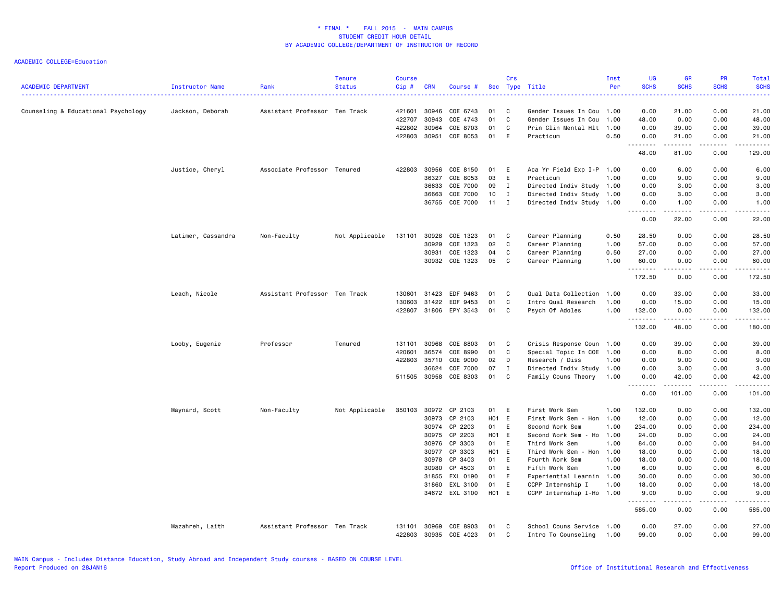| <b>ACADEMIC DEPARTMENT</b>          | <b>Instructor Name</b> | Rank                          | <b>Tenure</b><br><b>Status</b> | <b>Course</b><br>Cip# | <b>CRN</b>     | Course #             |          | Crs          | Sec Type Title                              | Inst<br>Per  | UG<br><b>SCHS</b> | <b>GR</b><br><b>SCHS</b> | <b>PR</b><br><b>SCHS</b> | Total<br><b>SCHS</b> |
|-------------------------------------|------------------------|-------------------------------|--------------------------------|-----------------------|----------------|----------------------|----------|--------------|---------------------------------------------|--------------|-------------------|--------------------------|--------------------------|----------------------|
| Counseling & Educational Psychology | Jackson, Deborah       | Assistant Professor Ten Track |                                | 421601                | 30946          | COE 6743             | 01       | C            | Gender Issues In Cou                        | 1.00         | 0.00              | 21.00                    | 0.00                     | 21.00                |
|                                     |                        |                               |                                | 422707                | 30943          | COE 4743             | 01       | C            | Gender Issues In Cou                        | 1.00         | 48.00             | 0.00                     | 0.00                     | 48.00                |
|                                     |                        |                               |                                | 422802                | 30964          | COE 8703             | 01       | C            | Prin Clin Mental Hlt                        | 1.00         | 0.00              | 39.00                    | 0.00                     | 39.00                |
|                                     |                        |                               |                                | 422803                | 30951          | COE 8053             | 01       | E            | Practicum                                   | 0.50         | 0.00<br>.         | 21.00<br>.               | 0.00<br>.                | 21.00<br>.           |
|                                     |                        |                               |                                |                       |                |                      |          |              |                                             |              | 48.00             | 81.00                    | 0.00                     | 129.00               |
|                                     | Justice, Cheryl        | Associate Professor Tenured   |                                | 422803                | 30956          | COE 8150             | 01 E     |              | Aca Yr Field Exp I-P 1.00                   |              | 0.00              | 6.00                     | 0.00                     | 6.00                 |
|                                     |                        |                               |                                |                       | 36327          | COE 8053             | 03       | E            | Practicum                                   | 1.00         | 0.00              | 9.00                     | 0.00                     | 9.00                 |
|                                     |                        |                               |                                |                       | 36633          | COE 7000             | 09       | I            | Directed Indiv Study 1.00                   |              | 0.00              | 3.00                     | 0.00                     | 3.00                 |
|                                     |                        |                               |                                |                       | 36663          | COE 7000             | 10       | $\mathbf I$  | Directed Indiv Study                        | 1.00         | 0.00              | 3.00                     | 0.00                     | 3.00                 |
|                                     |                        |                               |                                |                       | 36755          | COE 7000             | 11       | $\mathbf{I}$ | Directed Indiv Study                        | 1.00         | 0.00              | 1.00                     | 0.00                     | 1.00                 |
|                                     |                        |                               |                                |                       |                |                      |          |              |                                             |              | 0.00              | 22.00                    | 0.00                     | 22.00                |
|                                     | Latimer, Cassandra     | Non-Faculty                   | Not Applicable                 | 131101                | 30928          | COE 1323             | 01       | C            | Career Planning                             | 0.50         | 28.50             | 0.00                     | 0.00                     | 28.50                |
|                                     |                        |                               |                                |                       | 30929          | COE 1323             | 02       | $\mathtt{C}$ | Career Planning                             | 1.00         | 57.00             | 0.00                     | 0.00                     | 57.00                |
|                                     |                        |                               |                                |                       | 30931          | COE 1323             | 04       | C            | Career Planning                             | 0.50         | 27.00             | 0.00                     | 0.00                     | 27.00                |
|                                     |                        |                               |                                |                       |                | 30932 COE 1323       | 05       | C            | Career Planning                             | 1.00         | 60.00             | 0.00                     | 0.00                     | 60.00                |
|                                     |                        |                               |                                |                       |                |                      |          |              |                                             |              | .<br>172.50       | .<br>0.00                | 0.00                     | .<br>172.50          |
|                                     |                        |                               |                                |                       |                |                      |          |              |                                             |              |                   |                          |                          |                      |
|                                     | Leach, Nicole          | Assistant Professor Ten Track |                                | 130601                | 31423          | EDF 9463             | 01       | C            | Qual Data Collection                        | 1.00         | 0.00              | 33.00                    | 0.00                     | 33.00                |
|                                     |                        |                               |                                | 130603                | 31422          | EDF 9453             | 01       | C            | Intro Qual Research                         | 1.00         | 0.00              | 15.00                    | 0.00                     | 15.00                |
|                                     |                        |                               |                                | 422807                | 31806          | EPY 3543             | 01       | C            | Psych Of Adoles                             | 1.00         | 132.00<br>.       | 0.00<br>.                | 0.00<br>.                | 132.00<br>.          |
|                                     |                        |                               |                                |                       |                |                      |          |              |                                             |              | 132.00            | 48.00                    | 0.00                     | 180.00               |
|                                     | Looby, Eugenie         | Professor                     | Tenured                        | 131101                | 30968          | COE 8803             | 01       | C            | Crisis Response Coun                        | 1.00         | 0.00              | 39.00                    | 0.00                     | 39.00                |
|                                     |                        |                               |                                | 420601                | 36574          | COE 8990             | 01       | C            | Special Topic In COE                        | 1.00         | 0.00              | 8.00                     | 0.00                     | 8.00                 |
|                                     |                        |                               |                                | 422803                | 35710          | COE 9000             | 02       | D            | Research / Diss                             | 1.00         | 0.00              | 9.00                     | 0.00                     | 9.00                 |
|                                     |                        |                               |                                |                       | 36624          | COE 7000             | 07       | Ι.           | Directed Indiv Study 1.00                   |              | 0.00              | 3.00                     | 0.00                     | 3.00                 |
|                                     |                        |                               |                                |                       | 511505 30958   | COE 8303             | 01       | C            | Family Couns Theory                         | 1.00         | 0.00              | 42.00                    | 0.00                     | 42.00                |
|                                     |                        |                               |                                |                       |                |                      |          |              |                                             |              | .<br>0.00         | .<br>101.00              | . <b>.</b><br>0.00       | .<br>101.00          |
|                                     | Maynard, Scott         | Non-Faculty                   | Not Applicable                 | 350103                | 30972          | CP 2103              | 01       | E            | First Work Sem                              | 1.00         | 132.00            | 0.00                     | 0.00                     | 132.00               |
|                                     |                        |                               |                                |                       | 30973          | CP 2103              | H01 E    |              | First Work Sem - Hon                        | 1.00         | 12.00             | 0.00                     | 0.00                     | 12.00                |
|                                     |                        |                               |                                |                       | 30974          | CP 2203              | 01       | E            | Second Work Sem                             | 1.00         | 234.00            | 0.00                     | 0.00                     | 234.00               |
|                                     |                        |                               |                                |                       | 30975          | CP 2203              | H01 E    |              | Second Work Sem - Ho                        | 1.00         | 24.00             | 0.00                     | 0.00                     | 24.00                |
|                                     |                        |                               |                                |                       | 30976          | CP 3303              | 01       | E            | Third Work Sem                              | 1.00         | 84.00             | 0.00                     | 0.00                     | 84.00                |
|                                     |                        |                               |                                |                       | 30977          | CP 3303              | H01 E    |              | Third Work Sem - Hon                        | 1.00         | 18.00             | 0.00                     | 0.00                     | 18.00                |
|                                     |                        |                               |                                |                       | 30978          | CP 3403              | 01       | E            | Fourth Work Sem                             | 1.00         | 18.00             | 0.00                     | 0.00                     | 18.00                |
|                                     |                        |                               |                                |                       | 30980          | CP 4503              | 01       | E            | Fifth Work Sem                              | 1.00         | 6.00              | 0.00                     | 0.00                     | 6.00                 |
|                                     |                        |                               |                                |                       | 31855          | EXL 0190             | 01       | E            | Experiential Learnin 1.00                   |              | 30.00             | 0.00                     | 0.00                     | 30.00                |
|                                     |                        |                               |                                |                       | 31860          | EXL 3100             | 01       | E            | CCPP Internship I                           | 1.00         | 18.00             | 0.00                     | 0.00                     | 18.00                |
|                                     |                        |                               |                                |                       |                | 34672 EXL 3100       | H01 E    |              | CCPP Internship I-Ho 1.00                   |              | 9.00              | 0.00<br>----             | 0.00<br>.                | 9.00<br>.            |
|                                     |                        |                               |                                |                       |                |                      |          |              |                                             |              | 585.00            | 0.00                     | 0.00                     | 585.00               |
|                                     | Mazahreh, Laith        | Assistant Professor Ten Track |                                | 131101<br>422803      | 30969<br>30935 | COE 8903<br>COE 4023 | 01<br>01 | C<br>C       | School Couns Service<br>Intro To Counseling | 1.00<br>1.00 | 0.00<br>99.00     | 27.00<br>0.00            | 0.00<br>0.00             | 27.00<br>99.00       |
|                                     |                        |                               |                                |                       |                |                      |          |              |                                             |              |                   |                          |                          |                      |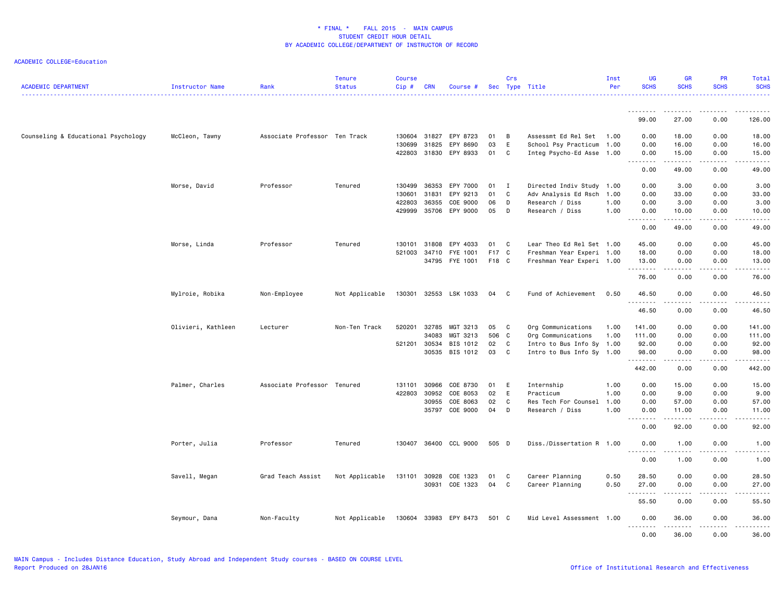| <b>ACADEMIC DEPARTMENT</b>          | <b>Instructor Name</b> | Rank                          | <b>Tenure</b><br><b>Status</b> | <b>Course</b><br>Cip# | <b>CRN</b>   | Course #              |       | Crs          | Sec Type Title            | Inst<br>Per | UG<br><b>SCHS</b>                                                                                                                                                                    | <b>GR</b><br><b>SCHS</b>                   | <b>PR</b><br><b>SCHS</b> | Total<br><b>SCHS</b>   |
|-------------------------------------|------------------------|-------------------------------|--------------------------------|-----------------------|--------------|-----------------------|-------|--------------|---------------------------|-------------|--------------------------------------------------------------------------------------------------------------------------------------------------------------------------------------|--------------------------------------------|--------------------------|------------------------|
|                                     |                        |                               |                                |                       |              |                       |       |              |                           |             | .                                                                                                                                                                                    |                                            |                          |                        |
|                                     |                        |                               |                                |                       |              |                       |       |              |                           |             | 99.00                                                                                                                                                                                | 27.00                                      | 0.00                     | 126.00                 |
| Counseling & Educational Psychology | McCleon, Tawny         | Associate Professor Ten Track |                                | 130604                | 31827        | EPY 8723              | 01    | B            | Assessmt Ed Rel Set       | 1.00        | 0.00                                                                                                                                                                                 | 18.00                                      | 0.00                     | 18.00                  |
|                                     |                        |                               |                                | 130699                | 31825        | EPY 8690              | 03    | $\mathsf E$  | School Psy Practicum 1.00 |             | 0.00                                                                                                                                                                                 | 16.00                                      | 0.00                     | 16.00                  |
|                                     |                        |                               |                                |                       | 422803 31830 | EPY 8933              | 01    | $\mathbf{C}$ | Integ Psycho-Ed Asse 1.00 |             | 0.00<br>.                                                                                                                                                                            | 15.00<br>.                                 | 0.00<br>-----            | 15.00<br>.             |
|                                     |                        |                               |                                |                       |              |                       |       |              |                           |             | 0.00                                                                                                                                                                                 | 49.00                                      | 0.00                     | 49.00                  |
|                                     | Morse, David           | Professor                     | Tenured                        | 130499                | 36353        | EPY 7000              | 01    | $\mathbf{I}$ | Directed Indiv Study 1.00 |             | 0.00                                                                                                                                                                                 | 3.00                                       | 0.00                     | 3.00                   |
|                                     |                        |                               |                                | 130601                | 31831        | EPY 9213              | 01    | C            | Adv Analysis Ed Rsch 1.00 |             | 0.00                                                                                                                                                                                 | 33.00                                      | 0.00                     | 33.00                  |
|                                     |                        |                               |                                | 422803                | 36355        | COE 9000              | 06    | D            | Research / Diss           | 1.00        | 0.00                                                                                                                                                                                 | 3.00                                       | 0.00                     | 3.00                   |
|                                     |                        |                               |                                | 429999                | 35706        | EPY 9000              | 05    | D            | Research / Diss           | 1.00        | 0.00<br>.                                                                                                                                                                            | 10.00<br>.                                 | 0.00<br>.                | 10.00<br>.             |
|                                     |                        |                               |                                |                       |              |                       |       |              |                           |             | 0.00                                                                                                                                                                                 | 49.00                                      | 0.00                     | 49.00                  |
|                                     | Morse, Linda           | Professor                     | Tenured                        | 130101                | 31808        | EPY 4033              | 01    | $\mathbf{C}$ | Lear Theo Ed Rel Set 1.00 |             | 45.00                                                                                                                                                                                | 0.00                                       | 0.00                     | 45.00                  |
|                                     |                        |                               |                                | 521003                | 34710        | FYE 1001              | F17 C |              | Freshman Year Experi 1.00 |             | 18.00                                                                                                                                                                                | 0.00                                       | 0.00                     | 18.00                  |
|                                     |                        |                               |                                |                       |              | 34795 FYE 1001        | F18 C |              | Freshman Year Experi 1.00 |             | 13.00<br>. <b>.</b>                                                                                                                                                                  | 0.00<br>.                                  | 0.00                     | 13.00<br>$\frac{1}{2}$ |
|                                     |                        |                               |                                |                       |              |                       |       |              |                           |             | 76.00                                                                                                                                                                                | 0.00                                       | 0.00                     | 76.00                  |
|                                     | Mylroie, Robika        | Non-Employee                  | Not Applicable                 |                       |              | 130301 32553 LSK 1033 | 04    | $\mathbf{C}$ | Fund of Achievement       | 0.50        | 46.50<br>.                                                                                                                                                                           | 0.00<br>.                                  | 0.00<br>.                | 46.50<br>.             |
|                                     |                        |                               |                                |                       |              |                       |       |              |                           |             | 46.50                                                                                                                                                                                | 0.00                                       | 0.00                     | 46.50                  |
|                                     | Olivieri, Kathleen     | Lecturer                      | Non-Ten Track                  | 520201                | 32785        | MGT 3213              | 05    | $\mathbf{C}$ | Org Communications        | 1.00        | 141.00                                                                                                                                                                               | 0.00                                       | 0.00                     | 141.00                 |
|                                     |                        |                               |                                |                       | 34083        | MGT 3213              | 506 C |              | Org Communications        | 1.00        | 111.00                                                                                                                                                                               | 0.00                                       | 0.00                     | 111.00                 |
|                                     |                        |                               |                                |                       | 521201 30534 | BIS 1012              | 02    | C            | Intro to Bus Info Sy 1.00 |             | 92.00                                                                                                                                                                                | 0.00                                       | 0.00                     | 92.00                  |
|                                     |                        |                               |                                |                       | 30535        | BIS 1012              | 03    | C            | Intro to Bus Info Sy 1.00 |             | 98.00<br>.                                                                                                                                                                           | 0.00<br>.                                  | 0.00<br>-----            | 98.00<br>------        |
|                                     |                        |                               |                                |                       |              |                       |       |              |                           |             | 442.00                                                                                                                                                                               | 0.00                                       | 0.00                     | 442.00                 |
|                                     | Palmer, Charles        | Associate Professor           | Tenured                        | 131101                | 30966        | COE 8730              | 01    | E            | Internship                | 1.00        | 0.00                                                                                                                                                                                 | 15.00                                      | 0.00                     | 15.00                  |
|                                     |                        |                               |                                |                       | 422803 30952 | COE 8053              | 02    | $\mathsf E$  | Practicum                 | 1.00        | 0.00                                                                                                                                                                                 | 9.00                                       | 0.00                     | 9.00                   |
|                                     |                        |                               |                                |                       | 30955        | COE 8063              | 02    | C            | Res Tech For Counsel      | 1.00        | 0.00                                                                                                                                                                                 | 57.00                                      | 0.00                     | 57.00                  |
|                                     |                        |                               |                                |                       |              | 35797 COE 9000        | 04    | D            | Research / Diss           | 1.00        | 0.00<br>$\frac{1}{2} \left( \frac{1}{2} \right) \left( \frac{1}{2} \right) \left( \frac{1}{2} \right) \left( \frac{1}{2} \right) \left( \frac{1}{2} \right)$<br>$\sim$ $\sim$ $\sim$ | 11.00<br>.                                 | 0.00<br>.                | 11.00<br>.             |
|                                     |                        |                               |                                |                       |              |                       |       |              |                           |             | 0.00                                                                                                                                                                                 | 92.00                                      | 0.00                     | 92.00                  |
|                                     | Porter, Julia          | Professor                     | Tenured                        | 130407                |              | 36400 CCL 9000        | 505 D |              | Diss./Dissertation R 1.00 |             | 0.00<br>.                                                                                                                                                                            | 1.00                                       | 0.00<br>.                | 1.00<br>.              |
|                                     |                        |                               |                                |                       |              |                       |       |              |                           |             | 0.00                                                                                                                                                                                 | $\sim$ $\sim$ $\sim$ $\sim$ $\sim$<br>1.00 | 0.00                     | 1.00                   |
|                                     | Savell, Megan          | Grad Teach Assist             | Not Applicable                 | 131101                | 30928        | COE 1323              | 01    | C            | Career Planning           | 0.50        | 28.50                                                                                                                                                                                | 0.00                                       | 0.00                     | 28.50                  |
|                                     |                        |                               |                                |                       |              | 30931 COE 1323        | 04    | C            | Career Planning           | 0.50        | 27.00                                                                                                                                                                                | 0.00                                       | 0.00                     | 27.00                  |
|                                     |                        |                               |                                |                       |              |                       |       |              |                           |             | .<br>55.50                                                                                                                                                                           | .<br>0.00                                  | .<br>0.00                | د ما ما ما ما<br>55.50 |
|                                     | Seymour, Dana          | Non-Faculty                   | Not Applicable                 |                       |              | 130604 33983 EPY 8473 | 501 C |              | Mid Level Assessment 1.00 |             | 0.00<br>.                                                                                                                                                                            | 36.00                                      | 0.00<br>.                | 36.00                  |
|                                     |                        |                               |                                |                       |              |                       |       |              |                           |             | 0.00                                                                                                                                                                                 | .<br>36.00                                 | 0.00                     | .<br>36,00             |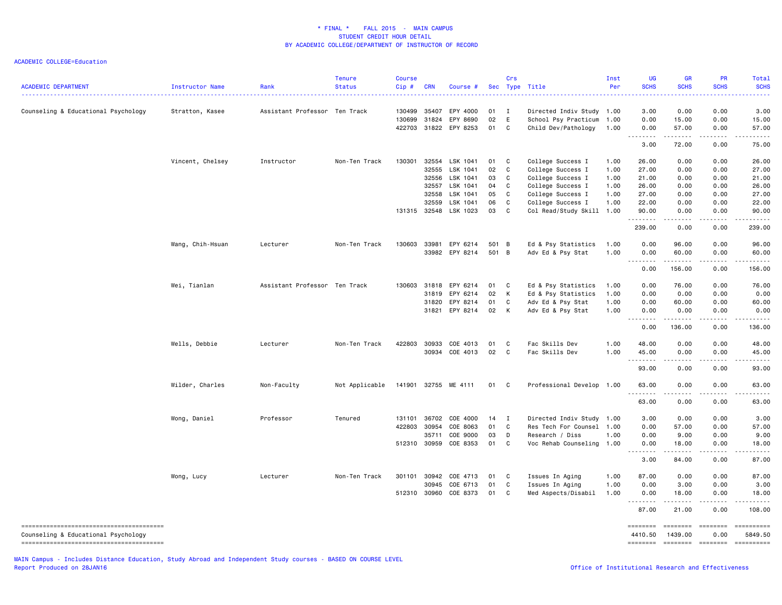| <b>ACADEMIC DEPARTMENT</b>          | Instructor Name  | Rank                          | Tenure<br><b>Status</b> | <b>Course</b><br>Cip# | <b>CRN</b> | Course #              |       | Crs          | Sec Type Title            | Inst<br>Per | UG<br><b>SCHS</b>                                                                                                                                             | GR<br><b>SCHS</b>                                                                                                                                              | PR<br><b>SCHS</b> | Total<br><b>SCHS</b> |
|-------------------------------------|------------------|-------------------------------|-------------------------|-----------------------|------------|-----------------------|-------|--------------|---------------------------|-------------|---------------------------------------------------------------------------------------------------------------------------------------------------------------|----------------------------------------------------------------------------------------------------------------------------------------------------------------|-------------------|----------------------|
| Counseling & Educational Psychology | Stratton, Kasee  | Assistant Professor Ten Track |                         | 130499                | 35407      | EPY 4000              | 01    | $\mathbf{I}$ | Directed Indiv Study 1.00 |             | 3.00                                                                                                                                                          | 0.00                                                                                                                                                           | 0.00              | 3.00                 |
|                                     |                  |                               |                         | 130699                | 31824      | EPY 8690              | 02    | E            | School Psy Practicum      | 1.00        | 0.00                                                                                                                                                          | 15.00                                                                                                                                                          | 0.00              | 15.00                |
|                                     |                  |                               |                         | 422703                | 31822      | EPY 8253              | 01    | C            | Child Dev/Pathology       | 1.00        | 0.00<br>.                                                                                                                                                     | 57.00<br>$\frac{1}{2} \left( \frac{1}{2} \right) \left( \frac{1}{2} \right) \left( \frac{1}{2} \right) \left( \frac{1}{2} \right) \left( \frac{1}{2} \right)$  | 0.00              | 57.00                |
|                                     |                  |                               |                         |                       |            |                       |       |              |                           |             | 3.00                                                                                                                                                          | 72.00                                                                                                                                                          | 0.00              | 75.00                |
|                                     | Vincent, Chelsey | Instructor                    | Non-Ten Track           | 130301                | 32554      | LSK 1041              | 01    | $\mathbf{C}$ | College Success I         | 1.00        | 26.00                                                                                                                                                         | 0.00                                                                                                                                                           | 0.00              | 26.00                |
|                                     |                  |                               |                         |                       | 32555      | LSK 1041              | 02    | C            | College Success I         | 1.00        | 27.00                                                                                                                                                         | 0.00                                                                                                                                                           | 0.00              | 27.00                |
|                                     |                  |                               |                         |                       | 32556      | LSK 1041              | 03    | C            | College Success I         | 1.00        | 21.00                                                                                                                                                         | 0.00                                                                                                                                                           | 0.00              | 21.00                |
|                                     |                  |                               |                         |                       | 32557      | LSK 1041              | 04    | C            | College Success I         | 1.00        | 26.00                                                                                                                                                         | 0.00                                                                                                                                                           | 0.00              | 26.00                |
|                                     |                  |                               |                         |                       | 32558      | LSK 1041              | 05    | C            | College Success I         | 1.00        | 27.00                                                                                                                                                         | 0.00                                                                                                                                                           | 0.00              | 27.00                |
|                                     |                  |                               |                         |                       | 32559      | LSK 1041              | 06    | C            | College Success I         | 1.00        | 22.00                                                                                                                                                         | 0.00                                                                                                                                                           | 0.00              | 22.00                |
|                                     |                  |                               |                         | 131315                | 32548      | LSK 1023              | 03    | C            | Col Read/Study Skill      | 1.00        | 90.00<br>$\frac{1}{2} \left( \frac{1}{2} \right) \left( \frac{1}{2} \right) \left( \frac{1}{2} \right) \left( \frac{1}{2} \right) \left( \frac{1}{2} \right)$ | 0.00<br>.                                                                                                                                                      | 0.00              | 90.00                |
|                                     |                  |                               |                         |                       |            |                       |       |              |                           |             | 239.00                                                                                                                                                        | 0.00                                                                                                                                                           | 0.00              | 239.00               |
|                                     | Wang, Chih-Hsuan | Lecturer                      | Non-Ten Track           | 130603                | 33981      | EPY 6214              | 501 B |              | Ed & Psy Statistics       | 1.00        | 0.00                                                                                                                                                          | 96.00                                                                                                                                                          | 0.00              | 96.00                |
|                                     |                  |                               |                         |                       |            | 33982 EPY 8214        | 501 B |              | Adv Ed & Psy Stat         | 1.00        | 0.00                                                                                                                                                          | 60.00                                                                                                                                                          | 0.00              | 60.00                |
|                                     |                  |                               |                         |                       |            |                       |       |              |                           |             | 0.00                                                                                                                                                          | $\frac{1}{2} \left( \frac{1}{2} \right) \left( \frac{1}{2} \right) \left( \frac{1}{2} \right) \left( \frac{1}{2} \right) \left( \frac{1}{2} \right)$<br>156.00 | 0.00              | 156.00               |
|                                     | Wei, Tianlan     | Assistant Professor Ten Track |                         | 130603                | 31818      | EPY 6214              | 01 C  |              | Ed & Psy Statistics       | 1.00        | 0.00                                                                                                                                                          | 76.00                                                                                                                                                          | 0.00              | 76.00                |
|                                     |                  |                               |                         |                       | 31819      | EPY 6214              | 02    | K            | Ed & Psy Statistics       | 1.00        | 0.00                                                                                                                                                          | 0.00                                                                                                                                                           | 0.00              | 0.00                 |
|                                     |                  |                               |                         |                       | 31820      | EPY 8214              | 01    | C            | Adv Ed & Psy Stat         | 1.00        | 0.00                                                                                                                                                          | 60.00                                                                                                                                                          | 0.00              | 60.00                |
|                                     |                  |                               |                         |                       |            | 31821 EPY 8214        | 02    | K            | Adv Ed & Psy Stat         | 1.00        | 0.00                                                                                                                                                          | 0.00                                                                                                                                                           | 0.00              | 0.00                 |
|                                     |                  |                               |                         |                       |            |                       |       |              |                           |             | <u>.</u>                                                                                                                                                      | .                                                                                                                                                              | .                 |                      |
|                                     |                  |                               |                         |                       |            |                       |       |              |                           |             | 0.00                                                                                                                                                          | 136.00                                                                                                                                                         | 0.00              | 136.00               |
|                                     | Wells, Debbie    | Lecturer                      | Non-Ten Track           | 422803                | 30933      | COE 4013              | 01    | C.           | Fac Skills Dev            | 1.00        | 48.00                                                                                                                                                         | 0.00                                                                                                                                                           | 0.00              | 48.00                |
|                                     |                  |                               |                         |                       | 30934      | COE 4013              | 02    | $\mathbf{C}$ | Fac Skills Dev            | 1.00        | 45.00                                                                                                                                                         | 0.00                                                                                                                                                           | 0.00              | 45.00                |
|                                     |                  |                               |                         |                       |            |                       |       |              |                           |             | <u>.</u><br>93.00                                                                                                                                             | 0.00                                                                                                                                                           | 0.00              | 93.00                |
|                                     |                  |                               |                         |                       |            |                       |       |              |                           |             |                                                                                                                                                               |                                                                                                                                                                |                   |                      |
|                                     | Wilder, Charles  | Non-Faculty                   | Not Applicable          |                       |            | 141901 32755 ME 4111  | 01 C  |              | Professional Develop 1.00 |             | 63.00<br>.                                                                                                                                                    | 0.00                                                                                                                                                           | 0.00              | 63.00                |
|                                     |                  |                               |                         |                       |            |                       |       |              |                           |             | 63.00                                                                                                                                                         | 0.00                                                                                                                                                           | 0.00              | 63.00                |
|                                     | Wong, Daniel     | Professor                     | Tenured                 | 131101                | 36702      | COE 4000              | 14    | $\mathbf I$  | Directed Indiv Study      | 1.00        | 3.00                                                                                                                                                          | 0.00                                                                                                                                                           | 0.00              | 3.00                 |
|                                     |                  |                               |                         | 422803                | 30954      | COE 8063              | 01    | C            | Res Tech For Counsel      | 1.00        | 0.00                                                                                                                                                          | 57.00                                                                                                                                                          | 0.00              | 57.00                |
|                                     |                  |                               |                         |                       | 35711      | COE 9000              | 03    | D            | Research / Diss           | 1.00        | 0.00                                                                                                                                                          | 9.00                                                                                                                                                           | 0.00              | 9.00                 |
|                                     |                  |                               |                         | 512310 30959          |            | COE 8353              | 01 C  |              | Voc Rehab Counseling 1.00 |             | 0.00<br><u>.</u>                                                                                                                                              | 18.00<br>.                                                                                                                                                     | 0.00              | 18.00                |
|                                     |                  |                               |                         |                       |            |                       |       |              |                           |             | 3.00                                                                                                                                                          | 84.00                                                                                                                                                          | 0.00              | 87.00                |
|                                     | Wong, Lucy       | Lecturer                      | Non-Ten Track           |                       |            | 301101 30942 COE 4713 | 01 C  |              | Issues In Aging           | 1.00        | 87.00                                                                                                                                                         | 0.00                                                                                                                                                           | 0.00              | 87.00                |
|                                     |                  |                               |                         |                       | 30945      | COE 6713              | 01    | C            | Issues In Aging           | 1.00        | 0.00                                                                                                                                                          | 3.00                                                                                                                                                           | 0.00              | 3.00                 |
|                                     |                  |                               |                         | 512310                | 30960      | COE 8373              | 01    | C            | Med Aspects/Disabil       | 1.00        | 0.00                                                                                                                                                          | 18.00                                                                                                                                                          | 0.00              | 18.00                |
|                                     |                  |                               |                         |                       |            |                       |       |              |                           |             | <u>.</u><br>87.00                                                                                                                                             | .<br>21.00                                                                                                                                                     | <u>.</u><br>0.00  | 108.00               |
|                                     |                  |                               |                         |                       |            |                       |       |              |                           |             | ========                                                                                                                                                      | <b>EBBEBBE</b>                                                                                                                                                 | ========          |                      |
| Counseling & Educational Psychology |                  |                               |                         |                       |            |                       |       |              |                           |             | 4410.50                                                                                                                                                       | 1439.00                                                                                                                                                        | 0.00              | 5849.50              |
|                                     |                  |                               |                         |                       |            |                       |       |              |                           |             | ========                                                                                                                                                      | $= 1000000000$                                                                                                                                                 | $=$ ========      | ==========           |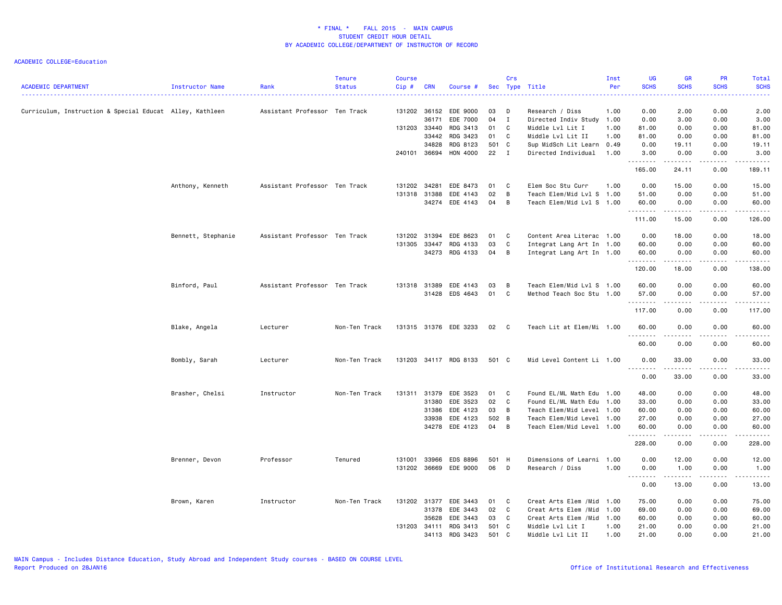| <b>ACADEMIC DEPARTMENT</b>                               | Instructor Name    | Rank                          | <b>Tenure</b><br><b>Status</b> | <b>Course</b><br>Cip# | <b>CRN</b>   | Course #              |       | Crs            | Sec Type Title<br>----------------------------- | Inst<br>Per | UG<br><b>SCHS</b><br>. | <b>GR</b><br><b>SCHS</b><br>. | <b>PR</b><br><b>SCHS</b><br>$\frac{1}{2} \left( \frac{1}{2} \right) \left( \frac{1}{2} \right) \left( \frac{1}{2} \right) \left( \frac{1}{2} \right) \left( \frac{1}{2} \right)$ | Total<br><b>SCHS</b><br>د د د د د |
|----------------------------------------------------------|--------------------|-------------------------------|--------------------------------|-----------------------|--------------|-----------------------|-------|----------------|-------------------------------------------------|-------------|------------------------|-------------------------------|----------------------------------------------------------------------------------------------------------------------------------------------------------------------------------|-----------------------------------|
| Curriculum, Instruction & Special Educat Alley, Kathleen |                    | Assistant Professor Ten Track |                                |                       | 131202 36152 | EDE 9000              | 03    | D              | Research / Diss                                 | 1.00        | 0.00                   | 2.00                          | 0.00                                                                                                                                                                             | 2.00                              |
|                                                          |                    |                               |                                |                       | 36171        | EDE 7000              | 04    | $\mathbf{I}$   | Directed Indiv Study 1.00                       |             | 0.00                   | 3.00                          | 0.00                                                                                                                                                                             | 3.00                              |
|                                                          |                    |                               |                                | 131203 33440          |              | RDG 3413              | 01    | C              | Middle Lvl Lit I                                | 1.00        | 81.00                  | 0.00                          | 0.00                                                                                                                                                                             | 81.00                             |
|                                                          |                    |                               |                                |                       | 33442        | RDG 3423              | 01    | C              | Middle Lvl Lit II                               | 1.00        | 81.00                  | 0.00                          | 0.00                                                                                                                                                                             | 81.00                             |
|                                                          |                    |                               |                                |                       | 34828        | RDG 8123              | 501 C |                | Sup MidSch Lit Learn                            | 0.49        | 0.00                   | 19.11                         | 0.00                                                                                                                                                                             | 19.11                             |
|                                                          |                    |                               |                                |                       |              | 240101 36694 HON 4000 | 22    | $\mathbf{I}$   | Directed Individual                             | 1.00        | 3.00<br>.              | 0.00<br>.                     | 0.00                                                                                                                                                                             | 3.00<br>.                         |
|                                                          |                    |                               |                                |                       |              |                       |       |                |                                                 |             | 165.00                 | 24.11                         | 0.00                                                                                                                                                                             | 189.11                            |
|                                                          | Anthony, Kenneth   | Assistant Professor Ten Track |                                | 131202                | 34281        | EDE 8473              | 01    | C              | Elem Soc Stu Curr                               | 1.00        | 0.00                   | 15.00                         | 0.00                                                                                                                                                                             | 15.00                             |
|                                                          |                    |                               |                                | 131318                | 31388        | EDE 4143              | 02    | B              | Teach Elem/Mid Lvl S 1.00                       |             | 51.00                  | 0.00                          | 0.00                                                                                                                                                                             | 51.00                             |
|                                                          |                    |                               |                                |                       |              | 34274 EDE 4143        | 04    | B              | Teach Elem/Mid Lvl S 1.00                       |             | 60.00<br>.             | 0.00<br>.                     | 0.00<br>.                                                                                                                                                                        | 60.00<br>.                        |
|                                                          |                    |                               |                                |                       |              |                       |       |                |                                                 |             | 111.00                 | 15.00                         | 0.00                                                                                                                                                                             | 126.00                            |
|                                                          | Bennett, Stephanie | Assistant Professor Ten Track |                                | 131202                | 31394        | EDE 8623              | 01    | C              | Content Area Literac 1.00                       |             | 0.00                   | 18.00                         | 0.00                                                                                                                                                                             | 18.00                             |
|                                                          |                    |                               |                                | 131305                | 33447        | RDG 4133              | 03    | C              | Integrat Lang Art In 1.00                       |             | 60.00                  | 0.00                          | 0.00                                                                                                                                                                             | 60.00                             |
|                                                          |                    |                               |                                |                       | 34273        | RDG 4133              | 04    | $\overline{B}$ | Integrat Lang Art In 1.00                       |             | 60.00                  | 0.00                          | 0.00                                                                                                                                                                             | 60.00                             |
|                                                          |                    |                               |                                |                       |              |                       |       |                |                                                 |             | .<br>120.00            | .<br>18.00                    | .<br>0.00                                                                                                                                                                        | .<br>138.00                       |
|                                                          | Binford, Paul      | Assistant Professor Ten Track |                                | 131318 31389          |              | EDE 4143              | 03    | в              | Teach Elem/Mid Lvl S 1.00                       |             | 60.00                  | 0.00                          | 0.00                                                                                                                                                                             | 60.00                             |
|                                                          |                    |                               |                                |                       | 31428        | EDS 4643              | 01    | C              | Method Teach Soc Stu 1.00                       |             | 57.00                  | 0.00                          | 0.00                                                                                                                                                                             | 57.00                             |
|                                                          |                    |                               |                                |                       |              |                       |       |                |                                                 |             | .<br>117.00            | $- - - -$<br>0.00             | .<br>0.00                                                                                                                                                                        | .<br>117.00                       |
|                                                          | Blake, Angela      | Lecturer                      | Non-Ten Track                  |                       |              | 131315 31376 EDE 3233 | 02    | $\mathbf{C}$   | Teach Lit at Elem/Mi 1.00                       |             | 60.00                  | 0.00                          | 0.00                                                                                                                                                                             | 60.00                             |
|                                                          |                    |                               |                                |                       |              |                       |       |                |                                                 |             | 60.00                  | 0.00                          | 0.00                                                                                                                                                                             | 60.00                             |
|                                                          | Bombly, Sarah      | Lecturer                      | Non-Ten Track                  |                       |              | 131203 34117 RDG 8133 | 501 C |                | Mid Level Content Li 1.00                       |             | 0.00<br>.              | 33.00<br>.                    | 0.00                                                                                                                                                                             | 33.00<br>د د د د د                |
|                                                          |                    |                               |                                |                       |              |                       |       |                |                                                 |             | 0.00                   | 33.00                         | 0.00                                                                                                                                                                             | 33.00                             |
|                                                          | Brasher, Chelsi    | Instructor                    | Non-Ten Track                  | 131311                | 31379        | EDE 3523              | 01    | $\mathbf{C}$   | Found EL/ML Math Edu 1.00                       |             | 48.00                  | 0.00                          | 0.00                                                                                                                                                                             | 48.00                             |
|                                                          |                    |                               |                                |                       | 31380        | EDE 3523              | 02    | $\mathbf{C}$   | Found EL/ML Math Edu 1.00                       |             | 33.00                  | 0.00                          | 0.00                                                                                                                                                                             | 33.00                             |
|                                                          |                    |                               |                                |                       | 31386        | EDE 4123              | 03    | B              | Teach Elem/Mid Level 1.00                       |             | 60.00                  | 0.00                          | 0.00                                                                                                                                                                             | 60.00                             |
|                                                          |                    |                               |                                |                       | 33938        | EDE 4123              | 502 B |                | Teach Elem/Mid Level 1.00                       |             | 27.00                  | 0.00                          | 0.00                                                                                                                                                                             | 27.00                             |
|                                                          |                    |                               |                                |                       |              | 34278 EDE 4123        | 04    | $\overline{B}$ | Teach Elem/Mid Level 1.00                       |             | 60.00<br><u>.</u>      | 0.00                          | 0.00                                                                                                                                                                             | 60.00<br>.                        |
|                                                          |                    |                               |                                |                       |              |                       |       |                |                                                 |             | 228.00                 | 0.00                          | 0.00                                                                                                                                                                             | 228.00                            |
|                                                          | Brenner, Devon     | Professor                     | Tenured                        | 131001                | 33966        | EDS 8896              | 501 H |                | Dimensions of Learni 1.00                       |             | 0.00                   | 12.00                         | 0.00                                                                                                                                                                             | 12.00                             |
|                                                          |                    |                               |                                | 131202 36669          |              | EDE 9000              | 06    | D              | Research / Diss                                 | 1.00        | 0.00                   | 1.00<br>.                     | 0.00<br>.                                                                                                                                                                        | 1.00<br>.                         |
|                                                          |                    |                               |                                |                       |              |                       |       |                |                                                 |             | 0.00                   | 13.00                         | 0.00                                                                                                                                                                             | 13.00                             |
|                                                          | Brown, Karen       | Instructor                    | Non-Ten Track                  | 131202 31377          |              | EDE 3443              | 01    | C              | Creat Arts Elem /Mid                            | 1.00        | 75.00                  | 0.00                          | 0.00                                                                                                                                                                             | 75.00                             |
|                                                          |                    |                               |                                |                       | 31378        | EDE 3443              | 02    | C              | Creat Arts Elem /Mid                            | 1.00        | 69.00                  | 0.00                          | 0.00                                                                                                                                                                             | 69.00                             |
|                                                          |                    |                               |                                |                       | 35628        | EDE 3443              | 03    | $\mathbf{C}$   | Creat Arts Elem / Mid 1.00                      |             | 60.00                  | 0.00                          | 0.00                                                                                                                                                                             | 60.00                             |
|                                                          |                    |                               |                                | 131203                | 34111        | RDG 3413              | 501 C |                | Middle Lvl Lit I                                | 1.00        | 21.00                  | 0.00                          | 0.00                                                                                                                                                                             | 21.00                             |
|                                                          |                    |                               |                                |                       | 34113        | RDG 3423              | 501   | C              | Middle Lvl Lit II                               | 1.00        | 21.00                  | 0.00                          | 0.00                                                                                                                                                                             | 21.00                             |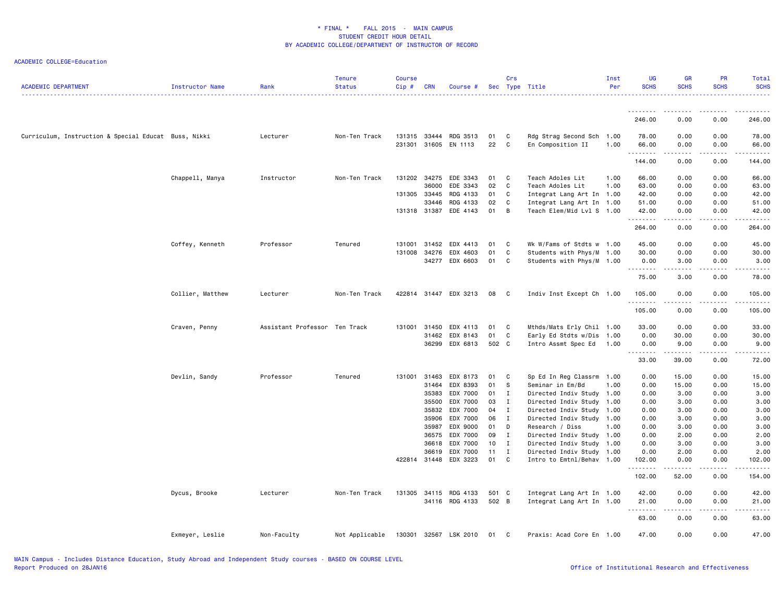| <b>ACADEMIC DEPARTMENT</b>                           | Instructor Name  | Rank                          | <b>Tenure</b><br><b>Status</b> | <b>Course</b><br>Cip# | <b>CRN</b> | Course #                  |            | Crs                         | Sec Type Title                                         | Inst<br>Per | UG<br><b>SCHS</b> | GR<br><b>SCHS</b>    | PR<br><b>SCHS</b> | Total<br><b>SCHS</b> |
|------------------------------------------------------|------------------|-------------------------------|--------------------------------|-----------------------|------------|---------------------------|------------|-----------------------------|--------------------------------------------------------|-------------|-------------------|----------------------|-------------------|----------------------|
|                                                      |                  |                               |                                |                       |            |                           |            |                             |                                                        |             |                   |                      |                   |                      |
|                                                      |                  |                               |                                |                       |            |                           |            |                             |                                                        |             | .<br>246.00       | 0.00                 | 0.00              | 246.00               |
| Curriculum, Instruction & Special Educat Buss, Nikki |                  | Lecturer                      | Non-Ten Track                  | 131315<br>231301      | 33444      | RDG 3513<br>31605 EN 1113 | 01<br>22   | C<br>C                      | Rdg Strag Second Sch 1.00<br>En Composition II         | 1.00        | 78.00<br>66.00    | 0.00<br>0.00         | 0.00<br>0.00      | 78.00<br>66.00       |
|                                                      |                  |                               |                                |                       |            |                           |            |                             |                                                        |             | .                 | .                    | .                 | .                    |
|                                                      |                  |                               |                                |                       |            |                           |            |                             |                                                        |             | 144.00            | 0.00                 | 0.00              | 144.00               |
|                                                      | Chappell, Manya  | Instructor                    | Non-Ten Track                  | 131202                | 34275      | EDE 3343                  | 01         | $\mathbf{C}$                | Teach Adoles Lit                                       | 1.00        | 66.00             | 0.00                 | 0.00              | 66.00                |
|                                                      |                  |                               |                                |                       | 36000      | EDE 3343                  | 02         | $\mathbf{C}$                | Teach Adoles Lit                                       | 1.00        | 63.00             | 0.00                 | 0.00              | 63.00                |
|                                                      |                  |                               |                                | 131305 33445          | 33446      | RDG 4133<br>RDG 4133      | 01 C<br>02 | $\mathbf{C}$                | Integrat Lang Art In 1.00<br>Integrat Lang Art In 1.00 |             | 42.00<br>51.00    | 0.00<br>0.00         | 0.00<br>0.00      | 42.00<br>51.00       |
|                                                      |                  |                               |                                |                       |            | 131318 31387 EDE 4143     | 01 B       |                             | Teach Elem/Mid Lvl S 1.00                              |             | 42.00             | 0.00                 | 0.00              | 42.00                |
|                                                      |                  |                               |                                |                       |            |                           |            |                             |                                                        |             | .                 | $\sim$ $\sim$ $\sim$ | .                 | .                    |
|                                                      |                  |                               |                                |                       |            |                           |            |                             |                                                        |             | 264.00            | 0.00                 | 0.00              | 264.00               |
|                                                      | Coffey, Kenneth  | Professor                     | Tenured                        | 131001                |            | 31452 EDX 4413            | 01 C       |                             | Wk W/Fams of Stdts w 1.00                              |             | 45.00             | 0.00                 | 0.00              | 45.00                |
|                                                      |                  |                               |                                | 131008                | 34276      | EDX 4603                  | 01         | C                           | Students with Phys/M                                   | 1.00        | 30.00             | 0.00                 | 0.00              | 30.00                |
|                                                      |                  |                               |                                |                       |            | 34277 EDX 6603            | 01         | C                           | Students with Phys/M 1.00                              |             | 0.00              | 3.00                 | 0.00              | 3.00                 |
|                                                      |                  |                               |                                |                       |            |                           |            |                             |                                                        |             | .<br>75.00        | .<br>3.00            | 0.00              | 78.00                |
|                                                      | Collier, Matthew | Lecturer                      | Non-Ten Track                  |                       |            | 422814 31447 EDX 3213     | 08         | $\overline{\phantom{a}}$ C  | Indiv Inst Except Ch 1.00                              |             | 105.00            | 0.00                 | 0.00              | 105.00               |
|                                                      |                  |                               |                                |                       |            |                           |            |                             |                                                        |             | .                 | والمحامر             | .                 |                      |
|                                                      |                  |                               |                                |                       |            |                           |            |                             |                                                        |             | 105.00            | 0.00                 | 0.00              | 105.00               |
|                                                      | Craven, Penny    | Assistant Professor Ten Track |                                | 131001                | 31450      | EDX 4113                  | 01         | $\overline{C}$              | Mthds/Mats Erly Chil 1.00                              |             | 33.00             | 0.00                 | 0.00              | 33.00                |
|                                                      |                  |                               |                                |                       |            | 31462 EDX 8143            | 01         | $\mathbf{C}$                | Early Ed Stdts w/Dis                                   | 1.00        | 0.00              | 30.00                | 0.00              | 30.00                |
|                                                      |                  |                               |                                |                       |            | 36299 EDX 6813            | 502 C      |                             | Intro Assmt Spec Ed                                    | 1.00        | 0.00<br>.         | 9.00<br>-----        | 0.00<br>.         | 9.00                 |
|                                                      |                  |                               |                                |                       |            |                           |            |                             |                                                        |             | 33.00             | 39.00                | 0.00              | 72.00                |
|                                                      | Devlin, Sandy    | Professor                     | Tenured                        | 131001                | 31463      | EDX 8173                  | 01 C       |                             | Sp Ed In Reg Classrm                                   | 1.00        | 0.00              | 15.00                | 0.00              | 15.00                |
|                                                      |                  |                               |                                |                       | 31464      | EDX 8393                  | 01 S       |                             | Seminar in Em/Bd                                       | 1.00        | 0.00              | 15.00                | 0.00              | 15.00                |
|                                                      |                  |                               |                                |                       | 35383      | EDX 7000                  | 01 I       |                             | Directed Indiv Study 1.00                              |             | 0.00              | 3.00                 | 0.00              | 3.00                 |
|                                                      |                  |                               |                                |                       | 35500      | EDX 7000                  | 03         | $\mathbf{I}$                | Directed Indiv Study                                   | 1.00        | 0.00              | 3.00                 | 0.00              | 3.00                 |
|                                                      |                  |                               |                                |                       | 35832      | EDX 7000                  | 04         | $\mathbf{I}$                | Directed Indiv Study                                   | 1.00        | 0.00              | 3.00                 | 0.00              | 3.00                 |
|                                                      |                  |                               |                                |                       | 35906      | EDX 7000                  | 06         | $\mathbf{I}$                | Directed Indiv Study 1.00                              |             | 0.00              | 3.00                 | 0.00              | 3.00                 |
|                                                      |                  |                               |                                |                       | 35987      | EDX 9000                  | 01 D       |                             | Research / Diss                                        | 1.00        | 0.00              | 3.00                 | 0.00              | 3.00                 |
|                                                      |                  |                               |                                |                       | 36575      | EDX 7000                  | 09 I       |                             | Directed Indiv Study 1.00                              |             | 0.00              | 2.00                 | 0.00              | 2.00                 |
|                                                      |                  |                               |                                |                       | 36618      | EDX 7000                  | 10         | $\mathbf{I}$                | Directed Indiv Study 1.00                              |             | 0.00              | 3.00                 | 0.00              | 3.00                 |
|                                                      |                  |                               |                                | 422814 31448          | 36619      | EDX 7000<br>EDX 3223      | 11<br>01   | $\mathbf I$<br>$\mathbf{C}$ | Directed Indiv Study<br>Intro to Emtnl/Behav 1.00      | 1.00        | 0.00<br>102.00    | 2.00<br>0.00         | 0.00<br>0.00      | 2.00<br>102.00       |
|                                                      |                  |                               |                                |                       |            |                           |            |                             |                                                        |             | .                 | .                    | .                 | .                    |
|                                                      |                  |                               |                                |                       |            |                           |            |                             |                                                        |             | 102.00            | 52.00                | 0.00              | 154.00               |
|                                                      | Dycus, Brooke    | Lecturer                      | Non-Ten Track                  |                       |            | 131305 34115 RDG 4133     | 501 C      |                             | Integrat Lang Art In 1.00                              |             | 42.00             | 0.00                 | 0.00              | 42.00                |
|                                                      |                  |                               |                                |                       |            | 34116 RDG 4133            | 502 B      |                             | Integrat Lang Art In 1.00                              |             | 21.00<br>المستبدا | 0.00<br>.            | 0.00              | 21.00                |
|                                                      |                  |                               |                                |                       |            |                           |            |                             |                                                        |             | 63.00             | 0.00                 | 0.00              | 63.00                |
|                                                      | Exmeyer, Leslie  | Non-Faculty                   | Not Applicable                 | 130301                |            | 32567 LSK 2010            | 01         | $\mathbf{C}$                | Praxis: Acad Core En 1.00                              |             | 47.00             | 0.00                 | 0.00              | 47.00                |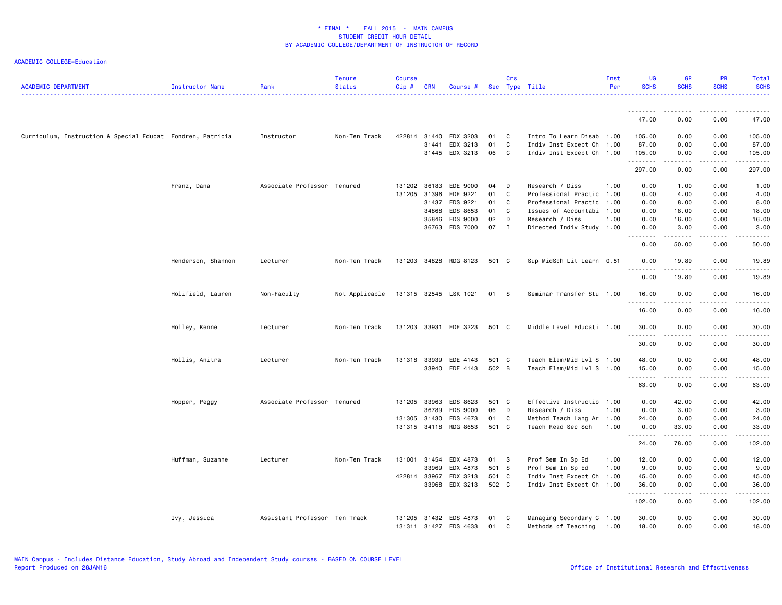| <b>ACADEMIC DEPARTMENT</b>                                 | Instructor Name    | Rank                          | <b>Tenure</b><br><b>Status</b> | <b>Course</b><br>$Cip \#$ | <b>CRN</b> | Course #              |       | Crs                        | Sec Type Title            | Inst<br>Per | <b>UG</b><br><b>SCHS</b> | <b>GR</b><br><b>SCHS</b>     | <b>PR</b><br><b>SCHS</b> | Total<br><b>SCHS</b>                                                                                                                                           |
|------------------------------------------------------------|--------------------|-------------------------------|--------------------------------|---------------------------|------------|-----------------------|-------|----------------------------|---------------------------|-------------|--------------------------|------------------------------|--------------------------|----------------------------------------------------------------------------------------------------------------------------------------------------------------|
|                                                            |                    |                               |                                |                           |            |                       |       |                            |                           |             | ---------                | .                            | -----                    | .                                                                                                                                                              |
|                                                            |                    |                               |                                |                           |            |                       |       |                            |                           |             | 47.00                    | 0.00                         | 0.00                     | 47.00                                                                                                                                                          |
| Curriculum, Instruction & Special Educat Fondren, Patricia |                    | Instructor                    | Non-Ten Track                  | 422814 31440              |            | EDX 3203              | 01    | $\mathbf{C}$               | Intro To Learn Disab 1.00 |             | 105.00                   | 0.00                         | 0.00                     | 105.00                                                                                                                                                         |
|                                                            |                    |                               |                                |                           | 31441      | EDX 3213              | 01    | C                          | Indiv Inst Except Ch 1.00 |             | 87.00                    | 0.00                         | 0.00                     | 87.00                                                                                                                                                          |
|                                                            |                    |                               |                                |                           |            | 31445 EDX 3213        | 06    | $\overline{\phantom{a}}$ C | Indiv Inst Except Ch 1.00 |             | 105.00<br>.              | 0.00<br>.                    | 0.00<br>.                | 105.00<br>$\frac{1}{2} \left( \frac{1}{2} \right) \left( \frac{1}{2} \right) \left( \frac{1}{2} \right) \left( \frac{1}{2} \right) \left( \frac{1}{2} \right)$ |
|                                                            |                    |                               |                                |                           |            |                       |       |                            |                           |             | 297.00                   | 0.00                         | 0.00                     | 297.00                                                                                                                                                         |
|                                                            | Franz, Dana        | Associate Professor           | Tenured                        | 131202                    | 36183      | EDE 9000              | 04    | D                          | Research / Diss           | 1.00        | 0.00                     | 1.00                         | 0.00                     | 1.00                                                                                                                                                           |
|                                                            |                    |                               |                                | 131205 31396              |            | EDE 9221              | 01    | C                          | Professional Practic      | 1.00        | 0.00                     | 4.00                         | 0.00                     | 4.00                                                                                                                                                           |
|                                                            |                    |                               |                                |                           | 31437      | EDS 9221              | 01    | C                          | Professional Practic      | 1.00        | 0.00                     | 8.00                         | 0.00                     | 8.00                                                                                                                                                           |
|                                                            |                    |                               |                                |                           | 34868      | EDS 8653              | 01    | C                          | Issues of Accountabi      | 1.00        | 0.00                     | 18.00                        | 0.00                     | 18.00                                                                                                                                                          |
|                                                            |                    |                               |                                |                           | 35846      | EDS 9000              | 02    | D                          | Research / Diss           | 1.00        | 0.00                     | 16.00                        | 0.00                     | 16.00                                                                                                                                                          |
|                                                            |                    |                               |                                |                           |            | 36763 EDS 7000        | 07 I  |                            | Directed Indiv Study 1.00 |             | 0.00                     | 3.00                         | 0.00                     | 3.00                                                                                                                                                           |
|                                                            |                    |                               |                                |                           |            |                       |       |                            |                           |             | .<br>0.00                | . <b>.</b><br>50.00          | -----<br>0.00            | .<br>50.00                                                                                                                                                     |
|                                                            | Henderson, Shannon | Lecturer                      | Non-Ten Track                  | 131203                    |            | 34828 RDG 8123        | 501 C |                            | Sup MidSch Lit Learn 0.51 |             | 0.00                     | 19.89                        | 0.00                     | 19.89                                                                                                                                                          |
|                                                            |                    |                               |                                |                           |            |                       |       |                            |                           |             | .<br>0.00                | 19.89                        | 0.00                     | 19.89                                                                                                                                                          |
|                                                            | Holifield, Lauren  | Non-Faculty                   | Not Applicable                 |                           |            | 131315 32545 LSK 1021 | 01    | <b>S</b>                   | Seminar Transfer Stu 1.00 |             | 16.00                    | 0.00                         | 0.00                     | 16.00                                                                                                                                                          |
|                                                            |                    |                               |                                |                           |            |                       |       |                            |                           |             | .<br>16.00               | $\sim$ $\sim$ $\sim$<br>0.00 | 0.00                     | $\frac{1}{2}$<br>16.00                                                                                                                                         |
|                                                            | Holley, Kenne      | Lecturer                      | Non-Ten Track                  |                           |            | 131203 33931 EDE 3223 | 501 C |                            | Middle Level Educati 1.00 |             | 30.00                    | 0.00                         | 0.00                     | 30.00                                                                                                                                                          |
|                                                            |                    |                               |                                |                           |            |                       |       |                            |                           |             | .<br>30.00               | .<br>0.00                    | .<br>0.00                | .<br>30.00                                                                                                                                                     |
|                                                            | Hollis, Anitra     | Lecturer                      | Non-Ten Track                  | 131318 33939              |            | EDE 4143              | 501 C |                            | Teach Elem/Mid Lvl S 1.00 |             | 48.00                    | 0.00                         | 0.00                     | 48.00                                                                                                                                                          |
|                                                            |                    |                               |                                |                           |            | 33940 EDE 4143        | 502 B |                            | Teach Elem/Mid Lvl S 1.00 |             | 15.00                    | 0.00                         | 0.00                     | 15.00                                                                                                                                                          |
|                                                            |                    |                               |                                |                           |            |                       |       |                            |                           |             | .<br>63.00               | .<br>0.00                    | .<br>0.00                | .<br>63.00                                                                                                                                                     |
|                                                            |                    |                               |                                |                           |            |                       |       |                            |                           |             |                          |                              |                          |                                                                                                                                                                |
|                                                            | Hopper, Peggy      | Associate Professor Tenured   |                                | 131205                    | 33963      | EDS 8623              | 501 C |                            | Effective Instructio 1.00 |             | 0.00                     | 42.00                        | 0.00                     | 42.00                                                                                                                                                          |
|                                                            |                    |                               |                                |                           | 36789      | EDS 9000              | 06    | D                          | Research / Diss           | 1.00        | 0.00                     | 3.00                         | 0.00                     | 3.00                                                                                                                                                           |
|                                                            |                    |                               |                                | 131305 31430              |            | EDS 4673              | 01    | C                          | Method Teach Lang Ar 1.00 |             | 24.00                    | 0.00                         | 0.00                     | 24.00                                                                                                                                                          |
|                                                            |                    |                               |                                | 131315                    | 34118      | RDG 8653              | 501 C |                            | Teach Read Sec Sch        | 1.00        | 0.00<br><u>.</u>         | 33.00                        | 0.00                     | 33.00                                                                                                                                                          |
|                                                            |                    |                               |                                |                           |            |                       |       |                            |                           |             | 24.00                    | 78.00                        | 0.00                     | 102.00                                                                                                                                                         |
|                                                            | Huffman, Suzanne   | Lecturer                      | Non-Ten Track                  | 131001 31454              |            | EDX 4873              | 01 S  |                            | Prof Sem In Sp Ed         | 1.00        | 12.00                    | 0.00                         | 0.00                     | 12.00                                                                                                                                                          |
|                                                            |                    |                               |                                |                           | 33969      | EDX 4873              | 501 S |                            | Prof Sem In Sp Ed         | 1.00        | 9.00                     | 0.00                         | 0.00                     | 9.00                                                                                                                                                           |
|                                                            |                    |                               |                                | 422814 33967              |            | EDX 3213              | 501 C |                            | Indiv Inst Except Ch 1.00 |             | 45.00                    | 0.00                         | 0.00                     | 45.00                                                                                                                                                          |
|                                                            |                    |                               |                                |                           | 33968      | EDX 3213              | 502 C |                            | Indiv Inst Except Ch 1.00 |             | 36.00                    | 0.00                         | 0.00                     | 36.00                                                                                                                                                          |
|                                                            |                    |                               |                                |                           |            |                       |       |                            |                           |             | .<br>102.00              | د د د د<br>0.00              | .<br>0.00                | .<br>102.00                                                                                                                                                    |
|                                                            | Ivy, Jessica       | Assistant Professor Ten Track |                                | 131205                    | 31432      | EDS 4873              | 01    | C                          | Managing Secondary C 1.00 |             | 30.00                    | 0.00                         | 0.00                     | 30.00                                                                                                                                                          |
|                                                            |                    |                               |                                |                           |            | 131311 31427 EDS 4633 | 01    | C                          | Methods of Teaching       | 1.00        | 18,00                    | 0.00                         | 0.00                     | 18.00                                                                                                                                                          |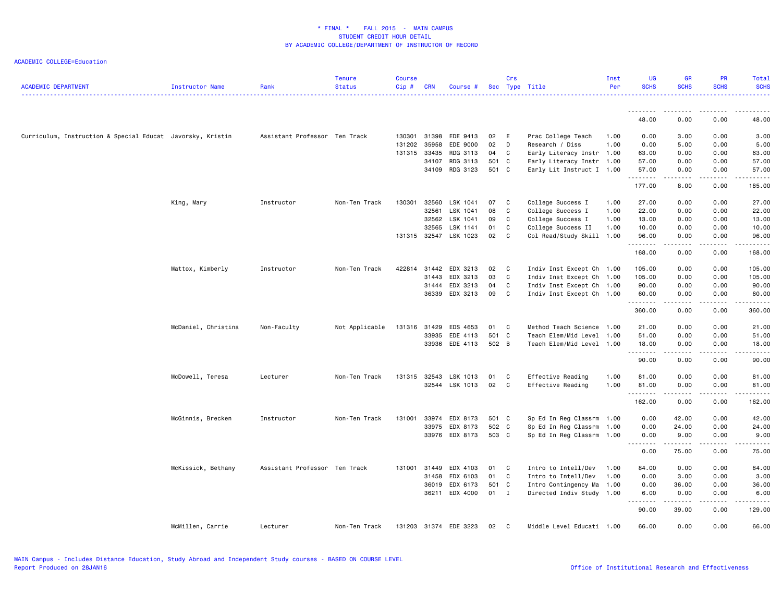| <b>ACADEMIC DEPARTMENT</b>                                 | Instructor Name     | Rank                          | <b>Tenure</b><br><b>Status</b> | <b>Course</b><br>Cip# | <b>CRN</b> | Course #              |       | Crs          | Sec Type Title            | Inst<br>Per | <b>UG</b><br><b>SCHS</b> | <b>GR</b><br><b>SCHS</b> | PR<br><b>SCHS</b> | Total<br><b>SCHS</b> |
|------------------------------------------------------------|---------------------|-------------------------------|--------------------------------|-----------------------|------------|-----------------------|-------|--------------|---------------------------|-------------|--------------------------|--------------------------|-------------------|----------------------|
|                                                            |                     |                               |                                |                       |            |                       |       |              |                           |             | .                        | .                        | .                 |                      |
|                                                            |                     |                               |                                |                       |            |                       |       |              |                           |             | 48.00                    | 0.00                     | 0.00              | 48.00                |
| Curriculum, Instruction & Special Educat Javorsky, Kristin |                     | Assistant Professor Ten Track |                                | 130301                | 31398      | EDE 9413              | 02    | E            | Prac College Teach        | 1.00        | 0.00                     | 3.00                     | 0.00              | 3.00                 |
|                                                            |                     |                               |                                | 131202                | 35958      | EDE 9000              | 02    | D            | Research / Diss           | 1.00        | 0.00                     | 5.00                     | 0.00              | 5.00                 |
|                                                            |                     |                               |                                | 131315                | 33435      | RDG 3113              | 04    | C            | Early Literacy Instr 1.00 |             | 63.00                    | 0.00                     | 0.00              | 63.00                |
|                                                            |                     |                               |                                |                       | 34107      | RDG 3113              | 501 C |              | Early Literacy Instr 1.00 |             | 57.00                    | 0.00                     | 0.00              | 57.00                |
|                                                            |                     |                               |                                |                       | 34109      | RDG 3123              | 501 C |              | Early Lit Instruct I 1.00 |             | 57.00<br>.               | 0.00                     | 0.00              | 57.00<br>.           |
|                                                            |                     |                               |                                |                       |            |                       |       |              |                           |             | 177.00                   | 8.00                     | 0.00              | 185.00               |
|                                                            | King, Mary          | Instructor                    | Non-Ten Track                  | 130301                | 32560      | LSK 1041              | 07    | C            | College Success I         | 1.00        | 27.00                    | 0.00                     | 0.00              | 27.00                |
|                                                            |                     |                               |                                |                       | 32561      | LSK 1041              | 08    | C            | College Success I         | 1.00        | 22.00                    | 0.00                     | 0.00              | 22.00                |
|                                                            |                     |                               |                                |                       | 32562      | LSK 1041              | 09    | C            | College Success I         | 1.00        | 13.00                    | 0.00                     | 0.00              | 13.00                |
|                                                            |                     |                               |                                |                       | 32565      | LSK 1141              | 01    | C            | College Success II        | 1.00        | 10.00                    | 0.00                     | 0.00              | 10.00                |
|                                                            |                     |                               |                                |                       |            | 131315 32547 LSK 1023 | 02    | C            | Col Read/Study Skill 1.00 |             | 96.00<br>.               | 0.00<br>.                | 0.00<br>.         | 96.00<br>.           |
|                                                            |                     |                               |                                |                       |            |                       |       |              |                           |             | 168.00                   | 0.00                     | 0.00              | 168.00               |
|                                                            | Mattox, Kimberly    | Instructor                    | Non-Ten Track                  | 422814                | 31442      | EDX 3213              | 02    | $\mathbf{C}$ | Indiv Inst Except Ch      | 1.00        | 105.00                   | 0.00                     | 0.00              | 105.00               |
|                                                            |                     |                               |                                |                       | 31443      | EDX 3213              | 03    | C            | Indiv Inst Except Ch      | 1.00        | 105.00                   | 0.00                     | 0.00              | 105.00               |
|                                                            |                     |                               |                                |                       | 31444      | EDX 3213              | 04    | C            | Indiv Inst Except Ch 1.00 |             | 90.00                    | 0.00                     | 0.00              | 90.00                |
|                                                            |                     |                               |                                |                       | 36339      | EDX 3213              | 09    | C            | Indiv Inst Except Ch 1.00 |             | 60.00                    | 0.00                     | 0.00              | 60.00                |
|                                                            |                     |                               |                                |                       |            |                       |       |              |                           |             | .                        |                          |                   |                      |
|                                                            |                     |                               |                                |                       |            |                       |       |              |                           |             | 360.00                   | 0.00                     | 0.00              | 360.00               |
|                                                            | McDaniel, Christina | Non-Faculty                   | Not Applicable                 | 131316 31429          |            | EDS 4653              | 01 C  |              | Method Teach Science 1.00 |             | 21.00                    | 0.00                     | 0.00              | 21.00                |
|                                                            |                     |                               |                                |                       | 33935      | EDE 4113              | 501 C |              | Teach Elem/Mid Level      | 1.00        | 51.00                    | 0.00                     | 0.00              | 51.00                |
|                                                            |                     |                               |                                |                       | 33936      | EDE 4113              | 502 B |              | Teach Elem/Mid Level 1.00 |             | 18.00                    | 0.00                     | 0.00              | 18.00                |
|                                                            |                     |                               |                                |                       |            |                       |       |              |                           |             | <u>.</u>                 | .                        | .                 | د د د د د            |
|                                                            |                     |                               |                                |                       |            |                       |       |              |                           |             | 90.00                    | 0.00                     | 0.00              | 90.00                |
|                                                            | McDowell, Teresa    | Lecturer                      | Non-Ten Track                  | 131315 32543          |            | LSK 1013              | 01    | C            | Effective Reading         | 1.00        | 81.00                    | 0.00                     | 0.00              | 81.00                |
|                                                            |                     |                               |                                |                       | 32544      | LSK 1013              | 02    | $\mathbf{C}$ | Effective Reading         | 1.00        | 81.00<br>.               | 0.00                     | 0.00<br>.         | 81.00<br>.           |
|                                                            |                     |                               |                                |                       |            |                       |       |              |                           |             | 162.00                   | 0.00                     | 0.00              | 162.00               |
|                                                            | McGinnis, Brecken   | Instructor                    | Non-Ten Track                  | 131001                | 33974      | EDX 8173              | 501 C |              | Sp Ed In Reg Classrm      | 1.00        | 0.00                     | 42.00                    | 0.00              | 42.00                |
|                                                            |                     |                               |                                |                       | 33975      | EDX 8173              | 502 C |              | Sp Ed In Reg Classrm      | 1.00        | 0.00                     | 24.00                    | 0.00              | 24.00                |
|                                                            |                     |                               |                                |                       |            | 33976 EDX 8173        | 503 C |              | Sp Ed In Reg Classrm 1.00 |             | 0.00                     | 9.00                     | 0.00              | 9.00                 |
|                                                            |                     |                               |                                |                       |            |                       |       |              |                           |             |                          | د د د د د                | .                 | .                    |
|                                                            |                     |                               |                                |                       |            |                       |       |              |                           |             | 0.00                     | 75.00                    | 0.00              | 75.00                |
|                                                            | McKissick, Bethany  | Assistant Professor Ten Track |                                | 131001                | 31449      | EDX 4103              | 01    | C.           | Intro to Intell/Dev       | 1.00        | 84.00                    | 0.00                     | 0.00              | 84.00                |
|                                                            |                     |                               |                                |                       | 31458      | EDX 6103              | 01    | C            | Intro to Intell/Dev       | 1.00        | 0.00                     | 3.00                     | 0.00              | 3.00                 |
|                                                            |                     |                               |                                |                       | 36019      | EDX 6173              | 501 C |              | Intro Contingency Ma      | 1.00        | 0.00                     | 36.00                    | 0.00              | 36.00                |
|                                                            |                     |                               |                                |                       |            | 36211 EDX 4000        | 01 I  |              | Directed Indiv Study 1.00 |             | 6.00<br>د د د د          | 0.00                     | 0.00<br>.         | 6.00                 |
|                                                            |                     |                               |                                |                       |            |                       |       |              |                           |             | 90.00                    | .<br>39.00               | 0.00              | .<br>129.00          |
|                                                            | McMillen, Carrie    | Lecturer                      | Non-Ten Track                  |                       |            | 131203 31374 EDE 3223 | 02    | C            | Middle Level Educati 1.00 |             | 66.00                    | 0.00                     | 0.00              | 66.00                |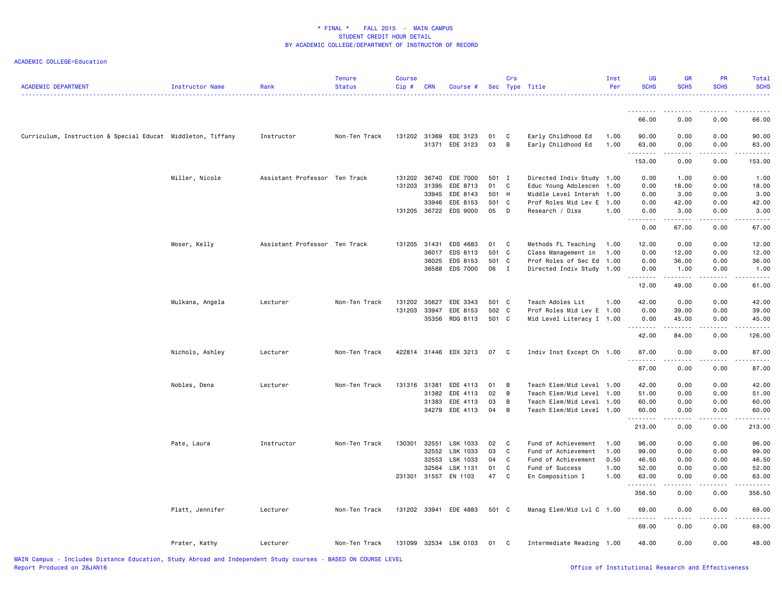| <b>ACADEMIC DEPARTMENT</b>                                  | Instructor Name | Rank                          | <b>Tenure</b><br><b>Status</b> | <b>Course</b><br>Cip# | <b>CRN</b> | Course #                                |          | Crs               | Sec Type Title                           | Inst<br>Per  | UG<br><b>SCHS</b>                                                                                                                                              | <b>GR</b><br><b>SCHS</b> | PR<br><b>SCHS</b>                                                                                                                                            | Total<br><b>SCHS</b> |
|-------------------------------------------------------------|-----------------|-------------------------------|--------------------------------|-----------------------|------------|-----------------------------------------|----------|-------------------|------------------------------------------|--------------|----------------------------------------------------------------------------------------------------------------------------------------------------------------|--------------------------|--------------------------------------------------------------------------------------------------------------------------------------------------------------|----------------------|
|                                                             |                 |                               |                                |                       |            |                                         |          |                   |                                          |              | <b></b>                                                                                                                                                        | $\frac{1}{2}$            |                                                                                                                                                              |                      |
|                                                             |                 |                               |                                |                       |            |                                         |          |                   |                                          |              | 66.00                                                                                                                                                          | 0.00                     | 0.00                                                                                                                                                         | 66.00                |
| Curriculum, Instruction & Special Educat Middleton, Tiffany |                 | Instructor                    | Non-Ten Track                  |                       |            | 131202 31369 EDE 3123<br>31371 EDE 3123 | 01<br>03 | $\mathbf{C}$<br>B | Early Childhood Ed<br>Early Childhood Ed | 1.00<br>1.00 | 90.00<br>63.00<br>.                                                                                                                                            | 0.00<br>0.00<br>.        | 0.00<br>0.00                                                                                                                                                 | 90.00<br>63.00       |
|                                                             |                 |                               |                                |                       |            |                                         |          |                   |                                          |              | 153.00                                                                                                                                                         | 0.00                     | .<br>0.00                                                                                                                                                    | 153.00               |
|                                                             | Miller, Nicole  | Assistant Professor Ten Track |                                | 131202                | 36740      | EDE 7000                                | 501 I    |                   | Directed Indiv Study                     | 1.00         | 0.00                                                                                                                                                           | 1.00                     | 0.00                                                                                                                                                         | 1.00                 |
|                                                             |                 |                               |                                | 131203                | 31395      | EDE 8713                                | 01 C     |                   | Educ Young Adolescen                     | 1.00         | 0.00                                                                                                                                                           | 18.00                    | 0.00                                                                                                                                                         | 18.00                |
|                                                             |                 |                               |                                |                       | 33945      | EDE 8143                                | 501 H    |                   | Middle Level Intersh                     | 1.00         | 0.00                                                                                                                                                           | 3.00                     | 0.00                                                                                                                                                         | 3.00                 |
|                                                             |                 |                               |                                |                       | 33946      | EDE 8153                                | 501 C    |                   | Prof Roles Mid Lev E                     | 1.00         | 0.00                                                                                                                                                           | 42.00                    | 0.00                                                                                                                                                         | 42.00                |
|                                                             |                 |                               |                                |                       |            | 131205 36722 EDS 9000                   | 05       | $\mathsf{D}$      | Research / Diss                          | 1.00         | 0.00<br>.                                                                                                                                                      | 3.00<br>.                | 0.00<br>.                                                                                                                                                    | 3.00<br>.            |
|                                                             |                 |                               |                                |                       |            |                                         |          |                   |                                          |              | 0.00                                                                                                                                                           | 67.00                    | 0.00                                                                                                                                                         | 67.00                |
|                                                             | Moser, Kelly    | Assistant Professor Ten Track |                                | 131205                | 31431      | EDS 4683                                | 01       | $\mathbf{C}$      | Methods FL Teaching                      | 1.00         | 12.00                                                                                                                                                          | 0.00                     | 0.00                                                                                                                                                         | 12.00                |
|                                                             |                 |                               |                                |                       | 36017      | EDS 8113                                | 501 C    |                   | Class Management in                      | 1.00         | 0.00                                                                                                                                                           | 12.00                    | 0.00                                                                                                                                                         | 12.00                |
|                                                             |                 |                               |                                |                       | 36025      | EDS 8153                                | 501 C    |                   | Prof Roles of Sec Ed                     | 1.00         | 0.00                                                                                                                                                           | 36.00                    | 0.00                                                                                                                                                         | 36.00                |
|                                                             |                 |                               |                                |                       | 36588      | EDS 7000                                | 06 I     |                   | Directed Indiv Study                     | 1.00         | 0.00                                                                                                                                                           | 1.00                     | 0.00                                                                                                                                                         | 1.00                 |
|                                                             |                 |                               |                                |                       |            |                                         |          |                   |                                          |              | <b></b><br>12.00                                                                                                                                               | .<br>49.00               | . <b>.</b><br>0.00                                                                                                                                           | .<br>61.00           |
|                                                             | Mulkana, Angela | Lecturer                      | Non-Ten Track                  | 131202                | 35627      | EDE 3343                                | 501 C    |                   | Teach Adoles Lit                         | 1.00         | 42.00                                                                                                                                                          | 0.00                     | 0.00                                                                                                                                                         | 42.00                |
|                                                             |                 |                               |                                | 131203                |            | 33947 EDE 8153                          | 502 C    |                   | Prof Roles Mid Lev E 1.00                |              | 0.00                                                                                                                                                           | 39.00                    | 0.00                                                                                                                                                         | 39.00                |
|                                                             |                 |                               |                                |                       |            | 35356 RDG 8113                          | 501 C    |                   | Mid Level Literacy I 1.00                |              | 0.00                                                                                                                                                           | 45.00                    | 0.00                                                                                                                                                         | 45.00                |
|                                                             |                 |                               |                                |                       |            |                                         |          |                   |                                          |              | .<br>42.00                                                                                                                                                     | .<br>84.00               | 0.00                                                                                                                                                         | 126.00               |
|                                                             | Nichols, Ashley | Lecturer                      | Non-Ten Track                  |                       |            | 422814 31446 EDX 3213                   | 07 C     |                   | Indiv Inst Except Ch 1.00                |              | 87.00<br>.                                                                                                                                                     | 0.00<br>.                | 0.00<br>-----                                                                                                                                                | 87.00<br>.           |
|                                                             |                 |                               |                                |                       |            |                                         |          |                   |                                          |              | 87.00                                                                                                                                                          | 0.00                     | 0.00                                                                                                                                                         | 87.00                |
|                                                             | Nobles, Dena    | Lecturer                      | Non-Ten Track                  | 131316                | 31381      | EDE 4113                                | 01       | $\overline{B}$    | Teach Elem/Mid Level 1.00                |              | 42.00                                                                                                                                                          | 0.00                     | 0.00                                                                                                                                                         | 42.00                |
|                                                             |                 |                               |                                |                       |            | 31382 EDE 4113                          | 02       | $\overline{B}$    | Teach Elem/Mid Level 1.00                |              | 51.00                                                                                                                                                          | 0.00                     | 0.00                                                                                                                                                         | 51.00                |
|                                                             |                 |                               |                                |                       | 31383      | EDE 4113                                | 03       | В                 | Teach Elem/Mid Level 1.00                |              | 60.00                                                                                                                                                          | 0.00                     | 0.00                                                                                                                                                         | 60.00                |
|                                                             |                 |                               |                                |                       |            | 34279 EDE 4113                          | 04       | $\overline{B}$    | Teach Elem/Mid Level 1.00                |              | 60.00                                                                                                                                                          | 0.00                     | 0.00                                                                                                                                                         | 60.00                |
|                                                             |                 |                               |                                |                       |            |                                         |          |                   |                                          |              | .<br>213.00                                                                                                                                                    | .<br>0.00                | $\frac{1}{2} \left( \frac{1}{2} \right) \left( \frac{1}{2} \right) \left( \frac{1}{2} \right) \left( \frac{1}{2} \right) \left( \frac{1}{2} \right)$<br>0.00 | .<br>213.00          |
|                                                             | Pate, Laura     | Instructor                    | Non-Ten Track                  | 130301                | 32551      | LSK 1033                                | 02       | $\mathbf{C}$      | Fund of Achievement                      | 1.00         | 96.00                                                                                                                                                          | 0.00                     | 0.00                                                                                                                                                         | 96.00                |
|                                                             |                 |                               |                                |                       |            | 32552 LSK 1033                          | 03       | C                 | Fund of Achievement                      | 1.00         | 99.00                                                                                                                                                          | 0.00                     | 0.00                                                                                                                                                         | 99.00                |
|                                                             |                 |                               |                                |                       | 32553      | LSK 1033                                | 04       | C.                | Fund of Achievement                      | 0.50         | 46.50                                                                                                                                                          | 0.00                     | 0.00                                                                                                                                                         | 46.50                |
|                                                             |                 |                               |                                |                       | 32564      | LSK 1131                                | 01       | C                 | Fund of Success                          | 1.00         | 52.00                                                                                                                                                          | 0.00                     | 0.00                                                                                                                                                         | 52.00                |
|                                                             |                 |                               |                                | 231301                |            | 31557 EN 1103                           | 47       | C                 | En Composition I                         | 1.00         | 63.00                                                                                                                                                          | 0.00                     | 0.00                                                                                                                                                         | 63.00                |
|                                                             |                 |                               |                                |                       |            |                                         |          |                   |                                          |              | $\frac{1}{2} \left( \frac{1}{2} \right) \left( \frac{1}{2} \right) \left( \frac{1}{2} \right) \left( \frac{1}{2} \right) \left( \frac{1}{2} \right)$<br>356.50 | .<br>0.00                | 0.00                                                                                                                                                         | 356.50               |
|                                                             | Platt, Jennifer | Lecturer                      | Non-Ten Track                  |                       |            | 131202 33941 EDE 4883                   | 501 C    |                   | Manag Elem/Mid Lvl C 1.00                |              | 69.00                                                                                                                                                          | 0.00                     | 0.00                                                                                                                                                         | 69.00                |
|                                                             |                 |                               |                                |                       |            |                                         |          |                   |                                          |              | 69.00                                                                                                                                                          | 0.00                     | 0.00                                                                                                                                                         | 69.00                |
|                                                             | Prater, Kathy   | Lecturer                      | Non-Ten Track                  |                       |            | 131099 32534 LSK 0103                   | 01 C     |                   | Intermediate Reading 1.00                |              | 48.00                                                                                                                                                          | 0.00                     | 0.00                                                                                                                                                         | 48.00                |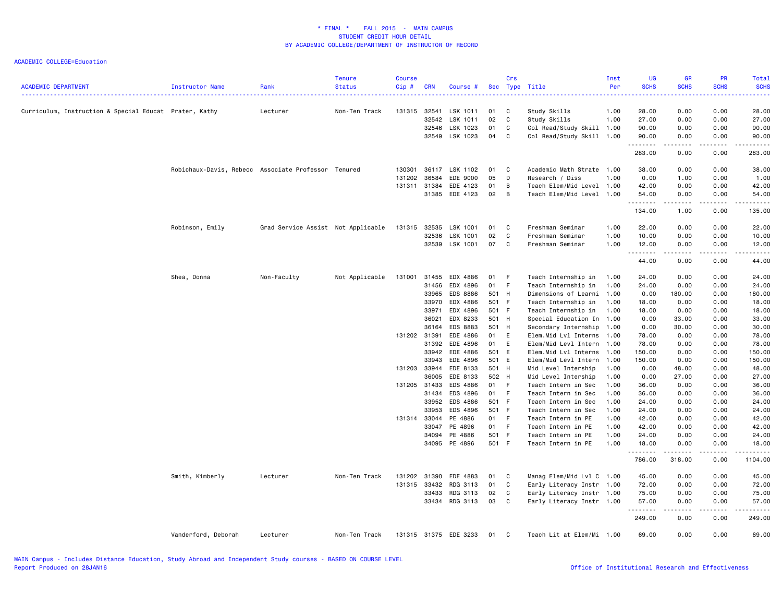| <b>ACADEMIC DEPARTMENT</b>                             | Instructor Name                                     | Rank                               | <b>Tenure</b><br><b>Status</b> | <b>Course</b><br>Cip# | <b>CRN</b> | Course #              |               | Crs          | Sec Type Title                           | Inst<br>Per  | <b>UG</b><br><b>SCHS</b> | <b>GR</b><br><b>SCHS</b> | PR<br><b>SCHS</b> | Total<br><b>SCHS</b> |
|--------------------------------------------------------|-----------------------------------------------------|------------------------------------|--------------------------------|-----------------------|------------|-----------------------|---------------|--------------|------------------------------------------|--------------|--------------------------|--------------------------|-------------------|----------------------|
| Curriculum, Instruction & Special Educat Prater, Kathy |                                                     | Lecturer                           | Non-Ten Track                  | 131315                | 32541      | LSK 1011              | 01            | C            | Study Skills                             | 1.00         | 28.00                    | 0.00                     | 0.00              | 28.00                |
|                                                        |                                                     |                                    |                                |                       | 32542      | LSK 1011              | 02            | C            | Study Skills                             | 1.00         | 27.00                    | 0.00                     | 0.00              | 27.00                |
|                                                        |                                                     |                                    |                                |                       | 32546      | LSK 1023              | 01            | C            | Col Read/Study Skill 1.00                |              | 90.00                    | 0.00                     | 0.00              | 90.00                |
|                                                        |                                                     |                                    |                                |                       |            | 32549 LSK 1023        | 04 C          |              | Col Read/Study Skill 1.00                |              | 90.00<br>.               | 0.00<br>.                | 0.00<br>.         | 90.00<br>.           |
|                                                        |                                                     |                                    |                                |                       |            |                       |               |              |                                          |              | 283.00                   | 0.00                     | 0.00              | 283.00               |
|                                                        | Robichaux-Davis, Rebecc Associate Professor Tenured |                                    |                                | 130301                |            | 36117 LSK 1102        | 01            | $\mathbf{C}$ | Academic Math Strate 1.00                |              | 38.00                    | 0.00                     | 0.00              | 38.00                |
|                                                        |                                                     |                                    |                                | 131202                | 36584      | EDE 9000              | 05            | D            | Research / Diss                          | 1.00         | 0.00                     | 1.00                     | 0.00              | 1.00                 |
|                                                        |                                                     |                                    |                                | 131311 31384          |            | EDE 4123              | 01            | B            | Teach Elem/Mid Level 1.00                |              | 42.00                    | 0.00                     | 0.00              | 42.00                |
|                                                        |                                                     |                                    |                                |                       |            | 31385 EDE 4123        | 02            | B            | Teach Elem/Mid Level 1.00                |              | 54.00                    | 0.00                     | 0.00              | 54.00                |
|                                                        |                                                     |                                    |                                |                       |            |                       |               |              |                                          |              | .<br>134.00              | .<br>1.00                | .<br>0.00         | -----<br>135.00      |
|                                                        | Robinson, Emily                                     | Grad Service Assist Not Applicable |                                | 131315                | 32535      | LSK 1001              | 01            | C            | Freshman Seminar                         | 1.00         | 22.00                    | 0.00                     | 0.00              | 22.00                |
|                                                        |                                                     |                                    |                                |                       | 32536      | <b>LSK 1001</b>       | 02            | C            | Freshman Seminar                         | 1.00         | 10.00                    | 0.00                     | 0.00              | 10.00                |
|                                                        |                                                     |                                    |                                |                       |            | 32539 LSK 1001        | 07            | C            | Freshman Seminar                         | 1.00         | 12.00                    | 0.00                     | 0.00              | 12.00                |
|                                                        |                                                     |                                    |                                |                       |            |                       |               |              |                                          |              | .<br>44.00               | بالمحام<br>0.00          | .<br>0.00         | .<br>44.00           |
|                                                        | Shea, Donna                                         | Non-Faculty                        | Not Applicable                 | 131001                | 31455      | EDX 4886              | 01            | - F          | Teach Internship in                      | 1.00         | 24.00                    | 0.00                     | 0.00              | 24.00                |
|                                                        |                                                     |                                    |                                |                       | 31456      | EDX 4896              | 01 F          |              | Teach Internship in                      | 1.00         | 24.00                    | 0.00                     | 0.00              | 24.00                |
|                                                        |                                                     |                                    |                                |                       | 33965      | EDS 8886              | 501 H         |              | Dimensions of Learni 1.00                |              | 0.00                     | 180.00                   | 0.00              | 180.00               |
|                                                        |                                                     |                                    |                                |                       | 33970      | EDX 4886              | 501 F         |              | Teach Internship in                      | 1.00         | 18.00                    | 0.00                     | 0.00              | 18.00                |
|                                                        |                                                     |                                    |                                |                       | 33971      | EDX 4896              | 501 F         |              | Teach Internship in                      | 1.00         | 18.00                    | 0.00                     | 0.00              | 18.00                |
|                                                        |                                                     |                                    |                                |                       | 36021      | EDX 8233              | 501 H         |              | Special Education In 1.00                |              | 0.00                     | 33.00                    | 0.00              | 33.00                |
|                                                        |                                                     |                                    |                                |                       | 36164      | EDS 8883              | 501 H         |              | Secondary Internship                     | 1.00         | 0.00                     | 30.00                    | 0.00              | 30.00                |
|                                                        |                                                     |                                    |                                | 131202                | 31391      | EDE 4886              | 01 E          |              | Elem.Mid Lvl Interns                     | 1.00         | 78.00                    | 0.00                     | 0.00              | 78.00                |
|                                                        |                                                     |                                    |                                |                       | 31392      | EDE 4896              | 01            | E            | Elem/Mid Levl Intern 1.00                |              | 78.00                    | 0.00                     | 0.00              | 78.00                |
|                                                        |                                                     |                                    |                                |                       | 33942      | EDE 4886              | 501 E         |              | Elem.Mid Lvl Interns 1.00                |              | 150.00                   | 0.00                     | 0.00              | 150.00               |
|                                                        |                                                     |                                    |                                |                       | 33943      | EDE 4896              | 501 E         |              | Elem/Mid Levl Intern                     | 1.00         | 150.00                   | 0.00                     | 0.00              | 150.00               |
|                                                        |                                                     |                                    |                                | 131203                | 33944      | EDE 8133              | 501 H         |              | Mid Level Intership                      | 1.00         | 0.00                     | 48.00                    | 0.00              | 48.00                |
|                                                        |                                                     |                                    |                                |                       | 36005      | EDE 8133              | 502 H         |              | Mid Level Intership                      | 1.00         | 0.00                     | 27.00                    | 0.00              | 27.00                |
|                                                        |                                                     |                                    |                                | 131205                | 31433      | EDS 4886              | 01 F          |              | Teach Intern in Sec                      | 1.00         | 36.00                    | 0.00                     | 0.00              | 36.00                |
|                                                        |                                                     |                                    |                                |                       | 31434      | EDS 4896              | 01 F          |              | Teach Intern in Sec                      | 1.00         | 36.00                    | 0.00                     | 0.00              | 36.00                |
|                                                        |                                                     |                                    |                                |                       | 33952      | EDS 4886              | 501 F         |              | Teach Intern in Sec                      | 1.00         | 24.00                    | 0.00                     | 0.00              | 24.00                |
|                                                        |                                                     |                                    |                                | 131314 33044          | 33953      | EDS 4896              | 501 F<br>01 F |              | Teach Intern in Sec                      | 1.00         | 24.00                    | 0.00                     | 0.00<br>0.00      | 24.00                |
|                                                        |                                                     |                                    |                                |                       | 33047      | PE 4886<br>PE 4896    | 01 F          |              | Teach Intern in PE                       | 1.00         | 42.00<br>42.00           | 0.00<br>0.00             | 0.00              | 42.00<br>42.00       |
|                                                        |                                                     |                                    |                                |                       | 34094      | PE 4886               | 501 F         |              | Teach Intern in PE<br>Teach Intern in PE | 1.00<br>1.00 | 24.00                    | 0.00                     | 0.00              | 24.00                |
|                                                        |                                                     |                                    |                                |                       |            | 34095 PE 4896         | 501 F         |              | Teach Intern in PE                       | 1.00         | 18.00                    | 0.00                     | 0.00              | 18.00                |
|                                                        |                                                     |                                    |                                |                       |            |                       |               |              |                                          |              | .<br>786.00              | .<br>318.00              | .<br>0.00         | .<br>1104.00         |
|                                                        | Smith, Kimberly                                     | Lecturer                           | Non-Ten Track                  | 131202                | 31390      | EDE 4883              | 01            | C            | Manag Elem/Mid Lvl C 1.00                |              | 45.00                    | 0.00                     | 0.00              | 45.00                |
|                                                        |                                                     |                                    |                                | 131315 33432          |            | RDG 3113              | 01            | C            | Early Literacy Instr                     | 1.00         | 72.00                    | 0.00                     | 0.00              | 72.00                |
|                                                        |                                                     |                                    |                                |                       | 33433      | RDG 3113              | 02            | C            | Early Literacy Instr 1.00                |              | 75.00                    | 0.00                     | 0.00              | 75.00                |
|                                                        |                                                     |                                    |                                |                       |            | 33434 RDG 3113        | 03            | C            | Early Literacy Instr 1.00                |              | 57.00                    | 0.00                     | 0.00              | 57.00                |
|                                                        |                                                     |                                    |                                |                       |            |                       |               |              |                                          |              | .<br>249.00              | .<br>0.00                | .<br>0.00         | .<br>249.00          |
|                                                        | Vanderford, Deborah                                 | Lecturer                           | Non-Ten Track                  |                       |            | 131315 31375 EDE 3233 | 01 C          |              | Teach Lit at Elem/Mi 1.00                |              | 69.00                    | 0.00                     | 0.00              | 69.00                |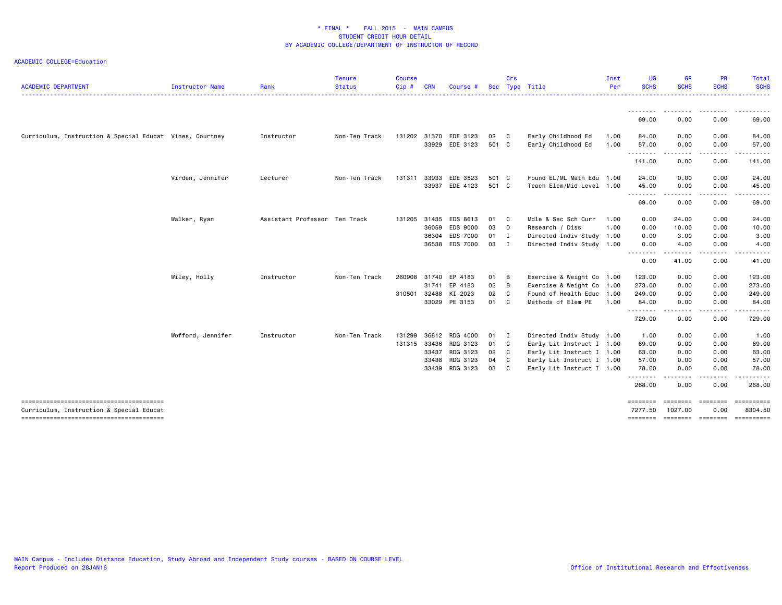| <b>ACADEMIC DEPARTMENT</b>                               | Instructor Name   | Rank                          | <b>Tenure</b><br><b>Status</b> | <b>Course</b><br>Cip# | <b>CRN</b> | Course #             | <b>Sec</b> | Crs            | Type Title                | Inst<br>Per | UG<br><b>SCHS</b>                                                                                                         | GR<br><b>SCHS</b>                                                                                                                                                 | <b>PR</b><br><b>SCHS</b>                                                                                                                                                                                                                                                                                                                                                                                                                                                                       | <b>Total</b><br><b>SCHS</b> |
|----------------------------------------------------------|-------------------|-------------------------------|--------------------------------|-----------------------|------------|----------------------|------------|----------------|---------------------------|-------------|---------------------------------------------------------------------------------------------------------------------------|-------------------------------------------------------------------------------------------------------------------------------------------------------------------|------------------------------------------------------------------------------------------------------------------------------------------------------------------------------------------------------------------------------------------------------------------------------------------------------------------------------------------------------------------------------------------------------------------------------------------------------------------------------------------------|-----------------------------|
|                                                          |                   |                               |                                |                       |            |                      |            |                |                           |             |                                                                                                                           | ---------                                                                                                                                                         |                                                                                                                                                                                                                                                                                                                                                                                                                                                                                                | .                           |
|                                                          |                   |                               |                                |                       |            |                      |            |                |                           |             | 69.00                                                                                                                     | <u>.</u><br>0.00                                                                                                                                                  | 0.00                                                                                                                                                                                                                                                                                                                                                                                                                                                                                           | 69.00                       |
|                                                          |                   |                               |                                |                       |            |                      |            |                |                           |             |                                                                                                                           |                                                                                                                                                                   |                                                                                                                                                                                                                                                                                                                                                                                                                                                                                                |                             |
| Curriculum, Instruction & Special Educat Vines, Courtney |                   | Instructor                    | Non-Ten Track                  | 131202                | 31370      | EDE 3123             | 02 C       |                | Early Childhood Ed        | 1.00        | 84.00                                                                                                                     | 0.00                                                                                                                                                              | 0.00                                                                                                                                                                                                                                                                                                                                                                                                                                                                                           | 84.00                       |
|                                                          |                   |                               |                                |                       |            | 33929 EDE 3123       | 501 C      |                | Early Childhood Ed        | 1.00        | 57.00<br>.                                                                                                                | 0.00<br>$\frac{1}{2} \left( \frac{1}{2} \right) \left( \frac{1}{2} \right) \left( \frac{1}{2} \right) \left( \frac{1}{2} \right) \left( \frac{1}{2} \right)$<br>. | 0.00<br>.                                                                                                                                                                                                                                                                                                                                                                                                                                                                                      | 57.00                       |
|                                                          |                   |                               |                                |                       |            |                      |            |                |                           |             | 141.00                                                                                                                    | 0.00                                                                                                                                                              | 0.00                                                                                                                                                                                                                                                                                                                                                                                                                                                                                           | 141.00                      |
|                                                          | Virden, Jennifer  | Lecturer                      | Non-Ten Track                  | 131311                | 33933      | EDE 3523             | 501 C      |                | Found EL/ML Math Edu 1.00 |             | 24.00                                                                                                                     | 0.00                                                                                                                                                              | 0.00                                                                                                                                                                                                                                                                                                                                                                                                                                                                                           | 24.00                       |
|                                                          |                   |                               |                                |                       |            | 33937 EDE 4123       | 501 C      |                | Teach Elem/Mid Level 1.00 |             | 45.00                                                                                                                     | 0.00                                                                                                                                                              | 0.00                                                                                                                                                                                                                                                                                                                                                                                                                                                                                           | 45.00                       |
|                                                          |                   |                               |                                |                       |            |                      |            |                |                           |             | . <sub>.</sub><br>69.00                                                                                                   | -----<br>0.00                                                                                                                                                     | $\begin{array}{cccccccccccccc} \multicolumn{2}{c}{} & \multicolumn{2}{c}{} & \multicolumn{2}{c}{} & \multicolumn{2}{c}{} & \multicolumn{2}{c}{} & \multicolumn{2}{c}{} & \multicolumn{2}{c}{} & \multicolumn{2}{c}{} & \multicolumn{2}{c}{} & \multicolumn{2}{c}{} & \multicolumn{2}{c}{} & \multicolumn{2}{c}{} & \multicolumn{2}{c}{} & \multicolumn{2}{c}{} & \multicolumn{2}{c}{} & \multicolumn{2}{c}{} & \multicolumn{2}{c}{} & \multicolumn{2}{c}{} & \multicolumn{2}{c}{} & \$<br>0.00 | 69.00                       |
|                                                          | Walker, Ryan      | Assistant Professor Ten Track |                                | 131205 31435          |            | EDS 8613             | 01 C       |                | Mdle & Sec Sch Curr       | 1.00        | 0.00                                                                                                                      | 24.00                                                                                                                                                             | 0.00                                                                                                                                                                                                                                                                                                                                                                                                                                                                                           | 24.00                       |
|                                                          |                   |                               |                                |                       | 36059      | EDS 9000             | 03 D       |                | Research / Diss           | 1.00        | 0.00                                                                                                                      | 10.00                                                                                                                                                             | 0.00                                                                                                                                                                                                                                                                                                                                                                                                                                                                                           | 10.00                       |
|                                                          |                   |                               |                                |                       | 36304      | <b>EDS 7000</b>      | 01 I       |                | Directed Indiv Study 1.00 |             | 0.00                                                                                                                      | 3.00                                                                                                                                                              | 0.00                                                                                                                                                                                                                                                                                                                                                                                                                                                                                           | 3.00                        |
|                                                          |                   |                               |                                |                       |            | 36538 EDS 7000       | 03 I       |                | Directed Indiv Study 1.00 |             | 0.00                                                                                                                      | 4.00                                                                                                                                                              | 0.00                                                                                                                                                                                                                                                                                                                                                                                                                                                                                           | 4.00                        |
|                                                          |                   |                               |                                |                       |            |                      |            |                |                           |             | $\frac{1}{2} \left( \frac{1}{2} \right) \left( \frac{1}{2} \right) \left( \frac{1}{2} \right) \left( \frac{1}{2} \right)$ | .                                                                                                                                                                 |                                                                                                                                                                                                                                                                                                                                                                                                                                                                                                |                             |
|                                                          |                   |                               |                                |                       |            |                      |            |                |                           |             | 0.00                                                                                                                      | 41.00                                                                                                                                                             | 0.00                                                                                                                                                                                                                                                                                                                                                                                                                                                                                           | 41.00                       |
|                                                          | Wiley, Holly      | Instructor                    | Non-Ten Track                  |                       |            | 260908 31740 EP 4183 | 01 B       |                | Exercise & Weight Co 1.00 |             | 123.00                                                                                                                    | 0.00                                                                                                                                                              | 0.00                                                                                                                                                                                                                                                                                                                                                                                                                                                                                           | 123.00                      |
|                                                          |                   |                               |                                |                       | 31741      | EP 4183              | 02         | $\overline{B}$ | Exercise & Weight Co 1.00 |             | 273.00                                                                                                                    | 0.00                                                                                                                                                              | 0.00                                                                                                                                                                                                                                                                                                                                                                                                                                                                                           | 273.00                      |
|                                                          |                   |                               |                                | 310501                | 32488      | KI 2023              | 02 C       |                | Found of Health Educ 1.00 |             | 249.00                                                                                                                    | 0.00                                                                                                                                                              | 0.00                                                                                                                                                                                                                                                                                                                                                                                                                                                                                           | 249.00                      |
|                                                          |                   |                               |                                |                       |            | 33029 PE 3153        | 01 C       |                | Methods of Elem PE        | 1.00        | 84.00                                                                                                                     | 0.00                                                                                                                                                              | 0.00                                                                                                                                                                                                                                                                                                                                                                                                                                                                                           | 84.00                       |
|                                                          |                   |                               |                                |                       |            |                      |            |                |                           |             | <u>.</u><br>729.00                                                                                                        | .<br>0.00                                                                                                                                                         | -----<br>0.00                                                                                                                                                                                                                                                                                                                                                                                                                                                                                  | 729.00                      |
|                                                          | Wofford, Jennifer | Instructor                    | Non-Ten Track                  | 131299                |            | 36812 RDG 4000       | 01 I       |                | Directed Indiv Study 1.00 |             | 1.00                                                                                                                      | 0.00                                                                                                                                                              | 0.00                                                                                                                                                                                                                                                                                                                                                                                                                                                                                           | 1.00                        |
|                                                          |                   |                               |                                | 131315 33436          |            | RDG 3123             | 01 C       |                | Early Lit Instruct I 1.00 |             | 69.00                                                                                                                     | 0.00                                                                                                                                                              | 0.00                                                                                                                                                                                                                                                                                                                                                                                                                                                                                           | 69.00                       |
|                                                          |                   |                               |                                |                       |            | 33437 RDG 3123       | 02 C       |                | Early Lit Instruct I 1.00 |             | 63.00                                                                                                                     | 0.00                                                                                                                                                              | 0.00                                                                                                                                                                                                                                                                                                                                                                                                                                                                                           | 63.00                       |
|                                                          |                   |                               |                                |                       | 33438      | RDG 3123             | 04         | C <sub>1</sub> | Early Lit Instruct I 1.00 |             | 57.00                                                                                                                     | 0.00                                                                                                                                                              | 0.00                                                                                                                                                                                                                                                                                                                                                                                                                                                                                           | 57.00                       |
|                                                          |                   |                               |                                |                       |            | 33439 RDG 3123       | 03         | $\mathbf{C}$   | Early Lit Instruct I 1.00 |             | 78.00                                                                                                                     | 0.00                                                                                                                                                              | 0.00                                                                                                                                                                                                                                                                                                                                                                                                                                                                                           | 78.00                       |
|                                                          |                   |                               |                                |                       |            |                      |            |                |                           |             | <u>.</u>                                                                                                                  | .                                                                                                                                                                 |                                                                                                                                                                                                                                                                                                                                                                                                                                                                                                |                             |
|                                                          |                   |                               |                                |                       |            |                      |            |                |                           |             | 268.00                                                                                                                    | 0.00                                                                                                                                                              | 0.00                                                                                                                                                                                                                                                                                                                                                                                                                                                                                           | 268.00                      |
| Curriculum, Instruction & Special Educat                 |                   |                               |                                |                       |            |                      |            |                |                           |             | ========<br>7277.50                                                                                                       | <b>EBBEBBE</b><br>1027.00                                                                                                                                         | <b>EEEEEEE</b><br>0.00                                                                                                                                                                                                                                                                                                                                                                                                                                                                         | $=$ ==========<br>8304.50   |
|                                                          |                   |                               |                                |                       |            |                      |            |                |                           |             |                                                                                                                           |                                                                                                                                                                   |                                                                                                                                                                                                                                                                                                                                                                                                                                                                                                |                             |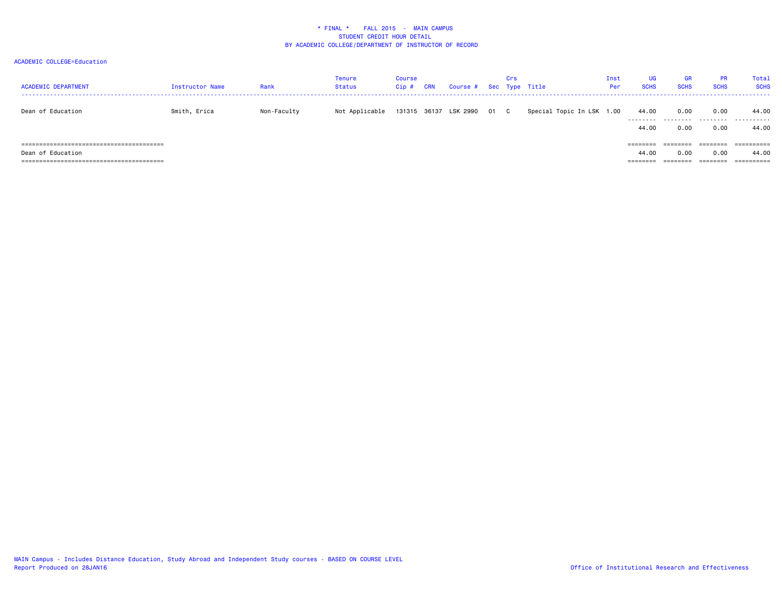| <b>ACADEMIC DEPARTMENT</b> | Instructor Name | Rank        | Tenure<br><b>Status</b> | <b>Course</b><br>$Cip$ # | CRN          | Course # Sec Type Title |      | Crs |                           | Inst<br>Per | <b>UG</b><br><b>SCHS</b> | <b>GR</b><br><b>SCHS</b> | <b>PR</b><br><b>SCHS</b> | Total<br><b>SCHS</b> |
|----------------------------|-----------------|-------------|-------------------------|--------------------------|--------------|-------------------------|------|-----|---------------------------|-------------|--------------------------|--------------------------|--------------------------|----------------------|
| Dean of Education          | Smith, Erica    | Non-Faculty | Not Applicable          |                          | 131315 36137 | LSK 2990                | 01 C |     | Special Topic In LSK 1.00 |             | 44.00<br>.               | 0.00<br>.                | 0.00<br>.                | 44.00<br>.           |
|                            |                 |             |                         |                          |              |                         |      |     |                           |             | 44.00                    | 0.00                     | 0.00                     | 44.00                |
|                            |                 |             |                         |                          |              |                         |      |     |                           |             | ========                 |                          |                          | =========            |
| Dean of Education          |                 |             |                         |                          |              |                         |      |     |                           |             | 44.00                    | 0.00                     | 0.00                     | 44.00                |
|                            |                 |             |                         |                          |              |                         |      |     |                           |             | ========                 | ========                 | ========                 | ==========           |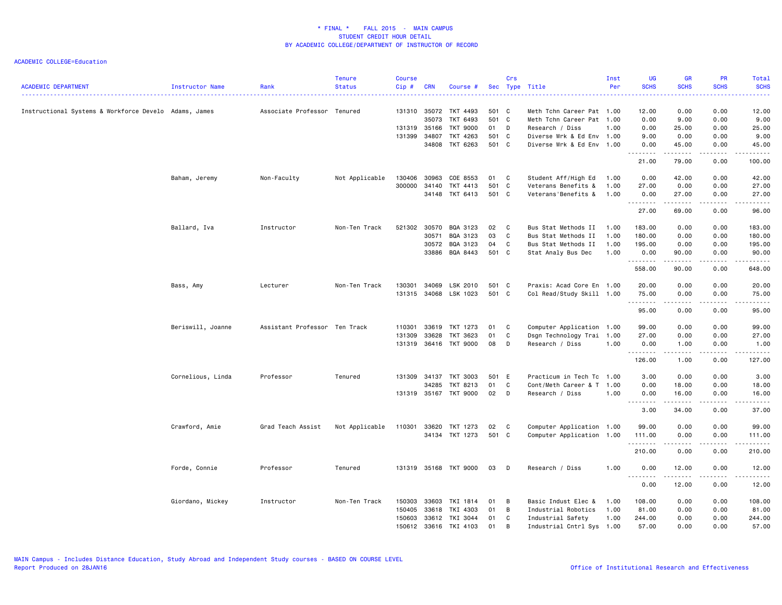| <b>ACADEMIC DEPARTMENT</b>                            | Instructor Name   | Rank                          | <b>Tenure</b><br><b>Status</b> | <b>Course</b><br>Cip# | <b>CRN</b>   | Course #              |       | Crs            | Sec Type Title            | Inst<br>Per | UG<br><b>SCHS</b> | <b>GR</b><br><b>SCHS</b> | PR<br><b>SCHS</b>   | <b>Total</b><br><b>SCHS</b> |
|-------------------------------------------------------|-------------------|-------------------------------|--------------------------------|-----------------------|--------------|-----------------------|-------|----------------|---------------------------|-------------|-------------------|--------------------------|---------------------|-----------------------------|
| Instructional Systems & Workforce Develo Adams, James |                   | Associate Professor Tenured   |                                |                       | 131310 35072 | TKT 4493              | 501 C |                | Meth Tchn Career Pat 1.00 |             | 12.00             | 0.00                     | 0.00                | 12.00                       |
|                                                       |                   |                               |                                |                       | 35073        | TKT 6493              | 501 C |                | Meth Tchn Career Pat 1.00 |             | 0.00              | 9.00                     | 0.00                | 9.00                        |
|                                                       |                   |                               |                                |                       | 131319 35166 | TKT 9000              | 01    | $\mathsf{D}$   | Research / Diss           | 1.00        | 0.00              | 25.00                    | 0.00                | 25.00                       |
|                                                       |                   |                               |                                | 131399                | 34807        | TKT 4263              | 501 C |                | Diverse Wrk & Ed Env 1.00 |             | 9.00              | 0.00                     | 0.00                | 9.00                        |
|                                                       |                   |                               |                                |                       | 34808        | TKT 6263              | 501 C |                | Diverse Wrk & Ed Env 1.00 |             | 0.00              | 45.00                    | 0.00                | 45.00                       |
|                                                       |                   |                               |                                |                       |              |                       |       |                |                           |             | .<br>21.00        | .<br>79.00               | 0.00                | 100.00                      |
|                                                       | Baham, Jeremy     | Non-Faculty                   | Not Applicable                 | 130406                | 30963        | COE 8553              | 01    | C <sub>c</sub> | Student Aff/High Ed       | 1.00        | 0.00              | 42.00                    | 0.00                | 42.00                       |
|                                                       |                   |                               |                                | 300000                | 34140        | TKT 4413              | 501 C |                | Veterans Benefits &       | 1.00        | 27.00             | 0.00                     | 0.00                | 27.00                       |
|                                                       |                   |                               |                                |                       | 34148        | TKT 6413              | 501 C |                | Veterans'Benefits &       | 1.00        | 0.00<br>.         | 27.00<br>.               | 0.00                | 27.00<br>.                  |
|                                                       |                   |                               |                                |                       |              |                       |       |                |                           |             | 27.00             | 69.00                    | 0.00                | 96.00                       |
|                                                       | Ballard, Iva      | Instructor                    | Non-Ten Track                  |                       | 521302 30570 | BQA 3123              | 02    | $\mathbf{C}$   | Bus Stat Methods II       | 1.00        | 183.00            | 0.00                     | 0.00                | 183.00                      |
|                                                       |                   |                               |                                |                       | 30571        | BQA 3123              | 03    | C              | Bus Stat Methods II       | 1.00        | 180.00            | 0.00                     | 0.00                | 180.00                      |
|                                                       |                   |                               |                                |                       | 30572        | BQA 3123              | 04    | C              | Bus Stat Methods II       | 1.00        | 195.00            | 0.00                     | 0.00                | 195.00                      |
|                                                       |                   |                               |                                |                       | 33886        | BQA 8443              | 501 C |                | Stat Analy Bus Dec        | 1.00        | 0.00<br>.         | 90.00<br>.               | 0.00<br>.           | 90.00<br>.                  |
|                                                       |                   |                               |                                |                       |              |                       |       |                |                           |             | 558.00            | 90.00                    | 0.00                | 648.00                      |
|                                                       | Bass, Amy         | Lecturer                      | Non-Ten Track                  | 130301                | 34069        | LSK 2010              | 501 C |                | Praxis: Acad Core En 1.00 |             | 20.00             | 0.00                     | 0.00                | 20.00                       |
|                                                       |                   |                               |                                |                       |              | 131315 34068 LSK 1023 | 501 C |                | Col Read/Study Skill 1.00 |             | 75.00<br>.        | 0.00<br>.                | 0.00<br>-----       | 75.00<br>.                  |
|                                                       |                   |                               |                                |                       |              |                       |       |                |                           |             | 95.00             | 0.00                     | 0.00                | 95.00                       |
|                                                       | Beriswill, Joanne | Assistant Professor Ten Track |                                | 110301                | 33619        | TKT 1273              | 01    | C              | Computer Application 1.00 |             | 99.00             | 0.00                     | 0.00                | 99.00                       |
|                                                       |                   |                               |                                | 131309                | 33628        | TKT 3623              | 01    | C              | Dsgn Technology Trai 1.00 |             | 27.00             | 0.00                     | 0.00                | 27.00                       |
|                                                       |                   |                               |                                |                       |              | 131319 36416 TKT 9000 | 08    | D              | Research / Diss           | 1.00        | 0.00<br>.         | 1.00<br>.                | 0.00<br>-----       | 1.00<br>.                   |
|                                                       |                   |                               |                                |                       |              |                       |       |                |                           |             | 126.00            | 1.00                     | 0.00                | 127.00                      |
|                                                       | Cornelious, Linda | Professor                     | Tenured                        | 131309                | 34137        | <b>TKT 3003</b>       | 501 E |                | Practicum in Tech Tc 1.00 |             | 3.00              | 0.00                     | 0.00                | 3.00                        |
|                                                       |                   |                               |                                |                       | 34285        | TKT 8213              | 01    | C              | Cont/Meth Career & T 1.00 |             | 0.00              | 18.00                    | 0.00                | 18.00                       |
|                                                       |                   |                               |                                |                       |              | 131319 35167 TKT 9000 | 02    | D              | Research / Diss           | 1.00        | 0.00<br><u>.</u>  | 16.00<br>.               | 0.00<br>.           | 16.00<br>.                  |
|                                                       |                   |                               |                                |                       |              |                       |       |                |                           |             | 3.00              | 34.00                    | 0.00                | 37.00                       |
|                                                       | Crawford, Amie    | Grad Teach Assist             | Not Applicable                 | 110301                | 33620        | TKT 1273              | 02    | $\mathbf{C}$   | Computer Application 1.00 |             | 99.00             | 0.00                     | 0.00                | 99.00                       |
|                                                       |                   |                               |                                |                       |              | 34134 TKT 1273        | 501 C |                | Computer Application 1.00 |             | 111.00            | 0.00                     | 0.00                | 111.00                      |
|                                                       |                   |                               |                                |                       |              |                       |       |                |                           |             | .<br>210.00       | -----<br>0.00            | $- - - - -$<br>0.00 | .<br>210.00                 |
|                                                       | Forde, Connie     | Professor                     | Tenured                        |                       |              | 131319 35168 TKT 9000 | 03    | D              | Research / Diss           | 1.00        | 0.00<br>.         | 12.00                    | 0.00<br>.           | 12.00<br>.                  |
|                                                       |                   |                               |                                |                       |              |                       |       |                |                           |             | 0.00              | 12.00                    | 0.00                | 12.00                       |
|                                                       | Giordano, Mickey  | Instructor                    | Non-Ten Track                  | 150303                | 33603        | TKI 1814              | 01    | B              | Basic Indust Elec &       | 1.00        | 108.00            | 0.00                     | 0.00                | 108.00                      |
|                                                       |                   |                               |                                | 150405                | 33618        | TKI 4303              | 01    | B              | Industrial Robotics       | 1.00        | 81.00             | 0.00                     | 0.00                | 81.00                       |
|                                                       |                   |                               |                                | 150603                |              | 33612 TKI 3044        | 01    | C              | Industrial Safety         | 1.00        | 244.00            | 0.00                     | 0.00                | 244.00                      |
|                                                       |                   |                               |                                | 150612                |              | 33616 TKI 4103        | 01    | B              | Industrial Cntrl Sys 1.00 |             | 57.00             | 0.00                     | 0.00                | 57.00                       |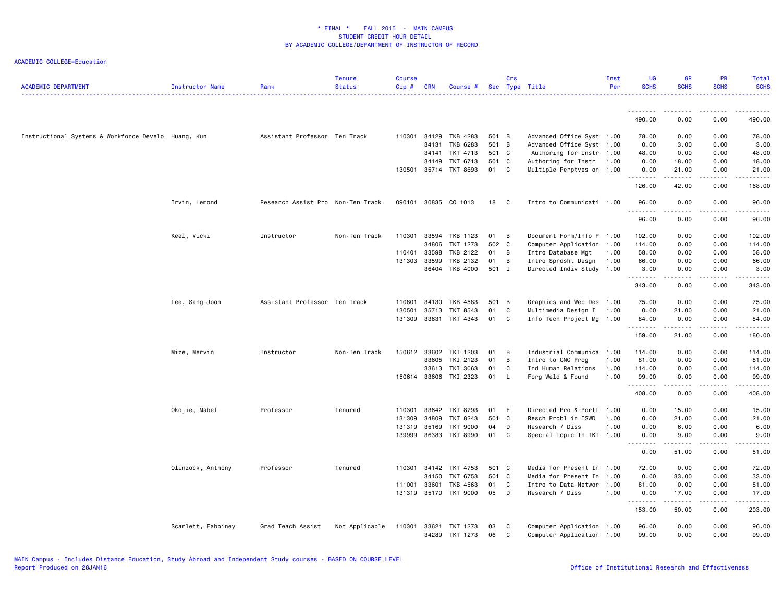| <b>ACADEMIC DEPARTMENT</b>                          | <b>Instructor Name</b> | Rank                              | <b>Tenure</b><br><b>Status</b> | <b>Course</b><br>Cip# | <b>CRN</b>     | Course #              |          | Crs          | Sec Type Title                                         | Inst<br>Per | <b>UG</b><br><b>SCHS</b> | <b>GR</b><br><b>SCHS</b> | <b>PR</b><br><b>SCHS</b> | <b>Total</b><br><b>SCHS</b>                                                                                                                                  |
|-----------------------------------------------------|------------------------|-----------------------------------|--------------------------------|-----------------------|----------------|-----------------------|----------|--------------|--------------------------------------------------------|-------------|--------------------------|--------------------------|--------------------------|--------------------------------------------------------------------------------------------------------------------------------------------------------------|
|                                                     |                        |                                   |                                |                       |                |                       |          |              |                                                        |             | <u>.</u>                 |                          |                          |                                                                                                                                                              |
|                                                     |                        |                                   |                                |                       |                |                       |          |              |                                                        |             | 490.00                   | 0.00                     | 0.00                     | 490.00                                                                                                                                                       |
| Instructional Systems & Workforce Develo Huang, Kun |                        | Assistant Professor Ten Track     |                                |                       | 110301 34129   | TKB 4283              | 501 B    |              | Advanced Office Syst 1.00                              |             | 78.00                    | 0.00                     | 0.00                     | 78.00                                                                                                                                                        |
|                                                     |                        |                                   |                                |                       | 34131          | TKB 6283              | 501 B    |              | Advanced Office Syst 1.00                              |             | 0.00                     | 3.00                     | 0.00                     | 3.00                                                                                                                                                         |
|                                                     |                        |                                   |                                |                       | 34141          | TKT 4713              | 501 C    |              | Authoring for Instr 1.00                               |             | 48.00                    | 0.00                     | 0.00                     | 48.00                                                                                                                                                        |
|                                                     |                        |                                   |                                |                       | 34149          | TKT 6713              | 501 C    |              | Authoring for Instr                                    | 1.00        | 0.00                     | 18.00                    | 0.00                     | 18.00                                                                                                                                                        |
|                                                     |                        |                                   |                                |                       |                | 130501 35714 TKT 8693 | 01       | C            | Multiple Perptves on 1.00                              |             | 0.00<br>.                | 21.00<br>.               | 0.00<br>.                | 21.00<br>.                                                                                                                                                   |
|                                                     |                        |                                   |                                |                       |                |                       |          |              |                                                        |             | 126.00                   | 42.00                    | 0.00                     | 168.00                                                                                                                                                       |
|                                                     | Irvin, Lemond          | Research Assist Pro Non-Ten Track |                                | 090101                |                | 30835 CO 1013         | 18       | C            | Intro to Communicati 1.00                              |             | 96.00                    | 0.00                     | 0.00                     | 96.00                                                                                                                                                        |
|                                                     |                        |                                   |                                |                       |                |                       |          |              |                                                        |             | .<br>96.00               | 0.00                     | 0.00                     | 96.00                                                                                                                                                        |
|                                                     | Keel, Vicki            | Instructor                        | Non-Ten Track                  | 110301                | 33594          | TKB 1123              | 01       | B            | Document Form/Info P 1.00                              |             | 102.00                   | 0.00                     | 0.00                     | 102.00                                                                                                                                                       |
|                                                     |                        |                                   |                                |                       | 34806          | TKT 1273              | 502 C    |              | Computer Application 1.00                              |             | 114.00                   | 0.00                     | 0.00                     | 114.00                                                                                                                                                       |
|                                                     |                        |                                   |                                | 110401                | 33598          | TKB 2122              | 01       | B            | Intro Database Mgt                                     | 1.00        | 58.00                    | 0.00                     | 0.00                     | 58.00                                                                                                                                                        |
|                                                     |                        |                                   |                                | 131303                | 33599          | TKB 2132              | 01       | B            | Intro Sprdsht Desgn                                    | 1.00        | 66.00                    | 0.00                     | 0.00                     | 66.00                                                                                                                                                        |
|                                                     |                        |                                   |                                |                       |                | 36404 TKB 4000        | 501 I    |              | Directed Indiv Study 1.00                              |             | 3.00                     | 0.00                     | 0.00<br>.                | 3.00<br>.                                                                                                                                                    |
|                                                     |                        |                                   |                                |                       |                |                       |          |              |                                                        |             | .<br>343.00              | .<br>0.00                | 0.00                     | 343.00                                                                                                                                                       |
|                                                     | Lee, Sang Joon         | Assistant Professor Ten Track     |                                | 110801                | 34130          | TKB 4583              | 501 B    |              | Graphics and Web Des 1.00                              |             | 75.00                    | 0.00                     | 0.00                     | 75.00                                                                                                                                                        |
|                                                     |                        |                                   |                                | 130501                | 35713          | TKT 8543              | 01       | C            | Multimedia Design I                                    | 1.00        | 0.00                     | 21.00                    | 0.00                     | 21.00                                                                                                                                                        |
|                                                     |                        |                                   |                                | 131309                | 33631          | TKT 4343              | 01       | C            | Info Tech Project Mg 1.00                              |             | 84.00                    | 0.00                     | 0.00<br>.                | 84.00<br>.                                                                                                                                                   |
|                                                     |                        |                                   |                                |                       |                |                       |          |              |                                                        |             | .<br>159.00              | .<br>21.00               | 0.00                     | 180.00                                                                                                                                                       |
|                                                     | Mize, Mervin           | Instructor                        | Non-Ten Track                  | 150612                | 33602          | TKI 1203              | 01       | B            | Industrial Communica 1.00                              |             | 114.00                   | 0.00                     | 0.00                     | 114.00                                                                                                                                                       |
|                                                     |                        |                                   |                                |                       | 33605          | TKI 2123              | 01       | B            | Intro to CNC Prog                                      | 1.00        | 81.00                    | 0.00                     | 0.00                     | 81.00                                                                                                                                                        |
|                                                     |                        |                                   |                                |                       | 33613          | TKI 3063              | 01       | C            | Ind Human Relations                                    | 1.00        | 114.00                   | 0.00                     | 0.00                     | 114.00                                                                                                                                                       |
|                                                     |                        |                                   |                                |                       | 150614 33606   | TKI 2323              | 01       | L            | Forg Weld & Found                                      | 1.00        | 99.00<br>.               | 0.00<br>.                | 0.00<br>.                | 99.00<br>.                                                                                                                                                   |
|                                                     |                        |                                   |                                |                       |                |                       |          |              |                                                        |             | 408.00                   | 0.00                     | 0.00                     | 408.00                                                                                                                                                       |
|                                                     | Okojie, Mabel          | Professor                         | Tenured                        | 110301                | 33642          | TKT 8793              | 01       | E            | Directed Pro & Portf                                   | 1.00        | 0.00                     | 15.00                    | 0.00                     | 15.00                                                                                                                                                        |
|                                                     |                        |                                   |                                | 131309                | 34809          | TKT 8243              | 501 C    |              | Resch Probl in ISWD                                    | 1.00        | 0.00                     | 21.00                    | 0.00                     | 21.00                                                                                                                                                        |
|                                                     |                        |                                   |                                | 131319                | 35169          | <b>TKT 9000</b>       | 04       | D            | Research / Diss                                        | 1.00        | 0.00                     | 6.00                     | 0.00                     | 6.00                                                                                                                                                         |
|                                                     |                        |                                   |                                | 139999                | 36383          | <b>TKT 8990</b>       | 01       | $\mathsf{C}$ | Special Topic In TKT 1.00                              |             | 0.00                     | 9.00<br>.                | 0.00<br>.                | 9.00<br>$\frac{1}{2} \left( \frac{1}{2} \right) \left( \frac{1}{2} \right) \left( \frac{1}{2} \right) \left( \frac{1}{2} \right) \left( \frac{1}{2} \right)$ |
|                                                     |                        |                                   |                                |                       |                |                       |          |              |                                                        |             | 0.00                     | 51.00                    | 0.00                     | 51.00                                                                                                                                                        |
|                                                     | Olinzock, Anthony      | Professor                         | Tenured                        |                       | 110301 34142   | TKT 4753              | 501 C    |              | Media for Present In 1.00                              |             | 72.00                    | 0.00                     | 0.00                     | 72.00                                                                                                                                                        |
|                                                     |                        |                                   |                                |                       | 34150          | TKT 6753              | 501 C    |              | Media for Present In                                   | 1.00        | 0.00                     | 33.00                    | 0.00                     | 33.00                                                                                                                                                        |
|                                                     |                        |                                   |                                | 111001                | 33601          | TKB 4563              | 01       | C            | Intro to Data Networ 1.00                              |             | 81.00                    | 0.00                     | 0.00                     | 81.00                                                                                                                                                        |
|                                                     |                        |                                   |                                | 131319                |                | 35170 TKT 9000        | 05       | D            | Research / Diss                                        | 1.00        | 0.00                     | 17.00                    | 0.00                     | 17.00                                                                                                                                                        |
|                                                     |                        |                                   |                                |                       |                |                       |          |              |                                                        |             | .<br>153.00              | .<br>50.00               | .<br>0.00                | .<br>203.00                                                                                                                                                  |
|                                                     | Scarlett, Fabbiney     | Grad Teach Assist                 | Not Applicable                 | 110301                | 33621<br>34289 | TKT 1273<br>TKT 1273  | 03<br>06 | C<br>C       | Computer Application 1.00<br>Computer Application 1.00 |             | 96.00<br>99.00           | 0.00<br>0.00             | 0.00<br>0.00             | 96.00<br>99.00                                                                                                                                               |
|                                                     |                        |                                   |                                |                       |                |                       |          |              |                                                        |             |                          |                          |                          |                                                                                                                                                              |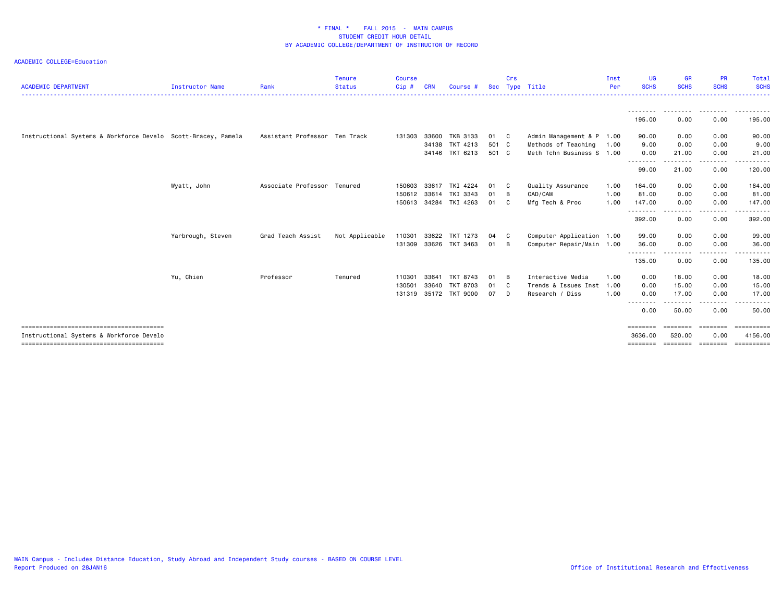| <b>ACADEMIC DEPARTMENT</b>                                    | <b>Instructor Name</b> | Rank                          | <b>Tenure</b><br><b>Status</b> | <b>Course</b><br>$Cip$ # | CRN   | Course #       |       | Crs            | Sec Type Title            | Inst<br>Per | UG<br><b>SCHS</b>  | <b>GR</b><br><b>SCHS</b> | <b>PR</b><br><b>SCHS</b> | Total<br><b>SCHS</b> |
|---------------------------------------------------------------|------------------------|-------------------------------|--------------------------------|--------------------------|-------|----------------|-------|----------------|---------------------------|-------------|--------------------|--------------------------|--------------------------|----------------------|
|                                                               |                        |                               |                                |                          |       |                |       |                |                           |             | ---------          | .                        | .                        | .                    |
|                                                               |                        |                               |                                |                          |       |                |       |                |                           |             | 195.00             | 0.00                     | 0.00                     | 195.00               |
| Instructional Systems & Workforce Develo Scott-Bracey, Pamela |                        | Assistant Professor Ten Track |                                | 131303                   | 33600 | TKB 3133       | 01 C  |                | Admin Management & P 1.00 |             | 90.00              | 0.00                     | 0.00                     | 90.00                |
|                                                               |                        |                               |                                |                          | 34138 | TKT 4213       | 501 C |                | Methods of Teaching       | 1.00        | 9.00               | 0.00                     | 0.00                     | 9.00                 |
|                                                               |                        |                               |                                |                          |       | 34146 TKT 6213 | 501 C |                | Meth Tchn Business S 1.00 |             | 0.00               | 21.00                    | 0.00                     | 21.00                |
|                                                               |                        |                               |                                |                          |       |                |       |                |                           |             | --------<br>99.00  | 21.00                    | $- - - -$<br>0.00        | 120.00               |
|                                                               | Wyatt, John            | Associate Professor Tenured   |                                | 150603                   | 33617 | TKI 4224       | 01    | $\mathbf{C}$   | Quality Assurance         | 1.00        | 164.00             | 0.00                     | 0.00                     | 164.00               |
|                                                               |                        |                               |                                | 150612                   | 33614 | TKI 3343       | 01    | $\overline{B}$ | CAD/CAM                   | 1.00        | 81.00              | 0.00                     | 0.00                     | 81.00                |
|                                                               |                        |                               |                                | 150613                   |       | 34284 TKI 4263 | 01    | C              | Mfg Tech & Proc           | 1.00        | 147.00<br>-------- | 0.00<br>. <b>. .</b> .   | 0.00<br>$- - - -$        | 147.00<br>. <b>.</b> |
|                                                               |                        |                               |                                |                          |       |                |       |                |                           |             | 392.00             | 0.00                     | 0.00                     | 392.00               |
|                                                               | Yarbrough, Steven      | Grad Teach Assist             | Not Applicable                 | 110301                   | 33622 | TKT 1273       | 04    | $\mathbf{C}$   | Computer Application 1.00 |             | 99.00              | 0.00                     | 0.00                     | 99.00                |
|                                                               |                        |                               |                                | 131309                   | 33626 | TKT 3463       | 01    | B              | Computer Repair/Main 1.00 |             | 36.00              | 0.00                     | 0.00                     | 36.00                |
|                                                               |                        |                               |                                |                          |       |                |       |                |                           |             | --------<br>135.00 | .<br>0.00                | .<br>0.00                | .<br>135.00          |
|                                                               | Yu, Chien              | Professor                     | Tenured                        | 110301                   | 33641 | TKT 8743       | 01    | B              | Interactive Media         | 1.00        | 0.00               | 18.00                    | 0.00                     | 18.00                |
|                                                               |                        |                               |                                | 130501                   | 33640 | TKT 8703       | 01    | $\mathbf{C}$   | Trends & Issues Inst      | 1.00        | 0.00               | 15.00                    | 0.00                     | 15.00                |
|                                                               |                        |                               |                                | 131319                   |       | 35172 TKT 9000 | 07    | D              | Research / Diss           | 1.00        | 0.00               | 17.00                    | 0.00                     | 17.00                |
|                                                               |                        |                               |                                |                          |       |                |       |                |                           |             | --------<br>0.00   | . <u>.</u><br>50.00      | -----<br>0.00            | .<br>50.00           |
|                                                               |                        |                               |                                |                          |       |                |       |                |                           |             | ========           |                          | ==================       | ESSESSESSE           |
| Instructional Systems & Workforce Develo                      |                        |                               |                                |                          |       |                |       |                |                           |             | 3636.00            | 520.00                   | 0.00                     | 4156.00              |
|                                                               |                        |                               |                                |                          |       |                |       |                |                           |             | ========           |                          | soconome concepto        | ==========           |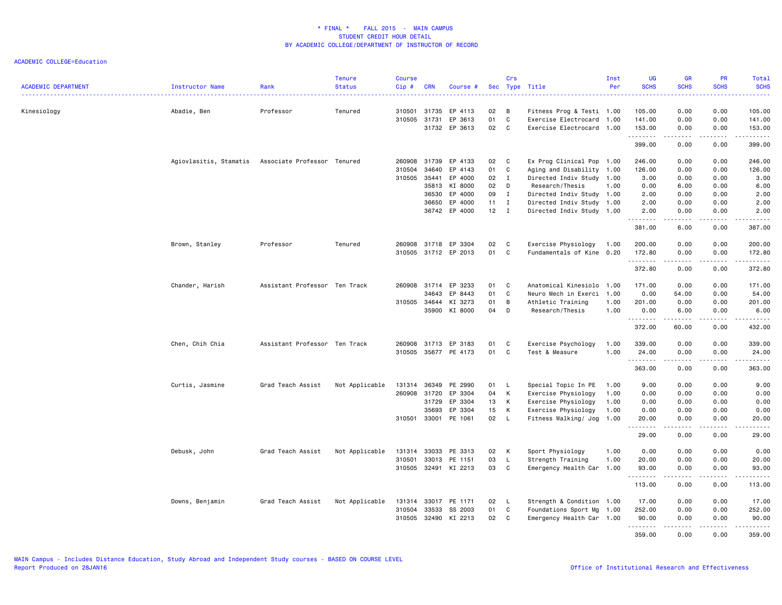| <b>ACADEMIC DEPARTMENT</b> | Instructor Name                                    | Rank                          | <b>Tenure</b><br><b>Status</b> | <b>Course</b><br>Cip#  | <b>CRN</b>   | Course #             |              | Crs          | Sec Type Title                                         | Inst<br>Per | UG<br><b>SCHS</b>   | <b>GR</b><br><b>SCHS</b> | <b>PR</b><br><b>SCHS</b>                                                                                                  | Total<br><b>SCHS</b>                                                                                                                |
|----------------------------|----------------------------------------------------|-------------------------------|--------------------------------|------------------------|--------------|----------------------|--------------|--------------|--------------------------------------------------------|-------------|---------------------|--------------------------|---------------------------------------------------------------------------------------------------------------------------|-------------------------------------------------------------------------------------------------------------------------------------|
|                            |                                                    |                               |                                |                        |              |                      |              |              |                                                        |             | $- - - - - -$       |                          | $\frac{1}{2} \left( \frac{1}{2} \right) \left( \frac{1}{2} \right) \left( \frac{1}{2} \right) \left( \frac{1}{2} \right)$ | .                                                                                                                                   |
| Kinesiology                | Abadie, Ben                                        | Professor                     | Tenured                        | 310501<br>310505 31731 | 31735        | EP 4113<br>EP 3613   | 02<br>01     | B<br>C       | Fitness Prog & Testi 1.00<br>Exercise Electrocard 1.00 |             | 105.00<br>141.00    | 0.00<br>0.00             | 0.00<br>0.00                                                                                                              | 105.00                                                                                                                              |
|                            |                                                    |                               |                                |                        |              | 31732 EP 3613        | 02           | C            | Exercise Electrocard 1.00                              |             | 153.00              | 0.00                     | 0.00                                                                                                                      | 141.00<br>153.00                                                                                                                    |
|                            |                                                    |                               |                                |                        |              |                      |              |              |                                                        |             | .                   | $\cdots$                 | .                                                                                                                         | .                                                                                                                                   |
|                            |                                                    |                               |                                |                        |              |                      |              |              |                                                        |             | 399.00              | 0.00                     | 0.00                                                                                                                      | 399.00                                                                                                                              |
|                            | Agiovlasitis, Stamatis Associate Professor Tenured |                               |                                | 260908                 | 31739        | EP 4133              | 02           | C            | Ex Prog Clinical Pop 1.00                              |             | 246.00              | 0.00                     | 0.00                                                                                                                      | 246.00                                                                                                                              |
|                            |                                                    |                               |                                | 310504                 | 34640        | EP 4143              | 01           | C            | Aging and Disability 1.00                              |             | 126.00              | 0.00                     | 0.00                                                                                                                      | 126.00                                                                                                                              |
|                            |                                                    |                               |                                | 310505                 | 35441        | EP 4000              | 02           | $\mathbf{I}$ | Directed Indiv Study 1.00                              |             | 3.00                | 0.00                     | 0.00                                                                                                                      | 3.00                                                                                                                                |
|                            |                                                    |                               |                                |                        | 35813        | KI 8000              | 02           | D            | Research/Thesis                                        | 1.00        | 0.00                | 6.00                     | 0.00                                                                                                                      | 6.00                                                                                                                                |
|                            |                                                    |                               |                                |                        | 36530        | EP 4000              | 09           | $\mathbf{I}$ | Directed Indiv Study 1.00                              |             | 2.00                | 0.00                     | 0.00                                                                                                                      | 2.00                                                                                                                                |
|                            |                                                    |                               |                                |                        | 36650        | EP 4000              | $11 \quad I$ |              | Directed Indiv Study 1.00                              |             | 2.00                | 0.00                     | 0.00                                                                                                                      | 2.00                                                                                                                                |
|                            |                                                    |                               |                                |                        |              | 36742 EP 4000        | 12           | $\mathbf{I}$ | Directed Indiv Study 1.00                              |             | 2.00                | 0.00                     | 0.00                                                                                                                      | 2.00                                                                                                                                |
|                            |                                                    |                               |                                |                        |              |                      |              |              |                                                        |             | 381.00              | 6.00                     | 0.00                                                                                                                      | 387.00                                                                                                                              |
|                            | Brown, Stanley                                     | Professor                     | Tenured                        |                        |              | 260908 31718 EP 3304 | 02           | C            | Exercise Physiology                                    | 1.00        | 200.00              | 0.00                     | 0.00                                                                                                                      | 200.00                                                                                                                              |
|                            |                                                    |                               |                                |                        |              | 310505 31712 EP 2013 | 01           | C            | Fundamentals of Kine                                   | 0.20        | 172.80<br>.         | 0.00<br>.                | 0.00<br>.                                                                                                                 | 172.80<br>$\begin{array}{cccccccccccccc} \bullet & \bullet & \bullet & \bullet & \bullet & \bullet & \bullet & \bullet \end{array}$ |
|                            |                                                    |                               |                                |                        |              |                      |              |              |                                                        |             | 372.80              | 0.00                     | 0.00                                                                                                                      | 372.80                                                                                                                              |
|                            | Chander, Harish                                    | Assistant Professor Ten Track |                                | 260908                 | 31714        | EP 3233              | 01           | C            | Anatomical Kinesiolo                                   | 1.00        | 171.00              | 0.00                     | 0.00                                                                                                                      | 171.00                                                                                                                              |
|                            |                                                    |                               |                                |                        | 34643        | EP 8443              | 01           | C            | Neuro Mech in Exerci                                   | 1.00        | 0.00                | 54.00                    | 0.00                                                                                                                      | 54.00                                                                                                                               |
|                            |                                                    |                               |                                | 310505 34644           |              | KI 3273              | 01           | B            | Athletic Training                                      | 1.00        | 201.00              | 0.00                     | 0.00                                                                                                                      | 201.00                                                                                                                              |
|                            |                                                    |                               |                                |                        | 35900        | KI 8000              | 04           | D            | Research/Thesis                                        | 1.00        | 0.00<br>.           | 6.00<br>.                | 0.00<br>.                                                                                                                 | 6.00                                                                                                                                |
|                            |                                                    |                               |                                |                        |              |                      |              |              |                                                        |             | 372.00              | 60.00                    | 0.00                                                                                                                      | 432.00                                                                                                                              |
|                            | Chen, Chih Chia                                    | Assistant Professor Ten Track |                                | 260908                 | 31713        | EP 3183              | 01           | C            | Exercise Psychology                                    | 1.00        | 339.00              | 0.00                     | 0.00                                                                                                                      | 339.00                                                                                                                              |
|                            |                                                    |                               |                                |                        |              | 310505 35677 PE 4173 | 01           | C            | Test & Measure                                         | 1.00        | 24.00               | 0.00<br>.                | 0.00<br>.                                                                                                                 | 24.00<br>$\begin{array}{cccccccccc} \bullet & \bullet & \bullet & \bullet & \bullet & \bullet & \bullet \end{array}$                |
|                            |                                                    |                               |                                |                        |              |                      |              |              |                                                        |             | 363.00              | 0.00                     | 0.00                                                                                                                      | 363.00                                                                                                                              |
|                            | Curtis, Jasmine                                    | Grad Teach Assist             | Not Applicable                 | 131314                 | 36349        | PE 2990              | 01           | <b>L</b>     | Special Topic In PE                                    | 1.00        | 9.00                | 0.00                     | 0.00                                                                                                                      | 9.00                                                                                                                                |
|                            |                                                    |                               |                                | 260908                 | 31720        | EP 3304              | 04           | K            | Exercise Physiology                                    | 1.00        | 0.00                | 0.00                     | 0.00                                                                                                                      | 0.00                                                                                                                                |
|                            |                                                    |                               |                                |                        | 31729        | EP 3304              | 13           | К            | Exercise Physiology                                    | 1.00        | 0.00                | 0.00                     | 0.00                                                                                                                      | 0.00                                                                                                                                |
|                            |                                                    |                               |                                |                        | 35693        | EP 3304              | 15           | К            | Exercise Physiology                                    | 1.00        | 0.00                | 0.00                     | 0.00                                                                                                                      | 0.00                                                                                                                                |
|                            |                                                    |                               |                                | 310501                 | 33001        | PE 1061              | 02           | L.           | Fitness Walking/ Jog                                   | 1.00        | 20.00<br>.          | 0.00                     | 0.00                                                                                                                      | 20.00                                                                                                                               |
|                            |                                                    |                               |                                |                        |              |                      |              |              |                                                        |             | 29.00               | 0.00                     | 0.00                                                                                                                      | 29.00                                                                                                                               |
|                            | Debusk, John                                       | Grad Teach Assist             | Not Applicable                 | 131314                 | 33033        | PE 3313              | 02           | К            | Sport Physiology                                       | 1.00        | 0.00                | 0.00                     | 0.00                                                                                                                      | 0.00                                                                                                                                |
|                            |                                                    |                               |                                | 310501                 | 33013        | PE 1151              | 03           | L            | Strength Training                                      | 1.00        | 20.00               | 0.00                     | 0.00                                                                                                                      | 20.00                                                                                                                               |
|                            |                                                    |                               |                                | 310505                 | 32491        | KI 2213              | 03           | C            | Emergency Health Car 1.00                              |             | 93.00<br>.          | 0.00                     | 0.00                                                                                                                      | 93.00                                                                                                                               |
|                            |                                                    |                               |                                |                        |              |                      |              |              |                                                        |             | 113.00              | 0.00                     | 0.00                                                                                                                      | 113.00                                                                                                                              |
|                            | Downs, Benjamin                                    | Grad Teach Assist             | Not Applicable                 |                        | 131314 33017 | PE 1171              | 02           | <b>L</b>     | Strength & Condition 1.00                              |             | 17.00               | 0.00                     | 0.00                                                                                                                      | 17.00                                                                                                                               |
|                            |                                                    |                               |                                | 310504                 | 33533        | SS 2003              | 01           | C            | Foundations Sport Mg                                   | 1.00        | 252.00              | 0.00                     | 0.00                                                                                                                      | 252.00                                                                                                                              |
|                            |                                                    |                               |                                | 310505                 | 32490        | KI 2213              | 02           | C            | Emergency Health Car 1.00                              |             | 90.00<br>. <b>.</b> | 0.00<br>.                | 0.00<br>-----                                                                                                             | 90.00<br>.                                                                                                                          |
|                            |                                                    |                               |                                |                        |              |                      |              |              |                                                        |             | 359.00              | 0.00                     | 0.00                                                                                                                      | 359.00                                                                                                                              |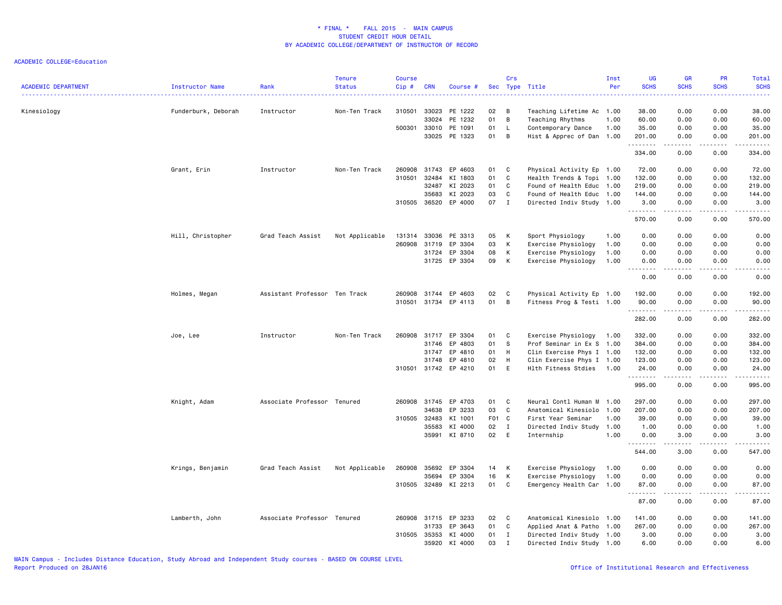| <b>ACADEMIC DEPARTMENT</b> | <b>Instructor Name</b> | Rank                          | Tenure<br><b>Status</b> | <b>Course</b><br>Cip# | <b>CRN</b>     | Course #             |          | Crs          | Sec Type Title                         | Inst<br>Per  | UG<br><b>SCHS</b> | <b>GR</b><br><b>SCHS</b> | PR<br><b>SCHS</b> | Total<br><b>SCHS</b><br>$\mathbf{1} \cdot \mathbf{1} \cdot \mathbf{1} \cdot \mathbf{1} \cdot \mathbf{1}$                                                                                                             |
|----------------------------|------------------------|-------------------------------|-------------------------|-----------------------|----------------|----------------------|----------|--------------|----------------------------------------|--------------|-------------------|--------------------------|-------------------|----------------------------------------------------------------------------------------------------------------------------------------------------------------------------------------------------------------------|
| Kinesiology                | Funderburk, Deborah    | Instructor                    | Non-Ten Track           | 310501                | 33023          | PE 1222              | 02<br>01 | B<br>B       | Teaching Lifetime Ac 1.00              |              | 38.00             | 0.00                     | 0.00              | 38.00                                                                                                                                                                                                                |
|                            |                        |                               |                         | 500301                | 33024<br>33010 | PE 1232<br>PE 1091   | 01       | L            | Teaching Rhythms<br>Contemporary Dance | 1.00<br>1.00 | 60.00<br>35.00    | 0.00<br>0.00             | 0.00<br>0.00      | 60.00<br>35.00                                                                                                                                                                                                       |
|                            |                        |                               |                         |                       |                | 33025 PE 1323        | 01       | B            | Hist & Apprec of Dan 1.00              |              | 201.00            | 0.00                     | 0.00              | 201.00                                                                                                                                                                                                               |
|                            |                        |                               |                         |                       |                |                      |          |              |                                        |              | .<br>334.00       | .<br>0.00                | 0.00              | $\frac{1}{2} \left( \frac{1}{2} \right) \left( \frac{1}{2} \right) \left( \frac{1}{2} \right) \left( \frac{1}{2} \right) \left( \frac{1}{2} \right) \left( \frac{1}{2} \right) \left( \frac{1}{2} \right)$<br>334.00 |
|                            | Grant, Erin            | Instructor                    | Non-Ten Track           | 260908                | 31743          | EP 4603              | 01       | C            | Physical Activity Ep 1.00              |              | 72.00             | 0.00                     | 0.00              | 72.00                                                                                                                                                                                                                |
|                            |                        |                               |                         | 310501                | 32484          | KI 1803              | 01       | C            | Health Trends & Topi 1.00              |              | 132.00            | 0.00                     | 0.00              | 132.00                                                                                                                                                                                                               |
|                            |                        |                               |                         |                       | 32487          | KI 2023              | 01       | C            | Found of Health Educ                   | 1.00         | 219.00            | 0.00                     | 0.00              | 219.00                                                                                                                                                                                                               |
|                            |                        |                               |                         |                       | 35683          | KI 2023              | 03       | C            | Found of Health Educ 1.00              |              | 144.00            | 0.00                     | 0.00              | 144.00                                                                                                                                                                                                               |
|                            |                        |                               |                         |                       | 310505 36520   | EP 4000              | 07       | $\mathbf I$  | Directed Indiv Study 1.00              |              | 3.00<br>.         | 0.00<br>المتماما         | 0.00<br>.         | 3.00<br>. <b>.</b>                                                                                                                                                                                                   |
|                            |                        |                               |                         |                       |                |                      |          |              |                                        |              | 570.00            | 0.00                     | 0.00              | 570.00                                                                                                                                                                                                               |
|                            | Hill, Christopher      | Grad Teach Assist             | Not Applicable          | 131314                | 33036          | PE 3313              | 05       | К            | Sport Physiology                       | 1.00         | 0.00              | 0.00                     | 0.00              | 0.00                                                                                                                                                                                                                 |
|                            |                        |                               |                         | 260908                | 31719          | EP 3304              | 03       | К            | Exercise Physiology                    | 1.00         | 0.00              | 0.00                     | 0.00              | 0.00                                                                                                                                                                                                                 |
|                            |                        |                               |                         |                       | 31724          | EP 3304              | 08       | К            | Exercise Physiology                    | 1.00         | 0.00              | 0.00                     | 0.00              | 0.00                                                                                                                                                                                                                 |
|                            |                        |                               |                         |                       | 31725          | EP 3304              | 09       | К            | Exercise Physiology                    | 1.00         | 0.00<br>.         | 0.00<br>.                | 0.00<br>.         | 0.00<br>$\sim$ $\sim$ $\sim$ $\sim$ $\sim$                                                                                                                                                                           |
|                            |                        |                               |                         |                       |                |                      |          |              |                                        |              | 0.00              | 0.00                     | 0.00              | 0.00                                                                                                                                                                                                                 |
|                            | Holmes, Megan          | Assistant Professor Ten Track |                         | 260908                | 31744          | EP 4603              | 02       | C            | Physical Activity Ep 1.00              |              | 192.00            | 0.00                     | 0.00              | 192.00                                                                                                                                                                                                               |
|                            |                        |                               |                         | 310501                |                | 31734 EP 4113        | 01       | B            | Fitness Prog & Testi 1.00              |              | 90.00<br>.        | 0.00<br>.                | 0.00<br>.         | 90.00<br>.                                                                                                                                                                                                           |
|                            |                        |                               |                         |                       |                |                      |          |              |                                        |              | 282.00            | 0.00                     | 0.00              | 282.00                                                                                                                                                                                                               |
|                            | Joe, Lee               | Instructor                    | Non-Ten Track           | 260908                |                | 31717 EP 3304        | 01       | C            | Exercise Physiology                    | 1.00         | 332.00            | 0.00                     | 0.00              | 332.00                                                                                                                                                                                                               |
|                            |                        |                               |                         |                       | 31746          | EP 4803              | 01       | S            | Prof Seminar in Ex S                   | 1.00         | 384.00            | 0.00                     | 0.00              | 384.00                                                                                                                                                                                                               |
|                            |                        |                               |                         |                       | 31747          | EP 4810              | 01       | H            | Clin Exercise Phys I 1.00              |              | 132.00            | 0.00                     | 0.00              | 132.00                                                                                                                                                                                                               |
|                            |                        |                               |                         |                       | 31748          | EP 4810              | 02       | H            | Clin Exercise Phys I 1.00              |              | 123.00            | 0.00                     | 0.00              | 123.00                                                                                                                                                                                                               |
|                            |                        |                               |                         |                       |                | 310501 31742 EP 4210 | 01       | E            | Hlth Fitness Stdies                    | 1.00         | 24.00<br>.        | 0.00<br>.                | 0.00<br>.         | 24.00<br>$\begin{array}{cccccccccccccc} \bullet & \bullet & \bullet & \bullet & \bullet & \bullet & \bullet & \bullet \end{array}$                                                                                   |
|                            |                        |                               |                         |                       |                |                      |          |              |                                        |              | 995.00            | 0.00                     | 0.00              | 995.00                                                                                                                                                                                                               |
|                            | Knight, Adam           | Associate Professor Tenured   |                         | 260908                | 31745          | EP 4703              | 01       | C            | Neural Contl Human M                   | 1.00         | 297.00            | 0.00                     | 0.00              | 297.00                                                                                                                                                                                                               |
|                            |                        |                               |                         |                       | 34638          | EP 3233              | 03       | C            | Anatomical Kinesiolo                   | 1.00         | 207.00            | 0.00                     | 0.00              | 207.00                                                                                                                                                                                                               |
|                            |                        |                               |                         | 310505 32483          |                | KI 1001              | F01 C    |              | First Year Seminar                     | 1.00         | 39.00             | 0.00                     | 0.00              | 39.00                                                                                                                                                                                                                |
|                            |                        |                               |                         |                       | 35583          | KI 4000              | 02       | $\mathbf I$  | Directed Indiv Study                   | 1.00         | 1.00              | 0.00                     | 0.00              | 1.00                                                                                                                                                                                                                 |
|                            |                        |                               |                         |                       |                | 35991 KI 8710        | 02       | E            | Internship                             | 1.00         | 0.00<br>--------  | 3.00<br>.                | 0.00<br>.         | 3.00<br>.                                                                                                                                                                                                            |
|                            |                        |                               |                         |                       |                |                      |          |              |                                        |              | 544.00            | 3.00                     | 0.00              | 547.00                                                                                                                                                                                                               |
|                            | Krings, Benjamin       | Grad Teach Assist             | Not Applicable          | 260908                | 35692          | EP 3304              | 14       | К            | Exercise Physiology                    | 1.00         | 0.00              | 0.00                     | 0.00              | 0.00                                                                                                                                                                                                                 |
|                            |                        |                               |                         |                       | 35694          | EP 3304              | 16       | К            | Exercise Physiology                    | 1.00         | 0.00              | 0.00                     | 0.00              | 0.00                                                                                                                                                                                                                 |
|                            |                        |                               |                         |                       |                | 310505 32489 KI 2213 | 01       | C            | Emergency Health Car 1.00              |              | 87.00             | 0.00                     | 0.00              | 87.00<br>.                                                                                                                                                                                                           |
|                            |                        |                               |                         |                       |                |                      |          |              |                                        |              | 87.00             | 0.00                     | 0.00              | 87.00                                                                                                                                                                                                                |
|                            | Lamberth, John         | Associate Professor Tenured   |                         |                       | 260908 31715   | EP 3233              | 02       | C            | Anatomical Kinesiolo                   | 1.00         | 141.00            | 0.00                     | 0.00              | 141.00                                                                                                                                                                                                               |
|                            |                        |                               |                         |                       | 31733          | EP 3643              | 01       | $\mathtt{C}$ | Applied Anat & Patho 1.00              |              | 267.00            | 0.00                     | 0.00              | 267.00                                                                                                                                                                                                               |
|                            |                        |                               |                         | 310505                | 35353          | KI 4000              | 01       | Ι.           | Directed Indiv Study 1.00              |              | 3.00              | 0.00                     | 0.00              | 3.00                                                                                                                                                                                                                 |
|                            |                        |                               |                         |                       | 35920          | KI 4000              | 03       | $\mathbf I$  | Directed Indiv Study 1.00              |              | 6.00              | 0.00                     | 0.00              | 6.00                                                                                                                                                                                                                 |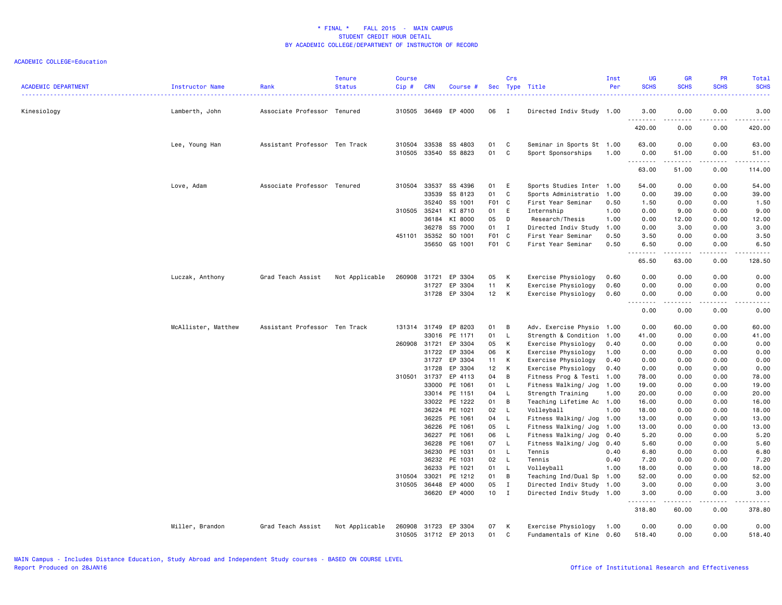| <b>ACADEMIC DEPARTMENT</b> | <b>Instructor Name</b> | Rank                          | <b>Tenure</b><br><b>Status</b> | <b>Course</b><br>Cip# | <b>CRN</b> | Course #                        |          | Crs          | Sec Type Title                              | Inst<br>Per  | UG<br><b>SCHS</b>            | <b>GR</b><br><b>SCHS</b>                                                                                                                                     | <b>PR</b><br><b>SCHS</b> | Total<br><b>SCHS</b>                                                                                                                                         |
|----------------------------|------------------------|-------------------------------|--------------------------------|-----------------------|------------|---------------------------------|----------|--------------|---------------------------------------------|--------------|------------------------------|--------------------------------------------------------------------------------------------------------------------------------------------------------------|--------------------------|--------------------------------------------------------------------------------------------------------------------------------------------------------------|
| Kinesiology                | Lamberth, John         | Associate Professor Tenured   |                                | 310505                |            | 36469 EP 4000                   | 06       | $\mathbf I$  | Directed Indiv Study 1.00                   |              | 3.00                         | 0.00                                                                                                                                                         | 0.00                     | 3.00                                                                                                                                                         |
|                            |                        |                               |                                |                       |            |                                 |          |              |                                             |              | 420.00                       | 0.00                                                                                                                                                         | 0.00                     | 420.00                                                                                                                                                       |
|                            | Lee, Young Han         | Assistant Professor Ten Track |                                | 310504                | 33538      | SS 4803                         | 01       | C            | Seminar in Sports St 1.00                   |              | 63.00                        | 0.00                                                                                                                                                         | 0.00                     | 63.00                                                                                                                                                        |
|                            |                        |                               |                                | 310505                |            | 33540 SS 8823                   | 01       | C            | Sport Sponsorships                          | 1.00         | 0.00<br>.                    | 51.00                                                                                                                                                        | 0.00<br>.                | 51.00<br>.                                                                                                                                                   |
|                            |                        |                               |                                |                       |            |                                 |          |              |                                             |              | 63.00                        | 51.00                                                                                                                                                        | 0.00                     | 114.00                                                                                                                                                       |
|                            | Love, Adam             | Associate Professor Tenured   |                                | 310504                | 33537      | SS 4396                         | 01       | E            | Sports Studies Inter                        | 1.00         | 54.00                        | 0.00                                                                                                                                                         | 0.00                     | 54.00                                                                                                                                                        |
|                            |                        |                               |                                |                       | 33539      | SS 8123                         | 01       | C            | Sports Administratio                        | 1.00         | 0.00                         | 39.00                                                                                                                                                        | 0.00                     | 39.00                                                                                                                                                        |
|                            |                        |                               |                                |                       | 35240      | SS 1001                         | F01 C    |              | First Year Seminar                          | 0.50         | 1.50                         | 0.00                                                                                                                                                         | 0.00                     | 1.50                                                                                                                                                         |
|                            |                        |                               |                                | 310505                | 35241      | KI 8710                         | 01       | E            | Internship                                  | 1.00         | 0.00                         | 9.00                                                                                                                                                         | 0.00                     | 9.00                                                                                                                                                         |
|                            |                        |                               |                                |                       | 36184      | KI 8000                         | 05       | D            | Research/Thesis                             | 1.00         | 0.00                         | 12.00                                                                                                                                                        | 0.00                     | 12.00                                                                                                                                                        |
|                            |                        |                               |                                |                       | 36278      | SS 7000                         | 01       | I            | Directed Indiv Study                        | 1.00         | 0.00                         | 3.00                                                                                                                                                         | 0.00                     | 3.00                                                                                                                                                         |
|                            |                        |                               |                                | 451101                | 35352      | SO 1001                         | F01 C    |              | First Year Seminar                          | 0.50         | 3.50                         | 0.00                                                                                                                                                         | 0.00                     | 3.50                                                                                                                                                         |
|                            |                        |                               |                                |                       | 35650      | GS 1001                         | F01 C    |              | First Year Seminar                          | 0.50         | 6.50<br>$\sim$ $\sim$ $\sim$ | 0.00<br>$\frac{1}{2} \left( \frac{1}{2} \right) \left( \frac{1}{2} \right) \left( \frac{1}{2} \right) \left( \frac{1}{2} \right) \left( \frac{1}{2} \right)$ | 0.00<br>.                | 6.50<br>.                                                                                                                                                    |
|                            |                        |                               |                                |                       |            |                                 |          |              |                                             |              | 65.50                        | 63.00                                                                                                                                                        | 0.00                     | 128.50                                                                                                                                                       |
|                            | Luczak, Anthony        | Grad Teach Assist             | Not Applicable                 | 260908                | 31721      | EP 3304                         | 05       | К            | Exercise Physiology                         | 0.60         | 0.00                         | 0.00                                                                                                                                                         | 0.00                     | 0.00                                                                                                                                                         |
|                            |                        |                               |                                |                       | 31727      | EP 3304                         | 11       | К            | Exercise Physiology                         | 0.60         | 0.00                         | 0.00                                                                                                                                                         | 0.00                     | 0.00                                                                                                                                                         |
|                            |                        |                               |                                |                       |            | 31728 EP 3304                   | 12       | К            | Exercise Physiology                         | 0.60         | 0.00<br>.                    | 0.00<br>.                                                                                                                                                    | 0.00<br>.                | 0.00<br>$\frac{1}{2} \left( \frac{1}{2} \right) \left( \frac{1}{2} \right) \left( \frac{1}{2} \right) \left( \frac{1}{2} \right) \left( \frac{1}{2} \right)$ |
|                            |                        |                               |                                |                       |            |                                 |          |              |                                             |              | 0.00                         | 0.00                                                                                                                                                         | 0.00                     | 0.00                                                                                                                                                         |
|                            | McAllister, Matthew    | Assistant Professor Ten Track |                                | 131314                | 31749      | EP 8203                         | 01       | В            | Adv. Exercise Physio 1.00                   |              | 0.00                         | 60.00                                                                                                                                                        | 0.00                     | 60.00                                                                                                                                                        |
|                            |                        |                               |                                |                       | 33016      | PE 1171                         | 01       | L.           | Strength & Condition 1.00                   |              | 41.00                        | 0.00                                                                                                                                                         | 0.00                     | 41.00                                                                                                                                                        |
|                            |                        |                               |                                | 260908                | 31721      | EP 3304                         | 05       | К            | Exercise Physiology                         | 0.40         | 0.00                         | 0.00                                                                                                                                                         | 0.00                     | 0.00                                                                                                                                                         |
|                            |                        |                               |                                |                       | 31722      | EP 3304                         | 06       | К            | Exercise Physiology                         | 1.00         | 0.00                         | 0.00                                                                                                                                                         | 0.00                     | 0.00                                                                                                                                                         |
|                            |                        |                               |                                |                       | 31727      | EP 3304                         | 11       | К            | Exercise Physiology                         | 0.40         | 0.00                         | 0.00                                                                                                                                                         | 0.00                     | 0.00                                                                                                                                                         |
|                            |                        |                               |                                |                       | 31728      | EP 3304                         | 12       | К            | Exercise Physiology                         | 0.40         | 0.00                         | 0.00                                                                                                                                                         | 0.00                     | 0.00                                                                                                                                                         |
|                            |                        |                               |                                | 310501                | 31737      | EP 4113                         | 04       | В            | Fitness Prog & Testi                        | 1.00         | 78.00                        | 0.00                                                                                                                                                         | 0.00                     | 78.00                                                                                                                                                        |
|                            |                        |                               |                                |                       | 33000      | PE 1061                         | 01       | $\mathsf{L}$ | Fitness Walking/ Jog                        | 1.00         | 19.00                        | 0.00                                                                                                                                                         | 0.00                     | 19.00                                                                                                                                                        |
|                            |                        |                               |                                |                       |            | 33014 PE 1151                   | 04       | $\mathsf{L}$ | Strength Training                           | 1.00         | 20.00                        | 0.00                                                                                                                                                         | 0.00                     | 20.00                                                                                                                                                        |
|                            |                        |                               |                                |                       | 33022      | PE 1222                         | 01       | B            | Teaching Lifetime Ac 1.00                   |              | 16.00                        | 0.00                                                                                                                                                         | 0.00                     | 16.00                                                                                                                                                        |
|                            |                        |                               |                                |                       | 36224      | PE 1021                         | 02       | L.           | Volleyball                                  | 1.00         | 18.00                        | 0.00                                                                                                                                                         | 0.00                     | 18.00                                                                                                                                                        |
|                            |                        |                               |                                |                       | 36225      | PE 1061                         | 04       | - L          | Fitness Walking/ Jog                        | 1.00         | 13.00                        | 0.00                                                                                                                                                         | 0.00                     | 13.00                                                                                                                                                        |
|                            |                        |                               |                                |                       | 36226      | PE 1061                         | 05       | L.           | Fitness Walking/ Jog                        | 1.00         | 13.00                        | 0.00                                                                                                                                                         | 0.00                     | 13.00                                                                                                                                                        |
|                            |                        |                               |                                |                       | 36227      | PE 1061                         | 06       | L.           | Fitness Walking/ Jog                        | 0.40         | 5.20                         | 0.00                                                                                                                                                         | 0.00                     | 5.20                                                                                                                                                         |
|                            |                        |                               |                                |                       | 36228      | PE 1061                         | 07       | $\mathsf{L}$ | Fitness Walking/ Jog                        | 0.40         | 5.60                         | 0.00                                                                                                                                                         | 0.00                     | 5.60                                                                                                                                                         |
|                            |                        |                               |                                |                       | 36230      | PE 1031                         | 01       | $\mathsf{L}$ | Tennis                                      | 0.40         | 6.80                         | 0.00                                                                                                                                                         | 0.00                     | 6.80                                                                                                                                                         |
|                            |                        |                               |                                |                       | 36232      | PE 1031                         | 02       | L.           | Tennis                                      | 0.40         | 7.20                         | 0.00                                                                                                                                                         | 0.00                     | 7.20                                                                                                                                                         |
|                            |                        |                               |                                |                       | 36233      | PE 1021                         | 01       | L.           | Volleyball                                  | 1.00         | 18.00                        | 0.00                                                                                                                                                         | 0.00                     | 18.00                                                                                                                                                        |
|                            |                        |                               |                                | 310504                | 33021      | PE 1212                         | 01       | B            | Teaching Ind/Dual Sp                        | 1.00         | 52.00                        | 0.00                                                                                                                                                         | 0.00                     | 52.00                                                                                                                                                        |
|                            |                        |                               |                                | 310505                | 36448      | EP 4000                         | 05       | $\mathbf I$  | Directed Indiv Study 1.00                   |              | 3.00                         | 0.00                                                                                                                                                         | 0.00                     | 3.00                                                                                                                                                         |
|                            |                        |                               |                                |                       |            | 36620 EP 4000                   | 10       | $\mathbf{I}$ | Directed Indiv Study 1.00                   |              | 3.00<br>.                    | 0.00<br>.                                                                                                                                                    | 0.00<br>.                | 3.00<br><b></b>                                                                                                                                              |
|                            |                        |                               |                                |                       |            |                                 |          |              |                                             |              | 318.80                       | 60.00                                                                                                                                                        | 0.00                     | 378.80                                                                                                                                                       |
|                            | Miller, Brandon        | Grad Teach Assist             | Not Applicable                 | 260908                | 31723      | EP 3304<br>310505 31712 EP 2013 | 07<br>01 | К<br>C       | Exercise Physiology<br>Fundamentals of Kine | 1.00<br>0.60 | 0.00<br>518.40               | 0.00<br>0.00                                                                                                                                                 | 0.00<br>0.00             | 0.00<br>518.40                                                                                                                                               |
|                            |                        |                               |                                |                       |            |                                 |          |              |                                             |              |                              |                                                                                                                                                              |                          |                                                                                                                                                              |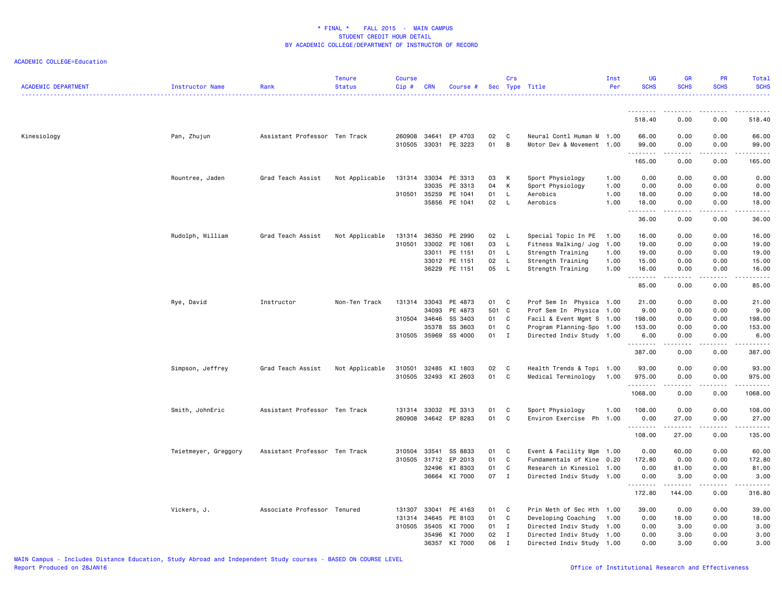| <b>ACADEMIC DEPARTMENT</b> | <b>Instructor Name</b> | Rank                          | <b>Tenure</b><br><b>Status</b> | <b>Course</b><br>Cip# | <b>CRN</b>     | Course #             |          | Crs          | Sec Type Title                                         | Inst<br>Per  | <b>UG</b><br><b>SCHS</b>                                                                                                                                                                                                                                                                                                                                                                                                                                                                        | <b>GR</b><br><b>SCHS</b>                 | <b>PR</b><br><b>SCHS</b> | Total<br><b>SCHS</b> |
|----------------------------|------------------------|-------------------------------|--------------------------------|-----------------------|----------------|----------------------|----------|--------------|--------------------------------------------------------|--------------|-------------------------------------------------------------------------------------------------------------------------------------------------------------------------------------------------------------------------------------------------------------------------------------------------------------------------------------------------------------------------------------------------------------------------------------------------------------------------------------------------|------------------------------------------|--------------------------|----------------------|
|                            |                        |                               |                                |                       |                |                      |          |              |                                                        |              | --------                                                                                                                                                                                                                                                                                                                                                                                                                                                                                        | --------                                 | .                        |                      |
|                            |                        |                               |                                |                       |                |                      |          |              |                                                        |              | 518.40                                                                                                                                                                                                                                                                                                                                                                                                                                                                                          | 0.00                                     | 0.00                     | 518.40               |
| Kinesiology                | Pan, Zhujun            | Assistant Professor Ten Track |                                | 260908<br>310505      | 34641<br>33031 | EP 4703<br>PE 3223   | 02<br>01 | C<br>B       | Neural Contl Human M 1.00<br>Motor Dev & Movement 1.00 |              | 66.00<br>99.00                                                                                                                                                                                                                                                                                                                                                                                                                                                                                  | 0.00<br>0.00                             | 0.00<br>0.00             | 66.00<br>99.00       |
|                            |                        |                               |                                |                       |                |                      |          |              |                                                        |              | <u>.</u><br>165.00                                                                                                                                                                                                                                                                                                                                                                                                                                                                              | .<br>0.00                                | .<br>0.00                | .<br>165.00          |
|                            | Rountree, Jaden        | Grad Teach Assist             | Not Applicable                 | 131314                | 33034          | PE 3313              | 03       | К            | Sport Physiology                                       | 1.00         | 0.00                                                                                                                                                                                                                                                                                                                                                                                                                                                                                            | 0.00                                     | 0.00                     | 0.00                 |
|                            |                        |                               |                                |                       | 33035          | PE 3313              | 04       | К            | Sport Physiology                                       | 1.00         | 0.00                                                                                                                                                                                                                                                                                                                                                                                                                                                                                            | 0.00                                     | 0.00                     | 0.00                 |
|                            |                        |                               |                                | 310501                | 35259<br>35856 | PE 1041<br>PE 1041   | 01<br>02 | L<br>L       | Aerobics<br>Aerobics                                   | 1.00<br>1.00 | 18.00<br>18.00                                                                                                                                                                                                                                                                                                                                                                                                                                                                                  | 0.00<br>0.00                             | 0.00<br>0.00             | 18.00<br>18.00       |
|                            |                        |                               |                                |                       |                |                      |          |              |                                                        |              | $\begin{array}{cccccccccccccc} \multicolumn{2}{c}{} & \multicolumn{2}{c}{} & \multicolumn{2}{c}{} & \multicolumn{2}{c}{} & \multicolumn{2}{c}{} & \multicolumn{2}{c}{} & \multicolumn{2}{c}{} & \multicolumn{2}{c}{} & \multicolumn{2}{c}{} & \multicolumn{2}{c}{} & \multicolumn{2}{c}{} & \multicolumn{2}{c}{} & \multicolumn{2}{c}{} & \multicolumn{2}{c}{} & \multicolumn{2}{c}{} & \multicolumn{2}{c}{} & \multicolumn{2}{c}{} & \multicolumn{2}{c}{} & \multicolumn{2}{c}{} & \$<br>36.00 | .<br>0.00                                | .<br>0.00                | .<br>36.00           |
|                            | Rudolph, William       | Grad Teach Assist             | Not Applicable                 | 131314                | 36350          | PE 2990              | 02       | L.           | Special Topic In PE                                    | 1.00         | 16.00                                                                                                                                                                                                                                                                                                                                                                                                                                                                                           | 0.00                                     | 0.00                     | 16.00                |
|                            |                        |                               |                                | 310501                | 33002          | PE 1061              | 03       | L            | Fitness Walking/ Jog                                   | 1.00         | 19.00                                                                                                                                                                                                                                                                                                                                                                                                                                                                                           | 0.00                                     | 0.00                     | 19.00                |
|                            |                        |                               |                                |                       | 33011          | PE 1151              | 01       | L            | Strength Training                                      | 1.00         | 19.00                                                                                                                                                                                                                                                                                                                                                                                                                                                                                           | 0.00                                     | 0.00                     | 19.00                |
|                            |                        |                               |                                |                       | 33012          | PE 1151              | 02       | L            | Strength Training                                      | 1.00         | 15.00                                                                                                                                                                                                                                                                                                                                                                                                                                                                                           | 0.00                                     | 0.00                     | 15.00                |
|                            |                        |                               |                                |                       |                | 36229 PE 1151        | 05       | L.           | Strength Training                                      | 1.00         | 16.00                                                                                                                                                                                                                                                                                                                                                                                                                                                                                           | 0.00                                     | 0.00<br>.                | 16.00                |
|                            |                        |                               |                                |                       |                |                      |          |              |                                                        |              | .<br>85.00                                                                                                                                                                                                                                                                                                                                                                                                                                                                                      | $\omega$ is $\omega$ in $\omega$<br>0.00 | 0.00                     | .<br>85.00           |
|                            | Rye, David             | Instructor                    | Non-Ten Track                  |                       | 131314 33043   | PE 4873              | 01       | C            | Prof Sem In Physica 1.00                               |              | 21.00                                                                                                                                                                                                                                                                                                                                                                                                                                                                                           | 0.00                                     | 0.00                     | 21.00                |
|                            |                        |                               |                                |                       | 34093          | PE 4873              | 501 C    |              | Prof Sem In Physica 1.00                               |              | 9.00                                                                                                                                                                                                                                                                                                                                                                                                                                                                                            | 0.00                                     | 0.00                     | 9.00                 |
|                            |                        |                               |                                | 310504                | 34646          | SS 3403              | 01       | C            | Facil & Event Mgmt S 1.00                              |              | 198.00                                                                                                                                                                                                                                                                                                                                                                                                                                                                                          | 0.00                                     | 0.00                     | 198.00               |
|                            |                        |                               |                                |                       | 35378          | SS 3603              | 01       | C            | Program Planning-Spo 1.00                              |              | 153.00                                                                                                                                                                                                                                                                                                                                                                                                                                                                                          | 0.00                                     | 0.00                     | 153.00               |
|                            |                        |                               |                                |                       |                | 310505 35969 SS 4000 | 01 I     |              | Directed Indiv Study 1.00                              |              | 6.00<br>.                                                                                                                                                                                                                                                                                                                                                                                                                                                                                       | 0.00<br>.                                | 0.00<br>.                | 6.00<br><u>.</u>     |
|                            |                        |                               |                                |                       |                |                      |          |              |                                                        |              | 387.00                                                                                                                                                                                                                                                                                                                                                                                                                                                                                          | 0.00                                     | 0.00                     | 387.00               |
|                            | Simpson, Jeffrey       | Grad Teach Assist             | Not Applicable                 | 310501                | 32485          | KI 1803              | 02       | C            | Health Trends & Topi 1.00                              |              | 93.00                                                                                                                                                                                                                                                                                                                                                                                                                                                                                           | 0.00                                     | 0.00                     | 93.00                |
|                            |                        |                               |                                | 310505                | 32493          | KI 2603              | 01       | C            | Medical Terminology                                    | 1.00         | 975.00<br>.                                                                                                                                                                                                                                                                                                                                                                                                                                                                                     | 0.00<br>.                                | 0.00<br>.                | 975.00               |
|                            |                        |                               |                                |                       |                |                      |          |              |                                                        |              | 1068.00                                                                                                                                                                                                                                                                                                                                                                                                                                                                                         | 0.00                                     | 0.00                     | 1068.00              |
|                            | Smith, JohnEric        | Assistant Professor Ten Track |                                |                       |                | 131314 33032 PE 3313 | 01       | C            | Sport Physiology                                       | 1.00         | 108.00                                                                                                                                                                                                                                                                                                                                                                                                                                                                                          | 0.00                                     | 0.00                     | 108.00               |
|                            |                        |                               |                                | 260908                |                | 34642 EP 8283        | 01       | C            | Environ Exercise Ph 1.00                               |              | 0.00<br><u>.</u>                                                                                                                                                                                                                                                                                                                                                                                                                                                                                | 27.00<br>.                               | 0.00<br>$- - - - -$      | 27.00<br>.           |
|                            |                        |                               |                                |                       |                |                      |          |              |                                                        |              | 108.00                                                                                                                                                                                                                                                                                                                                                                                                                                                                                          | 27.00                                    | 0.00                     | 135.00               |
|                            | Twietmeyer, Greggory   | Assistant Professor Ten Track |                                | 310504                | 33541          | SS 8833              | 01       | C            | Event & Facility Mgm                                   | 1.00         | 0.00                                                                                                                                                                                                                                                                                                                                                                                                                                                                                            | 60.00                                    | 0.00                     | 60.00                |
|                            |                        |                               |                                | 310505                | 31712          | EP 2013              | 01       | C            | Fundamentals of Kine                                   | 0.20         | 172.80                                                                                                                                                                                                                                                                                                                                                                                                                                                                                          | 0.00                                     | 0.00                     | 172.80               |
|                            |                        |                               |                                |                       | 32496          | KI 8303              | 01       | C            | Research in Kinesiol                                   | 1.00         | 0.00                                                                                                                                                                                                                                                                                                                                                                                                                                                                                            | 81.00                                    | 0.00                     | 81.00                |
|                            |                        |                               |                                |                       | 36664          | KI 7000              | 07       | $\mathbf{I}$ | Directed Indiv Study 1.00                              |              | 0.00<br>. <b>.</b>                                                                                                                                                                                                                                                                                                                                                                                                                                                                              | 3.00<br>. <b>.</b>                       | 0.00<br>.                | 3.00<br>.            |
|                            |                        |                               |                                |                       |                |                      |          |              |                                                        |              | 172.80                                                                                                                                                                                                                                                                                                                                                                                                                                                                                          | 144.00                                   | 0.00                     | 316.80               |
|                            | Vickers, J.            | Associate Professor Tenured   |                                | 131307                | 33041          | PE 4163              | 01       | C            | Prin Meth of Sec Hth 1.00                              |              | 39.00                                                                                                                                                                                                                                                                                                                                                                                                                                                                                           | 0.00                                     | 0.00                     | 39.00                |
|                            |                        |                               |                                |                       | 131314 34645   | PE 8103              | 01       | C            | Developing Coaching                                    | 1.00         | 0.00                                                                                                                                                                                                                                                                                                                                                                                                                                                                                            | 18.00                                    | 0.00                     | 18.00                |
|                            |                        |                               |                                | 310505                | 35405          | KI 7000              | 01       | $\mathbf{I}$ | Directed Indiv Study 1.00                              |              | 0.00                                                                                                                                                                                                                                                                                                                                                                                                                                                                                            | 3.00                                     | 0.00                     | 3.00                 |
|                            |                        |                               |                                |                       | 35496          | KI 7000              | 02       | $\bf{I}$     | Directed Indiv Study                                   | 1.00         | 0.00                                                                                                                                                                                                                                                                                                                                                                                                                                                                                            | 3.00                                     | 0.00                     | 3.00                 |
|                            |                        |                               |                                |                       |                | 36357 KI 7000        | 06       | $\mathbf I$  | Directed Indiv Study 1.00                              |              | 0.00                                                                                                                                                                                                                                                                                                                                                                                                                                                                                            | 3.00                                     | 0.00                     | 3.00                 |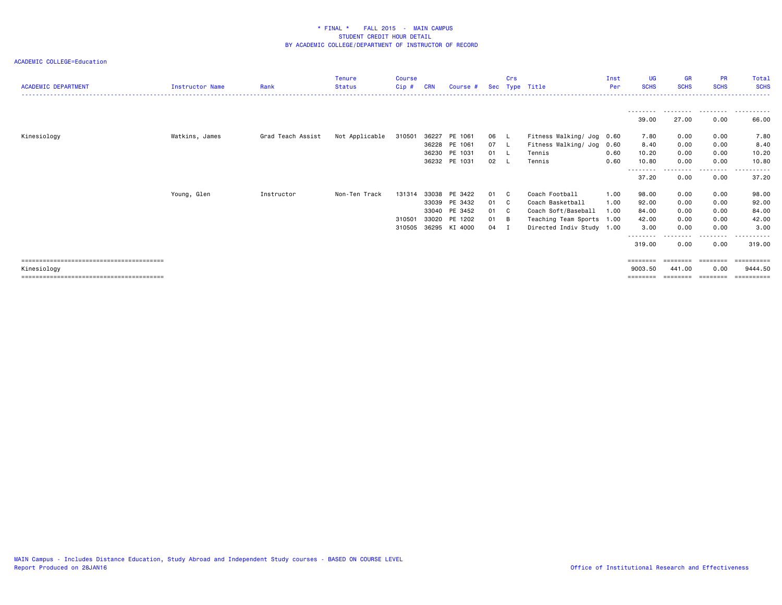| <b>ACADEMIC DEPARTMENT</b> | Instructor Name | Rank              | Tenure<br><b>Status</b> | Course<br>Cip# | <b>CRN</b> | Course #      |      | Crs      | Sec Type Title            | Inst<br>Per | UG<br><b>SCHS</b>  | <b>GR</b><br><b>SCHS</b> | <b>PR</b><br><b>SCHS</b> | Total<br><b>SCHS</b>  |
|----------------------------|-----------------|-------------------|-------------------------|----------------|------------|---------------|------|----------|---------------------------|-------------|--------------------|--------------------------|--------------------------|-----------------------|
|                            |                 |                   |                         |                |            |               |      |          |                           |             |                    |                          |                          |                       |
|                            |                 |                   |                         |                |            |               |      |          |                           |             | 39.00              | .<br>27.00               | .<br>0.00                | .<br>$- - -$<br>66.00 |
| Kinesiology                | Watkins, James  | Grad Teach Assist | Not Applicable          | 310501         | 36227      | PE 1061       | 06   |          | Fitness Walking/ Jog 0.60 |             | 7.80               | 0.00                     | 0.00                     | 7.80                  |
|                            |                 |                   |                         |                | 36228      | PE 1061       | 07 L |          | Fitness Walking/ Jog 0.60 |             | 8.40               | 0.00                     | 0.00                     | 8.40                  |
|                            |                 |                   |                         |                | 36230      | PE 1031       | 01 L |          | Tennis                    | 0.60        | 10.20              | 0.00                     | 0.00                     | 10.20                 |
|                            |                 |                   |                         |                |            | 36232 PE 1031 | 02   |          | Tennis                    | 0.60        | 10.80              | 0.00                     | 0.00                     | 10.80                 |
|                            |                 |                   |                         |                |            |               |      |          |                           |             | ---------<br>37.20 | ---------<br>0.00        | ---------<br>0.00        | .<br>37.20            |
|                            | Young, Glen     | Instructor        | Non-Ten Track           | 131314         | 33038      | PE 3422       | 01   | C        | Coach Football            | 1.00        | 98.00              | 0.00                     | 0.00                     | 98.00                 |
|                            |                 |                   |                         |                | 33039      | PE 3432       | 01   | <b>C</b> | Coach Basketball          | 1.00        | 92.00              | 0.00                     | 0.00                     | 92.00                 |
|                            |                 |                   |                         |                | 33040      | PE 3452       | 01   | C        | Coach Soft/Baseball       | 1.00        | 84.00              | 0.00                     | 0.00                     | 84.00                 |
|                            |                 |                   |                         | 310501         | 33020      | PE 1202       | 01   | B        | Teaching Team Sports      | 1.00        | 42.00              | 0.00                     | 0.00                     | 42.00                 |
|                            |                 |                   |                         | 310505         | 36295      | KI 4000       | 04   | I        | Directed Indiv Study 1.00 |             | 3.00               | 0.00                     | 0.00                     | 3.00                  |
|                            |                 |                   |                         |                |            |               |      |          |                           |             | --------<br>319.00 | 0.00                     | . <b>.</b><br>0.00       | .<br>319.00           |
|                            |                 |                   |                         |                |            |               |      |          |                           |             |                    |                          |                          |                       |
|                            |                 |                   |                         |                |            |               |      |          |                           |             |                    |                          | =======                  | ==========            |
| Kinesiology                |                 |                   |                         |                |            |               |      |          |                           |             | 9003.50            | 441.00                   | 0.00                     | 9444.50               |
|                            |                 |                   |                         |                |            |               |      |          |                           |             | ========           | ========                 | ---------                | ==========            |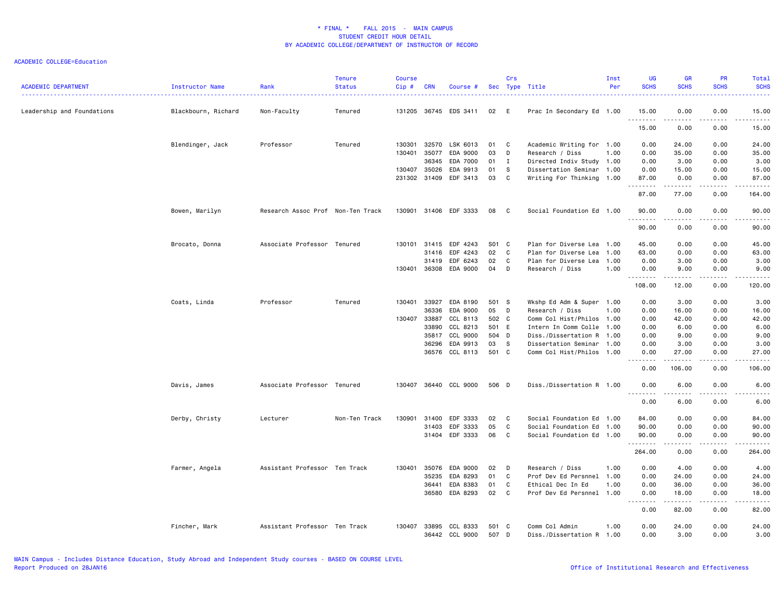| <b>ACADEMIC DEPARTMENT</b> | Instructor Name     | Rank<br>. <u>.</u> .              | <b>Tenure</b><br><b>Status</b> | <b>Course</b><br>Cip# | <b>CRN</b>     | Course #              |          | Crs          | Sec Type Title                                 | Inst<br>Per | <b>UG</b><br><b>SCHS</b>           | <b>GR</b><br><b>SCHS</b> | <b>PR</b><br><b>SCHS</b>            | Total<br><b>SCHS</b><br>$\frac{1}{2} \left( \frac{1}{2} \right) \left( \frac{1}{2} \right) \left( \frac{1}{2} \right) \left( \frac{1}{2} \right)$             |
|----------------------------|---------------------|-----------------------------------|--------------------------------|-----------------------|----------------|-----------------------|----------|--------------|------------------------------------------------|-------------|------------------------------------|--------------------------|-------------------------------------|---------------------------------------------------------------------------------------------------------------------------------------------------------------|
| Leadership and Foundations | Blackbourn, Richard | Non-Faculty                       | Tenured                        | 131205                | 36745          | EDS 3411              | 02 E     |              | Prac In Secondary Ed 1.00                      |             | 15.00                              | 0.00                     | 0.00                                | 15.00                                                                                                                                                         |
|                            |                     |                                   |                                |                       |                |                       |          |              |                                                |             | .<br>15.00                         | .<br>0.00                | $\sim$ $\sim$ $\sim$<br>0.00        | $\frac{1}{2} \left( \frac{1}{2} \right) \left( \frac{1}{2} \right) \left( \frac{1}{2} \right) \left( \frac{1}{2} \right) \left( \frac{1}{2} \right)$<br>15.00 |
|                            | Blendinger, Jack    | Professor                         | Tenured                        | 130301                | 32570          | LSK 6013              | 01       | C            | Academic Writing for 1.00                      |             | 0.00                               | 24.00                    | 0.00                                | 24.00                                                                                                                                                         |
|                            |                     |                                   |                                | 130401                | 35077          | EDA 9000              | 03       | D            | Research / Diss                                | 1.00        | 0.00                               | 35.00                    | 0.00                                | 35.00                                                                                                                                                         |
|                            |                     |                                   |                                |                       | 36345          | EDA 7000              | 01       | $\mathbf{I}$ | Directed Indiv Study 1.00                      |             | 0.00                               | 3.00                     | 0.00                                | 3.00                                                                                                                                                          |
|                            |                     |                                   |                                | 130407                | 35026          | EDA 9913              | 01       | s.           | Dissertation Seminar 1.00                      |             | 0.00                               | 15.00                    | 0.00                                | 15.00                                                                                                                                                         |
|                            |                     |                                   |                                |                       | 231302 31409   | EDF 3413              | 03       | C            | Writing For Thinking 1.00                      |             | 87.00<br>.                         | 0.00<br>. <u>.</u>       | 0.00<br>.                           | 87.00<br>.                                                                                                                                                    |
|                            |                     |                                   |                                |                       |                |                       |          |              |                                                |             | 87.00                              | 77.00                    | 0.00                                | 164.00                                                                                                                                                        |
|                            | Bowen, Marilyn      | Research Assoc Prof Non-Ten Track |                                |                       |                | 130901 31406 EDF 3333 | 08       | C            | Social Foundation Ed 1.00                      |             | 90.00<br>.                         | 0.00                     | 0.00<br>$\sim$ $\sim$ $\sim$ $\sim$ | 90.00<br>$\frac{1}{2} \left( \frac{1}{2} \right) \left( \frac{1}{2} \right) \left( \frac{1}{2} \right) \left( \frac{1}{2} \right) \left( \frac{1}{2} \right)$ |
|                            |                     |                                   |                                |                       |                |                       |          |              |                                                |             | 90.00                              | 0.00                     | 0.00                                | 90.00                                                                                                                                                         |
|                            | Brocato, Donna      | Associate Professor Tenured       |                                |                       | 130101 31415   | EDF 4243              | S01 C    |              | Plan for Diverse Lea 1.00                      |             | 45.00                              | 0.00                     | 0.00                                | 45.00                                                                                                                                                         |
|                            |                     |                                   |                                |                       | 31416          | EDF 4243              | 02       | C            | Plan for Diverse Lea                           | 1.00        | 63.00                              | 0.00                     | 0.00                                | 63.00                                                                                                                                                         |
|                            |                     |                                   |                                |                       | 31419          | EDF 6243              | 02       | C            | Plan for Diverse Lea 1.00                      |             | 0.00                               | 3.00                     | 0.00                                | 3.00                                                                                                                                                          |
|                            |                     |                                   |                                |                       | 130401 36308   | EDA 9000              | 04       | D            | Research / Diss                                | 1.00        | 0.00<br>.                          | 9.00<br>.                | 0.00<br>.                           | 9.00<br>.                                                                                                                                                     |
|                            |                     |                                   |                                |                       |                |                       |          |              |                                                |             | 108.00                             | 12.00                    | 0.00                                | 120.00                                                                                                                                                        |
|                            | Coats, Linda        | Professor                         | Tenured                        | 130401                | 33927          | EDA 8190              | 501 S    |              | Wkshp Ed Adm & Super 1.00                      |             | 0.00                               | 3.00                     | 0.00                                | 3.00                                                                                                                                                          |
|                            |                     |                                   |                                |                       | 36336          | EDA 9000              | 05       | D            | Research / Diss                                | 1.00        | 0.00                               | 16.00                    | 0.00                                | 16.00                                                                                                                                                         |
|                            |                     |                                   |                                | 130407                | 33887          | CCL 8113              | 502 C    |              | Comm Col Hist/Philos 1.00                      |             | 0.00                               | 42.00                    | 0.00                                | 42.00                                                                                                                                                         |
|                            |                     |                                   |                                |                       | 33890          | CCL 8213              | 501 E    |              | Intern In Comm Colle 1.00                      |             | 0.00                               | 6.00                     | 0.00                                | 6.00                                                                                                                                                          |
|                            |                     |                                   |                                |                       | 35817          | CCL 9000              | 504 D    |              | Diss./Dissertation R 1.00                      |             | 0.00                               | 9.00                     | 0.00                                | 9.00                                                                                                                                                          |
|                            |                     |                                   |                                |                       | 36296          | EDA 9913              | 03       | $\mathbf{s}$ | Dissertation Seminar                           | 1.00        | 0.00                               | 3.00                     | 0.00                                | 3.00                                                                                                                                                          |
|                            |                     |                                   |                                |                       | 36576          | CCL 8113              | 501 C    |              | Comm Col Hist/Philos 1.00                      |             | 0.00                               | 27.00<br>$- - - - -$     | 0.00<br>.                           | 27.00<br>.                                                                                                                                                    |
|                            |                     |                                   |                                |                       |                |                       |          |              |                                                |             | 0.00                               | 106.00                   | 0.00                                | 106.00                                                                                                                                                        |
|                            | Davis, James        | Associate Professor Tenured       |                                | 130407                |                | 36440 CCL 9000        | 506 D    |              | Diss./Dissertation R 1.00                      |             | 0.00<br>$\sim$ $\sim$ .<br>$- - -$ | 6.00                     | 0.00<br>$- - - -$                   | 6.00                                                                                                                                                          |
|                            |                     |                                   |                                |                       |                |                       |          |              |                                                |             | 0.00                               | 6.00                     | 0.00                                | 6.00                                                                                                                                                          |
|                            | Derby, Christy      | Lecturer                          | Non-Ten Track                  | 130901                | 31400          | EDF 3333              | 02       | C            | Social Foundation Ed 1.00                      |             | 84.00                              | 0.00                     | 0.00                                | 84.00                                                                                                                                                         |
|                            |                     |                                   |                                |                       | 31403          | EDF 3333              | 05       | C            | Social Foundation Ed 1.00                      |             | 90.00                              | 0.00                     | 0.00                                | 90.00                                                                                                                                                         |
|                            |                     |                                   |                                |                       |                | 31404 EDF 3333        | 06       | C            | Social Foundation Ed 1.00                      |             | 90.00<br>.                         | 0.00<br>.                | 0.00<br>$\sim$ $\sim$ $\sim$ $\sim$ | 90.00<br>.                                                                                                                                                    |
|                            |                     |                                   |                                |                       |                |                       |          |              |                                                |             | 264.00                             | 0.00                     | 0.00                                | 264.00                                                                                                                                                        |
|                            | Farmer, Angela      | Assistant Professor Ten Track     |                                | 130401                | 35076          | EDA 9000              | 02       | D            | Research / Diss                                | 1.00        | 0.00                               | 4.00                     | 0.00                                | 4.00                                                                                                                                                          |
|                            |                     |                                   |                                |                       | 35235          | EDA 8293              | 01       | C            | Prof Dev Ed Persnnel                           | 1.00        | 0.00                               | 24.00                    | 0.00                                | 24.00                                                                                                                                                         |
|                            |                     |                                   |                                |                       | 36441<br>36580 | EDA 8383<br>EDA 8293  | 01<br>02 | C<br>C       | Ethical Dec In Ed<br>Prof Dev Ed Persnnel 1.00 | 1.00        | 0.00<br>0.00                       | 36.00<br>18.00           | 0.00<br>0.00                        | 36.00<br>18.00                                                                                                                                                |
|                            |                     |                                   |                                |                       |                |                       |          |              |                                                |             | .                                  | .                        | .                                   | .                                                                                                                                                             |
|                            |                     |                                   |                                |                       |                |                       |          |              |                                                |             | 0.00                               | 82.00                    | 0.00                                | 82.00                                                                                                                                                         |
|                            | Fincher, Mark       | Assistant Professor Ten Track     |                                | 130407                | 33895          | CCL 8333              | 501 C    |              | Comm Col Admin                                 | 1.00        | 0.00                               | 24.00                    | 0.00                                | 24.00                                                                                                                                                         |
|                            |                     |                                   |                                |                       | 36442          | CCL 9000              | 507      | D            | Diss./Dissertation R 1.00                      |             | 0.00                               | 3.00                     | 0.00                                | 3.00                                                                                                                                                          |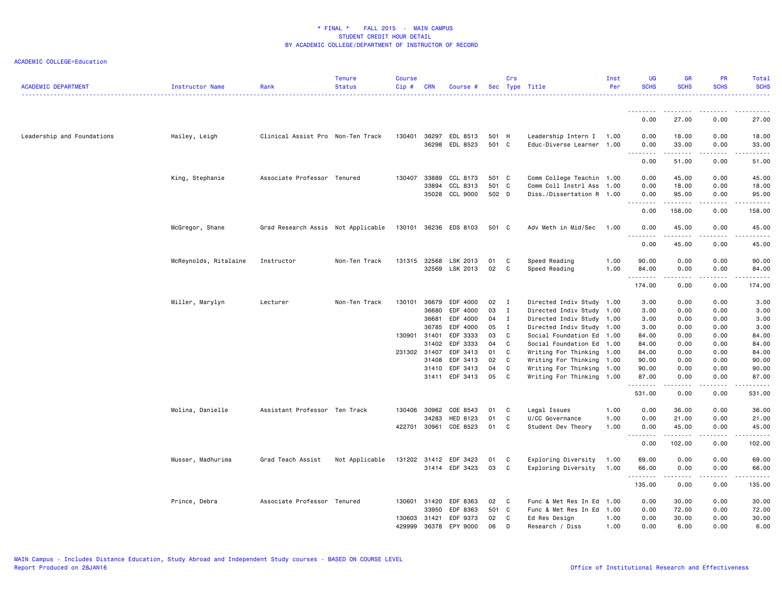| <b>ACADEMIC DEPARTMENT</b> | Instructor Name       | Rank                               | <b>Tenure</b><br><b>Status</b> | <b>Course</b><br>$Cip \#$ | <b>CRN</b> | Course #              |       | Crs                        | Sec Type Title            | Inst<br>Per | UG<br><b>SCHS</b> | <b>GR</b><br><b>SCHS</b> | PR<br><b>SCHS</b> | Total<br><b>SCHS</b>                                                                                                                                          |
|----------------------------|-----------------------|------------------------------------|--------------------------------|---------------------------|------------|-----------------------|-------|----------------------------|---------------------------|-------------|-------------------|--------------------------|-------------------|---------------------------------------------------------------------------------------------------------------------------------------------------------------|
|                            |                       |                                    |                                |                           |            |                       |       |                            |                           |             |                   |                          |                   |                                                                                                                                                               |
|                            |                       |                                    |                                |                           |            |                       |       |                            |                           |             | 0.00              | 27.00                    | 0.00              | 27.00                                                                                                                                                         |
| Leadership and Foundations | Hailey, Leigh         | Clinical Assist Pro Non-Ten Track  |                                | 130401                    | 36297      | EDL 8513              | 501 H |                            | Leadership Intern I       | 1.00        | 0.00              | 18.00                    | 0.00              | 18.00                                                                                                                                                         |
|                            |                       |                                    |                                |                           |            | 36298 EDL 8523        | 501 C |                            | Educ-Diverse Learner 1.00 |             | 0.00              | 33.00                    | 0.00              | 33.00                                                                                                                                                         |
|                            |                       |                                    |                                |                           |            |                       |       |                            |                           |             | .<br>0.00         | .<br>51.00               | 0.00              | $\frac{1}{2} \left( \frac{1}{2} \right) \left( \frac{1}{2} \right) \left( \frac{1}{2} \right) \left( \frac{1}{2} \right) \left( \frac{1}{2} \right)$<br>51.00 |
|                            | King, Stephanie       | Associate Professor Tenured        |                                | 130407                    | 33889      | CCL 8173              | 501 C |                            | Comm College Teachin 1.00 |             | 0.00              | 45.00                    | 0.00              | 45.00                                                                                                                                                         |
|                            |                       |                                    |                                |                           | 33894      | CCL 8313              | 501 C |                            | Comm Coll Instrl Ass      | 1.00        | 0.00              | 18.00                    | 0.00              | 18.00                                                                                                                                                         |
|                            |                       |                                    |                                |                           |            | 35028 CCL 9000        | 502 D |                            | Diss./Dissertation R 1.00 |             | 0.00<br>.         | 95.00<br>.               | 0.00<br>.         | 95.00<br>.                                                                                                                                                    |
|                            |                       |                                    |                                |                           |            |                       |       |                            |                           |             | 0.00              | 158.00                   | 0.00              | 158.00                                                                                                                                                        |
|                            | McGregor, Shane       | Grad Research Assis Not Applicable |                                |                           |            | 130101 36236 EDS 8103 | 501 C |                            | Adv Meth in Mid/Sec       | 1.00        | 0.00              | 45.00                    | 0.00              | 45.00                                                                                                                                                         |
|                            |                       |                                    |                                |                           |            |                       |       |                            |                           |             | .<br>0.00         | .<br>45.00               | .<br>0.00         | .<br>45.00                                                                                                                                                    |
|                            | McReynolds, Ritalaine | Instructor                         | Non-Ten Track                  | 131315                    |            | 32568 LSK 2013        | 01    | $\mathbf{C}$               | Speed Reading             | 1.00        | 90.00             | 0.00                     | 0.00              | 90.00                                                                                                                                                         |
|                            |                       |                                    |                                |                           |            | 32569 LSK 2013        | 02    | $\overline{\phantom{a}}$ C | Speed Reading             | 1.00        | 84.00             | 0.00                     | 0.00              | 84.00                                                                                                                                                         |
|                            |                       |                                    |                                |                           |            |                       |       |                            |                           |             | .<br>174.00       | .<br>0.00                | .<br>0.00         | .<br>174.00                                                                                                                                                   |
|                            | Miller, Marylyn       | Lecturer                           | Non-Ten Track                  | 130101                    | 36679      | EDF 4000              | 02    | $\mathbf{I}$               | Directed Indiv Study 1.00 |             | 3.00              | 0.00                     | 0.00              | 3.00                                                                                                                                                          |
|                            |                       |                                    |                                |                           | 36680      | EDF 4000              | 03    | $\mathbf I$                | Directed Indiv Study 1.00 |             | 3.00              | 0.00                     | 0.00              | 3.00                                                                                                                                                          |
|                            |                       |                                    |                                |                           | 36681      | EDF 4000              | 04 I  |                            | Directed Indiv Study 1.00 |             | 3.00              | 0.00                     | 0.00              | 3.00                                                                                                                                                          |
|                            |                       |                                    |                                |                           | 36785      | EDF 4000              | 05    | $\mathbf{I}$               | Directed Indiv Study      | 1.00        | 3.00              | 0.00                     | 0.00              | 3.00                                                                                                                                                          |
|                            |                       |                                    |                                | 130901 31401              |            | EDF 3333              | 03    | $\mathbf{C}$               | Social Foundation Ed 1.00 |             | 84.00             | 0.00                     | 0.00              | 84.00                                                                                                                                                         |
|                            |                       |                                    |                                |                           | 31402      | EDF 3333              | 04    | $\mathbf{C}$               | Social Foundation Ed 1.00 |             | 84.00             | 0.00                     | 0.00              | 84.00                                                                                                                                                         |
|                            |                       |                                    |                                | 231302 31407              |            | EDF 3413              | 01    | $\overline{c}$             | Writing For Thinking      | 1.00        | 84.00             | 0.00                     | 0.00              | 84.00                                                                                                                                                         |
|                            |                       |                                    |                                |                           | 31408      | EDF 3413              | 02    | C <sub>c</sub>             | Writing For Thinking 1.00 |             | 90.00             | 0.00                     | 0.00              | 90.00                                                                                                                                                         |
|                            |                       |                                    |                                |                           | 31410      | EDF 3413              | 04    | C                          | Writing For Thinking      | 1.00        | 90.00             | 0.00                     | 0.00              | 90.00                                                                                                                                                         |
|                            |                       |                                    |                                |                           |            | 31411 EDF 3413        | 05    | $\mathbf{C}$               | Writing For Thinking 1.00 |             | 87.00             | 0.00                     | 0.00              | 87.00                                                                                                                                                         |
|                            |                       |                                    |                                |                           |            |                       |       |                            |                           |             | 531.00            | 0.00                     | 0.00              | 531.00                                                                                                                                                        |
|                            | Molina, Danielle      | Assistant Professor Ten Track      |                                | 130406                    | 30962      | COE 8543              | 01    | $\mathbf{C}$               | Legal Issues              | 1.00        | 0.00              | 36.00                    | 0.00              | 36.00                                                                                                                                                         |
|                            |                       |                                    |                                |                           | 34283      | HED 8123              | 01    | C                          | U/CC Governance           | 1.00        | 0.00              | 21.00                    | 0.00              | 21.00                                                                                                                                                         |
|                            |                       |                                    |                                | 422701                    | 30961      | COE 8523              | 01    | C                          | Student Dev Theory        | 1.00        | 0.00<br><u>.</u>  | 45.00<br><u>.</u>        | 0.00<br>.         | 45.00<br>.                                                                                                                                                    |
|                            |                       |                                    |                                |                           |            |                       |       |                            |                           |             | 0.00              | 102.00                   | 0.00              | 102.00                                                                                                                                                        |
|                            | Musser, Madhurima     | Grad Teach Assist                  | Not Applicable                 |                           |            | 131202 31412 EDF 3423 | 01    | C                          | Exploring Diversity       | 1.00        | 69.00             | 0.00                     | 0.00              | 69.00                                                                                                                                                         |
|                            |                       |                                    |                                |                           |            | 31414 EDF 3423        | 03    | $\mathbf{C}$               | Exploring Diversity       | 1.00        | 66.00<br><u>.</u> | 0.00<br>.                | 0.00              | 66.00                                                                                                                                                         |
|                            |                       |                                    |                                |                           |            |                       |       |                            |                           |             | 135.00            | 0.00                     | 0.00              | 135.00                                                                                                                                                        |
|                            | Prince, Debra         | Associate Professor Tenured        |                                | 130601                    | 31420      | EDF 8363              | 02    | $\mathbf{C}$               | Func & Met Res In Ed      | 1.00        | 0.00              | 30.00                    | 0.00              | 30.00                                                                                                                                                         |
|                            |                       |                                    |                                |                           | 33950      | EDF 8363              | 501 C |                            | Func & Met Res In Ed      | 1.00        | 0.00              | 72.00                    | 0.00              | 72.00                                                                                                                                                         |
|                            |                       |                                    |                                | 130603                    | 31421      | EDF 9373              | 02    | $\mathbf{C}$               | Ed Res Design             | 1.00        | 0.00              | 30.00                    | 0.00              | 30.00                                                                                                                                                         |
|                            |                       |                                    |                                | 429999                    | 36378      | EPY 9000              | 06    | D                          | Research / Diss           | 1.00        | 0.00              | 6.00                     | 0.00              | 6.00                                                                                                                                                          |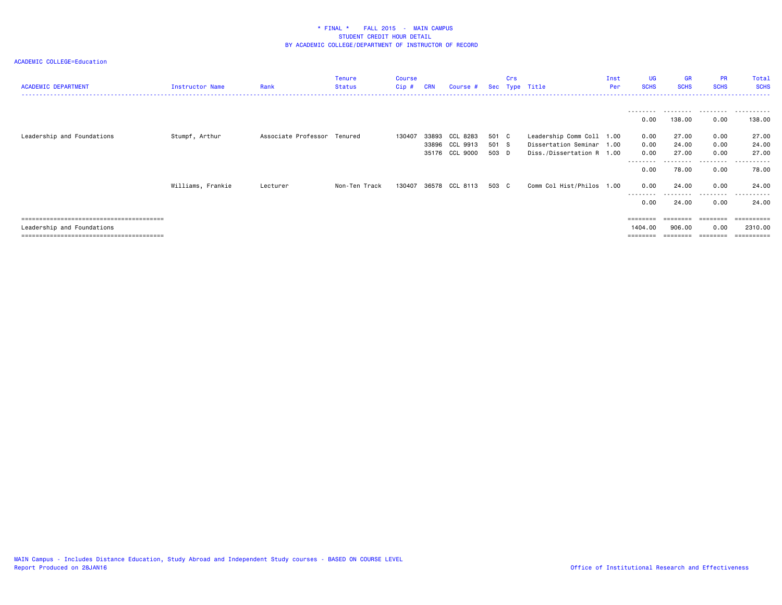| <b>ACADEMIC DEPARTMENT</b> | Instructor Name   | Rank                        | <b>Tenure</b><br><b>Status</b> | <b>Course</b><br>$Cip$ # | <b>CRN</b>     | Course #                               |                         | Crs | Sec Type Title                                                                      | Inst<br>Per | UG<br><b>SCHS</b>    | GR<br><b>SCHS</b>              | <b>PR</b><br><b>SCHS</b>      | Total<br><b>SCHS</b>                 |
|----------------------------|-------------------|-----------------------------|--------------------------------|--------------------------|----------------|----------------------------------------|-------------------------|-----|-------------------------------------------------------------------------------------|-------------|----------------------|--------------------------------|-------------------------------|--------------------------------------|
|                            |                   |                             |                                |                          |                |                                        |                         |     |                                                                                     |             | ---------<br>0.00    | .<br>138.00                    | ----------<br>0.00            | .<br>138.00                          |
| Leadership and Foundations | Stumpf, Arthur    | Associate Professor Tenured |                                | 130407                   | 33893<br>35176 | CCL 8283<br>33896 CCL 9913<br>CCL 9000 | 501 C<br>501 S<br>503 D |     | Leadership Comm Coll 1.00<br>Dissertation Seminar 1.00<br>Diss./Dissertation R 1.00 |             | 0.00<br>0.00<br>0.00 | 27.00<br>24.00<br>27.00        | 0.00<br>0.00<br>0.00          | 27.00<br>24.00<br>27.00              |
|                            | Williams, Frankie | Lecturer                    | Non-Ten Track                  | 130407                   |                | 36578 CCL 8113                         | 503 C                   |     | Comm Col Hist/Philos 1.00                                                           |             | .<br>0.00<br>0.00    | .<br>78.00<br>24.00            | .<br>0.00<br>0.00             | .<br>78.00<br>24.00                  |
|                            |                   |                             |                                |                          |                |                                        |                         |     |                                                                                     |             | .<br>0.00            | 24.00                          | .<br>0.00                     | .<br>24.00                           |
| Leadership and Foundations |                   |                             |                                |                          |                |                                        |                         |     |                                                                                     |             | 1404.00<br>========  | ========<br>906.00<br>======== | ========<br>0.00<br>--------- | ==========<br>2310.00<br>----------- |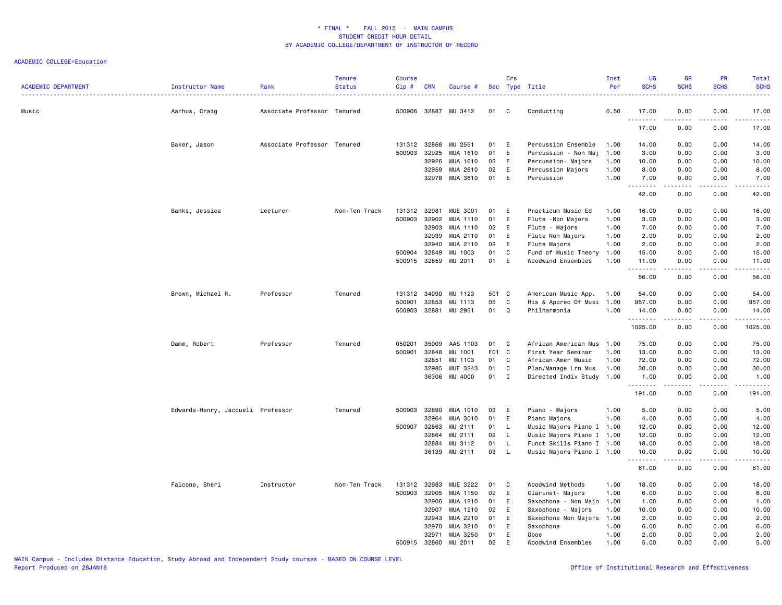| <b>ACADEMIC DEPARTMENT</b> | Instructor Name                   | Rank                        | <b>Tenure</b><br><b>Status</b> | <b>Course</b><br>$Cip$ # | <b>CRN</b> | Course #             |       | Crs          | Sec Type Title            | Inst<br>Per | UG<br><b>SCHS</b>   | GR<br><b>SCHS</b> | PR<br><b>SCHS</b>                   | <b>Total</b><br><b>SCHS</b> |
|----------------------------|-----------------------------------|-----------------------------|--------------------------------|--------------------------|------------|----------------------|-------|--------------|---------------------------|-------------|---------------------|-------------------|-------------------------------------|-----------------------------|
| Music                      | Aarhus, Craig                     | Associate Professor Tenured |                                |                          |            | 500906 32887 MU 3412 | 01    | C            | Conducting                | 0.50        | 17.00<br>. <b>.</b> | 0.00<br>$- - -$   | 0.00<br>$- - - -$                   | 17.00<br>.                  |
|                            |                                   |                             |                                |                          |            |                      |       |              |                           |             | 17.00               | 0.00              | 0.00                                | 17.00                       |
|                            | Baker, Jason                      | Associate Professor Tenured |                                | 131312 32868             |            | MU 2551              | 01    | E            | Percussion Ensemble       | 1.00        | 14.00               | 0.00              | 0.00                                | 14.00                       |
|                            |                                   |                             |                                | 500903                   | 32925      | MUA 1610             | 01    | E            | Percussion - Non Maj      | 1.00        | 3.00                | 0.00              | 0.00                                | 3.00                        |
|                            |                                   |                             |                                |                          | 32926      | MUA 1610             | 02    | E            | Percussion- Majors        | 1.00        | 10.00               | 0.00              | 0.00                                | 10.00                       |
|                            |                                   |                             |                                |                          | 32959      | MUA 2610             | 02    | E            | Percussion Majors         | 1.00        | 8.00                | 0.00              | 0.00                                | 8.00                        |
|                            |                                   |                             |                                |                          | 32978      | MUA 3610             | 01    | E            | Percussion                | 1.00        | 7.00                | 0.00<br>.         | 0.00<br>د د د د                     | 7.00<br>د د د د د           |
|                            |                                   |                             |                                |                          |            |                      |       |              |                           |             | 42.00               | 0.00              | 0.00                                | 42.00                       |
|                            | Banks, Jessica                    | Lecturer                    | Non-Ten Track                  | 131312                   | 32981      | <b>MUE 3001</b>      | 01    | E            | Practicum Music Ed        | 1.00        | 16.00               | 0.00              | 0.00                                | 16.00                       |
|                            |                                   |                             |                                | 500903                   | 32902      | MUA 1110             | 01    | E            | Flute - Non Majors        | 1.00        | 3.00                | 0.00              | 0.00                                | 3.00                        |
|                            |                                   |                             |                                |                          | 32903      | MUA 1110             | 02    | E            | Flute - Majors            | 1.00        | 7.00                | 0.00              | 0.00                                | 7.00                        |
|                            |                                   |                             |                                |                          | 32939      | MUA 2110             | 01    | E            | Flute Non Majors          | 1.00        | 2.00                | 0.00              | 0.00                                | 2.00                        |
|                            |                                   |                             |                                |                          | 32940      | MUA 2110             | 02    | E            | Flute Majors              | 1.00        | 2.00                | 0.00              | 0.00                                | 2.00                        |
|                            |                                   |                             |                                | 500904                   | 32849      | MU 1003              | 01    | C            | Fund of Music Theory      | 1.00        | 15.00               | 0.00              | 0.00                                | 15.00                       |
|                            |                                   |                             |                                | 500915                   | 32859      | MU 2011              | 01    | E            | Woodwind Ensembles        | 1.00        | 11.00               | 0.00<br>.         | 0.00<br>د د د د                     | 11.00<br>.                  |
|                            |                                   |                             |                                |                          |            |                      |       |              |                           |             | 56.00               | 0.00              | 0.00                                | 56.00                       |
|                            | Brown, Michael R.                 | Professor                   | Tenured                        | 131312                   | 34090      | MU 1123              | 501 C |              | American Music App.       | 1.00        | 54.00               | 0.00              | 0.00                                | 54.00                       |
|                            |                                   |                             |                                | 500901                   | 32853      | MU 1113              | 05    | C            | His & Apprec Of Musi      | 1.00        | 957.00              | 0.00              | 0.00                                | 957.00                      |
|                            |                                   |                             |                                | 500903                   | 32881      | MU 2951              | 01    | Q            | Philharmonia              | 1.00        | 14.00<br>.          | 0.00<br>.         | 0.00<br>.                           | 14.00<br>.                  |
|                            |                                   |                             |                                |                          |            |                      |       |              |                           |             | 1025.00             | 0.00              | 0.00                                | 1025.00                     |
|                            | Damm, Robert                      | Professor                   | Tenured                        | 050201                   | 35009      | AAS 1103             | 01    | C            | African American Mus      | 1.00        | 75.00               | 0.00              | 0.00                                | 75.00                       |
|                            |                                   |                             |                                | 500901                   | 32848      | MU 1001              | F01 C |              | First Year Seminar        | 1.00        | 13.00               | 0.00              | 0.00                                | 13.00                       |
|                            |                                   |                             |                                |                          | 32851      | MU 1103              | 01    | C            | African-Amer Music        | 1.00        | 72.00               | 0.00              | 0.00                                | 72.00                       |
|                            |                                   |                             |                                |                          | 32985      | MUE 3243             | 01    | C            | Plan/Manage Lrn Mus       | 1.00        | 30.00               | 0.00              | 0.00                                | 30.00                       |
|                            |                                   |                             |                                |                          | 36306      | MU 4000              | 01    | $\mathbf{I}$ | Directed Indiv Study 1.00 |             | 1.00                | 0.00              | 0.00<br>$\sim$ $\sim$ $\sim$ $\sim$ | 1.00<br>.                   |
|                            |                                   |                             |                                |                          |            |                      |       |              |                           |             | 191.00              | 0.00              | 0.00                                | 191.00                      |
|                            | Edwards-Henry, Jacqueli Professor |                             | Tenured                        | 500903                   | 32890      | MUA 1010             | 03    | E            | Piano - Majors            | 1.00        | 5.00                | 0.00              | 0.00                                | 5.00                        |
|                            |                                   |                             |                                |                          | 32964      | MUA 3010             | 01    | E            | Piano Majors              | 1.00        | 4.00                | 0.00              | 0.00                                | 4.00                        |
|                            |                                   |                             |                                | 500907                   | 32863      | MU 2111              | 01    | L.           | Music Majors Piano I 1.00 |             | 12.00               | 0.00              | 0.00                                | 12.00                       |
|                            |                                   |                             |                                |                          | 32864      | MU 2111              | 02    | L.           | Music Majors Piano I 1.00 |             | 12.00               | 0.00              | 0.00                                | 12.00                       |
|                            |                                   |                             |                                |                          | 32884      | MU 3112              | 01    | L.           | Funct Skills Piano I 1.00 |             | 18.00               | 0.00              | 0.00                                | 18.00                       |
|                            |                                   |                             |                                |                          |            | 36139 MU 2111        | 03    | L            | Music Majors Piano I 1.00 |             | 10.00<br>. <u>.</u> | 0.00<br>.         | 0.00<br>.                           | 10.00<br>.                  |
|                            |                                   |                             |                                |                          |            |                      |       |              |                           |             | 61.00               | 0.00              | 0.00                                | 61.00                       |
|                            | Falcone, Sheri                    | Instructor                  | Non-Ten Track                  | 131312                   | 32983      | MUE 3222             | 01    | C            | Woodwind Methods          | 1.00        | 18.00               | 0.00              | 0.00                                | 18.00                       |
|                            |                                   |                             |                                | 500903                   | 32905      | MUA 1150             | 02    | E            | Clarinet- Majors          | 1.00        | 6.00                | 0.00              | 0.00                                | 6.00                        |
|                            |                                   |                             |                                |                          | 32906      | MUA 1210             | 01    | E            | Saxophone - Non Majo      | 1.00        | 1.00                | 0.00              | 0.00                                | 1.00                        |
|                            |                                   |                             |                                |                          | 32907      | MUA 1210             | 02    | E            | Saxophone - Majors        | 1.00        | 10.00               | 0.00              | 0.00                                | 10.00                       |
|                            |                                   |                             |                                |                          | 32943      | MUA 2210             | 01    | Е            | Saxophone Non Majors      | 1.00        | 2.00                | 0.00              | 0.00                                | 2.00                        |
|                            |                                   |                             |                                |                          | 32970      | MUA 3210             | 01    | E            | Saxophone                 | 1.00        | 6.00                | 0.00              | 0.00                                | 6.00                        |
|                            |                                   |                             |                                |                          | 32971      | MUA 3250             | 01    | E            | Oboe                      | 1.00        | 2.00                | 0.00              | 0.00                                | 2.00                        |
|                            |                                   |                             |                                | 500915                   | 32860      | MU 2011              | 02    | E            | Woodwind Ensembles        | 1.00        | 5.00                | 0.00              | 0.00                                | 5.00                        |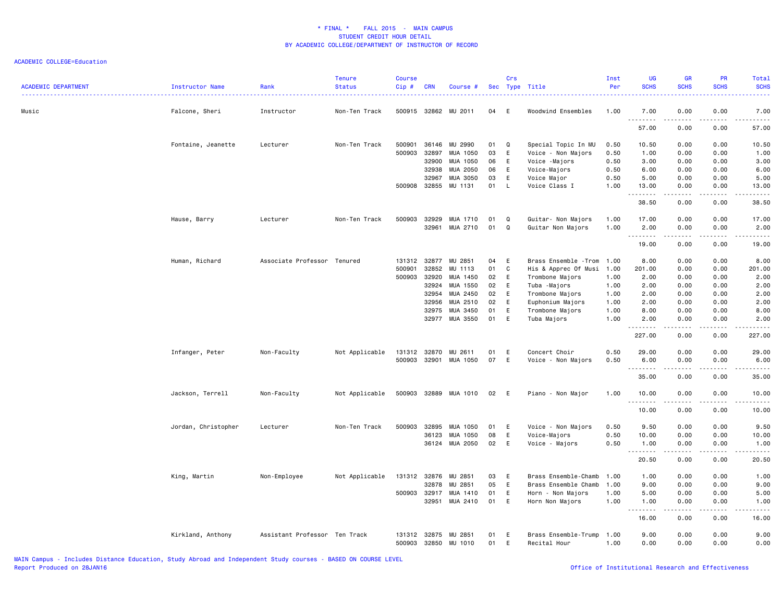| <b>ACADEMIC DEPARTMENT</b> | Instructor Name     | Rank                          | <b>Tenure</b><br><b>Status</b> | <b>Course</b><br>Cip# | <b>CRN</b>     | Course #            |          | Crs      | Sec Type Title               | Inst<br>Per  | UG<br><b>SCHS</b>                  | <b>GR</b><br><b>SCHS</b> | PR<br><b>SCHS</b>     | <b>Total</b><br><b>SCHS</b>                                                                                                        |
|----------------------------|---------------------|-------------------------------|--------------------------------|-----------------------|----------------|---------------------|----------|----------|------------------------------|--------------|------------------------------------|--------------------------|-----------------------|------------------------------------------------------------------------------------------------------------------------------------|
| Music                      | Falcone, Sheri      | Instructor                    | Non-Ten Track                  | 500915                | 32862          | MU 2011             | 04       | E        | Woodwind Ensembles           | 1.00         | 7.00<br>.                          | 0.00                     | 0.00                  | 7.00<br>$\omega$ is $\omega$ in .                                                                                                  |
|                            |                     |                               |                                |                       |                |                     |          |          |                              |              | 57.00                              | 0.00                     | 0.00                  | 57.00                                                                                                                              |
|                            | Fontaine, Jeanette  | Lecturer                      | Non-Ten Track                  | 500901                | 36146          | MU 2990             | 01       | Q        | Special Topic In MU          | 0.50         | 10.50                              | 0.00                     | 0.00                  | 10.50                                                                                                                              |
|                            |                     |                               |                                | 500903                | 32897          | MUA 1050            | 03       | E        | Voice - Non Majors           | 0.50         | 1.00                               | 0.00                     | 0.00                  | 1.00                                                                                                                               |
|                            |                     |                               |                                |                       | 32900          | MUA 1050            | 06       | E        | Voice -Majors                | 0.50         | 3.00                               | 0.00                     | 0.00                  | 3.00                                                                                                                               |
|                            |                     |                               |                                |                       | 32938          | MUA 2050            | 06       | E        | Voice-Majors                 | 0.50         | 6.00                               | 0.00                     | 0.00                  | 6.00                                                                                                                               |
|                            |                     |                               |                                | 500908                | 32967<br>32855 | MUA 3050<br>MU 1131 | 03<br>01 | E<br>L.  | Voice Major<br>Voice Class I | 0.50<br>1.00 | 5.00<br>13.00                      | 0.00                     | 0.00<br>0.00          | 5.00<br>13.00                                                                                                                      |
|                            |                     |                               |                                |                       |                |                     |          |          |                              |              | $\sim$ $\sim$ $\sim$ $\sim$        | 0.00                     |                       | .                                                                                                                                  |
|                            |                     |                               |                                |                       |                |                     |          |          |                              |              | 38.50                              | 0.00                     | 0.00                  | 38.50                                                                                                                              |
|                            | Hause, Barry        | Lecturer                      | Non-Ten Track                  | 500903                | 32929          | MUA 1710            | 01       | $\Omega$ | Guitar- Non Majors           | 1.00         | 17.00                              | 0.00                     | 0.00                  | 17.00                                                                                                                              |
|                            |                     |                               |                                |                       | 32961          | MUA 2710            | 01       | Q        | Guitar Non Majors            | 1.00         | 2.00                               | 0.00                     | 0.00                  | 2.00                                                                                                                               |
|                            |                     |                               |                                |                       |                |                     |          |          |                              |              | $\sim$ $\sim$ $\sim$<br>.<br>19.00 | 0.00                     | $- - - -$<br>0.00     | $\frac{1}{2} \left( \frac{1}{2} \right) \left( \frac{1}{2} \right) \left( \frac{1}{2} \right) \left( \frac{1}{2} \right)$<br>19.00 |
|                            | Human, Richard      | Associate Professor Tenured   |                                | 131312 32877          |                | MU 2851             | 04       | E        | Brass Ensemble - Trom        | 1.00         | 8.00                               | 0.00                     | 0.00                  | 8.00                                                                                                                               |
|                            |                     |                               |                                | 500901                | 32852          | MU 1113             | 01       | C        | His & Apprec Of Musi         | 1.00         | 201.00                             | 0.00                     | 0.00                  | 201.00                                                                                                                             |
|                            |                     |                               |                                | 500903                | 32920          | MUA 1450            | 02       | E        | Trombone Majors              | 1.00         | 2.00                               | 0.00                     | 0.00                  | 2.00                                                                                                                               |
|                            |                     |                               |                                |                       | 32924          | MUA 1550            | 02       | E        | Tuba -Majors                 | 1.00         | 2.00                               | 0.00                     | 0.00                  | 2.00                                                                                                                               |
|                            |                     |                               |                                |                       | 32954          | MUA 2450            | 02       | E        | Trombone Majors              | 1.00         | 2.00                               | 0.00                     | 0.00                  | 2.00                                                                                                                               |
|                            |                     |                               |                                |                       | 32956          | MUA 2510            | 02       | E        | Euphonium Majors             | 1.00         | 2.00                               | 0.00                     | 0.00                  | 2.00                                                                                                                               |
|                            |                     |                               |                                |                       | 32975          | MUA 3450            | 01       | E        | Trombone Majors              | 1.00         | 8.00                               | 0.00                     | 0.00                  | 8.00                                                                                                                               |
|                            |                     |                               |                                |                       | 32977          | MUA 3550            | 01       | E        | Tuba Majors                  | 1.00         | 2.00                               | 0.00<br>.                | 0.00<br>.             | 2.00<br>.                                                                                                                          |
|                            |                     |                               |                                |                       |                |                     |          |          |                              |              | 227.00                             | 0.00                     | 0.00                  | 227.00                                                                                                                             |
|                            | Infanger, Peter     | Non-Faculty                   | Not Applicable                 | 131312                | 32870          | MU 2611             | 01       | E        | Concert Choir                | 0.50         | 29.00                              | 0.00                     | 0.00                  | 29.00                                                                                                                              |
|                            |                     |                               |                                | 500903                | 32901          | MUA 1050            | 07       | E        | Voice - Non Majors           | 0.50         | 6.00                               | 0.00                     | 0.00                  | 6.00                                                                                                                               |
|                            |                     |                               |                                |                       |                |                     |          |          |                              |              | --------                           | .                        | $\frac{1}{2}$         | د د د د د                                                                                                                          |
|                            |                     |                               |                                |                       |                |                     |          |          |                              |              | 35.00                              | 0.00                     | 0.00                  | 35.00                                                                                                                              |
|                            | Jackson, Terrell    | Non-Faculty                   | Not Applicable                 | 500903                |                | 32889 MUA 1010      | 02       | E        | Piano - Non Major            | 1.00         | 10.00                              | 0.00                     | 0.00                  | 10.00<br>.                                                                                                                         |
|                            |                     |                               |                                |                       |                |                     |          |          |                              |              | 10.00                              | .<br>0.00                | .<br>0.00             | 10.00                                                                                                                              |
|                            | Jordan, Christopher | Lecturer                      | Non-Ten Track                  | 500903                | 32895          | MUA 1050            | 01       | E        | Voice - Non Majors           | 0.50         | 9.50                               | 0.00                     | 0.00                  | 9.50                                                                                                                               |
|                            |                     |                               |                                |                       | 36123          | MUA 1050            | 08       | E        | Voice-Majors                 | 0.50         | 10.00                              | 0.00                     | 0.00                  | 10.00                                                                                                                              |
|                            |                     |                               |                                |                       |                | 36124 MUA 2050      | 02       | E        | Voice - Majors               | 0.50         | 1.00                               | 0.00                     | 0.00                  | 1.00                                                                                                                               |
|                            |                     |                               |                                |                       |                |                     |          |          |                              |              | . <b>.</b><br>20.50                | .<br>0.00                | $\frac{1}{2}$<br>0.00 | .<br>20.50                                                                                                                         |
|                            | King, Martin        | Non-Employee                  | Not Applicable                 | 131312 32876          |                | MU 2851             | 03       | E        | Brass Ensemble-Chamb         | 1.00         | 1.00                               | 0.00                     | 0.00                  | 1.00                                                                                                                               |
|                            |                     |                               |                                |                       | 32878          | MU 2851             | 05       | E        | Brass Ensemble Chamb         | 1.00         | 9.00                               | 0.00                     | 0.00                  | 9.00                                                                                                                               |
|                            |                     |                               |                                | 500903                | 32917          | MUA 1410            | 01       | E        | Horn - Non Majors            | 1.00         | 5.00                               | 0.00                     | 0.00                  | 5.00                                                                                                                               |
|                            |                     |                               |                                |                       | 32951          | MUA 2410            | 01       | E        | Horn Non Majors              | 1.00         | 1.00<br>$\sim$ $\sim$<br>.         | 0.00                     | 0.00<br>$- - - -$     | 1.00                                                                                                                               |
|                            |                     |                               |                                |                       |                |                     |          |          |                              |              | 16.00                              | 0.00                     | 0.00                  | 16.00                                                                                                                              |
|                            | Kirkland, Anthony   | Assistant Professor Ten Track |                                | 131312                | 32875          | MU 2851             | 01       | Е        | Brass Ensemble-Trump         | 1.00         | 9.00                               | 0.00                     | 0.00                  | 9.00                                                                                                                               |
|                            |                     |                               |                                | 500903                | 32850          | MU 1010             | 01       | E        | Recital Hour                 | 1.00         | 0.00                               | 0.00                     | 0.00                  | 0.00                                                                                                                               |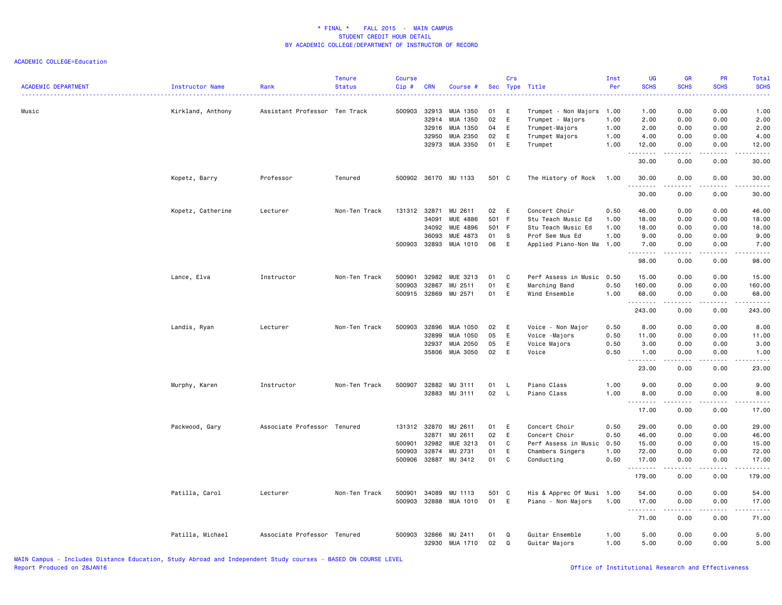| <b>ACADEMIC DEPARTMENT</b> | <b>Instructor Name</b> | Rank                          | <b>Tenure</b><br><b>Status</b> | <b>Course</b><br>Cip#                      | <b>CRN</b>                       | Course #                                                       |                                  | Crs                              | Sec Type Title                                                                                       | Inst<br>Per                          | UG<br><b>SCHS</b>                                                                                                                                             | GR<br><b>SCHS</b>                                                                                                                                            | PR<br><b>SCHS</b>                                 | <b>Total</b><br><b>SCHS</b>                              |
|----------------------------|------------------------|-------------------------------|--------------------------------|--------------------------------------------|----------------------------------|----------------------------------------------------------------|----------------------------------|----------------------------------|------------------------------------------------------------------------------------------------------|--------------------------------------|---------------------------------------------------------------------------------------------------------------------------------------------------------------|--------------------------------------------------------------------------------------------------------------------------------------------------------------|---------------------------------------------------|----------------------------------------------------------|
| Music                      | Kirkland, Anthony      | Assistant Professor Ten Track |                                | 500903                                     | 32913<br>32914<br>32916<br>32950 | MUA 1350<br>MUA 1350<br>MUA 1350<br>MUA 2350<br>32973 MUA 3350 | 01<br>02<br>04<br>02<br>01       | E<br>E<br>E<br>E<br>E            | Trumpet - Non Majors 1.00<br>Trumpet - Majors<br>Trumpet-Majors<br>Trumpet Majors<br>Trumpet         | 1.00<br>1.00<br>1.00<br>1.00         | 1.00<br>2.00<br>2.00<br>4.00<br>12.00                                                                                                                         | 0.00<br>0.00<br>0.00<br>0.00<br>0.00                                                                                                                         | 0.00<br>0.00<br>0.00<br>0.00<br>0.00              | 1.00<br>2.00<br>2.00<br>4.00<br>12.00                    |
|                            |                        |                               |                                |                                            |                                  |                                                                |                                  |                                  |                                                                                                      |                                      | $\frac{1}{2} \left( \frac{1}{2} \right) \left( \frac{1}{2} \right) \left( \frac{1}{2} \right) \left( \frac{1}{2} \right) \left( \frac{1}{2} \right)$<br>30.00 | .<br>0.00                                                                                                                                                    | .<br>0.00                                         | .<br>30.00                                               |
|                            | Kopetz, Barry          | Professor                     | Tenured                        |                                            |                                  | 500902 36170 MU 1133                                           | 501 C                            |                                  | The History of Rock                                                                                  | 1.00                                 | 30.00<br>.                                                                                                                                                    | 0.00<br>.                                                                                                                                                    | 0.00<br>.                                         | 30.00<br>.                                               |
|                            |                        |                               |                                |                                            |                                  |                                                                |                                  |                                  |                                                                                                      |                                      | 30.00                                                                                                                                                         | 0.00                                                                                                                                                         | 0.00                                              | 30.00                                                    |
|                            | Kopetz, Catherine      | Lecturer                      | Non-Ten Track                  | 131312 32871<br>500903                     | 34091<br>34092<br>36093<br>32893 | MU 2611<br>MUE 4886<br>MUE 4896<br>MUE 4873<br>MUA 1010        | 02<br>501 F<br>501 F<br>01<br>06 | E<br>S<br>E                      | Concert Choir<br>Stu Teach Music Ed<br>Stu Teach Music Ed<br>Prof Sem Mus Ed<br>Applied Piano-Non Ma | 0.50<br>1.00<br>1.00<br>1.00<br>1.00 | 46.00<br>18.00<br>18.00<br>9.00<br>7.00<br>.                                                                                                                  | 0.00<br>0.00<br>0.00<br>0.00<br>0.00<br>.                                                                                                                    | 0.00<br>0.00<br>0.00<br>0.00<br>0.00<br>.         | 46.00<br>18.00<br>18.00<br>9.00<br>7.00<br>.             |
|                            |                        |                               |                                |                                            |                                  |                                                                |                                  |                                  |                                                                                                      |                                      | 98.00                                                                                                                                                         | 0.00                                                                                                                                                         | 0.00                                              | 98.00                                                    |
|                            | Lance, Elva            | Instructor                    | Non-Ten Track                  | 500901<br>500903<br>500915                 | 32982<br>32867<br>32869          | MUE 3213<br>MU 2511<br>MU 2571                                 | 01<br>01<br>01                   | C<br>E<br>E                      | Perf Assess in Music<br>Marching Band<br>Wind Ensemble                                               | 0.50<br>0.50<br>1.00                 | 15.00<br>160.00<br>68.00<br><u>.</u> .                                                                                                                        | 0.00<br>0.00<br>0.00<br>.                                                                                                                                    | 0.00<br>0.00<br>0.00<br>$- - - - -$               | 15.00<br>160.00<br>68.00<br>$- - - - - -$                |
|                            |                        |                               |                                |                                            |                                  |                                                                |                                  |                                  |                                                                                                      |                                      | 243.00                                                                                                                                                        | 0.00                                                                                                                                                         | 0.00                                              | 243.00                                                   |
|                            | Landis, Ryan           | Lecturer                      | Non-Ten Track                  | 500903                                     | 32896<br>32899<br>32937<br>35806 | MUA 1050<br>MUA 1050<br>MUA 2050<br>MUA 3050                   | 02<br>05<br>05<br>02             | E<br>E<br>E<br>E                 | Voice - Non Major<br>Voice -Majors<br>Voice Majors<br>Voice                                          | 0.50<br>0.50<br>0.50<br>0.50         | 8.00<br>11.00<br>3.00<br>1.00<br>.                                                                                                                            | 0.00<br>0.00<br>0.00<br>0.00<br>$\frac{1}{2} \left( \frac{1}{2} \right) \left( \frac{1}{2} \right) \left( \frac{1}{2} \right) \left( \frac{1}{2} \right)$    | 0.00<br>0.00<br>0.00<br>0.00<br>.                 | 8.00<br>11.00<br>3.00<br>1.00<br>.                       |
|                            | Murphy, Karen          | Instructor                    | Non-Ten Track                  | 500907                                     | 32882                            | MU 3111<br>32883 MU 3111                                       | 01<br>02                         | - L<br>$\mathsf{L}$              | Piano Class<br>Piano Class                                                                           | 1.00<br>1.00                         | 23.00<br>9.00<br>8.00                                                                                                                                         | 0.00<br>0.00<br>0.00                                                                                                                                         | 0.00<br>0.00<br>0.00                              | 23.00<br>9.00<br>8.00                                    |
|                            |                        |                               |                                |                                            |                                  |                                                                |                                  |                                  |                                                                                                      |                                      | <u>.</u><br>17.00                                                                                                                                             | $- - - -$<br>0.00                                                                                                                                            | 0.00                                              | $- - - -$<br>17.00                                       |
|                            | Packwood, Gary         | Associate Professor Tenured   |                                | 131312 32870<br>500901<br>500903<br>500906 | 32871<br>32982<br>32874<br>32887 | MU 2611<br>MU 2611<br>MUE 3213<br>MU 2731<br>MU 3412           | 01<br>02<br>01<br>01<br>01       | E<br>E<br>$\mathtt{C}$<br>E<br>C | Concert Choir<br>Concert Choir<br>Perf Assess in Music<br>Chambers Singers<br>Conducting             | 0.50<br>0.50<br>0.50<br>1.00<br>0.50 | 29.00<br>46.00<br>15.00<br>72.00<br>17.00<br>.<br>179.00                                                                                                      | 0.00<br>0.00<br>0.00<br>0.00<br>0.00<br>.<br>0.00                                                                                                            | 0.00<br>0.00<br>0.00<br>0.00<br>0.00<br>.<br>0.00 | 29.00<br>46.00<br>15.00<br>72.00<br>17.00<br>.<br>179.00 |
|                            | Patilla, Carol         | Lecturer                      | Non-Ten Track                  | 500901<br>500903                           | 34089<br>32888                   | MU 1113<br>MUA 1010                                            | 501 C<br>01                      | E                                | His & Apprec Of Musi 1.00<br>Piano - Non Majors                                                      | 1.00                                 | 54.00<br>17.00                                                                                                                                                | 0.00<br>0.00                                                                                                                                                 | 0.00<br>0.00                                      | 54.00<br>17.00                                           |
|                            |                        |                               |                                |                                            |                                  |                                                                |                                  |                                  |                                                                                                      |                                      | .<br>71.00                                                                                                                                                    | $\frac{1}{2} \left( \frac{1}{2} \right) \left( \frac{1}{2} \right) \left( \frac{1}{2} \right) \left( \frac{1}{2} \right) \left( \frac{1}{2} \right)$<br>0.00 | .<br>0.00                                         | .<br>71.00                                               |
|                            | Patilla, Michael       | Associate Professor Tenured   |                                | 500903                                     | 32866<br>32930                   | MU 2411<br>MUA 1710                                            | 01<br>02                         | Q<br>Q                           | Guitar Ensemble<br>Guitar Majors                                                                     | 1.00<br>1.00                         | 5.00<br>5.00                                                                                                                                                  | 0.00<br>0.00                                                                                                                                                 | 0.00<br>0.00                                      | 5.00<br>5.00                                             |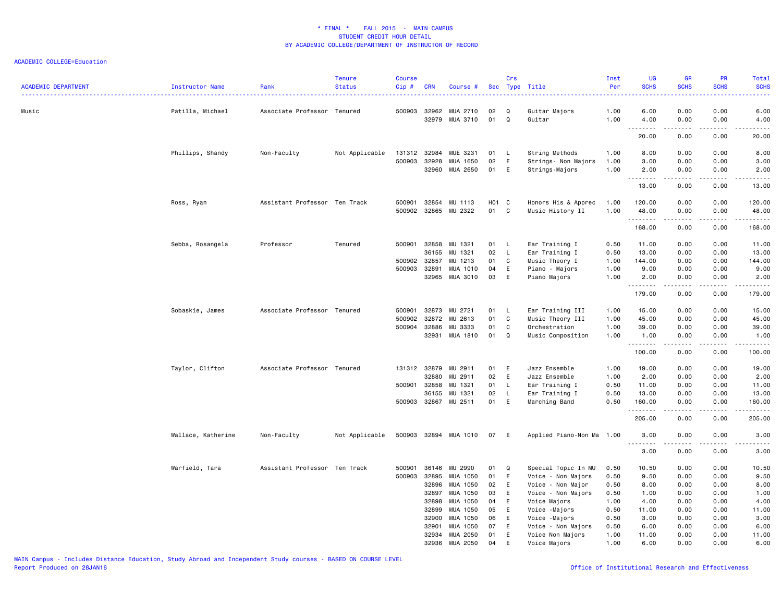| <b>ACADEMIC DEPARTMENT</b> | Instructor Name    | Rank                          | <b>Tenure</b><br><b>Status</b> | <b>Course</b><br>$Cip$ # | <b>CRN</b>     | Course #             |          | Crs               | Sec Type Title                          | Inst<br>Per  | UG<br><b>SCHS</b> | GR<br><b>SCHS</b>                                                                                                                 | PR<br><b>SCHS</b>            | Total<br><b>SCHS</b>                                                                                                                                          |
|----------------------------|--------------------|-------------------------------|--------------------------------|--------------------------|----------------|----------------------|----------|-------------------|-----------------------------------------|--------------|-------------------|-----------------------------------------------------------------------------------------------------------------------------------|------------------------------|---------------------------------------------------------------------------------------------------------------------------------------------------------------|
| Music                      | Patilla, Michael   | Associate Professor Tenured   |                                | 500903                   | 32962<br>32979 | MUA 2710<br>MUA 3710 | 02<br>01 | Q<br>$\mathsf Q$  | Guitar Majors<br>Guitar                 | 1.00<br>1.00 | 6.00<br>4.00      | 0.00<br>0.00                                                                                                                      | 0.00<br>0.00                 | 6.00<br>4.00                                                                                                                                                  |
|                            |                    |                               |                                |                          |                |                      |          |                   |                                         |              | .<br>20.00        | .<br>0.00                                                                                                                         | .<br>0.00                    | $\frac{1}{2} \left( \frac{1}{2} \right) \left( \frac{1}{2} \right) \left( \frac{1}{2} \right) \left( \frac{1}{2} \right) \left( \frac{1}{2} \right)$<br>20.00 |
|                            | Phillips, Shandy   | Non-Faculty                   | Not Applicable                 | 131312                   | 32984          | MUE 3231             | 01       | L                 | String Methods                          | 1.00         | 8.00              | 0.00                                                                                                                              | 0.00                         | 8.00                                                                                                                                                          |
|                            |                    |                               |                                | 500903                   | 32928          | MUA 1650             | 02       | E                 | Strings- Non Majors                     | 1.00         | 3.00              | 0.00                                                                                                                              | 0.00                         | 3.00                                                                                                                                                          |
|                            |                    |                               |                                |                          | 32960          | MUA 2650             | 01       | E                 | Strings-Majors                          | 1.00         | 2.00              | 0.00                                                                                                                              | 0.00                         | 2.00                                                                                                                                                          |
|                            |                    |                               |                                |                          |                |                      |          |                   |                                         |              | .<br>13.00        | -----<br>0.00                                                                                                                     | .<br>0.00                    | .<br>13.00                                                                                                                                                    |
|                            | Ross, Ryan         | Assistant Professor Ten Track |                                | 500901                   | 32854          | MU 1113              | H01 C    |                   | Honors His & Apprec                     | 1.00         | 120.00            | 0.00                                                                                                                              | 0.00                         | 120.00                                                                                                                                                        |
|                            |                    |                               |                                | 500902                   | 32865          | MU 2322              | 01       | C                 | Music History II                        | 1.00         | 48.00             | 0.00                                                                                                                              | 0.00                         | 48.00                                                                                                                                                         |
|                            |                    |                               |                                |                          |                |                      |          |                   |                                         |              | .<br>168.00       | 0.00                                                                                                                              | 0.00                         | .<br>168.00                                                                                                                                                   |
|                            |                    |                               |                                |                          |                |                      |          |                   |                                         |              |                   |                                                                                                                                   |                              |                                                                                                                                                               |
|                            | Sebba, Rosangela   | Professor                     | Tenured                        | 500901                   | 32858<br>36155 | MU 1321<br>MU 1321   | 01<br>02 | L<br>$\mathsf{L}$ | Ear Training I<br>Ear Training I        | 0.50<br>0.50 | 11.00<br>13.00    | 0.00<br>0.00                                                                                                                      | 0.00<br>0.00                 | 11.00<br>13.00                                                                                                                                                |
|                            |                    |                               |                                | 500902                   | 32857          | MU 1213              | 01       | C                 | Music Theory I                          | 1.00         | 144.00            | 0.00                                                                                                                              | 0.00                         | 144.00                                                                                                                                                        |
|                            |                    |                               |                                | 500903                   | 32891          | MUA 1010             | 04       | E                 | Piano - Majors                          | 1.00         | 9.00              | 0.00                                                                                                                              | 0.00                         | 9.00                                                                                                                                                          |
|                            |                    |                               |                                |                          | 32965          | MUA 3010             | 03       | E                 | Piano Majors                            | 1.00         | 2.00              | 0.00                                                                                                                              | 0.00                         | 2.00                                                                                                                                                          |
|                            |                    |                               |                                |                          |                |                      |          |                   |                                         |              | .<br>179.00       | $\frac{1}{2} \left( \frac{1}{2} \right) \left( \frac{1}{2} \right) \left( \frac{1}{2} \right) \left( \frac{1}{2} \right)$<br>0.00 | $\sim$ $\sim$ $\sim$<br>0.00 | .<br>179.00                                                                                                                                                   |
|                            | Sobaskie, James    | Associate Professor Tenured   |                                | 500901                   | 32873          | MU 2721              | 01       | - L               | Ear Training III                        | 1.00         | 15.00             | 0.00                                                                                                                              | 0.00                         | 15.00                                                                                                                                                         |
|                            |                    |                               |                                | 500902                   | 32872          | MU 2613              | 01       | C                 | Music Theory III                        | 1.00         | 45.00             | 0.00                                                                                                                              | 0.00                         | 45.00                                                                                                                                                         |
|                            |                    |                               |                                | 500904                   | 32886          | MU 3333              | 01       | C                 | Orchestration                           | 1.00         | 39.00             | 0.00                                                                                                                              | 0.00                         | 39.00                                                                                                                                                         |
|                            |                    |                               |                                |                          | 32931          | MUA 1810             | 01       | Q                 | Music Composition                       | 1.00         | 1.00              | 0.00                                                                                                                              | 0.00                         | 1.00                                                                                                                                                          |
|                            |                    |                               |                                |                          |                |                      |          |                   |                                         |              | .<br>100.00       | .<br>0.00                                                                                                                         | .<br>0.00                    | .<br>100.00                                                                                                                                                   |
|                            | Taylor, Clifton    | Associate Professor Tenured   |                                | 131312                   | 32879          | MU 2911              | 01       | E                 | Jazz Ensemble                           | 1.00         | 19.00             | 0.00                                                                                                                              | 0.00                         | 19.00                                                                                                                                                         |
|                            |                    |                               |                                |                          | 32880          | MU 2911              | 02       | E                 | Jazz Ensemble                           | 1.00         | 2.00              | 0.00                                                                                                                              | 0.00                         | 2.00                                                                                                                                                          |
|                            |                    |                               |                                | 500901                   | 32858          | MU 1321              | 01       | L.                | Ear Training I                          | 0.50         | 11.00             | 0.00                                                                                                                              | 0.00                         | 11.00                                                                                                                                                         |
|                            |                    |                               |                                | 500903                   | 36155<br>32867 | MU 1321<br>MU 2511   | 02<br>01 | $\mathsf L$<br>E  | Ear Training I<br>Marching Band         | 0.50<br>0.50 | 13.00<br>160.00   | 0.00<br>0.00                                                                                                                      | 0.00<br>0.00                 | 13.00<br>160.00                                                                                                                                               |
|                            |                    |                               |                                |                          |                |                      |          |                   |                                         |              | .<br>205.00       | 0.00                                                                                                                              | 0.00                         | .<br>205.00                                                                                                                                                   |
|                            | Wallace, Katherine | Non-Faculty                   | Not Applicable                 | 500903                   |                | 32894 MUA 1010       | 07       | E                 | Applied Piano-Non Ma 1.00               |              | 3.00              | 0.00                                                                                                                              | 0.00                         | 3.00                                                                                                                                                          |
|                            |                    |                               |                                |                          |                |                      |          |                   |                                         |              | .<br>3.00         | .<br>0.00                                                                                                                         | 0.00                         | .<br>3.00                                                                                                                                                     |
|                            |                    |                               |                                |                          |                |                      |          |                   |                                         |              |                   |                                                                                                                                   |                              |                                                                                                                                                               |
|                            | Warfield, Tara     | Assistant Professor Ten Track |                                | 500901                   | 36146          | MU 2990              | 01       | Q                 | Special Topic In MU                     | 0.50         | 10.50             | 0.00                                                                                                                              | 0.00                         | 10.50                                                                                                                                                         |
|                            |                    |                               |                                | 500903                   | 32895<br>32896 | MUA 1050<br>MUA 1050 | 01<br>02 | E<br>E            | Voice - Non Majors                      | 0.50<br>0.50 | 9.50<br>8.00      | 0.00<br>0.00                                                                                                                      | 0.00<br>0.00                 | 9.50<br>8.00                                                                                                                                                  |
|                            |                    |                               |                                |                          | 32897          | MUA 1050             | 03       | E                 | Voice - Non Major<br>Voice - Non Majors | 0.50         | 1.00              | 0.00                                                                                                                              | 0.00                         | 1.00                                                                                                                                                          |
|                            |                    |                               |                                |                          | 32898          | MUA 1050             | 04       | E                 | Voice Majors                            | 1.00         | 4.00              | 0.00                                                                                                                              | 0.00                         | 4.00                                                                                                                                                          |
|                            |                    |                               |                                |                          | 32899          | MUA 1050             | 05       | E                 | Voice -Majors                           | 0.50         | 11.00             | 0.00                                                                                                                              | 0.00                         | 11.00                                                                                                                                                         |
|                            |                    |                               |                                |                          | 32900          | MUA 1050             | 06       | E                 | Voice -Majors                           | 0.50         | 3.00              | 0.00                                                                                                                              | 0.00                         | 3.00                                                                                                                                                          |
|                            |                    |                               |                                |                          | 32901          | MUA 1050             | 07       | E                 | Voice - Non Majors                      | 0.50         | 6.00              | 0.00                                                                                                                              | 0.00                         | 6.00                                                                                                                                                          |
|                            |                    |                               |                                |                          | 32934          | MUA 2050             | 01       | E                 | Voice Non Majors                        | 1.00         | 11.00             | 0.00                                                                                                                              | 0.00                         | 11.00                                                                                                                                                         |
|                            |                    |                               |                                |                          | 32936          | MUA 2050             | 04       | E                 | Voice Majors                            | 1.00         | 6.00              | 0.00                                                                                                                              | 0.00                         | 6.00                                                                                                                                                          |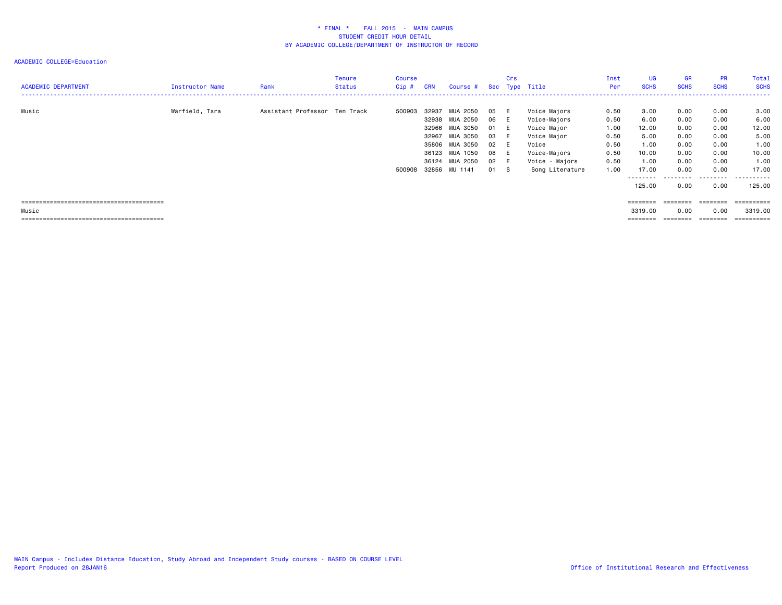| <b>ACADEMIC DEPARTMENT</b> | Instructor Name | Rank                          | Tenure<br><b>Status</b> | Course<br>Cip # | <b>CRN</b> | Course # Sec Type Title |    | Crs |                 | Inst<br><b>Per</b> | <b>UG</b><br><b>SCHS</b> | <b>GR</b><br><b>SCHS</b> | <b>PR</b><br><b>SCHS</b> | Total<br><b>SCHS</b> |
|----------------------------|-----------------|-------------------------------|-------------------------|-----------------|------------|-------------------------|----|-----|-----------------|--------------------|--------------------------|--------------------------|--------------------------|----------------------|
| Music                      | Warfield, Tara  | Assistant Professor Ten Track |                         | 500903          | 32937      | MUA 2050                | 05 | - 6 | Voice Majors    | 0.50               | 3.00                     | 0.00                     | 0.00                     | 3.00                 |
|                            |                 |                               |                         |                 | 32938      | MUA 2050                | 06 | - 6 | Voice-Majors    | 0.50               | 6.00                     | 0.00                     | 0.00                     | 6.00                 |
|                            |                 |                               |                         |                 | 32966      | MUA 3050                | 01 | - E | Voice Major     | 1.00               | 12.00                    | 0.00                     | 0.00                     | 12.00                |
|                            |                 |                               |                         |                 | 32967      | MUA 3050                | 03 | - 6 | Voice Major     | 0.50               | 5.00                     | 0.00                     | 0.00                     | 5.00                 |
|                            |                 |                               |                         |                 | 35806      | MUA 3050                | 02 |     | Voice           | 0.50               | 1.00                     | 0.00                     | 0.00                     | 1.00                 |
|                            |                 |                               |                         |                 |            | 36123 MUA 1050          | 08 | - E | Voice-Majors    | 0.50               | 10.00                    | 0.00                     | 0.00                     | 10.00                |
|                            |                 |                               |                         |                 |            | 36124 MUA 2050          | 02 | - E | Voice - Majors  | 0.50               | 1.00                     | 0.00                     | 0.00                     | 1.00                 |
|                            |                 |                               |                         | 500908          |            | 32856 MU 1141           | 01 | - S | Song Literature | 1.00               | 17.00                    | 0.00                     | 0.00                     | 17.00                |
|                            |                 |                               |                         |                 |            |                         |    |     |                 |                    | ---------<br>125.00      | .<br>0.00                | .<br>0.00                | .<br>125.00          |
|                            |                 |                               |                         |                 |            |                         |    |     |                 |                    | ========                 | ========                 | ========                 | ==========           |
| Music                      |                 |                               |                         |                 |            |                         |    |     |                 |                    | 3319.00                  | 0.00                     | 0.00                     | 3319.00              |
|                            |                 |                               |                         |                 |            |                         |    |     |                 |                    | ========                 | ========                 | ========                 | -----------          |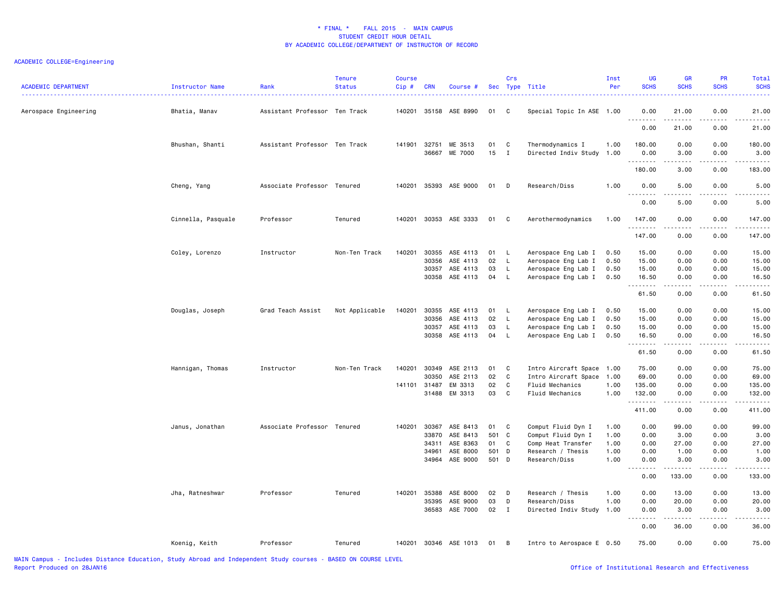# ACADEMIC COLLEGE=Engineering

| <b>ACADEMIC DEPARTMENT</b> | Instructor Name    | Rank                          | <b>Tenure</b><br><b>Status</b> | <b>Course</b><br>Cip# | <b>CRN</b> | Course #              |       | Crs            | Sec Type Title            | Inst<br>Per | UG<br><b>SCHS</b>  | <b>GR</b><br><b>SCHS</b> | <b>PR</b><br><b>SCHS</b> | Total<br><b>SCHS</b> |
|----------------------------|--------------------|-------------------------------|--------------------------------|-----------------------|------------|-----------------------|-------|----------------|---------------------------|-------------|--------------------|--------------------------|--------------------------|----------------------|
| Aerospace Engineering      | Bhatia, Manav      | Assistant Professor Ten Track |                                |                       |            | 140201 35158 ASE 8990 | 01    | C.             | Special Topic In ASE 1.00 |             | 0.00<br><u>.</u>   | 21.00<br>.               | 0.00                     | 21.00                |
|                            |                    |                               |                                |                       |            |                       |       |                |                           |             | 0.00               | 21.00                    | 0.00                     | 21.00                |
|                            | Bhushan, Shanti    | Assistant Professor Ten Track |                                | 141901 32751          |            | ME 3513               | 01    | C              | Thermodynamics I          | 1.00        | 180.00             | 0.00                     | 0.00                     | 180.00               |
|                            |                    |                               |                                |                       | 36667      | ME 7000               | 15    | $\mathbf{I}$   | Directed Indiv Study 1.00 |             | 0.00<br>.          | 3.00                     | 0.00<br>.                | 3.00<br>.            |
|                            |                    |                               |                                |                       |            |                       |       |                |                           |             | 180.00             | 3.00                     | 0.00                     | 183.00               |
|                            | Cheng, Yang        | Associate Professor Tenured   |                                | 140201                | 35393      | ASE 9000              | 01    | D              | Research/Diss             | 1.00        | 0.00<br><u>.</u>   | 5.00<br>الداعات ب        | 0.00<br>.                | 5.00<br>$- - - - -$  |
|                            |                    |                               |                                |                       |            |                       |       |                |                           |             | 0.00               | 5.00                     | 0.00                     | 5.00                 |
|                            | Cinnella, Pasquale | Professor                     | Tenured                        | 140201                | 30353      | ASE 3333              | 01    | C              | Aerothermodynamics        | 1.00        | 147.00<br>.        | 0.00<br>المالم المالي    | 0.00<br>.                | 147.00<br>.          |
|                            |                    |                               |                                |                       |            |                       |       |                |                           |             | 147.00             | 0.00                     | 0.00                     | 147.00               |
|                            | Coley, Lorenzo     | Instructor                    | Non-Ten Track                  | 140201                | 30355      | ASE 4113              | 01    | - L            | Aerospace Eng Lab I       | 0.50        | 15.00              | 0.00                     | 0.00                     | 15.00                |
|                            |                    |                               |                                |                       | 30356      | ASE 4113              | 02    | $\mathsf{L}$   | Aerospace Eng Lab I       | 0.50        | 15.00              | 0.00                     | 0.00                     | 15.00                |
|                            |                    |                               |                                |                       | 30357      | ASE 4113              | 03    | L              | Aerospace Eng Lab I       | 0.50        | 15.00              | 0.00                     | 0.00                     | 15.00                |
|                            |                    |                               |                                |                       | 30358      | ASE 4113              | 04    | L.             | Aerospace Eng Lab I       | 0.50        | 16.50<br>.         | 0.00<br>الداعات ب        | 0.00<br>.                | 16.50<br>.           |
|                            |                    |                               |                                |                       |            |                       |       |                |                           |             | 61.50              | 0.00                     | 0.00                     | 61.50                |
|                            | Douglas, Joseph    | Grad Teach Assist             | Not Applicable                 | 140201                | 30355      | ASE 4113              | 01    | L.             | Aerospace Eng Lab I       | 0.50        | 15.00              | 0.00                     | 0.00                     | 15.00                |
|                            |                    |                               |                                |                       | 30356      | ASE 4113              | 02    | L.             | Aerospace Eng Lab I       | 0.50        | 15.00              | 0.00                     | 0.00                     | 15.00                |
|                            |                    |                               |                                |                       | 30357      | ASE 4113              | 03    | L              | Aerospace Eng Lab I       | 0.50        | 15.00              | 0.00                     | 0.00                     | 15.00                |
|                            |                    |                               |                                |                       | 30358      | ASE 4113              | 04    | $\mathsf{L}$   | Aerospace Eng Lab I       | 0.50        | 16.50<br>.         | 0.00<br><b>.</b> .       | 0.00<br>.                | 16.50<br>.           |
|                            |                    |                               |                                |                       |            |                       |       |                |                           |             | 61.50              | 0.00                     | 0.00                     | 61.50                |
|                            | Hannigan, Thomas   | Instructor                    | Non-Ten Track                  | 140201                | 30349      | ASE 2113              | 01    | C              | Intro Aircraft Space 1.00 |             | 75.00              | 0.00                     | 0.00                     | 75.00                |
|                            |                    |                               |                                |                       | 30350      | ASE 2113              | 02    | C              | Intro Aircraft Space 1.00 |             | 69.00              | 0.00                     | 0.00                     | 69.00                |
|                            |                    |                               |                                | 141101 31487          |            | EM 3313               | 02    | C              | Fluid Mechanics           | 1.00        | 135.00             | 0.00                     | 0.00                     | 135.00               |
|                            |                    |                               |                                |                       | 31488      | EM 3313               | 03    | C              | Fluid Mechanics           | 1.00        | 132.00<br><u>.</u> | 0.00<br>.                | 0.00<br>.                | 132.00<br>.          |
|                            |                    |                               |                                |                       |            |                       |       |                |                           |             | 411.00             | 0.00                     | 0.00                     | 411.00               |
|                            | Janus, Jonathan    | Associate Professor Tenured   |                                | 140201                | 30367      | ASE 8413              | 01    | C              | Comput Fluid Dyn I        | 1.00        | 0.00               | 99.00                    | 0.00                     | 99.00                |
|                            |                    |                               |                                |                       | 33870      | ASE 8413              | 501 C |                | Comput Fluid Dyn I        | 1.00        | 0.00               | 3.00                     | 0.00                     | 3.00                 |
|                            |                    |                               |                                |                       | 34311      | ASE 8363              | 01    | C              | Comp Heat Transfer        | 1.00        | 0.00               | 27.00                    | 0.00                     | 27.00                |
|                            |                    |                               |                                |                       | 34961      | ASE 8000              | 501 D |                | Research / Thesis         | 1.00        | 0.00               | 1.00                     | 0.00                     | 1.00                 |
|                            |                    |                               |                                |                       | 34964      | ASE 9000              | 501 D |                | Research/Diss             | 1.00        | 0.00               | 3.00                     | 0.00                     | 3.00                 |
|                            |                    |                               |                                |                       |            |                       |       |                |                           |             | 0.00               | 133.00                   | 0.00                     | .<br>133.00          |
|                            | Jha, Ratneshwar    | Professor                     | Tenured                        | 140201                | 35388      | ASE 8000              | 02    | D              | Research / Thesis         | 1.00        | 0.00               | 13.00                    | 0.00                     | 13.00                |
|                            |                    |                               |                                |                       | 35395      | ASE 9000              | 03    | D              | Research/Diss             | 1.00        | 0.00               | 20.00                    | 0.00                     | 20.00                |
|                            |                    |                               |                                |                       | 36583      | ASE 7000              | 02    | $\mathbf I$    | Directed Indiv Study      | 1.00        | 0.00               | 3.00                     | 0.00                     | 3.00                 |
|                            |                    |                               |                                |                       |            |                       |       |                |                           |             | د د د د<br>0.00    | .<br>36.00               | الدامات<br>0.00          | د د د د د<br>36.00   |
|                            | Koenig, Keith      | Professor                     | Tenured                        | 140201                |            | 30346 ASE 1013        | 01    | $\overline{B}$ | Intro to Aerospace E 0.50 |             | 75.00              | 0.00                     | 0.00                     | 75.00                |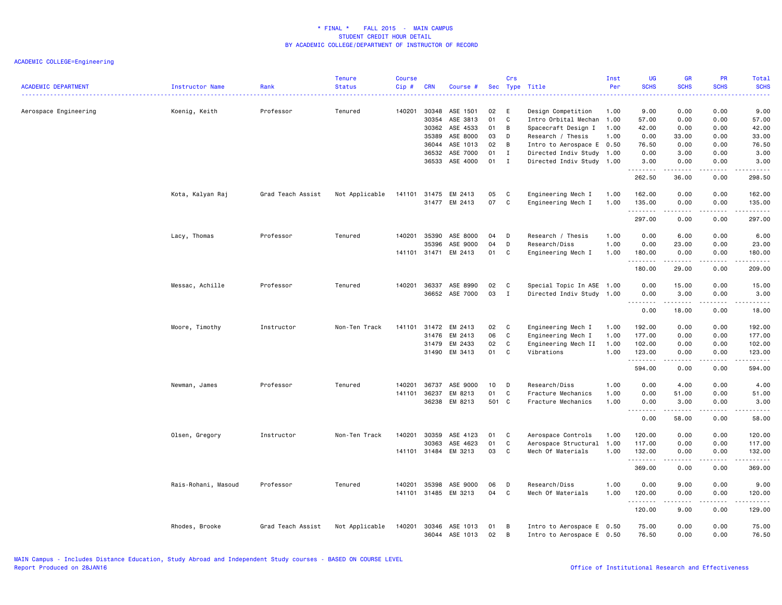# ACADEMIC COLLEGE=Engineering

| <b>ACADEMIC DEPARTMENT</b> | Instructor Name     | Rank              | <b>Tenure</b><br><b>Status</b> | <b>Course</b><br>Cip # | <b>CRN</b>     | Course #                   |          | Crs          | Sec Type Title                                         | Inst<br>Per  | UG<br><b>SCHS</b><br>222 | <b>GR</b><br><b>SCHS</b>                                                                                                                                      | <b>PR</b><br><b>SCHS</b> | Total<br><b>SCHS</b>                                                                                                                |
|----------------------------|---------------------|-------------------|--------------------------------|------------------------|----------------|----------------------------|----------|--------------|--------------------------------------------------------|--------------|--------------------------|---------------------------------------------------------------------------------------------------------------------------------------------------------------|--------------------------|-------------------------------------------------------------------------------------------------------------------------------------|
| Aerospace Engineering      | Koenig, Keith       | Professor         | Tenured                        | 140201                 | 30348          | ASE 1501                   | 02       | Е<br>C       | Design Competition                                     | 1.00         | 9.00                     | 0.00                                                                                                                                                          | 0.00                     | 9.00                                                                                                                                |
|                            |                     |                   |                                |                        | 30354<br>30362 | ASE 3813<br>ASE 4533       | 01<br>01 | B            | Intro Orbital Mechan<br>Spacecraft Design I            | 1.00<br>1.00 | 57.00<br>42.00           | 0.00<br>0.00                                                                                                                                                  | 0.00<br>0.00             | 57.00<br>42.00                                                                                                                      |
|                            |                     |                   |                                |                        | 35389          | ASE 8000                   | 03       | D            | Research / Thesis                                      | 1.00         | 0.00                     | 33.00                                                                                                                                                         | 0.00                     | 33.00                                                                                                                               |
|                            |                     |                   |                                |                        | 36044          | ASE 1013                   | 02       | B            | Intro to Aerospace E 0.50                              |              | 76.50                    | 0.00                                                                                                                                                          | 0.00                     | 76.50                                                                                                                               |
|                            |                     |                   |                                |                        | 36532          | ASE 7000                   | 01       | $\mathbf{I}$ | Directed Indiv Study 1.00                              |              | 0.00                     | 3.00                                                                                                                                                          | 0.00                     | 3.00                                                                                                                                |
|                            |                     |                   |                                |                        | 36533          | ASE 4000                   | 01       | $\mathbf{I}$ | Directed Indiv Study 1.00                              |              | 3.00<br>.                | 0.00<br>.                                                                                                                                                     | 0.00<br>$- - - -$        | 3.00<br>$\frac{1}{2}$                                                                                                               |
|                            |                     |                   |                                |                        |                |                            |          |              |                                                        |              | 262.50                   | 36.00                                                                                                                                                         | 0.00                     | 298.50                                                                                                                              |
|                            | Kota, Kalyan Raj    | Grad Teach Assist | Not Applicable                 | 141101                 | 31475          | EM 2413                    | 05       | C            | Engineering Mech I                                     | 1.00         | 162.00                   | 0.00                                                                                                                                                          | 0.00                     | 162.00                                                                                                                              |
|                            |                     |                   |                                |                        | 31477          | EM 2413                    | 07       | C            | Engineering Mech I                                     | 1.00         | 135.00<br>.              | 0.00<br>- - - - -                                                                                                                                             | 0.00<br>.                | 135.00                                                                                                                              |
|                            |                     |                   |                                |                        |                |                            |          |              |                                                        |              | 297.00                   | 0.00                                                                                                                                                          | 0.00                     | 297.00                                                                                                                              |
|                            | Lacy, Thomas        | Professor         | Tenured                        | 140201                 | 35390          | ASE 8000                   | 04       | D            | Research / Thesis                                      | 1.00         | 0.00                     | 6.00                                                                                                                                                          | 0.00                     | 6.00                                                                                                                                |
|                            |                     |                   |                                |                        | 35396          | ASE 9000                   | 04       | D            | Research/Diss                                          | 1.00         | 0.00                     | 23.00                                                                                                                                                         | 0.00                     | 23.00                                                                                                                               |
|                            |                     |                   |                                | 141101                 | 31471          | EM 2413                    | 01       | C            | Engineering Mech I                                     | 1.00         | 180.00                   | 0.00                                                                                                                                                          | 0.00                     | 180.00                                                                                                                              |
|                            |                     |                   |                                |                        |                |                            |          |              |                                                        |              | .<br>180.00              | ------<br>29.00                                                                                                                                               | .<br>0.00                | .<br>209.00                                                                                                                         |
|                            | Messac, Achille     | Professor         | Tenured                        | 140201                 | 36337          | ASE 8990                   | 02       | C            | Special Topic In ASE 1.00                              |              | 0.00                     | 15.00                                                                                                                                                         | 0.00                     | 15.00                                                                                                                               |
|                            |                     |                   |                                |                        | 36652          | ASE 7000                   | 03       | $\mathbf{I}$ | Directed Indiv Study 1.00                              |              | 0.00                     | 3.00                                                                                                                                                          | 0.00                     | 3.00                                                                                                                                |
|                            |                     |                   |                                |                        |                |                            |          |              |                                                        |              | .<br>0.00                | $\frac{1}{2} \left( \frac{1}{2} \right) \left( \frac{1}{2} \right) \left( \frac{1}{2} \right) \left( \frac{1}{2} \right) \left( \frac{1}{2} \right)$<br>18.00 | د د د د<br>0.00          | $\sim$ $\sim$ $\sim$ $\sim$ $\sim$<br>18.00                                                                                         |
|                            | Moore, Timothy      | Instructor        | Non-Ten Track                  | 141101                 | 31472          | EM 2413                    | 02       | C            | Engineering Mech I                                     | 1.00         | 192.00                   | 0.00                                                                                                                                                          | 0.00                     | 192.00                                                                                                                              |
|                            |                     |                   |                                |                        | 31476          | EM 2413                    | 06       | C            | Engineering Mech I                                     | 1.00         | 177.00                   | 0.00                                                                                                                                                          | 0.00                     | 177.00                                                                                                                              |
|                            |                     |                   |                                |                        | 31479          | EM 2433                    | 02       | С            | Engineering Mech II                                    | 1.00         | 102.00                   | 0.00                                                                                                                                                          | 0.00                     | 102.00                                                                                                                              |
|                            |                     |                   |                                |                        | 31490          | EM 3413                    | 01       | C            | Vibrations                                             | 1.00         | 123.00                   | 0.00                                                                                                                                                          | 0.00                     | 123.00                                                                                                                              |
|                            |                     |                   |                                |                        |                |                            |          |              |                                                        |              | .<br>594.00              | -----<br>0.00                                                                                                                                                 | .<br>0.00                | ------<br>594.00                                                                                                                    |
|                            | Newman, James       | Professor         | Tenured                        | 140201                 | 36737          | ASE 9000                   | 10       | D            | Research/Diss                                          | 1.00         | 0.00                     | 4.00                                                                                                                                                          | 0.00                     | 4.00                                                                                                                                |
|                            |                     |                   |                                | 141101                 | 36237          | EM 8213                    | 01       | C            | Fracture Mechanics                                     | 1.00         | 0.00                     | 51.00                                                                                                                                                         | 0.00                     | 51.00                                                                                                                               |
|                            |                     |                   |                                |                        | 36238          | EM 8213                    | 501 C    |              | Fracture Mechanics                                     | 1.00         | 0.00                     | 3.00                                                                                                                                                          | 0.00                     | 3.00                                                                                                                                |
|                            |                     |                   |                                |                        |                |                            |          |              |                                                        |              | .<br>0.00                | 58.00                                                                                                                                                         | 0.00                     | -----<br>58.00                                                                                                                      |
|                            | Olsen, Gregory      | Instructor        | Non-Ten Track                  | 140201                 | 30359          | ASE 4123                   | 01       | C            | Aerospace Controls                                     | 1.00         | 120.00                   | 0.00                                                                                                                                                          | 0.00                     | 120.00                                                                                                                              |
|                            |                     |                   |                                |                        | 30363          | ASE 4623                   | 01       | C            | Aerospace Structural                                   | 1.00         | 117.00                   | 0.00                                                                                                                                                          | 0.00                     | 117.00                                                                                                                              |
|                            |                     |                   |                                | 141101                 | 31484          | EM 3213                    | 03       | C            | Mech Of Materials                                      | 1.00         | 132.00                   | 0.00                                                                                                                                                          | 0.00                     | 132.00                                                                                                                              |
|                            |                     |                   |                                |                        |                |                            |          |              |                                                        |              | .<br>369.00              | 0.00                                                                                                                                                          | 0.00                     | .<br>369.00                                                                                                                         |
|                            | Rais-Rohani, Masoud | Professor         | Tenured                        | 140201                 | 35398          | ASE 9000                   | 06       | D            | Research/Diss                                          | 1.00         | 0.00                     | 9.00                                                                                                                                                          | 0.00                     | 9.00                                                                                                                                |
|                            |                     |                   |                                | 141101                 | 31485          | EM 3213                    | 04       | C            | Mech Of Materials                                      | 1.00         | 120.00                   | 0.00                                                                                                                                                          | 0.00                     | 120.00                                                                                                                              |
|                            |                     |                   |                                |                        |                |                            |          |              |                                                        |              | .<br>120.00              | .<br>9.00                                                                                                                                                     | .<br>0.00                | $\begin{array}{cccccccccccccc} \bullet & \bullet & \bullet & \bullet & \bullet & \bullet & \bullet & \bullet \end{array}$<br>129.00 |
|                            | Rhodes, Brooke      | Grad Teach Assist | Not Applicable                 | 140201                 | 30346          | ASE 1013<br>36044 ASE 1013 | 01<br>02 | B<br>B       | Intro to Aerospace E 0.50<br>Intro to Aerospace E 0.50 |              | 75.00<br>76.50           | 0.00<br>0.00                                                                                                                                                  | 0.00<br>0.00             | 75.00<br>76.50                                                                                                                      |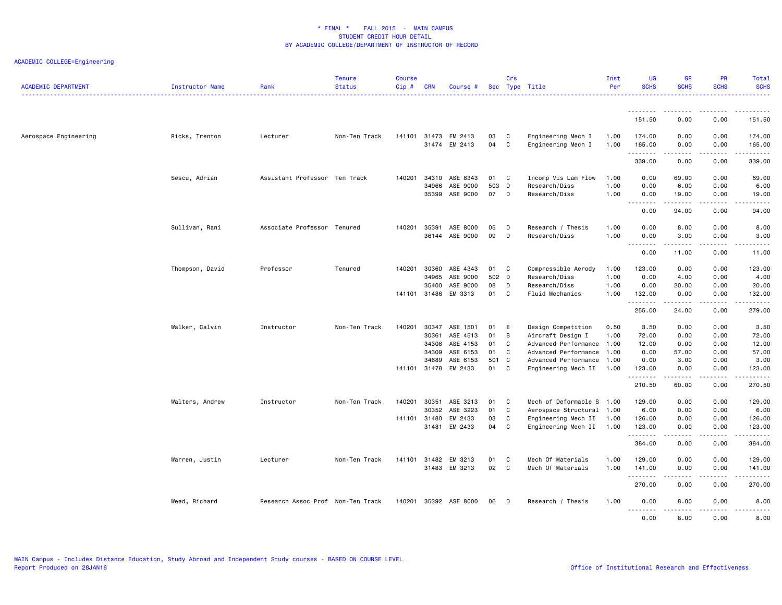# ACADEMIC COLLEGE=Engineering

| <b>ACADEMIC DEPARTMENT</b> | Instructor Name<br>Rank |                                   | <b>Tenure</b><br><b>Status</b> | <b>Course</b><br>Cip#  | <b>CRN</b>     | Course #                        |                | Crs         | Sec Type Title                                                                | Inst<br>Per  | <b>UG</b><br><b>SCHS</b>     | <b>GR</b><br><b>SCHS</b>                                                                                                                                             | <b>PR</b><br><b>SCHS</b> | Total<br><b>SCHS</b>                                 |
|----------------------------|-------------------------|-----------------------------------|--------------------------------|------------------------|----------------|---------------------------------|----------------|-------------|-------------------------------------------------------------------------------|--------------|------------------------------|----------------------------------------------------------------------------------------------------------------------------------------------------------------------|--------------------------|------------------------------------------------------|
|                            |                         |                                   |                                |                        |                |                                 |                |             |                                                                               |              | .<br>151.50                  | .<br>0.00                                                                                                                                                            | $- - - -$<br>0.00        | .<br>151.50                                          |
| Aerospace Engineering      | Ricks, Trenton          | Lecturer                          | Non-Ten Track                  | 141101                 | 31473          | EM 2413                         | 03             | C           | Engineering Mech I                                                            | 1.00         | 174.00                       | 0.00                                                                                                                                                                 | 0.00                     | 174.00                                               |
|                            |                         |                                   |                                |                        | 31474          | EM 2413                         | 04             | C           | Engineering Mech I                                                            | 1.00         | 165.00<br>.<br>339.00        | 0.00<br>$\frac{1}{2} \left( \frac{1}{2} \right) \left( \frac{1}{2} \right) \left( \frac{1}{2} \right) \left( \frac{1}{2} \right) \left( \frac{1}{2} \right)$<br>0.00 | 0.00<br>.<br>0.00        | 165.00<br>المتمامين<br>339.00                        |
|                            | Sescu, Adrian           | Assistant Professor Ten Track     |                                | 140201                 | 34310          | ASE 8343                        | 01             | C           | Incomp Vis Lam Flow                                                           | 1.00         | 0.00                         | 69.00                                                                                                                                                                | 0.00                     | 69.00                                                |
|                            |                         |                                   |                                |                        | 34966<br>35399 | ASE 9000<br>ASE 9000            | 503<br>07      | D<br>D      | Research/Diss<br>Research/Diss                                                | 1.00<br>1.00 | 0.00<br>0.00                 | 6.00<br>19.00                                                                                                                                                        | 0.00<br>0.00             | 6.00<br>19.00<br>$- - - -$                           |
|                            |                         |                                   |                                |                        |                |                                 |                |             |                                                                               |              | $\sim$ $\sim$ .<br>.<br>0.00 | . <b>.</b> .<br>94.00                                                                                                                                                | .<br>0.00                | 94.00                                                |
|                            | Sullivan, Rani          | Associate Professor Tenured       |                                | 140201                 | 35391<br>36144 | ASE 8000<br>ASE 9000            | 05<br>09       | D<br>D      | Research / Thesis<br>Research/Diss                                            | 1.00<br>1.00 | 0.00<br>0.00                 | 8.00<br>3.00                                                                                                                                                         | 0.00<br>0.00             | 8.00<br>3.00                                         |
|                            |                         |                                   |                                |                        |                |                                 |                |             |                                                                               |              | - -<br>----<br>0.00          | 11.00                                                                                                                                                                | $- - -$<br>0.00          | .<br>11.00                                           |
|                            | Thompson, David         | Professor                         | Tenured                        | 140201                 | 30360<br>34965 | ASE 4343<br>ASE 9000            | 01<br>502 D    | C           | Compressible Aerody<br>Research/Diss                                          | 1.00<br>1.00 | 123.00<br>0.00               | 0.00<br>4.00                                                                                                                                                         | 0.00<br>0.00             | 123.00<br>4.00                                       |
|                            |                         |                                   |                                | 141101                 | 35400<br>31486 | ASE 9000<br>EM 3313             | 08<br>01       | D<br>C      | Research/Diss<br>Fluid Mechanics                                              | 1.00<br>1.00 | 0.00<br>132.00               | 20.00<br>0.00                                                                                                                                                        | 0.00<br>0.00             | 20.00<br>132.00                                      |
|                            |                         |                                   |                                |                        |                |                                 |                |             |                                                                               |              | .<br>255.00                  | . <u>.</u><br>24.00                                                                                                                                                  | .<br>0.00                | <u>.</u><br>279.00                                   |
|                            | Walker, Calvin          | Instructor                        | Non-Ten Track                  | 140201                 | 30347<br>30361 | ASE 1501<br>ASE 4513            | 01<br>01       | E<br>B      | Design Competition<br>Aircraft Design I                                       | 0.50<br>1.00 | 3.50<br>72.00                | 0.00<br>0.00                                                                                                                                                         | 0.00<br>0.00             | 3.50<br>72.00                                        |
|                            |                         |                                   |                                |                        | 34308<br>34309 | ASE 4153<br>ASE 6153            | 01<br>01       | C<br>C.     | Advanced Performance 1.00<br>Advanced Performance 1.00                        |              | 12.00<br>0.00                | 0.00<br>57.00                                                                                                                                                        | 0.00<br>0.00             | 12.00<br>57.00                                       |
|                            |                         |                                   |                                | 141101 31478           | 34689          | ASE 6153<br>EM 2433             | 501<br>01      | C<br>C      | Advanced Performance 1.00<br>Engineering Mech II                              | 1.00         | 0.00<br>123.00<br>.          | 3.00<br>0.00                                                                                                                                                         | 0.00<br>0.00             | 3.00<br>123.00<br>$\sim$ $\sim$ $\sim$ $\sim$ $\sim$ |
|                            |                         |                                   |                                |                        |                |                                 |                |             |                                                                               |              | 210.50                       | 60.00                                                                                                                                                                | 0.00                     | 270.50                                               |
|                            | Walters, Andrew         | Instructor                        | Non-Ten Track                  | 140201<br>141101 31480 | 30351<br>30352 | ASE 3213<br>ASE 3223<br>EM 2433 | 01<br>01<br>03 | C<br>C<br>C | Mech of Deformable S 1.00<br>Aerospace Structural 1.00<br>Engineering Mech II | 1.00         | 129.00<br>6.00<br>126.00     | 0.00<br>0.00<br>0.00                                                                                                                                                 | 0.00<br>0.00<br>0.00     | 129.00<br>6.00<br>126.00                             |
|                            |                         |                                   |                                |                        | 31481          | EM 2433                         | 04             | C           | Engineering Mech II 1.00                                                      |              | 123.00<br>.                  | 0.00<br>$- - - - -$                                                                                                                                                  | 0.00<br>.                | 123.00<br>.                                          |
|                            |                         |                                   |                                |                        |                |                                 |                |             |                                                                               |              | 384.00                       | 0.00                                                                                                                                                                 | 0.00                     | 384.00                                               |
|                            | Warren, Justin          | Lecturer                          | Non-Ten Track                  | 141101                 | 31482<br>31483 | EM 3213<br>EM 3213              | 01<br>02       | C<br>C      | Mech Of Materials<br>Mech Of Materials                                        | 1.00<br>1.00 | 129.00<br>141.00<br>.        | 0.00<br>0.00                                                                                                                                                         | 0.00<br>0.00             | 129.00<br>141.00<br>.                                |
|                            |                         |                                   |                                |                        |                |                                 |                |             |                                                                               |              | 270.00                       | 0.00                                                                                                                                                                 | 0.00                     | 270.00                                               |
|                            | Weed, Richard           | Research Assoc Prof Non-Ten Track |                                | 140201                 |                | 35392 ASE 8000                  | 06             | D           | Research / Thesis                                                             | 1.00         | 0.00<br>.<br>0.00            | 8.00<br>. <b>.</b><br>8.00                                                                                                                                           | 0.00<br>.<br>0.00        | 8.00<br>$\frac{1}{2}$<br>8.00                        |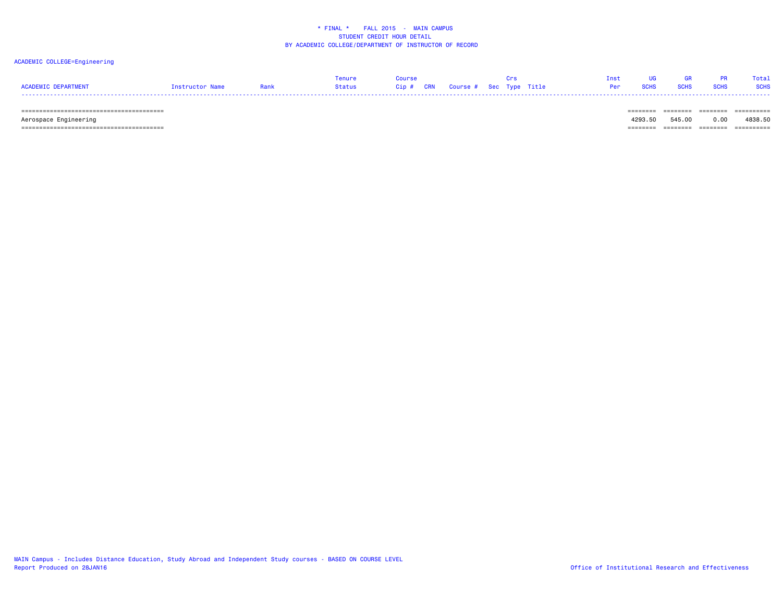#### ACADEMIC COLLEGE=Engineering

|                     |                 |        |                                   | Tnst |               |             | Total       |
|---------------------|-----------------|--------|-----------------------------------|------|---------------|-------------|-------------|
| ACADEMIC DEPARTMENT | Instructor Name | Status | Cip # CRN Course # Sec Type Title |      | Per SCHS SCHS | <b>SCHS</b> | <b>SCHS</b> |
| -----               |                 |        |                                   |      |               |             |             |

======================================== ======== ======== ======== ==========

 Aerospace Engineering 4293.50 545.00 0.00 4838.50 ======================================== ======== ======== ======== ==========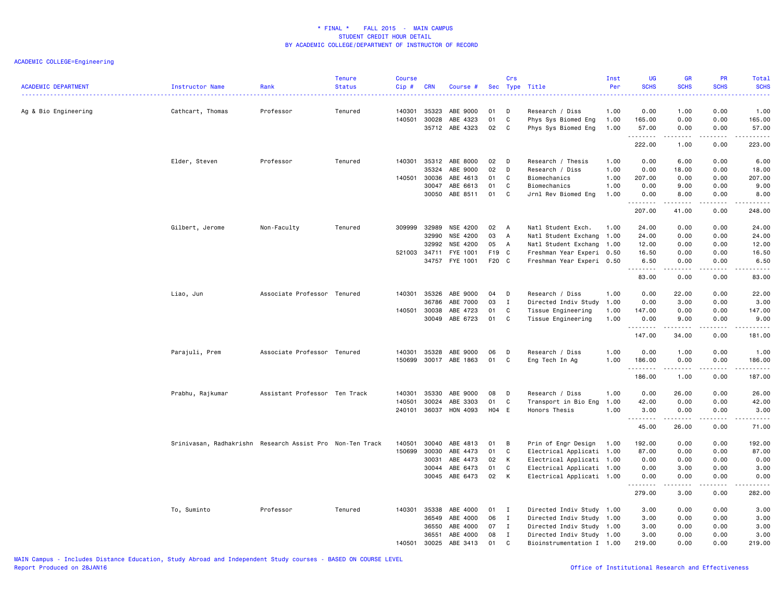| <b>ACADEMIC DEPARTMENT</b> | Instructor Name                                           | Rank<br><u>.</u>              | <b>Tenure</b><br><b>Status</b> | <b>Course</b><br>Cip# | <b>CRN</b>              | Course #                         |                | Crs                 | Sec Type Title                                                | Inst<br>Per          | <b>UG</b><br><b>SCHS</b><br>$- - - -$ | <b>GR</b><br><b>SCHS</b>                                                                                                                                     | <b>PR</b><br><b>SCHS</b><br>. <b>.</b> | Total<br><b>SCHS</b><br>$\frac{1}{2} \left( \frac{1}{2} \right) \left( \frac{1}{2} \right) \left( \frac{1}{2} \right) \left( \frac{1}{2} \right)$            |
|----------------------------|-----------------------------------------------------------|-------------------------------|--------------------------------|-----------------------|-------------------------|----------------------------------|----------------|---------------------|---------------------------------------------------------------|----------------------|---------------------------------------|--------------------------------------------------------------------------------------------------------------------------------------------------------------|----------------------------------------|--------------------------------------------------------------------------------------------------------------------------------------------------------------|
| Ag & Bio Engineering       | Cathcart, Thomas                                          | Professor                     | Tenured                        | 140301<br>140501      | 35323<br>30028<br>35712 | ABE 9000<br>ABE 4323<br>ABE 4323 | 01<br>01<br>02 | D<br>C<br>C         | Research / Diss<br>Phys Sys Biomed Eng<br>Phys Sys Biomed Eng | 1.00<br>1.00<br>1.00 | 0.00<br>165.00<br>57.00               | 1.00<br>0.00<br>0.00                                                                                                                                         | 0.00<br>0.00<br>0.00                   | 1.00<br>165.00<br>57.00                                                                                                                                      |
|                            |                                                           |                               |                                |                       |                         |                                  |                |                     |                                                               |                      | .<br>222.00                           | 1.00                                                                                                                                                         | .<br>0.00                              | د د د د د<br>223.00                                                                                                                                          |
|                            | Elder, Steven                                             | Professor                     | Tenured                        | 140301                | 35312<br>35324          | ABE 8000<br>ABE 9000             | 02<br>02       | D<br>D              | Research / Thesis<br>Research / Diss                          | 1.00<br>1.00         | 0.00<br>0.00                          | 6.00<br>18.00                                                                                                                                                | 0.00<br>0.00                           | 6.00<br>18.00                                                                                                                                                |
|                            |                                                           |                               |                                | 140501                | 30036<br>30047<br>30050 | ABE 4613<br>ABE 6613<br>ABE 8511 | 01<br>01<br>01 | C<br>C<br>C         | Biomechanics<br>Biomechanics<br>Jrnl Rev Biomed Eng           | 1.00<br>1.00<br>1.00 | 207.00<br>0.00<br>0.00                | 0.00<br>9.00<br>8.00                                                                                                                                         | 0.00<br>0.00<br>0.00                   | 207.00<br>9.00<br>8.00                                                                                                                                       |
|                            |                                                           |                               |                                |                       |                         |                                  |                |                     |                                                               |                      | .<br>207.00                           | -----<br>41.00                                                                                                                                               | $\sim$ $\sim$ $\sim$ $\sim$<br>0.00    | د د د د د<br>248.00                                                                                                                                          |
|                            | Gilbert, Jerome                                           | Non-Faculty                   | Tenured                        | 309999                | 32989                   | NSE 4200                         | 02             | A                   | Natl Student Exch.                                            | 1.00                 | 24.00                                 | 0.00                                                                                                                                                         | 0.00                                   | 24.00                                                                                                                                                        |
|                            |                                                           |                               |                                |                       | 32990<br>32992          | NSE 4200<br>NSE 4200             | 03<br>05       | $\overline{A}$<br>A | Natl Student Exchang 1.00<br>Natl Student Exchang 1.00        |                      | 24.00<br>12.00                        | 0.00<br>0.00                                                                                                                                                 | 0.00<br>0.00                           | 24.00<br>12.00                                                                                                                                               |
|                            |                                                           |                               |                                | 521003                | 34711                   | FYE 1001                         | F19 C          |                     | Freshman Year Experi 0.50                                     |                      | 16.50                                 | 0.00                                                                                                                                                         | 0.00                                   | 16.50                                                                                                                                                        |
|                            |                                                           |                               |                                |                       | 34757                   | FYE 1001                         | F20 C          |                     | Freshman Year Experi 0.50                                     |                      | 6.50<br>.                             | 0.00<br>$\frac{1}{2} \left( \frac{1}{2} \right) \left( \frac{1}{2} \right) \left( \frac{1}{2} \right) \left( \frac{1}{2} \right) \left( \frac{1}{2} \right)$ | 0.00<br>.                              | 6.50<br>$\frac{1}{2} \left( \frac{1}{2} \right) \left( \frac{1}{2} \right) \left( \frac{1}{2} \right) \left( \frac{1}{2} \right) \left( \frac{1}{2} \right)$ |
|                            |                                                           |                               |                                |                       |                         |                                  |                |                     |                                                               |                      | 83.00                                 | 0.00                                                                                                                                                         | 0.00                                   | 83.00                                                                                                                                                        |
|                            | Liao, Jun                                                 | Associate Professor Tenured   |                                | 140301                | 35326                   | ABE 9000                         | 04             | D                   | Research / Diss                                               | 1.00                 | 0.00                                  | 22.00                                                                                                                                                        | 0.00                                   | 22.00                                                                                                                                                        |
|                            |                                                           |                               |                                |                       | 36786                   | ABE 7000                         | 03             | I                   | Directed Indiv Study                                          | 1.00                 | 0.00                                  | 3.00                                                                                                                                                         | 0.00                                   | 3.00                                                                                                                                                         |
|                            |                                                           |                               |                                | 140501                | 30038                   | ABE 4723                         | 01             | C                   | Tissue Engineering                                            | 1.00                 | 147.00                                | 0.00                                                                                                                                                         | 0.00                                   | 147.00                                                                                                                                                       |
|                            |                                                           |                               |                                |                       | 30049                   | ABE 6723                         | 01             | C                   | Tissue Engineering                                            | 1.00                 | 0.00<br>.                             | 9.00                                                                                                                                                         | 0.00<br>.                              | 9.00<br>.                                                                                                                                                    |
|                            |                                                           |                               |                                |                       |                         |                                  |                |                     |                                                               |                      | 147.00                                | 34.00                                                                                                                                                        | 0.00                                   | 181.00                                                                                                                                                       |
|                            | Parajuli, Prem                                            | Associate Professor Tenured   |                                | 140301                | 35328                   | ABE 9000                         | 06             | D                   | Research / Diss                                               | 1.00                 | 0.00                                  | 1.00                                                                                                                                                         | 0.00                                   | 1.00                                                                                                                                                         |
|                            |                                                           |                               |                                | 150699                |                         | 30017 ABE 1863                   | 01             | C                   | Eng Tech In Ag                                                | 1.00                 | 186.00                                | 0.00                                                                                                                                                         | 0.00<br>.                              | 186.00<br>.                                                                                                                                                  |
|                            |                                                           |                               |                                |                       |                         |                                  |                |                     |                                                               |                      | .<br>186.00                           | $\frac{1}{2} \left( \frac{1}{2} \right) \left( \frac{1}{2} \right) \left( \frac{1}{2} \right) \left( \frac{1}{2} \right) \left( \frac{1}{2} \right)$<br>1.00 | 0.00                                   | 187.00                                                                                                                                                       |
|                            | Prabhu, Rajkumar                                          | Assistant Professor Ten Track |                                | 140301                | 35330                   | ABE 9000                         | 08             | D                   | Research / Diss                                               | 1.00                 | 0.00                                  | 26.00                                                                                                                                                        | 0.00                                   | 26.00                                                                                                                                                        |
|                            |                                                           |                               |                                | 140501                | 30024                   | ABE 3303                         | 01             | C                   | Transport in Bio Eng                                          | 1.00                 | 42.00                                 | 0.00                                                                                                                                                         | 0.00                                   | 42.00                                                                                                                                                        |
|                            |                                                           |                               |                                | 240101                | 36037                   | HON 4093                         | H04 E          |                     | Honors Thesis                                                 | 1.00                 | 3.00<br>.                             | 0.00<br>-----                                                                                                                                                | 0.00<br>$\sim$ $\sim$ $\sim$ $\sim$    | 3.00<br>$\frac{1}{2} \left( \frac{1}{2} \right) \left( \frac{1}{2} \right) \left( \frac{1}{2} \right) \left( \frac{1}{2} \right) \left( \frac{1}{2} \right)$ |
|                            |                                                           |                               |                                |                       |                         |                                  |                |                     |                                                               |                      | 45.00                                 | 26.00                                                                                                                                                        | 0.00                                   | 71.00                                                                                                                                                        |
|                            | Srinivasan, Radhakrishn Research Assist Pro Non-Ten Track |                               |                                | 140501                | 30040                   | ABE 4813                         | 01             | B                   | Prin of Engr Design                                           | 1.00                 | 192.00                                | 0.00                                                                                                                                                         | 0.00                                   | 192.00                                                                                                                                                       |
|                            |                                                           |                               |                                | 150699                | 30030                   | ABE 4473                         | 01             | C                   | Electrical Applicati 1.00                                     |                      | 87.00                                 | 0.00                                                                                                                                                         | 0.00                                   | 87.00                                                                                                                                                        |
|                            |                                                           |                               |                                |                       | 30031                   | ABE 4473                         | 02             | К                   | Electrical Applicati 1.00                                     |                      | 0.00                                  | 0.00                                                                                                                                                         | 0.00                                   | 0.00                                                                                                                                                         |
|                            |                                                           |                               |                                |                       | 30044<br>30045          | ABE 6473<br>ABE 6473             | 01<br>02       | C<br>К              | Electrical Applicati 1.00<br>Electrical Applicati 1.00        |                      | 0.00<br>0.00                          | 3.00<br>0.00                                                                                                                                                 | 0.00<br>0.00                           | 3.00<br>0.00                                                                                                                                                 |
|                            |                                                           |                               |                                |                       |                         |                                  |                |                     |                                                               |                      | .<br>279.00                           | .<br>3.00                                                                                                                                                    | $\sim$ $\sim$ $\sim$ $\sim$<br>0.00    | $\sim$ $\sim$ $\sim$ $\sim$ $\sim$<br>282.00                                                                                                                 |
|                            |                                                           |                               |                                |                       |                         |                                  |                |                     |                                                               |                      |                                       |                                                                                                                                                              |                                        |                                                                                                                                                              |
|                            | To, Suminto                                               | Professor                     | Tenured                        | 140301                | 35338                   | ABE 4000                         | 01             | $\mathbf I$         | Directed Indiv Study 1.00                                     |                      | 3.00                                  | 0.00                                                                                                                                                         | 0.00                                   | 3.00                                                                                                                                                         |
|                            |                                                           |                               |                                |                       | 36549<br>36550          | ABE 4000<br>ABE 4000             | 06<br>07       | I<br>$\mathbf{I}$   | Directed Indiv Study 1.00<br>Directed Indiv Study 1.00        |                      | 3.00<br>3.00                          | 0.00<br>0.00                                                                                                                                                 | 0.00<br>0.00                           | 3.00<br>3.00                                                                                                                                                 |
|                            |                                                           |                               |                                |                       | 36551                   | ABE 4000                         | 08             | I                   | Directed Indiv Study 1.00                                     |                      | 3.00                                  | 0.00                                                                                                                                                         | 0.00                                   | 3.00                                                                                                                                                         |
|                            |                                                           |                               |                                | 140501                | 30025                   | ABE 3413                         | 01             | C                   | Bioinstrumentation I 1.00                                     |                      | 219.00                                | 0.00                                                                                                                                                         | 0.00                                   | 219.00                                                                                                                                                       |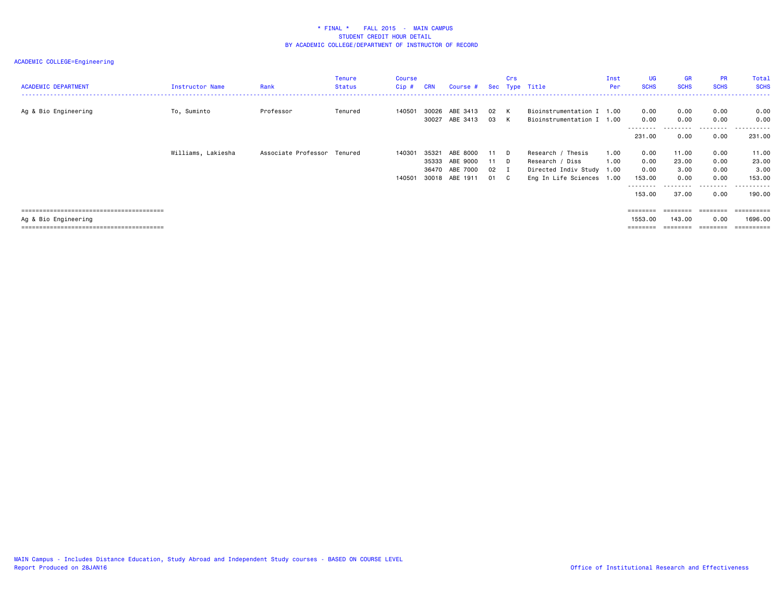| <b>ACADEMIC DEPARTMENT</b> | Instructor Name    | Rank                        | <b>Tenure</b><br><b>Status</b> | Course<br>$Cip$ # | <b>CRN</b>     | Course #             |            | Crs          | Sec Type Title                                         | Inst<br>Per  | UG<br><b>SCHS</b>         | GR<br><b>SCHS</b> | <b>PR</b><br><b>SCHS</b>  | Total<br><b>SCHS</b>    |
|----------------------------|--------------------|-----------------------------|--------------------------------|-------------------|----------------|----------------------|------------|--------------|--------------------------------------------------------|--------------|---------------------------|-------------------|---------------------------|-------------------------|
| Ag & Bio Engineering       | To, Suminto        | Professor                   | Tenured                        | 140501            | 30026<br>30027 | ABE 3413<br>ABE 3413 | 02<br>03   | K<br>K       | Bioinstrumentation I 1.00<br>Bioinstrumentation I 1.00 |              | 0.00<br>0.00<br>--------- | 0.00<br>0.00      | 0.00<br>0.00<br>--------- | 0.00<br>0.00<br>------- |
|                            |                    |                             |                                |                   |                |                      |            |              |                                                        |              | 231.00                    | 0.00              | 0.00                      | 231.00                  |
|                            | Williams, Lakiesha | Associate Professor Tenured |                                | 140301            | 35321<br>35333 | ABE 8000<br>ABE 9000 | 11<br>11 D | D            | Research / Thesis<br>Research / Diss                   | 1.00<br>1.00 | 0.00<br>0.00              | 11.00<br>23.00    | 0.00<br>0.00              | 11.00<br>23.00          |
|                            |                    |                             |                                |                   | 36470          | ABE 7000             | 02         | $\mathbf{I}$ | Directed Indiv Study 1.00                              |              | 0.00                      | 3.00              | 0.00                      | 3.00                    |
|                            |                    |                             |                                | 140501            |                | 30018 ABE 1911       | 01         | $\mathbf{C}$ | Eng In Life Sciences 1.00                              |              | 153.00<br>--------        | 0.00              | 0.00<br>--------          | 153.00<br>-------       |
|                            |                    |                             |                                |                   |                |                      |            |              |                                                        |              | 153.00                    | 37.00             | 0.00                      | 190.00                  |
|                            |                    |                             |                                |                   |                |                      |            |              |                                                        |              | ========                  | ========          | ---------                 | ==========              |
| Ag & Bio Engineering       |                    |                             |                                |                   |                |                      |            |              |                                                        |              | 1553.00                   | 143.00            | 0.00                      | 1696.00                 |
|                            |                    |                             |                                |                   |                |                      |            |              |                                                        |              | ========                  | ========          | ========                  | ==========              |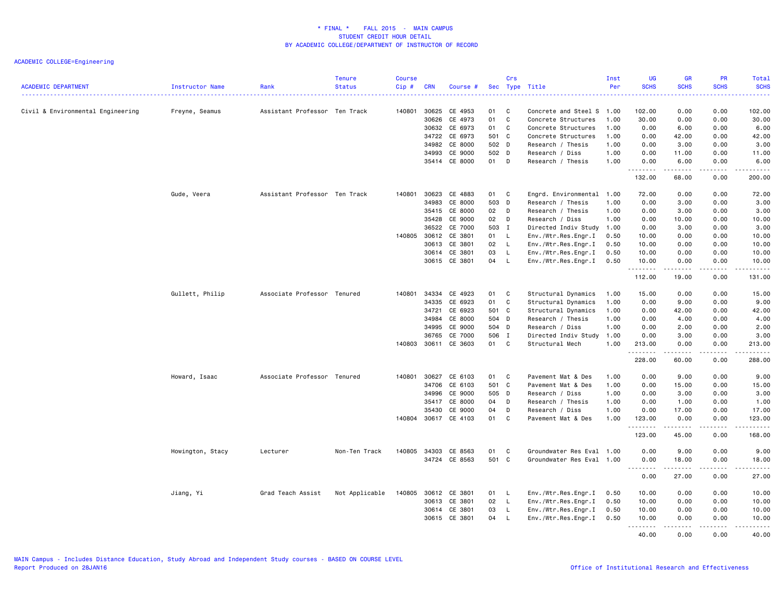| <b>ACADEMIC DEPARTMENT</b>        | Instructor Name  | Rank                          | <b>Tenure</b><br><b>Status</b> | <b>Course</b><br>Cip# | <b>CRN</b>   | Course #                 |       | Crs          | Sec Type Title                             | Inst<br>Per  | UG<br><b>SCHS</b>                                                                                                                                                                                                                                                                                                                                                                                                                                                                              | <b>GR</b><br><b>SCHS</b>                                                                                                                                     | <b>PR</b><br><b>SCHS</b> | Total<br><b>SCHS</b><br>. |
|-----------------------------------|------------------|-------------------------------|--------------------------------|-----------------------|--------------|--------------------------|-------|--------------|--------------------------------------------|--------------|------------------------------------------------------------------------------------------------------------------------------------------------------------------------------------------------------------------------------------------------------------------------------------------------------------------------------------------------------------------------------------------------------------------------------------------------------------------------------------------------|--------------------------------------------------------------------------------------------------------------------------------------------------------------|--------------------------|---------------------------|
| Civil & Environmental Engineering | Freyne, Seamus   | Assistant Professor Ten Track |                                | 140801                | 30625        | CE 4953                  | 01    | C            | Concrete and Steel S 1.00                  |              | 102.00                                                                                                                                                                                                                                                                                                                                                                                                                                                                                         | 0.00                                                                                                                                                         | 0.00                     | 102.00                    |
|                                   |                  |                               |                                |                       | 30626        | CE 4973                  | 01    | C            | Concrete Structures                        | 1.00         | 30.00                                                                                                                                                                                                                                                                                                                                                                                                                                                                                          | 0.00                                                                                                                                                         | 0.00                     | 30.00                     |
|                                   |                  |                               |                                |                       |              | 30632 CE 6973            | 01    | C            | Concrete Structures                        | 1.00         | 0.00                                                                                                                                                                                                                                                                                                                                                                                                                                                                                           | 6.00                                                                                                                                                         | 0.00                     | 6.00                      |
|                                   |                  |                               |                                |                       | 34722        | CE 6973                  | 501 C |              | Concrete Structures                        | 1.00         | 0.00                                                                                                                                                                                                                                                                                                                                                                                                                                                                                           | 42.00                                                                                                                                                        | 0.00                     | 42.00                     |
|                                   |                  |                               |                                |                       | 34982        | CE 8000                  | 502 D |              | Research / Thesis                          | 1.00         | 0.00                                                                                                                                                                                                                                                                                                                                                                                                                                                                                           | 3.00                                                                                                                                                         | 0.00                     | 3.00                      |
|                                   |                  |                               |                                |                       | 34993        | CE 9000                  | 502 D |              | Research / Diss                            | 1.00         | 0.00                                                                                                                                                                                                                                                                                                                                                                                                                                                                                           | 11.00                                                                                                                                                        | 0.00                     | 11.00                     |
|                                   |                  |                               |                                |                       |              | 35414 CE 8000            | 01    | D            | Research / Thesis                          | 1.00         | 0.00<br>.                                                                                                                                                                                                                                                                                                                                                                                                                                                                                      | 6.00<br>.                                                                                                                                                    | 0.00<br>.                | 6.00<br><u>.</u>          |
|                                   |                  |                               |                                |                       |              |                          |       |              |                                            |              | 132.00                                                                                                                                                                                                                                                                                                                                                                                                                                                                                         | 68.00                                                                                                                                                        | 0.00                     | 200.00                    |
|                                   | Gude, Veera      | Assistant Professor Ten Track |                                | 140801                | 30623        | CE 4883                  | 01    | C            | Engrd. Environmental 1.00                  |              | 72.00                                                                                                                                                                                                                                                                                                                                                                                                                                                                                          | 0.00                                                                                                                                                         | 0.00                     | 72.00                     |
|                                   |                  |                               |                                |                       | 34983        | CE 8000                  | 503 D |              | Research / Thesis                          | 1.00         | 0.00                                                                                                                                                                                                                                                                                                                                                                                                                                                                                           | 3.00                                                                                                                                                         | 0.00                     | 3.00                      |
|                                   |                  |                               |                                |                       | 35415        | CE 8000                  | 02    | D            | Research / Thesis                          | 1.00         | 0.00                                                                                                                                                                                                                                                                                                                                                                                                                                                                                           | 3.00                                                                                                                                                         | 0.00                     | 3.00                      |
|                                   |                  |                               |                                |                       | 35428        | CE 9000                  | 02    | D            | Research / Diss                            | 1.00         | 0.00                                                                                                                                                                                                                                                                                                                                                                                                                                                                                           | 10.00                                                                                                                                                        | 0.00                     | 10.00                     |
|                                   |                  |                               |                                |                       |              | 36522 CE 7000            | 503 I |              | Directed Indiv Study 1.00                  |              | 0.00                                                                                                                                                                                                                                                                                                                                                                                                                                                                                           | 3.00                                                                                                                                                         | 0.00                     | 3.00                      |
|                                   |                  |                               |                                |                       | 140805 30612 | CE 3801                  | 01 L  |              | Env./Wtr.Res.Engr.I                        | 0.50         | 10.00                                                                                                                                                                                                                                                                                                                                                                                                                                                                                          | 0.00                                                                                                                                                         | 0.00                     | 10.00                     |
|                                   |                  |                               |                                |                       | 30613        | CE 3801                  | 02    | $\mathsf{L}$ | Env./Wtr.Res.Engr.I                        | 0.50         | 10.00                                                                                                                                                                                                                                                                                                                                                                                                                                                                                          | 0.00                                                                                                                                                         | 0.00                     | 10.00                     |
|                                   |                  |                               |                                |                       |              | 30614 CE 3801            | 03    | $\mathsf{L}$ | Env./Wtr.Res.Engr.I                        | 0.50         | 10.00                                                                                                                                                                                                                                                                                                                                                                                                                                                                                          | 0.00                                                                                                                                                         | 0.00                     | 10.00                     |
|                                   |                  |                               |                                |                       |              | 30615 CE 3801            | 04 L  |              | Env./Wtr.Res.Engr.I                        | 0.50         | 10.00<br>.                                                                                                                                                                                                                                                                                                                                                                                                                                                                                     | 0.00<br>.                                                                                                                                                    | 0.00<br>.                | 10.00<br><u>.</u>         |
|                                   |                  |                               |                                |                       |              |                          |       |              |                                            |              | 112.00                                                                                                                                                                                                                                                                                                                                                                                                                                                                                         | 19.00                                                                                                                                                        | 0.00                     | 131.00                    |
|                                   | Gullett, Philip  | Associate Professor Tenured   |                                | 140801                | 34334        | CE 4923                  | 01    | <b>C</b>     | Structural Dynamics                        | 1.00         | 15.00                                                                                                                                                                                                                                                                                                                                                                                                                                                                                          | 0.00                                                                                                                                                         | 0.00                     | 15.00                     |
|                                   |                  |                               |                                |                       | 34335        | CE 6923                  | 01    | C            | Structural Dynamics                        | 1.00         | 0.00                                                                                                                                                                                                                                                                                                                                                                                                                                                                                           | 9.00                                                                                                                                                         | 0.00                     | 9.00                      |
|                                   |                  |                               |                                |                       | 34721        | CE 6923                  | 501 C |              | Structural Dynamics                        | 1.00         | 0.00                                                                                                                                                                                                                                                                                                                                                                                                                                                                                           | 42.00                                                                                                                                                        | 0.00                     | 42.00                     |
|                                   |                  |                               |                                |                       | 34984        | CE 8000                  | 504 D |              | Research / Thesis                          | 1.00         | 0.00                                                                                                                                                                                                                                                                                                                                                                                                                                                                                           | 4.00                                                                                                                                                         | 0.00                     | 4.00                      |
|                                   |                  |                               |                                |                       | 34995        | CE 9000                  | 504 D |              | Research / Diss                            | 1.00         | 0.00                                                                                                                                                                                                                                                                                                                                                                                                                                                                                           | 2.00                                                                                                                                                         | 0.00                     | 2.00                      |
|                                   |                  |                               |                                |                       | 36765        | CE 7000<br>CE 3603       | 506 I | C            | Directed Indiv Study 1.00                  |              | 0.00                                                                                                                                                                                                                                                                                                                                                                                                                                                                                           | 3.00                                                                                                                                                         | 0.00                     | 3.00                      |
|                                   |                  |                               |                                | 140803                | 30611        |                          | 01    |              | Structural Mech                            | 1.00         | 213.00<br>.                                                                                                                                                                                                                                                                                                                                                                                                                                                                                    | 0.00<br>$\frac{1}{2} \left( \frac{1}{2} \right) \left( \frac{1}{2} \right) \left( \frac{1}{2} \right) \left( \frac{1}{2} \right) \left( \frac{1}{2} \right)$ | 0.00<br>.                | 213.00<br>.               |
|                                   |                  |                               |                                |                       |              |                          |       |              |                                            |              | 228.00                                                                                                                                                                                                                                                                                                                                                                                                                                                                                         | 60.00                                                                                                                                                        | 0.00                     | 288.00                    |
|                                   | Howard, Isaac    | Associate Professor Tenured   |                                | 140801                | 30627        | CE 6103                  | 01    | C            | Pavement Mat & Des                         | 1.00         | 0.00                                                                                                                                                                                                                                                                                                                                                                                                                                                                                           | 9.00                                                                                                                                                         | 0.00                     | 9.00                      |
|                                   |                  |                               |                                |                       | 34706        | CE 6103                  | 501 C |              | Pavement Mat & Des                         | 1.00         | 0.00                                                                                                                                                                                                                                                                                                                                                                                                                                                                                           | 15.00                                                                                                                                                        | 0.00                     | 15.00                     |
|                                   |                  |                               |                                |                       | 34996        | CE 9000                  | 505 D |              | Research / Diss                            | 1.00         | 0.00                                                                                                                                                                                                                                                                                                                                                                                                                                                                                           | 3.00                                                                                                                                                         | 0.00                     | 3.00                      |
|                                   |                  |                               |                                |                       | 35417        | CE 8000                  | 04    | D            | Research / Thesis                          | 1.00         | 0.00                                                                                                                                                                                                                                                                                                                                                                                                                                                                                           | 1.00                                                                                                                                                         | 0.00                     | 1.00                      |
|                                   |                  |                               |                                |                       | 35430        | CE 9000                  | 04    | D            | Research / Diss                            | 1.00         | 0.00                                                                                                                                                                                                                                                                                                                                                                                                                                                                                           | 17.00                                                                                                                                                        | 0.00                     | 17.00                     |
|                                   |                  |                               |                                | 140804                | 30617        | CE 4103                  | 01    | C            | Pavement Mat & Des                         | 1.00         | 123.00<br>.                                                                                                                                                                                                                                                                                                                                                                                                                                                                                    | 0.00<br>$\frac{1}{2}$                                                                                                                                        | 0.00<br>.                | 123.00<br>.               |
|                                   |                  |                               |                                |                       |              |                          |       |              |                                            |              | 123.00                                                                                                                                                                                                                                                                                                                                                                                                                                                                                         | 45.00                                                                                                                                                        | 0.00                     | 168.00                    |
|                                   | Howington, Stacy | Lecturer                      | Non-Ten Track                  | 140805                | 34303        | CE 8563                  | 01    | C            | Groundwater Res Eval 1.00                  |              | 0.00                                                                                                                                                                                                                                                                                                                                                                                                                                                                                           | 9.00                                                                                                                                                         | 0.00                     | 9.00                      |
|                                   |                  |                               |                                |                       |              | 34724 CE 8563            | 501 C |              | Groundwater Res Eval 1.00                  |              | 0.00                                                                                                                                                                                                                                                                                                                                                                                                                                                                                           | 18.00                                                                                                                                                        | 0.00                     | 18.00                     |
|                                   |                  |                               |                                |                       |              |                          |       |              |                                            |              | $\begin{array}{cccccccccccccc} \multicolumn{2}{c}{} & \multicolumn{2}{c}{} & \multicolumn{2}{c}{} & \multicolumn{2}{c}{} & \multicolumn{2}{c}{} & \multicolumn{2}{c}{} & \multicolumn{2}{c}{} & \multicolumn{2}{c}{} & \multicolumn{2}{c}{} & \multicolumn{2}{c}{} & \multicolumn{2}{c}{} & \multicolumn{2}{c}{} & \multicolumn{2}{c}{} & \multicolumn{2}{c}{} & \multicolumn{2}{c}{} & \multicolumn{2}{c}{} & \multicolumn{2}{c}{} & \multicolumn{2}{c}{} & \multicolumn{2}{c}{} & \$<br>0.00 | .<br>27.00                                                                                                                                                   | .<br>0.00                | .<br>27.00                |
|                                   |                  |                               |                                |                       |              |                          | 01    | L            |                                            |              |                                                                                                                                                                                                                                                                                                                                                                                                                                                                                                |                                                                                                                                                              | 0.00                     |                           |
|                                   | Jiang, Yi        | Grad Teach Assist             | Not Applicable                 | 140805                | 30612        | CE 3801<br>30613 CE 3801 | 02    | <b>L</b>     | Env./Wtr.Res.Engr.I<br>Env./Wtr.Res.Engr.I | 0.50<br>0.50 | 10.00<br>10.00                                                                                                                                                                                                                                                                                                                                                                                                                                                                                 | 0.00<br>0.00                                                                                                                                                 | 0.00                     | 10.00<br>10.00            |
|                                   |                  |                               |                                |                       | 30614        | CE 3801                  | 03    | $\mathsf{L}$ | Env./Wtr.Res.Engr.I                        | 0.50         | 10.00                                                                                                                                                                                                                                                                                                                                                                                                                                                                                          | 0.00                                                                                                                                                         | 0.00                     | 10.00                     |
|                                   |                  |                               |                                |                       | 30615        | CE 3801                  | 04    | L            | Env./Wtr.Res.Engr.I                        | 0.50         | 10.00                                                                                                                                                                                                                                                                                                                                                                                                                                                                                          | 0.00                                                                                                                                                         | 0.00                     | 10.00                     |
|                                   |                  |                               |                                |                       |              |                          |       |              |                                            |              | .<br>40.00                                                                                                                                                                                                                                                                                                                                                                                                                                                                                     | .<br>0.00                                                                                                                                                    | <u>.</u><br>0.00         | <u>.</u><br>40.00         |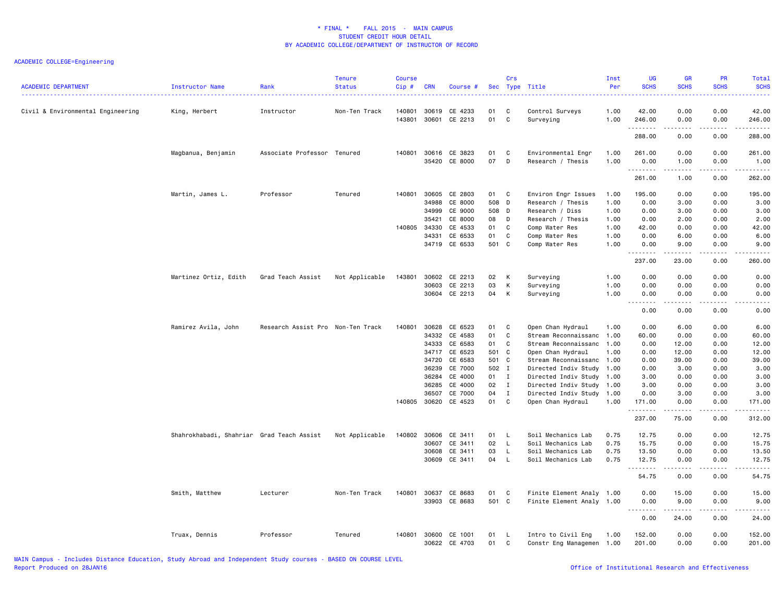| <b>ACADEMIC DEPARTMENT</b>        | Instructor Name                           | Rank                              | <b>Tenure</b><br><b>Status</b> | <b>Course</b><br>$Cip$ # | <b>CRN</b>     | Course #           |          | Crs          | Sec Type Title               | Inst<br>Per  | UG<br><b>SCHS</b>  | GR<br><b>SCHS</b> | PR<br><b>SCHS</b>                   | Total<br><b>SCHS</b> |
|-----------------------------------|-------------------------------------------|-----------------------------------|--------------------------------|--------------------------|----------------|--------------------|----------|--------------|------------------------------|--------------|--------------------|-------------------|-------------------------------------|----------------------|
| Civil & Environmental Engineering | King, Herbert                             | Instructor                        | Non-Ten Track                  | 140801<br>143801         | 30619<br>30601 | CE 4233<br>CE 2213 | 01<br>01 | C<br>C       | Control Surveys<br>Surveying | 1.00<br>1.00 | 42.00<br>246.00    | 0.00<br>0.00      | 0.00<br>0.00                        | 42.00<br>246.00      |
|                                   |                                           |                                   |                                |                          |                |                    |          |              |                              |              | .<br>288.00        | .<br>0.00         | .<br>0.00                           | ------<br>288.00     |
|                                   | Magbanua, Benjamin                        | Associate Professor Tenured       |                                | 140801                   | 30616          | CE 3823            | 01       | C            | Environmental Engr           | 1.00         | 261.00             | 0.00              | 0.00                                | 261.00               |
|                                   |                                           |                                   |                                |                          | 35420          | CE 8000            | 07       | D            | Research / Thesis            | 1.00         | 0.00<br>.          | 1.00              | 0.00                                | 1.00                 |
|                                   |                                           |                                   |                                |                          |                |                    |          |              |                              |              | 261.00             | 1.00              | 0.00                                | 262.00               |
|                                   | Martin, James L.                          | Professor                         | Tenured                        | 140801                   | 30605          | CE 2803            | 01       | C            | Environ Engr Issues          | 1.00         | 195.00             | 0.00              | 0.00                                | 195.00               |
|                                   |                                           |                                   |                                |                          | 34988          | CE 8000            | 508 D    |              | Research / Thesis            | 1.00         | 0.00               | 3.00              | 0.00                                | 3.00                 |
|                                   |                                           |                                   |                                |                          | 34999          | CE 9000            | 508 D    |              | Research / Diss              | 1.00         | 0.00               | 3.00              | 0.00                                | 3.00                 |
|                                   |                                           |                                   |                                |                          | 35421          | CE 8000            | 08       | D            | Research / Thesis            | 1.00         | 0.00               | 2.00              | 0.00                                | 2.00                 |
|                                   |                                           |                                   |                                | 140805                   | 34330          | CE 4533            | 01       | C            | Comp Water Res               | 1.00         | 42.00              | 0.00              | 0.00                                | 42.00                |
|                                   |                                           |                                   |                                |                          | 34331          | CE 6533            | 01       | C            | Comp Water Res               | 1.00         | 0.00               | 6.00              | 0.00                                | 6.00                 |
|                                   |                                           |                                   |                                |                          | 34719          | CE 6533            | 501 C    |              | Comp Water Res               | 1.00         | 0.00               | 9.00              | 0.00                                | 9.00                 |
|                                   |                                           |                                   |                                |                          |                |                    |          |              |                              |              | 237.00             | 23.00             | 0.00                                | 260.00               |
|                                   | Martinez Ortiz, Edith                     | Grad Teach Assist                 | Not Applicable                 | 143801                   | 30602          | CE 2213            | 02       | Κ            | Surveying                    | 1.00         | 0.00               | 0.00              | 0.00                                | 0.00                 |
|                                   |                                           |                                   |                                |                          | 30603          | CE 2213            | 03       | К            | Surveying                    | 1.00         | 0.00               | 0.00              | 0.00                                | 0.00                 |
|                                   |                                           |                                   |                                |                          |                | 30604 CE 2213      | 04       | Κ            |                              | 1.00         | 0.00               | 0.00              | 0.00                                | 0.00                 |
|                                   |                                           |                                   |                                |                          |                |                    |          |              | Surveying                    |              | .<br>$  -$         |                   | .                                   | .                    |
|                                   |                                           |                                   |                                |                          |                |                    |          |              |                              |              | 0.00               | 0.00              | 0.00                                | 0.00                 |
|                                   | Ramirez Avila, John                       | Research Assist Pro Non-Ten Track |                                | 140801                   | 30628          | CE 6523            | 01       | C            | Open Chan Hydraul            | 1.00         | 0.00               | 6.00              | 0.00                                | 6.00                 |
|                                   |                                           |                                   |                                |                          | 34332          | CE 4583            | 01       | C            | Stream Reconnaissanc         | 1.00         | 60.00              | 0.00              | 0.00                                | 60.00                |
|                                   |                                           |                                   |                                |                          | 34333          | CE 6583            | 01       | C            | Stream Reconnaissanc 1.00    |              | 0.00               | 12.00             | 0.00                                | 12.00                |
|                                   |                                           |                                   |                                |                          |                | 34717 CE 6523      | 501 C    |              | Open Chan Hydraul            | 1.00         | 0.00               | 12.00             | 0.00                                | 12.00                |
|                                   |                                           |                                   |                                |                          | 34720          | CE 6583            | 501 C    |              | Stream Reconnaissanc 1.00    |              | 0.00               | 39.00             | 0.00                                | 39.00                |
|                                   |                                           |                                   |                                |                          | 36239          | CE 7000            | 502 I    |              | Directed Indiv Study 1.00    |              | 0.00               | 3.00              | 0.00                                | 3.00                 |
|                                   |                                           |                                   |                                |                          | 36284          | CE 4000            | 01 I     |              | Directed Indiv Study         | 1.00         | 3.00               | 0.00              | 0.00                                | 3.00                 |
|                                   |                                           |                                   |                                |                          | 36285          | CE 4000            | 02       | $\mathbf{I}$ | Directed Indiv Study 1.00    |              | 3.00               | 0.00              | 0.00                                | 3.00                 |
|                                   |                                           |                                   |                                |                          | 36507          | CE 7000            | 04       | $\mathbf{I}$ | Directed Indiv Study 1.00    |              | 0.00               | 3.00              | 0.00                                | 3.00                 |
|                                   |                                           |                                   |                                | 140805                   | 30620          | CE 4523            | 01       | C            | Open Chan Hydraul            | 1.00         | 171.00             | 0.00              | 0.00                                | 171.00               |
|                                   |                                           |                                   |                                |                          |                |                    |          |              |                              |              | <u>.</u><br>237.00 | 75.00             | $\sim$ $\sim$ $\sim$ $\sim$<br>0.00 | .<br>312.00          |
|                                   |                                           |                                   |                                |                          |                |                    |          |              |                              |              |                    |                   |                                     |                      |
|                                   | Shahrokhabadi, Shahriar Grad Teach Assist |                                   | Not Applicable                 | 140802                   | 30606          | CE 3411            | 01       | $\mathsf{L}$ | Soil Mechanics Lab           | 0.75         | 12.75              | 0.00              | 0.00                                | 12.75                |
|                                   |                                           |                                   |                                |                          | 30607          | CE 3411            | 02       | L            | Soil Mechanics Lab           | 0.75         | 15.75              | 0.00              | 0.00                                | 15.75                |
|                                   |                                           |                                   |                                |                          | 30608          | CE 3411            | 03       | L.           | Soil Mechanics Lab           | 0.75         | 13.50              | 0.00              | 0.00                                | 13.50                |
|                                   |                                           |                                   |                                |                          | 30609          | CE 3411            | 04       | $\mathsf{L}$ | Soil Mechanics Lab           | 0.75         | 12.75<br>.         | 0.00              | 0.00<br>$\frac{1}{2}$               | 12.75<br>.           |
|                                   |                                           |                                   |                                |                          |                |                    |          |              |                              |              | 54.75              | 0.00              | 0.00                                | 54.75                |
|                                   | Smith, Matthew                            | Lecturer                          | Non-Ten Track                  | 140801                   | 30637          | CE 8683            | 01       | C            | Finite Element Analy 1.00    |              | 0.00               | 15.00             | 0.00                                | 15.00                |
|                                   |                                           |                                   |                                |                          | 33903          | CE 8683            | 501 C    |              | Finite Element Analy 1.00    |              | 0.00               | 9.00              | 0.00                                | 9.00                 |
|                                   |                                           |                                   |                                |                          |                |                    |          |              |                              |              | .                  | .                 | .                                   | .                    |
|                                   |                                           |                                   |                                |                          |                |                    |          |              |                              |              | 0.00               | 24.00             | 0.00                                | 24.00                |
|                                   | Truax, Dennis                             | Professor                         | Tenured                        | 140801                   | 30600          | CE 1001            | 01       | L.           | Intro to Civil Eng           | 1.00         | 152.00             | 0.00              | 0.00                                | 152.00               |
|                                   |                                           |                                   |                                |                          |                | 30622 CE 4703      | 01       | C            | Constr Eng Managemen 1.00    |              | 201.00             | 0.00              | 0.00                                | 201.00               |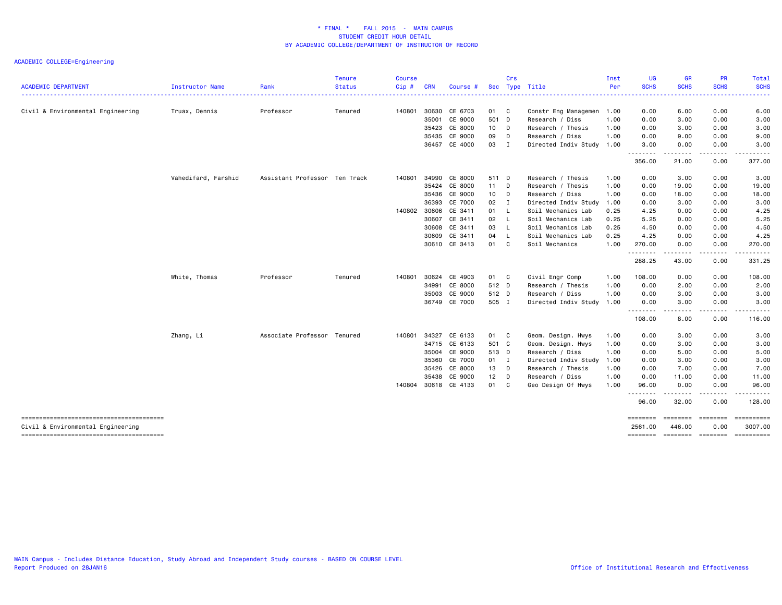|                                   |                        |                               | <b>Tenure</b> | <b>Course</b> |            |                      |       | Crs            |                           | Inst         | <b>UG</b><br><b>SCHS</b> | <b>GR</b><br><b>SCHS</b>    | <b>PR</b><br><b>SCHS</b>                                                                                                                                     | Total<br><b>SCHS</b>                  |
|-----------------------------------|------------------------|-------------------------------|---------------|---------------|------------|----------------------|-------|----------------|---------------------------|--------------|--------------------------|-----------------------------|--------------------------------------------------------------------------------------------------------------------------------------------------------------|---------------------------------------|
| <b>ACADEMIC DEPARTMENT</b>        | <b>Instructor Name</b> | Rank                          | <b>Status</b> | Cip#          | <b>CRN</b> | Course #             |       |                | Sec Type Title            | Per          | .                        |                             |                                                                                                                                                              | <b></b>                               |
| Civil & Environmental Engineering | Truax, Dennis          | Professor                     | Tenured       | 140801        | 30630      | CE 6703              | 01    | C              | Constr Eng Managemen      | 1.00         | 0.00                     | 6.00                        | 0.00                                                                                                                                                         | 6.00                                  |
|                                   |                        |                               |               |               | 35001      | CE 9000              | 501 D |                | Research / Diss           | 1.00         | 0.00                     | 3.00                        | 0.00                                                                                                                                                         | 3.00                                  |
|                                   |                        |                               |               |               | 35423      | CE 8000              | 10    | D              | Research / Thesis         | 1.00         | 0.00                     | 3.00                        | 0.00                                                                                                                                                         | 3.00                                  |
|                                   |                        |                               |               |               | 35435      | CE 9000              | 09    | D              | Research / Diss           | 1.00         | 0.00                     | 9.00                        | 0.00                                                                                                                                                         | 9.00                                  |
|                                   |                        |                               |               |               |            | 36457 CE 4000        | 03    | I              | Directed Indiv Study 1.00 |              | 3.00                     | 0.00<br>. <u>.</u> .        | 0.00<br>.                                                                                                                                                    | 3.00<br>.                             |
|                                   |                        |                               |               |               |            |                      |       |                |                           |              | 356.00                   | 21.00                       | 0.00                                                                                                                                                         | 377.00                                |
|                                   | Vahedifard, Farshid    | Assistant Professor Ten Track |               | 140801        | 34990      | CE 8000              | 511 D |                | Research / Thesis         | 1.00         | 0.00                     | 3.00                        | 0.00                                                                                                                                                         | 3.00                                  |
|                                   |                        |                               |               |               | 35424      | CE 8000              | 11    | D              | Research / Thesis         | 1.00         | 0.00                     | 19.00                       | 0.00                                                                                                                                                         | 19.00                                 |
|                                   |                        |                               |               |               | 35436      | CE 9000              | 10    | D              | Research / Diss           | 1.00         | 0.00                     | 18.00                       | 0.00                                                                                                                                                         | 18.00                                 |
|                                   |                        |                               |               |               | 36393      | CE 7000              | 02    | $\blacksquare$ | Directed Indiv Study      | 1.00         | 0.00                     | 3.00                        | 0.00                                                                                                                                                         | 3.00                                  |
|                                   |                        |                               |               | 140802 30606  |            | CE 3411              | 01    | $\mathsf{L}$   | Soil Mechanics Lab        | 0.25         | 4.25                     | 0.00                        | 0.00                                                                                                                                                         | 4.25                                  |
|                                   |                        |                               |               |               | 30607      | CE 3411              | 02    | - L            | Soil Mechanics Lab        | 0.25         | 5.25                     | 0.00                        | 0.00                                                                                                                                                         | 5.25                                  |
|                                   |                        |                               |               |               | 30608      | CE 3411              | 03    | $\mathsf{L}$   | Soil Mechanics Lab        | 0.25         | 4.50                     | 0.00                        | 0.00                                                                                                                                                         | 4.50                                  |
|                                   |                        |                               |               |               | 30609      | CE 3411              | 04    | L<br>C         | Soil Mechanics Lab        | 0.25<br>1.00 | 4.25                     | 0.00                        | 0.00                                                                                                                                                         | 4.25                                  |
|                                   |                        |                               |               |               |            | 30610 CE 3413        | 01    |                | Soil Mechanics            |              | 270.00<br>.              | 0.00<br>.                   | 0.00<br>$\frac{1}{2} \left( \frac{1}{2} \right) \left( \frac{1}{2} \right) \left( \frac{1}{2} \right) \left( \frac{1}{2} \right) \left( \frac{1}{2} \right)$ | 270.00<br>.                           |
|                                   |                        |                               |               |               |            |                      |       |                |                           |              | 288.25                   | 43.00                       | 0.00                                                                                                                                                         | 331.25                                |
|                                   | White, Thomas          | Professor                     | Tenured       | 140801        | 30624      | CE 4903              | 01 C  |                | Civil Engr Comp           | 1.00         | 108.00                   | 0.00                        | 0.00                                                                                                                                                         | 108.00                                |
|                                   |                        |                               |               |               | 34991      | CE 8000              | 512 D |                | Research / Thesis         | 1.00         | 0.00                     | 2.00                        | 0.00                                                                                                                                                         | 2.00                                  |
|                                   |                        |                               |               |               | 35003      | CE 9000              | 512 D |                | Research / Diss           | 1.00         | 0.00                     | 3.00                        | 0.00                                                                                                                                                         | 3.00                                  |
|                                   |                        |                               |               |               |            | 36749 CE 7000        | 505 I |                | Directed Indiv Study 1.00 |              | 0.00<br>.                | 3.00<br>.                   | 0.00<br>-----                                                                                                                                                | 3.00<br>.                             |
|                                   |                        |                               |               |               |            |                      |       |                |                           |              | 108.00                   | 8.00                        | 0.00                                                                                                                                                         | 116.00                                |
|                                   | Zhang, Li              | Associate Professor Tenured   |               | 140801        | 34327      | CE 6133              | 01 C  |                | Geom. Design. Hwys        | 1.00         | 0.00                     | 3.00                        | 0.00                                                                                                                                                         | 3.00                                  |
|                                   |                        |                               |               |               | 34715      | CE 6133              | 501 C |                | Geom. Design. Hwys        | 1.00         | 0.00                     | 3.00                        | 0.00                                                                                                                                                         | 3.00                                  |
|                                   |                        |                               |               |               | 35004      | CE 9000              | 513 D |                | Research / Diss           | 1.00         | 0.00                     | 5.00                        | 0.00                                                                                                                                                         | 5.00                                  |
|                                   |                        |                               |               |               | 35360      | CE 7000              | 01 I  |                | Directed Indiv Study 1.00 |              | 0.00                     | 3.00                        | 0.00                                                                                                                                                         | 3.00                                  |
|                                   |                        |                               |               |               | 35426      | CE 8000              | 13    | D              | Research / Thesis         | 1.00         | 0.00                     | 7.00                        | 0.00                                                                                                                                                         | 7.00                                  |
|                                   |                        |                               |               |               | 35438      | CE 9000              | 12    | D              | Research / Diss           | 1.00         | 0.00                     | 11.00                       | 0.00                                                                                                                                                         | 11.00                                 |
|                                   |                        |                               |               |               |            | 140804 30618 CE 4133 | 01    | C              | Geo Design Of Hwys        | 1.00         | 96.00<br>.               | 0.00                        | 0.00<br>- - - -                                                                                                                                              | 96.00<br>$\frac{1}{2}$                |
|                                   |                        |                               |               |               |            |                      |       |                |                           |              | 96.00                    | 32.00                       | 0.00                                                                                                                                                         | 128.00                                |
| Civil & Environmental Engineering |                        |                               |               |               |            |                      |       |                |                           |              | ========<br>2561.00      | $=$ = = = = = = =<br>446.00 | <b>ESSESSE</b><br>0.00                                                                                                                                       | 3007.00                               |
|                                   |                        |                               |               |               |            |                      |       |                |                           |              |                          |                             |                                                                                                                                                              | ======== ======== ======== ========== |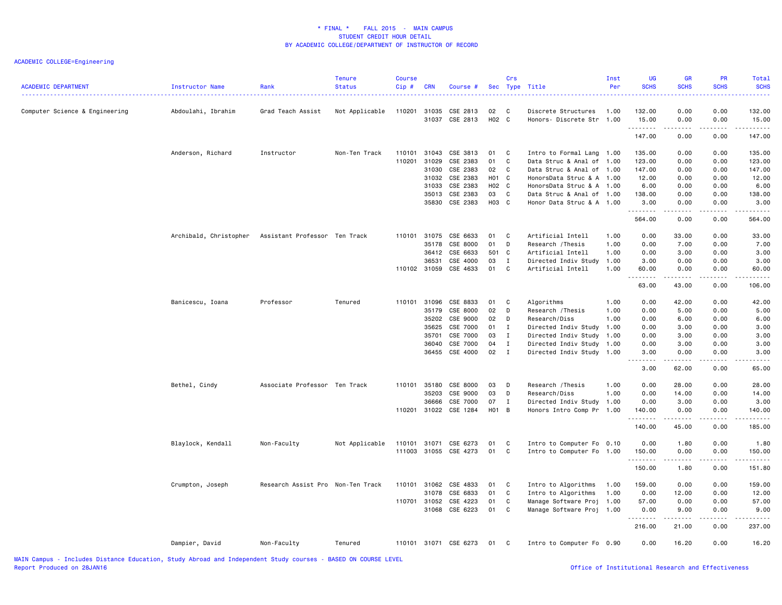| Computer Science & Engineering<br>Abdoulahi, Ibrahim<br>Anderson, Richard |                        | Grad Teach Assist<br>Instructor   | Not Applicable<br>Non-Ten Track | 110201<br>110101<br>110201 | 31035<br>31037<br>31043<br>31029 | CSE 2813<br>CSE 2813<br>CSE 3813 | 02<br>H02 C<br>01 | $\mathbf{C}$<br>$\mathbf{C}$ | Discrete Structures<br>Honors- Discrete Str 1.00       | 1.00 | 132.00<br>15.00<br>.<br>147.00                                                                                                                               | 0.00<br>0.00<br>$\sim$ $\sim$ $\sim$ $\sim$<br>0.00 | 0.00<br>0.00<br>.<br>0.00                                                                                                                                    | 132.00<br>15.00<br>147.00                                                                                                                                     |
|---------------------------------------------------------------------------|------------------------|-----------------------------------|---------------------------------|----------------------------|----------------------------------|----------------------------------|-------------------|------------------------------|--------------------------------------------------------|------|--------------------------------------------------------------------------------------------------------------------------------------------------------------|-----------------------------------------------------|--------------------------------------------------------------------------------------------------------------------------------------------------------------|---------------------------------------------------------------------------------------------------------------------------------------------------------------|
|                                                                           |                        |                                   |                                 |                            |                                  |                                  |                   |                              |                                                        |      |                                                                                                                                                              |                                                     |                                                                                                                                                              |                                                                                                                                                               |
|                                                                           |                        |                                   |                                 |                            |                                  |                                  |                   |                              |                                                        |      |                                                                                                                                                              |                                                     |                                                                                                                                                              |                                                                                                                                                               |
|                                                                           |                        |                                   |                                 |                            |                                  |                                  |                   |                              |                                                        |      |                                                                                                                                                              |                                                     |                                                                                                                                                              |                                                                                                                                                               |
|                                                                           |                        |                                   |                                 |                            |                                  |                                  |                   |                              | Intro to Formal Lang 1.00                              |      | 135.00                                                                                                                                                       | 0.00                                                | 0.00                                                                                                                                                         | 135.00                                                                                                                                                        |
|                                                                           |                        |                                   |                                 |                            |                                  | CSE 2383                         | 01                | C                            | Data Struc & Anal of 1.00                              |      | 123.00                                                                                                                                                       | 0.00                                                | 0.00                                                                                                                                                         | 123.00                                                                                                                                                        |
|                                                                           |                        |                                   |                                 |                            | 31030                            | CSE 2383                         | 02                | $\mathbf{C}$                 | Data Struc & Anal of 1.00                              |      | 147.00                                                                                                                                                       | 0.00                                                | 0.00                                                                                                                                                         | 147.00                                                                                                                                                        |
|                                                                           |                        |                                   |                                 |                            |                                  | 31032 CSE 2383                   | H <sub>01</sub> C |                              | HonorsData Struc & A 1.00                              |      | 12.00                                                                                                                                                        | 0.00                                                | 0.00                                                                                                                                                         | 12.00                                                                                                                                                         |
|                                                                           |                        |                                   |                                 |                            | 31033                            | CSE 2383                         | H02 C             |                              | HonorsData Struc & A 1.00                              |      | 6.00                                                                                                                                                         | 0.00                                                | 0.00                                                                                                                                                         | 6.00                                                                                                                                                          |
|                                                                           |                        |                                   |                                 |                            | 35013                            | CSE 2383                         | 03                | $\mathbf{C}$                 | Data Struc & Anal of 1.00                              |      | 138.00                                                                                                                                                       | 0.00                                                | 0.00                                                                                                                                                         | 138.00                                                                                                                                                        |
|                                                                           |                        |                                   |                                 |                            |                                  | 35830 CSE 2383                   | H03 C             |                              | Honor Data Struc & A 1.00                              |      | 3.00                                                                                                                                                         | 0.00                                                | 0.00                                                                                                                                                         | 3.00                                                                                                                                                          |
|                                                                           |                        |                                   |                                 |                            |                                  |                                  |                   |                              |                                                        |      | .<br>564.00                                                                                                                                                  | $\sim$ $\sim$ $\sim$ $\sim$<br>0.00                 | 0.00                                                                                                                                                         | .<br>564.00                                                                                                                                                   |
|                                                                           | Archibald, Christopher | Assistant Professor Ten Track     |                                 | 110101                     | 31075                            | CSE 6633                         | 01                | $\mathbf{C}$                 | Artificial Intell                                      | 1.00 | 0.00                                                                                                                                                         | 33.00                                               | 0.00                                                                                                                                                         | 33.00                                                                                                                                                         |
|                                                                           |                        |                                   |                                 |                            | 35178                            | CSE 8000                         | 01                | D                            | Research / Thesis                                      | 1.00 | 0.00                                                                                                                                                         | 7.00                                                | 0.00                                                                                                                                                         | 7.00                                                                                                                                                          |
|                                                                           |                        |                                   |                                 |                            | 36412                            | CSE 6633                         | 501 C             |                              | Artificial Intell                                      | 1.00 | 0.00                                                                                                                                                         | 3.00                                                | 0.00                                                                                                                                                         | 3.00                                                                                                                                                          |
|                                                                           |                        |                                   |                                 |                            | 36531                            | CSE 4000                         | 03                | $\mathbf{I}$                 | Directed Indiv Study                                   | 1.00 | 3.00                                                                                                                                                         | 0.00                                                | 0.00                                                                                                                                                         | 3.00                                                                                                                                                          |
|                                                                           |                        |                                   |                                 | 110102 31059               |                                  | CSE 4633                         | 01 C              |                              | Artificial Intell                                      | 1.00 | 60.00                                                                                                                                                        | 0.00                                                | 0.00                                                                                                                                                         | 60.00                                                                                                                                                         |
|                                                                           |                        |                                   |                                 |                            |                                  |                                  |                   |                              |                                                        |      | 63.00                                                                                                                                                        | $\sim$ $\sim$ $\sim$ $\sim$<br>43.00                | 0.00                                                                                                                                                         | 106.00                                                                                                                                                        |
| Banicescu, Ioana                                                          |                        | Professor                         | Tenured                         | 110101 31096               |                                  | CSE 8833                         | 01 C              |                              | Algorithms                                             | 1.00 | 0.00                                                                                                                                                         | 42.00                                               | 0.00                                                                                                                                                         | 42.00                                                                                                                                                         |
|                                                                           |                        |                                   |                                 |                            | 35179                            | CSE 8000                         | 02                | D                            | Research / Thesis                                      | 1.00 | 0.00                                                                                                                                                         | 5.00                                                | 0.00                                                                                                                                                         | 5.00                                                                                                                                                          |
|                                                                           |                        |                                   |                                 |                            | 35202                            | CSE 9000                         | 02                | D                            | Research/Diss                                          | 1.00 | 0.00                                                                                                                                                         | 6.00                                                | 0.00                                                                                                                                                         | 6.00                                                                                                                                                          |
|                                                                           |                        |                                   |                                 |                            | 35625                            | CSE 7000                         | 01                | $\mathbf I$                  | Directed Indiv Study                                   | 1.00 | 0.00                                                                                                                                                         | 3.00                                                | 0.00                                                                                                                                                         | 3.00                                                                                                                                                          |
|                                                                           |                        |                                   |                                 |                            | 35701                            | CSE 7000                         | 03                | $\mathbf I$                  | Directed Indiv Study                                   | 1.00 | 0.00                                                                                                                                                         | 3.00                                                | 0.00                                                                                                                                                         | 3.00                                                                                                                                                          |
|                                                                           |                        |                                   |                                 |                            | 36040                            | CSE 7000                         | 04                | $\mathbf{I}$                 | Directed Indiv Study                                   | 1.00 | 0.00                                                                                                                                                         | 3.00                                                | 0.00                                                                                                                                                         | 3.00                                                                                                                                                          |
|                                                                           |                        |                                   |                                 |                            |                                  | 36455 CSE 4000                   | $02 \quad I$      |                              | Directed Indiv Study 1.00                              |      | 3.00                                                                                                                                                         | 0.00                                                | 0.00                                                                                                                                                         | 3.00                                                                                                                                                          |
|                                                                           |                        |                                   |                                 |                            |                                  |                                  |                   |                              |                                                        |      | $\frac{1}{2} \left( \frac{1}{2} \right) \left( \frac{1}{2} \right) \left( \frac{1}{2} \right) \left( \frac{1}{2} \right) \left( \frac{1}{2} \right)$<br>3.00 | .<br>62.00                                          | 22222<br>0.00                                                                                                                                                | $\frac{1}{2} \left( \frac{1}{2} \right) \left( \frac{1}{2} \right) \left( \frac{1}{2} \right) \left( \frac{1}{2} \right) \left( \frac{1}{2} \right)$<br>65.00 |
|                                                                           |                        |                                   |                                 |                            |                                  |                                  |                   |                              |                                                        |      |                                                                                                                                                              |                                                     |                                                                                                                                                              |                                                                                                                                                               |
| Bethel, Cindy                                                             |                        | Associate Professor Ten Track     |                                 | 110101                     | 35180                            | CSE 8000                         | 03                | D                            | Research / Thesis                                      | 1.00 | 0.00                                                                                                                                                         | 28.00                                               | 0.00                                                                                                                                                         | 28.00                                                                                                                                                         |
|                                                                           |                        |                                   |                                 |                            | 35203                            | CSE 9000                         | 03                | D                            | Research/Diss                                          | 1.00 | 0.00                                                                                                                                                         | 14.00                                               | 0.00                                                                                                                                                         | 14.00                                                                                                                                                         |
|                                                                           |                        |                                   |                                 | 110201                     | 36666                            | CSE 7000<br>31022 CSE 1284       | 07<br>H01 B       | $\mathbf I$                  | Directed Indiv Study 1.00<br>Honors Intro Comp Pr      | 1.00 | 0.00<br>140.00                                                                                                                                               | 3.00<br>0.00                                        | 0.00<br>0.00                                                                                                                                                 | 3.00<br>140.00                                                                                                                                                |
|                                                                           |                        |                                   |                                 |                            |                                  |                                  |                   |                              |                                                        |      | .<br>140.00                                                                                                                                                  | 45.00                                               | 0.00                                                                                                                                                         | .<br>185.00                                                                                                                                                   |
|                                                                           |                        |                                   |                                 | 110101 31071               |                                  | CSE 6273                         |                   | $\mathbf{C}$                 |                                                        |      | 0.00                                                                                                                                                         |                                                     | 0.00                                                                                                                                                         |                                                                                                                                                               |
| Blaylock, Kendall                                                         |                        | Non-Faculty                       | Not Applicable                  |                            |                                  | 111003 31055 CSE 4273            | 01<br>01 C        |                              | Intro to Computer Fo 0.10<br>Intro to Computer Fo 1.00 |      | 150.00                                                                                                                                                       | 1.80<br>0.00                                        | 0.00                                                                                                                                                         | 1.80<br>150.00                                                                                                                                                |
|                                                                           |                        |                                   |                                 |                            |                                  |                                  |                   |                              |                                                        |      | .<br>150.00                                                                                                                                                  | .<br>1.80                                           | $\frac{1}{2} \left( \frac{1}{2} \right) \left( \frac{1}{2} \right) \left( \frac{1}{2} \right) \left( \frac{1}{2} \right) \left( \frac{1}{2} \right)$<br>0.00 | 151.80                                                                                                                                                        |
|                                                                           |                        |                                   |                                 |                            |                                  |                                  |                   |                              |                                                        |      |                                                                                                                                                              |                                                     |                                                                                                                                                              |                                                                                                                                                               |
| Crumpton, Joseph                                                          |                        | Research Assist Pro Non-Ten Track |                                 | 110101                     | 31062                            | CSE 4833                         | 01                | $\mathbf{C}$                 | Intro to Algorithms                                    | 1.00 | 159.00                                                                                                                                                       | 0.00                                                | 0.00                                                                                                                                                         | 159.00                                                                                                                                                        |
|                                                                           |                        |                                   |                                 |                            | 31078                            | CSE 6833                         | 01                | C                            | Intro to Algorithms                                    | 1.00 | 0.00                                                                                                                                                         | 12.00                                               | 0.00                                                                                                                                                         | 12.00                                                                                                                                                         |
|                                                                           |                        |                                   |                                 | 110701                     | 31052                            | CSE 4223                         | 01                | C                            | Manage Software Proj                                   | 1.00 | 57.00                                                                                                                                                        | 0.00                                                | 0.00                                                                                                                                                         | 57.00                                                                                                                                                         |
|                                                                           |                        |                                   |                                 |                            | 31068                            | CSE 6223                         | 01 C              |                              | Manage Software Proj 1.00                              |      | 0.00<br>.                                                                                                                                                    | 9.00<br>.                                           | 0.00<br>-----                                                                                                                                                | 9.00<br>.                                                                                                                                                     |
|                                                                           |                        |                                   |                                 |                            |                                  |                                  |                   |                              |                                                        |      | 216.00                                                                                                                                                       | 21.00                                               | 0.00                                                                                                                                                         | 237.00                                                                                                                                                        |
| Dampier, David                                                            |                        | Non-Faculty                       | Tenured                         | 110101 31071 CSE 6273      |                                  |                                  |                   |                              |                                                        |      |                                                                                                                                                              | 16.20                                               | 0.00                                                                                                                                                         | 16.20                                                                                                                                                         |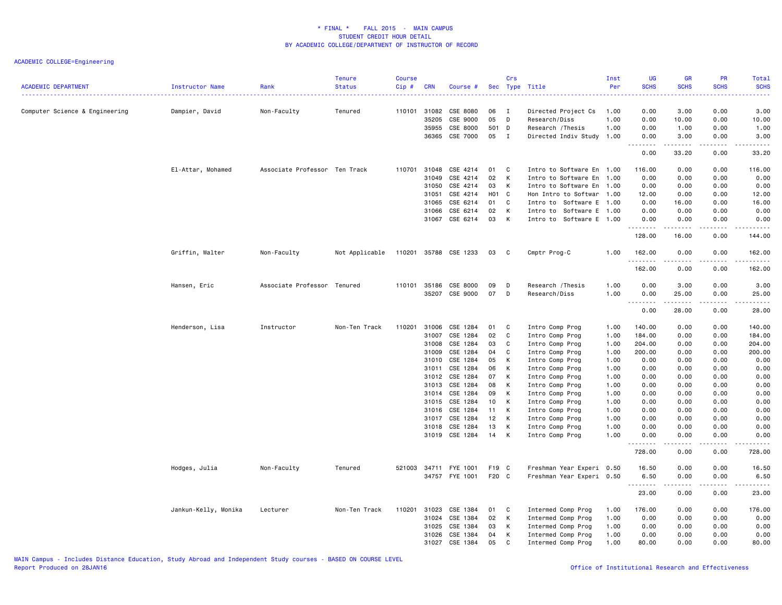| <b>ACADEMIC DEPARTMENT</b>     | Instructor Name      | Rank<br>.                     | Tenure<br><b>Status</b> | <b>Course</b><br>Cip# | <b>CRN</b>            | Course #              |                 | Crs          | Sec Type Title                       | Inst<br>Per  | <b>UG</b><br><b>SCHS</b><br>$  -$ | <b>GR</b><br><b>SCHS</b>                                                                                                          | PR<br><b>SCHS</b> | Total<br><b>SCHS</b><br>$\frac{1}{2} \left( \frac{1}{2} \right) \left( \frac{1}{2} \right) \left( \frac{1}{2} \right) \left( \frac{1}{2} \right)$            |
|--------------------------------|----------------------|-------------------------------|-------------------------|-----------------------|-----------------------|-----------------------|-----------------|--------------|--------------------------------------|--------------|-----------------------------------|-----------------------------------------------------------------------------------------------------------------------------------|-------------------|--------------------------------------------------------------------------------------------------------------------------------------------------------------|
| Computer Science & Engineering | Dampier, David       | Non-Faculty                   | Tenured                 |                       | 110101 31082<br>35205 | CSE 8080<br>CSE 9000  | 06<br>05        | I<br>D       | Directed Project Cs<br>Research/Diss | 1.00<br>1.00 | 0.00<br>0.00                      | 3.00<br>10.00                                                                                                                     | 0.00<br>0.00      | 3.00<br>10.00                                                                                                                                                |
|                                |                      |                               |                         |                       | 35955                 | CSE 8000              | 501 D           |              | Research / Thesis                    | 1.00         | 0.00                              | 1.00                                                                                                                              | 0.00              | 1.00                                                                                                                                                         |
|                                |                      |                               |                         |                       | 36365                 | CSE 7000              | 05              | $\mathbf{I}$ | Directed Indiv Study 1.00            |              | 0.00                              | 3.00                                                                                                                              | 0.00              | 3.00                                                                                                                                                         |
|                                |                      |                               |                         |                       |                       |                       |                 |              |                                      |              | .<br>0.00                         | 33.20                                                                                                                             | 0.00              | 33.20                                                                                                                                                        |
|                                | El-Attar, Mohamed    | Associate Professor Ten Track |                         | 110701                | 31048                 | CSE 4214              | 01              | C            | Intro to Software En 1.00            |              | 116.00                            | 0.00                                                                                                                              | 0.00              | 116.00                                                                                                                                                       |
|                                |                      |                               |                         |                       | 31049                 | CSE 4214              | 02              | K            | Intro to Software En                 | 1.00         | 0.00                              | 0.00                                                                                                                              | 0.00              | 0.00                                                                                                                                                         |
|                                |                      |                               |                         |                       | 31050                 | CSE 4214              | 03              | К            | Intro to Software En                 | 1.00         | 0.00                              | 0.00                                                                                                                              | 0.00              | 0.00                                                                                                                                                         |
|                                |                      |                               |                         |                       | 31051                 | CSE 4214              | H01 C           |              | Hon Intro to Softwar 1.00            |              | 12.00                             | 0.00                                                                                                                              | 0.00              | 12.00                                                                                                                                                        |
|                                |                      |                               |                         |                       | 31065                 | CSE 6214              | 01              | C            | Intro to Software E 1.00             |              | 0.00                              | 16.00                                                                                                                             | 0.00              | 16.00                                                                                                                                                        |
|                                |                      |                               |                         |                       | 31066                 | CSE 6214              | 02              | K            | Intro to Software E 1.00             |              | 0.00                              | 0.00                                                                                                                              | 0.00              | 0.00                                                                                                                                                         |
|                                |                      |                               |                         |                       |                       | 31067 CSE 6214        | 03              | K            | Intro to Software E 1.00             |              | 0.00<br>.                         | 0.00<br>.                                                                                                                         | 0.00<br>.         | 0.00<br>$\frac{1}{2} \left( \frac{1}{2} \right) \left( \frac{1}{2} \right) \left( \frac{1}{2} \right) \left( \frac{1}{2} \right) \left( \frac{1}{2} \right)$ |
|                                |                      |                               |                         |                       |                       |                       |                 |              |                                      |              | 128.00                            | 16.00                                                                                                                             | 0.00              | 144.00                                                                                                                                                       |
|                                | Griffin, Walter      | Non-Faculty                   | Not Applicable          |                       |                       | 110201 35788 CSE 1233 | 03              | $\mathbf{C}$ | Cmptr Prog-C                         | 1.00         | 162.00<br>.                       | 0.00<br>$\frac{1}{2} \left( \frac{1}{2} \right) \left( \frac{1}{2} \right) \left( \frac{1}{2} \right) \left( \frac{1}{2} \right)$ | 0.00              | 162.00<br>.                                                                                                                                                  |
|                                |                      |                               |                         |                       |                       |                       |                 |              |                                      |              | 162.00                            | 0.00                                                                                                                              | 0.00              | 162.00                                                                                                                                                       |
|                                | Hansen, Eric         | Associate Professor Tenured   |                         |                       | 110101 35186          | CSE 8000              | 09              | D            | Research / Thesis                    | 1.00         | 0.00                              | 3.00                                                                                                                              | 0.00              | 3.00                                                                                                                                                         |
|                                |                      |                               |                         |                       | 35207                 | CSE 9000              | 07              | D            | Research/Diss                        | 1.00         | 0.00                              | 25.00<br>.                                                                                                                        | 0.00<br>.         | 25.00<br>.                                                                                                                                                   |
|                                |                      |                               |                         |                       |                       |                       |                 |              |                                      |              | 0.00                              | 28.00                                                                                                                             | 0.00              | 28.00                                                                                                                                                        |
|                                | Henderson, Lisa      | Instructor                    | Non-Ten Track           | 110201                | 31006                 | CSE 1284              | 01              | - C          | Intro Comp Prog                      | 1.00         | 140.00                            | 0.00                                                                                                                              | 0.00              | 140.00                                                                                                                                                       |
|                                |                      |                               |                         |                       | 31007                 | CSE 1284              | 02              | C            | Intro Comp Prog                      | 1.00         | 184.00                            | 0.00                                                                                                                              | 0.00              | 184.00                                                                                                                                                       |
|                                |                      |                               |                         |                       | 31008                 | CSE 1284              | 03              | C            | Intro Comp Prog                      | 1.00         | 204.00                            | 0.00                                                                                                                              | 0.00              | 204.00                                                                                                                                                       |
|                                |                      |                               |                         |                       | 31009                 | CSE 1284              | 04              | <b>C</b>     | Intro Comp Prog                      | 1.00         | 200.00                            | 0.00                                                                                                                              | 0.00              | 200.00                                                                                                                                                       |
|                                |                      |                               |                         |                       | 31010                 | CSE 1284              | 05              | К            | Intro Comp Prog                      | 1.00         | 0.00                              | 0.00                                                                                                                              | 0.00              | 0.00                                                                                                                                                         |
|                                |                      |                               |                         |                       | 31011                 | CSE 1284              | 06              | К            | Intro Comp Prog                      | 1.00         | 0.00                              | 0.00                                                                                                                              | 0.00              | 0.00                                                                                                                                                         |
|                                |                      |                               |                         |                       | 31012                 | CSE 1284              | 07              | K            | Intro Comp Prog                      | 1.00         | 0.00                              | 0.00                                                                                                                              | 0.00              | 0.00                                                                                                                                                         |
|                                |                      |                               |                         |                       | 31013                 | CSE 1284              | 08              | К            | Intro Comp Prog                      | 1.00         | 0.00                              | 0.00                                                                                                                              | 0.00              | 0.00                                                                                                                                                         |
|                                |                      |                               |                         |                       | 31014                 | CSE 1284              | 09              | K            | Intro Comp Prog                      | 1.00         | 0.00                              | 0.00                                                                                                                              | 0.00              | 0.00                                                                                                                                                         |
|                                |                      |                               |                         |                       | 31015                 | CSE 1284              | 10 <sub>1</sub> | K            | Intro Comp Prog                      | 1.00         | 0.00                              | 0.00                                                                                                                              | 0.00              | 0.00                                                                                                                                                         |
|                                |                      |                               |                         |                       | 31016                 | CSE 1284              | 11              | К            | Intro Comp Prog                      | 1.00         | 0.00                              | 0.00                                                                                                                              | 0.00              | 0.00                                                                                                                                                         |
|                                |                      |                               |                         |                       | 31017                 | CSE 1284              | 12              | K            | Intro Comp Prog                      | 1.00         | 0.00                              | 0.00                                                                                                                              | 0.00              | 0.00                                                                                                                                                         |
|                                |                      |                               |                         |                       | 31018                 | CSE 1284              | 13              | К            | Intro Comp Prog                      | 1.00         | 0.00                              | 0.00                                                                                                                              | 0.00              | 0.00                                                                                                                                                         |
|                                |                      |                               |                         |                       |                       | 31019 CSE 1284        | 14              | K            | Intro Comp Prog                      | 1.00         | 0.00<br>.                         | 0.00<br>.                                                                                                                         | 0.00<br>.         | 0.00<br>-----                                                                                                                                                |
|                                |                      |                               |                         |                       |                       |                       |                 |              |                                      |              | 728.00                            | 0.00                                                                                                                              | 0.00              | 728.00                                                                                                                                                       |
|                                | Hodges, Julia        | Non-Faculty                   | Tenured                 | 521003                |                       | 34711 FYE 1001        | F19 C           |              | Freshman Year Experi                 | 0.50         | 16.50                             | 0.00                                                                                                                              | 0.00              | 16.50                                                                                                                                                        |
|                                |                      |                               |                         |                       |                       | 34757 FYE 1001        | F20 C           |              | Freshman Year Experi 0.50            |              | 6.50<br>.                         | 0.00<br>المتماما                                                                                                                  | 0.00<br>.         | 6.50<br>.                                                                                                                                                    |
|                                |                      |                               |                         |                       |                       |                       |                 |              |                                      |              | 23.00                             | 0.00                                                                                                                              | 0.00              | 23.00                                                                                                                                                        |
|                                | Jankun-Kelly, Monika | Lecturer                      | Non-Ten Track           | 110201                | 31023                 | CSE 1384              | 01              | C            | Intermed Comp Prog                   | 1.00         | 176.00                            | 0.00                                                                                                                              | 0.00              | 176.00                                                                                                                                                       |
|                                |                      |                               |                         |                       | 31024                 | CSE 1384              | 02              | К            | Intermed Comp Prog                   | 1.00         | 0.00                              | 0.00                                                                                                                              | 0.00              | 0.00                                                                                                                                                         |
|                                |                      |                               |                         |                       | 31025                 | CSE 1384              | 03              | К            | Intermed Comp Prog                   | 1.00         | 0.00                              | 0.00                                                                                                                              | 0.00              | 0.00                                                                                                                                                         |
|                                |                      |                               |                         |                       | 31026                 | CSE 1384              | 04              | К            | Intermed Comp Prog                   | 1.00         | 0.00                              | 0.00                                                                                                                              | 0.00              | 0.00                                                                                                                                                         |
|                                |                      |                               |                         |                       | 31027                 | CSE 1384              | 05              | C            | Intermed Comp Prog                   | 1.00         | 80.00                             | 0.00                                                                                                                              | 0.00              | 80.00                                                                                                                                                        |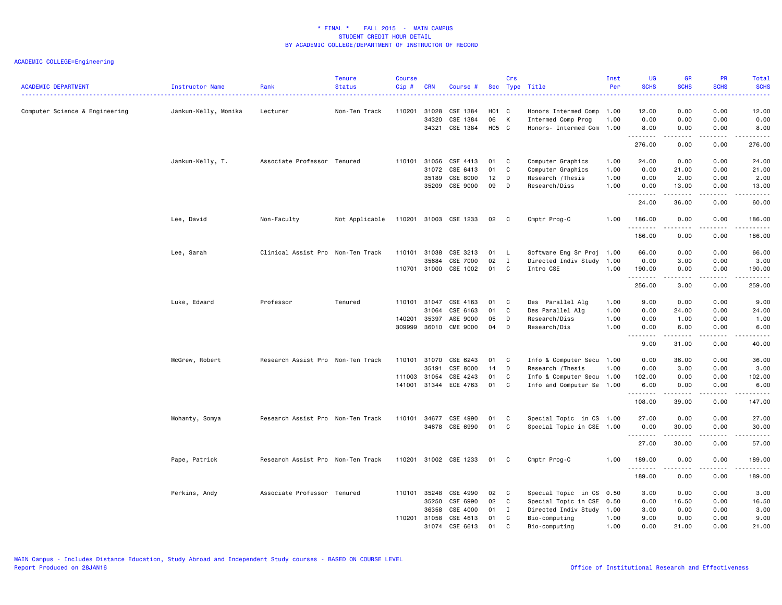| <b>ACADEMIC DEPARTMENT</b>     | Instructor Name      | Rank                              | <b>Tenure</b><br><b>Status</b> | <b>Course</b><br>Cip# | <b>CRN</b>   | Course #              |       | Crs          | Sec Type Title            | Inst<br>Per | UG<br><b>SCHS</b> | <b>GR</b><br><b>SCHS</b>            | PR<br><b>SCHS</b> | <b>Total</b><br><b>SCHS</b>                                                                                                                                                               |
|--------------------------------|----------------------|-----------------------------------|--------------------------------|-----------------------|--------------|-----------------------|-------|--------------|---------------------------|-------------|-------------------|-------------------------------------|-------------------|-------------------------------------------------------------------------------------------------------------------------------------------------------------------------------------------|
| Computer Science & Engineering | Jankun-Kelly, Monika | Lecturer                          | Non-Ten Track                  | 110201                | 31028        | CSE 1384              | H01 C |              | Honors Intermed Comp      | 1.00        | 12.00             | 0.00                                | 0.00              | 12.00                                                                                                                                                                                     |
|                                |                      |                                   |                                |                       | 34320        | CSE 1384              | 06    | K            | Intermed Comp Prog        | 1.00        | 0.00              | 0.00                                | 0.00              | 0.00                                                                                                                                                                                      |
|                                |                      |                                   |                                |                       | 34321        | CSE 1384              | H05 C |              | Honors- Intermed Com 1.00 |             | 8.00              | 0.00                                | 0.00              | 8.00                                                                                                                                                                                      |
|                                |                      |                                   |                                |                       |              |                       |       |              |                           |             | .<br>276.00       | $\omega$ is a set<br>0.00           | .<br>0.00         | .<br>276.00                                                                                                                                                                               |
|                                | Jankun-Kelly, T.     | Associate Professor Tenured       |                                | 110101                | 31056        | CSE 4413              | 01    | C            | Computer Graphics         | 1.00        | 24.00             | 0.00                                | 0.00              | 24.00                                                                                                                                                                                     |
|                                |                      |                                   |                                |                       | 31072        | CSE 6413              | 01    | C            | Computer Graphics         | 1.00        | 0.00              | 21.00                               | 0.00              | 21.00                                                                                                                                                                                     |
|                                |                      |                                   |                                |                       | 35189        | CSE 8000              | 12    | D            | Research / Thesis         | 1.00        | 0.00              | 2.00                                | 0.00              | 2.00                                                                                                                                                                                      |
|                                |                      |                                   |                                |                       | 35209        | CSE 9000              | 09    | D            | Research/Diss             | 1.00        | 0.00              | 13.00                               | 0.00              | 13.00                                                                                                                                                                                     |
|                                |                      |                                   |                                |                       |              |                       |       |              |                           |             | .<br>24.00        | .<br>36.00                          | .<br>0.00         | د د د د د<br>60.00                                                                                                                                                                        |
|                                | Lee, David           | Non-Faculty                       | Not Applicable                 |                       |              | 110201 31003 CSE 1233 | 02    | $\mathbf{C}$ | Cmptr Prog-C              | 1.00        | 186.00            | 0.00                                | 0.00              | 186.00                                                                                                                                                                                    |
|                                |                      |                                   |                                |                       |              |                       |       |              |                           |             | .<br>186.00       | 0.00                                | .<br>0.00         | .<br>186.00                                                                                                                                                                               |
|                                | Lee, Sarah           | Clinical Assist Pro Non-Ten Track |                                |                       | 110101 31038 | CSE 3213              | 01 L  |              | Software Eng Sr Proj 1.00 |             | 66.00             | 0.00                                | 0.00              | 66.00                                                                                                                                                                                     |
|                                |                      |                                   |                                |                       | 35684        | CSE 7000              | 02    | $\mathbf{I}$ | Directed Indiv Study      | 1.00        | 0.00              | 3.00                                | 0.00              | 3.00                                                                                                                                                                                      |
|                                |                      |                                   |                                |                       | 110701 31000 | CSE 1002              | 01    | C            | Intro CSE                 | 1.00        | 190.00            | 0.00                                | 0.00              | 190.00                                                                                                                                                                                    |
|                                |                      |                                   |                                |                       |              |                       |       |              |                           |             | .<br>256.00       | $\sim$ $\sim$ $\sim$ $\sim$<br>3.00 | .<br>0.00         | .<br>259.00                                                                                                                                                                               |
|                                | Luke, Edward         | Professor                         | Tenured                        |                       | 110101 31047 | CSE 4163              | 01    | C            | Des Parallel Alg          | 1.00        | 9.00              | 0.00                                | 0.00              | 9.00                                                                                                                                                                                      |
|                                |                      |                                   |                                |                       | 31064        | CSE 6163              | 01    | C            | Des Parallel Alg          | 1.00        | 0.00              | 24.00                               | 0.00              | 24.00                                                                                                                                                                                     |
|                                |                      |                                   |                                | 140201                | 35397        | ASE 9000              | 05    | D            | Research/Diss             | 1.00        | 0.00              | 1.00                                | 0.00              | 1.00                                                                                                                                                                                      |
|                                |                      |                                   |                                | 309999                | 36010        | <b>CME 9000</b>       | 04    | D            | Research/Dis              | 1.00        | 0.00              | 6.00                                | 0.00              | 6.00                                                                                                                                                                                      |
|                                |                      |                                   |                                |                       |              |                       |       |              |                           |             | .<br>9.00         | .<br>31.00                          | .<br>0.00         | .<br>40.00                                                                                                                                                                                |
|                                | McGrew, Robert       | Research Assist Pro Non-Ten Track |                                |                       | 110101 31070 | CSE 6243              | 01    | C            | Info & Computer Secu 1.00 |             | 0.00              | 36.00                               | 0.00              | 36.00                                                                                                                                                                                     |
|                                |                      |                                   |                                |                       | 35191        | CSE 8000              | 14    | D            | Research / Thesis         | 1.00        | 0.00              | 3.00                                | 0.00              | 3.00                                                                                                                                                                                      |
|                                |                      |                                   |                                | 111003                | 31054        | CSE 4243              | 01    | C            | Info & Computer Secu      | 1.00        | 102.00            | 0.00                                | 0.00              | 102.00                                                                                                                                                                                    |
|                                |                      |                                   |                                |                       |              | 141001 31344 ECE 4763 | 01    | $\mathbf{C}$ | Info and Computer Se 1.00 |             | 6.00              | 0.00                                | 0.00              | 6.00                                                                                                                                                                                      |
|                                |                      |                                   |                                |                       |              |                       |       |              |                           |             | .<br>108.00       | -----<br>39.00                      | د د د د<br>0.00   | -----<br>147.00                                                                                                                                                                           |
|                                | Mohanty, Somya       | Research Assist Pro Non-Ten Track |                                | 110101                | 34677        | CSE 4990              | 01    | C            | Special Topic in CS 1.00  |             | 27.00             | 0.00                                | 0.00              | 27.00                                                                                                                                                                                     |
|                                |                      |                                   |                                |                       | 34678        | CSE 6990              | 01    | $\mathtt{C}$ | Special Topic in CSE 1.00 |             | 0.00              | 30.00                               | 0.00              | 30.00                                                                                                                                                                                     |
|                                |                      |                                   |                                |                       |              |                       |       |              |                           |             | .<br>27.00        | .<br>30.00                          | 0.00              | 57.00                                                                                                                                                                                     |
|                                | Pape, Patrick        | Research Assist Pro Non-Ten Track |                                |                       |              | 110201 31002 CSE 1233 | 01    | $\mathbf{C}$ | Cmptr Prog-C              | 1.00        | 189.00            | 0.00                                | 0.00              | 189.00                                                                                                                                                                                    |
|                                |                      |                                   |                                |                       |              |                       |       |              |                           |             | .<br>189.00       | .<br>0.00                           | .<br>0.00         | $\frac{1}{2} \left( \frac{1}{2} \right) \left( \frac{1}{2} \right) \left( \frac{1}{2} \right) \left( \frac{1}{2} \right) \left( \frac{1}{2} \right) \left( \frac{1}{2} \right)$<br>189.00 |
|                                | Perkins, Andy        | Associate Professor Tenured       |                                | 110101                | 35248        | CSE 4990              | 02    | $\mathbf{C}$ | Special Topic in CS       | 0.50        | 3.00              | 0.00                                | 0.00              | 3.00                                                                                                                                                                                      |
|                                |                      |                                   |                                |                       | 35250        | CSE 6990              | 02    | C            | Special Topic in CSE 0.50 |             | 0.00              | 16.50                               | 0.00              | 16.50                                                                                                                                                                                     |
|                                |                      |                                   |                                |                       | 36358        | CSE 4000              | 01    | I            | Directed Indiv Study 1.00 |             | 3.00              | 0.00                                | 0.00              | 3.00                                                                                                                                                                                      |
|                                |                      |                                   |                                | 110201 31058          |              | CSE 4613              | 01    | C            | Bio-computing             | 1.00        | 9.00              | 0.00                                | 0.00              | 9.00                                                                                                                                                                                      |
|                                |                      |                                   |                                |                       | 31074        | CSE 6613              | 01    | $\mathsf{C}$ | Bio-computing             | 1.00        | 0.00              | 21.00                               | 0.00              | 21.00                                                                                                                                                                                     |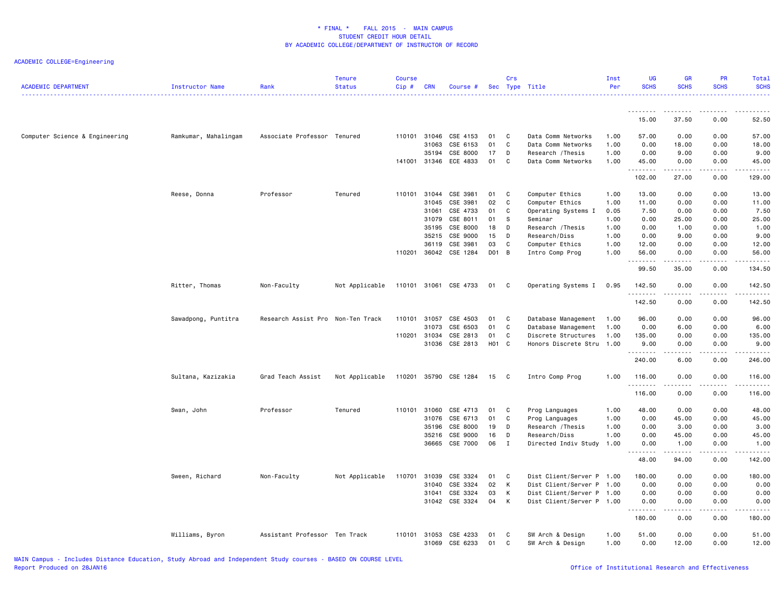| <b>ACADEMIC DEPARTMENT</b>     | Instructor Name      | Rank                              | <b>Tenure</b><br><b>Status</b> | <b>Course</b><br>Cip# | <b>CRN</b> | Course #              |                   | Crs            | Sec Type Title            | Inst<br>Per | <b>UG</b><br><b>SCHS</b> | <b>GR</b><br><b>SCHS</b> | <b>PR</b><br><b>SCHS</b> | Total<br><b>SCHS</b>    |
|--------------------------------|----------------------|-----------------------------------|--------------------------------|-----------------------|------------|-----------------------|-------------------|----------------|---------------------------|-------------|--------------------------|--------------------------|--------------------------|-------------------------|
|                                |                      |                                   |                                |                       |            |                       |                   |                |                           |             | <u>.</u>                 |                          |                          |                         |
|                                |                      |                                   |                                |                       |            |                       |                   |                |                           |             | 15.00                    | 37.50                    | 0.00                     | 52.50                   |
| Computer Science & Engineering | Ramkumar, Mahalingam | Associate Professor Tenured       |                                | 110101                | 31046      | CSE 4153              | 01                | <b>C</b>       | Data Comm Networks        | 1.00        | 57.00                    | 0.00                     | 0.00                     | 57.00                   |
|                                |                      |                                   |                                |                       | 31063      | CSE 6153              | 01                | C              | Data Comm Networks        | 1.00        | 0.00                     | 18.00                    | 0.00                     | 18.00                   |
|                                |                      |                                   |                                |                       | 35194      | CSE 8000              | 17                | D              | Research / Thesis         | 1.00        | 0.00                     | 9.00                     | 0.00                     | 9.00                    |
|                                |                      |                                   |                                | 141001                | 31346      | ECE 4833              | 01                | C              | Data Comm Networks        | 1.00        | 45.00<br>.               | 0.00<br>$\frac{1}{2}$    | 0.00                     | 45.00<br>$- - - - -$    |
|                                |                      |                                   |                                |                       |            |                       |                   |                |                           |             | 102.00                   | 27.00                    | 0.00                     | 129.00                  |
|                                | Reese, Donna         | Professor                         | Tenured                        | 110101 31044          |            | CSE 3981              | 01                | <b>C</b>       | Computer Ethics           | 1.00        | 13.00                    | 0.00                     | 0.00                     | 13.00                   |
|                                |                      |                                   |                                |                       | 31045      | CSE 3981              | 02                | C              | Computer Ethics           | 1.00        | 11.00                    | 0.00                     | 0.00                     | 11.00                   |
|                                |                      |                                   |                                |                       | 31061      | CSE 4733              | 01                | C              | Operating Systems I       | 0.05        | 7.50                     | 0.00                     | 0.00                     | 7.50                    |
|                                |                      |                                   |                                |                       | 31079      | CSE 8011              | 01                | S              | Seminar                   | 1.00        | 0.00                     | 25.00                    | 0.00                     | 25.00                   |
|                                |                      |                                   |                                |                       | 35195      | CSE 8000              | 18                | D              | Research / Thesis         | 1.00        | 0.00                     | 1.00                     | 0.00                     | 1.00                    |
|                                |                      |                                   |                                |                       | 35215      | CSE 9000              | 15                | $\overline{D}$ | Research/Diss             | 1.00        | 0.00                     | 9.00                     | 0.00                     | 9.00                    |
|                                |                      |                                   |                                |                       | 36119      | CSE 3981              | 03                | C.             | Computer Ethics           | 1.00        | 12.00                    | 0.00                     | 0.00                     | 12.00                   |
|                                |                      |                                   |                                | 110201                |            | 36042 CSE 1284        | D01 B             |                | Intro Comp Prog           | 1.00        | 56.00<br>.               | 0.00<br>-----            | 0.00<br>.                | 56.00<br>.              |
|                                |                      |                                   |                                |                       |            |                       |                   |                |                           |             | 99.50                    | 35.00                    | 0.00                     | 134.50                  |
|                                | Ritter, Thomas       | Non-Faculty                       | Not Applicable                 |                       |            | 110101 31061 CSE 4733 | 01 C              |                | Operating Systems I       | 0.95        | 142.50<br>.              | 0.00<br>.                | 0.00<br>.                | 142.50<br>$- - - - - -$ |
|                                |                      |                                   |                                |                       |            |                       |                   |                |                           |             | 142.50                   | 0.00                     | 0.00                     | 142.50                  |
|                                | Sawadpong, Puntitra  | Research Assist Pro Non-Ten Track |                                | 110101                | 31057      | CSE 4503              | 01                | $\mathbf{C}$   | Database Management       | 1.00        | 96.00                    | 0.00                     | 0.00                     | 96.00                   |
|                                |                      |                                   |                                |                       | 31073      | CSE 6503              | 01                | C              | Database Management       | 1.00        | 0.00                     | 6.00                     | 0.00                     | 6.00                    |
|                                |                      |                                   |                                | 110201 31034          |            | CSE 2813              | 01                | C              | Discrete Structures       | 1.00        | 135.00                   | 0.00                     | 0.00                     | 135.00                  |
|                                |                      |                                   |                                |                       |            | 31036 CSE 2813        | H <sub>01</sub> C |                | Honors Discrete Stru 1.00 |             | 9.00                     | 0.00                     | 0.00                     | 9.00                    |
|                                |                      |                                   |                                |                       |            |                       |                   |                |                           |             | . <b>.</b><br>240.00     | .<br>6.00                | .<br>0.00                | $- - - - - -$<br>246.00 |
|                                | Sultana, Kazizakia   | Grad Teach Assist                 | Not Applicable                 | 110201                |            | 35790 CSE 1284        | 15                | $\mathbf{C}$   | Intro Comp Prog           | 1.00        | 116.00                   | 0.00                     | 0.00                     | 116.00                  |
|                                |                      |                                   |                                |                       |            |                       |                   |                |                           |             | .                        | الأنابات                 | .                        | 222222                  |
|                                |                      |                                   |                                |                       |            |                       |                   |                |                           |             | 116.00                   | 0.00                     | 0.00                     | 116.00                  |
|                                | Swan, John           | Professor                         | Tenured                        | 110101                | 31060      | CSE 4713              | 01                | $\mathbf{C}$   | Prog Languages            | 1.00        | 48.00                    | 0.00                     | 0.00                     | 48.00                   |
|                                |                      |                                   |                                |                       | 31076      | CSE 6713              | 01                | C              | Prog Languages            | 1.00        | 0.00                     | 45.00                    | 0.00                     | 45.00                   |
|                                |                      |                                   |                                |                       | 35196      | CSE 8000              | 19                | D              | Research / Thesis         | 1.00        | 0.00                     | 3.00                     | 0.00                     | 3.00                    |
|                                |                      |                                   |                                |                       | 35216      | CSE 9000              | 16                | D              | Research/Diss             | 1.00        | 0.00                     | 45.00                    | 0.00                     | 45.00                   |
|                                |                      |                                   |                                |                       |            | 36665 CSE 7000        | 06                | $\mathbf I$    | Directed Indiv Study      | 1.00        | 0.00                     | 1.00                     | 0.00                     | 1.00                    |
|                                |                      |                                   |                                |                       |            |                       |                   |                |                           |             | 48.00                    | 94.00                    | 0.00                     | 142.00                  |
|                                | Sween, Richard       | Non-Faculty                       | Not Applicable                 | 110701                | 31039      | CSE 3324              | 01                | <b>C</b>       | Dist Client/Server P 1.00 |             | 180.00                   | 0.00                     | 0.00                     | 180.00                  |
|                                |                      |                                   |                                |                       | 31040      | CSE 3324              | 02                | K              | Dist Client/Server P      | 1.00        | 0.00                     | 0.00                     | 0.00                     | 0.00                    |
|                                |                      |                                   |                                |                       | 31041      | CSE 3324              | 03                | K              | Dist Client/Server P      | 1.00        | 0.00                     | 0.00                     | 0.00                     | 0.00                    |
|                                |                      |                                   |                                |                       |            | 31042 CSE 3324        | 04                | K              | Dist Client/Server P 1.00 |             | 0.00<br>.                | 0.00<br>.                | 0.00<br>.                | 0.00                    |
|                                |                      |                                   |                                |                       |            |                       |                   |                |                           |             | 180.00                   | 0.00                     | 0.00                     | 180.00                  |
|                                | Williams, Byron      | Assistant Professor Ten Track     |                                | 110101                | 31053      | CSE 4233              | 01                | C              | SW Arch & Design          | 1.00        | 51.00                    | 0.00                     | 0.00                     | 51.00                   |
|                                |                      |                                   |                                |                       |            | 31069 CSE 6233        | 01                | C              | SW Arch & Design          | 1.00        | 0.00                     | 12.00                    | 0.00                     | 12.00                   |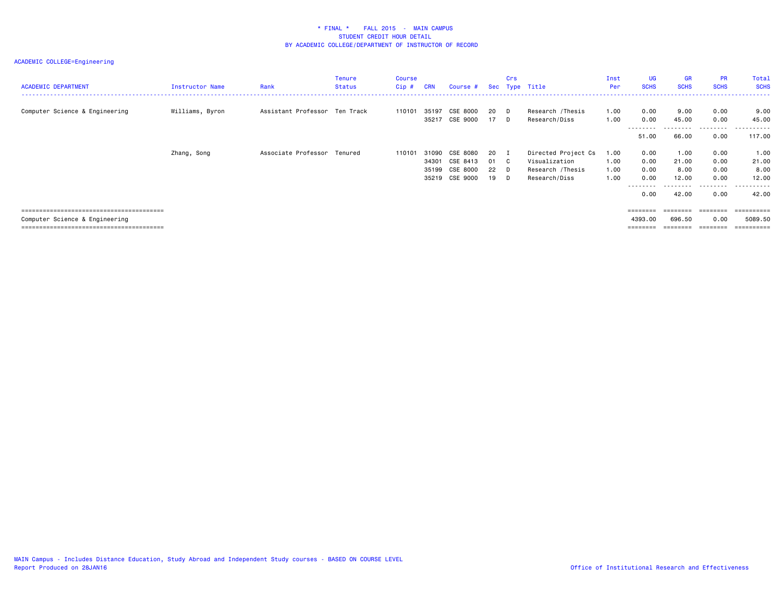| <b>ACADEMIC DEPARTMENT</b>     | Instructor Name | Rank                          | <b>Tenure</b><br><b>Status</b> | Course<br>$Cip$ # | <b>CRN</b>                       | Course #                                     |                      | Crs                                    | Sec Type Title                                                            | Inst<br>Per                  | UG<br><b>SCHS</b>                    | <b>GR</b><br><b>SCHS</b>                | <b>PR</b><br><b>SCHS</b>                          | Total<br><b>SCHS</b>                                     |
|--------------------------------|-----------------|-------------------------------|--------------------------------|-------------------|----------------------------------|----------------------------------------------|----------------------|----------------------------------------|---------------------------------------------------------------------------|------------------------------|--------------------------------------|-----------------------------------------|---------------------------------------------------|----------------------------------------------------------|
| Computer Science & Engineering | Williams, Byron | Assistant Professor Ten Track |                                | 110101            | 35197<br>35217                   | CSE 8000<br>CSE 9000                         | -20<br>17            | D.<br>D                                | Research /Thesis<br>Research/Diss                                         | 1.00<br>1.00                 | 0.00<br>0.00<br>---------            | 9.00<br>45.00<br>.                      | 0.00<br>0.00<br>.                                 | 9.00<br>45.00<br>.                                       |
|                                |                 |                               |                                |                   |                                  |                                              |                      |                                        |                                                                           |                              | 51.00                                | 66.00                                   | 0.00                                              | 117.00                                                   |
|                                | Zhang, Song     | Associate Professor Tenured   |                                | 110101            | 31090<br>34301<br>35199<br>35219 | CSE 8080<br>CSE 8413<br>CSE 8000<br>CSE 9000 | 20<br>01<br>22<br>19 | $\mathbf I$<br>$\mathbf{C}$<br>D<br>D. | Directed Project Cs<br>Visualization<br>Research /Thesis<br>Research/Diss | 1.00<br>1.00<br>1.00<br>1.00 | 0.00<br>0.00<br>0.00<br>0.00<br>0.00 | 1.00<br>21.00<br>8.00<br>12.00<br>42.00 | 0.00<br>0.00<br>0.00<br>0.00<br>---------<br>0.00 | 1.00<br>21.00<br>8.00<br>12.00<br>- - - - - - -<br>42.00 |
|                                |                 |                               |                                |                   |                                  |                                              |                      |                                        |                                                                           |                              | $=$ = = = = = = =                    |                                         |                                                   | ========                                                 |
| Computer Science & Engineering |                 |                               |                                |                   |                                  |                                              |                      |                                        |                                                                           |                              | 4393.00<br>========                  | 696.50<br>========                      | 0.00<br>---------                                 | 5089.50<br>==========                                    |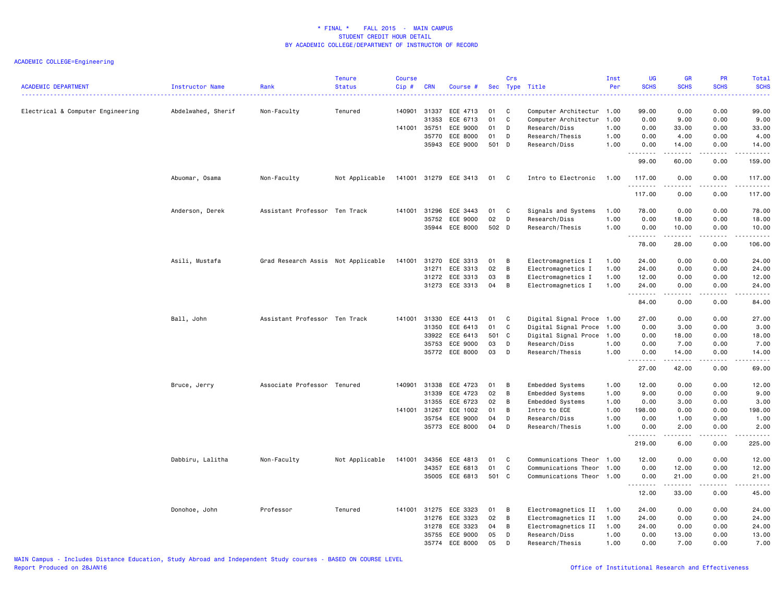| 140901<br>99.00<br>0.00<br>0.00<br>99.00<br>Electrical & Computer Engineering<br>Abdelwahed, Sherif<br>Non-Faculty<br>Tenured<br>31337<br>ECE 4713<br>01<br>C<br>Computer Architectur 1.00<br>31353<br>ECE 6713<br>01<br>C<br>0.00<br>9.00<br>0.00<br>9.00<br>Computer Architectur<br>1.00<br>35751<br>ECE 9000<br>01<br>Research/Diss<br>1.00<br>0.00<br>33.00<br>0.00<br>33.00<br>141001<br>D<br>35770<br>ECE 8000<br>01<br>D<br>Research/Thesis<br>1.00<br>0.00<br>4.00<br>0.00<br>4.00<br>ECE 9000<br>35943<br>501 D<br>Research/Diss<br>1.00<br>0.00<br>14.00<br>0.00<br>14.00<br>.<br>.<br>.<br>99.00<br>60.00<br>0.00<br>159.00<br>Abuomar, Osama<br>Non-Faculty<br>Not Applicable<br>141001 31279 ECE 3413<br>01<br>C<br>Intro to Electronic<br>1.00<br>117.00<br>0.00<br>0.00<br>117.00 |
|--------------------------------------------------------------------------------------------------------------------------------------------------------------------------------------------------------------------------------------------------------------------------------------------------------------------------------------------------------------------------------------------------------------------------------------------------------------------------------------------------------------------------------------------------------------------------------------------------------------------------------------------------------------------------------------------------------------------------------------------------------------------------------------------------|
|                                                                                                                                                                                                                                                                                                                                                                                                                                                                                                                                                                                                                                                                                                                                                                                                  |
|                                                                                                                                                                                                                                                                                                                                                                                                                                                                                                                                                                                                                                                                                                                                                                                                  |
|                                                                                                                                                                                                                                                                                                                                                                                                                                                                                                                                                                                                                                                                                                                                                                                                  |
|                                                                                                                                                                                                                                                                                                                                                                                                                                                                                                                                                                                                                                                                                                                                                                                                  |
|                                                                                                                                                                                                                                                                                                                                                                                                                                                                                                                                                                                                                                                                                                                                                                                                  |
|                                                                                                                                                                                                                                                                                                                                                                                                                                                                                                                                                                                                                                                                                                                                                                                                  |
| .<br>.<br>$2 - 2 - 2 - 2$<br>117.00<br>0.00<br>0.00<br>117.00                                                                                                                                                                                                                                                                                                                                                                                                                                                                                                                                                                                                                                                                                                                                    |
| Assistant Professor Ten Track<br>31296<br>ECE 3443<br>Signals and Systems<br>78.00<br>0.00<br>0.00<br>78.00<br>Anderson, Derek<br>141001<br>01<br>C <sub>1</sub><br>1.00                                                                                                                                                                                                                                                                                                                                                                                                                                                                                                                                                                                                                         |
| 02<br>ECE 9000<br>D<br>0.00<br>35752<br>Research/Diss<br>1.00<br>18.00<br>0.00<br>18.00                                                                                                                                                                                                                                                                                                                                                                                                                                                                                                                                                                                                                                                                                                          |
| 35944 ECE 8000<br>502 D<br>Research/Thesis<br>1.00<br>0.00<br>10.00<br>0.00<br>10.00<br>.<br>.<br>.                                                                                                                                                                                                                                                                                                                                                                                                                                                                                                                                                                                                                                                                                              |
| 78.00<br>28.00<br>0.00<br>106.00                                                                                                                                                                                                                                                                                                                                                                                                                                                                                                                                                                                                                                                                                                                                                                 |
| Asili, Mustafa<br>Grad Research Assis Not Applicable<br>141001<br>31270<br>ECE 3313<br>01<br>B<br>Electromagnetics I<br>1.00<br>24.00<br>0.00<br>0.00<br>24.00                                                                                                                                                                                                                                                                                                                                                                                                                                                                                                                                                                                                                                   |
| 02<br>31271<br>ECE 3313<br>B<br>Electromagnetics I<br>1.00<br>24.00<br>0.00<br>0.00<br>24.00                                                                                                                                                                                                                                                                                                                                                                                                                                                                                                                                                                                                                                                                                                     |
| 03<br>31272<br>ECE 3313<br>B<br>Electromagnetics I<br>1.00<br>12.00<br>0.00<br>0.00<br>12.00                                                                                                                                                                                                                                                                                                                                                                                                                                                                                                                                                                                                                                                                                                     |
| 31273 ECE 3313<br>04<br>B<br>Electromagnetics I<br>24.00<br>0.00<br>0.00<br>1.00<br>24.00<br>.<br>.<br>.<br>.                                                                                                                                                                                                                                                                                                                                                                                                                                                                                                                                                                                                                                                                                    |
| 84.00<br>0.00<br>0.00<br>84.00                                                                                                                                                                                                                                                                                                                                                                                                                                                                                                                                                                                                                                                                                                                                                                   |
| Ball, John<br>Assistant Professor Ten Track<br>141001<br>31330<br>ECE 4413<br>01<br>C<br>Digital Signal Proce 1.00<br>27.00<br>0.00<br>0.00<br>27.00                                                                                                                                                                                                                                                                                                                                                                                                                                                                                                                                                                                                                                             |
| 31350<br>ECE 6413<br>01<br>C<br>Digital Signal Proce<br>0.00<br>3.00<br>0.00<br>3.00<br>1.00                                                                                                                                                                                                                                                                                                                                                                                                                                                                                                                                                                                                                                                                                                     |
| ECE 6413<br>501 C<br>18.00<br>0.00<br>33922<br>Digital Signal Proce 1.00<br>0.00<br>18.00                                                                                                                                                                                                                                                                                                                                                                                                                                                                                                                                                                                                                                                                                                        |
| D<br>ECE 9000<br>03<br>0.00<br>0.00<br>35753<br>Research/Diss<br>1.00<br>7.00<br>7.00<br>03                                                                                                                                                                                                                                                                                                                                                                                                                                                                                                                                                                                                                                                                                                      |
| 35772<br>ECE 8000<br>D<br>Research/Thesis<br>1.00<br>0.00<br>14.00<br>0.00<br>14.00<br>.<br>.<br>.<br>.                                                                                                                                                                                                                                                                                                                                                                                                                                                                                                                                                                                                                                                                                          |
| 42.00<br>27.00<br>0.00<br>69.00                                                                                                                                                                                                                                                                                                                                                                                                                                                                                                                                                                                                                                                                                                                                                                  |
| 31338<br>ECE 4723<br>Embedded Systems<br>12.00<br>Bruce, Jerry<br>Associate Professor Tenured<br>140901<br>01<br>B<br>1.00<br>0.00<br>0.00<br>12.00                                                                                                                                                                                                                                                                                                                                                                                                                                                                                                                                                                                                                                              |
| ECE 4723<br>02<br>31339<br>B<br>Embedded Systems<br>1.00<br>9.00<br>0.00<br>0.00<br>9.00                                                                                                                                                                                                                                                                                                                                                                                                                                                                                                                                                                                                                                                                                                         |
| 31355<br>ECE 6723<br>02<br>B<br>Embedded Systems<br>1.00<br>0.00<br>3.00<br>0.00<br>3.00                                                                                                                                                                                                                                                                                                                                                                                                                                                                                                                                                                                                                                                                                                         |
| 141001 31267<br>ECE 1002<br>01<br>B<br>1.00<br>198.00<br>0.00<br>0.00<br>198.00<br>Intro to ECE<br>35754<br>ECE 9000<br>04<br>D<br>0.00<br>1.00<br>0.00<br>Research/Diss<br>1.00<br>1.00                                                                                                                                                                                                                                                                                                                                                                                                                                                                                                                                                                                                         |
| ECE 8000<br>04<br>D<br>0.00<br>35773<br>Research/Thesis<br>1.00<br>0.00<br>2.00<br>2.00                                                                                                                                                                                                                                                                                                                                                                                                                                                                                                                                                                                                                                                                                                          |
| .<br>.<br>.<br>.<br>219.00<br>6.00<br>0.00<br>225.00                                                                                                                                                                                                                                                                                                                                                                                                                                                                                                                                                                                                                                                                                                                                             |
| 34356                                                                                                                                                                                                                                                                                                                                                                                                                                                                                                                                                                                                                                                                                                                                                                                            |
| ECE 4813<br>12.00<br>0.00<br>0.00<br>12.00<br>Dabbiru, Lalitha<br>Non-Faculty<br>Not Applicable<br>141001<br>01<br>C<br>Communications Theor 1.00<br>01<br>C<br>34357<br>ECE 6813<br>Communications Theor<br>1.00<br>0.00<br>12.00<br>0.00<br>12.00                                                                                                                                                                                                                                                                                                                                                                                                                                                                                                                                              |
| 35005 ECE 6813<br>501 C<br>Communications Theor 1.00<br>0.00<br>21.00<br>0.00<br>21.00                                                                                                                                                                                                                                                                                                                                                                                                                                                                                                                                                                                                                                                                                                           |
| .<br>-----<br>.<br>.<br>12.00<br>33.00<br>0.00<br>45.00                                                                                                                                                                                                                                                                                                                                                                                                                                                                                                                                                                                                                                                                                                                                          |
|                                                                                                                                                                                                                                                                                                                                                                                                                                                                                                                                                                                                                                                                                                                                                                                                  |
| 31275<br>ECE 3323<br>B<br>Electromagnetics II<br>24.00<br>0.00<br>0.00<br>Donohoe, John<br>Professor<br>Tenured<br>141001<br>01<br>1.00<br>24.00<br>02<br>31276<br>1.00<br>24.00<br>0.00<br>24.00                                                                                                                                                                                                                                                                                                                                                                                                                                                                                                                                                                                                |
| ECE 3323<br>B<br>Electromagnetics II<br>0.00<br>ECE 3323<br>04<br>B<br>31278<br>Electromagnetics II<br>1.00<br>24.00<br>0.00<br>0.00<br>24.00                                                                                                                                                                                                                                                                                                                                                                                                                                                                                                                                                                                                                                                    |
| 05<br>35755<br>ECE 9000<br>D<br>Research/Diss<br>1.00<br>0.00<br>13.00<br>0.00<br>13.00                                                                                                                                                                                                                                                                                                                                                                                                                                                                                                                                                                                                                                                                                                          |
| 35774<br>ECE 8000<br>05<br>D<br>Research/Thesis<br>1.00<br>0.00<br>7.00<br>0.00<br>7.00                                                                                                                                                                                                                                                                                                                                                                                                                                                                                                                                                                                                                                                                                                          |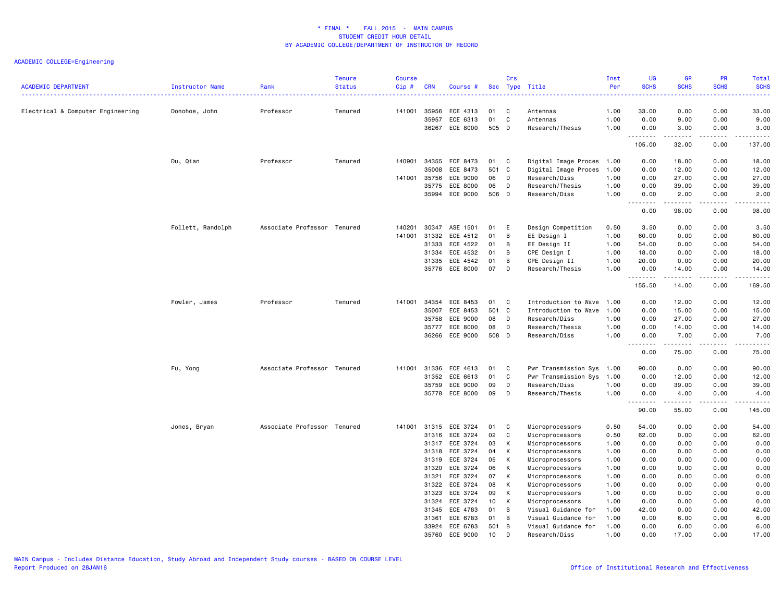| <b>ACADEMIC DEPARTMENT</b>        | Instructor Name   | Rank<br>------------------  | <b>Tenure</b><br><b>Status</b> | <b>Course</b><br>Cip# | <b>CRN</b>     | Course #             |             | Crs            | Sec Type Title                       | Inst<br>Per  | <b>UG</b><br><b>SCHS</b><br>2222  | <b>GR</b><br><b>SCHS</b>                                                                                                                             | <b>PR</b><br><b>SCHS</b><br>المتمام | Total<br><b>SCHS</b><br>$\frac{1}{2} \left( \frac{1}{2} \right) \left( \frac{1}{2} \right) \left( \frac{1}{2} \right) \left( \frac{1}{2} \right)$ |
|-----------------------------------|-------------------|-----------------------------|--------------------------------|-----------------------|----------------|----------------------|-------------|----------------|--------------------------------------|--------------|-----------------------------------|------------------------------------------------------------------------------------------------------------------------------------------------------|-------------------------------------|---------------------------------------------------------------------------------------------------------------------------------------------------|
| Electrical & Computer Engineering | Donohoe, John     | Professor                   | Tenured                        | 141001                | 35956          | ECE 4313             | 01          | C              | Antennas                             | 1.00         | 33.00                             | 0.00                                                                                                                                                 | 0.00                                | 33.00                                                                                                                                             |
|                                   |                   |                             |                                |                       | 35957          | ECE 6313             | 01          | C              | Antennas                             | 1.00         | 0.00                              | 9.00                                                                                                                                                 | 0.00                                | 9.00                                                                                                                                              |
|                                   |                   |                             |                                |                       | 36267          | ECE 8000             | 505 D       |                | Research/Thesis                      | 1.00         | 0.00<br>.                         | 3.00<br>.                                                                                                                                            | 0.00<br>.                           | 3.00<br>.                                                                                                                                         |
|                                   |                   |                             |                                |                       |                |                      |             |                |                                      |              | 105.00                            | 32.00                                                                                                                                                | 0.00                                | 137.00                                                                                                                                            |
|                                   | Du, Qian          | Professor                   | Tenured                        | 140901                | 34355          | ECE 8473             | 01          | C              | Digital Image Proces 1.00            |              | 0.00                              | 18.00                                                                                                                                                | 0.00                                | 18.00                                                                                                                                             |
|                                   |                   |                             |                                |                       | 35008          | ECE 8473             | 501         | $\mathbf{C}$   | Digital Image Proces                 | 1.00         | 0.00                              | 12.00                                                                                                                                                | 0.00                                | 12.00                                                                                                                                             |
|                                   |                   |                             |                                | 141001                | 35756          | ECE 9000             | 06          | D              | Research/Diss                        | 1.00         | 0.00                              | 27.00                                                                                                                                                | 0.00                                | 27.00                                                                                                                                             |
|                                   |                   |                             |                                |                       | 35775<br>35994 | ECE 8000<br>ECE 9000 | 06<br>506 D | D              | Research/Thesis<br>Research/Diss     | 1.00<br>1.00 | 0.00<br>0.00                      | 39.00<br>2.00                                                                                                                                        | 0.00<br>0.00                        | 39.00<br>2.00                                                                                                                                     |
|                                   |                   |                             |                                |                       |                |                      |             |                |                                      |              | .<br>.                            | $\frac{1}{2} \left( \frac{1}{2} \right) \left( \frac{1}{2} \right) \left( \frac{1}{2} \right) \left( \frac{1}{2} \right) \left( \frac{1}{2} \right)$ | .                                   | <u>.</u>                                                                                                                                          |
|                                   |                   |                             |                                |                       |                |                      |             |                |                                      |              | 0.00                              | 98.00                                                                                                                                                | 0.00                                | 98.00                                                                                                                                             |
|                                   | Follett, Randolph | Associate Professor Tenured |                                | 140201                | 30347          | ASE 1501             | 01          | E              | Design Competition                   | 0.50         | 3.50                              | 0.00                                                                                                                                                 | 0.00                                | 3.50                                                                                                                                              |
|                                   |                   |                             |                                | 141001                | 31332          | ECE 4512             | 01          | B              | EE Design I                          | 1.00         | 60.00                             | 0.00                                                                                                                                                 | 0.00                                | 60.00                                                                                                                                             |
|                                   |                   |                             |                                |                       | 31333          | ECE 4522             | 01          | B              | EE Design II                         | 1.00         | 54.00                             | 0.00                                                                                                                                                 | 0.00                                | 54.00                                                                                                                                             |
|                                   |                   |                             |                                |                       | 31334          | ECE 4532             | 01          | B              | CPE Design I                         | 1.00         | 18.00                             | 0.00                                                                                                                                                 | 0.00                                | 18.00                                                                                                                                             |
|                                   |                   |                             |                                |                       | 31335          | ECE 4542             | 01          | B              | CPE Design II                        | 1.00         | 20.00                             | 0.00                                                                                                                                                 | 0.00                                | 20.00                                                                                                                                             |
|                                   |                   |                             |                                |                       | 35776          | ECE 8000             | 07          | D              | Research/Thesis                      | 1.00         | 0.00<br>.                         | 14.00<br>.                                                                                                                                           | 0.00<br>$\frac{1}{2}$               | 14.00<br>.                                                                                                                                        |
|                                   |                   |                             |                                |                       |                |                      |             |                |                                      |              | 155.50                            | 14.00                                                                                                                                                | 0.00                                | 169.50                                                                                                                                            |
|                                   | Fowler, James     | Professor                   | Tenured                        | 141001                | 34354          | ECE 8453             | 01          | C              | Introduction to Wave 1.00            |              | 0.00                              | 12.00                                                                                                                                                | 0.00                                | 12.00                                                                                                                                             |
|                                   |                   |                             |                                |                       | 35007          | ECE 8453             | 501         | C              | Introduction to Wave 1.00            |              | 0.00                              | 15.00                                                                                                                                                | 0.00                                | 15.00                                                                                                                                             |
|                                   |                   |                             |                                |                       | 35758          | ECE 9000             | 08          | D              | Research/Diss                        | 1.00         | 0.00                              | 27.00                                                                                                                                                | 0.00                                | 27.00                                                                                                                                             |
|                                   |                   |                             |                                |                       | 35777          | ECE 8000             | 08          | D              | Research/Thesis                      | 1.00         | 0.00                              | 14.00                                                                                                                                                | 0.00                                | 14.00                                                                                                                                             |
|                                   |                   |                             |                                |                       | 36266          | ECE 9000             | 508 D       |                | Research/Diss                        | 1.00         | 0.00<br>$\sim$ $\sim$ $\sim$<br>. | 7.00<br>.                                                                                                                                            | 0.00<br>.                           | 7.00<br>.                                                                                                                                         |
|                                   |                   |                             |                                |                       |                |                      |             |                |                                      |              | 0.00                              | 75.00                                                                                                                                                | 0.00                                | 75.00                                                                                                                                             |
|                                   | Fu, Yong          | Associate Professor Tenured |                                | 141001                | 31336          | ECE 4613             | 01          | C              | Pwr Transmission Sys 1.00            |              | 90.00                             | 0.00                                                                                                                                                 | 0.00                                | 90.00                                                                                                                                             |
|                                   |                   |                             |                                |                       | 31352          | ECE 6613             | 01          | C              | Pwr Transmission Sys 1.00            |              | 0.00                              | 12.00                                                                                                                                                | 0.00                                | 12.00                                                                                                                                             |
|                                   |                   |                             |                                |                       | 35759          | ECE 9000             | 09          | D              | Research/Diss                        | 1.00         | 0.00                              | 39.00                                                                                                                                                | 0.00                                | 39.00                                                                                                                                             |
|                                   |                   |                             |                                |                       | 35778          | ECE 8000             | 09          | D              | Research/Thesis                      | 1.00         | 0.00                              | 4.00                                                                                                                                                 | 0.00                                | 4.00                                                                                                                                              |
|                                   |                   |                             |                                |                       |                |                      |             |                |                                      |              | .<br>90.00                        | 55.00                                                                                                                                                | $\sim$ $\sim$ $\sim$ $\sim$<br>0.00 | $\sim$ $\sim$ $\sim$ $\sim$ $\sim$<br>145.00                                                                                                      |
|                                   | Jones, Bryan      | Associate Professor Tenured |                                | 141001                | 31315          | ECE 3724             | 01          | C              | Microprocessors                      | 0.50         | 54.00                             | 0.00                                                                                                                                                 | 0.00                                | 54.00                                                                                                                                             |
|                                   |                   |                             |                                |                       | 31316          | ECE 3724             | 02          | C              | Microprocessors                      | 0.50         | 62.00                             | 0.00                                                                                                                                                 | 0.00                                | 62.00                                                                                                                                             |
|                                   |                   |                             |                                |                       | 31317          | ECE 3724             | 03          | К              | Microprocessors                      | 1.00         | 0.00                              | 0.00                                                                                                                                                 | 0.00                                | 0.00                                                                                                                                              |
|                                   |                   |                             |                                |                       | 31318          | ECE 3724             | 04          | K              | Microprocessors                      | 1.00         | 0.00                              | 0.00                                                                                                                                                 | 0.00                                | 0.00                                                                                                                                              |
|                                   |                   |                             |                                |                       | 31319          | ECE 3724             | 05          | К              | Microprocessors                      | 1.00         | 0.00                              | 0.00                                                                                                                                                 | 0.00                                | 0.00                                                                                                                                              |
|                                   |                   |                             |                                |                       | 31320          | ECE 3724             | 06          | К              | Microprocessors                      | 1.00         | 0.00                              | 0.00                                                                                                                                                 | 0.00                                | 0.00                                                                                                                                              |
|                                   |                   |                             |                                |                       | 31321          | ECE 3724             | 07          | K              | Microprocessors                      | 1.00         | 0.00                              | 0.00                                                                                                                                                 | 0.00                                | 0.00                                                                                                                                              |
|                                   |                   |                             |                                |                       | 31322          | ECE 3724             | 08          | К              | Microprocessors                      | 1.00         | 0.00                              | 0.00                                                                                                                                                 | 0.00                                | 0.00                                                                                                                                              |
|                                   |                   |                             |                                |                       | 31323          | ECE 3724             | 09          | К              | Microprocessors                      | 1.00         | 0.00                              | 0.00                                                                                                                                                 | 0.00                                | 0.00                                                                                                                                              |
|                                   |                   |                             |                                |                       | 31324          | ECE 3724             | 10          | K              | Microprocessors                      | 1.00         | 0.00                              | 0.00                                                                                                                                                 | 0.00                                | 0.00                                                                                                                                              |
|                                   |                   |                             |                                |                       | 31345          | ECE 4783             | 01          | $\overline{B}$ | Visual Guidance for                  | 1.00         | 42.00                             | 0.00                                                                                                                                                 | 0.00                                | 42.00                                                                                                                                             |
|                                   |                   |                             |                                |                       | 31361          | ECE 6783             | 01          | B<br>B         | Visual Guidance for                  | 1.00<br>1.00 | 0.00                              | 6.00<br>6.00                                                                                                                                         | 0.00<br>0.00                        | 6.00                                                                                                                                              |
|                                   |                   |                             |                                |                       | 33924<br>35760 | ECE 6783<br>ECE 9000 | 501<br>10   | D              | Visual Guidance for<br>Research/Diss | 1.00         | 0.00<br>0.00                      | 17.00                                                                                                                                                | 0.00                                | 6.00<br>17.00                                                                                                                                     |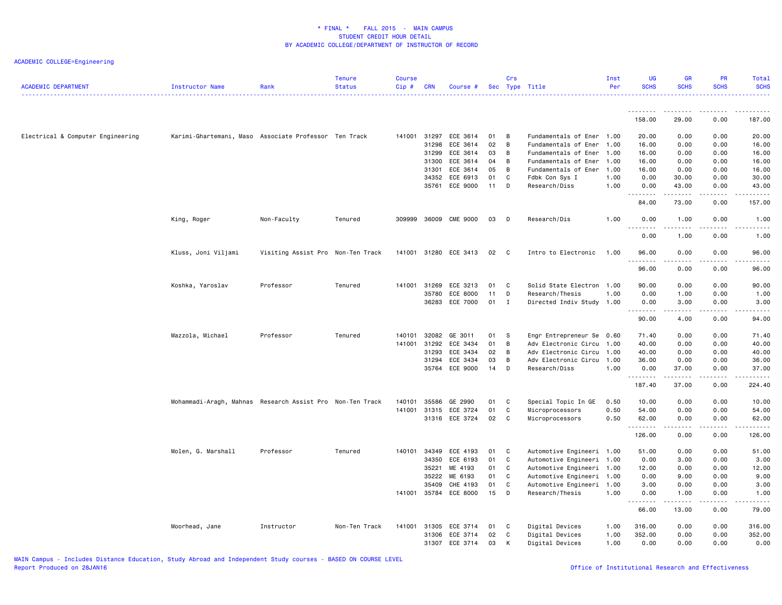| <b>ACADEMIC DEPARTMENT</b>        | Instructor Name                                           | Rank                              | <b>Tenure</b><br><b>Status</b> | <b>Course</b><br>Cip# | <b>CRN</b>   | Course #       |        | Crs            | Sec Type Title            | Inst<br>Per | <b>UG</b><br><b>SCHS</b> | <b>GR</b><br><b>SCHS</b>        | PR<br><b>SCHS</b> | Total<br><b>SCHS</b>                                                                                                                                                                     |
|-----------------------------------|-----------------------------------------------------------|-----------------------------------|--------------------------------|-----------------------|--------------|----------------|--------|----------------|---------------------------|-------------|--------------------------|---------------------------------|-------------------|------------------------------------------------------------------------------------------------------------------------------------------------------------------------------------------|
|                                   |                                                           |                                   |                                |                       |              |                |        |                |                           |             | --------                 | <u>.</u>                        | <u>.</u>          |                                                                                                                                                                                          |
|                                   |                                                           |                                   |                                |                       |              |                |        |                |                           |             | 158.00                   | 29.00                           | 0.00              | 187.00                                                                                                                                                                                   |
| Electrical & Computer Engineering | Karimi-Ghartemani, Maso Associate Professor Ten Track     |                                   |                                | 141001                | 31297        | ECE 3614       | 01     | B              | Fundamentals of Ener 1.00 |             | 20.00                    | 0.00                            | 0.00              | 20.00                                                                                                                                                                                    |
|                                   |                                                           |                                   |                                |                       | 31298        | ECE 3614       | 02     | B              | Fundamentals of Ener      | 1.00        | 16.00                    | 0.00                            | 0.00              | 16.00                                                                                                                                                                                    |
|                                   |                                                           |                                   |                                |                       | 31299        | ECE 3614       | 03     | B              | Fundamentals of Ener      | 1.00        | 16.00                    | 0.00                            | 0.00              | 16.00                                                                                                                                                                                    |
|                                   |                                                           |                                   |                                |                       | 31300        | ECE 3614       | 04     | B              | Fundamentals of Ener      | 1.00        | 16.00                    | 0.00                            | 0.00              | 16.00                                                                                                                                                                                    |
|                                   |                                                           |                                   |                                |                       | 31301        | ECE 3614       | 05     | B              | Fundamentals of Ener 1.00 |             | 16.00                    | 0.00                            | 0.00              | 16.00                                                                                                                                                                                    |
|                                   |                                                           |                                   |                                |                       |              | 34352 ECE 6913 | 01     | C              | Fdbk Con Sys I            | 1.00        | 0.00                     | 30.00                           | 0.00              | 30.00                                                                                                                                                                                    |
|                                   |                                                           |                                   |                                |                       |              | 35761 ECE 9000 | $11$ D |                | Research/Diss             | 1.00        | 0.00<br>.                | 43.00                           | 0.00              | 43.00                                                                                                                                                                                    |
|                                   |                                                           |                                   |                                |                       |              |                |        |                |                           |             | 84.00                    | 73.00                           | 0.00              | 157.00                                                                                                                                                                                   |
|                                   | King, Roger                                               | Non-Faculty                       | Tenured                        | 309999                |              | 36009 CME 9000 | 03     | $\Box$         | Research/Dis              | 1.00        | 0.00                     | 1.00                            | 0.00              | 1.00                                                                                                                                                                                     |
|                                   |                                                           |                                   |                                |                       |              |                |        |                |                           |             | 0.00                     | 1.00                            | 0.00              | 1.00                                                                                                                                                                                     |
|                                   | Kluss, Joni Viljami                                       | Visiting Assist Pro Non-Ten Track |                                | 141001                |              | 31280 ECE 3413 | 02     | $\mathbf{C}$   | Intro to Electronic       | 1.00        | 96.00<br>.               | 0.00<br>$\omega$ is $\omega$ in | 0.00              | 96.00                                                                                                                                                                                    |
|                                   |                                                           |                                   |                                |                       |              |                |        |                |                           |             | 96.00                    | 0.00                            | 0.00              | 96.00                                                                                                                                                                                    |
|                                   | Koshka, Yaroslav                                          | Professor                         | Tenured                        |                       | 141001 31269 | ECE 3213       | 01     | $\mathbf{C}$   | Solid State Electron 1.00 |             | 90.00                    | 0.00                            | 0.00              | 90.00                                                                                                                                                                                    |
|                                   |                                                           |                                   |                                |                       | 35780        | ECE 8000       | 11     | D              | Research/Thesis           | 1.00        | 0.00                     | 1.00                            | 0.00              | 1.00                                                                                                                                                                                     |
|                                   |                                                           |                                   |                                |                       |              | 36283 ECE 7000 | 01     | $\mathbf{I}$   | Directed Indiv Study 1.00 |             | 0.00                     | 3.00                            | 0.00              | 3.00                                                                                                                                                                                     |
|                                   |                                                           |                                   |                                |                       |              |                |        |                |                           |             | . <b>.</b><br>90.00      | .<br>4.00                       | .<br>0.00         | $\frac{1}{2}$<br>94.00                                                                                                                                                                   |
|                                   | Mazzola, Michael                                          | Professor                         | Tenured                        | 140101                | 32082        | GE 3011        | 01     | - S            | Engr Entrepreneur Se 0.60 |             | 71.40                    | 0.00                            | 0.00              | 71.40                                                                                                                                                                                    |
|                                   |                                                           |                                   |                                | 141001                | 31292        | ECE 3434       | 01     | B              | Adv Electronic Circu      | 1.00        | 40.00                    | 0.00                            | 0.00              | 40.00                                                                                                                                                                                    |
|                                   |                                                           |                                   |                                |                       | 31293        | ECE 3434       | 02     | $\overline{B}$ | Adv Electronic Circu      | 1.00        | 40.00                    | 0.00                            | 0.00              | 40.00                                                                                                                                                                                    |
|                                   |                                                           |                                   |                                |                       | 31294        | ECE 3434       | 03     | B              | Adv Electronic Circu      | 1.00        | 36.00                    | 0.00                            | 0.00              | 36.00                                                                                                                                                                                    |
|                                   |                                                           |                                   |                                |                       |              | 35764 ECE 9000 | 14     | D              | Research/Diss             | 1.00        | 0.00<br>.                | 37.00<br>.                      | 0.00<br>.         | 37.00<br>$\frac{1}{2} \left( \frac{1}{2} \right) \left( \frac{1}{2} \right) \left( \frac{1}{2} \right) \left( \frac{1}{2} \right) \left( \frac{1}{2} \right) \left( \frac{1}{2} \right)$ |
|                                   |                                                           |                                   |                                |                       |              |                |        |                |                           |             | 187.40                   | 37.00                           | 0.00              | 224.40                                                                                                                                                                                   |
|                                   | Mohammadi-Aragh, Mahnas Research Assist Pro Non-Ten Track |                                   |                                | 140101                | 35586        | GE 2990        | 01     | <b>C</b>       | Special Topic In GE       | 0.50        | 10.00                    | 0.00                            | 0.00              | 10.00                                                                                                                                                                                    |
|                                   |                                                           |                                   |                                | 141001                |              | 31315 ECE 3724 | 01     | C              | Microprocessors           | 0.50        | 54.00                    | 0.00                            | 0.00              | 54.00                                                                                                                                                                                    |
|                                   |                                                           |                                   |                                |                       |              | 31316 ECE 3724 | 02 C   |                | Microprocessors           | 0.50        | 62.00                    | 0.00                            | 0.00              | 62.00                                                                                                                                                                                    |
|                                   |                                                           |                                   |                                |                       |              |                |        |                |                           |             | .<br>126.00              | .<br>0.00                       | .<br>0.00         | <u>.</u> .<br>126.00                                                                                                                                                                     |
|                                   | Molen, G. Marshall                                        | Professor                         | Tenured                        | 140101                | 34349        | ECE 4193       | 01     | C              | Automotive Engineeri 1.00 |             | 51.00                    | 0.00                            | 0.00              | 51.00                                                                                                                                                                                    |
|                                   |                                                           |                                   |                                |                       | 34350        | ECE 6193       | 01     | C              | Automotive Engineeri 1.00 |             | 0.00                     | 3.00                            | 0.00              | 3.00                                                                                                                                                                                     |
|                                   |                                                           |                                   |                                |                       | 35221        | ME 4193        | 01     | $\mathbf{C}$   | Automotive Engineeri 1.00 |             | 12.00                    | 0.00                            | 0.00              | 12.00                                                                                                                                                                                    |
|                                   |                                                           |                                   |                                |                       | 35222        | ME 6193        | 01     | C              | Automotive Engineeri 1.00 |             | 0.00                     | 9.00                            | 0.00              | 9.00                                                                                                                                                                                     |
|                                   |                                                           |                                   |                                |                       | 35409        | CHE 4193       | 01     | C              | Automotive Engineeri 1.00 |             | 3.00                     | 0.00                            | 0.00              | 3.00                                                                                                                                                                                     |
|                                   |                                                           |                                   |                                | 141001                |              | 35784 ECE 8000 | 15     | $\Box$         | Research/Thesis           | 1.00        | 0.00                     | 1.00                            | 0.00              | 1.00                                                                                                                                                                                     |
|                                   |                                                           |                                   |                                |                       |              |                |        |                |                           |             | 66.00                    | 13.00                           | 0.00              | 79.00                                                                                                                                                                                    |
|                                   | Moorhead, Jane                                            | Instructor                        | Non-Ten Track                  | 141001                |              | 31305 ECE 3714 | 01     | $\mathbf{C}$   | Digital Devices           | 1.00        | 316.00                   | 0.00                            | 0.00              | 316.00                                                                                                                                                                                   |
|                                   |                                                           |                                   |                                |                       |              | 31306 ECE 3714 | 02     | C              | Digital Devices           | 1.00        | 352.00                   | 0.00                            | 0.00              | 352.00                                                                                                                                                                                   |
|                                   |                                                           |                                   |                                |                       |              | 31307 ECE 3714 | 03     | K              | Digital Devices           | 1.00        | 0.00                     | 0.00                            | 0.00              | 0.00                                                                                                                                                                                     |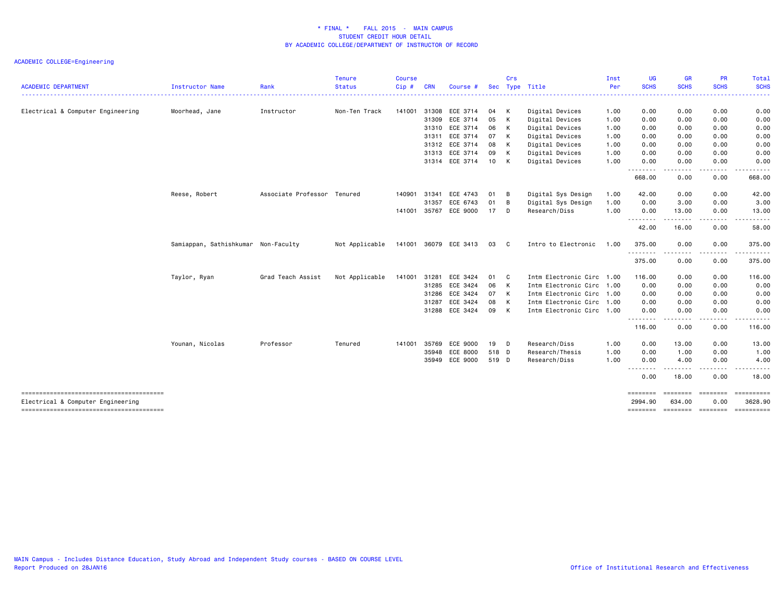| <b>ACADEMIC DEPARTMENT</b>        | <b>Instructor Name</b>              | Rank                | <b>Tenure</b><br><b>Status</b> | <b>Course</b><br>Cip# | <b>CRN</b> | Course #              | <b>Sec</b> | Crs            | Type Title                | Inst<br>Per | <b>UG</b><br><b>SCHS</b> | <b>GR</b><br><b>SCHS</b>                                                                                                          | <b>PR</b><br><b>SCHS</b> | <b>Total</b><br><b>SCHS</b> |
|-----------------------------------|-------------------------------------|---------------------|--------------------------------|-----------------------|------------|-----------------------|------------|----------------|---------------------------|-------------|--------------------------|-----------------------------------------------------------------------------------------------------------------------------------|--------------------------|-----------------------------|
|                                   |                                     |                     |                                |                       |            |                       |            |                |                           |             | -------                  | .                                                                                                                                 |                          | .                           |
| Electrical & Computer Engineering | Moorhead, Jane                      | Instructor          | Non-Ten Track                  | 141001                | 31308      | ECE 3714              | 04 K       |                | Digital Devices           | 1.00        | 0.00                     | 0.00                                                                                                                              | 0.00                     | 0.00                        |
|                                   |                                     |                     |                                |                       | 31309      | ECE 3714              | 05         | $\mathsf{K}$   | Digital Devices           | 1.00        | 0.00                     | 0.00                                                                                                                              | 0.00                     | 0.00                        |
|                                   |                                     |                     |                                |                       | 31310      | ECE 3714              | 06         | K              | Digital Devices           | 1.00        | 0.00                     | 0.00                                                                                                                              | 0.00                     | 0.00                        |
|                                   |                                     |                     |                                |                       | 31311      | ECE 3714              | 07         | K              | Digital Devices           | 1.00        | 0.00                     | 0.00                                                                                                                              | 0.00                     | 0.00                        |
|                                   |                                     |                     |                                |                       | 31312      | ECE 3714              | 08         | K              | Digital Devices           | 1.00        | 0.00                     | 0.00                                                                                                                              | 0.00                     | 0.00                        |
|                                   |                                     |                     |                                |                       | 31313      | ECE 3714              | 09         | K              | Digital Devices           | 1.00        | 0.00                     | 0.00                                                                                                                              | 0.00                     | 0.00                        |
|                                   |                                     |                     |                                |                       |            | 31314 ECE 3714        | 10 K       |                | Digital Devices           | 1.00        | 0.00<br>.                | 0.00<br>$\frac{1}{2} \left( \frac{1}{2} \right) \left( \frac{1}{2} \right) \left( \frac{1}{2} \right) \left( \frac{1}{2} \right)$ | 0.00                     | 0.00                        |
|                                   |                                     |                     |                                |                       |            |                       |            |                |                           |             | 668.00                   | 0.00                                                                                                                              | 0.00                     | 668.00                      |
|                                   | Reese, Robert                       | Associate Professor | Tenured                        | 140901                | 31341      | ECE 4743              | 01         | B              | Digital Sys Design        | 1.00        | 42.00                    | 0.00                                                                                                                              | 0.00                     | 42.00                       |
|                                   |                                     |                     |                                |                       | 31357      | ECE 6743              | 01         | B              | Digital Sys Design        | 1.00        | 0.00                     | 3.00                                                                                                                              | 0.00                     | 3.00                        |
|                                   |                                     |                     |                                | 141001                | 35767      | ECE 9000              | 17         | D              | Research/Diss             | 1.00        | 0.00                     | 13.00<br>.                                                                                                                        | 0.00<br>.                | 13.00                       |
|                                   |                                     |                     |                                |                       |            |                       |            |                |                           |             | ---------<br>42.00       | 16.00                                                                                                                             | 0.00                     | 58.00                       |
|                                   | Samiappan, Sathishkumar Non-Faculty |                     | Not Applicable                 |                       |            | 141001 36079 ECE 3413 | 03         | $\mathbf{C}$   | Intro to Electronic       | 1.00        | 375.00                   | 0.00                                                                                                                              | 0.00                     | 375.00                      |
|                                   |                                     |                     |                                |                       |            |                       |            |                |                           |             | --------<br>375.00       | ----<br>0.00                                                                                                                      | 0.00                     | .<br>375.00                 |
|                                   | Taylor, Ryan                        | Grad Teach Assist   | Not Applicable                 | 141001                | 31281      | ECE 3424              | 01         | C <sub>c</sub> | Intm Electronic Circ      | 1.00        | 116.00                   | 0.00                                                                                                                              | 0.00                     | 116.00                      |
|                                   |                                     |                     |                                |                       | 31285      | ECE 3424              | 06         | $\mathsf{K}$   | Intm Electronic Circ 1.00 |             | 0.00                     | 0.00                                                                                                                              | 0.00                     | 0.00                        |
|                                   |                                     |                     |                                |                       | 31286      | ECE 3424              | 07 K       |                | Intm Electronic Circ 1.00 |             | 0.00                     | 0.00                                                                                                                              | 0.00                     | 0.00                        |
|                                   |                                     |                     |                                |                       | 31287      | ECE 3424              | 08         | K              | Intm Electronic Circ 1.00 |             | 0.00                     | 0.00                                                                                                                              | 0.00                     | 0.00                        |
|                                   |                                     |                     |                                |                       | 31288      | ECE 3424              | 09         | $\mathsf{K}$   | Intm Electronic Circ 1.00 |             | 0.00                     | 0.00                                                                                                                              | 0.00                     | 0.00                        |
|                                   |                                     |                     |                                |                       |            |                       |            |                |                           |             | --------<br>116.00       | $\frac{1}{2} \left( \frac{1}{2} \right) \left( \frac{1}{2} \right) \left( \frac{1}{2} \right) \left( \frac{1}{2} \right)$<br>0.00 | .<br>0.00                | -----<br>116.00             |
|                                   | Younan, Nicolas                     | Professor           | Tenured                        | 141001                | 35769      | ECE 9000              | 19 D       |                | Research/Diss             | 1.00        | 0.00                     | 13.00                                                                                                                             | 0.00                     | 13.00                       |
|                                   |                                     |                     |                                |                       | 35948      | ECE 8000              | 518 D      |                | Research/Thesis           | 1.00        | 0.00                     | 1.00                                                                                                                              | 0.00                     | 1.00                        |
|                                   |                                     |                     |                                |                       |            | 35949 ECE 9000        | 519 D      |                | Research/Diss             | 1.00        | 0.00                     | 4.00                                                                                                                              | 0.00                     | 4.00                        |
|                                   |                                     |                     |                                |                       |            |                       |            |                |                           |             | --------<br>0.00         | .<br>18.00                                                                                                                        | .<br>0.00                | 18.00                       |
| Electrical & Computer Engineering |                                     |                     |                                |                       |            |                       |            |                |                           |             | ========<br>2994.90      | <b>EBBERED</b><br>634.00                                                                                                          | <b>EEEEEEE</b><br>0.00   | $=$ ==========<br>3628.90   |
|                                   |                                     |                     |                                |                       |            |                       |            |                |                           |             | ========                 | ========                                                                                                                          | ========                 | ==========                  |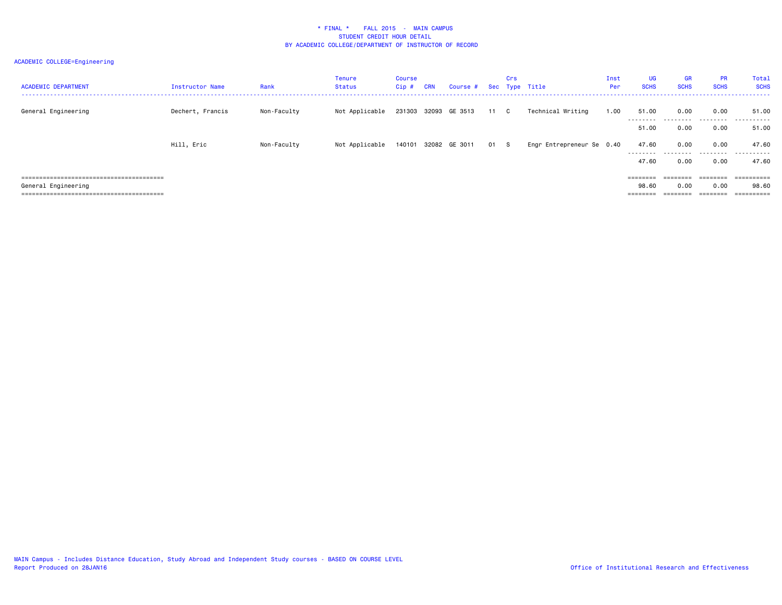| <b>ACADEMIC DEPARTMENT</b> | Instructor Name  | Rank        | Tenure<br>Status | Course<br>Cip # | <b>CRN</b> | Course #                  |      | Crs | Sec Type Title            | Inst<br>Per | UG<br><b>SCHS</b>  | GR<br><b>SCHS</b> | <b>PR</b><br><b>SCHS</b> | Total<br><b>SCHS</b> |
|----------------------------|------------------|-------------|------------------|-----------------|------------|---------------------------|------|-----|---------------------------|-------------|--------------------|-------------------|--------------------------|----------------------|
| General Engineering        | Dechert, Francis | Non-Faculty | Not Applicable   |                 |            | 231303 32093 GE 3513      | 11 C |     | Technical Writing         | 1.00        | 51.00<br>--------- | 0.00<br>.         | 0.00<br>.                | 51.00<br>.           |
|                            |                  |             |                  |                 |            |                           |      |     |                           |             | 51.00              | 0.00              | 0.00                     | 51.00                |
|                            | Hill, Eric       | Non-Faculty | Not Applicable   |                 |            | 140101 32082 GE 3011 01 S |      |     | Engr Entrepreneur Se 0.40 |             | 47.60<br>--------- | 0.00<br>.         | 0.00<br>.                | 47.60<br>.           |
|                            |                  |             |                  |                 |            |                           |      |     |                           |             | 47.60              | 0.00              | 0.00                     | 47.60                |
|                            |                  |             |                  |                 |            |                           |      |     |                           |             | $=$ = = = = = = =  | --------          | ========                 | ==========           |
| General Engineering        |                  |             |                  |                 |            |                           |      |     |                           |             | 98.60              | 0.00              | 0.00                     | 98.60                |
|                            |                  |             |                  |                 |            |                           |      |     |                           |             |                    |                   |                          |                      |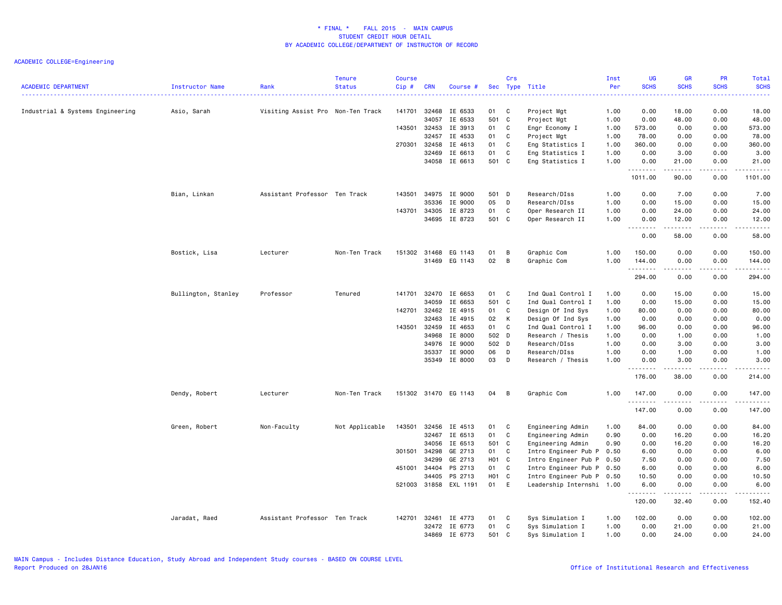| <b>ACADEMIC DEPARTMENT</b>       | Instructor Name     | Rank                              | <b>Tenure</b><br><b>Status</b> | <b>Course</b><br>Cip# | <b>CRN</b> | Course #             |                   | Crs                        | Sec Type Title            | Inst<br>Per | <b>UG</b><br><b>SCHS</b> | <b>GR</b><br><b>SCHS</b>                                                                                                                                      | PR<br><b>SCHS</b> | Total<br><b>SCHS</b>                         |
|----------------------------------|---------------------|-----------------------------------|--------------------------------|-----------------------|------------|----------------------|-------------------|----------------------------|---------------------------|-------------|--------------------------|---------------------------------------------------------------------------------------------------------------------------------------------------------------|-------------------|----------------------------------------------|
| Industrial & Systems Engineering | Asio, Sarah         | Visiting Assist Pro Non-Ten Track |                                | 141701                | 32468      | IE 6533              | 01                | C                          | Project Mgt               | 1.00        | 0.00                     | 18.00                                                                                                                                                         | 0.00              | 18.00                                        |
|                                  |                     |                                   |                                |                       | 34057      | IE 6533              | 501 C             |                            | Project Mgt               | 1.00        | 0.00                     | 48.00                                                                                                                                                         | 0.00              | 48.00                                        |
|                                  |                     |                                   |                                | 143501                | 32453      | IE 3913              | 01 C              |                            | Engr Economy I            | 1.00        | 573.00                   | 0.00                                                                                                                                                          | 0.00              | 573.00                                       |
|                                  |                     |                                   |                                |                       | 32457      | IE 4533              | 01                | $\mathbf{C}$               | Project Mgt               | 1.00        | 78.00                    | 0.00                                                                                                                                                          | 0.00              | 78.00                                        |
|                                  |                     |                                   |                                | 270301                | 32458      | IE 4613              | 01                | $\mathbf{C}$               | Eng Statistics I          | 1.00        | 360.00                   | 0.00                                                                                                                                                          | 0.00              | 360.00                                       |
|                                  |                     |                                   |                                |                       | 32469      | IE 6613              | 01                | C                          | Eng Statistics I          | 1.00        | 0.00                     | 3.00                                                                                                                                                          | 0.00              | 3.00                                         |
|                                  |                     |                                   |                                |                       |            | 34058 IE 6613        | 501 C             |                            | Eng Statistics I          | 1.00        | 0.00<br>.                | 21.00<br>$\frac{1}{2} \left( \frac{1}{2} \right) \left( \frac{1}{2} \right) \left( \frac{1}{2} \right) \left( \frac{1}{2} \right) \left( \frac{1}{2} \right)$ | 0.00              | 21.00                                        |
|                                  |                     |                                   |                                |                       |            |                      |                   |                            |                           |             | 1011.00                  | 90.00                                                                                                                                                         | 0.00              | 1101.00                                      |
|                                  | Bian, Linkan        | Assistant Professor Ten Track     |                                | 143501                | 34975      | IE 9000              | 501 D             |                            | Research/DIss             | 1.00        | 0.00                     | 7.00                                                                                                                                                          | 0.00              | 7.00                                         |
|                                  |                     |                                   |                                |                       | 35336      | IE 9000              | 05                | D                          | Research/DIss             | 1.00        | 0.00                     | 15.00                                                                                                                                                         | 0.00              | 15.00                                        |
|                                  |                     |                                   |                                | 143701                | 34305      | IE 8723              | 01                | C                          | Oper Research II          | 1.00        | 0.00                     | 24.00                                                                                                                                                         | 0.00              | 24.00                                        |
|                                  |                     |                                   |                                |                       | 34695      | IE 8723              | 501 C             |                            | Oper Research II          | 1.00        | 0.00<br>.                | 12.00<br>.                                                                                                                                                    | 0.00<br>.         | 12.00<br>.                                   |
|                                  |                     |                                   |                                |                       |            |                      |                   |                            |                           |             | 0.00                     | 58.00                                                                                                                                                         | 0.00              | 58.00                                        |
|                                  | Bostick, Lisa       | Lecturer                          | Non-Ten Track                  | 151302                |            | 31468 EG 1143        | 01                | B                          | Graphic Com               | 1.00        | 150.00                   | 0.00                                                                                                                                                          | 0.00              | 150.00                                       |
|                                  |                     |                                   |                                |                       |            | 31469 EG 1143        | 02                | B                          | Graphic Com               | 1.00        | 144.00                   | 0.00                                                                                                                                                          | 0.00              | 144.00                                       |
|                                  |                     |                                   |                                |                       |            |                      |                   |                            |                           |             | .                        | ----                                                                                                                                                          | ----              | .                                            |
|                                  |                     |                                   |                                |                       |            |                      |                   |                            |                           |             | 294.00                   | 0.00                                                                                                                                                          | 0.00              | 294.00                                       |
|                                  | Bullington, Stanley | Professor                         | Tenured                        | 141701                | 32470      | IE 6653              | 01                | $\overline{\mathbf{C}}$    | Ind Qual Control I        | 1.00        | 0.00                     | 15.00                                                                                                                                                         | 0.00              | 15.00                                        |
|                                  |                     |                                   |                                |                       | 34059      | IE 6653              | 501 C             |                            | Ind Qual Control I        | 1.00        | 0.00                     | 15.00                                                                                                                                                         | 0.00              | 15.00                                        |
|                                  |                     |                                   |                                | 142701                | 32462      | IE 4915              | 01                | C                          | Design Of Ind Sys         | 1.00        | 80.00                    | 0.00                                                                                                                                                          | 0.00              | 80.00                                        |
|                                  |                     |                                   |                                |                       | 32463      | IE 4915              | 02                | K                          | Design Of Ind Sys         | 1.00        | 0.00                     | 0.00                                                                                                                                                          | 0.00              | 0.00                                         |
|                                  |                     |                                   |                                | 143501                | 32459      | IE 4653              | 01                | C                          | Ind Qual Control I        | 1.00        | 96.00                    | 0.00                                                                                                                                                          | 0.00              | 96.00                                        |
|                                  |                     |                                   |                                |                       | 34968      | IE 8000              | 502 D             |                            | Research / Thesis         | 1.00        | 0.00                     | 1.00                                                                                                                                                          | 0.00              | 1.00                                         |
|                                  |                     |                                   |                                |                       | 34976      | IE 9000              | 502 D             |                            | Research/DIss             | 1.00        | 0.00                     | 3.00                                                                                                                                                          | 0.00              | 3.00                                         |
|                                  |                     |                                   |                                |                       | 35337      | IE 9000              | 06                | D                          | Research/DIss             | 1.00        | 0.00                     | 1.00                                                                                                                                                          | 0.00              | 1.00                                         |
|                                  |                     |                                   |                                |                       |            | 35349 IE 8000        | 03                | $\mathsf{D}$               | Research / Thesis         | 1.00        | 0.00<br><u>.</u>         | 3.00<br>. <b>.</b>                                                                                                                                            | 0.00              | 3.00                                         |
|                                  |                     |                                   |                                |                       |            |                      |                   |                            |                           |             | 176.00                   | 38.00                                                                                                                                                         | 0.00              | 214.00                                       |
|                                  | Dendy, Robert       | Lecturer                          | Non-Ten Track                  |                       |            | 151302 31470 EG 1143 | 04                | B                          | Graphic Com               | 1.00        | 147.00                   | 0.00                                                                                                                                                          | 0.00              | 147.00                                       |
|                                  |                     |                                   |                                |                       |            |                      |                   |                            |                           |             | .<br>147.00              | .<br>0.00                                                                                                                                                     | .<br>0.00         | $\omega$ is $\omega$ in $\omega$ .<br>147.00 |
|                                  | Green, Robert       | Non-Faculty                       | Not Applicable                 | 143501                | 32456      | IE 4513              | 01                | $\mathbf{C}$               | Engineering Admin         | 1.00        | 84.00                    | 0.00                                                                                                                                                          | 0.00              | 84.00                                        |
|                                  |                     |                                   |                                |                       | 32467      | IE 6513              | 01                | C                          | Engineering Admin         | 0.90        | 0.00                     | 16.20                                                                                                                                                         | 0.00              | 16.20                                        |
|                                  |                     |                                   |                                |                       | 34056      | IE 6513              | 501 C             |                            | Engineering Admin         | 0.90        | 0.00                     | 16.20                                                                                                                                                         | 0.00              | 16.20                                        |
|                                  |                     |                                   |                                | 301501                | 34298      | GE 2713              | 01                | $\mathbf{C}$               | Intro Engineer Pub P      | 0.50        | 6.00                     | 0.00                                                                                                                                                          | 0.00              | 6.00                                         |
|                                  |                     |                                   |                                |                       | 34299      | GE 2713              | H01 C             |                            | Intro Engineer Pub P      | 0.50        | 7.50                     | 0.00                                                                                                                                                          | 0.00              | 7.50                                         |
|                                  |                     |                                   |                                | 451001                | 34404      | PS 2713              | 01 C              |                            | Intro Engineer Pub P      | 0.50        | 6.00                     | 0.00                                                                                                                                                          | 0.00              | 6.00                                         |
|                                  |                     |                                   |                                |                       | 34405      | PS 2713              | H <sub>01</sub> C |                            | Intro Engineer Pub P      | 0.50        | 10.50                    | 0.00                                                                                                                                                          | 0.00              | 10.50                                        |
|                                  |                     |                                   |                                | 521003                |            | 31858 EXL 1191       | 01 E              |                            | Leadership Internshi 1.00 |             | 6.00<br>.                | 0.00<br>$- - - - -$                                                                                                                                           | 0.00<br>.         | 6.00<br>.                                    |
|                                  |                     |                                   |                                |                       |            |                      |                   |                            |                           |             | 120.00                   | 32.40                                                                                                                                                         | 0.00              | 152.40                                       |
|                                  | Jaradat, Raed       | Assistant Professor Ten Track     |                                | 142701                | 32461      | IE 4773              | 01                | $\overline{\phantom{a}}$ C | Sys Simulation I          | 1.00        | 102.00                   | 0.00                                                                                                                                                          | 0.00              | 102.00                                       |
|                                  |                     |                                   |                                |                       | 32472      | IE 6773              | 01                | C                          | Sys Simulation I          | 1.00        | 0.00                     | 21.00                                                                                                                                                         | 0.00              | 21.00                                        |
|                                  |                     |                                   |                                |                       | 34869      | IE 6773              | 501 C             |                            | Sys Simulation I          | 1.00        | 0.00                     | 24.00                                                                                                                                                         | 0.00              | 24.00                                        |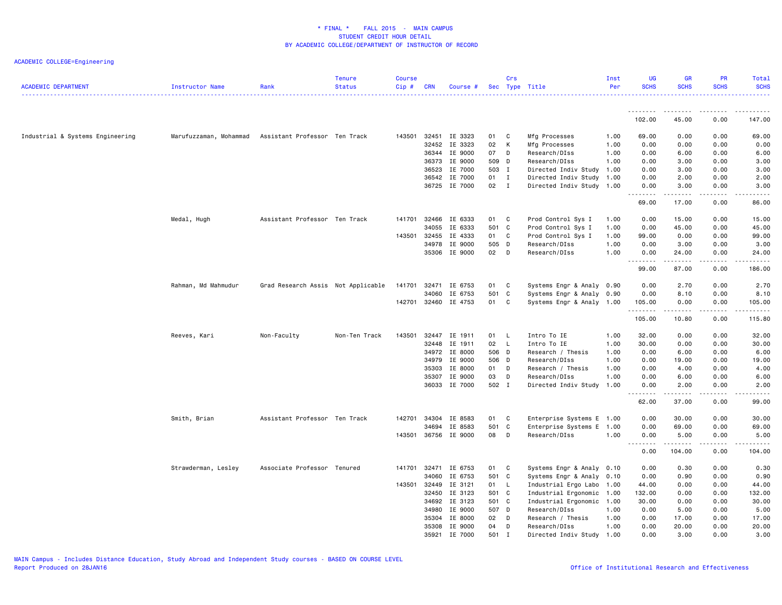| <b>ACADEMIC DEPARTMENT</b>       | Instructor Name        | Rank                               | <b>Tenure</b><br><b>Status</b> | <b>Course</b><br>Cip# | <b>CRN</b> | Course #      |        | Crs          | Sec Type Title            | Inst<br>Per | UG<br><b>SCHS</b>                                                                                                                                            | <b>GR</b><br><b>SCHS</b> | PR<br><b>SCHS</b>   | Total<br><b>SCHS</b>                                                                                                              |
|----------------------------------|------------------------|------------------------------------|--------------------------------|-----------------------|------------|---------------|--------|--------------|---------------------------|-------------|--------------------------------------------------------------------------------------------------------------------------------------------------------------|--------------------------|---------------------|-----------------------------------------------------------------------------------------------------------------------------------|
|                                  |                        |                                    |                                |                       |            |               |        |              |                           |             | .                                                                                                                                                            | .                        |                     |                                                                                                                                   |
|                                  |                        |                                    |                                |                       |            |               |        |              |                           |             | 102.00                                                                                                                                                       | 45.00                    | 0.00                | 147.00                                                                                                                            |
| Industrial & Systems Engineering | Marufuzzaman, Mohammad | Assistant Professor Ten Track      |                                | 143501                |            | 32451 IE 3323 | 01     | C            | Mfg Processes             | 1.00        | 69.00                                                                                                                                                        | 0.00                     | 0.00                | 69.00                                                                                                                             |
|                                  |                        |                                    |                                |                       |            | 32452 IE 3323 | 02     | $\mathsf{K}$ | Mfg Processes             | 1.00        | 0.00                                                                                                                                                         | 0.00                     | 0.00                | 0.00                                                                                                                              |
|                                  |                        |                                    |                                |                       |            | 36344 IE 9000 | 07     | D            | Research/DIss             | 1.00        | 0.00                                                                                                                                                         | 6.00                     | 0.00                | 6.00                                                                                                                              |
|                                  |                        |                                    |                                |                       | 36373      | IE 9000       | 509 D  |              | Research/DIss             | 1.00        | 0.00                                                                                                                                                         | 3.00                     | 0.00                | 3.00                                                                                                                              |
|                                  |                        |                                    |                                |                       | 36523      | IE 7000       | 503 I  |              | Directed Indiv Study      | 1.00        | 0.00                                                                                                                                                         | 3.00                     | 0.00                | 3.00                                                                                                                              |
|                                  |                        |                                    |                                |                       |            | 36542 IE 7000 | 01 I   |              | Directed Indiv Study 1.00 |             | 0.00                                                                                                                                                         | 2.00                     | 0.00                | 2.00                                                                                                                              |
|                                  |                        |                                    |                                |                       |            | 36725 IE 7000 | $02$ I |              | Directed Indiv Study 1.00 |             | 0.00<br>$\frac{1}{2} \left( \frac{1}{2} \right) \left( \frac{1}{2} \right) \left( \frac{1}{2} \right) \left( \frac{1}{2} \right) \left( \frac{1}{2} \right)$ | 3.00<br>. <b>.</b>       | 0.00<br>.           | 3.00<br>المالما مالك                                                                                                              |
|                                  |                        |                                    |                                |                       |            |               |        |              |                           |             | 69.00                                                                                                                                                        | 17.00                    | 0.00                | 86.00                                                                                                                             |
|                                  | Medal, Hugh            | Assistant Professor Ten Track      |                                | 141701                | 32466      | IE 6333       | 01     | $\mathbf{C}$ | Prod Control Sys I        | 1.00        | 0.00                                                                                                                                                         | 15.00                    | 0.00                | 15.00                                                                                                                             |
|                                  |                        |                                    |                                |                       | 34055      | IE 6333       | 501 C  |              | Prod Control Sys I        | 1.00        | 0.00                                                                                                                                                         | 45.00                    | 0.00                | 45.00                                                                                                                             |
|                                  |                        |                                    |                                | 143501                | 32455      | IE 4333       | 01 C   |              | Prod Control Sys I        | 1.00        | 99.00                                                                                                                                                        | 0.00                     | 0.00                | 99.00                                                                                                                             |
|                                  |                        |                                    |                                |                       | 34978      | IE 9000       | 505 D  |              | Research/DIss             | 1.00        | 0.00                                                                                                                                                         | 3.00                     | 0.00                | 3.00                                                                                                                              |
|                                  |                        |                                    |                                |                       |            | 35306 IE 9000 | 02 D   |              | Research/DIss             | 1.00        | 0.00<br>.                                                                                                                                                    | 24.00<br>.               | 0.00<br>الدامات بال | 24.00<br>.                                                                                                                        |
|                                  |                        |                                    |                                |                       |            |               |        |              |                           |             | 99.00                                                                                                                                                        | 87.00                    | 0.00                | 186.00                                                                                                                            |
|                                  | Rahman, Md Mahmudur    | Grad Research Assis Not Applicable |                                | 141701                | 32471      | IE 6753       | 01     | C            | Systems Engr & Analy 0.90 |             | 0.00                                                                                                                                                         | 2.70                     | 0.00                | 2.70                                                                                                                              |
|                                  |                        |                                    |                                |                       | 34060      | IE 6753       | 501 C  |              | Systems Engr & Analy 0.90 |             | 0.00                                                                                                                                                         | 8.10                     | 0.00                | 8.10                                                                                                                              |
|                                  |                        |                                    |                                | 142701                |            | 32460 IE 4753 | 01     | C            | Systems Engr & Analy 1.00 |             | 105.00<br>.                                                                                                                                                  | 0.00<br>.                | 0.00<br>.           | 105.00<br>.                                                                                                                       |
|                                  |                        |                                    |                                |                       |            |               |        |              |                           |             | 105.00                                                                                                                                                       | 10.80                    | 0.00                | 115.80                                                                                                                            |
|                                  | Reeves, Kari           | Non-Faculty                        | Non-Ten Track                  | 143501                | 32447      | IE 1911       | 01 L   |              | Intro To IE               | 1.00        | 32.00                                                                                                                                                        | 0.00                     | 0.00                | 32.00                                                                                                                             |
|                                  |                        |                                    |                                |                       | 32448      | IE 1911       | 02     | $\mathsf{L}$ | Intro To IE               | 1.00        | 30.00                                                                                                                                                        | 0.00                     | 0.00                | 30.00                                                                                                                             |
|                                  |                        |                                    |                                |                       |            | 34972 IE 8000 | 506 D  |              | Research / Thesis         | 1.00        | 0.00                                                                                                                                                         | 6.00                     | 0.00                | 6.00                                                                                                                              |
|                                  |                        |                                    |                                |                       | 34979      | IE 9000       | 506 D  |              | Research/DIss             | 1.00        | 0.00                                                                                                                                                         | 19.00                    | 0.00                | 19.00                                                                                                                             |
|                                  |                        |                                    |                                |                       | 35303      | IE 8000       | 01     | D            | Research / Thesis         | 1.00        | 0.00                                                                                                                                                         | 4.00                     | 0.00                | 4.00                                                                                                                              |
|                                  |                        |                                    |                                |                       |            | 35307 IE 9000 | 03     | $\mathsf{D}$ | Research/DIss             | 1.00        | 0.00                                                                                                                                                         | 6.00                     | 0.00                | 6.00                                                                                                                              |
|                                  |                        |                                    |                                |                       |            | 36033 IE 7000 | 502 I  |              | Directed Indiv Study 1.00 |             | 0.00<br>.                                                                                                                                                    | 2.00<br>------           | 0.00<br>.           | 2.00<br>$\frac{1}{2} \left( \frac{1}{2} \right) \left( \frac{1}{2} \right) \left( \frac{1}{2} \right) \left( \frac{1}{2} \right)$ |
|                                  |                        |                                    |                                |                       |            |               |        |              |                           |             | 62.00                                                                                                                                                        | 37.00                    | 0.00                | 99.00                                                                                                                             |
|                                  | Smith, Brian           | Assistant Professor Ten Track      |                                | 142701                |            | 34304 IE 8583 | 01     | C            | Enterprise Systems E 1.00 |             | 0.00                                                                                                                                                         | 30.00                    | 0.00                | 30.00                                                                                                                             |
|                                  |                        |                                    |                                |                       | 34694      | IE 8583       | 501 C  |              | Enterprise Systems E 1.00 |             | 0.00                                                                                                                                                         | 69.00                    | 0.00                | 69.00                                                                                                                             |
|                                  |                        |                                    |                                | 143501                |            | 36756 IE 9000 | 08     | D            | Research/DIss             | 1.00        | 0.00<br>.                                                                                                                                                    | 5.00<br>. <b>.</b> .     | 0.00<br>-----       | 5.00<br>-----                                                                                                                     |
|                                  |                        |                                    |                                |                       |            |               |        |              |                           |             | 0.00                                                                                                                                                         | 104.00                   | 0.00                | 104.00                                                                                                                            |
|                                  | Strawderman, Lesley    | Associate Professor Tenured        |                                | 141701                | 32471      | IE 6753       | 01     | C            | Systems Engr & Analy 0.10 |             | 0.00                                                                                                                                                         | 0.30                     | 0.00                | 0.30                                                                                                                              |
|                                  |                        |                                    |                                |                       | 34060      | IE 6753       | 501 C  |              | Systems Engr & Analy 0.10 |             | 0.00                                                                                                                                                         | 0.90                     | 0.00                | 0.90                                                                                                                              |
|                                  |                        |                                    |                                | 143501                | 32449      | IE 3121       | 01 L   |              | Industrial Ergo Labo      | 1.00        | 44.00                                                                                                                                                        | 0.00                     | 0.00                | 44.00                                                                                                                             |
|                                  |                        |                                    |                                |                       | 32450      | IE 3123       | S01 C  |              | Industrial Ergonomic      | 1.00        | 132.00                                                                                                                                                       | 0.00                     | 0.00                | 132.00                                                                                                                            |
|                                  |                        |                                    |                                |                       |            | 34692 IE 3123 | 501 C  |              | Industrial Ergonomic      | 1.00        | 30.00                                                                                                                                                        | 0.00                     | 0.00                | 30.00                                                                                                                             |
|                                  |                        |                                    |                                |                       | 34980      | IE 9000       | 507 D  |              | Research/DIss             | 1.00        | 0.00                                                                                                                                                         | 5.00                     | 0.00                | 5.00                                                                                                                              |
|                                  |                        |                                    |                                |                       | 35304      | IE 8000       | 02     | $\mathsf{D}$ | Research / Thesis         | 1.00        | 0.00                                                                                                                                                         | 17.00                    | 0.00                | 17.00                                                                                                                             |
|                                  |                        |                                    |                                |                       | 35308      | IE 9000       | 04     | D            | Research/DIss             | 1.00        | 0.00                                                                                                                                                         | 20.00                    | 0.00                | 20.00                                                                                                                             |
|                                  |                        |                                    |                                |                       | 35921      | IE 7000       | 501    | Ι.           | Directed Indiv Study      | 1.00        | 0.00                                                                                                                                                         | 3.00                     | 0.00                | 3,00                                                                                                                              |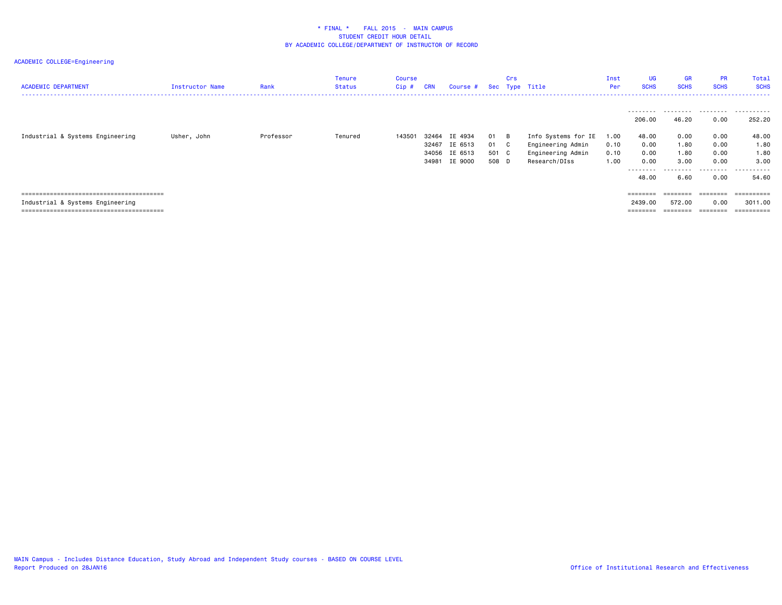| <b>ACADEMIC DEPARTMENT</b>       | Instructor Name | Rank      | Tenure<br>Status | Course<br>$Cip$ # | <b>CRN</b> | Course #      |       | Crs            | Sec Type Title      | Inst<br>Per | UG<br><b>SCHS</b>                                                       | <b>GR</b><br><b>SCHS</b> | <b>PR</b><br><b>SCHS</b> | Total<br><b>SCHS</b> |
|----------------------------------|-----------------|-----------|------------------|-------------------|------------|---------------|-------|----------------|---------------------|-------------|-------------------------------------------------------------------------|--------------------------|--------------------------|----------------------|
|                                  |                 |           |                  |                   |            |               |       |                |                     |             | ---------<br>206.00                                                     | 46.20                    | 0.00                     | <br>252.20           |
| Industrial & Systems Engineering | Usher, John     | Professor | Tenured          | 143501            | 32464      | IE 4934       | 01    | $\overline{B}$ | Info Systems for IE | 1.00        | 48.00                                                                   | 0.00                     | 0.00                     | 48.00                |
|                                  |                 |           |                  |                   | 32467      | IE 6513       | 01    | $\mathbf{C}$   | Engineering Admin   | 0.10        | 0.00                                                                    | 1.80                     | 0.00                     | 1.80                 |
|                                  |                 |           |                  |                   |            | 34056 IE 6513 | 501 C |                | Engineering Admin   | 0.10        | 0.00                                                                    | 1.80                     | 0.00                     | 1.80                 |
|                                  |                 |           |                  |                   | 34981      | IE 9000       | 508 D |                | Research/DIss       | 1.00        | 0.00                                                                    | 3.00                     | 0.00                     | 3,00                 |
|                                  |                 |           |                  |                   |            |               |       |                |                     |             | --------                                                                | .                        | .                        | .                    |
|                                  |                 |           |                  |                   |            |               |       |                |                     |             | 48.00                                                                   | 6.60                     | 0.00                     | 54.60                |
|                                  |                 |           |                  |                   |            |               |       |                |                     |             |                                                                         |                          |                          |                      |
|                                  |                 |           |                  |                   |            |               |       |                |                     |             | $\qquad \qquad \equiv \equiv \equiv \equiv \equiv \equiv \equiv \equiv$ | ========                 | ========                 | ==========           |
| Industrial & Systems Engineering |                 |           |                  |                   |            |               |       |                |                     |             | 2439.00                                                                 | 572.00                   | 0.00                     | 3011.00              |
|                                  |                 |           |                  |                   |            |               |       |                |                     |             |                                                                         | ========                 | ========                 | ==========           |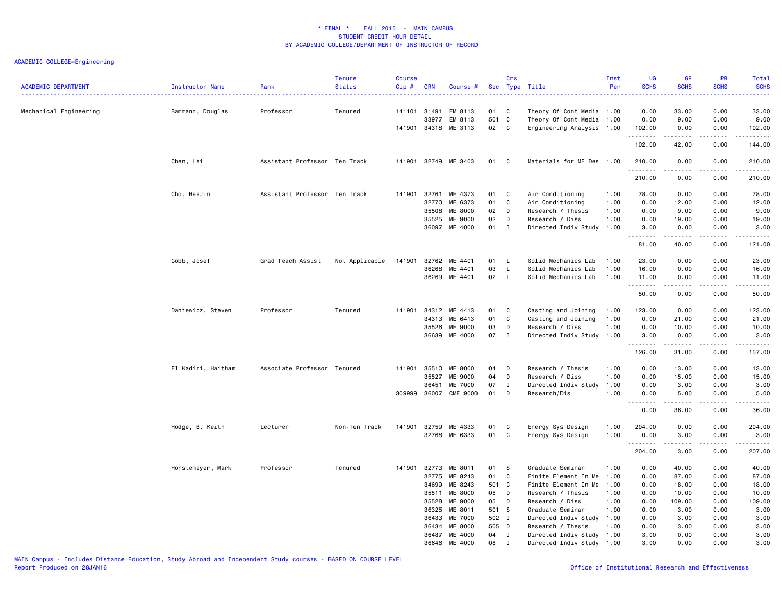| <b>ACADEMIC DEPARTMENT</b> | Instructor Name    | Rank                          | <b>Tenure</b><br><b>Status</b> | <b>Course</b><br>Cip# | <b>CRN</b>            | Course #                      |                 | Crs          | Sec Type Title                                                                      | Inst<br>Per | <b>UG</b><br><b>SCHS</b>                                      | <b>GR</b><br><b>SCHS</b> | PR<br><b>SCHS</b>                   | Total<br><b>SCHS</b>                                                                                                                                                                    |
|----------------------------|--------------------|-------------------------------|--------------------------------|-----------------------|-----------------------|-------------------------------|-----------------|--------------|-------------------------------------------------------------------------------------|-------------|---------------------------------------------------------------|--------------------------|-------------------------------------|-----------------------------------------------------------------------------------------------------------------------------------------------------------------------------------------|
| Mechanical Engineering     | Bammann, Douglas   | Professor                     | Tenured                        | 141101 31491          | 33977<br>141901 34318 | EM 8113<br>EM 8113<br>ME 3113 | 01<br>501<br>02 | C<br>C<br>C  | Theory Of Cont Media 1.00<br>Theory Of Cont Media 1.00<br>Engineering Analysis 1.00 |             | 0.00<br>0.00<br>102.00                                        | 33.00<br>9.00<br>0.00    | 0.00<br>0.00<br>0.00                | 33.00<br>9.00<br>102.00                                                                                                                                                                 |
|                            |                    |                               |                                |                       |                       |                               |                 |              |                                                                                     |             | .<br>102.00                                                   | 42.00                    | $\sim$ $\sim$ $\sim$ $\sim$<br>0.00 | .<br>144.00                                                                                                                                                                             |
|                            | Chen, Lei          | Assistant Professor Ten Track |                                |                       |                       | 141901 32749 ME 3403          | 01              | $\mathbf{C}$ | Materials for ME Des 1.00                                                           |             | 210.00<br>.                                                   | 0.00                     | 0.00                                | 210.00<br>------                                                                                                                                                                        |
|                            |                    |                               |                                |                       |                       |                               |                 |              |                                                                                     |             | 210.00                                                        | 0.00                     | 0.00                                | 210.00                                                                                                                                                                                  |
|                            | Cho, HeeJin        | Assistant Professor Ten Track |                                | 141901                | 32761                 | ME 4373                       | 01              | C            | Air Conditioning                                                                    | 1.00        | 78.00                                                         | 0.00                     | 0.00                                | 78.00                                                                                                                                                                                   |
|                            |                    |                               |                                |                       | 32770                 | ME 6373                       | 01              | C            | Air Conditioning                                                                    | 1.00        | 0.00                                                          | 12.00                    | 0.00                                | 12.00                                                                                                                                                                                   |
|                            |                    |                               |                                |                       | 35508                 | <b>ME 8000</b>                | 02              | D            | Research / Thesis                                                                   | 1.00        | 0.00                                                          | 9.00                     | 0.00                                | 9.00                                                                                                                                                                                    |
|                            |                    |                               |                                |                       | 35525                 | ME 9000                       | 02              | D            | Research / Diss                                                                     | 1.00        | 0.00                                                          | 19.00                    | 0.00                                | 19.00                                                                                                                                                                                   |
|                            |                    |                               |                                |                       |                       | 36097 ME 4000                 | 01              | I            | Directed Indiv Study 1.00                                                           |             | 3.00<br>.                                                     | 0.00<br>.                | 0.00<br>.                           | 3.00<br>$\frac{1}{2} \left( \frac{1}{2} \right) \left( \frac{1}{2} \right) \left( \frac{1}{2} \right) \left( \frac{1}{2} \right) \left( \frac{1}{2} \right) \left( \frac{1}{2} \right)$ |
|                            |                    |                               |                                |                       |                       |                               |                 |              |                                                                                     |             | 81.00                                                         | 40.00                    | 0.00                                | 121.00                                                                                                                                                                                  |
|                            | Cobb, Josef        | Grad Teach Assist             | Not Applicable                 | 141901                | 32762                 | ME 4401                       | 01              | L.           | Solid Mechanics Lab                                                                 | 1.00        | 23.00                                                         | 0.00                     | 0.00                                | 23.00                                                                                                                                                                                   |
|                            |                    |                               |                                |                       | 36268                 | ME 4401                       | 03              | L.           | Solid Mechanics Lab                                                                 | 1.00        | 16.00                                                         | 0.00                     | 0.00                                | 16.00                                                                                                                                                                                   |
|                            |                    |                               |                                |                       | 36269                 | ME 4401                       | 02              | L.           | Solid Mechanics Lab                                                                 | 1.00        | 11.00<br>.                                                    | 0.00<br>-----            | 0.00<br>$\sim$ $\sim$ $\sim$ $\sim$ | 11.00<br>د د د د د                                                                                                                                                                      |
|                            |                    |                               |                                |                       |                       |                               |                 |              |                                                                                     |             | 50.00                                                         | 0.00                     | 0.00                                | 50.00                                                                                                                                                                                   |
|                            | Daniewicz, Steven  | Professor                     | Tenured                        |                       | 141901 34312          | ME 4413                       | 01              | C            | Casting and Joining                                                                 | 1.00        | 123.00                                                        | 0.00                     | 0.00                                | 123.00                                                                                                                                                                                  |
|                            |                    |                               |                                |                       | 34313                 | ME 6413                       | 01              | C            | Casting and Joining                                                                 | 1.00        | 0.00                                                          | 21.00                    | 0.00                                | 21.00                                                                                                                                                                                   |
|                            |                    |                               |                                |                       | 35526                 | ME 9000                       | 03              | D            | Research / Diss                                                                     | 1.00        | 0.00                                                          | 10.00                    | 0.00                                | 10.00                                                                                                                                                                                   |
|                            |                    |                               |                                |                       |                       | 36639 ME 4000                 | 07              | I            | Directed Indiv Study 1.00                                                           |             | 3.00                                                          | 0.00                     | 0.00                                | 3.00                                                                                                                                                                                    |
|                            |                    |                               |                                |                       |                       |                               |                 |              |                                                                                     |             | 126.00                                                        | .<br>31.00               | .<br>0.00                           | $\begin{array}{cccccccccccccc} \bullet & \bullet & \bullet & \bullet & \bullet & \bullet & \bullet & \bullet \end{array}$<br>157.00                                                     |
|                            | El Kadiri, Haitham | Associate Professor Tenured   |                                | 141901                | 35510                 | ME 8000                       | 04              | D            | Research / Thesis                                                                   | 1.00        | 0.00                                                          | 13.00                    | 0.00                                | 13.00                                                                                                                                                                                   |
|                            |                    |                               |                                |                       | 35527                 | ME 9000                       | 04              | D            | Research / Diss                                                                     | 1.00        | 0.00                                                          | 15.00                    | 0.00                                | 15.00                                                                                                                                                                                   |
|                            |                    |                               |                                |                       | 36451                 | ME 7000                       | 07              | $\mathbf{I}$ | Directed Indiv Study 1.00                                                           |             | 0.00                                                          | 3.00                     | 0.00                                | 3.00                                                                                                                                                                                    |
|                            |                    |                               |                                | 309999                | 36007                 | <b>CME 9000</b>               | 01              | D            | Research/Dis                                                                        | 1.00        | 0.00                                                          | 5.00                     | 0.00                                | 5.00                                                                                                                                                                                    |
|                            |                    |                               |                                |                       |                       |                               |                 |              |                                                                                     |             | $\sim$ $\sim$ $\sim$ $\sim$ $\sim$<br>$\sim$ $\sim$ .<br>0.00 | .<br>36.00               | .<br>0.00                           | $\sim$ $\sim$ $\sim$ $\sim$ $\sim$<br>36.00                                                                                                                                             |
|                            | Hodge, B. Keith    | Lecturer                      | Non-Ten Track                  | 141901                | 32759                 | ME 4333                       | 01              | C            | Energy Sys Design                                                                   | 1.00        | 204.00                                                        | 0.00                     | 0.00                                | 204.00                                                                                                                                                                                  |
|                            |                    |                               |                                |                       |                       | 32768 ME 6333                 | 01              | C            | Energy Sys Design                                                                   | 1.00        | 0.00<br>.                                                     | 3.00<br>-----            | 0.00<br>.                           | 3.00                                                                                                                                                                                    |
|                            |                    |                               |                                |                       |                       |                               |                 |              |                                                                                     |             | 204.00                                                        | 3.00                     | 0.00                                | 207.00                                                                                                                                                                                  |
|                            | Horstemeyer, Mark  | Professor                     | Tenured                        |                       | 141901 32773          | ME 8011                       | 01              | S            | Graduate Seminar                                                                    | 1.00        | 0.00                                                          | 40.00                    | 0.00                                | 40.00                                                                                                                                                                                   |
|                            |                    |                               |                                |                       | 32775                 | ME 8243                       | 01              | C            | Finite Element In Me 1.00                                                           |             | 0.00                                                          | 87.00                    | 0.00                                | 87.00                                                                                                                                                                                   |
|                            |                    |                               |                                |                       | 34699                 | ME 8243                       | 501             | $\mathbf{C}$ | Finite Element In Me                                                                | 1.00        | 0.00                                                          | 18.00                    | 0.00                                | 18.00                                                                                                                                                                                   |
|                            |                    |                               |                                |                       | 35511                 | ME 8000                       | 05              | D            | Research / Thesis                                                                   | 1.00        | 0.00                                                          | 10.00                    | 0.00                                | 10.00                                                                                                                                                                                   |
|                            |                    |                               |                                |                       | 35528                 | ME 9000                       | 05              | D            | Research / Diss                                                                     | 1.00        | 0.00                                                          | 109.00                   | 0.00                                | 109.00                                                                                                                                                                                  |
|                            |                    |                               |                                |                       | 36325                 | ME 8011                       | 501             | - S          | Graduate Seminar                                                                    | 1.00        | 0.00                                                          | 3.00                     | 0.00                                | 3.00                                                                                                                                                                                    |
|                            |                    |                               |                                |                       | 36433                 | ME 7000                       | 502 I           |              | Directed Indiv Study 1.00                                                           |             | 0.00                                                          | 3.00                     | 0.00                                | 3.00                                                                                                                                                                                    |
|                            |                    |                               |                                |                       | 36434                 | ME 8000                       | 505 D           |              | Research / Thesis                                                                   | 1.00        | 0.00                                                          | 3.00                     | 0.00                                | 3.00                                                                                                                                                                                    |
|                            |                    |                               |                                |                       | 36487                 | ME 4000                       | 04              | $\mathbf I$  | Directed Indiv Study 1.00                                                           |             | 3.00                                                          | 0.00                     | 0.00                                | 3.00                                                                                                                                                                                    |
|                            |                    |                               |                                |                       | 36646                 | ME 4000                       | 08              | $\mathbf{I}$ | Directed Indiv Study 1.00                                                           |             | 3.00                                                          | 0.00                     | 0.00                                | 3.00                                                                                                                                                                                    |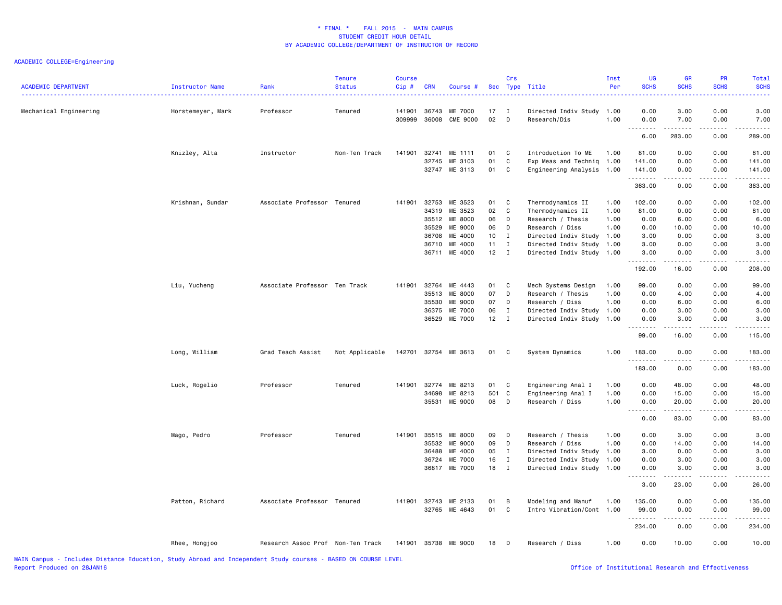| <b>ACADEMIC DEPARTMENT</b> | Instructor Name   | Rank                              | <b>Tenure</b><br><b>Status</b> | Course<br>Cip#   | <b>CRN</b>     | Course #                   |          | Crs               | Sec Type Title                       | Inst<br>Per  | <b>UG</b><br><b>SCHS</b>                      | <b>GR</b><br><b>SCHS</b>                                                                                                                                     | <b>PR</b><br><b>SCHS</b>            | <b>Total</b><br><b>SCHS</b><br>2222. |
|----------------------------|-------------------|-----------------------------------|--------------------------------|------------------|----------------|----------------------------|----------|-------------------|--------------------------------------|--------------|-----------------------------------------------|--------------------------------------------------------------------------------------------------------------------------------------------------------------|-------------------------------------|--------------------------------------|
| Mechanical Engineering     | Horstemeyer, Mark | Professor                         | Tenured                        | 141901<br>309999 | 36743<br>36008 | ME 7000<br><b>CME 9000</b> | 17<br>02 | $\mathbf{I}$<br>D | Directed Indiv Study<br>Research/Dis | 1.00<br>1.00 | 0.00<br>0.00                                  | 3.00<br>7.00                                                                                                                                                 | 0.00<br>0.00                        | 3.00<br>7.00                         |
|                            |                   |                                   |                                |                  |                |                            |          |                   |                                      |              | $\sim$ $\sim$ $\sim$<br>$\sim$ $\sim$<br>6.00 | .<br>283.00                                                                                                                                                  | .<br>0.00                           | .<br>289.00                          |
|                            | Knizley, Alta     | Instructor                        | Non-Ten Track                  | 141901           | 32741          | ME 1111                    | 01       | C                 | Introduction To ME                   | 1.00         | 81.00                                         | 0.00                                                                                                                                                         | 0.00                                | 81.00                                |
|                            |                   |                                   |                                |                  | 32745          | ME 3103                    | 01       | $\mathsf C$       | Exp Meas and Techniq                 | 1.00         | 141.00                                        | 0.00                                                                                                                                                         | 0.00                                | 141.00                               |
|                            |                   |                                   |                                |                  | 32747          | ME 3113                    | 01       | C                 | Engineering Analysis 1.00            |              | 141.00                                        | 0.00                                                                                                                                                         | 0.00                                | 141.00                               |
|                            |                   |                                   |                                |                  |                |                            |          |                   |                                      |              | .<br>363.00                                   | $\frac{1}{2} \left( \frac{1}{2} \right) \left( \frac{1}{2} \right) \left( \frac{1}{2} \right) \left( \frac{1}{2} \right) \left( \frac{1}{2} \right)$<br>0.00 | .<br>0.00                           | 363.00                               |
|                            | Krishnan, Sundar  | Associate Professor Tenured       |                                | 141901           | 32753          | ME 3523                    | 01       | C                 | Thermodynamics II                    | 1.00         | 102.00                                        | 0.00                                                                                                                                                         | 0.00                                | 102.00                               |
|                            |                   |                                   |                                |                  | 34319          | ME 3523                    | 02       | C                 | Thermodynamics II                    | 1.00         | 81.00                                         | 0.00                                                                                                                                                         | 0.00                                | 81.00                                |
|                            |                   |                                   |                                |                  | 35512          | ME 8000                    | 06       | D                 | Research / Thesis                    | 1.00         | 0.00                                          | 6.00                                                                                                                                                         | 0.00                                | 6.00                                 |
|                            |                   |                                   |                                |                  | 35529          | ME 9000                    | 06       | D                 | Research / Diss                      | 1.00         | 0.00                                          | 10.00                                                                                                                                                        | 0.00                                | 10.00                                |
|                            |                   |                                   |                                |                  | 36708          | ME 4000                    | 10       | $\mathbf{I}$      | Directed Indiv Study 1.00            |              | 3.00                                          | 0.00                                                                                                                                                         | 0.00                                | 3.00                                 |
|                            |                   |                                   |                                |                  | 36710          | ME 4000                    | 11       | $\mathbf{I}$      | Directed Indiv Study 1.00            |              | 3.00                                          | 0.00                                                                                                                                                         | 0.00                                | 3.00                                 |
|                            |                   |                                   |                                |                  | 36711          | ME 4000                    | 12       | $\mathbf{I}$      | Directed Indiv Study 1.00            |              | 3.00                                          | 0.00                                                                                                                                                         | 0.00                                | 3.00                                 |
|                            |                   |                                   |                                |                  |                |                            |          |                   |                                      |              | 192.00                                        | 16.00                                                                                                                                                        | 0.00                                | 208.00                               |
|                            | Liu, Yucheng      | Associate Professor Ten Track     |                                | 141901           | 32764          | ME 4443                    | 01       | C                 | Mech Systems Design                  | 1.00         | 99.00                                         | 0.00                                                                                                                                                         | 0.00                                | 99.00                                |
|                            |                   |                                   |                                |                  | 35513          | ME 8000                    | 07       | D                 | Research / Thesis                    | 1.00         | 0.00                                          | 4.00                                                                                                                                                         | 0.00                                | 4.00                                 |
|                            |                   |                                   |                                |                  | 35530          | ME 9000                    | 07       | D                 | Research / Diss                      | 1.00         | 0.00                                          | 6.00                                                                                                                                                         | 0.00                                | 6.00                                 |
|                            |                   |                                   |                                |                  | 36375          | ME 7000                    | 06       | $\mathbf{I}$      | Directed Indiv Study 1.00            |              | 0.00                                          | 3.00                                                                                                                                                         | 0.00                                | 3.00                                 |
|                            |                   |                                   |                                |                  | 36529          | ME 7000                    | 12       | $\mathbf{I}$      | Directed Indiv Study 1.00            |              | 0.00                                          | 3.00                                                                                                                                                         | 0.00                                | 3.00                                 |
|                            |                   |                                   |                                |                  |                |                            |          |                   |                                      |              | .<br>99.00                                    | .<br>16.00                                                                                                                                                   | $\sim$ $\sim$ $\sim$ $\sim$<br>0.00 | $\omega$ is $\omega$ in .<br>115.00  |
|                            | Long, William     | Grad Teach Assist                 | Not Applicable                 | 142701           |                | 32754 ME 3613              | 01       | $\mathbf{C}$      | System Dynamics                      | 1.00         | 183.00<br>.                                   | 0.00<br>.                                                                                                                                                    | 0.00<br>.                           | 183.00<br>$- - - - - -$              |
|                            |                   |                                   |                                |                  |                |                            |          |                   |                                      |              | 183.00                                        | 0.00                                                                                                                                                         | 0.00                                | 183.00                               |
|                            | Luck, Rogelio     | Professor                         | Tenured                        | 141901           | 32774          | ME 8213                    | 01       | C                 | Engineering Anal I                   | 1.00         | 0.00                                          | 48.00                                                                                                                                                        | 0.00                                | 48.00                                |
|                            |                   |                                   |                                |                  | 34698          | ME 8213                    | 501 C    |                   | Engineering Anal I                   | 1.00         | 0.00                                          | 15.00                                                                                                                                                        | 0.00                                | 15.00                                |
|                            |                   |                                   |                                |                  | 35531          | ME 9000                    | 08       | D                 | Research / Diss                      | 1.00         | 0.00                                          | 20.00                                                                                                                                                        | 0.00                                | 20.00                                |
|                            |                   |                                   |                                |                  |                |                            |          |                   |                                      |              | .<br>0.00                                     | .<br>83.00                                                                                                                                                   | .<br>0.00                           | .<br>83.00                           |
|                            | Mago, Pedro       | Professor                         | Tenured                        | 141901           | 35515          | ME 8000                    | 09       | D                 | Research / Thesis                    | 1.00         | 0.00                                          | 3.00                                                                                                                                                         | 0.00                                | 3.00                                 |
|                            |                   |                                   |                                |                  | 35532          | ME 9000                    | 09       | D                 | Research / Diss                      | 1.00         | 0.00                                          | 14.00                                                                                                                                                        | 0.00                                | 14.00                                |
|                            |                   |                                   |                                |                  | 36488          | ME 4000                    | 05       | $\mathbf{I}$      | Directed Indiv Study 1.00            |              | 3.00                                          | 0.00                                                                                                                                                         | 0.00                                | 3.00                                 |
|                            |                   |                                   |                                |                  | 36724          | ME 7000                    | 16       | $\mathbf{I}$      | Directed Indiv Study                 | 1.00         | 0.00                                          | 3.00                                                                                                                                                         | 0.00                                | 3.00                                 |
|                            |                   |                                   |                                |                  | 36817          | ME 7000                    | 18       | $\mathbf{I}$      | Directed Indiv Study 1.00            |              | 0.00                                          | 3.00                                                                                                                                                         | 0.00                                | 3.00                                 |
|                            |                   |                                   |                                |                  |                |                            |          |                   |                                      |              | .<br>3.00                                     | .<br>23.00                                                                                                                                                   | .<br>0.00                           | $\frac{1}{2}$<br>26.00               |
|                            | Patton, Richard   | Associate Professor Tenured       |                                | 141901           | 32743          | ME 2133                    | 01       | В                 | Modeling and Manuf                   | 1.00         | 135.00                                        | 0.00                                                                                                                                                         | 0.00                                | 135.00                               |
|                            |                   |                                   |                                |                  | 32765          | ME 4643                    | 01       | C                 | Intro Vibration/Cont 1.00            |              | 99.00                                         | 0.00                                                                                                                                                         | 0.00                                | 99.00                                |
|                            |                   |                                   |                                |                  |                |                            |          |                   |                                      |              | .                                             |                                                                                                                                                              |                                     | .                                    |
|                            |                   |                                   |                                |                  |                |                            |          |                   |                                      |              | 234.00                                        | 0.00                                                                                                                                                         | 0.00                                | 234.00                               |
|                            | Rhee, Hongjoo     | Research Assoc Prof Non-Ten Track |                                | 141901           | 35738          | ME 9000                    | 18       | D                 | Research / Diss                      | 1.00         | 0.00                                          | 10.00                                                                                                                                                        | 0.00                                | 10.00                                |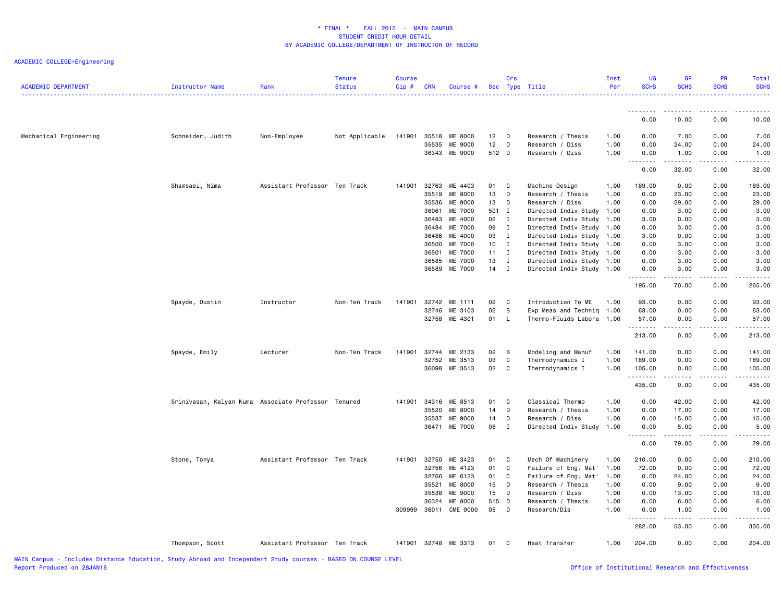| <b>ACADEMIC DEPARTMENT</b> | Instructor Name                                     | Rank                          | <b>Tenure</b><br><b>Status</b> | <b>Course</b><br>Cip# | <b>CRN</b>     | Course #             |            | Crs          | Sec Type Title                               | Inst<br>Per  | <b>UG</b><br><b>SCHS</b> | <b>GR</b><br><b>SCHS</b> | PR<br><b>SCHS</b> | Total<br><b>SCHS</b>                                                                                                  |
|----------------------------|-----------------------------------------------------|-------------------------------|--------------------------------|-----------------------|----------------|----------------------|------------|--------------|----------------------------------------------|--------------|--------------------------|--------------------------|-------------------|-----------------------------------------------------------------------------------------------------------------------|
|                            |                                                     |                               |                                |                       |                |                      |            |              |                                              |              | 0.00                     | .<br>10.00               | 0.00              | 10.00                                                                                                                 |
|                            |                                                     |                               |                                |                       |                |                      |            |              |                                              |              |                          |                          |                   |                                                                                                                       |
| Mechanical Engineering     | Schneider, Judith                                   | Non-Employee                  | Not Applicable                 | 141901                |                | 35518 ME 8000        | 12         | $\Box$       | Research / Thesis                            | 1.00         | 0.00                     | 7.00                     | 0.00              | 7.00                                                                                                                  |
|                            |                                                     |                               |                                |                       | 35535          | ME 9000              | 12         | D            | Research / Diss                              | 1.00         | 0.00                     | 24.00                    | 0.00              | 24.00                                                                                                                 |
|                            |                                                     |                               |                                |                       |                | 36343 ME 9000        | 512 D      |              | Research / Diss                              | 1.00         | 0.00<br>.                | 1.00<br>.                | 0.00<br>.         | 1.00<br>.                                                                                                             |
|                            |                                                     |                               |                                |                       |                |                      |            |              |                                              |              | 0.00                     | 32.00                    | 0.00              | 32.00                                                                                                                 |
|                            | Shamsaei, Nima                                      | Assistant Professor Ten Track |                                | 141901                | 32763          | ME 4403              | 01         | C            | Machine Design                               | 1.00         | 189.00                   | 0.00                     | 0.00              | 189.00                                                                                                                |
|                            |                                                     |                               |                                |                       | 35519          | ME 8000              | 13         | D            | Research / Thesis                            | 1.00         | 0.00                     | 23.00                    | 0.00              | 23.00                                                                                                                 |
|                            |                                                     |                               |                                |                       | 35536          | ME 9000              | 13         | D            | Research / Diss                              | 1.00         | 0.00                     | 29.00                    | 0.00              | 29.00                                                                                                                 |
|                            |                                                     |                               |                                |                       | 36061          | ME 7000              | 501 I      |              | Directed Indiv Study                         | 1.00         | 0.00                     | 3.00                     | 0.00              | 3.00                                                                                                                  |
|                            |                                                     |                               |                                |                       | 36483<br>36484 | ME 4000<br>ME 7000   | 02 I<br>09 | $\mathbf{I}$ | Directed Indiv Study                         | 1.00<br>1.00 | 3.00<br>0.00             | 0.00                     | 0.00<br>0.00      | 3.00                                                                                                                  |
|                            |                                                     |                               |                                |                       | 36486          | ME 4000              | 03         | $\mathbf{I}$ | Directed Indiv Study<br>Directed Indiv Study | 1.00         | 3.00                     | 3.00<br>0.00             | 0.00              | 3.00<br>3.00                                                                                                          |
|                            |                                                     |                               |                                |                       | 36500          | ME 7000              | 10         | $\mathbf{I}$ | Directed Indiv Study                         | 1.00         | 0.00                     | 3.00                     | 0.00              | 3.00                                                                                                                  |
|                            |                                                     |                               |                                |                       | 36501          | ME 7000              | 11         | $\mathbf{I}$ | Directed Indiv Study 1.00                    |              | 0.00                     | 3.00                     | 0.00              | 3.00                                                                                                                  |
|                            |                                                     |                               |                                |                       | 36585          | ME 7000              | 13         | $\mathbf I$  | Directed Indiv Study                         | 1.00         | 0.00                     | 3.00                     | 0.00              | 3.00                                                                                                                  |
|                            |                                                     |                               |                                |                       | 36589          | ME 7000              | $14$ I     |              | Directed Indiv Study 1.00                    |              | 0.00                     | 3.00                     | 0.00              | 3.00                                                                                                                  |
|                            |                                                     |                               |                                |                       |                |                      |            |              |                                              |              | .<br>195.00              | .<br>70.00               | .<br>0.00         | -----<br>265.00                                                                                                       |
|                            | Spayde, Dustin                                      | Instructor                    | Non-Ten Track                  | 141901                | 32742          | ME 1111              | 02         | C            | Introduction To ME                           | 1.00         | 93.00                    | 0.00                     | 0.00              | 93.00                                                                                                                 |
|                            |                                                     |                               |                                |                       |                | 32746 ME 3103        | 02         | B            | Exp Meas and Techniq 1.00                    |              | 63.00                    | 0.00                     | 0.00              | 63.00                                                                                                                 |
|                            |                                                     |                               |                                |                       |                | 32758 ME 4301        | 01         | $\mathsf{L}$ | Thermo-Fluids Labora 1.00                    |              | 57.00                    | 0.00                     | 0.00              | 57.00                                                                                                                 |
|                            |                                                     |                               |                                |                       |                |                      |            |              |                                              |              | .<br>213.00              | .<br>0.00                | -----<br>0.00     | .<br>213.00                                                                                                           |
|                            |                                                     | Lecturer                      | Non-Ten Track                  | 141901                | 32744          | ME 2133              | 02         | B            | Modeling and Manuf                           | 1.00         | 141.00                   | 0.00                     | 0.00              | 141.00                                                                                                                |
|                            | Spayde, Emily                                       |                               |                                |                       | 32752          | ME 3513              | 03         | C            | Thermodynamics I                             | 1.00         | 189.00                   | 0.00                     | 0.00              | 189.00                                                                                                                |
|                            |                                                     |                               |                                |                       |                | 36098 ME 3513        | 02         | C            | Thermodynamics I                             | 1.00         | 105.00                   | 0.00                     | 0.00              | 105.00                                                                                                                |
|                            |                                                     |                               |                                |                       |                |                      |            |              |                                              |              | .                        | .                        | .                 | $\begin{array}{cccccccccc} \bullet & \bullet & \bullet & \bullet & \bullet & \bullet & \bullet & \bullet \end{array}$ |
|                            |                                                     |                               |                                |                       |                |                      |            |              |                                              |              | 435.00                   | 0.00                     | 0.00              | 435.00                                                                                                                |
|                            | Srinivasan, Kalyan Kuma Associate Professor Tenured |                               |                                | 141901                |                | 34316 ME 8513        | 01         | C            | Classical Thermo                             | 1.00         | 0.00                     | 42.00                    | 0.00              | 42.00                                                                                                                 |
|                            |                                                     |                               |                                |                       | 35520          | ME 8000              | 14         | D            | Research / Thesis                            | 1.00         | 0.00                     | 17.00                    | 0.00              | 17.00                                                                                                                 |
|                            |                                                     |                               |                                |                       | 35537          | ME 9000              | 14         | D            | Research / Diss                              | 1.00         | 0.00                     | 15.00                    | 0.00              | 15.00                                                                                                                 |
|                            |                                                     |                               |                                |                       |                | 36471 ME 7000        | 08         | $\mathbf{I}$ | Directed Indiv Study 1.00                    |              | 0.00<br><u>.</u>         | 5.00<br>.                | 0.00<br>.         | 5.00<br>.                                                                                                             |
|                            |                                                     |                               |                                |                       |                |                      |            |              |                                              |              | 0.00                     | 79.00                    | 0.00              | 79.00                                                                                                                 |
|                            | Stone, Tonya                                        | Assistant Professor Ten Track |                                | 141901                | 32750          | ME 3423              | 01         | C            | Mech Of Machinery                            | 1.00         | 210.00                   | 0.00                     | 0.00              | 210.00                                                                                                                |
|                            |                                                     |                               |                                |                       |                | 32756 ME 4123        | 01         | C            | Failure of Eng. Mat'                         | 1.00         | 72.00                    | 0.00                     | 0.00              | 72.00                                                                                                                 |
|                            |                                                     |                               |                                |                       | 32766          | ME 6123              | 01         | C            | Failure of Eng. Mat'                         | 1.00         | 0.00                     | 24.00                    | 0.00              | 24.00                                                                                                                 |
|                            |                                                     |                               |                                |                       | 35521          | ME 8000              | 15         | D            | Research / Thesis                            | 1.00         | 0.00                     | 9.00                     | 0.00              | 9.00                                                                                                                  |
|                            |                                                     |                               |                                |                       | 35538          | ME 9000              | 15         | D            | Research / Diss                              | 1.00         | 0.00                     | 13.00                    | 0.00              | 13.00                                                                                                                 |
|                            |                                                     |                               |                                |                       | 36324          | ME 8000              | 515 D      |              | Research / Thesis                            | 1.00         | 0.00                     | 6.00                     | 0.00              | 6.00                                                                                                                  |
|                            |                                                     |                               |                                | 309999                | 36011          | <b>CME 9000</b>      | 05         | D            | Research/Dis                                 | 1.00         | 0.00<br>.                | 1.00                     | 0.00              | 1.00<br>.                                                                                                             |
|                            |                                                     |                               |                                |                       |                |                      |            |              |                                              |              | 282.00                   | 53.00                    | 0.00              | 335.00                                                                                                                |
|                            | Thompson, Scott                                     | Assistant Professor Ten Track |                                |                       |                | 141901 32748 ME 3313 | 01         | C            | Heat Transfer                                | 1.00         | 204.00                   | 0.00                     | 0.00              | 204.00                                                                                                                |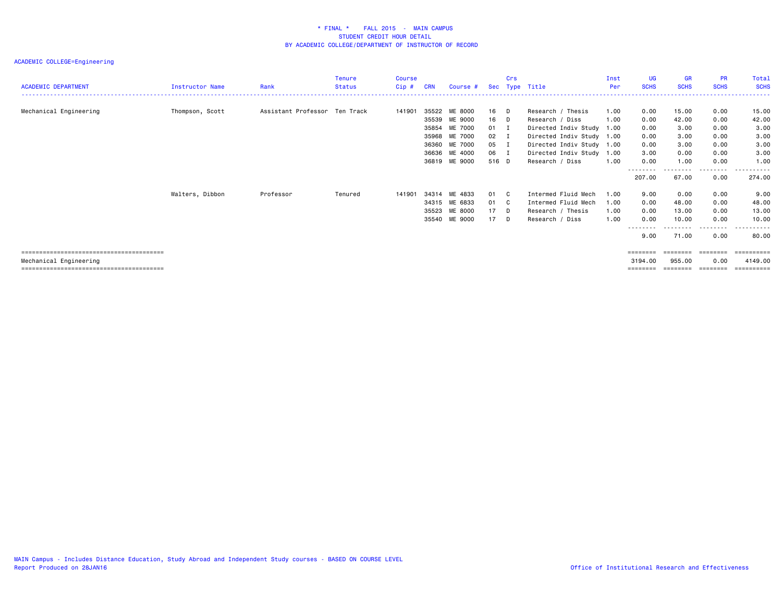| <b>ACADEMIC DEPARTMENT</b> | <b>Instructor Name</b> | Rank                          | Tenure<br><b>Status</b> | Course  | <b>CRN</b> | Course #      |              | Crs    | Sec Type Title            | Inst<br>Per | UG<br><b>SCHS</b> | <b>GR</b><br><b>SCHS</b> | <b>PR</b><br><b>SCHS</b> | Total<br><b>SCHS</b> |
|----------------------------|------------------------|-------------------------------|-------------------------|---------|------------|---------------|--------------|--------|---------------------------|-------------|-------------------|--------------------------|--------------------------|----------------------|
|                            |                        |                               |                         | $Cip$ # |            |               |              |        |                           |             |                   |                          |                          |                      |
| Mechanical Engineering     | Thompson, Scott        | Assistant Professor Ten Track |                         | 141901  | 35522      | ME 8000       | 16 D         |        | Research / Thesis         | 1.00        | 0.00              | 15.00                    | 0.00                     | 15.00                |
|                            |                        |                               |                         |         | 35539      | ME 9000       | 16 D         |        | Research / Diss           | 1.00        | 0.00              | 42.00                    | 0.00                     | 42.00                |
|                            |                        |                               |                         |         | 35854      | ME 7000       | 01 I         |        | Directed Indiv Study 1.00 |             | 0.00              | 3.00                     | 0.00                     | 3.00                 |
|                            |                        |                               |                         |         | 35968      | ME 7000       | $02 \quad I$ |        | Directed Indiv Study 1.00 |             | 0.00              | 3.00                     | 0.00                     | 3.00                 |
|                            |                        |                               |                         |         | 36360      | ME 7000       | 05 I         |        | Directed Indiv Study 1.00 |             | 0.00              | 3.00                     | 0.00                     | 3.00                 |
|                            |                        |                               |                         |         | 36636      | ME 4000       | 06 I         |        | Directed Indiv Study 1.00 |             | 3.00              | 0.00                     | 0.00                     | 3.00                 |
|                            |                        |                               |                         |         | 36819      | ME 9000       | 516 D        |        | Research / Diss           | 1.00        | 0.00              | 1.00                     | 0.00                     | 1.00                 |
|                            |                        |                               |                         |         |            |               |              |        |                           |             | 207.00            | .<br>67.00               | --------<br>0.00         | ----------<br>274.00 |
|                            | Walters, Dibbon        | Professor                     | Tenured                 | 141901  |            | 34314 ME 4833 | 01 C         |        | Intermed Fluid Mech       | 1.00        | 9.00              | 0.00                     | 0.00                     | 9.00                 |
|                            |                        |                               |                         |         |            | 34315 ME 6833 | 01 C         |        | Intermed Fluid Mech       | 1.00        | 0.00              | 48.00                    | 0.00                     | 48.00                |
|                            |                        |                               |                         |         | 35523      | ME 8000       | $17$ D       |        | Research / Thesis         | 1.00        | 0.00              | 13.00                    | 0.00                     | 13.00                |
|                            |                        |                               |                         |         | 35540      | ME 9000       | 17           | $\Box$ | Research / Diss           | 1.00        | 0.00              | 10.00                    | 0.00                     | 10.00                |
|                            |                        |                               |                         |         |            |               |              |        |                           |             | --------          | .                        | --------                 | .                    |
|                            |                        |                               |                         |         |            |               |              |        |                           |             | 9.00              | 71.00                    | 0.00                     | 80.00                |
|                            |                        |                               |                         |         |            |               |              |        |                           |             | ========          | ========                 | ========                 | ==========           |
| Mechanical Engineering     |                        |                               |                         |         |            |               |              |        |                           |             | 3194.00           | 955.00                   | 0.00                     | 4149.00              |
|                            |                        |                               |                         |         |            |               |              |        |                           |             | ========          | ========                 | --------                 | -----------          |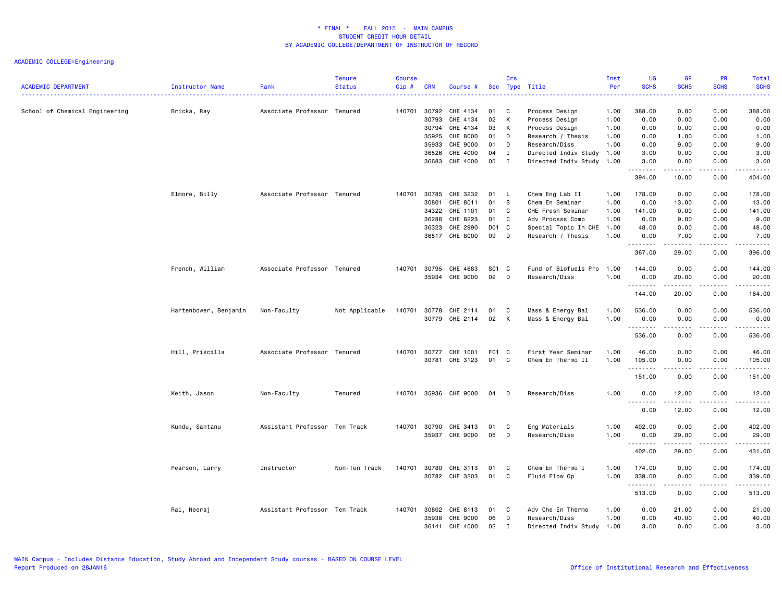| <b>ACADEMIC DEPARTMENT</b>     | <b>Instructor Name</b> | Rank                          | <b>Tenure</b><br><b>Status</b> | <b>Course</b><br>Cip# | <b>CRN</b> | Course #              |       | Crs      | Sec Type Title            | Inst<br>Per | UG<br><b>SCHS</b> | <b>GR</b><br><b>SCHS</b>                                                                                                                                     | <b>PR</b><br><b>SCHS</b><br>$\frac{1}{2} \left( \frac{1}{2} \right) \left( \frac{1}{2} \right) \left( \frac{1}{2} \right) \left( \frac{1}{2} \right) \left( \frac{1}{2} \right)$ | <b>Total</b><br><b>SCHS</b><br>. |
|--------------------------------|------------------------|-------------------------------|--------------------------------|-----------------------|------------|-----------------------|-------|----------|---------------------------|-------------|-------------------|--------------------------------------------------------------------------------------------------------------------------------------------------------------|----------------------------------------------------------------------------------------------------------------------------------------------------------------------------------|----------------------------------|
| School of Chemical Engineering | Bricka, Ray            | Associate Professor Tenured   |                                | 140701                | 30792      | CHE 4134              | 01    | <b>C</b> | Process Design            | 1.00        | 388.00            | 0.00                                                                                                                                                         | 0.00                                                                                                                                                                             | 388.00                           |
|                                |                        |                               |                                |                       | 30793      | CHE 4134              | 02    | K        | Process Design            | 1.00        | 0.00              | 0.00                                                                                                                                                         | 0.00                                                                                                                                                                             | 0.00                             |
|                                |                        |                               |                                |                       | 30794      | CHE 4134              | 03    | К        | Process Design            | 1.00        | 0.00              | 0.00                                                                                                                                                         | 0.00                                                                                                                                                                             | 0.00                             |
|                                |                        |                               |                                |                       | 35925      | CHE 8000              | 01    | D        | Research / Thesis         | 1.00        | 0.00              | 1.00                                                                                                                                                         | 0.00                                                                                                                                                                             | 1.00                             |
|                                |                        |                               |                                |                       | 35933      | CHE 9000              | 01    | D        | Research/Diss             | 1.00        | 0.00              | 9.00                                                                                                                                                         | 0.00                                                                                                                                                                             | 9.00                             |
|                                |                        |                               |                                |                       | 36526      | CHE 4000              | 04    | Ι        | Directed Indiv Study 1.00 |             | 3.00              | 0.00                                                                                                                                                         | 0.00                                                                                                                                                                             | 3.00                             |
|                                |                        |                               |                                |                       | 36683      | CHE 4000              | 05    | I        | Directed Indiv Study 1.00 |             | 3.00<br>.         | 0.00<br>.                                                                                                                                                    | 0.00<br>.                                                                                                                                                                        | 3.00<br>.                        |
|                                |                        |                               |                                |                       |            |                       |       |          |                           |             | 394.00            | 10.00                                                                                                                                                        | 0.00                                                                                                                                                                             | 404.00                           |
|                                | Elmore, Billy          | Associate Professor Tenured   |                                | 140701                | 30785      | CHE 3232              | 01    | - L      | Chem Eng Lab II           | 1.00        | 178.00            | 0.00                                                                                                                                                         | 0.00                                                                                                                                                                             | 178.00                           |
|                                |                        |                               |                                |                       | 30801      | CHE 8011              | 01    | <b>S</b> | Chem En Seminar           | 1.00        | 0.00              | 13.00                                                                                                                                                        | 0.00                                                                                                                                                                             | 13.00                            |
|                                |                        |                               |                                |                       | 34322      | CHE 1101              | 01    | C        | CHE Fresh Seminar         | 1.00        | 141.00            | 0.00                                                                                                                                                         | 0.00                                                                                                                                                                             | 141.00                           |
|                                |                        |                               |                                |                       | 36288      | CHE 8223              | 01    | C        | Adv Process Comp          | 1.00        | 0.00              | 9.00                                                                                                                                                         | 0.00                                                                                                                                                                             | 9.00                             |
|                                |                        |                               |                                |                       | 36323      | CHE 2990              | D01 C |          | Special Topic In CHE 1.00 |             | 48.00             | 0.00                                                                                                                                                         | 0.00                                                                                                                                                                             | 48.00                            |
|                                |                        |                               |                                |                       | 36517      | CHE 8000              | 09    | D        | Research / Thesis         | 1.00        | 0.00<br>.         | 7.00<br>$\frac{1}{2} \left( \frac{1}{2} \right) \left( \frac{1}{2} \right) \left( \frac{1}{2} \right) \left( \frac{1}{2} \right) \left( \frac{1}{2} \right)$ | 0.00<br>د د د د                                                                                                                                                                  | 7.00<br>.                        |
|                                |                        |                               |                                |                       |            |                       |       |          |                           |             | 367.00            | 29.00                                                                                                                                                        | 0.00                                                                                                                                                                             | 396.00                           |
|                                | French, William        | Associate Professor Tenured   |                                | 140701                | 30795      | CHE 4683              | S01 C |          | Fund of Biofuels Pro      | 1.00        | 144.00            | 0.00                                                                                                                                                         | 0.00                                                                                                                                                                             | 144.00                           |
|                                |                        |                               |                                |                       | 35934      | CHE 9000              | 02    | D        | Research/Diss             | 1.00        |                   |                                                                                                                                                              |                                                                                                                                                                                  |                                  |
|                                |                        |                               |                                |                       |            |                       |       |          |                           |             | 0.00<br>.         | 20.00<br>.                                                                                                                                                   | 0.00<br>.                                                                                                                                                                        | 20.00<br>. <b>.</b>              |
|                                |                        |                               |                                |                       |            |                       |       |          |                           |             | 144.00            | 20.00                                                                                                                                                        | 0.00                                                                                                                                                                             | 164.00                           |
|                                | Hartenbower, Benjamin  | Non-Faculty                   | Not Applicable                 | 140701                | 30778      | CHE 2114              | 01    | C        | Mass & Energy Bal         | 1.00        | 536.00            | 0.00                                                                                                                                                         | 0.00                                                                                                                                                                             | 536.00                           |
|                                |                        |                               |                                |                       | 30779      | CHE 2114              | 02    | K        | Mass & Energy Bal         | 1.00        | 0.00              | 0.00                                                                                                                                                         | 0.00                                                                                                                                                                             | 0.00                             |
|                                |                        |                               |                                |                       |            |                       |       |          |                           |             | .                 | $\frac{1}{2} \left( \frac{1}{2} \right) \left( \frac{1}{2} \right) \left( \frac{1}{2} \right) \left( \frac{1}{2} \right)$                                    | .                                                                                                                                                                                | .                                |
|                                |                        |                               |                                |                       |            |                       |       |          |                           |             | 536.00            | 0.00                                                                                                                                                         | 0.00                                                                                                                                                                             | 536.00                           |
|                                | Hill, Priscilla        | Associate Professor Tenured   |                                | 140701                | 30777      | CHE 1001              | F01 C |          | First Year Seminar        | 1.00        | 46.00             | 0.00                                                                                                                                                         | 0.00                                                                                                                                                                             | 46.00                            |
|                                |                        |                               |                                |                       | 30781      | CHE 3123              | 01    | C        | Chem En Thermo II         |             |                   |                                                                                                                                                              | 0.00                                                                                                                                                                             |                                  |
|                                |                        |                               |                                |                       |            |                       |       |          |                           | 1.00        | 105.00<br>.       | 0.00<br>$\frac{1}{2} \left( \frac{1}{2} \right) \left( \frac{1}{2} \right) \left( \frac{1}{2} \right) \left( \frac{1}{2} \right) \left( \frac{1}{2} \right)$ | .                                                                                                                                                                                | 105.00<br>.                      |
|                                |                        |                               |                                |                       |            |                       |       |          |                           |             | 151.00            | 0.00                                                                                                                                                         | 0.00                                                                                                                                                                             | 151.00                           |
|                                | Keith, Jason           | Non-Faculty                   | Tenured                        |                       |            | 140701 35936 CHE 9000 | 04    | <b>D</b> | Research/Diss             | 1.00        | 0.00              | 12.00                                                                                                                                                        | 0.00                                                                                                                                                                             | 12.00                            |
|                                |                        |                               |                                |                       |            |                       |       |          |                           |             | .                 |                                                                                                                                                              | $- - - - -$                                                                                                                                                                      | .                                |
|                                |                        |                               |                                |                       |            |                       |       |          |                           |             | 0.00              | 12.00                                                                                                                                                        | 0.00                                                                                                                                                                             | 12.00                            |
|                                | Kundu, Santanu         | Assistant Professor Ten Track |                                | 140701                | 30790      | CHE 3413              | 01    | C        | Eng Materials             | 1.00        | 402.00            | 0.00                                                                                                                                                         | 0.00                                                                                                                                                                             | 402.00                           |
|                                |                        |                               |                                |                       | 35937      | CHE 9000              | 05    | D        | Research/Diss             | 1.00        | 0.00              | 29.00                                                                                                                                                        | 0.00                                                                                                                                                                             | 29.00                            |
|                                |                        |                               |                                |                       |            |                       |       |          |                           |             | .                 | .                                                                                                                                                            | .                                                                                                                                                                                | .                                |
|                                |                        |                               |                                |                       |            |                       |       |          |                           |             | 402.00            | 29.00                                                                                                                                                        | 0.00                                                                                                                                                                             | 431.00                           |
|                                | Pearson, Larry         | Instructor                    | Non-Ten Track                  | 140701                | 30780      | CHE 3113              | 01    | C        | Chem En Thermo I          | 1.00        | 174.00            | 0.00                                                                                                                                                         | 0.00                                                                                                                                                                             | 174.00                           |
|                                |                        |                               |                                |                       |            | 30782 CHE 3203        | 01    | C        | Fluid Flow Op             | 1.00        | 339.00            | 0.00                                                                                                                                                         | 0.00                                                                                                                                                                             | 339.00                           |
|                                |                        |                               |                                |                       |            |                       |       |          |                           |             | .<br>513.00       | .<br>0.00                                                                                                                                                    | .<br>0.00                                                                                                                                                                        | 513.00                           |
|                                |                        |                               |                                |                       |            |                       |       |          |                           |             |                   |                                                                                                                                                              |                                                                                                                                                                                  |                                  |
|                                | Rai, Neeraj            | Assistant Professor Ten Track |                                | 140701                | 30802      | CHE 8113              | 01    | C        | Adv Che En Thermo         | 1.00        | 0.00              | 21.00                                                                                                                                                        | 0.00                                                                                                                                                                             | 21.00                            |
|                                |                        |                               |                                |                       | 35938      | CHE 9000              | 06    | D        | Research/Diss             | 1.00        | 0.00              | 40.00                                                                                                                                                        | 0.00                                                                                                                                                                             | 40.00                            |
|                                |                        |                               |                                |                       | 36141      | CHE 4000              | 02    | Ι.       | Directed Indiv Study 1.00 |             | 3.00              | 0.00                                                                                                                                                         | 0.00                                                                                                                                                                             | 3.00                             |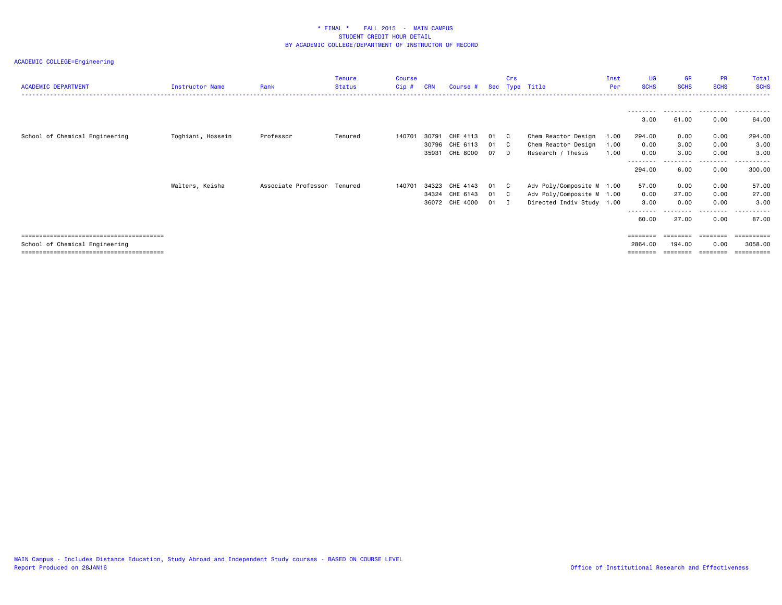| <b>ACADEMIC DEPARTMENT</b>     | Instructor Name   | Rank                        | <b>Tenure</b><br><b>Status</b> | <b>Course</b><br>Cip# | <b>CRN</b> | Course #       |      | Crs          | Sec Type Title            | Inst<br>Per | UG<br><b>SCHS</b>  | <b>GR</b><br><b>SCHS</b> | <b>PR</b><br><b>SCHS</b> | Total<br><b>SCHS</b>   |
|--------------------------------|-------------------|-----------------------------|--------------------------------|-----------------------|------------|----------------|------|--------------|---------------------------|-------------|--------------------|--------------------------|--------------------------|------------------------|
|                                |                   |                             |                                |                       |            |                |      |              |                           |             | ---------<br>3.00  | 61.00                    | .<br>0.00                | .<br>64.00             |
| School of Chemical Engineering | Toghiani, Hossein | Professor                   | Tenured                        | 140701                | 30791      | CHE 4113       | 01   | $\mathbf{C}$ | Chem Reactor Design       | 1.00        | 294.00             | 0.00                     | 0.00                     | 294.00                 |
|                                |                   |                             |                                |                       |            | 30796 CHE 6113 | 01 C |              | Chem Reactor Design       | 1.00        | 0.00               | 3.00                     | 0.00                     | 3.00                   |
|                                |                   |                             |                                |                       | 35931      | CHE 8000       | 07   | D.           | Research / Thesis         | 1.00        | 0.00               | 3.00                     | 0.00                     | 3.00                   |
|                                |                   |                             |                                |                       |            |                |      |              |                           |             | --------<br>294.00 | 6.00                     | -----<br>0.00            | . <u>.</u> .<br>300.00 |
|                                | Walters, Keisha   | Associate Professor Tenured |                                | 140701                | 34323      | CHE 4143       | 01   | $\mathbf{C}$ | Adv Poly/Composite M 1.00 |             | 57.00              | 0.00                     | 0.00                     | 57.00                  |
|                                |                   |                             |                                |                       |            | 34324 CHE 6143 | 01 C |              | Adv Poly/Composite M 1.00 |             | 0.00               | 27.00                    | 0.00                     | 27.00                  |
|                                |                   |                             |                                |                       |            | 36072 CHE 4000 | 01   | I.           | Directed Indiv Study 1.00 |             | 3.00               | 0.00                     | 0.00                     | 3.00                   |
|                                |                   |                             |                                |                       |            |                |      |              |                           |             | --------           |                          | ---------                | .                      |
|                                |                   |                             |                                |                       |            |                |      |              |                           |             | 60.00              | 27.00                    | 0.00                     | 87.00                  |
|                                |                   |                             |                                |                       |            |                |      |              |                           |             | $=$ = = = = = = =  |                          |                          | =========              |
| School of Chemical Engineering |                   |                             |                                |                       |            |                |      |              |                           |             | 2864.00            | 194.00                   | 0.00                     | 3058.00                |
|                                |                   |                             |                                |                       |            |                |      |              |                           |             |                    |                          | --------                 |                        |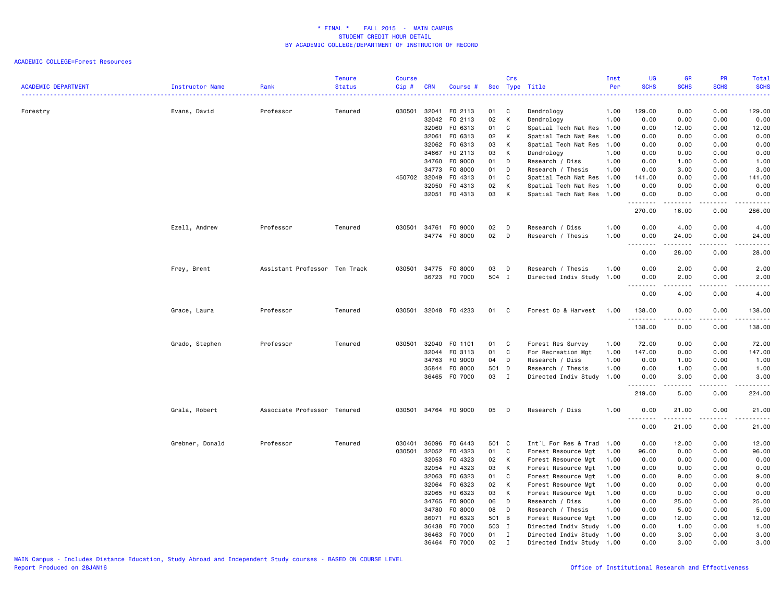| <b>ACADEMIC DEPARTMENT</b> | Instructor Name | Rank                          | <b>Tenure</b><br><b>Status</b> | <b>Course</b><br>Cip# | <b>CRN</b> | Course #      | Sec   | Crs          | Type Title                | Inst<br>Per | <b>UG</b><br><b>SCHS</b>   | <b>GR</b><br><b>SCHS</b>                                                                                                                                      | PR<br><b>SCHS</b>                   | Total<br><b>SCHS</b>                                                                                                                                          |
|----------------------------|-----------------|-------------------------------|--------------------------------|-----------------------|------------|---------------|-------|--------------|---------------------------|-------------|----------------------------|---------------------------------------------------------------------------------------------------------------------------------------------------------------|-------------------------------------|---------------------------------------------------------------------------------------------------------------------------------------------------------------|
|                            |                 |                               |                                |                       |            |               |       |              |                           |             |                            |                                                                                                                                                               | ----                                | .                                                                                                                                                             |
| Forestry                   | Evans, David    | Professor                     | Tenured                        | 030501                | 32041      | F0 2113       | 01    | C            | Dendrology                | 1.00        | 129.00                     | 0.00                                                                                                                                                          | 0.00                                | 129.00                                                                                                                                                        |
|                            |                 |                               |                                |                       | 32042      | F0 2113       | 02    | К            | Dendrology                | 1.00        | 0.00                       | 0.00                                                                                                                                                          | 0.00                                | 0.00                                                                                                                                                          |
|                            |                 |                               |                                |                       | 32060      | F0 6313       | 01    | C            | Spatial Tech Nat Res 1.00 |             | 0.00                       | 12.00                                                                                                                                                         | 0.00                                | 12.00                                                                                                                                                         |
|                            |                 |                               |                                |                       | 32061      | F0 6313       | 02    | К            | Spatial Tech Nat Res 1.00 |             | 0.00                       | 0.00                                                                                                                                                          | 0.00                                | 0.00                                                                                                                                                          |
|                            |                 |                               |                                |                       |            | 32062 FO 6313 | 03    | К            | Spatial Tech Nat Res 1.00 |             | 0.00                       | 0.00                                                                                                                                                          | 0.00                                | 0.00                                                                                                                                                          |
|                            |                 |                               |                                |                       | 34667      | F0 2113       | 03    | К            | Dendrology                | 1.00        | 0.00                       | 0.00                                                                                                                                                          | 0.00                                | 0.00                                                                                                                                                          |
|                            |                 |                               |                                |                       | 34760      | F0 9000       | 01    | D            | Research / Diss           | 1.00        | 0.00                       | 1.00                                                                                                                                                          | 0.00                                | 1.00                                                                                                                                                          |
|                            |                 |                               |                                |                       | 34773      | F0 8000       | 01    | D            | Research / Thesis         | 1.00        | 0.00                       | 3.00                                                                                                                                                          | 0.00                                | 3.00                                                                                                                                                          |
|                            |                 |                               |                                | 450702 32049          |            | F0 4313       | 01    | C            | Spatial Tech Nat Res 1.00 |             | 141.00                     | 0.00                                                                                                                                                          | 0.00                                | 141.00                                                                                                                                                        |
|                            |                 |                               |                                |                       | 32050      | F0 4313       | 02    | К            | Spatial Tech Nat Res 1.00 |             | 0.00                       | 0.00                                                                                                                                                          | 0.00                                | 0.00                                                                                                                                                          |
|                            |                 |                               |                                |                       |            | 32051 F0 4313 | 03    | К            | Spatial Tech Nat Res 1.00 |             | 0.00                       | 0.00                                                                                                                                                          | 0.00                                | 0.00                                                                                                                                                          |
|                            |                 |                               |                                |                       |            |               |       |              |                           |             | .<br>270.00                | $\frac{1}{2} \left( \frac{1}{2} \right) \left( \frac{1}{2} \right) \left( \frac{1}{2} \right) \left( \frac{1}{2} \right) \left( \frac{1}{2} \right)$<br>16.00 | .<br>0.00                           | .<br>286.00                                                                                                                                                   |
|                            | Ezell, Andrew   | Professor                     | Tenured                        | 030501                | 34761      | F0 9000       | 02    | D            | Research / Diss           | 1.00        | 0.00                       | 4.00                                                                                                                                                          | 0.00                                | 4.00                                                                                                                                                          |
|                            |                 |                               |                                |                       | 34774      | F0 8000       | 02    | D            | Research / Thesis         | 1.00        | 0.00                       | 24.00                                                                                                                                                         | 0.00                                | 24.00                                                                                                                                                         |
|                            |                 |                               |                                |                       |            |               |       |              |                           |             | 0.00                       | 28.00                                                                                                                                                         | .<br>0.00                           | .<br>28.00                                                                                                                                                    |
|                            | Frey, Brent     | Assistant Professor Ten Track |                                | 030501                |            | 34775 FO 8000 | 03    | D            | Research / Thesis         | 1.00        | 0.00                       | 2.00                                                                                                                                                          | 0.00                                | 2.00                                                                                                                                                          |
|                            |                 |                               |                                |                       |            | 36723 F0 7000 | 504 I |              | Directed Indiv Study      | 1.00        | 0.00                       | 2.00                                                                                                                                                          | 0.00                                | 2.00                                                                                                                                                          |
|                            |                 |                               |                                |                       |            |               |       |              |                           |             | .<br>$\sim$ $\sim$<br>0.00 | 4.00                                                                                                                                                          | $\sim$ $\sim$ $\sim$ $\sim$<br>0.00 | .<br>4.00                                                                                                                                                     |
|                            | Grace, Laura    | Professor                     | Tenured                        | 030501                |            | 32048 FO 4233 | 01    | C            | Forest Op & Harvest       | 1.00        | 138.00                     | 0.00                                                                                                                                                          | 0.00                                | 138.00                                                                                                                                                        |
|                            |                 |                               |                                |                       |            |               |       |              |                           |             | .<br>138.00                | $\frac{1}{2} \left( \frac{1}{2} \right) \left( \frac{1}{2} \right) \left( \frac{1}{2} \right) \left( \frac{1}{2} \right) \left( \frac{1}{2} \right)$<br>0.00  | .<br>0.00                           | .<br>138.00                                                                                                                                                   |
|                            | Grado, Stephen  | Professor                     | Tenured                        | 030501                | 32040      | F0 1101       | 01    | C            | Forest Res Survey         | 1.00        | 72.00                      | 0.00                                                                                                                                                          | 0.00                                | 72.00                                                                                                                                                         |
|                            |                 |                               |                                |                       | 32044      | FO 3113       | 01    | C            | For Recreation Mgt        | 1.00        | 147.00                     | 0.00                                                                                                                                                          | 0.00                                | 147.00                                                                                                                                                        |
|                            |                 |                               |                                |                       | 34763      | F0 9000       | 04    | D            | Research / Diss           | 1.00        | 0.00                       | 1.00                                                                                                                                                          | 0.00                                | 1.00                                                                                                                                                          |
|                            |                 |                               |                                |                       | 35844      | F0 8000       | 501   | D            | Research / Thesis         | 1.00        | 0.00                       | 1.00                                                                                                                                                          | 0.00                                | 1.00                                                                                                                                                          |
|                            |                 |                               |                                |                       |            | 36465 F0 7000 | 03    | $\mathbf{I}$ | Directed Indiv Study 1.00 |             | 0.00                       | 3.00                                                                                                                                                          | 0.00                                | 3.00                                                                                                                                                          |
|                            |                 |                               |                                |                       |            |               |       |              |                           |             | 219.00                     | .<br>5.00                                                                                                                                                     | .<br>0.00                           | .<br>224.00                                                                                                                                                   |
|                            | Grala, Robert   | Associate Professor Tenured   |                                | 030501                |            | 34764 FO 9000 | 05    | D            | Research / Diss           | 1.00        | 0.00                       | 21.00                                                                                                                                                         | 0.00                                | 21.00                                                                                                                                                         |
|                            |                 |                               |                                |                       |            |               |       |              |                           |             | ----<br>0.00               | 21.00                                                                                                                                                         | $\sim$ $\sim$ $\sim$ $\sim$<br>0.00 | $\frac{1}{2} \left( \frac{1}{2} \right) \left( \frac{1}{2} \right) \left( \frac{1}{2} \right) \left( \frac{1}{2} \right) \left( \frac{1}{2} \right)$<br>21.00 |
|                            | Grebner, Donald | Professor                     | Tenured                        | 030401                | 36096      | F0 6443       | 501 C |              | Int`L For Res & Trad 1.00 |             | 0.00                       | 12.00                                                                                                                                                         | 0.00                                | 12.00                                                                                                                                                         |
|                            |                 |                               |                                | 030501                | 32052      | F0 4323       | 01    | C            | Forest Resource Mgt       | 1.00        | 96.00                      | 0.00                                                                                                                                                          | 0.00                                | 96.00                                                                                                                                                         |
|                            |                 |                               |                                |                       | 32053      | F0 4323       | 02    | К            | Forest Resource Mgt       | 1.00        | 0.00                       | 0.00                                                                                                                                                          | 0.00                                | 0.00                                                                                                                                                          |
|                            |                 |                               |                                |                       | 32054      | F0 4323       | 03    | K            | Forest Resource Mgt       | 1.00        | 0.00                       | 0.00                                                                                                                                                          | 0.00                                | 0.00                                                                                                                                                          |
|                            |                 |                               |                                |                       | 32063      | F0 6323       | 01    | C            | Forest Resource Mgt       | 1.00        | 0.00                       | 9.00                                                                                                                                                          | 0.00                                | 9.00                                                                                                                                                          |
|                            |                 |                               |                                |                       |            | 32064 FO 6323 | 02    | К            | Forest Resource Mgt       | 1.00        | 0.00                       | 0.00                                                                                                                                                          | 0.00                                | 0.00                                                                                                                                                          |
|                            |                 |                               |                                |                       | 32065      | F0 6323       | 03    | K            | Forest Resource Mgt       | 1.00        | 0.00                       | 0.00                                                                                                                                                          | 0.00                                | 0.00                                                                                                                                                          |
|                            |                 |                               |                                |                       | 34765      | F0 9000       | 06    | D            | Research / Diss           | 1.00        | 0.00                       | 25.00                                                                                                                                                         | 0.00                                | 25.00                                                                                                                                                         |
|                            |                 |                               |                                |                       | 34780      | F0 8000       | 08    | D            | Research / Thesis         | 1.00        | 0.00                       | 5.00                                                                                                                                                          | 0.00                                | 5.00                                                                                                                                                          |
|                            |                 |                               |                                |                       | 36071      | F0 6323       | 501 B |              | Forest Resource Mgt       | 1.00        | 0.00                       | 12.00                                                                                                                                                         | 0.00                                | 12.00                                                                                                                                                         |
|                            |                 |                               |                                |                       | 36438      | F0 7000       | 503   | $\mathbf{I}$ | Directed Indiv Study 1.00 |             | 0.00                       | 1.00                                                                                                                                                          | 0.00                                | 1.00                                                                                                                                                          |
|                            |                 |                               |                                |                       |            | 36463 F0 7000 | 01    | $\mathbf{I}$ | Directed Indiv Study 1.00 |             | 0.00                       | 3.00                                                                                                                                                          | 0.00                                | 3.00                                                                                                                                                          |
|                            |                 |                               |                                |                       |            | 36464 F0 7000 | 02    | I            | Directed Indiv Study 1.00 |             | 0.00                       | 3.00                                                                                                                                                          | 0.00                                | 3.00                                                                                                                                                          |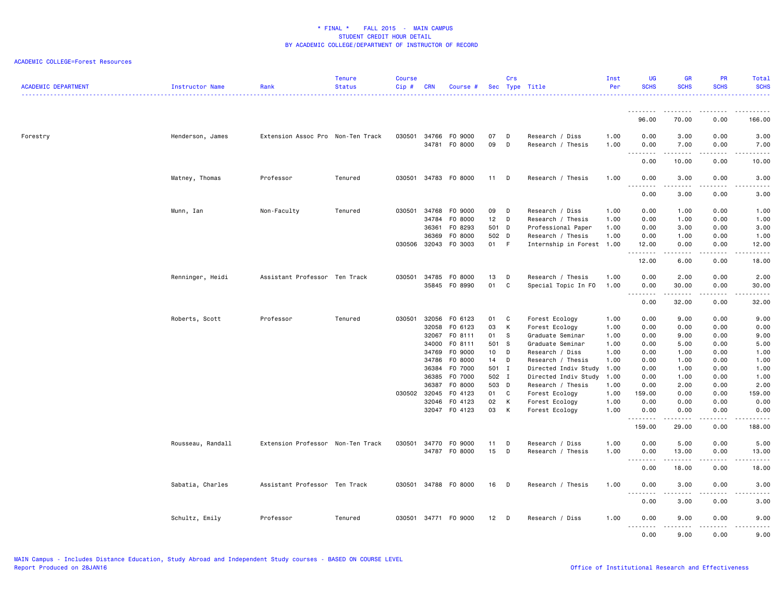| <b>ACADEMIC DEPARTMENT</b> | <b>Instructor Name</b> | Rank                              | <b>Tenure</b><br><b>Status</b> | <b>Course</b><br>$Cip$ # | <b>CRN</b>     | Course #             |                 | Crs          | Sec Type Title                          | Inst<br>Per  | <b>UG</b><br><b>SCHS</b>           | <b>GR</b><br><b>SCHS</b> | <b>PR</b><br><b>SCHS</b>                                                                                                          | Total<br><b>SCHS</b> |
|----------------------------|------------------------|-----------------------------------|--------------------------------|--------------------------|----------------|----------------------|-----------------|--------------|-----------------------------------------|--------------|------------------------------------|--------------------------|-----------------------------------------------------------------------------------------------------------------------------------|----------------------|
|                            |                        |                                   |                                |                          |                |                      |                 |              |                                         |              |                                    |                          |                                                                                                                                   |                      |
|                            |                        |                                   |                                |                          |                |                      |                 |              |                                         |              | . <b>.</b><br>96.00                | .<br>70.00               | .<br>0.00                                                                                                                         | .<br>166.00          |
|                            |                        |                                   |                                |                          |                |                      |                 |              |                                         |              |                                    |                          |                                                                                                                                   |                      |
| Forestry                   | Henderson, James       | Extension Assoc Pro Non-Ten Track |                                | 030501                   | 34766          | F0 9000              | 07              | D            | Research / Diss                         | 1.00         | 0.00                               | 3.00                     | 0.00                                                                                                                              | 3.00                 |
|                            |                        |                                   |                                |                          | 34781          | F0 8000              | 09              | D            | Research / Thesis                       | 1.00         | 0.00<br>.                          | 7.00<br>.                | 0.00<br>.                                                                                                                         | 7.00<br>.            |
|                            |                        |                                   |                                |                          |                |                      |                 |              |                                         |              | 0.00                               | 10.00                    | 0.00                                                                                                                              | 10.00                |
|                            | Matney, Thomas         | Professor                         | Tenured                        | 030501                   | 34783          | F0 8000              | 11              | D            | Research / Thesis                       | 1.00         | 0.00                               | 3.00                     | 0.00                                                                                                                              | 3.00                 |
|                            |                        |                                   |                                |                          |                |                      |                 |              |                                         |              | .<br>0.00                          | .<br>3.00                | .<br>0.00                                                                                                                         | $- - - - -$<br>3.00  |
|                            |                        |                                   |                                |                          | 34768          | F0 9000              |                 |              |                                         |              |                                    |                          |                                                                                                                                   |                      |
|                            | Munn, Ian              | Non-Faculty                       | Tenured                        | 030501                   |                | F0 8000              | 09              | D<br>D       | Research / Diss                         | 1.00         | 0.00                               | 1.00                     | 0.00                                                                                                                              | 1.00                 |
|                            |                        |                                   |                                |                          | 34784<br>36361 | F0 8293              | 12<br>501 D     |              | Research / Thesis<br>Professional Paper | 1.00<br>1.00 | 0.00<br>0.00                       | 1.00<br>3.00             | 0.00<br>0.00                                                                                                                      | 1.00<br>3.00         |
|                            |                        |                                   |                                |                          | 36369          | F0 8000              | 502 D           |              | Research / Thesis                       | 1.00         | 0.00                               | 1.00                     | 0.00                                                                                                                              | 1.00                 |
|                            |                        |                                   |                                | 030506 32043             |                | F0 3003              | 01 F            |              | Internship in Forest 1.00               |              | 12.00                              | 0.00                     | 0.00                                                                                                                              | 12.00                |
|                            |                        |                                   |                                |                          |                |                      |                 |              |                                         |              | .                                  | .                        | .                                                                                                                                 | .                    |
|                            |                        |                                   |                                |                          |                |                      |                 |              |                                         |              | 12.00                              | 6.00                     | 0.00                                                                                                                              | 18.00                |
|                            | Renninger, Heidi       | Assistant Professor Ten Track     |                                | 030501                   | 34785          | F0 8000              | 13              | D            | Research / Thesis                       | 1.00         | 0.00                               | 2.00                     | 0.00                                                                                                                              | 2.00                 |
|                            |                        |                                   |                                |                          | 35845          | F0 8990              | 01              | C            | Special Topic In FO                     | 1.00         | 0.00                               | 30.00                    | 0.00                                                                                                                              | 30.00                |
|                            |                        |                                   |                                |                          |                |                      |                 |              |                                         |              | <u>.</u><br>0.00                   | .<br>32.00               | $- - -$<br>0.00                                                                                                                   | المتمالين<br>32.00   |
|                            | Roberts, Scott         | Professor                         | Tenured                        | 030501 32056             |                | F0 6123              | 01              | $\mathbf{C}$ | Forest Ecology                          | 1.00         | 0.00                               | 9.00                     | 0.00                                                                                                                              | 9.00                 |
|                            |                        |                                   |                                |                          | 32058          | F0 6123              | 03              | К            | Forest Ecology                          | 1.00         | 0.00                               | 0.00                     | 0.00                                                                                                                              | 0.00                 |
|                            |                        |                                   |                                |                          | 32067          | FO 8111              | 01              | - S          | Graduate Seminar                        | 1.00         | 0.00                               | 9.00                     | 0.00                                                                                                                              | 9.00                 |
|                            |                        |                                   |                                |                          | 34000          | FO 8111              | 501 S           |              | Graduate Seminar                        | 1.00         | 0.00                               | 5.00                     | 0.00                                                                                                                              | 5.00                 |
|                            |                        |                                   |                                |                          | 34769          | F0 9000              | 10 <sub>1</sub> | D            | Research / Diss                         | 1.00         | 0.00                               | 1.00                     | 0.00                                                                                                                              | 1.00                 |
|                            |                        |                                   |                                |                          | 34786          | F0 8000              | 14              | D            | Research / Thesis                       | 1.00         | 0.00                               | 1.00                     | 0.00                                                                                                                              | 1.00                 |
|                            |                        |                                   |                                |                          | 36384          | F0 7000              | 501 I           |              | Directed Indiv Study                    | 1.00         | 0.00                               | 1.00                     | 0.00                                                                                                                              | 1.00                 |
|                            |                        |                                   |                                |                          | 36385          | F0 7000              | 502 I           |              | Directed Indiv Study                    | 1.00         | 0.00                               | 1.00                     | 0.00                                                                                                                              | 1.00                 |
|                            |                        |                                   |                                |                          | 36387          | F0 8000              | 503 D           |              | Research / Thesis                       | 1.00         | 0.00                               | 2.00                     | 0.00                                                                                                                              | 2.00                 |
|                            |                        |                                   |                                | 030502 32045             |                | F0 4123              | 01 C            |              | Forest Ecology                          | 1.00         | 159.00                             | 0.00                     | 0.00                                                                                                                              | 159.00               |
|                            |                        |                                   |                                |                          | 32046          | F0 4123              | 02              | К            | Forest Ecology                          | 1.00         | 0.00                               | 0.00                     | 0.00                                                                                                                              | 0.00                 |
|                            |                        |                                   |                                |                          |                | 32047 FO 4123        | 03              | K            | Forest Ecology                          | 1.00         | 0.00<br>.                          | 0.00<br>.                | 0.00<br>$\frac{1}{2}$                                                                                                             | 0.00<br><u>.</u>     |
|                            |                        |                                   |                                |                          |                |                      |                 |              |                                         |              | 159.00                             | 29.00                    | 0.00                                                                                                                              | 188.00               |
|                            | Rousseau, Randall      | Extension Professor Non-Ten Track |                                | 030501                   | 34770          | F0 9000              | 11              | D            | Research / Diss                         | 1.00         | 0.00                               | 5.00                     | 0.00                                                                                                                              | 5.00                 |
|                            |                        |                                   |                                |                          |                | 34787 FO 8000        | 15              | D            | Research / Thesis                       | 1.00         | 0.00                               | 13.00                    | 0.00                                                                                                                              | 13.00                |
|                            |                        |                                   |                                |                          |                |                      |                 |              |                                         |              | $\sim$ $\sim$ .<br>$- - -$<br>0.00 | 18.00                    | $\frac{1}{2} \left( \frac{1}{2} \right) \left( \frac{1}{2} \right) \left( \frac{1}{2} \right) \left( \frac{1}{2} \right)$<br>0.00 | .<br>18.00           |
|                            | Sabatia, Charles       | Assistant Professor Ten Track     |                                |                          |                | 030501 34788 F0 8000 | 16              | D            | Research / Thesis                       | 1.00         | 0.00                               | 3.00                     | 0.00                                                                                                                              | 3.00                 |
|                            |                        |                                   |                                |                          |                |                      |                 |              |                                         |              | $\sim$ $\sim$ $\sim$<br>.<br>0.00  | 3.00                     | $   -$<br>0.00                                                                                                                    | .<br>3.00            |
|                            |                        |                                   |                                |                          |                |                      |                 |              |                                         |              |                                    |                          |                                                                                                                                   |                      |
|                            | Schultz, Emily         | Professor                         | Tenured                        |                          |                | 030501 34771 F0 9000 | 12              | D            | Research / Diss                         | 1.00         | 0.00<br>.<br>$\sim$ $\sim$ $\sim$  | 9.00<br>.                | 0.00<br>$\frac{1}{2}$                                                                                                             | 9.00<br>.            |
|                            |                        |                                   |                                |                          |                |                      |                 |              |                                         |              | 0.00                               | 9.00                     | 0.00                                                                                                                              | 9.00                 |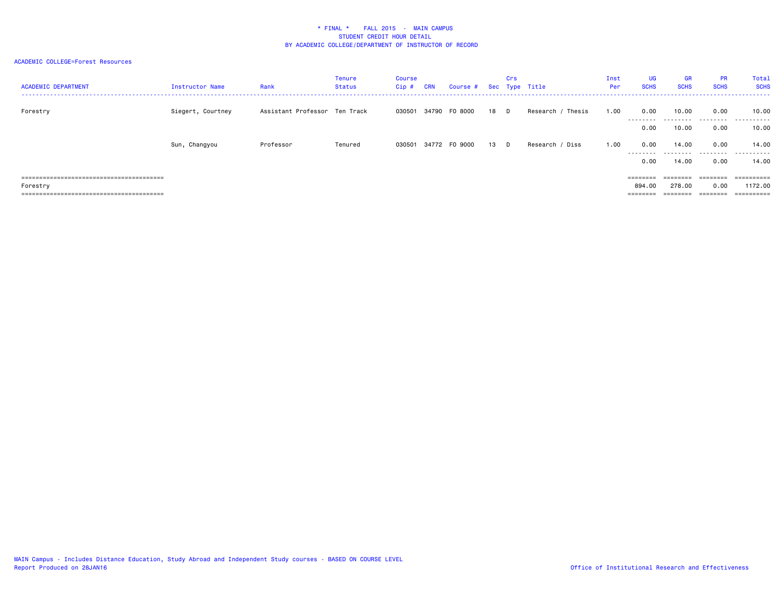| <b>ACADEMIC DEPARTMENT</b> | Instructor Name   | Rank                          | Tenure<br>Status | Course<br>Cip # | <b>CRN</b> | Course # Sec Type Title |      | Crs |                      | Inst<br>Per | <b>UG</b><br><b>SCHS</b> | <b>GR</b><br><b>SCHS</b> | <b>PR</b><br><b>SCHS</b> | Total<br><b>SCHS</b><br>----------------- |
|----------------------------|-------------------|-------------------------------|------------------|-----------------|------------|-------------------------|------|-----|----------------------|-------------|--------------------------|--------------------------|--------------------------|-------------------------------------------|
| Forestry                   | Siegert, Courtney | Assistant Professor Ten Track |                  |                 |            | 030501 34790 F0 8000    | 18 D |     | Thesis<br>Research / | 1.00        | 0.00<br>--------         | 10.00<br>---------       | 0.00<br>.                | 10.00<br>.                                |
|                            |                   |                               |                  |                 |            |                         |      |     |                      |             | 0.00                     | 10.00                    | 0.00                     | 10.00                                     |
|                            | Sun, Changyou     | Professor                     | Tenured          |                 |            | 030501 34772 F0 9000    | 13 D |     | Research / Diss      | 1.00        | 0.00<br>---------        | 14.00                    | 0.00<br>.                | 14.00<br>.                                |
|                            |                   |                               |                  |                 |            |                         |      |     |                      |             | 0.00                     | 14.00                    | 0.00                     | 14.00                                     |
|                            |                   |                               |                  |                 |            |                         |      |     |                      |             | ========                 | ========                 | ========                 | ==========                                |
| Forestry                   |                   |                               |                  |                 |            |                         |      |     |                      |             | 894.00                   | 278.00                   | 0.00                     | 1172.00                                   |
|                            |                   |                               |                  |                 |            |                         |      |     |                      |             | ========                 |                          | ========                 | ==========                                |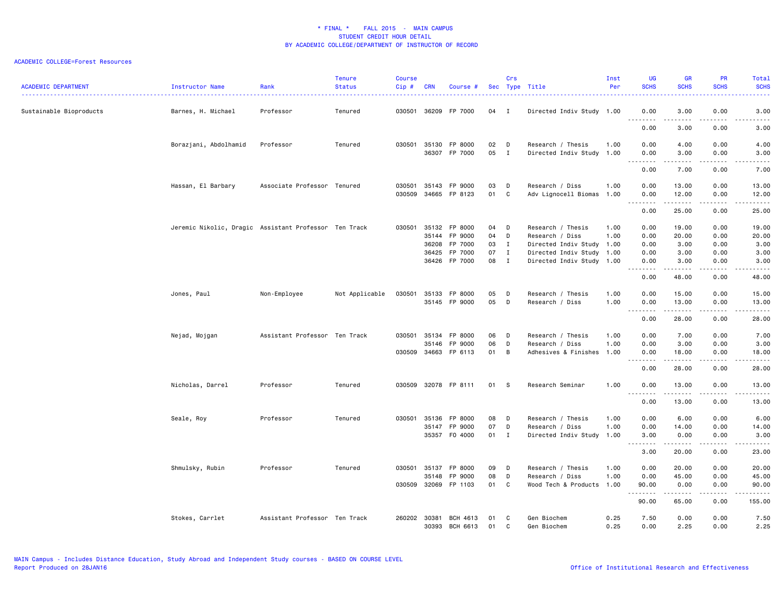| <b>ACADEMIC DEPARTMENT</b> | Instructor Name                                       | Rank                          | <b>Tenure</b><br><b>Status</b> | <b>Course</b><br>$Cip$ # | <b>CRN</b>     | Course #           |          | Crs          | Sec Type Title                          | Inst<br>Per  | UG<br><b>SCHS</b>                            | <b>GR</b><br><b>SCHS</b> | <b>PR</b><br><b>SCHS</b>            | Total<br><b>SCHS</b>                                                                                                      |
|----------------------------|-------------------------------------------------------|-------------------------------|--------------------------------|--------------------------|----------------|--------------------|----------|--------------|-----------------------------------------|--------------|----------------------------------------------|--------------------------|-------------------------------------|---------------------------------------------------------------------------------------------------------------------------|
| Sustainable Bioproducts    | Barnes, H. Michael                                    | Professor                     | Tenured                        | 030501                   | 36209          | FP 7000            | 04 I     |              | Directed Indiv Study 1.00               |              | 0.00<br>$\sim$ $\sim$                        | 3.00<br>$- - -$          | 0.00                                | 3.00<br>.                                                                                                                 |
|                            |                                                       |                               |                                |                          |                |                    |          |              |                                         |              | .<br>0.00                                    | 3.00                     | .<br>0.00                           | 3.00                                                                                                                      |
|                            | Borazjani, Abdolhamid                                 | Professor                     | Tenured                        | 030501                   | 35130          | FP 8000            | 02       | D            | Research / Thesis                       | 1.00         | 0.00                                         | 4.00                     | 0.00                                | 4.00                                                                                                                      |
|                            |                                                       |                               |                                |                          | 36307          | FP 7000            | 05       | $\mathbf{I}$ | Directed Indiv Study 1.00               |              | 0.00<br>$\sim$ $\sim$<br>$\cdots$            | 3.00<br>.                | 0.00<br>$\frac{1}{2}$               | 3.00<br>.                                                                                                                 |
|                            |                                                       |                               |                                |                          |                |                    |          |              |                                         |              | 0.00                                         | 7.00                     | 0.00                                | 7.00                                                                                                                      |
|                            | Hassan, El Barbary                                    | Associate Professor Tenured   |                                | 030501<br>030509         | 35143<br>34665 | FP 9000<br>FP 8123 | 03<br>01 | D<br>C       | Research / Diss<br>Adv Lignocell Biomas | 1.00<br>1.00 | 0.00<br>0.00                                 | 13.00<br>12.00           | 0.00<br>0.00                        | 13.00<br>12.00                                                                                                            |
|                            |                                                       |                               |                                |                          |                |                    |          |              |                                         |              | $\sim$ $\sim$<br>.<br>0.00                   | 25.00                    | 0.00                                | ه د د د د<br>25.00                                                                                                        |
|                            | Jeremic Nikolic, Dragic Assistant Professor Ten Track |                               |                                | 030501                   | 35132          | FP 8000            | 04       | D            | Research / Thesis                       | 1.00         | 0.00                                         | 19.00                    | 0.00                                | 19.00                                                                                                                     |
|                            |                                                       |                               |                                |                          | 35144          | FP 9000            | 04       | D            | Research / Diss                         | 1.00         | 0.00                                         | 20.00                    | 0.00                                | 20.00                                                                                                                     |
|                            |                                                       |                               |                                |                          | 36208          | FP 7000            | 03       | $\mathbf{I}$ | Directed Indiv Study 1.00               |              | 0.00                                         | 3.00                     | 0.00                                | 3.00                                                                                                                      |
|                            |                                                       |                               |                                |                          | 36425          | FP 7000            | 07 I     |              | Directed Indiv Study 1.00               |              | 0.00                                         | 3.00                     | 0.00                                | 3.00                                                                                                                      |
|                            |                                                       |                               |                                |                          | 36426          | FP 7000            | 08       | $\mathbf{I}$ | Directed Indiv Study 1.00               |              | 0.00                                         | 3.00                     | 0.00                                | 3.00                                                                                                                      |
|                            |                                                       |                               |                                |                          |                |                    |          |              |                                         |              | $\sim$ $\sim$ $\sim$ $\sim$<br>$\sim$ $\sim$ |                          |                                     | $\frac{1}{2} \left( \frac{1}{2} \right) \left( \frac{1}{2} \right) \left( \frac{1}{2} \right) \left( \frac{1}{2} \right)$ |
|                            |                                                       |                               |                                |                          |                |                    |          |              |                                         |              | 0.00                                         | 48.00                    | 0.00                                | 48.00                                                                                                                     |
|                            | Jones, Paul                                           | Non-Employee                  | Not Applicable                 | 030501                   | 35133          | FP 8000            | 05       | D            | Research / Thesis                       | 1.00         | 0.00                                         | 15.00                    | 0.00                                | 15.00                                                                                                                     |
|                            |                                                       |                               |                                |                          | 35145          | FP 9000            | 05       | D            | Research / Diss                         | 1.00         | 0.00<br>.                                    | 13.00<br>.               | 0.00<br>د د د د                     | 13.00<br>.                                                                                                                |
|                            |                                                       |                               |                                |                          |                |                    |          |              |                                         |              | 0.00                                         | 28.00                    | 0.00                                | 28.00                                                                                                                     |
|                            | Nejad, Mojgan                                         | Assistant Professor Ten Track |                                | 030501                   | 35134          | FP 8000            | 06       | D            | Research / Thesis                       | 1.00         | 0.00                                         | 7.00                     | 0.00                                | 7.00                                                                                                                      |
|                            |                                                       |                               |                                |                          | 35146          | FP 9000            | 06       | D            | Research / Diss                         | 1.00         | 0.00                                         | 3.00                     | 0.00                                | 3.00                                                                                                                      |
|                            |                                                       |                               |                                | 030509                   | 34663          | FP 6113            | 01       | B            | Adhesives & Finishes                    | 1.00         | 0.00<br>.<br>$\sim$ $\sim$ $\sim$            | 18.00<br>.               | 0.00<br>$\sim$ $\sim$ $\sim$ $\sim$ | 18.00<br>د د د د د                                                                                                        |
|                            |                                                       |                               |                                |                          |                |                    |          |              |                                         |              | 0.00                                         | 28.00                    | 0.00                                | 28.00                                                                                                                     |
|                            | Nicholas, Darrel                                      | Professor                     | Tenured                        | 030509                   |                | 32078 FP 8111      | 01       | - S          | Research Seminar                        | 1.00         | 0.00                                         | 13.00                    | 0.00                                | 13.00                                                                                                                     |
|                            |                                                       |                               |                                |                          |                |                    |          |              |                                         |              | .<br>0.00                                    | .<br>13.00               | .<br>0.00                           | .<br>13.00                                                                                                                |
|                            | Seale, Roy                                            | Professor                     | Tenured                        | 030501                   | 35136          | FP 8000            | 08       | $\mathsf{D}$ | Research / Thesis                       | 1.00         | 0.00                                         | 6.00                     | 0.00                                | 6.00                                                                                                                      |
|                            |                                                       |                               |                                |                          | 35147          | FP 9000            | 07       | D            | Research / Diss                         | 1.00         | 0.00                                         | 14.00                    | 0.00                                | 14.00                                                                                                                     |
|                            |                                                       |                               |                                |                          |                | 35357 F0 4000      | 01 I     |              | Directed Indiv Study 1.00               |              | 3.00                                         | 0.00                     | 0.00                                | 3.00                                                                                                                      |
|                            |                                                       |                               |                                |                          |                |                    |          |              |                                         |              | .<br>$\sim$ $\sim$ $\sim$<br>3.00            | .<br>20.00               | $- - -$<br>0.00                     | د د د د د<br>23.00                                                                                                        |
|                            |                                                       |                               |                                | 030501                   |                |                    |          |              |                                         |              |                                              |                          |                                     |                                                                                                                           |
|                            | Shmulsky, Rubin                                       | Professor                     | Tenured                        |                          | 35137          | FP 8000            | 09       | D            | Research / Thesis                       | 1.00         | 0.00                                         | 20.00                    | 0.00                                | 20.00                                                                                                                     |
|                            |                                                       |                               |                                | 030509                   | 35148<br>32069 | FP 9000<br>FP 1103 | 08<br>01 | D<br>C       | Research / Diss<br>Wood Tech & Products | 1.00<br>1.00 | 0.00<br>90.00                                | 45.00<br>0.00            | 0.00<br>0.00                        | 45.00<br>90.00                                                                                                            |
|                            |                                                       |                               |                                |                          |                |                    |          |              |                                         |              | <u>.</u><br>90.00                            | .<br>65.00               | .<br>0.00                           | .<br>155.00                                                                                                               |
|                            | Stokes, Carrlet                                       | Assistant Professor Ten Track |                                | 260202                   | 30381          | BCH 4613           | 01       | C            | Gen Biochem                             | 0.25         | 7.50                                         | 0.00                     | 0.00                                | 7.50                                                                                                                      |
|                            |                                                       |                               |                                |                          | 30393          | BCH 6613           | 01       | C            | Gen Biochem                             | 0.25         | 0.00                                         | 2.25                     | 0.00                                | 2.25                                                                                                                      |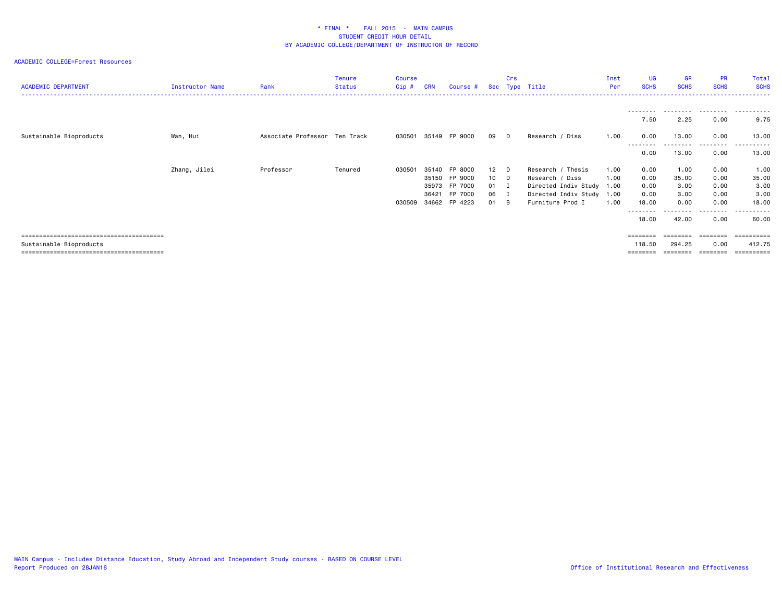| <b>ACADEMIC DEPARTMENT</b> | Instructor Name | Rank                          | <b>Tenure</b><br>Status | <b>Course</b><br>Cip # | <b>CRN</b> | Course #      |        | Crs | Sec Type Title            | Inst<br>Per | <b>UG</b><br><b>SCHS</b> | <b>GR</b><br><b>SCHS</b> | <b>PR</b><br><b>SCHS</b> | Total<br><b>SCHS</b> |
|----------------------------|-----------------|-------------------------------|-------------------------|------------------------|------------|---------------|--------|-----|---------------------------|-------------|--------------------------|--------------------------|--------------------------|----------------------|
|                            |                 |                               |                         |                        |            |               |        |     |                           |             |                          |                          |                          |                      |
|                            |                 |                               |                         |                        |            |               |        |     |                           |             | 7.50                     | 2.25                     | 0.00                     | 9.75                 |
| Sustainable Bioproducts    | Wan, Hui        | Associate Professor Ten Track |                         | 030501                 |            | 35149 FP 9000 | 09     | D.  | Research / Diss           | 1.00        | 0.00<br>--------         | 13.00<br>---------       | 0.00<br>.                | 13.00<br>.           |
|                            |                 |                               |                         |                        |            |               |        |     |                           |             | 0.00                     | 13.00                    | 0.00                     | 13.00                |
|                            | Zhang, Jilei    | Professor                     | Tenured                 | 030501                 |            | 35140 FP 8000 | $12$ D |     | Research / Thesis         | 1.00        | 0.00                     | 1.00                     | 0.00                     | 1.00                 |
|                            |                 |                               |                         |                        | 35150      | FP 9000       | 10 D   |     | Research / Diss           | 1.00        | 0.00                     | 35.00                    | 0.00                     | 35.00                |
|                            |                 |                               |                         |                        | 35973      | FP 7000       | 01 I   |     | Directed Indiv Study 1.00 |             | 0.00                     | 3.00                     | 0.00                     | 3.00                 |
|                            |                 |                               |                         |                        | 36421      | FP 7000       | 06     | I   | Directed Indiv Study      | 1.00        | 0.00                     | 3.00                     | 0.00                     | 3.00                 |
|                            |                 |                               |                         | 030509                 | 34662      | FP 4223       | 01     | B   | Furniture Prod I          | 1.00        | 18.00<br>--------        | 0.00<br>.                | 0.00<br>.                | 18.00<br>.           |
|                            |                 |                               |                         |                        |            |               |        |     |                           |             | 18.00                    | 42.00                    | 0.00                     | 60.00                |
|                            |                 |                               |                         |                        |            |               |        |     |                           |             |                          | ========                 | ========                 | ==========           |
| Sustainable Bioproducts    |                 |                               |                         |                        |            |               |        |     |                           |             | 118.50                   | 294.25                   | 0.00                     | 412.75               |
|                            |                 |                               |                         |                        |            |               |        |     |                           |             |                          |                          |                          | ==========           |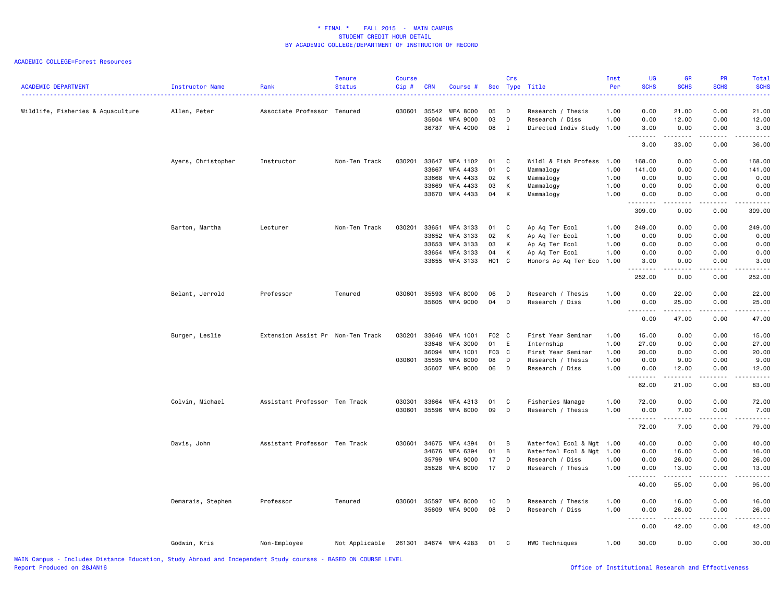| <b>ACADEMIC DEPARTMENT</b>        | Instructor Name    | Rank                              | <b>Tenure</b><br><b>Status</b> | <b>Course</b><br>Cip# | <b>CRN</b>   | Course #              |       | Crs          | Sec Type Title            | Inst<br>Per | <b>UG</b><br><b>SCHS</b> | <b>GR</b><br><b>SCHS</b>                                                                                                                                     | PR<br><b>SCHS</b>   | Total<br><b>SCHS</b> |
|-----------------------------------|--------------------|-----------------------------------|--------------------------------|-----------------------|--------------|-----------------------|-------|--------------|---------------------------|-------------|--------------------------|--------------------------------------------------------------------------------------------------------------------------------------------------------------|---------------------|----------------------|
| Wildlife, Fisheries & Aquaculture | Allen, Peter       | Associate Professor Tenured       |                                | 030601                | 35542        | <b>WFA 8000</b>       | 05    | D            | Research / Thesis         | 1.00        | 0.00                     | 21.00                                                                                                                                                        | 0.00                | 21,00                |
|                                   |                    |                                   |                                |                       | 35604        | <b>WFA 9000</b>       | 03    | D            | Research / Diss           | 1.00        | 0.00                     | 12.00                                                                                                                                                        | 0.00                | 12.00                |
|                                   |                    |                                   |                                |                       | 36787        | WFA 4000              | 08    | $\mathbf{I}$ | Directed Indiv Study 1.00 |             | 3.00<br>.                | 0.00<br>.                                                                                                                                                    | 0.00<br><b>.</b>    | 3.00<br>.            |
|                                   |                    |                                   |                                |                       |              |                       |       |              |                           |             | 3.00                     | 33.00                                                                                                                                                        | 0.00                | 36.00                |
|                                   | Ayers, Christopher | Instructor                        | Non-Ten Track                  | 030201                | 33647        | WFA 1102              | 01    | C            | Wildl & Fish Profess      | 1.00        | 168.00                   | 0.00                                                                                                                                                         | 0.00                | 168.00               |
|                                   |                    |                                   |                                |                       | 33667        | WFA 4433              | 01    | C            | Mammalogy                 | 1.00        | 141.00                   | 0.00                                                                                                                                                         | 0.00                | 141.00               |
|                                   |                    |                                   |                                |                       | 33668        | WFA 4433              | 02    | К            | Mammalogy                 | 1.00        | 0.00                     | 0.00                                                                                                                                                         | 0.00                | 0.00                 |
|                                   |                    |                                   |                                |                       | 33669        | WFA 4433              | 03    | К            | Mammalogy                 | 1.00        | 0.00                     | 0.00                                                                                                                                                         | 0.00                | 0.00                 |
|                                   |                    |                                   |                                |                       | 33670        | WFA 4433              | 04    | К            | Mammalogy                 | 1.00        | 0.00<br>.                | 0.00<br>.                                                                                                                                                    | 0.00<br>.           | 0.00<br><u>.</u>     |
|                                   |                    |                                   |                                |                       |              |                       |       |              |                           |             | 309.00                   | 0.00                                                                                                                                                         | 0.00                | 309.00               |
|                                   | Barton, Martha     | Lecturer                          | Non-Ten Track                  | 030201                | 33651        | WFA 3133              | 01    | C            | Ap Aq Ter Ecol            | 1.00        | 249.00                   | 0.00                                                                                                                                                         | 0.00                | 249.00               |
|                                   |                    |                                   |                                |                       | 33652        | WFA 3133              | 02    | К            | Ap Aq Ter Ecol            | 1.00        | 0.00                     | 0.00                                                                                                                                                         | 0.00                | 0.00                 |
|                                   |                    |                                   |                                |                       | 33653        | WFA 3133              | 03    | К            | Ap Aq Ter Ecol            | 1.00        | 0.00                     | 0.00                                                                                                                                                         | 0.00                | 0.00                 |
|                                   |                    |                                   |                                |                       | 33654        | WFA 3133              | 04    | К            | Ap Aq Ter Ecol            | 1.00        | 0.00                     | 0.00                                                                                                                                                         | 0.00                | 0.00                 |
|                                   |                    |                                   |                                |                       |              | 33655 WFA 3133        | H01 C |              | Honors Ap Aq Ter Eco 1.00 |             | 3.00<br><u>.</u>         | 0.00<br>$\frac{1}{2} \left( \frac{1}{2} \right) \left( \frac{1}{2} \right) \left( \frac{1}{2} \right) \left( \frac{1}{2} \right) \left( \frac{1}{2} \right)$ | 0.00<br>.           | 3.00<br>.            |
|                                   |                    |                                   |                                |                       |              |                       |       |              |                           |             | 252.00                   | 0.00                                                                                                                                                         | 0.00                | 252.00               |
|                                   | Belant, Jerrold    | Professor                         | Tenured                        | 030601                | 35593        | <b>WFA 8000</b>       | 06    | D            | Research / Thesis         | 1.00        | 0.00                     | 22.00                                                                                                                                                        | 0.00                | 22.00                |
|                                   |                    |                                   |                                |                       | 35605        | WFA 9000              | 04    | D            | Research / Diss           | 1.00        | 0.00                     | 25.00                                                                                                                                                        | 0.00                | 25.00                |
|                                   |                    |                                   |                                |                       |              |                       |       |              |                           |             | .<br>0.00                | .<br>47.00                                                                                                                                                   | $- - - - -$<br>0.00 | .<br>47.00           |
|                                   | Burger, Leslie     | Extension Assist Pr Non-Ten Track |                                | 030201                | 33646        | WFA 1001              | F02 C |              | First Year Seminar        | 1.00        | 15.00                    | 0.00                                                                                                                                                         | 0.00                | 15.00                |
|                                   |                    |                                   |                                |                       | 33648        | <b>WFA 3000</b>       | 01    | E            | Internship                | 1.00        | 27.00                    | 0.00                                                                                                                                                         | 0.00                | 27.00                |
|                                   |                    |                                   |                                |                       | 36094        | WFA 1001              | F03 C |              | First Year Seminar        | 1.00        | 20.00                    | 0.00                                                                                                                                                         | 0.00                | 20.00                |
|                                   |                    |                                   |                                |                       | 030601 35595 | <b>WFA 8000</b>       | 08    | D            | Research / Thesis         | 1.00        | 0.00                     | 9.00                                                                                                                                                         | 0.00                | 9.00                 |
|                                   |                    |                                   |                                |                       | 35607        | <b>WFA 9000</b>       | 06    | D            | Research / Diss           | 1.00        | 0.00                     | 12.00                                                                                                                                                        | 0.00                | 12.00                |
|                                   |                    |                                   |                                |                       |              |                       |       |              |                           |             | .<br>62.00               | $\mathcal{L}^{\mathcal{L}}\mathcal{L}^{\mathcal{L}}\mathcal{L}^{\mathcal{L}}\mathcal{L}^{\mathcal{L}}\mathcal{L}^{\mathcal{L}}$<br>21.00                     | .<br>0.00           | .<br>83.00           |
|                                   |                    | Assistant Professor Ten Track     |                                | 030301                | 33664        | WFA 4313              | 01    | C            | Fisheries Manage          | 1.00        | 72.00                    | 0.00                                                                                                                                                         | 0.00                | 72.00                |
|                                   | Colvin, Michael    |                                   |                                | 030601                | 35596        | WFA 8000              | 09    | D            | Research / Thesis         | 1.00        | 0.00                     | 7.00                                                                                                                                                         | 0.00                | 7.00                 |
|                                   |                    |                                   |                                |                       |              |                       |       |              |                           |             | .                        | .                                                                                                                                                            | .                   | .                    |
|                                   |                    |                                   |                                |                       |              |                       |       |              |                           |             | 72.00                    | 7.00                                                                                                                                                         | 0.00                | 79.00                |
|                                   | Davis, John        | Assistant Professor Ten Track     |                                | 030601                | 34675        | WFA 4394              | 01    | B            | Waterfowl Ecol & Mgt 1.00 |             | 40.00                    | 0.00                                                                                                                                                         | 0.00                | 40.00                |
|                                   |                    |                                   |                                |                       | 34676        | <b>WFA 6394</b>       | 01    | B            | Waterfowl Ecol & Mgt      | 1.00        | 0.00                     | 16.00                                                                                                                                                        | 0.00                | 16.00                |
|                                   |                    |                                   |                                |                       | 35799        | <b>WFA 9000</b>       | 17    | D            | Research / Diss           | 1.00        | 0.00                     | 26.00                                                                                                                                                        | 0.00                | 26.00                |
|                                   |                    |                                   |                                |                       | 35828        | WFA 8000              | 17    | D            | Research / Thesis         | 1.00        | 0.00<br><u>.</u>         | 13.00<br>.                                                                                                                                                   | 0.00<br>.           | 13.00<br>.           |
|                                   |                    |                                   |                                |                       |              |                       |       |              |                           |             | 40.00                    | 55.00                                                                                                                                                        | 0.00                | 95.00                |
|                                   | Demarais, Stephen  | Professor                         | Tenured                        | 030601                | 35597        | <b>WFA 8000</b>       | 10    | D            | Research / Thesis         | 1.00        | 0.00                     | 16.00                                                                                                                                                        | 0.00                | 16.00                |
|                                   |                    |                                   |                                |                       | 35609        | <b>WFA 9000</b>       | 08    | D            | Research / Diss           | 1.00        | 0.00                     | 26.00                                                                                                                                                        | 0.00                | 26.00                |
|                                   |                    |                                   |                                |                       |              |                       |       |              |                           |             | 0.00                     | .<br>42.00                                                                                                                                                   | .<br>0.00           | .<br>42.00           |
|                                   | Godwin, Kris       | Non-Employee                      | Not Applicable                 |                       |              | 261301 34674 WFA 4283 | 01    | C            | HWC Techniques            | 1.00        | 30.00                    | 0.00                                                                                                                                                         | 0.00                | 30.00                |
|                                   |                    |                                   |                                |                       |              |                       |       |              |                           |             |                          |                                                                                                                                                              |                     |                      |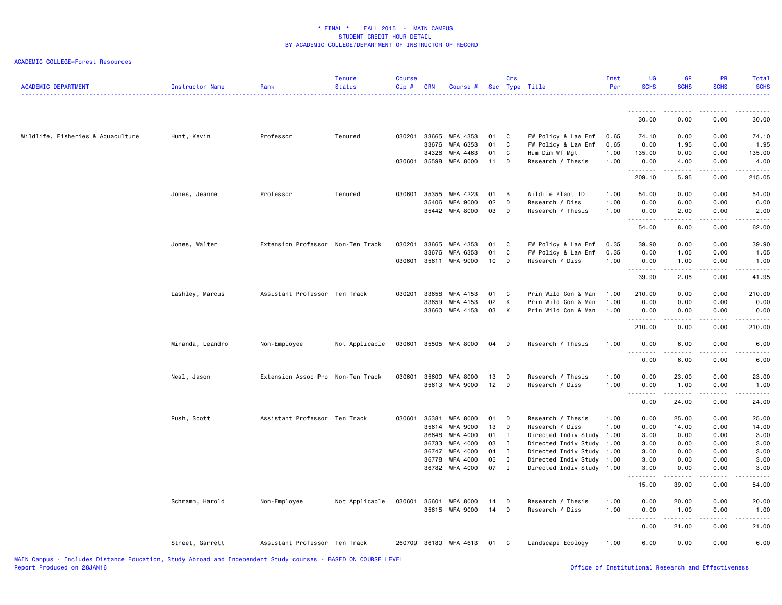| <b>ACADEMIC DEPARTMENT</b>        | Instructor Name  | Rank                              | <b>Tenure</b><br><b>Status</b> | <b>Course</b><br>Cip# | <b>CRN</b> | Course #              |        | Crs          | Sec Type Title            | Inst<br>Per | UG<br><b>SCHS</b> | GR<br><b>SCHS</b>                                                                                                                                            | PR<br><b>SCHS</b>   | Total<br><b>SCHS</b> |
|-----------------------------------|------------------|-----------------------------------|--------------------------------|-----------------------|------------|-----------------------|--------|--------------|---------------------------|-------------|-------------------|--------------------------------------------------------------------------------------------------------------------------------------------------------------|---------------------|----------------------|
|                                   |                  |                                   |                                |                       |            |                       |        |              |                           |             | .                 | .                                                                                                                                                            | .                   | . <u>.</u>           |
|                                   |                  |                                   |                                |                       |            |                       |        |              |                           |             | 30.00             | 0.00                                                                                                                                                         | 0.00                | 30.00                |
| Wildlife, Fisheries & Aquaculture | Hunt, Kevin      | Professor                         | Tenured                        | 030201                | 33665      | WFA 4353              | 01     | $\mathbf{C}$ | FW Policy & Law Enf       | 0.65        | 74.10             | 0.00                                                                                                                                                         | 0.00                | 74.10                |
|                                   |                  |                                   |                                |                       | 33676      | WFA 6353              | 01     | $\mathtt{C}$ | FW Policy & Law Enf       | 0.65        | 0.00              | 1.95                                                                                                                                                         | 0.00                | 1.95                 |
|                                   |                  |                                   |                                |                       | 34326      | WFA 4463              | 01     | C            | Hum Dim Wf Mgt            | 1.00        | 135.00            | 0.00                                                                                                                                                         | 0.00                | 135.00               |
|                                   |                  |                                   |                                | 030601                | 35598      | WFA 8000              | 11     | D            | Research / Thesis         | 1.00        | 0.00<br>.         | 4.00<br>$\sim$ $\sim$ $\sim$ $\sim$                                                                                                                          | 0.00<br>$- - - - -$ | 4.00<br><u>.</u>     |
|                                   |                  |                                   |                                |                       |            |                       |        |              |                           |             | 209.10            | 5.95                                                                                                                                                         | 0.00                | 215.05               |
|                                   | Jones, Jeanne    | Professor                         | Tenured                        | 030601                | 35355      | WFA 4223              | 01     | B            | Wildife Plant ID          | 1.00        | 54.00             | 0.00                                                                                                                                                         | 0.00                | 54.00                |
|                                   |                  |                                   |                                |                       | 35406      | WFA 9000              | 02     | D            | Research / Diss           | 1.00        | 0.00              | 6.00                                                                                                                                                         | 0.00                | 6.00                 |
|                                   |                  |                                   |                                |                       |            | 35442 WFA 8000        | 03     | D            | Research / Thesis         | 1.00        | 0.00<br>.         | 2.00<br>$\sim$ $\sim$ $\sim$ $\sim$                                                                                                                          | 0.00                | 2.00                 |
|                                   |                  |                                   |                                |                       |            |                       |        |              |                           |             | 54.00             | 8.00                                                                                                                                                         | 0.00                | 62.00                |
|                                   | Jones, Walter    | Extension Professor Non-Ten Track |                                | 030201                | 33665      | WFA 4353              | 01     | C            | FW Policy & Law Enf       | 0.35        | 39.90             | 0.00                                                                                                                                                         | 0.00                | 39.90                |
|                                   |                  |                                   |                                |                       | 33676      | WFA 6353              | 01     | C            | FW Policy & Law Enf       | 0.35        | 0.00              | 1.05                                                                                                                                                         | 0.00                | 1.05                 |
|                                   |                  |                                   |                                | 030601                |            | 35611 WFA 9000        | 10     | D            | Research / Diss           | 1.00        | 0.00              | 1.00<br>$\sim$ $\sim$ $\sim$ $\sim$                                                                                                                          | 0.00                | 1.00                 |
|                                   |                  |                                   |                                |                       |            |                       |        |              |                           |             | .<br>39.90        | 2.05                                                                                                                                                         | 0.00                | 41.95                |
|                                   | Lashley, Marcus  | Assistant Professor Ten Track     |                                | 030201                | 33658      | WFA 4153              | 01     | C            | Prin Wild Con & Man       | 1.00        | 210.00            | 0.00                                                                                                                                                         | 0.00                | 210.00               |
|                                   |                  |                                   |                                |                       |            | 33659 WFA 4153        | 02     | К            | Prin Wild Con & Man       | 1.00        | 0.00              | 0.00                                                                                                                                                         | 0.00                | 0.00                 |
|                                   |                  |                                   |                                |                       |            | 33660 WFA 4153        | 03     | K            | Prin Wild Con & Man       | 1.00        | 0.00<br><u>.</u>  | 0.00<br>$\omega$ is $\omega$ in                                                                                                                              | 0.00<br>.           | 0.00<br>.            |
|                                   |                  |                                   |                                |                       |            |                       |        |              |                           |             | 210.00            | 0.00                                                                                                                                                         | 0.00                | 210.00               |
|                                   | Miranda, Leandro | Non-Employee                      | Not Applicable                 | 030601                |            | 35505 WFA 8000        | 04     | $\mathsf{D}$ | Research / Thesis         | 1.00        | 0.00              | 6.00                                                                                                                                                         | 0.00                | 6.00                 |
|                                   |                  |                                   |                                |                       |            |                       |        |              |                           |             | .<br>0.00         | 6.00                                                                                                                                                         | 0.00                | 6.00                 |
|                                   | Neal, Jason      | Extension Assoc Pro Non-Ten Track |                                | 030601                |            | 35600 WFA 8000        | 13     | $\Box$       | Research / Thesis         | 1.00        | 0.00              | 23.00                                                                                                                                                        | 0.00                | 23.00                |
|                                   |                  |                                   |                                |                       |            | 35613 WFA 9000        | $12$ D |              | Research / Diss           | 1.00        | 0.00              | 1.00                                                                                                                                                         | 0.00                | 1.00                 |
|                                   |                  |                                   |                                |                       |            |                       |        |              |                           |             | <u>.</u><br>0.00  | .<br>24.00                                                                                                                                                   | .<br>0.00           | 24.00                |
|                                   | Rush, Scott      | Assistant Professor Ten Track     |                                | 030601                | 35381      | WFA 8000              | 01     | D            | Research / Thesis         | 1.00        | 0.00              | 25.00                                                                                                                                                        | 0.00                | 25.00                |
|                                   |                  |                                   |                                |                       | 35614      | WFA 9000              | 13     | D            | Research / Diss           | 1.00        | 0.00              | 14.00                                                                                                                                                        | 0.00                | 14.00                |
|                                   |                  |                                   |                                |                       |            | 36648 WFA 4000        | 01     | $\mathbf{I}$ | Directed Indiv Study      | 1.00        | 3.00              | 0.00                                                                                                                                                         | 0.00                | 3.00                 |
|                                   |                  |                                   |                                |                       | 36733      | WFA 4000              | 03     | $\mathbf{I}$ | Directed Indiv Study      | 1.00        | 3.00              | 0.00                                                                                                                                                         | 0.00                | 3.00                 |
|                                   |                  |                                   |                                |                       | 36747      | WFA 4000              | 04     | $\mathbf I$  | Directed Indiv Study      | 1.00        | 3.00              | 0.00                                                                                                                                                         | 0.00                | 3.00                 |
|                                   |                  |                                   |                                |                       | 36778      | WFA 4000              | 05     | $\mathbf{I}$ | Directed Indiv Study      | 1.00        | 3.00              | 0.00                                                                                                                                                         | 0.00                | 3.00                 |
|                                   |                  |                                   |                                |                       |            | 36782 WFA 4000        | 07     | $\mathbf{I}$ | Directed Indiv Study 1.00 |             | 3.00              | 0.00                                                                                                                                                         | 0.00                | 3.00                 |
|                                   |                  |                                   |                                |                       |            |                       |        |              |                           |             | .<br>15.00        | 39.00                                                                                                                                                        | 0.00                | 54.00                |
|                                   | Schramm, Harold  | Non-Employee                      | Not Applicable                 | 030601                | 35601      | <b>WFA 8000</b>       | 14     | $\mathsf{D}$ | Research / Thesis         | 1.00        | 0.00              | 20.00                                                                                                                                                        | 0.00                | 20.00                |
|                                   |                  |                                   |                                |                       |            | 35615 WFA 9000        | $14$ D |              | Research / Diss           | 1.00        | 0.00<br>.         | 1.00<br>$\frac{1}{2} \left( \frac{1}{2} \right) \left( \frac{1}{2} \right) \left( \frac{1}{2} \right) \left( \frac{1}{2} \right) \left( \frac{1}{2} \right)$ | 0.00<br>.           | 1.00                 |
|                                   |                  |                                   |                                |                       |            |                       |        |              |                           |             | 0.00              | 21.00                                                                                                                                                        | 0.00                | 21.00                |
|                                   | Street, Garrett  | Assistant Professor Ten Track     |                                |                       |            | 260709 36180 WFA 4613 | 01     | $\mathbf{C}$ | Landscape Ecology         | 1.00        | 6.00              | 0.00                                                                                                                                                         | 0.00                | 6.00                 |
|                                   |                  |                                   |                                |                       |            |                       |        |              |                           |             |                   |                                                                                                                                                              |                     |                      |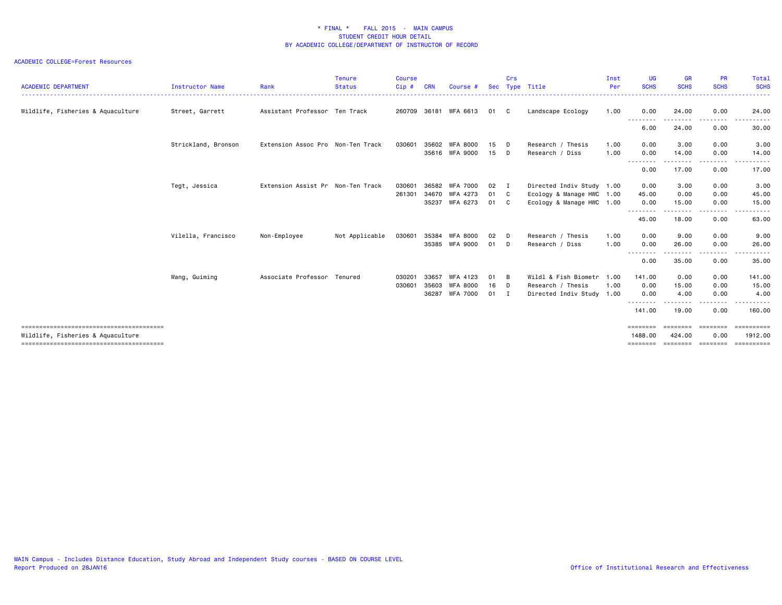| <b>ACADEMIC DEPARTMENT</b>        | <b>Instructor Name</b> | Rank                              | <b>Tenure</b><br><b>Status</b> | <b>Course</b><br>Cip# | CRN   | Course #        | <b>Sec</b> | Crs          | Type Title                | Inst<br>Per | UG<br><b>SCHS</b>   | <b>GR</b><br><b>SCHS</b> | <b>PR</b><br><b>SCHS</b> | Total<br><b>SCHS</b>  |
|-----------------------------------|------------------------|-----------------------------------|--------------------------------|-----------------------|-------|-----------------|------------|--------------|---------------------------|-------------|---------------------|--------------------------|--------------------------|-----------------------|
| Wildlife, Fisheries & Aquaculture | Street, Garrett        | Assistant Professor Ten Track     |                                | 260709                |       | 36181 WFA 6613  | 01         | C.           | Landscape Ecology         | 1.00        | 0.00                | 24.00                    | 0.00                     | 24.00                 |
|                                   |                        |                                   |                                |                       |       |                 |            |              |                           |             | --------<br>6.00    | ------<br>24.00          | .<br>0.00                | 30.00                 |
|                                   | Strickland, Bronson    | Extension Assoc Pro Non-Ten Track |                                | 030601                | 35602 | WFA 8000        | 15         | D            | Research / Thesis         | 1.00        | 0.00                | 3.00                     | 0.00                     | 3.00                  |
|                                   |                        |                                   |                                |                       |       | 35616 WFA 9000  | 15         | D            | Research / Diss           | 1.00        | 0.00<br>---------   | 14.00<br>--------        | 0.00<br>-----            | 14.00<br>. <b>.</b> . |
|                                   |                        |                                   |                                |                       |       |                 |            |              |                           |             | 0.00                | 17.00                    | 0.00                     | 17.00                 |
|                                   | Tegt, Jessica          | Extension Assist Pr Non-Ten Track |                                | 030601                | 36582 | <b>WFA 7000</b> | 02         | $\mathbf I$  | Directed Indiv Study 1.00 |             | 0.00                | 3.00                     | 0.00                     | 3.00                  |
|                                   |                        |                                   |                                | 261301                | 34670 | WFA 4273        | 01         | $\mathbf{C}$ | Ecology & Manage HWC 1.00 |             | 45.00               | 0.00                     | 0.00                     | 45.00                 |
|                                   |                        |                                   |                                |                       | 35237 | WFA 6273        | 01         | $\mathbf{C}$ | Ecology & Manage HWC 1.00 |             | 0.00                | 15.00                    | 0.00                     | 15.00                 |
|                                   |                        |                                   |                                |                       |       |                 |            |              |                           |             | --------<br>45.00   | .<br>18.00               | .<br>0.00                | .<br>63.00            |
|                                   | Vilella, Francisco     | Non-Employee                      | Not Applicable                 | 030601                | 35384 | <b>WFA 8000</b> | 02         | D            | Research / Thesis         | 1.00        | 0.00                | 9.00                     | 0.00                     | 9.00                  |
|                                   |                        |                                   |                                |                       | 35385 | WFA 9000        | 01         | D            | Research / Diss           | 1.00        | 0.00                | 26.00                    | 0.00                     | 26.00                 |
|                                   |                        |                                   |                                |                       |       |                 |            |              |                           |             | .<br>0.00           | ------<br>35.00          | -----<br>0.00            | .<br>35.00            |
|                                   | Wang, Guiming          | Associate Professor Tenured       |                                | 030201                | 33657 | WFA 4123        | 01         | B            | Wildl & Fish Biometr      | 1.00        | 141.00              | 0.00                     | 0.00                     | 141.00                |
|                                   |                        |                                   |                                | 030601                | 35603 | <b>WFA 8000</b> | 16         | D            | Research / Thesis         | 1.00        | 0.00                | 15.00                    | 0.00                     | 15.00                 |
|                                   |                        |                                   |                                |                       | 36287 | <b>WFA 7000</b> | 01         | $\mathbf I$  | Directed Indiv Study 1.00 |             | 0.00                | 4.00                     | 0.00                     | 4.00                  |
|                                   |                        |                                   |                                |                       |       |                 |            |              |                           |             | --------<br>141.00  | 19.00                    | .<br>0.00                | <u>.</u><br>160.00    |
| Wildlife, Fisheries & Aquaculture |                        |                                   |                                |                       |       |                 |            |              |                           |             | ========<br>1488.00 | <b>EBBERED</b><br>424.00 | ---------<br>0.00        | ==========<br>1912.00 |
|                                   |                        |                                   |                                |                       |       |                 |            |              |                           |             | ========            | ========                 | eeeeeee                  | ==========            |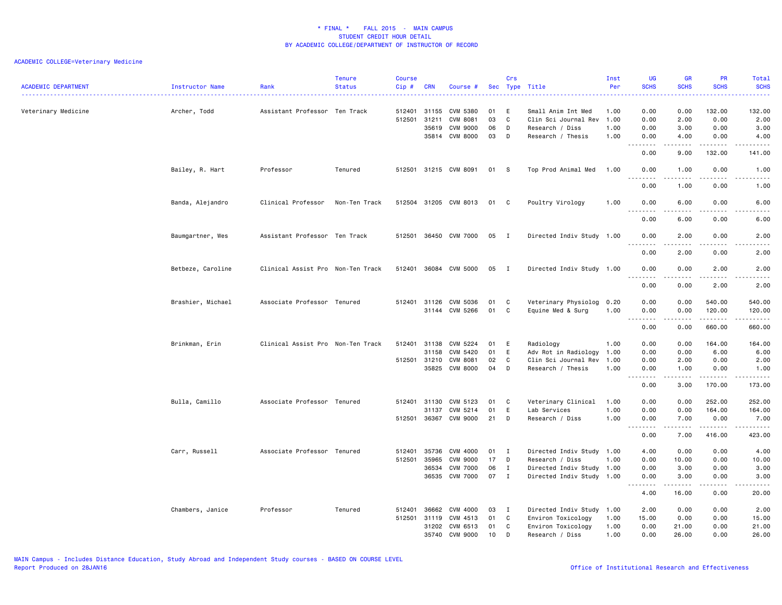## ACADEMIC COLLEGE=Veterinary Medicine

| <b>ACADEMIC DEPARTMENT</b> | Instructor Name   | Rank                              | <b>Tenure</b><br><b>Status</b> | <b>Course</b><br>Cip# | <b>CRN</b>   | Course #              |      | Crs            | Sec Type Title            | Inst<br>Per | UG<br><b>SCHS</b><br>$\frac{1}{2} \left( \frac{1}{2} \right) \left( \frac{1}{2} \right) \left( \frac{1}{2} \right)$ | <b>GR</b><br><b>SCHS</b>                                                                                                                | PR<br><b>SCHS</b>                                                                                                                                            | Total<br><b>SCHS</b><br>.                                                                                                                                    |
|----------------------------|-------------------|-----------------------------------|--------------------------------|-----------------------|--------------|-----------------------|------|----------------|---------------------------|-------------|---------------------------------------------------------------------------------------------------------------------|-----------------------------------------------------------------------------------------------------------------------------------------|--------------------------------------------------------------------------------------------------------------------------------------------------------------|--------------------------------------------------------------------------------------------------------------------------------------------------------------|
| Veterinary Medicine        | Archer, Todd      | Assistant Professor Ten Track     |                                | 512401                | 31155        | CVM 5380              | 01   | E              | Small Anim Int Med        | 1.00        | 0.00                                                                                                                | 0.00                                                                                                                                    | 132.00                                                                                                                                                       | 132.00                                                                                                                                                       |
|                            |                   |                                   |                                | 512501                | 31211        | <b>CVM 8081</b>       | 03   | C              | Clin Sci Journal Rev      | 1.00        | 0.00                                                                                                                | 2.00                                                                                                                                    | 0.00                                                                                                                                                         | 2.00                                                                                                                                                         |
|                            |                   |                                   |                                |                       | 35619        | CVM 9000              | 06   | D              | Research / Diss           | 1.00        | 0.00                                                                                                                | 3.00                                                                                                                                    | 0.00                                                                                                                                                         | 3.00                                                                                                                                                         |
|                            |                   |                                   |                                |                       |              | 35814 CVM 8000        | 03   | D              | Research / Thesis         | 1.00        | 0.00<br>.                                                                                                           | 4.00<br>$\mathcal{L}^{\mathcal{L}}\mathcal{L}^{\mathcal{L}}\mathcal{L}^{\mathcal{L}}\mathcal{L}^{\mathcal{L}}\mathcal{L}^{\mathcal{L}}$ | 0.00<br><u>.</u>                                                                                                                                             | 4.00<br>.                                                                                                                                                    |
|                            |                   |                                   |                                |                       |              |                       |      |                |                           |             | 0.00                                                                                                                | 9.00                                                                                                                                    | 132.00                                                                                                                                                       | 141.00                                                                                                                                                       |
|                            | Bailey, R. Hart   | Professor                         | Tenured                        |                       |              | 512501 31215 CVM 8091 | 01 S |                | Top Prod Animal Med       | 1.00        | 0.00<br>.                                                                                                           | 1.00<br>.                                                                                                                               | 0.00<br>.                                                                                                                                                    | 1.00<br>$\frac{1}{2} \left( \frac{1}{2} \right) \left( \frac{1}{2} \right) \left( \frac{1}{2} \right) \left( \frac{1}{2} \right) \left( \frac{1}{2} \right)$ |
|                            |                   |                                   |                                |                       |              |                       |      |                |                           |             | 0.00                                                                                                                | 1.00                                                                                                                                    | 0.00                                                                                                                                                         | 1.00                                                                                                                                                         |
|                            | Banda, Alejandro  | Clinical Professor                | Non-Ten Track                  | 512504                |              | 31205 CVM 8013        | 01 C |                | Poultry Virology          | 1.00        | 0.00                                                                                                                | 6.00                                                                                                                                    | 0.00                                                                                                                                                         | 6.00                                                                                                                                                         |
|                            |                   |                                   |                                |                       |              |                       |      |                |                           |             | 0.00                                                                                                                | 6.00                                                                                                                                    | 0.00                                                                                                                                                         | 6.00                                                                                                                                                         |
|                            | Baumgartner, Wes  | Assistant Professor Ten Track     |                                |                       |              | 512501 36450 CVM 7000 | 05   | I              | Directed Indiv Study 1.00 |             | 0.00<br><u>.</u>                                                                                                    | 2.00<br>$- - - - -$                                                                                                                     | 0.00<br>.                                                                                                                                                    | 2.00<br>.                                                                                                                                                    |
|                            |                   |                                   |                                |                       |              |                       |      |                |                           |             | 0.00                                                                                                                | 2.00                                                                                                                                    | 0.00                                                                                                                                                         | 2.00                                                                                                                                                         |
|                            | Betbeze, Caroline | Clinical Assist Pro Non-Ten Track |                                |                       |              | 512401 36084 CVM 5000 | 05   | $\blacksquare$ | Directed Indiv Study 1.00 |             | 0.00<br>.                                                                                                           | 0.00<br>.                                                                                                                               | 2.00<br>.                                                                                                                                                    | 2.00<br>$\frac{1}{2} \left( \frac{1}{2} \right) \left( \frac{1}{2} \right) \left( \frac{1}{2} \right) \left( \frac{1}{2} \right) \left( \frac{1}{2} \right)$ |
|                            |                   |                                   |                                |                       |              |                       |      |                |                           |             | 0.00                                                                                                                | 0.00                                                                                                                                    | 2.00                                                                                                                                                         | 2.00                                                                                                                                                         |
|                            | Brashier, Michael | Associate Professor Tenured       |                                | 512401                | 31126        | CVM 5036              | 01   | C              | Veterinary Physiolog 0.20 |             | 0.00                                                                                                                | 0.00                                                                                                                                    | 540.00                                                                                                                                                       | 540.00                                                                                                                                                       |
|                            |                   |                                   |                                |                       |              | 31144 CVM 5266        | 01   | C              | Equine Med & Surg         | 1.00        | 0.00<br>$\sim$ $\sim$<br>.                                                                                          | 0.00<br>.                                                                                                                               | 120.00<br><u>.</u>                                                                                                                                           | 120.00<br><u>.</u>                                                                                                                                           |
|                            |                   |                                   |                                |                       |              |                       |      |                |                           |             | 0.00                                                                                                                | 0.00                                                                                                                                    | 660.00                                                                                                                                                       | 660.00                                                                                                                                                       |
|                            | Brinkman, Erin    | Clinical Assist Pro Non-Ten Track |                                |                       | 512401 31138 | CVM 5224              | 01   | E              | Radiology                 | 1.00        | 0.00                                                                                                                | 0.00                                                                                                                                    | 164.00                                                                                                                                                       | 164.00                                                                                                                                                       |
|                            |                   |                                   |                                |                       | 31158        | CVM 5420              | 01   | E.             | Adv Rot in Radiology      | 1.00        | 0.00                                                                                                                | 0.00                                                                                                                                    | 6.00                                                                                                                                                         | 6.00                                                                                                                                                         |
|                            |                   |                                   |                                |                       | 512501 31210 | CVM 8081              | 02   | C              | Clin Sci Journal Rev      | 1.00        | 0.00                                                                                                                | 2.00                                                                                                                                    | 0.00                                                                                                                                                         | 2.00                                                                                                                                                         |
|                            |                   |                                   |                                |                       | 35825        | <b>CVM 8000</b>       | 04   | D              | Research / Thesis         | 1.00        | 0.00<br>لأعامل                                                                                                      | 1.00<br>.                                                                                                                               | 0.00<br>$\frac{1}{2} \left( \frac{1}{2} \right) \left( \frac{1}{2} \right) \left( \frac{1}{2} \right) \left( \frac{1}{2} \right) \left( \frac{1}{2} \right)$ | 1.00<br>.                                                                                                                                                    |
|                            |                   |                                   |                                |                       |              |                       |      |                |                           |             | 0.00                                                                                                                | 3.00                                                                                                                                    | 170.00                                                                                                                                                       | 173.00                                                                                                                                                       |
|                            | Bulla, Camillo    | Associate Professor Tenured       |                                | 512401                | 31130        | CVM 5123              | 01   | C              | Veterinary Clinical       | 1.00        | 0.00                                                                                                                | 0.00                                                                                                                                    | 252.00                                                                                                                                                       | 252.00                                                                                                                                                       |
|                            |                   |                                   |                                |                       | 31137        | CVM 5214              | 01   | E              | Lab Services              | 1.00        | 0.00                                                                                                                | 0.00                                                                                                                                    | 164.00                                                                                                                                                       | 164.00                                                                                                                                                       |
|                            |                   |                                   |                                |                       | 512501 36367 | CVM 9000              | 21   | D              | Research / Diss           | 1.00        | 0.00<br>.<br>$\sim$ $\sim$ .                                                                                        | 7.00<br>.                                                                                                                               | 0.00<br>$\omega$ is $\omega$ in $\omega$ in                                                                                                                  | 7.00<br>.                                                                                                                                                    |
|                            |                   |                                   |                                |                       |              |                       |      |                |                           |             | 0.00                                                                                                                | 7.00                                                                                                                                    | 416.00                                                                                                                                                       | 423.00                                                                                                                                                       |
|                            | Carr, Russell     | Associate Professor Tenured       |                                | 512401                | 35736        | CVM 4000              | 01   | I              | Directed Indiv Study 1.00 |             | 4.00                                                                                                                | 0.00                                                                                                                                    | 0.00                                                                                                                                                         | 4.00                                                                                                                                                         |
|                            |                   |                                   |                                | 512501                | 35965        | <b>CVM 9000</b>       | 17   | D              | Research / Diss           | 1.00        | 0.00                                                                                                                | 10.00                                                                                                                                   | 0.00                                                                                                                                                         | 10.00                                                                                                                                                        |
|                            |                   |                                   |                                |                       | 36534        | <b>CVM 7000</b>       | 06   | $\mathbf I$    | Directed Indiv Study 1.00 |             | 0.00                                                                                                                | 3.00                                                                                                                                    | 0.00                                                                                                                                                         | 3.00                                                                                                                                                         |
|                            |                   |                                   |                                |                       | 36535        | <b>CVM 7000</b>       | 07   | $\mathbf{I}$   | Directed Indiv Study 1.00 |             | 0.00<br>--------                                                                                                    | 3.00<br>.                                                                                                                               | 0.00<br>.                                                                                                                                                    | 3.00<br>$\frac{1}{2} \left( \frac{1}{2} \right) \left( \frac{1}{2} \right) \left( \frac{1}{2} \right) \left( \frac{1}{2} \right) \left( \frac{1}{2} \right)$ |
|                            |                   |                                   |                                |                       |              |                       |      |                |                           |             | 4.00                                                                                                                | 16.00                                                                                                                                   | 0.00                                                                                                                                                         | 20.00                                                                                                                                                        |
|                            | Chambers, Janice  | Professor                         | Tenured                        | 512401                | 36662        | CVM 4000              | 03   | I              | Directed Indiv Study 1.00 |             | 2.00                                                                                                                | 0.00                                                                                                                                    | 0.00                                                                                                                                                         | 2.00                                                                                                                                                         |
|                            |                   |                                   |                                |                       | 512501 31119 | CVM 4513              | 01   | C              | Environ Toxicology        | 1.00        | 15.00                                                                                                               | 0.00                                                                                                                                    | 0.00                                                                                                                                                         | 15.00                                                                                                                                                        |
|                            |                   |                                   |                                |                       | 31202        | CVM 6513              | 01   | C              | Environ Toxicology        | 1.00        | 0.00                                                                                                                | 21.00                                                                                                                                   | 0.00                                                                                                                                                         | 21.00                                                                                                                                                        |
|                            |                   |                                   |                                |                       | 35740        | CVM 9000              | 10   | D              | Research / Diss           | 1.00        | 0.00                                                                                                                | 26.00                                                                                                                                   | 0.00                                                                                                                                                         | 26.00                                                                                                                                                        |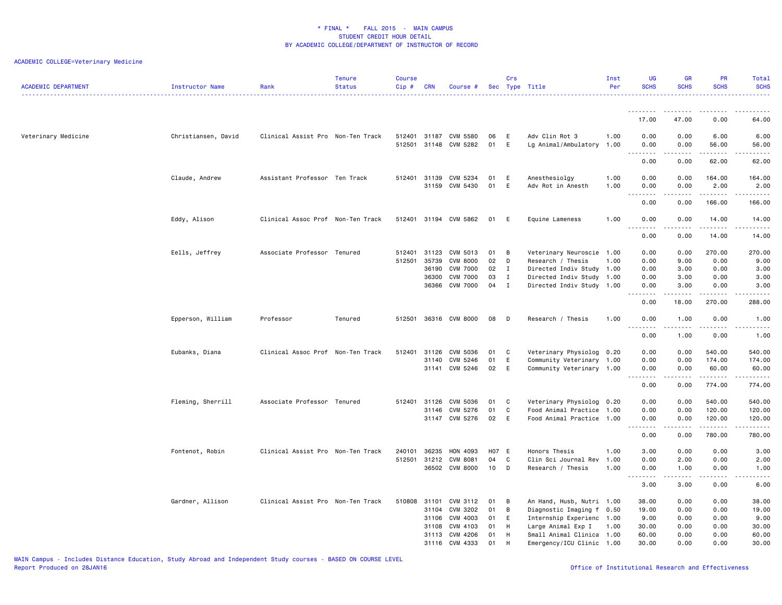## ACADEMIC COLLEGE=Veterinary Medicine

| <b>ACADEMIC DEPARTMENT</b> | Instructor Name     | Rank                              | <b>Tenure</b><br><b>Status</b> | <b>Course</b><br>Cip# | <b>CRN</b>                                | Course #                                                                             |                            | Crs                                         | Sec Type Title                                                                                                                        | Inst<br>Per  | UG<br><b>SCHS</b>                        | <b>GR</b><br><b>SCHS</b>                  | <b>PR</b><br><b>SCHS</b>                    | Total<br><b>SCHS</b>                        |
|----------------------------|---------------------|-----------------------------------|--------------------------------|-----------------------|-------------------------------------------|--------------------------------------------------------------------------------------|----------------------------|---------------------------------------------|---------------------------------------------------------------------------------------------------------------------------------------|--------------|------------------------------------------|-------------------------------------------|---------------------------------------------|---------------------------------------------|
|                            |                     |                                   |                                |                       |                                           |                                                                                      |                            |                                             |                                                                                                                                       |              | .                                        |                                           |                                             |                                             |
|                            |                     |                                   |                                |                       |                                           |                                                                                      |                            |                                             |                                                                                                                                       |              | 17.00                                    | 47.00                                     | 0.00                                        | 64.00                                       |
| Veterinary Medicine        | Christiansen, David | Clinical Assist Pro Non-Ten Track |                                |                       |                                           | 512401 31187 CVM 5580<br>512501 31148 CVM 5282                                       | 06<br>01                   | E<br>E                                      | Adv Clin Rot 3<br>Lg Animal/Ambulatory 1.00                                                                                           | 1.00         | 0.00<br>0.00<br>.                        | 0.00<br>0.00<br>.                         | 6.00<br>56.00<br>.                          | 6.00<br>56.00<br>.                          |
|                            |                     |                                   |                                |                       |                                           |                                                                                      |                            |                                             |                                                                                                                                       |              | 0.00                                     | 0.00                                      | 62.00                                       | 62.00                                       |
|                            | Claude, Andrew      | Assistant Professor Ten Track     |                                | 512401                | 31139<br>31159                            | CVM 5234<br>CVM 5430                                                                 | 01<br>01                   | E<br>E                                      | Anesthesiolgy<br>Adv Rot in Anesth                                                                                                    | 1.00<br>1.00 | 0.00<br>0.00                             | 0.00<br>0.00                              | 164.00<br>2.00                              | 164.00<br>2.00                              |
|                            |                     |                                   |                                |                       |                                           |                                                                                      |                            |                                             |                                                                                                                                       |              | $- - - -$<br>0.00                        | 0.00                                      | 166.00                                      | .<br>166.00                                 |
|                            | Eddy, Alison        | Clinical Assoc Prof Non-Ten Track |                                |                       |                                           | 512401 31194 CVM 5862                                                                | 01                         | E                                           | Equine Lameness                                                                                                                       | 1.00         | 0.00<br>----                             | 0.00<br>$- - -$                           | 14.00<br><u>.</u>                           | 14.00<br>.                                  |
|                            |                     |                                   |                                |                       |                                           |                                                                                      |                            |                                             |                                                                                                                                       |              | 0.00                                     | 0.00                                      | 14.00                                       | 14.00                                       |
|                            | Eells, Jeffrey      | Associate Professor Tenured       |                                | 512401<br>512501      | 31123<br>35739<br>36190<br>36300<br>36366 | CVM 5013<br><b>CVM 8000</b><br><b>CVM 7000</b><br><b>CVM 7000</b><br><b>CVM 7000</b> | 01<br>02<br>02<br>03<br>04 | B<br>D<br>$\mathbf{I}$<br>Ι.<br>$\mathbf I$ | Veterinary Neuroscie 1.00<br>Research / Thesis<br>Directed Indiv Study 1.00<br>Directed Indiv Study 1.00<br>Directed Indiv Study 1.00 | 1.00         | 0.00<br>0.00<br>0.00<br>0.00<br>0.00     | 0.00<br>9.00<br>3.00<br>3.00<br>3.00<br>. | 270.00<br>0.00<br>0.00<br>0.00<br>0.00<br>. | 270.00<br>9.00<br>3.00<br>3.00<br>3.00<br>. |
|                            |                     |                                   |                                |                       |                                           |                                                                                      |                            |                                             |                                                                                                                                       |              | 0.00                                     | 18.00                                     | 270.00                                      | 288.00                                      |
|                            | Epperson, William   | Professor                         | Tenured                        | 512501                |                                           | 36316 CVM 8000                                                                       | 08                         | D                                           | Research / Thesis                                                                                                                     | 1.00         | 0.00                                     | 1.00                                      | 0.00                                        | 1.00                                        |
|                            |                     |                                   |                                |                       |                                           |                                                                                      |                            |                                             |                                                                                                                                       |              | 0.00                                     | 1.00                                      | 0.00                                        | 1.00                                        |
|                            | Eubanks, Diana      | Clinical Assoc Prof Non-Ten Track |                                | 512401                | 31126<br>31140                            | CVM 5036<br>CVM 5246<br>31141 CVM 5246                                               | 01<br>01<br>02             | C.<br>E<br>E                                | Veterinary Physiolog 0.20<br>Community Veterinary 1.00<br>Community Veterinary 1.00                                                   |              | 0.00<br>0.00<br>0.00                     | 0.00<br>0.00<br>0.00<br>-----             | 540.00<br>174.00<br>60.00<br>.              | 540.00<br>174.00<br>60.00<br>.              |
|                            |                     |                                   |                                |                       |                                           |                                                                                      |                            |                                             |                                                                                                                                       |              | 0.00                                     | 0.00                                      | 774.00                                      | 774.00                                      |
|                            | Fleming, Sherrill   | Associate Professor Tenured       |                                | 512401                | 31126<br>31146                            | CVM 5036<br>CVM 5276<br>31147 CVM 5276                                               | 01<br>01<br>02             | C<br>C<br>E                                 | Veterinary Physiolog 0.20<br>Food Animal Practice 1.00<br>Food Animal Practice 1.00                                                   |              | 0.00<br>0.00<br>0.00<br>.<br>0.00        | 0.00<br>0.00<br>0.00<br>-----<br>0.00     | 540.00<br>120.00<br>120.00<br>.<br>780.00   | 540.00<br>120.00<br>120.00<br>.<br>780.00   |
|                            | Fontenot, Robin     | Clinical Assist Pro Non-Ten Track |                                | 240101                | 36235                                     | HON 4093                                                                             | H07 E                      |                                             | Honors Thesis                                                                                                                         | 1.00         | 3.00                                     | 0.00                                      | 0.00                                        | 3.00                                        |
|                            |                     |                                   |                                | 512501                | 31212                                     | CVM 8081<br>36502 CVM 8000                                                           | 04<br>10                   | C<br>D                                      | Clin Sci Journal Rev<br>Research / Thesis                                                                                             | 1.00<br>1.00 | 0.00<br>0.00                             | 2.00<br>1.00                              | 0.00<br>0.00                                | 2.00<br>1.00                                |
|                            |                     |                                   |                                |                       |                                           |                                                                                      |                            |                                             |                                                                                                                                       |              | .<br>3.00                                | د د د د<br>3.00                           | .<br>0.00                                   | .<br>6.00                                   |
|                            | Gardner, Allison    | Clinical Assist Pro Non-Ten Track |                                | 510808 31101          | 31104<br>31106<br>31108<br>31113          | CVM 3112<br>CVM 3202<br>CVM 4003<br>CVM 4103<br>CVM 4206                             | 01<br>01<br>01<br>01<br>01 | $\overline{B}$<br>B<br>E<br>H<br>H          | An Hand, Husb, Nutri 1.00<br>Diagnostic Imaging f<br>Internship Experienc 1.00<br>Large Animal Exp I<br>Small Animal Clinica 1.00     | 0.50<br>1.00 | 38.00<br>19.00<br>9.00<br>30.00<br>60.00 | 0.00<br>0.00<br>0.00<br>0.00<br>0.00      | 0.00<br>0.00<br>0.00<br>0.00<br>0.00        | 38.00<br>19.00<br>9.00<br>30.00<br>60.00    |
|                            |                     |                                   |                                |                       |                                           | 31116 CVM 4333                                                                       | 01                         | H                                           | Emergency/ICU Clinic 1.00                                                                                                             |              | 30.00                                    | 0.00                                      | 0.00                                        | 30.00                                       |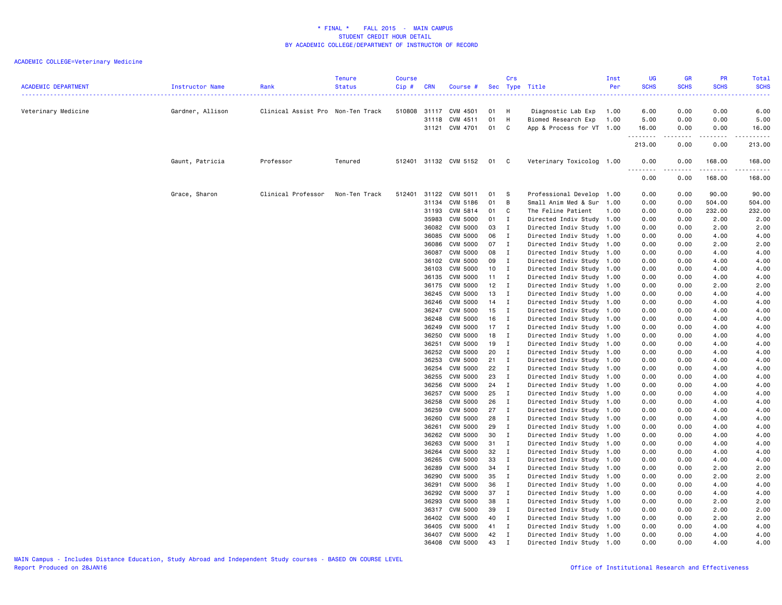## ACADEMIC COLLEGE=Veterinary Medicine

| <b>ACADEMIC DEPARTMENT</b> | Instructor Name  | Rank                              | <b>Tenure</b><br><b>Status</b> | <b>Course</b><br>Cip# | <b>CRN</b>     | Course #                           |              | Crs                         | Sec Type Title                                         | Inst<br>Per  | <b>UG</b><br><b>SCHS</b> | <b>GR</b><br><b>SCHS</b> | <b>PR</b><br><b>SCHS</b> | Total<br><b>SCHS</b> |
|----------------------------|------------------|-----------------------------------|--------------------------------|-----------------------|----------------|------------------------------------|--------------|-----------------------------|--------------------------------------------------------|--------------|--------------------------|--------------------------|--------------------------|----------------------|
| Veterinary Medicine        | Gardner, Allison | Clinical Assist Pro Non-Ten Track |                                |                       |                | 510808 31117 CVM 4501              | 01           | H                           | Diagnostic Lab Exp                                     | 1.00         | 6.00                     | 0.00                     | 0.00                     | 6.00                 |
|                            |                  |                                   |                                |                       |                | 31118 CVM 4511                     | 01           | H                           | Biomed Research Exp                                    | 1.00         | 5.00                     | 0.00                     | 0.00                     | 5.00                 |
|                            |                  |                                   |                                |                       |                | 31121 CVM 4701                     | 01           | C                           | App & Process for VT                                   | 1.00         | 16.00<br>.               | 0.00<br>.                | 0.00<br>.                | 16.00<br>.           |
|                            |                  |                                   |                                |                       |                |                                    |              |                             |                                                        |              | 213.00                   | 0.00                     | 0.00                     | 213.00               |
|                            | Gaunt, Patricia  | Professor                         | Tenured                        |                       |                | 512401 31132 CVM 5152              | 01 C         |                             | Veterinary Toxicolog 1.00                              |              | 0.00<br>.                | 0.00                     | 168.00                   | 168.00<br>.          |
|                            |                  |                                   |                                |                       |                |                                    |              |                             |                                                        |              | 0.00                     | 0.00                     | 168.00                   | 168.00               |
|                            | Grace, Sharon    | Clinical Professor                | Non-Ten Track                  | 512401                | 31122          | CVM 5011                           | 01           | - S                         | Professional Develop                                   | 1.00         | 0.00                     | 0.00                     | 90.00                    | 90.00                |
|                            |                  |                                   |                                |                       | 31134          | CVM 5186                           | 01           | B                           | Small Anim Med & Sur                                   | 1.00         | 0.00                     | 0.00                     | 504.00                   | 504.00               |
|                            |                  |                                   |                                |                       | 31193          | CVM 5814                           | 01 C         |                             | The Feline Patient                                     | 1.00         | 0.00                     | 0.00                     | 232.00                   | 232.00               |
|                            |                  |                                   |                                |                       | 35983          | CVM 5000                           | 01 I         |                             | Directed Indiv Study 1.00                              |              | 0.00                     | 0.00                     | 2.00                     | 2.00                 |
|                            |                  |                                   |                                |                       | 36082          | CVM 5000                           | 03 I         |                             | Directed Indiv Study                                   | 1.00         | 0.00                     | 0.00                     | 2.00                     | 2.00                 |
|                            |                  |                                   |                                |                       | 36085<br>36086 | CVM 5000<br>CVM 5000               | 06 I<br>07 I |                             | Directed Indiv Study<br>Directed Indiv Study 1.00      | 1.00         | 0.00<br>0.00             | 0.00<br>0.00             | 4.00<br>2.00             | 4.00<br>2.00         |
|                            |                  |                                   |                                |                       | 36087          | CVM 5000                           | 08 I         |                             | Directed Indiv Study                                   | 1.00         | 0.00                     | 0.00                     | 4.00                     | 4.00                 |
|                            |                  |                                   |                                |                       | 36102          | CVM 5000                           | 09           | $\mathbf{I}$                | Directed Indiv Study                                   | 1.00         | 0.00                     | 0.00                     | 4.00                     | 4.00                 |
|                            |                  |                                   |                                |                       | 36103          | CVM 5000                           | 10           | $\blacksquare$              | Directed Indiv Study 1.00                              |              | 0.00                     | 0.00                     | 4.00                     | 4.00                 |
|                            |                  |                                   |                                |                       | 36135          | CVM 5000                           | $11 \quad I$ |                             | Directed Indiv Study                                   | 1.00         | 0.00                     | 0.00                     | 4.00                     | 4.00                 |
|                            |                  |                                   |                                |                       | 36175          | CVM 5000                           | $12 \quad I$ |                             | Directed Indiv Study                                   | 1.00         | 0.00                     | 0.00                     | 2.00                     | 2.00                 |
|                            |                  |                                   |                                |                       | 36245          | CVM 5000                           | 13 I         |                             | Directed Indiv Study 1.00                              |              | 0.00                     | 0.00                     | 4.00                     | 4.00                 |
|                            |                  |                                   |                                |                       | 36246          | CVM 5000                           | $14$ I       |                             | Directed Indiv Study                                   | 1.00         | 0.00                     | 0.00                     | 4.00                     | 4.00                 |
|                            |                  |                                   |                                |                       | 36247          | CVM 5000                           | 15           | $\mathbf{I}$                | Directed Indiv Study 1.00                              |              | 0.00                     | 0.00                     | 4.00                     | 4.00                 |
|                            |                  |                                   |                                |                       | 36248          | CVM 5000                           | 16 I         |                             | Directed Indiv Study                                   | 1.00         | 0.00                     | 0.00                     | 4.00                     | 4.00                 |
|                            |                  |                                   |                                |                       | 36249          | CVM 5000                           | $17$ I       |                             | Directed Indiv Study                                   | 1.00         | 0.00                     | 0.00                     | 4.00                     | 4.00                 |
|                            |                  |                                   |                                |                       | 36250<br>36251 | CVM 5000<br><b>CVM 5000</b>        | 18 I<br>19   | $\blacksquare$              | Directed Indiv Study                                   | 1.00<br>1.00 | 0.00<br>0.00             | 0.00<br>0.00             | 4.00<br>4.00             | 4.00<br>4.00         |
|                            |                  |                                   |                                |                       | 36252          | CVM 5000                           | 20           | $\mathbf{I}$                | Directed Indiv Study<br>Directed Indiv Study 1.00      |              | 0.00                     | 0.00                     | 4.00                     | 4.00                 |
|                            |                  |                                   |                                |                       | 36253          | <b>CVM 5000</b>                    | $21$ I       |                             | Directed Indiv Study                                   | 1.00         | 0.00                     | 0.00                     | 4.00                     | 4.00                 |
|                            |                  |                                   |                                |                       | 36254          | CVM 5000                           | 22           | $\mathbf{I}$                | Directed Indiv Study                                   | 1.00         | 0.00                     | 0.00                     | 4.00                     | 4.00                 |
|                            |                  |                                   |                                |                       | 36255          | CVM 5000                           | 23           | $\blacksquare$              | Directed Indiv Study 1.00                              |              | 0.00                     | 0.00                     | 4.00                     | 4.00                 |
|                            |                  |                                   |                                |                       | 36256          | CVM 5000                           | 24 I         |                             | Directed Indiv Study 1.00                              |              | 0.00                     | 0.00                     | 4.00                     | 4.00                 |
|                            |                  |                                   |                                |                       | 36257          | CVM 5000                           | 25           | $\mathbf{I}$                | Directed Indiv Study                                   | 1.00         | 0.00                     | 0.00                     | 4.00                     | 4.00                 |
|                            |                  |                                   |                                |                       | 36258          | <b>CVM 5000</b>                    | 26           | $\mathbf I$                 | Directed Indiv Study 1.00                              |              | 0.00                     | 0.00                     | 4.00                     | 4.00                 |
|                            |                  |                                   |                                |                       | 36259          | CVM 5000                           | 27           | $\mathbf{I}$                | Directed Indiv Study                                   | 1.00         | 0.00                     | 0.00                     | 4.00                     | 4.00                 |
|                            |                  |                                   |                                |                       | 36260          | CVM 5000                           | 28           | $\mathbf{I}$                | Directed Indiv Study                                   | 1.00         | 0.00                     | 0.00                     | 4.00                     | 4.00                 |
|                            |                  |                                   |                                |                       | 36261          | CVM 5000                           | 29           | $\blacksquare$              | Directed Indiv Study 1.00                              |              | 0.00                     | 0.00                     | 4.00                     | 4.00                 |
|                            |                  |                                   |                                |                       | 36262<br>36263 | CVM 5000<br>CVM 5000               | 30<br>31 I   | $\mathbf{I}$                | Directed Indiv Study 1.00<br>Directed Indiv Study 1.00 |              | 0.00<br>0.00             | 0.00<br>0.00             | 4.00<br>4.00             | 4.00<br>4.00         |
|                            |                  |                                   |                                |                       | 36264          | CVM 5000                           | 32 I         |                             | Directed Indiv Study                                   | 1.00         | 0.00                     | 0.00                     | 4.00                     | 4.00                 |
|                            |                  |                                   |                                |                       | 36265          | CVM 5000                           | 33 I         |                             | Directed Indiv Study 1.00                              |              | 0.00                     | 0.00                     | 4.00                     | 4.00                 |
|                            |                  |                                   |                                |                       | 36289          | CVM 5000                           | 34 I         |                             | Directed Indiv Study                                   | 1.00         | 0.00                     | 0.00                     | 2.00                     | 2.00                 |
|                            |                  |                                   |                                |                       | 36290          | CVM 5000                           | 35 I         |                             | Directed Indiv Study                                   | 1.00         | 0.00                     | 0.00                     | 2.00                     | 2.00                 |
|                            |                  |                                   |                                |                       | 36291          | CVM 5000                           | 36           | $\blacksquare$              | Directed Indiv Study 1.00                              |              | 0.00                     | 0.00                     | 4.00                     | 4.00                 |
|                            |                  |                                   |                                |                       | 36292          | CVM 5000                           | 37 I         |                             | Directed Indiv Study                                   | 1.00         | 0.00                     | 0.00                     | 4.00                     | 4.00                 |
|                            |                  |                                   |                                |                       | 36293          | CVM 5000                           | 38           | $\mathbf{I}$                | Directed Indiv Study                                   | 1.00         | 0.00                     | 0.00                     | 2.00                     | 2.00                 |
|                            |                  |                                   |                                |                       | 36317          | CVM 5000                           | 39           | $\mathbf{I}$                | Directed Indiv Study 1.00                              |              | 0.00                     | 0.00                     | 2.00                     | 2.00                 |
|                            |                  |                                   |                                |                       | 36402          | CVM 5000                           | 40 I         |                             | Directed Indiv Study 1.00                              |              | 0.00                     | 0.00                     | 2.00                     | 2.00                 |
|                            |                  |                                   |                                |                       | 36405          | CVM 5000                           | 41 I         |                             | Directed Indiv Study                                   | 1.00         | 0.00                     | 0.00                     | 4.00                     | 4.00                 |
|                            |                  |                                   |                                |                       | 36407<br>36408 | <b>CVM 5000</b><br><b>CVM 5000</b> | 42<br>43     | $\mathbf{I}$<br>$\mathbf I$ | Directed Indiv Study 1.00<br>Directed Indiv Study 1.00 |              | 0.00<br>0.00             | 0.00<br>0.00             | 4.00<br>4.00             | 4.00<br>4.00         |
|                            |                  |                                   |                                |                       |                |                                    |              |                             |                                                        |              |                          |                          |                          |                      |

MAIN Campus - Includes Distance Education, Study Abroad and Independent Study courses - BASED ON COURSE LEVEL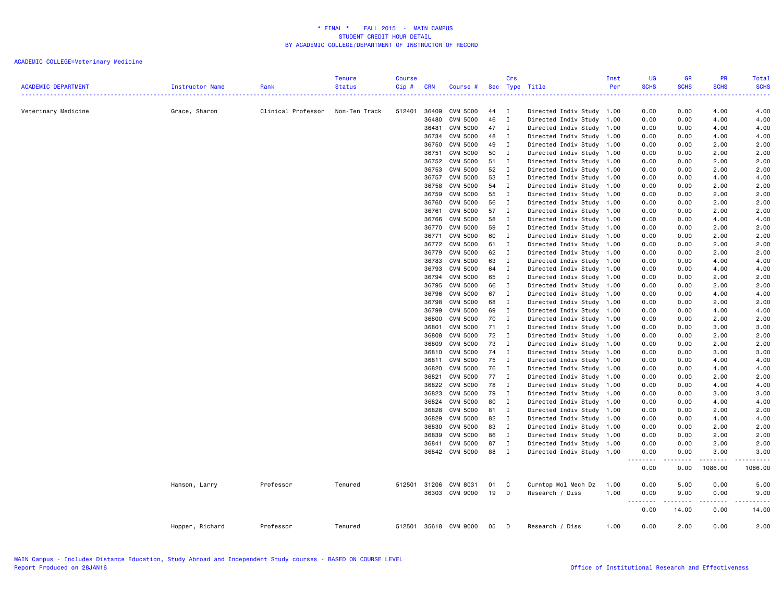|                            |                 |                    | <b>Tenure</b> | <b>Course</b> |                |                 |          | Crs                         |                                              | Inst         | UG               | <b>GR</b>                                                                                                                                | PR                  | Total                                                                                                                                    |
|----------------------------|-----------------|--------------------|---------------|---------------|----------------|-----------------|----------|-----------------------------|----------------------------------------------|--------------|------------------|------------------------------------------------------------------------------------------------------------------------------------------|---------------------|------------------------------------------------------------------------------------------------------------------------------------------|
| <b>ACADEMIC DEPARTMENT</b> | Instructor Name | Rank               | <b>Status</b> | Cip#<br>.     | <b>CRN</b>     | Course #        |          |                             | Sec Type Title                               | Per          | <b>SCHS</b><br>. | <b>SCHS</b><br>$\frac{1}{2} \left( \frac{1}{2} \right) \left( \frac{1}{2} \right) \left( \frac{1}{2} \right) \left( \frac{1}{2} \right)$ | <b>SCHS</b>         | <b>SCHS</b><br>$\frac{1}{2} \left( \frac{1}{2} \right) \left( \frac{1}{2} \right) \left( \frac{1}{2} \right) \left( \frac{1}{2} \right)$ |
| Veterinary Medicine        | Grace, Sharon   | Clinical Professor | Non-Ten Track | 512401        | 36409          | CVM 5000        | 44       | $\mathbf I$                 | Directed Indiv Study 1.00                    |              | 0.00             | 0.00                                                                                                                                     | 4.00                | 4.00                                                                                                                                     |
|                            |                 |                    |               |               | 36480          | CVM 5000        | 46       | $\mathbf{I}$                | Directed Indiv Study                         | 1.00         | 0.00             | 0.00                                                                                                                                     | 4.00                | 4.00                                                                                                                                     |
|                            |                 |                    |               |               | 36481          | <b>CVM 5000</b> | 47       | $\mathbf{I}$                | Directed Indiv Study                         | 1.00         | 0.00             | 0.00                                                                                                                                     | 4.00                | 4.00                                                                                                                                     |
|                            |                 |                    |               |               |                | 36734 CVM 5000  | 48       | $\mathbf I$                 | Directed Indiv Study                         | 1.00         | 0.00             | 0.00                                                                                                                                     | 4.00                | 4.00                                                                                                                                     |
|                            |                 |                    |               |               | 36750          | CVM 5000        | 49       | $\mathbf{I}$                | Directed Indiv Study                         | 1.00         | 0.00             | 0.00                                                                                                                                     | 2.00                | 2.00                                                                                                                                     |
|                            |                 |                    |               |               | 36751          | CVM 5000        | 50       | $\mathbf I$                 | Directed Indiv Study                         | 1.00         | 0.00             | 0.00                                                                                                                                     | 2.00                | 2.00                                                                                                                                     |
|                            |                 |                    |               |               | 36752          | CVM 5000        | 51 I     |                             | Directed Indiv Study                         | 1.00         | 0.00             | 0.00                                                                                                                                     | 2.00                | 2.00                                                                                                                                     |
|                            |                 |                    |               |               | 36753          | CVM 5000        | 52       | $\blacksquare$              | Directed Indiv Study                         | 1.00         | 0.00             | 0.00                                                                                                                                     | 2.00                | 2.00                                                                                                                                     |
|                            |                 |                    |               |               | 36757          | CVM 5000        | 53       | $\mathbf{I}$                | Directed Indiv Study                         | 1.00         | 0.00             | 0.00                                                                                                                                     | 4.00                | 4.00                                                                                                                                     |
|                            |                 |                    |               |               | 36758          | CVM 5000        | 54       | $\mathbf{I}$                | Directed Indiv Study                         | 1.00         | 0.00             | 0.00                                                                                                                                     | 2.00                | 2.00                                                                                                                                     |
|                            |                 |                    |               |               | 36759          | <b>CVM 5000</b> | 55       | $\mathbf{I}$                | Directed Indiv Study                         | 1.00         | 0.00             | 0.00                                                                                                                                     | 2.00                | 2.00                                                                                                                                     |
|                            |                 |                    |               |               | 36760          | CVM 5000        | 56       | $\mathbf I$                 | Directed Indiv Study                         | 1.00         | 0.00             | 0.00                                                                                                                                     | 2.00                | 2.00                                                                                                                                     |
|                            |                 |                    |               |               | 36761          | CVM 5000        | 57 I     |                             | Directed Indiv Study                         | 1.00         | 0.00             | 0.00                                                                                                                                     | 2.00                | 2.00                                                                                                                                     |
|                            |                 |                    |               |               | 36766          | CVM 5000        | 58       | $\mathbf{I}$                | Directed Indiv Study                         | 1.00         | 0.00             | 0.00                                                                                                                                     | 4.00                | 4.00                                                                                                                                     |
|                            |                 |                    |               |               | 36770          | <b>CVM 5000</b> | 59       | $\mathbf{I}$                | Directed Indiv Study                         | 1.00         | 0.00             | 0.00                                                                                                                                     | 2.00                | 2.00                                                                                                                                     |
|                            |                 |                    |               |               | 36771          | CVM 5000        | 60       | $\mathbf I$                 | Directed Indiv Study                         | 1.00         | 0.00             | 0.00                                                                                                                                     | 2.00                | 2.00                                                                                                                                     |
|                            |                 |                    |               |               | 36772          | <b>CVM 5000</b> | 61 I     |                             | Directed Indiv Study                         | 1.00         | 0.00             | 0.00                                                                                                                                     | 2.00                | 2.00                                                                                                                                     |
|                            |                 |                    |               |               | 36779          | CVM 5000        | 62       | $\mathbf I$                 | Directed Indiv Study                         | 1.00         | 0.00             | 0.00                                                                                                                                     | 2.00                | 2.00                                                                                                                                     |
|                            |                 |                    |               |               | 36783          | CVM 5000        | 63       | $\mathbf I$                 | Directed Indiv Study                         | 1.00         | 0.00             | 0.00                                                                                                                                     | 4.00                | 4.00                                                                                                                                     |
|                            |                 |                    |               |               | 36793          | CVM 5000        | 64       | $\mathbf{I}$                | Directed Indiv Study                         | 1.00         | 0.00             | 0.00                                                                                                                                     | 4.00                | 4.00                                                                                                                                     |
|                            |                 |                    |               |               |                | 36794 CVM 5000  | 65       | $\mathbf I$                 | Directed Indiv Study                         | 1.00         | 0.00             | 0.00                                                                                                                                     | 2.00                | 2.00                                                                                                                                     |
|                            |                 |                    |               |               | 36795          | CVM 5000        | 66       | $\mathbf{I}$                | Directed Indiv Study                         | 1.00         | 0.00             | 0.00                                                                                                                                     | 2.00                | 2.00                                                                                                                                     |
|                            |                 |                    |               |               | 36796          | CVM 5000        | 67 I     |                             | Directed Indiv Study                         | 1.00         | 0.00             | 0.00                                                                                                                                     | 4.00                | 4.00                                                                                                                                     |
|                            |                 |                    |               |               | 36798          | CVM 5000        | 68       | I                           | Directed Indiv Study                         | 1.00         | 0.00             | 0.00                                                                                                                                     | 2.00                | 2.00                                                                                                                                     |
|                            |                 |                    |               |               | 36799          | CVM 5000        | 69       | $\mathbf I$                 | Directed Indiv Study                         | 1.00         | 0.00             | 0.00                                                                                                                                     | 4.00                | 4.00                                                                                                                                     |
|                            |                 |                    |               |               | 36800          | CVM 5000        | 70       | $\mathbf I$                 | Directed Indiv Study                         | 1.00         | 0.00             | 0.00                                                                                                                                     | 2.00                | 2.00                                                                                                                                     |
|                            |                 |                    |               |               | 36801          | CVM 5000        | 71 I     |                             | Directed Indiv Study                         | 1.00         | 0.00             | 0.00                                                                                                                                     | 3.00                | 3.00                                                                                                                                     |
|                            |                 |                    |               |               | 36808          | CVM 5000        | 72       | $\mathbf{I}$                | Directed Indiv Study                         | 1.00         | 0.00             | 0.00                                                                                                                                     | 2.00                | 2.00                                                                                                                                     |
|                            |                 |                    |               |               | 36809          | <b>CVM 5000</b> | 73       | $\mathbf I$                 |                                              | 1.00         | 0.00             | 0.00                                                                                                                                     | 2.00                | 2.00                                                                                                                                     |
|                            |                 |                    |               |               | 36810          | CVM 5000        | 74 I     |                             | Directed Indiv Study                         | 1.00         | 0.00             | 0.00                                                                                                                                     | 3.00                | 3.00                                                                                                                                     |
|                            |                 |                    |               |               |                | <b>CVM 5000</b> | 75       | $\mathbf I$                 | Directed Indiv Study                         |              |                  |                                                                                                                                          |                     |                                                                                                                                          |
|                            |                 |                    |               |               | 36811<br>36820 | CVM 5000        | 76       | $\mathbf I$                 | Directed Indiv Study                         | 1.00         | 0.00             | 0.00<br>0.00                                                                                                                             | 4.00<br>4.00        | 4.00<br>4.00                                                                                                                             |
|                            |                 |                    |               |               | 36821          | CVM 5000        | 77 I     |                             | Directed Indiv Study<br>Directed Indiv Study | 1.00<br>1.00 | 0.00<br>0.00     | 0.00                                                                                                                                     | 2.00                | 2.00                                                                                                                                     |
|                            |                 |                    |               |               |                |                 |          |                             |                                              |              |                  |                                                                                                                                          |                     |                                                                                                                                          |
|                            |                 |                    |               |               | 36822<br>36823 | <b>CVM 5000</b> | 78<br>79 | $\mathbf{I}$<br>$\mathbf I$ | Directed Indiv Study                         | 1.00         | 0.00<br>0.00     | 0.00                                                                                                                                     | 4.00<br>3.00        | 4.00                                                                                                                                     |
|                            |                 |                    |               |               |                | CVM 5000        |          |                             | Directed Indiv Study                         | 1.00         |                  | 0.00                                                                                                                                     |                     | 3.00                                                                                                                                     |
|                            |                 |                    |               |               | 36824          | CVM 5000        | 80       | $\mathbf{I}$                | Directed Indiv Study                         | 1.00         | 0.00             | 0.00                                                                                                                                     | 4.00                | 4.00                                                                                                                                     |
|                            |                 |                    |               |               | 36828          | <b>CVM 5000</b> | 81 I     |                             | Directed Indiv Study                         | 1.00         | 0.00             | 0.00                                                                                                                                     | 2.00                | 2.00                                                                                                                                     |
|                            |                 |                    |               |               | 36829          | <b>CVM 5000</b> | 82 I     |                             | Directed Indiv Study                         | 1.00         | 0.00             | 0.00                                                                                                                                     | 4.00                | 4.00                                                                                                                                     |
|                            |                 |                    |               |               | 36830          | CVM 5000        | 83       | $\mathbf{I}$                | Directed Indiv Study                         | 1.00         | 0.00             | 0.00                                                                                                                                     | 2.00                | 2.00                                                                                                                                     |
|                            |                 |                    |               |               | 36839          | CVM 5000        | 86       | $\mathbf{I}$                | Directed Indiv Study                         | 1.00         | 0.00             | 0.00                                                                                                                                     | 2.00                | 2.00                                                                                                                                     |
|                            |                 |                    |               |               | 36841          | <b>CVM 5000</b> | 87       | $\mathbf I$                 | Directed Indiv Study                         | 1.00         | 0.00             | 0.00                                                                                                                                     | 2.00                | 2.00                                                                                                                                     |
|                            |                 |                    |               |               |                | 36842 CVM 5000  | 88       | $\mathbf{I}$                | Directed Indiv Study                         | 1.00         | 0.00<br>.        | 0.00<br>$\frac{1}{2} \left( \frac{1}{2} \right) \left( \frac{1}{2} \right) \left( \frac{1}{2} \right) \left( \frac{1}{2} \right)$        | 3.00<br>$- - - - -$ | 3.00<br>.                                                                                                                                |
|                            |                 |                    |               |               |                |                 |          |                             |                                              |              | 0.00             | 0.00                                                                                                                                     | 1086.00             | 1086.00                                                                                                                                  |
|                            | Hanson, Larry   | Professor          | Tenured       | 512501        |                | 31206 CVM 8031  | 01       | C                           | Curntop Mol Mech Dz                          | 1.00         | 0.00             | 5.00                                                                                                                                     | 0.00                | 5.00                                                                                                                                     |
|                            |                 |                    |               |               |                | 36303 CVM 9000  | 19       | D                           | Research / Diss                              | 1.00         | 0.00             | 9.00                                                                                                                                     | 0.00                | 9.00                                                                                                                                     |
|                            |                 |                    |               |               |                |                 |          |                             |                                              |              | -----            | د د د د                                                                                                                                  | -----               |                                                                                                                                          |
|                            |                 |                    |               |               |                |                 |          |                             |                                              |              | 0.00             | 14.00                                                                                                                                    | 0.00                | 14.00                                                                                                                                    |
|                            | Hopper, Richard | Professor          | Tenured       | 512501        |                | 35618 CVM 9000  | 05       | D                           | Research / Diss                              | 1.00         | 0.00             | 2.00                                                                                                                                     | 0.00                | 2.00                                                                                                                                     |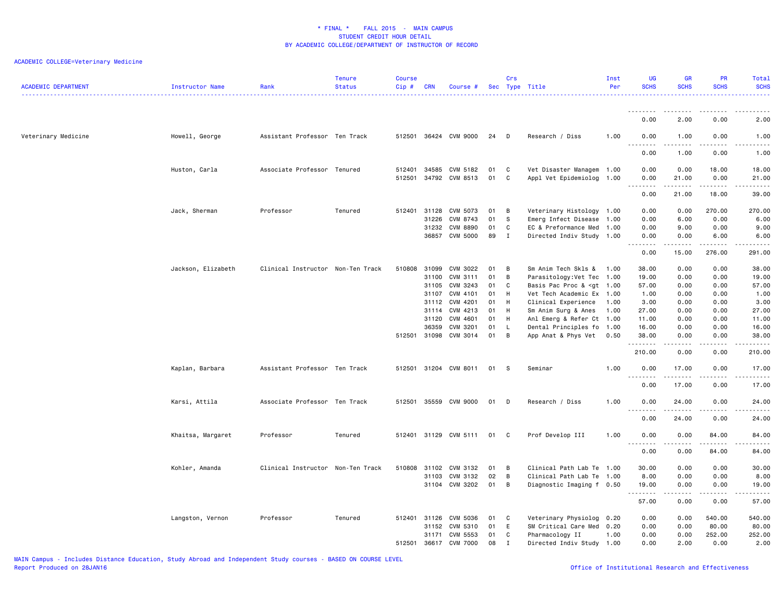| <b>ACADEMIC DEPARTMENT</b> | Instructor Name    | Rank                              | <b>Tenure</b><br><b>Status</b> | Course<br>Cip # | <b>CRN</b>   | Course #              |    | Crs          | Sec Type Title                                                                                           | Inst<br>Per | UG<br><b>SCHS</b>                     | GR<br><b>SCHS</b>   | <b>PR</b><br><b>SCHS</b> | Total<br><b>SCHS</b>                                                                                                                                         |
|----------------------------|--------------------|-----------------------------------|--------------------------------|-----------------|--------------|-----------------------|----|--------------|----------------------------------------------------------------------------------------------------------|-------------|---------------------------------------|---------------------|--------------------------|--------------------------------------------------------------------------------------------------------------------------------------------------------------|
|                            |                    |                                   |                                |                 |              |                       |    |              |                                                                                                          |             | --------                              |                     |                          | . <b>.</b> .                                                                                                                                                 |
|                            |                    |                                   |                                |                 |              |                       |    |              |                                                                                                          |             | 0.00                                  | 2.00                | 0.00                     | 2.00                                                                                                                                                         |
| Veterinary Medicine        | Howell, George     | Assistant Professor Ten Track     |                                |                 |              | 512501 36424 CVM 9000 | 24 | D            | Research / Diss                                                                                          | 1.00        | 0.00                                  | 1.00<br>.           | 0.00                     | 1.00<br>$\frac{1}{2} \left( \frac{1}{2} \right) \left( \frac{1}{2} \right) \left( \frac{1}{2} \right) \left( \frac{1}{2} \right) \left( \frac{1}{2} \right)$ |
|                            |                    |                                   |                                |                 |              |                       |    |              |                                                                                                          |             | 0.00                                  | 1.00                | 0.00                     | 1.00                                                                                                                                                         |
|                            | Huston, Carla      | Associate Professor Tenured       |                                | 512401          | 34585        | CVM 5182              | 01 | C            | Vet Disaster Managem 1.00                                                                                |             | 0.00                                  | 0.00                | 18.00                    | 18.00                                                                                                                                                        |
|                            |                    |                                   |                                | 512501          | 34792        | CVM 8513              | 01 | C            | Appl Vet Epidemiolog 1.00                                                                                |             | 0.00<br>.<br>$\sim$ $\sim$            | 21.00<br>.          | 0.00<br>د د د د د        | 21.00<br>د د د د د                                                                                                                                           |
|                            |                    |                                   |                                |                 |              |                       |    |              |                                                                                                          |             | 0.00                                  | 21.00               | 18.00                    | 39.00                                                                                                                                                        |
|                            | Jack, Sherman      | Professor                         | Tenured                        | 512401          | 31128        | CVM 5073              | 01 | В            | Veterinary Histology 1.00                                                                                |             | 0.00                                  | 0.00                | 270.00                   | 270.00                                                                                                                                                       |
|                            |                    |                                   |                                |                 | 31226        | CVM 8743              | 01 | S            | Emerg Infect Disease 1.00                                                                                |             | 0.00                                  | 6.00                | 0.00                     | 6.00                                                                                                                                                         |
|                            |                    |                                   |                                |                 | 31232        | <b>CVM 8890</b>       | 01 | C            | EC & Preformance Med                                                                                     | 1.00        | 0.00                                  | 9.00                | 0.00                     | 9.00                                                                                                                                                         |
|                            |                    |                                   |                                |                 | 36857        | <b>CVM 5000</b>       | 89 | $\mathbf{I}$ | Directed Indiv Study 1.00                                                                                |             | 0.00<br>-----<br>$\sim$ $\sim$ $\sim$ | 0.00<br>$- - - - -$ | 6.00<br>.                | 6.00<br>.                                                                                                                                                    |
|                            |                    |                                   |                                |                 |              |                       |    |              |                                                                                                          |             | 0.00                                  | 15.00               | 276.00                   | 291.00                                                                                                                                                       |
|                            | Jackson, Elizabeth | Clinical Instructor Non-Ten Track |                                | 510808          | 31099        | CVM 3022              | 01 | B            | Sm Anim Tech Skls & 1.00                                                                                 |             | 38.00                                 | 0.00                | 0.00                     | 38.00                                                                                                                                                        |
|                            |                    |                                   |                                |                 | 31100        | CVM 3111              | 01 | в            | Parasitology: Vet Tec 1.00                                                                               |             | 19.00                                 | 0.00                | 0.00                     | 19.00                                                                                                                                                        |
|                            |                    |                                   |                                |                 | 31105        | CVM 3243              | 01 | C            | Basis Pac Proc & <gt 1.00<="" td=""><td></td><td>57.00</td><td>0.00</td><td>0.00</td><td>57.00</td></gt> |             | 57.00                                 | 0.00                | 0.00                     | 57.00                                                                                                                                                        |
|                            |                    |                                   |                                |                 | 31107        | CVM 4101              | 01 | H            | Vet Tech Academic Ex 1.00                                                                                |             | 1.00                                  | 0.00                | 0.00                     | 1.00                                                                                                                                                         |
|                            |                    |                                   |                                |                 | 31112        | CVM 4201              | 01 | H            | Clinical Experience                                                                                      | 1.00        | 3.00                                  | 0.00                | 0.00                     | 3.00                                                                                                                                                         |
|                            |                    |                                   |                                |                 | 31114        | CVM 4213              | 01 | H            | Sm Anim Surg & Anes                                                                                      | 1.00        | 27.00                                 | 0.00                | 0.00                     | 27.00                                                                                                                                                        |
|                            |                    |                                   |                                |                 | 31120        | CVM 4601              | 01 | H            | Anl Emerg & Refer Ct 1.00                                                                                |             | 11.00                                 | 0.00                | 0.00                     | 11.00                                                                                                                                                        |
|                            |                    |                                   |                                |                 | 36359        | CVM 3201              | 01 | L            | Dental Principles fo 1.00                                                                                |             | 16.00                                 | 0.00                | 0.00                     | 16.00                                                                                                                                                        |
|                            |                    |                                   |                                |                 | 512501 31098 | CVM 3014              | 01 | в            | App Anat & Phys Vet                                                                                      | 0.50        | 38.00<br>--------                     | 0.00<br>-----       | 0.00<br>.                | 38.00<br>.                                                                                                                                                   |
|                            |                    |                                   |                                |                 |              |                       |    |              |                                                                                                          |             | 210.00                                | 0.00                | 0.00                     | 210.00                                                                                                                                                       |
|                            | Kaplan, Barbara    | Assistant Professor Ten Track     |                                | 512501          |              | 31204 CVM 8011        | 01 | s            | Seminar                                                                                                  | 1.00        | 0.00<br><u>.</u>                      | 17.00<br>.          | 0.00<br>د د د د          | 17.00<br>.                                                                                                                                                   |
|                            |                    |                                   |                                |                 |              |                       |    |              |                                                                                                          |             | 0.00                                  | 17.00               | 0.00                     | 17.00                                                                                                                                                        |
|                            | Karsi, Attila      | Associate Professor Ten Track     |                                | 512501          | 35559        | <b>CVM 9000</b>       | 01 | D            | Research / Diss                                                                                          | 1.00        | 0.00                                  | 24.00               | 0.00                     | 24.00                                                                                                                                                        |
|                            |                    |                                   |                                |                 |              |                       |    |              |                                                                                                          |             | 0.00                                  | 24.00               | 0.00                     | 24.00                                                                                                                                                        |
|                            | Khaitsa, Margaret  | Professor                         | Tenured                        | 512401          |              | 31129 CVM 5111        | 01 | C            | Prof Develop III                                                                                         | 1.00        | 0.00                                  | 0.00                | 84.00                    | 84.00                                                                                                                                                        |
|                            |                    |                                   |                                |                 |              |                       |    |              |                                                                                                          |             | 0.00                                  | .<br>0.00           | .<br>84.00               | .<br>84.00                                                                                                                                                   |
|                            | Kohler, Amanda     | Clinical Instructor Non-Ten Track |                                | 510808          | 31102        | CVM 3132              | 01 | в            | Clinical Path Lab Te                                                                                     | 1.00        | 30.00                                 | 0.00                | 0.00                     | 30.00                                                                                                                                                        |
|                            |                    |                                   |                                |                 | 31103        | CVM 3132              | 02 | B            | Clinical Path Lab Te 1.00                                                                                |             | 8.00                                  | 0.00                | 0.00                     | 8.00                                                                                                                                                         |
|                            |                    |                                   |                                |                 |              | 31104 CVM 3202        | 01 | в            | Diagnostic Imaging f 0.50                                                                                |             | 19,00                                 | 0.00                | 0.00                     | 19.00                                                                                                                                                        |
|                            |                    |                                   |                                |                 |              |                       |    |              |                                                                                                          |             | .<br>57.00                            | 0.00                | 0.00                     | د د د د د<br>57.00                                                                                                                                           |
|                            | Langston, Vernon   | Professor                         | Tenured                        | 512401          | 31126        | CVM 5036              | 01 | C            | Veterinary Physiolog 0.20                                                                                |             | 0.00                                  | 0.00                | 540.00                   | 540.00                                                                                                                                                       |
|                            |                    |                                   |                                |                 | 31152        | CVM 5310              | 01 | E            | SM Critical Care Med                                                                                     | 0.20        | 0.00                                  | 0.00                | 80.00                    | 80.00                                                                                                                                                        |
|                            |                    |                                   |                                |                 | 31171        | CVM 5553              | 01 | C            | Pharmacology II                                                                                          | 1.00        | 0.00                                  | 0.00                | 252.00                   | 252.00                                                                                                                                                       |
|                            |                    |                                   |                                | 512501          | 36617        | <b>CVM 7000</b>       | 08 | $\mathbf{I}$ | Directed Indiv Study 1.00                                                                                |             | 0.00                                  | 2.00                | 0.00                     | 2.00                                                                                                                                                         |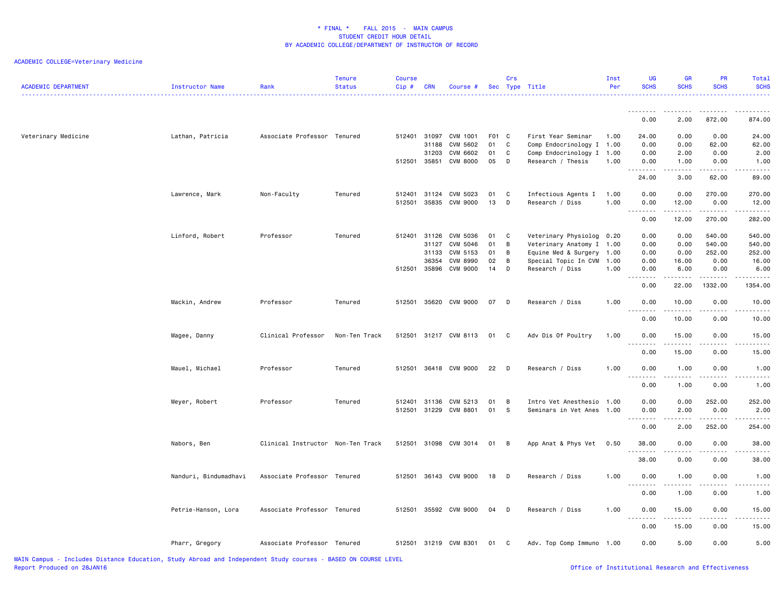| <b>ACADEMIC DEPARTMENT</b> | <b>Instructor Name</b> | Rank                              | <b>Tenure</b><br><b>Status</b> | Course<br>Cip# | <b>CRN</b>   | Course #              |          | Crs               | Sec Type Title            | Inst<br>Per | <b>UG</b><br><b>SCHS</b>                    | <b>GR</b><br><b>SCHS</b> | <b>PR</b><br><b>SCHS</b> | Total<br><b>SCHS</b><br>.           |
|----------------------------|------------------------|-----------------------------------|--------------------------------|----------------|--------------|-----------------------|----------|-------------------|---------------------------|-------------|---------------------------------------------|--------------------------|--------------------------|-------------------------------------|
|                            |                        |                                   |                                |                |              |                       |          |                   |                           |             | .<br>0.00                                   | 2.00                     | 872.00                   | 874.00                              |
| Veterinary Medicine        | Lathan, Patricia       | Associate Professor Tenured       |                                | 512401         | 31097        | CVM 1001              | F01 C    |                   | First Year Seminar        | 1.00        | 24.00                                       | 0.00                     | 0.00                     | 24.00                               |
|                            |                        |                                   |                                |                | 31188        | CVM 5602              | 01       | C                 | Comp Endocrinology I 1.00 |             | 0.00                                        | 0.00                     | 62.00                    | 62.00                               |
|                            |                        |                                   |                                |                | 31203        | CVM 6602              | 01<br>05 | $\mathtt{C}$<br>D | Comp Endocrinology I 1.00 |             | 0.00                                        | 2.00                     | 0.00                     | 2.00                                |
|                            |                        |                                   |                                | 512501         | 35851        | <b>CVM 8000</b>       |          |                   | Research / Thesis         | 1.00        | 0.00<br>.                                   | 1.00<br>.                | 0.00                     | 1.00<br>$- - - -$                   |
|                            |                        |                                   |                                |                |              |                       |          |                   |                           |             | 24.00                                       | 3.00                     | 62.00                    | 89.00                               |
|                            | Lawrence, Mark         | Non-Faculty                       | Tenured                        | 512401         | 31124        | CVM 5023              | 01       | C                 | Infectious Agents I       | 1.00        | 0.00                                        | 0.00                     | 270.00                   | 270.00                              |
|                            |                        |                                   |                                | 512501         | 35835        | CVM 9000              | 13       | D                 | Research / Diss           | 1.00        | 0.00                                        | 12.00<br>.               | 0.00<br>.                | 12.00<br>.                          |
|                            |                        |                                   |                                |                |              |                       |          |                   |                           |             | 0.00                                        | 12.00                    | 270.00                   | 282.00                              |
|                            | Linford, Robert        | Professor                         | Tenured                        | 512401 31126   |              | CVM 5036              | 01       | C                 | Veterinary Physiolog 0.20 |             | 0.00                                        | 0.00                     | 540.00                   | 540.00                              |
|                            |                        |                                   |                                |                | 31127        | CVM 5046              | 01       | B                 | Veterinary Anatomy I 1.00 |             | 0.00                                        | 0.00                     | 540.00                   | 540.00                              |
|                            |                        |                                   |                                |                | 31133        | CVM 5153              | 01       | B                 | Equine Med & Surgery      | 1.00        | 0.00                                        | 0.00                     | 252.00                   | 252.00                              |
|                            |                        |                                   |                                |                | 36354        | <b>CVM 8990</b>       | 02       | B                 | Special Topic In CVM      | 1.00        | 0.00                                        | 16.00                    | 0.00                     | 16.00                               |
|                            |                        |                                   |                                | 512501         | 35896        | CVM 9000              | 14       | D                 | Research / Diss           | 1.00        | 0.00                                        | 6.00                     | 0.00                     | 6.00                                |
|                            |                        |                                   |                                |                |              |                       |          |                   |                           |             | 22222<br>$\sim$ $\sim$ .<br>0.00            | .<br>22.00               | .<br>1332.00             | .<br>1354.00                        |
|                            | Mackin, Andrew         | Professor                         | Tenured                        | 512501         |              | 35620 CVM 9000        | 07       | D                 | Research / Diss           | 1.00        | 0.00                                        | 10.00                    | 0.00                     | 10.00                               |
|                            |                        |                                   |                                |                |              |                       |          |                   |                           |             | <u>.</u>                                    | .                        | .                        | .                                   |
|                            |                        |                                   |                                |                |              |                       |          |                   |                           |             | 0.00                                        | 10.00                    | 0.00                     | 10.00                               |
|                            | Magee, Danny           | Clinical Professor                | Non-Ten Track                  | 512501         |              | 31217 CVM 8113        | 01       | C                 | Adv Dis Of Poultry        | 1.00        | 0.00<br>.                                   | 15.00                    | 0.00<br>.                | 15.00<br>.                          |
|                            |                        |                                   |                                |                |              |                       |          |                   |                           |             | 0.00                                        | 15.00                    | 0.00                     | 15.00                               |
|                            | Mauel, Michael         | Professor                         | Tenured                        | 512501         |              | 36418 CVM 9000        | 22       | <b>D</b>          | Research / Diss           | 1.00        | 0.00<br>.                                   | 1.00<br>-----            | 0.00                     | 1.00<br>.                           |
|                            |                        |                                   |                                |                |              |                       |          |                   |                           |             | 0.00                                        | 1.00                     | 0.00                     | 1.00                                |
|                            | Meyer, Robert          | Professor                         | Tenured                        |                | 512401 31136 | CVM 5213              | 01       | B                 | Intro Vet Anesthesio 1.00 |             | 0.00                                        | 0.00                     | 252.00                   | 252.00                              |
|                            |                        |                                   |                                |                |              | 512501 31229 CVM 8801 | 01       | S                 | Seminars in Vet Anes      | 1.00        | 0.00                                        | 2.00                     | 0.00                     | 2.00                                |
|                            |                        |                                   |                                |                |              |                       |          |                   |                           |             | $- - - - -$<br>$\sim$ $\sim$ $\sim$<br>0.00 | .<br>2.00                | .<br>252.00              | . <b>.</b><br>254.00                |
|                            | Nabors, Ben            | Clinical Instructor Non-Ten Track |                                | 512501         |              | 31098 CVM 3014        | 01       | B                 | App Anat & Phys Vet       | 0.50        | 38.00                                       | 0.00                     | 0.00                     | 38.00                               |
|                            |                        |                                   |                                |                |              |                       |          |                   |                           |             | .                                           | .                        | .                        | د د د د د                           |
|                            |                        |                                   |                                |                |              |                       |          |                   |                           |             | 38.00                                       | 0.00                     | 0.00                     | 38.00                               |
|                            | Nanduri, Bindumadhavi  | Associate Professor Tenured       |                                | 512501         |              | 36143 CVM 9000        | 18       | D                 | Research / Diss           | 1.00        | 0.00<br>.                                   | 1.00                     | 0.00<br>$\frac{1}{2}$    | 1.00<br>$\sim$ $\sim$ $\sim$ $\sim$ |
|                            |                        |                                   |                                |                |              |                       |          |                   |                           |             | 0.00                                        | 1.00                     | 0.00                     | 1.00                                |
|                            | Petrie-Hanson, Lora    | Associate Professor Tenured       |                                | 512501         |              | 35592 CVM 9000        | 04       | D                 | Research / Diss           | 1.00        | 0.00<br>.                                   | 15.00                    | 0.00                     | 15.00                               |
|                            |                        |                                   |                                |                |              |                       |          |                   |                           |             | 0.00                                        | 15.00                    | 0.00                     | 15.00                               |
|                            | Pharr, Gregory         | Associate Professor Tenured       |                                |                |              | 512501 31219 CVM 8301 | 01       | $\mathbf{C}$      | Adv. Top Comp Immuno 1.00 |             | 0.00                                        | 5.00                     | 0.00                     | 5.00                                |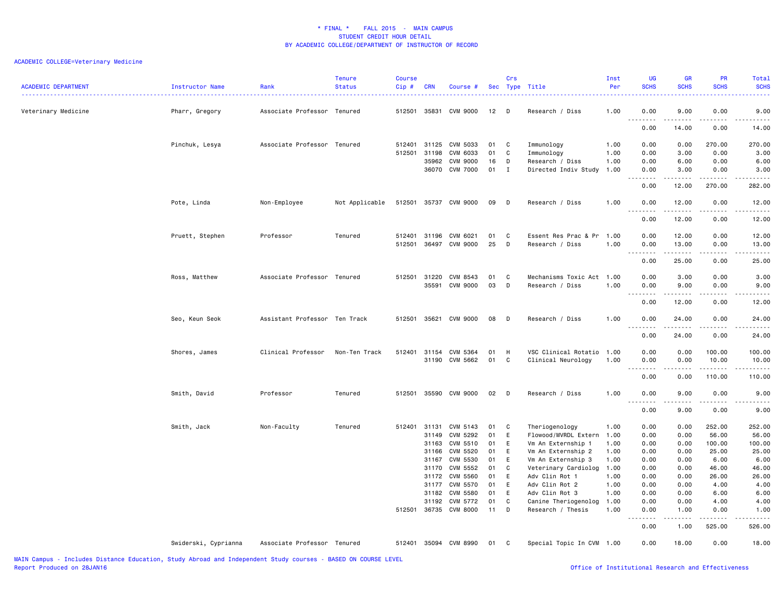| <b>ACADEMIC DEPARTMENT</b> | Instructor Name      | Rank                          | <b>Tenure</b><br><b>Status</b> | <b>Course</b><br>Cip# | <b>CRN</b>     | Course #                    |          | Crs          | Sec Type Title                            | Inst<br>Per<br>. | <b>UG</b><br><b>SCHS</b><br>$\frac{1}{2} \left( \frac{1}{2} \right) \left( \frac{1}{2} \right) \left( \frac{1}{2} \right) \left( \frac{1}{2} \right)$                                                                                                                                                                                                                                                                                                                                          | <b>GR</b><br><b>SCHS</b> | <b>PR</b><br><b>SCHS</b> | Total<br><b>SCHS</b><br>. |
|----------------------------|----------------------|-------------------------------|--------------------------------|-----------------------|----------------|-----------------------------|----------|--------------|-------------------------------------------|------------------|------------------------------------------------------------------------------------------------------------------------------------------------------------------------------------------------------------------------------------------------------------------------------------------------------------------------------------------------------------------------------------------------------------------------------------------------------------------------------------------------|--------------------------|--------------------------|---------------------------|
| Veterinary Medicine        | Pharr, Gregory       | Associate Professor Tenured   |                                | 512501                | 35831          | CVM 9000                    | 12       | D            | Research / Diss                           | 1.00             | 0.00<br><u>.</u>                                                                                                                                                                                                                                                                                                                                                                                                                                                                               | 9.00                     | 0.00                     | 9.00<br>.                 |
|                            |                      |                               |                                |                       |                |                             |          |              |                                           |                  | 0.00                                                                                                                                                                                                                                                                                                                                                                                                                                                                                           | 14.00                    | 0.00                     | 14.00                     |
|                            | Pinchuk, Lesya       | Associate Professor Tenured   |                                | 512401 31125          |                | CVM 5033                    | 01       | C            | Immunology                                | 1.00             | 0.00                                                                                                                                                                                                                                                                                                                                                                                                                                                                                           | 0.00                     | 270.00                   | 270.00                    |
|                            |                      |                               |                                | 512501                | 31198          | CVM 6033                    | 01       | $\mathtt{C}$ | Immunology                                | 1.00             | 0.00                                                                                                                                                                                                                                                                                                                                                                                                                                                                                           | 3.00                     | 0.00                     | 3.00                      |
|                            |                      |                               |                                |                       | 35962          | <b>CVM 9000</b>             | 16       | D            | Research / Diss                           | 1.00             | 0.00                                                                                                                                                                                                                                                                                                                                                                                                                                                                                           | 6.00                     | 0.00                     | 6.00                      |
|                            |                      |                               |                                |                       |                | 36070 CVM 7000              | 01       | $\mathbf{I}$ | Directed Indiv Study                      | 1.00             | 0.00<br>.                                                                                                                                                                                                                                                                                                                                                                                                                                                                                      | 3.00<br>.                | 0.00                     | 3.00<br>------            |
|                            |                      |                               |                                |                       |                |                             |          |              |                                           |                  | 0.00                                                                                                                                                                                                                                                                                                                                                                                                                                                                                           | 12.00                    | 270.00                   | 282.00                    |
|                            | Pote, Linda          | Non-Employee                  | Not Applicable                 |                       |                | 512501 35737 CVM 9000       | 09       | $\mathsf{D}$ | Research / Diss                           | 1.00             | 0.00<br>1.1.1.1.1.1.1                                                                                                                                                                                                                                                                                                                                                                                                                                                                          | 12.00<br>2.2.2.2.2.2     | 0.00<br>.                | 12.00<br>.                |
|                            |                      |                               |                                |                       |                |                             |          |              |                                           |                  | 0.00                                                                                                                                                                                                                                                                                                                                                                                                                                                                                           | 12.00                    | 0.00                     | 12.00                     |
|                            | Pruett, Stephen      | Professor                     | Tenured                        | 512401                | 31196          | CVM 6021                    | 01       | C            | Essent Res Prac & Pr                      | 1.00             | 0.00                                                                                                                                                                                                                                                                                                                                                                                                                                                                                           | 12.00                    | 0.00                     | 12.00                     |
|                            |                      |                               |                                | 512501                | 36497          | <b>CVM 9000</b>             | 25       | D            | Research / Diss                           | 1.00             | 0.00                                                                                                                                                                                                                                                                                                                                                                                                                                                                                           | 13.00                    | 0.00                     | 13.00                     |
|                            |                      |                               |                                |                       |                |                             |          |              |                                           |                  | $\frac{1}{2} \left( \frac{1}{2} \right) \left( \frac{1}{2} \right) \left( \frac{1}{2} \right) \left( \frac{1}{2} \right) \left( \frac{1}{2} \right)$<br>$- - -$<br>0.00                                                                                                                                                                                                                                                                                                                        | .<br>25.00               | .<br>0.00                | .<br>25.00                |
|                            | Ross, Matthew        | Associate Professor Tenured   |                                | 512501                | 31220          | CVM 8543                    | 01       | C            | Mechanisms Toxic Act 1.00                 |                  | 0.00                                                                                                                                                                                                                                                                                                                                                                                                                                                                                           | 3.00                     | 0.00                     | 3.00                      |
|                            |                      |                               |                                |                       | 35591          | CVM 9000                    | 03       | D            | Research / Diss                           | 1.00             | 0.00                                                                                                                                                                                                                                                                                                                                                                                                                                                                                           | 9.00                     | 0.00                     | 9.00                      |
|                            |                      |                               |                                |                       |                |                             |          |              |                                           |                  | $\begin{array}{cccccccccccccc} \multicolumn{2}{c}{} & \multicolumn{2}{c}{} & \multicolumn{2}{c}{} & \multicolumn{2}{c}{} & \multicolumn{2}{c}{} & \multicolumn{2}{c}{} & \multicolumn{2}{c}{} & \multicolumn{2}{c}{} & \multicolumn{2}{c}{} & \multicolumn{2}{c}{} & \multicolumn{2}{c}{} & \multicolumn{2}{c}{} & \multicolumn{2}{c}{} & \multicolumn{2}{c}{} & \multicolumn{2}{c}{} & \multicolumn{2}{c}{} & \multicolumn{2}{c}{} & \multicolumn{2}{c}{} & \multicolumn{2}{c}{} & \$<br>0.00 | .<br>12.00               | .<br>0.00                | .<br>12.00                |
|                            | Seo, Keun Seok       | Assistant Professor Ten Track |                                | 512501                |                | 35621 CVM 9000              | 08       | D            | Research / Diss                           | 1.00             | 0.00                                                                                                                                                                                                                                                                                                                                                                                                                                                                                           | 24.00                    | 0.00                     | 24.00                     |
|                            |                      |                               |                                |                       |                |                             |          |              |                                           |                  | $- - - -$<br>0.00                                                                                                                                                                                                                                                                                                                                                                                                                                                                              | .<br>24.00               | .<br>0.00                | .<br>24.00                |
|                            | Shores, James        | Clinical Professor            | Non-Ten Track                  |                       |                | 512401 31154 CVM 5364       | 01       | H            | VSC Clinical Rotatio                      | 1.00             | 0.00                                                                                                                                                                                                                                                                                                                                                                                                                                                                                           | 0.00                     | 100.00                   | 100.00                    |
|                            |                      |                               |                                |                       |                | 31190 CVM 5662              | 01       | C            | Clinical Neurology                        | 1.00             | 0.00                                                                                                                                                                                                                                                                                                                                                                                                                                                                                           | 0.00                     | 10.00                    | 10.00                     |
|                            |                      |                               |                                |                       |                |                             |          |              |                                           |                  |                                                                                                                                                                                                                                                                                                                                                                                                                                                                                                | $- - - - -$              | .                        | .                         |
|                            |                      |                               |                                |                       |                |                             |          |              |                                           |                  | 0.00                                                                                                                                                                                                                                                                                                                                                                                                                                                                                           | 0.00                     | 110.00                   | 110.00                    |
|                            | Smith, David         | Professor                     | Tenured                        | 512501                |                | 35590 CVM 9000              | 02       | D            | Research / Diss                           | 1.00             | 0.00<br>د د د د                                                                                                                                                                                                                                                                                                                                                                                                                                                                                | 9.00                     | 0.00                     | 9.00                      |
|                            |                      |                               |                                |                       |                |                             |          |              |                                           |                  | 0.00                                                                                                                                                                                                                                                                                                                                                                                                                                                                                           | 9.00                     | 0.00                     | 9.00                      |
|                            | Smith, Jack          | Non-Faculty                   | Tenured                        | 512401                | 31131          | CVM 5143                    | 01       | C.           | Theriogenology                            | 1.00             | 0.00                                                                                                                                                                                                                                                                                                                                                                                                                                                                                           | 0.00                     | 252.00                   | 252.00                    |
|                            |                      |                               |                                |                       | 31149          | CVM 5292                    | 01       | E            | Flowood/MVRDL Extern                      | 1.00             | 0.00                                                                                                                                                                                                                                                                                                                                                                                                                                                                                           | 0.00                     | 56.00                    | 56.00                     |
|                            |                      |                               |                                |                       | 31163          | CVM 5510                    | 01       | E            | Vm An Externship 1                        | 1.00             | 0.00                                                                                                                                                                                                                                                                                                                                                                                                                                                                                           | 0.00                     | 100.00                   | 100.00                    |
|                            |                      |                               |                                |                       | 31166          | CVM 5520                    | 01       | E            | Vm An Externship 2                        | 1.00             | 0.00                                                                                                                                                                                                                                                                                                                                                                                                                                                                                           | 0.00                     | 25.00                    | 25.00                     |
|                            |                      |                               |                                |                       | 31167          | CVM 5530                    | 01       | E            | Vm An Externship 3                        | 1.00             | 0.00                                                                                                                                                                                                                                                                                                                                                                                                                                                                                           | 0.00                     | 6.00                     | 6.00                      |
|                            |                      |                               |                                |                       | 31170          | CVM 5552                    | 01       | C            | Veterinary Cardiolog                      | 1.00             | 0.00                                                                                                                                                                                                                                                                                                                                                                                                                                                                                           | 0.00                     | 46.00                    | 46.00                     |
|                            |                      |                               |                                |                       | 31172          | CVM 5560                    | 01       | E            | Adv Clin Rot 1                            | 1.00             | 0.00                                                                                                                                                                                                                                                                                                                                                                                                                                                                                           | 0.00                     | 26.00                    | 26.00                     |
|                            |                      |                               |                                |                       | 31177          | CVM 5570                    | 01       | E            | Adv Clin Rot 2                            | 1.00             | 0.00                                                                                                                                                                                                                                                                                                                                                                                                                                                                                           | 0.00                     | 4.00                     | 4.00                      |
|                            |                      |                               |                                |                       | 31182          | CVM 5580                    | 01       | E            | Adv Clin Rot 3                            | 1.00             | 0.00                                                                                                                                                                                                                                                                                                                                                                                                                                                                                           | 0.00                     | 6.00                     | 6.00                      |
|                            |                      |                               |                                | 512501                | 31192<br>36735 | CVM 5772<br><b>CVM 8000</b> | 01<br>11 | C<br>D       | Canine Theriogenolog<br>Research / Thesis | 1.00<br>1.00     | 0.00<br>0.00                                                                                                                                                                                                                                                                                                                                                                                                                                                                                   | 0.00<br>1.00             | 4.00<br>0.00             | 4.00<br>1.00              |
|                            |                      |                               |                                |                       |                |                             |          |              |                                           |                  | .                                                                                                                                                                                                                                                                                                                                                                                                                                                                                              |                          |                          |                           |
|                            |                      |                               |                                |                       |                |                             |          |              |                                           |                  | 0.00                                                                                                                                                                                                                                                                                                                                                                                                                                                                                           | 1.00                     | 525.00                   | 526.00                    |
|                            | Swiderski, Cyprianna | Associate Professor Tenured   |                                |                       |                | 512401 35094 CVM 8990       | 01       | $\mathbf{C}$ | Special Topic In CVM 1.00                 |                  | 0.00                                                                                                                                                                                                                                                                                                                                                                                                                                                                                           | 18.00                    | 0.00                     | 18.00                     |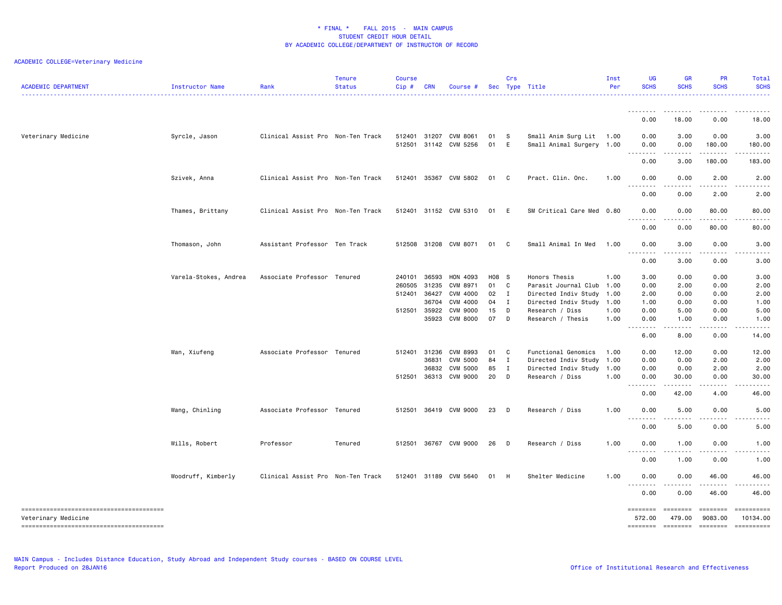| <b>ACADEMIC DEPARTMENT</b> | Instructor Name       | Rank                              | <b>Tenure</b><br><b>Status</b> | <b>Course</b><br>Cip# | <b>CRN</b>     | Course #                         |               | Crs          | Sec Type Title                                        | Inst<br>Per  | <b>UG</b><br><b>SCHS</b> | <b>GR</b><br><b>SCHS</b>                                                                                                          | <b>PR</b><br><b>SCHS</b> | Total<br><b>SCHS</b>   |
|----------------------------|-----------------------|-----------------------------------|--------------------------------|-----------------------|----------------|----------------------------------|---------------|--------------|-------------------------------------------------------|--------------|--------------------------|-----------------------------------------------------------------------------------------------------------------------------------|--------------------------|------------------------|
|                            |                       |                                   |                                |                       |                |                                  |               |              |                                                       |              | .                        | -----                                                                                                                             |                          |                        |
|                            |                       |                                   |                                |                       |                |                                  |               |              |                                                       |              | 0.00                     | 18.00                                                                                                                             | 0.00                     | 18.00                  |
| Veterinary Medicine        | Syrcle, Jason         | Clinical Assist Pro Non-Ten Track |                                | 512401<br>512501      |                | 31207 CVM 8061<br>31142 CVM 5256 | 01<br>01      | - S<br>E     | Small Anim Surg Lit 1.00<br>Small Animal Surgery 1.00 |              | 0.00<br>0.00<br>.        | 3.00<br>0.00<br>.                                                                                                                 | 0.00<br>180.00           | 3.00<br>180.00         |
|                            |                       |                                   |                                |                       |                |                                  |               |              |                                                       |              | 0.00                     | 3.00                                                                                                                              | 180.00                   | 183.00                 |
|                            | Szivek, Anna          | Clinical Assist Pro Non-Ten Track |                                | 512401                |                | 35367 CVM 5802                   | 01 C          |              | Pract. Clin. Onc.                                     | 1.00         | 0.00                     | 0.00                                                                                                                              | 2.00                     | 2.00                   |
|                            |                       |                                   |                                |                       |                |                                  |               |              |                                                       |              | .<br>0.00                | .<br>0.00                                                                                                                         | 2.00                     | 2.00                   |
|                            | Thames, Brittany      | Clinical Assist Pro Non-Ten Track |                                |                       |                | 512401 31152 CVM 5310            | 01            | E            | SM Critical Care Med 0.80                             |              | 0.00<br>.                | 0.00<br>.                                                                                                                         | 80.00<br>.               | 80.00<br>.             |
|                            |                       |                                   |                                |                       |                |                                  |               |              |                                                       |              | 0.00                     | 0.00                                                                                                                              | 80.00                    | 80.00                  |
|                            | Thomason, John        | Assistant Professor Ten Track     |                                |                       |                | 512508 31208 CVM 8071            | 01 C          |              | Small Animal In Med                                   | 1.00         | 0.00<br>. <b>.</b>       | 3.00                                                                                                                              | 0.00                     | 3.00                   |
|                            |                       |                                   |                                |                       |                |                                  |               |              |                                                       |              | 0.00                     | 3.00                                                                                                                              | 0.00                     | 3.00                   |
|                            | Varela-Stokes, Andrea | Associate Professor Tenured       |                                | 240101<br>260505      | 36593<br>31235 | HON 4093<br>CVM 8971             | H08 S<br>01 C |              | Honors Thesis<br>Parasit Journal Club                 | 1.00<br>1.00 | 3.00<br>0.00             | 0.00<br>2.00                                                                                                                      | 0.00<br>0.00             | 3.00<br>2.00           |
|                            |                       |                                   |                                | 512401                | 36427          | CVM 4000                         | 02 I          |              | Directed Indiv Study                                  | 1.00         | 2.00                     | 0.00                                                                                                                              | 0.00                     | 2.00                   |
|                            |                       |                                   |                                |                       | 36704          | CVM 4000                         | 04            | $\mathbf{I}$ | Directed Indiv Study                                  | 1.00         | 1.00                     | 0.00                                                                                                                              | 0.00                     | 1.00                   |
|                            |                       |                                   |                                | 512501                | 35922          | CVM 9000                         | 15            | D            | Research / Diss                                       | 1.00         | 0.00                     | 5.00                                                                                                                              | 0.00                     | 5.00                   |
|                            |                       |                                   |                                |                       | 35923          | <b>CVM 8000</b>                  | 07            | D            | Research / Thesis                                     | 1.00         | 0.00<br>.                | 1.00                                                                                                                              | 0.00                     | 1.00                   |
|                            |                       |                                   |                                |                       |                |                                  |               |              |                                                       |              | 6.00                     | 8.00                                                                                                                              | 0.00                     | 14.00                  |
|                            | Wan, Xiufeng          | Associate Professor Tenured       |                                | 512401 31236          |                | CVM 8993                         | 01 C          |              | Functional Genomics                                   | 1.00         | 0.00                     | 12.00                                                                                                                             | 0.00                     | 12.00                  |
|                            |                       |                                   |                                |                       | 36831          | <b>CVM 5000</b>                  | 84            | $\mathbf I$  | Directed Indiv Study                                  | 1.00         | 0.00                     | 0.00                                                                                                                              | 2.00                     | 2.00                   |
|                            |                       |                                   |                                |                       | 36832          | <b>CVM 5000</b>                  | 85            | $\mathbf I$  | Directed Indiv Study                                  | 1.00         | 0.00                     | 0.00                                                                                                                              | 2.00                     | 2.00                   |
|                            |                       |                                   |                                | 512501                |                | 36313 CVM 9000                   | 20 D          |              | Research / Diss                                       | 1.00         | 0.00<br>.                | 30.00<br>.                                                                                                                        | 0.00<br><b>.</b>         | 30.00<br>.             |
|                            |                       |                                   |                                |                       |                |                                  |               |              |                                                       |              | 0.00                     | 42.00                                                                                                                             | 4.00                     | 46.00                  |
|                            | Wang, Chinling        | Associate Professor Tenured       |                                | 512501                |                | 36419 CVM 9000                   | 23            | $\Box$       | Research / Diss                                       | 1.00         | 0.00<br>.                | 5.00                                                                                                                              | 0.00                     | 5.00                   |
|                            |                       |                                   |                                |                       |                |                                  |               |              |                                                       |              | 0.00                     | 5.00                                                                                                                              | 0.00                     | 5.00                   |
|                            | Wills, Robert         | Professor                         | Tenured                        | 512501                |                | 36767 CVM 9000                   | 26            | $\Box$       | Research / Diss                                       | 1.00         | 0.00<br>.                | 1.00<br>$\sim$ $\sim$ $\sim$                                                                                                      | 0.00                     | 1.00                   |
|                            |                       |                                   |                                |                       |                |                                  |               |              |                                                       |              | 0.00                     | 1.00                                                                                                                              | 0.00                     | 1.00                   |
|                            | Woodruff, Kimberly    | Clinical Assist Pro Non-Ten Track |                                | 512401                | 31189          | CVM 5640                         | 01            | H            | Shelter Medicine                                      | 1.00         | 0.00<br>.                | 0.00                                                                                                                              | 46.00<br>$- - - - -$     | 46.00                  |
|                            |                       |                                   |                                |                       |                |                                  |               |              |                                                       |              | 0.00                     | $\frac{1}{2} \left( \frac{1}{2} \right) \left( \frac{1}{2} \right) \left( \frac{1}{2} \right) \left( \frac{1}{2} \right)$<br>0.00 | 46.00                    | 46.00                  |
|                            |                       |                                   |                                |                       |                |                                  |               |              |                                                       |              |                          |                                                                                                                                   | $= 222222222$            |                        |
| Veterinary Medicine        |                       |                                   |                                |                       |                |                                  |               |              |                                                       |              | 572.00<br>========       | 479.00<br>========                                                                                                                | 9083.00<br>$=$ ========  | 10134.00<br>========== |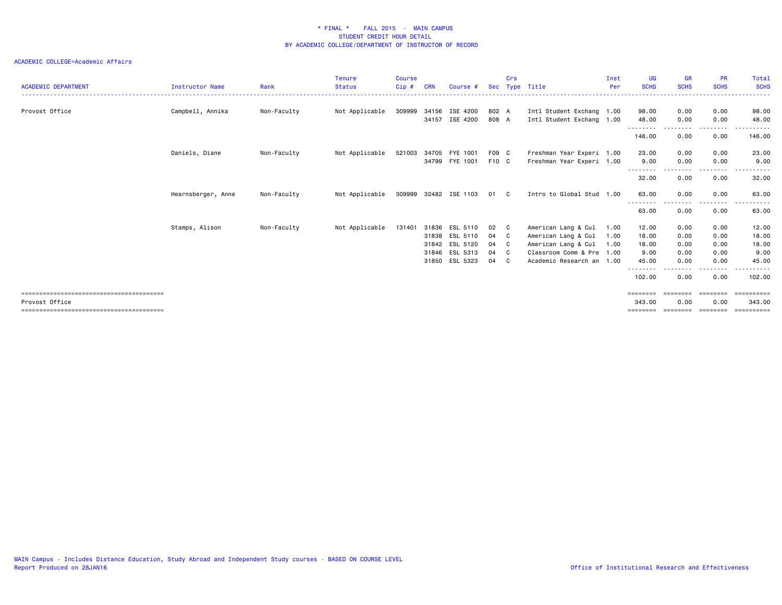#### ACADEMIC COLLEGE=Academic Affairs

| <b>ACADEMIC DEPARTMENT</b> | Instructor Name    | Rank        | <b>Tenure</b><br><b>Status</b> | <b>Course</b><br>Cip# | <b>CRN</b> | Course #              |       | Crs          | Sec Type Title            | Inst<br>Per | <b>UG</b><br><b>SCHS</b> | <b>GR</b><br><b>SCHS</b> | <b>PR</b><br><b>SCHS</b> | Total<br><b>SCHS</b>    |
|----------------------------|--------------------|-------------|--------------------------------|-----------------------|------------|-----------------------|-------|--------------|---------------------------|-------------|--------------------------|--------------------------|--------------------------|-------------------------|
| Provost Office             | Campbell, Annika   | Non-Faculty | Not Applicable                 | 309999                | 34156      | ISE 4200              | 802 A |              | Intl Student Exchang 1.00 |             | 98.00                    | 0.00                     | 0.00                     | 98.00                   |
|                            |                    |             |                                |                       |            | 34157 ISE 4200        | 808 A |              | Intl Student Exchang 1.00 |             | 48.00<br>- - - - - - - - | 0.00                     | 0.00<br>----             | 48.00                   |
|                            |                    |             |                                |                       |            |                       |       |              |                           |             | 146.00                   | 0.00                     | 0.00                     | 146.00                  |
|                            | Daniels, Diane     | Non-Faculty | Not Applicable                 | 521003                | 34705      | FYE 1001              | F09 C |              | Freshman Year Experi 1.00 |             | 23.00                    | 0.00                     | 0.00                     | 23.00                   |
|                            |                    |             |                                |                       |            | 34799 FYE 1001        | F10 C |              | Freshman Year Experi 1.00 |             | 9.00<br>--------         | 0.00                     | 0.00<br>.                | 9.00<br>.               |
|                            |                    |             |                                |                       |            |                       |       |              |                           |             | 32.00                    | 0.00                     | 0.00                     | 32.00                   |
|                            | Hearnsberger, Anne | Non-Faculty | Not Applicable                 |                       |            | 309999 32482 ISE 1103 | 01 C  |              | Intro to Global Stud 1.00 |             | 63.00                    | 0.00                     | 0.00<br>$- - - -$        | 63.00                   |
|                            |                    |             |                                |                       |            |                       |       |              |                           |             | 63.00                    | 0.00                     | 0.00                     | 63.00                   |
|                            | Stamps, Alison     | Non-Faculty | Not Applicable                 | 131401                | 31836      | ESL 5110              | 02    | $\mathbf{C}$ | American Lang & Cul       | 1.00        | 12.00                    | 0.00                     | 0.00                     | 12.00                   |
|                            |                    |             |                                |                       | 31838      | ESL 5110              | 04    | $\mathbf{C}$ | American Lang & Cul       | 1.00        | 18.00                    | 0.00                     | 0.00                     | 18.00                   |
|                            |                    |             |                                |                       | 31842      | ESL 5120              | 04    | $\mathbf{C}$ | American Lang & Cul       | 1.00        | 18.00                    | 0.00                     | 0.00                     | 18.00                   |
|                            |                    |             |                                |                       |            | 31846 ESL 5313        | 04    | $\mathbf{C}$ | Classroom Comm & Pre 1.00 |             | 9.00                     | 0.00                     | 0.00                     | 9.00                    |
|                            |                    |             |                                |                       | 31850      | ESL 5323              | 04    | $\mathbf{C}$ | Academic Research an 1.00 |             | 45.00<br>--------        | 0.00                     | 0.00<br>$\cdots$         | 45.00<br>.              |
|                            |                    |             |                                |                       |            |                       |       |              |                           |             | 102.00                   | 0.00                     | 0.00                     | 102.00                  |
|                            |                    |             |                                |                       |            |                       |       |              |                           |             | ========                 |                          | $=$ = = = = = = =        | $=$ = = = = = = = = = = |
| Provost Office             |                    |             |                                |                       |            |                       |       |              |                           |             | 343.00<br>--------       | 0.00<br>========         | 0.00<br><b>EBBEEBBE</b>  | 343,00<br>==========    |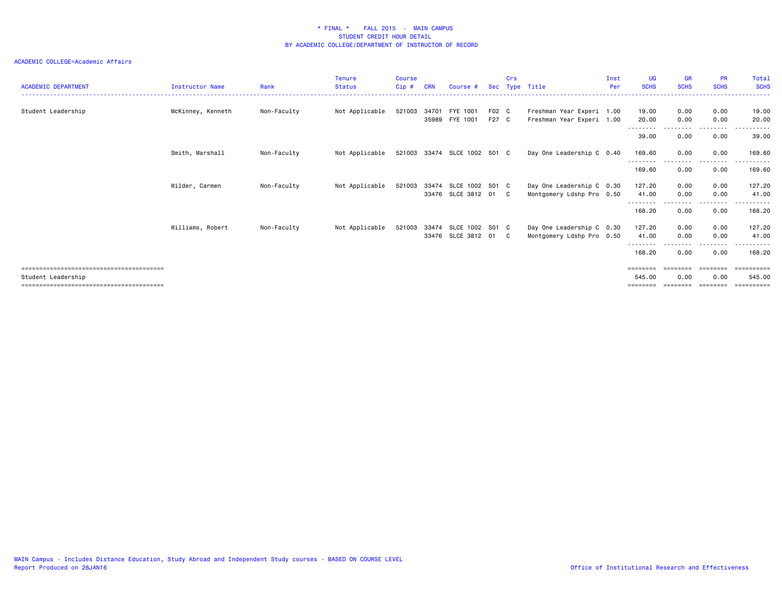#### ACADEMIC COLLEGE=Academic Affairs

| <b>ACADEMIC DEPARTMENT</b> | <b>Instructor Name</b> | Rank        | <b>Tenure</b><br><b>Status</b> | <b>Course</b><br>Cip# | <b>CRN</b>     | Course #                                             | <b>Sec</b>     | Crs | Type Title                                             | Inst<br>Per | <b>UG</b><br><b>SCHS</b>           | <b>GR</b><br><b>SCHS</b> | <b>PR</b><br><b>SCHS</b> | Total<br><b>SCHS</b>            |
|----------------------------|------------------------|-------------|--------------------------------|-----------------------|----------------|------------------------------------------------------|----------------|-----|--------------------------------------------------------|-------------|------------------------------------|--------------------------|--------------------------|---------------------------------|
| Student Leadership         | McKinney, Kenneth      | Non-Faculty | Not Applicable                 | 521003                | 34701<br>35989 | FYE 1001<br>FYE 1001                                 | F02 C<br>F27 C |     | Freshman Year Experi 1.00<br>Freshman Year Experi 1.00 |             | 19.00<br>20.00                     | 0.00<br>0.00             | 0.00<br>0.00             | 19,00<br>20.00                  |
|                            |                        |             |                                |                       |                |                                                      |                |     |                                                        |             | ---------<br>39.00                 | .<br>0.00                | --------<br>0.00         | .<br>39.00                      |
|                            | Smith, Marshall        | Non-Faculty | Not Applicable                 |                       |                | 521003 33474 SLCE 1002 S01 C                         |                |     | Day One Leadership C 0.40                              |             | 169.60<br><u>- - - - - - - -</u>   | 0.00                     | 0.00<br>.                | 169.60                          |
|                            |                        |             |                                |                       |                |                                                      |                |     |                                                        |             | 169.60                             | 0.00                     | 0.00                     | 169.60                          |
|                            | Wilder, Carmen         | Non-Faculty | Not Applicable                 |                       |                | 521003 33474 SLCE 1002 S01 C<br>33476 SLCE 3812 01 C |                |     | Day One Leadership C 0.30<br>Montgomery Ldshp Pro 0.50 |             | 127.20<br>41.00                    | 0.00<br>0.00             | 0.00<br>0.00             | 127,20<br>41.00                 |
|                            |                        |             |                                |                       |                |                                                      |                |     |                                                        |             | -----<br>168.20                    | 0.00                     | . <b>.</b><br>0.00       | ------<br>168,20                |
|                            | Williams, Robert       | Non-Faculty | Not Applicable                 | 521003                |                | 33474 SLCE 1002 S01 C<br>33476 SLCE 3812 01 C        |                |     | Day One Leadership C 0.30<br>Montgomery Ldshp Pro 0.50 |             | 127.20<br>41.00<br>- - - - - - - - | 0.00<br>0.00             | 0.00<br>0.00<br>-------- | 127.20<br>41.00<br>.            |
|                            |                        |             |                                |                       |                |                                                      |                |     |                                                        |             | 168.20                             | 0.00                     | 0.00                     | 168.20                          |
| Student Leadership         |                        |             |                                |                       |                |                                                      |                |     |                                                        |             | ========<br>545.00                 | ========<br>0.00         | ========<br>0.00         | ==========<br>545.00<br>======= |